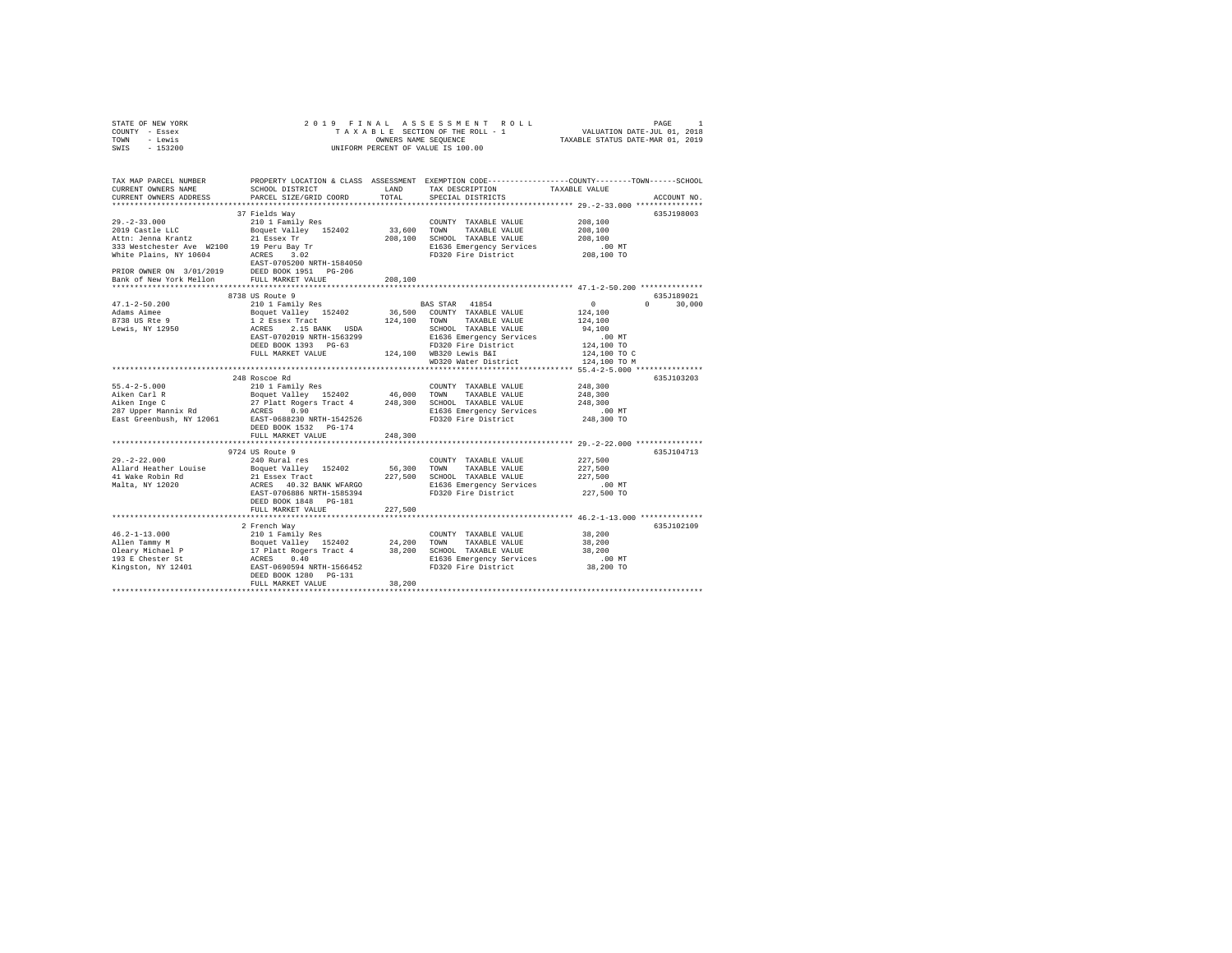| STATE OF NEW YORK                             | 2019 FINAL                                                                                                                                                     |         |                                                                                                                                                                                                                                                                               |                                                                                                                     |  |  |  |  |
|-----------------------------------------------|----------------------------------------------------------------------------------------------------------------------------------------------------------------|---------|-------------------------------------------------------------------------------------------------------------------------------------------------------------------------------------------------------------------------------------------------------------------------------|---------------------------------------------------------------------------------------------------------------------|--|--|--|--|
| COUNTY - Essex                                | PAGE 1 RAL ASSESSMENT ROLL 19 PAGE 1<br>TAXABLE SECTION OF THE ROLL - 1 VALUATION DATE-JUL 01, 2018<br>OWNERS NAME SEQUENCE 1 TAXABLE STATUS DATE-MAR 01, 2019 |         |                                                                                                                                                                                                                                                                               |                                                                                                                     |  |  |  |  |
| TOWN - Lewis                                  | OWNERS NAME SEQUENCE<br>UNIFORM PERCENT OF VALUE IS 100.00                                                                                                     |         |                                                                                                                                                                                                                                                                               |                                                                                                                     |  |  |  |  |
| SWIS - 153200                                 |                                                                                                                                                                |         |                                                                                                                                                                                                                                                                               |                                                                                                                     |  |  |  |  |
|                                               |                                                                                                                                                                |         |                                                                                                                                                                                                                                                                               |                                                                                                                     |  |  |  |  |
|                                               |                                                                                                                                                                |         |                                                                                                                                                                                                                                                                               | TAX MAP PARCEL NUMBER PROPERTY LOCATION & CLASS ASSESSMENT EXEMPTION CODE--------------COUNTY-------TOWN-----SCHOOL |  |  |  |  |
| CURRENT OWNERS NAME                           |                                                                                                                                                                |         | SCHOOL DISTRICT                         LAND         TAX DESCRIPTION                  TAXABLE VALUE                                                                                                                                                                           |                                                                                                                     |  |  |  |  |
| CURRENT OWNERS ADDRESS                        | PARCEL SIZE/GRID COORD                                                                                                                                         | TOTAL   | SPECIAL DISTRICTS                                                                                                                                                                                                                                                             | ACCOUNT NO.                                                                                                         |  |  |  |  |
|                                               |                                                                                                                                                                |         |                                                                                                                                                                                                                                                                               |                                                                                                                     |  |  |  |  |
|                                               | 37 Fields Way                                                                                                                                                  |         |                                                                                                                                                                                                                                                                               | 635J198003                                                                                                          |  |  |  |  |
|                                               |                                                                                                                                                                |         |                                                                                                                                                                                                                                                                               | 208,100                                                                                                             |  |  |  |  |
|                                               |                                                                                                                                                                |         |                                                                                                                                                                                                                                                                               | 208,100                                                                                                             |  |  |  |  |
|                                               |                                                                                                                                                                |         |                                                                                                                                                                                                                                                                               | 208,100                                                                                                             |  |  |  |  |
|                                               |                                                                                                                                                                |         |                                                                                                                                                                                                                                                                               | $.00$ MT                                                                                                            |  |  |  |  |
|                                               |                                                                                                                                                                |         |                                                                                                                                                                                                                                                                               | 208,100 TO                                                                                                          |  |  |  |  |
|                                               |                                                                                                                                                                |         |                                                                                                                                                                                                                                                                               |                                                                                                                     |  |  |  |  |
|                                               |                                                                                                                                                                |         |                                                                                                                                                                                                                                                                               |                                                                                                                     |  |  |  |  |
|                                               |                                                                                                                                                                |         |                                                                                                                                                                                                                                                                               |                                                                                                                     |  |  |  |  |
|                                               |                                                                                                                                                                |         |                                                                                                                                                                                                                                                                               |                                                                                                                     |  |  |  |  |
|                                               | 8738 US Route 9                                                                                                                                                |         |                                                                                                                                                                                                                                                                               | 635J189021                                                                                                          |  |  |  |  |
| 47.1-2-50.200<br>Adams Aimee<br>8738 US Rte 9 | 210 1 Family Res                                                                                                                                               |         | BAS STAR 41854                                                                                                                                                                                                                                                                | $\sim$ 0<br>$0 \t 30,000$                                                                                           |  |  |  |  |
|                                               |                                                                                                                                                                |         | $\begin{tabular}{l c c c c c} \hline 210 & 7580 & 14011 & 7680 & 7580 & 7580 & 7580 & 7580 & 7580 & 7580 & 7580 & 7580 & 7580 & 7580 & 7580 & 7580 & 7580 & 7580 & 7580 & 7580 & 7580 & 7580 & 7580 & 7580 & 7580 & 7580 & 7580 & 7580 & 7580 & 7580 & 7580 & 7580 & 7580 & $ | 124,100                                                                                                             |  |  |  |  |
|                                               |                                                                                                                                                                |         |                                                                                                                                                                                                                                                                               | 124,100                                                                                                             |  |  |  |  |
| Lewis, NY 12950                               |                                                                                                                                                                |         |                                                                                                                                                                                                                                                                               | 94,100                                                                                                              |  |  |  |  |
|                                               |                                                                                                                                                                |         |                                                                                                                                                                                                                                                                               | $.00$ MT                                                                                                            |  |  |  |  |
|                                               |                                                                                                                                                                |         |                                                                                                                                                                                                                                                                               | 124,100 TO                                                                                                          |  |  |  |  |
|                                               | FULL MARKET VALUE                                                                                                                                              |         | 124,100 WB320 Lewis B&I                                                                                                                                                                                                                                                       | 124,100 TO C                                                                                                        |  |  |  |  |
|                                               |                                                                                                                                                                |         | WD320 Water District                                                                                                                                                                                                                                                          | 124,100 TO M                                                                                                        |  |  |  |  |
|                                               |                                                                                                                                                                |         |                                                                                                                                                                                                                                                                               |                                                                                                                     |  |  |  |  |
|                                               | 248 Roscoe Rd                                                                                                                                                  |         |                                                                                                                                                                                                                                                                               | 635J103203                                                                                                          |  |  |  |  |
|                                               |                                                                                                                                                                |         |                                                                                                                                                                                                                                                                               | 248,300                                                                                                             |  |  |  |  |
|                                               |                                                                                                                                                                |         |                                                                                                                                                                                                                                                                               |                                                                                                                     |  |  |  |  |
|                                               |                                                                                                                                                                |         |                                                                                                                                                                                                                                                                               | 248,300<br>248,300                                                                                                  |  |  |  |  |
|                                               |                                                                                                                                                                |         |                                                                                                                                                                                                                                                                               |                                                                                                                     |  |  |  |  |
|                                               |                                                                                                                                                                |         | E1636 Emergency Services .00 MT<br>FD320 Fire District 248,300 TO                                                                                                                                                                                                             |                                                                                                                     |  |  |  |  |
|                                               | DEED BOOK 1532    PG-174                                                                                                                                       |         |                                                                                                                                                                                                                                                                               |                                                                                                                     |  |  |  |  |
|                                               | FULL MARKET VALUE                                                                                                                                              | 248,300 |                                                                                                                                                                                                                                                                               |                                                                                                                     |  |  |  |  |
|                                               |                                                                                                                                                                |         |                                                                                                                                                                                                                                                                               |                                                                                                                     |  |  |  |  |
|                                               | 9724 US Route 9                                                                                                                                                |         |                                                                                                                                                                                                                                                                               | 635J104713                                                                                                          |  |  |  |  |
| $29. -2 - 22.000$                             | 240 Rural res                                                                                                                                                  |         | COUNTY TAXABLE VALUE                                                                                                                                                                                                                                                          | 227,500                                                                                                             |  |  |  |  |
| Allard Heather Louise<br>41 Wake Robin Rd     |                                                                                                                                                                |         | Exposit 1121 152402 56,300 TOWN TAXABLE VALUE<br>227,500 SCHOOL TAXABLE VALUE<br>ACRES 40.32 BANK WFARGO SCHOOL TAXABLE VALUE<br>EAST-0706886 NRTH-1585394 FD320 Fire District                                                                                                | 227,500                                                                                                             |  |  |  |  |
|                                               |                                                                                                                                                                |         |                                                                                                                                                                                                                                                                               | 227,500                                                                                                             |  |  |  |  |
| Malta, NY 12020                               |                                                                                                                                                                |         |                                                                                                                                                                                                                                                                               | $00 \text{ MT}$<br>227,500 TO                                                                                       |  |  |  |  |
|                                               |                                                                                                                                                                |         |                                                                                                                                                                                                                                                                               |                                                                                                                     |  |  |  |  |
|                                               | DEED BOOK 1848 PG-181                                                                                                                                          |         |                                                                                                                                                                                                                                                                               |                                                                                                                     |  |  |  |  |
|                                               | FULL MARKET VALUE                                                                                                                                              | 227,500 |                                                                                                                                                                                                                                                                               |                                                                                                                     |  |  |  |  |
|                                               |                                                                                                                                                                |         |                                                                                                                                                                                                                                                                               |                                                                                                                     |  |  |  |  |
|                                               | 2 French Way                                                                                                                                                   |         |                                                                                                                                                                                                                                                                               | 635J102109                                                                                                          |  |  |  |  |
|                                               |                                                                                                                                                                |         |                                                                                                                                                                                                                                                                               |                                                                                                                     |  |  |  |  |
|                                               |                                                                                                                                                                |         |                                                                                                                                                                                                                                                                               |                                                                                                                     |  |  |  |  |
|                                               |                                                                                                                                                                |         |                                                                                                                                                                                                                                                                               |                                                                                                                     |  |  |  |  |
|                                               |                                                                                                                                                                |         |                                                                                                                                                                                                                                                                               |                                                                                                                     |  |  |  |  |
|                                               |                                                                                                                                                                |         |                                                                                                                                                                                                                                                                               |                                                                                                                     |  |  |  |  |
|                                               | DEED BOOK 1280 PG-131                                                                                                                                          |         |                                                                                                                                                                                                                                                                               |                                                                                                                     |  |  |  |  |
|                                               | FULL MARKET VALUE                                                                                                                                              | 38,200  |                                                                                                                                                                                                                                                                               |                                                                                                                     |  |  |  |  |
|                                               |                                                                                                                                                                |         |                                                                                                                                                                                                                                                                               |                                                                                                                     |  |  |  |  |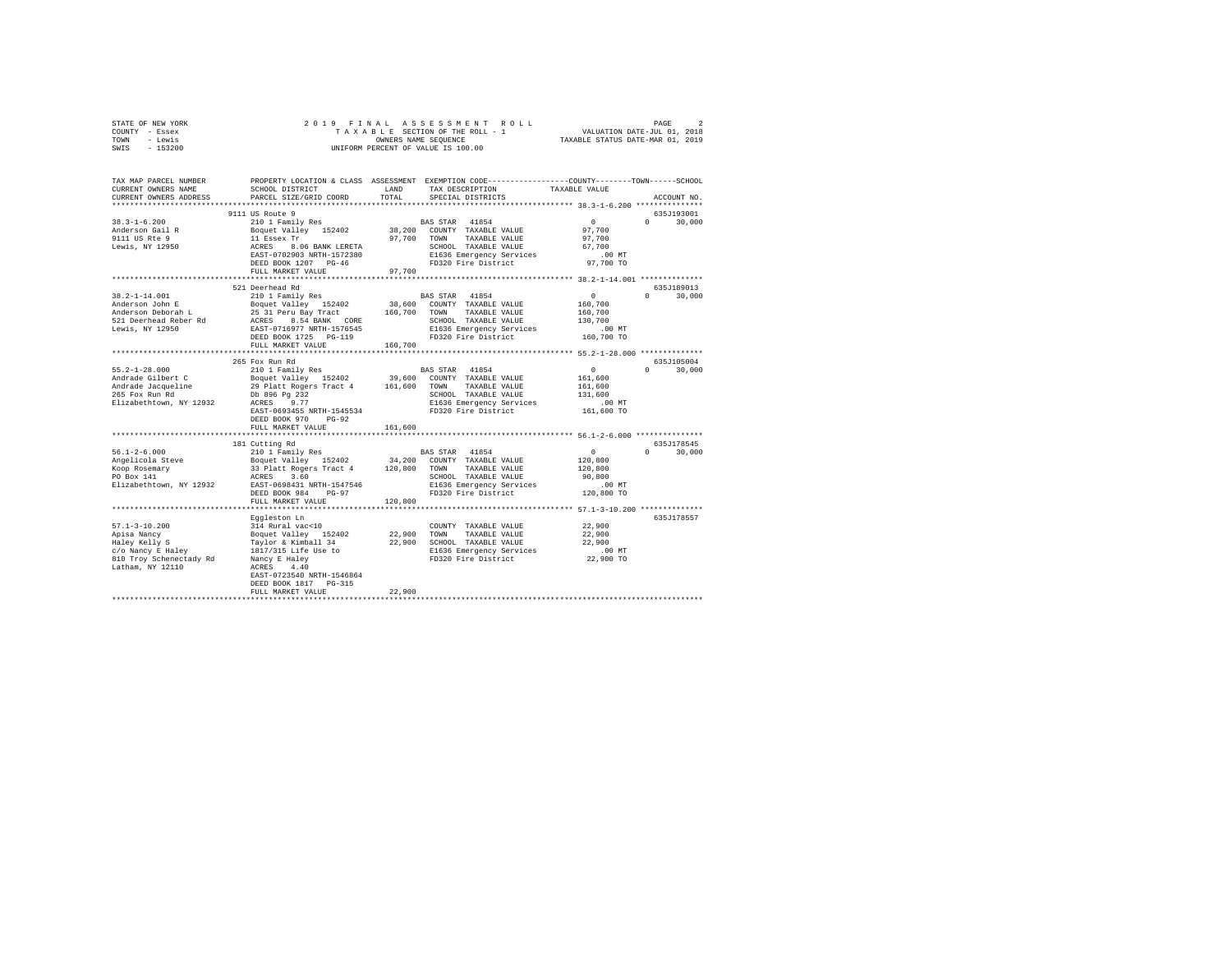| STATE OF NEW YORK                                 |                                                                                                                                                                                                                                                                                                                                                                                                                                               |         |                                                                         |                                                      |               |  |  |  |
|---------------------------------------------------|-----------------------------------------------------------------------------------------------------------------------------------------------------------------------------------------------------------------------------------------------------------------------------------------------------------------------------------------------------------------------------------------------------------------------------------------------|---------|-------------------------------------------------------------------------|------------------------------------------------------|---------------|--|--|--|
| COUNTY - Essex                                    |                                                                                                                                                                                                                                                                                                                                                                                                                                               |         |                                                                         |                                                      |               |  |  |  |
| TOWN - Lewis                                      |                                                                                                                                                                                                                                                                                                                                                                                                                                               |         |                                                                         |                                                      |               |  |  |  |
| SWIS - 153200                                     |                                                                                                                                                                                                                                                                                                                                                                                                                                               |         | UNIFORM PERCENT OF VALUE IS 100.00                                      |                                                      |               |  |  |  |
|                                                   |                                                                                                                                                                                                                                                                                                                                                                                                                                               |         |                                                                         |                                                      |               |  |  |  |
|                                                   |                                                                                                                                                                                                                                                                                                                                                                                                                                               |         |                                                                         |                                                      |               |  |  |  |
|                                                   |                                                                                                                                                                                                                                                                                                                                                                                                                                               |         |                                                                         |                                                      |               |  |  |  |
|                                                   |                                                                                                                                                                                                                                                                                                                                                                                                                                               |         |                                                                         |                                                      |               |  |  |  |
|                                                   | TAX MAP PARCEL NUMBER   PROPERTY LOCATION & CLASS ASSESSMENT EXEMPTION CODE--------------COUNTY-------TOWN-----SCHOOL                                                                                                                                                                                                                                                                                                                         |         |                                                                         |                                                      |               |  |  |  |
| CURRENT OWNERS NAME                               | SCHOOL DISTRICT                                                                                                                                                                                                                                                                                                                                                                                                                               | LAND    | TAX DESCRIPTION                                                         | TAXABLE VALUE                                        |               |  |  |  |
| CURRENT OWNERS ADDRESS                            | PARCEL SIZE/GRID COORD                                                                                                                                                                                                                                                                                                                                                                                                                        | TOTAL   | SPECIAL DISTRICTS                                                       |                                                      | ACCOUNT NO.   |  |  |  |
|                                                   |                                                                                                                                                                                                                                                                                                                                                                                                                                               |         |                                                                         |                                                      |               |  |  |  |
|                                                   | 9111 US Route 9                                                                                                                                                                                                                                                                                                                                                                                                                               |         |                                                                         |                                                      | 635J193001    |  |  |  |
| $38.3 - 1 - 6.200$                                |                                                                                                                                                                                                                                                                                                                                                                                                                                               |         |                                                                         |                                                      | $0 \t 30,000$ |  |  |  |
| Anderson Gail R                                   |                                                                                                                                                                                                                                                                                                                                                                                                                                               |         |                                                                         |                                                      |               |  |  |  |
|                                                   |                                                                                                                                                                                                                                                                                                                                                                                                                                               |         |                                                                         |                                                      |               |  |  |  |
| 9111 US Rte 9<br>Lewis, NY 12950                  |                                                                                                                                                                                                                                                                                                                                                                                                                                               |         |                                                                         |                                                      |               |  |  |  |
|                                                   |                                                                                                                                                                                                                                                                                                                                                                                                                                               |         |                                                                         |                                                      |               |  |  |  |
|                                                   |                                                                                                                                                                                                                                                                                                                                                                                                                                               |         |                                                                         |                                                      |               |  |  |  |
|                                                   |                                                                                                                                                                                                                                                                                                                                                                                                                                               |         |                                                                         |                                                      |               |  |  |  |
|                                                   |                                                                                                                                                                                                                                                                                                                                                                                                                                               |         |                                                                         |                                                      |               |  |  |  |
|                                                   |                                                                                                                                                                                                                                                                                                                                                                                                                                               |         |                                                                         |                                                      |               |  |  |  |
|                                                   | 521 Deerhead Rd                                                                                                                                                                                                                                                                                                                                                                                                                               |         |                                                                         |                                                      | 635J189013    |  |  |  |
|                                                   | 210 1 Family Res                                                                                                                                                                                                                                                                                                                                                                                                                              |         | BAS STAR 41854                                                          | $\sim$ 0 $\sim$ 0                                    | $0 \t 30,000$ |  |  |  |
| 38.2-1-14.001<br>38.2-1-14.001<br>Anderson John E |                                                                                                                                                                                                                                                                                                                                                                                                                                               |         |                                                                         |                                                      |               |  |  |  |
|                                                   |                                                                                                                                                                                                                                                                                                                                                                                                                                               |         |                                                                         | 160,700                                              |               |  |  |  |
| Anderson Deborah L                                |                                                                                                                                                                                                                                                                                                                                                                                                                                               |         |                                                                         | 160,700                                              |               |  |  |  |
| 521 Deerhead Reber Rd<br>Lewis, NY 12950          |                                                                                                                                                                                                                                                                                                                                                                                                                                               |         |                                                                         | 130,700                                              |               |  |  |  |
|                                                   |                                                                                                                                                                                                                                                                                                                                                                                                                                               |         |                                                                         | .00 MT                                               |               |  |  |  |
|                                                   |                                                                                                                                                                                                                                                                                                                                                                                                                                               |         |                                                                         | 160,700 TO                                           |               |  |  |  |
|                                                   |                                                                                                                                                                                                                                                                                                                                                                                                                                               |         |                                                                         |                                                      |               |  |  |  |
|                                                   |                                                                                                                                                                                                                                                                                                                                                                                                                                               |         |                                                                         |                                                      |               |  |  |  |
|                                                   |                                                                                                                                                                                                                                                                                                                                                                                                                                               |         |                                                                         |                                                      |               |  |  |  |
|                                                   | 265 Fox Run Rd<br>210 1 Family Res                                                                                                                                                                                                                                                                                                                                                                                                            |         | <b>BAS STAR</b> 41854                                                   |                                                      | 635J105004    |  |  |  |
| $55.2 - 1 - 28.000$                               |                                                                                                                                                                                                                                                                                                                                                                                                                                               |         |                                                                         | $\sim$ 0                                             | $0 \t 30,000$ |  |  |  |
|                                                   | $\begin{tabular}{l c c c c c} \multicolumn{2}{c}{\textbf{Andrade Gilbert C}} & \multicolumn{2}{c}{\textbf{Bogueu V} \: \textbf{Valley}} & \textbf{152402} & \textbf{39,600}\quad \textbf{COUNT} & \textbf{Y14784E} \:\textbf{VALUE} \\ \multicolumn{2}{c}{\textbf{Andrade Jaca} \: \textbf{Gal} & \textbf{29} \: \textbf{P1att Regerer Tract 4}} & \textbf{161,600} & \textbf{TOWAN} & \textbf{TXABLE VALUE} \\ \multicolumn{2}{c}{\textbf{2$ |         |                                                                         | 161,600                                              |               |  |  |  |
|                                                   |                                                                                                                                                                                                                                                                                                                                                                                                                                               |         |                                                                         | 161,600                                              |               |  |  |  |
|                                                   |                                                                                                                                                                                                                                                                                                                                                                                                                                               |         | SCHOOL TAXABLE VALUE                                                    | 131,600                                              |               |  |  |  |
|                                                   |                                                                                                                                                                                                                                                                                                                                                                                                                                               |         | E1636 Emergency Services<br>FD320 Fire District                         | .00 MT                                               |               |  |  |  |
|                                                   | EAST-0693455 NRTH-1545534                                                                                                                                                                                                                                                                                                                                                                                                                     |         |                                                                         | 161,600 TO                                           |               |  |  |  |
|                                                   | DEED BOOK 970 PG-92                                                                                                                                                                                                                                                                                                                                                                                                                           |         |                                                                         |                                                      |               |  |  |  |
|                                                   |                                                                                                                                                                                                                                                                                                                                                                                                                                               |         |                                                                         |                                                      |               |  |  |  |
|                                                   | FULL MARKET VALUE                                                                                                                                                                                                                                                                                                                                                                                                                             | 161,600 |                                                                         |                                                      |               |  |  |  |
|                                                   |                                                                                                                                                                                                                                                                                                                                                                                                                                               |         |                                                                         |                                                      |               |  |  |  |
|                                                   | 181 Cutting Rd                                                                                                                                                                                                                                                                                                                                                                                                                                |         |                                                                         |                                                      | 635J178545    |  |  |  |
|                                                   |                                                                                                                                                                                                                                                                                                                                                                                                                                               |         |                                                                         | $\sim$ 0                                             | $0 \t 30,000$ |  |  |  |
|                                                   | $\begin{tabular}{l c c c c c} \hline 56.1-2-6.000 & \multicolumn{3}{c }{\mbox{\small\bf 10 1 mm11y Res}} & \multicolumn{3}{c }{\mbox{\small\bf 10 1 mm1y Res}} & \multicolumn{3}{c }{\mbox{\small\bf 10 1 mm1y Res}} & \multicolumn{3}{c }{\mbox{\small\bf 10 1 mm1y Res}} & \multicolumn{3}{c }{\mbox{\small\bf 10 1 mm1y Res}} & \multicolumn{3}{c }{\mbox{\small\bf 10 1 mm1y Res}} & \multicolumn{3}{c }{\mbox{\small\$                   |         |                                                                         | 120,800                                              |               |  |  |  |
|                                                   |                                                                                                                                                                                                                                                                                                                                                                                                                                               |         |                                                                         | 120,800                                              |               |  |  |  |
|                                                   |                                                                                                                                                                                                                                                                                                                                                                                                                                               |         | SCHOOL TAXABLE VALUE                                                    | 90,800                                               |               |  |  |  |
|                                                   |                                                                                                                                                                                                                                                                                                                                                                                                                                               |         | SCHOOL TAXABLE VALUE<br>E1636 Emergency Services<br>FD320 Fire District | $.00$ MT                                             |               |  |  |  |
|                                                   |                                                                                                                                                                                                                                                                                                                                                                                                                                               |         |                                                                         |                                                      |               |  |  |  |
|                                                   | DEED BOOK 984 PG-97                                                                                                                                                                                                                                                                                                                                                                                                                           |         |                                                                         | 120,800 TO                                           |               |  |  |  |
|                                                   | FULL MARKET VALUE                                                                                                                                                                                                                                                                                                                                                                                                                             | 120,800 |                                                                         |                                                      |               |  |  |  |
|                                                   |                                                                                                                                                                                                                                                                                                                                                                                                                                               |         |                                                                         | *********************** 57.1-3-10.200 ************** |               |  |  |  |
|                                                   |                                                                                                                                                                                                                                                                                                                                                                                                                                               |         |                                                                         |                                                      | 635J178557    |  |  |  |
|                                                   |                                                                                                                                                                                                                                                                                                                                                                                                                                               |         |                                                                         |                                                      |               |  |  |  |
|                                                   |                                                                                                                                                                                                                                                                                                                                                                                                                                               |         |                                                                         |                                                      |               |  |  |  |
|                                                   |                                                                                                                                                                                                                                                                                                                                                                                                                                               |         |                                                                         |                                                      |               |  |  |  |
|                                                   |                                                                                                                                                                                                                                                                                                                                                                                                                                               |         |                                                                         | .00 MT                                               |               |  |  |  |
|                                                   |                                                                                                                                                                                                                                                                                                                                                                                                                                               |         |                                                                         | 22,900 TO                                            |               |  |  |  |
|                                                   |                                                                                                                                                                                                                                                                                                                                                                                                                                               |         |                                                                         |                                                      |               |  |  |  |
|                                                   |                                                                                                                                                                                                                                                                                                                                                                                                                                               |         |                                                                         |                                                      |               |  |  |  |
|                                                   | EAST-0723540 NRTH-1546864                                                                                                                                                                                                                                                                                                                                                                                                                     |         |                                                                         |                                                      |               |  |  |  |
|                                                   | DEED BOOK 1817 PG-315                                                                                                                                                                                                                                                                                                                                                                                                                         |         |                                                                         |                                                      |               |  |  |  |
|                                                   | FULL MARKET VALUE                                                                                                                                                                                                                                                                                                                                                                                                                             | 22,900  |                                                                         |                                                      |               |  |  |  |
|                                                   |                                                                                                                                                                                                                                                                                                                                                                                                                                               |         |                                                                         |                                                      |               |  |  |  |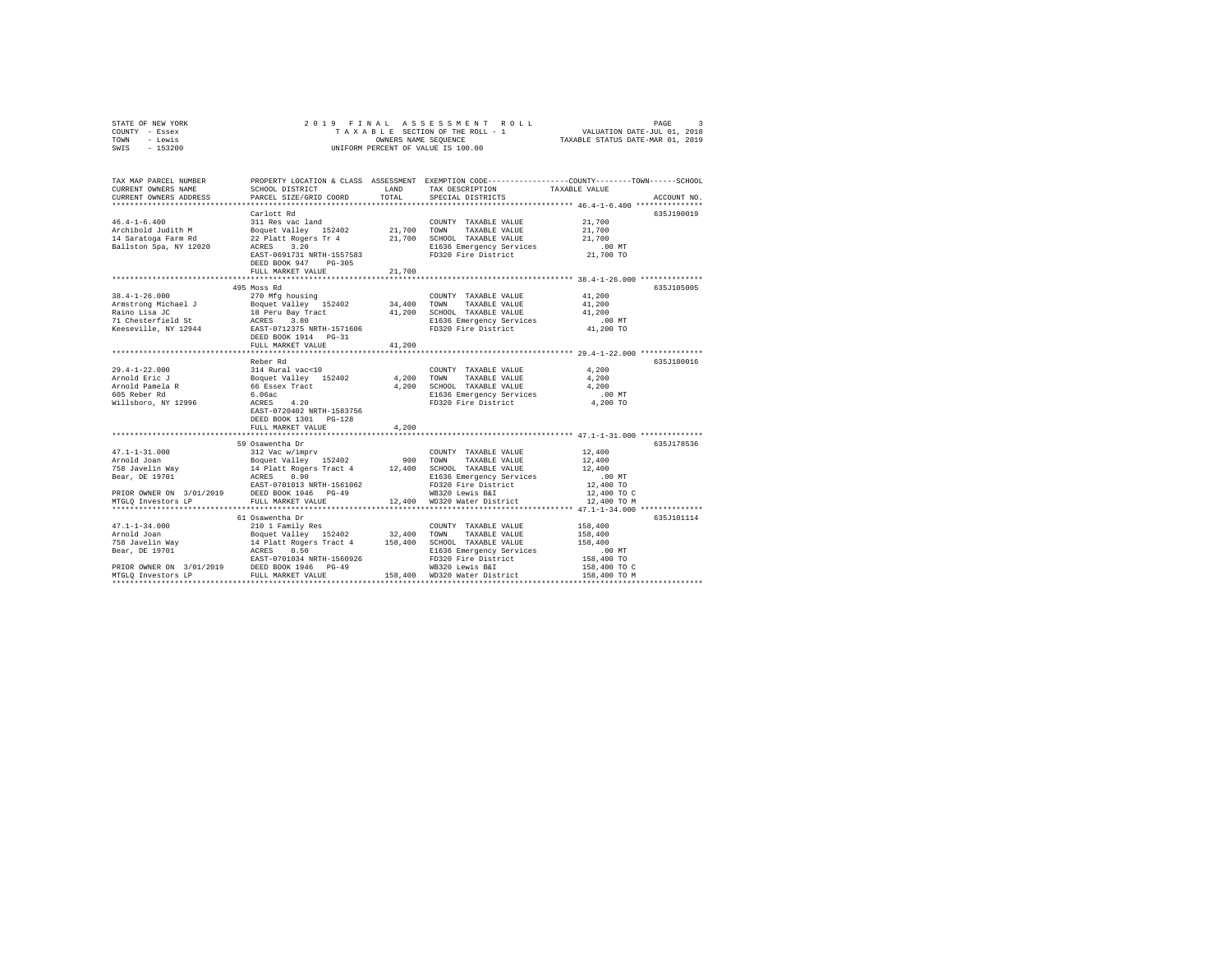| STATE OF NEW YORK<br>COUNTY - Essex                                                                                                                                                                                                                                                                                                                                                               | 2019 FINAL                                                                                               |                      | ASSESSMENT ROLL<br>TAXABLE SECTION OF THE ROLL - 1 | 3<br>PAGE<br>VALUATION DATE-JUL 01, 2018                                                       |  |  |  |  |
|---------------------------------------------------------------------------------------------------------------------------------------------------------------------------------------------------------------------------------------------------------------------------------------------------------------------------------------------------------------------------------------------------|----------------------------------------------------------------------------------------------------------|----------------------|----------------------------------------------------|------------------------------------------------------------------------------------------------|--|--|--|--|
| TOWN<br>- Lewis                                                                                                                                                                                                                                                                                                                                                                                   |                                                                                                          | OWNERS NAME SEQUENCE |                                                    | TAXABLE STATUS DATE-MAR 01, 2019                                                               |  |  |  |  |
| SWIS<br>$-153200$                                                                                                                                                                                                                                                                                                                                                                                 | UNIFORM PERCENT OF VALUE IS 100.00                                                                       |                      |                                                    |                                                                                                |  |  |  |  |
|                                                                                                                                                                                                                                                                                                                                                                                                   |                                                                                                          |                      |                                                    |                                                                                                |  |  |  |  |
| TAX MAP PARCEL NUMBER                                                                                                                                                                                                                                                                                                                                                                             |                                                                                                          |                      |                                                    | PROPERTY LOCATION & CLASS ASSESSMENT EXEMPTION CODE---------------COUNTY-------TOWN-----SCHOOL |  |  |  |  |
| CURRENT OWNERS NAME                                                                                                                                                                                                                                                                                                                                                                               | SCHOOL DISTRICT                                                                                          | LAND                 | TAX DESCRIPTION                                    | TAXABLE VALUE                                                                                  |  |  |  |  |
| CURRENT OWNERS ADDRESS                                                                                                                                                                                                                                                                                                                                                                            | PARCEL SIZE/GRID COORD                                                                                   | TOTAL                | SPECIAL DISTRICTS                                  | ACCOUNT NO.                                                                                    |  |  |  |  |
|                                                                                                                                                                                                                                                                                                                                                                                                   |                                                                                                          |                      |                                                    |                                                                                                |  |  |  |  |
|                                                                                                                                                                                                                                                                                                                                                                                                   | Carlott Rd                                                                                               |                      |                                                    | 635J190019                                                                                     |  |  |  |  |
| $46.4 - 1 - 6.400$                                                                                                                                                                                                                                                                                                                                                                                | 311 Res vac land                                                                                         |                      | COUNTY TAXABLE VALUE                               | 21,700                                                                                         |  |  |  |  |
| Archibold Judith M                                                                                                                                                                                                                                                                                                                                                                                | Boquet Valley 152402                                                                                     | 21,700               | TOWN<br>TAXABLE VALUE                              | 21,700                                                                                         |  |  |  |  |
| 14 Saratoga Farm Rd                                                                                                                                                                                                                                                                                                                                                                               | 22 Platt Rogers Tr 4<br>ACRES 3.20                                                                       | 21,700               | SCHOOL TAXABLE VALUE                               | 21,700                                                                                         |  |  |  |  |
| Ballston Spa, NY 12020                                                                                                                                                                                                                                                                                                                                                                            | ACRES 3.20                                                                                               |                      | E1636 Emergency Services                           | .00MT                                                                                          |  |  |  |  |
|                                                                                                                                                                                                                                                                                                                                                                                                   | EAST-0691731 NRTH-1557583                                                                                |                      | FD320 Fire District                                | 21,700 TO                                                                                      |  |  |  |  |
|                                                                                                                                                                                                                                                                                                                                                                                                   | DEED BOOK 947 PG-305                                                                                     |                      |                                                    |                                                                                                |  |  |  |  |
|                                                                                                                                                                                                                                                                                                                                                                                                   | FULL MARKET VALUE                                                                                        | 21,700               |                                                    |                                                                                                |  |  |  |  |
|                                                                                                                                                                                                                                                                                                                                                                                                   |                                                                                                          | *************        |                                                    |                                                                                                |  |  |  |  |
|                                                                                                                                                                                                                                                                                                                                                                                                   | 495 Moss Rd                                                                                              |                      |                                                    | 635J105005                                                                                     |  |  |  |  |
| $38.4 - 1 - 26.000$                                                                                                                                                                                                                                                                                                                                                                               | 270 Mfg housing                                                                                          |                      | COUNTY TAXABLE VALUE                               | 41,200                                                                                         |  |  |  |  |
| Armstrong Michael J                                                                                                                                                                                                                                                                                                                                                                               | Boquet Valley 152402                                                                                     | 34,400               | TOWN<br>TAXABLE VALUE                              | 41,200                                                                                         |  |  |  |  |
| Raino Lisa JC                                                                                                                                                                                                                                                                                                                                                                                     | 18 Peru Bay Tract<br>ACRES 3.80                                                                          | 41,200               | SCHOOL TAXABLE VALUE                               | 41,200                                                                                         |  |  |  |  |
| 71 Chesterfield St                                                                                                                                                                                                                                                                                                                                                                                |                                                                                                          |                      | E1636 Emergency Services                           | .00 MT                                                                                         |  |  |  |  |
| Keeseville, NY 12944                                                                                                                                                                                                                                                                                                                                                                              | EAST-0712375 NRTH-1571606                                                                                |                      | FD320 Fire District                                | 41,200 TO                                                                                      |  |  |  |  |
|                                                                                                                                                                                                                                                                                                                                                                                                   | DEED BOOK 1914 PG-31                                                                                     |                      |                                                    |                                                                                                |  |  |  |  |
|                                                                                                                                                                                                                                                                                                                                                                                                   | FULL MARKET VALUE                                                                                        | 41,200               |                                                    |                                                                                                |  |  |  |  |
|                                                                                                                                                                                                                                                                                                                                                                                                   |                                                                                                          |                      |                                                    |                                                                                                |  |  |  |  |
|                                                                                                                                                                                                                                                                                                                                                                                                   | Reber Rd                                                                                                 |                      |                                                    | 635J180016                                                                                     |  |  |  |  |
| $29.4 - 1 - 22.000$                                                                                                                                                                                                                                                                                                                                                                               | 314 Rural vac<10                                                                                         |                      | COUNTY TAXABLE VALUE                               | 4,200<br>4,200                                                                                 |  |  |  |  |
| Arnold Eric J<br>Arnold Pamela R                                                                                                                                                                                                                                                                                                                                                                  | Boquet Valley 152402<br>66 Essex Tract                                                                   | 4,200<br>4,200       | TAXABLE VALUE<br>TOWN                              | 4,200                                                                                          |  |  |  |  |
| 605 Reber Rd                                                                                                                                                                                                                                                                                                                                                                                      | 6.06ac                                                                                                   |                      | SCHOOL TAXABLE VALUE<br>E1636 Emergency Services   | $.00$ MT                                                                                       |  |  |  |  |
| Willsboro, NY 12996                                                                                                                                                                                                                                                                                                                                                                               | ACRES 4.20                                                                                               |                      | FD320 Fire District                                | 4,200 TO                                                                                       |  |  |  |  |
|                                                                                                                                                                                                                                                                                                                                                                                                   | EAST-0720402 NRTH-1583756                                                                                |                      |                                                    |                                                                                                |  |  |  |  |
|                                                                                                                                                                                                                                                                                                                                                                                                   | DEED BOOK 1301 PG-128                                                                                    |                      |                                                    |                                                                                                |  |  |  |  |
|                                                                                                                                                                                                                                                                                                                                                                                                   | FULL MARKET VALUE                                                                                        | 4,200                |                                                    |                                                                                                |  |  |  |  |
|                                                                                                                                                                                                                                                                                                                                                                                                   |                                                                                                          |                      |                                                    |                                                                                                |  |  |  |  |
|                                                                                                                                                                                                                                                                                                                                                                                                   | 59 Osawentha Dr                                                                                          |                      |                                                    | 635J178536                                                                                     |  |  |  |  |
| $47.1 - 1 - 31.000$                                                                                                                                                                                                                                                                                                                                                                               | 312 Vac w/imprv                                                                                          |                      | COUNTY TAXABLE VALUE                               | 12,400                                                                                         |  |  |  |  |
| Arnold Joan                                                                                                                                                                                                                                                                                                                                                                                       | Boquet Valley 152402 900                                                                                 |                      | TAXABLE VALUE<br>TOWN                              | 12,400                                                                                         |  |  |  |  |
| 758 Javelin Way                                                                                                                                                                                                                                                                                                                                                                                   |                                                                                                          |                      | 12,400 SCHOOL TAXABLE VALUE                        | 12,400                                                                                         |  |  |  |  |
| 758 Javellin 112                                                                                                                                                                                                                                                                                                                                                                                  | 14 Platt Rogers Tract 4<br>ACRES 0.90                                                                    |                      | E1636 Emergency Services                           | .00 MT                                                                                         |  |  |  |  |
|                                                                                                                                                                                                                                                                                                                                                                                                   | EAST-0701013 NRTH-1561062                                                                                |                      | FD320 Fire District                                | 12,400 TO                                                                                      |  |  |  |  |
| EAST-0701013 NRTH-1561062<br>PRIOR OWNER ON 3/01/2019 DEED BOOK 1946 PG-49<br>MTGLO Investors LP RULL MARKET VALUE                                                                                                                                                                                                                                                                                |                                                                                                          |                      | WB320 Lewis B&I                                    | 12,400 TO C                                                                                    |  |  |  |  |
| MTGLQ Investors LP                                                                                                                                                                                                                                                                                                                                                                                | FULL MARKET VALUE                                                                                        |                      | 12,400 WD320 Water District                        | 12,400 TO M                                                                                    |  |  |  |  |
|                                                                                                                                                                                                                                                                                                                                                                                                   |                                                                                                          |                      |                                                    |                                                                                                |  |  |  |  |
|                                                                                                                                                                                                                                                                                                                                                                                                   | 61 Osawentha Dr                                                                                          |                      |                                                    | 635J101114                                                                                     |  |  |  |  |
| $47.1 - 1 - 34.000$                                                                                                                                                                                                                                                                                                                                                                               | 210 1 Family Res                                                                                         |                      | COUNTY TAXABLE VALUE                               | 158,400                                                                                        |  |  |  |  |
| Arnold Joan                                                                                                                                                                                                                                                                                                                                                                                       | --- - ------- ---- -- --<br>Boquet Valley 152402 32,400<br>14 Platt Rogers Tract 4 158,400<br>ACRES 0.50 |                      | TOWN<br>TAXABLE VALUE                              | 158,400                                                                                        |  |  |  |  |
| 758 Javelin Way                                                                                                                                                                                                                                                                                                                                                                                   |                                                                                                          |                      | 158,400 SCHOOL TAXABLE VALUE                       | 158,400                                                                                        |  |  |  |  |
| $P_{20}$ Javesson $$                                                                                                                                                                                                                                                                                                                                                                              |                                                                                                          |                      | E1636 Emergency Services                           | $.00$ MT                                                                                       |  |  |  |  |
|                                                                                                                                                                                                                                                                                                                                                                                                   |                                                                                                          |                      | FD320 Fire District                                | 158,400 TO                                                                                     |  |  |  |  |
| $\begin{tabular}{ll} \texttt{PRTOR} & \texttt{u.-u} & \texttt{u.034} \\ \texttt{PRTOR} & \texttt{SNR} \texttt{TR} - \texttt{1560926} \\ \texttt{DRED BOR} & \texttt{DOR} \texttt{1946} & \texttt{PG} - \texttt{49} \\ \texttt{MTGLO} & \texttt{INPQ} \texttt{C} & \texttt{FUL} \texttt{MARKET} \texttt{var} \texttt{ir} \\ \texttt{HUL} & \texttt{MARKET} \texttt{var} \texttt{ir} \end{tabular}$ |                                                                                                          |                      | WB320 Lewis B&I                                    | 158,400 TO C                                                                                   |  |  |  |  |
|                                                                                                                                                                                                                                                                                                                                                                                                   |                                                                                                          |                      | 158,400 WD320 Water District                       | 158,400 TO M                                                                                   |  |  |  |  |
|                                                                                                                                                                                                                                                                                                                                                                                                   |                                                                                                          |                      |                                                    | *******************                                                                            |  |  |  |  |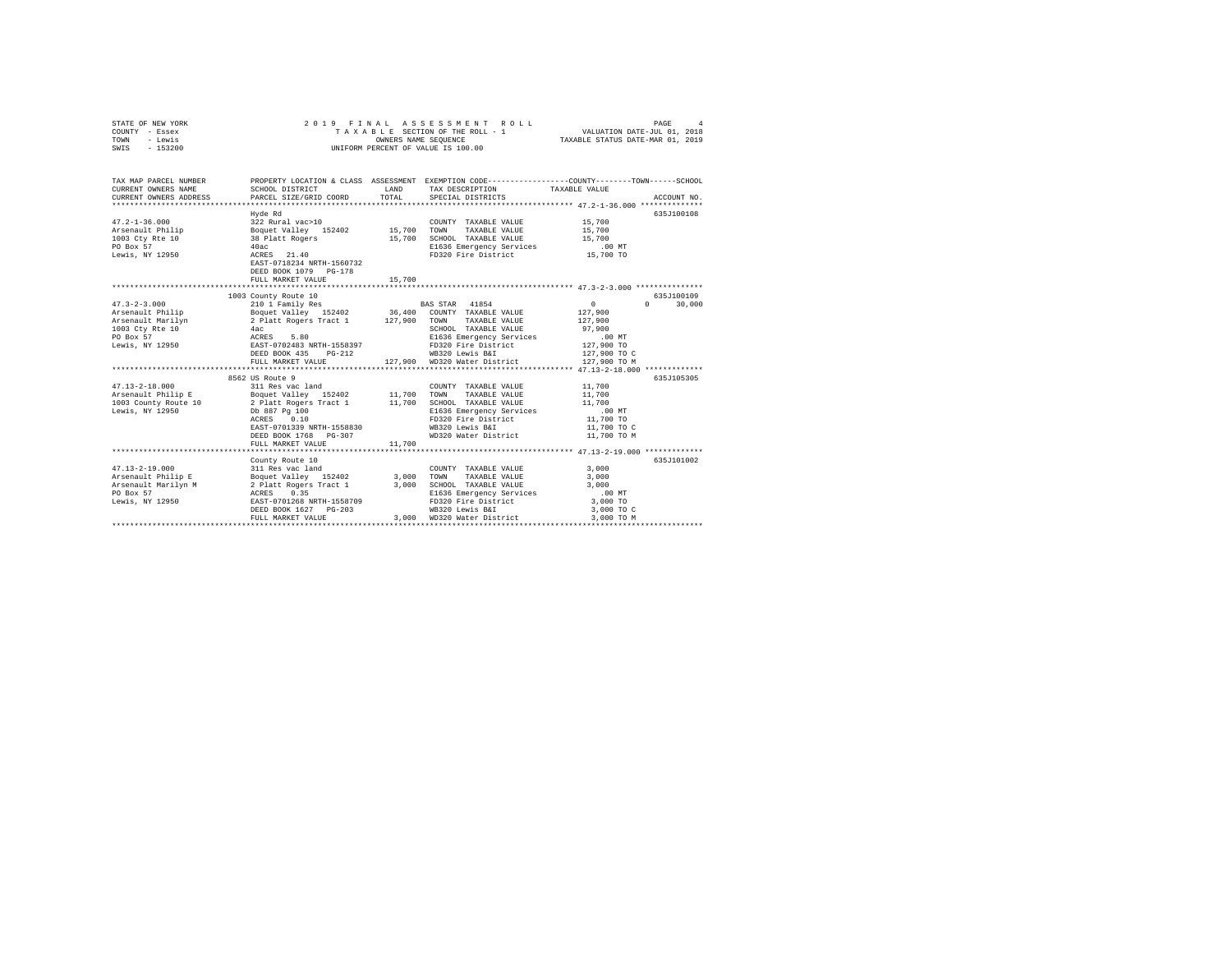| STATE OF NEW YORK<br>COUNTY - Essex<br>TOWN<br>- Lewis<br>$-153200$<br>SWIS                                                                                                                             | 2019 FINAL                                                                                                                                                                                                                                                                                                                                        | OWNERS NAME SEQUENCE                   | ASSESSMENT<br>ROLL<br>TAXABLE SECTION OF THE ROLL - 1<br>UNIFORM PERCENT OF VALUE IS 100.00                                                                                                                                                                                                                                                 | VALUATION DATE-JUL 01, 2018<br>TAXABLE STATUS DATE-MAR 01, 2019                                                                                                         | PAGE                                           |
|---------------------------------------------------------------------------------------------------------------------------------------------------------------------------------------------------------|---------------------------------------------------------------------------------------------------------------------------------------------------------------------------------------------------------------------------------------------------------------------------------------------------------------------------------------------------|----------------------------------------|---------------------------------------------------------------------------------------------------------------------------------------------------------------------------------------------------------------------------------------------------------------------------------------------------------------------------------------------|-------------------------------------------------------------------------------------------------------------------------------------------------------------------------|------------------------------------------------|
| TAX MAP PARCEL NUMBER<br>CURRENT OWNERS NAME<br>CURRENT OWNERS ADDRESS<br>*************************                                                                                                     | SCHOOL DISTRICT<br>PARCEL SIZE/GRID COORD                                                                                                                                                                                                                                                                                                         | LAND<br>TOTAL                          | PROPERTY LOCATION & CLASS ASSESSMENT EXEMPTION CODE---------------COUNTY-------TOWN------SCHOOL<br>TAX DESCRIPTION<br>SPECIAL DISTRICTS                                                                                                                                                                                                     | TAXABLE VALUE                                                                                                                                                           | ACCOUNT NO.                                    |
|                                                                                                                                                                                                         |                                                                                                                                                                                                                                                                                                                                                   |                                        |                                                                                                                                                                                                                                                                                                                                             |                                                                                                                                                                         |                                                |
| $47.2 - 1 - 36.000$<br>Arsenault Philip<br>1003 Ctv Rte 10<br>PO Box 57<br>Lewis, NY 12950                                                                                                              | Hyde Rd<br>322 Rural vac>10<br>Boquet Valley 152402<br>Boquet Valley 152402<br>38 Platt Rogers<br>40ac<br>ACRES 21.40<br>EAST-0718234 NRTH-1560732<br>DEED BOOK 1079 PG-178                                                                                                                                                                       | 15,700<br>15,700                       | COUNTY TAXABLE VALUE<br>TOWN<br>TAXABLE VALUE<br>SCHOOL TAXABLE VALUE<br>E1636 Emergency Services<br>FD320 Fire District                                                                                                                                                                                                                    | 15,700<br>15,700<br>15,700<br>$.00$ MT<br>15,700 TO                                                                                                                     | 635J100108                                     |
|                                                                                                                                                                                                         | FULL MARKET VALUE                                                                                                                                                                                                                                                                                                                                 | 15,700                                 |                                                                                                                                                                                                                                                                                                                                             |                                                                                                                                                                         |                                                |
|                                                                                                                                                                                                         |                                                                                                                                                                                                                                                                                                                                                   |                                        |                                                                                                                                                                                                                                                                                                                                             |                                                                                                                                                                         |                                                |
| $47.3 - 2 - 3.000$<br>Arsenault Philip<br>Arsenault Marilyn<br>1003 Cty Rte 10<br>PO Box 57<br>Lewis, NY 12950<br>$47.13 - 2 - 18.000$<br>Arsenault Philip E<br>1003 County Route 10<br>Lewis, NY 12950 | 1003 County Route 10<br>210 1 Family Res<br>Boquet Valley 152402<br>2 Platt Rogers Tract 1<br>4ac<br>ACRES 5.80<br>EAST-0702483 NRTH-1558397<br>DEED BOOK 435<br>PG-212<br>FULL MARKET VALUE<br>8562 US Route 9<br>311 Res vac land<br>Boquet Valley 152402<br>2 Platt Rogers Tract 1<br>Db 887 Pg 100<br>ACRES 0.10<br>EAST-0701339 NRTH-1558830 | 127,900<br>127,900<br>11,700<br>11,700 | BAS STAR 41854<br>36,400 COUNTY TAXABLE VALUE<br>TOWN<br>TAXABLE VALUE<br>SCHOOL TAXABLE VALUE<br>E1636 Emergency Services<br>FD320 Fire District<br>WB320 Lewis B&I<br>WD320 Water District<br>COUNTY TAXABLE VALUE<br>TOWN<br>TAXABLE VALUE<br>SCHOOL TAXABLE VALUE<br>E1636 Emergency Services<br>FD320 Fire District<br>WB320 Lewis B&I | $\circ$<br>127,900<br>127,900<br>97,900<br>$.00$ MT<br>127,900 TO<br>127,900 TO C<br>127,900 TO M<br>11,700<br>11,700<br>11,700<br>$.00$ MT<br>11,700 TO<br>11,700 TO C | 635J100109<br>$\Omega$<br>30,000<br>635J105305 |
|                                                                                                                                                                                                         | DEED BOOK 1768 PG-307<br>FULL MARKET VALUE                                                                                                                                                                                                                                                                                                        | 11,700                                 | WD320 Water District                                                                                                                                                                                                                                                                                                                        | 11,700 TO M                                                                                                                                                             |                                                |
|                                                                                                                                                                                                         |                                                                                                                                                                                                                                                                                                                                                   |                                        |                                                                                                                                                                                                                                                                                                                                             |                                                                                                                                                                         |                                                |
| $47.13 - 2 - 19.000$<br>Arsenault Philip E<br>Arsenault Marilyn M<br>PO Box 57<br>Lewis, NY 12950                                                                                                       | County Route 10<br>311 Res vac land<br>Boquet Valley 152402<br>2 Platt Rogers Tract 1<br>ACRES 0.35<br>EAST-0701268 NRTH-1558709<br>DEED BOOK 1627 PG-203<br>FULL MARKET VALUE                                                                                                                                                                    | 3,000<br>3.000                         | COUNTY TAXABLE VALUE<br>TOWN<br>TAXABLE VALUE<br>SCHOOL TAXABLE VALUE<br>E1636 Emergency Services<br>FD320 Fire District<br>WB320 Lewis B&I<br>3,000 WD320 Water District                                                                                                                                                                   | 3.000<br>3,000<br>3.000<br>.00 MT<br>3,000 TO<br>3,000 TO C<br>3,000 TO M                                                                                               | 635J101002                                     |
|                                                                                                                                                                                                         |                                                                                                                                                                                                                                                                                                                                                   |                                        |                                                                                                                                                                                                                                                                                                                                             |                                                                                                                                                                         |                                                |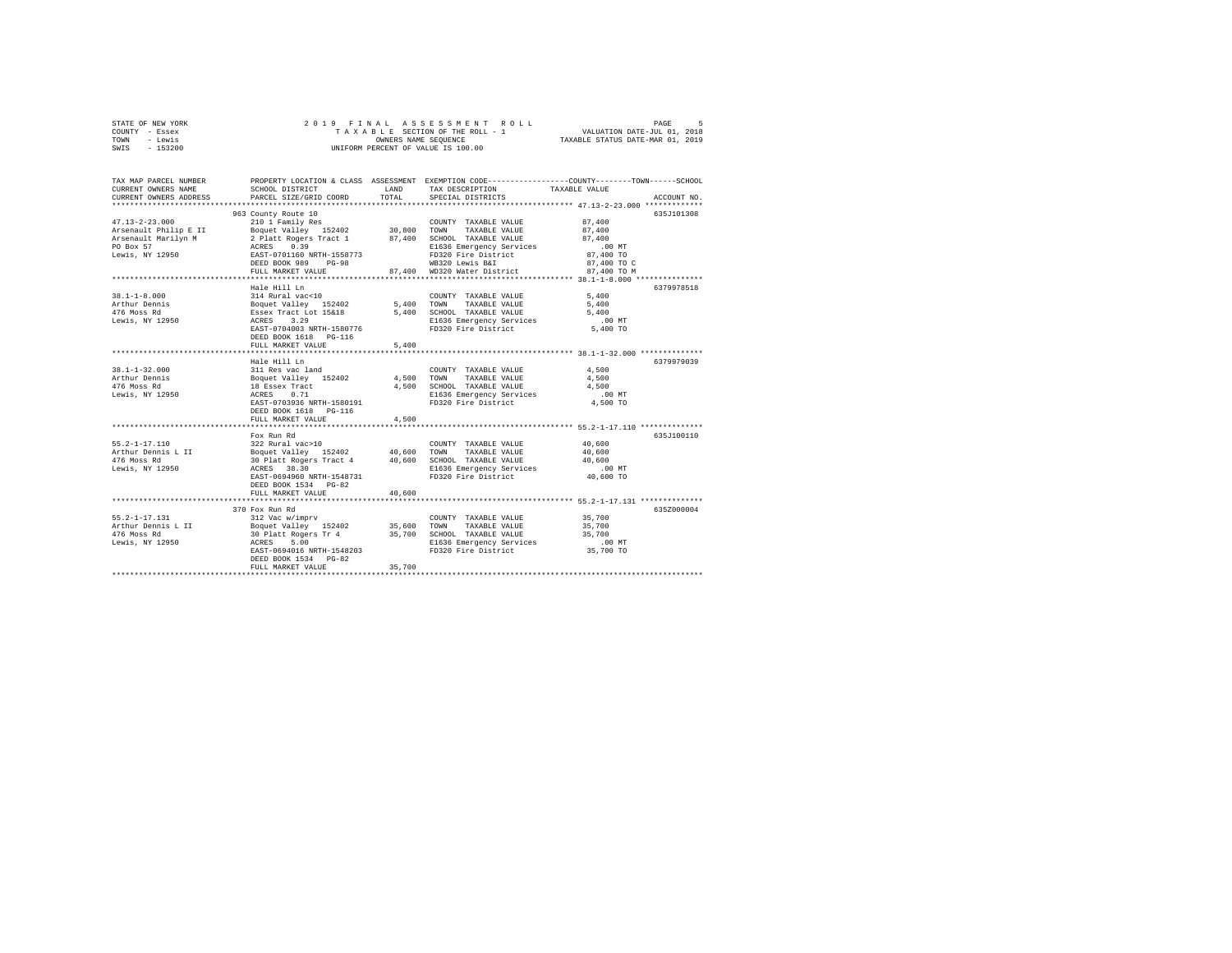| STATE OF NEW YORK | 2019 FINAL ASSESSMENT ROLL         | PAGE                             |
|-------------------|------------------------------------|----------------------------------|
| COUNTY - Essex    | TAXABLE SECTION OF THE ROLL - 1    | VALUATION DATE-JUL 01, 2018      |
| TOWN<br>- Lewis   | OWNERS NAME SEOUENCE               | TAXABLE STATUS DATE-MAR 01, 2019 |
| $-153200$<br>SWIS | UNIFORM PERCENT OF VALUE IS 100.00 |                                  |

| TAX MAP PARCEL NUMBER<br>CURRENT OWNERS NAME<br>CURRENT OWNERS ADDRESS<br>************************* | SCHOOL DISTRICT<br>PARCEL SIZE/GRID COORD     | LAND<br>TOTAL | PROPERTY LOCATION & CLASS ASSESSMENT EXEMPTION CODE----------------COUNTY-------TOWN-----SCHOOL<br>TAX DESCRIPTION<br>SPECIAL DISTRICTS | TAXABLE VALUE | ACCOUNT NO. |
|-----------------------------------------------------------------------------------------------------|-----------------------------------------------|---------------|-----------------------------------------------------------------------------------------------------------------------------------------|---------------|-------------|
|                                                                                                     | 963 County Route 10                           |               |                                                                                                                                         |               | 635J101308  |
| $47.13 - 2 - 23.000$                                                                                | 210 1 Family Res                              |               | COUNTY TAXABLE VALUE                                                                                                                    | 87,400        |             |
|                                                                                                     |                                               |               |                                                                                                                                         | 87,400        |             |
|                                                                                                     |                                               |               |                                                                                                                                         | 87,400        |             |
|                                                                                                     |                                               |               |                                                                                                                                         | .00MT         |             |
|                                                                                                     |                                               |               |                                                                                                                                         | 87,400 TO     |             |
|                                                                                                     | DEED BOOK 989<br>$PG-98$                      |               | FD320 Fire District<br>WB320 Lewis B&I                                                                                                  | 87,400 TO C   |             |
|                                                                                                     | FULL MARKET VALUE                             |               | 87,400 WD320 Water District                                                                                                             | 87,400 TO M   |             |
|                                                                                                     |                                               |               |                                                                                                                                         |               |             |
|                                                                                                     | Hale Hill Ln                                  |               |                                                                                                                                         |               | 6379978518  |
| $38.1 - 1 - 8.000$                                                                                  | 314 Rural vac<10                              |               | COUNTY TAXABLE VALUE                                                                                                                    | 5,400         |             |
| Arthur Dennis                                                                                       |                                               |               | 5,400 TOWN TAXABLE VALUE                                                                                                                | 5,400         |             |
| 476 Moss Rd                                                                                         | Boquet Valley 152402<br>Essex Tract Lot 15&18 |               | 5,400 SCHOOL TAXABLE VALUE                                                                                                              | 5,400         |             |
| Lewis, NY 12950                                                                                     | ACRES 3.29                                    |               |                                                                                                                                         | $.00$ MT      |             |
|                                                                                                     | EAST-0704003 NRTH-1580776                     |               | E1636 Emergency Services<br>FD320 Fire District                                                                                         | 5,400 TO      |             |
|                                                                                                     | DEED BOOK 1618 PG-116                         |               |                                                                                                                                         |               |             |
|                                                                                                     | FULL MARKET VALUE                             | 5,400         |                                                                                                                                         |               |             |
|                                                                                                     |                                               |               |                                                                                                                                         |               |             |
|                                                                                                     | Hale Hill Ln                                  |               |                                                                                                                                         |               | 6379979039  |
| $38.1 - 1 - 32.000$                                                                                 |                                               |               | COUNTY TAXABLE VALUE                                                                                                                    |               |             |
| Arthur Dennis                                                                                       |                                               |               |                                                                                                                                         |               |             |
| 476 Moss Rd                                                                                         |                                               |               |                                                                                                                                         |               |             |
| Lewis, NY 12950                                                                                     |                                               |               | E1636 Emergency Services                                                                                                                | $.00$ MT      |             |
|                                                                                                     | EAST-0703936 NRTH-1580191                     |               | FD320 Fire District                                                                                                                     | 4,500 TO      |             |
|                                                                                                     | DEED BOOK 1618 PG-116                         |               |                                                                                                                                         |               |             |
|                                                                                                     | FULL MARKET VALUE                             | 4,500         |                                                                                                                                         |               |             |
|                                                                                                     |                                               |               |                                                                                                                                         |               |             |
|                                                                                                     | Fox Run Rd                                    |               |                                                                                                                                         |               | 635J100110  |
| $55.2 - 1 - 17.110$                                                                                 | 322 Rural vac>10                              |               | COUNTY TAXABLE VALUE                                                                                                                    | 40,600        |             |
|                                                                                                     |                                               |               |                                                                                                                                         |               |             |
|                                                                                                     |                                               |               |                                                                                                                                         |               |             |
|                                                                                                     |                                               |               |                                                                                                                                         |               |             |
|                                                                                                     | EAST-0694960 NRTH-1548731                     |               | FD320 Fire District                                                                                                                     | 40,600 TO     |             |
|                                                                                                     | DEED BOOK 1534 PG-82                          |               |                                                                                                                                         |               |             |
|                                                                                                     | FULL MARKET VALUE                             | 40,600        |                                                                                                                                         |               |             |
|                                                                                                     |                                               |               |                                                                                                                                         |               |             |
|                                                                                                     | 370 Fox Run Rd                                |               |                                                                                                                                         |               | 635Z000004  |
| $55.2 - 1 - 17.131$                                                                                 | 312 Vac w/imprv                               |               | COUNTY TAXABLE VALUE                                                                                                                    | 35,700        |             |
|                                                                                                     |                                               |               |                                                                                                                                         | 35,700        |             |
|                                                                                                     |                                               |               | 35,600 TOWN TAXABLE VALUE<br>35,700 SCHOOL TAXABLE VALUE                                                                                | 35,700        |             |
|                                                                                                     |                                               |               |                                                                                                                                         |               |             |
|                                                                                                     | EAST-0694016 NRTH-1548203                     |               | E1636 Emergency Services .00 MT<br>FD320 Fire District  35,700 TO                                                                       |               |             |
|                                                                                                     | DEED BOOK 1534 PG-82                          |               |                                                                                                                                         |               |             |
|                                                                                                     | FULL MARKET VALUE                             | 35,700        |                                                                                                                                         |               |             |
|                                                                                                     |                                               |               |                                                                                                                                         |               |             |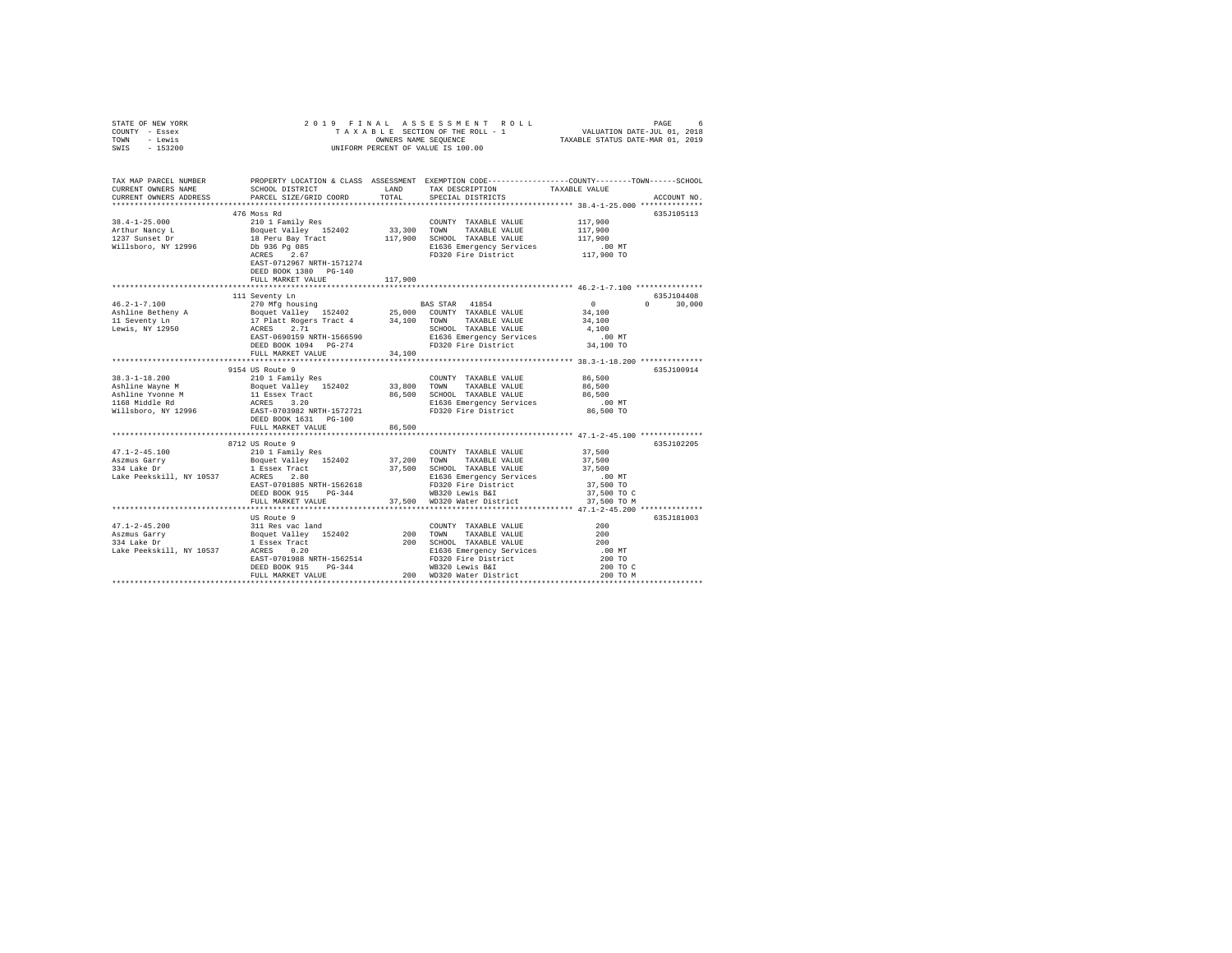| STATE OF NEW YORK<br>COUNTY - Essex<br>TOWN - Lewis<br>SWIS - 153200                                                                                                                                                                                                                                                                                                                                         |                                                    |         | OWNERS NAME SEQUENCE<br>UNIFORM PERCENT OF VALUE IS 100.00                                              | $\begin{tabular}{ccccc} 2 & 0 & 1 & 9 & F\wr\text{N} & A\wr\text{L} & A\subseteq S & S\subseteq S & S\subseteq M\to N & D\cap S \\ & T & A\lor A\lor B\sqcup E & S\text{ECTCON OF THE ROLL} & -1 & & \text{VALUATION DATE–JUL D1, 2018 \\ & \text{OWMERE-SNAME SET UP} & 0 & 0.00 & TAXABLE STATE-MAR 01, 2019 \\ \end{tabular}$ |
|--------------------------------------------------------------------------------------------------------------------------------------------------------------------------------------------------------------------------------------------------------------------------------------------------------------------------------------------------------------------------------------------------------------|----------------------------------------------------|---------|---------------------------------------------------------------------------------------------------------|----------------------------------------------------------------------------------------------------------------------------------------------------------------------------------------------------------------------------------------------------------------------------------------------------------------------------------|
| TAX MAP PARCEL NUMBER<br>CURRENT OWNERS NAME<br>CURRENT OWNERS ADDRESS PARCEL SIZE/GRID COORD TOTAL                                                                                                                                                                                                                                                                                                          | SCHOOL DISTRICT LAND                               |         | TAX DESCRIPTION<br>SPECIAL DISTRICTS                                                                    | PROPERTY LOCATION & CLASS ASSESSMENT EXEMPTION CODE---------------COUNTY-------TOWN-----SCHOOL<br>TAXABLE VALUE<br>ACCOUNT NO.                                                                                                                                                                                                   |
|                                                                                                                                                                                                                                                                                                                                                                                                              | 476 Moss Rd                                        |         |                                                                                                         | 635J105113                                                                                                                                                                                                                                                                                                                       |
|                                                                                                                                                                                                                                                                                                                                                                                                              |                                                    |         |                                                                                                         |                                                                                                                                                                                                                                                                                                                                  |
|                                                                                                                                                                                                                                                                                                                                                                                                              |                                                    |         |                                                                                                         |                                                                                                                                                                                                                                                                                                                                  |
|                                                                                                                                                                                                                                                                                                                                                                                                              |                                                    |         |                                                                                                         |                                                                                                                                                                                                                                                                                                                                  |
|                                                                                                                                                                                                                                                                                                                                                                                                              |                                                    |         |                                                                                                         |                                                                                                                                                                                                                                                                                                                                  |
|                                                                                                                                                                                                                                                                                                                                                                                                              | EAST-0712967 NRTH-1571274<br>DEED BOOK 1380 PG-140 |         |                                                                                                         |                                                                                                                                                                                                                                                                                                                                  |
|                                                                                                                                                                                                                                                                                                                                                                                                              | FULL MARKET VALUE                                  | 117,900 |                                                                                                         |                                                                                                                                                                                                                                                                                                                                  |
|                                                                                                                                                                                                                                                                                                                                                                                                              |                                                    |         |                                                                                                         | 635J104408                                                                                                                                                                                                                                                                                                                       |
| $\begin{tabular}{lcccc} 46.2--1-7.100 & & & 111. \text{Seventy in} & & & & \text{RAS STRR} & 41634 \\ \text{Ashline Betweeny A} & 270\ \text{Mg} \text{ housing} & 25,000\ \text{COUNTY} & 74 X A B L E V A L U E & 34,100 \\ \text{Ashline Betweeny A} & 17 \ \text{Platt. Rogers} & 72.71 & & & \\ 11. \text{Seventy In} & 17 \ \text{Platt. Rogers} & 2.71 & & & \\ 25,000\ \text{CONTYT} & 74 X A B L E$ |                                                    |         |                                                                                                         | $0 \t 30.000$                                                                                                                                                                                                                                                                                                                    |
|                                                                                                                                                                                                                                                                                                                                                                                                              |                                                    |         |                                                                                                         |                                                                                                                                                                                                                                                                                                                                  |
|                                                                                                                                                                                                                                                                                                                                                                                                              |                                                    |         |                                                                                                         |                                                                                                                                                                                                                                                                                                                                  |
|                                                                                                                                                                                                                                                                                                                                                                                                              |                                                    |         |                                                                                                         |                                                                                                                                                                                                                                                                                                                                  |
|                                                                                                                                                                                                                                                                                                                                                                                                              |                                                    |         |                                                                                                         |                                                                                                                                                                                                                                                                                                                                  |
|                                                                                                                                                                                                                                                                                                                                                                                                              |                                                    |         |                                                                                                         |                                                                                                                                                                                                                                                                                                                                  |
|                                                                                                                                                                                                                                                                                                                                                                                                              |                                                    |         |                                                                                                         |                                                                                                                                                                                                                                                                                                                                  |
|                                                                                                                                                                                                                                                                                                                                                                                                              |                                                    |         |                                                                                                         |                                                                                                                                                                                                                                                                                                                                  |
|                                                                                                                                                                                                                                                                                                                                                                                                              | 9154 US Route 9                                    |         |                                                                                                         | 635J100914                                                                                                                                                                                                                                                                                                                       |
| $38.3 - 1 - 18.200$                                                                                                                                                                                                                                                                                                                                                                                          | 210 1 Family Res                                   |         | COUNTY TAXABLE VALUE 86,500                                                                             |                                                                                                                                                                                                                                                                                                                                  |
|                                                                                                                                                                                                                                                                                                                                                                                                              |                                                    |         |                                                                                                         | 86,500                                                                                                                                                                                                                                                                                                                           |
|                                                                                                                                                                                                                                                                                                                                                                                                              |                                                    |         |                                                                                                         | 86,500                                                                                                                                                                                                                                                                                                                           |
|                                                                                                                                                                                                                                                                                                                                                                                                              |                                                    |         | E1636 Emergency Services<br>FD320 Fire District                                                         | 00 MT.<br>86,500 TO                                                                                                                                                                                                                                                                                                              |
|                                                                                                                                                                                                                                                                                                                                                                                                              | DEED BOOK 1631 PG-100                              |         |                                                                                                         |                                                                                                                                                                                                                                                                                                                                  |
|                                                                                                                                                                                                                                                                                                                                                                                                              | FULL MARKET VALUE                                  | 86,500  |                                                                                                         |                                                                                                                                                                                                                                                                                                                                  |
|                                                                                                                                                                                                                                                                                                                                                                                                              |                                                    |         |                                                                                                         |                                                                                                                                                                                                                                                                                                                                  |
|                                                                                                                                                                                                                                                                                                                                                                                                              | 8712 US Route 9                                    |         |                                                                                                         | 635J102205                                                                                                                                                                                                                                                                                                                       |
|                                                                                                                                                                                                                                                                                                                                                                                                              |                                                    |         |                                                                                                         | 37,500                                                                                                                                                                                                                                                                                                                           |
|                                                                                                                                                                                                                                                                                                                                                                                                              |                                                    |         |                                                                                                         | 37,500                                                                                                                                                                                                                                                                                                                           |
|                                                                                                                                                                                                                                                                                                                                                                                                              |                                                    |         |                                                                                                         | 37,500                                                                                                                                                                                                                                                                                                                           |
|                                                                                                                                                                                                                                                                                                                                                                                                              |                                                    |         | ACRES 2.80<br>EAST-O701885 NRTH-1562618 . PD320 Fire District<br>DEED BOOK 915 PG-344 . WB320 Lewis B&I | $.00$ MT                                                                                                                                                                                                                                                                                                                         |
|                                                                                                                                                                                                                                                                                                                                                                                                              |                                                    |         |                                                                                                         | 37,500 TO                                                                                                                                                                                                                                                                                                                        |
|                                                                                                                                                                                                                                                                                                                                                                                                              |                                                    |         |                                                                                                         | 37,500 TO C                                                                                                                                                                                                                                                                                                                      |
|                                                                                                                                                                                                                                                                                                                                                                                                              |                                                    |         | FULL MARKET VALUE 37,500 WD320 Water District                                                           | 37,500 TO M                                                                                                                                                                                                                                                                                                                      |
|                                                                                                                                                                                                                                                                                                                                                                                                              |                                                    |         |                                                                                                         |                                                                                                                                                                                                                                                                                                                                  |
|                                                                                                                                                                                                                                                                                                                                                                                                              | US Route 9                                         |         |                                                                                                         | 635J181003<br>200                                                                                                                                                                                                                                                                                                                |
|                                                                                                                                                                                                                                                                                                                                                                                                              |                                                    |         |                                                                                                         | 200                                                                                                                                                                                                                                                                                                                              |
|                                                                                                                                                                                                                                                                                                                                                                                                              |                                                    |         |                                                                                                         | 200                                                                                                                                                                                                                                                                                                                              |
|                                                                                                                                                                                                                                                                                                                                                                                                              |                                                    |         |                                                                                                         | $.00$ MT                                                                                                                                                                                                                                                                                                                         |
|                                                                                                                                                                                                                                                                                                                                                                                                              |                                                    |         |                                                                                                         | 200 TO                                                                                                                                                                                                                                                                                                                           |
|                                                                                                                                                                                                                                                                                                                                                                                                              |                                                    |         |                                                                                                         |                                                                                                                                                                                                                                                                                                                                  |
|                                                                                                                                                                                                                                                                                                                                                                                                              |                                                    |         | FULL MARKET VALUE 200 WD320 Water District                                                              | 200 TO C<br>200 TO M                                                                                                                                                                                                                                                                                                             |
|                                                                                                                                                                                                                                                                                                                                                                                                              |                                                    |         |                                                                                                         |                                                                                                                                                                                                                                                                                                                                  |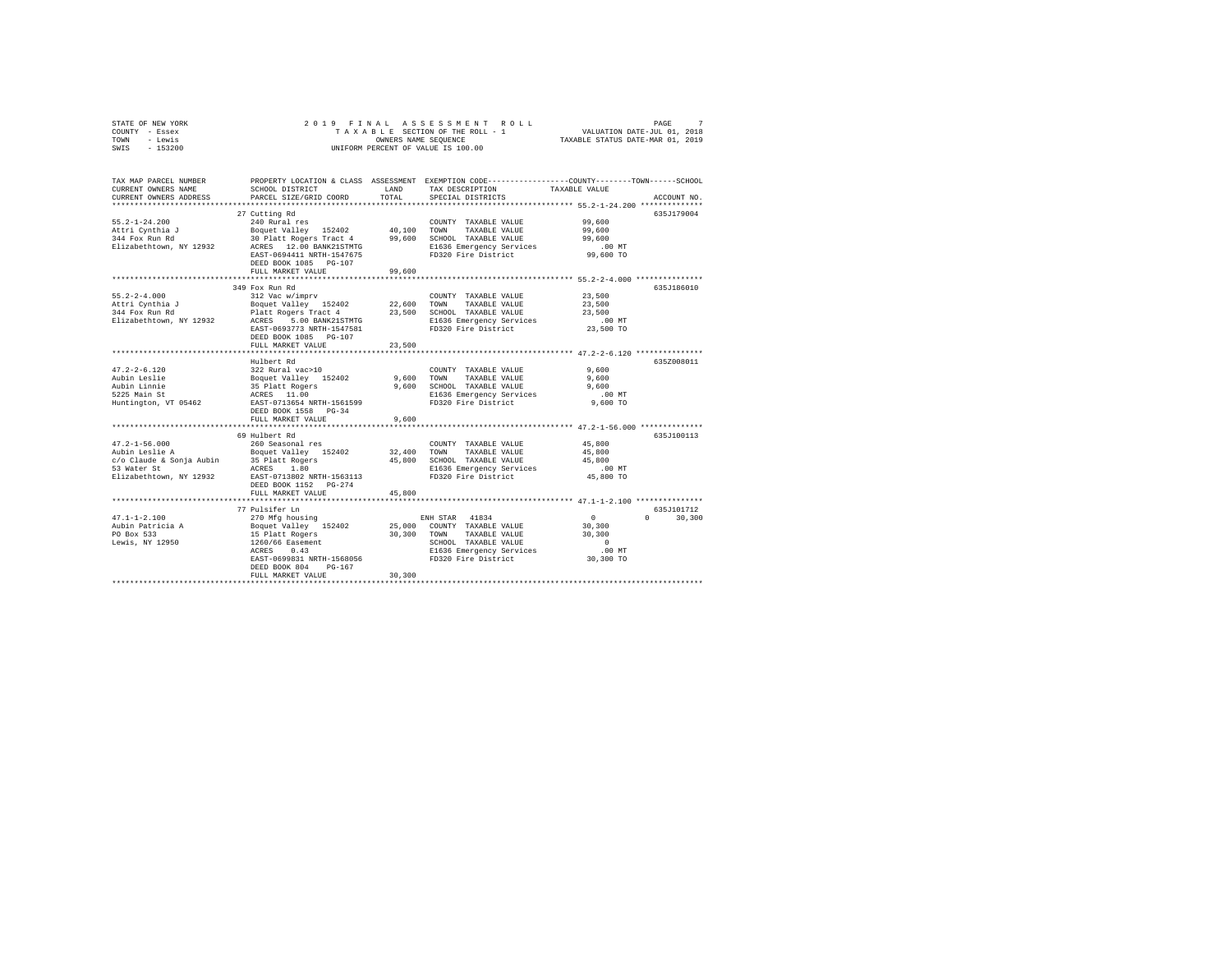|      | STATE OF NEW YORK |  |  |  | 2019 FINAL ASSESSMENT ROLL         |  |                                  | PAGE |  |
|------|-------------------|--|--|--|------------------------------------|--|----------------------------------|------|--|
|      | COUNTY - Essex    |  |  |  | TAXABLE SECTION OF THE ROLL - 1    |  | VALUATION DATE-JUL 01, 2018      |      |  |
| TOWN | - Lewis           |  |  |  | OWNERS NAME SEOUENCE               |  | TAXABLE STATUS DATE-MAR 01, 2019 |      |  |
| SWIS | $-153200$         |  |  |  | UNIFORM PERCENT OF VALUE IS 100.00 |  |                                  |      |  |

| TAX MAP PARCEL NUMBER<br>CURRENT OWNERS NAME        | SCHOOL DISTRICT                                        | LAND        | PROPERTY LOCATION & CLASS ASSESSMENT EXEMPTION CODE----------------COUNTY-------TOWN------SCHOOL<br>TAX DESCRIPTION | TAXABLE VALUE                                    |                    |
|-----------------------------------------------------|--------------------------------------------------------|-------------|---------------------------------------------------------------------------------------------------------------------|--------------------------------------------------|--------------------|
| CURRENT OWNERS ADDRESS<br>************************* | PARCEL SIZE/GRID COORD                                 | TOTAL       | SPECIAL DISTRICTS                                                                                                   |                                                  | ACCOUNT NO.        |
|                                                     | 27 Cutting Rd                                          |             |                                                                                                                     |                                                  | 635J179004         |
| $55.2 - 1 - 24.200$                                 | 240 Rural res                                          |             | COUNTY TAXABLE VALUE                                                                                                | 99,600                                           |                    |
| > ב-∠ ב-Attri Cynthia<br>הם יירה ב-Attri            | Boquet Valley 152402                                   | 40,100 TOWN | TAXABLE VALUE                                                                                                       | 99,600                                           |                    |
|                                                     | 30 Platt Rogers Tract 4 99,600                         |             | SCHOOL TAXABLE VALUE                                                                                                | 99,600                                           |                    |
| Elizabethtown, NY 12932                             | ACRES 12.00 BANK21STMTG                                |             | E1636 Emergency Services                                                                                            | $.00$ MT                                         |                    |
|                                                     | EAST-0694411 NRTH-1547675                              |             | FD320 Fire District                                                                                                 | 99,600 TO                                        |                    |
|                                                     | DEED BOOK 1085 PG-107                                  |             |                                                                                                                     |                                                  |                    |
|                                                     | FULL MARKET VALUE                                      | 99,600      |                                                                                                                     |                                                  |                    |
|                                                     |                                                        |             |                                                                                                                     |                                                  |                    |
|                                                     | 349 Fox Run Rd                                         |             |                                                                                                                     |                                                  | 635J186010         |
| $55.2 - 2 - 4.000$                                  | 312 Vac w/imprv                                        |             | COUNTY TAXABLE VALUE                                                                                                | 23,500                                           |                    |
| Attri Cynthia J                                     | Boquet Valley 152402                                   | 22,600      | TOWN<br>TAXABLE VALUE                                                                                               | 23,500                                           |                    |
| 344 Fox Run Rd                                      | Platt Rogers Tract 4                                   | 23,500      | SCHOOL TAXABLE VALUE                                                                                                | 23,500                                           |                    |
| Elizabethtown, NY 12932                             | ACRES 5.00 BANK21STMTG                                 |             | E1636 Emergency Services                                                                                            | $.00$ MT                                         |                    |
|                                                     | EAST-0693773 NRTH-1547581                              |             | FD320 Fire District                                                                                                 | 23,500 TO                                        |                    |
|                                                     | DEED BOOK 1085 PG-107                                  |             |                                                                                                                     |                                                  |                    |
|                                                     | FULL MARKET VALUE                                      | 23,500      |                                                                                                                     |                                                  |                    |
|                                                     |                                                        |             |                                                                                                                     |                                                  |                    |
|                                                     | Hulbert Rd                                             |             |                                                                                                                     |                                                  | 635Z008011         |
| $47.2 - 2 - 6.120$<br>Aubin Leslie                  | 322 Rural vac>10                                       |             | COUNTY TAXABLE VALUE<br>9.600 TOWN<br>TAXABLE VALUE                                                                 | 9,600<br>9,600                                   |                    |
| Aubin Linnie                                        | Poquet Valley 152402<br>35 Platt Rogers<br>ACRES 11.00 | 9.600       | SCHOOL TAXABLE VALUE                                                                                                | 9.600                                            |                    |
| 5225 Main St                                        |                                                        |             | E1636 Emergency Services                                                                                            | $.00$ MT                                         |                    |
| Huntington, VT 05462                                | EAST-0713654 NRTH-1561599                              |             | FD320 Fire District                                                                                                 | 9,600 TO                                         |                    |
|                                                     | DEED BOOK 1558 PG-34                                   |             |                                                                                                                     |                                                  |                    |
|                                                     | FULL MARKET VALUE                                      | 9,600       |                                                                                                                     |                                                  |                    |
|                                                     |                                                        |             |                                                                                                                     |                                                  |                    |
|                                                     | 69 Hulbert Rd                                          |             |                                                                                                                     |                                                  | 635J100113         |
| $47.2 - 1 - 56.000$                                 | 260 Seasonal res                                       |             | COUNTY TAXABLE VALUE                                                                                                | 45,800                                           |                    |
| Aubin Leslie A                                      |                                                        | 32,400      | TOWN<br>TAXABLE VALUE                                                                                               | 45,800                                           |                    |
| c/o Claude & Sonja Aubin                            | Boquet Valley 152402<br>152402 35 Platt Rogers         | 45,800      | SCHOOL TAXABLE VALUE                                                                                                | 45,800                                           |                    |
| 53 Water St                                         | ACRES<br>1.80                                          |             | E1636 Emergency Services                                                                                            | .00 MT                                           |                    |
| Elizabethtown, NY 12932                             | EAST-0713802 NRTH-1563113                              |             | FD320 Fire District                                                                                                 | 45,800 TO                                        |                    |
|                                                     | DEED BOOK 1152 PG-274                                  |             |                                                                                                                     |                                                  |                    |
|                                                     | FULL MARKET VALUE                                      | 45,800      |                                                                                                                     |                                                  |                    |
|                                                     |                                                        |             |                                                                                                                     | ******************* 47.1-1-2.100 *************** |                    |
|                                                     | 77 Pulsifer Ln                                         |             |                                                                                                                     |                                                  | 635J101712         |
| $47.1 - 1 - 2.100$                                  | 270 Mfg housing                                        |             | ENH STAR 41834                                                                                                      | $\mathbf{0}$                                     | $\Omega$<br>30,300 |
| Aubin Patricia A                                    | Boquet Valley 152402                                   | 25,000      | COUNTY TAXABLE VALUE                                                                                                | 30,300                                           |                    |
| PO Box 533                                          | 15 Platt Rogers<br>1260/66 Easement                    | 30,300      | TOWN<br>TAXABLE VALUE                                                                                               | 30,300<br>$\sim$ 0                               |                    |
| Lewis, NY 12950                                     | 0.43<br>ACRES                                          |             | SCHOOL TAXABLE VALUE<br>E1636 Emergency Services                                                                    | .00MT                                            |                    |
|                                                     | EAST-0699831 NRTH-1568056                              |             | FD320 Fire District                                                                                                 | 30,300 TO                                        |                    |
|                                                     | DEED BOOK 804<br>PG-167                                |             |                                                                                                                     |                                                  |                    |
|                                                     | FULL MARKET VALUE                                      | 30,300      |                                                                                                                     |                                                  |                    |
|                                                     |                                                        |             |                                                                                                                     |                                                  |                    |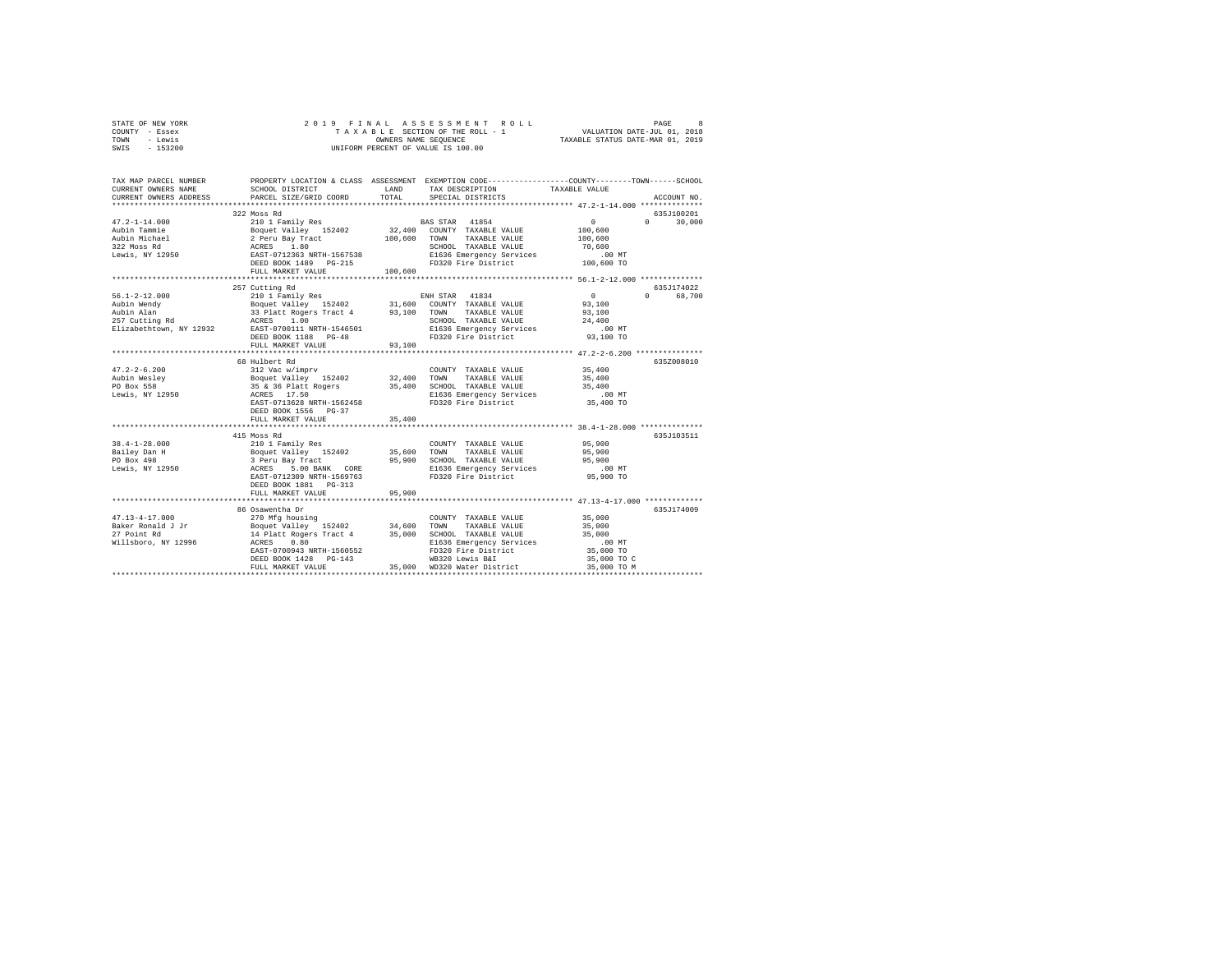| STATE OF NEW YORK | 2019 FINAL ASSESSMENT ROLL         | 8<br>PAGE                        |
|-------------------|------------------------------------|----------------------------------|
| COUNTY - Essex    | TAXABLE SECTION OF THE ROLL - 1    | VALUATION DATE-JUL 01, 2018      |
| TOWN<br>- Lewis   | OWNERS NAME SEOUENCE               | TAXABLE STATUS DATE-MAR 01, 2019 |
| - 153200<br>SWIS  | UNIFORM PERCENT OF VALUE IS 100.00 |                                  |

| TAX MAP PARCEL NUMBER<br>CURRENT OWNERS NAME<br>CURRENT OWNERS ADDRESS                        | SCHOOL DISTRICT<br>PARCEL SIZE/GRID COORD                                                                                                                                                                                                                                                                                                                                                                                                                                                | LAND<br>TOTAL          | TAX DESCRIPTION TAXABLE VALUE<br>SPECIAL DISTRICTS                                                                                                                  | PROPERTY LOCATION & CLASS ASSESSMENT EXEMPTION CODE----------------COUNTY-------TOWN------SCHOOL<br>ACCOUNT NO.                  |
|-----------------------------------------------------------------------------------------------|------------------------------------------------------------------------------------------------------------------------------------------------------------------------------------------------------------------------------------------------------------------------------------------------------------------------------------------------------------------------------------------------------------------------------------------------------------------------------------------|------------------------|---------------------------------------------------------------------------------------------------------------------------------------------------------------------|----------------------------------------------------------------------------------------------------------------------------------|
| $47.2 - 1 - 14.000$<br>Aubin Tammie<br>Aubin Administration<br>Lewis, NY 12950                | 322 Moss Rd<br>210 1 Family Res<br>210 1 Family Res 152402 32,400 COUNTY TAXABLE VALUE<br>2 Peru Bay Tract 100,600 TOWN TAXABLE VALUE<br>2 Peru Bay Tract 100,600 TOWN TAXABLE VALUE<br>EAST-0712363 RETH-1567538 E1636 Emergency Services<br>DEED BOOK 1489 PG-215 FD320 Fir<br>FULL MARKET VALUE                                                                                                                                                                                       | 100,600                | BAS STAR 41854<br>E1636 Emergency Services<br>FD320 Fire District                                                                                                   | 635J100201<br>0<br>$\Omega$ and $\Omega$<br>30,000<br>100,600<br>100,600<br>70,600<br>$.00$ MT<br>100,600 TO                     |
| $56.1 - 2 - 12.000$<br>Aubin Wendy<br>Aubin Alan<br>257 Cutting Rd<br>Elizabethtown, NY 12932 | 257 Cutting Rd<br>210 1 Family Res<br>Boquet Valley 152402 31,600 COUNTY TAXABLE VALUE<br>33 Platt Rogers Tract 4 93,100 TOWN TAXABLE VALUE<br>ACRES 1.00<br>EAST-0700111 NRTH-1546501<br>DEED BOOK 1188 PG-48<br>FULL MARKET VALUE                                                                                                                                                                                                                                                      | 93,100<br>************ | ENH STAR 41834<br>SCHOOL TAXABLE VALUE 24,400<br>E1636 Emergency Services .00 MT<br>E1636 Emergency Services<br>FD320 Fire District 93,100 TO                       | 635J174022<br>$\sim$ 0<br>$\cap$<br>68,700<br>93,100<br>93,100<br>********************************** 47.2-2-6.200 ************** |
| $47.2 - 2 - 6.200$<br>Aubin Wesley<br>Aubin Wesley<br>PO Box 558<br>Lewis, NY 12950           | 68 Hulbert Rd<br>$\begin{tabular}{lcccccc}312\text{ Vac w/imprv} & & & & \text{COUNTY TAXABLE VALUE} & & & 35,400\\ \text{Boguet Valley} & 152402 & & 32,400 & \text{TOWIN} & \text{TAXABLE VALUE} & & 35,400\\ 35 & 36 \text{ Platt Rogers} & & 35,400 & \text{SCHOOL} & \text{TAXABLE VALUE} & & 35,400\\ \text{ACRES} & 17,50 & & 35,400 & \text{SCHOOL} & \text{TAXABLE VALUE} & & 35,400\\ \end{tabular}$<br>EAST-0713628 NRTH-1562458<br>DEED BOOK 1556 PG-37<br>FULL MARKET VALUE | 35,400                 | FD320 Fire District 35,400 TO                                                                                                                                       | 635Z008010                                                                                                                       |
| $38.4 - 1 - 28.000$<br>Bailey Dan H<br>PO Box 498<br>Lewis, NY 12950                          | 415 Moss Rd<br>EAST-0712309 NRTH-1569763<br>DEED BOOK 1881   PG-313<br>FULL MARKET VALUE                                                                                                                                                                                                                                                                                                                                                                                                 | 95,900                 | COUNTY TAXABLE VALUE<br>TAXABLE VALUE<br>FD320 Fire District                                                                                                        | 635J103511<br>95,900<br>95,900<br>95,900 TO                                                                                      |
| $47.13 - 4 - 17.000$<br>Baker Ronald J Jr<br>27 Point Rd<br>Willsboro, NY 12996               | 86 Osawentha Dr<br>270 Mfg housing<br>Boquet Valley 152402 34,600<br>14 Platt Rogers Tract 4 35,000<br>ACRES 0.80<br>EAST-0700943 NRTH-1560552<br>DEED BOOK 1428 PG-143<br>FULL MARKET VALUE                                                                                                                                                                                                                                                                                             | 35,000                 | COUNTY TAXABLE VALUE<br>TAXABLE VALUE<br>TOWN<br>SCHOOL TAXABLE VALUE<br>E1636 Emergency Services<br>FD320 Fire District<br>WB320 Lewis B&I<br>WD320 Water District | 635J174009<br>35,000<br>35,000<br>35,000<br>$.00$ MT<br>35,000 TO<br>35,000 TO C<br>35,000 TO M                                  |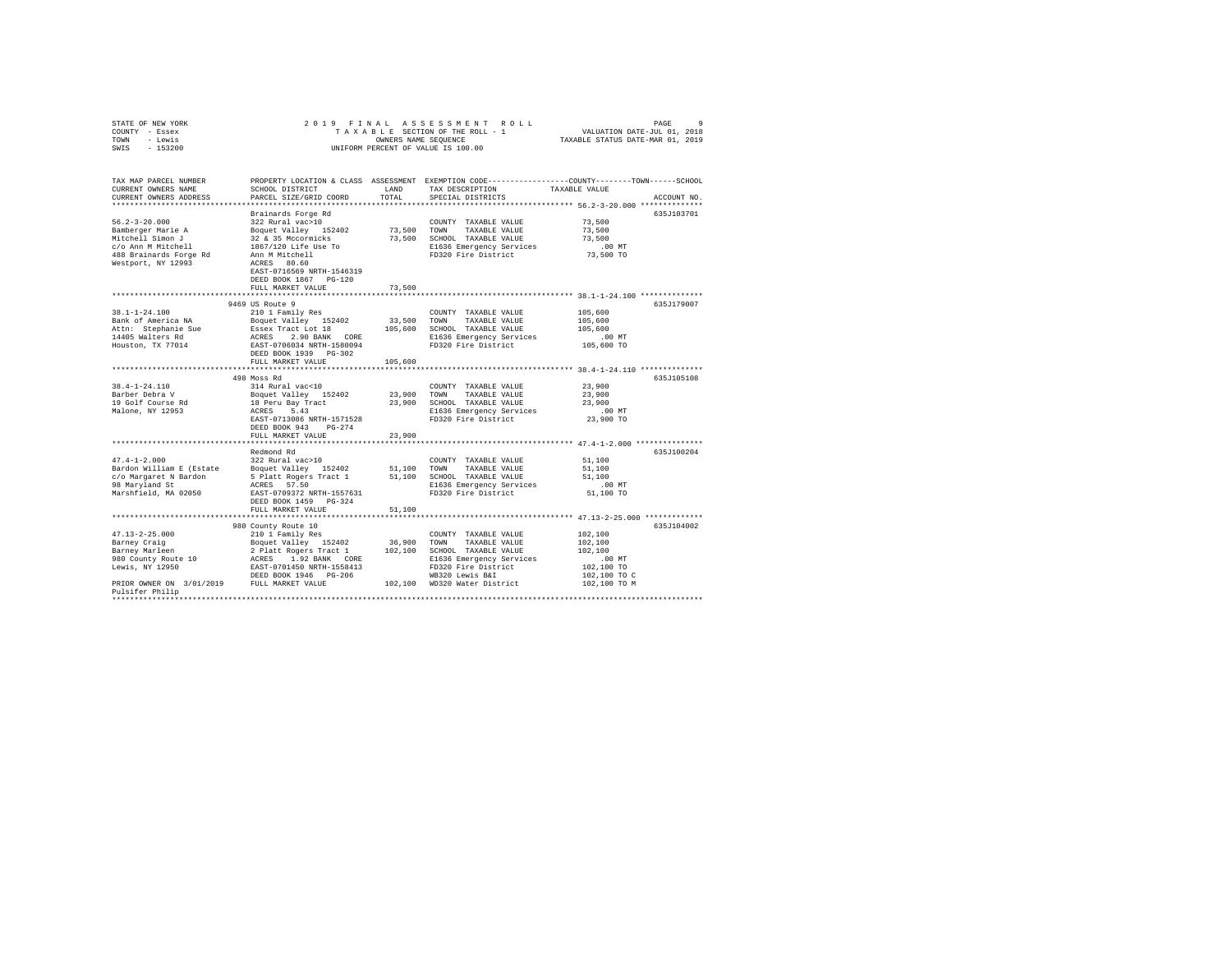| STATE OF NEW YORK                          | 2019 FINAL                                                     |         | ASSESSMENT ROLL                                                                                 | PAGE          | 9           |  |  |
|--------------------------------------------|----------------------------------------------------------------|---------|-------------------------------------------------------------------------------------------------|---------------|-------------|--|--|
| COUNTY - Essex                             | VALUATION DATE-JUL 01, 2018<br>TAXABLE SECTION OF THE ROLL - 1 |         |                                                                                                 |               |             |  |  |
| TOWN<br>- Lewis                            | TAXABLE STATUS DATE-MAR 01, 2019<br>OWNERS NAME SEQUENCE       |         |                                                                                                 |               |             |  |  |
| $-153200$<br>SWIS                          |                                                                |         | UNIFORM PERCENT OF VALUE IS 100.00                                                              |               |             |  |  |
|                                            |                                                                |         |                                                                                                 |               |             |  |  |
|                                            |                                                                |         |                                                                                                 |               |             |  |  |
|                                            |                                                                |         |                                                                                                 |               |             |  |  |
| TAX MAP PARCEL NUMBER                      |                                                                |         | PROPERTY LOCATION & CLASS ASSESSMENT EXEMPTION CODE---------------COUNTY-------TOWN------SCHOOL |               |             |  |  |
| CURRENT OWNERS NAME                        | SCHOOL DISTRICT                                                | LAND    | TAX DESCRIPTION                                                                                 | TAXABLE VALUE |             |  |  |
| CURRENT OWNERS ADDRESS                     | PARCEL SIZE/GRID COORD                                         | TOTAL   | SPECIAL DISTRICTS                                                                               |               | ACCOUNT NO. |  |  |
|                                            |                                                                |         |                                                                                                 |               |             |  |  |
|                                            | Brainards Forge Rd                                             |         |                                                                                                 |               | 635J103701  |  |  |
| $56.2 - 3 - 20.000$                        | 322 Rural vac>10                                               |         | COUNTY TAXABLE VALUE                                                                            | 73,500        |             |  |  |
| Bamberger Marie A                          | Boquet Valley 152402                                           | 73,500  | TOWN<br>TAXABLE VALUE                                                                           | 73,500        |             |  |  |
| Mitchell Simon J                           | 32 & 35 Mccormicks                                             | 73,500  | SCHOOL TAXABLE VALUE                                                                            | 73,500        |             |  |  |
| c/o Ann M Mitchell                         | 1867/120 Life Use To                                           |         | E1636 Emergency Services                                                                        | $.00$ MT      |             |  |  |
| 488 Brainards Forge Rd                     | Ann M Mitchell                                                 |         | FD320 Fire District                                                                             | 73,500 TO     |             |  |  |
| Westport, NY 12993                         | ACRES 80.60                                                    |         |                                                                                                 |               |             |  |  |
|                                            | EAST-0716569 NRTH-1546319                                      |         |                                                                                                 |               |             |  |  |
|                                            | DEED BOOK 1867 PG-120                                          |         |                                                                                                 |               |             |  |  |
|                                            | FULL MARKET VALUE                                              | 73,500  |                                                                                                 |               |             |  |  |
|                                            |                                                                |         |                                                                                                 |               |             |  |  |
|                                            | 9469 US Route 9                                                |         |                                                                                                 |               | 635J179007  |  |  |
| $38.1 - 1 - 24.100$                        | 210 1 Family Res                                               |         | COUNTY TAXABLE VALUE                                                                            | 105,600       |             |  |  |
| Bank of America NA                         | Boquet Valley 152402                                           | 33,500  | TOWN<br>TAXABLE VALUE                                                                           | 105,600       |             |  |  |
| Attn: Stephanie Sue                        | Essex Tract Lot 18                                             | 105,600 | SCHOOL TAXABLE VALUE                                                                            | 105,600       |             |  |  |
| 14405 Walters Rd                           | 2.90 BANK CORE<br>ACRES                                        |         | E1636 Emergency Services                                                                        | $.00$ MT      |             |  |  |
| Houston, TX 77014                          | EAST-0706034 NRTH-1580094                                      |         | FD320 Fire District                                                                             | 105,600 TO    |             |  |  |
|                                            | DEED BOOK 1939 PG-302                                          |         |                                                                                                 |               |             |  |  |
|                                            | FULL MARKET VALUE                                              | 105,600 |                                                                                                 |               |             |  |  |
|                                            |                                                                |         |                                                                                                 |               |             |  |  |
|                                            | 498 Moss Rd                                                    |         |                                                                                                 |               | 635J105108  |  |  |
| 38.4-1-24.110                              | 314 Rural vac<10                                               |         | COUNTY TAXABLE VALUE                                                                            | 23,900        |             |  |  |
| Barber Debra V                             | Boquet Valley 152402                                           | 23,900  | TOWN<br>TAXABLE VALUE                                                                           | 23,900        |             |  |  |
| 19 Golf Course Rd                          | 18 Peru Bay Tract                                              | 23,900  | SCHOOL TAXABLE VALUE                                                                            | 23,900        |             |  |  |
| Malone, NY 12953                           | ACRES 5.43                                                     |         | E1636 Emergency Services                                                                        | $.00$ MT      |             |  |  |
|                                            |                                                                |         | FD320 Fire District                                                                             | 23,900 TO     |             |  |  |
|                                            | EAST-0713086 NRTH-1571528                                      |         |                                                                                                 |               |             |  |  |
|                                            | DEED BOOK 943 PG-274                                           |         |                                                                                                 |               |             |  |  |
|                                            | FULL MARKET VALUE                                              | 23,900  |                                                                                                 |               |             |  |  |
|                                            |                                                                |         |                                                                                                 |               |             |  |  |
|                                            | Redmond Rd                                                     |         |                                                                                                 |               | 635J100204  |  |  |
| $47.4 - 1 - 2.000$                         | 322 Rural vac>10                                               |         | COUNTY TAXABLE VALUE                                                                            | 51,100        |             |  |  |
| Bardon William E (Estate                   | Boquet Valley 152402                                           | 51,100  | TAXABLE VALUE<br>TOWN                                                                           | 51,100        |             |  |  |
| c/o Margaret N Bardon                      | 5 Platt Rogers Tract 1                                         | 51,100  | SCHOOL TAXABLE VALUE                                                                            | 51,100        |             |  |  |
| 98 Maryland St                             | ACRES 57.50                                                    |         | E1636 Emergency Services                                                                        | .00MT         |             |  |  |
| Marshfield, MA 02050                       | EAST-0709372 NRTH-1557631                                      |         | FD320 Fire District                                                                             | 51,100 TO     |             |  |  |
|                                            | DEED BOOK 1459 PG-324                                          |         |                                                                                                 |               |             |  |  |
|                                            | FULL MARKET VALUE                                              | 51,100  |                                                                                                 |               |             |  |  |
|                                            |                                                                |         |                                                                                                 |               |             |  |  |
|                                            | 980 County Route 10                                            |         |                                                                                                 |               | 635J104002  |  |  |
| $47.13 - 2 - 25.000$                       | 210 1 Family Res                                               |         | COUNTY TAXABLE VALUE                                                                            | 102,100       |             |  |  |
| Barney Craig                               | Boquet Valley 152402                                           | 36,900  | TOWN<br>TAXABLE VALUE                                                                           | 102,100       |             |  |  |
| Barney Marleen                             | 2 Platt Rogers Tract 1                                         | 102,100 | SCHOOL TAXABLE VALUE                                                                            | 102,100       |             |  |  |
| 980 County Route 10                        | ACRES 1.92 BANK CORE                                           |         | E1636 Emergency Services                                                                        | $.00$ MT      |             |  |  |
| Lewis, NY 12950                            | EAST-0701450 NRTH-1558413                                      |         | FD320 Fire District                                                                             | 102,100 TO    |             |  |  |
|                                            | DEED BOOK 1946 PG-206                                          |         | WB320 Lewis B&I                                                                                 | 102,100 TO C  |             |  |  |
| PRIOR OWNER ON 3/01/2019 FULL MARKET VALUE |                                                                |         | 102,100 WD320 Water District                                                                    | 102,100 TO M  |             |  |  |
| Pulsifer Philip                            |                                                                |         |                                                                                                 |               |             |  |  |
|                                            |                                                                |         |                                                                                                 |               |             |  |  |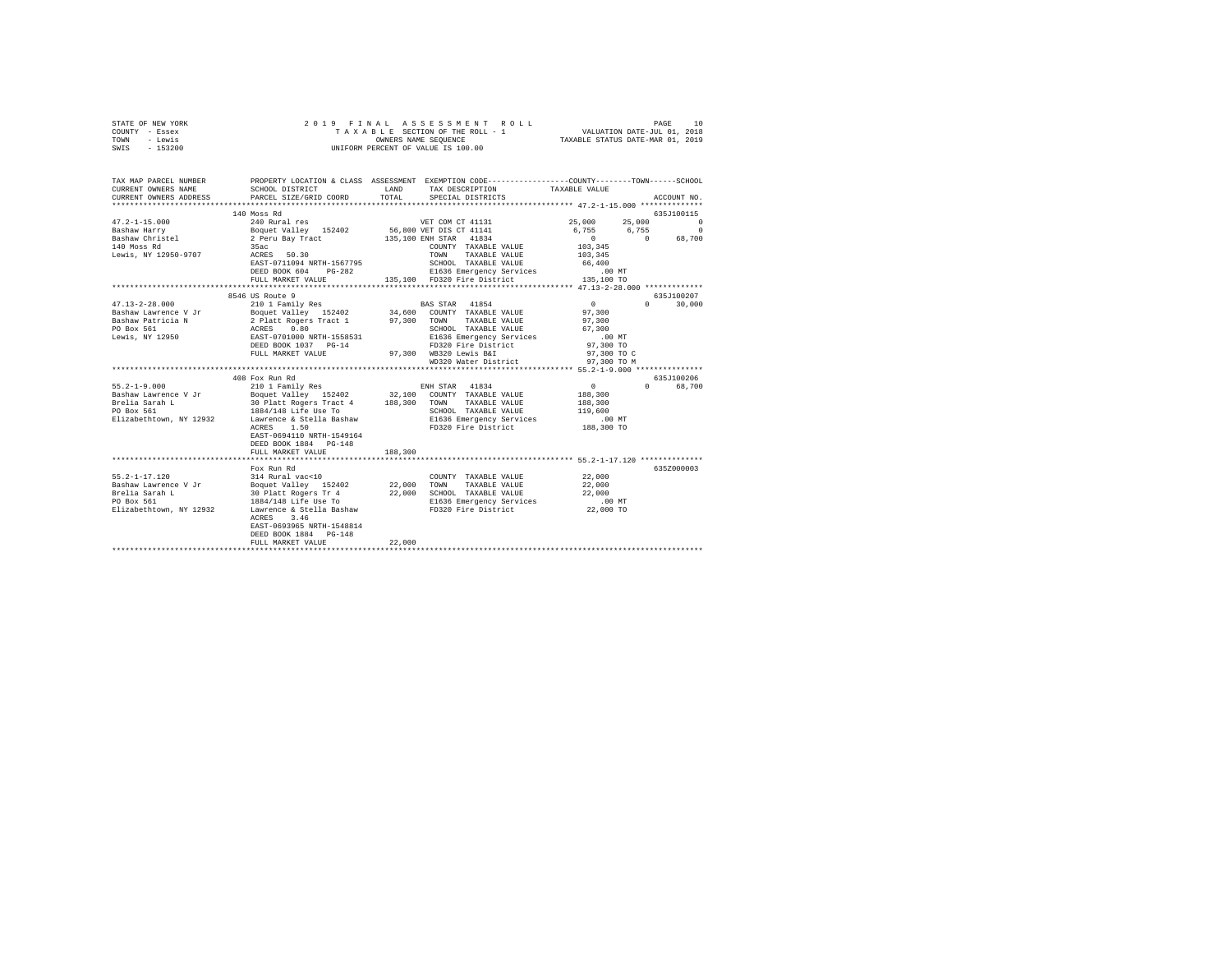| STATE OF NEW YORK                                                   |                                      |          | 2019 FINAL ASSESSMENT ROLL                                   |                                  | 10<br>PAGE         |
|---------------------------------------------------------------------|--------------------------------------|----------|--------------------------------------------------------------|----------------------------------|--------------------|
| COUNTY<br>- Essex                                                   |                                      |          | TAXABLE SECTION OF THE ROLL - 1 WALUATION DATE-JUL 01, 2018  |                                  |                    |
| - Lewis<br>TOWN                                                     |                                      |          | OWNERS NAME SEOUENCE                                         | TAXABLE STATUS DATE-MAR 01, 2019 |                    |
| $-153200$<br>SWIS                                                   |                                      |          | UNIFORM PERCENT OF VALUE IS 100.00                           |                                  |                    |
|                                                                     |                                      |          |                                                              |                                  |                    |
|                                                                     |                                      |          |                                                              |                                  |                    |
|                                                                     |                                      |          |                                                              |                                  |                    |
| TAX MAP PARCEL NUMBER                                               | PROPERTY LOCATION & CLASS ASSESSMENT |          | EXEMPTION CODE-----------------COUNTY-------TOWN------SCHOOL |                                  |                    |
| CURRENT OWNERS NAME                                                 | SCHOOL DISTRICT                      | LAND     | TAX DESCRIPTION                                              | TAXABLE VALUE                    |                    |
| CURRENT OWNERS ADDRESS                                              | PARCEL SIZE/GRID COORD               |          | TOTAL SPECIAL DISTRICTS                                      |                                  | ACCOUNT NO.        |
|                                                                     |                                      |          |                                                              |                                  |                    |
|                                                                     | 140 Moss Rd                          |          |                                                              |                                  | 635J100115         |
| $47.2 - 1 - 15.000$                                                 | 240 Rural res                        |          | VET COM CT 41131                                             | 25,000<br>25,000                 | $\Omega$           |
| Bashaw Harry 6. (1994) Boquet Valley 152402 56,800 VET DIS CT 41141 |                                      |          |                                                              | 6,755 6,755 0                    |                    |
| Bashaw Christel                                                     | 2 Peru Bay Tract                     |          | 135,100 ENH STAR 41834                                       | 0                                | 68,700<br>$\Omega$ |
| 140 Moss Rd                                                         | 35ac                                 |          | COUNTY TAXABLE VALUE                                         | 103,345                          |                    |
| Lewis, NY 12950-9707                                                | ACRES 50.30                          |          | TAXABLE VALUE<br>TOWN                                        | 103,345                          |                    |
|                                                                     | EAST-0711094 NRTH-1567795            |          | TAXABLE VALUE<br>SCHOOL                                      | 66,400                           |                    |
|                                                                     | DEED BOOK 604<br>$PG-282$            |          | E1636 Emergency Services .00 MT                              |                                  |                    |
|                                                                     | FULL MARKET VALUE                    |          | 135,100 FD320 Fire District                                  | 135,100 TO                       |                    |
|                                                                     |                                      |          |                                                              |                                  |                    |
|                                                                     | 8546 US Route 9                      |          |                                                              |                                  | 635J100207         |
| 47 13-2-28 000                                                      | 210 1 Family Res                     | RAS STAR | 41854                                                        |                                  | 0.30.000           |

|                         | 8546 US Route 9                                                       |                          |                                    | 635.7100207 |        |
|-------------------------|-----------------------------------------------------------------------|--------------------------|------------------------------------|-------------|--------|
| 47.13-2-28.000          | 210 1 Family Res                                                      | BAS STAR 41854           | $\sim$ 0                           | $\Omega$    | 30,000 |
| Bashaw Lawrence V Jr    | Boguet Valley 152402 34,600 COUNTY TAXABLE VALUE                      |                          | 97,300                             |             |        |
| Bashaw Patricia N       | 2 Platt Rogers Tract 1 97,300 TOWN                                    |                          | 97,300<br>TAXABLE VALUE            |             |        |
| PO Box 561              | 0.80<br>ACRES                                                         | SCHOOL TAXABLE VALUE     | 67,300                             |             |        |
| Lewis, NY 12950         | EAST-0701000 NRTH-1558531                                             |                          | .00 MT<br>E1636 Emergency Services |             |        |
|                         | DEED BOOK 1037 PG-14                                                  | FD320 Fire District      | 97,300 TO                          |             |        |
|                         | FULL MARKET VALUE                                                     |                          | 97,300 WB320 Lewis B&I 97,300 TO C |             |        |
|                         |                                                                       |                          | WD320 Water District 97.300 TO M   |             |        |
|                         |                                                                       |                          |                                    |             |        |
|                         | 408 Fox Run Rd                                                        |                          |                                    | 635.T100206 |        |
| $55.2 - 1 - 9.000$      | 210 1 Family Res                                                      | ENH STAR 41834           | $\sim$ 0                           | 0 68.700    |        |
| Bashaw Lawrence V Jr    | Boquet Valley 152402 32,100 COUNTY TAXABLE VALUE                      |                          | 188,300                            |             |        |
| Brelia Sarah L          | 30 Platt Rogers Tract 4 188,300 TOWN TAXABLE VALUE                    |                          | 188,300                            |             |        |
| PO Box 561              | $1884/148$ Life Use To                                                |                          | SCHOOL TAXABLE VALUE<br>119,600    |             |        |
| Elizabethtown, NY 12932 | Lawrence & Stella Bashaw                                              | E1636 Emergency Services | .00MT                              |             |        |
|                         | 1.50<br>ACRES                                                         |                          | FD320 Fire District 188,300 TO     |             |        |
|                         | EAST-0694110 NRTH-1549164                                             |                          |                                    |             |        |
|                         | DEED BOOK 1884 PG-148                                                 |                          |                                    |             |        |
|                         | FULL MARKET VALUE                                                     | 188,300                  |                                    |             |        |
|                         |                                                                       |                          |                                    |             |        |
|                         | Fox Run Rd                                                            |                          |                                    | 635Z000003  |        |
| $55.2 - 1 - 17.120$     | 314 Rural vac<10                                                      | COUNTY TAXABLE VALUE     | 22,000                             |             |        |
|                         | Bashaw Lawrence V Jr       Boquet Valley 152402         22,000   TOWN |                          | 22,000<br>TAXABLE VALUE            |             |        |
| Brelia Sarah L          | 30 Platt Rogers Tr 4 22.000 SCHOOL TAXABLE VALUE                      |                          | 22,000                             |             |        |
| PO Box 561              | 1884/148 Life Use To                                                  | E1636 Emergency Services | .00MT                              |             |        |
| Elizabethtown, NY 12932 | Lawrence & Stella Bashaw                                              |                          | FD320 Fire District<br>22,000 TO   |             |        |
|                         | 3.46<br>ACRES                                                         |                          |                                    |             |        |
|                         | EAST-0693965 NRTH-1548814                                             |                          |                                    |             |        |
|                         | DEED BOOK 1884 PG-148                                                 |                          |                                    |             |        |
|                         | FULL MARKET VALUE                                                     | 22,000                   |                                    |             |        |
|                         |                                                                       |                          |                                    |             |        |
|                         |                                                                       |                          |                                    |             |        |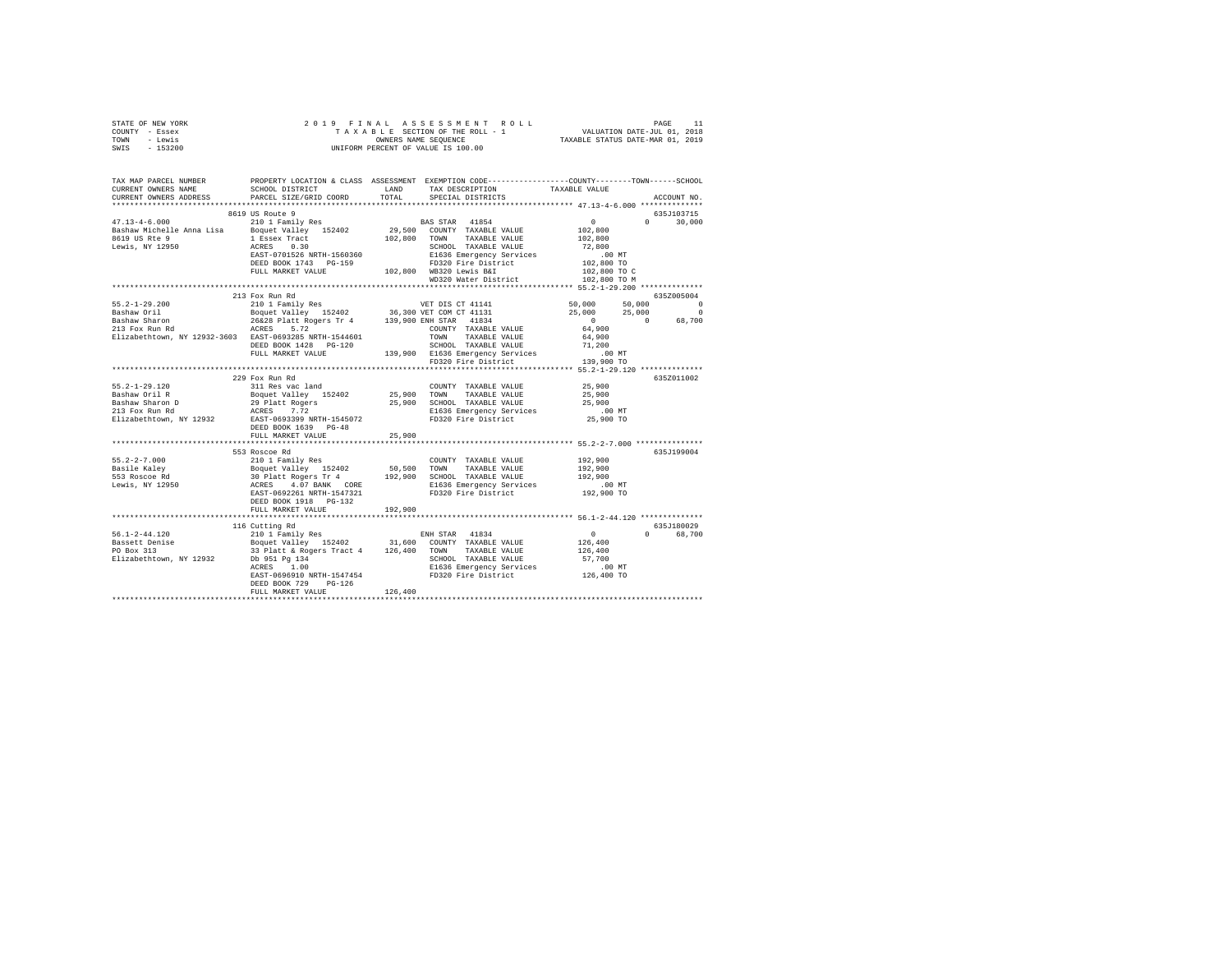| STATE OF NEW YORK                                                                                                                                                                                                                            |                      |         |                      |                                                                                                               |               |
|----------------------------------------------------------------------------------------------------------------------------------------------------------------------------------------------------------------------------------------------|----------------------|---------|----------------------|---------------------------------------------------------------------------------------------------------------|---------------|
| COUNTY - Essex                                                                                                                                                                                                                               |                      |         |                      |                                                                                                               |               |
| TOWN - Lewis                                                                                                                                                                                                                                 |                      |         |                      |                                                                                                               |               |
| SWIS - 153200                                                                                                                                                                                                                                |                      |         |                      |                                                                                                               |               |
|                                                                                                                                                                                                                                              |                      |         |                      |                                                                                                               |               |
|                                                                                                                                                                                                                                              |                      |         |                      |                                                                                                               |               |
|                                                                                                                                                                                                                                              |                      |         |                      |                                                                                                               |               |
| TAX MAP PARCEL NUMBER PROPERTY LOCATION & CLASS ASSESSMENT EXEMPTION CODE---------------COUNTY-------TOWN------SCHOOL<br>CURRENT OWNERS NAME SCHOOL DISTRICT LAND TAX DESCRIPTION TAVARELE VALUE                                             |                      |         |                      |                                                                                                               |               |
|                                                                                                                                                                                                                                              |                      |         |                      |                                                                                                               |               |
| CURRENT OWNERS ADDRESS PARCEL SIZE/GRID COORD                                                                                                                                                                                                |                      | TOTAL   | SPECIAL DISTRICTS    |                                                                                                               | ACCOUNT NO.   |
|                                                                                                                                                                                                                                              |                      |         |                      |                                                                                                               |               |
|                                                                                                                                                                                                                                              |                      |         |                      |                                                                                                               | 635J103715    |
|                                                                                                                                                                                                                                              |                      |         |                      |                                                                                                               | $0 \t 30,000$ |
|                                                                                                                                                                                                                                              |                      |         |                      |                                                                                                               |               |
|                                                                                                                                                                                                                                              |                      |         |                      |                                                                                                               |               |
|                                                                                                                                                                                                                                              |                      |         |                      |                                                                                                               |               |
|                                                                                                                                                                                                                                              |                      |         |                      |                                                                                                               |               |
|                                                                                                                                                                                                                                              |                      |         |                      |                                                                                                               |               |
|                                                                                                                                                                                                                                              |                      |         |                      |                                                                                                               |               |
|                                                                                                                                                                                                                                              |                      |         |                      |                                                                                                               |               |
|                                                                                                                                                                                                                                              |                      |         |                      |                                                                                                               |               |
| 3619 US Route 9<br>2011 I Raser Tramily Res<br>2011 I Raser Tramily Res<br>2019 US Route 9<br>29,500 COUNTY TAXABLE VALUE 202,800<br>29,500 COUNTY TAXABLE VALUE 202,800<br>29,500 COUNTY TAXABLE VALUE 202,800<br>202,800 EAST-0701526 NRTH |                      |         |                      |                                                                                                               |               |
|                                                                                                                                                                                                                                              | 213 Fox Run Rd       |         |                      |                                                                                                               | 6352005004    |
|                                                                                                                                                                                                                                              |                      |         |                      |                                                                                                               |               |
|                                                                                                                                                                                                                                              |                      |         |                      |                                                                                                               |               |
|                                                                                                                                                                                                                                              |                      |         |                      |                                                                                                               |               |
|                                                                                                                                                                                                                                              |                      |         |                      |                                                                                                               |               |
|                                                                                                                                                                                                                                              |                      |         |                      |                                                                                                               |               |
|                                                                                                                                                                                                                                              |                      |         |                      |                                                                                                               |               |
|                                                                                                                                                                                                                                              |                      |         |                      |                                                                                                               |               |
|                                                                                                                                                                                                                                              | FULL MARKET VALUE    |         |                      | SCHOOL TAXABLE VALUE 71,200<br>139,900 E1636 Emergency Services 1.00 MT<br>200 TD320 Fire District 139,900 TO |               |
|                                                                                                                                                                                                                                              |                      |         |                      |                                                                                                               |               |
|                                                                                                                                                                                                                                              |                      |         |                      |                                                                                                               |               |
|                                                                                                                                                                                                                                              | 229 Fox Run Rd       |         |                      |                                                                                                               | 635Z011002    |
| 55.2-1-29.120<br>Bashaw Oril R                                                                                                                                                                                                               | 311 Res vac land     |         | COUNTY TAXABLE VALUE | 25,900                                                                                                        |               |
|                                                                                                                                                                                                                                              |                      |         |                      |                                                                                                               |               |
|                                                                                                                                                                                                                                              |                      |         |                      |                                                                                                               |               |
| 19.2−1−29.1200 NO.41 Mest variables with the state of the Marker Valley (19.400 NO.412 Mest variables with the Society of Taxables (19.9 platt Rogers 19.9 Mest 25,900 NORM TAXABLE VALUE 25,900 NAMBLE VALUE 25,900 NAMBLE V                |                      |         |                      |                                                                                                               |               |
|                                                                                                                                                                                                                                              |                      |         |                      |                                                                                                               |               |
|                                                                                                                                                                                                                                              | DEED BOOK 1639 PG-48 |         |                      |                                                                                                               |               |
|                                                                                                                                                                                                                                              | FULL MARKET VALUE    | 25,900  |                      |                                                                                                               |               |
|                                                                                                                                                                                                                                              |                      |         |                      |                                                                                                               |               |
|                                                                                                                                                                                                                                              |                      |         |                      |                                                                                                               | 635J199004    |
|                                                                                                                                                                                                                                              |                      |         |                      |                                                                                                               |               |
|                                                                                                                                                                                                                                              |                      |         |                      |                                                                                                               |               |
|                                                                                                                                                                                                                                              |                      |         |                      |                                                                                                               |               |
|                                                                                                                                                                                                                                              |                      |         |                      |                                                                                                               |               |
|                                                                                                                                                                                                                                              |                      |         |                      |                                                                                                               |               |
|                                                                                                                                                                                                                                              |                      |         |                      |                                                                                                               |               |
|                                                                                                                                                                                                                                              |                      |         |                      |                                                                                                               |               |
|                                                                                                                                                                                                                                              | FULL MARKET VALUE    | 192,900 |                      |                                                                                                               |               |
|                                                                                                                                                                                                                                              |                      |         |                      |                                                                                                               |               |
|                                                                                                                                                                                                                                              | 116 Cutting Rd       |         |                      |                                                                                                               | 635J180029    |
|                                                                                                                                                                                                                                              |                      |         |                      |                                                                                                               | 0 68,700      |
|                                                                                                                                                                                                                                              |                      |         |                      |                                                                                                               |               |
|                                                                                                                                                                                                                                              |                      |         |                      |                                                                                                               |               |
|                                                                                                                                                                                                                                              |                      |         |                      |                                                                                                               |               |
|                                                                                                                                                                                                                                              |                      |         |                      |                                                                                                               |               |
|                                                                                                                                                                                                                                              |                      |         |                      |                                                                                                               |               |
|                                                                                                                                                                                                                                              | DEED BOOK 729 PG-126 |         |                      |                                                                                                               |               |
|                                                                                                                                                                                                                                              | FULL MARKET VALUE    | 126,400 |                      |                                                                                                               |               |
|                                                                                                                                                                                                                                              |                      |         |                      |                                                                                                               |               |
|                                                                                                                                                                                                                                              |                      |         |                      |                                                                                                               |               |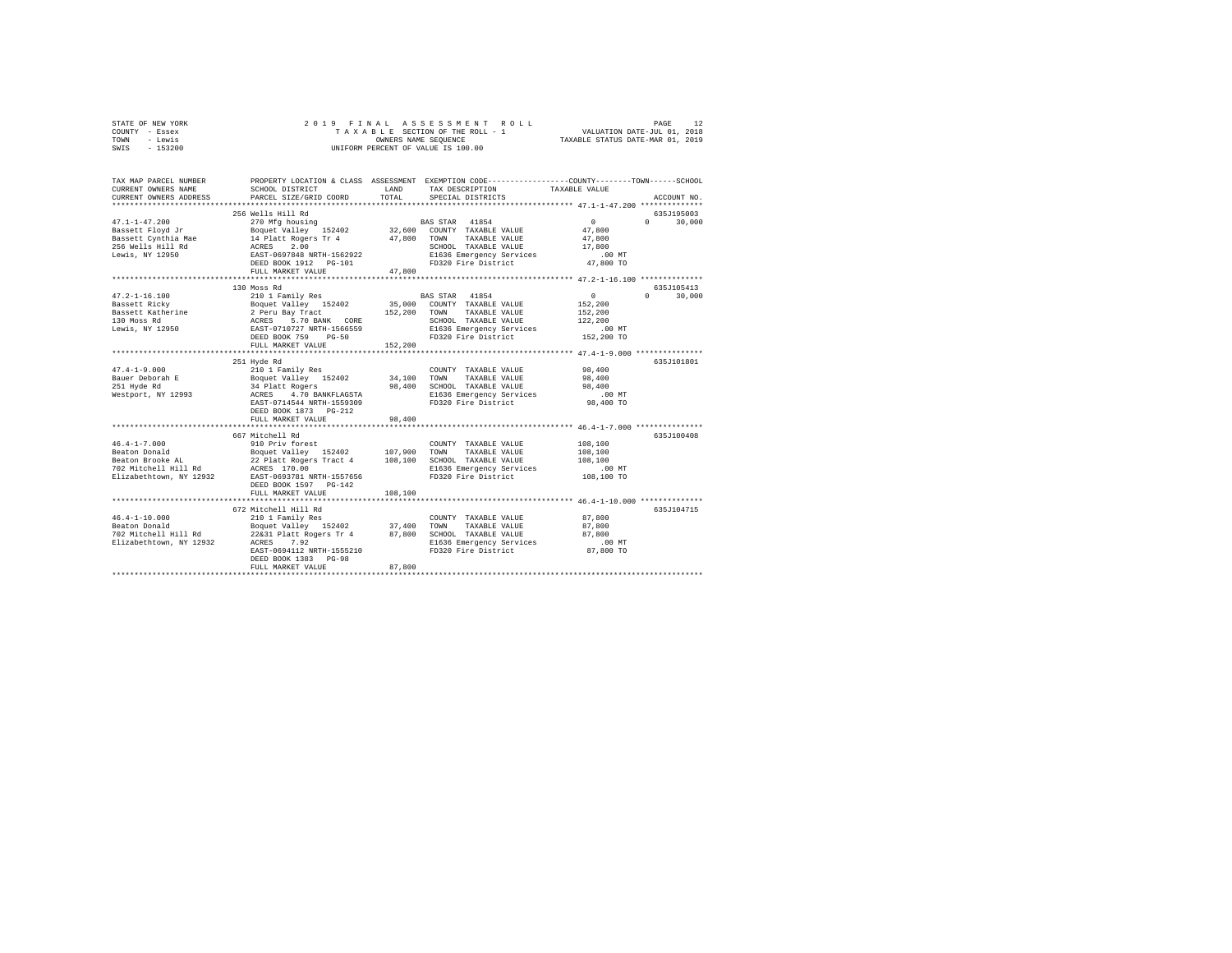|      | STATE OF NEW YORK |  |  |  | 2019 FINAL ASSESSMENT ROLL         |                                  | PAGE |  |
|------|-------------------|--|--|--|------------------------------------|----------------------------------|------|--|
|      | COUNTY - Essex    |  |  |  | TAXABLE SECTION OF THE ROLL - 1    | VALUATION DATE-JUL 01, 2018      |      |  |
| TOWN | - Lewis           |  |  |  | OWNERS NAME SEOUENCE               | TAXABLE STATUS DATE-MAR 01, 2019 |      |  |
| SWIS | $-153200$         |  |  |  | UNIFORM PERCENT OF VALUE IS 100.00 |                                  |      |  |

| SCHOOL DISTRICT                                                                                     | LAND                                                                                                 | TAX DESCRIPTION                                                                                                                                                                                                                                   |                                                                                                                                                                                                                                                                                                                                                                                                    |                                                                                                                                                                                                                                                                                                                                                                                                                                                                                                                                                                                                                                                                                                                                                                                                                 |
|-----------------------------------------------------------------------------------------------------|------------------------------------------------------------------------------------------------------|---------------------------------------------------------------------------------------------------------------------------------------------------------------------------------------------------------------------------------------------------|----------------------------------------------------------------------------------------------------------------------------------------------------------------------------------------------------------------------------------------------------------------------------------------------------------------------------------------------------------------------------------------------------|-----------------------------------------------------------------------------------------------------------------------------------------------------------------------------------------------------------------------------------------------------------------------------------------------------------------------------------------------------------------------------------------------------------------------------------------------------------------------------------------------------------------------------------------------------------------------------------------------------------------------------------------------------------------------------------------------------------------------------------------------------------------------------------------------------------------|
|                                                                                                     |                                                                                                      |                                                                                                                                                                                                                                                   |                                                                                                                                                                                                                                                                                                                                                                                                    | ACCOUNT NO.                                                                                                                                                                                                                                                                                                                                                                                                                                                                                                                                                                                                                                                                                                                                                                                                     |
|                                                                                                     |                                                                                                      |                                                                                                                                                                                                                                                   |                                                                                                                                                                                                                                                                                                                                                                                                    | 635J195003                                                                                                                                                                                                                                                                                                                                                                                                                                                                                                                                                                                                                                                                                                                                                                                                      |
| Boquet Valley 152402<br>14 Platt Rogers Tr 4<br>DEED BOOK 1912 PG-101<br>FULL MARKET VALUE          |                                                                                                      |                                                                                                                                                                                                                                                   | $\sim$ 0<br>47,800<br>47,800                                                                                                                                                                                                                                                                                                                                                                       | $0 \qquad \qquad$<br>30,000                                                                                                                                                                                                                                                                                                                                                                                                                                                                                                                                                                                                                                                                                                                                                                                     |
|                                                                                                     |                                                                                                      |                                                                                                                                                                                                                                                   |                                                                                                                                                                                                                                                                                                                                                                                                    | 635J105413                                                                                                                                                                                                                                                                                                                                                                                                                                                                                                                                                                                                                                                                                                                                                                                                      |
| 210 1 Family Res<br>Boquet Valley 152402<br>DEED BOOK 759 PG-50                                     |                                                                                                      | TAXABLE VALUE<br>SCHOOL TAXABLE VALUE                                                                                                                                                                                                             | $\sim$ 0<br>152,200<br>152,200<br>122,200<br>.00 MT<br>152,200 TO                                                                                                                                                                                                                                                                                                                                  | 30,000<br>$\Omega$                                                                                                                                                                                                                                                                                                                                                                                                                                                                                                                                                                                                                                                                                                                                                                                              |
|                                                                                                     |                                                                                                      |                                                                                                                                                                                                                                                   |                                                                                                                                                                                                                                                                                                                                                                                                    |                                                                                                                                                                                                                                                                                                                                                                                                                                                                                                                                                                                                                                                                                                                                                                                                                 |
| 251 Hyde Rd<br>DEED BOOK 1873    PG-212                                                             |                                                                                                      | COUNTY TAXABLE VALUE<br>TAXABLE VALUE                                                                                                                                                                                                             | 98,400<br>98,400<br>98,400 TO                                                                                                                                                                                                                                                                                                                                                                      | 635J101801                                                                                                                                                                                                                                                                                                                                                                                                                                                                                                                                                                                                                                                                                                                                                                                                      |
|                                                                                                     |                                                                                                      |                                                                                                                                                                                                                                                   |                                                                                                                                                                                                                                                                                                                                                                                                    |                                                                                                                                                                                                                                                                                                                                                                                                                                                                                                                                                                                                                                                                                                                                                                                                                 |
| 667 Mitchell Rd<br>910 Priv forest<br>DEED BOOK 1597 PG-142                                         |                                                                                                      | COUNTY TAXABLE VALUE<br>TAXABLE VALUE                                                                                                                                                                                                             | 108,100<br>108,100<br>108,100<br>108,100 TO                                                                                                                                                                                                                                                                                                                                                        | 635J100408                                                                                                                                                                                                                                                                                                                                                                                                                                                                                                                                                                                                                                                                                                                                                                                                      |
| FULL MARKET VALUE                                                                                   | 108,100                                                                                              |                                                                                                                                                                                                                                                   |                                                                                                                                                                                                                                                                                                                                                                                                    |                                                                                                                                                                                                                                                                                                                                                                                                                                                                                                                                                                                                                                                                                                                                                                                                                 |
| 672 Mitchell Hill Rd<br>210 1 Family Res<br>ACRES 7.92<br>DEED BOOK 1383 PG-98<br>FULL MARKET VALUE | 87,800                                                                                               | COUNTY TAXABLE VALUE                                                                                                                                                                                                                              | 87,800<br>87,800<br>87,800                                                                                                                                                                                                                                                                                                                                                                         | 635J104715                                                                                                                                                                                                                                                                                                                                                                                                                                                                                                                                                                                                                                                                                                                                                                                                      |
|                                                                                                     | PARCEL SIZE/GRID COORD<br>256 Wells Hill Rd<br>130 Moss Rd<br>FULL MARKET VALUE<br>FULL MARKET VALUE | TOTAL<br>ACRES 2.00<br>EAST-0697848 NRTH-1562922<br>Lewis, NY 12950 EAST-0710727 NRTH-1566559<br>EAST-0714544 NRTH-1559309<br>98,400<br>702 Mitchell Hill Rd<br>Elizabethtown, NY 12932<br>EAST-0693781 NRTH-1557656<br>EAST-0694112 NRTH-1555210 | SPECIAL DISTRICTS<br>47,800<br>BAS STAR 41854<br>35,000 COUNTY TAXABLE VALUE<br>152,200<br>210 1 Family Res 52402<br>Boquet Valley 152402 34,100 TOWN<br>34 Platt Rogers 98,400 SCHOO<br>ACRES 4.70 BANKFLAGSTA E1636<br>910 FLAV 101-80<br>Boquet Valley 152402 107,900 TOWN TAXABLE VALUE<br>22 Platt Rogers Tract 4 108,100 SCHOOL TAXABLE VALUE<br>21 Rd ACRES 170.00 E1635 Emergency Services | PROPERTY LOCATION & CLASS ASSESSMENT EXEMPTION CODE----------------COUNTY-------TOWN------SCHOOL<br>TAXABLE VALUE<br>270 Mfg housing 320 BAS STAR 41854<br>Boquet Valley 152402 32,600 COUNTY TAXABLE VALUE<br>14 Platt Rogers Tr 4 47,800 TOWN TAXABLE VALUE<br>SCHOOL TAXABLE VALUE $17,800$<br>E1636 Emergency Services .00 MT<br>E1636 Emergency Services<br>FD320 Fire District 47,800 TO<br>E1636 Emergency Services<br>FD320 Fire District<br>98,400 SCHOOL TAXABLE VALUE 98,400<br>E1636 Emergency Services .00 MT<br>FD320 Fire District<br>E1636 Emergency Services .00 MT<br>FD320 Fire District<br>Boquet Valley 152402 37,400 TOWN TAXABLE VALUE<br>22&31 Platt Rogers Tr 4 87,800 SCHOOL TAXABLE VALUE<br>E1636 Emergency Services .00 MT<br>FD320 Fire District 87,800 TO<br>FD320 Fire District |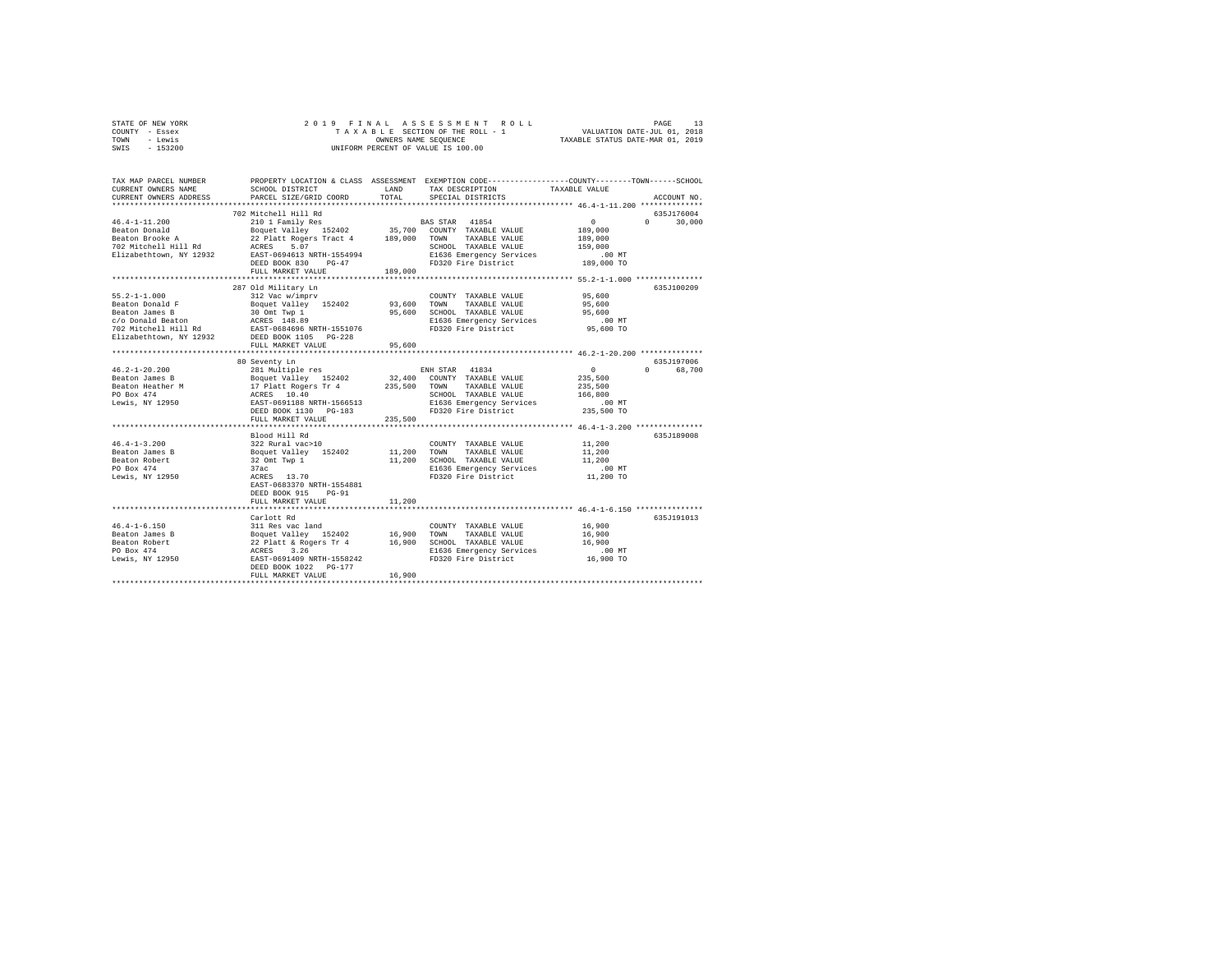| STATE OF NEW YORK |           |  | 2019 FINAL ASSESSMENT ROLL         |                                  | PAGE                        |  |
|-------------------|-----------|--|------------------------------------|----------------------------------|-----------------------------|--|
| COUNTY - Essex    |           |  | TAXABLE SECTION OF THE ROLL - 1    |                                  | VALUATION DATE-JUL 01, 2018 |  |
| TOWN              | - Lewis   |  | OWNERS NAME SEOUENCE               | TAXABLE STATUS DATE-MAR 01, 2019 |                             |  |
| SWIS              | $-153200$ |  | UNIFORM PERCENT OF VALUE IS 100.00 |                                  |                             |  |

| TAX MAP PARCEL NUMBER<br>CURRENT OWNERS NAME<br>CURRENT OWNERS ADDRESS                                                                                                                               | SCHOOL DISTRICT<br>PARCEL SIZE/GRID COORD                                                                                                                                                                 | LAND<br>TOTAL | TAX DESCRIPTION<br>SPECIAL DISTRICTS                                                                                     | PROPERTY LOCATION & CLASS ASSESSMENT EXEMPTION CODE----------------COUNTY-------TOWN------SCHOOL<br>TAXABLE VALUE<br>ACCOUNT NO. |
|------------------------------------------------------------------------------------------------------------------------------------------------------------------------------------------------------|-----------------------------------------------------------------------------------------------------------------------------------------------------------------------------------------------------------|---------------|--------------------------------------------------------------------------------------------------------------------------|----------------------------------------------------------------------------------------------------------------------------------|
|                                                                                                                                                                                                      | ***************************<br>702 Mitchell Hill Rd                                                                                                                                                       |               |                                                                                                                          | 635J176004                                                                                                                       |
| $46.4 - 1 - 11.200$<br>Beaton Donald<br>Beaton Brooke A<br>702 Mitchell Hill Rd<br>Elizabethtown, NY 12932 EAST-0694613 NRTH-1554994                                                                 | 210 1 Family Res<br>DEED BOOK 830<br>$PG-47$<br>FULL MARKET VALUE                                                                                                                                         | 189,000       | BAS STAR 41854<br>SCHOOL TAXABLE VALUE<br>E1636 Emergency Services<br>FD320 Fire District 189,000 TO                     | $\sim$ 0<br>$0 \t 30,000$<br>189,000<br>189,000<br>159,000<br>$.00$ MT                                                           |
| $55.2 - 1 - 1.000$<br>Beaton Donald F<br>Beaton James B<br>Beaton James B<br>c/o Donald Beaton<br>702 Mitchell Hill Rd<br>FAST-0684696 NRTH-1551076<br>Elizabethtown, NY 12932 DEED BOOK 1105 PG-228 | 287 Old Military Ln<br>312 Vac w/imprv<br>Boquet Valley 152402<br>30 Omt Twp 1<br>ACRES 148.89                                                                                                            | 93,600 TOWN   | COUNTY TAXABLE VALUE<br>TAXABLE VALUE<br>95,600 SCHOOL TAXABLE VALUE<br>E1636 Emergency Services<br>FD320 Fire District  | 635.T100209<br>95,600<br>95,600<br>95,600<br>.00 MT<br>95,600 TO                                                                 |
|                                                                                                                                                                                                      | FULL MARKET VALUE                                                                                                                                                                                         | 95,600        |                                                                                                                          |                                                                                                                                  |
|                                                                                                                                                                                                      | 80 Seventy Ln                                                                                                                                                                                             |               |                                                                                                                          | 635J197006                                                                                                                       |
| Lewis, NY 12950                                                                                                                                                                                      | EAST-0691188 NRTH-1566513<br>DEED BOOK 1130 PG-183<br>FULL MARKET VALUE                                                                                                                                   | 235,500       | E1636 Emergency Services<br>FD320 Fire District                                                                          | $\circ$<br>$0 \qquad \qquad$<br>68,700<br>235,500<br>235,500<br>166,800<br>$.00$ MT<br>235,500 TO                                |
| $46.4 - 1 - 3.200$<br>Beaton James B<br>Beaton Robert<br>PO Box 474<br>Lewis, NY 12950                                                                                                               | Blood Hill Rd<br>322 Rural vac>10<br>322 Kutal VaC210<br>Boquet Valley 152402 11,200<br>32 Omt Twp 1 11,200<br>ACRES 13.70<br>EAST-0683370 NRTH-1554881<br>DEED BOOK 915<br>$PG-91$                       |               | COUNTY TAXABLE VALUE<br>TOWN<br>TAXABLE VALUE<br>SCHOOL TAXABLE VALUE<br>E1636 Emergency Services<br>FD320 Fire District | 635J189008<br>11,200<br>11,200<br>11,200<br>$.00$ MT<br>11,200 TO                                                                |
|                                                                                                                                                                                                      | FULL MARKET VALUE                                                                                                                                                                                         | 11,200        |                                                                                                                          | ********************************* 46.4-1-6.150 ***************                                                                   |
| $46.4 - 1 - 6.150$<br>Beaton James B<br>Beaton Robert<br>PO Box 474<br>Lewis, NY 12950                                                                                                               | Carlott Rd<br>311 Res vac land<br>Boquet Valley 152402 16,900 TOWN<br>22 Platt & Rogers Tr 4 16,900 SCHOC<br>ACRES 3.26<br>EAST-0691409 NRTH-1558242 179320<br>DEED BOOK 1022 PG-177<br>FULL MARKET VALUE | 16,900        | COUNTY TAXABLE VALUE<br>TAXABLE VALUE<br>16,900 SCHOOL TAXABLE VALUE<br>E1636 Emergency Services<br>FD320 Fire District  | 635J191013<br>16,900<br>16,900<br>16,900<br>$.00$ MT<br>16,900 TO                                                                |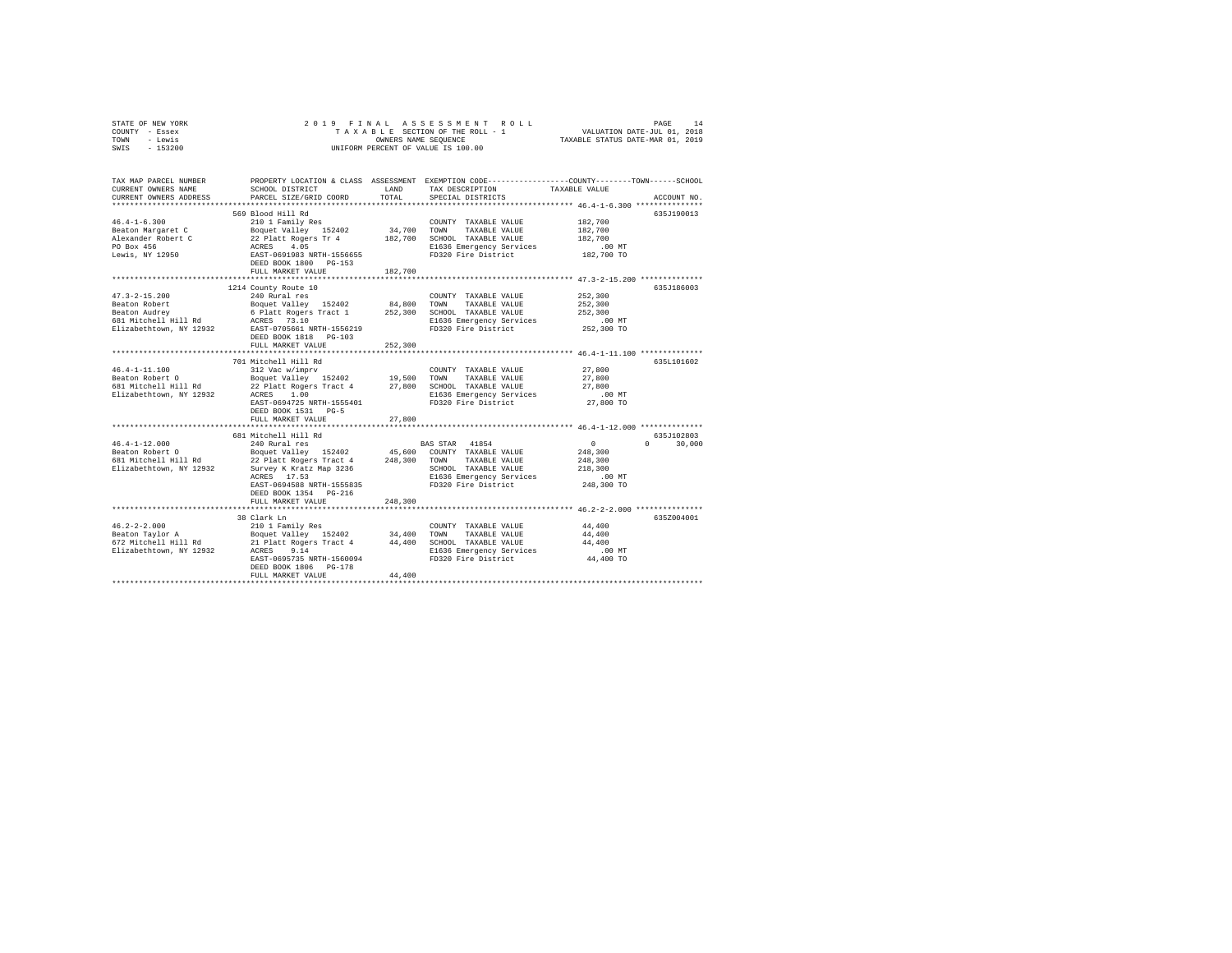| STATE OF NEW YORK       | 2019 FINAL                   |                      | ASSESSMENT<br>ROLL                 | 14<br>PAGE                                                                                     |
|-------------------------|------------------------------|----------------------|------------------------------------|------------------------------------------------------------------------------------------------|
| COUNTY - Essex          |                              |                      | TAXABLE SECTION OF THE ROLL - 1    | VALUATION DATE-JUL 01, 2018<br>TAXABLE STATUS DATE-MAR 01, 2019                                |
| - Lewis<br>TOWN         |                              | OWNERS NAME SEQUENCE |                                    |                                                                                                |
| SWIS<br>$-153200$       |                              |                      | UNIFORM PERCENT OF VALUE IS 100.00 |                                                                                                |
| TAX MAP PARCEL NUMBER   |                              |                      |                                    | PROPERTY LOCATION & CLASS ASSESSMENT EXEMPTION CODE---------------COUNTY-------TOWN-----SCHOOL |
| CURRENT OWNERS NAME     | SCHOOL DISTRICT              | LAND                 | TAX DESCRIPTION                    | TAXABLE VALUE                                                                                  |
| CURRENT OWNERS ADDRESS  | PARCEL SIZE/GRID COORD       | TOTAL                | SPECIAL DISTRICTS                  | ACCOUNT NO.                                                                                    |
|                         |                              |                      |                                    |                                                                                                |
|                         | 569 Blood Hill Rd            |                      |                                    | 635J190013                                                                                     |
| $46.4 - 1 - 6.300$      | 210 1 Family Res             |                      | COUNTY TAXABLE VALUE               | 182,700                                                                                        |
| Beaton Margaret C       | Boquet Valley 152402         | 34,700               | TOWN<br>TAXABLE VALUE              | 182,700                                                                                        |
| Alexander Robert C      | 22 Platt Rogers Tr 4         | 182,700              | SCHOOL TAXABLE VALUE               | 182,700                                                                                        |
| PO Box 456              | 4.05<br>ACRES                |                      | E1636 Emergency Services           | $.00$ MT                                                                                       |
| Lewis, NY 12950         | EAST-0691983 NRTH-1556655    |                      | FD320 Fire District                | 182,700 TO                                                                                     |
|                         | DEED BOOK 1800 PG-153        |                      |                                    |                                                                                                |
|                         | FULL MARKET VALUE            | 182,700              |                                    |                                                                                                |
|                         | ************************     | ***********          |                                    | ******************** 47.3-2-15.200 **************                                              |
|                         | 1214 County Route 10         |                      |                                    | 635J186003                                                                                     |
| $47.3 - 2 - 15.200$     | 240 Rural res                |                      | COUNTY TAXABLE VALUE               | 252,300                                                                                        |
| Beaton Robert           | Boquet Valley 152402         | 84,800               | TOWN<br>TAXABLE VALUE              | 252,300                                                                                        |
| Beaton Audrey           | 6 Platt Rogers Tract 1       | 252,300              | SCHOOL TAXABLE VALUE               | 252,300                                                                                        |
| 681 Mitchell Hill Rd    | ACRES 73.10                  |                      | E1636 Emergency Services           | $.00$ MT                                                                                       |
| Elizabethtown, NY 12932 | EAST-0705661 NRTH-1556219    |                      | FD320 Fire District                | 252,300 TO                                                                                     |
|                         | DEED BOOK 1818 PG-103        |                      |                                    |                                                                                                |
|                         | FULL MARKET VALUE            | 252,300              |                                    |                                                                                                |
|                         | **************************** | **********           |                                    | ********************************* 46.4-1-11.100 **************                                 |
|                         | 701 Mitchell Hill Rd         |                      |                                    | 635L101602                                                                                     |
| $46.4 - 1 - 11.100$     | 312 Vac w/imprv              |                      | COUNTY TAXABLE VALUE               | 27,800                                                                                         |
| Beaton Robert O         | Boquet Valley 152402         | 19,500               | TOWN<br>TAXABLE VALUE              | 27,800                                                                                         |
| 681 Mitchell Hill Rd    | 22 Platt Rogers Tract 4      | 27,800               | SCHOOL TAXABLE VALUE               | 27,800                                                                                         |
| Elizabethtown, NY 12932 | ACRES 1.00                   |                      | E1636 Emergency Services           | .00MT                                                                                          |
|                         | EAST-0694725 NRTH-1555401    |                      | FD320 Fire District                | 27,800 TO                                                                                      |
|                         | DEED BOOK 1531 PG-5          |                      |                                    |                                                                                                |
|                         | FULL MARKET VALUE            | 27,800               |                                    |                                                                                                |
|                         |                              |                      |                                    | ************ 46.4-1-12.000 ***************                                                     |
|                         | 681 Mitchell Hill Rd         |                      |                                    | 635J102803                                                                                     |
| $46.4 - 1 - 12.000$     | 240 Rural res                |                      | BAS STAR 41854                     | $^{\circ}$<br>$\Omega$<br>30,000                                                               |
| Beaton Robert 0         | Boquet Valley 152402         | 45,600               | COUNTY TAXABLE VALUE               | 248,300                                                                                        |
| 681 Mitchell Hill Rd    | 22 Platt Rogers Tract 4      | 248,300              | TOWN<br>TAXABLE VALUE              | 248,300                                                                                        |
| Elizabethtown, NY 12932 | Survey K Kratz Map 3236      |                      | SCHOOL TAXABLE VALUE               | 218,300                                                                                        |
|                         | ACRES 17.53                  |                      | E1636 Emergency Services           | .00MT                                                                                          |
|                         | EAST-0694588 NRTH-1555835    |                      | FD320 Fire District                | 248,300 TO                                                                                     |
|                         | DEED BOOK 1354 PG-216        |                      |                                    |                                                                                                |
|                         | FULL MARKET VALUE            | 248,300              |                                    |                                                                                                |
|                         |                              |                      |                                    | ********************************** 46.2-2-2.000 ****************                               |
|                         | 38 Clark Ln                  |                      |                                    | 635Z004001                                                                                     |
| $46.2 - 2 - 2.000$      | 210 1 Family Res             |                      | COUNTY TAXABLE VALUE               | 44,400                                                                                         |
| Beaton Taylor A         | Boquet Valley 152402         | 34,400               | TOWN<br>TAXABLE VALUE              | 44,400                                                                                         |
| 672 Mitchell Hill Rd    | 21 Platt Rogers Tract 4      | 44,400               | SCHOOL TAXABLE VALUE               | 44,400                                                                                         |
| Elizabethtown, NY 12932 | ACRES<br>9.14                |                      | E1636 Emergency Services           | $.00$ MT                                                                                       |
|                         | EAST-0695735 NRTH-1560094    |                      | FD320 Fire District                | 44,400 TO                                                                                      |
|                         | DEED BOOK 1806 PG-178        |                      |                                    |                                                                                                |
|                         | FULL MARKET VALUE            | 44,400               |                                    |                                                                                                |
|                         |                              |                      |                                    |                                                                                                |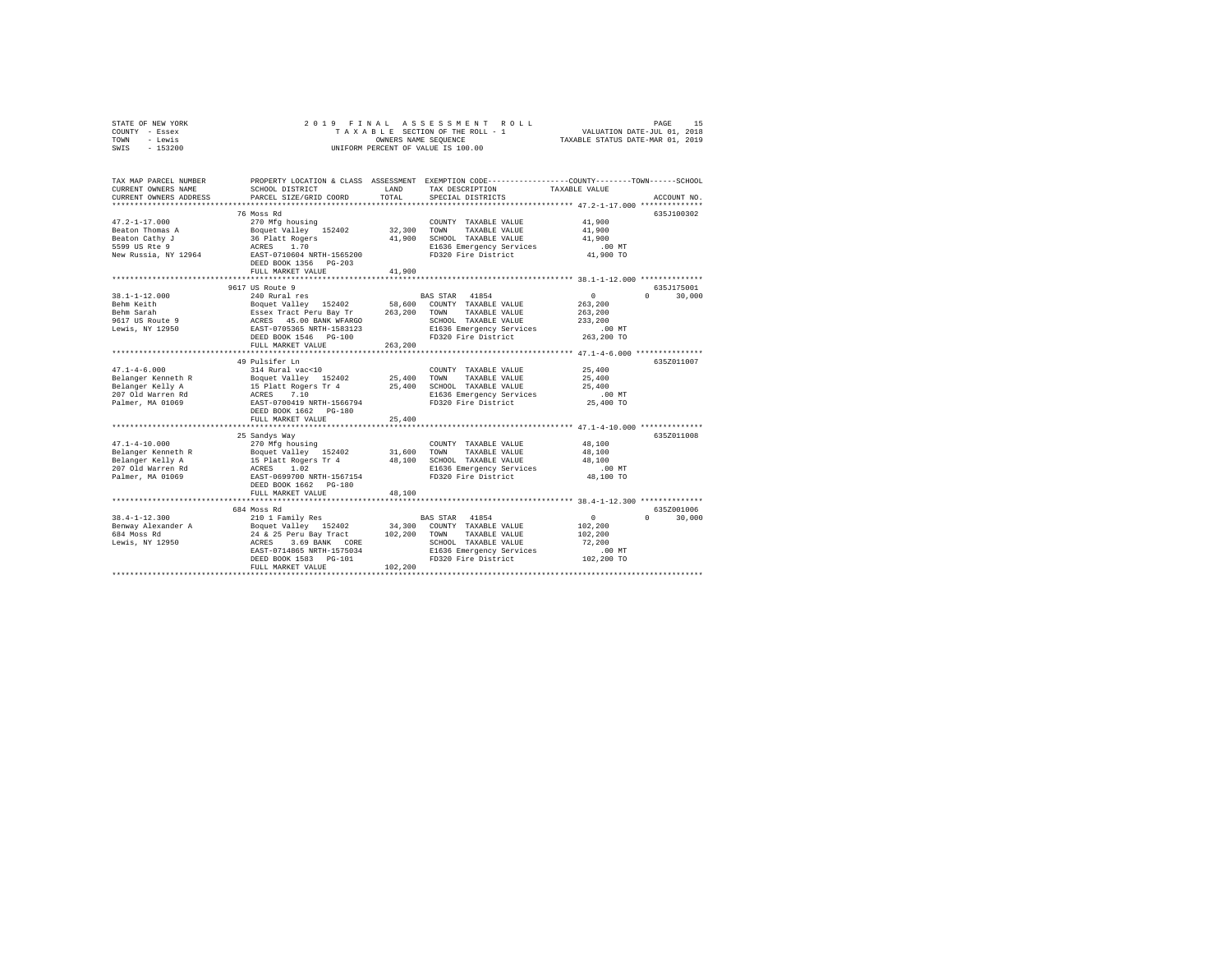|                | STATE OF NEW YORK |  | 2019 FINAL ASSESSMENT ROLL         |                                  | PAGE                        | 15 |
|----------------|-------------------|--|------------------------------------|----------------------------------|-----------------------------|----|
| COUNTY - Essex |                   |  | TAXABLE SECTION OF THE ROLL - 1    |                                  | VALUATION DATE-JUL 01, 2018 |    |
| TOWN           | - Lewis           |  | OWNERS NAME SEOUENCE               | TAXABLE STATUS DATE-MAR 01, 2019 |                             |    |
| SWIS           | $-153200$         |  | UNIFORM PERCENT OF VALUE IS 100.00 |                                  |                             |    |

| TAX MAP PARCEL NUMBER<br>CURRENT OWNERS NAME<br>CURRENT OWNERS ADDRESS<br>**********************                                                                                                                                             | SCHOOL DISTRICT<br>PARCEL SIZE/GRID COORD<br>***********************            | LAND<br>TOTAL | PROPERTY LOCATION & CLASS ASSESSMENT EXEMPTION CODE---------------COUNTY-------TOWN-----SCHOOL<br>TAX DESCRIPTION<br>SPECIAL DISTRICTS | TAXABLE VALUE | ACCOUNT NO                      |
|----------------------------------------------------------------------------------------------------------------------------------------------------------------------------------------------------------------------------------------------|---------------------------------------------------------------------------------|---------------|----------------------------------------------------------------------------------------------------------------------------------------|---------------|---------------------------------|
|                                                                                                                                                                                                                                              |                                                                                 |               |                                                                                                                                        |               |                                 |
|                                                                                                                                                                                                                                              | 76 Moss Rd                                                                      |               |                                                                                                                                        |               | 635J100302                      |
| $47.2 - 1 - 17.000$                                                                                                                                                                                                                          | 270 Mfg housing                                                                 |               | COUNTY TAXABLE VALUE                                                                                                                   | 41,900        |                                 |
| Beaton Thomas A                                                                                                                                                                                                                              | Boquet Valley 152402 32,300                                                     |               | TOWN<br>TAXABLE VALUE                                                                                                                  | 41,900        |                                 |
| Beaton Cathy J                                                                                                                                                                                                                               | 36 Platt Rogers                                                                 | 41,900        | SCHOOL TAXABLE VALUE                                                                                                                   | 41,900        |                                 |
| 5599 US Rte 9                                                                                                                                                                                                                                | ACRES<br>1.70                                                                   |               | E1636 Emergency Services                                                                                                               | $.00$ MT      |                                 |
| New Russia, NY 12964                                                                                                                                                                                                                         | EAST-0710604 NRTH-1565200                                                       |               | FD320 Fire District                                                                                                                    | 41,900 TO     |                                 |
|                                                                                                                                                                                                                                              | DEED BOOK 1356 PG-203                                                           |               |                                                                                                                                        |               |                                 |
|                                                                                                                                                                                                                                              | FULL MARKET VALUE                                                               | 41,900        |                                                                                                                                        |               |                                 |
|                                                                                                                                                                                                                                              | ******************************                                                  |               |                                                                                                                                        |               |                                 |
|                                                                                                                                                                                                                                              | 9617 US Route 9                                                                 |               |                                                                                                                                        |               | 635J175001                      |
| $38.1 - 1 - 12.000$                                                                                                                                                                                                                          | 240 Rural res                                                                   |               | BAS STAR 41854                                                                                                                         | $\sim$ 0      | $\Omega$<br>30,000              |
| Behm Keith                                                                                                                                                                                                                                   | Boquet Valley 152402                                                            |               | 58,600 COUNTY TAXABLE VALUE                                                                                                            | 263,200       |                                 |
| Behm Sarah                                                                                                                                                                                                                                   |                                                                                 | 263,200       | TAXABLE VALUE<br>TOWN                                                                                                                  | 263,200       |                                 |
| Behm Saran<br>9617 US Route 9                                                                                                                                                                                                                | Essex Tract Peru Bay Tr<br>ACRES 45.00 BANK WFARGO<br>EAST-0705365 NRTH-1583123 |               | SCHOOL TAXABLE VALUE                                                                                                                   | 233,200       |                                 |
| Lewis, NY 12950                                                                                                                                                                                                                              |                                                                                 |               | E1636 Emergency Services                                                                                                               | .00 MT        |                                 |
|                                                                                                                                                                                                                                              | DEED BOOK 1546 PG-100                                                           |               | FD320 Fire District                                                                                                                    | 263,200 TO    |                                 |
|                                                                                                                                                                                                                                              | FULL MARKET VALUE                                                               | 263,200       |                                                                                                                                        |               |                                 |
|                                                                                                                                                                                                                                              |                                                                                 |               |                                                                                                                                        |               |                                 |
|                                                                                                                                                                                                                                              | 49 Pulsifer Ln                                                                  |               |                                                                                                                                        |               | 635Z011007                      |
|                                                                                                                                                                                                                                              |                                                                                 |               |                                                                                                                                        | 25,400        |                                 |
|                                                                                                                                                                                                                                              |                                                                                 |               |                                                                                                                                        | 25,400        |                                 |
|                                                                                                                                                                                                                                              |                                                                                 |               |                                                                                                                                        | 25,400        |                                 |
|                                                                                                                                                                                                                                              |                                                                                 |               |                                                                                                                                        | $.00$ MT      |                                 |
|                                                                                                                                                                                                                                              |                                                                                 |               |                                                                                                                                        | 25,400 TO     |                                 |
|                                                                                                                                                                                                                                              | DEED BOOK 1662 PG-180                                                           |               |                                                                                                                                        |               |                                 |
|                                                                                                                                                                                                                                              | FULL MARKET VALUE                                                               | 25,400        |                                                                                                                                        |               |                                 |
|                                                                                                                                                                                                                                              |                                                                                 |               |                                                                                                                                        |               |                                 |
|                                                                                                                                                                                                                                              | 25 Sandys Way                                                                   |               |                                                                                                                                        |               | 635Z011008                      |
| $47.1 - 4 - 10.000$                                                                                                                                                                                                                          | 270 Mfg housing                                                                 |               | COUNTY TAXABLE VALUE                                                                                                                   | 48,100        |                                 |
|                                                                                                                                                                                                                                              |                                                                                 |               | TOWN<br>TAXABLE VALUE                                                                                                                  | 48,100        |                                 |
|                                                                                                                                                                                                                                              |                                                                                 |               | 48,100 SCHOOL TAXABLE VALUE                                                                                                            | 48,100        |                                 |
| 47.1-4-10.000<br>Pelanger Kenly A 15 Platt Rogers Tr 4 48,100<br>2010 10 15 Platt Rogers Tr 4 48,100<br>207 Old Warren Rd 15 Platt Rogers 102<br>207 Old Warren Rd 16CRES 102<br>20200 RATH=1567154<br>20200 RATH=1567154<br>20200 RATH=1567 |                                                                                 |               | SCHOOL TAXABLE VALUE<br>E1636 Emergency Services                                                                                       | $.00$ MT      |                                 |
|                                                                                                                                                                                                                                              |                                                                                 |               | FD320 Fire District                                                                                                                    | 48,100 TO     |                                 |
|                                                                                                                                                                                                                                              |                                                                                 |               |                                                                                                                                        |               |                                 |
|                                                                                                                                                                                                                                              | FULL MARKET VALUE                                                               | 48,100        |                                                                                                                                        |               |                                 |
|                                                                                                                                                                                                                                              |                                                                                 |               |                                                                                                                                        |               |                                 |
|                                                                                                                                                                                                                                              | 684 Moss Rd                                                                     |               |                                                                                                                                        |               | 635Z001006                      |
| $38.4 - 1 - 12.300$                                                                                                                                                                                                                          | 210 1 Family Res                                                                |               | BAS STAR 41854                                                                                                                         | $\circ$       | $\Omega$ and $\Omega$<br>30,000 |
| Benway Alexander A                                                                                                                                                                                                                           |                                                                                 |               |                                                                                                                                        | 102,200       |                                 |
| 684 Moss Rd                                                                                                                                                                                                                                  | Boquet Valley 152402<br>24 & 25 Peru Bay Tract<br>ACRES 3.69 BANK CORE          |               | 34,300 COUNTY TAXABLE VALUE<br>102,200 TOWN TAXABLE VALUE                                                                              | 102,200       |                                 |
| Lewis, NY 12950                                                                                                                                                                                                                              |                                                                                 |               | SCHOOL TAXABLE VALUE                                                                                                                   | 72,200        |                                 |
|                                                                                                                                                                                                                                              | EAST-0714865 NRTH-1575034                                                       |               | E1636 Emergency Services                                                                                                               | $.00$ MT      |                                 |
|                                                                                                                                                                                                                                              | DEED BOOK 1583 PG-101                                                           |               | FD320 Fire District 102,200 TO                                                                                                         |               |                                 |
|                                                                                                                                                                                                                                              | FULL MARKET VALUE                                                               | 102,200       |                                                                                                                                        |               |                                 |
|                                                                                                                                                                                                                                              |                                                                                 |               |                                                                                                                                        |               |                                 |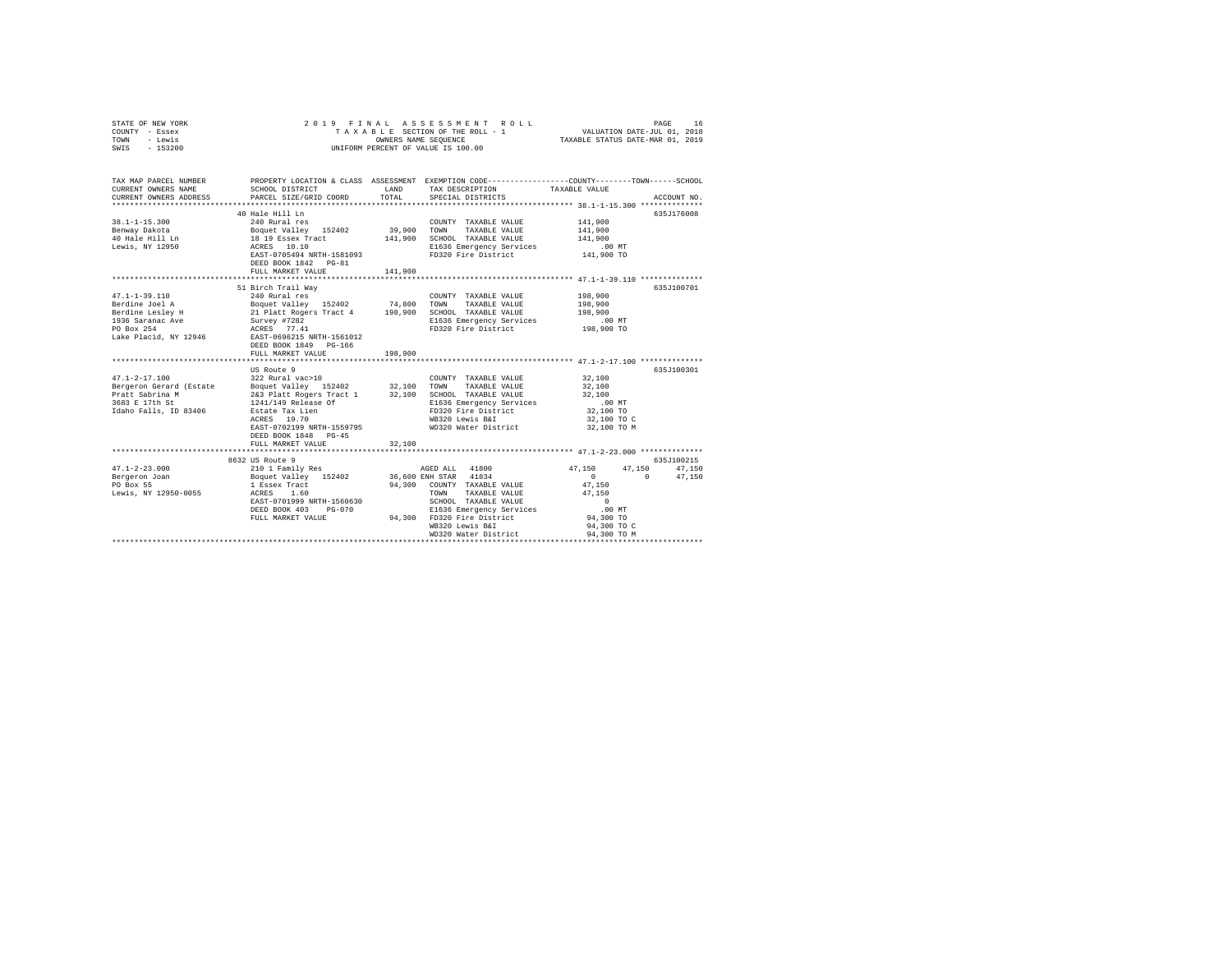| STATE OF NEW YORK<br>COUNTY - Essex<br>TOWN<br>- Lewis<br>SWIS - 153200 |                                                                                                                     |             | 2019 FINAL ASSESSMENT ROLL<br>TAXABLE SECTION OF THE ROLL - 1<br>OWNERS NAME SEQUENCE<br>UNIFORM PERCENT OF VALUE IS 100.00 | VALUATION DATE-JUL 01, 2018<br>TAXABLE STATUS DATE-MAR 01, 2019 | PAGE<br>16                  |
|-------------------------------------------------------------------------|---------------------------------------------------------------------------------------------------------------------|-------------|-----------------------------------------------------------------------------------------------------------------------------|-----------------------------------------------------------------|-----------------------------|
| TAX MAP PARCEL NUMBER<br>CURRENT OWNERS NAME                            | PROPERTY LOCATION & CLASS ASSESSMENT EXEMPTION CODE-----------------COUNTY-------TOWN-----SCHOOL<br>SCHOOL DISTRICT | LAND        | TAX DESCRIPTION                                                                                                             | TAXABLE VALUE                                                   |                             |
| CURRENT OWNERS ADDRESS                                                  | PARCEL SIZE/GRID COORD                                                                                              | TOTAL       | SPECIAL DISTRICTS                                                                                                           |                                                                 | ACCOUNT NO.                 |
|                                                                         |                                                                                                                     |             |                                                                                                                             |                                                                 |                             |
| $38.1 - 1 - 15.300$                                                     | 40 Hale Hill Ln                                                                                                     |             |                                                                                                                             | 141,900                                                         | 635J176008                  |
| Benway Dakota                                                           | 240 Rural res                                                                                                       | 39,900 TOWN | COUNTY TAXABLE VALUE<br>TAXABLE VALUE                                                                                       | 141,900                                                         |                             |
| 40 Hale Hill Ln                                                         | Eoquet Valley 152402<br>18 19 Essex Tract<br>ACRES 10.10                                                            |             | 141,900 SCHOOL TAXABLE VALUE                                                                                                | 141,900                                                         |                             |
| Lewis, NY 12950                                                         |                                                                                                                     |             | E1636 Emergency Services                                                                                                    | $.00$ MT                                                        |                             |
|                                                                         | EAST-0705494 NRTH-1581093                                                                                           |             | FD320 Fire District                                                                                                         | 141,900 TO                                                      |                             |
|                                                                         | DEED BOOK 1842 PG-81                                                                                                |             |                                                                                                                             |                                                                 |                             |
|                                                                         | FULL MARKET VALUE                                                                                                   | 141,900     |                                                                                                                             |                                                                 |                             |
|                                                                         |                                                                                                                     |             |                                                                                                                             |                                                                 |                             |
|                                                                         | 51 Birch Trail Wav                                                                                                  |             |                                                                                                                             |                                                                 | 635J100701                  |
|                                                                         |                                                                                                                     |             |                                                                                                                             | 198,900                                                         |                             |
|                                                                         |                                                                                                                     |             |                                                                                                                             | 198,900                                                         |                             |
|                                                                         |                                                                                                                     |             |                                                                                                                             | 198,900                                                         |                             |
|                                                                         |                                                                                                                     |             | E1636 Emergency Services                                                                                                    | .00 MT<br>198,900 TO                                            |                             |
|                                                                         |                                                                                                                     |             | FD320 Fire District                                                                                                         |                                                                 |                             |
| Lake Placid, NY 12946                                                   | EAST-0696215 NRTH-1561012<br>DEED BOOK 1849 PG-166                                                                  |             |                                                                                                                             |                                                                 |                             |
|                                                                         | FULL MARKET VALUE                                                                                                   | 198,900     |                                                                                                                             |                                                                 |                             |
|                                                                         |                                                                                                                     |             |                                                                                                                             |                                                                 |                             |
|                                                                         | US Route 9                                                                                                          |             |                                                                                                                             |                                                                 | 635J100301                  |
| $47.1 - 2 - 17.100$                                                     | 322 Rural vac>10                                                                                                    |             | COUNTY TAXABLE VALUE                                                                                                        | 32,100                                                          |                             |
| Bergeron Gerard (Estate                                                 | Boquet Valley 152402 32,100 TOWN TAXABLE VALUE                                                                      |             |                                                                                                                             | 32,100                                                          |                             |
| Pratt Sabrina M                                                         | 2&3 Platt Rogers Tract 1 32,100 SCHOOL TAXABLE VALUE                                                                |             |                                                                                                                             | 32,100                                                          |                             |
| 3683 E 17th St                                                          | 1241/149 Release Of                                                                                                 |             | E1636 Emergency Services                                                                                                    | $.00$ MT                                                        |                             |
| Idaho Falls, ID 83406                                                   | Estate Tax Lien<br>ACRES 19.70                                                                                      |             | FD320 Fire District                                                                                                         | 32,100 TO                                                       |                             |
|                                                                         |                                                                                                                     |             | WB320 Lewis B&I                                                                                                             | 32,100 TO C                                                     |                             |
|                                                                         | EAST-0702199 NRTH-1559795                                                                                           |             | WD320 Water District                                                                                                        | 32,100 TO M                                                     |                             |
|                                                                         | DEED BOOK 1848 PG-45                                                                                                |             |                                                                                                                             |                                                                 |                             |
|                                                                         | FULL MARKET VALUE                                                                                                   | 32,100      |                                                                                                                             |                                                                 |                             |
|                                                                         | ***************************                                                                                         |             | *********************************** 47.1-2-23.000 **************                                                            |                                                                 |                             |
| $47.1 - 2 - 23.000$                                                     | 8632 US Route 9<br>210 1 Family Res                                                                                 |             | AGED ALL 41800                                                                                                              | 47.150                                                          | 635J100215                  |
|                                                                         | Boquet Valley 152402                                                                                                |             | $36,600$ ENH STAR $41834$                                                                                                   | $\sim$ 0<br>$\sim$ 0                                            | $47,150$ $47,150$<br>47.150 |
| Bergeron Joan<br>PO Box 55                                              |                                                                                                                     |             | 94.300 COUNTY TAXABLE VALUE                                                                                                 | 47.150                                                          |                             |
| Lewis, NY 12950-0055                                                    | 1 Essex Tract<br>ACRES 1.60                                                                                         |             | TOWN TAXABLE VALUE                                                                                                          | 47,150                                                          |                             |
|                                                                         | EAST-0701999 NRTH-1560630                                                                                           |             | SCHOOL TAXABLE VALUE                                                                                                        | $\sim$ 0                                                        |                             |
|                                                                         | DEED BOOK 403 PG-070                                                                                                |             | E1636 Emergency Services                                                                                                    | .00 MT                                                          |                             |
|                                                                         | FULL MARKET VALUE                                                                                                   |             | 94,300 FD320 Fire District                                                                                                  | 94,300 TO                                                       |                             |
|                                                                         |                                                                                                                     |             | WB320 Lewis B&I                                                                                                             | 94,300 TO C                                                     |                             |
|                                                                         |                                                                                                                     |             | WD320 Water District                                                                                                        | 94,300 TO M                                                     |                             |
|                                                                         |                                                                                                                     |             |                                                                                                                             | ********************************                                |                             |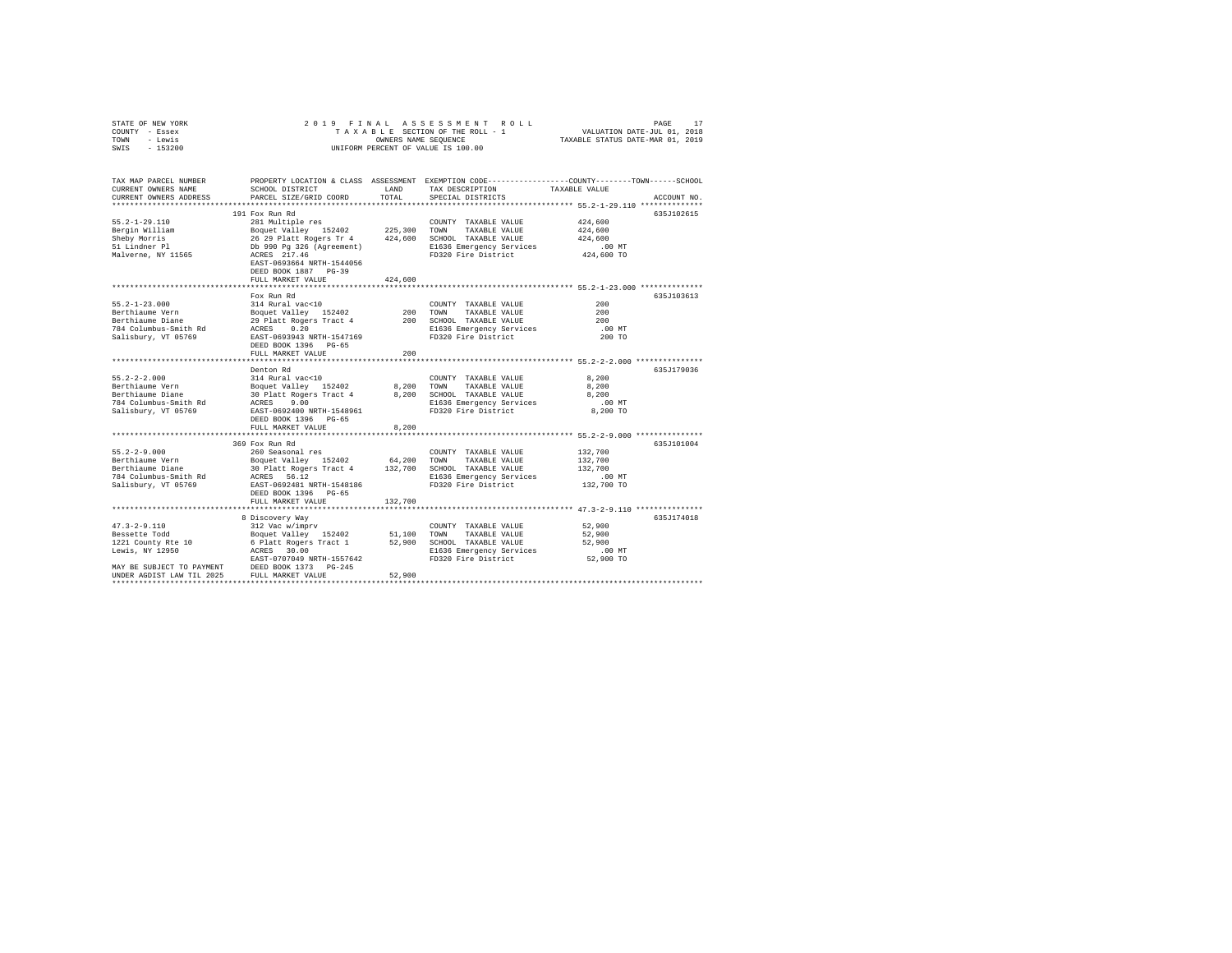| STATE OF NEW YORK                               | 2019 FINAL                |                      | ASSESSMENT ROLL                                                                               |                                  | 17<br>PAGE  |
|-------------------------------------------------|---------------------------|----------------------|-----------------------------------------------------------------------------------------------|----------------------------------|-------------|
| COUNTY - Essex                                  |                           |                      | TAXABLE SECTION OF THE ROLL - 1                                                               | VALUATION DATE-JUL 01, 2018      |             |
| - Lewis<br>TOWN                                 |                           | OWNERS NAME SEQUENCE |                                                                                               | TAXABLE STATUS DATE-MAR 01, 2019 |             |
| SWIS<br>$-153200$                               |                           |                      | UNIFORM PERCENT OF VALUE IS 100.00                                                            |                                  |             |
|                                                 |                           |                      |                                                                                               |                                  |             |
|                                                 |                           |                      |                                                                                               |                                  |             |
|                                                 |                           |                      |                                                                                               |                                  |             |
| TAX MAP PARCEL NUMBER                           |                           |                      | PROPERTY LOCATION & CLASS ASSESSMENT EXEMPTION CODE--------------COUNTY-------TOWN-----SCHOOL |                                  |             |
| CURRENT OWNERS NAME                             | SCHOOL DISTRICT           | LAND<br>TOTAL        | TAX DESCRIPTION                                                                               | TAXABLE VALUE                    |             |
| CURRENT OWNERS ADDRESS                          | PARCEL SIZE/GRID COORD    |                      | SPECIAL DISTRICTS                                                                             |                                  | ACCOUNT NO. |
|                                                 |                           |                      |                                                                                               |                                  |             |
|                                                 | 191 Fox Run Rd            |                      |                                                                                               |                                  | 635J102615  |
| $55.2 - 1 - 29.110$                             | 281 Multiple res          |                      | COUNTY TAXABLE VALUE                                                                          | 424,600                          |             |
| Bergin William                                  | Boquet Valley 152402      | 225,300 TOWN         | TAXABLE VALUE                                                                                 | 424,600                          |             |
| Sheby Morris                                    | 26 29 Platt Rogers Tr 4   |                      | 424,600 SCHOOL TAXABLE VALUE                                                                  | 424,600                          |             |
| 51 Lindner Pl                                   | Db 990 Pg 326 (Agreement) |                      | E1636 Emergency Services                                                                      | $.00$ MT                         |             |
| Malverne, NY 11565                              | ACRES 217.46              |                      | FD320 Fire District                                                                           | 424,600 TO                       |             |
|                                                 | EAST-0693664 NRTH-1544056 |                      |                                                                                               |                                  |             |
|                                                 | DEED BOOK 1887 PG-39      |                      |                                                                                               |                                  |             |
|                                                 | FULL MARKET VALUE         | 424,600              |                                                                                               |                                  |             |
|                                                 |                           |                      |                                                                                               |                                  |             |
|                                                 | Fox Run Rd                |                      |                                                                                               |                                  | 635J103613  |
| $55.2 - 1 - 23.000$                             | 314 Rural vac<10          |                      | COUNTY TAXABLE VALUE                                                                          | 200                              |             |
| Berthiaume Vern                                 | Boquet Valley 152402      |                      | 200 TOWN<br>TAXABLE VALUE                                                                     | 200                              |             |
| Berthiaume Diane                                | 29 Platt Rogers Tract 4   |                      | 200 SCHOOL TAXABLE VALUE                                                                      | 200                              |             |
| 784 Columbus-Smith Rd                           | 29 Plat<br>ACRES<br>0.20  |                      | E1636 Emergency Services                                                                      | $.00$ MT                         |             |
| Salisbury, VT 05769                             | EAST-0693943 NRTH-1547169 |                      | FD320 Fire District                                                                           | 200 TO                           |             |
|                                                 | DEED BOOK 1396 PG-65      |                      |                                                                                               |                                  |             |
|                                                 | FULL MARKET VALUE         | 200                  |                                                                                               |                                  |             |
|                                                 |                           |                      |                                                                                               |                                  |             |
|                                                 | Denton Rd                 |                      |                                                                                               |                                  | 635J179036  |
| $55.2 - 2 - 2.000$                              | 314 Rural vac<10          |                      | COUNTY TAXABLE VALUE                                                                          | 8,200                            |             |
| Berthiaume Vern                                 | Boquet Valley 152402      | 8,200 TOWN           | TAXABLE VALUE                                                                                 | 8,200                            |             |
| Berthiaume Diane                                | 30 Platt Rogers Tract 4   |                      | 8,200 SCHOOL TAXABLE VALUE                                                                    | 8,200                            |             |
| 784 Columbus-Smith Rd                           | ACRES<br>9.00             |                      | E1636 Emergency Services                                                                      | $.00$ MT                         |             |
| Salisbury, VT 05769                             | EAST-0692400 NRTH-1548961 |                      | FD320 Fire District                                                                           | 8,200 TO                         |             |
|                                                 |                           |                      |                                                                                               |                                  |             |
|                                                 | DEED BOOK 1396 PG-65      |                      |                                                                                               |                                  |             |
|                                                 | FULL MARKET VALUE         | 8,200                |                                                                                               |                                  |             |
|                                                 |                           |                      |                                                                                               |                                  |             |
|                                                 | 369 Fox Run Rd            |                      |                                                                                               |                                  | 635J101004  |
| $55.2 - 2 - 9.000$                              | 260 Seasonal res          |                      | COUNTY TAXABLE VALUE                                                                          | 132,700                          |             |
| Berthiaume Vern                                 | Boquet Valley 152402      | 64,200               | TOWN<br>TAXABLE VALUE                                                                         | 132,700                          |             |
| Berthiaume Diane                                | 30 Platt Rogers Tract 4   |                      | 132,700 SCHOOL TAXABLE VALUE                                                                  | 132,700                          |             |
| 784 Columbus-Smith Rd                           | ACRES 56.12               |                      | E1636 Emergency Services                                                                      | $.00$ MT                         |             |
| Salisbury, VT 05769                             | EAST-0692481 NRTH-1548186 |                      | FD320 Fire District                                                                           | 132,700 TO                       |             |
|                                                 | DEED BOOK 1396 PG-65      |                      |                                                                                               |                                  |             |
|                                                 | FULL MARKET VALUE         | 132,700              |                                                                                               |                                  |             |
|                                                 |                           |                      |                                                                                               |                                  |             |
|                                                 | 8 Discovery Way           |                      |                                                                                               |                                  | 635J174018  |
| $47.3 - 2 - 9.110$                              | 312 Vac w/imprv           |                      | COUNTY TAXABLE VALUE                                                                          | 52,900                           |             |
| Bessette Todd                                   | Boquet Valley 152402      | 51,100               | TOWN<br>TAXABLE VALUE                                                                         | 52,900                           |             |
| 1221 County Rte 10                              | 6 Platt Rogers Tract 1    |                      | 52,900 SCHOOL TAXABLE VALUE                                                                   | 52,900                           |             |
| Lewis, NY 12950                                 | ACRES 30.00               |                      | E1636 Emergency Services                                                                      | $.00$ MT                         |             |
|                                                 | EAST-0707049 NRTH-1557642 |                      | FD320 Fire District                                                                           | 52,900 TO                        |             |
| MAY BE SUBJECT TO PAYMENT DEED BOOK 1373 PG-245 |                           |                      |                                                                                               |                                  |             |
| UNDER AGDIST LAW TIL 2025                       | FULL MARKET VALUE         | 52,900               |                                                                                               |                                  |             |
|                                                 |                           |                      |                                                                                               |                                  |             |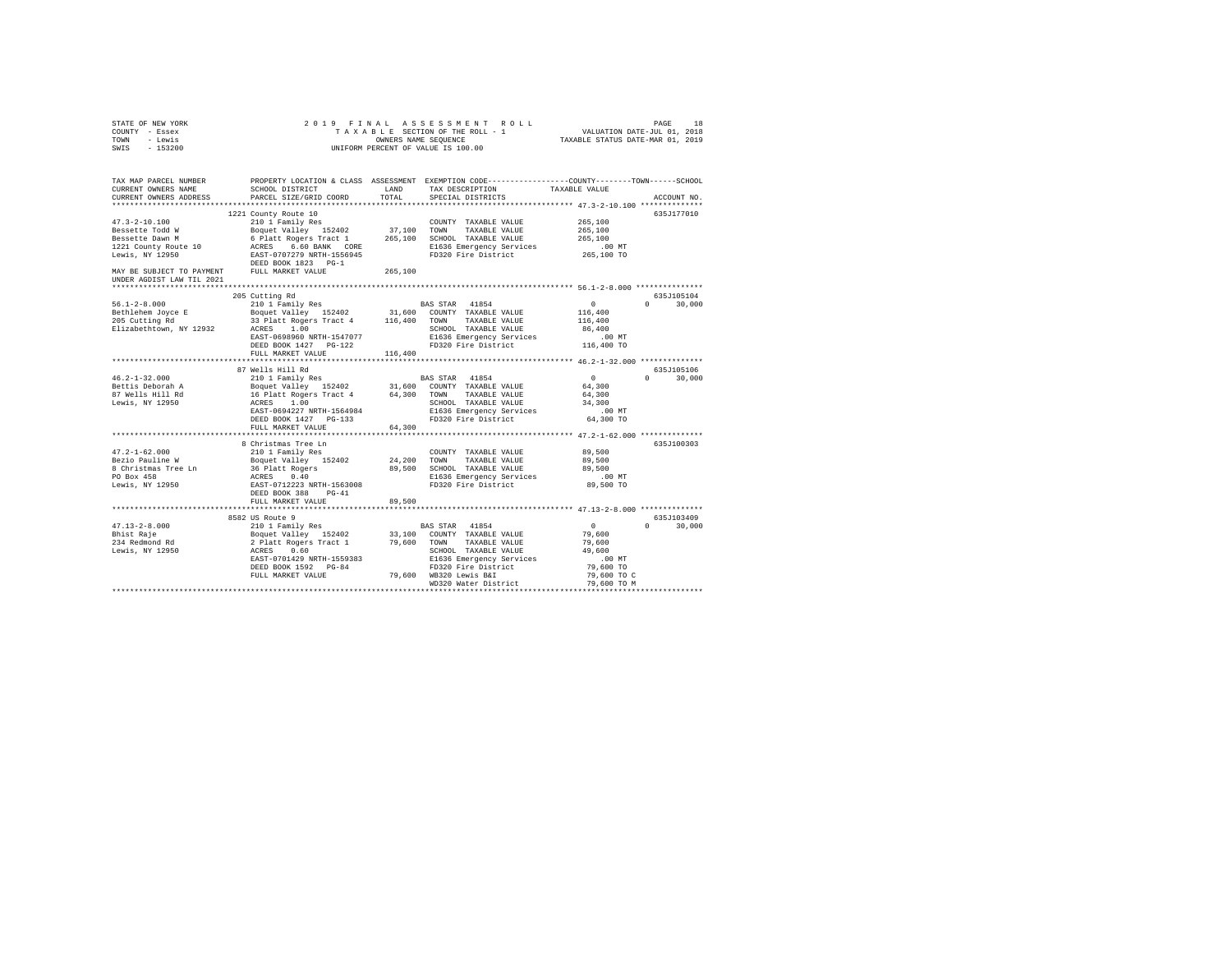| COUNTY - Essex                                                                                                        |                                                                                                                                                                                                                                          |         |                                                                                                                                                                                                                                               |                                                   |               |
|-----------------------------------------------------------------------------------------------------------------------|------------------------------------------------------------------------------------------------------------------------------------------------------------------------------------------------------------------------------------------|---------|-----------------------------------------------------------------------------------------------------------------------------------------------------------------------------------------------------------------------------------------------|---------------------------------------------------|---------------|
| TOWN - Lewis                                                                                                          |                                                                                                                                                                                                                                          |         |                                                                                                                                                                                                                                               |                                                   |               |
| SWIS - 153200                                                                                                         |                                                                                                                                                                                                                                          |         | UNIFORM PERCENT OF VALUE IS 100.00                                                                                                                                                                                                            |                                                   |               |
|                                                                                                                       |                                                                                                                                                                                                                                          |         |                                                                                                                                                                                                                                               |                                                   |               |
|                                                                                                                       |                                                                                                                                                                                                                                          |         |                                                                                                                                                                                                                                               |                                                   |               |
|                                                                                                                       |                                                                                                                                                                                                                                          |         |                                                                                                                                                                                                                                               |                                                   |               |
| TAX MAP PARCEL NUMBER PROPERTY LOCATION & CLASS ASSESSMENT EXEMPTION CODE---------------COUNTY-------TOWN------SCHOOL |                                                                                                                                                                                                                                          |         |                                                                                                                                                                                                                                               |                                                   |               |
| CURRENT OWNERS NAME                                                                                                   | SCHOOL DISTRICT                                                                                                                                                                                                                          |         | LAND TAX DESCRIPTION                                                                                                                                                                                                                          | TAXABLE VALUE                                     |               |
| CURRENT OWNERS ADDRESS                                                                                                | PARCEL SIZE/GRID COORD                                                                                                                                                                                                                   | TOTAL   | SPECIAL DISTRICTS                                                                                                                                                                                                                             |                                                   | ACCOUNT NO.   |
|                                                                                                                       |                                                                                                                                                                                                                                          |         |                                                                                                                                                                                                                                               | ******************** 47.3-2-10.100 ************** |               |
|                                                                                                                       | 1221 County Route 10                                                                                                                                                                                                                     |         |                                                                                                                                                                                                                                               |                                                   | 635J177010    |
| $47.3 - 2 - 10.100$                                                                                                   |                                                                                                                                                                                                                                          |         | $\texttt{Z1U}$ 1 Family Res<br>Boquet Valley 152402 37,100 TOWN TAXABLE VALUE Boquet Valley 152402 37,100 TOWN TAXABLE VALUE ACRES<br>$\texttt{CFS}$ 6.60 BANK CORE 265,100 SCROOL TAXABLE VALUE<br>ACRES 6.60 BANK CORE E1636 Emergency Serv | 265,100                                           |               |
|                                                                                                                       |                                                                                                                                                                                                                                          |         |                                                                                                                                                                                                                                               | 265,100                                           |               |
| Bessette Todd W<br>Bessette Dawn M                                                                                    |                                                                                                                                                                                                                                          |         |                                                                                                                                                                                                                                               | 265,100                                           |               |
| 1221 County Route 10                                                                                                  |                                                                                                                                                                                                                                          |         |                                                                                                                                                                                                                                               | $.00$ MT                                          |               |
| Lewis, NY 12950                                                                                                       |                                                                                                                                                                                                                                          |         |                                                                                                                                                                                                                                               | 265,100 TO                                        |               |
|                                                                                                                       |                                                                                                                                                                                                                                          |         |                                                                                                                                                                                                                                               |                                                   |               |
| MAY BE SUBJECT TO PAYMENT FULL MARKET VALUE                                                                           |                                                                                                                                                                                                                                          | 265,100 |                                                                                                                                                                                                                                               |                                                   |               |
| UNDER AGDIST LAW TIL 2021                                                                                             |                                                                                                                                                                                                                                          |         |                                                                                                                                                                                                                                               |                                                   |               |
|                                                                                                                       |                                                                                                                                                                                                                                          |         |                                                                                                                                                                                                                                               |                                                   |               |
|                                                                                                                       |                                                                                                                                                                                                                                          |         |                                                                                                                                                                                                                                               |                                                   | 635J105104    |
|                                                                                                                       | 205 Cutting Rd                                                                                                                                                                                                                           |         |                                                                                                                                                                                                                                               | $\sim$ 0                                          |               |
|                                                                                                                       |                                                                                                                                                                                                                                          |         |                                                                                                                                                                                                                                               |                                                   | $0 \t 30.000$ |
|                                                                                                                       |                                                                                                                                                                                                                                          |         |                                                                                                                                                                                                                                               | 116,400                                           |               |
|                                                                                                                       |                                                                                                                                                                                                                                          |         |                                                                                                                                                                                                                                               | 116,400                                           |               |
|                                                                                                                       |                                                                                                                                                                                                                                          |         |                                                                                                                                                                                                                                               | 86,400                                            |               |
|                                                                                                                       |                                                                                                                                                                                                                                          |         |                                                                                                                                                                                                                                               | $.00$ MT                                          |               |
|                                                                                                                       |                                                                                                                                                                                                                                          |         |                                                                                                                                                                                                                                               | 116,400 TO                                        |               |
|                                                                                                                       | FULL MARKET VALUE                                                                                                                                                                                                                        | 116,400 |                                                                                                                                                                                                                                               |                                                   |               |
|                                                                                                                       |                                                                                                                                                                                                                                          |         |                                                                                                                                                                                                                                               |                                                   |               |
|                                                                                                                       | 87 Wells Hill Rd                                                                                                                                                                                                                         |         |                                                                                                                                                                                                                                               |                                                   | 635J105106    |
| $46.2 - 1 - 32.000$                                                                                                   | 210 1 Family Res                                                                                                                                                                                                                         |         | BAS STAR 41854                                                                                                                                                                                                                                | $\mathbf{0}$                                      | $0 \t 30,000$ |
| Bettis Deborah A                                                                                                      |                                                                                                                                                                                                                                          |         |                                                                                                                                                                                                                                               | 64,300                                            |               |
| 87 Wells Hill Rd                                                                                                      |                                                                                                                                                                                                                                          |         |                                                                                                                                                                                                                                               | 64,300                                            |               |
| Lewis, NY 12950                                                                                                       |                                                                                                                                                                                                                                          |         |                                                                                                                                                                                                                                               | 34,300                                            |               |
|                                                                                                                       | Note that the Handley 152402<br>Boquet Valley 152402<br>16 Platt Rogers Tract 4 64,300 TOWN TAXABLE VALUE<br>ACRES 1.00 COUNTY TAXABLE VALUE<br>REST-0694227 NRTH-1564984 SCHOOL TAXABLE VALUE<br>EAST-0694227 NRTH-1564984 SI636 Emerge |         |                                                                                                                                                                                                                                               | $.00$ MT                                          |               |
|                                                                                                                       | DEED BOOK 1427    PG-133                                                                                                                                                                                                                 |         |                                                                                                                                                                                                                                               | 64,300 TO                                         |               |
|                                                                                                                       |                                                                                                                                                                                                                                          |         | SCHOOL TAXABLE VALUE<br>E1636 Emergency Services<br>FD320 Fire District                                                                                                                                                                       |                                                   |               |
|                                                                                                                       | FULL MARKET VALUE                                                                                                                                                                                                                        | 64,300  |                                                                                                                                                                                                                                               |                                                   |               |
|                                                                                                                       |                                                                                                                                                                                                                                          |         |                                                                                                                                                                                                                                               | ******************** 47.2-1-62.000 ************** |               |
|                                                                                                                       | 8 Christmas Tree Ln                                                                                                                                                                                                                      |         |                                                                                                                                                                                                                                               |                                                   | 635J100303    |
| $47.2 - 1 - 62.000$                                                                                                   | 210 1 Family Res                                                                                                                                                                                                                         |         | COUNTY TAXABLE VALUE                                                                                                                                                                                                                          | 89,500                                            |               |
|                                                                                                                       |                                                                                                                                                                                                                                          |         | 24,200 TOWN TAXABLE VALUE<br>89,500 SCHOOL TAXABLE VALUE                                                                                                                                                                                      | 89,500                                            |               |
|                                                                                                                       |                                                                                                                                                                                                                                          |         |                                                                                                                                                                                                                                               | 89,500                                            |               |
|                                                                                                                       |                                                                                                                                                                                                                                          |         |                                                                                                                                                                                                                                               |                                                   |               |
|                                                                                                                       |                                                                                                                                                                                                                                          |         | E1636 Emergency Services .00 MT<br>FD320 Fire District  89,500 TO                                                                                                                                                                             |                                                   |               |
|                                                                                                                       |                                                                                                                                                                                                                                          |         |                                                                                                                                                                                                                                               |                                                   |               |
|                                                                                                                       | FULL MARKET VALUE                                                                                                                                                                                                                        | 89,500  |                                                                                                                                                                                                                                               |                                                   |               |
|                                                                                                                       |                                                                                                                                                                                                                                          |         |                                                                                                                                                                                                                                               |                                                   |               |
|                                                                                                                       | 8582 US Route 9                                                                                                                                                                                                                          |         |                                                                                                                                                                                                                                               |                                                   | 635J103409    |
| $47.13 - 2 - 8.000$                                                                                                   |                                                                                                                                                                                                                                          |         |                                                                                                                                                                                                                                               | $\sim$ 0                                          | $0 \t30.000$  |
| Bhist Raje<br>234 Redmond Rd                                                                                          | EXAMPLE VALUE NAMES AND THE MANUS CONSIDER THE SAMPLE VALUE AND A PARABLE VALUE AND A PARABLE VALUE AND A PARABLE VALUE AND A PARABLE VALUE AND A PARABLE VALUE AND A PARABLE VALUE AND A PARABLE VALUE AND A PARABLE VALUE AN           |         |                                                                                                                                                                                                                                               | 79.600                                            |               |
|                                                                                                                       |                                                                                                                                                                                                                                          |         |                                                                                                                                                                                                                                               | 79,600                                            |               |
| Lewis, NY 12950                                                                                                       |                                                                                                                                                                                                                                          |         |                                                                                                                                                                                                                                               | 49,600                                            |               |
|                                                                                                                       |                                                                                                                                                                                                                                          |         |                                                                                                                                                                                                                                               | $.00$ MT                                          |               |
|                                                                                                                       | DEED BOOK 1592 PG-84                                                                                                                                                                                                                     |         | E1636 Emergency Services<br>FD320 Fire District<br>70.600 MD320 Louis BLI                                                                                                                                                                     | 79,600 TO                                         |               |
|                                                                                                                       | FULL MARKET VALUE                                                                                                                                                                                                                        |         | 79,600 WB320 Lewis B&I                                                                                                                                                                                                                        | 79,600 TO C                                       |               |
|                                                                                                                       |                                                                                                                                                                                                                                          |         | WD320 Water District                                                                                                                                                                                                                          | 79,600 TO M                                       |               |
|                                                                                                                       |                                                                                                                                                                                                                                          |         |                                                                                                                                                                                                                                               | *********************                             |               |
|                                                                                                                       |                                                                                                                                                                                                                                          |         |                                                                                                                                                                                                                                               |                                                   |               |

STATE OF NEW YORK 2 0 1 9 F I N A L A S S E S S M E N T R O L L PAGE 18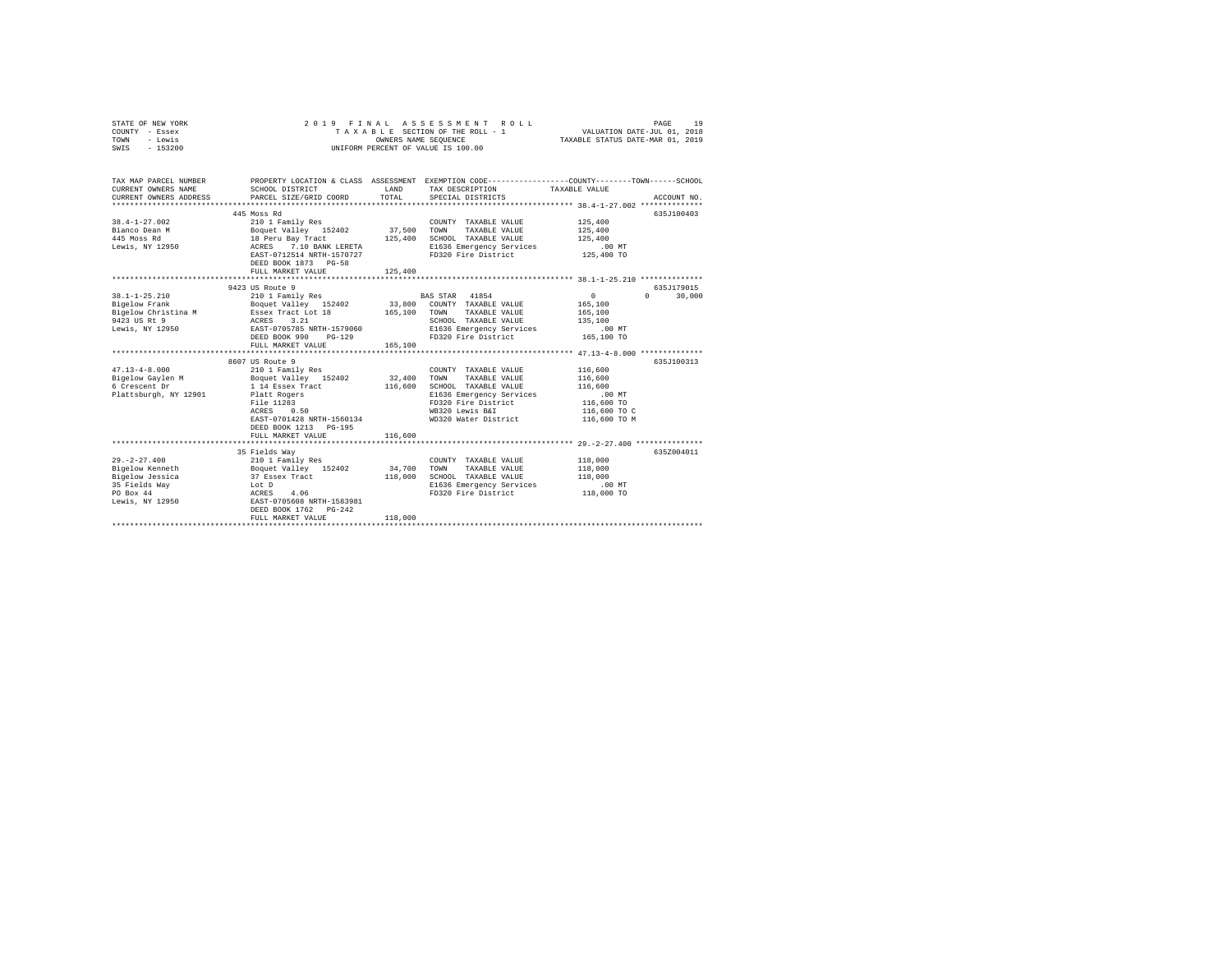| STATE OF NEW YORK<br>COUNTY<br>- Essex<br>- Lewis<br>TOWN<br>$-153200$<br>SWIS |                                                                                         |      | 2019 FINAL ASSESSMENT ROLL<br>TAXABLE SECTION OF THE ROLL - 1<br>OWNERS NAME SEOUENCE<br>UNIFORM PERCENT OF VALUE IS 100.00 | TAXABLE STATUS DATE-MAR 01, 2019 | 19<br>PAGE<br>VALUATION DATE-JUL 01, 2018 |
|--------------------------------------------------------------------------------|-----------------------------------------------------------------------------------------|------|-----------------------------------------------------------------------------------------------------------------------------|----------------------------------|-------------------------------------------|
| TAX MAP PARCEL NUMBER<br>CURRENT OWNERS NAME<br>CURRENT OWNERS ADDRESS         | PROPERTY LOCATION & CLASS ASSESSMENT<br>SCHOOL DISTRICT<br>PARCEL SIZE/GRID COORD TOTAL | LAND | EXEMPTION CODE----------------COUNTY-------TOWN------SCHOOL<br>TAX DESCRIPTION<br>SPECIAL DISTRICTS                         | TAXABLE VALUE                    | ACCOUNT NO.                               |
| 00 1 1 00 000                                                                  | 445 Moss Rd                                                                             |      |                                                                                                                             | 0.05338                          | 635.T100403                               |

| $38.4 - 1 - 27.002$<br>Bianco Dean M<br>445 Moss Rd<br>Lewis, NY 12950                                   | 210 1 Family Res<br>Boquet Valley 152402<br>18 Peru Bay Tract<br>7.10 BANK LERETA<br>ACRES<br>EAST-0712514 NRTH-1570727<br>DEED BOOK 1873 PG-58<br>FULL MARKET VALUE                                      | COUNTY TAXABLE VALUE<br>37,500<br>TOWN<br>TAXABLE VALUE<br>125,400<br>SCHOOL TAXABLE VALUE<br>E1636 Emergency Services<br>FD320 Fire District<br>125,400                                            | 125,400<br>125,400<br>125,400<br>.00MT<br>125,400 TO                                               |
|----------------------------------------------------------------------------------------------------------|-----------------------------------------------------------------------------------------------------------------------------------------------------------------------------------------------------------|-----------------------------------------------------------------------------------------------------------------------------------------------------------------------------------------------------|----------------------------------------------------------------------------------------------------|
| $38.1 - 1 - 25.210$<br>Bigelow Frank<br>Bigelow Christina M<br>9423 US Rt 9<br>Lewis, NY 12950           | 9423 US Route 9<br>210 1 Family Res<br>Essex Tract Lot 18<br>3.21<br>ACRES<br>EAST-0705785 NRTH-1579060<br>DEED BOOK 990<br>$PG-129$<br>FULL MARKET VALUE                                                 | BAS STAR 41854<br>Boquet Valley 152402 33,800 COUNTY TAXABLE VALUE<br>165,100<br>TOWN<br>TAXABLE VALUE<br>SCHOOL TAXABLE VALUE<br>E1636 Emergency Services<br>FD320 Fire District<br>165,100        | 635J179015<br>30,000<br>$^{\circ}$<br>0<br>165,100<br>165,100<br>135,100<br>.00MT<br>165,100 TO    |
| $47.13 - 4 - 8.000$<br>Bigelow Gaylen M<br>6 Crescent Dr<br>Plattsburgh, NY 12901                        | 8607 US Route 9<br>210 1 Family Res<br>Boquet Valley 152402<br>1 14 Essex Tract<br>Platt Rogers<br>File 11283<br>0.50<br>ACRES<br>EAST-0701428 NRTH-1560134<br>DEED BOOK 1213 PG-195<br>FULL MARKET VALUE | COUNTY TAXABLE VALUE<br>32,400<br>TOWN<br>TAXABLE VALUE<br>116,600<br>SCHOOL TAXABLE VALUE<br>E1636 Emergency Services<br>FD320 Fire District<br>WB320 Lewis B&I<br>WD320 Water District<br>116,600 | 635J100313<br>116,600<br>116,600<br>116,600<br>.00MT<br>116,600 TO<br>116,600 TO C<br>116,600 TO M |
| $29. -2 - 27.400$<br>Bigelow Kenneth<br>Bigelow Jessica<br>35 Fields Way<br>PO Box 44<br>Lewis, NY 12950 | 35 Fields Way<br>210 1 Family Res<br>Boquet Vallev 152402<br>37 Essex Tract<br>Lot D<br>ACRES<br>4.06<br>EAST-0705608 NRTH-1583981<br>DEED BOOK 1762 PG-242<br>FULL MARKET VALUE                          | COUNTY TAXABLE VALUE<br>34,700<br>TAXABLE VALUE<br>TOWN<br>118,000<br>SCHOOL TAXABLE VALUE<br>E1636 Emergency Services<br>FD320 Fire District<br>118,000                                            | 635Z004011<br>118,000<br>118,000<br>118,000<br>$.00$ MT<br>118,000 TO                              |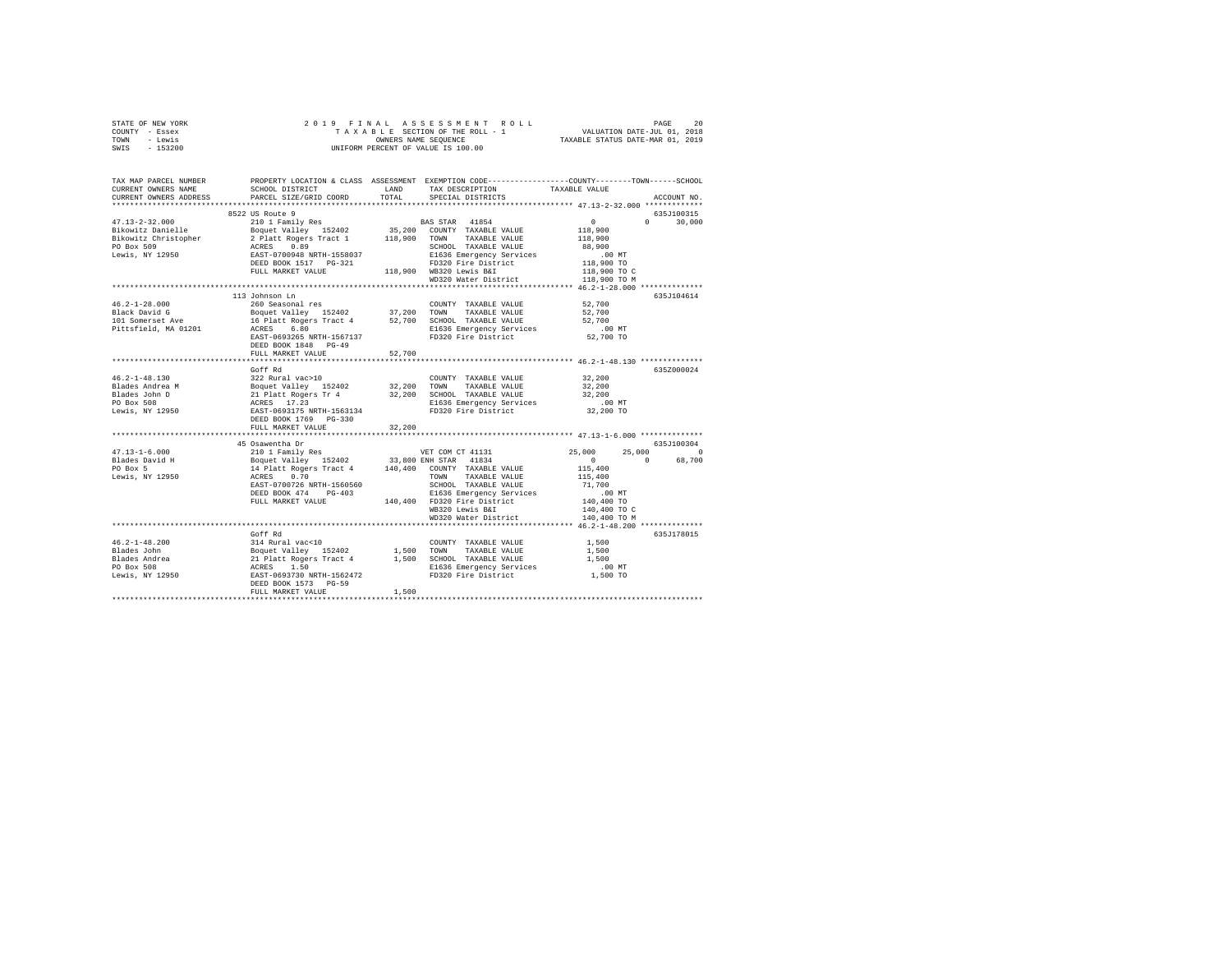| STATE OF NEW YORK                                                                                                                                                                                                                                                                                                                                                                                                 |                              |        |                               |                                                                                                                       |             |
|-------------------------------------------------------------------------------------------------------------------------------------------------------------------------------------------------------------------------------------------------------------------------------------------------------------------------------------------------------------------------------------------------------------------|------------------------------|--------|-------------------------------|-----------------------------------------------------------------------------------------------------------------------|-------------|
| COUNTY - Essex                                                                                                                                                                                                                                                                                                                                                                                                    |                              |        |                               |                                                                                                                       |             |
| TOWN - Lewis                                                                                                                                                                                                                                                                                                                                                                                                      |                              |        |                               |                                                                                                                       |             |
| SWIS - 153200                                                                                                                                                                                                                                                                                                                                                                                                     |                              |        |                               |                                                                                                                       |             |
|                                                                                                                                                                                                                                                                                                                                                                                                                   |                              |        |                               |                                                                                                                       |             |
|                                                                                                                                                                                                                                                                                                                                                                                                                   |                              |        |                               |                                                                                                                       |             |
|                                                                                                                                                                                                                                                                                                                                                                                                                   |                              |        |                               |                                                                                                                       |             |
|                                                                                                                                                                                                                                                                                                                                                                                                                   |                              |        |                               | TAX MAP PARCEL NUMBER PROPERTY LOCATION & CLASS ASSESSMENT EXEMPTION CODE--------------COUNTY--------TOWN------SCHOOL |             |
| CURRENT OWNERS NAME                                                                                                                                                                                                                                                                                                                                                                                               | SCHOOL DISTRICT LAND         |        | TAX DESCRIPTION TAXABLE VALUE |                                                                                                                       |             |
| CURRENT OWNERS ADDRESS                                                                                                                                                                                                                                                                                                                                                                                            | PARCEL SIZE/GRID COORD TOTAL |        | SPECIAL DISTRICTS             |                                                                                                                       | ACCOUNT NO. |
|                                                                                                                                                                                                                                                                                                                                                                                                                   |                              |        |                               |                                                                                                                       |             |
|                                                                                                                                                                                                                                                                                                                                                                                                                   | 8522 US Route 9              |        |                               | 635J100315                                                                                                            |             |
|                                                                                                                                                                                                                                                                                                                                                                                                                   |                              |        |                               | $0 \t 30,000$                                                                                                         |             |
|                                                                                                                                                                                                                                                                                                                                                                                                                   |                              |        |                               |                                                                                                                       |             |
|                                                                                                                                                                                                                                                                                                                                                                                                                   |                              |        |                               |                                                                                                                       |             |
|                                                                                                                                                                                                                                                                                                                                                                                                                   |                              |        |                               |                                                                                                                       |             |
|                                                                                                                                                                                                                                                                                                                                                                                                                   |                              |        |                               |                                                                                                                       |             |
|                                                                                                                                                                                                                                                                                                                                                                                                                   |                              |        |                               |                                                                                                                       |             |
|                                                                                                                                                                                                                                                                                                                                                                                                                   |                              |        |                               |                                                                                                                       |             |
|                                                                                                                                                                                                                                                                                                                                                                                                                   |                              |        |                               |                                                                                                                       |             |
| $\begin{tabular}{l c c c c} \multicolumn{1}{c}{\textbf{47.13--2-32.000}} & \multicolumn{1}{c}{\textbf{52.20}} & \multicolumn{1}{c}{\textbf{52.20}} & \multicolumn{1}{c}{\textbf{52.20}} & \multicolumn{1}{c}{\textbf{52.20}} & \multicolumn{1}{c}{\textbf{52.20}} & \multicolumn{1}{c}{\textbf{52.20}} & \multicolumn{1}{c}{\textbf{52.20}} & \multicolumn{1}{c}{\textbf{52.20}} & \multicolumn{1}{c}{\textbf{52$ |                              |        |                               |                                                                                                                       |             |
|                                                                                                                                                                                                                                                                                                                                                                                                                   |                              |        |                               |                                                                                                                       | 635J104614  |
|                                                                                                                                                                                                                                                                                                                                                                                                                   |                              |        |                               |                                                                                                                       |             |
|                                                                                                                                                                                                                                                                                                                                                                                                                   |                              |        |                               |                                                                                                                       |             |
|                                                                                                                                                                                                                                                                                                                                                                                                                   |                              |        |                               |                                                                                                                       |             |
|                                                                                                                                                                                                                                                                                                                                                                                                                   |                              |        |                               |                                                                                                                       |             |
|                                                                                                                                                                                                                                                                                                                                                                                                                   |                              |        |                               |                                                                                                                       |             |
|                                                                                                                                                                                                                                                                                                                                                                                                                   |                              |        |                               |                                                                                                                       |             |
|                                                                                                                                                                                                                                                                                                                                                                                                                   | DEED BOOK 1848 PG-49         |        |                               |                                                                                                                       |             |
|                                                                                                                                                                                                                                                                                                                                                                                                                   | FULL MARKET VALUE            | 52,700 |                               |                                                                                                                       |             |
|                                                                                                                                                                                                                                                                                                                                                                                                                   |                              |        |                               |                                                                                                                       |             |
|                                                                                                                                                                                                                                                                                                                                                                                                                   |                              |        |                               |                                                                                                                       | 635Z000024  |
|                                                                                                                                                                                                                                                                                                                                                                                                                   |                              |        |                               |                                                                                                                       |             |
|                                                                                                                                                                                                                                                                                                                                                                                                                   |                              |        |                               |                                                                                                                       |             |
|                                                                                                                                                                                                                                                                                                                                                                                                                   |                              |        |                               |                                                                                                                       |             |
|                                                                                                                                                                                                                                                                                                                                                                                                                   |                              |        |                               |                                                                                                                       |             |
|                                                                                                                                                                                                                                                                                                                                                                                                                   |                              |        |                               |                                                                                                                       |             |
|                                                                                                                                                                                                                                                                                                                                                                                                                   |                              |        |                               |                                                                                                                       |             |
|                                                                                                                                                                                                                                                                                                                                                                                                                   | FULL MARKET VALUE            | 32,200 |                               |                                                                                                                       |             |
|                                                                                                                                                                                                                                                                                                                                                                                                                   |                              |        |                               |                                                                                                                       |             |
|                                                                                                                                                                                                                                                                                                                                                                                                                   | 45 Osawentha Dr              |        |                               | 635J100304                                                                                                            |             |
| $\begin{tabular}{l c c c c c} \multicolumn{3}{c}{\textbf{47.13--1-6.000}} & \multicolumn{3}{c}{\textbf{49.13--1-6.000}} & \multicolumn{3}{c}{\textbf{50.13--1-6.000}} & \multicolumn{3}{c}{\textbf{50.13--1-6.000}} & \multicolumn{3}{c}{\textbf{50.13--1-6.000}} & \multicolumn{3}{c}{\textbf{63.13--10030}} & \multicolumn{3}{c}{\textbf{63.13--10030}} & \multicolumn{3}{c}{\$                                 |                              |        |                               |                                                                                                                       |             |
|                                                                                                                                                                                                                                                                                                                                                                                                                   |                              |        |                               |                                                                                                                       |             |
|                                                                                                                                                                                                                                                                                                                                                                                                                   |                              |        |                               |                                                                                                                       |             |
|                                                                                                                                                                                                                                                                                                                                                                                                                   |                              |        |                               |                                                                                                                       |             |
|                                                                                                                                                                                                                                                                                                                                                                                                                   |                              |        |                               |                                                                                                                       |             |
|                                                                                                                                                                                                                                                                                                                                                                                                                   |                              |        |                               |                                                                                                                       |             |
|                                                                                                                                                                                                                                                                                                                                                                                                                   |                              |        |                               |                                                                                                                       |             |
|                                                                                                                                                                                                                                                                                                                                                                                                                   |                              |        |                               |                                                                                                                       |             |
|                                                                                                                                                                                                                                                                                                                                                                                                                   |                              |        |                               |                                                                                                                       |             |
|                                                                                                                                                                                                                                                                                                                                                                                                                   |                              |        |                               |                                                                                                                       |             |
|                                                                                                                                                                                                                                                                                                                                                                                                                   |                              |        |                               |                                                                                                                       |             |
|                                                                                                                                                                                                                                                                                                                                                                                                                   | Goff Rd                      |        |                               | 635J178015                                                                                                            |             |
|                                                                                                                                                                                                                                                                                                                                                                                                                   |                              |        |                               |                                                                                                                       |             |
|                                                                                                                                                                                                                                                                                                                                                                                                                   |                              |        |                               |                                                                                                                       |             |
|                                                                                                                                                                                                                                                                                                                                                                                                                   |                              |        |                               |                                                                                                                       |             |
|                                                                                                                                                                                                                                                                                                                                                                                                                   |                              |        |                               |                                                                                                                       |             |
|                                                                                                                                                                                                                                                                                                                                                                                                                   |                              |        |                               |                                                                                                                       |             |
|                                                                                                                                                                                                                                                                                                                                                                                                                   |                              |        |                               |                                                                                                                       |             |
|                                                                                                                                                                                                                                                                                                                                                                                                                   |                              |        |                               |                                                                                                                       |             |
|                                                                                                                                                                                                                                                                                                                                                                                                                   |                              |        |                               |                                                                                                                       |             |
|                                                                                                                                                                                                                                                                                                                                                                                                                   |                              |        |                               |                                                                                                                       |             |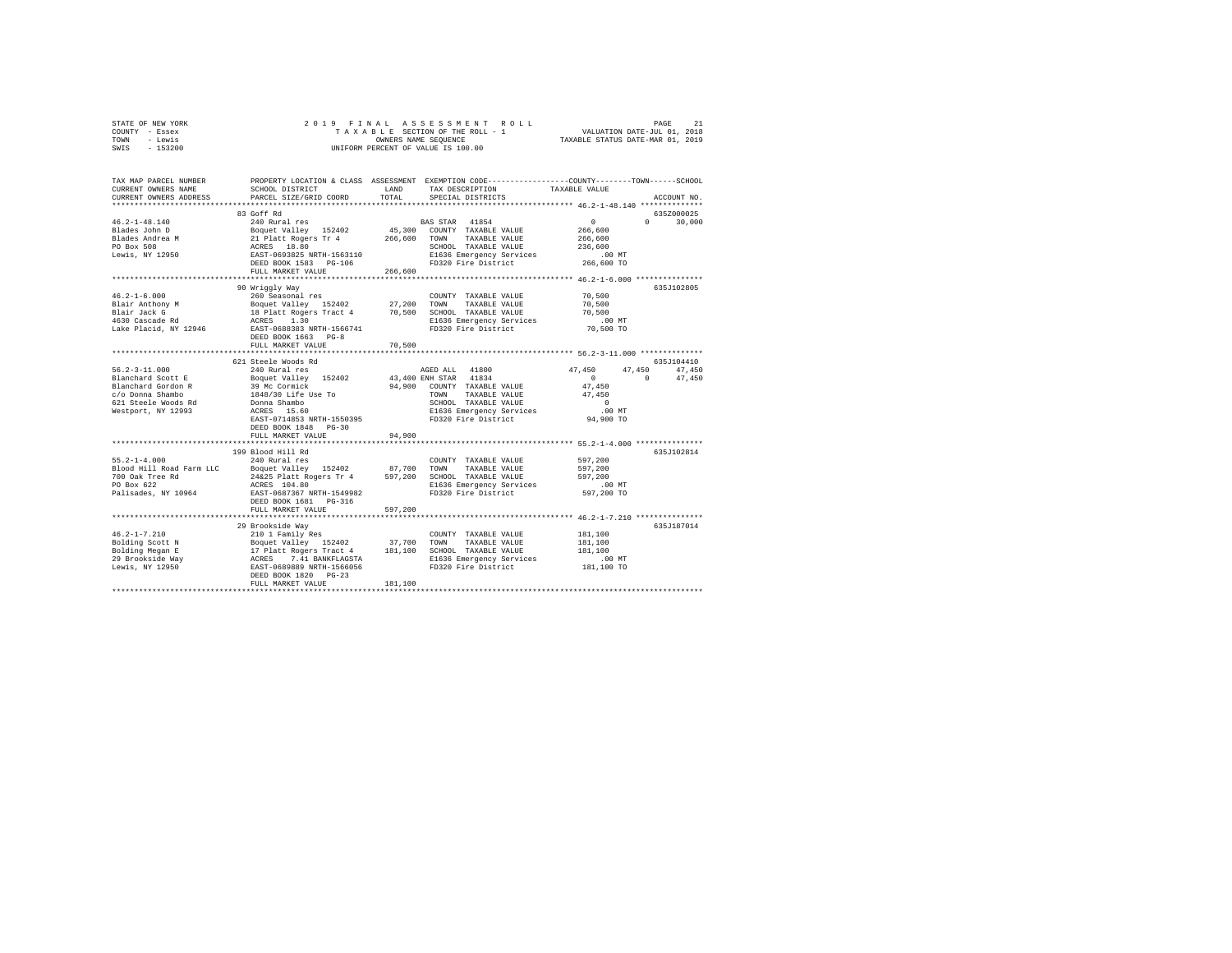|                | STATE OF NEW YORK |  |  |  |  | 2019 FINAL ASSESSMENT ROLL         |  |  |                                  | PAGE | 21 |
|----------------|-------------------|--|--|--|--|------------------------------------|--|--|----------------------------------|------|----|
| COUNTY - Essex |                   |  |  |  |  | TAXABLE SECTION OF THE ROLL - 1    |  |  | VALUATION DATE-JUL 01, 2018      |      |    |
| TOWN - Lewis   |                   |  |  |  |  | OWNERS NAME SEOUENCE               |  |  | TAXABLE STATUS DATE-MAR 01, 2019 |      |    |
| SWIS           | - 153200          |  |  |  |  | UNIFORM PERCENT OF VALUE IS 100.00 |  |  |                                  |      |    |
|                |                   |  |  |  |  |                                    |  |  |                                  |      |    |
|                |                   |  |  |  |  |                                    |  |  |                                  |      |    |

| TAX MAP PARCEL NUMBER<br>CURRENT OWNERS NAME<br>CURRENT OWNERS ADDRESS | SCHOOL DISTRICT<br>PARCEL SIZE/GRID COORD                                                                   | LAND<br>TOTAL           | PROPERTY LOCATION & CLASS ASSESSMENT EXEMPTION CODE----------------COUNTY-------TOWN------SCHOOL<br>TAX DESCRIPTION TAXABLE VALUE<br>SPECIAL DISTRICTS |                                              | ACCOUNT NO.        |
|------------------------------------------------------------------------|-------------------------------------------------------------------------------------------------------------|-------------------------|--------------------------------------------------------------------------------------------------------------------------------------------------------|----------------------------------------------|--------------------|
|                                                                        |                                                                                                             |                         |                                                                                                                                                        |                                              |                    |
|                                                                        | 83 Goff Rd                                                                                                  |                         |                                                                                                                                                        |                                              | 635Z000025         |
| $46.2 - 1 - 48.140$                                                    | 240 Rural res                                                                                               |                         | BAS STAR 41854                                                                                                                                         | $\sim$ 0                                     | $0 \t 30,000$      |
| Blades John D                                                          | Export US = 152402 = 45,300<br>21 Platt Rogers Tr 4 = 266,600<br>ACRES = 18.80<br>EAST-0693825 NRTH-1563110 |                         | COUNTY TAXABLE VALUE                                                                                                                                   | 266,600                                      |                    |
| Blades Andrea M                                                        |                                                                                                             |                         | 266,600 TOWN TAXABLE VALUE                                                                                                                             | 266,600                                      |                    |
| PO Box 508                                                             |                                                                                                             |                         | SCHOOL TAXABLE VALUE                                                                                                                                   | 236,600                                      |                    |
| Lewis, NY 12950                                                        | DEED BOOK 1583 PG-106                                                                                       |                         | E1636 Emergency Services<br>FD320 Fire District                                                                                                        | .00 MT<br>266,600 TO                         |                    |
|                                                                        | FULL MARKET VALUE                                                                                           | 266,600                 |                                                                                                                                                        |                                              |                    |
|                                                                        |                                                                                                             | *********************** |                                                                                                                                                        | *************** 46.2-1-6.000 *************** |                    |
|                                                                        | 90 Wriggly Way                                                                                              |                         |                                                                                                                                                        |                                              | 635.7102805        |
| $46.2 - 1 - 6.000$                                                     | 260 Seasonal res                                                                                            |                         | COUNTY TAXABLE VALUE                                                                                                                                   | 70.500                                       |                    |
| Blair Anthony M                                                        |                                                                                                             |                         |                                                                                                                                                        | 70,500                                       |                    |
| Blair Jack G                                                           |                                                                                                             |                         |                                                                                                                                                        | 70,500                                       |                    |
| 4630 Cascade Rd                                                        |                                                                                                             |                         | E1636 Emergency Services                                                                                                                               | .00 MT                                       |                    |
| Lake Placid, NY 12946                                                  | EAST-0688383 NRTH-1566741                                                                                   |                         | FD320 Fire District                                                                                                                                    | 70,500 TO                                    |                    |
|                                                                        | DEED BOOK 1663 PG-8                                                                                         |                         |                                                                                                                                                        |                                              |                    |
|                                                                        | FULL MARKET VALUE                                                                                           | 70,500                  |                                                                                                                                                        |                                              |                    |
|                                                                        | 621 Steele Woods Rd                                                                                         |                         |                                                                                                                                                        |                                              | 635J104410         |
| $56.2 - 3 - 11.000$                                                    | 240 Rural res                                                                                               |                         | AGED ALL 41800                                                                                                                                         | 47.450 47.450                                | 47.450             |
| Blanchard Scott E                                                      | Boquet Valley 152402 43,400 ENH STAR 41834                                                                  |                         |                                                                                                                                                        | $0 \qquad \qquad$                            | 47,450<br>$\Omega$ |
| Blanchard Gordon R                                                     | 39 Mc Cormick                                                                                               |                         | 94,900 COUNTY TAXABLE VALUE                                                                                                                            | 47.450                                       |                    |
| c/o Donna Shambo                                                       | 1848/30 Life Use To                                                                                         |                         | TOWN<br>TAXABLE VALUE                                                                                                                                  | 47.450                                       |                    |
| 621 Steele Woods Rd                                                    | Donna Shambo                                                                                                |                         | SCHOOL TAXABLE VALUE                                                                                                                                   | $\sim$ 0                                     |                    |
| Westport, NY 12993                                                     | ACRES 15.60                                                                                                 |                         | E1636 Emergency Services                                                                                                                               | .00 MT                                       |                    |
|                                                                        | EAST-0714853 NRTH-1550395                                                                                   |                         | FD320 Fire District                                                                                                                                    | 94,900 TO                                    |                    |
|                                                                        | DEED BOOK 1848 PG-30                                                                                        |                         |                                                                                                                                                        |                                              |                    |
|                                                                        | FULL MARKET VALUE                                                                                           | 94,900                  |                                                                                                                                                        |                                              |                    |
|                                                                        | 199 Blood Hill Rd                                                                                           |                         |                                                                                                                                                        |                                              | 635J102814         |
| $55.2 - 1 - 4.000$                                                     | 240 Rural res                                                                                               |                         | COUNTY TAXABLE VALUE                                                                                                                                   | 597,200                                      |                    |
| Blood Hill Road Farm LLC                                               |                                                                                                             |                         |                                                                                                                                                        | 597,200                                      |                    |
| 700 Oak Tree Rd                                                        | Boquet Valley 152402 87,700 TOWN TAXABLE VALUE<br>24&25 Platt Rogers Tr 4 597,200 SCHOOL TAXABLE VALUE      |                         |                                                                                                                                                        | 597,200                                      |                    |
| PO Box 622                                                             | ACRES 104.80                                                                                                |                         | E1636 Emergency Services                                                                                                                               | .00 MT                                       |                    |
| Palisades, NY 10964                                                    | EAST-0687367 NRTH-1549982                                                                                   |                         | FD320 Fire District                                                                                                                                    | 597,200 TO                                   |                    |
|                                                                        | DEED BOOK 1681 PG-316                                                                                       |                         |                                                                                                                                                        |                                              |                    |
|                                                                        | FULL MARKET VALUE                                                                                           | 597,200<br>.            | *********************************** 46.2-1-7.210 ***************                                                                                       |                                              |                    |
|                                                                        |                                                                                                             |                         |                                                                                                                                                        |                                              | 635.T187014        |
| $46.2 - 1 - 7.210$                                                     | 29 Brookside Wav<br>210 1 Family Res                                                                        |                         | COUNTY TAXABLE VALUE                                                                                                                                   | 181,100                                      |                    |
|                                                                        |                                                                                                             |                         |                                                                                                                                                        | 181,100                                      |                    |
|                                                                        |                                                                                                             |                         |                                                                                                                                                        | 181,100                                      |                    |
|                                                                        |                                                                                                             |                         | E1636 Emergency Services                                                                                                                               | .00 MT                                       |                    |
|                                                                        |                                                                                                             |                         | FD320 Fire District                                                                                                                                    | 181,100 TO                                   |                    |
|                                                                        | DEED BOOK 1820 PG-23                                                                                        |                         |                                                                                                                                                        |                                              |                    |
|                                                                        | FULL MARKET VALUE                                                                                           | 181,100                 |                                                                                                                                                        |                                              |                    |
|                                                                        |                                                                                                             |                         |                                                                                                                                                        |                                              |                    |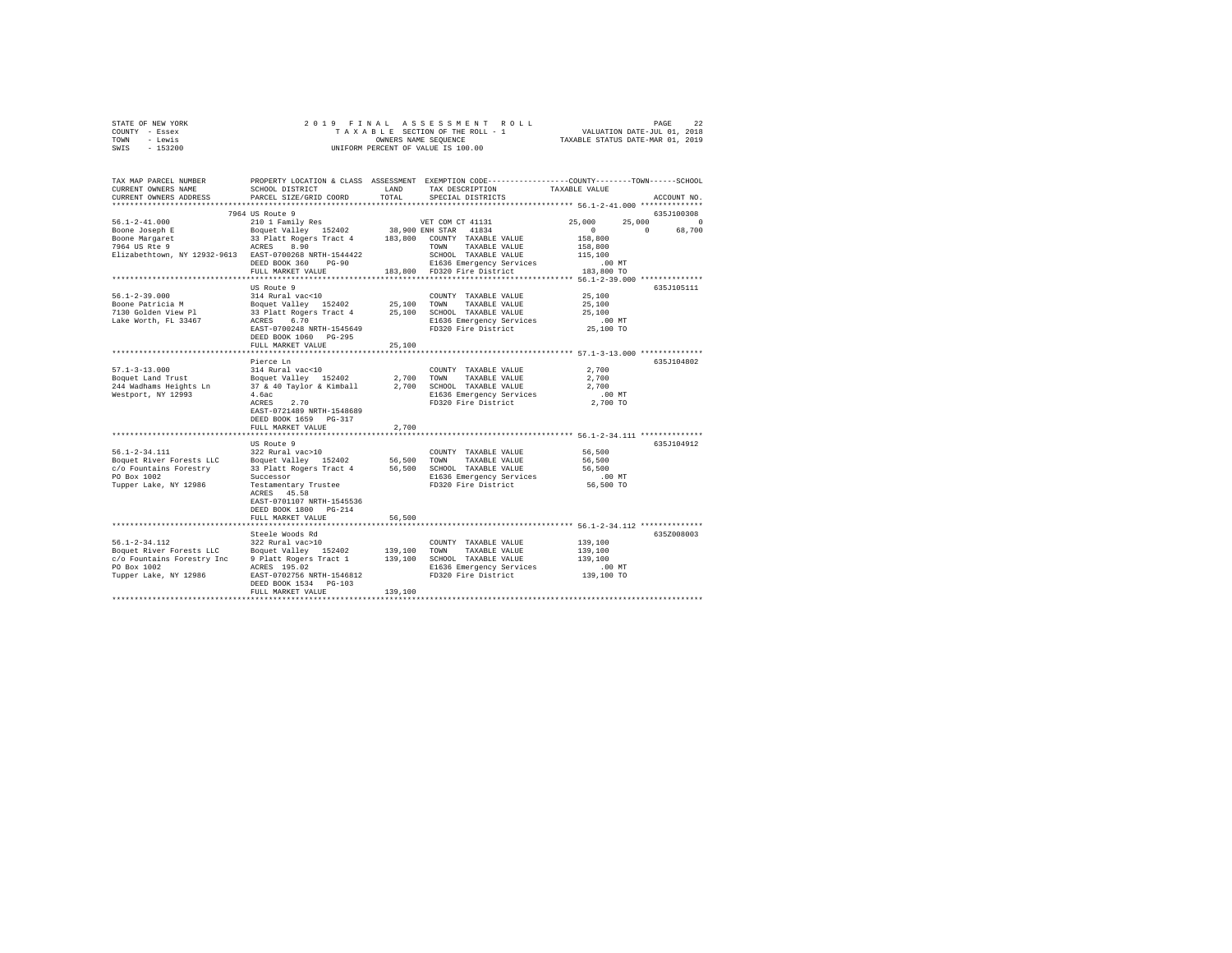|      | STATE OF NEW YORK |  |  |  |                                    |  |                                 | 2019 FINAL ASSESSMENT ROLL |                                  | PAGE | 22 |
|------|-------------------|--|--|--|------------------------------------|--|---------------------------------|----------------------------|----------------------------------|------|----|
|      | COUNTY - Essex    |  |  |  |                                    |  | TAXABLE SECTION OF THE ROLL - 1 |                            | VALUATION DATE-JUL 01, 2018      |      |    |
| TOWN | - Lewis           |  |  |  | OWNERS NAME SEOUENCE               |  |                                 |                            | TAXABLE STATUS DATE-MAR 01, 2019 |      |    |
| SWIS | $-153200$         |  |  |  | UNIFORM PERCENT OF VALUE IS 100.00 |  |                                 |                            |                                  |      |    |

| TAX MAP PARCEL NUMBER<br>CURRENT OWNERS NAME<br>CURRENT OWNERS ADDRESS                                            | SCHOOL DISTRICT<br>PARCEL SIZE/GRID COORD                                                                                                                                     | <b>T.AND</b><br>TOTAL         | PROPERTY LOCATION & CLASS ASSESSMENT EXEMPTION CODE----------------COUNTY-------TOWN------SCHOOL<br>TAX DESCRIPTION<br>SPECIAL DISTRICTS | TAXABLE VALUE                                       | ACCOUNT NO.                                  |
|-------------------------------------------------------------------------------------------------------------------|-------------------------------------------------------------------------------------------------------------------------------------------------------------------------------|-------------------------------|------------------------------------------------------------------------------------------------------------------------------------------|-----------------------------------------------------|----------------------------------------------|
| *********************                                                                                             |                                                                                                                                                                               |                               |                                                                                                                                          |                                                     |                                              |
| $56.1 - 2 - 41.000$<br>Boone Joseph E<br>Boone Margaret<br>7964 US Rte 9                                          | 7964 US Route 9<br>210 1 Family Res<br>Boquet Valley 152402<br>33 Platt Rogers Tract 4<br>ACRES<br>8.90                                                                       | 183,800                       | VET COM CT 41131<br>38,900 ENH STAR 41834<br>COUNTY TAXABLE VALUE<br>TAXABLE VALUE<br>TOWN                                               | 25,000<br>25,000<br>$\Omega$<br>158,800<br>158,800  | 635J100308<br>$\Omega$<br>$\Omega$<br>68,700 |
| Elizabethtown, NY 12932-9613 EAST-0700268 NRTH-1544422                                                            | DEED BOOK 360<br>$PG-90$<br>FULL MARKET VALUE                                                                                                                                 |                               | SCHOOL TAXABLE VALUE<br>E1636 Emergency Services<br>183,800 FD320 Fire District                                                          | 115,100<br>$.00$ MT<br>183,800 TO                   |                                              |
|                                                                                                                   | **************************                                                                                                                                                    |                               |                                                                                                                                          | ***************** 56.1-2-39.000 **************      |                                              |
| $56.1 - 2 - 39.000$<br>Boone Patricia M<br>7130 Golden View Pl<br>Lake Worth, FL 33467                            | US Route 9<br>314 Rural vac<10<br>Boquet Valley 152402<br>33 Platt Rogers Tract 4<br>6.70<br>ACRES<br>EAST-0700248 NRTH-1545649<br>DEED BOOK 1060 PG-295                      | 25,100 TOWN                   | COUNTY TAXABLE VALUE<br>TAXABLE VALUE<br>25,100 SCHOOL TAXABLE VALUE<br>E1636 Emergency Services<br>FD320 Fire District                  | 25,100<br>25,100<br>25,100<br>$.00$ MT<br>25,100 TO | 635J105111                                   |
|                                                                                                                   | FULL MARKET VALUE                                                                                                                                                             | 25,100                        |                                                                                                                                          |                                                     |                                              |
|                                                                                                                   |                                                                                                                                                                               |                               |                                                                                                                                          | *************** 57.1-3-13.000 *************         | 635J104802                                   |
| $57.1 - 3 - 13.000$<br>Boquet Land Trust<br>244 Wadhams Heights Ln<br>Westport, NY 12993                          | Pierce Ln<br>314 Rural vac<10<br>Boquet Valley 152402<br>37 & 40 Taylor & Kimball<br>4.6ac<br>ACRES<br>2.70<br>EAST-0721489 NRTH-1548689                                      | 2,700<br>2,700                | COUNTY TAXABLE VALUE<br>TOWN<br>TAXABLE VALUE<br>SCHOOL TAXABLE VALUE<br>E1636 Emergency Services<br>FD320 Fire District                 | 2,700<br>2,700<br>2,700<br>.00 MT<br>2,700 TO       |                                              |
|                                                                                                                   | DEED BOOK 1659 PG-317<br>FULL MARKET VALUE<br>****************************                                                                                                    | 2,700                         |                                                                                                                                          |                                                     |                                              |
|                                                                                                                   | US Route 9                                                                                                                                                                    |                               |                                                                                                                                          |                                                     | 635J104912                                   |
| $56.1 - 2 - 34.111$<br>Boquet River Forests LLC<br>c/o Fountains Forestry<br>PO Box 1002<br>Tupper Lake, NY 12986 | 322 Rural vac>10<br>Boquet Valley 152402<br>33 Platt Rogers Tract 4<br>Successor<br>Testamentary Trustee<br>ACRES 45.58<br>EAST-0701107 NRTH-1545536<br>DEED BOOK 1800 PG-214 |                               | COUNTY TAXABLE VALUE<br>56,500 TOWN<br>TAXABLE VALUE<br>56,500 SCHOOL TAXABLE VALUE<br>E1636 Emergency Services<br>FD320 Fire District   | 56,500<br>56,500<br>56,500<br>$.00$ MT<br>56.500 TO |                                              |
|                                                                                                                   | FULL MARKET VALUE                                                                                                                                                             | 56,500                        |                                                                                                                                          |                                                     |                                              |
| $56.1 - 2 - 34.112$                                                                                               | ***********************<br>Steele Woods Rd<br>322 Rural vac>10                                                                                                                |                               | ***************************** 56.1-2-34.112 ************<br>COUNTY TAXABLE VALUE                                                         | 139,100                                             | 635Z008003                                   |
| Boquet River Forests LLC<br>c/o Fountains Forestry Inc<br>PO Box 1002<br>Tupper Lake, NY 12986                    | Boquet Valley 152402<br>9 Platt Rogers Tract 1<br>ACRES 195.02<br>EAST-0702756 NRTH-1546812<br>DEED BOOK 1534 PG-103<br>FULL MARKET VALUE                                     | 139,100<br>139,100<br>139,100 | TOWN<br>TAXABLE VALUE<br>SCHOOL TAXABLE VALUE<br>E1636 Emergency Services<br>FD320 Fire District                                         | 139,100<br>139,100<br>.00MT<br>139,100 TO           |                                              |
|                                                                                                                   |                                                                                                                                                                               |                               |                                                                                                                                          |                                                     |                                              |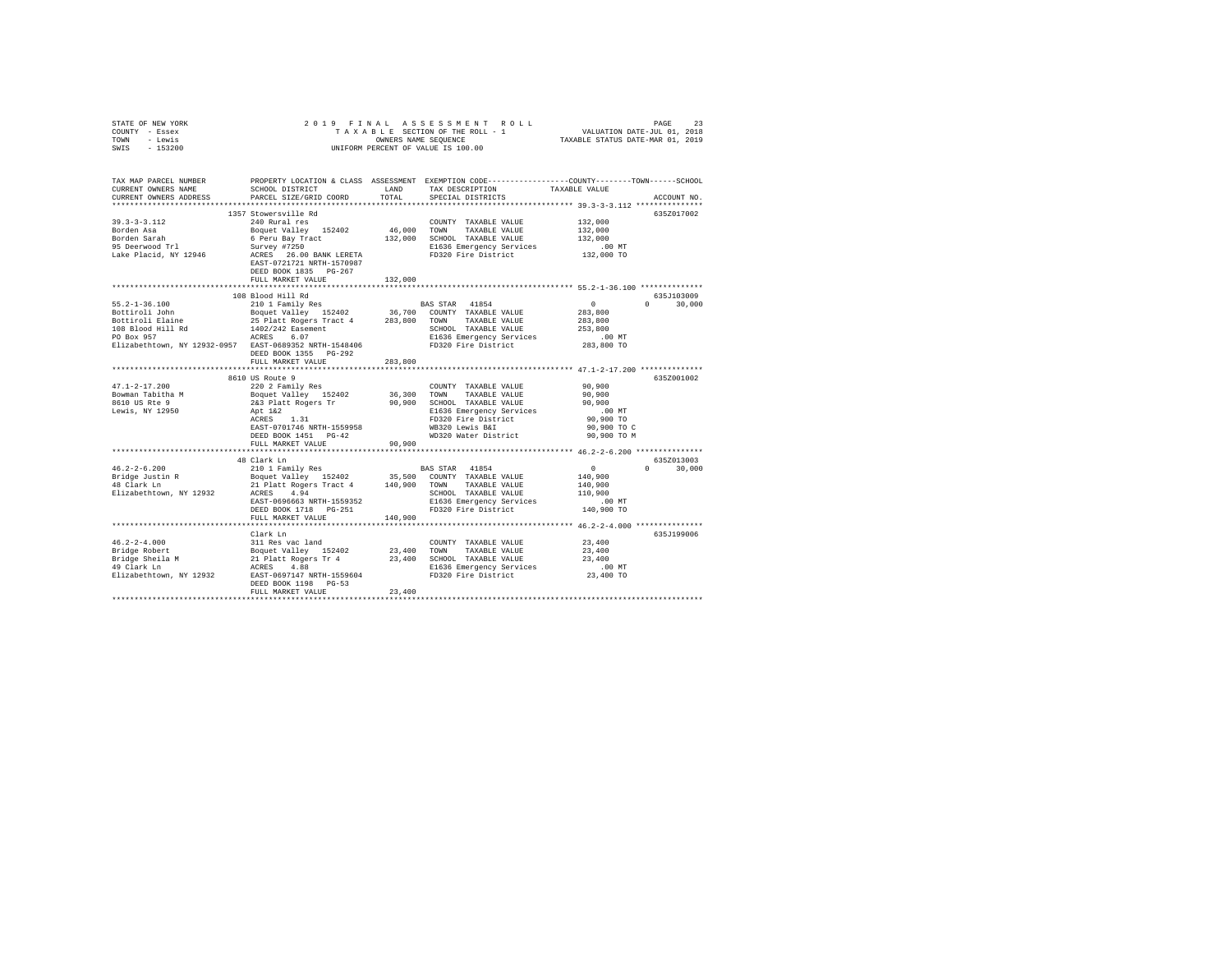| STATE OF NEW YORK<br>COUNTY - Essex<br>TOWN - Lewis<br>SWIS - 153200                                                                                                  | 2019 FINAL                                                                                                                                                                                                                       |               | PAGE 23 בDAL ASSESSMENT ROLL PAGE 23<br>TAXABLE SECTION OF THE ROLL - 1 VALUATION DATE-JUL 01, 2018<br>OWNERS NAME SEQUENCE TAXABLE STATUS DATE-MAR 01, 2019<br>OWNERS NAME SEQUENCE<br>UNIFORM PERCENT OF VALUE IS 100.00 |                                                                                   |                             |
|-----------------------------------------------------------------------------------------------------------------------------------------------------------------------|----------------------------------------------------------------------------------------------------------------------------------------------------------------------------------------------------------------------------------|---------------|----------------------------------------------------------------------------------------------------------------------------------------------------------------------------------------------------------------------------|-----------------------------------------------------------------------------------|-----------------------------|
| TAX MAP PARCEL NUMBER PROPERTY LOCATION & CLASS ASSESSMENT EXEMPTION CODE---------------COUNTY-------TOWN-----SCHOOL<br>CURRENT OWNERS NAME<br>CURRENT OWNERS ADDRESS | SCHOOL DISTRICT<br>PARCEL SIZE/GRID COORD                                                                                                                                                                                        | LAND<br>TOTAL | TAX DESCRIPTION<br>SPECIAL DISTRICTS                                                                                                                                                                                       | TAXABLE VALUE                                                                     | ACCOUNT NO.                 |
| $39.3 - 3 - 3.112$<br>Borden Asa<br>Borden Sarah<br>95 Deerwood Trl<br>Lake Placid, NY 12946                                                                          | 1357 Stowersville Rd<br>240 Rural res<br>Boquet Valley 152402<br>6 Peru Bay Tract<br>Survey #7250<br>ACRES 26.00 BANK LERETA<br>EAST-0721721 NRTH-1570987<br>DEED BOOK 1835 PG-267<br>FULL MARKET VALUE                          | 132,000       | COUNTY TAXABLE VALUE<br>46,000 TOWN TAXABLE VALUE<br>132,000 SCHOOL TAXABLE VALUE<br>E1636 Emergency Services<br>FD320 Fire District                                                                                       | 132,000<br>132,000<br>132,000<br>.00 MT<br>132,000 TO                             | 635Z017002                  |
|                                                                                                                                                                       | 108 Blood Hill Rd                                                                                                                                                                                                                |               |                                                                                                                                                                                                                            | $\sim$ 0                                                                          | 635J103009<br>$0 \t 30.000$ |
| Elizabethtown, NY 12932-0957 EAST-0689352 NRTH-1548406                                                                                                                | DEED BOOK 1355 PG-292                                                                                                                                                                                                            |               | SCHOOL TAXABLE VALUE<br>E1636 Emergency Services<br>FD320 Fire District                                                                                                                                                    | 283,800<br>283,800<br>253,800<br>.00 MT<br>283,800 TO                             |                             |
|                                                                                                                                                                       | FULL MARKET VALUE                                                                                                                                                                                                                | 283,800       |                                                                                                                                                                                                                            |                                                                                   |                             |
| $47.1 - 2 - 17.200$<br>Bowman Tabitha M<br>8610 US Rte 9<br>Lewis, NY 12950                                                                                           | 8610 US Route 9<br>220 2 Family Res<br>Boquet Valley 152402 36,300 TOWN TAXABLE VALUE<br>2&3 Platt Rogers Tr<br>Apt 1&2<br>ACRES 1.31<br>EAST-0701746 NRTH-1559958<br>DEED BOOK 1451 PG-42<br>FULL MARKET VALUE                  | 90,900        | COUNTY TAXABLE VALUE<br>90,900 SCHOOL TAXABLE VALUE<br>E1636 Emergency Services<br>FD320 Fire District<br>FD320 Fire District<br>WB320 Lewis B&I<br>WD320 Water District                                                   | 90,900<br>90,900<br>90,900<br>$.00$ MT<br>90,900 TO<br>90,900 TO C<br>90,900 TO M | 635Z001002                  |
|                                                                                                                                                                       | 48 Clark Ln                                                                                                                                                                                                                      |               |                                                                                                                                                                                                                            |                                                                                   | 635Z013003                  |
| $46.2 - 2 - 6.200$<br>Bridge Justin R<br>48 Clark Ln<br>Elizabethtown, NY 12932                                                                                       | 210 1 Family Res<br>Extra 1 ramary Research 152402<br>Boquet Valley 152402 35,500 COUNTY TAXABLE VALUE<br>21 Platt Rogers Tract 4 140,900 TOWN TAXABLE VALUE<br>ACRES 4.94<br>EAST-0696663 NRTH-1559352<br>DEED BOOK 1718 PG-251 |               | <b>BAS STAR</b> 41854<br>SCHOOL TAXABLE VALUE<br>E1636 Emergency Services<br>FD320 Fire District                                                                                                                           | $\sim$ 0<br>140,900<br>140,900<br>110,900<br>$.00$ MT<br>140,900 TO               | $0 \t 30.000$               |
|                                                                                                                                                                       | FULL MARKET VALUE                                                                                                                                                                                                                | 140,900       |                                                                                                                                                                                                                            |                                                                                   |                             |
| $46.2 - 2 - 4.000$<br>Bridge Robert<br>Bridge Sheila M<br>49 Clark Ln<br>Elizabethtown, NY 12932 EAST-0697147 NRTH-1559604                                            | Clark Ln<br>311 Res vac land<br>Boquet Valley 152402 23,400 TOWN TAXABLE VALUE<br>21 Platt Rogers Tr 4 23,400 SCHOOL TAXABLE VALUE<br>ACRES 4.88 2000 R1636 Emergency Services<br>DEED BOOK 1198 PG-53                           |               | COUNTY TAXABLE VALUE<br>E1636 Emergency Services<br>FD320 Fire District                                                                                                                                                    | 23,400<br>23,400<br>23,400<br>$.00$ MT<br>23,400 TO                               | 635J199006                  |
|                                                                                                                                                                       | FULL MARKET VALUE                                                                                                                                                                                                                | 23,400        |                                                                                                                                                                                                                            |                                                                                   |                             |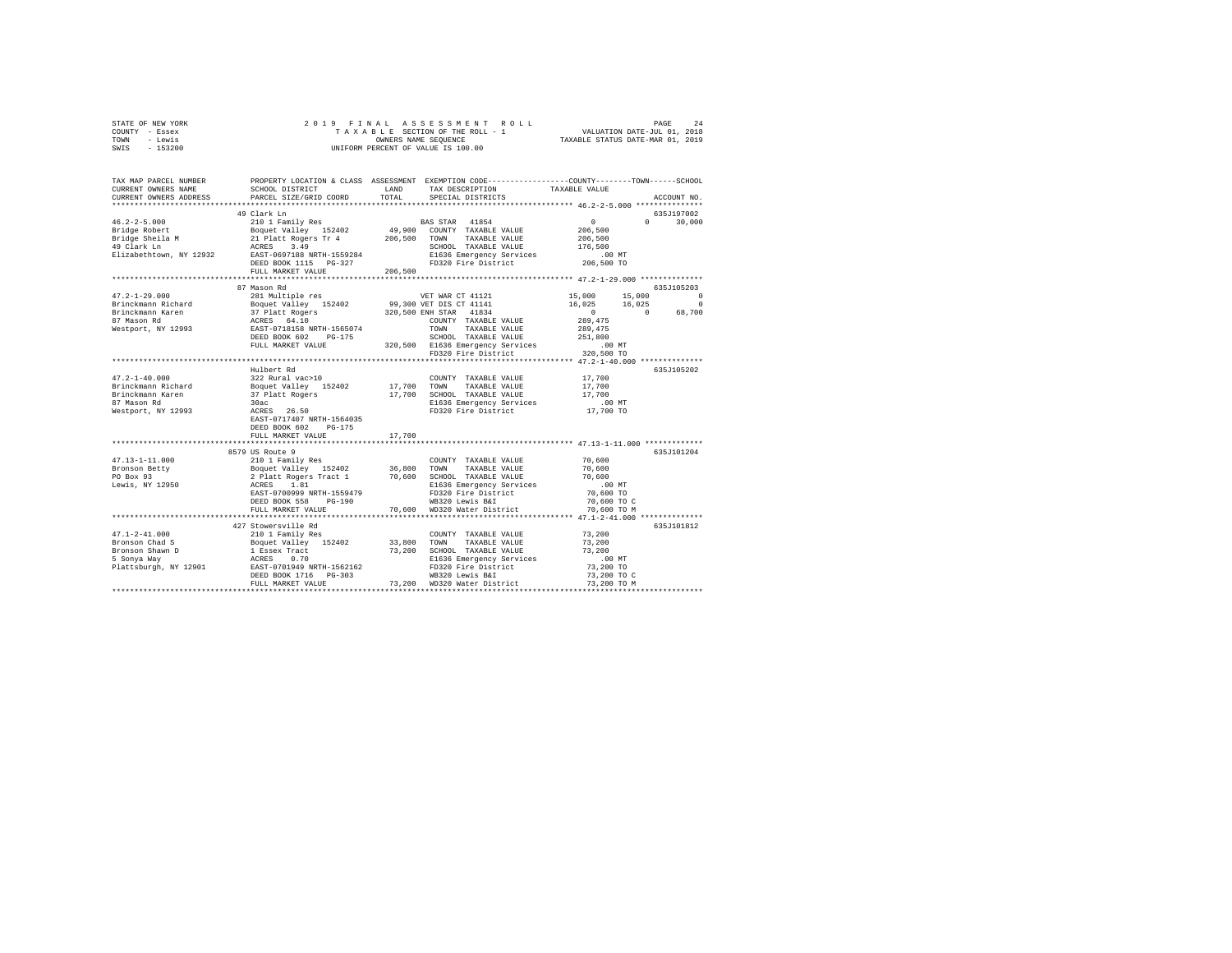| STATE OF NEW YORK | 2019 FINAL ASSESSMENT ROLL         | 2.4<br>PAGE                      |
|-------------------|------------------------------------|----------------------------------|
| COUNTY - Essex    | TAXABLE SECTION OF THE ROLL - 1    | VALUATION DATE-JUL 01, 2018      |
| TOWN<br>- Lewis   | OWNERS NAME SEOUENCE               | TAXABLE STATUS DATE-MAR 01, 2019 |
| SWIS - 153200     | UNIFORM PERCENT OF VALUE IS 100.00 |                                  |

| TAX MAP PARCEL NUMBER<br>CURRENT OWNERS NAME                                                                                                                                                                                                                                                                                                                                                                                                     | SCHOOL DISTRICT                                                             | LAND<br>TOTAL | PROPERTY LOCATION & CLASS ASSESSMENT EXEMPTION CODE---------------COUNTY-------TOWN-----SCHOOL<br>TAX DESCRIPTION                                                                                                 | TAXABLE VALUE                                                                            |                          |
|--------------------------------------------------------------------------------------------------------------------------------------------------------------------------------------------------------------------------------------------------------------------------------------------------------------------------------------------------------------------------------------------------------------------------------------------------|-----------------------------------------------------------------------------|---------------|-------------------------------------------------------------------------------------------------------------------------------------------------------------------------------------------------------------------|------------------------------------------------------------------------------------------|--------------------------|
| CURRENT OWNERS ADDRESS                                                                                                                                                                                                                                                                                                                                                                                                                           | PARCEL SIZE/GRID COORD                                                      |               | SPECIAL DISTRICTS                                                                                                                                                                                                 |                                                                                          | ACCOUNT NO.              |
|                                                                                                                                                                                                                                                                                                                                                                                                                                                  | 49 Clark Ln                                                                 |               |                                                                                                                                                                                                                   |                                                                                          | 635J197002               |
| $46.2 - 2 - 5.000$<br>46.2-2-3.000<br>Bridge Robert<br>Bridge Sheila M<br>49 Clark Ln<br>Elizabethtown, NY 12932 EAST-0697188 NRTH-1559284                                                                                                                                                                                                                                                                                                       | 210 1 Family Res                                                            |               | BAS STAR 41854<br>206,500 كانت السبب 206,500 كانت المسبب 206,500 SCHOOL TAXABLE VALUE<br>SCHOOL TAXABLE VALUE 176,500 MT<br>EL636 Emergency Services 106,500 TO                                                   | $\sim$ 0<br>206,500<br>206,500                                                           | $0 \t 30,000$            |
|                                                                                                                                                                                                                                                                                                                                                                                                                                                  | FULL MARKET VALUE                                                           | 206,500       |                                                                                                                                                                                                                   |                                                                                          |                          |
|                                                                                                                                                                                                                                                                                                                                                                                                                                                  | **********************                                                      |               |                                                                                                                                                                                                                   |                                                                                          |                          |
| $47.2 - 1 - 29.000$<br>$\begin{tabular}{l c c c c c} \hline \texttt{w} & \texttt{a} & \texttt{a} & \texttt{a} & \texttt{a} & \texttt{a} & \texttt{a} & \texttt{a} & \texttt{a} & \texttt{a} & \texttt{a} & \texttt{a} & \texttt{a} & \texttt{a} & \texttt{a} & \texttt{a} & \texttt{a} & \texttt{a} & \texttt{a} & \texttt{a} & \texttt{a} & \texttt{a} & \texttt{a} & \texttt{a} & \texttt{a} & \texttt{a} & \texttt{a} & \texttt{a} & \texttt$ | 87 Mason Rd<br>281 Multiple res<br>Hulbert Rd                               |               | VET WAR CT 41121<br>${\tt DEED\ BOOK\ 602}\ {\tt PG-175}\ {\tt SCHODL\ TAXABLE\ VALUE}\ {\tt 251,800}\ {\tt FUL\ MARKET\ VALUE}\ {\tt 320,500\ E1636\ Emergency\ Services}\ {\tt .00\ MT}$<br>FD320 Fire District | 15,000 15,000 0<br>$16,025$ $16,025$ 0<br>0 0 68,700<br>289,475<br>289,475<br>320,500 TO | 635J105203<br>635J105202 |
| $\begin{tabular}{lcccc} 47.2-1-40.000 & & & & & & & & & & & & & & & & & & & 17,700 \\ \texttt{Brinchmann Richard} & & & & & & & & & & & & & & & & & & 17,700 \\ \texttt{Brinchmann Richard} & & & & & & & & & & & & & 17,700 & & & & & & & & 17,700 \\ \texttt{Brinchmann Xeen} & & & & & & & & & & & 17,700 & & & & & & & & & 17,700 \\ \texttt{Brichckmann Xeen} & & & & & & & & & & & 17,700 & & & & & & & & 17,700 \\$                       | EAST-0717407 NRTH-1564035<br>DEED BOOK 602<br>$PG-175$<br>FULL MARKET VALUE | 17,700        |                                                                                                                                                                                                                   |                                                                                          |                          |
|                                                                                                                                                                                                                                                                                                                                                                                                                                                  |                                                                             |               |                                                                                                                                                                                                                   |                                                                                          |                          |
|                                                                                                                                                                                                                                                                                                                                                                                                                                                  | DEED BOOK 558 PG-190<br>FULL MARKET VALUE                                   |               | E1636 Emergency Services<br>FD320 Fire District<br>WB320 Lewis B&I<br>70,600 WD320 Water District                                                                                                                 | 70,600<br>70,600<br>70,600<br>00 MT.<br>70,600 TO<br>70,600 TO C<br>70,600 TO M          | 635J101204               |
|                                                                                                                                                                                                                                                                                                                                                                                                                                                  |                                                                             |               |                                                                                                                                                                                                                   |                                                                                          |                          |
| $\begin{tabular}{l c c c c c} \multicolumn{4}{c c c} \multicolumn{4}{c c c} \multicolumn{4}{c c} \multicolumn{4}{c c} \multicolumn{4}{c c} \multicolumn{4}{c c} \multicolumn{4}{c c} \multicolumn{4}{c c} \multicolumn{4}{c c} \multicolumn{4}{c c} \multicolumn{4}{c c} \multicolumn{4}{c c} \multicolumn{4}{c c} \multicolumn{4}{c c} \multicolumn{4}{c c} \multicolumn{4}{c c} \multicolumn{4}{c c} \multicolumn{4}{c c}$                     |                                                                             |               |                                                                                                                                                                                                                   |                                                                                          | 635J101812               |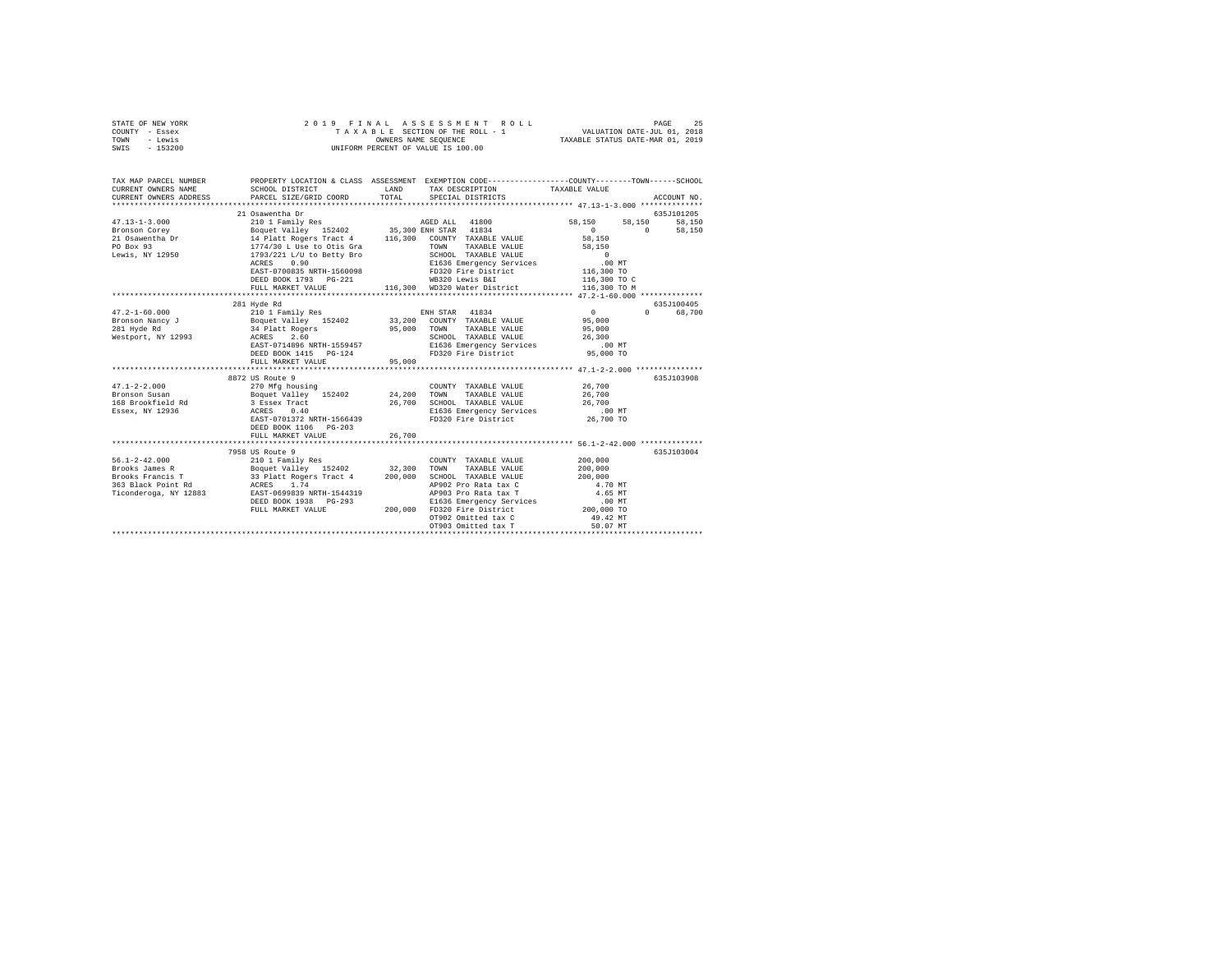| STATE OF NEW YORK | 2019 FINAL ASSESSMENT ROLL         | 25<br>PAGE                       |
|-------------------|------------------------------------|----------------------------------|
| COUNTY - Essex    | TAXABLE SECTION OF THE ROLL - 1    | VALUATION DATE-JUL 01, 2018      |
| TOWN<br>- Lewis   | OWNERS NAME SEOUENCE               | TAXABLE STATUS DATE-MAR 01, 2019 |
| $-153200$<br>SWIS | UNIFORM PERCENT OF VALUE IS 100.00 |                                  |

| TAX MAP PARCEL NUMBER<br>CURRENT OWNERS NAME<br>CURRENT OWNERS ADDRESS | PROPERTY LOCATION & CLASS ASSESSMENT EXEMPTION CODE----------------COUNTY-------TOWN-----SCHOOL<br>SCHOOL DISTRICT<br>PARCEL SIZE/GRID COORD                                                                                                                                                                                                                                                                                                                                             | LAND<br>TOTAL | TAX DESCRIPTION TAXABLE VALUE<br>SPECIAL DISTRICTS                                                                 |                                                                                                                                                                                                                                                                                                                   | ACCOUNT NO.                           |
|------------------------------------------------------------------------|------------------------------------------------------------------------------------------------------------------------------------------------------------------------------------------------------------------------------------------------------------------------------------------------------------------------------------------------------------------------------------------------------------------------------------------------------------------------------------------|---------------|--------------------------------------------------------------------------------------------------------------------|-------------------------------------------------------------------------------------------------------------------------------------------------------------------------------------------------------------------------------------------------------------------------------------------------------------------|---------------------------------------|
| $47.13 - 1 - 3.000$                                                    | 21 Osawentha Dr<br>210 1 Family Res<br>$\begin{tabular}{l c c c c c c} \hline 47.13-1-3.000 & 210 & 17 \& 210 & 17 \& 210 & 17 \& 210 & 17 \& 210 & 17 \& 210 & 17 \& 210 & 210 \\\hline 2000 & 2000 & 2000 & 2000 & 2000 & 2000 & 2000 & 2000 & 2000 & 2000 & 2000 & 2000 & 2000 & 2000 & 2000 & 2000 & 2000 & 2000 & $<br>116,300 TO 221 116,300 TO 2011 116,300 TO 2011 116,300 TO 2<br>FULL MARKET VALUE 116,300 TO 2012 116,300 TO 2011 116,300 TO 2                                |               | AGED ALL 41800                                                                                                     | 58,150 58,150                                                                                                                                                                                                                                                                                                     | 635J101205<br>58,150<br>$0 \t 58,150$ |
|                                                                        | 281 Hyde Rd<br>$\begin{array}{lcccc} 47.2-1-60.000 & 210 & 1\text{ Family Res} & \text{ENH STAR} & 41834 \\ \text{Bromson Nancy J} & \text{Boguet Valley} & 152402 & 33,200 & \text{COUNT TAXABLE VALUE} \\ 281 Hyde Red & 34 Platt Rogers & 95,000 & \text{TONNT TAXABLE VALUE} \\ \text{Westport, NY 12993 & \text{ACKBS} & 2.60 & \text{SCHOOL TAXABLE VALUE} \\ \end{array}$<br>EAST-0714896 NRTH-1559457<br>DEED BOOK 1415    PG-124<br>FULL MARKET VALUE                           | 95,000        | ENH STAR 41834<br>SCHOOL TAXABLE VALUE 26,300<br>E1636 Emergency Services 0.00 MT<br>FD320 Fire District 95,000 TO | $\sim$ 0 $\sim$ 0 $\sim$ 0 $\sim$ 0 $\sim$ 0 $\sim$ 0 $\sim$ 0 $\sim$ 0 $\sim$ 0 $\sim$ 0 $\sim$ 0 $\sim$ 0 $\sim$ 0 $\sim$ 0 $\sim$ 0 $\sim$ 0 $\sim$ 0 $\sim$ 0 $\sim$ 0 $\sim$ 0 $\sim$ 0 $\sim$ 0 $\sim$ 0 $\sim$ 0 $\sim$ 0 $\sim$ 0 $\sim$ 0 $\sim$ 0 $\sim$ 0 $\sim$ 0 $\sim$ 0 $\sim$<br>95,000<br>95,000 | 635J100405<br>$\Omega$<br>68,700      |
|                                                                        | 8872 US Route 9<br>$\begin{array}{lcccccc} 47.1-2-2.000 & 27.700 & 27.000 & 27.000 & 27.000 & 27.000 & 27.000 & 27.000 & 27.000 & 27.000 & 27.000 & 27.000 & 27.000 & 28.000 & 29.000 & 29.000 & 29.000 & 29.000 & 20.000 & 20.000 & 20.000 & 20.000 & 20.000 & 20.000 & 26.000 & 26.0$<br>EAST-0701372 NRTH-1566439<br>DEED BOOK 1106 PG-203<br>FULL MARKET VALUE                                                                                                                       | 26,700        | FD320 Fire District 26.700 TO                                                                                      |                                                                                                                                                                                                                                                                                                                   | 635J103908                            |
|                                                                        | 7958 US Route 9<br>56.1–2–42.000 //2008 //2008 //3008 //3008 //3008 //3008 //3008 //3008 //3008 //3008 //3008 //3008 //3008 //300<br>Brooks James R //3008 //3008 //3008 //3008 //3008 //3008 //3008 //3008 //3008 //3008 //3008 //3008 //3008 //300<br>DEED BOOK 1938 PG-293<br>PULL MARKET VALUE 200,000 PD320 Fire District 200,000 TO PO20 COMP 200,000 PD320 Fire District 200,000 TO PO20 COMP 200,000 PD320 Fire District 200,000 TO PO20 COMP 200,000 PD320 Fire District 200,00 |               | ***************************** 56.1-2-42.000 **************<br>AP902 Pro Rata tax C<br>AP903 Pro Rata tax T         | 4.70 MT<br>4.65 MT                                                                                                                                                                                                                                                                                                | 635J103004                            |
|                                                                        |                                                                                                                                                                                                                                                                                                                                                                                                                                                                                          |               |                                                                                                                    |                                                                                                                                                                                                                                                                                                                   |                                       |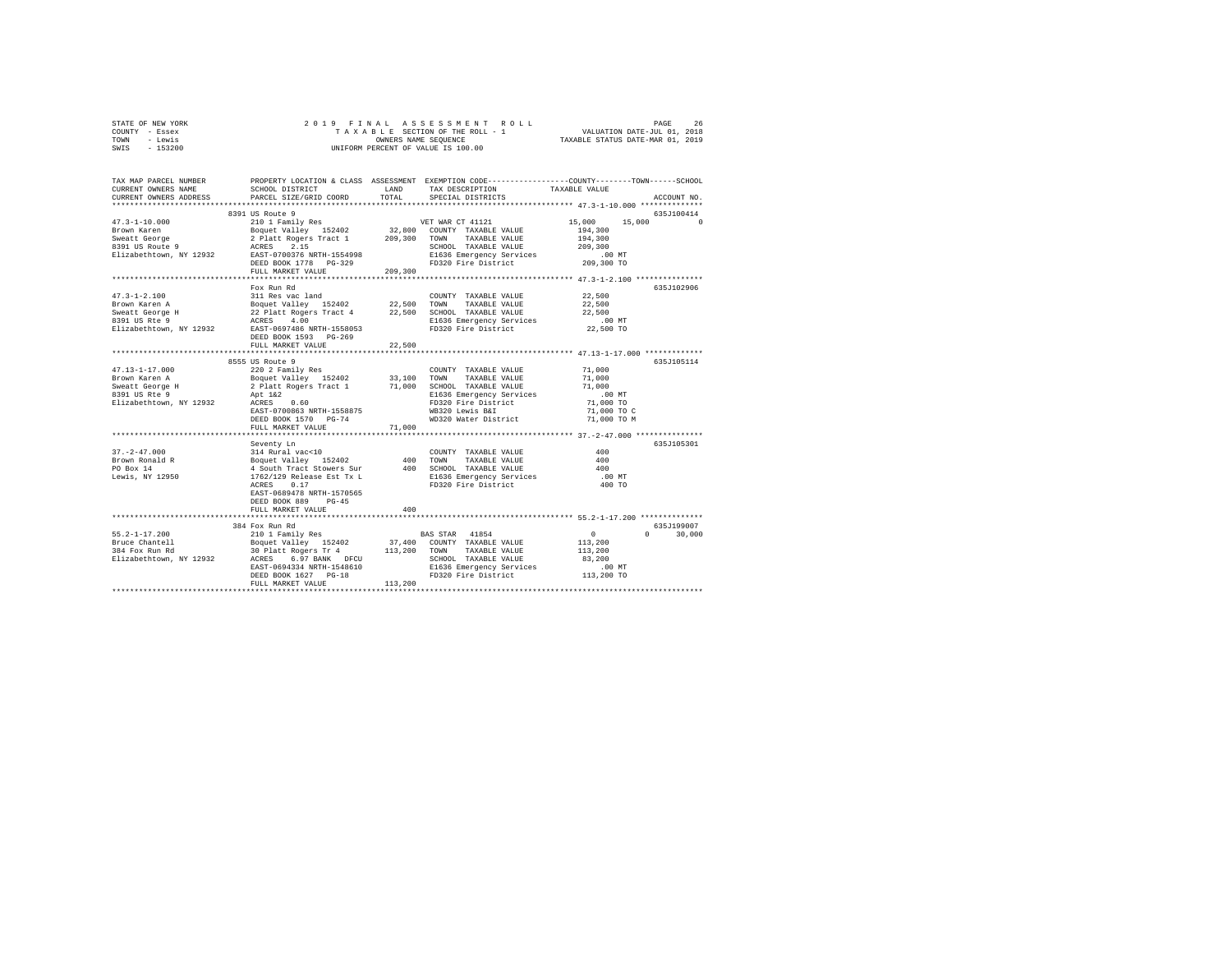|      | STATE OF NEW YORK     |                                      |      | 2019 FINAL ASSESSMENT ROLL                                   |                                  | PAGE                        | 26 |
|------|-----------------------|--------------------------------------|------|--------------------------------------------------------------|----------------------------------|-----------------------------|----|
|      | COUNTY - Essex        |                                      |      | TAXABLE SECTION OF THE ROLL - 1                              |                                  | VALUATION DATE-JUL 01, 2018 |    |
| TOWN | - Lewis               |                                      |      | OWNERS NAME SEOUENCE                                         | TAXABLE STATUS DATE-MAR 01, 2019 |                             |    |
| SWIS | $-153200$             |                                      |      | UNIFORM PERCENT OF VALUE IS 100.00                           |                                  |                             |    |
|      |                       |                                      |      |                                                              |                                  |                             |    |
|      |                       |                                      |      |                                                              |                                  |                             |    |
|      |                       |                                      |      |                                                              |                                  |                             |    |
|      | TAX MAP PARCEL NUMBER | PROPERTY LOCATION & CLASS ASSESSMENT |      | EXEMPTION CODE-----------------COUNTY-------TOWN------SCHOOL |                                  |                             |    |
|      | CURRENT OWNERS NAME   | SCHOOL DISTRICT                      | LAND | TAX DESCRIPTION                                              | TAXABLE VALUE                    |                             |    |

| CURRENT OWNERS ADDRESS  | PARCEL SIZE/GRID COORD                                                                 | TOTAL      | SPECIAL DISTRICTS                               | ACCOUNT NO.                                         |
|-------------------------|----------------------------------------------------------------------------------------|------------|-------------------------------------------------|-----------------------------------------------------|
|                         |                                                                                        |            |                                                 |                                                     |
| $47.3 - 1 - 10.000$     | 8391 US Route 9<br>210 1 Family Res                                                    |            | VET WAR CT 41121                                | 635J100414<br>15,000<br>15,000<br>$\Omega$          |
| Brown Karen             | Boquet Valley 152402<br>2 Platt Rogers Tract 1<br>ACRES 2.15                           |            | 32,800 COUNTY TAXABLE VALUE                     | 194,300                                             |
| Sweatt George           |                                                                                        | 209,300    | TOWN<br>TAXABLE VALUE                           | 194,300                                             |
| 8391 US Route 9         |                                                                                        |            | SCHOOL TAXABLE VALUE                            | 209,300                                             |
| Elizabethtown, NY 12932 | EAST-0700376 NRTH-1554998                                                              |            | E1636 Emergency Services                        | $.00$ MT                                            |
|                         | DEED BOOK 1778 PG-329<br>FULL MARKET VALUE                                             | 209,300    | FD320 Fire District 209,300 TO                  |                                                     |
|                         |                                                                                        |            |                                                 |                                                     |
|                         | Fox Run Rd                                                                             |            |                                                 | 635J102906                                          |
| $47.3 - 1 - 2.100$      | 311 Res vac land                                                                       |            | COUNTY TAXABLE VALUE                            | 22,500                                              |
| Brown Karen A           | Boquet Valley 152402                                                                   | 22,500     | TOWN<br>TAXABLE VALUE                           | 22,500                                              |
| Sweatt George H         | 22 Platt Rogers Tract 4<br>ACRES 4.00                                                  | 22,500     | SCHOOL TAXABLE VALUE                            | 22,500                                              |
| 8391 US Rte 9           |                                                                                        |            | E1636 Emergency Services<br>FD320 Fire District | .00 MT                                              |
| Elizabethtown, NY 12932 | EAST-0697486 NRTH-1558053<br>DEED BOOK 1593 PG-269                                     |            |                                                 | 22,500 TO                                           |
|                         | FULL MARKET VALUE                                                                      | 22,500     |                                                 |                                                     |
|                         |                                                                                        |            |                                                 |                                                     |
|                         | 8555 US Route 9                                                                        |            |                                                 | 635J105114                                          |
| $47.13 - 1 - 17.000$    | 220 2 Family Res                                                                       |            | COUNTY TAXABLE VALUE                            | 71,000                                              |
| Brown Karen A           | Boquet Valley 152402 33,100                                                            |            | TOWN<br>TAXABLE VALUE                           | 71,000                                              |
| Sweatt George H         | 2 Platt Rogers Tract 1                                                                 | 71,000     | SCHOOL TAXABLE VALUE                            | 71,000                                              |
| 8391 US Rte 9           | Apt 1&2                                                                                |            | E1636 Emergency Services                        | $.00$ MT                                            |
| Elizabethtown, NY 12932 | ACRES<br>0.60                                                                          |            | FD320 Fire District                             | 71,000 TO                                           |
|                         | EAST-0700863 NRTH-1558875                                                              |            | WB320 Lewis B&I                                 | 71,000 TO C                                         |
|                         | DEED BOOK 1570 PG-74                                                                   |            | WD320 Water District                            | 71,000 TO M                                         |
|                         | FULL MARKET VALUE                                                                      | 71,000     |                                                 |                                                     |
|                         | ***********************                                                                | ********** |                                                 | *********************** 37.-2-47.000 ************** |
|                         | Seventy Ln                                                                             |            |                                                 | 635J105301                                          |
| $37. - 2 - 47.000$      | 314 Rural vac<10                                                                       |            | COUNTY TAXABLE VALUE                            | 400                                                 |
| Brown Ronald R          | Soquet Valley 152402 400<br>4 South Tract Stowers Sur 400<br>1762/129 Release Est Tx L |            | TOWN<br>TAXABLE VALUE                           | 400                                                 |
| PO Box 14               |                                                                                        |            | SCHOOL TAXABLE VALUE                            | 400                                                 |
| Lewis, NY 12950         |                                                                                        |            | E1636 Emergency Services                        | $.00$ MT                                            |
|                         | 0.17<br>ACRES                                                                          |            | FD320 Fire District                             | 400 TO                                              |
|                         | EAST-0689478 NRTH-1570565                                                              |            |                                                 |                                                     |
|                         | DEED BOOK 889<br>$PG-45$                                                               |            |                                                 |                                                     |
|                         | FULL MARKET VALUE                                                                      | 400        |                                                 |                                                     |
|                         |                                                                                        |            |                                                 |                                                     |
|                         | 384 Fox Run Rd                                                                         |            |                                                 | 635J199007                                          |
| $55.2 - 1 - 17.200$     | 210 1 Family Res                                                                       |            | BAS STAR 41854                                  | $\circ$<br>$\cap$<br>30,000                         |
| Bruce Chantell          |                                                                                        |            | 37,400 COUNTY TAXABLE VALUE                     | 113,200                                             |
| 384 Fox Run Rd          | Boquet Valley 152402<br>30 Platt Rogers Tr 4                                           | 113,200    | TOWN<br>TAXABLE VALUE                           | 113,200                                             |
| Elizabethtown, NY 12932 | ACRES 6.97 BANK DFCU                                                                   |            | SCHOOL TAXABLE VALUE                            | 83,200                                              |
|                         | EAST-0694334 NRTH-1548610                                                              |            | E1636 Emergency Services                        | $.00$ MT                                            |
|                         | DEED BOOK 1627 PG-18                                                                   |            | FD320 Fire District 113,200 TO                  |                                                     |
|                         | FULL MARKET VALUE                                                                      | 113,200    |                                                 |                                                     |
|                         |                                                                                        |            |                                                 |                                                     |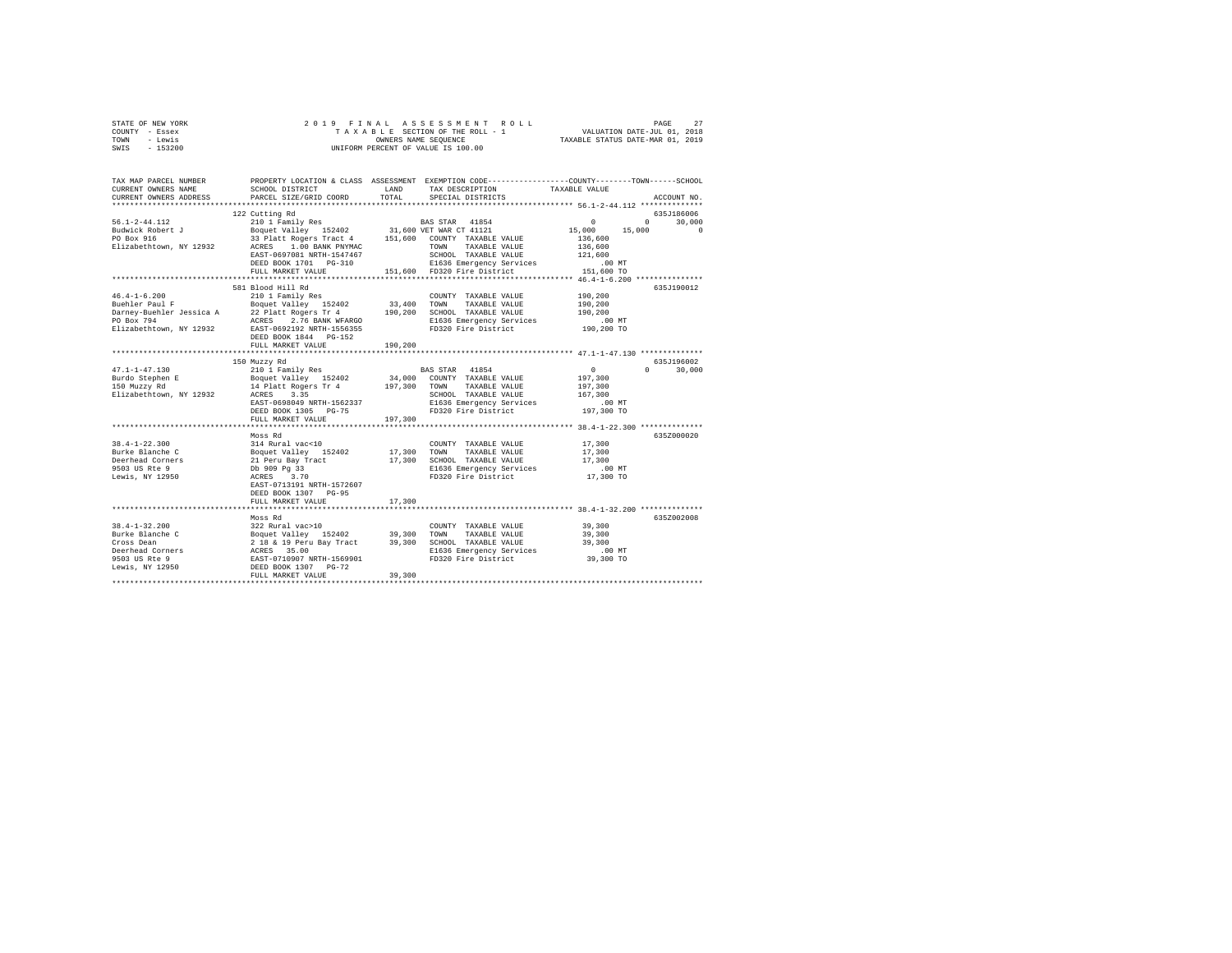| STATE OF NEW YORK | 2019 FINAL ASSESSMENT ROLL         | 27<br>PAGE                       |
|-------------------|------------------------------------|----------------------------------|
| COUNTY - Essex    | TAXABLE SECTION OF THE ROLL - 1    | VALUATION DATE-JUL 01, 2018      |
| TOWN<br>- Lewis   | OWNERS NAME SEOUENCE               | TAXABLE STATUS DATE-MAR 01, 2019 |
| $-153200$<br>SWIS | UNIFORM PERCENT OF VALUE IS 100.00 |                                  |

| TAX MAP PARCEL NUMBER<br>CURRENT OWNERS NAME<br>CURRENT OWNERS ADDRESS                                                                                                                                                 | SCHOOL DISTRICT<br>PARCEL SIZE/GRID COORD                                                                             | LAND<br>TOTAL | PROPERTY LOCATION & CLASS ASSESSMENT EXEMPTION CODE----------------COUNTY-------TOWN-----SCHOOL<br>TAX DESCRIPTION<br>SPECIAL DISTRICTS | TAXABLE VALUE            | ACCOUNT NO.                 |
|------------------------------------------------------------------------------------------------------------------------------------------------------------------------------------------------------------------------|-----------------------------------------------------------------------------------------------------------------------|---------------|-----------------------------------------------------------------------------------------------------------------------------------------|--------------------------|-----------------------------|
|                                                                                                                                                                                                                        |                                                                                                                       |               |                                                                                                                                         |                          |                             |
|                                                                                                                                                                                                                        | 122 Cutting Rd                                                                                                        |               |                                                                                                                                         |                          | 635J186006                  |
|                                                                                                                                                                                                                        |                                                                                                                       |               |                                                                                                                                         |                          | $0 \t 30,000$               |
|                                                                                                                                                                                                                        |                                                                                                                       |               |                                                                                                                                         | 15,000 15,000<br>136,600 | $\circ$                     |
| Elizabethtown, NY 12932 ACRES 1.00 BANK PNYMAC                                                                                                                                                                         |                                                                                                                       |               | TOWN<br>TAXABLE VALUE                                                                                                                   |                          |                             |
|                                                                                                                                                                                                                        | EAST-0697081 NRTH-1547467                                                                                             |               | SCHOOL TAXABLE VALUE                                                                                                                    | 136,600<br>121,600       |                             |
|                                                                                                                                                                                                                        | DEED BOOK 1701    PG-310                                                                                              |               |                                                                                                                                         |                          |                             |
|                                                                                                                                                                                                                        | FULL MARKET VALUE                                                                                                     |               | 151,600 FD320 Fire District                                                                                                             |                          |                             |
|                                                                                                                                                                                                                        |                                                                                                                       |               |                                                                                                                                         |                          |                             |
|                                                                                                                                                                                                                        | 581 Blood Hill Rd                                                                                                     |               |                                                                                                                                         |                          | 635J190012                  |
| $46.4 - 1 - 6.200$                                                                                                                                                                                                     | 210 1 Family Res                                                                                                      |               | COUNTY TAXABLE VALUE                                                                                                                    | 190,200                  |                             |
| Buehler Paul F                                                                                                                                                                                                         | Boquet Valley 152402 33,400 TOWN                                                                                      |               | TAXABLE VALUE                                                                                                                           | 190,200                  |                             |
|                                                                                                                                                                                                                        |                                                                                                                       |               |                                                                                                                                         | 190,200                  |                             |
| Darney-Buehler Jessica A 22 Platt Rogers Tr 4 190,200 SCHOOL TAXABLE VALUE<br>PO Box 794 ACRES 2.76 BANK WFARGO 2016 El636 Emergency Services<br>Elizabethtown, NY 12932 EAST-0692192 NRTH-1556355 FD320 Fire District |                                                                                                                       |               |                                                                                                                                         | $.00$ MT<br>190,200 TO   |                             |
|                                                                                                                                                                                                                        | DEED BOOK 1844    PG-152                                                                                              |               |                                                                                                                                         |                          |                             |
|                                                                                                                                                                                                                        | FULL MARKET VALUE                                                                                                     | 190,200       |                                                                                                                                         |                          |                             |
|                                                                                                                                                                                                                        |                                                                                                                       |               |                                                                                                                                         |                          |                             |
|                                                                                                                                                                                                                        | 150 Muzzy Rd                                                                                                          |               |                                                                                                                                         |                          | 635J196002                  |
| $47.1 - 1 - 47.130$                                                                                                                                                                                                    |                                                                                                                       |               |                                                                                                                                         | $\sim$ 0                 | $0 \qquad \qquad$<br>30,000 |
| Burdo Stephen E<br>150 Muzzy Rd                                                                                                                                                                                        |                                                                                                                       |               |                                                                                                                                         | 197,300                  |                             |
|                                                                                                                                                                                                                        |                                                                                                                       |               |                                                                                                                                         | 197,300                  |                             |
| Elizabethtown, NY 12932                                                                                                                                                                                                |                                                                                                                       |               |                                                                                                                                         | 167,300                  |                             |
|                                                                                                                                                                                                                        | EAST-0698049 NRTH-1562337                                                                                             |               | E1636 Emergency Services                                                                                                                | 00 MT.<br>197,300 TO     |                             |
|                                                                                                                                                                                                                        | DEED BOOK 1305 PG-75                                                                                                  | 197,300       | FD320 Fire District                                                                                                                     |                          |                             |
|                                                                                                                                                                                                                        | FULL MARKET VALUE                                                                                                     |               |                                                                                                                                         |                          |                             |
|                                                                                                                                                                                                                        | Moss Rd                                                                                                               |               |                                                                                                                                         |                          | 635Z000020                  |
| $38.4 - 1 - 22.300$                                                                                                                                                                                                    | 314 Rural vac<10                                                                                                      |               | COUNTY TAXABLE VALUE                                                                                                                    | 17,300                   |                             |
| Burke Blanche C                                                                                                                                                                                                        |                                                                                                                       |               | TOWN<br>TAXABLE VALUE                                                                                                                   | 17,300                   |                             |
| Burke Dinn.<br>Deerhead Corners<br>The Mo Pha 9                                                                                                                                                                        |                                                                                                                       |               | 17,300 SCHOOL TAXABLE VALUE                                                                                                             | 17,300                   |                             |
|                                                                                                                                                                                                                        |                                                                                                                       |               | E1636 Emergency Services .00 MT                                                                                                         |                          |                             |
| Lewis, NY 12950                                                                                                                                                                                                        | 314 Autat valley 152402 17,300<br>21 Peru Bay Tract 17,300<br>21 Peru Bay Tract 17,300<br>21 Peru Bay 3<br>ACRES 3.70 |               | FD320 Fire District                                                                                                                     | 17,300 TO                |                             |
|                                                                                                                                                                                                                        | EAST-0713191 NRTH-1572607                                                                                             |               |                                                                                                                                         |                          |                             |
|                                                                                                                                                                                                                        | DEED BOOK 1307 PG-95                                                                                                  |               |                                                                                                                                         |                          |                             |
|                                                                                                                                                                                                                        | FULL MARKET VALUE                                                                                                     | 17,300        |                                                                                                                                         |                          |                             |
|                                                                                                                                                                                                                        | Moss Rd                                                                                                               |               |                                                                                                                                         |                          | 635Z002008                  |
|                                                                                                                                                                                                                        |                                                                                                                       |               |                                                                                                                                         | 39,300                   |                             |
|                                                                                                                                                                                                                        |                                                                                                                       |               | TAXABLE VALUE                                                                                                                           | 39,300                   |                             |
|                                                                                                                                                                                                                        |                                                                                                                       |               |                                                                                                                                         | 39,300                   |                             |
|                                                                                                                                                                                                                        |                                                                                                                       |               | E1636 Emergency Services<br>FD320 Fire District 39,300 TO                                                                               |                          |                             |
|                                                                                                                                                                                                                        |                                                                                                                       |               |                                                                                                                                         |                          |                             |
| Lewis, NY 12950                                                                                                                                                                                                        | DEED BOOK 1307 PG-72                                                                                                  |               |                                                                                                                                         |                          |                             |
|                                                                                                                                                                                                                        | FULL MARKET VALUE                                                                                                     | 39,300        |                                                                                                                                         |                          |                             |
|                                                                                                                                                                                                                        |                                                                                                                       |               |                                                                                                                                         |                          |                             |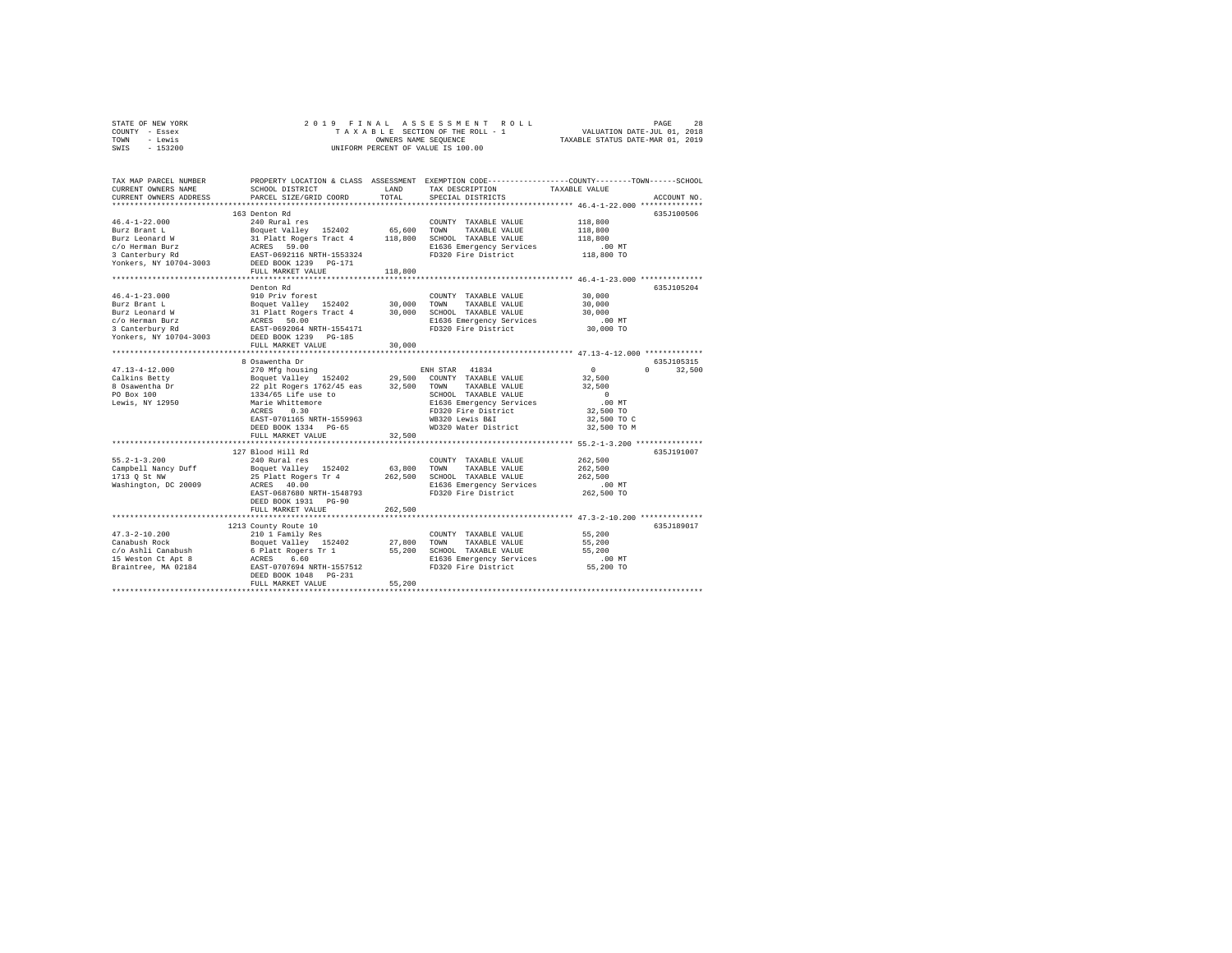|      | STATE OF NEW YORK |  |  | 2019 FINAL ASSESSMENT ROLL         |                                  | PAGE                        | 28 |
|------|-------------------|--|--|------------------------------------|----------------------------------|-----------------------------|----|
|      | COUNTY - Essex    |  |  | TAXABLE SECTION OF THE ROLL - 1    |                                  | VALUATION DATE-JUL 01, 2018 |    |
| TOWN | - Lewis           |  |  | OWNERS NAME SEOUENCE               | TAXABLE STATUS DATE-MAR 01, 2019 |                             |    |
| SWIS | - 153200          |  |  | UNIFORM PERCENT OF VALUE IS 100.00 |                                  |                             |    |

| TAX MAP PARCEL NUMBER<br>CURRENT OWNERS NAME<br>CURRENT OWNERS ADDRESS                                                | SCHOOL DISTRICT<br>PARCEL SIZE/GRID COORD                                                                                                                                                                                                                                                                            | LAND<br>TOTAL                | TAX DESCRIPTION<br>SPECIAL DISTRICTS                                                                                     | PROPERTY LOCATION & CLASS ASSESSMENT EXEMPTION CODE---------------COUNTY-------TOWN-----SCHOOL<br>TAXABLE VALUE<br>ACCOUNT NO.              |
|-----------------------------------------------------------------------------------------------------------------------|----------------------------------------------------------------------------------------------------------------------------------------------------------------------------------------------------------------------------------------------------------------------------------------------------------------------|------------------------------|--------------------------------------------------------------------------------------------------------------------------|---------------------------------------------------------------------------------------------------------------------------------------------|
|                                                                                                                       |                                                                                                                                                                                                                                                                                                                      |                              |                                                                                                                          |                                                                                                                                             |
| $46.4 - 1 - 22.000$<br>Burz Brant L<br>Burz Leonard W                                                                 | 163 Denton Rd<br>240 Rural res<br>Boquet Valley 152402<br>31 Platt Rogers Tract 4 118,800                                                                                                                                                                                                                            |                              | COUNTY TAXABLE VALUE<br>65,600 TOWN TAXABLE VALUE<br>SCHOOL TAXABLE VALUE                                                | 635J100506<br>118,800<br>118,800<br>118,800                                                                                                 |
| c/o Herman Burz<br>3 Canterbury Rd<br>Yonkers, NY 10704-3003                                                          | ACRES 59.00<br>EAST-0692116 NRTH-1553324<br>DEED BOOK 1239 PG-171<br>FULL MARKET VALUE                                                                                                                                                                                                                               | 118,800                      | E1636 Emergency Services<br>FD320 Fire District                                                                          | $.00$ MT<br>118,800 TO                                                                                                                      |
|                                                                                                                       |                                                                                                                                                                                                                                                                                                                      |                              |                                                                                                                          | *********************************** 46.4-1-23.000 ***************                                                                           |
| $46.4 - 1 - 23.000$<br>Burz Brant L<br>Burz Leonard W<br>c/o Herman Burz<br>3 Canterbury Rd<br>Yonkers, NY 10704-3003 | Denton Rd<br>910 Priv forest<br>Boquet Valley 152402<br>Boquet Valley 152402<br>31 Platt Rogers Tract 4<br>ACRES 50.00<br>EAST-0692064 NRTH-1554171<br>DEED BOOK 1239 PG-185                                                                                                                                         | 30,000<br>30,000             | COUNTY TAXABLE VALUE<br>TAXABLE VALUE<br>TOWN<br>SCHOOL TAXABLE VALUE<br>E1636 Emergency Services<br>FD320 Fire District | 635J105204<br>30,000<br>30,000<br>30,000<br>.00 MT<br>30,000 TO                                                                             |
|                                                                                                                       | FULL MARKET VALUE                                                                                                                                                                                                                                                                                                    | 30,000                       |                                                                                                                          |                                                                                                                                             |
|                                                                                                                       |                                                                                                                                                                                                                                                                                                                      |                              |                                                                                                                          |                                                                                                                                             |
| $47.13 - 4 - 12.000$<br>Calkins Betty<br>8 Osawentha Dr<br>PO Box 100<br>Lewis, NY 12950                              | 8 Osawentha Dr<br>270 Mfg housing<br>Boquet Valley 152402 29,500 COUNTY TAXABLE VALUE<br>22 plt Rogers 1762/45 eas 32,500 TOWNY TAXABLE VALUE<br>1334/65 Life use to SCHOOL TAXABLE VALUE<br>8 SCHOOL TAXABLE VALUE<br>1636 Emergency Services<br>ACRES<br>0.30<br>EAST-0701165 NRTH-1559963<br>DEED BOOK 1334 PG-65 |                              | ENH STAR 41834<br>E1636 Emergency Services<br>FD320 Fire District<br>WB320 Lewis B&I<br>WD320 Water District             | 635J105315<br>$\Omega$ and $\Omega$<br>32,500<br>$\sim$<br>32,500<br>32,500<br>$\sim$ 0<br>.00MT<br>32,500 TO<br>32,500 TO C<br>32,500 TO M |
|                                                                                                                       | FULL MARKET VALUE                                                                                                                                                                                                                                                                                                    | 32,500                       |                                                                                                                          |                                                                                                                                             |
| $55.2 - 1 - 3.200$<br>Campbell Nancy Duff<br>1713 Q St NW<br>Washington, DC 20009                                     | 127 Blood Hill Rd<br>240 Rural res<br>Boquet Valley 152402<br>25 Platt Rogers Tr 4<br>ACRES 40.00<br>EAST-0687680 NRTH-1548793<br>DEED BOOK 1931    PG-90<br>FULL MARKET VALUE                                                                                                                                       | 63,800<br>262,500<br>262,500 | COUNTY TAXABLE VALUE<br>TOWN<br>TAXABLE VALUE<br>SCHOOL TAXABLE VALUE<br>E1636 Emergency Services<br>FD320 Fire District | 635J191007<br>262,500<br>262,500<br>262,500<br>$.00$ MT<br>262,500 TO                                                                       |
|                                                                                                                       |                                                                                                                                                                                                                                                                                                                      |                              |                                                                                                                          |                                                                                                                                             |
| $47.3 - 2 - 10.200$<br>Canabush Rock                                                                                  | 1213 County Route 10<br>210 1 Family Res<br>Boquet Valley 152402<br>DEED BOOK 1048 PG-231<br>FULL MARKET VALUE                                                                                                                                                                                                       | 27,800<br>55,200             | COUNTY TAXABLE VALUE<br>TOWN<br>TAXABLE VALUE<br>E1636 Emergency Services<br>FD320 Fire District                         | 635J189017<br>55,200<br>55,200<br>55,200<br>$.00$ MT<br>55,200 TO                                                                           |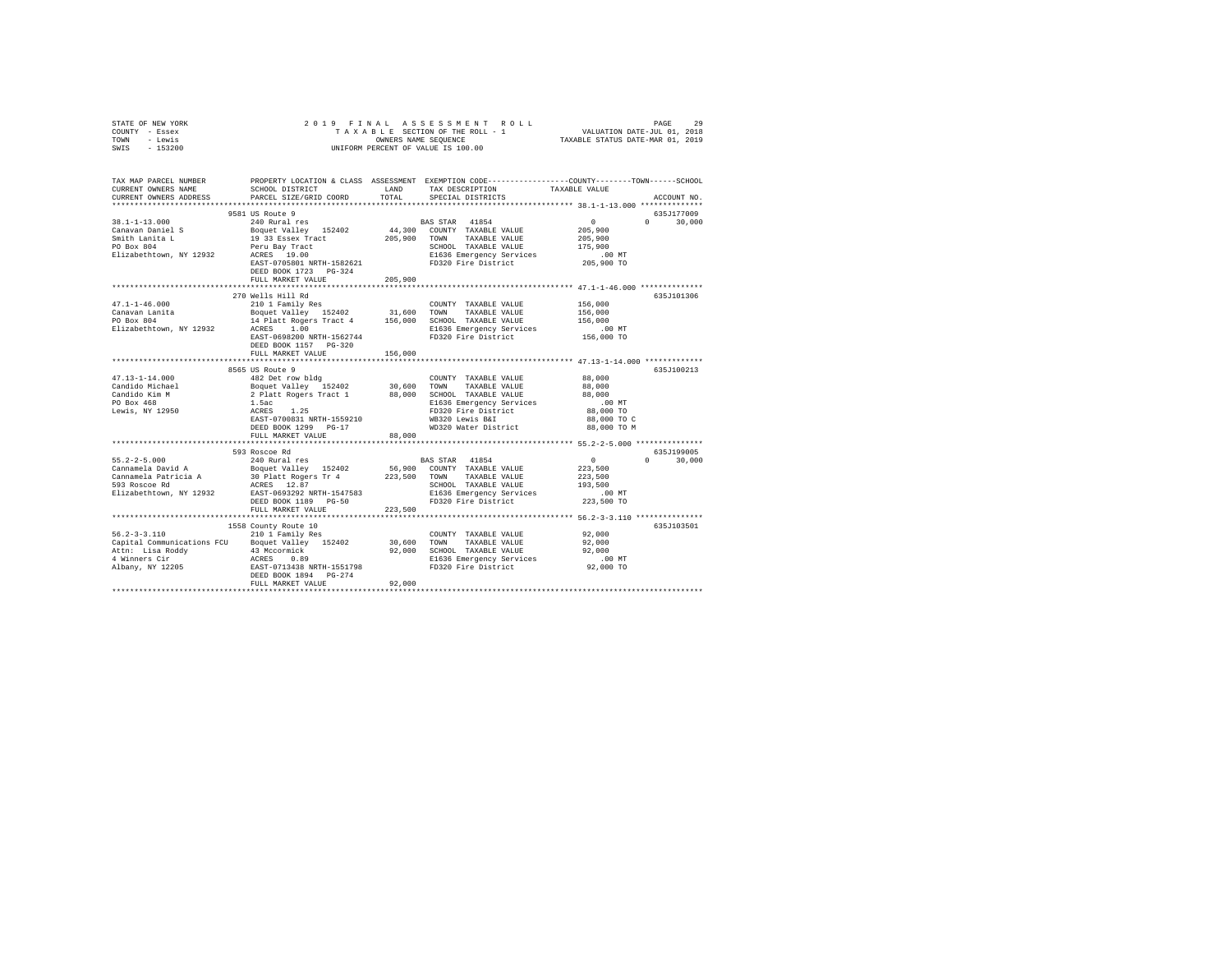| STATE OF NEW YORK<br>COUNTY - Essex<br>TOWN - Lewis<br>$-153200$<br>SWIS                                                                           | 2019 FINAL<br>OWNERS NAME SEQUENCE<br>UNIFORM PERCENT OF VALUE IS 100.00                               |         |                                                                                                                                                                                                          |               |               |
|----------------------------------------------------------------------------------------------------------------------------------------------------|--------------------------------------------------------------------------------------------------------|---------|----------------------------------------------------------------------------------------------------------------------------------------------------------------------------------------------------------|---------------|---------------|
| TAX MAP PARCEL NUMBER PROPERTY LOCATION & CLASS ASSESSMENT EXEMPTION CODE---------------COUNTY-------TOWN------SCHOOL<br>CURRENT OWNERS NAME       | SCHOOL DISTRICT LAND                                                                                   |         | TAX DESCRIPTION                                                                                                                                                                                          | TAXABLE VALUE |               |
| CURRENT OWNERS ADDRESS<br>*************************                                                                                                | PARCEL SIZE/GRID COORD                                                                                 | TOTAL   | SPECIAL DISTRICTS                                                                                                                                                                                        |               | ACCOUNT NO.   |
|                                                                                                                                                    | 9581 US Route 9                                                                                        |         |                                                                                                                                                                                                          |               | 635J177009    |
| $38.1 - 1 - 13.000$                                                                                                                                | 240 Rural res                                                                                          |         | BAS STAR 41854                                                                                                                                                                                           | $\sim$ 0      | $0 \t 30,000$ |
| Canavan Daniel S                                                                                                                                   | Boquet Valley 152402                                                                                   |         | 44,300 COUNTY TAXABLE VALUE                                                                                                                                                                              | 205,900       |               |
| Smith Lanita L                                                                                                                                     | 19 33 Essex Tract                                                                                      |         | 205,900 TOWN TAXABLE VALUE                                                                                                                                                                               | 205,900       |               |
| PO Box 804                                                                                                                                         | Peru Bay Tract                                                                                         |         |                                                                                                                                                                                                          | 175,900       |               |
| Elizabethtown, NY 12932                                                                                                                            | ACRES 19.00                                                                                            |         | E1636 Emergency Services                                                                                                                                                                                 | $.00$ MT      |               |
|                                                                                                                                                    |                                                                                                        |         |                                                                                                                                                                                                          | 205,900 TO    |               |
|                                                                                                                                                    | DEED BOOK 1723 PG-324                                                                                  | 205,900 |                                                                                                                                                                                                          |               |               |
|                                                                                                                                                    | FULL MARKET VALUE                                                                                      |         |                                                                                                                                                                                                          |               |               |
|                                                                                                                                                    | 270 Wells Hill Rd                                                                                      |         |                                                                                                                                                                                                          |               | 635J101306    |
| $47.1 - 1 - 46.000$                                                                                                                                | 210 1 Family Res                                                                                       |         | COUNTY TAXABLE VALUE                                                                                                                                                                                     | 156,000       |               |
|                                                                                                                                                    |                                                                                                        |         |                                                                                                                                                                                                          | 156,000       |               |
| Canavan Lanita<br>PO Box 804                                                                                                                       | Eoquet Valley 152402 31,600 TOWN TAXABLE VALUE<br>14 Platt Rogers Tract 4 156,000 SCHOOL TAXABLE VALUE |         |                                                                                                                                                                                                          | 156,000       |               |
| Elizabethtown, NY 12932                                                                                                                            | ACRES 1.00                                                                                             |         | E1636 Emergency Services<br>FD320 Fire District                                                                                                                                                          | $.00$ MT      |               |
|                                                                                                                                                    | EAST-0698200 NRTH-1562744                                                                              |         |                                                                                                                                                                                                          | 156,000 TO    |               |
|                                                                                                                                                    | DEED BOOK 1157 PG-320                                                                                  |         |                                                                                                                                                                                                          |               |               |
|                                                                                                                                                    | FULL MARKET VALUE                                                                                      | 156,000 |                                                                                                                                                                                                          |               |               |
|                                                                                                                                                    | 8565 US Route 9                                                                                        |         |                                                                                                                                                                                                          |               | 635J100213    |
| $47.13 - 1 - 14.000$                                                                                                                               |                                                                                                        |         |                                                                                                                                                                                                          | 88,000        |               |
| Candido Michael                                                                                                                                    |                                                                                                        |         |                                                                                                                                                                                                          | 88,000        |               |
|                                                                                                                                                    |                                                                                                        |         | COUNTY TAXABLE VALUE<br>482 Det row bldg<br>2 Platt Rogers Tract 1 30,600 TOWN TAXABLE VALUE<br>2 Platt Rogers Tract 1 88,000 SCHOOL TAXABLE VALUE<br>2 Platt Rogers Tract 1 88,000 SCHOOL TAXAELE VALUE | 88,000        |               |
| Candido Kim M<br>PO Box 468                                                                                                                        | $1.5ac$<br>ACRES $1.25$                                                                                |         | E1636 Emergency Services                                                                                                                                                                                 | .00 MT        |               |
| Lewis, NY 12950                                                                                                                                    |                                                                                                        |         | FD320 Fire District                                                                                                                                                                                      | 88,000 TO     |               |
|                                                                                                                                                    | EAST-0700831 NRTH-1559210                                                                              |         | WB320 Lewis B&I                                                                                                                                                                                          | 88,000 TO C   |               |
|                                                                                                                                                    | DEED BOOK 1299 PG-17                                                                                   |         | WD320 Water District                                                                                                                                                                                     | 88,000 TO M   |               |
|                                                                                                                                                    | FULL MARKET VALUE                                                                                      | 88,000  |                                                                                                                                                                                                          |               |               |
|                                                                                                                                                    | 593 Roscoe Rd                                                                                          |         |                                                                                                                                                                                                          |               | 635J199005    |
| $55.2 - 2 - 5.000$                                                                                                                                 | 240 Rural res                                                                                          |         | BAS STAR 41854                                                                                                                                                                                           | $\sim$ 0      | $0 \t 30,000$ |
| Cannamela David A                                                                                                                                  | Boquet Valley 152402 56,900 COUNTY TAXABLE VALUE<br>30 Platt Rogers Tr 4 223,500 TOWN TAXABLE VALUE    |         |                                                                                                                                                                                                          | 223,500       |               |
| Cannamela Patricia A<br>593 Roscoe Rd                                                                                                              |                                                                                                        |         |                                                                                                                                                                                                          | 223,500       |               |
|                                                                                                                                                    | ACRES 12.87                                                                                            |         | SCHOOL TAXABLE VALUE                                                                                                                                                                                     | 193,500       |               |
| Elizabethtown, NY 12932                                                                                                                            | EAST-0693292 NRTH-1547583                                                                              |         | E1636 Emergency Services                                                                                                                                                                                 | $.00$ MT      |               |
|                                                                                                                                                    | DEED BOOK 1189 PG-50                                                                                   |         | FD320 Fire District                                                                                                                                                                                      | 223,500 TO    |               |
|                                                                                                                                                    | FULL MARKET VALUE                                                                                      | 223,500 |                                                                                                                                                                                                          |               |               |
|                                                                                                                                                    |                                                                                                        |         |                                                                                                                                                                                                          |               | 635J103501    |
| $56.2 - 3 - 3.110$                                                                                                                                 | 1558 County Route 10<br>210 1 Family Res                                                               |         | COUNTY TAXABLE VALUE                                                                                                                                                                                     | 92,000        |               |
| Capital Communications FCU Boquet Valley 152402 30,600 TOWN TAXABLE VALUE                                                                          |                                                                                                        |         |                                                                                                                                                                                                          | 92,000        |               |
|                                                                                                                                                    |                                                                                                        |         | 92,000 SCHOOL TAXABLE VALUE                                                                                                                                                                              | 92,000        |               |
|                                                                                                                                                    |                                                                                                        |         | E1636 Emergency Services                                                                                                                                                                                 | $.00$ MT      |               |
| Athr: Lisa Roddy<br>4 Minners Cir<br>4 Minners Cir<br>2006 10.89 EAST-0713438 NRTH-1551798<br>2007 113438 NRTH-1551798<br>2007 123438 NRTH-1551798 |                                                                                                        |         | FD320 Fire District                                                                                                                                                                                      | 92,000 TO     |               |
|                                                                                                                                                    | DEED BOOK 1894 PG-274                                                                                  |         |                                                                                                                                                                                                          |               |               |
|                                                                                                                                                    | FULL MARKET VALUE                                                                                      | 92,000  |                                                                                                                                                                                                          |               |               |
|                                                                                                                                                    |                                                                                                        |         |                                                                                                                                                                                                          |               |               |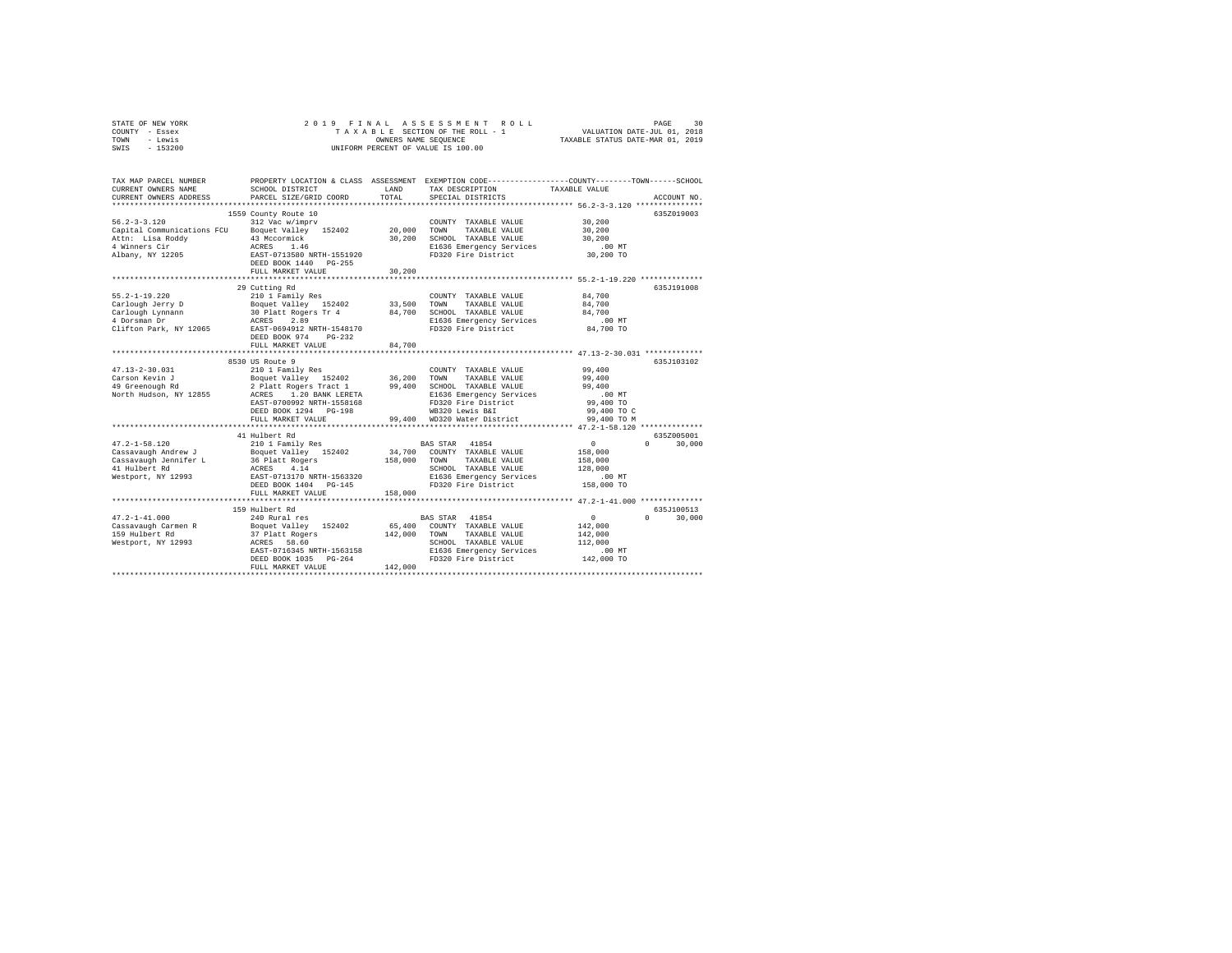| STATE OF NEW YORK<br>- Essex<br>COUNTY<br>- Lewis<br>TOWN |                           |            | 2019 FINAL ASSESSMENT ROLL<br>TAXABLE SECTION OF THE ROLL - 1<br>OWNERS NAME SEQUENCE | VALUATION DATE-JUL 01, 2018<br>TAXABLE STATUS DATE-MAR 01, 2019 | 30<br>PAGE  |
|-----------------------------------------------------------|---------------------------|------------|---------------------------------------------------------------------------------------|-----------------------------------------------------------------|-------------|
| $-153200$<br>SWIS                                         |                           |            | UNIFORM PERCENT OF VALUE IS 100.00                                                    |                                                                 |             |
|                                                           |                           |            |                                                                                       |                                                                 |             |
|                                                           |                           |            |                                                                                       |                                                                 |             |
| TAX MAP PARCEL NUMBER                                     | PROPERTY LOCATION & CLASS | ASSESSMENT | EXEMPTION CODE-----------------COUNTY-------TOWN------SCHOOL                          |                                                                 |             |
| CURRENT OWNERS NAME                                       | SCHOOL DISTRICT           | LAND       | TAX DESCRIPTION                                                                       | TAXABLE VALUE                                                   |             |
| CURRENT OWNERS ADDRESS                                    | PARCEL SIZE/GRID COORD    | TOTAL      | SPECIAL DISTRICTS                                                                     |                                                                 | ACCOUNT NO. |
|                                                           |                           |            |                                                                                       |                                                                 |             |
|                                                           | 1559 County Route 10      |            |                                                                                       |                                                                 | 6357019003  |
| $56.2 - 3 - 3.120$                                        | 312 Vac w/imprv           |            | TAXABLE VALUE<br>COUNTY                                                               | 30,200                                                          |             |
| Capital Communications FCU                                | Boquet Valley 152402      | 20,000     | TOWN<br>TAXABLE VALUE                                                                 | 30,200                                                          |             |
| Attn: Lisa Roddy                                          | 43 Mccormick              | 30,200     | SCHOOL TAXABLE VALUE                                                                  | 30,200                                                          |             |
| 4 Winners Cir                                             | ACRES 1.46                |            | E1636 Emergency Services                                                              | .00 MT                                                          |             |
| Albany, NY 12205                                          | EAST-0713580 NRTH-1551920 |            | FD320 Fire District                                                                   | 30.200 TO                                                       |             |

| Albany, NY 12205               | EAST-0713580 NRTH-1551920<br>DEED BOOK 1440 PG-255<br>FULL MARKET VALUE                                        | FD320 Fire District<br>30, 200 |                                 | 30,200 TO         |                             |  |
|--------------------------------|----------------------------------------------------------------------------------------------------------------|--------------------------------|---------------------------------|-------------------|-----------------------------|--|
|                                |                                                                                                                |                                |                                 |                   |                             |  |
|                                | 29 Cutting Rd                                                                                                  |                                |                                 |                   | 635J191008                  |  |
| 55.2-1-19.220                  |                                                                                                                |                                | COUNTY TAXABLE VALUE            | 84,700            |                             |  |
| Carlough Jerry D               | 210 1 Family Res COUNTY<br>Boquet Valley 152402 33,500 TOWN                                                    |                                | TAXABLE VALUE                   | 84,700            |                             |  |
| Carlough Lynnann               |                                                                                                                | 84,700 SCHOOL TAXABLE VALUE    |                                 | 84,700            |                             |  |
| 4 Dorsman Dr                   | 30 Platt Rogers Tr 4<br>ACRES 2.89                                                                             |                                | E1636 Emergency Services        | $.00$ MT          |                             |  |
|                                | Clifton Park, NY 12065 EAST-0694912 NRTH-1548170                                                               |                                | FD320 Fire District             | 84,700 TO         |                             |  |
|                                | DEED BOOK 974 PG-232                                                                                           |                                |                                 |                   |                             |  |
|                                | FULL MARKET VALUE                                                                                              | 84,700                         |                                 |                   |                             |  |
|                                |                                                                                                                |                                |                                 |                   |                             |  |
|                                | 8530 US Route 9                                                                                                |                                |                                 |                   | 635.T103102                 |  |
| 47.13-2-30.031                 |                                                                                                                |                                | COUNTY TAXABLE VALUE            | 99.400            |                             |  |
| Carson Kevin J                 | 210 1 Family Res<br>Boquet Valley 152402 36,200 TOWN<br>2 Platt Rogers Tract 1 99,400 SCHOOL                   |                                | TAXABLE VALUE                   | 99,400            |                             |  |
| 49 Greenough Rd                |                                                                                                                |                                | SCHOOL TAXABLE VALUE            | 99,400            |                             |  |
|                                | North Hudson, NY 12855 $\overline{ACRES}$ 1.20 BANK LERETA                                                     |                                | E1636 Emergency Services        | .00 MT            |                             |  |
|                                | EAST-0700992 NRTH-1558168                                                                                      |                                | FD320 Fire District             | 99,400 TO         |                             |  |
|                                | DEED BOOK 1294 PG-198                                                                                          |                                | WB320 Lewis B&I                 | 99,400 TO C       |                             |  |
|                                | FULL MARKET VALUE                                                                                              | 99,400 WD320 Water District    |                                 | 99,400 TO M       |                             |  |
|                                |                                                                                                                |                                |                                 |                   |                             |  |
| $47.2 - 1 - 58.120$            | 41 Hulbert Rd                                                                                                  |                                |                                 | $0 \qquad \qquad$ | 635Z005001<br>$0 \t 30.000$ |  |
| Cassavaugh Andrew J            |                                                                                                                |                                |                                 | 158,000           |                             |  |
|                                | Cassavaugh Jennifer Law South Cassavaugh Jennifer Law South Cassavaugh Jennifer Law South State Law South Cass |                                | TAXABLE VALUE                   | 158,000           |                             |  |
| 41 Hulbert Rd                  | ACRES 4.14                                                                                                     |                                | SCHOOL TAXABLE VALUE            | 128,000           |                             |  |
|                                | Westport, NY 12993 EAST-0713170 NRTH-1563320                                                                   |                                | E1636 Emergency Services .00 MT |                   |                             |  |
|                                | DEED BOOK 1404 PG-145                                                                                          |                                | FD320 Fire District 158,000 TO  |                   |                             |  |
|                                | FULL MARKET VALUE 158,000                                                                                      |                                |                                 |                   |                             |  |
|                                |                                                                                                                |                                |                                 |                   |                             |  |
|                                | 159 Hulbert Rd                                                                                                 |                                |                                 |                   | 635.T100513                 |  |
| $47.2 - 1 - 41.000$            |                                                                                                                |                                |                                 | $\sim$ 0          | $0 \t 30.000$               |  |
| Cassavaugh Carmen R            |                                                                                                                |                                |                                 | 142,000           |                             |  |
| 159 Hulbert Rd                 | 37 Platt Rogers 142,000 TOWN                                                                                   |                                | TAXABLE VALUE                   | 142,000           |                             |  |
| Westport, NY 12993 ACRES 58.60 |                                                                                                                |                                | SCHOOL TAXABLE VALUE            | 112,000           |                             |  |
|                                | EAST-0716345 NRTH-1563158                                                                                      |                                | E1636 Emergency Services .00 MT |                   |                             |  |
|                                | DEED BOOK 1035 PG-264                                                                                          |                                | FD320 Fire District             | 142,000 TO        |                             |  |
|                                | FULL MARKET VALUE                                                                                              | 142,000                        |                                 |                   |                             |  |
|                                |                                                                                                                |                                |                                 |                   |                             |  |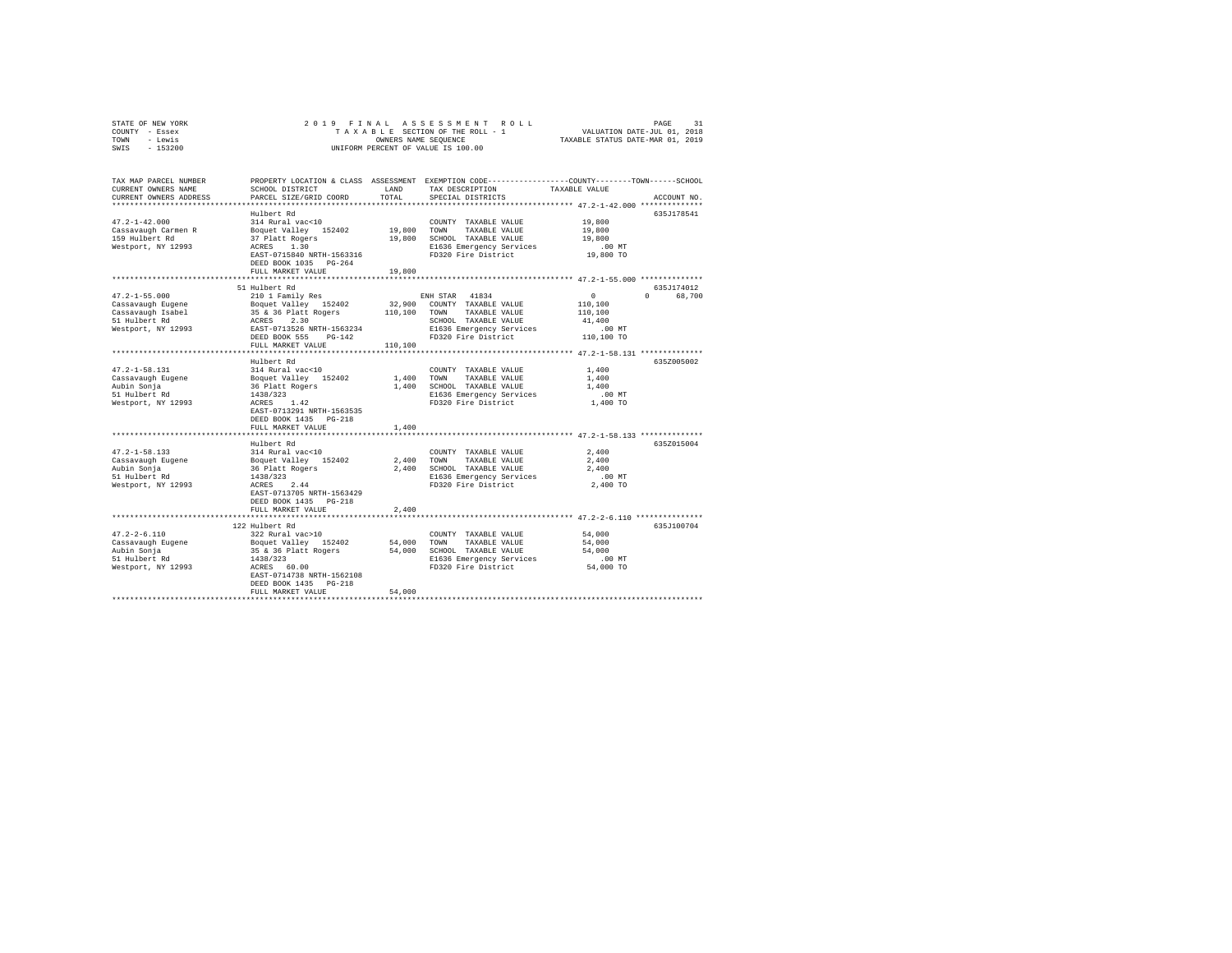| STATE OF NEW YORK      | 2019 FINAL                                                                |         | ASSESSMENT ROLL                                                                                 |               |             |  |  |
|------------------------|---------------------------------------------------------------------------|---------|-------------------------------------------------------------------------------------------------|---------------|-------------|--|--|
| COUNTY - Essex         | PAGE 31<br>VALUATION DATE-JUL 01, 2018<br>TAXABLE SECTION OF THE ROLL - 1 |         |                                                                                                 |               |             |  |  |
| TOWN<br>- Lewis        | TAXABLE STATUS DATE-MAR 01, 2019<br>OWNERS NAME SEQUENCE                  |         |                                                                                                 |               |             |  |  |
| $-153200$<br>SWIS      | UNIFORM PERCENT OF VALUE IS 100.00                                        |         |                                                                                                 |               |             |  |  |
|                        |                                                                           |         |                                                                                                 |               |             |  |  |
|                        |                                                                           |         |                                                                                                 |               |             |  |  |
| TAX MAP PARCEL NUMBER  |                                                                           |         | PROPERTY LOCATION & CLASS ASSESSMENT EXEMPTION CODE---------------COUNTY-------TOWN------SCHOOL |               |             |  |  |
| CURRENT OWNERS NAME    | SCHOOL DISTRICT                                                           | LAND    | TAX DESCRIPTION                                                                                 | TAXABLE VALUE |             |  |  |
|                        |                                                                           |         |                                                                                                 |               |             |  |  |
| CURRENT OWNERS ADDRESS | PARCEL SIZE/GRID COORD                                                    | TOTAL   | SPECIAL DISTRICTS                                                                               |               | ACCOUNT NO. |  |  |
|                        |                                                                           |         |                                                                                                 |               |             |  |  |
|                        | Hulbert Rd                                                                |         |                                                                                                 |               | 635J178541  |  |  |
| $47.2 - 1 - 42.000$    | 314 Rural vac<10                                                          |         | COUNTY TAXABLE VALUE                                                                            | 19,800        |             |  |  |
| Cassavaugh Carmen R    | Boquet Valley 152402                                                      | 19,800  | TOWN<br>TAXABLE VALUE                                                                           | 19,800        |             |  |  |
| 159 Hulbert Rd         | 37 Platt Rogers                                                           |         | 19,800 SCHOOL TAXABLE VALUE                                                                     | 19,800        |             |  |  |
| Westport, NY 12993     | ACRES 1.30                                                                |         | E1636 Emergency Services                                                                        | $.00$ MT      |             |  |  |
|                        | EAST-0715840 NRTH-1563316                                                 |         | FD320 Fire District                                                                             | 19,800 TO     |             |  |  |
|                        | DEED BOOK 1035 PG-264                                                     |         |                                                                                                 |               |             |  |  |
|                        | FULL MARKET VALUE                                                         | 19,800  |                                                                                                 |               |             |  |  |
|                        |                                                                           |         |                                                                                                 |               |             |  |  |
|                        | 51 Hulbert Rd                                                             |         |                                                                                                 |               | 635J174012  |  |  |
| $47.2 - 1 - 55.000$    | 210 1 Family Res                                                          |         | ENH STAR 41834                                                                                  | 0             | 0 68,700    |  |  |
| Cassavaugh Eugene      | Boquet Valley 152402                                                      |         | 32,900 COUNTY TAXABLE VALUE                                                                     | 110,100       |             |  |  |
|                        |                                                                           |         |                                                                                                 |               |             |  |  |
| Cassavaugh Isabel      | 35 & 36 Platt Rogers                                                      |         | 110,100 TOWN TAXABLE VALUE                                                                      | 110,100       |             |  |  |
| 51 Hulbert Rd          | ACRES 2.30                                                                |         | SCHOOL TAXABLE VALUE                                                                            | 41,400        |             |  |  |
| Westport, NY 12993     | EAST-0713526 NRTH-1563234                                                 |         | E1636 Emergency Services                                                                        | $.00$ MT      |             |  |  |
|                        | DEED BOOK 555 PG-142                                                      |         | FD320 Fire District                                                                             | 110,100 TO    |             |  |  |
|                        | FULL MARKET VALUE                                                         | 110,100 |                                                                                                 |               |             |  |  |
|                        |                                                                           |         |                                                                                                 |               |             |  |  |
|                        | Hulbert Rd                                                                |         |                                                                                                 |               | 635Z005002  |  |  |
| $47.2 - 1 - 58.131$    | 314 Rural vac<10                                                          |         | COUNTY TAXABLE VALUE                                                                            | 1,400         |             |  |  |
| Cassavaugh Eugene      | Boquet Valley 152402<br>36 Platt Rogers                                   | 1,400   | TOWN<br>TAXABLE VALUE                                                                           | 1,400         |             |  |  |
| Aubin Sonja            |                                                                           |         | 1,400 SCHOOL TAXABLE VALUE                                                                      | 1,400         |             |  |  |
| 51 Hulbert Rd          |                                                                           |         | E1636 Emergency Services                                                                        | $.00$ MT      |             |  |  |
| Westport, NY 12993     | 1438/323<br>ACRES 1.42                                                    |         | FD320 Fire District                                                                             | 1,400 TO      |             |  |  |
|                        | EAST-0713291 NRTH-1563535                                                 |         |                                                                                                 |               |             |  |  |
|                        | DEED BOOK 1435 PG-218                                                     |         |                                                                                                 |               |             |  |  |
|                        | FULL MARKET VALUE                                                         | 1,400   |                                                                                                 |               |             |  |  |
|                        |                                                                           |         |                                                                                                 |               |             |  |  |
|                        | Hulbert Rd                                                                |         |                                                                                                 |               | 635Z015004  |  |  |
| $47.2 - 1 - 58.133$    | 314 Rural vac<10                                                          |         | COUNTY TAXABLE VALUE                                                                            | 2,400         |             |  |  |
|                        |                                                                           |         |                                                                                                 |               |             |  |  |
| Cassavaugh Eugene      | Boquet Valley 152402                                                      | 2,400   | TOWN<br>TAXABLE VALUE                                                                           | 2,400         |             |  |  |
| Aubin Sonja            | 36 Platt Rogers                                                           | 2,400   | SCHOOL TAXABLE VALUE                                                                            | 2,400         |             |  |  |
| 51 Hulbert Rd          | 1438/323<br>ACRES 2.44                                                    |         | E1636 Emergency Services                                                                        | .00 MT        |             |  |  |
| Westport, NY 12993     |                                                                           |         | FD320 Fire District                                                                             | 2,400 TO      |             |  |  |
|                        | EAST-0713705 NRTH-1563429                                                 |         |                                                                                                 |               |             |  |  |
|                        | DEED BOOK 1435 PG-218                                                     |         |                                                                                                 |               |             |  |  |
|                        | FULL MARKET VALUE                                                         | 2,400   |                                                                                                 |               |             |  |  |
|                        |                                                                           |         |                                                                                                 |               |             |  |  |
|                        | 122 Hulbert Rd                                                            |         |                                                                                                 |               | 635J100704  |  |  |
| $47.2 - 2 - 6.110$     | 322 Rural vac>10                                                          |         | COUNTY TAXABLE VALUE                                                                            | 54,000        |             |  |  |
| Cassavaugh Eugene      | Boquet Valley 152402                                                      | 54,000  | TOWN<br>TAXABLE VALUE                                                                           | 54,000        |             |  |  |
| Aubin Sonja            | 35 & 36 Platt Rogers                                                      |         | 54,000 SCHOOL TAXABLE VALUE                                                                     | 54,000        |             |  |  |
| 51 Hulbert Rd          | 1438/323                                                                  |         | E1636 Emergency Services                                                                        | .00MT         |             |  |  |
| Westport, NY 12993     | ACRES 60.00                                                               |         | FD320 Fire District                                                                             | 54,000 TO     |             |  |  |
|                        | EAST-0714738 NRTH-1562108                                                 |         |                                                                                                 |               |             |  |  |
|                        | DEED BOOK 1435 PG-218                                                     |         |                                                                                                 |               |             |  |  |
|                        | FULL MARKET VALUE                                                         | 54,000  |                                                                                                 |               |             |  |  |
|                        |                                                                           |         |                                                                                                 |               |             |  |  |
|                        |                                                                           |         |                                                                                                 |               |             |  |  |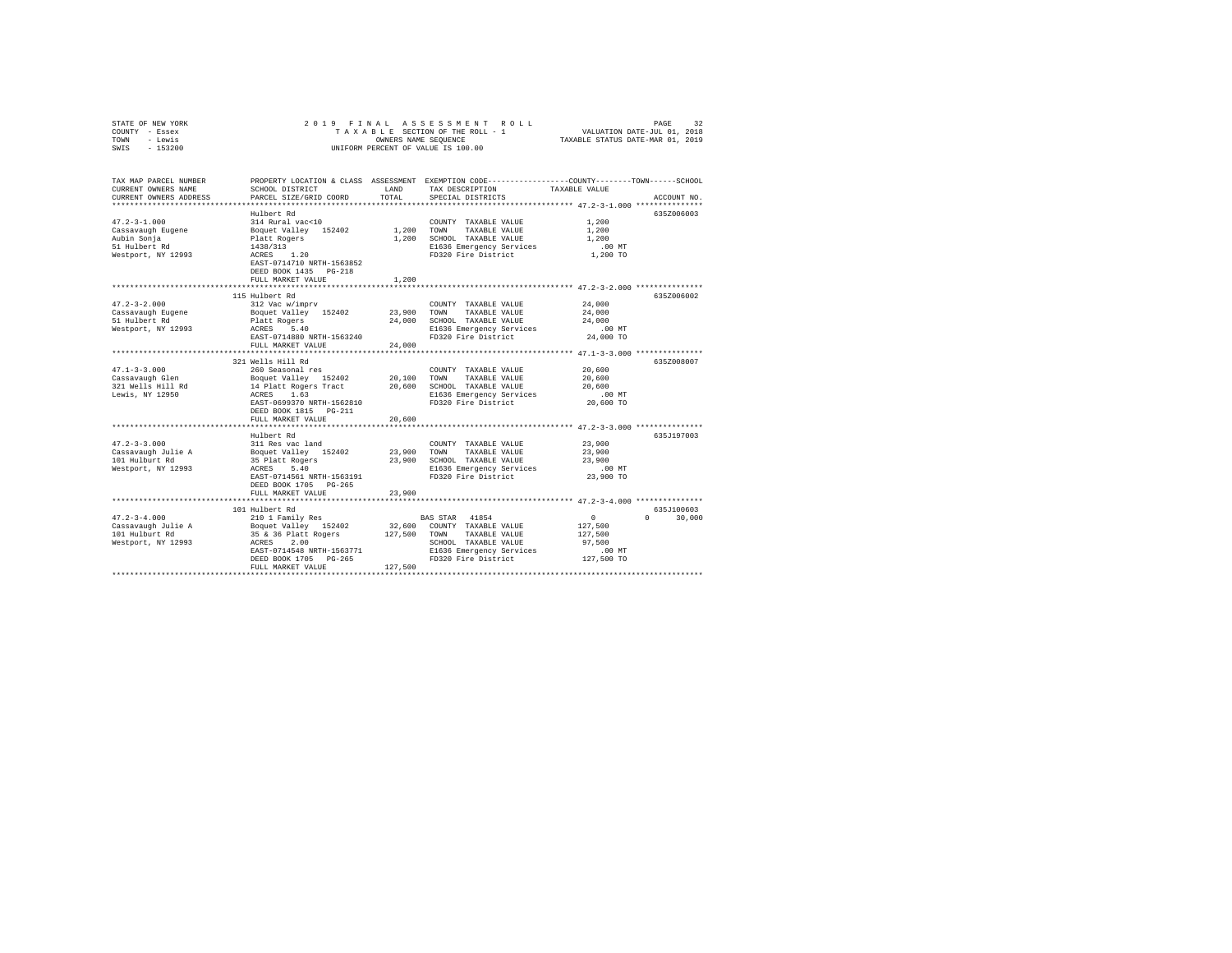| STATE OF NEW YORK                    | 2019 FINAL                                   |                   | ASSESSMENT ROLL                                                                                  |                                                                 | 32<br>PAGE            |
|--------------------------------------|----------------------------------------------|-------------------|--------------------------------------------------------------------------------------------------|-----------------------------------------------------------------|-----------------------|
| COUNTY - Essex                       |                                              |                   | TAXABLE SECTION OF THE ROLL - 1                                                                  |                                                                 |                       |
| TOWN<br>- Lewis                      |                                              |                   | OWNERS NAME SEQUENCE                                                                             | VALUATION DATE-JUL 01, 2018<br>TAXABLE STATUS DATE-MAR 01, 2019 |                       |
| $-153200$<br>SWIS                    |                                              |                   | UNIFORM PERCENT OF VALUE IS 100.00                                                               |                                                                 |                       |
|                                      |                                              |                   |                                                                                                  |                                                                 |                       |
| TAX MAP PARCEL NUMBER                |                                              |                   | PROPERTY LOCATION & CLASS ASSESSMENT EXEMPTION CODE----------------COUNTY-------TOWN------SCHOOL |                                                                 |                       |
| CURRENT OWNERS NAME                  | SCHOOL DISTRICT                              | LAND              | TAX DESCRIPTION                                                                                  | TAXABLE VALUE                                                   |                       |
| CURRENT OWNERS ADDRESS               | PARCEL SIZE/GRID COORD                       | TOTAL             | SPECIAL DISTRICTS                                                                                |                                                                 | ACCOUNT NO.           |
|                                      |                                              |                   |                                                                                                  |                                                                 |                       |
|                                      | Hulbert Rd                                   |                   |                                                                                                  |                                                                 | 635Z006003            |
| $47.2 - 3 - 1.000$                   | 314 Rural vac<10                             |                   | COUNTY TAXABLE VALUE                                                                             | 1,200                                                           |                       |
| Cassavaugh Eugene                    | Boquet Valley 152402                         | 1,200 TOWN        | TAXABLE VALUE                                                                                    | 1,200                                                           |                       |
| Aubin Sonja                          | Platt Rogers                                 |                   | 1,200 SCHOOL TAXABLE VALUE                                                                       | 1,200                                                           |                       |
| 51 Hulbert Rd                        | 1438/313                                     |                   | E1636 Emergency Services                                                                         | .00 MT                                                          |                       |
| Westport, NY 12993                   | ACRES 1.20                                   |                   | FD320 Fire District                                                                              | 1,200 TO                                                        |                       |
|                                      | EAST-0714710 NRTH-1563852                    |                   |                                                                                                  |                                                                 |                       |
|                                      | DEED BOOK 1435 PG-218                        |                   |                                                                                                  |                                                                 |                       |
|                                      | FULL MARKET VALUE                            | 1,200             |                                                                                                  |                                                                 |                       |
|                                      |                                              |                   |                                                                                                  | ************ 47.2-3-2.000 ****************                      |                       |
|                                      | 115 Hulbert Rd                               |                   |                                                                                                  |                                                                 | 635Z006002            |
| $47.2 - 3 - 2.000$                   | 312 Vac w/imprv                              |                   | COUNTY TAXABLE VALUE                                                                             | 24,000                                                          |                       |
| Cassavaugh Eugene                    | Boquet Valley 152402                         | 23,900            | TOWN<br>TAXABLE VALUE                                                                            | 24,000                                                          |                       |
| 51 Hulbert Rd                        | Platt Rogers                                 | 24,000            | SCHOOL TAXABLE VALUE                                                                             | 24,000                                                          |                       |
| Westport, NY 12993                   | ACRES 5.40                                   |                   | E1636 Emergency Services<br>FD320 Fire District                                                  | $.00$ MT                                                        |                       |
|                                      | EAST-0714880 NRTH-1563240                    |                   |                                                                                                  | 24,000 TO                                                       |                       |
|                                      | FULL MARKET VALUE                            | 24,000            |                                                                                                  |                                                                 |                       |
|                                      |                                              |                   |                                                                                                  |                                                                 |                       |
|                                      | 321 Wells Hill Rd                            |                   |                                                                                                  |                                                                 | 635Z008007            |
| $47.1 - 3 - 3.000$                   | 260 Seasonal res                             |                   | COUNTY TAXABLE VALUE                                                                             | 20,600                                                          |                       |
| Cassavaugh Glen                      | Boquet Valley 152402                         | 20,100            | TOWN<br>TAXABLE VALUE                                                                            | 20,600                                                          |                       |
| 321 Wells Hill Rd                    | 14 Platt Rogers Tract                        | 20,600            | SCHOOL TAXABLE VALUE                                                                             | 20,600                                                          |                       |
| Lewis, NY 12950                      | ACRES<br>1.63                                |                   | E1636 Emergency Services                                                                         | $.00$ MT                                                        |                       |
|                                      | EAST-0699370 NRTH-1562810                    |                   | FD320 Fire District                                                                              | 20,600 TO                                                       |                       |
|                                      | DEED BOOK 1815 PG-211                        |                   |                                                                                                  |                                                                 |                       |
|                                      | FULL MARKET VALUE                            | 20,600            |                                                                                                  |                                                                 |                       |
|                                      |                                              |                   |                                                                                                  |                                                                 |                       |
|                                      | Hulbert Rd                                   |                   |                                                                                                  |                                                                 | 635J197003            |
| $47.2 - 3 - 3.000$                   | 311 Res vac land                             |                   | COUNTY TAXABLE VALUE                                                                             | 23,900                                                          |                       |
| Cassavaugh Julie A                   | Boquet Valley 152402                         | 23,900            | TOWN<br>TAXABLE VALUE                                                                            | 23,900                                                          |                       |
| 101 Hulburt Rd                       | 35 Platt Rogers                              | 23,900            | SCHOOL TAXABLE VALUE                                                                             | 23,900                                                          |                       |
| Westport, NY 12993                   | ACRES 5.40                                   |                   | E1636 Emergency Services<br>FD320 Fire District                                                  | $.00$ MT                                                        |                       |
|                                      | EAST-0714561 NRTH-1563191                    |                   |                                                                                                  | 23,900 TO                                                       |                       |
|                                      | DEED BOOK 1705 PG-265                        |                   |                                                                                                  |                                                                 |                       |
|                                      | FULL MARKET VALUE                            | 23,900            |                                                                                                  |                                                                 |                       |
|                                      | 101 Hulbert Rd                               |                   |                                                                                                  |                                                                 | 635J100603            |
|                                      |                                              |                   |                                                                                                  | $\circ$                                                         | $\Omega$ and $\Omega$ |
| $47.2 - 3 - 4.000$                   | 210 1 Family Res                             |                   | BAS STAR 41854                                                                                   |                                                                 | 30,000                |
| Cassavaugh Julie A<br>101 Hulburt Rd | Boquet Valley 152402<br>35 & 36 Platt Rogers | 32,600<br>127,500 | COUNTY TAXABLE VALUE<br>TOWN TAXABLE VALUE                                                       | 127,500<br>127,500                                              |                       |
| Westport, NY 12993                   | ACRES<br>2.00                                |                   |                                                                                                  | 97.500                                                          |                       |
|                                      | EAST-0714548 NRTH-1563771                    |                   | SCHOOL TAXABLE VALUE<br>E1636 Emergency Services                                                 | .00MT                                                           |                       |
|                                      | DEED BOOK 1705 PG-265                        |                   | FD320 Fire District                                                                              | 127,500 TO                                                      |                       |
|                                      | FULL MARKET VALUE                            | 127,500           |                                                                                                  |                                                                 |                       |
|                                      |                                              |                   |                                                                                                  |                                                                 |                       |
|                                      |                                              |                   |                                                                                                  |                                                                 |                       |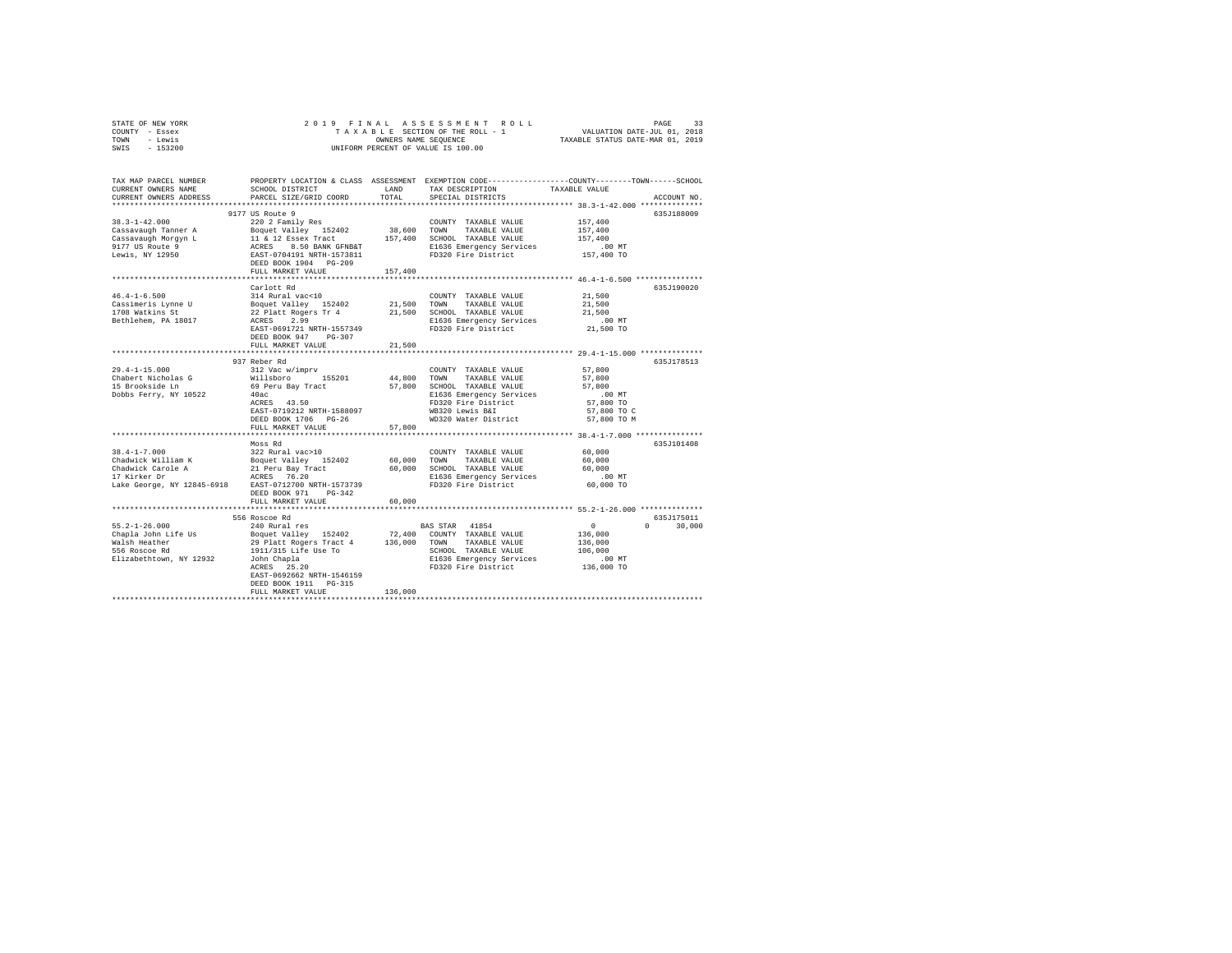| TOWN<br>- Lewis<br>SWIS - 153200                                                                                                                                                                                              | UNIFORM PERCENT OF VALUE IS 100.00                                                             | TAXABLE STATUS DATE-MAR 01, 2019 |                                                                |                                                        |               |
|-------------------------------------------------------------------------------------------------------------------------------------------------------------------------------------------------------------------------------|------------------------------------------------------------------------------------------------|----------------------------------|----------------------------------------------------------------|--------------------------------------------------------|---------------|
| TAX MAP PARCEL NUMBER                                                                                                                                                                                                         | PROPERTY LOCATION & CLASS ASSESSMENT EXEMPTION CODE---------------COUNTY-------TOWN-----SCHOOL |                                  |                                                                |                                                        |               |
| CURRENT OWNERS NAME                                                                                                                                                                                                           | SCHOOL DISTRICT                                                                                | LAND                             | TAX DESCRIPTION                                                | TAXABLE VALUE                                          |               |
| CURRENT OWNERS ADDRESS                                                                                                                                                                                                        | PARCEL SIZE/GRID COORD                                                                         | TOTAL                            | SPECIAL DISTRICTS                                              |                                                        | ACCOUNT NO.   |
|                                                                                                                                                                                                                               | 9177 US Route 9                                                                                |                                  |                                                                |                                                        | 635J188009    |
| $38.3 - 1 - 42.000$                                                                                                                                                                                                           | 220 2 Family Res                                                                               |                                  | COUNTY TAXABLE VALUE                                           | 157,400                                                |               |
| Cassavaugh Tanner A                                                                                                                                                                                                           |                                                                                                | 38,600 TOWN                      | TAXABLE VALUE                                                  | 157,400                                                |               |
| Cassavaugh Morgyn L                                                                                                                                                                                                           | Boquet Valley 152402<br>11 & 12 Essex Tract<br>ACRES 8.50 BANK GFNB&T                          |                                  | 157,400 SCHOOL TAXABLE VALUE                                   | 157,400                                                |               |
| 9177 US Route 9                                                                                                                                                                                                               |                                                                                                |                                  | E1636 Emergency Services                                       | .00 MT                                                 |               |
| Lewis, NY 12950                                                                                                                                                                                                               | EAST-0704191 NRTH-1573811                                                                      |                                  | FD320 Fire District                                            | 157,400 TO                                             |               |
|                                                                                                                                                                                                                               | DEED BOOK 1904 PG-209                                                                          |                                  |                                                                |                                                        |               |
|                                                                                                                                                                                                                               | FULL MARKET VALUE                                                                              | 157,400                          |                                                                |                                                        |               |
|                                                                                                                                                                                                                               | Carlott Rd                                                                                     |                                  |                                                                |                                                        | 635.T190020   |
| $46.4 - 1 - 6.500$                                                                                                                                                                                                            | 314 Rural vac<10                                                                               |                                  | COUNTY TAXABLE VALUE                                           | 21,500                                                 |               |
| Cassimeris Lynne U                                                                                                                                                                                                            | Boquet Valley 152402                                                                           | 21,500                           | TOWN<br>TAXABLE VALUE                                          | 21,500                                                 |               |
| 1708 Watkins St                                                                                                                                                                                                               | 22 Platt Rogers Tr 4 21,500<br>ACRES 2.99                                                      |                                  | SCHOOL TAXABLE VALUE                                           | 21,500                                                 |               |
| Bethlehem, PA 18017                                                                                                                                                                                                           |                                                                                                |                                  | E1636 Emergency Services                                       | .00MT                                                  |               |
|                                                                                                                                                                                                                               | EAST-0691721 NRTH-1557349                                                                      |                                  | FD320 Fire District                                            | 21,500 TO                                              |               |
|                                                                                                                                                                                                                               | DEED BOOK 947 PG-307                                                                           |                                  |                                                                |                                                        |               |
|                                                                                                                                                                                                                               | FULL MARKET VALUE<br>*************************                                                 | 21,500                           | ******************************** 29.4-1-15.000 *************** |                                                        |               |
|                                                                                                                                                                                                                               | 937 Reber Rd                                                                                   |                                  |                                                                |                                                        | 635J178513    |
| $29.4 - 1 - 15.000$                                                                                                                                                                                                           | 312 Vac w/imprv                                                                                |                                  | COUNTY TAXABLE VALUE                                           | 57,800                                                 |               |
| Chabert Nicholas G                                                                                                                                                                                                            | Willsboro 155201                                                                               | 44,800 TOWN                      | TAXABLE VALUE                                                  | 57,800                                                 |               |
| 15 Brookside Ln                                                                                                                                                                                                               | 69 Peru Bay Tract                                                                              | 57,800                           | SCHOOL TAXABLE VALUE                                           | 57,800                                                 |               |
| Dobbs Ferry, NY 10522                                                                                                                                                                                                         | 40ac                                                                                           |                                  | E1636 Emergency Services                                       | $.00$ MT                                               |               |
|                                                                                                                                                                                                                               | ACRES 43.50                                                                                    |                                  | FD320 Fire District                                            | 57,800 TO                                              |               |
|                                                                                                                                                                                                                               | EAST-0719212 NRTH-1588097<br>DEED BOOK 1706 PG-26                                              |                                  | WB320 Lewis B&I<br>WD320 Water District                        | 57,800 TO C<br>57,800 TO M                             |               |
|                                                                                                                                                                                                                               | FULL MARKET VALUE                                                                              | 57,800                           |                                                                |                                                        |               |
|                                                                                                                                                                                                                               |                                                                                                |                                  |                                                                |                                                        |               |
|                                                                                                                                                                                                                               | Moss Rd                                                                                        |                                  |                                                                |                                                        | 635J101408    |
| $38.4 - 1 - 7.000$                                                                                                                                                                                                            | 322 Rural vac>10                                                                               |                                  | COUNTY TAXABLE VALUE                                           | 60,000                                                 |               |
|                                                                                                                                                                                                                               |                                                                                                |                                  |                                                                | 60,000                                                 |               |
| University of the services of the services of the services of the services of the services of the services of the services of the services of the services of the services of the services of the services of the services of |                                                                                                |                                  |                                                                | 60,000                                                 |               |
|                                                                                                                                                                                                                               |                                                                                                |                                  |                                                                | $.00$ MT                                               |               |
| Lake George, NY 12845-6918 EAST-0712700 NRTH-1573739                                                                                                                                                                          | DEED BOOK 971 PG-342                                                                           |                                  | FD320 Fire District                                            | 60,000 TO                                              |               |
|                                                                                                                                                                                                                               | FULL MARKET VALUE                                                                              | 60,000                           |                                                                |                                                        |               |
|                                                                                                                                                                                                                               | *************************                                                                      |                                  |                                                                | ************************* 55.2-1-26.000 ************** |               |
|                                                                                                                                                                                                                               | 556 Roscoe Rd                                                                                  |                                  |                                                                |                                                        | 635J175011    |
| $55.2 - 1 - 26.000$                                                                                                                                                                                                           | 240 Rural res                                                                                  |                                  | BAS STAR 41854                                                 | $\sim$ 0                                               | $0 \t 30.000$ |
| Chapla John Life Us                                                                                                                                                                                                           | 240 Kurai 150<br>Boquet Valley 152402 72,400 COUNTY<br>29 Platt Rogers Tract 4 136,000 TOWN    |                                  | 72,400 COUNTY TAXABLE VALUE                                    | 136,000                                                |               |
| Walsh Heather<br>556 Roscoe Rd                                                                                                                                                                                                |                                                                                                |                                  | TAXABLE VALUE                                                  | 136,000                                                |               |
|                                                                                                                                                                                                                               | 1911/315 Life Use To<br>1911/315 Life one<br>John Chapla<br>- 25.20                            |                                  | SCHOOL TAXABLE VALUE                                           | 106,000                                                |               |
| Elizabethtown, NY 12932                                                                                                                                                                                                       |                                                                                                |                                  | E1636 Emergency Services<br>FD320 Fire District                | .00 MT<br>136,000 TO                                   |               |
|                                                                                                                                                                                                                               | EAST-0692662 NRTH-1546159                                                                      |                                  |                                                                |                                                        |               |
|                                                                                                                                                                                                                               | DEED BOOK 1911    PG-315                                                                       |                                  |                                                                |                                                        |               |
|                                                                                                                                                                                                                               | FULL MARKET VALUE                                                                              | 136,000                          |                                                                |                                                        |               |
|                                                                                                                                                                                                                               |                                                                                                |                                  |                                                                |                                                        |               |

STATE OF NEW YORK 2 0 1 9 F I N A L A S S E S S M E N T R O L L PAGE 33 COUNTY - Essex T A X A B L E SECTION OF THE ROLL - 1 VALUATION DATE-JUL 01, 2018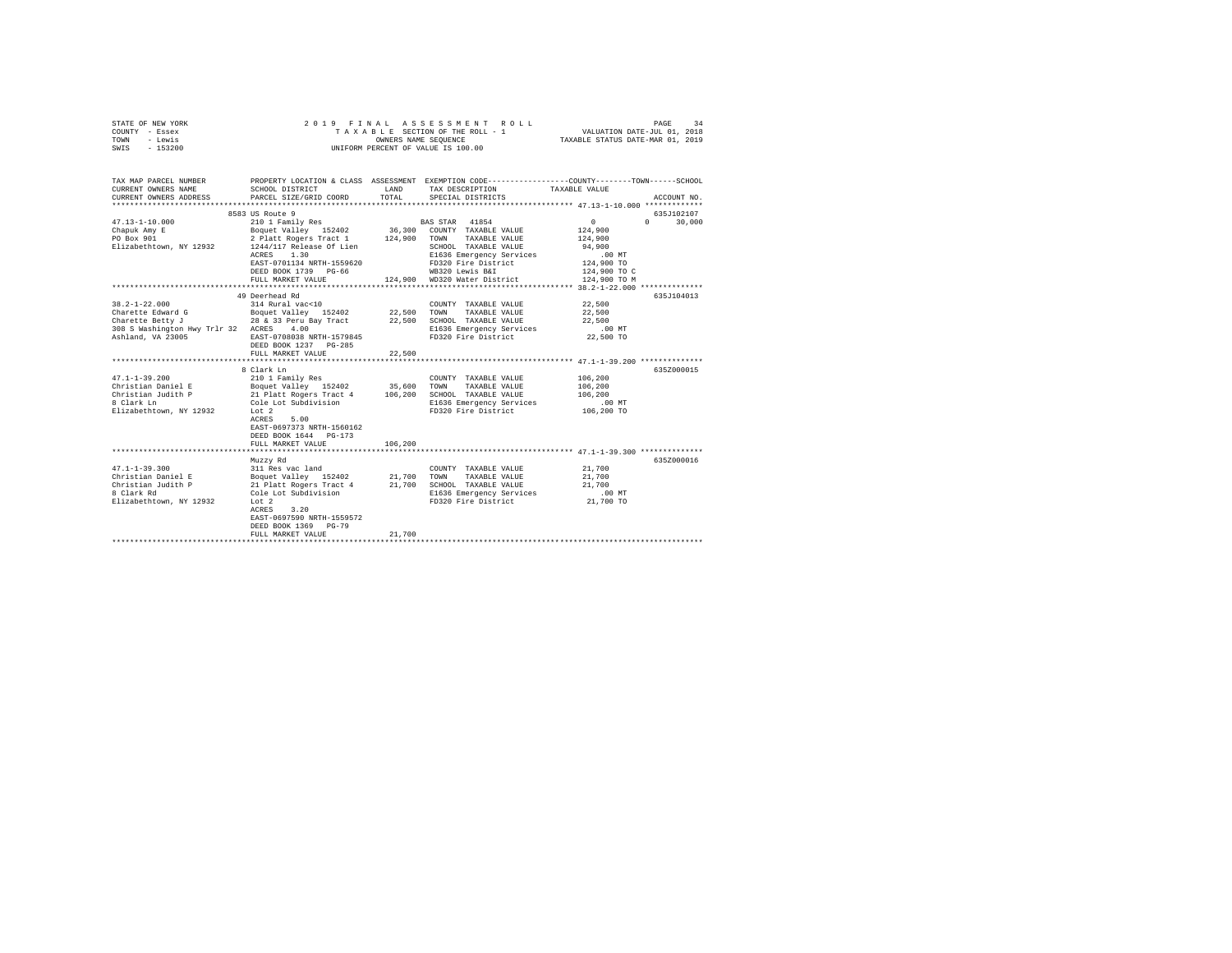| STATE OF NEW YORK<br>COUNTY - Essex<br>TOWN<br>- Lewis<br>SWIS - 153200                                                                                                                                                                  | 2019 FINAL                                                                                                                                                                                                                                                                                                                                                                            | OWNERS NAME SEOUENCE                             | ASSESSMENT ROLL<br>TAXABLE SECTION OF THE ROLL - 1<br>UNIFORM PERCENT OF VALUE IS 100.00                                                                                                                                                             | PAGE<br>VALUATION DATE-JUL 01, 2018<br>TAXABLE STATUS DATE-MAR 01, 2019                                                                    | 34 |
|------------------------------------------------------------------------------------------------------------------------------------------------------------------------------------------------------------------------------------------|---------------------------------------------------------------------------------------------------------------------------------------------------------------------------------------------------------------------------------------------------------------------------------------------------------------------------------------------------------------------------------------|--------------------------------------------------|------------------------------------------------------------------------------------------------------------------------------------------------------------------------------------------------------------------------------------------------------|--------------------------------------------------------------------------------------------------------------------------------------------|----|
| TAX MAP PARCEL NUMBER<br>CURRENT OWNERS NAME<br>CURRENT OWNERS ADDRESS                                                                                                                                                                   | SCHOOL DISTRICT<br>PARCEL SIZE/GRID COORD                                                                                                                                                                                                                                                                                                                                             | LAND<br>TOTAL                                    | TAX DESCRIPTION<br>SPECIAL DISTRICTS                                                                                                                                                                                                                 | PROPERTY LOCATION & CLASS ASSESSMENT EXEMPTION CODE---------------COUNTY-------TOWN------SCHOOL<br>TAXABLE VALUE<br>ACCOUNT NO.            |    |
|                                                                                                                                                                                                                                          |                                                                                                                                                                                                                                                                                                                                                                                       |                                                  |                                                                                                                                                                                                                                                      |                                                                                                                                            |    |
|                                                                                                                                                                                                                                          | 8583 US Route 9                                                                                                                                                                                                                                                                                                                                                                       |                                                  |                                                                                                                                                                                                                                                      | 635J102107                                                                                                                                 |    |
| $47.13 - 1 - 10.000$<br>Chapuk Amy E<br>PO Box 901<br>Elizabethtown, NY 12932                                                                                                                                                            | 210 1 Family Res<br>Boquet Valley 152402<br>2 Platt Rogers Tract 1<br>1244/117 Release Of Lien<br>ACRES 1.30<br>EAST-0701134 NRTH-1559620<br>DEED BOOK 1739 PG-66<br>FULL MARKET VALUE                                                                                                                                                                                                |                                                  | BAS STAR 41854<br>36,300 COUNTY TAXABLE VALUE<br>124,900 TOWN TAXABLE VALUE<br>SCHOOL TAXABLE VALUE<br>E1636 Emergency Services<br>FD320 Fire District<br>WB320 Lewis B&I<br>124,900 WD320 Water District                                            | 0<br>$\mathbf{a}$<br>30,000<br>124,900<br>124,900<br>94,900<br>$.00$ MT<br>124,900 TO<br>124,900 TO C<br>124,900 TO M                      |    |
|                                                                                                                                                                                                                                          |                                                                                                                                                                                                                                                                                                                                                                                       |                                                  |                                                                                                                                                                                                                                                      |                                                                                                                                            |    |
| $38.2 - 1 - 22.000$<br>Charette Edward G<br>Charette Betty J<br>308 S Washington Hwy Trlr 32 ACRES 4.00<br>Ashland, VA 23005<br>$47.1 - 1 - 39.200$<br>Christian Daniel E<br>Christian Judith P<br>8 Clark Ln<br>Elizabethtown, NY 12932 | 49 Deerhead Rd<br>314 Rural vac<10<br>Boquet Valley 152402<br>28 & 33 Peru Bay Tract 22,500<br>EAST-0708038 NRTH-1579845<br>DEED BOOK 1237 PG-285<br>FULL MARKET VALUE<br>8 Clark Ln<br>210 1 Family Res<br>Boquet Valley 152402<br>21 Platt Rogers Tract 4<br>Cole Lot Subdivision<br>Lot 2<br>ACRES 5.00<br>EAST-0697373 NRTH-1560162<br>DEED BOOK 1644 PG-173<br>FULL MARKET VALUE | 22,500<br>22,500<br>35,600<br>106,200<br>106,200 | COUNTY TAXABLE VALUE<br>TOWN<br>TAXABLE VALUE<br>SCHOOL TAXABLE VALUE<br>E1636 Emergency Services<br>FD320 Fire District<br>COUNTY TAXABLE VALUE<br>TOWN<br>TAXABLE VALUE<br>SCHOOL TAXABLE VALUE<br>E1636 Emergency Services<br>FD320 Fire District | 635J104013<br>22,500<br>22,500<br>22,500<br>$.00$ MT<br>22,500 TO<br>635Z000015<br>106,200<br>106,200<br>106,200<br>$.00$ MT<br>106,200 TO |    |
| $47.1 - 1 - 39.300$<br>Christian Daniel E<br>Christian Judith P<br>8 Clark Rd<br>Elizabethtown, NY 12932                                                                                                                                 | ************************<br>Muzzy Rd<br>311 Res vac land<br>Boquet Valley 152402<br>21 Platt Rogers Tract 4<br>Cole Lot Subdivision<br>Lot 2<br>ACRES<br>3.20<br>EAST-0697590 NRTH-1559572<br>DEED BOOK 1369 PG-79<br>FULL MARKET VALUE<br>***********************                                                                                                                    | 21,700<br>21,700<br>21,700                       | COUNTY TAXABLE VALUE<br>TAXABLE VALUE<br>TOWN<br>SCHOOL TAXABLE VALUE<br>E1636 Emergency Services<br>FD320 Fire District                                                                                                                             | ********************************** 47.1-1-39.300 **************<br>635Z000016<br>21,700<br>21,700<br>21,700<br>$.00$ MT<br>21,700 TO       |    |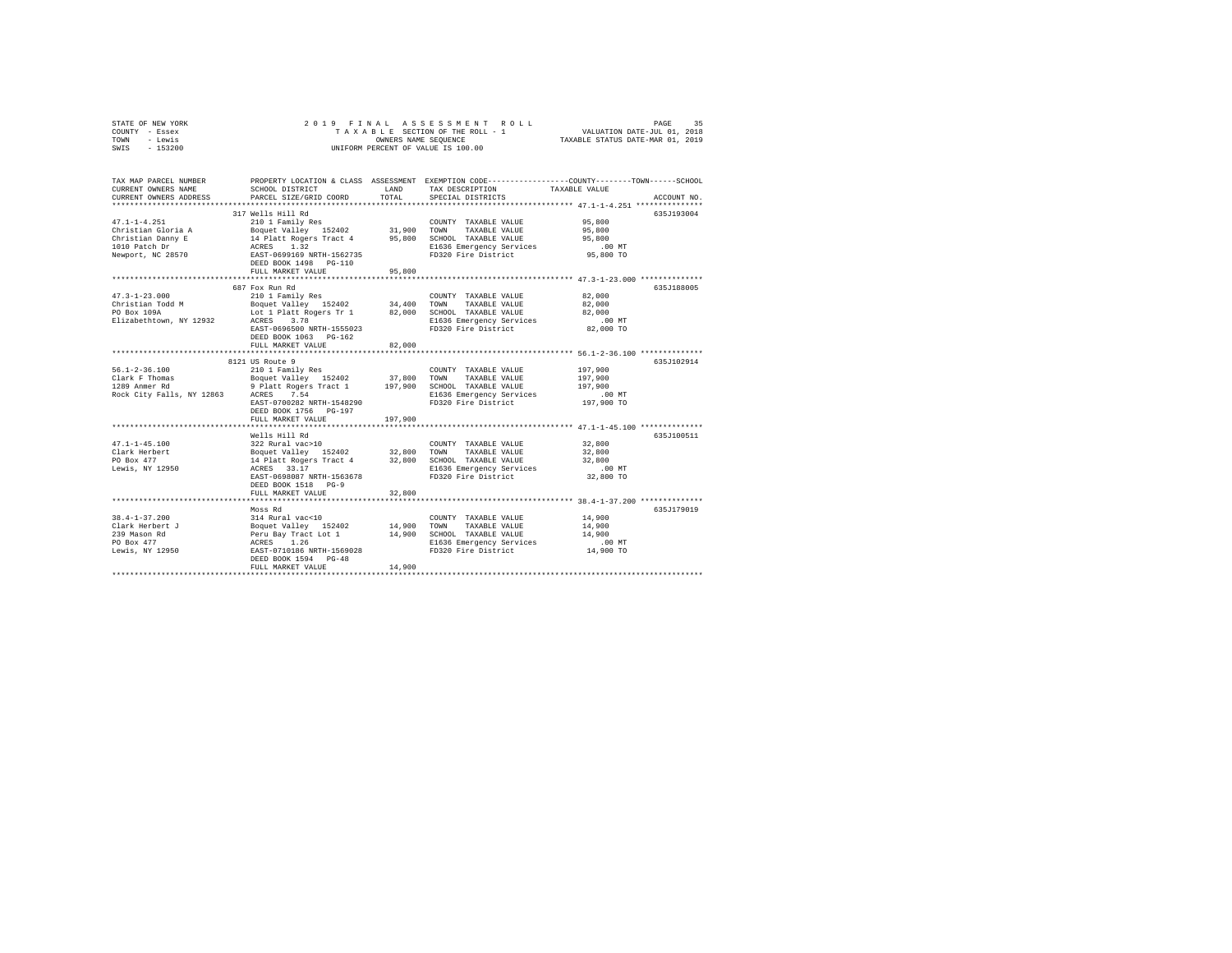| STATE OF NEW YORK<br>- Essex<br>COUNTY<br>- Lewis<br>TOWN<br>$-153200$<br>SWIS                      |                                                                                                                                        |                    | 2019 FINAL ASSESSMENT ROLL<br>TAXABLE SECTION OF THE ROLL - 1<br>OWNERS NAME SEOUENCE<br>UNIFORM PERCENT OF VALUE IS 100.00    | VALUATION DATE-JUL 01, 2018<br>TAXABLE STATUS DATE-MAR 01, 2019 | 35<br>PAGE  |
|-----------------------------------------------------------------------------------------------------|----------------------------------------------------------------------------------------------------------------------------------------|--------------------|--------------------------------------------------------------------------------------------------------------------------------|-----------------------------------------------------------------|-------------|
| TAX MAP PARCEL NUMBER<br>CURRENT OWNERS NAME                                                        | PROPERTY LOCATION & CLASS<br>SCHOOL DISTRICT<br>CURRENT OWNERS ADDRESS PARCEL SIZE/GRID COORD TOTAL                                    | ASSESSMENT<br>LAND | EXEMPTION CODE-----------------COUNTY-------TOWN------SCHOOL<br>TAX DESCRIPTION<br>SPECIAL DISTRICTS                           | TAXABLE VALUE                                                   | ACCOUNT NO. |
| $47.1 - 1 - 4.251$<br>Christian Gloria A<br>Christian Danny E<br>1010 Patch Dr<br>Newport, NC 28570 | 317 Wells Hill Rd<br>210 1 Family Res<br>Boquet Valley 152402<br>14 Platt Rogers Tract 4<br>1.32<br>ACRES<br>EAST-0699169 NRTH-1562735 | 31,900<br>95,800   | COUNTY<br>TAXABLE VALUE<br>TOWN<br>TAXABLE VALUE<br>SCHOOL<br>TAXABLE VALUE<br>E1636 Emergency Services<br>FD320 Fire District | 95,800<br>95,800<br>95,800<br>.00MT<br>95,800 TO                | 635J193004  |

| NCWPOLL, NG 20JIU                                                    | DEED BOOK 1498 PG-110<br>FULL MARKET VALUE                                                                                                                                              | 95,800  |                                                                                                                                                                                                                      | .                             |             |
|----------------------------------------------------------------------|-----------------------------------------------------------------------------------------------------------------------------------------------------------------------------------------|---------|----------------------------------------------------------------------------------------------------------------------------------------------------------------------------------------------------------------------|-------------------------------|-------------|
| $47.3 - 1 - 23.000$<br>PO Box 109A<br>Elizabethtown, NY 12932        | 687 Fox Run Rd<br>210 1 Family Res<br>Christian Todd M Boquet Valley 152402 34,400 TOWN<br>ACRES 3.78<br>EAST-0696500 NRTH-1555023<br>DEED BOOK 1063 PG-162<br>FULL MARKET VALUE 82,000 |         | COUNTY TAXABLE VALUE 82,000<br>TAXABLE VALUE<br>82,000<br>Lot 1 Platt Rogers Tr 1 82,000 SCHOOL TAXABLE VALUE<br>E1636 Emergency Services<br>FD320 Fire District                                                     | 82,000<br>.00 MT<br>82,000 TO | 635J188005  |
| $56.1 - 2 - 36.100$<br>Clark F Thomas                                | 8121 US Route 9<br>210 1 Family Res<br>Boquet Valley 152402 37,800 TOWN<br>EAST-0700282 NRTH-1548290<br>DEED BOOK 1756 PG-197<br>FULL MARKET VALUE                                      | 197,900 | COUNTY TAXABLE VALUE 197,900<br>TAXABLE VALUE 197,900<br>9 Platt Rogers Tract 1 197,900 SCHOOL TAXABLE VALUE 197,900<br>Rock City Falls, NY 12863 ACRES 7.54 Bl636 Emergency Services 197,900<br>FD320 Fire District | .00 MT<br>197,900 TO          | 635.7102914 |
| Clark Herbert<br>PO Box 477<br>Lewis, NY 12950                       | Wells Hill Rd<br>$47.1 - 1 - 45.100$ $322$ Rural vac > 10<br>Boquet Valley 152402 32,800 TOWN<br>ACRES 33.17<br>EAST-0698087 NRTH-1563678<br>DEED BOOK 1518 PG-9                        |         | COUNTY TAXABLE VALUE 32.800<br>TAXABLE VALUE 32,800<br>14 Platt Rogers Tract 4 32,800 SCHOOL TAXABLE VALUE 32,800<br>E1636 Emergency Services<br>FD320 Fire District                                                 | .00MT<br>32,800 TO            | 635J100511  |
| $38.4 - 1 - 37.200$<br>Clark Herbert J<br>239 Mason Rd<br>PO Box 477 | Moss Rd<br>314 Rural vac<10<br>Boquet Valley 152402 14,900 TOWN<br>ACRES 1.26<br>DEED BOOK 1594 PG-48<br>14,900<br>FULL MARKET VALUE                                                    |         | COUNTY TAXABLE VALUE<br>TAXABLE VALUE<br>Peru Bay Tract Lot 1 14,900 SCHOOL TAXABLE VALUE 14,900<br>E1636 Emergency Services<br>FD320 Fire District 14,900 TO                                                        | 14,900<br>14,900<br>$.00$ MT  | 635.7179019 |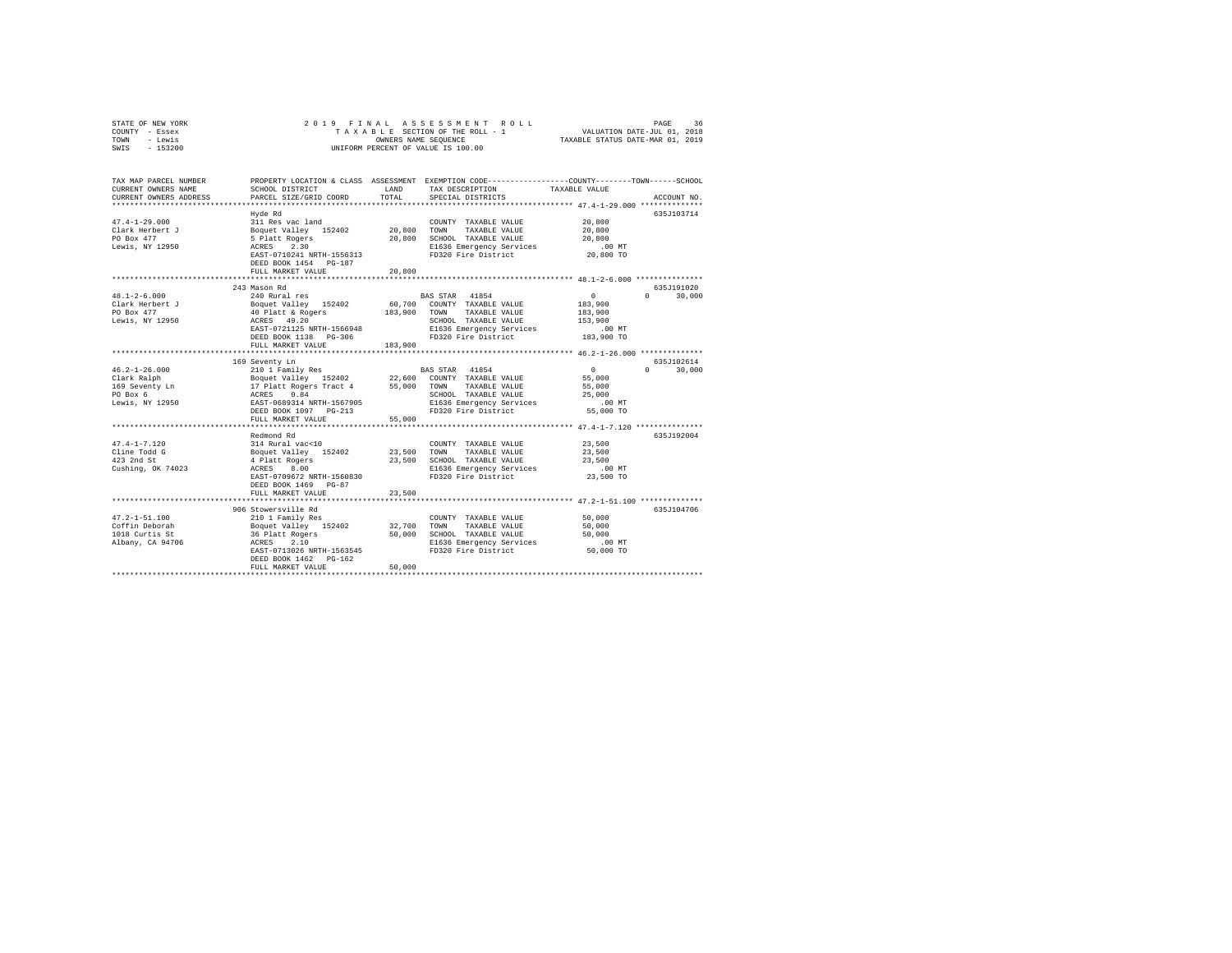|                | STATE OF NEW YORK |  |  | 2019 FINAL ASSESSMENT ROLL         |  |                                  | PAGE | 36 |
|----------------|-------------------|--|--|------------------------------------|--|----------------------------------|------|----|
| COUNTY - Essex |                   |  |  | TAXABLE SECTION OF THE ROLL - 1    |  | VALUATION DATE-JUL 01, 2018      |      |    |
| TOWN           | - Lewis           |  |  | OWNERS NAME SEOUENCE               |  | TAXABLE STATUS DATE-MAR 01, 2019 |      |    |
| SWTS           | - 153200          |  |  | UNIFORM PERCENT OF VALUE IS 100.00 |  |                                  |      |    |
|                |                   |  |  |                                    |  |                                  |      |    |

| TAX MAP PARCEL NUMBER  |                                                                                     |             | PROPERTY LOCATION & CLASS ASSESSMENT EXEMPTION CODE---------------COUNTY-------TOWN------SCHOOL                                                                                                                                      |                     |                                 |
|------------------------|-------------------------------------------------------------------------------------|-------------|--------------------------------------------------------------------------------------------------------------------------------------------------------------------------------------------------------------------------------------|---------------------|---------------------------------|
| CURRENT OWNERS NAME    | SCHOOL DISTRICT                                                                     | LAND        | TAX DESCRIPTION                                                                                                                                                                                                                      | TAXABLE VALUE       |                                 |
| CURRENT OWNERS ADDRESS | PARCEL SIZE/GRID COORD                                                              | TOTAL       | SPECIAL DISTRICTS                                                                                                                                                                                                                    |                     | ACCOUNT NO.                     |
|                        |                                                                                     |             |                                                                                                                                                                                                                                      |                     |                                 |
|                        | Hyde Rd                                                                             |             |                                                                                                                                                                                                                                      |                     | 635.T103714                     |
| $47.4 - 1 - 29.000$    | 311 Res vac land                                                                    |             | COUNTY TAXABLE VALUE 20,800                                                                                                                                                                                                          |                     |                                 |
| Clark Herbert J        | Boquet Valley 152402                                                                |             | 20,800 TOWN TAXABLE VALUE                                                                                                                                                                                                            | 20,800              |                                 |
| PO Box 477             | Boquet Valley 152402<br>5 Platt Rogers                                              |             | 20,800 SCHOOL TAXABLE VALUE                                                                                                                                                                                                          | 20,800              |                                 |
| Lewis, NY 12950        | ACRES 2.30                                                                          |             | E1636 Emergency Services<br>FD320 Fire District                                                                                                                                                                                      | $.00$ MT            |                                 |
|                        | EAST-0710241 NRTH-1556313                                                           |             |                                                                                                                                                                                                                                      | 20,800 TO           |                                 |
|                        | DEED BOOK 1454 PG-187                                                               |             |                                                                                                                                                                                                                                      |                     |                                 |
|                        | FULL MARKET VALUE                                                                   | 20,800      |                                                                                                                                                                                                                                      |                     |                                 |
|                        |                                                                                     |             |                                                                                                                                                                                                                                      |                     |                                 |
|                        | 243 Mason Rd                                                                        |             |                                                                                                                                                                                                                                      |                     | 635J191020                      |
| $48.1 - 2 - 6.000$     | 240 Rural res                                                                       |             | BAS STAR 41854                                                                                                                                                                                                                       | $\sim$ 0            | 30,000<br>$\cap$                |
| Clark Herbert J        | Boquet Valley 152402 60,700 COUNTY TAXABLE VALUE                                    |             |                                                                                                                                                                                                                                      | 183,900             |                                 |
| PO Box 477             |                                                                                     |             | TAXABLE VALUE                                                                                                                                                                                                                        | 183,900             |                                 |
| Lewis, NY 12950        | 40 Platt & Rogers 183,900 TOWN<br>ACRES 49.20 SCHOO                                 |             | SCHOOL TAXABLE VALUE                                                                                                                                                                                                                 | 153,900             |                                 |
|                        | EAST-0721125 NRTH-1566948                                                           |             | E1636 Emergency Services .00 MT                                                                                                                                                                                                      |                     |                                 |
|                        | DEED BOOK 1138 PG-306                                                               |             | FD320 Fire District                                                                                                                                                                                                                  | 183,900 TO          |                                 |
|                        | FULL MARKET VALUE                                                                   | 183,900     |                                                                                                                                                                                                                                      |                     |                                 |
|                        |                                                                                     |             |                                                                                                                                                                                                                                      |                     |                                 |
|                        | 169 Seventy Ln                                                                      |             |                                                                                                                                                                                                                                      |                     | 635.1102614                     |
| $46.2 - 1 - 26.000$    | 210 1 Family Res                                                                    |             | BAS STAR 41854                                                                                                                                                                                                                       | $\mathbf{0}$        | 30,000<br>$\Omega$ and $\Omega$ |
| Clark Ralph            |                                                                                     |             |                                                                                                                                                                                                                                      |                     |                                 |
| 169 Seventy Ln         |                                                                                     |             | 210 1 Family Res 210 22,600 COUNTY TAXABLE VALUE 55,000<br>17 Platt Rogers Tract 4 55,000 TOWN TAXABLE VALUE 55,000<br>17 Platt Rogers Tract 4 55,000 TOWN TAXABLE VALUE 55,000<br>RATE-0689314 NRTH-1567905 BCHOOL TAXABLE VALUE 25 |                     |                                 |
| PO Box 6               |                                                                                     |             |                                                                                                                                                                                                                                      |                     |                                 |
| Lewis, NY 12950        |                                                                                     |             |                                                                                                                                                                                                                                      | $.00$ MT            |                                 |
|                        |                                                                                     |             |                                                                                                                                                                                                                                      | 55,000 TO           |                                 |
|                        | FULL MARKET VALUE                                                                   | 55,000      |                                                                                                                                                                                                                                      |                     |                                 |
|                        |                                                                                     |             |                                                                                                                                                                                                                                      |                     |                                 |
|                        | Redmond Rd                                                                          |             |                                                                                                                                                                                                                                      |                     | 635J192004                      |
| $47.4 - 1 - 7.120$     | 314 Rural vac<10                                                                    |             | COUNTY TAXABLE VALUE                                                                                                                                                                                                                 | 23,500              |                                 |
| Cline Todd G           |                                                                                     |             | TAXABLE VALUE                                                                                                                                                                                                                        | 23,500              |                                 |
| 423 2nd St             |                                                                                     |             | 23,500 SCHOOL TAXABLE VALUE                                                                                                                                                                                                          | 23,500              |                                 |
| Cushing, OK 74023      | Boquet Valley 152402 23,500 TOWN<br>4 Platt Rogers 23,500 SCHOC<br>ACRES 8.00 B1636 |             | E1636 Emergency Services                                                                                                                                                                                                             | .00 MT              |                                 |
|                        | EAST-0709672 NRTH-1560830                                                           |             | FD320 Fire District                                                                                                                                                                                                                  | 23,500 TO           |                                 |
|                        | DEED BOOK 1469 PG-87                                                                |             |                                                                                                                                                                                                                                      |                     |                                 |
|                        | FULL MARKET VALUE                                                                   | 23,500      |                                                                                                                                                                                                                                      |                     |                                 |
|                        |                                                                                     |             |                                                                                                                                                                                                                                      |                     |                                 |
|                        | 906 Stowersville Rd                                                                 |             |                                                                                                                                                                                                                                      |                     | 635J104706                      |
| $47.2 - 1 - 51.100$    | 210 1 Family Res                                                                    |             | COUNTY TAXABLE VALUE                                                                                                                                                                                                                 | 50,000              |                                 |
| Coffin Deborah         |                                                                                     | 32,700 TOWN | TAXABLE VALUE                                                                                                                                                                                                                        | 50,000              |                                 |
| 1018 Curtis St         |                                                                                     |             | 50,000 SCHOOL TAXABLE VALUE                                                                                                                                                                                                          | 50,000              |                                 |
| Albany, CA 94706       | Boquet Valley 152402<br>36 Platt Rogers<br>ACRES 2.10                               |             | E1636 Emergency Services                                                                                                                                                                                                             |                     |                                 |
|                        | EAST-0713026 NRTH-1563545                                                           |             | FD320 Fire District                                                                                                                                                                                                                  | 00 MT.<br>50,000 TO |                                 |
|                        | DEED BOOK 1462 PG-162                                                               |             |                                                                                                                                                                                                                                      |                     |                                 |
|                        | FULL MARKET VALUE                                                                   | 50,000      |                                                                                                                                                                                                                                      |                     |                                 |
|                        |                                                                                     |             |                                                                                                                                                                                                                                      |                     |                                 |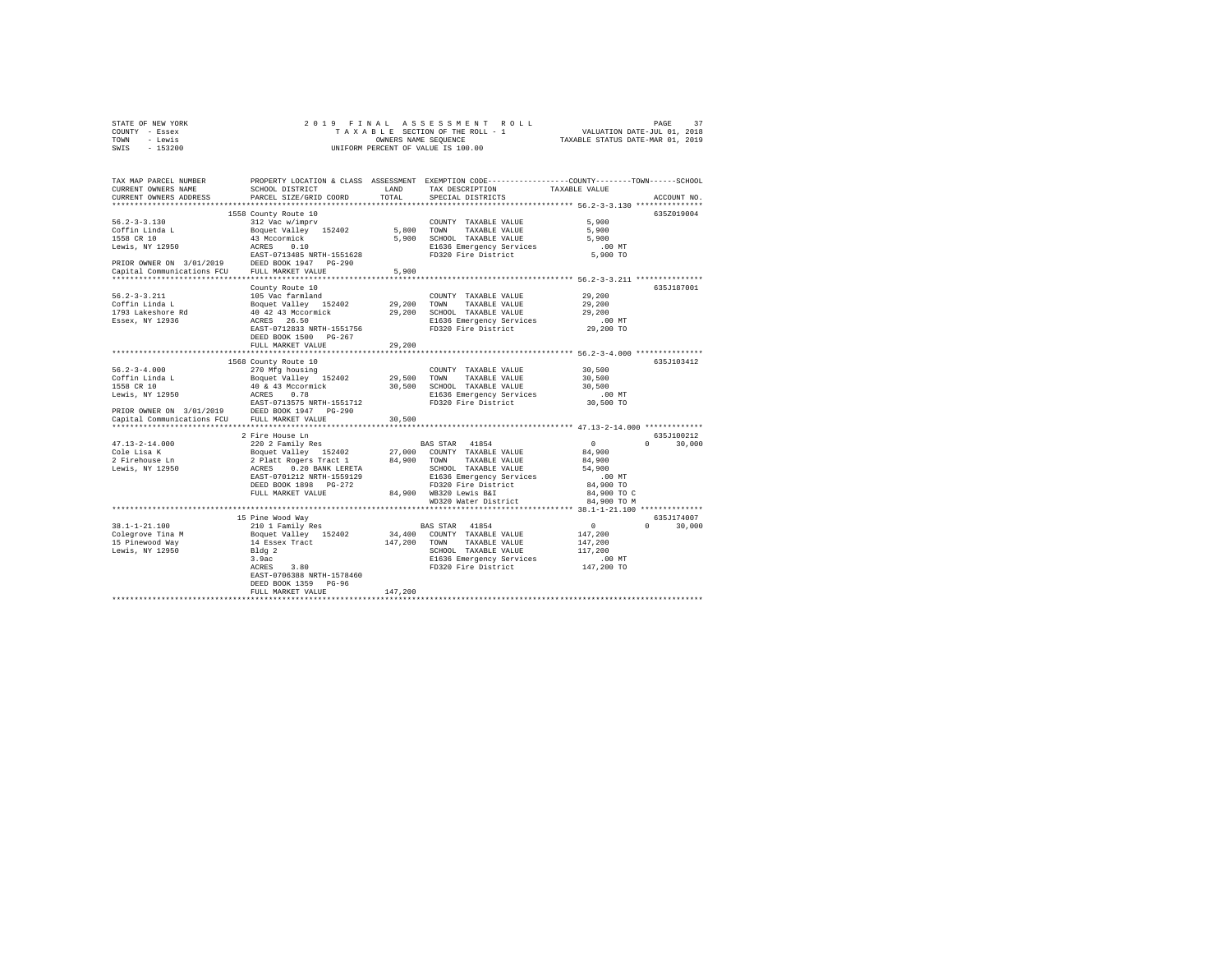| STATE OF NEW YORK | 2019 FINAL ASSESSMENT ROLL         | 37<br>PAGE                       |
|-------------------|------------------------------------|----------------------------------|
| COUNTY - Essex    | TAXABLE SECTION OF THE ROLL - 1    | VALUATION DATE-JUL 01, 2018      |
| TOWN<br>- Lewis   | OWNERS NAME SEOUENCE               | TAXABLE STATUS DATE-MAR 01, 2019 |
| $-153200$<br>SWIS | UNIFORM PERCENT OF VALUE IS 100.00 |                                  |

| TAX MAP PARCEL NUMBER<br>CURRENT OWNERS NAME                                | SCHOOL DISTRICT                                                                                                                                                | LAND       | TAX DESCRIPTION                                 | PROPERTY LOCATION & CLASS ASSESSMENT EXEMPTION CODE---------------COUNTY-------TOWN------SCHOOL<br>TAXABLE VALUE |
|-----------------------------------------------------------------------------|----------------------------------------------------------------------------------------------------------------------------------------------------------------|------------|-------------------------------------------------|------------------------------------------------------------------------------------------------------------------|
| CURRENT OWNERS ADDRESS                                                      | PARCEL SIZE/GRID COORD                                                                                                                                         | TOTAL      | SPECIAL DISTRICTS                               | ACCOUNT NO.                                                                                                      |
|                                                                             | 1558 County Route 10                                                                                                                                           |            |                                                 | 635Z019004                                                                                                       |
| $56.2 - 3 - 3.130$                                                          | 312 Vac w/imprv                                                                                                                                                |            | COUNTY TAXABLE VALUE                            | 5,900                                                                                                            |
| Coffin Linda L                                                              | Boquet Valley 152402                                                                                                                                           | 5,800 TOWN | TAXABLE VALUE                                   | 5,900                                                                                                            |
| 1558 CR 10                                                                  | 43 Mccormick                                                                                                                                                   |            | 5,900 SCHOOL TAXABLE VALUE                      | 5,900                                                                                                            |
| Lewis, NY 12950                                                             | ACRES 0.10                                                                                                                                                     |            | E1636 Emergency Services                        | $.00$ MT                                                                                                         |
|                                                                             |                                                                                                                                                                |            | FD320 Fire District                             | 5,900 TO                                                                                                         |
| EAST-0713485 NRTH-1551628<br>PRIOR OWNER ON 3/01/2019 DEED BOOK 1947 PG-290 |                                                                                                                                                                |            |                                                 |                                                                                                                  |
| Capital Communications FCU FULL MARKET VALUE                                |                                                                                                                                                                | 5,900      |                                                 |                                                                                                                  |
|                                                                             |                                                                                                                                                                |            |                                                 | ******************************** 56.2-3-3.211 **************                                                     |
|                                                                             | County Route 10                                                                                                                                                |            |                                                 | 635J187001                                                                                                       |
| $56.2 - 3 - 3.211$                                                          | 105 Vac farmland                                                                                                                                               |            | COUNTY TAXABLE VALUE                            | 29,200                                                                                                           |
| Coffin Linda L                                                              | Boquet Valley 152402                                                                                                                                           | 29,200     | TOWN<br>TAXABLE VALUE                           | 29,200                                                                                                           |
| 1793 Lakeshore Rd                                                           | 40 42 43 Mccormick<br>ACRES 26.50                                                                                                                              | 29,200     | SCHOOL TAXABLE VALUE                            | 29,200                                                                                                           |
| Essex, NY 12936                                                             |                                                                                                                                                                |            | E1636 Emergency Services<br>FD320 Fire District | $.00$ MT                                                                                                         |
|                                                                             | EAST-0712833 NRTH-1551756                                                                                                                                      |            |                                                 | 29,200 TO                                                                                                        |
|                                                                             | DEED BOOK 1500 PG-267                                                                                                                                          |            |                                                 |                                                                                                                  |
|                                                                             | FULL MARKET VALUE                                                                                                                                              | 29,200     |                                                 |                                                                                                                  |
|                                                                             |                                                                                                                                                                |            |                                                 |                                                                                                                  |
|                                                                             | 1568 County Route 10                                                                                                                                           |            |                                                 | 635J103412                                                                                                       |
| $56.2 - 3 - 4.000$                                                          | 270 Mfg housing                                                                                                                                                |            | COUNTY TAXABLE VALUE                            | 30,500                                                                                                           |
| Coffin Linda L                                                              | Boquet Valley 152402                                                                                                                                           | 29,500     | TOWN<br>TAXABLE VALUE                           | 30,500                                                                                                           |
| 1558 CR 10                                                                  | 40 & 43 Mccormick<br>ACRES 0.78                                                                                                                                | 30,500     | SCHOOL TAXABLE VALUE                            | 30,500                                                                                                           |
| Lewis, NY 12950                                                             |                                                                                                                                                                |            | E1636 Emergency Services                        | $.00$ MT                                                                                                         |
|                                                                             | EAST-0713575 NRTH-1551712                                                                                                                                      |            | FD320 Fire District                             | 30,500 TO                                                                                                        |
| PRIOR OWNER ON 3/01/2019 DEED BOOK 1947 PG-290                              |                                                                                                                                                                |            |                                                 |                                                                                                                  |
| Capital Communications FCU                                                  | FULL MARKET VALUE<br>**********************                                                                                                                    | 30,500     |                                                 |                                                                                                                  |
|                                                                             |                                                                                                                                                                |            |                                                 | *************************** 47.13-2-14.000 *************                                                         |
| $47.13 - 2 - 14.000$                                                        | 2 Fire House Ln<br>220 2 Family Res                                                                                                                            |            | BAS STAR 41854                                  | 635J100212<br>$\sim$ 0<br>$0 \t 30.000$                                                                          |
| Cole Lisa K                                                                 |                                                                                                                                                                |            | 27,000 COUNTY TAXABLE VALUE                     | 84,900                                                                                                           |
| 2 Firehouse Ln                                                              | 2007 - Maniley 152402 27,000 COUNTY TAXABLE VALUE<br>2 Platt Rogers Tract 1 84,900 TOUNTY TAXABLE VALUE<br>2 ACRES 0.20 BANK LERETA 24,900 TOUNN TAXABLE VALUE |            |                                                 | 84,900                                                                                                           |
| Lewis, NY 12950                                                             |                                                                                                                                                                |            | SCHOOL TAXABLE VALUE                            | 54,900                                                                                                           |
|                                                                             | EAST-0701212 NRTH-1559129                                                                                                                                      |            | E1636 Emergency Services                        | .00 MT                                                                                                           |
|                                                                             | DEED BOOK 1898 PG-272                                                                                                                                          |            | FD320 Fire District                             | 84,900 TO                                                                                                        |
|                                                                             | FULL MARKET VALUE                                                                                                                                              |            | 84.900 WB320 Lewis B&I                          | 84,900 TO C                                                                                                      |
|                                                                             |                                                                                                                                                                |            | WD320 Water District                            | 84,900 TO M                                                                                                      |
|                                                                             | **********************************                                                                                                                             |            |                                                 | **************** 38.1-1-21.100 **************                                                                    |
|                                                                             | 15 Pine Wood Way                                                                                                                                               |            |                                                 | 635J174007                                                                                                       |
| $38.1 - 1 - 21.100$                                                         |                                                                                                                                                                |            | BAS STAR 41854                                  | $\circ$<br>30,000<br>$\Omega$                                                                                    |
| Colegrove Tina M                                                            | 210 1 Family Res<br>Boquet Valley 152402                                                                                                                       |            | 34,400 COUNTY TAXABLE VALUE                     | 147,200                                                                                                          |
| 15 Pinewood Way                                                             | 14 Essex Tract                                                                                                                                                 |            | 147,200 TOWN TAXABLE VALUE                      | 147,200                                                                                                          |
| Lewis, NY 12950                                                             | Bldg <sub>2</sub>                                                                                                                                              |            | SCHOOL TAXABLE VALUE                            | 117,200                                                                                                          |
|                                                                             | 3.9ac                                                                                                                                                          |            | E1636 Emergency Services                        | .00 MT                                                                                                           |
|                                                                             | 3.80<br>ACRES                                                                                                                                                  |            | FD320 Fire District                             | 147,200 TO                                                                                                       |
|                                                                             | EAST-0706388 NRTH-1578460                                                                                                                                      |            |                                                 |                                                                                                                  |
|                                                                             | DEED BOOK 1359 PG-96                                                                                                                                           |            |                                                 |                                                                                                                  |
|                                                                             | FULL MARKET VALUE                                                                                                                                              | 147,200    |                                                 |                                                                                                                  |
|                                                                             |                                                                                                                                                                |            |                                                 |                                                                                                                  |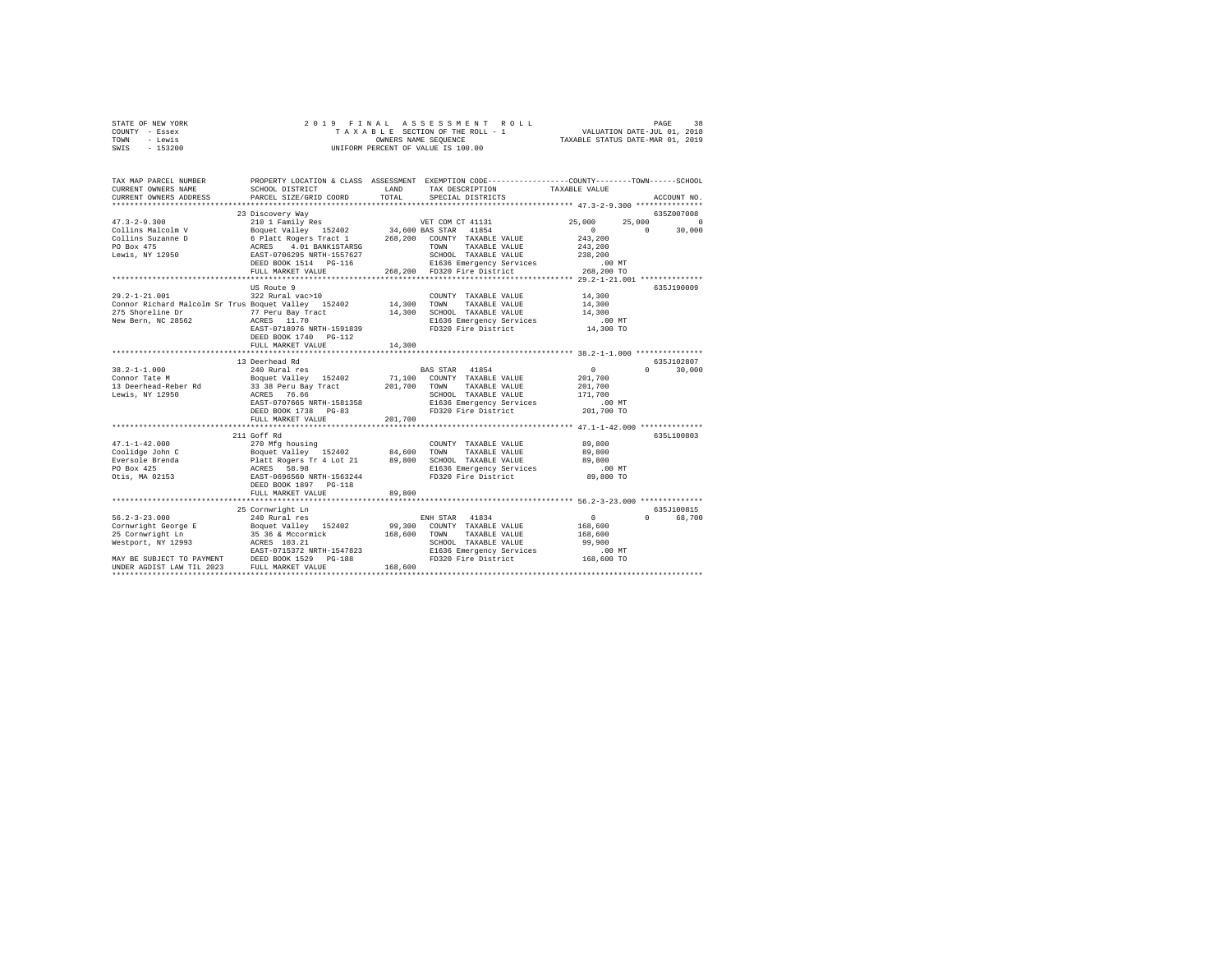| STATE OF NEW YORK | 2019 FINAL ASSESSMENT ROLL         | 38<br>PAGE                       |
|-------------------|------------------------------------|----------------------------------|
| COUNTY - Essex    | TAXABLE SECTION OF THE ROLL - 1    | VALUATION DATE-JUL 01, 2018      |
| TOWN<br>- Lewis   | OWNERS NAME SEOUENCE               | TAXABLE STATUS DATE-MAR 01, 2019 |
| $-153200$<br>SWIS | UNIFORM PERCENT OF VALUE IS 100.00 |                                  |

| TAX MAP PARCEL NUMBER<br>CURRENT OWNERS NAME<br>CURRENT OWNERS ADDRESS | SCHOOL DISTRICT<br>PARCEL SIZE/GRID COORD                                                                   | LAND<br>TOTAL | PROPERTY LOCATION & CLASS ASSESSMENT EXEMPTION CODE----------------COUNTY-------TOWN-----SCHOOL<br>TAX DESCRIPTION<br>SPECIAL DISTRICTS | TAXABLE VALUE | ACCOUNT NO.        |
|------------------------------------------------------------------------|-------------------------------------------------------------------------------------------------------------|---------------|-----------------------------------------------------------------------------------------------------------------------------------------|---------------|--------------------|
|                                                                        | 23 Discovery Way                                                                                            |               |                                                                                                                                         |               | 635Z007008         |
| $47.3 - 2 - 9.300$                                                     | 210 1 Family Res                                                                                            |               | VET COM CT 41131                                                                                                                        | 25,000        | 25,000<br>$\Omega$ |
| Collins Malcolm V                                                      | Boquet Valley 152402 34,600 BAS STAR 41854                                                                  |               |                                                                                                                                         | $\Omega$      | 30,000<br>$\Omega$ |
| Collins Suzanne D<br>Do Dov 475                                        |                                                                                                             |               |                                                                                                                                         | 243.200       |                    |
|                                                                        | Fiatt Rogers Tract 1 268,200 COUNTY TAXABLE VALUE ACRES 4.01 BAKELS AND TOWN TAXABLE VALUE REST 100 2011 11 |               |                                                                                                                                         | 243,200       |                    |
| Lewis, NY 12950                                                        |                                                                                                             |               |                                                                                                                                         | 238,200       |                    |
|                                                                        | DEED BOOK 1514   PG-116                                                                                     |               | E1636 Emergency Services                                                                                                                | $.00$ MT      |                    |
|                                                                        | FULL MARKET VALUE                                                                                           |               | 268,200 FD320 Fire District                                                                                                             | 268,200 TO    |                    |
|                                                                        | ***********************                                                                                     |               |                                                                                                                                         |               |                    |
|                                                                        | US Route 9                                                                                                  |               |                                                                                                                                         |               | 635J190009         |
| $29.2 - 1 - 21.001$                                                    | 322 Rural vac>10                                                                                            |               | COUNTY TAXABLE VALUE                                                                                                                    | 14,300        |                    |
| Connor Richard Malcolm Sr Trus Boquet Valley 152402                    |                                                                                                             |               | 14,300 TOWN<br>TAXABLE VALUE                                                                                                            | 14,300        |                    |
| 275 Shoreline Dr                                                       | 77 Peru Bay Tract                                                                                           |               | 14,300 SCHOOL TAXABLE VALUE                                                                                                             | 14,300        |                    |
| New Bern, NC 28562                                                     | ACRES 11.70                                                                                                 |               | E1636 Emergency Services                                                                                                                | .00 MT        |                    |
|                                                                        | EAST-0718976 NRTH-1591839                                                                                   |               | FD320 Fire District                                                                                                                     | 14,300 TO     |                    |
|                                                                        | DEED BOOK 1740 PG-112                                                                                       |               |                                                                                                                                         |               |                    |
|                                                                        | FULL MARKET VALUE                                                                                           | 14,300        |                                                                                                                                         |               |                    |
|                                                                        |                                                                                                             |               |                                                                                                                                         |               |                    |
|                                                                        | 13 Deerhead Rd                                                                                              |               |                                                                                                                                         |               | 635J102807         |
| $38.2 - 1 - 1.000$                                                     | 240 Rural res                                                                                               |               | BAS STAR 41854                                                                                                                          | $\sim$ 0      | $\Omega$<br>30,000 |
| Connor Tate M                                                          | Boquet Valley 152402                                                                                        |               | 71,100 COUNTY TAXABLE VALUE                                                                                                             | 201,700       |                    |
| 13 Deerhead-Reber Rd                                                   | 33 38 Peru Bay Tract 201,700 TOWN                                                                           |               | TAXABLE VALUE                                                                                                                           | 201,700       |                    |
| Lewis, NY 12950                                                        | ACRES 76.66                                                                                                 |               | SCHOOL TAXABLE VALUE                                                                                                                    | 171,700       |                    |
|                                                                        | EAST-0707665 NRTH-1581358                                                                                   |               | E1636 Emergency Services                                                                                                                | .00 MT        |                    |
|                                                                        | DEED BOOK 1738 PG-83                                                                                        |               | FD320 Fire District                                                                                                                     | 201,700 TO    |                    |
|                                                                        | FULL MARKET VALUE                                                                                           | 201,700       |                                                                                                                                         |               |                    |
|                                                                        |                                                                                                             |               |                                                                                                                                         |               |                    |
|                                                                        | 211 Goff Rd                                                                                                 |               |                                                                                                                                         |               | 6351100803         |
| $47.1 - 1 - 42.000$                                                    | 270 Mfg housing                                                                                             |               | COUNTY TAXABLE VALUE                                                                                                                    | 89,800        |                    |
| Coolidge John C                                                        |                                                                                                             |               | TOWN<br>TAXABLE VALUE                                                                                                                   | 89,800        |                    |
| Eversole Brenda                                                        |                                                                                                             |               | SCHOOL TAXABLE VALUE                                                                                                                    | 89,800        |                    |
| PO Box 425                                                             |                                                                                                             |               | E1636 Emergency Services                                                                                                                | $.00$ MT      |                    |
| Otis, MA 02153                                                         | Boquet Valley 152402 84,600<br>Platt Rogers Tr 4 Lot 21 89,800<br>ACRES 58.98<br>EAST-0696560 NRTH-1563244  |               | FD320 Fire District                                                                                                                     | 89,800 TO     |                    |
|                                                                        | DEED BOOK 1897 PG-118                                                                                       |               |                                                                                                                                         |               |                    |
|                                                                        | FULL MARKET VALUE                                                                                           | 89,800        |                                                                                                                                         |               |                    |
|                                                                        |                                                                                                             |               |                                                                                                                                         |               |                    |
|                                                                        | 25 Cornwright Ln                                                                                            |               |                                                                                                                                         |               | 635J100815         |
| $56.2 - 3 - 23.000$                                                    | 240 Rural res                                                                                               |               | ENH STAR 41834                                                                                                                          | $\circ$       | $\Omega$<br>68,700 |
| Cornwright George E                                                    | Boquet Valley 152402<br>35 36 & Mccormick                                                                   |               | 99,300 COUNTY TAXABLE VALUE                                                                                                             | 168,600       |                    |
| 25 Cornwright Ln                                                       |                                                                                                             | 168,600       | TOWN<br>TAXABLE VALUE                                                                                                                   | 168,600       |                    |
| Westport, NY 12993                                                     | ACRES 103.21                                                                                                |               | SCHOOL TAXABLE VALUE                                                                                                                    | 99,900        |                    |
|                                                                        | EAST-0715372 NRTH-1547823                                                                                   |               | E1636 Emergency Services                                                                                                                | $.00$ MT      |                    |
| MAY BE SUBJECT TO PAYMENT                                              | DEED BOOK 1529 PG-188                                                                                       |               | FD320 Fire District 168,600 TO                                                                                                          |               |                    |
|                                                                        | FULL MARKET VALUE                                                                                           | 168,600       |                                                                                                                                         |               |                    |
|                                                                        |                                                                                                             |               |                                                                                                                                         |               |                    |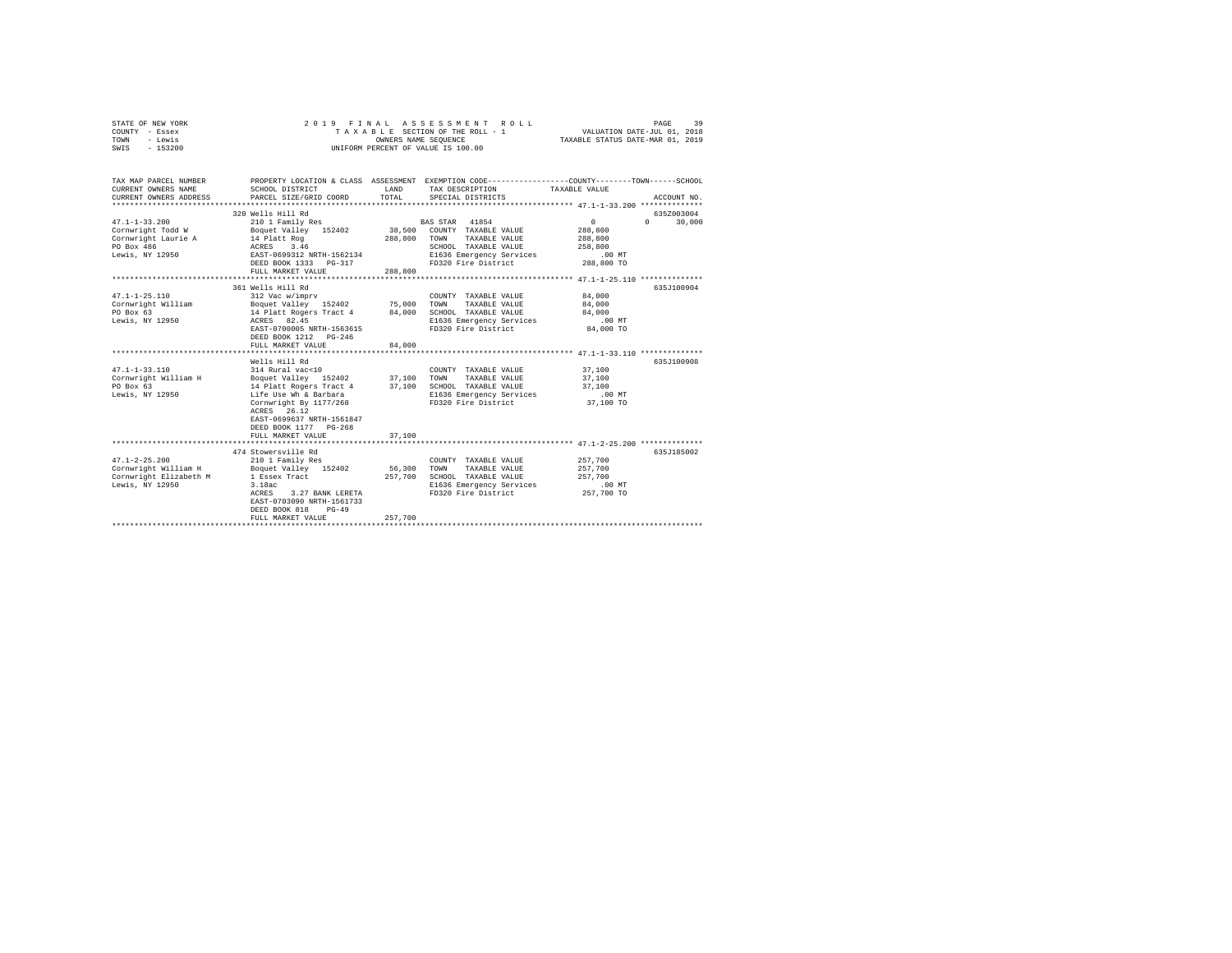| STATE OF NEW YORK<br>COUNTY - Essex<br>TOWN<br>- Lewis<br>SWIS<br>$-153200$                      | 2019 FINAL                                                                                                                                                                                                                        | OWNERS NAME SEQUENCE         | ASSESSMENT ROLL<br>TAXABLE SECTION OF THE ROLL - 1<br>UNIFORM PERCENT OF VALUE IS 100.00                                                               | VALUATION DATE-JUL 01, 2018<br>TAXABLE STATUS DATE-MAR 01, 2019   | 39<br>PAGE                  |
|--------------------------------------------------------------------------------------------------|-----------------------------------------------------------------------------------------------------------------------------------------------------------------------------------------------------------------------------------|------------------------------|--------------------------------------------------------------------------------------------------------------------------------------------------------|-------------------------------------------------------------------|-----------------------------|
| TAX MAP PARCEL NUMBER<br>CURRENT OWNERS NAME<br>CURRENT OWNERS ADDRESS                           | SCHOOL DISTRICT<br>PARCEL SIZE/GRID COORD                                                                                                                                                                                         | LAND<br>TOTAL                | PROPERTY LOCATION & CLASS ASSESSMENT EXEMPTION CODE---------------COUNTY-------TOWN------SCHOOL<br>TAX DESCRIPTION<br>SPECIAL DISTRICTS                | TAXABLE VALUE                                                     | ACCOUNT NO.                 |
| $47.1 - 1 - 33.200$<br>Cornwright Todd W<br>Cornwright Laurie A<br>PO Box 486<br>Lewis, NY 12950 | 320 Wells Hill Rd<br>210 1 Family Res<br>Boquet Valley 152402<br>14 Platt Rog<br>ACRES 3.46<br>EAST-0699312 NRTH-1562134<br>DEED BOOK 1333 PG-317<br>FULL MARKET VALUE                                                            | 288,800                      | BAS STAR 41854<br>38,500 COUNTY TAXABLE VALUE<br>288,800 TOWN TAXABLE VALUE<br>SCHOOL TAXABLE VALUE<br>E1636 Emergency Services<br>FD320 Fire District | $\sim$<br>288,800<br>288,800<br>258,800<br>$.00$ MT<br>288,800 TO | 635Z003004<br>$0 \t 30.000$ |
| $47.1 - 1 - 25.110$<br>Cornwright William<br>PO Box 63<br>Lewis, NY 12950                        | 361 Wells Hill Rd<br>312 Vac w/imprv<br>Boquet Valley 152402 75,000<br>14 Platt Rogers Tract 4 84,000<br>ACRES 82.45<br>EAST-0700005 NRTH-1563615<br>DEED BOOK 1212 PG-246<br>FULL MARKET VALUE                                   | 84,000                       | COUNTY TAXABLE VALUE<br>TOWN<br>TAXABLE VALUE<br>SCHOOL TAXABLE VALUE<br>E1636 Emergency Services<br>FD320 Fire District                               | 84,000<br>84,000<br>84,000<br>$.00$ MT<br>84,000 TO               | 635J100904                  |
| $47.1 - 1 - 33.110$<br>Cornwright William H<br>PO Box 63<br>Lewis, NY 12950                      | Wells Hill Rd<br>314 Rural vac<10<br>Boquet Valley 152402<br>14 Platt Rogers Tract 4<br>Life Use Wh & Barbara<br>Cornwright By 1177/268<br>ACRES 26.12<br>EAST-0699637 NRTH-1561847<br>DEED BOOK 1177 PG-268<br>FULL MARKET VALUE | 37,100<br>37,100<br>37,100   | COUNTY TAXABLE VALUE<br>TOWN<br>TAXABLE VALUE<br>SCHOOL TAXABLE VALUE<br>E1636 Emergency Services<br>FD320 Fire District                               | 37,100<br>37,100<br>37,100<br>$.00$ MT<br>37,100 TO               | 635J100908                  |
| $47.1 - 2 - 25.200$<br>Cornwright William H<br>Cornwright Elizabeth M<br>Lewis, NY 12950         | 474 Stowersville Rd<br>210 1 Family Res<br>Boquet Valley 152402<br>1 Essex Tract<br>3.18ac<br>3.27 BANK LERETA<br>ACRES<br>EAST-0703090 NRTH-1561733<br>DEED BOOK 818<br>$PG-49$<br>FULL MARKET VALUE                             | 56,300<br>257,700<br>257,700 | COUNTY TAXABLE VALUE<br>TOWN<br>TAXABLE VALUE<br>SCHOOL TAXABLE VALUE<br>E1636 Emergency Services<br>FD320 Fire District                               | 257,700<br>257,700<br>257,700<br>.00 MT<br>257,700 TO             | 635J185002                  |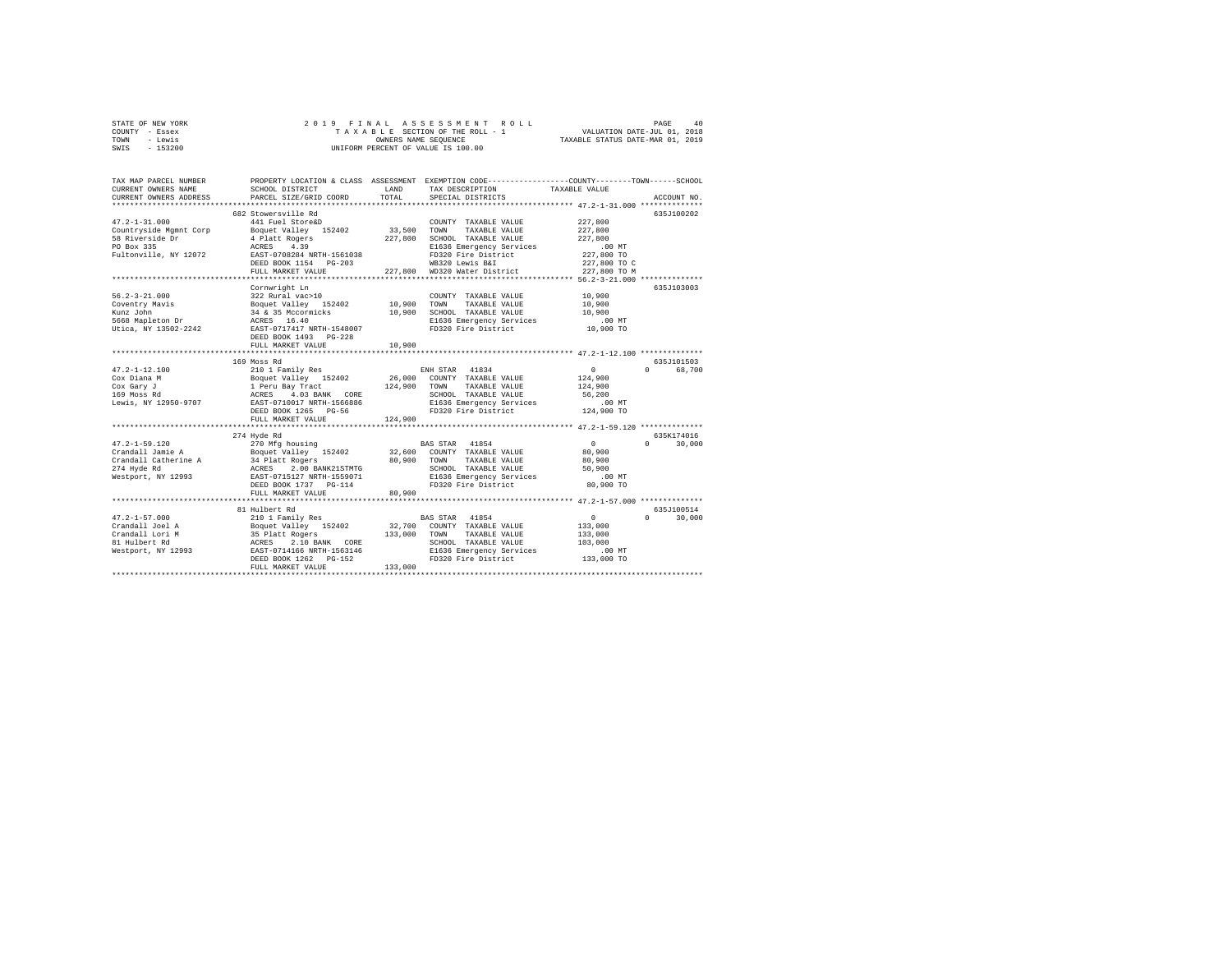| STATE OF NEW YORK | 2019 FINAL ASSESSMENT ROLL         | 40<br>PAGE                       |
|-------------------|------------------------------------|----------------------------------|
| COUNTY - Essex    | TAXABLE SECTION OF THE ROLL - 1    | VALUATION DATE-JUL 01, 2018      |
| TOWN<br>- Lewis   | OWNERS NAME SEOUENCE               | TAXABLE STATUS DATE-MAR 01, 2019 |
| $-153200$<br>SWIS | UNIFORM PERCENT OF VALUE IS 100.00 |                                  |

| TAX MAP PARCEL NUMBER<br>CURRENT OWNERS NAME         | SCHOOL DISTRICT                                                                              | LAND                               | PROPERTY LOCATION & CLASS ASSESSMENT EXEMPTION CODE----------------COUNTY-------TOWN------SCHOOL<br>TAX DESCRIPTION | TAXABLE VALUE                                |                    |
|------------------------------------------------------|----------------------------------------------------------------------------------------------|------------------------------------|---------------------------------------------------------------------------------------------------------------------|----------------------------------------------|--------------------|
| CURRENT OWNERS ADDRESS<br>************************** | PARCEL SIZE/GRID COORD                                                                       | TOTAL                              | SPECIAL DISTRICTS                                                                                                   |                                              | ACCOUNT NO.        |
|                                                      | 682 Stowersville Rd                                                                          |                                    |                                                                                                                     |                                              | 635J100202         |
| $47.2 - 1 - 31.000$                                  | 441 Fuel Store&D                                                                             |                                    | COUNTY TAXABLE VALUE                                                                                                | 227,800                                      |                    |
| Countryside Mqmnt Corp                               | Boquet Valley 152402                                                                         | 33,500                             | TOWN<br>TAXABLE VALUE                                                                                               | 227,800                                      |                    |
| 58 Riverside Dr                                      | 4 Platt Rogers                                                                               | 227,800                            | SCHOOL TAXABLE VALUE                                                                                                | 227,800                                      |                    |
| PO Box 335                                           | ACRES 4.39                                                                                   |                                    | E1636 Emergency Services                                                                                            | .00MT                                        |                    |
| Fultonville, NY 12072                                | EAST-0708284 NRTH-1561038                                                                    |                                    | FD320 Fire District                                                                                                 | 227,800 TO                                   |                    |
|                                                      | DEED BOOK 1154<br>$PG-203$                                                                   |                                    | WB320 Lewis B&I                                                                                                     | 227,800 TO C                                 |                    |
|                                                      | FULL MARKET VALUE                                                                            | 227,800                            | WD320 Water District                                                                                                | 227,800 TO M                                 |                    |
|                                                      | ************************                                                                     |                                    |                                                                                                                     |                                              |                    |
|                                                      | Cornwright Ln                                                                                |                                    |                                                                                                                     |                                              | 635J103003         |
| $56.2 - 3 - 21.000$                                  | 322 Rural vac>10                                                                             |                                    | COUNTY TAXABLE VALUE                                                                                                | 10,900                                       |                    |
| Coventry Mavis                                       | Boquet Valley 152402                                                                         | 10,900 TOWN                        | TAXABLE VALUE                                                                                                       | 10,900                                       |                    |
| Kunz John                                            | 34 & 35 Mccormicks                                                                           | 10,900                             | SCHOOL TAXABLE VALUE                                                                                                | 10,900                                       |                    |
| 5668 Mapleton Dr                                     | ACRES 16.40                                                                                  |                                    | E1636 Emergency Services                                                                                            | .00 MT                                       |                    |
| Utica, NY 13502-2242                                 | EAST-0717417 NRTH-1548007                                                                    |                                    | FD320 Fire District                                                                                                 | 10,900 TO                                    |                    |
|                                                      | DEED BOOK 1493 PG-228                                                                        |                                    |                                                                                                                     |                                              |                    |
|                                                      | FULL MARKET VALUE                                                                            | 10,900                             |                                                                                                                     |                                              |                    |
|                                                      |                                                                                              |                                    |                                                                                                                     | ************ 47.2-1-12.100 **********        |                    |
|                                                      | 169 Moss Rd                                                                                  |                                    |                                                                                                                     |                                              | 635J101503         |
| $47.2 - 1 - 12.100$                                  | 210 1 Family Res                                                                             |                                    | ENH STAR 41834                                                                                                      | $\mathbf{0}$                                 | 68,700<br>$\Omega$ |
| Cox Diana M                                          | Boquet Valley 152402<br>1 Peru Bay Tract<br>ACRES 4.03 BANK CORE                             |                                    | 26,000 COUNTY TAXABLE VALUE                                                                                         | 124,900                                      |                    |
| Cox Gary J                                           |                                                                                              | 124,900                            | TOWN<br>TAXABLE VALUE                                                                                               | 124,900                                      |                    |
| 169 Moss Rd                                          |                                                                                              |                                    | SCHOOL TAXABLE VALUE                                                                                                | 56,200                                       |                    |
| Lewis, NY 12950-9707 EAST-0710017 NRTH-1566886       |                                                                                              |                                    | E1636 Emergency Services                                                                                            | $.00$ MT                                     |                    |
|                                                      | DEED BOOK 1265 PG-56                                                                         |                                    | FD320 Fire District                                                                                                 | 124,900 TO                                   |                    |
|                                                      | FULL MARKET VALUE<br>*****************************                                           | 124,900<br>*********************** |                                                                                                                     |                                              |                    |
|                                                      |                                                                                              |                                    |                                                                                                                     | *************** 47.2-1-59.120 ************** |                    |
|                                                      | 274 Hyde Rd                                                                                  |                                    |                                                                                                                     |                                              | 635K174016         |
| $47.2 - 1 - 59.120$                                  | 270 Mfg housing                                                                              |                                    | BAS STAR 41854                                                                                                      | $\overline{0}$                               | $\Omega$<br>30,000 |
| Crandall Jamie A                                     | Boquet Valley 152402                                                                         | 32,600<br>80,900                   | COUNTY TAXABLE VALUE<br>TAXABLE VALUE                                                                               | 80,900                                       |                    |
| Crandall Catherine A<br>274 Hyde Rd                  | 34 Platt Rogers<br>ACRES 2.00 BAM<br>2.00 BANK21STMTG                                        |                                    | TOWN<br>SCHOOL TAXABLE VALUE                                                                                        | 80,900<br>50,900                             |                    |
| Westport, NY 12993                                   | EAST-0715127 NRTH-1559071                                                                    |                                    | E1636 Emergency Services                                                                                            | .00 MT                                       |                    |
|                                                      | DEED BOOK 1737 PG-114                                                                        |                                    | FD320 Fire District                                                                                                 | 80,900 TO                                    |                    |
|                                                      | FULL MARKET VALUE                                                                            | 80,900                             |                                                                                                                     |                                              |                    |
|                                                      |                                                                                              |                                    |                                                                                                                     |                                              |                    |
|                                                      | 81 Hulbert Rd                                                                                |                                    |                                                                                                                     |                                              | 635J100514         |
| $47.2 - 1 - 57.000$                                  | 210 1 Family Res                                                                             |                                    | BAS STAR 41854                                                                                                      | $\sim$ 0                                     | $\cap$<br>30,000   |
| Crandall Joel A                                      |                                                                                              | 32,700                             | COUNTY TAXABLE VALUE                                                                                                | 133,000                                      |                    |
| Crandall Lori M                                      |                                                                                              | 133,000                            | TOWN<br>TAXABLE VALUE                                                                                               | 133,000                                      |                    |
| 81 Hulbert Rd                                        | Boquet Valley 152402<br>35 Platt Rogers<br>ACRES 2.10 BANK CORE<br>EAST-0714166 NRTH-1563146 |                                    | SCHOOL TAXABLE VALUE                                                                                                | 103,000                                      |                    |
| Westport, NY 12993                                   |                                                                                              |                                    | E1636 Emergency Services                                                                                            | $.00$ MT                                     |                    |
|                                                      | DEED BOOK 1262 PG-152                                                                        |                                    | FD320 Fire District                                                                                                 | 133,000 TO                                   |                    |
|                                                      | FULL MARKET VALUE                                                                            | 133,000                            |                                                                                                                     |                                              |                    |
|                                                      |                                                                                              |                                    |                                                                                                                     |                                              |                    |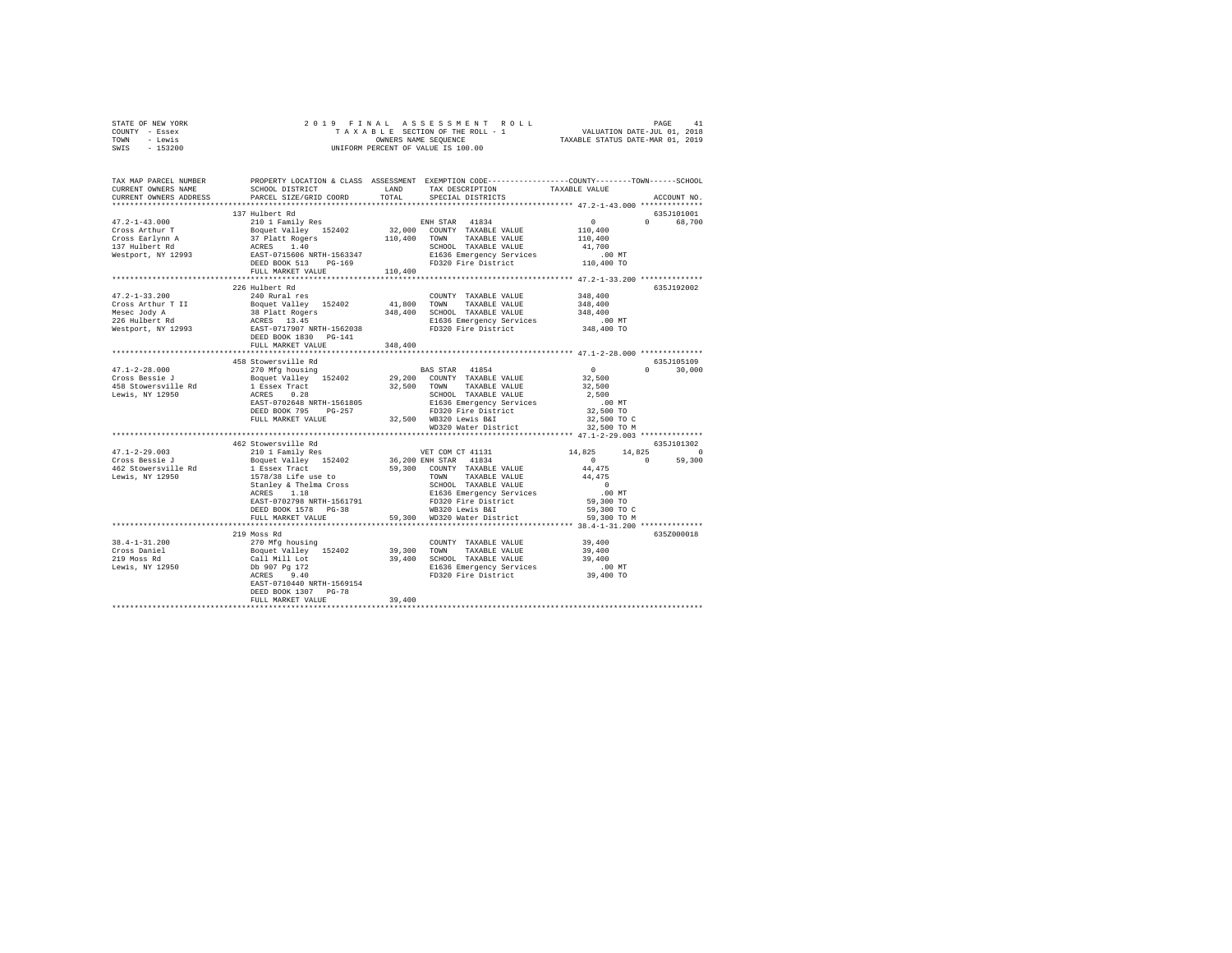| STATE OF NEW YORK   |                                                                                                                                                                                                                                                                                                                                                                                                          |        |                      |                    |               |
|---------------------|----------------------------------------------------------------------------------------------------------------------------------------------------------------------------------------------------------------------------------------------------------------------------------------------------------------------------------------------------------------------------------------------------------|--------|----------------------|--------------------|---------------|
| COUNTY - Essex      |                                                                                                                                                                                                                                                                                                                                                                                                          |        |                      |                    |               |
| TOWN - Lewis        |                                                                                                                                                                                                                                                                                                                                                                                                          |        |                      |                    |               |
| SWIS - 153200       |                                                                                                                                                                                                                                                                                                                                                                                                          |        |                      |                    |               |
|                     |                                                                                                                                                                                                                                                                                                                                                                                                          |        |                      |                    |               |
|                     | TAX MAP PARCEL NUMBER<br>CURRENT ONNERS NAME SCHOOL DISTRICT WARRELL DESCRIPTION ONE--------------CHONTY-------TOWN------SCHOOL<br>CURRENT ONNERS ADDRESS PARCEL SIZE/GRID COORD TOTAL SPECIAL DISTRICTS TAXABLE VALUE ACCOUNT NO.                                                                                                                                                                       |        |                      |                    |               |
|                     |                                                                                                                                                                                                                                                                                                                                                                                                          |        |                      |                    |               |
|                     |                                                                                                                                                                                                                                                                                                                                                                                                          |        |                      |                    |               |
|                     |                                                                                                                                                                                                                                                                                                                                                                                                          |        |                      |                    |               |
|                     | 137 Hulbert Rd                                                                                                                                                                                                                                                                                                                                                                                           |        |                      |                    | 635J101001    |
|                     |                                                                                                                                                                                                                                                                                                                                                                                                          |        |                      |                    | 0 68,700      |
|                     |                                                                                                                                                                                                                                                                                                                                                                                                          |        |                      |                    |               |
|                     |                                                                                                                                                                                                                                                                                                                                                                                                          |        |                      |                    |               |
|                     |                                                                                                                                                                                                                                                                                                                                                                                                          |        |                      |                    |               |
|                     | $\begin{tabular}{l c c c c} \multicolumn{3}{c c c} \multicolumn{3}{c c c} \multicolumn{3}{c c c} \multicolumn{3}{c c c} \multicolumn{3}{c c c} \multicolumn{3}{c c c} \multicolumn{3}{c c c} \multicolumn{3}{c c c} \multicolumn{3}{c c c} \multicolumn{3}{c c c} \multicolumn{3}{c c c} \multicolumn{3}{c c c} \multicolumn{3}{c c c} \multicolumn{3}{c c c} \multicolumn{3}{c c c} \multicolumn{3}{c $ |        |                      |                    |               |
|                     |                                                                                                                                                                                                                                                                                                                                                                                                          |        |                      |                    |               |
|                     | FULL MARKET VALUE 110,400                                                                                                                                                                                                                                                                                                                                                                                |        |                      |                    |               |
|                     |                                                                                                                                                                                                                                                                                                                                                                                                          |        |                      |                    |               |
|                     |                                                                                                                                                                                                                                                                                                                                                                                                          |        |                      |                    |               |
|                     | 226 Hulbert Rd                                                                                                                                                                                                                                                                                                                                                                                           |        |                      |                    | 635J192002    |
| $47.2 - 1 - 33.200$ | 240 Rural res                                                                                                                                                                                                                                                                                                                                                                                            |        | COUNTY TAXABLE VALUE | 348,400<br>348,400 |               |
|                     |                                                                                                                                                                                                                                                                                                                                                                                                          |        |                      |                    |               |
|                     |                                                                                                                                                                                                                                                                                                                                                                                                          |        |                      |                    |               |
|                     |                                                                                                                                                                                                                                                                                                                                                                                                          |        |                      |                    |               |
|                     |                                                                                                                                                                                                                                                                                                                                                                                                          |        |                      |                    |               |
|                     |                                                                                                                                                                                                                                                                                                                                                                                                          |        |                      |                    |               |
|                     | FULL MARKET VALUE 348,400                                                                                                                                                                                                                                                                                                                                                                                |        |                      |                    |               |
|                     |                                                                                                                                                                                                                                                                                                                                                                                                          |        |                      |                    |               |
|                     | $\begin{tabular}{l c c c c c} \multicolumn{4}{c c c c} \multicolumn{4}{c c c} \multicolumn{4}{c c c} \multicolumn{4}{c c c} \multicolumn{4}{c c c} \multicolumn{4}{c c c} \multicolumn{4}{c c c} \multicolumn{4}{c c c} \multicolumn{4}{c c c} \multicolumn{4}{c c c} \multicolumn{4}{c c c} \multicolumn{4}{c c c} \multicolumn{4}{c c c} \multicolumn{4}{c c c} \multicolumn{4}{c c c} \multicolumn{$  |        |                      |                    | 635J105109    |
|                     |                                                                                                                                                                                                                                                                                                                                                                                                          |        |                      |                    | $0 \t 30.000$ |
|                     |                                                                                                                                                                                                                                                                                                                                                                                                          |        |                      |                    |               |
|                     |                                                                                                                                                                                                                                                                                                                                                                                                          |        |                      |                    |               |
|                     |                                                                                                                                                                                                                                                                                                                                                                                                          |        |                      |                    |               |
|                     |                                                                                                                                                                                                                                                                                                                                                                                                          |        |                      |                    |               |
|                     |                                                                                                                                                                                                                                                                                                                                                                                                          |        |                      |                    |               |
|                     |                                                                                                                                                                                                                                                                                                                                                                                                          |        |                      |                    |               |
|                     |                                                                                                                                                                                                                                                                                                                                                                                                          |        |                      |                    |               |
|                     |                                                                                                                                                                                                                                                                                                                                                                                                          |        |                      |                    |               |
|                     |                                                                                                                                                                                                                                                                                                                                                                                                          |        |                      |                    |               |
|                     |                                                                                                                                                                                                                                                                                                                                                                                                          |        |                      |                    |               |
|                     |                                                                                                                                                                                                                                                                                                                                                                                                          |        |                      |                    |               |
|                     |                                                                                                                                                                                                                                                                                                                                                                                                          |        |                      |                    |               |
|                     |                                                                                                                                                                                                                                                                                                                                                                                                          |        |                      |                    |               |
|                     | $\begin{tabular}{l c c c c c} \multicolumn{4}{c c c c} \multicolumn{4}{c c c} \multicolumn{4}{c c c} \multicolumn{4}{c c c} \multicolumn{4}{c c c} \multicolumn{4}{c c c} \multicolumn{4}{c c c} \multicolumn{4}{c c c} \multicolumn{4}{c c c} \multicolumn{4}{c c c} \multicolumn{4}{c c c} \multicolumn{4}{c c c} \multicolumn{4}{c c c} \multicolumn{4}{c c c} \multicolumn{4}{c c c} \multicolumn{$  |        |                      |                    |               |
|                     |                                                                                                                                                                                                                                                                                                                                                                                                          |        |                      |                    |               |
|                     |                                                                                                                                                                                                                                                                                                                                                                                                          |        |                      |                    |               |
|                     |                                                                                                                                                                                                                                                                                                                                                                                                          |        |                      |                    |               |
|                     |                                                                                                                                                                                                                                                                                                                                                                                                          |        |                      |                    |               |
|                     |                                                                                                                                                                                                                                                                                                                                                                                                          |        |                      |                    |               |
|                     |                                                                                                                                                                                                                                                                                                                                                                                                          |        |                      |                    |               |
|                     | 219 Moss Rd                                                                                                                                                                                                                                                                                                                                                                                              |        |                      |                    | 635Z000018    |
|                     |                                                                                                                                                                                                                                                                                                                                                                                                          |        |                      |                    |               |
|                     |                                                                                                                                                                                                                                                                                                                                                                                                          |        |                      |                    |               |
|                     |                                                                                                                                                                                                                                                                                                                                                                                                          |        |                      |                    |               |
|                     |                                                                                                                                                                                                                                                                                                                                                                                                          |        |                      |                    |               |
|                     |                                                                                                                                                                                                                                                                                                                                                                                                          |        |                      |                    |               |
|                     |                                                                                                                                                                                                                                                                                                                                                                                                          |        |                      |                    |               |
|                     |                                                                                                                                                                                                                                                                                                                                                                                                          |        |                      |                    |               |
|                     | EAST-0710440 NRTH-1569154<br>DEED BOOK 1307 PG-78<br>FULL MARKET VALUE                                                                                                                                                                                                                                                                                                                                   | 39,400 |                      |                    |               |
|                     |                                                                                                                                                                                                                                                                                                                                                                                                          |        |                      |                    |               |
|                     |                                                                                                                                                                                                                                                                                                                                                                                                          |        |                      |                    |               |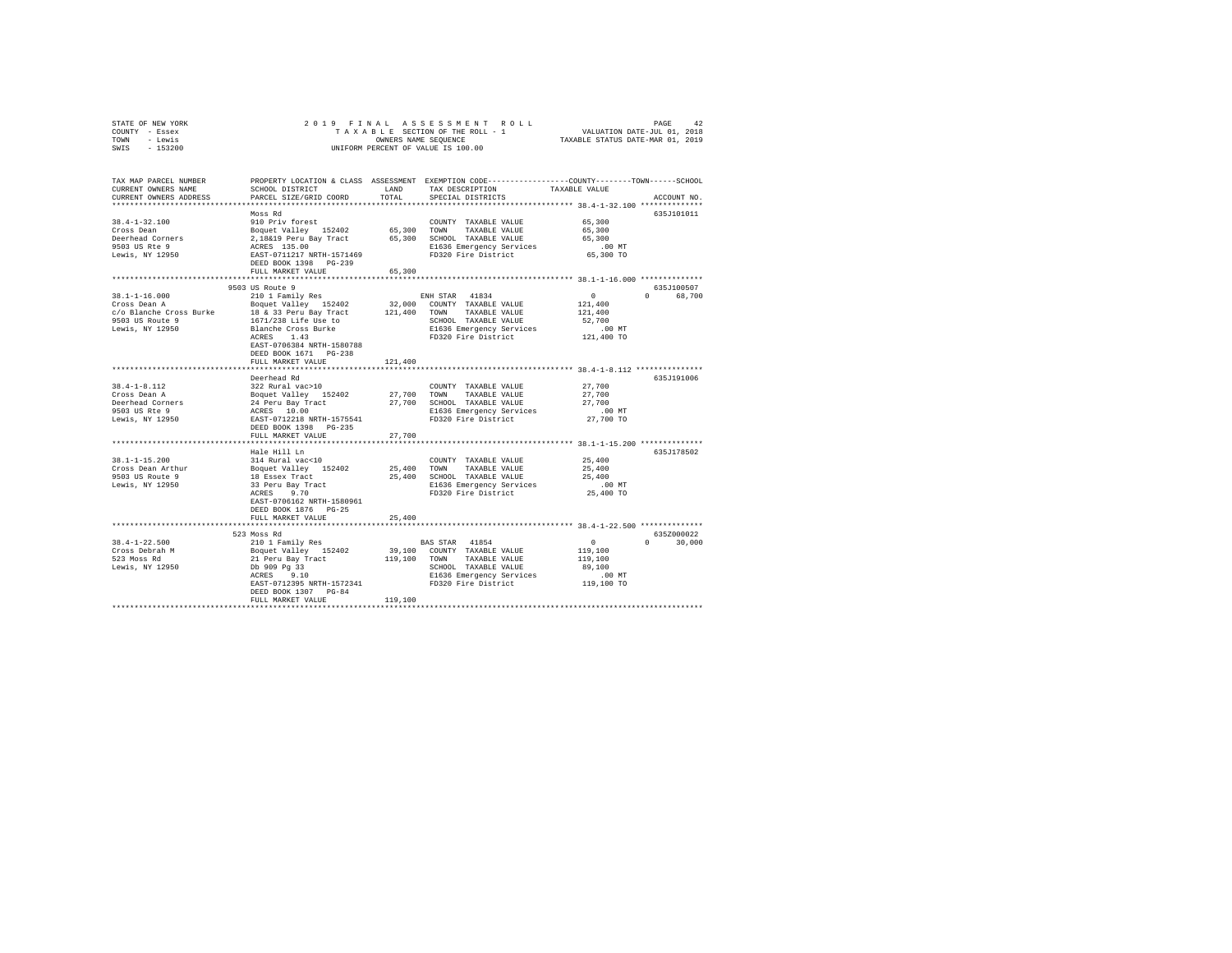|      | STATE OF NEW YORK |  | 2019 FINAL ASSESSMENT ROLL         | 42<br>PAGE                       |  |
|------|-------------------|--|------------------------------------|----------------------------------|--|
|      | COUNTY - Essex    |  | TAXABLE SECTION OF THE ROLL - 1    | VALUATION DATE-JUL 01, 2018      |  |
| TOWN | - Lewis           |  | OWNERS NAME SEOUENCE               | TAXABLE STATUS DATE-MAR 01, 2019 |  |
| SWIS | - 153200          |  | UNIFORM PERCENT OF VALUE IS 100.00 |                                  |  |

| TAX MAP PARCEL NUMBER<br>CURRENT OWNERS NAME<br>CURRENT OWNERS ADDRESS                                                                                                         | SCHOOL DISTRICT<br>PARCEL SIZE/GRID COORD                                                                                                                                                                                                                                                                              | LAND<br>TOTAL         | PROPERTY LOCATION & CLASS ASSESSMENT EXEMPTION CODE---------------COUNTY-------TOWN-----SCHOOL<br>TAX DESCRIPTION<br>SPECIAL DISTRICTS                                                                | TAXABLE VALUE                                                                                       | ACCOUNT NO.                                   |
|--------------------------------------------------------------------------------------------------------------------------------------------------------------------------------|------------------------------------------------------------------------------------------------------------------------------------------------------------------------------------------------------------------------------------------------------------------------------------------------------------------------|-----------------------|-------------------------------------------------------------------------------------------------------------------------------------------------------------------------------------------------------|-----------------------------------------------------------------------------------------------------|-----------------------------------------------|
| $38.4 - 1 - 32.100$<br>Cross Dean<br>Deerhead Corners<br>9503 US Rte 9<br>Lewis, NY 12950                                                                                      | Moss Rd<br>910 Priv forest<br>Prophet Valley 152402 65,300<br>2,18&19 Peru Bay Tract 65,300<br>ACRES 135.00<br>EAST-0711217 NRTH-1571469<br>DEED BOOK 1398 PG-239<br>FULL MARKET VALUE                                                                                                                                 | 65,300                | COUNTY TAXABLE VALUE<br>65,300 TOWN TAXABLE VALUE<br>SCHOOL TAXABLE VALUE<br>E1636 Emergency Services<br>FD320 Fire District                                                                          | 65,300<br>65,300<br>65,300<br>.00 MT<br>65,300 TO                                                   | 635.7101011                                   |
| $38.1 - 1 - 16.000$<br>Cross Dean A<br>c/o Blanche Cross Burke<br>9503 US Route 9<br>Lewis, NY 12950                                                                           | 9503 US Route 9<br>210 1 Family Res<br>Boquet Valley 152402<br>18 & 33 Peru Bay Tract<br>1671/238 Life Use to<br>Blanche Cross Burke<br>ACRES 1.43<br>EAST-0706384 NRTH-1580788<br>DEED BOOK 1671 PG-238<br>FULL MARKET VALUE                                                                                          | 121,400               | ENH STAR 41834<br>32,000 COUNTY TAXABLE VALUE<br>121,400 TOWN TAXABLE VALUE<br>SCHOOL TAXABLE VALUE<br>E1636 Emergency Services<br>FD320 Fire District                                                | $\sim$ 0<br>121,400<br>121,400<br>52,700<br>$.00$ MT<br>121,400 TO                                  | 635J100507<br>0 68,700                        |
| $38.4 - 1 - 8.112$<br>Cross Dean A<br>Deerhead Corners<br>9503 US Rte 9<br>Lewis, NY 12950                                                                                     | Deerhead Rd<br>The Hamman Hotel COUNTY TAXABLE VALUE<br>1991 - Example 1992 152402<br>27,700 TOWN TAXABLE VALUE<br>27,700 SCHOOL TAXABLE VALUE<br>27,700 SCHOOL TAXABLE VALUE<br>27,700 SCHOOL TAXABLE VALUE<br>27,700 SCHOOL TAXABLE VALUE<br>EAST-0712218 NRTH-1575541<br>DEED BOOK 1398 PG-235<br>FULL MARKET VALUE | ***********<br>27,700 | FD320 Fire District                                                                                                                                                                                   | 27,700<br>27,700<br>27,700<br>$.00$ MT<br>27,700 TO                                                 | 635J191006                                    |
| $38.1 - 1 - 15.200$<br>38.1-1-15.200<br>Cross Dean Arthur<br>9503 US Route 9 18 Boquet Valley 152402<br>1983 US Route 9 33 Peru Bay Tract<br>Lewis, NY 12950 33 Peru Bay Tract | Hale Hill Ln<br>314 Rural vac<10<br>ACRES 9.70<br>EAST-0706162 NRTH-1580961<br>DEED BOOK 1876 PG-25<br>FULL MARKET VALUE                                                                                                                                                                                               | 25,400                | ******************************** 38.1-1-15.200 ***************<br>COUNTY TAXABLE VALUE<br>25,400 TOWN TAXABLE VALUE<br>25,400 SCHOOL TAXABLE VALUE<br>E1636 Emergency Services<br>FD320 Fire District | 25,400<br>25,400<br>25,400<br>$.00$ MT<br>$25,400$ TO<br>************* 38.4-1-22.500 ************** | 635J178502                                    |
| $38.4 - 1 - 22.500$<br>Cross Debrah M<br>523 Moss Rd<br>Lewis, NY 12950                                                                                                        | 523 Moss Rd<br>210 1 Family Res<br>210 1 Family Res<br>Boquet Valley 152402<br>21 Peru Bay Tract<br>Db 909 Pg 33<br>ACRES 9.10<br>EAST-0712395 NRTH-1572341<br>DEED BOOK 1307 PG-84<br>FULL MARKET VALUE                                                                                                               | 119,100               | BAS STAR 41854<br>39,100 COUNTY TAXABLE VALUE<br>119,100 TOWN TAXABLE VALUE<br>SCHOOL TAXABLE VALUE<br>E1636 Emergency Services<br>FD320 Fire District                                                | $\sim$ 0<br>119,100<br>119,100<br>89,100<br>$.00$ MT<br>119,100 TO                                  | 635Z000022<br>$\Omega$ and $\Omega$<br>30,000 |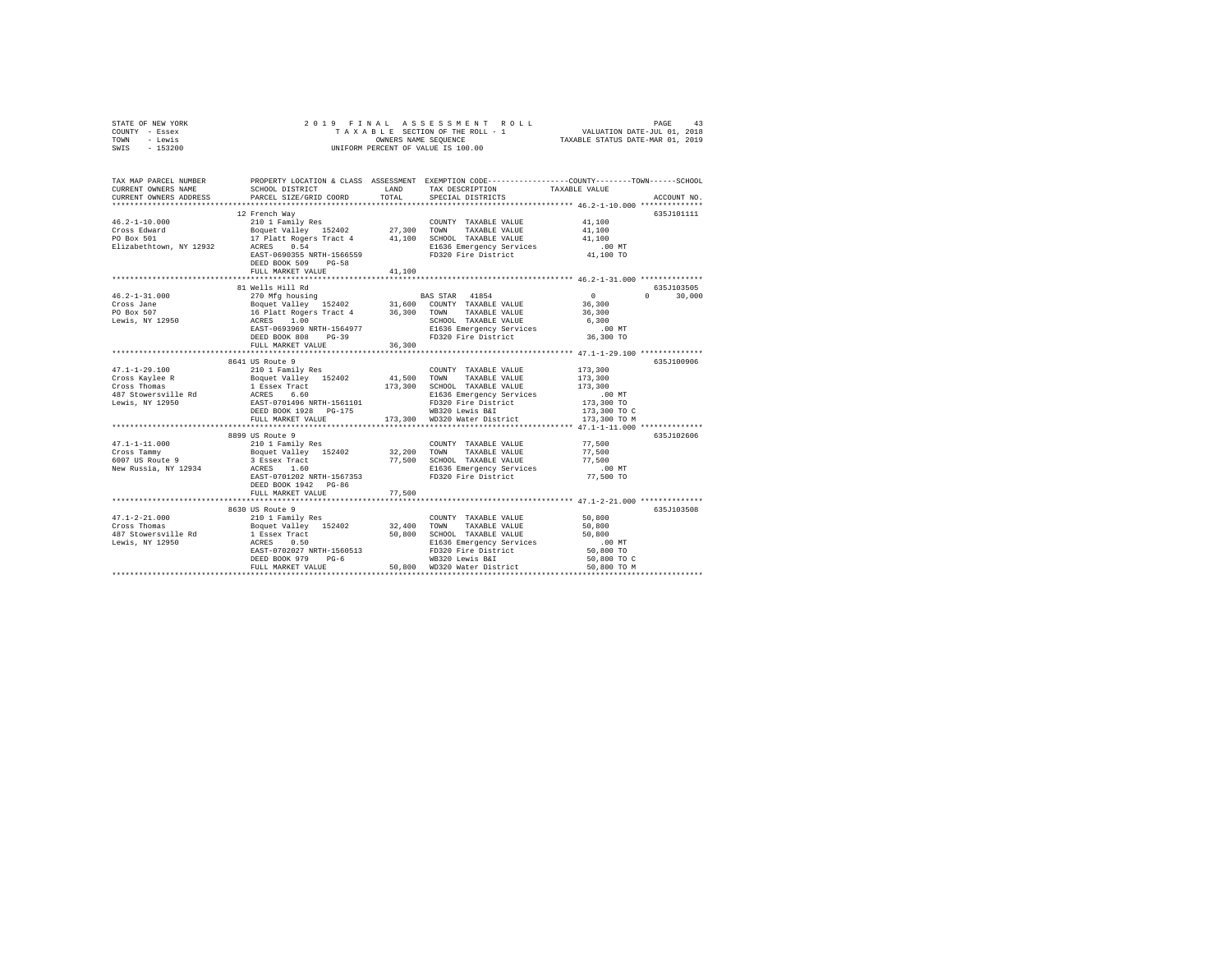| STATE OF NEW YORK | 2019 FINAL ASSESSMENT ROLL         | PAGE                             |
|-------------------|------------------------------------|----------------------------------|
| COUNTY - Essex    | TAXABLE SECTION OF THE ROLL - 1    | VALUATION DATE-JUL 01, 2018      |
| TOWN<br>- Lewis   | OWNERS NAME SEOUENCE               | TAXABLE STATUS DATE-MAR 01, 2019 |
| $-153200$<br>SWIS | UNIFORM PERCENT OF VALUE IS 100.00 |                                  |

| TAX MAP PARCEL NUMBER<br>CURRENT OWNERS NAME<br>CURRENT OWNERS ADDRESS                       | SCHOOL DISTRICT<br>PARCEL SIZE/GRID COORD                                                                                                                                                                                                                                                                                                                                                                                                                             | LAND<br>TOTAL. | PROPERTY LOCATION & CLASS ASSESSMENT EXEMPTION CODE---------------COUNTY-------TOWN------SCHOOL<br>TAX DESCRIPTION TAXABLE VALUE<br>SPECIAL DISTRICTS                                                                                   |                                                          | ACCOUNT NO.                 |
|----------------------------------------------------------------------------------------------|-----------------------------------------------------------------------------------------------------------------------------------------------------------------------------------------------------------------------------------------------------------------------------------------------------------------------------------------------------------------------------------------------------------------------------------------------------------------------|----------------|-----------------------------------------------------------------------------------------------------------------------------------------------------------------------------------------------------------------------------------------|----------------------------------------------------------|-----------------------------|
|                                                                                              | 12 French Way<br>EAST-0690355 NRTH-1566559<br>DEED BOOK 509<br>$PG-58$<br>FULL MARKET VALUE                                                                                                                                                                                                                                                                                                                                                                           | 41,100         | E1636 Emergency Services .00 MT<br>FD320 Fire District 41,100 TO                                                                                                                                                                        | 41,100<br>41,100<br>41,100                               | 635J101111                  |
|                                                                                              | 81 Wells Hill Rd                                                                                                                                                                                                                                                                                                                                                                                                                                                      |                |                                                                                                                                                                                                                                         |                                                          | 635.7103505                 |
| $46.2 - 1 - 31.000$<br>Cross Jane<br>PO Box 507<br>Lewis, NY 12950                           | 270 Mfg housing<br>Boquet Valley 152402 31,600 COUNTY TAXABLE VALUE<br>16 Platt Rogers Tract 4 36,300 TOWN TAXABLE VALUE<br>ACRES 1.00 COUNTY TAXABLE VALUE<br>EAST-0693969 NRTH-1564977<br>DEED BOOK 808<br>$PG-39$<br>FULL MARKET VALUE                                                                                                                                                                                                                             | 36,300         | BAS STAR 41854<br>SCHOOL TAXABLE VALUE 6,300<br>E1636 Emergency Services<br>FD320 Fire District 36,300 TO                                                                                                                               | $\sim$ 0<br>36,300<br>36,300<br>.00 MT                   | $0 \qquad \qquad$<br>30,000 |
|                                                                                              | ***********************<br>8641 US Route 9                                                                                                                                                                                                                                                                                                                                                                                                                            |                |                                                                                                                                                                                                                                         | ****************** 47.1-1-29.100 **********              | 635J100906                  |
| $47.1 - 1 - 29.100$<br>47.1-1-1.<br>Cross Kaylee R<br>487 Stowersville Rd<br>Lewis, NY 12950 | $\text{Rd} \begin{tabular}{lcccc} \texttt{310} & \texttt{Family Res} & \texttt{COUNT} & \texttt{TXXABLE} & \texttt{VALUE} & \texttt{173,300} \\ \texttt{Boolean} & \texttt{B210} & \texttt{Family Res} & \texttt{11,500} & \texttt{TONN} & \texttt{TXXABLE} & \texttt{VALUE} & \texttt{173,300} \\ \texttt{B210} & \texttt{B210} & \texttt{12,500} & \texttt{173,300} & \texttt{SCHOOL} & \texttt{TXXABLE} & \texttt{VALUE} & \texttt{17$<br>DEED BOOK 1928    PG-175 |                | FD320 Fire District<br>WB320 Lewis B&I                                                                                                                                                                                                  | . 00 MT<br>173,300 TO<br>173,300 TO C                    |                             |
|                                                                                              | FULL MARKET VALUE                                                                                                                                                                                                                                                                                                                                                                                                                                                     |                | 173,300 WD320 Water District                                                                                                                                                                                                            | 173,300 TO M                                             |                             |
|                                                                                              | 8899 US Route 9<br>EAST-0701202 NRTH-1567353<br>DEED BOOK 1942 PG-86<br>FULL MARKET VALUE                                                                                                                                                                                                                                                                                                                                                                             |                | COUNTY TAXABLE VALUE<br>TAXABLE VALUE<br>77,500 SCHOOL TAXABLE VALUE 77,500<br>E1636 Emergency Services .00 MT<br>FD320 Fire District                                                                                                   | 77.500<br>77,500<br>77,500 TO                            | 635J102606                  |
|                                                                                              |                                                                                                                                                                                                                                                                                                                                                                                                                                                                       | 77,500         |                                                                                                                                                                                                                                         |                                                          |                             |
| $47.1 - 2 - 21.000$<br>Cross Thomas<br>487 Stowersville Rd<br>Lewis, NY 12950                | 8630 US Route 9<br>210 1 Family Res<br>Boquet Valley 152402 32,400 TOWN<br>1 Essex Tract 50,800 SCHOO<br>ACRES 0.50<br>EAST-0702027 NRTH-1560513<br>$PG-6$<br>DEED BOOK 979<br>FULL MARKET VALUE                                                                                                                                                                                                                                                                      | 50,800         | COUNTY TAXABLE VALUE<br>TAXABLE VALUE<br>50,800 SCHOOL TAXABLE VALUE<br>SCHOOL INAMENT MAIL TO BOOK 2000 100 MT<br>FD320 Fire District 50,800 TO<br>WB320 Lewis Bar<br>WB320 Water District 50,800 TO<br>WB320 Water District 50,800 TO | 50,800<br>50,800<br>50,800<br>50,800 TO C<br>50,800 TO M | 635J103508                  |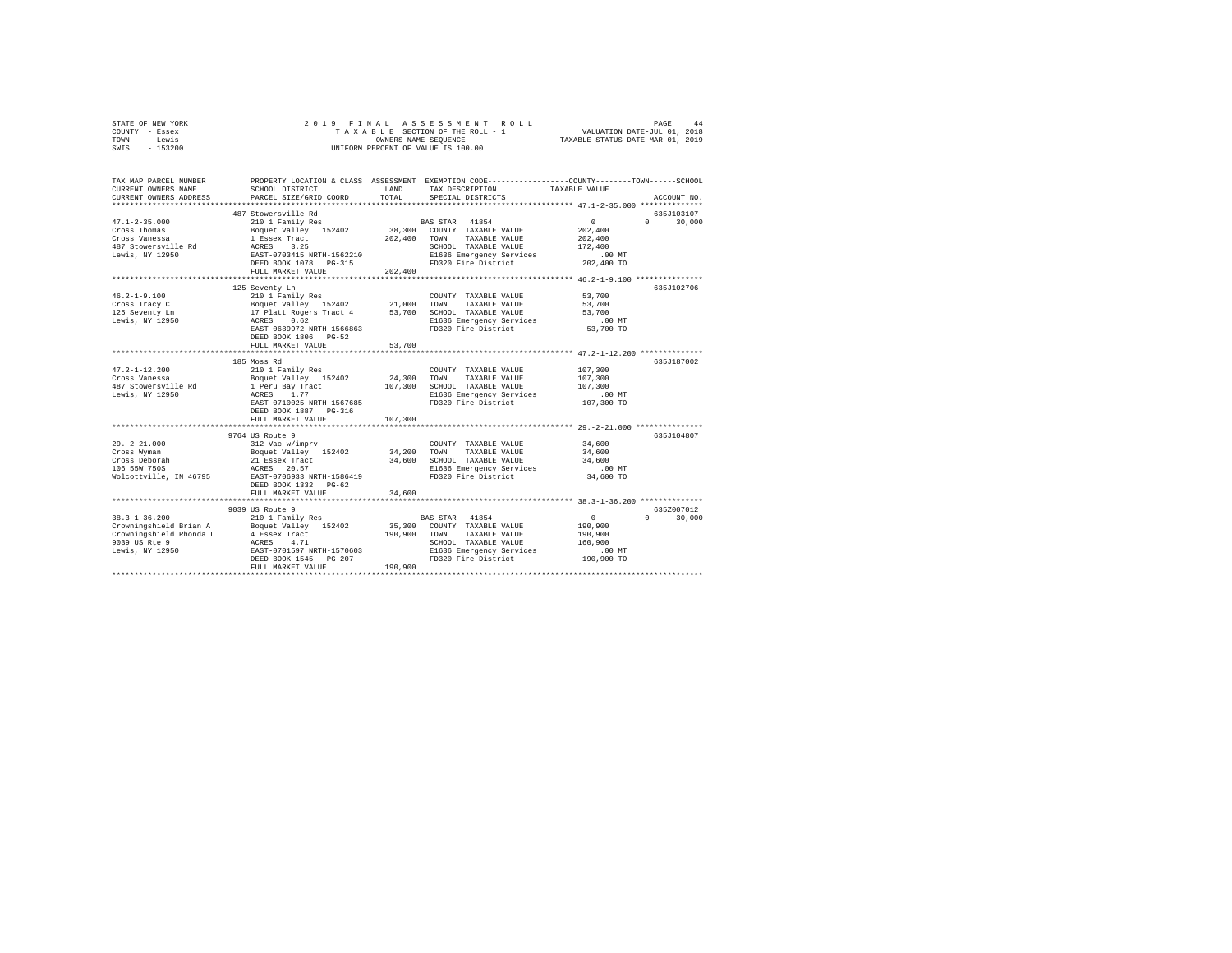| STATE OF NEW YORK<br>COUNTY - Essex<br>- Lewis<br>TOWN<br>$-153200$<br>SWIS                                                                                                                                                                 | 2019 FINAL                                                    |             | R O L L<br>ASSESSMENT<br>TAXABLE SECTION OF THE ROLL - 1<br>OWNERS NAME SEQUENCE<br>UNIFORM PERCENT OF VALUE IS 100.00 | VALUATION DATE-JUL 01, 2018<br>TAXABLE STATUS DATE-MAR 01, 2019 | PAGE<br>44                  |
|---------------------------------------------------------------------------------------------------------------------------------------------------------------------------------------------------------------------------------------------|---------------------------------------------------------------|-------------|------------------------------------------------------------------------------------------------------------------------|-----------------------------------------------------------------|-----------------------------|
|                                                                                                                                                                                                                                             |                                                               |             |                                                                                                                        |                                                                 |                             |
| TAX MAP PARCEL NUMBER<br>CURRENT OWNERS NAME                                                                                                                                                                                                | SCHOOL DISTRICT                                               | LAND        | PROPERTY LOCATION & CLASS ASSESSMENT EXEMPTION CODE----------------COUNTY-------TOWN------SCHOOL<br>TAX DESCRIPTION    | TAXABLE VALUE                                                   |                             |
| CURRENT OWNERS ADDRESS                                                                                                                                                                                                                      | PARCEL SIZE/GRID COORD                                        | TOTAL       | SPECIAL DISTRICTS                                                                                                      |                                                                 | ACCOUNT NO.                 |
|                                                                                                                                                                                                                                             | 487 Stowersville Rd                                           |             |                                                                                                                        |                                                                 | 635J103107                  |
| $47.1 - 2 - 35.000$                                                                                                                                                                                                                         | 210 1 Family Res                                              |             | BAS STAR 41854                                                                                                         | $\sim$ 0                                                        | $\Omega$<br>30,000          |
| Cross Thomas                                                                                                                                                                                                                                | Boquet Valley 152402                                          |             | 38,300 COUNTY TAXABLE VALUE                                                                                            | 202,400                                                         |                             |
| Cross Vanessa                                                                                                                                                                                                                               | 1 Essex Tract<br>1 Essex Tract<br>ACRES 3.25                  |             | 202,400 TOWN TAXABLE VALUE                                                                                             | 202,400                                                         |                             |
| 487 Stowersville Rd                                                                                                                                                                                                                         |                                                               |             | SCHOOL TAXABLE VALUE                                                                                                   | 172,400                                                         |                             |
| Lewis, NY 12950                                                                                                                                                                                                                             | EAST-0703415 NRTH-1562210                                     |             | E1636 Emergency Services<br>FD320 Fire District                                                                        | .00MT                                                           |                             |
|                                                                                                                                                                                                                                             | DEED BOOK 1078 PG-315                                         |             |                                                                                                                        | 202,400 TO                                                      |                             |
|                                                                                                                                                                                                                                             | FULL MARKET VALUE                                             | 202,400     |                                                                                                                        |                                                                 |                             |
|                                                                                                                                                                                                                                             | 125 Seventy Ln                                                |             |                                                                                                                        |                                                                 | 635J102706                  |
| $46.2 - 1 - 9.100$                                                                                                                                                                                                                          | 210 1 Family Res                                              |             | COUNTY TAXABLE VALUE                                                                                                   | 53,700                                                          |                             |
| Cross Tracy C                                                                                                                                                                                                                               |                                                               | 21,000 TOWN | TAXABLE VALUE                                                                                                          | 53,700                                                          |                             |
| 125 Seventy Ln                                                                                                                                                                                                                              | Boquet Valley 152402 21,000<br>17 Platt Rogers Tract 4 53,700 |             | SCHOOL TAXABLE VALUE                                                                                                   | 53,700                                                          |                             |
| Lewis, NY 12950                                                                                                                                                                                                                             | ACRES 0.62                                                    |             | E1636 Emergency Services                                                                                               | $.00$ MT                                                        |                             |
|                                                                                                                                                                                                                                             | EAST-0689972 NRTH-1566863                                     |             | FD320 Fire District                                                                                                    | 53,700 TO                                                       |                             |
|                                                                                                                                                                                                                                             | DEED BOOK 1806 PG-52                                          |             |                                                                                                                        |                                                                 |                             |
|                                                                                                                                                                                                                                             | FULL MARKET VALUE                                             | 53,700      |                                                                                                                        |                                                                 |                             |
|                                                                                                                                                                                                                                             |                                                               |             |                                                                                                                        |                                                                 |                             |
|                                                                                                                                                                                                                                             | 185 Moss Rd                                                   |             |                                                                                                                        |                                                                 | 635J187002                  |
| $47.2 - 1 - 12.200$<br>Cross Vanessa                                                                                                                                                                                                        | 210 1 Family Res<br>Boquet Valley 152402                      | 24,300      | COUNTY TAXABLE VALUE<br>TOWN<br>TAXABLE VALUE                                                                          | 107,300<br>107,300                                              |                             |
| 487 Stowersville Rd                                                                                                                                                                                                                         | 1 Peru Bay Tract                                              | 107,300     | SCHOOL TAXABLE VALUE                                                                                                   | 107,300                                                         |                             |
| Lewis, NY 12950                                                                                                                                                                                                                             | ACRES 1.77                                                    |             | E1636 Emergency Services                                                                                               | $.00$ MT                                                        |                             |
|                                                                                                                                                                                                                                             | EAST-0710025 NRTH-1567685                                     |             | FD320 Fire District                                                                                                    | 107,300 TO                                                      |                             |
|                                                                                                                                                                                                                                             | DEED BOOK 1887 PG-316                                         |             |                                                                                                                        |                                                                 |                             |
|                                                                                                                                                                                                                                             | FULL MARKET VALUE                                             | 107,300     |                                                                                                                        |                                                                 |                             |
|                                                                                                                                                                                                                                             |                                                               |             |                                                                                                                        |                                                                 |                             |
|                                                                                                                                                                                                                                             | 9764 US Route 9                                               |             |                                                                                                                        |                                                                 | 635J104807                  |
| $29. -2 - 21.000$                                                                                                                                                                                                                           | 312 Vac w/imprv                                               |             | COUNTY TAXABLE VALUE                                                                                                   | 34,600                                                          |                             |
| Cross Wyman                                                                                                                                                                                                                                 | Boquet Valley 152402                                          | 34,200      | TOWN<br>TAXABLE VALUE                                                                                                  | 34,600                                                          |                             |
| Cross Deborah<br>"""F" 7509<br>106 55W 750S                                                                                                                                                                                                 | 21 Essex Tract<br>ACRES 20.57                                 |             | 34,600 SCHOOL TAXABLE VALUE<br>E1636 Emergency Services                                                                | 34,600<br>$.00$ MT                                              |                             |
| Wolcottville, IN 46795                                                                                                                                                                                                                      | EAST-0706933 NRTH-1586419                                     |             | FD320 Fire District                                                                                                    | 34,600 TO                                                       |                             |
|                                                                                                                                                                                                                                             | DEED BOOK 1332 PG-62                                          |             |                                                                                                                        |                                                                 |                             |
|                                                                                                                                                                                                                                             | FULL MARKET VALUE                                             | 34,600      |                                                                                                                        |                                                                 |                             |
|                                                                                                                                                                                                                                             |                                                               |             |                                                                                                                        |                                                                 |                             |
|                                                                                                                                                                                                                                             | 9039 US Route 9                                               |             |                                                                                                                        |                                                                 | 635Z007012                  |
|                                                                                                                                                                                                                                             | 210 1 Family Res                                              |             | BAS STAR 41854                                                                                                         | $\sim$ 0                                                        | $0 \qquad \qquad$<br>30,000 |
|                                                                                                                                                                                                                                             | Boquet Valley 152402                                          | 35,300      | COUNTY TAXABLE VALUE                                                                                                   | 190,900                                                         |                             |
|                                                                                                                                                                                                                                             |                                                               | 190,900     | TOWN TAXABLE VALUE                                                                                                     | 190,900                                                         |                             |
| $\begin{tabular}{ll} 38.3-1-36.200 \\ \textbf{Crowningshield Brian A} & \textbf{Boguet Value} \\ \textbf{Crowningshield Rhonda L} & 4.58887 \textbf{Tract} \\ \textbf{ACRES} & 4.71 \\ \textbf{N-CT} & 0.701597 \textbf{NRT} \end{tabular}$ |                                                               |             | SCHOOL TAXABLE VALUE                                                                                                   | 160,900                                                         |                             |
|                                                                                                                                                                                                                                             | EAST-0701597 NRTH-1570603<br>DEED BOOK 1545 PG-207            |             | E1636 Emergency Services<br>FD320 Fire District                                                                        | .00MT<br>190,900 TO                                             |                             |
|                                                                                                                                                                                                                                             | FULL MARKET VALUE                                             | 190,900     |                                                                                                                        |                                                                 |                             |
|                                                                                                                                                                                                                                             |                                                               |             |                                                                                                                        |                                                                 |                             |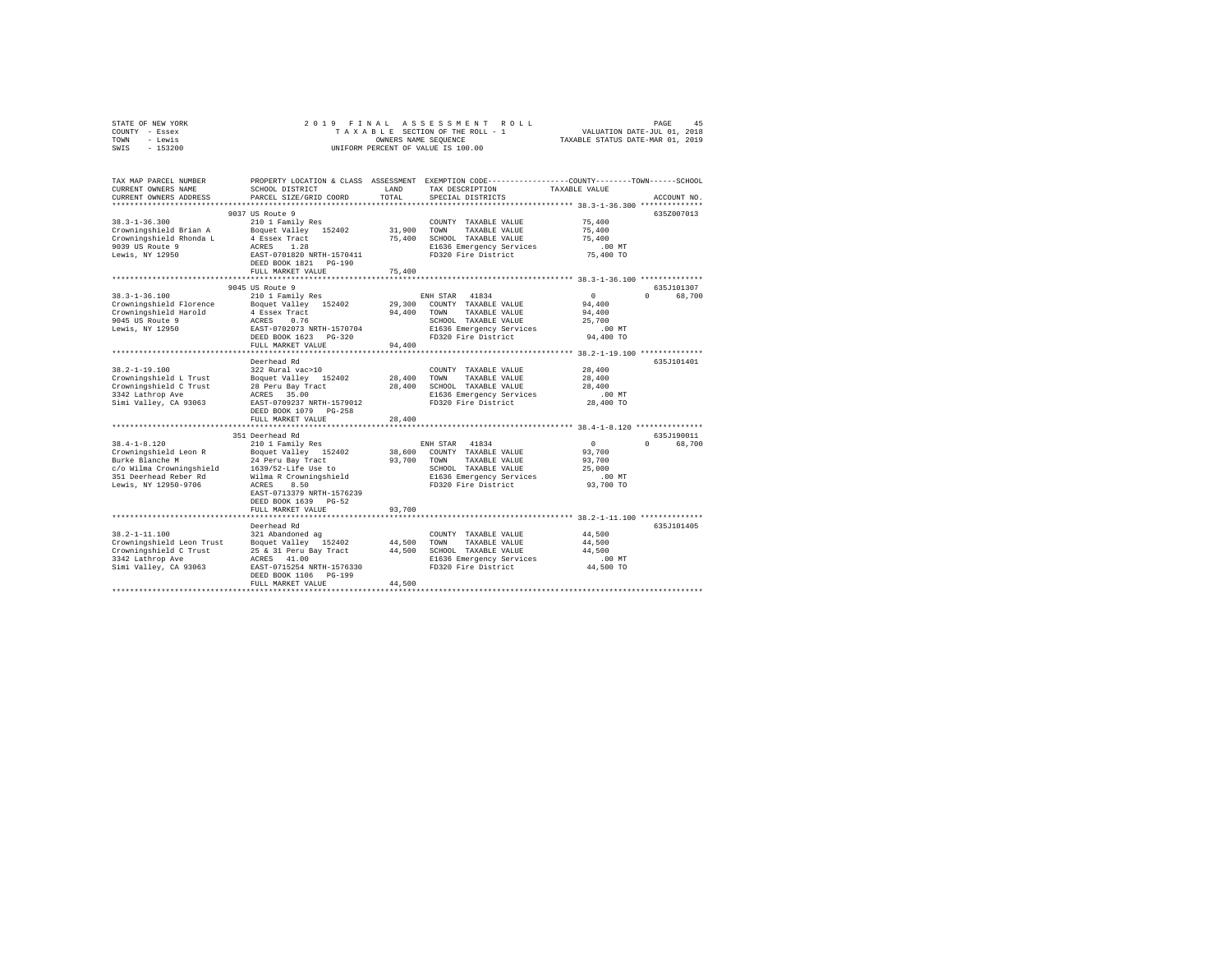| STATE OF NEW YORK |           |  | 2019 FINAL ASSESSMENT ROLL         |                                  | PAGE                        | 45 |
|-------------------|-----------|--|------------------------------------|----------------------------------|-----------------------------|----|
| COUNTY - Essex    |           |  | TAXABLE SECTION OF THE ROLL - 1    |                                  | VALUATION DATE-JUL 01, 2018 |    |
| TOWN              | - Lewis   |  | OWNERS NAME SEOUENCE               | TAXABLE STATUS DATE-MAR 01, 2019 |                             |    |
| SWIS              | $-153200$ |  | UNIFORM PERCENT OF VALUE IS 100.00 |                                  |                             |    |

| TAX MAP PARCEL NUMBER<br>CURRENT OWNERS NAME<br>CURRENT OWNERS ADDRESS | SCHOOL DISTRICT<br>PARCEL SIZE/GRID COORD          | LAND<br>TOTAL | PROPERTY LOCATION & CLASS ASSESSMENT EXEMPTION CODE---------------COUNTY-------TOWN-----SCHOOL<br>TAX DESCRIPTION<br>SPECIAL DISTRICTS | TAXABLE VALUE | ACCOUNT NO.        |
|------------------------------------------------------------------------|----------------------------------------------------|---------------|----------------------------------------------------------------------------------------------------------------------------------------|---------------|--------------------|
|                                                                        |                                                    |               |                                                                                                                                        |               |                    |
|                                                                        | 9037 US Route 9                                    |               |                                                                                                                                        |               | 635Z007013         |
| $38.3 - 1 - 36.300$                                                    | 210 1 Family Res                                   |               | COUNTY TAXABLE VALUE                                                                                                                   | 75,400        |                    |
| Crowningshield Brian A                                                 | Boquet Valley 152402                               | 31,900        | TOWN<br>TAXABLE VALUE                                                                                                                  | 75,400        |                    |
| Crowningshield Rhonda L                                                | 4 Essex Tract                                      | 75,400        | SCHOOL TAXABLE VALUE                                                                                                                   | 75,400        |                    |
| 9039 US Route 9                                                        | ACRES 1.28                                         |               | E1636 Emergency Services                                                                                                               | .00 MT        |                    |
| Lewis, NY 12950                                                        | EAST-0701820 NRTH-1570411                          |               | FD320 Fire District                                                                                                                    | 75,400 TO     |                    |
|                                                                        | DEED BOOK 1821 PG-190                              |               |                                                                                                                                        |               |                    |
|                                                                        | FULL MARKET VALUE                                  | 75,400        |                                                                                                                                        |               |                    |
|                                                                        |                                                    |               |                                                                                                                                        |               |                    |
|                                                                        | 9045 US Route 9                                    |               |                                                                                                                                        |               | 635J101307         |
| $38.3 - 1 - 36.100$                                                    | 210 1 Family Res                                   |               | ENH STAR 41834                                                                                                                         | $\circ$       | 68,700<br>$\Omega$ |
| Crowningshield Florence                                                | Boquet Valley 152402                               | 29,300        | COUNTY TAXABLE VALUE                                                                                                                   | 94,400        |                    |
| Crowningshield Harold                                                  | 4 Essex Tract                                      | 94,400        | TAXABLE VALUE<br>TOWN                                                                                                                  | 94,400        |                    |
| 9045 US Route 9                                                        | ACRES<br>0.76                                      |               | SCHOOL TAXABLE VALUE                                                                                                                   | 25,700        |                    |
| Lewis, NY 12950                                                        | EAST-0702073 NRTH-1570704                          |               | E1636 Emergency Services                                                                                                               | $.00$ MT      |                    |
|                                                                        | DEED BOOK 1623 PG-320                              |               | FD320 Fire District                                                                                                                    | 94,400 TO     |                    |
|                                                                        | FULL MARKET VALUE<br>************************      | 94,400        |                                                                                                                                        |               |                    |
|                                                                        |                                                    |               | ********************************** 38.2-1-19.100 **************                                                                        |               |                    |
| $38.2 - 1 - 19.100$                                                    | Deerhead Rd<br>322 Rural vac>10                    |               | COUNTY TAXABLE VALUE                                                                                                                   | 28,400        | 635J101401         |
| Crowningshield L Trust                                                 | Boquet Valley 152402                               | 28,400        | TOWN<br>TAXABLE VALUE                                                                                                                  | 28,400        |                    |
| Crowningshield C Trust                                                 | 28 Peru Bay Tract                                  | 28,400        | SCHOOL TAXABLE VALUE                                                                                                                   | 28,400        |                    |
| 3342 Lathrop Ave                                                       | ACRES 35.00                                        |               | E1636 Emergency Services                                                                                                               | .00 MT        |                    |
| Simi Valley, CA 93063                                                  | EAST-0709237 NRTH-1579012                          |               | FD320 Fire District                                                                                                                    | 28,400 TO     |                    |
|                                                                        | DEED BOOK 1079 PG-258                              |               |                                                                                                                                        |               |                    |
|                                                                        | FULL MARKET VALUE                                  | 28,400        |                                                                                                                                        |               |                    |
|                                                                        |                                                    |               |                                                                                                                                        |               |                    |
|                                                                        | 351 Deerhead Rd                                    |               |                                                                                                                                        |               | 635.T190011        |
| $38.4 - 1 - 8.120$                                                     | 210 1 Family Res                                   |               | ENH STAR 41834                                                                                                                         | $\circ$       | $\Omega$<br>68,700 |
| Crowningshield Leon R                                                  | Boquet Valley 152402                               | 38,600        | COUNTY TAXABLE VALUE                                                                                                                   | 93,700        |                    |
| Burke Blanche M                                                        | 24 Peru Bay Tract                                  | 93,700        | TAXABLE VALUE<br>TOWN                                                                                                                  | 93,700        |                    |
| c/o Wilma Crowningshield                                               | 1639/52-Life Use to                                |               | SCHOOL TAXABLE VALUE                                                                                                                   | 25,000        |                    |
| 351 Deerhead Reber Rd                                                  | Wilma R Crowningshield                             |               | E1636 Emergency Services                                                                                                               | .00 MT        |                    |
| Lewis, NY 12950-9706                                                   | 8.50<br>ACRES                                      |               | FD320 Fire District                                                                                                                    | 93,700 TO     |                    |
|                                                                        | EAST-0713379 NRTH-1576239                          |               |                                                                                                                                        |               |                    |
|                                                                        | DEED BOOK 1639 PG-52                               |               |                                                                                                                                        |               |                    |
|                                                                        | FULL MARKET VALUE                                  | 93,700        |                                                                                                                                        |               |                    |
|                                                                        | **************************                         | ************* |                                                                                                                                        |               |                    |
|                                                                        | Deerhead Rd                                        |               |                                                                                                                                        |               | 635J101405         |
| $38.2 - 1 - 11.100$                                                    | 321 Abandoned ag                                   |               | COUNTY TAXABLE VALUE                                                                                                                   | 44,500        |                    |
| Crowningshield Leon Trust                                              | Boquet Valley 152402                               | 44,500        | TOWN<br>TAXABLE VALUE                                                                                                                  | 44,500        |                    |
| Crowningshield C Trust                                                 | 25 & 31 Peru Bay Tract                             | 44,500        | SCHOOL TAXABLE VALUE                                                                                                                   | 44,500        |                    |
| 3342 Lathrop Ave                                                       | 41.00<br>ACRES                                     |               | E1636 Emergency Services                                                                                                               | .00MT         |                    |
| Simi Valley, CA 93063                                                  | EAST-0715254 NRTH-1576330<br>DEED BOOK 1106 PG-199 |               | FD320 Fire District                                                                                                                    | 44,500 TO     |                    |
|                                                                        | FULL MARKET VALUE                                  | 44,500        |                                                                                                                                        |               |                    |
|                                                                        |                                                    |               |                                                                                                                                        |               |                    |
|                                                                        |                                                    |               |                                                                                                                                        |               |                    |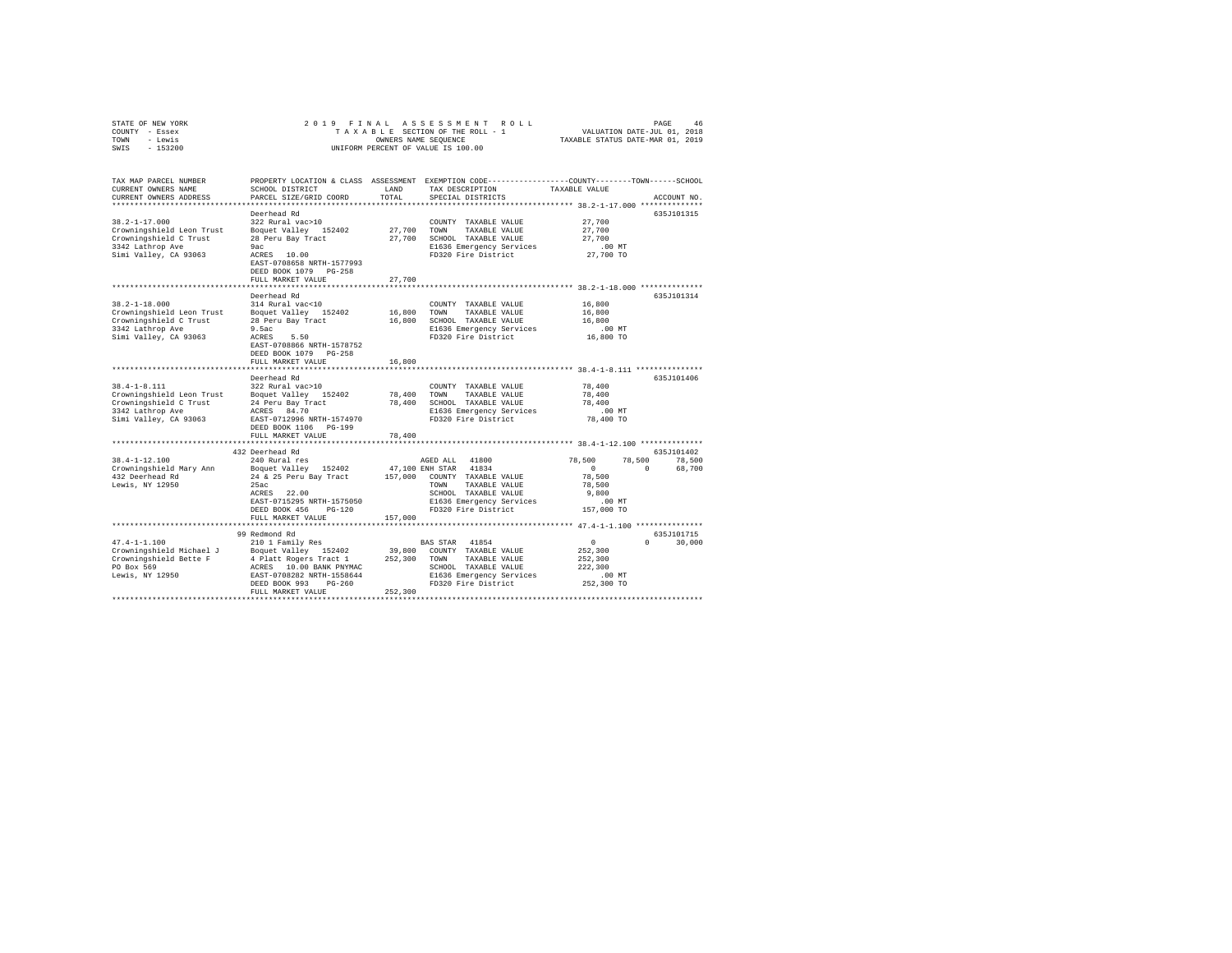| TOWN<br>- Lewis<br>$-153200$<br>SWIS                                                                                    |                                                                                                                                                                                               | OWNERS NAME SEQUENCE            | UNIFORM PERCENT OF VALUE IS 100.00                                                                                                                                     |                                                                           | TAXABLE STATUS DATE-MAR 01, 2019                     |
|-------------------------------------------------------------------------------------------------------------------------|-----------------------------------------------------------------------------------------------------------------------------------------------------------------------------------------------|---------------------------------|------------------------------------------------------------------------------------------------------------------------------------------------------------------------|---------------------------------------------------------------------------|------------------------------------------------------|
| TAX MAP PARCEL NUMBER<br>CURRENT OWNERS NAME<br>CURRENT OWNERS ADDRESS<br>***********************                       | PROPERTY LOCATION & CLASS ASSESSMENT EXEMPTION CODE---------------COUNTY-------TOWN------SCHOOL<br>SCHOOL DISTRICT<br>PARCEL SIZE/GRID COORD                                                  | LAND<br>TOTAL<br>************** | TAX DESCRIPTION<br>SPECIAL DISTRICTS<br>************************************** 38.2-1-17.000 **************                                                            | TAXABLE VALUE                                                             | ACCOUNT NO.                                          |
| $38.2 - 1 - 17.000$<br>Crowningshield Leon Trust<br>Crowningshield C Trust<br>3342 Lathrop Ave<br>Simi Valley, CA 93063 | Deerhead Rd<br>322 Rural vac>10<br>Boquet Valley 152402<br>28 Peru Bay Tract<br>9ac<br>ACRES 10.00<br>EAST-0708658 NRTH-1577993                                                               | 27,700<br>27,700                | COUNTY TAXABLE VALUE<br>TOWN<br>TAXABLE VALUE<br>SCHOOL TAXABLE VALUE<br>E1636 Emergency Services<br>FD320 Fire District                                               | 27,700<br>27,700<br>27,700<br>$.00$ MT<br>27,700 TO                       | 635J101315                                           |
|                                                                                                                         | DEED BOOK 1079 PG-258<br>FULL MARKET VALUE<br>*************************                                                                                                                       | 27,700                          |                                                                                                                                                                        | ************************* 38.2-1-18.000 **************                    |                                                      |
| $38.2 - 1 - 18.000$<br>Crowningshield Leon Trust<br>Crowningshield C Trust<br>3342 Lathrop Ave<br>Simi Valley, CA 93063 | Deerhead Rd<br>314 Rural vac<10<br>Boquet Valley 152402<br>28 Peru Bay Tract<br>9.5ac<br>ACRES<br>5.50<br>EAST-0708866 NRTH-1578752<br>DEED BOOK 1079 PG-258<br>FULL MARKET VALUE             | 16,800<br>16,800<br>16,800      | COUNTY TAXABLE VALUE<br>TOWN<br>TAXABLE VALUE<br>SCHOOL TAXABLE VALUE<br>E1636 Emergency Services<br>FD320 Fire District                                               | 16,800<br>16,800<br>16,800<br>.00MT<br>16,800 TO                          | 635J101314                                           |
|                                                                                                                         | ********************                                                                                                                                                                          |                                 |                                                                                                                                                                        | ********************** 38.4-1-8.111 ***************                       |                                                      |
| $38.4 - 1 - 8.111$<br>Crowningshield Leon Trust<br>Crowningshield C Trust<br>3342 Lathrop Ave<br>Simi Valley, CA 93063  | Deerhead Rd<br>322 Rural vac>10<br>Boquet Valley 152402<br>24 Peru Bay Tract<br>ACRES 84.70<br>EAST-0712996 NRTH-1574970<br>DEED BOOK 1106 PG-199<br>FULL MARKET VALUE                        | 78,400<br>78,400<br>78,400      | COUNTY TAXABLE VALUE<br>TAXABLE VALUE<br>TOWN<br>SCHOOL TAXABLE VALUE<br>E1636 Emergency Services<br>FD320 Fire District                                               | 78,400<br>78,400<br>78,400<br>$.00$ MT<br>78,400 TO                       | 635J101406                                           |
|                                                                                                                         |                                                                                                                                                                                               |                                 |                                                                                                                                                                        |                                                                           | ****** 38.4-1-12.100 **************                  |
| $38.4 - 1 - 12.100$<br>Crowningshield Mary Ann<br>432 Deerhead Rd<br>Lewis, NY 12950                                    | 432 Deerhead Rd<br>240 Rural res<br>Boquet Valley 152402<br>24 & 25 Peru Bay Tract<br>25ac<br>ACRES 22.00<br>EAST-0715295 NRTH-1575050<br>DEED BOOK 456<br>$PG-120$<br>FULL MARKET VALUE      | 157,000                         | AGED ALL 41800<br>47,100 ENH STAR<br>41834<br>COUNTY TAXABLE VALUE<br>TOWN<br>TAXABLE VALUE<br>SCHOOL TAXABLE VALUE<br>E1636 Emergency Services<br>FD320 Fire District | 78,500<br>$\Omega$<br>78,500<br>78,500<br>9,800<br>$.00$ MT<br>157,000 TO | 635J101402<br>78,500<br>78,500<br>$\Omega$<br>68,700 |
|                                                                                                                         | *******************                                                                                                                                                                           | 157,000                         |                                                                                                                                                                        | ******************************** 47.4-1-1.100 ***************             |                                                      |
| $47.4 - 1 - 1.100$<br>Crowningshield Michael J<br>Crowningshield Bette F<br>PO Box 569<br>Lewis, NY 12950               | 99 Redmond Rd<br>210 1 Family Res<br>Boquet Valley 152402<br>4 Platt Rogers Tract 1<br>ACRES 10.00 BANK PNYMAC<br>EAST-0708282 NRTH-1558644<br>DEED BOOK 993<br>$PG-260$<br>FULL MARKET VALUE | 39,800<br>252,300<br>252,300    | 41854<br><b>BAS STAR</b><br>COUNTY TAXABLE VALUE<br>TOWN<br>TAXABLE VALUE<br>SCHOOL TAXABLE VALUE<br>E1636 Emergency Services<br>FD320 Fire District                   | $\circ$<br>252,300<br>252,300<br>222,300<br>$.00$ $MT$<br>252,300 TO      | 635J101715<br>30,000<br>$\Omega$                     |

STATE OF NEW YORK 2 0 1 9 F I N A L A S S E S S M E N T R O L L PAGE 46 COUNTY - Essex T A X A B L E SECTION OF THE ROLL - 1 VALUATION DATE-JUL 01, 2018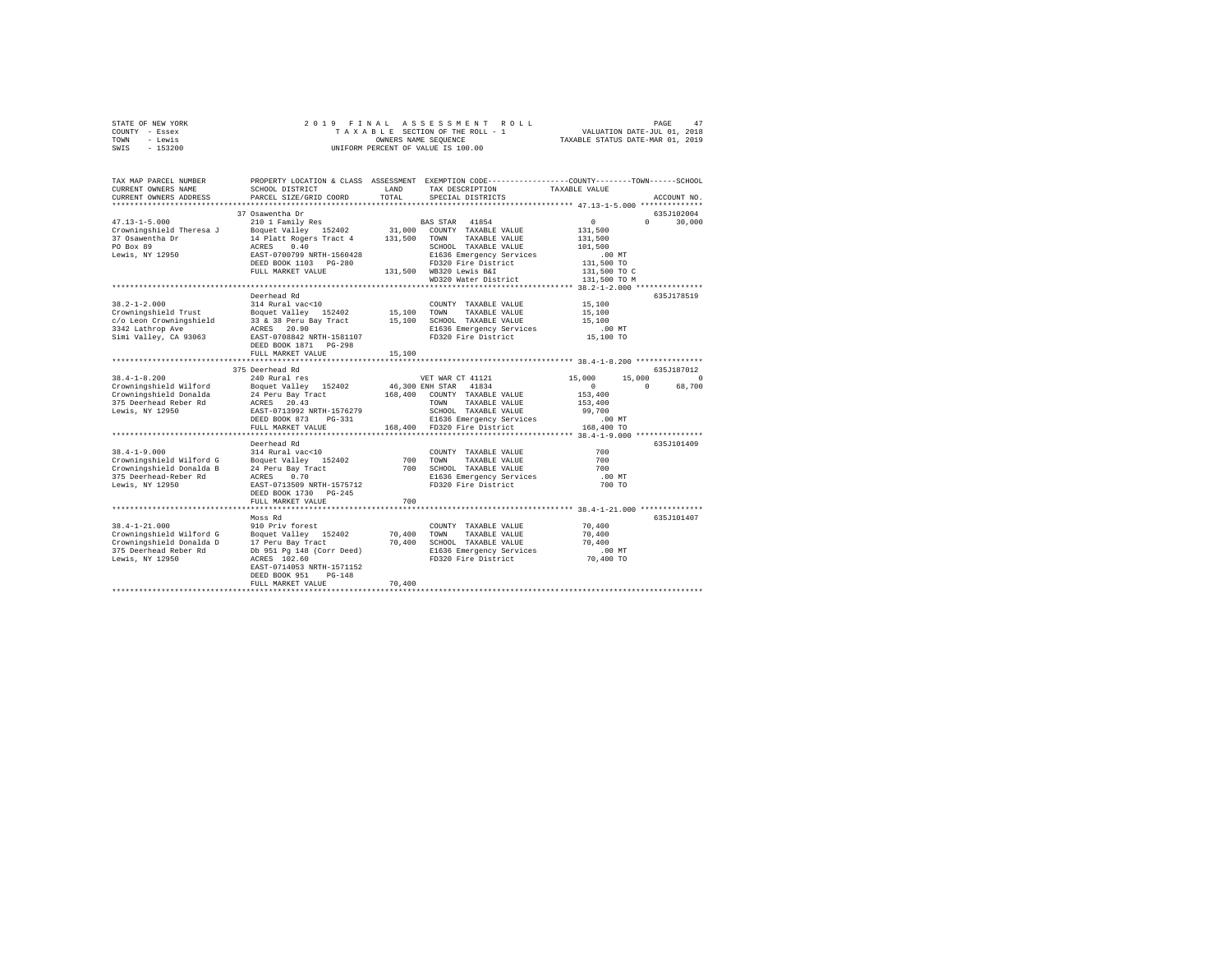| STATE OF NEW YORK<br>COUNTY - Essex             | 2019 FINAL                                     |                  | ASSESSMENT<br>ROLL<br>TAXABLE SECTION OF THE ROLL - 1                                           | VALUATION DATE-JUL 01, 2018                   | PAGE<br>47           |
|-------------------------------------------------|------------------------------------------------|------------------|-------------------------------------------------------------------------------------------------|-----------------------------------------------|----------------------|
| TOWN<br>- Lewis<br>SWIS<br>$-153200$            |                                                |                  | OWNERS NAME SEQUENCE<br>UNIFORM PERCENT OF VALUE IS 100.00                                      | TAXABLE STATUS DATE-MAR 01, 2019              |                      |
|                                                 |                                                |                  |                                                                                                 |                                               |                      |
| TAX MAP PARCEL NUMBER                           |                                                |                  | PROPERTY LOCATION & CLASS ASSESSMENT EXEMPTION CODE---------------COUNTY-------TOWN------SCHOOL |                                               |                      |
| CURRENT OWNERS NAME<br>CURRENT OWNERS ADDRESS   | SCHOOL DISTRICT<br>PARCEL SIZE/GRID COORD      | LAND<br>TOTAL    | TAX DESCRIPTION                                                                                 | TAXABLE VALUE                                 |                      |
| ***********************                         |                                                |                  | SPECIAL DISTRICTS                                                                               |                                               | ACCOUNT NO.          |
|                                                 | 37 Osawentha Dr                                |                  |                                                                                                 |                                               | 635J102004           |
| $47.13 - 1 - 5.000$                             | 210 1 Family Res                               |                  | 41854<br><b>BAS STAR</b>                                                                        | $\cap$<br>$\circ$                             | 30,000               |
| Crowningshield Theresa J                        | Boquet Valley 152402                           |                  | 31,000 COUNTY TAXABLE VALUE                                                                     | 131,500                                       |                      |
| 37 Osawentha Dr                                 | 14 Platt Rogers Tract 4                        | 131,500          | TAXABLE VALUE<br>TOWN                                                                           | 131,500                                       |                      |
| PO Box 89                                       | 0.40<br>ACRES<br>EAST-0700799 NRTH-1560428     |                  | SCHOOL TAXABLE VALUE                                                                            | 101,500                                       |                      |
| Lewis, NY 12950                                 | DEED BOOK 1103 PG-280                          |                  | E1636 Emergency Services<br>FD320 Fire District                                                 | $.00$ MT<br>131,500 TO                        |                      |
|                                                 | FULL MARKET VALUE                              |                  | 131,500 WB320 Lewis B&I                                                                         | 131,500 TO C                                  |                      |
|                                                 |                                                |                  | WD320 Water District                                                                            | 131,500 TO M                                  |                      |
|                                                 |                                                |                  |                                                                                                 |                                               |                      |
|                                                 | Deerhead Rd                                    |                  |                                                                                                 |                                               | 635J178519           |
| $38.2 - 1 - 2.000$                              | 314 Rural vac<10                               |                  | COUNTY TAXABLE VALUE                                                                            | 15,100                                        |                      |
| Crowningshield Trust<br>c/o Leon Crowningshield | Boquet Valley 152402<br>33 & 38 Peru Bay Tract | 15,100<br>15,100 | TOWN<br>TAXABLE VALUE<br>SCHOOL TAXABLE VALUE                                                   | 15,100<br>15,100                              |                      |
| 3342 Lathrop Ave                                | ACRES 20.90                                    |                  | E1636 Emergency Services                                                                        | $.00$ MT                                      |                      |
| Simi Valley, CA 93063                           | EAST-0708842 NRTH-1581107                      |                  | FD320 Fire District                                                                             | 15,100 TO                                     |                      |
|                                                 | DEED BOOK 1871 PG-298                          |                  |                                                                                                 |                                               |                      |
|                                                 | FULL MARKET VALUE                              | 15,100           |                                                                                                 |                                               |                      |
|                                                 |                                                |                  |                                                                                                 |                                               |                      |
|                                                 | 375 Deerhead Rd                                |                  |                                                                                                 |                                               | 635J187012<br>$\cap$ |
| $38.4 - 1 - 8.200$<br>Crowningshield Wilford    | 240 Rural res<br>Boquet Valley 152402          |                  | VET WAR CT 41121<br>46,300 ENH STAR 41834                                                       | 15,000<br>15,000<br>$\Omega$<br>$^{\circ}$    | 68,700               |
| Crowningshield Donalda                          | 24 Peru Bay Tract                              |                  | 168,400 COUNTY TAXABLE VALUE                                                                    | 153,400                                       |                      |
| 375 Deerhead Reber Rd                           | ACRES 20.43                                    |                  | TOWN<br>TAXABLE VALUE                                                                           | 153,400                                       |                      |
| Lewis, NY 12950                                 | EAST-0713992 NRTH-1576279                      |                  | SCHOOL TAXABLE VALUE                                                                            | 99,700                                        |                      |
|                                                 | $PG-331$<br>DEED BOOK 873                      |                  | E1636 Emergency Services                                                                        | $.00$ MT                                      |                      |
|                                                 | FULL MARKET VALUE                              |                  | 168,400 FD320 Fire District                                                                     | 168,400 TO                                    |                      |
|                                                 | Deerhead Rd                                    |                  |                                                                                                 |                                               | 635J101409           |
| $38.4 - 1 - 9.000$                              | 314 Rural vac<10                               |                  | COUNTY TAXABLE VALUE                                                                            | 700                                           |                      |
| Crowningshield Wilford G                        | Boquet Valley 152402                           | 700              | TOWN<br>TAXABLE VALUE                                                                           | 700                                           |                      |
| Crowningshield Donalda B                        | 24 Peru Bay Tract<br>ACRES 0.70                | 700              | SCHOOL TAXABLE VALUE                                                                            | 700                                           |                      |
| 375 Deerhead-Reber Rd                           | ACRES 0.70                                     |                  | E1636 Emergency Services                                                                        | $.00$ MT                                      |                      |
| Lewis, NY 12950                                 | EAST-0713509 NRTH-1575712                      |                  | FD320 Fire District                                                                             | 700 TO                                        |                      |
|                                                 | DEED BOOK 1730 PG-245                          | 700              |                                                                                                 |                                               |                      |
|                                                 | FULL MARKET VALUE                              |                  |                                                                                                 | **************** 38.4-1-21.000 ************** |                      |
|                                                 | Moss Rd                                        |                  |                                                                                                 |                                               | 635J101407           |
| $38.4 - 1 - 21.000$                             | 910 Priv forest                                |                  | COUNTY TAXABLE VALUE                                                                            | 70,400                                        |                      |
| Crowningshield Wilford G                        | Boquet Valley 152402                           | 70,400           | TOWN<br>TAXABLE VALUE                                                                           | 70,400                                        |                      |
| Crowningshield Donalda D                        | 17 Peru Bay Tract                              | 70,400           | SCHOOL TAXABLE VALUE                                                                            | 70,400                                        |                      |
| 375 Deerhead Reber Rd                           | Db 951 Pg 148 (Corr Deed)                      |                  | E1636 Emergency Services                                                                        | $.00$ MT                                      |                      |
| Lewis, NY 12950                                 | ACRES 102.60<br>EAST-0714053 NRTH-1571152      |                  | FD320 Fire District                                                                             | 70,400 TO                                     |                      |
|                                                 | DEED BOOK 951<br>$PG-148$                      |                  |                                                                                                 |                                               |                      |
|                                                 | FULL MARKET VALUE                              | 70,400           |                                                                                                 |                                               |                      |
|                                                 |                                                |                  |                                                                                                 |                                               |                      |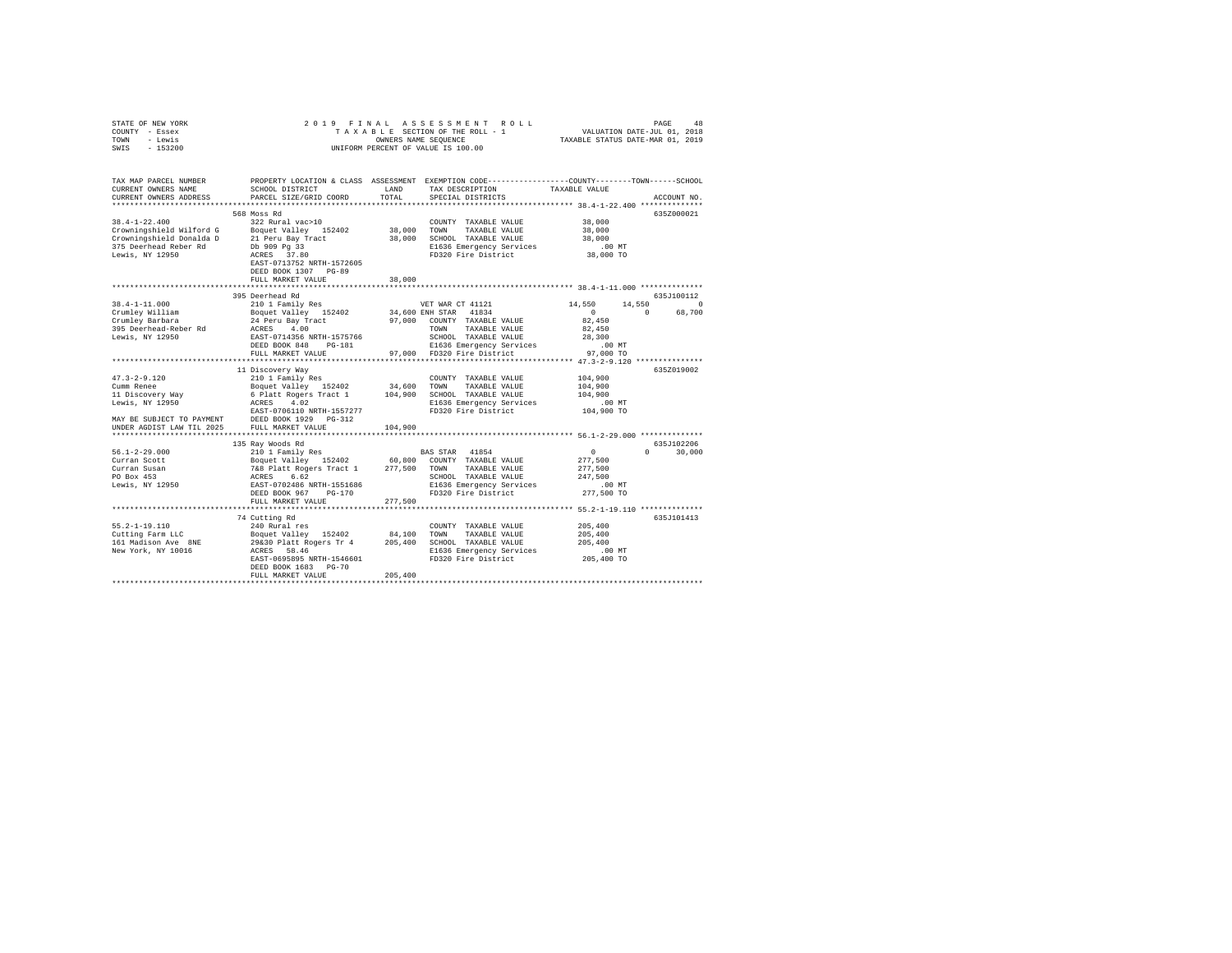| STATE OF NEW YORK                   | 2019 FINAL                                                                                     |         | ASSESSMENT ROLL                                                                                |                             | PAGE<br>48                      |  |  |
|-------------------------------------|------------------------------------------------------------------------------------------------|---------|------------------------------------------------------------------------------------------------|-----------------------------|---------------------------------|--|--|
| COUNTY - Essex                      |                                                                                                |         | TAXABLE SECTION OF THE ROLL - 1                                                                | VALUATION DATE-JUL 01, 2018 |                                 |  |  |
| - Lewis<br>TOWN                     | TAXABLE STATUS DATE-MAR 01, 2019<br>OWNERS NAME SEQUENCE<br>UNIFORM PERCENT OF VALUE IS 100.00 |         |                                                                                                |                             |                                 |  |  |
| SWIS<br>$-153200$                   |                                                                                                |         |                                                                                                |                             |                                 |  |  |
|                                     |                                                                                                |         |                                                                                                |                             |                                 |  |  |
|                                     |                                                                                                |         |                                                                                                |                             |                                 |  |  |
| TAX MAP PARCEL NUMBER               |                                                                                                |         | PROPERTY LOCATION & CLASS ASSESSMENT EXEMPTION CODE---------------COUNTY-------TOWN-----SCHOOL |                             |                                 |  |  |
| CURRENT OWNERS NAME                 | SCHOOL DISTRICT                                                                                | LAND    | TAX DESCRIPTION                                                                                | TAXABLE VALUE               |                                 |  |  |
| CURRENT OWNERS ADDRESS              | PARCEL SIZE/GRID COORD                                                                         | TOTAL   | SPECIAL DISTRICTS                                                                              |                             | ACCOUNT NO.                     |  |  |
|                                     |                                                                                                |         |                                                                                                |                             |                                 |  |  |
|                                     | 568 Moss Rd                                                                                    |         |                                                                                                |                             | 635Z000021                      |  |  |
| $38.4 - 1 - 22.400$                 | 322 Rural vac>10                                                                               |         |                                                                                                | 38,000                      |                                 |  |  |
|                                     |                                                                                                |         | COUNTY TAXABLE VALUE<br>TOWN                                                                   | 38,000                      |                                 |  |  |
| Crowningshield Wilford G            | Boquet Valley 152402                                                                           | 38,000  | TAXABLE VALUE                                                                                  | 38,000                      |                                 |  |  |
| Crowningshield Donalda D            | 21 Peru Bay Tract                                                                              | 38,000  | SCHOOL TAXABLE VALUE                                                                           |                             |                                 |  |  |
| 375 Deerhead Reber Rd               | Db 909 Pg 33                                                                                   |         | E1636 Emergency Services                                                                       | $.00$ MT                    |                                 |  |  |
| Lewis, NY 12950                     | ACRES 37.80                                                                                    |         | FD320 Fire District                                                                            | 38,000 TO                   |                                 |  |  |
|                                     | EAST-0713752 NRTH-1572605                                                                      |         |                                                                                                |                             |                                 |  |  |
|                                     | DEED BOOK 1307 PG-89                                                                           |         |                                                                                                |                             |                                 |  |  |
|                                     | FULL MARKET VALUE                                                                              | 38,000  |                                                                                                |                             |                                 |  |  |
|                                     |                                                                                                |         |                                                                                                |                             |                                 |  |  |
|                                     | 395 Deerhead Rd                                                                                |         |                                                                                                |                             | 635J100112                      |  |  |
| 38.4-1-11.000                       | 210 1 Family Res                                                                               |         | VET WAR CT 41121                                                                               | 14,550<br>14,550            | $\circ$                         |  |  |
| Crumley William                     | Boquet Valley 152402                                                                           |         | 34,600 ENH STAR 41834                                                                          | $\sim$ 0<br>$\Omega$        | 68,700                          |  |  |
| Crumley Barbara                     | 24 Peru Bay Tract                                                                              |         | 97,000 COUNTY TAXABLE VALUE                                                                    | 82,450                      |                                 |  |  |
| 395 Deerhead-Reber Rd               | ACRES 4.00                                                                                     |         | TOWN<br>TAXABLE VALUE                                                                          | 82,450                      |                                 |  |  |
| Lewis, NY 12950                     | EAST-0714356 NRTH-1575766                                                                      |         | SCHOOL TAXABLE VALUE                                                                           | 28,300                      |                                 |  |  |
|                                     | DEED BOOK 848 PG-181                                                                           |         | E1636 Emergency Services                                                                       | $.00$ MT                    |                                 |  |  |
|                                     | FULL MARKET VALUE                                                                              |         | 97,000 FD320 Fire District                                                                     | 97,000 TO                   |                                 |  |  |
|                                     |                                                                                                |         |                                                                                                |                             |                                 |  |  |
|                                     | 11 Discovery Way                                                                               |         |                                                                                                |                             | 635Z019002                      |  |  |
| $47.3 - 2 - 9.120$                  | 210 1 Family Res                                                                               |         | COUNTY TAXABLE VALUE                                                                           | 104,900                     |                                 |  |  |
| Cumm Renee                          | Boquet Valley 152402                                                                           | 34,600  | TAXABLE VALUE<br>TOWN                                                                          | 104,900                     |                                 |  |  |
| 11 Discovery Way                    | 6 Platt Rogers Tract 1<br>ACRES 4.02                                                           | 104,900 | SCHOOL TAXABLE VALUE                                                                           | 104,900                     |                                 |  |  |
| 11 Discovery nuj<br>Lewis, NY 12950 |                                                                                                |         | E1636 Emergency Services                                                                       | $.00$ MT                    |                                 |  |  |
|                                     | EAST-0706110 NRTH-1557277                                                                      |         | FD320 Fire District                                                                            | 104,900 TO                  |                                 |  |  |
| MAY BE SUBJECT TO PAYMENT           | DEED BOOK 1929 PG-312                                                                          |         |                                                                                                |                             |                                 |  |  |
| UNDER AGDIST LAW TIL 2025           | FULL MARKET VALUE                                                                              | 104,900 |                                                                                                |                             |                                 |  |  |
|                                     |                                                                                                |         |                                                                                                |                             |                                 |  |  |
|                                     | 135 Ray Woods Rd                                                                               |         |                                                                                                |                             | 635J102206                      |  |  |
| $56.1 - 2 - 29.000$                 | 210 1 Family Res                                                                               |         | 41854<br>BAS STAR                                                                              | $\Omega$                    | $\Omega$ and $\Omega$<br>30,000 |  |  |
| Curran Scott                        | Boquet Valley 152402 60,800 COUNTY TAXABLE VALUE                                               |         |                                                                                                | 277,500                     |                                 |  |  |
| Curran Susan                        |                                                                                                |         | TOWN<br>TAXABLE VALUE                                                                          | 277,500                     |                                 |  |  |
| PO Box 453                          | 728 Platt Rogers Tract 1 277,500<br>ACRES 6.62<br>EAST-0702486 NRTH-1551686                    |         | SCHOOL TAXABLE VALUE                                                                           | 247.500                     |                                 |  |  |
| Lewis, NY 12950                     |                                                                                                |         | E1636 Emergency Services                                                                       | $.00$ MT                    |                                 |  |  |
|                                     | DEED BOOK 967 PG-170                                                                           |         | FD320 Fire District                                                                            | 277,500 TO                  |                                 |  |  |
|                                     | FULL MARKET VALUE                                                                              | 277,500 |                                                                                                |                             |                                 |  |  |
|                                     |                                                                                                |         |                                                                                                |                             |                                 |  |  |
|                                     | 74 Cutting Rd                                                                                  |         |                                                                                                |                             | 635J101413                      |  |  |
| $55.2 - 1 - 19.110$                 | 240 Rural res                                                                                  |         | COUNTY TAXABLE VALUE                                                                           | 205,400                     |                                 |  |  |
| Cutting Farm LLC                    | Boquet Valley 152402                                                                           | 84,100  | TOWN<br>TAXABLE VALUE                                                                          | 205,400                     |                                 |  |  |
| 161 Madison Ave 8NE                 | 29&30 Platt Rogers Tr 4                                                                        | 205,400 | SCHOOL TAXABLE VALUE                                                                           | 205,400                     |                                 |  |  |
| New York, NY 10016                  | ACRES 58.46                                                                                    |         | E1636 Emergency Services                                                                       | $.00$ MT                    |                                 |  |  |
|                                     | EAST-0695895 NRTH-1546601                                                                      |         | FD320 Fire District                                                                            | 205,400 TO                  |                                 |  |  |
|                                     | DEED BOOK 1683 PG-70                                                                           |         |                                                                                                |                             |                                 |  |  |
|                                     | FULL MARKET VALUE                                                                              | 205,400 |                                                                                                |                             |                                 |  |  |
|                                     |                                                                                                |         |                                                                                                |                             |                                 |  |  |
|                                     |                                                                                                |         |                                                                                                |                             |                                 |  |  |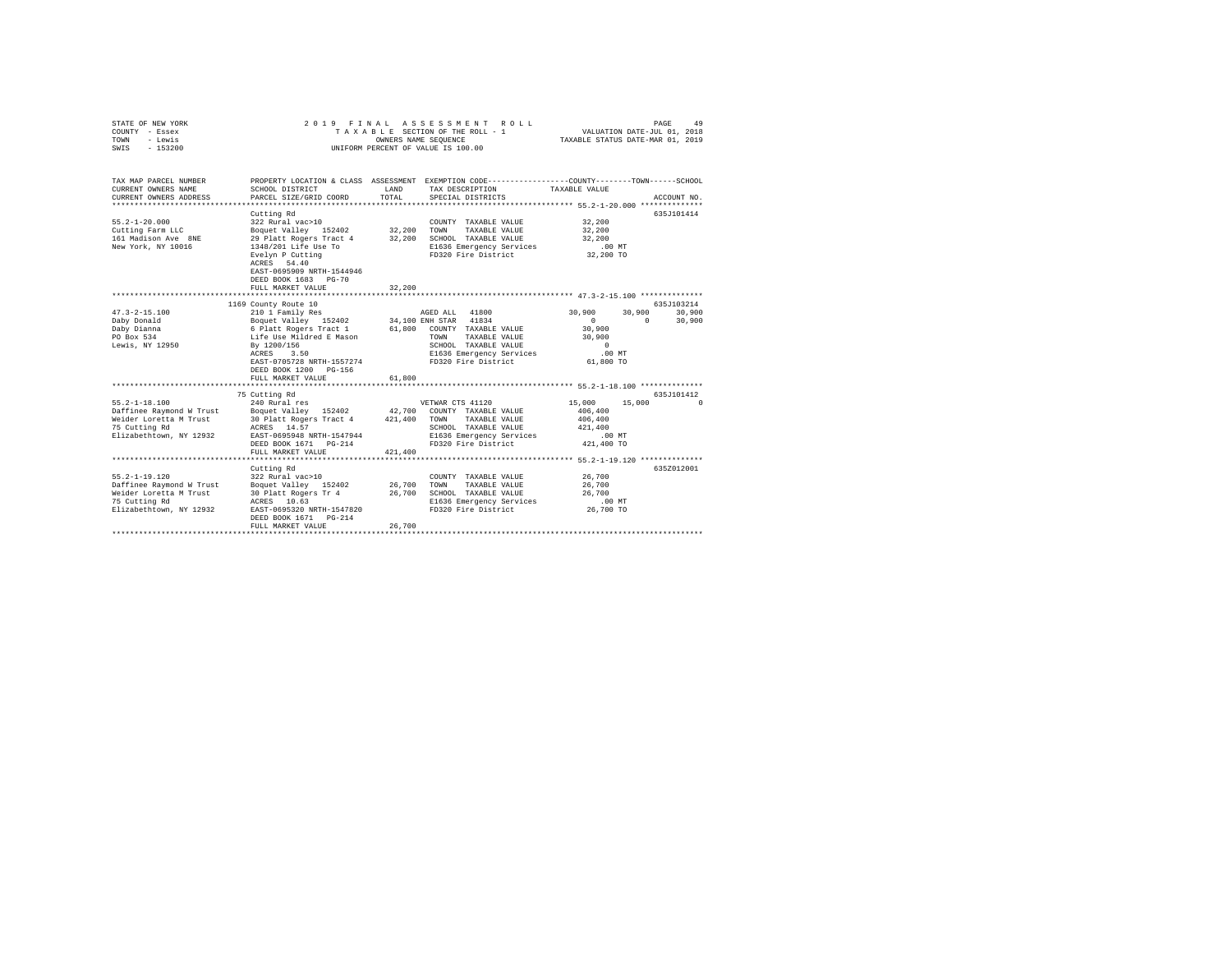| STATE OF NEW YORK<br>COUNTY - Essex<br>TOWN<br>- Lewis<br>$-153200$<br>SWIS                          | 2019 FINAL                                                                           | OWNERS NAME SEQUENCE | ASSESSMENT<br>ROLL<br>TAXABLE SECTION OF THE ROLL - 1<br>UNIFORM PERCENT OF VALUE IS 100.00                                             | VALUATION DATE-JUL 01, 2018<br>TAXABLE STATUS DATE-MAR 01, 2019 | PAGE     | 49          |
|------------------------------------------------------------------------------------------------------|--------------------------------------------------------------------------------------|----------------------|-----------------------------------------------------------------------------------------------------------------------------------------|-----------------------------------------------------------------|----------|-------------|
| TAX MAP PARCEL NUMBER<br>CURRENT OWNERS NAME<br>CURRENT OWNERS ADDRESS<br>************************** | SCHOOL DISTRICT<br>PARCEL SIZE/GRID COORD                                            | LAND<br>TOTAL        | PROPERTY LOCATION & CLASS ASSESSMENT EXEMPTION CODE---------------COUNTY-------TOWN------SCHOOL<br>TAX DESCRIPTION<br>SPECIAL DISTRICTS | TAXABLE VALUE                                                   |          | ACCOUNT NO. |
|                                                                                                      |                                                                                      |                      |                                                                                                                                         |                                                                 |          |             |
| $55.2 - 1 - 20.000$                                                                                  | Cutting Rd<br>322 Rural vac>10                                                       |                      | COUNTY TAXABLE VALUE                                                                                                                    | 32,200                                                          |          | 635J101414  |
| Cutting Farm LLC                                                                                     | Boquet Valley 152402                                                                 | 32,200               | TAXABLE VALUE<br>TOWN                                                                                                                   | 32,200                                                          |          |             |
| 161 Madison Ave 8NE                                                                                  | 29 Platt Rogers Tract 4                                                              | 32,200               | SCHOOL TAXABLE VALUE                                                                                                                    | 32,200                                                          |          |             |
| New York, NY 10016                                                                                   | 1348/201 Life Use To                                                                 |                      | E1636 Emergency Services                                                                                                                | $.00$ MT                                                        |          |             |
|                                                                                                      | Evelyn P Cutting<br>ACRES 54.40<br>EAST-0695909 NRTH-1544946<br>DEED BOOK 1683 PG-70 |                      | FD320 Fire District                                                                                                                     | 32,200 TO                                                       |          |             |
|                                                                                                      | FULL MARKET VALUE                                                                    | 32,200               |                                                                                                                                         |                                                                 |          |             |
|                                                                                                      | 1169 County Route 10                                                                 |                      |                                                                                                                                         |                                                                 |          | 635J103214  |
| $47.3 - 2 - 15.100$                                                                                  | 210 1 Family Res                                                                     |                      | AGED ALL 41800                                                                                                                          | 30,900                                                          | 30,900   | 30,900      |
| Daby Donald                                                                                          | Boquet Valley 152402                                                                 |                      | 34,100 ENH STAR 41834                                                                                                                   | $\Omega$                                                        | $\Omega$ | 30,900      |
| Daby Dianna                                                                                          | 6 Platt Rogers Tract 1                                                               |                      | 61,800 COUNTY TAXABLE VALUE                                                                                                             | 30,900                                                          |          |             |
| PO Box 534                                                                                           | Life Use Mildred E Mason                                                             |                      | TAXABLE VALUE<br>TOWN                                                                                                                   | 30,900                                                          |          |             |
| Lewis, NY 12950                                                                                      | By 1200/156                                                                          |                      | SCHOOL TAXABLE VALUE                                                                                                                    | $\Omega$                                                        |          |             |
|                                                                                                      | ACRES<br>3.50                                                                        |                      | E1636 Emergency Services                                                                                                                | $.00$ MT                                                        |          |             |
|                                                                                                      | EAST-0705728 NRTH-1557274<br>DEED BOOK 1200 PG-156<br>FULL MARKET VALUE              | 61,800               | FD320 Fire District                                                                                                                     | 61,800 TO                                                       |          |             |
|                                                                                                      |                                                                                      |                      |                                                                                                                                         |                                                                 |          |             |
|                                                                                                      | 75 Cutting Rd                                                                        |                      |                                                                                                                                         |                                                                 |          | 635J101412  |
| $55.2 - 1 - 18.100$                                                                                  | 240 Rural res                                                                        |                      | VETWAR CTS 41120                                                                                                                        | 15,000                                                          | 15,000   | $\Omega$    |
| Daffinee Raymond W Trust                                                                             | Boquet Valley 152402                                                                 |                      | 42,700 COUNTY TAXABLE VALUE                                                                                                             | 406,400                                                         |          |             |
| Weider Loretta M Trust                                                                               | 30 Platt Rogers Tract 4                                                              | 421,400              | TAXABLE VALUE<br>TOWN                                                                                                                   | 406,400                                                         |          |             |
| 75 Cutting Rd<br>Elizabethtown, NY 12932                                                             | ACRES 14.57<br>EAST-0695948 NRTH-1547944                                             |                      | SCHOOL TAXABLE VALUE<br>E1636 Emergency Services                                                                                        | 421,400<br>.00MT                                                |          |             |
|                                                                                                      | DEED BOOK 1671 PG-214                                                                |                      | FD320 Fire District                                                                                                                     | 421,400 TO                                                      |          |             |
|                                                                                                      | FULL MARKET VALUE                                                                    | 421,400              |                                                                                                                                         |                                                                 |          |             |
|                                                                                                      |                                                                                      |                      |                                                                                                                                         |                                                                 |          |             |
|                                                                                                      | Cutting Rd                                                                           |                      |                                                                                                                                         |                                                                 |          | 635Z012001  |
| $55.2 - 1 - 19.120$                                                                                  | 322 Rural vac>10                                                                     |                      | COUNTY TAXABLE VALUE                                                                                                                    | 26,700                                                          |          |             |
| Daffinee Raymond W Trust                                                                             | Boquet Valley 152402                                                                 | 26,700               | TOWN<br>TAXABLE VALUE                                                                                                                   | 26,700                                                          |          |             |
| Weider Loretta M Trust                                                                               | 30 Platt Rogers Tr 4                                                                 | 26,700               | SCHOOL TAXABLE VALUE                                                                                                                    | 26,700                                                          |          |             |
| 75 Cutting Rd                                                                                        | ACRES 10.63                                                                          |                      | E1636 Emergency Services                                                                                                                | .00MT                                                           |          |             |
| Elizabethtown, NY 12932                                                                              | EAST-0695320 NRTH-1547820<br>DEED BOOK 1671 PG-214<br>FULL MARKET VALUE              | 26,700               | FD320 Fire District                                                                                                                     | 26,700 TO                                                       |          |             |
|                                                                                                      | *************************                                                            |                      |                                                                                                                                         |                                                                 |          |             |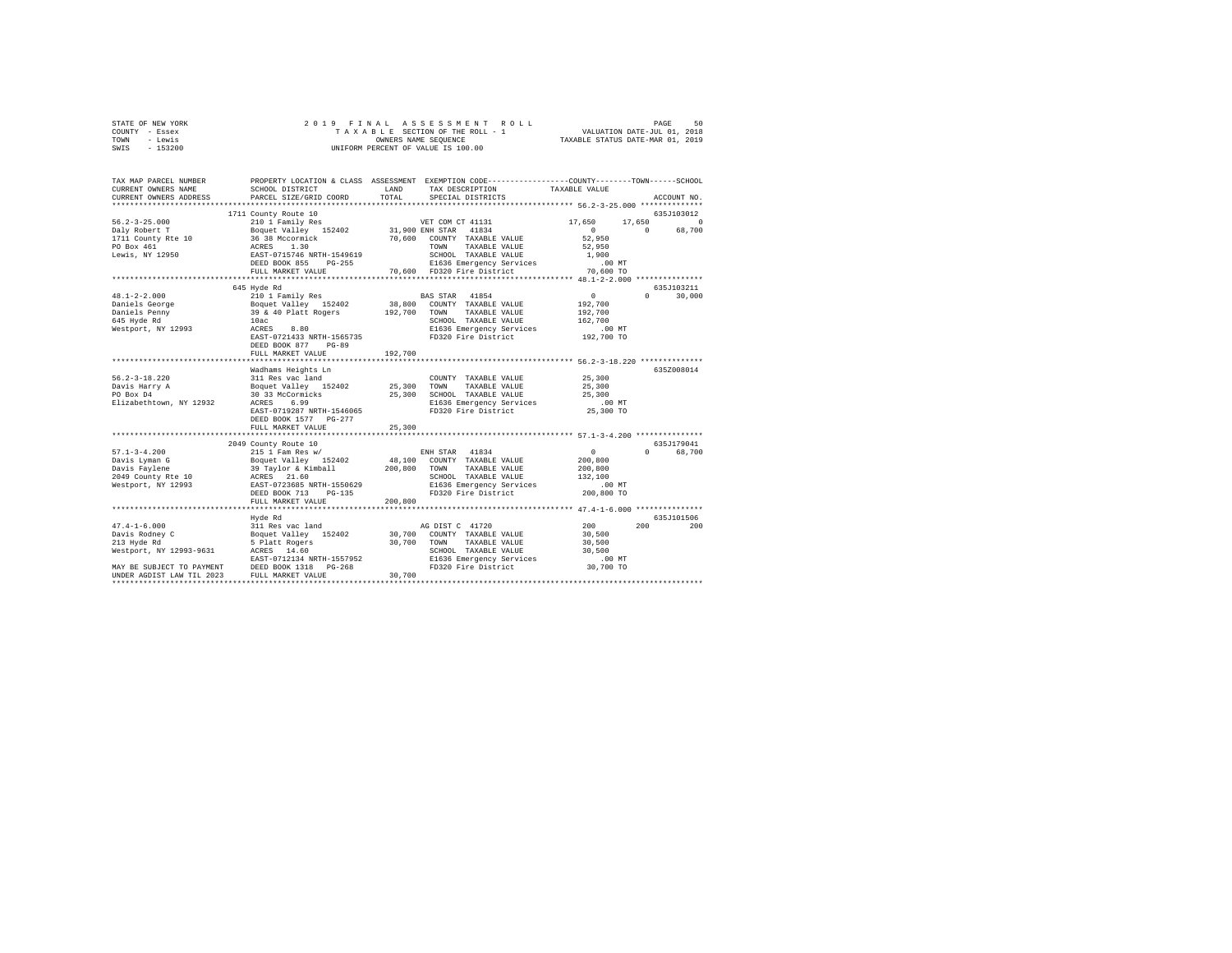| STATE OF NEW YORK                   | 2019 FINAL                                                 | ASSESSMENT ROLL                                                                                 | PAGE 50<br>VALUATION DATE-JUL 01, 2018 |
|-------------------------------------|------------------------------------------------------------|-------------------------------------------------------------------------------------------------|----------------------------------------|
| COUNTY - Essex                      |                                                            | TAXABLE SECTION OF THE ROLL - 1                                                                 |                                        |
| TOWN<br>- Lewis                     |                                                            | OWNERS NAME SEQUENCE                                                                            | TAXABLE STATUS DATE-MAR 01, 2019       |
| SWIS<br>$-153200$                   |                                                            | UNIFORM PERCENT OF VALUE IS 100.00                                                              |                                        |
| TAX MAP PARCEL NUMBER               |                                                            | PROPERTY LOCATION & CLASS ASSESSMENT EXEMPTION CODE---------------COUNTY-------TOWN------SCHOOL |                                        |
| CURRENT OWNERS NAME                 | SCHOOL DISTRICT                                            | LAND<br>TAX DESCRIPTION                                                                         | TAXABLE VALUE                          |
| CURRENT OWNERS ADDRESS              | PARCEL SIZE/GRID COORD                                     | TOTAL<br>SPECIAL DISTRICTS                                                                      | ACCOUNT NO.                            |
|                                     |                                                            |                                                                                                 |                                        |
|                                     | 1711 County Route 10                                       |                                                                                                 | 635J103012                             |
| $56.2 - 3 - 25.000$                 | 210 1 Family Res                                           | VET COM CT 41131                                                                                | 17,650<br>17,650<br>$\sim$ 0           |
| Daly Robert T                       | Boquet Valley 152402                                       | 31,900 ENH STAR 41834                                                                           | $\sim$ 0<br>$\Omega$<br>68,700         |
| 1711 County Rte 10                  |                                                            | 70,600 COUNTY TAXABLE VALUE                                                                     | 52,950                                 |
| PO Box 461                          | 36 38 Mccormick<br>ACRES 1.30<br>EAST-0715746 NRTH-1549619 | TOWN<br>TAXABLE VALUE                                                                           | 52,950                                 |
| Lewis, NY 12950                     |                                                            | SCHOOL TAXABLE VALUE                                                                            | 1,900                                  |
|                                     | DEED BOOK 855 PG-255                                       | E1636 Emergency Services                                                                        | $.00$ MT                               |
|                                     | FULL MARKET VALUE                                          | 70,600 FD320 Fire District                                                                      | 70,600 TO                              |
|                                     |                                                            |                                                                                                 |                                        |
|                                     | 645 Hyde Rd                                                |                                                                                                 | 635J103211                             |
| $48.1 - 2 - 2.000$                  | 210 1 Family Res                                           | BAS STAR 41854                                                                                  | $\sim$ 0<br>$\Omega$<br>30,000         |
| Daniels George                      | Boquet Valley 152402                                       | 38,800 COUNTY TAXABLE VALUE                                                                     | 192,700                                |
| Daniels Penny                       | 39 & 40 Platt Rogers                                       | 192,700<br>TOWN TAXABLE VALUE                                                                   | 192,700                                |
| 645 Hyde Rd                         | 10ac                                                       | SCHOOL TAXABLE VALUE                                                                            | 162,700                                |
| Westport, NY 12993                  | ACRES<br>8.80                                              | E1636 Emergency Services                                                                        | .00MT                                  |
|                                     | EAST-0721433 NRTH-1565735                                  | FD320 Fire District                                                                             | 192,700 TO                             |
|                                     | DEED BOOK 877 PG-89                                        |                                                                                                 |                                        |
|                                     | FULL MARKET VALUE                                          | 192,700                                                                                         |                                        |
|                                     | Wadhams Heights Ln                                         |                                                                                                 | 635Z008014                             |
| $56.2 - 3 - 18.220$                 | 311 Res vac land                                           | COUNTY TAXABLE VALUE                                                                            | 25,300                                 |
| Davis Harry A                       | Boquet Valley 152402                                       | 25,300<br>TAXABLE VALUE<br>TOWN                                                                 | 25,300                                 |
| PO Box D4                           | 30 33 McCormicks                                           | 25,300<br>SCHOOL TAXABLE VALUE                                                                  | 25,300                                 |
| Elizabethtown, NY 12932             | ACRES 6.99                                                 | E1636 Emergency Services                                                                        | $.00$ MT                               |
|                                     | EAST-0719287 NRTH-1546065                                  | FD320 Fire District                                                                             | 25,300 TO                              |
|                                     | DEED BOOK 1577 PG-277                                      |                                                                                                 |                                        |
|                                     | FULL MARKET VALUE                                          | 25,300                                                                                          |                                        |
|                                     |                                                            |                                                                                                 |                                        |
|                                     | 2049 County Route 10                                       |                                                                                                 | 635J179041                             |
| $57.1 - 3 - 4.200$                  | $215$ 1 Fam Res w/                                         | ENH STAR 41834                                                                                  | $\sim$ 0<br>0 68,700                   |
| Davis Lyman G                       | Boquet Valley 152402                                       | 48,100 COUNTY TAXABLE VALUE                                                                     | 200,800                                |
| Davis Faylene                       | 39 Taylor & Kimball                                        | 200,800<br>TOWN<br>TAXABLE VALUE                                                                | 200,800                                |
| 2049 County Rte 10                  | ACRES 21.60                                                | SCHOOL TAXABLE VALUE                                                                            | 132,100                                |
| Westport, NY 12993                  | EAST-0723685 NRTH-1550629                                  | E1636 Emergency Services                                                                        | $.00$ MT                               |
|                                     | DEED BOOK 713 PG-135                                       | FD320 Fire District                                                                             | 200,800 TO                             |
|                                     | FULL MARKET VALUE                                          | 200,800                                                                                         |                                        |
|                                     |                                                            |                                                                                                 |                                        |
|                                     | Hyde Rd                                                    |                                                                                                 | 635J101506                             |
| $47.4 - 1 - 6.000$                  | 311 Res vac land                                           | AG DIST C 41720                                                                                 | 200<br>200<br>200                      |
| Davis Rodney C                      |                                                            | Boquet Valley 152402 30,700 COUNTY TAXABLE VALUE                                                | 30,500                                 |
| 213 Hyde Rd                         | 5 Platt Rogers                                             | 30,700<br>TOWN TAXABLE VALUE                                                                    | 30,500                                 |
| Westport, NY 12993-9631 ACRES 14.60 |                                                            | SCHOOL TAXABLE VALUE                                                                            | 30,500                                 |
|                                     | EAST-0712134 NRTH-1557952                                  | E1636 Emergency Services                                                                        | $.00$ MT                               |
|                                     | MAY BE SUBJECT TO PAYMENT DEED BOOK 1318 PG-268            | FD320 Fire District                                                                             | 30,700 TO                              |
| UNDER AGDIST LAW TIL 2023           | FULL MARKET VALUE                                          | 30,700                                                                                          |                                        |
|                                     |                                                            |                                                                                                 |                                        |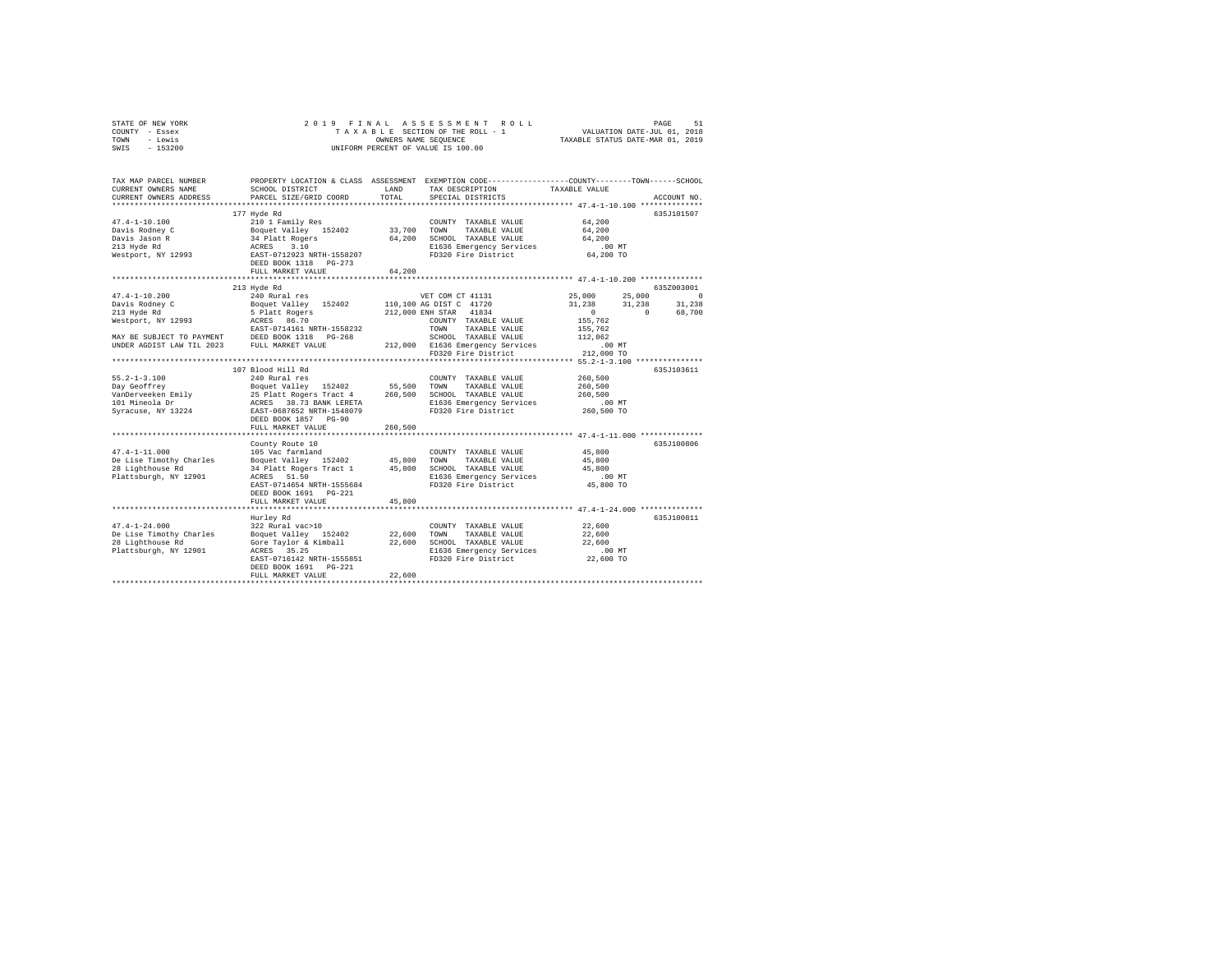| STATE OF NEW YORK |         |  |  |  | 2019 FINAL ASSESSMENT ROLL         |                                  | PAGE                        | 51 |
|-------------------|---------|--|--|--|------------------------------------|----------------------------------|-----------------------------|----|
| COUNTY - Essex    |         |  |  |  | TAXABLE SECTION OF THE ROLL - 1    |                                  | VALUATION DATE-JUL 01, 2018 |    |
| TOWN              | - Lewis |  |  |  | OWNERS NAME SEOUENCE               | TAXABLE STATUS DATE-MAR 01, 2019 |                             |    |
| SWIS - 153200     |         |  |  |  | UNIFORM PERCENT OF VALUE IS 100.00 |                                  |                             |    |

| TAX MAP PARCEL NUMBER<br>CURRENT OWNERS NAME<br>CURRENT OWNERS ADDRESS                                  | SCHOOL DISTRICT<br>PARCEL SIZE/GRID COORD                                                                                                                                                                             | <b>T.AND</b><br>TOTAL      | PROPERTY LOCATION & CLASS ASSESSMENT EXEMPTION CODE---------------COUNTY-------TOWN-----SCHOOL<br>TAX DESCRIPTION<br>SPECIAL DISTRICTS                                                                    | TAXABLE VALUE                                                                                               | ACCOUNT NO.                                              |
|---------------------------------------------------------------------------------------------------------|-----------------------------------------------------------------------------------------------------------------------------------------------------------------------------------------------------------------------|----------------------------|-----------------------------------------------------------------------------------------------------------------------------------------------------------------------------------------------------------|-------------------------------------------------------------------------------------------------------------|----------------------------------------------------------|
| $47.4 - 1 - 10.100$<br>Davis Rodney C<br>Davis Jason R<br>213 Hyde Rd<br>Westport, NY 12993             | 177 Hyde Rd<br>210 1 Family Res<br>Boquet Valley 152402<br>34 Platt Rogers<br>ACRES 3.10<br>EAST-0712923 NRTH-1558207<br>DEED BOOK 1318 PG-273<br>FULL MARKET VALUE                                                   | 33,700<br>64,200<br>64,200 | COUNTY TAXABLE VALUE<br>TOWN<br>TAXABLE VALUE<br>SCHOOL TAXABLE VALUE<br>E1636 Emergency Services<br>FD320 Fire District                                                                                  | 64,200<br>64,200<br>64,200<br>$.00$ MT<br>64,200 TO<br>******************* 47.4-1-10.200 **************     | 635J101507                                               |
| $47.4 - 1 - 10.200$<br>Davis Rodney C<br>213 Hyde Rd<br>Westport, NY 12993<br>UNDER AGDIST LAW TIL 2023 | 213 Hyde Rd<br>240 Rural res<br>Boquet Valley 152402<br>5 Platt Rogers<br>ACRES 86.70<br>EAST-0714161 NRTH-1558232<br>MAY BE SUBJECT TO PAYMENT DEED BOOK 1318 PG-268<br>FULL MARKET VALUE                            |                            | VET COM CT 41131<br>110,100 AG DIST C 41720<br>212,000 ENH STAR 41834<br>COUNTY TAXABLE VALUE<br>TOWN<br>TAXABLE VALUE<br>SCHOOL TAXABLE VALUE<br>212,000 E1636 Emergency Services<br>FD320 Fire District | 25,000<br>25,000<br>31,238<br>31,238<br>$\sim$ 0<br>155.762<br>155,762<br>112,062<br>$.00$ MT<br>212,000 TO | 635Z003001<br>$^{\circ}$<br>31,238<br>$\Omega$<br>68,700 |
| $55.2 - 1 - 3.100$<br>Day Geoffrey<br>VanDerveeken Emily<br>101 Mineola Dr<br>Syracuse, NY 13224        | 107 Blood Hill Rd<br>240 Rural res<br>Boquet Valley 152402<br>25 Platt Rogers Tract 4 260,500<br>ACRES 38.73 BANK LERETA<br>EAST-0687652 NRTH-1548079<br>DEED BOOK 1857 PG-90<br>FULL MARKET VALUE                    | 55,500<br>260,500          | COUNTY TAXABLE VALUE<br>TOWN<br>TAXABLE VALUE<br>SCHOOL TAXABLE VALUE<br>E1636 Emergency Services<br>FD320 Fire District                                                                                  | 260,500<br>260,500<br>260,500<br>$.00$ MT<br>260,500 TO                                                     | 635J103611                                               |
| $47.4 - 1 - 11.000$<br>De Lise Timothy Charles<br>28 Lighthouse Rd<br>Plattsburgh, NY 12901             | **************************<br>County Route 10<br>105 Vac farmland<br>Boquet Valley 152402<br>34 Platt Rogers Tract 1 45,800<br>ACRES 51.50<br>EAST-0714654 NRTH-1555684<br>DEED BOOK 1691 PG-221<br>FULL MARKET VALUE | 45,800<br>45,800           | COUNTY TAXABLE VALUE<br>TOWN<br>TAXABLE VALUE<br>SCHOOL TAXABLE VALUE<br>E1636 Emergency Services<br>FD320 Fire District                                                                                  | ******************** 47.4-1-11.000 **************<br>45,800<br>45,800<br>45,800<br>.00 MT<br>45,800 TO      | 635J100806                                               |
| $47.4 - 1 - 24.000$<br>De Lise Timothy Charles<br>28 Lighthouse Rd<br>Plattsburgh, NY 12901             | Hurley Rd<br>322 Rural vac>10<br>Boquet Valley 152402<br>Gore Taylor & Kimball<br>ACRES 35.25<br>ACRES 35.25<br>EAST-0716142 NRTH-1555851<br>DEED BOOK 1691 PG-221<br>FULL MARKET VALUE                               | 22,600<br>22,600<br>22,600 | ********************************* 47.4-1-24.000 **************<br>COUNTY TAXABLE VALUE<br>TAXABLE VALUE<br>TOWN<br>SCHOOL TAXABLE VALUE<br>E1636 Emergency Services<br>FD320 Fire District                | 22,600<br>22,600<br>22,600<br>$.00$ MT<br>22,600 TO                                                         | 635J100811                                               |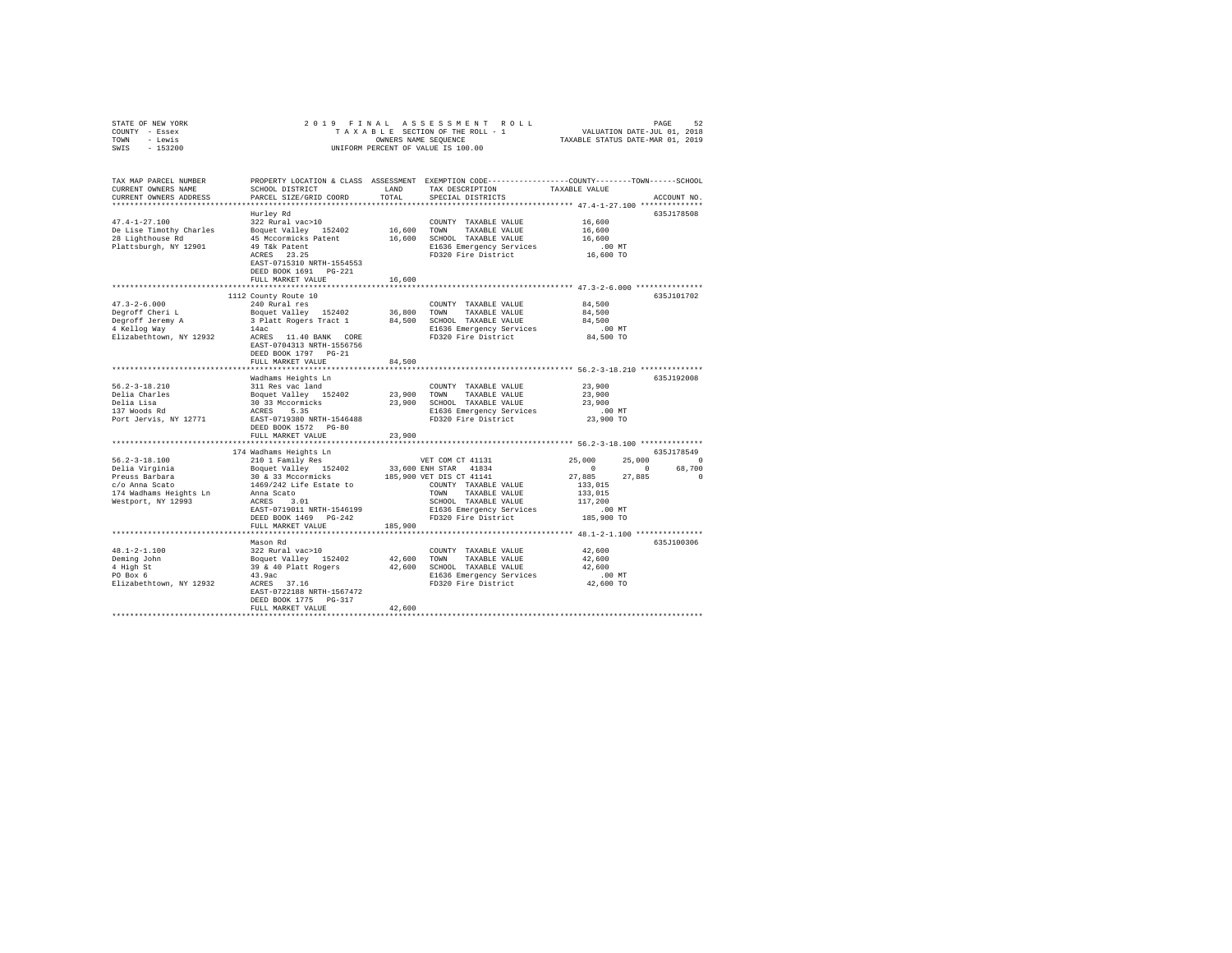| STATE OF NEW YORK                                                                                                                                                                                                                                                                                                                                                                                             |                              |        |                             |                                 |             |
|---------------------------------------------------------------------------------------------------------------------------------------------------------------------------------------------------------------------------------------------------------------------------------------------------------------------------------------------------------------------------------------------------------------|------------------------------|--------|-----------------------------|---------------------------------|-------------|
| COUNTY - Essex                                                                                                                                                                                                                                                                                                                                                                                                |                              |        |                             |                                 |             |
| TOWN - Lewis                                                                                                                                                                                                                                                                                                                                                                                                  |                              |        |                             |                                 |             |
| SWIS - 153200                                                                                                                                                                                                                                                                                                                                                                                                 |                              |        |                             |                                 |             |
|                                                                                                                                                                                                                                                                                                                                                                                                               |                              |        |                             |                                 |             |
|                                                                                                                                                                                                                                                                                                                                                                                                               |                              |        |                             |                                 |             |
|                                                                                                                                                                                                                                                                                                                                                                                                               |                              |        |                             |                                 |             |
| TAX MAP PARCEL NUMBER PROPERTY LOCATION & CLASS ASSESSMENT EXEMPTION CODE---------------COUNTY-------TOWN-----SCHOOL                                                                                                                                                                                                                                                                                          |                              |        |                             |                                 |             |
| CURRENT OWNERS NAME                                                                                                                                                                                                                                                                                                                                                                                           | SCHOOL DISTRICT              | LAND   | TAX DESCRIPTION             | TAXABLE VALUE                   |             |
| CURRENT OWNERS ADDRESS                                                                                                                                                                                                                                                                                                                                                                                        | PARCEL SIZE/GRID COORD       | TOTAL  | SPECIAL DISTRICTS           |                                 | ACCOUNT NO. |
|                                                                                                                                                                                                                                                                                                                                                                                                               |                              |        |                             |                                 |             |
|                                                                                                                                                                                                                                                                                                                                                                                                               |                              |        |                             |                                 | 635J178508  |
|                                                                                                                                                                                                                                                                                                                                                                                                               | Hurley Rd                    |        |                             |                                 |             |
| $47.4 - 1 - 27.100$                                                                                                                                                                                                                                                                                                                                                                                           | 322 Rural vac>10             |        | COUNTY TAXABLE VALUE        | 16,600                          |             |
| De Lise Timothy Charles Boquet Valley 152402 16,600 TOWN TAXABLE VALUE                                                                                                                                                                                                                                                                                                                                        |                              |        |                             | 16,600                          |             |
| 28 Lighthouse Rd                                                                                                                                                                                                                                                                                                                                                                                              | 45 Mccormicks Patent         |        | 16,600 SCHOOL TAXABLE VALUE | 16,600                          |             |
| Plattsburgh, NY 12901                                                                                                                                                                                                                                                                                                                                                                                         | 49 T&k Patent<br>ACRES 23.25 |        |                             |                                 |             |
|                                                                                                                                                                                                                                                                                                                                                                                                               |                              |        |                             |                                 |             |
|                                                                                                                                                                                                                                                                                                                                                                                                               | EAST-0715310 NRTH-1554553    |        |                             |                                 |             |
|                                                                                                                                                                                                                                                                                                                                                                                                               | DEED BOOK 1691 PG-221        |        |                             |                                 |             |
|                                                                                                                                                                                                                                                                                                                                                                                                               | FULL MARKET VALUE            | 16,600 |                             |                                 |             |
|                                                                                                                                                                                                                                                                                                                                                                                                               |                              |        |                             |                                 |             |
|                                                                                                                                                                                                                                                                                                                                                                                                               | 1112 County Route 10         |        |                             |                                 | 635J101702  |
| $47.3 - 2 - 6.000$                                                                                                                                                                                                                                                                                                                                                                                            | 240 Rural res                |        | COUNTY TAXABLE VALUE 84,500 |                                 |             |
| Degroff Cheri L                                                                                                                                                                                                                                                                                                                                                                                               |                              |        |                             | 84,500                          |             |
| Degroff Jeremy A<br>4 Kellog Way                                                                                                                                                                                                                                                                                                                                                                              |                              |        |                             | 84,500                          |             |
|                                                                                                                                                                                                                                                                                                                                                                                                               |                              |        |                             |                                 |             |
| Elizabethtown, NY 12932 ACRES 11.40 BANK CORE                                                                                                                                                                                                                                                                                                                                                                 |                              |        |                             | .00 MT<br>84,500 TO             |             |
|                                                                                                                                                                                                                                                                                                                                                                                                               |                              |        |                             |                                 |             |
|                                                                                                                                                                                                                                                                                                                                                                                                               | EAST-0704313 NRTH-1556756    |        |                             |                                 |             |
|                                                                                                                                                                                                                                                                                                                                                                                                               | DEED BOOK 1797    PG-21      |        |                             |                                 |             |
|                                                                                                                                                                                                                                                                                                                                                                                                               | FULL MARKET VALUE            | 84,500 |                             |                                 |             |
|                                                                                                                                                                                                                                                                                                                                                                                                               |                              |        |                             |                                 |             |
|                                                                                                                                                                                                                                                                                                                                                                                                               | Wadhams Heights Ln           |        |                             |                                 | 635J192008  |
| $56.2 - 3 - 18.210$                                                                                                                                                                                                                                                                                                                                                                                           |                              |        |                             | 23,900                          |             |
| Delia Charles                                                                                                                                                                                                                                                                                                                                                                                                 |                              |        |                             | 23,900                          |             |
|                                                                                                                                                                                                                                                                                                                                                                                                               |                              |        |                             | 23,900                          |             |
| Delia Lisa<br>137 Woods Rd                                                                                                                                                                                                                                                                                                                                                                                    |                              |        |                             |                                 |             |
| Port Jervis, NY 12771                                                                                                                                                                                                                                                                                                                                                                                         |                              |        |                             | 00 MT.<br>23,900 TO             |             |
|                                                                                                                                                                                                                                                                                                                                                                                                               | DEED BOOK 1572 PG-80         |        |                             |                                 |             |
|                                                                                                                                                                                                                                                                                                                                                                                                               | FULL MARKET VALUE            | 23,900 |                             |                                 |             |
|                                                                                                                                                                                                                                                                                                                                                                                                               |                              |        |                             |                                 |             |
|                                                                                                                                                                                                                                                                                                                                                                                                               | 174 Wadhams Heights Ln       |        |                             |                                 | 635J178549  |
|                                                                                                                                                                                                                                                                                                                                                                                                               |                              |        |                             |                                 | 25,000 0    |
|                                                                                                                                                                                                                                                                                                                                                                                                               |                              |        |                             |                                 |             |
|                                                                                                                                                                                                                                                                                                                                                                                                               |                              |        |                             | $0$ 0 68,700<br>27,885 27,885 0 |             |
|                                                                                                                                                                                                                                                                                                                                                                                                               |                              |        |                             |                                 |             |
|                                                                                                                                                                                                                                                                                                                                                                                                               |                              |        |                             |                                 |             |
|                                                                                                                                                                                                                                                                                                                                                                                                               |                              |        |                             |                                 |             |
|                                                                                                                                                                                                                                                                                                                                                                                                               |                              |        |                             |                                 |             |
|                                                                                                                                                                                                                                                                                                                                                                                                               |                              |        |                             |                                 |             |
|                                                                                                                                                                                                                                                                                                                                                                                                               |                              |        |                             |                                 |             |
|                                                                                                                                                                                                                                                                                                                                                                                                               |                              |        |                             |                                 |             |
|                                                                                                                                                                                                                                                                                                                                                                                                               |                              |        |                             |                                 |             |
|                                                                                                                                                                                                                                                                                                                                                                                                               | Mason Rd                     |        |                             |                                 | 635J100306  |
|                                                                                                                                                                                                                                                                                                                                                                                                               |                              |        |                             |                                 |             |
|                                                                                                                                                                                                                                                                                                                                                                                                               |                              |        |                             |                                 |             |
| $\begin{array}{cccc} 48.1-2-1.100 & 322 \; \text{Rural vac}>10 & \text{COUNT T AXABLE VALUE} & 42,600 \\ \text{Dening John} & 392 \; \text{Rural vac}>10 & 152402 & 42,600 \; \text{TONNT XXABLE VALUE} & 42,600 \\ 4 \; \text{High St} & 39 \; \text{&} \; 40 \; \text{Platt Royal XASLE VALUE} & 42,600 \; \text{SCHOOL TAXABLE VALUE} & 42,600 \\ \text{FDi Box 6} & 43.9 \; \text{&} \; 42.9 \; \text{&}$ |                              |        |                             |                                 |             |
|                                                                                                                                                                                                                                                                                                                                                                                                               |                              |        |                             |                                 |             |
|                                                                                                                                                                                                                                                                                                                                                                                                               |                              |        |                             |                                 |             |
|                                                                                                                                                                                                                                                                                                                                                                                                               |                              |        |                             |                                 |             |
|                                                                                                                                                                                                                                                                                                                                                                                                               | EAST-0722188 NRTH-1567472    |        |                             |                                 |             |
|                                                                                                                                                                                                                                                                                                                                                                                                               | DEED BOOK 1775 PG-317        |        |                             |                                 |             |
|                                                                                                                                                                                                                                                                                                                                                                                                               | FULL MARKET VALUE            | 42,600 |                             |                                 |             |
|                                                                                                                                                                                                                                                                                                                                                                                                               |                              |        |                             |                                 |             |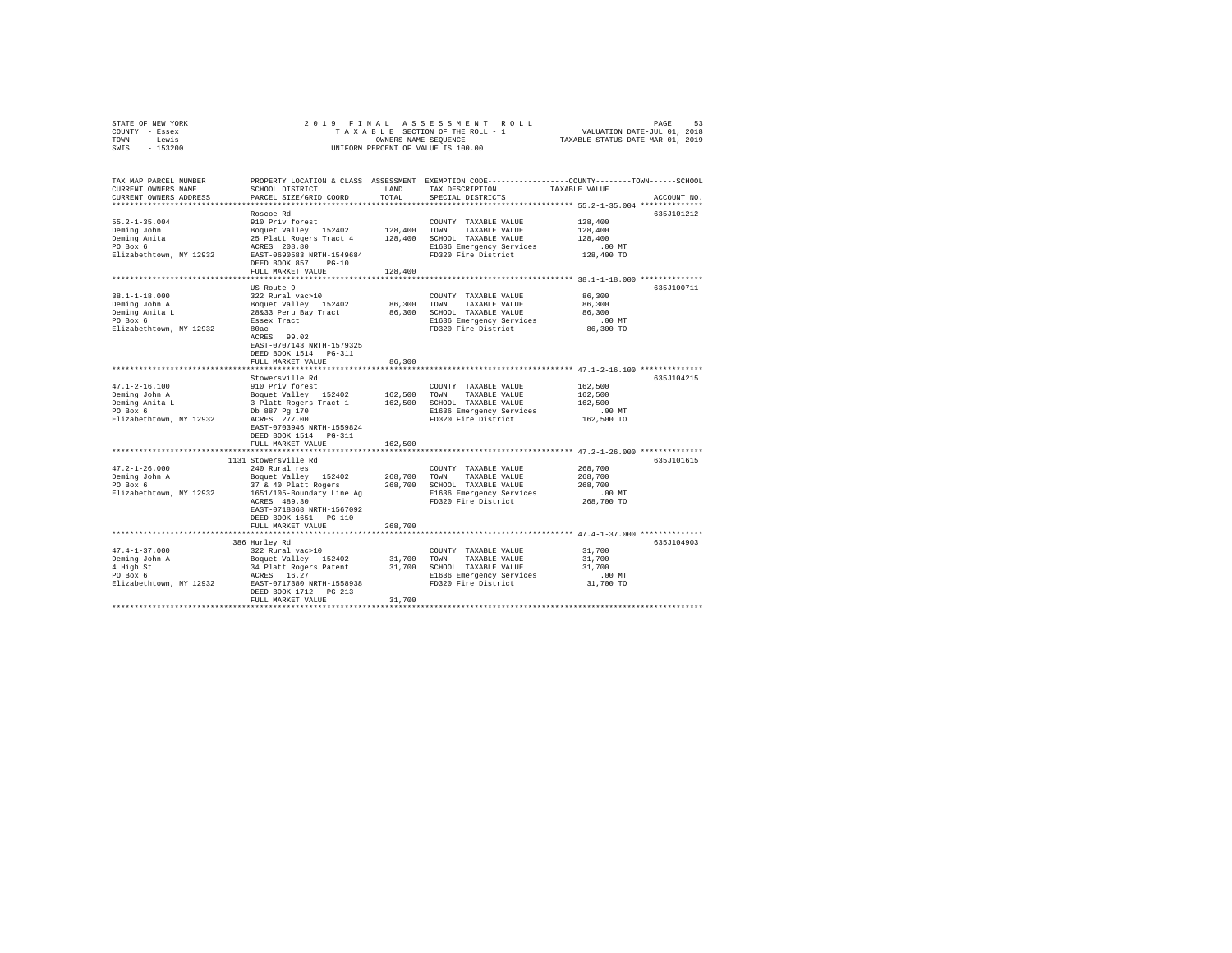| STATE OF NEW YORK | 2019 FINAL ASSESSMENT ROLL         | 53<br>PAGE                       |
|-------------------|------------------------------------|----------------------------------|
| COUNTY - Essex    | TAXABLE SECTION OF THE ROLL - 1    | VALUATION DATE-JUL 01, 2018      |
| TOWN<br>- Lewis   | OWNERS NAME SEOUENCE               | TAXABLE STATUS DATE-MAR 01, 2019 |
| $-153200$<br>SWIS | UNIFORM PERCENT OF VALUE IS 100.00 |                                  |

| TAX MAP PARCEL NUMBER<br>CURRENT OWNERS NAME<br>CURRENT OWNERS ADDRESS                                               | SCHOOL DISTRICT<br>PARCEL SIZE/GRID COORD                                                                                                                                                                                    | LAND<br>TOTAL                 | TAX DESCRIPTION<br>SPECIAL DISTRICTS                                                                                     | PROPERTY LOCATION & CLASS ASSESSMENT EXEMPTION CODE---------------COUNTY-------TOWN-----SCHOOL<br>TAXABLE VALUE<br>ACCOUNT NO.    |
|----------------------------------------------------------------------------------------------------------------------|------------------------------------------------------------------------------------------------------------------------------------------------------------------------------------------------------------------------------|-------------------------------|--------------------------------------------------------------------------------------------------------------------------|-----------------------------------------------------------------------------------------------------------------------------------|
| ***********************<br>$55.2 - 1 - 35.004$<br>Deming John<br>Deming Anita<br>PO Box 6<br>Elizabethtown, NY 12932 | Roscoe Rd<br>910 Priv forest<br>Boquet Valley 152402<br>25 Platt Rogers Tract 4<br>ACRES 208.80<br>EAST-0690583 NRTH-1549684<br>DEED BOOK 857 PG-10<br>FULL MARKET VALUE                                                     | 128,400<br>128,400<br>128,400 | COUNTY TAXABLE VALUE<br>TOWN<br>TAXABLE VALUE<br>SCHOOL TAXABLE VALUE<br>E1636 Emergency Services<br>FD320 Fire District | 635.7101212<br>128,400<br>128,400<br>128,400<br>.00MT<br>128,400 TO                                                               |
| $38.1 - 1 - 18.000$<br>Deming John A<br>Deming Anita L<br>PO Box 6<br>Elizabethtown, NY 12932                        | US Route 9<br>322 Rural vac>10<br>Boquet Valley 152402<br>28&33 Peru Bay Tract<br>Essex Tract<br>80ac<br>ACRES 99.02<br>EAST-0707143 NRTH-1579325<br>DEED BOOK 1514 PG-311<br>FULL MARKET VALUE                              | 86,300<br>86,300<br>86,300    | COUNTY TAXABLE VALUE<br>TOWN<br>TAXABLE VALUE<br>SCHOOL TAXABLE VALUE<br>E1636 Emergency Services<br>FD320 Fire District | 635J100711<br>86,300<br>86,300<br>86,300<br>.00 MT<br>86,300 TO                                                                   |
| $47.1 - 2 - 16.100$<br>Deming John A<br>Deming Anita L<br>PO Box 6<br>Elizabethtown, NY 12932                        | *********************<br>Stowersville Rd<br>910 Priv forest<br>Boquet Valley 152402<br>3 Platt Rogers Tract 1<br>Db 887 Pg 170<br>ACRES 277.00<br>EAST-0703946 NRTH-1559824<br>DEED BOOK 1514    PG-311<br>FULL MARKET VALUE | 162,500<br>162,500<br>162,500 | COUNTY TAXABLE VALUE<br>TOWN<br>TAXABLE VALUE<br>SCHOOL TAXABLE VALUE<br>E1636 Emergency Services<br>FD320 Fire District | ***************************** 47.1-2-16.100 **************<br>635J104215<br>162,500<br>162,500<br>162,500<br>.00MT<br>162,500 TO  |
| $47.2 - 1 - 26.000$<br>Deming John A<br>PO Box 6<br>Elizabethtown, NY 12932                                          | 1131 Stowersville Rd<br>240 Rural res<br>Boquet Valley 152402<br>37 & 40 Platt Rogers<br>1651/105-Boundary Line Ag<br>ACRES 489.30<br>EAST-0718868 NRTH-1567092<br>DEED BOOK 1651 PG-110<br>FULL MARKET VALUE                | 268,700<br>268,700<br>268,700 | COUNTY TAXABLE VALUE<br>TOWN<br>TAXABLE VALUE<br>SCHOOL TAXABLE VALUE<br>E1636 Emergency Services<br>FD320 Fire District | 635J101615<br>268,700<br>268,700<br>268,700<br>.00MT<br>268,700 TO                                                                |
| $47.4 - 1 - 37.000$<br>Deming John A<br>4 High St<br>PO Box 6<br>Elizabethtown, NY 12932                             | 386 Hurley Rd<br>322 Rural vac>10<br>Boquet Valley 152402<br>34 Platt Rogers Patent<br>ACRES 16.27<br>EAST-0717380 NRTH-1558938<br>DEED BOOK 1712 PG-213<br>FULL MARKET VALUE                                                | 31,700<br>31,700<br>31,700    | COUNTY TAXABLE VALUE<br>TOWN<br>TAXABLE VALUE<br>SCHOOL TAXABLE VALUE<br>E1636 Emergency Services<br>FD320 Fire District | ********************************** 47.4-1-37.000 **************<br>635J104903<br>31,700<br>31,700<br>31,700<br>.00MT<br>31,700 TO |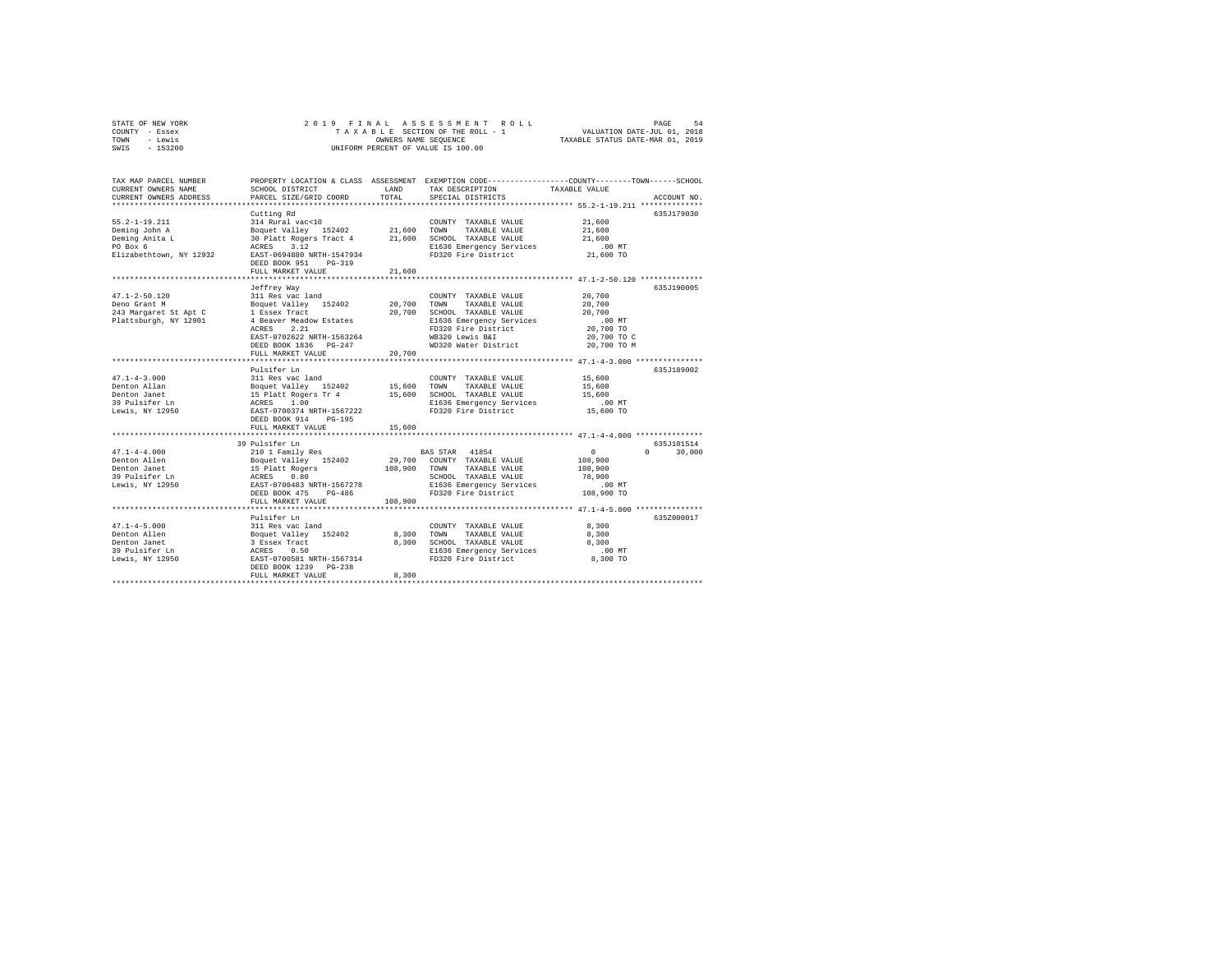| STATE OF NEW YORK |  |  | 2019 FINAL ASSESSMENT ROLL         |                                  | PAGE | 54 |
|-------------------|--|--|------------------------------------|----------------------------------|------|----|
| COUNTY - Essex    |  |  | TAXABLE SECTION OF THE ROLL - 1    | VALUATION DATE-JUL 01, 2018      |      |    |
| TOWN<br>siwe.T    |  |  | OWNERS NAME SEOUENCE               | TAXABLE STATUS DATE-MAR 01, 2019 |      |    |
| $-153200$<br>SWIS |  |  | UNIFORM PERCENT OF VALUE IS 100.00 |                                  |      |    |

| TAX MAP PARCEL NUMBER<br>CURRENT OWNERS NAME<br>CURRENT OWNERS ADDRESS | SCHOOL DISTRICT<br>PARCEL SIZE/GRID COORD                                        | LAND<br>TOTAL | PROPERTY LOCATION & CLASS ASSESSMENT EXEMPTION CODE---------------COUNTY-------TOWN-----SCHOOL<br>TAX DESCRIPTION<br>SPECIAL DISTRICTS | TAXABLE VALUE                             | ACCOUNT NO  |
|------------------------------------------------------------------------|----------------------------------------------------------------------------------|---------------|----------------------------------------------------------------------------------------------------------------------------------------|-------------------------------------------|-------------|
|                                                                        | Cutting Rd                                                                       |               |                                                                                                                                        |                                           | 635J179030  |
| $55.2 - 1 - 19.211$                                                    | 314 Rural vac<10                                                                 |               | COUNTY TAXABLE VALUE                                                                                                                   | 21,600                                    |             |
| Deming John A                                                          |                                                                                  |               | TOWN<br>TAXABLE VALUE                                                                                                                  | 21,600                                    |             |
| Deming Anita L                                                         | Boquet Valley 152402 21,600<br>30 Platt Rogers Tract 4 21,600                    |               | SCHOOL TAXABLE VALUE                                                                                                                   | 21,600                                    |             |
| PO Box 6                                                               | ACRES<br>3.12                                                                    |               | E1636 Emergency Services                                                                                                               | $.00$ MT                                  |             |
| Elizabethtown, NY 12932                                                | EAST-0694880 NRTH-1547934                                                        |               | FD320 Fire District                                                                                                                    | 21,600 TO                                 |             |
|                                                                        | DEED BOOK 951<br>$PG-319$                                                        |               |                                                                                                                                        |                                           |             |
|                                                                        | FULL MARKET VALUE                                                                | 21,600        |                                                                                                                                        |                                           |             |
|                                                                        |                                                                                  |               |                                                                                                                                        |                                           |             |
|                                                                        | Jeffrey Way                                                                      |               |                                                                                                                                        |                                           | 635.T190005 |
| $47.1 - 2 - 50.120$                                                    | 311 Res vac land                                                                 |               | COUNTY TAXABLE VALUE                                                                                                                   | 20,700                                    |             |
| Deno Grant M                                                           | Boquet Valley 152402                                                             | 20,700 TOWN   | TAXABLE VALUE                                                                                                                          | 20,700                                    |             |
| 243 Margaret St Apt C                                                  | 1 Essex Tract                                                                    |               | 20.700 SCHOOL TAXABLE VALUE                                                                                                            | 20,700                                    |             |
| Plattsburgh, NY 12901                                                  | 4 Beaver Meadow Estates                                                          |               | E1636 Emergency Services                                                                                                               | .00 MT                                    |             |
|                                                                        | 2.21<br>ACRES                                                                    |               | FD320 Fire District                                                                                                                    | 20,700 TO                                 |             |
|                                                                        | EAST-0702622 NRTH-1563264                                                        |               | WB320 Lewis B&I                                                                                                                        | 20,700 TO C                               |             |
|                                                                        | DEED BOOK 1836 PG-247                                                            |               | WD320 Water District                                                                                                                   | 20,700 TO M                               |             |
|                                                                        | FULL MARKET VALUE                                                                | 20,700        |                                                                                                                                        |                                           |             |
|                                                                        | ************************************                                             |               |                                                                                                                                        |                                           |             |
|                                                                        | Pulsifer Ln                                                                      |               |                                                                                                                                        |                                           | 635J189002  |
| $47.1 - 4 - 3.000$                                                     | 311 Res vac land                                                                 |               | COUNTY TAXABLE VALUE                                                                                                                   | 15,600                                    |             |
| Denton Allan                                                           | Boquet Valley 152402 15,600                                                      |               | TOWN<br>TAXABLE VALUE                                                                                                                  | 15,600                                    |             |
| Denton Janet                                                           | 15 Platt Rogers Tr 4<br>ACRES 1.00                                               | 15,600        | SCHOOL TAXABLE VALUE                                                                                                                   | 15,600                                    |             |
| 39 Pulsifer Ln                                                         |                                                                                  |               | E1636 Emergency Services<br>FD320 Fire District                                                                                        | .00MT                                     |             |
| Lewis, NY 12950                                                        | EAST-0700374 NRTH-1567222                                                        |               |                                                                                                                                        | 15,600 TO                                 |             |
|                                                                        | DEED BOOK 914<br>$PG-195$                                                        |               |                                                                                                                                        |                                           |             |
|                                                                        | FULL MARKET VALUE<br>**************************                                  | 15,600        |                                                                                                                                        |                                           |             |
|                                                                        | 39 Pulsifer Ln                                                                   |               |                                                                                                                                        |                                           | 635J101514  |
| $47.1 - 4 - 4.000$                                                     | 210 1 Family Res                                                                 |               | BAS STAR 41854                                                                                                                         | $\mathbf{0}$<br>$\Omega$                  | 30,000      |
| Denton Allen                                                           | Boquet Valley 152402                                                             |               | 29,700 COUNTY TAXABLE VALUE                                                                                                            | 108,900                                   |             |
| Denton Janet                                                           | 15 Platt Rogers                                                                  | 108,900       | TAXABLE VALUE<br>TOWN                                                                                                                  | 108,900                                   |             |
| 39 Pulsifer Ln                                                         | ACRES<br>0.80                                                                    |               | SCHOOL TAXABLE VALUE                                                                                                                   | 78,900                                    |             |
| Lewis, NY 12950                                                        | EAST-0700483 NRTH-1567278                                                        |               | E1636 Emergency Services                                                                                                               | $.00$ MT                                  |             |
|                                                                        | DEED BOOK 475<br>PG-486                                                          |               | FD320 Fire District                                                                                                                    | 108,900 TO                                |             |
|                                                                        | FULL MARKET VALUE                                                                | 108,900       |                                                                                                                                        |                                           |             |
|                                                                        |                                                                                  |               |                                                                                                                                        | ************** 47.1-4-5.000 ************* |             |
|                                                                        | Pulsifer Ln                                                                      |               |                                                                                                                                        |                                           | 635Z000017  |
| $47.1 - 4 - 5.000$                                                     | 311 Res vac land                                                                 |               | COUNTY TAXABLE VALUE                                                                                                                   | 8,300                                     |             |
| Denton Allen                                                           |                                                                                  | 8,300         | TOWN<br>TAXABLE VALUE                                                                                                                  | 8,300                                     |             |
| Denton Janet                                                           |                                                                                  | 8,300         | SCHOOL TAXABLE VALUE                                                                                                                   | 8,300                                     |             |
| 39 Pulsifer Ln                                                         |                                                                                  |               | E1636 Emergency Services                                                                                                               | $.00$ MT                                  |             |
| Lewis, NY 12950                                                        | Boquet Valley 152402<br>3 Essex Tract<br>ACRES 0.50<br>EAST-0700581 NRTH-1567314 |               | FD320 Fire District                                                                                                                    | 8,300 TO                                  |             |
|                                                                        | DEED BOOK 1239 PG-238                                                            |               |                                                                                                                                        |                                           |             |
|                                                                        | FULL MARKET VALUE                                                                | 8,300         |                                                                                                                                        |                                           |             |
|                                                                        |                                                                                  |               |                                                                                                                                        |                                           |             |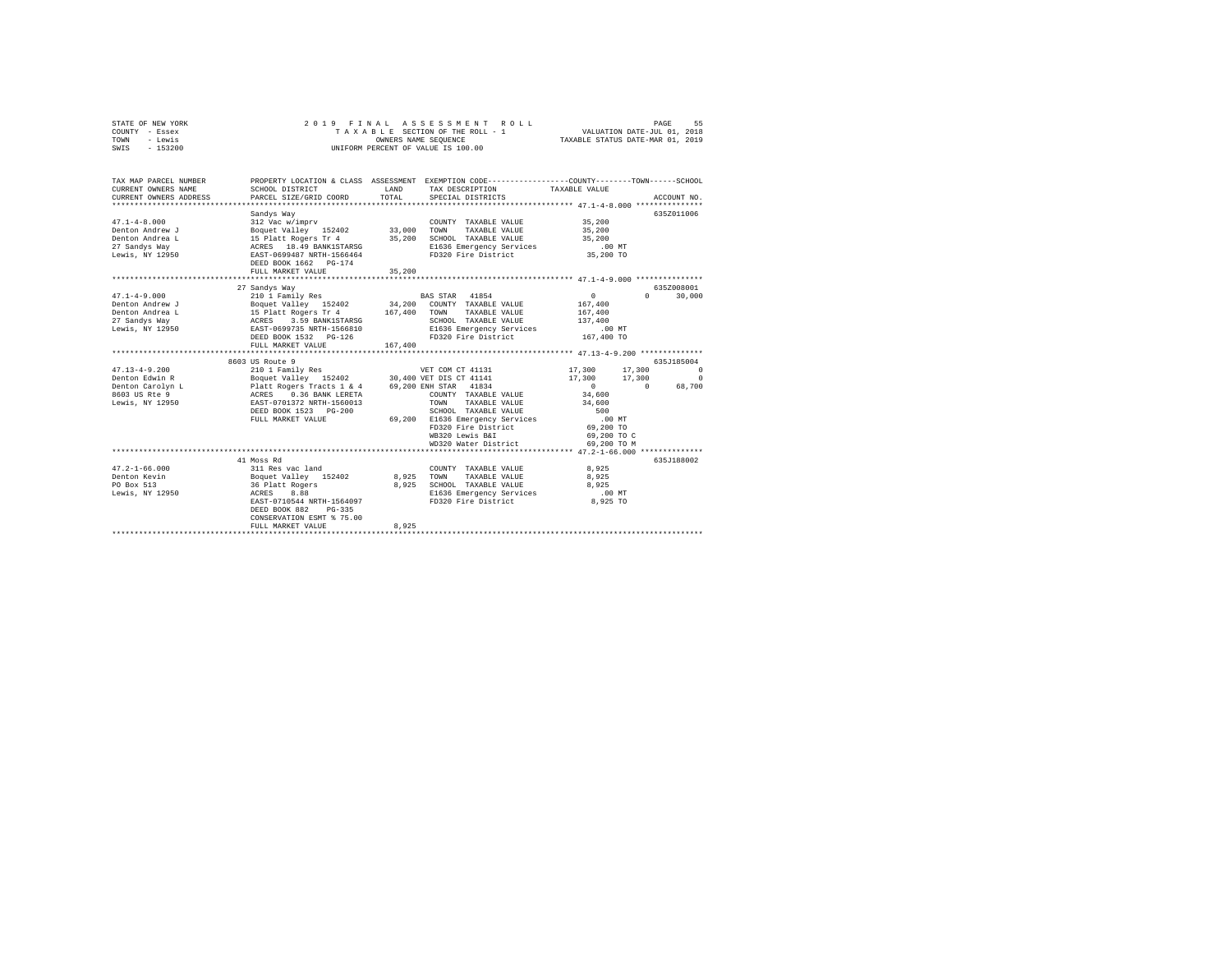| TAX MAP PARCEL NUMBER<br>PROPERTY LOCATION & CLASS ASSESSMENT EXEMPTION CODE---------------COUNTY-------TOWN------SCHOOL<br>CURRENT OWNERS NAME<br>SCHOOL DISTRICT<br>LAND TAX DESCRIPTION<br>TAXABLE VALUE<br>TOTAL<br>PARCEL SIZE/GRID COORD<br>CURRENT OWNERS ADDRESS<br>SPECIAL DISTRICTS<br>ACCOUNT NO.<br>635Z011006<br>Sandys Way<br>312 Vac w/imprv<br>35,200<br>$47.1 - 4 - 8.000$<br>COUNTY TAXABLE VALUE<br>312 Vac w/imprv<br>Boquet Valley 152402 33,000 TOWN TAXABLE VALUE<br>15 Platt Rogers Tr 4 35,200 SCHOOL TAXABLE VALUE<br>ACRES 18.49 BANK1STARSG B1636 EMETGENCY SEVICES<br>EAST-069487 RRTH-1566464 FD320 Fire District<br>Denton Andrew J<br>35,200<br>Denton Andrea L<br>35,200<br>27 Sandys Way<br>E1636 Emergency Services<br>$.00$ MT<br>E1636 Emergency Services<br>FD320 Fire District<br>35,200 TO<br>Lewis, NY 12950<br>DEED BOOK 1662    PG-174<br>FULL MARKET VALUE<br>35,200<br>635Z008001<br>27 Sandys Way<br>210 1 Family Res<br>$47.1 - 4 - 9.000$<br>BAS STAR 41854<br>$\Omega$<br>$\Omega$ and $\Omega$<br>30,000<br>210 1 Family Res 152402 134,200<br>Boquet Valley 152402 34,200<br>15 Platt Rogers Tr 4 167,400<br>ACRES 3.59 BANKISTARSG<br>EAST-0699735 NRTH-1566810<br>34,200 COUNTY TAXABLE VALUE<br>Denton Andrew J<br>167,400<br>Denton Andrea L<br>TOWN TAXABLE VALUE<br>167,400<br>27 Sandys Way<br>SCHOOL TAXABLE VALUE<br>137,400<br>Lewis, NY 12950<br>E1636 Emergency Services<br>.00 MT<br>FD320 Fire District<br>167,400 TO<br>DEED BOOK 1532 PG-126<br>167,400<br>FULL MARKET VALUE<br>8603 US Route 9<br>635J185004<br>210 1 Family Res<br>17,300 17,300 0<br>$47.13 - 4 - 9.200$<br>VET COM CT 41131<br>Boquet Valley 152402 30,400 VET DIS CT 41141<br>Platt Rogers Tracts 1 & 4 69,200 ENR STAR 41834<br>ACRES 0.36 BANK LERETA 40 COUNTY TAXABLE VALUE<br>EAST-0701372 NRTH-1560013 TOWN TAXABLE VALUE<br>$17,300$ $17,300$<br>Denton Edwin R<br>$\sim$ 0<br>$\sim$ 0<br>0 68,700<br>Denton Carolyn L<br>8603 US Rte 9<br>34,600<br>COUNTY TAXABLE VALUE<br>Lewis, NY 12950<br>TOWN TAXABLE VALUE<br>34,600<br>DEED BOOK 1523 PG-200<br>SCHOOL TAXABLE VALUE<br>500<br>69,200 E1636 Emergency Services<br>.00MT<br>FULL MARKET VALUE<br>FD320 Fire District<br>69,200 TO<br>WB320 Lewis B&I<br>69,200 TO C<br>69,200 TO M<br>WD320 Water District<br>635J188002<br>41 Moss Rd<br>$47.2 - 1 - 66.000$<br>311 Res vac land<br>Boquet Valley 152402<br>36 Platt Rogers<br>ACRES 8.88<br>COUNTY TAXABLE VALUE<br>8,925<br>Denton Kevin<br>8,925 TOWN TAXABLE VALUE<br>8,925<br>PO Box 513<br>8,925 SCHOOL TAXABLE VALUE<br>8,925<br>E1636 Emergency Services<br>$.00$ MT<br>FD320 Fire District<br>EAST-0710544 NRTH-1564097<br>8,925 TO<br>DEED BOOK 882 PG-335<br>CONSERVATION ESMT % 75.00<br>8.925<br>FULL MARKET VALUE | STATE OF NEW YORK<br>COUNTY - Essex<br>TOWN - Lewis<br>SWIS - 153200 | 2019 FINAL | ASSESSMENT ROLL<br>TAXABLE SECTION OF THE ROLL - 1<br>OWNERS NAME SEQUENCE<br>UNIFORM PERCENT OF VALUE IS 100.00 | VALUATION DATE-JUL 01, 2018<br>TAXABLE STATUS DATE-MAR 01, 2019 | PAGE<br>55 |
|------------------------------------------------------------------------------------------------------------------------------------------------------------------------------------------------------------------------------------------------------------------------------------------------------------------------------------------------------------------------------------------------------------------------------------------------------------------------------------------------------------------------------------------------------------------------------------------------------------------------------------------------------------------------------------------------------------------------------------------------------------------------------------------------------------------------------------------------------------------------------------------------------------------------------------------------------------------------------------------------------------------------------------------------------------------------------------------------------------------------------------------------------------------------------------------------------------------------------------------------------------------------------------------------------------------------------------------------------------------------------------------------------------------------------------------------------------------------------------------------------------------------------------------------------------------------------------------------------------------------------------------------------------------------------------------------------------------------------------------------------------------------------------------------------------------------------------------------------------------------------------------------------------------------------------------------------------------------------------------------------------------------------------------------------------------------------------------------------------------------------------------------------------------------------------------------------------------------------------------------------------------------------------------------------------------------------------------------------------------------------------------------------------------------------------------------------------------------------------------------------------------------------------------------------------------------------------------------------------------------------------------------------------------------------------------------------------------------------------------------------------------------------------------|----------------------------------------------------------------------|------------|------------------------------------------------------------------------------------------------------------------|-----------------------------------------------------------------|------------|
|                                                                                                                                                                                                                                                                                                                                                                                                                                                                                                                                                                                                                                                                                                                                                                                                                                                                                                                                                                                                                                                                                                                                                                                                                                                                                                                                                                                                                                                                                                                                                                                                                                                                                                                                                                                                                                                                                                                                                                                                                                                                                                                                                                                                                                                                                                                                                                                                                                                                                                                                                                                                                                                                                                                                                                                          |                                                                      |            |                                                                                                                  |                                                                 |            |
|                                                                                                                                                                                                                                                                                                                                                                                                                                                                                                                                                                                                                                                                                                                                                                                                                                                                                                                                                                                                                                                                                                                                                                                                                                                                                                                                                                                                                                                                                                                                                                                                                                                                                                                                                                                                                                                                                                                                                                                                                                                                                                                                                                                                                                                                                                                                                                                                                                                                                                                                                                                                                                                                                                                                                                                          |                                                                      |            |                                                                                                                  |                                                                 |            |
|                                                                                                                                                                                                                                                                                                                                                                                                                                                                                                                                                                                                                                                                                                                                                                                                                                                                                                                                                                                                                                                                                                                                                                                                                                                                                                                                                                                                                                                                                                                                                                                                                                                                                                                                                                                                                                                                                                                                                                                                                                                                                                                                                                                                                                                                                                                                                                                                                                                                                                                                                                                                                                                                                                                                                                                          |                                                                      |            |                                                                                                                  |                                                                 |            |
|                                                                                                                                                                                                                                                                                                                                                                                                                                                                                                                                                                                                                                                                                                                                                                                                                                                                                                                                                                                                                                                                                                                                                                                                                                                                                                                                                                                                                                                                                                                                                                                                                                                                                                                                                                                                                                                                                                                                                                                                                                                                                                                                                                                                                                                                                                                                                                                                                                                                                                                                                                                                                                                                                                                                                                                          |                                                                      |            |                                                                                                                  |                                                                 |            |
|                                                                                                                                                                                                                                                                                                                                                                                                                                                                                                                                                                                                                                                                                                                                                                                                                                                                                                                                                                                                                                                                                                                                                                                                                                                                                                                                                                                                                                                                                                                                                                                                                                                                                                                                                                                                                                                                                                                                                                                                                                                                                                                                                                                                                                                                                                                                                                                                                                                                                                                                                                                                                                                                                                                                                                                          |                                                                      |            |                                                                                                                  |                                                                 |            |
|                                                                                                                                                                                                                                                                                                                                                                                                                                                                                                                                                                                                                                                                                                                                                                                                                                                                                                                                                                                                                                                                                                                                                                                                                                                                                                                                                                                                                                                                                                                                                                                                                                                                                                                                                                                                                                                                                                                                                                                                                                                                                                                                                                                                                                                                                                                                                                                                                                                                                                                                                                                                                                                                                                                                                                                          |                                                                      |            |                                                                                                                  |                                                                 |            |
|                                                                                                                                                                                                                                                                                                                                                                                                                                                                                                                                                                                                                                                                                                                                                                                                                                                                                                                                                                                                                                                                                                                                                                                                                                                                                                                                                                                                                                                                                                                                                                                                                                                                                                                                                                                                                                                                                                                                                                                                                                                                                                                                                                                                                                                                                                                                                                                                                                                                                                                                                                                                                                                                                                                                                                                          |                                                                      |            |                                                                                                                  |                                                                 |            |
|                                                                                                                                                                                                                                                                                                                                                                                                                                                                                                                                                                                                                                                                                                                                                                                                                                                                                                                                                                                                                                                                                                                                                                                                                                                                                                                                                                                                                                                                                                                                                                                                                                                                                                                                                                                                                                                                                                                                                                                                                                                                                                                                                                                                                                                                                                                                                                                                                                                                                                                                                                                                                                                                                                                                                                                          |                                                                      |            |                                                                                                                  |                                                                 |            |
|                                                                                                                                                                                                                                                                                                                                                                                                                                                                                                                                                                                                                                                                                                                                                                                                                                                                                                                                                                                                                                                                                                                                                                                                                                                                                                                                                                                                                                                                                                                                                                                                                                                                                                                                                                                                                                                                                                                                                                                                                                                                                                                                                                                                                                                                                                                                                                                                                                                                                                                                                                                                                                                                                                                                                                                          |                                                                      |            |                                                                                                                  |                                                                 |            |
|                                                                                                                                                                                                                                                                                                                                                                                                                                                                                                                                                                                                                                                                                                                                                                                                                                                                                                                                                                                                                                                                                                                                                                                                                                                                                                                                                                                                                                                                                                                                                                                                                                                                                                                                                                                                                                                                                                                                                                                                                                                                                                                                                                                                                                                                                                                                                                                                                                                                                                                                                                                                                                                                                                                                                                                          |                                                                      |            |                                                                                                                  |                                                                 |            |
|                                                                                                                                                                                                                                                                                                                                                                                                                                                                                                                                                                                                                                                                                                                                                                                                                                                                                                                                                                                                                                                                                                                                                                                                                                                                                                                                                                                                                                                                                                                                                                                                                                                                                                                                                                                                                                                                                                                                                                                                                                                                                                                                                                                                                                                                                                                                                                                                                                                                                                                                                                                                                                                                                                                                                                                          |                                                                      |            |                                                                                                                  |                                                                 |            |
|                                                                                                                                                                                                                                                                                                                                                                                                                                                                                                                                                                                                                                                                                                                                                                                                                                                                                                                                                                                                                                                                                                                                                                                                                                                                                                                                                                                                                                                                                                                                                                                                                                                                                                                                                                                                                                                                                                                                                                                                                                                                                                                                                                                                                                                                                                                                                                                                                                                                                                                                                                                                                                                                                                                                                                                          |                                                                      |            |                                                                                                                  |                                                                 |            |
|                                                                                                                                                                                                                                                                                                                                                                                                                                                                                                                                                                                                                                                                                                                                                                                                                                                                                                                                                                                                                                                                                                                                                                                                                                                                                                                                                                                                                                                                                                                                                                                                                                                                                                                                                                                                                                                                                                                                                                                                                                                                                                                                                                                                                                                                                                                                                                                                                                                                                                                                                                                                                                                                                                                                                                                          |                                                                      |            |                                                                                                                  |                                                                 |            |
|                                                                                                                                                                                                                                                                                                                                                                                                                                                                                                                                                                                                                                                                                                                                                                                                                                                                                                                                                                                                                                                                                                                                                                                                                                                                                                                                                                                                                                                                                                                                                                                                                                                                                                                                                                                                                                                                                                                                                                                                                                                                                                                                                                                                                                                                                                                                                                                                                                                                                                                                                                                                                                                                                                                                                                                          |                                                                      |            |                                                                                                                  |                                                                 |            |
|                                                                                                                                                                                                                                                                                                                                                                                                                                                                                                                                                                                                                                                                                                                                                                                                                                                                                                                                                                                                                                                                                                                                                                                                                                                                                                                                                                                                                                                                                                                                                                                                                                                                                                                                                                                                                                                                                                                                                                                                                                                                                                                                                                                                                                                                                                                                                                                                                                                                                                                                                                                                                                                                                                                                                                                          |                                                                      |            |                                                                                                                  |                                                                 |            |
|                                                                                                                                                                                                                                                                                                                                                                                                                                                                                                                                                                                                                                                                                                                                                                                                                                                                                                                                                                                                                                                                                                                                                                                                                                                                                                                                                                                                                                                                                                                                                                                                                                                                                                                                                                                                                                                                                                                                                                                                                                                                                                                                                                                                                                                                                                                                                                                                                                                                                                                                                                                                                                                                                                                                                                                          |                                                                      |            |                                                                                                                  |                                                                 |            |
|                                                                                                                                                                                                                                                                                                                                                                                                                                                                                                                                                                                                                                                                                                                                                                                                                                                                                                                                                                                                                                                                                                                                                                                                                                                                                                                                                                                                                                                                                                                                                                                                                                                                                                                                                                                                                                                                                                                                                                                                                                                                                                                                                                                                                                                                                                                                                                                                                                                                                                                                                                                                                                                                                                                                                                                          |                                                                      |            |                                                                                                                  |                                                                 |            |
|                                                                                                                                                                                                                                                                                                                                                                                                                                                                                                                                                                                                                                                                                                                                                                                                                                                                                                                                                                                                                                                                                                                                                                                                                                                                                                                                                                                                                                                                                                                                                                                                                                                                                                                                                                                                                                                                                                                                                                                                                                                                                                                                                                                                                                                                                                                                                                                                                                                                                                                                                                                                                                                                                                                                                                                          |                                                                      |            |                                                                                                                  |                                                                 |            |
|                                                                                                                                                                                                                                                                                                                                                                                                                                                                                                                                                                                                                                                                                                                                                                                                                                                                                                                                                                                                                                                                                                                                                                                                                                                                                                                                                                                                                                                                                                                                                                                                                                                                                                                                                                                                                                                                                                                                                                                                                                                                                                                                                                                                                                                                                                                                                                                                                                                                                                                                                                                                                                                                                                                                                                                          |                                                                      |            |                                                                                                                  |                                                                 |            |
|                                                                                                                                                                                                                                                                                                                                                                                                                                                                                                                                                                                                                                                                                                                                                                                                                                                                                                                                                                                                                                                                                                                                                                                                                                                                                                                                                                                                                                                                                                                                                                                                                                                                                                                                                                                                                                                                                                                                                                                                                                                                                                                                                                                                                                                                                                                                                                                                                                                                                                                                                                                                                                                                                                                                                                                          |                                                                      |            |                                                                                                                  |                                                                 |            |
|                                                                                                                                                                                                                                                                                                                                                                                                                                                                                                                                                                                                                                                                                                                                                                                                                                                                                                                                                                                                                                                                                                                                                                                                                                                                                                                                                                                                                                                                                                                                                                                                                                                                                                                                                                                                                                                                                                                                                                                                                                                                                                                                                                                                                                                                                                                                                                                                                                                                                                                                                                                                                                                                                                                                                                                          |                                                                      |            |                                                                                                                  |                                                                 |            |
|                                                                                                                                                                                                                                                                                                                                                                                                                                                                                                                                                                                                                                                                                                                                                                                                                                                                                                                                                                                                                                                                                                                                                                                                                                                                                                                                                                                                                                                                                                                                                                                                                                                                                                                                                                                                                                                                                                                                                                                                                                                                                                                                                                                                                                                                                                                                                                                                                                                                                                                                                                                                                                                                                                                                                                                          |                                                                      |            |                                                                                                                  |                                                                 |            |
|                                                                                                                                                                                                                                                                                                                                                                                                                                                                                                                                                                                                                                                                                                                                                                                                                                                                                                                                                                                                                                                                                                                                                                                                                                                                                                                                                                                                                                                                                                                                                                                                                                                                                                                                                                                                                                                                                                                                                                                                                                                                                                                                                                                                                                                                                                                                                                                                                                                                                                                                                                                                                                                                                                                                                                                          |                                                                      |            |                                                                                                                  |                                                                 |            |
|                                                                                                                                                                                                                                                                                                                                                                                                                                                                                                                                                                                                                                                                                                                                                                                                                                                                                                                                                                                                                                                                                                                                                                                                                                                                                                                                                                                                                                                                                                                                                                                                                                                                                                                                                                                                                                                                                                                                                                                                                                                                                                                                                                                                                                                                                                                                                                                                                                                                                                                                                                                                                                                                                                                                                                                          |                                                                      |            |                                                                                                                  |                                                                 |            |
|                                                                                                                                                                                                                                                                                                                                                                                                                                                                                                                                                                                                                                                                                                                                                                                                                                                                                                                                                                                                                                                                                                                                                                                                                                                                                                                                                                                                                                                                                                                                                                                                                                                                                                                                                                                                                                                                                                                                                                                                                                                                                                                                                                                                                                                                                                                                                                                                                                                                                                                                                                                                                                                                                                                                                                                          |                                                                      |            |                                                                                                                  |                                                                 |            |
|                                                                                                                                                                                                                                                                                                                                                                                                                                                                                                                                                                                                                                                                                                                                                                                                                                                                                                                                                                                                                                                                                                                                                                                                                                                                                                                                                                                                                                                                                                                                                                                                                                                                                                                                                                                                                                                                                                                                                                                                                                                                                                                                                                                                                                                                                                                                                                                                                                                                                                                                                                                                                                                                                                                                                                                          |                                                                      |            |                                                                                                                  |                                                                 |            |
|                                                                                                                                                                                                                                                                                                                                                                                                                                                                                                                                                                                                                                                                                                                                                                                                                                                                                                                                                                                                                                                                                                                                                                                                                                                                                                                                                                                                                                                                                                                                                                                                                                                                                                                                                                                                                                                                                                                                                                                                                                                                                                                                                                                                                                                                                                                                                                                                                                                                                                                                                                                                                                                                                                                                                                                          |                                                                      |            |                                                                                                                  |                                                                 |            |
|                                                                                                                                                                                                                                                                                                                                                                                                                                                                                                                                                                                                                                                                                                                                                                                                                                                                                                                                                                                                                                                                                                                                                                                                                                                                                                                                                                                                                                                                                                                                                                                                                                                                                                                                                                                                                                                                                                                                                                                                                                                                                                                                                                                                                                                                                                                                                                                                                                                                                                                                                                                                                                                                                                                                                                                          |                                                                      |            |                                                                                                                  |                                                                 |            |
|                                                                                                                                                                                                                                                                                                                                                                                                                                                                                                                                                                                                                                                                                                                                                                                                                                                                                                                                                                                                                                                                                                                                                                                                                                                                                                                                                                                                                                                                                                                                                                                                                                                                                                                                                                                                                                                                                                                                                                                                                                                                                                                                                                                                                                                                                                                                                                                                                                                                                                                                                                                                                                                                                                                                                                                          |                                                                      |            |                                                                                                                  |                                                                 |            |
|                                                                                                                                                                                                                                                                                                                                                                                                                                                                                                                                                                                                                                                                                                                                                                                                                                                                                                                                                                                                                                                                                                                                                                                                                                                                                                                                                                                                                                                                                                                                                                                                                                                                                                                                                                                                                                                                                                                                                                                                                                                                                                                                                                                                                                                                                                                                                                                                                                                                                                                                                                                                                                                                                                                                                                                          |                                                                      |            |                                                                                                                  |                                                                 |            |
|                                                                                                                                                                                                                                                                                                                                                                                                                                                                                                                                                                                                                                                                                                                                                                                                                                                                                                                                                                                                                                                                                                                                                                                                                                                                                                                                                                                                                                                                                                                                                                                                                                                                                                                                                                                                                                                                                                                                                                                                                                                                                                                                                                                                                                                                                                                                                                                                                                                                                                                                                                                                                                                                                                                                                                                          |                                                                      |            |                                                                                                                  |                                                                 |            |
|                                                                                                                                                                                                                                                                                                                                                                                                                                                                                                                                                                                                                                                                                                                                                                                                                                                                                                                                                                                                                                                                                                                                                                                                                                                                                                                                                                                                                                                                                                                                                                                                                                                                                                                                                                                                                                                                                                                                                                                                                                                                                                                                                                                                                                                                                                                                                                                                                                                                                                                                                                                                                                                                                                                                                                                          |                                                                      |            |                                                                                                                  |                                                                 |            |
|                                                                                                                                                                                                                                                                                                                                                                                                                                                                                                                                                                                                                                                                                                                                                                                                                                                                                                                                                                                                                                                                                                                                                                                                                                                                                                                                                                                                                                                                                                                                                                                                                                                                                                                                                                                                                                                                                                                                                                                                                                                                                                                                                                                                                                                                                                                                                                                                                                                                                                                                                                                                                                                                                                                                                                                          |                                                                      |            |                                                                                                                  |                                                                 |            |
|                                                                                                                                                                                                                                                                                                                                                                                                                                                                                                                                                                                                                                                                                                                                                                                                                                                                                                                                                                                                                                                                                                                                                                                                                                                                                                                                                                                                                                                                                                                                                                                                                                                                                                                                                                                                                                                                                                                                                                                                                                                                                                                                                                                                                                                                                                                                                                                                                                                                                                                                                                                                                                                                                                                                                                                          | Lewis, NY 12950                                                      |            |                                                                                                                  |                                                                 |            |
|                                                                                                                                                                                                                                                                                                                                                                                                                                                                                                                                                                                                                                                                                                                                                                                                                                                                                                                                                                                                                                                                                                                                                                                                                                                                                                                                                                                                                                                                                                                                                                                                                                                                                                                                                                                                                                                                                                                                                                                                                                                                                                                                                                                                                                                                                                                                                                                                                                                                                                                                                                                                                                                                                                                                                                                          |                                                                      |            |                                                                                                                  |                                                                 |            |
|                                                                                                                                                                                                                                                                                                                                                                                                                                                                                                                                                                                                                                                                                                                                                                                                                                                                                                                                                                                                                                                                                                                                                                                                                                                                                                                                                                                                                                                                                                                                                                                                                                                                                                                                                                                                                                                                                                                                                                                                                                                                                                                                                                                                                                                                                                                                                                                                                                                                                                                                                                                                                                                                                                                                                                                          |                                                                      |            |                                                                                                                  |                                                                 |            |
|                                                                                                                                                                                                                                                                                                                                                                                                                                                                                                                                                                                                                                                                                                                                                                                                                                                                                                                                                                                                                                                                                                                                                                                                                                                                                                                                                                                                                                                                                                                                                                                                                                                                                                                                                                                                                                                                                                                                                                                                                                                                                                                                                                                                                                                                                                                                                                                                                                                                                                                                                                                                                                                                                                                                                                                          |                                                                      |            |                                                                                                                  |                                                                 |            |
|                                                                                                                                                                                                                                                                                                                                                                                                                                                                                                                                                                                                                                                                                                                                                                                                                                                                                                                                                                                                                                                                                                                                                                                                                                                                                                                                                                                                                                                                                                                                                                                                                                                                                                                                                                                                                                                                                                                                                                                                                                                                                                                                                                                                                                                                                                                                                                                                                                                                                                                                                                                                                                                                                                                                                                                          |                                                                      |            |                                                                                                                  |                                                                 |            |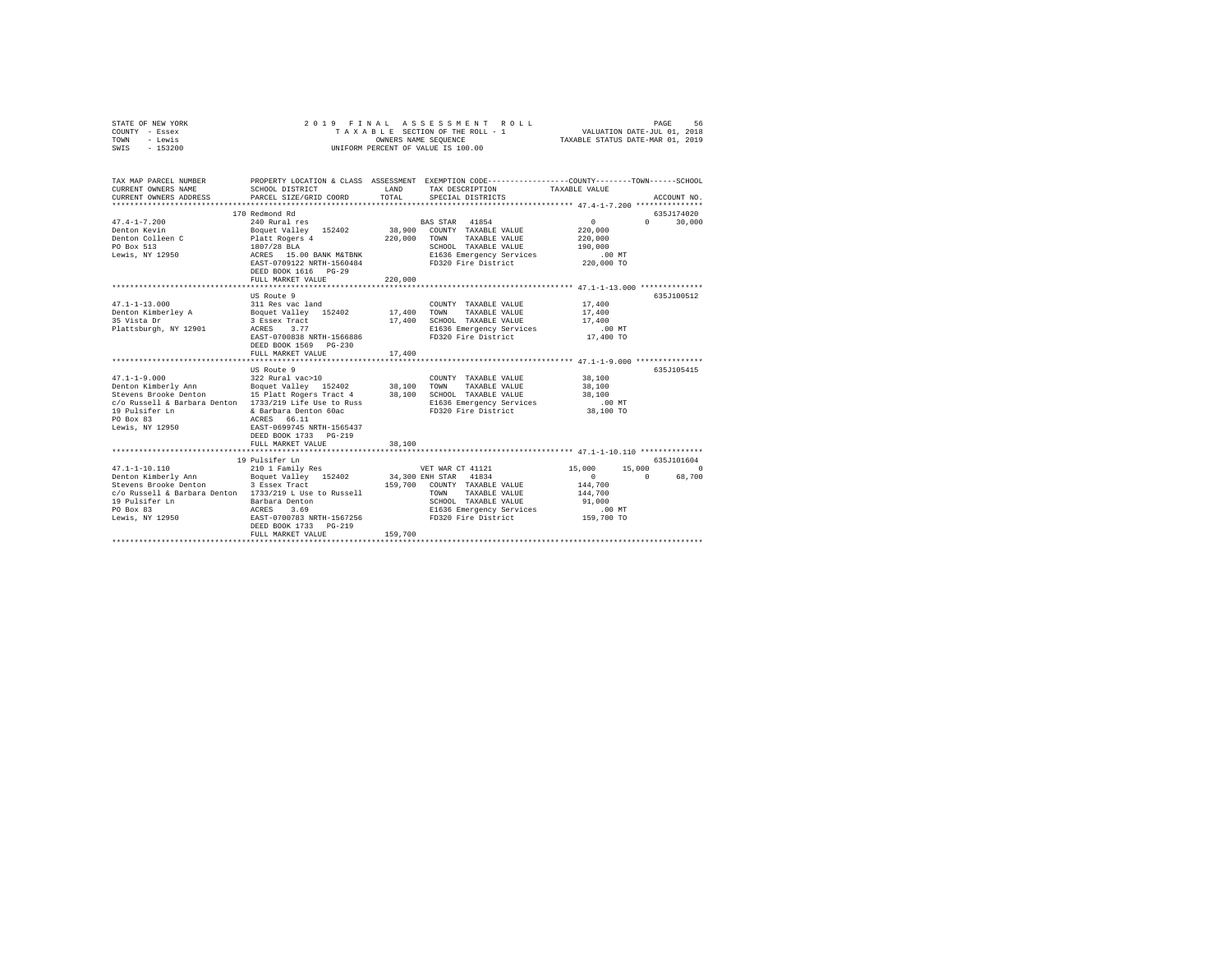| PROPERTY LOCATION & CLASS ASSESSMENT EXEMPTION CODE---------------COUNTY-------TOWN------SCHOOL<br>CURRENT OWNERS NAME<br>SCHOOL DISTRICT<br>LAND<br>TAX DESCRIPTION<br>TAXABLE VALUE<br>TOTAL<br>PARCEL SIZE/GRID COORD<br>SPECIAL DISTRICTS<br>ACCOUNT NO.<br>170 Redmond Rd<br>635J174020<br>$47.4 - 1 - 7.200$<br>$\circ$<br>0 <sup>1</sup><br>240 Rural res<br>BAS STAR 41854<br>30,000<br>38,900 COUNTY TAXABLE VALUE<br>Boquet Valley 152402<br>Platt Rogers 4<br>1807/28 BLA<br>220,000<br>Denton Kevin<br>Denton Colleen C<br>220,000 TOWN TAXABLE VALUE<br>220,000<br>PO Box 513<br>SCHOOL TAXABLE VALUE<br>190,000<br>ACRES 15.00 BANK M&TBNK<br>E1636 Emergency Services<br>Lewis, NY 12950<br>$.00$ MT<br>FD320 Fire District<br>220,000 TO<br>EAST-0709122 NRTH-1560484<br>DEED BOOK 1616 PG-29<br>220,000<br>FULL MARKET VALUE<br>US Route 9<br>635J100512<br>$47.1 - 1 - 13.000$<br>311 Res vac land<br>17,400<br>COUNTY TAXABLE VALUE<br>Denton Kimberley A<br>Boquet Valley 152402<br>17,400 TOWN TAXABLE VALUE<br>17,400<br>35 Vista Dr<br>3 Essex Tract<br>SCHOOL TAXABLE VALUE<br>17,400<br>17,400<br>Plattsburgh, NY 12901<br>ACRES 3.77<br>E1636 Emergency Services<br>$.00$ MT<br>EAST-0700838 NRTH-1566886<br>FD320 Fire District<br>17,400 TO<br>DEED BOOK 1569 PG-230<br>FULL MARKET VALUE<br>17,400<br>US Route 9<br>635J105415<br>322 Rural vac>10<br>38,100<br>COUNTY TAXABLE VALUE<br>47.1-1-9.000<br>Denton Kimberly Ann Boquet Valley 152402 38,100 TOWN TAXABLE VALUE<br>Stevens Brooke Denton 15 Platt Rogers Tract 4 38,100 SCHOOL TAXABLE VALUE<br>38,100<br>38,100<br>c/o Russell & Barbara Denton 1733/219 Life Use to Russ<br>E1636 Emergency Services<br>.00MT<br>FD320 Fire District<br>38,100 TO<br>DEED BOOK 1733 PG-219<br>FULL MARKET VALUE<br>38,100<br>**********************************<br>19 Pulsifer Ln<br>635J101604<br>210 1 Family Res<br>VET WAR CT 41121<br>15,000<br>15,000<br>$\sim$ 0<br>Denton Kimberly Ann and Boquet Valley 152402<br>34,300 ENH STAR 41834<br>68,700<br>$\Omega$<br>$\sim$ 0<br>Stevens Brooke Denton 3 Essex Tract<br>159,700 COUNTY TAXABLE VALUE<br>144,700<br>c/o Russell & Barbara Denton 1733/219 L Use to Russell<br>TOWN TAXABLE VALUE<br>144,700<br>SCHOOL TAXABLE VALUE<br>91,000<br>E1636 Emergency Services<br>.00MT<br>FD320 Fire District<br>159,700 TO<br>DEED BOOK 1733 PG-219<br>159,700<br>FULL MARKET VALUE | STATE OF NEW YORK<br>COUNTY - Essex<br>TOWN<br>- Lewis<br>SWIS - 153200 | OWNERS NAME SEOUENCE | 2019 FINAL ASSESSMENT ROLL<br>TAXABLE SECTION OF THE ROLL - 1<br>UNIFORM PERCENT OF VALUE IS 100.00 | VALUATION DATE-JUL 01, 2018<br>TAXABLE STATUS DATE-MAR 01, 2019 | PAGE<br>56 |
|----------------------------------------------------------------------------------------------------------------------------------------------------------------------------------------------------------------------------------------------------------------------------------------------------------------------------------------------------------------------------------------------------------------------------------------------------------------------------------------------------------------------------------------------------------------------------------------------------------------------------------------------------------------------------------------------------------------------------------------------------------------------------------------------------------------------------------------------------------------------------------------------------------------------------------------------------------------------------------------------------------------------------------------------------------------------------------------------------------------------------------------------------------------------------------------------------------------------------------------------------------------------------------------------------------------------------------------------------------------------------------------------------------------------------------------------------------------------------------------------------------------------------------------------------------------------------------------------------------------------------------------------------------------------------------------------------------------------------------------------------------------------------------------------------------------------------------------------------------------------------------------------------------------------------------------------------------------------------------------------------------------------------------------------------------------------------------------------------------------------------------------------------------------------------------------------------------------------------------------------------------------------------------------------------------------------------------------------------------------------------------------------------------------|-------------------------------------------------------------------------|----------------------|-----------------------------------------------------------------------------------------------------|-----------------------------------------------------------------|------------|
|                                                                                                                                                                                                                                                                                                                                                                                                                                                                                                                                                                                                                                                                                                                                                                                                                                                                                                                                                                                                                                                                                                                                                                                                                                                                                                                                                                                                                                                                                                                                                                                                                                                                                                                                                                                                                                                                                                                                                                                                                                                                                                                                                                                                                                                                                                                                                                                                                | TAX MAP PARCEL NUMBER                                                   |                      |                                                                                                     |                                                                 |            |
|                                                                                                                                                                                                                                                                                                                                                                                                                                                                                                                                                                                                                                                                                                                                                                                                                                                                                                                                                                                                                                                                                                                                                                                                                                                                                                                                                                                                                                                                                                                                                                                                                                                                                                                                                                                                                                                                                                                                                                                                                                                                                                                                                                                                                                                                                                                                                                                                                | CURRENT OWNERS ADDRESS                                                  |                      |                                                                                                     |                                                                 |            |
|                                                                                                                                                                                                                                                                                                                                                                                                                                                                                                                                                                                                                                                                                                                                                                                                                                                                                                                                                                                                                                                                                                                                                                                                                                                                                                                                                                                                                                                                                                                                                                                                                                                                                                                                                                                                                                                                                                                                                                                                                                                                                                                                                                                                                                                                                                                                                                                                                |                                                                         |                      |                                                                                                     |                                                                 |            |
|                                                                                                                                                                                                                                                                                                                                                                                                                                                                                                                                                                                                                                                                                                                                                                                                                                                                                                                                                                                                                                                                                                                                                                                                                                                                                                                                                                                                                                                                                                                                                                                                                                                                                                                                                                                                                                                                                                                                                                                                                                                                                                                                                                                                                                                                                                                                                                                                                |                                                                         |                      |                                                                                                     |                                                                 |            |
|                                                                                                                                                                                                                                                                                                                                                                                                                                                                                                                                                                                                                                                                                                                                                                                                                                                                                                                                                                                                                                                                                                                                                                                                                                                                                                                                                                                                                                                                                                                                                                                                                                                                                                                                                                                                                                                                                                                                                                                                                                                                                                                                                                                                                                                                                                                                                                                                                |                                                                         |                      |                                                                                                     |                                                                 |            |
|                                                                                                                                                                                                                                                                                                                                                                                                                                                                                                                                                                                                                                                                                                                                                                                                                                                                                                                                                                                                                                                                                                                                                                                                                                                                                                                                                                                                                                                                                                                                                                                                                                                                                                                                                                                                                                                                                                                                                                                                                                                                                                                                                                                                                                                                                                                                                                                                                |                                                                         |                      |                                                                                                     |                                                                 |            |
|                                                                                                                                                                                                                                                                                                                                                                                                                                                                                                                                                                                                                                                                                                                                                                                                                                                                                                                                                                                                                                                                                                                                                                                                                                                                                                                                                                                                                                                                                                                                                                                                                                                                                                                                                                                                                                                                                                                                                                                                                                                                                                                                                                                                                                                                                                                                                                                                                |                                                                         |                      |                                                                                                     |                                                                 |            |
|                                                                                                                                                                                                                                                                                                                                                                                                                                                                                                                                                                                                                                                                                                                                                                                                                                                                                                                                                                                                                                                                                                                                                                                                                                                                                                                                                                                                                                                                                                                                                                                                                                                                                                                                                                                                                                                                                                                                                                                                                                                                                                                                                                                                                                                                                                                                                                                                                |                                                                         |                      |                                                                                                     |                                                                 |            |
|                                                                                                                                                                                                                                                                                                                                                                                                                                                                                                                                                                                                                                                                                                                                                                                                                                                                                                                                                                                                                                                                                                                                                                                                                                                                                                                                                                                                                                                                                                                                                                                                                                                                                                                                                                                                                                                                                                                                                                                                                                                                                                                                                                                                                                                                                                                                                                                                                |                                                                         |                      |                                                                                                     |                                                                 |            |
|                                                                                                                                                                                                                                                                                                                                                                                                                                                                                                                                                                                                                                                                                                                                                                                                                                                                                                                                                                                                                                                                                                                                                                                                                                                                                                                                                                                                                                                                                                                                                                                                                                                                                                                                                                                                                                                                                                                                                                                                                                                                                                                                                                                                                                                                                                                                                                                                                |                                                                         |                      |                                                                                                     |                                                                 |            |
|                                                                                                                                                                                                                                                                                                                                                                                                                                                                                                                                                                                                                                                                                                                                                                                                                                                                                                                                                                                                                                                                                                                                                                                                                                                                                                                                                                                                                                                                                                                                                                                                                                                                                                                                                                                                                                                                                                                                                                                                                                                                                                                                                                                                                                                                                                                                                                                                                |                                                                         |                      |                                                                                                     |                                                                 |            |
|                                                                                                                                                                                                                                                                                                                                                                                                                                                                                                                                                                                                                                                                                                                                                                                                                                                                                                                                                                                                                                                                                                                                                                                                                                                                                                                                                                                                                                                                                                                                                                                                                                                                                                                                                                                                                                                                                                                                                                                                                                                                                                                                                                                                                                                                                                                                                                                                                |                                                                         |                      |                                                                                                     |                                                                 |            |
|                                                                                                                                                                                                                                                                                                                                                                                                                                                                                                                                                                                                                                                                                                                                                                                                                                                                                                                                                                                                                                                                                                                                                                                                                                                                                                                                                                                                                                                                                                                                                                                                                                                                                                                                                                                                                                                                                                                                                                                                                                                                                                                                                                                                                                                                                                                                                                                                                |                                                                         |                      |                                                                                                     |                                                                 |            |
|                                                                                                                                                                                                                                                                                                                                                                                                                                                                                                                                                                                                                                                                                                                                                                                                                                                                                                                                                                                                                                                                                                                                                                                                                                                                                                                                                                                                                                                                                                                                                                                                                                                                                                                                                                                                                                                                                                                                                                                                                                                                                                                                                                                                                                                                                                                                                                                                                |                                                                         |                      |                                                                                                     |                                                                 |            |
|                                                                                                                                                                                                                                                                                                                                                                                                                                                                                                                                                                                                                                                                                                                                                                                                                                                                                                                                                                                                                                                                                                                                                                                                                                                                                                                                                                                                                                                                                                                                                                                                                                                                                                                                                                                                                                                                                                                                                                                                                                                                                                                                                                                                                                                                                                                                                                                                                |                                                                         |                      |                                                                                                     |                                                                 |            |
|                                                                                                                                                                                                                                                                                                                                                                                                                                                                                                                                                                                                                                                                                                                                                                                                                                                                                                                                                                                                                                                                                                                                                                                                                                                                                                                                                                                                                                                                                                                                                                                                                                                                                                                                                                                                                                                                                                                                                                                                                                                                                                                                                                                                                                                                                                                                                                                                                |                                                                         |                      |                                                                                                     |                                                                 |            |
|                                                                                                                                                                                                                                                                                                                                                                                                                                                                                                                                                                                                                                                                                                                                                                                                                                                                                                                                                                                                                                                                                                                                                                                                                                                                                                                                                                                                                                                                                                                                                                                                                                                                                                                                                                                                                                                                                                                                                                                                                                                                                                                                                                                                                                                                                                                                                                                                                |                                                                         |                      |                                                                                                     |                                                                 |            |
|                                                                                                                                                                                                                                                                                                                                                                                                                                                                                                                                                                                                                                                                                                                                                                                                                                                                                                                                                                                                                                                                                                                                                                                                                                                                                                                                                                                                                                                                                                                                                                                                                                                                                                                                                                                                                                                                                                                                                                                                                                                                                                                                                                                                                                                                                                                                                                                                                |                                                                         |                      |                                                                                                     |                                                                 |            |
|                                                                                                                                                                                                                                                                                                                                                                                                                                                                                                                                                                                                                                                                                                                                                                                                                                                                                                                                                                                                                                                                                                                                                                                                                                                                                                                                                                                                                                                                                                                                                                                                                                                                                                                                                                                                                                                                                                                                                                                                                                                                                                                                                                                                                                                                                                                                                                                                                |                                                                         |                      |                                                                                                     |                                                                 |            |
|                                                                                                                                                                                                                                                                                                                                                                                                                                                                                                                                                                                                                                                                                                                                                                                                                                                                                                                                                                                                                                                                                                                                                                                                                                                                                                                                                                                                                                                                                                                                                                                                                                                                                                                                                                                                                                                                                                                                                                                                                                                                                                                                                                                                                                                                                                                                                                                                                |                                                                         |                      |                                                                                                     |                                                                 |            |
|                                                                                                                                                                                                                                                                                                                                                                                                                                                                                                                                                                                                                                                                                                                                                                                                                                                                                                                                                                                                                                                                                                                                                                                                                                                                                                                                                                                                                                                                                                                                                                                                                                                                                                                                                                                                                                                                                                                                                                                                                                                                                                                                                                                                                                                                                                                                                                                                                | $47.1 - 1 - 9.000$                                                      |                      |                                                                                                     |                                                                 |            |
|                                                                                                                                                                                                                                                                                                                                                                                                                                                                                                                                                                                                                                                                                                                                                                                                                                                                                                                                                                                                                                                                                                                                                                                                                                                                                                                                                                                                                                                                                                                                                                                                                                                                                                                                                                                                                                                                                                                                                                                                                                                                                                                                                                                                                                                                                                                                                                                                                |                                                                         |                      |                                                                                                     |                                                                 |            |
|                                                                                                                                                                                                                                                                                                                                                                                                                                                                                                                                                                                                                                                                                                                                                                                                                                                                                                                                                                                                                                                                                                                                                                                                                                                                                                                                                                                                                                                                                                                                                                                                                                                                                                                                                                                                                                                                                                                                                                                                                                                                                                                                                                                                                                                                                                                                                                                                                |                                                                         |                      |                                                                                                     |                                                                 |            |
|                                                                                                                                                                                                                                                                                                                                                                                                                                                                                                                                                                                                                                                                                                                                                                                                                                                                                                                                                                                                                                                                                                                                                                                                                                                                                                                                                                                                                                                                                                                                                                                                                                                                                                                                                                                                                                                                                                                                                                                                                                                                                                                                                                                                                                                                                                                                                                                                                |                                                                         |                      |                                                                                                     |                                                                 |            |
|                                                                                                                                                                                                                                                                                                                                                                                                                                                                                                                                                                                                                                                                                                                                                                                                                                                                                                                                                                                                                                                                                                                                                                                                                                                                                                                                                                                                                                                                                                                                                                                                                                                                                                                                                                                                                                                                                                                                                                                                                                                                                                                                                                                                                                                                                                                                                                                                                |                                                                         |                      |                                                                                                     |                                                                 |            |
|                                                                                                                                                                                                                                                                                                                                                                                                                                                                                                                                                                                                                                                                                                                                                                                                                                                                                                                                                                                                                                                                                                                                                                                                                                                                                                                                                                                                                                                                                                                                                                                                                                                                                                                                                                                                                                                                                                                                                                                                                                                                                                                                                                                                                                                                                                                                                                                                                |                                                                         |                      |                                                                                                     |                                                                 |            |
|                                                                                                                                                                                                                                                                                                                                                                                                                                                                                                                                                                                                                                                                                                                                                                                                                                                                                                                                                                                                                                                                                                                                                                                                                                                                                                                                                                                                                                                                                                                                                                                                                                                                                                                                                                                                                                                                                                                                                                                                                                                                                                                                                                                                                                                                                                                                                                                                                |                                                                         |                      |                                                                                                     |                                                                 |            |
|                                                                                                                                                                                                                                                                                                                                                                                                                                                                                                                                                                                                                                                                                                                                                                                                                                                                                                                                                                                                                                                                                                                                                                                                                                                                                                                                                                                                                                                                                                                                                                                                                                                                                                                                                                                                                                                                                                                                                                                                                                                                                                                                                                                                                                                                                                                                                                                                                |                                                                         |                      |                                                                                                     |                                                                 |            |
|                                                                                                                                                                                                                                                                                                                                                                                                                                                                                                                                                                                                                                                                                                                                                                                                                                                                                                                                                                                                                                                                                                                                                                                                                                                                                                                                                                                                                                                                                                                                                                                                                                                                                                                                                                                                                                                                                                                                                                                                                                                                                                                                                                                                                                                                                                                                                                                                                |                                                                         |                      |                                                                                                     |                                                                 |            |
|                                                                                                                                                                                                                                                                                                                                                                                                                                                                                                                                                                                                                                                                                                                                                                                                                                                                                                                                                                                                                                                                                                                                                                                                                                                                                                                                                                                                                                                                                                                                                                                                                                                                                                                                                                                                                                                                                                                                                                                                                                                                                                                                                                                                                                                                                                                                                                                                                |                                                                         |                      |                                                                                                     |                                                                 |            |
|                                                                                                                                                                                                                                                                                                                                                                                                                                                                                                                                                                                                                                                                                                                                                                                                                                                                                                                                                                                                                                                                                                                                                                                                                                                                                                                                                                                                                                                                                                                                                                                                                                                                                                                                                                                                                                                                                                                                                                                                                                                                                                                                                                                                                                                                                                                                                                                                                | $47.1 - 1 - 10.110$                                                     |                      |                                                                                                     |                                                                 |            |
|                                                                                                                                                                                                                                                                                                                                                                                                                                                                                                                                                                                                                                                                                                                                                                                                                                                                                                                                                                                                                                                                                                                                                                                                                                                                                                                                                                                                                                                                                                                                                                                                                                                                                                                                                                                                                                                                                                                                                                                                                                                                                                                                                                                                                                                                                                                                                                                                                |                                                                         |                      |                                                                                                     |                                                                 |            |
|                                                                                                                                                                                                                                                                                                                                                                                                                                                                                                                                                                                                                                                                                                                                                                                                                                                                                                                                                                                                                                                                                                                                                                                                                                                                                                                                                                                                                                                                                                                                                                                                                                                                                                                                                                                                                                                                                                                                                                                                                                                                                                                                                                                                                                                                                                                                                                                                                |                                                                         |                      |                                                                                                     |                                                                 |            |
|                                                                                                                                                                                                                                                                                                                                                                                                                                                                                                                                                                                                                                                                                                                                                                                                                                                                                                                                                                                                                                                                                                                                                                                                                                                                                                                                                                                                                                                                                                                                                                                                                                                                                                                                                                                                                                                                                                                                                                                                                                                                                                                                                                                                                                                                                                                                                                                                                |                                                                         |                      |                                                                                                     |                                                                 |            |
|                                                                                                                                                                                                                                                                                                                                                                                                                                                                                                                                                                                                                                                                                                                                                                                                                                                                                                                                                                                                                                                                                                                                                                                                                                                                                                                                                                                                                                                                                                                                                                                                                                                                                                                                                                                                                                                                                                                                                                                                                                                                                                                                                                                                                                                                                                                                                                                                                |                                                                         |                      |                                                                                                     |                                                                 |            |
|                                                                                                                                                                                                                                                                                                                                                                                                                                                                                                                                                                                                                                                                                                                                                                                                                                                                                                                                                                                                                                                                                                                                                                                                                                                                                                                                                                                                                                                                                                                                                                                                                                                                                                                                                                                                                                                                                                                                                                                                                                                                                                                                                                                                                                                                                                                                                                                                                |                                                                         |                      |                                                                                                     |                                                                 |            |
|                                                                                                                                                                                                                                                                                                                                                                                                                                                                                                                                                                                                                                                                                                                                                                                                                                                                                                                                                                                                                                                                                                                                                                                                                                                                                                                                                                                                                                                                                                                                                                                                                                                                                                                                                                                                                                                                                                                                                                                                                                                                                                                                                                                                                                                                                                                                                                                                                |                                                                         |                      |                                                                                                     |                                                                 |            |
|                                                                                                                                                                                                                                                                                                                                                                                                                                                                                                                                                                                                                                                                                                                                                                                                                                                                                                                                                                                                                                                                                                                                                                                                                                                                                                                                                                                                                                                                                                                                                                                                                                                                                                                                                                                                                                                                                                                                                                                                                                                                                                                                                                                                                                                                                                                                                                                                                |                                                                         |                      |                                                                                                     |                                                                 |            |
|                                                                                                                                                                                                                                                                                                                                                                                                                                                                                                                                                                                                                                                                                                                                                                                                                                                                                                                                                                                                                                                                                                                                                                                                                                                                                                                                                                                                                                                                                                                                                                                                                                                                                                                                                                                                                                                                                                                                                                                                                                                                                                                                                                                                                                                                                                                                                                                                                |                                                                         |                      |                                                                                                     |                                                                 |            |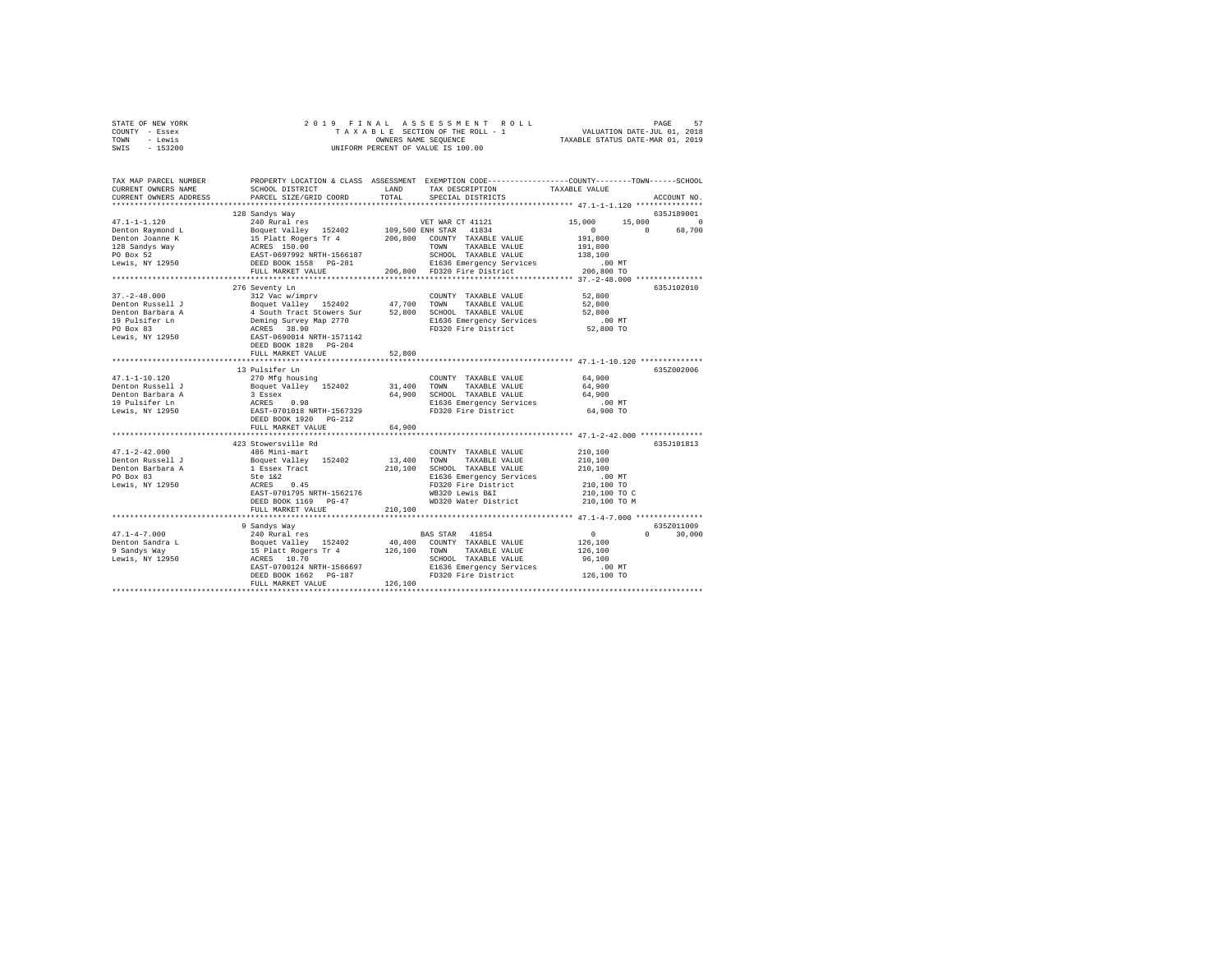| STATE OF NEW YORK |  |  |  | 2019 FINAL ASSESSMENT ROLL         |                                  | PAGE                        | 57 |
|-------------------|--|--|--|------------------------------------|----------------------------------|-----------------------------|----|
| COUNTY - Essex    |  |  |  | TAXABLE SECTION OF THE ROLL - 1    |                                  | VALUATION DATE-JUL 01, 2018 |    |
| TOWN<br>- Lewis   |  |  |  | OWNERS NAME SEOUENCE               | TAXABLE STATUS DATE-MAR 01, 2019 |                             |    |
| $-153200$<br>SWIS |  |  |  | UNIFORM PERCENT OF VALUE IS 100.00 |                                  |                             |    |

| TAX MAP PARCEL NUMBER<br>CURRENT OWNERS NAME              | SCHOOL DISTRICT                                                                                                                                 | LAND<br>TAX DESCRIPTION                                                                                                                                                                                                                  | PROPERTY LOCATION & CLASS ASSESSMENT EXEMPTION CODE----------------COUNTY-------TOWN------SCHOOL<br>TAXABLE VALUE |
|-----------------------------------------------------------|-------------------------------------------------------------------------------------------------------------------------------------------------|------------------------------------------------------------------------------------------------------------------------------------------------------------------------------------------------------------------------------------------|-------------------------------------------------------------------------------------------------------------------|
| CURRENT OWNERS ADDRESS<br>***********************         | PARCEL SIZE/GRID COORD                                                                                                                          | TOTAL<br>SPECIAL DISTRICTS                                                                                                                                                                                                               | ACCOUNT NO.                                                                                                       |
|                                                           | 128 Sandys Way                                                                                                                                  |                                                                                                                                                                                                                                          | 635J189001                                                                                                        |
| $47.1 - 1 - 1.120$<br>Denton Raymond L<br>Denton Joanne K |                                                                                                                                                 | NET WAR CT 41121<br>240 Rund Tes 152402 109,500 RNH STAR 41834<br>15 Platt Rogers Tr 4 206,800 COUNTY TAXABLE VALUE<br>15 Platt Rogers Tr 4 206,800 COUNTY TAXABLE VALUE<br>206,800 COUNTY TAXABLE VALUE<br>206,800 COUNTY TAXABLE VALUE | 15,000<br>15,000<br>$^{\circ}$<br>$\Omega$<br>$\Omega$<br>68,700<br>191,800                                       |
| 128 Sandys Way<br>PO Box 52                               |                                                                                                                                                 | SCHOOL TAXABLE VALUE                                                                                                                                                                                                                     | 191,800<br>138,100                                                                                                |
| Lewis, NY 12950                                           | FULL MARKET VALUE                                                                                                                               | E1636 Emergency Services<br>FD320 Fire District<br>206,800 FD320 Fire District                                                                                                                                                           | $.00$ MT<br>206,800 TO                                                                                            |
|                                                           |                                                                                                                                                 | ***********************                                                                                                                                                                                                                  | *************** 37.-2-48.000 ****************                                                                     |
| $37. - 2 - 48.000$                                        | 276 Seventy Ln<br>312 Vac w/imprv                                                                                                               | COUNTY TAXABLE VALUE                                                                                                                                                                                                                     | 635J102010<br>52,800                                                                                              |
| Denton Russell J                                          |                                                                                                                                                 | 47,700 TOWN<br>TAXABLE VALUE                                                                                                                                                                                                             | 52,800                                                                                                            |
| Denton Barbara A                                          |                                                                                                                                                 | 52,800<br>SCHOOL TAXABLE VALUE                                                                                                                                                                                                           | 52,800                                                                                                            |
| 19 Pulsifer Ln                                            |                                                                                                                                                 |                                                                                                                                                                                                                                          | .00 MT                                                                                                            |
| PO Box 83                                                 |                                                                                                                                                 | E1636 Emergency Services<br>FD320 Fire District                                                                                                                                                                                          | 52,800 TO                                                                                                         |
| Lewis, NY 12950                                           | Equal Valley 152402<br>4 South Tract Stowers Sur<br>Deming Survey Map 2770<br>ACRES 38.90<br>EAST-0690014 NRTH-1571142<br>DEED BOOK 1828 PG-204 |                                                                                                                                                                                                                                          |                                                                                                                   |
|                                                           | FULL MARKET VALUE<br>*************************                                                                                                  | 52,800<br>                                                                                                                                                                                                                               |                                                                                                                   |
|                                                           |                                                                                                                                                 |                                                                                                                                                                                                                                          | ************************ 47.1-1-10.120 **************                                                             |
|                                                           | 13 Pulsifer Ln                                                                                                                                  |                                                                                                                                                                                                                                          | 635Z002006                                                                                                        |
| $47.1 - 1 - 10.120$                                       | 270 Mfg housing                                                                                                                                 | COUNTY TAXABLE VALUE                                                                                                                                                                                                                     | 64,900                                                                                                            |
| Denton Russell J                                          | Boquet Valley 152402                                                                                                                            | 31,400 TOWN<br>TAXABLE VALUE                                                                                                                                                                                                             | 64,900                                                                                                            |
| Denton Barbara A                                          |                                                                                                                                                 | 64,900 SCHOOL TAXABLE VALUE                                                                                                                                                                                                              | 64,900                                                                                                            |
| 19 Pulsifer Ln                                            |                                                                                                                                                 | E1636 Emergency Services                                                                                                                                                                                                                 | $.00$ MT                                                                                                          |
| Lewis, NY 12950                                           |                                                                                                                                                 | FD320 Fire District                                                                                                                                                                                                                      | 64,900 TO                                                                                                         |
|                                                           | 3 Essex<br>ACRES 0.98<br>EAST-0701018 NRTH-1567329<br>DEED BOOK 1920 PG-212                                                                     |                                                                                                                                                                                                                                          |                                                                                                                   |
|                                                           | FULL MARKET VALUE                                                                                                                               | 64,900                                                                                                                                                                                                                                   |                                                                                                                   |
|                                                           |                                                                                                                                                 |                                                                                                                                                                                                                                          | ********************************* 47.1-2-42.000 ***************                                                   |
|                                                           | 423 Stowersville Rd                                                                                                                             |                                                                                                                                                                                                                                          | 635J101813                                                                                                        |
| $47.1 - 2 - 42.000$                                       | 486 Mini-mart                                                                                                                                   | COUNTY TAXABLE VALUE                                                                                                                                                                                                                     | 210,100                                                                                                           |
| Denton Russell J                                          | Boquet Valley 152402                                                                                                                            | 13,400 TOWN<br>TAXABLE VALUE                                                                                                                                                                                                             | 210,100                                                                                                           |
| Denton Barbara A                                          | 1 Essex Tract<br>Ste 1&2<br>ACRES 0.45<br>EAST-0701795 NRTH-1562176                                                                             | 210.100 SCHOOL TAXABLE VALUE                                                                                                                                                                                                             | 210,100                                                                                                           |
| PO Box 83                                                 |                                                                                                                                                 | E1636 Emergency Services<br>FD320 Fire District                                                                                                                                                                                          | .00 MT                                                                                                            |
| Lewis, NY 12950                                           |                                                                                                                                                 |                                                                                                                                                                                                                                          | 210,100 TO<br>210,100 TO C                                                                                        |
|                                                           |                                                                                                                                                 | WB320 Lewis B&I                                                                                                                                                                                                                          |                                                                                                                   |
|                                                           | DEED BOOK 1169 PG-47                                                                                                                            | WD320 Water District                                                                                                                                                                                                                     | 210,100 TO M                                                                                                      |
|                                                           | FULL MARKET VALUE                                                                                                                               | 210,100                                                                                                                                                                                                                                  |                                                                                                                   |
|                                                           |                                                                                                                                                 |                                                                                                                                                                                                                                          |                                                                                                                   |
|                                                           | 9 Sandys Way                                                                                                                                    |                                                                                                                                                                                                                                          | 635Z011009                                                                                                        |
| $47.1 - 4 - 7.000$                                        | 240 Rural res                                                                                                                                   | BAS STAR 41854                                                                                                                                                                                                                           | $\sim$ 0<br>$\Omega$<br>30,000                                                                                    |
| Denton Sandra L                                           | Export Nalley 152402<br>15 Platt Rogers Tr 4<br>ACRES 10.70                                                                                     | 40,400 COUNTY TAXABLE VALUE                                                                                                                                                                                                              | 126,100                                                                                                           |
| 9 Sandys Way                                              |                                                                                                                                                 | 126,100 TOWN<br>TAXABLE VALUE                                                                                                                                                                                                            | 126,100                                                                                                           |
| Lewis, NY 12950                                           |                                                                                                                                                 | SCHOOL TAXABLE VALUE                                                                                                                                                                                                                     | 96,100                                                                                                            |
|                                                           | EAST-0700124 NRTH-1566697                                                                                                                       |                                                                                                                                                                                                                                          |                                                                                                                   |
|                                                           | DEED BOOK 1662 PG-187                                                                                                                           |                                                                                                                                                                                                                                          |                                                                                                                   |
|                                                           | FULL MARKET VALUE                                                                                                                               | 126,100                                                                                                                                                                                                                                  |                                                                                                                   |
|                                                           |                                                                                                                                                 |                                                                                                                                                                                                                                          |                                                                                                                   |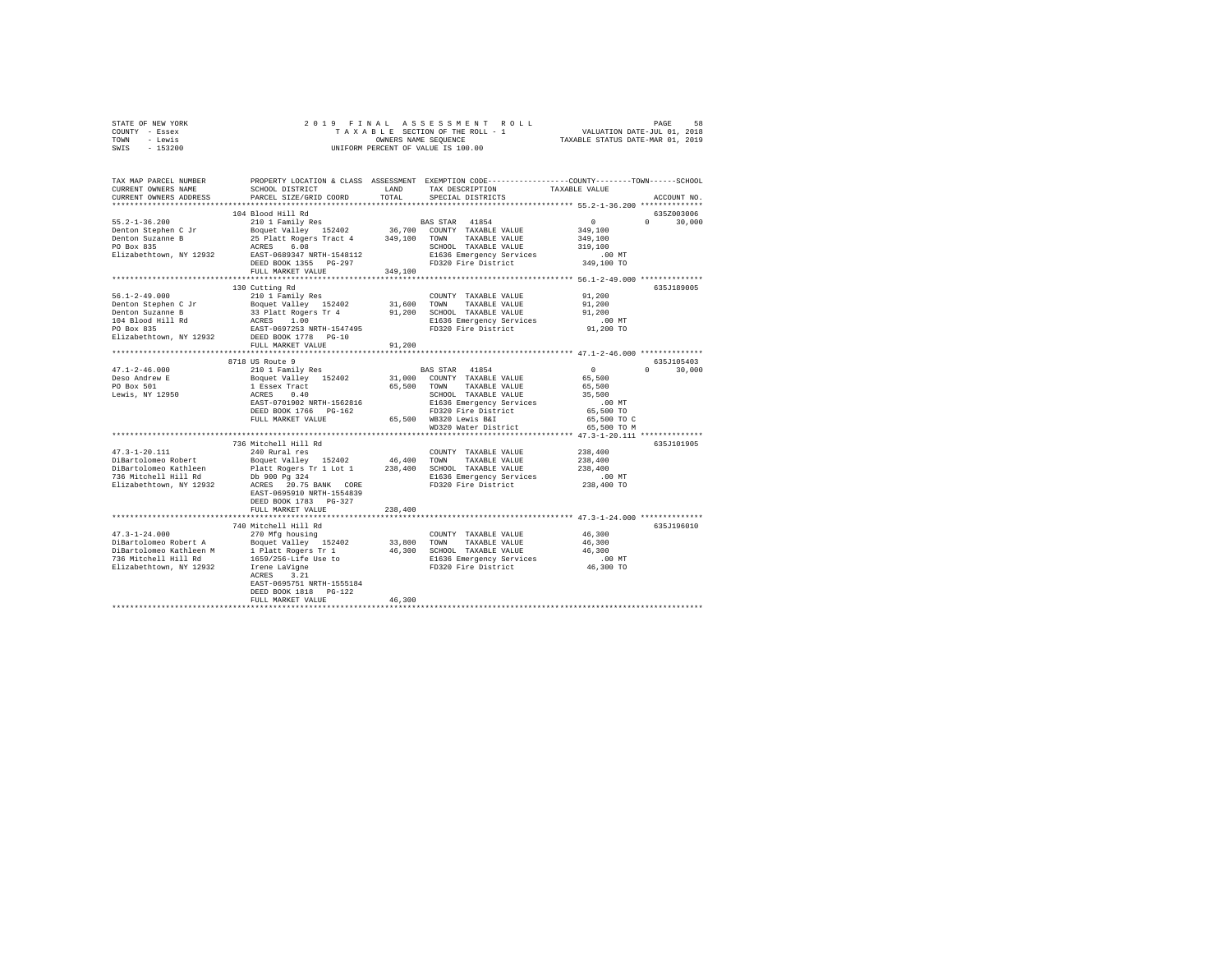| STATE OF NEW YORK           |                                                                                                                                                                                                                                                                                                                                                                                                                            |         |                              |               |               |
|-----------------------------|----------------------------------------------------------------------------------------------------------------------------------------------------------------------------------------------------------------------------------------------------------------------------------------------------------------------------------------------------------------------------------------------------------------------------|---------|------------------------------|---------------|---------------|
| COUNTY - Essex              |                                                                                                                                                                                                                                                                                                                                                                                                                            |         |                              |               |               |
| TOWN - Lewis                |                                                                                                                                                                                                                                                                                                                                                                                                                            |         |                              |               |               |
| SWIS - 153200               |                                                                                                                                                                                                                                                                                                                                                                                                                            |         |                              |               |               |
|                             |                                                                                                                                                                                                                                                                                                                                                                                                                            |         |                              |               |               |
|                             | TAX MAP PARCEL NUMBER PROPERTY LOCATION & CLASS ASSESSMENT EXEMPTION CODE---------------COUNTY-------TOWN------SCHOOL                                                                                                                                                                                                                                                                                                      |         |                              |               |               |
| CURRENT OWNERS NAME         | SCHOOL DISTRICT                                                                                                                                                                                                                                                                                                                                                                                                            | LAND    | TAX DESCRIPTION              | TAXABLE VALUE |               |
| CURRENT OWNERS ADDRESS      | PARCEL SIZE/GRID COORD                                                                                                                                                                                                                                                                                                                                                                                                     | TOTAL   | SPECIAL DISTRICTS            |               | ACCOUNT NO.   |
|                             |                                                                                                                                                                                                                                                                                                                                                                                                                            |         |                              |               |               |
|                             | 104 Blood Hill Rd                                                                                                                                                                                                                                                                                                                                                                                                          |         |                              |               | 635Z003006    |
|                             |                                                                                                                                                                                                                                                                                                                                                                                                                            |         |                              | $\sim$ 0      | $0 \t 30.000$ |
|                             |                                                                                                                                                                                                                                                                                                                                                                                                                            |         |                              | 349,100       |               |
|                             |                                                                                                                                                                                                                                                                                                                                                                                                                            |         |                              | 349,100       |               |
|                             |                                                                                                                                                                                                                                                                                                                                                                                                                            |         |                              | 319,100       |               |
|                             |                                                                                                                                                                                                                                                                                                                                                                                                                            |         |                              | .00 MT        |               |
|                             |                                                                                                                                                                                                                                                                                                                                                                                                                            |         |                              | 349,100 TO    |               |
|                             | FULL MARKET VALUE                                                                                                                                                                                                                                                                                                                                                                                                          | 349,100 |                              |               |               |
|                             |                                                                                                                                                                                                                                                                                                                                                                                                                            |         |                              |               |               |
|                             | 130 Cutting Rd                                                                                                                                                                                                                                                                                                                                                                                                             |         |                              |               | 635J189005    |
| $56.1 - 2 - 49.000$         | 210 1 Family Res                                                                                                                                                                                                                                                                                                                                                                                                           |         |                              | 91,200        |               |
|                             |                                                                                                                                                                                                                                                                                                                                                                                                                            |         |                              | 91,200        |               |
|                             |                                                                                                                                                                                                                                                                                                                                                                                                                            |         |                              | 91,200        |               |
|                             | COUNTY TAXABLE VALUE<br>33 Platt Rogers Tr 4 31,600 TOWN TAXABLE VALUE<br>33 Platt Rogers Tr 4 31,200 SCHOOL TAXABLE VALUE<br>ACRES 1.00 E1636 Emergency Services                                                                                                                                                                                                                                                          |         |                              | .00 MT        |               |
|                             |                                                                                                                                                                                                                                                                                                                                                                                                                            |         |                              | 91,200 TO     |               |
|                             |                                                                                                                                                                                                                                                                                                                                                                                                                            |         |                              |               |               |
|                             |                                                                                                                                                                                                                                                                                                                                                                                                                            |         |                              |               |               |
|                             |                                                                                                                                                                                                                                                                                                                                                                                                                            |         |                              |               |               |
|                             |                                                                                                                                                                                                                                                                                                                                                                                                                            |         |                              |               | 635J105403    |
| $47.1 - 2 - 46.000$         | 210 1 Family Res                                                                                                                                                                                                                                                                                                                                                                                                           |         |                              | $\sim$ 0      | $0 \t 30,000$ |
|                             | $\begin{tabular}{c c c} \multicolumn{1}{c}{2101} I-18m11y~\text{res} \\ \hline \texttt{Boguet Valley} & 152402 & 31,000 & \texttt{CONTY} & \texttt{TAXABLE VALUE} \\ \multicolumn{1}{c}{\texttt{RSERT} & 65,500} & \texttt{TONN} & \texttt{TAXABLE VALUE} \\ \multicolumn{1}{c}{\texttt{RSEST} -0701902} & \texttt{NRTH-1562816} & \texttt{SEIGOL TAXABLE VALUE} \\ \multicolumn{1}{c}{\texttt{RAST} -0701902} & \texttt{$ |         | BAS STAR 41854               |               |               |
| Deso Andrew E<br>PO Box 501 |                                                                                                                                                                                                                                                                                                                                                                                                                            |         |                              | 65,500        |               |
|                             |                                                                                                                                                                                                                                                                                                                                                                                                                            |         |                              | 65,500        |               |
| Lewis, NY 12950             |                                                                                                                                                                                                                                                                                                                                                                                                                            |         |                              | 35,500        |               |
|                             |                                                                                                                                                                                                                                                                                                                                                                                                                            |         |                              | $.00$ MT      |               |
|                             |                                                                                                                                                                                                                                                                                                                                                                                                                            |         |                              | 65,500 TO     |               |
|                             |                                                                                                                                                                                                                                                                                                                                                                                                                            |         |                              | 65,500 TO C   |               |
|                             |                                                                                                                                                                                                                                                                                                                                                                                                                            |         |                              | 65,500 TO M   |               |
|                             |                                                                                                                                                                                                                                                                                                                                                                                                                            |         |                              |               |               |
|                             | 736 Mitchell Hill Rd<br>240 Rural res                                                                                                                                                                                                                                                                                                                                                                                      |         |                              |               | 635J101905    |
| $47.3 - 1 - 20.111$         |                                                                                                                                                                                                                                                                                                                                                                                                                            |         | COUNTY TAXABLE VALUE 238.400 |               |               |
|                             |                                                                                                                                                                                                                                                                                                                                                                                                                            |         |                              | 238,400       |               |
|                             |                                                                                                                                                                                                                                                                                                                                                                                                                            |         |                              | 238,400       |               |
|                             | DiBartolomeo Robert<br>1990 - Andel Hely 152402<br>16,400 TOWN TAXABLE VALUE<br>1990 - 1990 F932402<br>1636 Emergency Services<br>1736 Mitchell Hill Rd<br>1990 P9329<br>20.75 BANK CORE<br>1990 - 1990 P9320 Fire District<br>2010 P9320 Fire D                                                                                                                                                                           |         |                              | .00 MT        |               |
|                             |                                                                                                                                                                                                                                                                                                                                                                                                                            |         |                              | 238,400 TO    |               |
|                             |                                                                                                                                                                                                                                                                                                                                                                                                                            |         |                              |               |               |
|                             | DEED BOOK 1783 PG-327                                                                                                                                                                                                                                                                                                                                                                                                      |         |                              |               |               |
|                             | FULL MARKET VALUE                                                                                                                                                                                                                                                                                                                                                                                                          | 238,400 |                              |               |               |
|                             |                                                                                                                                                                                                                                                                                                                                                                                                                            |         |                              |               |               |
|                             | 740 Mitchell Hill Rd                                                                                                                                                                                                                                                                                                                                                                                                       |         |                              |               | 635J196010    |
|                             |                                                                                                                                                                                                                                                                                                                                                                                                                            |         |                              | 46,300        |               |
|                             |                                                                                                                                                                                                                                                                                                                                                                                                                            |         |                              | 46,300        |               |
|                             |                                                                                                                                                                                                                                                                                                                                                                                                                            |         |                              | 46,300        |               |
|                             |                                                                                                                                                                                                                                                                                                                                                                                                                            |         |                              | $46,300$ TO   |               |
|                             |                                                                                                                                                                                                                                                                                                                                                                                                                            |         |                              |               |               |
|                             |                                                                                                                                                                                                                                                                                                                                                                                                                            |         |                              |               |               |
|                             | EAST-0695751 NRTH-1555184                                                                                                                                                                                                                                                                                                                                                                                                  |         |                              |               |               |
|                             | DEED BOOK 1818 PG-122                                                                                                                                                                                                                                                                                                                                                                                                      |         |                              |               |               |
|                             | FULL MARKET VALUE                                                                                                                                                                                                                                                                                                                                                                                                          | 46,300  |                              |               |               |
|                             |                                                                                                                                                                                                                                                                                                                                                                                                                            |         |                              |               |               |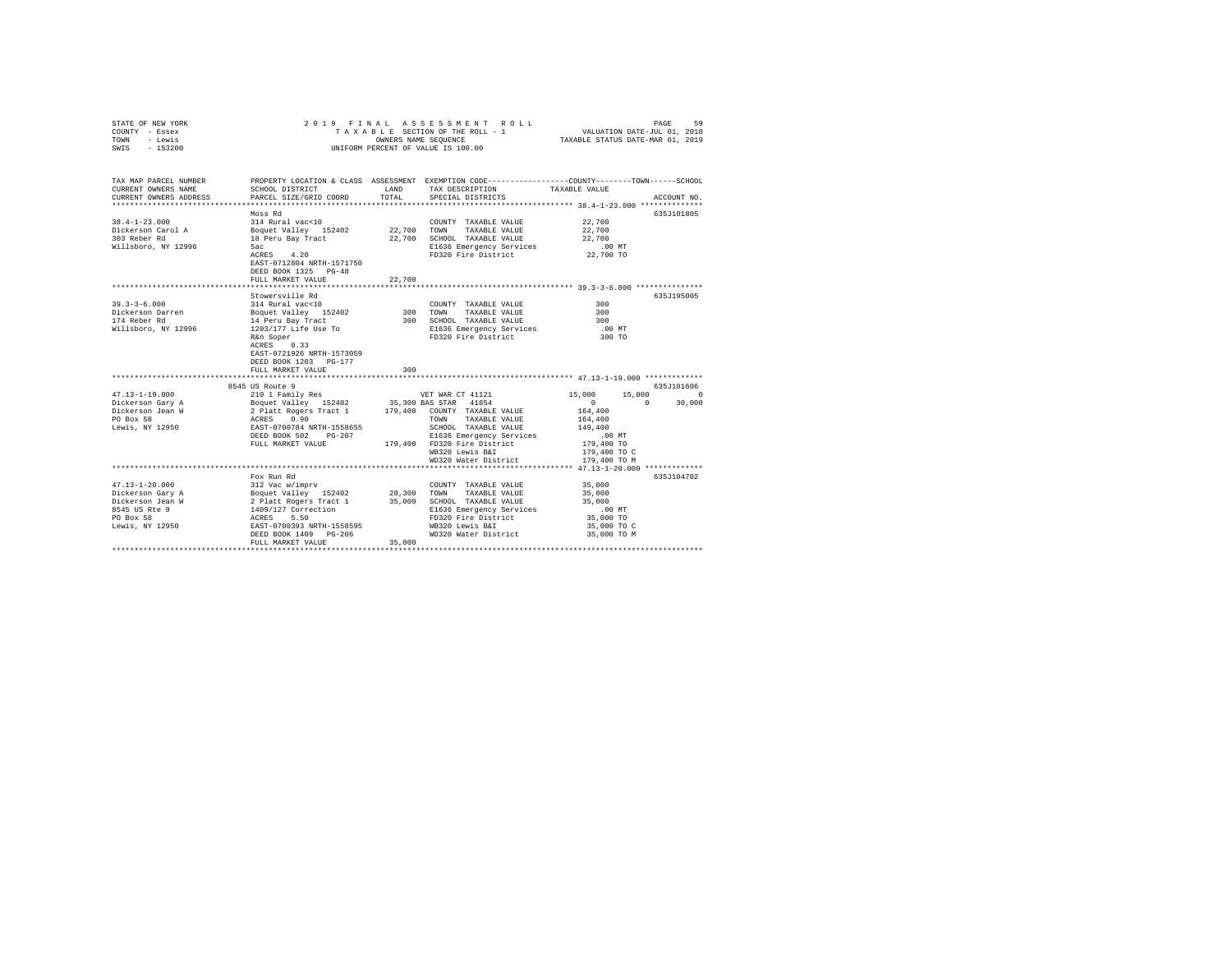| STATE OF NEW YORK<br>COUNTY - Essex<br>- Lewis<br>TOWN<br>$-153200$<br>SWIS |                                                             |             | 2019 FINAL ASSESSMENT ROLL<br>TAXABLE SECTION OF THE ROLL - 1<br>OWNERS NAME SEQUENCE<br>UNIFORM PERCENT OF VALUE IS 100.00 | VALUATION DATE-JUL 01, 2018<br>TAXABLE STATUS DATE-MAR 01, 2019 | 59<br>PAGE  |
|-----------------------------------------------------------------------------|-------------------------------------------------------------|-------------|-----------------------------------------------------------------------------------------------------------------------------|-----------------------------------------------------------------|-------------|
| TAX MAP PARCEL NUMBER<br>CURRENT OWNERS NAME                                | SCHOOL DISTRICT                                             | LAND        | PROPERTY LOCATION & CLASS ASSESSMENT EXEMPTION CODE---------------COUNTY-------TOWN------SCHOOL<br>TAX DESCRIPTION          | TAXABLE VALUE                                                   |             |
| CURRENT OWNERS ADDRESS                                                      | PARCEL SIZE/GRID COORD                                      | TOTAL       | SPECIAL DISTRICTS                                                                                                           |                                                                 | ACCOUNT NO. |
|                                                                             |                                                             |             |                                                                                                                             |                                                                 |             |
| $38.4 - 1 - 23.000$                                                         | Moss Rd<br>314 Rural vac<10                                 |             | COUNTY TAXABLE VALUE                                                                                                        | 22,700                                                          | 635J101805  |
| Dickerson Carol A                                                           | Boquet Valley 152402                                        | 22,700 TOWN | TAXABLE VALUE                                                                                                               | 22,700                                                          |             |
| 303 Reber Rd                                                                | 18 Peru Bay Tract                                           | 22,700      | SCHOOL TAXABLE VALUE                                                                                                        | 22,700                                                          |             |
| Willsboro, NY 12996                                                         | 5ac                                                         |             | E1636 Emergency Services                                                                                                    | $.00$ MT                                                        |             |
|                                                                             | ACRES 4.20                                                  |             | FD320 Fire District                                                                                                         | 22,700 TO                                                       |             |
|                                                                             | EAST-0712804 NRTH-1571750<br>DEED BOOK 1325 PG-48           |             |                                                                                                                             |                                                                 |             |
|                                                                             | FULL MARKET VALUE                                           | 22,700      |                                                                                                                             |                                                                 |             |
|                                                                             |                                                             |             |                                                                                                                             |                                                                 |             |
|                                                                             | Stowersville Rd                                             |             |                                                                                                                             |                                                                 | 635J195005  |
| $39.3 - 3 - 6.000$                                                          | 314 Rural vac<10                                            |             | COUNTY TAXABLE VALUE                                                                                                        | 300                                                             |             |
| Dickerson Darren<br>174 Reber Rd                                            | Boquet Valley 152402<br>14 Peru Bay Tract                   |             | 300 TOWN<br>TAXABLE VALUE<br>300 SCHOOL TAXABLE VALUE                                                                       | 300<br>300                                                      |             |
| Willsboro, NY 12996                                                         | 1203/177 Life Use To                                        |             | E1636 Emergency Services                                                                                                    | $.00$ MT                                                        |             |
|                                                                             | R&n Soper                                                   |             | FD320 Fire District                                                                                                         | 300 TO                                                          |             |
|                                                                             | ACRES 0.33                                                  |             |                                                                                                                             |                                                                 |             |
|                                                                             | EAST-0721926 NRTH-1573059                                   |             |                                                                                                                             |                                                                 |             |
|                                                                             | DEED BOOK 1203 PG-177<br>FULL MARKET VALUE                  | 300         |                                                                                                                             |                                                                 |             |
|                                                                             |                                                             |             |                                                                                                                             |                                                                 |             |
|                                                                             | 8545 US Route 9                                             |             |                                                                                                                             |                                                                 | 635J101606  |
| $47.13 - 1 - 19.000$                                                        | 210 1 Family Res                                            |             | VET WAR CT 41121                                                                                                            | 15,000<br>15,000                                                | $\sim$ 0    |
| Dickerson Gary A                                                            | Boquet Valley 152402                                        |             | 35,300 BAS STAR 41854                                                                                                       | $\Omega$<br>$\sim$ 0                                            | 30,000      |
| Dickerson Jean W<br>PO Box 58                                               | 2 Platt Rogers Tract 1<br>ACRES 0.90                        |             | 179,400 COUNTY TAXABLE VALUE<br>TOWN TAXABLE VALUE                                                                          | 164,400<br>164,400                                              |             |
| Lewis, NY 12950                                                             | EAST-0700784 NRTH-1558655                                   |             | SCHOOL TAXABLE VALUE                                                                                                        | 149,400                                                         |             |
|                                                                             | DEED BOOK 502<br>$PG-207$                                   |             | E1636 Emergency Services                                                                                                    | $.00$ MT                                                        |             |
|                                                                             | FULL MARKET VALUE                                           |             | 179,400 FD320 Fire District                                                                                                 | 179,400 TO                                                      |             |
|                                                                             |                                                             |             | WB320 Lewis B&I                                                                                                             | 179,400 TO C                                                    |             |
|                                                                             |                                                             |             | WD320 Water District<br>************************************* 47.13-1-20.000 *************                                  | 179,400 TO M                                                    |             |
|                                                                             | Fox Run Rd                                                  |             |                                                                                                                             |                                                                 | 635J104702  |
| $47.13 - 1 - 20.000$                                                        | 312 Vac w/imprv                                             |             | COUNTY TAXABLE VALUE                                                                                                        | 35,000                                                          |             |
| Dickerson Gary A                                                            | Boquet Valley 152402                                        |             | 28,300 TOWN TAXABLE VALUE                                                                                                   | 35,000                                                          |             |
| Dickerson Jean W                                                            | 2 Platt Rogers Tract 1<br>1409/127 Correction<br>ACRES 5.50 |             | 35,000 SCHOOL TAXABLE VALUE                                                                                                 | 35,000                                                          |             |
| 8545 US Rte 9                                                               |                                                             |             | E1636 Emergency Services                                                                                                    | .00 MT                                                          |             |
| PO Box 58<br>Lewis, NY 12950                                                | EAST-0700393 NRTH-1558595                                   |             | FD320 Fire District<br>WB320 Lewis B&I                                                                                      | 35,000 TO<br>35,000 TO C                                        |             |
|                                                                             | DEED BOOK 1409 PG-206                                       |             | WD320 Water District                                                                                                        | 35,000 TO M                                                     |             |
|                                                                             | FULL MARKET VALUE                                           | 35,000      |                                                                                                                             |                                                                 |             |
|                                                                             |                                                             |             |                                                                                                                             |                                                                 |             |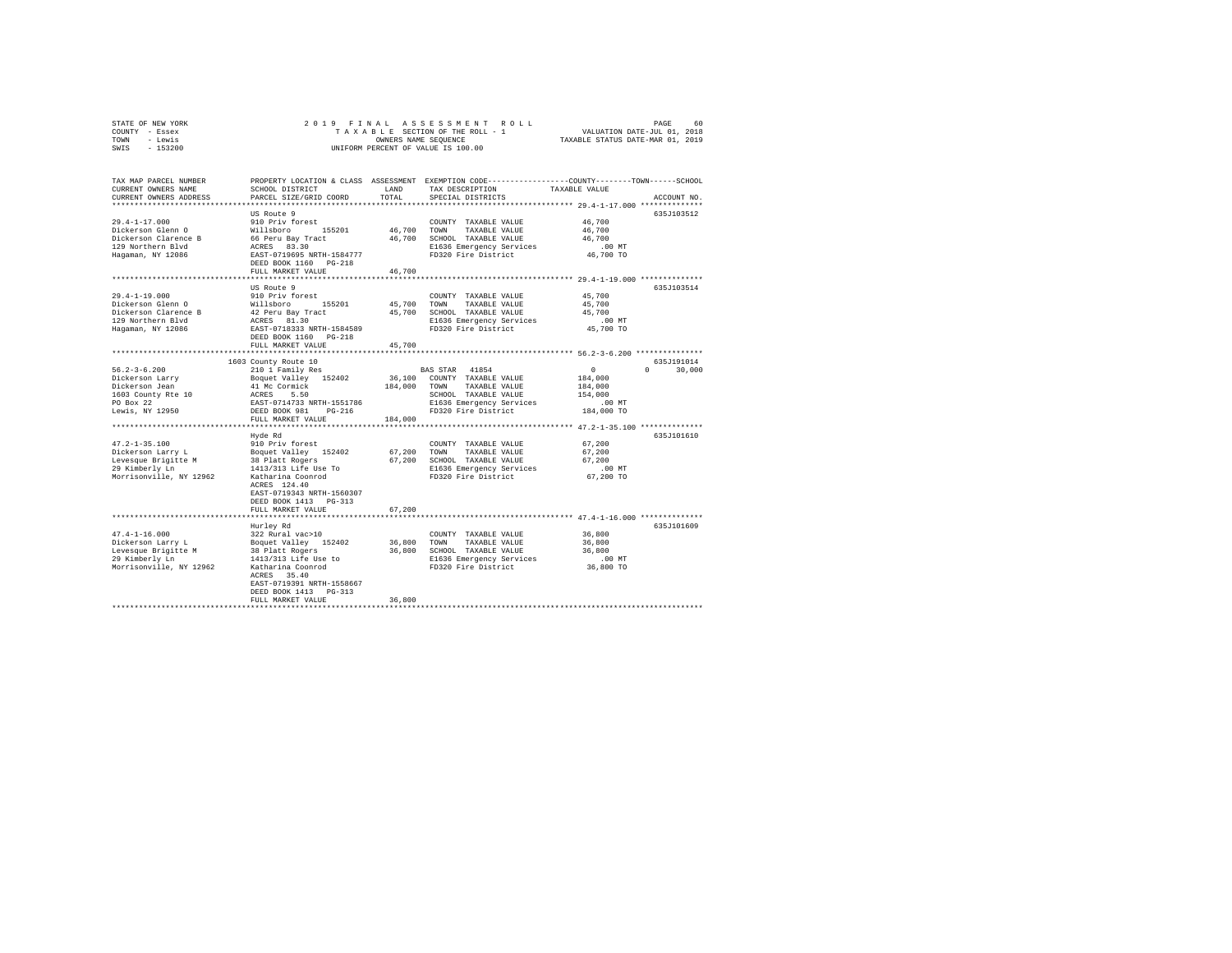| STATE OF NEW YORK       | 2019 FINAL                                               |             |                                                                                                 |                                                        |               |  |
|-------------------------|----------------------------------------------------------|-------------|-------------------------------------------------------------------------------------------------|--------------------------------------------------------|---------------|--|
| COUNTY - Essex          | TAXABLE SECTION OF THE ROLL - 1                          |             |                                                                                                 |                                                        |               |  |
| TOWN - Lewis            | TAXABLE STATUS DATE-MAR 01, 2019<br>OWNERS NAME SEQUENCE |             |                                                                                                 |                                                        |               |  |
| SWIS - 153200           |                                                          |             | UNIFORM PERCENT OF VALUE IS 100.00                                                              |                                                        |               |  |
|                         |                                                          |             |                                                                                                 |                                                        |               |  |
|                         |                                                          |             |                                                                                                 |                                                        |               |  |
| TAX MAP PARCEL NUMBER   |                                                          |             | PROPERTY LOCATION & CLASS ASSESSMENT EXEMPTION CODE---------------COUNTY-------TOWN------SCHOOL |                                                        |               |  |
| CURRENT OWNERS NAME     | SCHOOL DISTRICT                                          | LAND        | TAX DESCRIPTION                                                                                 | TAXABLE VALUE                                          |               |  |
| CURRENT OWNERS ADDRESS  | PARCEL SIZE/GRID COORD                                   | TOTAL       | SPECIAL DISTRICTS                                                                               |                                                        | ACCOUNT NO.   |  |
|                         |                                                          |             |                                                                                                 |                                                        |               |  |
|                         | US Route 9                                               |             |                                                                                                 |                                                        | 635J103512    |  |
| $29.4 - 1 - 17.000$     | 910 Priv forest                                          |             | COUNTY TAXABLE VALUE                                                                            | 46,700                                                 |               |  |
| Dickerson Glenn O       | Willsboro 155201                                         |             | 46.700 TOWN TAXABLE VALUE                                                                       | 46,700                                                 |               |  |
| Dickerson Clarence B    | 66 Peru Bay Tract                                        |             | 46,700 SCHOOL TAXABLE VALUE                                                                     | 46,700                                                 |               |  |
| 129 Northern Blvd       | ACRES 83.30                                              |             | E1636 Emergency Services                                                                        | $.00$ MT                                               |               |  |
| Hagaman, NY 12086       | EAST-0719695 NRTH-1584777<br>DEED BOOK 1160 PG-218       |             | FD320 Fire District                                                                             | 46,700 TO                                              |               |  |
|                         | FULL MARKET VALUE                                        | 46,700      |                                                                                                 |                                                        |               |  |
|                         |                                                          |             |                                                                                                 | ************************* 29.4-1-19.000 ************** |               |  |
|                         | US Route 9                                               |             |                                                                                                 |                                                        | 635J103514    |  |
| 29.4-1-19.000           | 910 Priv forest                                          |             | COUNTY TAXABLE VALUE                                                                            | 45,700                                                 |               |  |
| Dickerson Glenn O       | Willsboro 155201                                         |             | 45,700 TOWN<br>TAXABLE VALUE                                                                    | 45,700                                                 |               |  |
| Dickerson Clarence B    | 42 Peru Bay Tract                                        |             | 45,700 SCHOOL TAXABLE VALUE                                                                     | 45,700                                                 |               |  |
| 129 Northern Blvd       | ACRES 81.30                                              |             | E1636 Emergency Services                                                                        | .00 MT                                                 |               |  |
| Hagaman, NY 12086       | EAST-0718333 NRTH-1584589                                |             | FD320 Fire District                                                                             | 45,700 TO                                              |               |  |
|                         | DEED BOOK 1160 PG-218                                    |             |                                                                                                 |                                                        |               |  |
|                         | FULL MARKET VALUE                                        | 45,700      |                                                                                                 |                                                        |               |  |
|                         |                                                          |             |                                                                                                 |                                                        |               |  |
|                         | 1603 County Route 10                                     |             |                                                                                                 |                                                        | 635J191014    |  |
| $56.2 - 3 - 6.200$      | 210 1 Family Res                                         |             | BAS STAR 41854                                                                                  | $\overline{0}$                                         | $0 \t 30,000$ |  |
| Dickerson Larry         | Boquet Valley 152402                                     |             | 36,100 COUNTY TAXABLE VALUE                                                                     | 184,000                                                |               |  |
| Dickerson Jean          | 41 Mc Cormick                                            |             | 184,000 TOWN TAXABLE VALUE                                                                      | 184,000                                                |               |  |
| 1603 County Rte 10      | ACRES 5.50                                               |             | SCHOOL TAXABLE VALUE                                                                            | 154,000                                                |               |  |
| PO Box 22               | EAST-0714733 NRTH-1551786                                |             | E1636 Emergency Services                                                                        | $.00$ MT                                               |               |  |
| Lewis, NY 12950         | DEED BOOK 981 PG-216                                     |             | FD320 Fire District                                                                             | 184,000 TO                                             |               |  |
|                         | FULL MARKET VALUE                                        | 184,000     |                                                                                                 |                                                        |               |  |
|                         |                                                          |             |                                                                                                 |                                                        |               |  |
|                         | Hyde Rd                                                  |             |                                                                                                 |                                                        | 635J101610    |  |
| $47.2 - 1 - 35.100$     | 910 Priv forest                                          |             | COUNTY TAXABLE VALUE                                                                            | 67.200                                                 |               |  |
| Dickerson Larry L       | Boquet Valley 152402                                     | 67.200 TOWN | TAXABLE VALUE                                                                                   | 67,200                                                 |               |  |
| Levesque Brigitte M     | 38 Platt Rogers                                          |             | 67.200 SCHOOL TAXABLE VALUE                                                                     | 67,200                                                 |               |  |
| 29 Kimberly Ln          | 1413/313 Life Use To<br>Katharina Coonrod                |             | E1636 Emergency Services                                                                        | .00MT                                                  |               |  |
| Morrisonville, NY 12962 |                                                          |             | FD320 Fire District                                                                             | 67,200 TO                                              |               |  |
|                         | ACRES 124.40<br>EAST-0719343 NRTH-1560307                |             |                                                                                                 |                                                        |               |  |
|                         | DEED BOOK 1413 PG-313                                    |             |                                                                                                 |                                                        |               |  |
|                         | FULL MARKET VALUE                                        | 67,200      |                                                                                                 |                                                        |               |  |
|                         |                                                          |             |                                                                                                 |                                                        |               |  |
|                         | Hurley Rd                                                |             |                                                                                                 |                                                        | 635J101609    |  |
| $47.4 - 1 - 16.000$     | 322 Rural vac>10                                         |             | COUNTY TAXABLE VALUE                                                                            | 36,800                                                 |               |  |
| Dickerson Larry L       |                                                          | 36,800      | TOWN<br>TAXABLE VALUE                                                                           | 36,800                                                 |               |  |
| Levesque Brigitte M     | Boquet Valley 152402<br>38 Platt Rogers                  |             | 36,800 SCHOOL TAXABLE VALUE                                                                     | 36,800                                                 |               |  |
| 29 Kimberly Ln          | 1413/313 Life Use to                                     |             | E1636 Emergency Services                                                                        | .00 MT                                                 |               |  |
| Morrisonville, NY 12962 | Katharina Coonrod                                        |             | FD320 Fire District                                                                             | 36,800 TO                                              |               |  |
|                         | ACRES 35.40                                              |             |                                                                                                 |                                                        |               |  |
|                         | EAST-0719391 NRTH-1558667                                |             |                                                                                                 |                                                        |               |  |
|                         | DEED BOOK 1413 PG-313                                    |             |                                                                                                 |                                                        |               |  |
|                         | FULL MARKET VALUE                                        | 36,800      |                                                                                                 |                                                        |               |  |
|                         |                                                          |             |                                                                                                 |                                                        |               |  |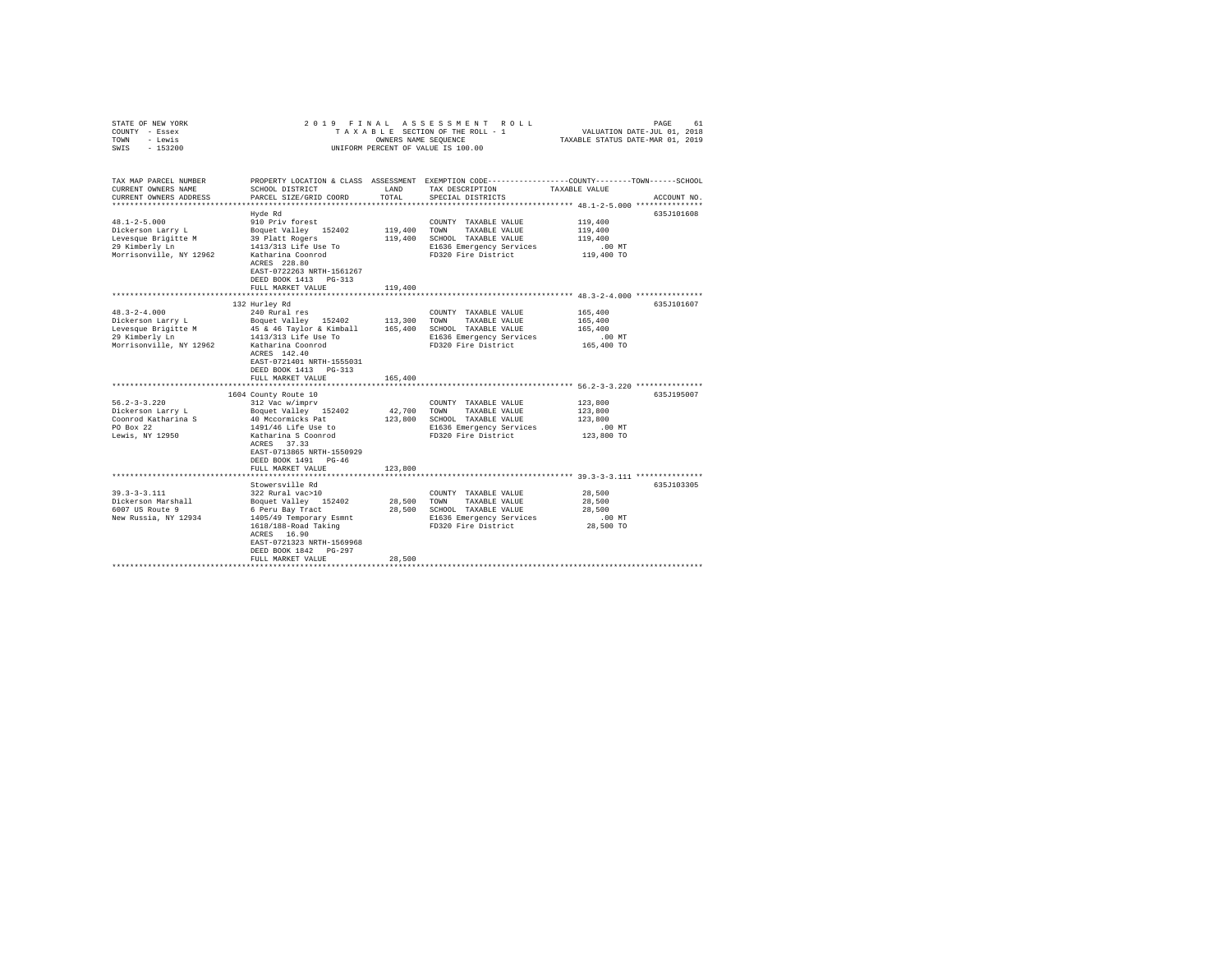| STATE OF NEW YORK       | 2019 FINAL                              |            | ASSESSMENT ROLL                    | PAGE<br>61                                                                                      |  |
|-------------------------|-----------------------------------------|------------|------------------------------------|-------------------------------------------------------------------------------------------------|--|
| COUNTY - Essex          |                                         |            | TAXABLE SECTION OF THE ROLL - 1    | VALUATION DATE-JUL 01, 2018                                                                     |  |
| - Lewis<br>TOWN         |                                         |            | OWNERS NAME SEQUENCE               | TAXABLE STATUS DATE-MAR 01, 2019                                                                |  |
| $-153200$<br>SWIS       |                                         |            | UNIFORM PERCENT OF VALUE IS 100.00 |                                                                                                 |  |
|                         |                                         |            |                                    |                                                                                                 |  |
|                         |                                         |            |                                    |                                                                                                 |  |
|                         |                                         |            |                                    |                                                                                                 |  |
| TAX MAP PARCEL NUMBER   |                                         |            |                                    | PROPERTY LOCATION & CLASS ASSESSMENT EXEMPTION CODE---------------COUNTY-------TOWN------SCHOOL |  |
| CURRENT OWNERS NAME     | SCHOOL DISTRICT                         | LAND       | TAX DESCRIPTION                    | TAXABLE VALUE                                                                                   |  |
| CURRENT OWNERS ADDRESS  | PARCEL SIZE/GRID COORD                  | TOTAL      | SPECIAL DISTRICTS                  | ACCOUNT NO.                                                                                     |  |
|                         |                                         |            |                                    |                                                                                                 |  |
|                         | Hyde Rd                                 |            |                                    | 635J101608                                                                                      |  |
| $48.1 - 2 - 5.000$      | 910 Priv forest                         |            | COUNTY TAXABLE VALUE               | 119,400                                                                                         |  |
| Dickerson Larry L       | Boquet Valley 152402<br>39 Platt Rogers | 119,400    | TOWN<br>TAXABLE VALUE              | 119,400                                                                                         |  |
| Levesque Brigitte M     |                                         | 119,400    | SCHOOL TAXABLE VALUE               | 119,400                                                                                         |  |
| 29 Kimberly Ln          | 1413/313 Life Use To                    |            | E1636 Emergency Services           | $.00$ MT                                                                                        |  |
| Morrisonville, NY 12962 | Katharina Coonrod                       |            | FD320 Fire District                | 119,400 TO                                                                                      |  |
|                         | ACRES 228.80                            |            |                                    |                                                                                                 |  |
|                         | EAST-0722263 NRTH-1561267               |            |                                    |                                                                                                 |  |
|                         | DEED BOOK 1413 PG-313                   |            |                                    |                                                                                                 |  |
|                         | FULL MARKET VALUE                       | 119,400    |                                    |                                                                                                 |  |
|                         |                                         |            |                                    |                                                                                                 |  |
|                         | 132 Hurley Rd                           |            |                                    | 635J101607                                                                                      |  |
| $48.3 - 2 - 4.000$      | 240 Rural res                           |            | COUNTY TAXABLE VALUE               | 165,400                                                                                         |  |
| Dickerson Larry L       | Boquet Valley 152402                    | 113,300    | TOWN<br>TAXABLE VALUE              | 165,400                                                                                         |  |
| Levesque Brigitte M     | 45 & 46 Taylor & Kimball                | 165,400    | SCHOOL TAXABLE VALUE               | 165,400                                                                                         |  |
| 29 Kimberly Ln          | 1413/313 Life Use To                    |            | E1636 Emergency Services           | $.00$ MT                                                                                        |  |
| Morrisonville, NY 12962 | Katharina Coonrod                       |            | FD320 Fire District                | 165,400 TO                                                                                      |  |
|                         | ACRES 142.40                            |            |                                    |                                                                                                 |  |
|                         | EAST-0721401 NRTH-1555031               |            |                                    |                                                                                                 |  |
|                         | DEED BOOK 1413 PG-313                   |            |                                    |                                                                                                 |  |
|                         | FULL MARKET VALUE                       | 165,400    |                                    |                                                                                                 |  |
|                         |                                         |            |                                    |                                                                                                 |  |
|                         | 1604 County Route 10                    |            |                                    | 635J195007                                                                                      |  |
| $56.2 - 3 - 3.220$      | 312 Vac w/imprv                         |            | COUNTY TAXABLE VALUE               | 123,800                                                                                         |  |
| Dickerson Larry L       | Boquet Valley 152402                    | 42,700     | TOWN<br>TAXABLE VALUE              | 123,800                                                                                         |  |
| Coonrod Katharina S     | 40 Mccormicks Pat                       | 123,800    | SCHOOL TAXABLE VALUE               | 123,800                                                                                         |  |
| PO Box 22               | 1491/46 Life Use to                     |            | E1636 Emergency Services           | .00MT                                                                                           |  |
| Lewis, NY 12950         | Katharina S Coonrod                     |            | FD320 Fire District                | 123,800 TO                                                                                      |  |
|                         | ACRES 37.33                             |            |                                    |                                                                                                 |  |
|                         | EAST-0713865 NRTH-1550929               |            |                                    |                                                                                                 |  |
|                         | DEED BOOK 1491 PG-46                    |            |                                    |                                                                                                 |  |
|                         | FULL MARKET VALUE                       | 123,800    |                                    |                                                                                                 |  |
|                         | **************************              | ********** |                                    |                                                                                                 |  |
|                         | Stowersville Rd                         |            |                                    | 635J103305                                                                                      |  |
| $39.3 - 3 - 3.111$      | 322 Rural vac>10                        |            | COUNTY TAXABLE VALUE               | 28,500                                                                                          |  |
| Dickerson Marshall      | Boquet Valley 152402                    | 28,500     | TOWN<br>TAXABLE VALUE              | 28,500                                                                                          |  |
| 6007 US Route 9         | 6 Peru Bay Tract                        | 28,500     | SCHOOL TAXABLE VALUE               | 28,500                                                                                          |  |
| New Russia, NY 12934    | 1405/49 Temporary Esmnt                 |            | E1636 Emergency Services           | $.00$ MT                                                                                        |  |
|                         | 1618/188-Road Taking                    |            | FD320 Fire District                | 28,500 TO                                                                                       |  |
|                         | ACRES 16.90                             |            |                                    |                                                                                                 |  |
|                         | EAST-0721323 NRTH-1569968               |            |                                    |                                                                                                 |  |
|                         | DEED BOOK 1842 PG-297                   |            |                                    |                                                                                                 |  |
|                         | FULL MARKET VALUE                       | 28,500     |                                    |                                                                                                 |  |
|                         |                                         |            |                                    |                                                                                                 |  |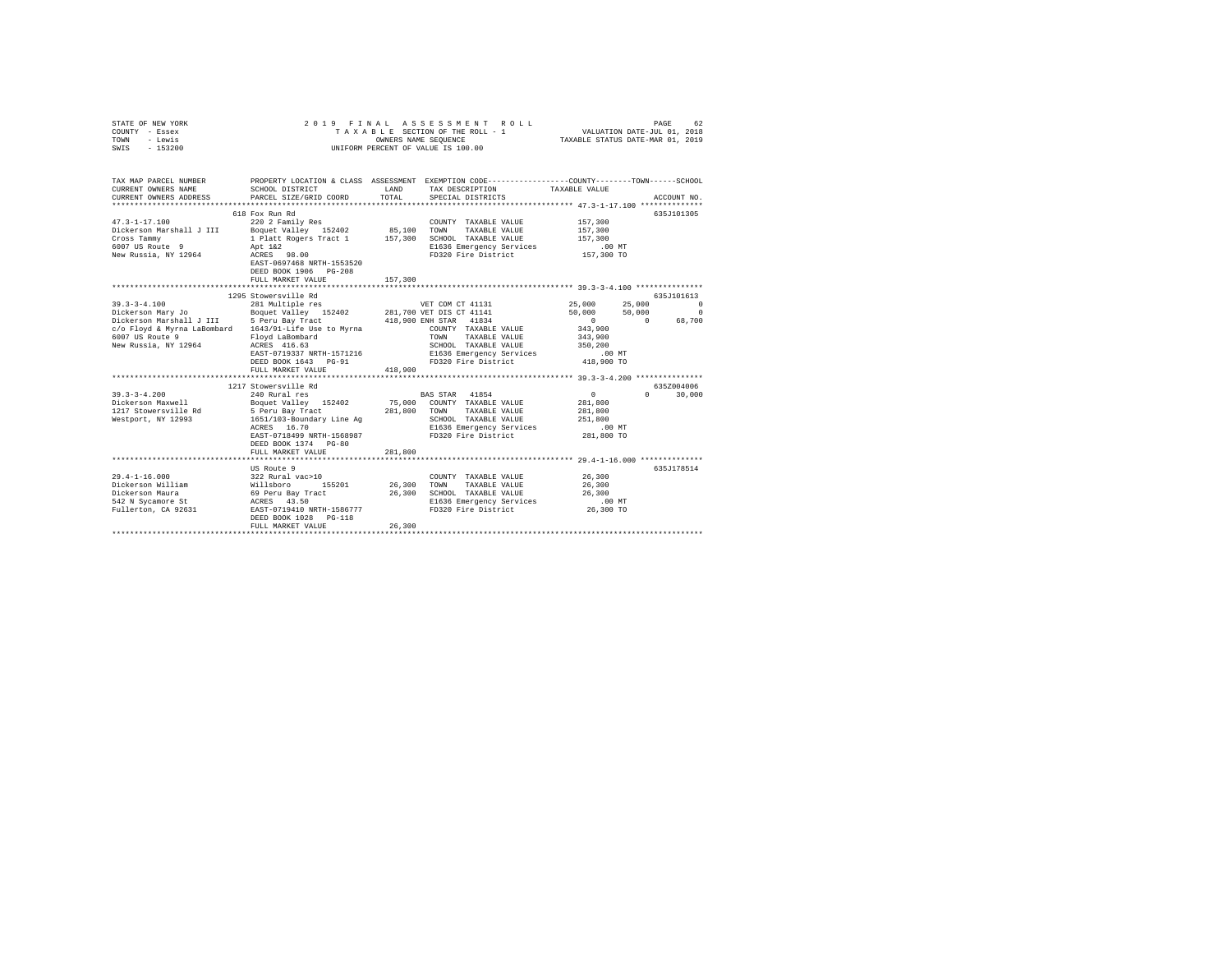| COUNTY - Essex<br>TOWN<br>- Lewis<br>SWIS<br>$-153200$                                                                                | TAXABLE SECTION OF THE ROLL - 1<br>UNIFORM PERCENT OF VALUE IS 100.00                                                                                                              | VALUATION DATE-JUL 01, 2018<br>TAXABLE STATUS DATE-MAR 01, 2019 |                                                                                                                                                   |                                                            |                  |                                    |
|---------------------------------------------------------------------------------------------------------------------------------------|------------------------------------------------------------------------------------------------------------------------------------------------------------------------------------|-----------------------------------------------------------------|---------------------------------------------------------------------------------------------------------------------------------------------------|------------------------------------------------------------|------------------|------------------------------------|
| TAX MAP PARCEL NUMBER<br>CURRENT OWNERS NAME<br>CURRENT OWNERS ADDRESS                                                                | SCHOOL DISTRICT<br>PARCEL SIZE/GRID COORD                                                                                                                                          | LAND<br>TOTAL                                                   | PROPERTY LOCATION & CLASS ASSESSMENT EXEMPTION CODE---------------COUNTY-------TOWN------SCHOOL<br>TAX DESCRIPTION<br>SPECIAL DISTRICTS           | TAXABLE VALUE                                              |                  | ACCOUNT NO.                        |
| $47.3 - 1 - 17.100$<br>Dickerson Marshall J III Boquet Valley 152402 85,100<br>Cross Tammy<br>6007 US Route 9<br>New Russia, NY 12964 | 618 Fox Run Rd<br>220 2 Family Res<br>1 Platt Rogers Tract 1 157,300<br>Apt 1&2<br>ACRES 98.00<br>EAST-0697468 NRTH-1553520<br>DEED BOOK 1906 PG-208<br>FULL MARKET VALUE          | 157,300                                                         | COUNTY TAXABLE VALUE<br>TAXABLE VALUE<br>TOWN<br>SCHOOL TAXABLE VALUE<br>E1636 Emergency Services<br>FD320 Fire District                          | 157,300<br>157,300<br>157,300<br>$.00$ MT<br>157,300 TO    |                  | 635J101305                         |
|                                                                                                                                       |                                                                                                                                                                                    |                                                                 |                                                                                                                                                   |                                                            |                  |                                    |
| $39.3 - 3 - 4.100$<br>Dickerson Mary Jo<br>Dickerson Marshall J III                                                                   | 1295 Stowersville Rd<br>281 Multiple res<br>Boquet Valley 152402<br>5 Peru Bay Tract                                                                                               |                                                                 | VET COM CT 41131<br>281,700 VET DIS CT 41141<br>418,900 ENH STAR 41834                                                                            | 25,000<br>50,000<br>$\sim$ 0                               | 25,000<br>50,000 | 635J101613<br>$\Omega$<br>0 68,700 |
| c/o Floyd & Myrna LaBombard<br>6007 US Route 9<br>New Russia, NY 12964                                                                | 1643/91-Life Use to Myrna<br>Floyd LaBombard<br>ACRES 416.63<br>EAST-0719337 NRTH-1571216<br>DEED BOOK 1643 PG-91<br>FULL MARKET VALUE                                             | 418,900                                                         | COUNTY TAXABLE VALUE<br>TOWN<br>TAXABLE VALUE<br>SCHOOL TAXABLE VALUE<br>E1636 Emergency Services<br>FD320 Fire District                          | 343,900<br>343,900<br>350,200<br>$.00$ MT<br>418,900 TO    |                  |                                    |
|                                                                                                                                       |                                                                                                                                                                                    |                                                                 |                                                                                                                                                   |                                                            |                  |                                    |
| $39.3 - 3 - 4.200$<br>Dickerson Maxwell<br>1217 Stowersville Rd<br>Westport, NY 12993                                                 | 1217 Stowersville Rd<br>240 Rural res<br>Boquet Valley 152402<br>5 Peru Bay Tract<br>1651/103-Boundary Line Ag<br>ACRES 16.70<br>EAST-0718499 NRTH-1568987<br>DEED BOOK 1374 PG-80 | 281,800                                                         | BAS STAR 41854<br>75,000 COUNTY TAXABLE VALUE<br>TAXABLE VALUE<br>TOWN<br>SCHOOL TAXABLE VALUE<br>E1636 Emergency Services<br>FD320 Fire District | 0<br>281,800<br>281,800<br>251,800<br>.00 MT<br>281,800 TO | $\Omega$         | 635Z004006<br>30,000               |
|                                                                                                                                       | FULL MARKET VALUE                                                                                                                                                                  | 281,800                                                         |                                                                                                                                                   |                                                            |                  |                                    |
| $29.4 - 1 - 16.000$<br>Dickerson William<br>Dickerson Maura<br>542 N Sycamore St<br>Fullerton, CA 92631                               | US Route 9<br>322 Rural vac>10<br>Willsboro 1552<br>69 Peru Bay Tract<br>155201<br>ACRES 43.50<br>EAST-0719410 NRTH-1586777<br>DEED BOOK 1028 PG-118<br>FULL MARKET VALUE          | 26,300<br>26,300<br>26,300                                      | COUNTY TAXABLE VALUE<br>TAXABLE VALUE<br>TOWN<br>SCHOOL TAXABLE VALUE<br>E1636 Emergency Services<br>FD320 Fire District                          | 26,300<br>26,300<br>26,300<br>$.00$ MT<br>26,300 TO        |                  | 635J178514                         |
|                                                                                                                                       |                                                                                                                                                                                    |                                                                 |                                                                                                                                                   |                                                            |                  |                                    |

STATE OF NEW YORK 2 0 1 9 F I N A L A S S E S S M E N T R O L L PAGE 62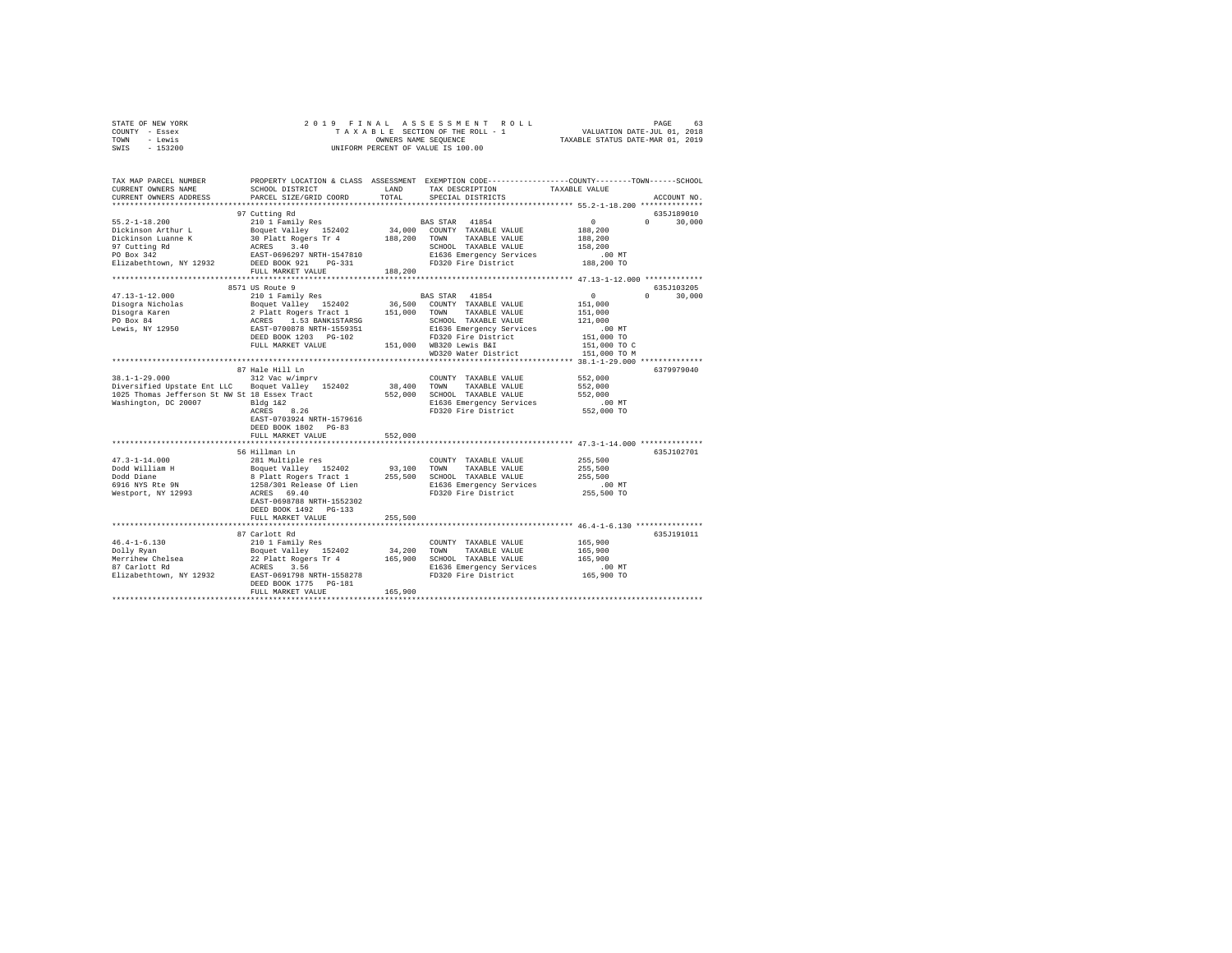| STATE OF NEW YORK | 2019 FINAL ASSESSMENT ROLL         | 63<br>PAGE                       |
|-------------------|------------------------------------|----------------------------------|
| COUNTY - Essex    | TAXABLE SECTION OF THE ROLL - 1    | VALUATION DATE-JUL 01, 2018      |
| TOWN<br>- Lewis   | OWNERS NAME SEOUENCE               | TAXABLE STATUS DATE-MAR 01, 2019 |
| $-153200$<br>SWIS | UNIFORM PERCENT OF VALUE IS 100.00 |                                  |

| TAX MAP PARCEL NUMBER<br>CURRENT OWNERS NAME<br>CURRENT OWNERS ADDRESS | SCHOOL DISTRICT<br>PARCEL SIZE/GRID COORD                                                                                                                                                                                               | LAND<br>TOTAL | PROPERTY LOCATION & CLASS ASSESSMENT EXEMPTION CODE---------------COUNTY-------TOWN-----SCHOOL<br>TAX DESCRIPTION<br>SPECIAL DISTRICTS | TAXABLE VALUE                        | ACCOUNT NO.        |
|------------------------------------------------------------------------|-----------------------------------------------------------------------------------------------------------------------------------------------------------------------------------------------------------------------------------------|---------------|----------------------------------------------------------------------------------------------------------------------------------------|--------------------------------------|--------------------|
| ***********************                                                | ****************************                                                                                                                                                                                                            |               |                                                                                                                                        |                                      |                    |
|                                                                        | 97 Cutting Rd                                                                                                                                                                                                                           |               |                                                                                                                                        |                                      | 635J189010         |
| $55.2 - 1 - 18.200$                                                    | 210 1 Family Res                                                                                                                                                                                                                        |               | BAS STAR 41854                                                                                                                         | $\Omega$                             | $\Omega$<br>30,000 |
| Dickinson Arthur L                                                     | Boquet Valley 152402                                                                                                                                                                                                                    |               | 34,000 COUNTY TAXABLE VALUE                                                                                                            | 188,200                              |                    |
| Dickinson Luanne K                                                     |                                                                                                                                                                                                                                         |               |                                                                                                                                        | 188,200                              |                    |
| 97 Cutting Rd                                                          | 30 Platt Rogers Tr 4 188, 200 TOWN TAXABLE VALUE<br>ACRES 3.40 3.40 SCHOOL TAXABLE VALUE                                                                                                                                                |               | SCHOOL TAXABLE VALUE                                                                                                                   | 158,200                              |                    |
| PO Box 342                                                             | EAST-0696297 NRTH-1547810<br>DEED BOOK 921 PG-331                                                                                                                                                                                       |               | E1636 Emergency Services                                                                                                               | $.00$ MT                             |                    |
| Elizabethtown, NY 12932                                                |                                                                                                                                                                                                                                         |               | FD320 Fire District                                                                                                                    | 188,200 TO                           |                    |
|                                                                        | FULL MARKET VALUE                                                                                                                                                                                                                       | 188,200       |                                                                                                                                        |                                      |                    |
|                                                                        |                                                                                                                                                                                                                                         |               |                                                                                                                                        |                                      |                    |
|                                                                        | 8571 US Route 9                                                                                                                                                                                                                         |               |                                                                                                                                        |                                      | 635J103205         |
| $47.13 - 1 - 12.000$                                                   | 210 1 Family Res                                                                                                                                                                                                                        |               | BAS STAR 41854                                                                                                                         | $\overline{0}$                       | 30,000<br>$\Omega$ |
| Disogra Nicholas                                                       |                                                                                                                                                                                                                                         |               |                                                                                                                                        | 151,000                              |                    |
| Disogra Karen                                                          |                                                                                                                                                                                                                                         |               |                                                                                                                                        | 151,000                              |                    |
| PO Box 84                                                              |                                                                                                                                                                                                                                         |               |                                                                                                                                        | 121,000                              |                    |
| Lewis, NY 12950                                                        | Boquet Valley 152402<br>2 Platt Rogers Tract 1 151,000 TOWN TAXABLE VALUE<br>2 Platt Rogers Tract 1 151,000 TOWN TAXABLE VALUE<br>RAEST-0700378 IRTH-1559351<br>BEST POOR 1203 PC-102<br>2 PD320 Fire District<br>2 PD320 Fire District |               | E1636 Emergency Services                                                                                                               | $.00$ MT                             |                    |
|                                                                        |                                                                                                                                                                                                                                         |               |                                                                                                                                        | 151,000 TO                           |                    |
|                                                                        | FULL MARKET VALUE                                                                                                                                                                                                                       |               | 151,000 WB320 Lewis B&I                                                                                                                | 151,000 TO C                         |                    |
|                                                                        |                                                                                                                                                                                                                                         |               | WD320 Water District                                                                                                                   | 151,000 TO M                         |                    |
|                                                                        | *******************************                                                                                                                                                                                                         |               |                                                                                                                                        | ********** 38.1-1-29.000 *********** |                    |
|                                                                        | 87 Hale Hill Ln                                                                                                                                                                                                                         |               |                                                                                                                                        |                                      | 6379979040         |
| $38.1 - 1 - 29.000$                                                    | 312 Vac w/imprv                                                                                                                                                                                                                         |               | COUNTY TAXABLE VALUE                                                                                                                   | 552,000                              |                    |
| Diversified Upstate Ent LLC Boquet Valley 152402                       |                                                                                                                                                                                                                                         | 38,400 TOWN   | TAXABLE VALUE                                                                                                                          | 552,000                              |                    |
| 1025 Thomas Jefferson St NW St 18 Essex Tract                          |                                                                                                                                                                                                                                         |               | 552,000 SCHOOL TAXABLE VALUE                                                                                                           | 552,000                              |                    |
| Washington, DC 20007                                                   | Bldg 1&2                                                                                                                                                                                                                                |               | E1636 Emergency Services                                                                                                               | $.00$ MT                             |                    |
|                                                                        | ACRES 8.26                                                                                                                                                                                                                              |               | FD320 Fire District                                                                                                                    | 552,000 TO                           |                    |
|                                                                        | EAST-0703924 NRTH-1579616                                                                                                                                                                                                               |               |                                                                                                                                        |                                      |                    |
|                                                                        | DEED BOOK 1802 PG-83                                                                                                                                                                                                                    |               |                                                                                                                                        |                                      |                    |
|                                                                        | FULL MARKET VALUE                                                                                                                                                                                                                       | 552,000       |                                                                                                                                        |                                      |                    |
|                                                                        |                                                                                                                                                                                                                                         |               |                                                                                                                                        |                                      |                    |
|                                                                        | 56 Hillman Ln                                                                                                                                                                                                                           |               |                                                                                                                                        |                                      | 635J102701         |
| $47.3 - 1 - 14.000$                                                    | 281 Multiple res                                                                                                                                                                                                                        |               | COUNTY TAXABLE VALUE                                                                                                                   | 255,500                              |                    |
| Dodd William H                                                         |                                                                                                                                                                                                                                         | 93,100 TOWN   | TAXABLE VALUE                                                                                                                          | 255,500                              |                    |
| Dodd Diane<br>6916 NYS Rte 9N                                          |                                                                                                                                                                                                                                         |               | 255,500 SCHOOL TAXABLE VALUE                                                                                                           | 255,500                              |                    |
| Westport, NY 12993                                                     | Boquet Valley 152402<br>8 Platt Rogers Tract 1<br>1258/301 Release Of Lien<br>ACRES 69.40                                                                                                                                               |               | E1636 Emergency Services<br>FD320 Fire District                                                                                        | $.00$ MT<br>255,500 TO               |                    |
|                                                                        | EAST-0698788 NRTH-1552302                                                                                                                                                                                                               |               |                                                                                                                                        |                                      |                    |
|                                                                        | DEED BOOK 1492 PG-133                                                                                                                                                                                                                   |               |                                                                                                                                        |                                      |                    |
|                                                                        | FULL MARKET VALUE                                                                                                                                                                                                                       | 255,500       |                                                                                                                                        |                                      |                    |
|                                                                        | *****************************                                                                                                                                                                                                           |               | ******************************** 46.4-1-6.130 ***************                                                                          |                                      |                    |
|                                                                        | 87 Carlott Rd                                                                                                                                                                                                                           |               |                                                                                                                                        |                                      | 635J191011         |
| $46.4 - 1 - 6.130$                                                     | 210 1 Family Res                                                                                                                                                                                                                        |               | COUNTY TAXABLE VALUE                                                                                                                   | 165,900                              |                    |
| Dolly Ryan                                                             | Boquet Valley 152402                                                                                                                                                                                                                    |               | 34,200 TOWN TAXABLE VALUE                                                                                                              | 165,900                              |                    |
|                                                                        | 22 Platt Rogers Tr 4 165,900 SCHOOL TAXABLE VALUE                                                                                                                                                                                       |               |                                                                                                                                        | 165,900                              |                    |
| Merrihew Chelsea<br>87 Carlott Rd<br>87 Carlott Rd                     | ACRES 3.56                                                                                                                                                                                                                              |               | E1636 Emergency Services                                                                                                               | $.00$ MT                             |                    |
| Elizabethtown, NY 12932                                                | EAST-0691798 NRTH-1558278                                                                                                                                                                                                               |               | FD320 Fire District                                                                                                                    | 165,900 TO                           |                    |
|                                                                        | DEED BOOK 1775 PG-181                                                                                                                                                                                                                   |               |                                                                                                                                        |                                      |                    |
|                                                                        | FULL MARKET VALUE                                                                                                                                                                                                                       | 165,900       |                                                                                                                                        |                                      |                    |
|                                                                        |                                                                                                                                                                                                                                         |               |                                                                                                                                        |                                      |                    |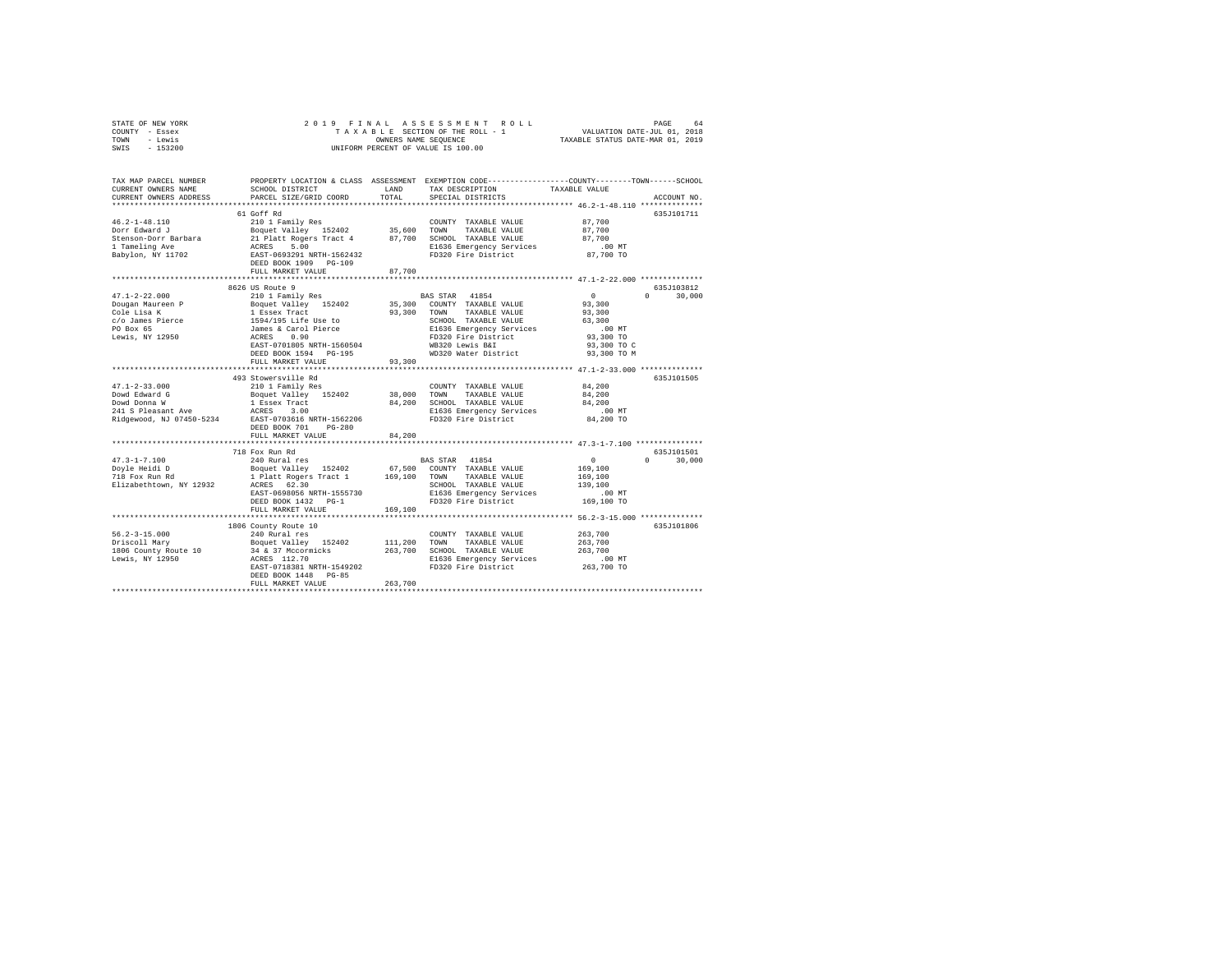| STATE OF NEW YORK | 2019 FINAL ASSESSMENT ROLL         | 64<br>PAGE                       |
|-------------------|------------------------------------|----------------------------------|
| COUNTY - Essex    | TAXABLE SECTION OF THE ROLL - 1    | VALUATION DATE-JUL 01, 2018      |
| TOWN<br>- Lewis   | OWNERS NAME SEOUENCE               | TAXABLE STATUS DATE-MAR 01, 2019 |
| SWIS - 153200     | UNIFORM PERCENT OF VALUE IS 100.00 |                                  |

| TAX MAP PARCEL NUMBER<br>CURRENT OWNERS NAME<br>CURRENT OWNERS ADDRESS | SCHOOL DISTRICT<br>PARCEL SIZE/GRID COORD                                                                                  | LAND<br>TOTAL        | PROPERTY LOCATION & CLASS ASSESSMENT EXEMPTION CODE----------------COUNTY-------TOWN-----SCHOOL<br>TAX DESCRIPTION<br>SPECIAL DISTRICTS | TAXABLE VALUE        | ACCOUNT NO.            |
|------------------------------------------------------------------------|----------------------------------------------------------------------------------------------------------------------------|----------------------|-----------------------------------------------------------------------------------------------------------------------------------------|----------------------|------------------------|
|                                                                        |                                                                                                                            |                      |                                                                                                                                         |                      |                        |
|                                                                        | 61 Goff Rd                                                                                                                 |                      |                                                                                                                                         |                      | 635J101711             |
| $46.2 - 1 - 48.110$                                                    | 210 1 Family Res                                                                                                           |                      | COUNTY TAXABLE VALUE                                                                                                                    | 87,700               |                        |
| Dorr Edward J                                                          |                                                                                                                            |                      |                                                                                                                                         | 87,700               |                        |
| Stenson-Dorr Barbara                                                   | Eoquet Valley 152402 35,600 TOWN TAXABLE VALUE<br>21 Platt Rogers Tract 4 87,700 SCHOOL TAXABLE VALUE<br>2018 - ACRES 5.00 |                      |                                                                                                                                         | 87,700               |                        |
| 1 Tameling Ave                                                         |                                                                                                                            |                      | E1636 Emergency Services                                                                                                                | $.00$ MT             |                        |
| Babylon, NY 11702 EAST-0693291 NRTH-1562432                            | DEED BOOK 1909 PG-109                                                                                                      |                      | FD320 Fire District                                                                                                                     | 87,700 TO            |                        |
|                                                                        | FULL MARKET VALUE                                                                                                          | 87,700               |                                                                                                                                         |                      |                        |
|                                                                        | ************************                                                                                                   | ******************** | ******************************** 47.1-2-22.000 ***************                                                                          |                      |                        |
|                                                                        | 8626 US Route 9                                                                                                            |                      |                                                                                                                                         |                      | 635J103812             |
| $47.1 - 2 - 22.000$                                                    | 210 1 Family Res                                                                                                           |                      | BAS STAR 41854                                                                                                                          | $\circ$              | $\mathbf{0}$<br>30,000 |
| Dougan Maureen P                                                       |                                                                                                                            |                      | 35,300 COUNTY TAXABLE VALUE                                                                                                             | 93,300               |                        |
| Cole Lisa K                                                            |                                                                                                                            | 93,300               | TOWN TAXABLE VALUE                                                                                                                      | 93,300               |                        |
| c/o James Pierce                                                       | Eoquet Valley 152402<br>1 Essex Tract<br>1594/195 Life Use to<br>3 Manes & Carol Pierce<br>ACRES 0.90                      |                      | SCHOOL TAXABLE VALUE                                                                                                                    | 63,300               |                        |
| PO Box 65                                                              |                                                                                                                            |                      | E1636 Emergency Services                                                                                                                | $.00$ MT             |                        |
| Lewis, NY 12950                                                        |                                                                                                                            |                      | FD320 Fire District<br>WB320 Lewis B&I                                                                                                  | 93,300 TO            |                        |
|                                                                        | EAST-0701805 NRTH-1560504                                                                                                  |                      |                                                                                                                                         | 93,300 TO C          |                        |
|                                                                        | DEED BOOK 1594 PG-195                                                                                                      |                      | WD320 Water District                                                                                                                    | 93,300 TO M          |                        |
|                                                                        | FULL MARKET VALUE                                                                                                          | 93,300               |                                                                                                                                         |                      |                        |
|                                                                        |                                                                                                                            |                      |                                                                                                                                         |                      |                        |
|                                                                        | 493 Stowersville Rd                                                                                                        |                      |                                                                                                                                         |                      | 635J101505             |
| $47.1 - 2 - 33.000$                                                    | 210 1 Family Res                                                                                                           |                      | COUNTY TAXABLE VALUE                                                                                                                    | 84,200               |                        |
|                                                                        |                                                                                                                            | 38,000               | TAXABLE VALUE<br>TOWN                                                                                                                   | 84,200               |                        |
|                                                                        |                                                                                                                            |                      | 84,200 SCHOOL TAXABLE VALUE                                                                                                             | 84,200               |                        |
|                                                                        |                                                                                                                            |                      | E1636 Emergency Services                                                                                                                | $.00$ MT             |                        |
|                                                                        |                                                                                                                            |                      | FD320 Fire District                                                                                                                     | 84,200 TO            |                        |
|                                                                        | DEED BOOK 701<br>$PG-280$                                                                                                  |                      |                                                                                                                                         |                      |                        |
|                                                                        | FULL MARKET VALUE                                                                                                          | 84,200               |                                                                                                                                         |                      |                        |
|                                                                        |                                                                                                                            |                      |                                                                                                                                         |                      |                        |
|                                                                        | 718 Fox Run Rd                                                                                                             |                      |                                                                                                                                         |                      | 635J101501             |
| $47.3 - 1 - 7.100$                                                     | 240 Rural res                                                                                                              |                      | BAS STAR 41854                                                                                                                          | $\sim$ 0             | $0 \t 30,000$          |
| Doyle Heidi D                                                          | Boquet Valley 152402 67,500 COUNTY TAXABLE VALUE<br>1 Platt Rogers Tract 1 169,100 TOWN TAXABLE VALUE                      |                      |                                                                                                                                         | 169,100              |                        |
| 718 Fox Run Rd                                                         |                                                                                                                            |                      |                                                                                                                                         | 169,100              |                        |
| Elizabethtown, NY 12932                                                | ACRES 62.30                                                                                                                |                      | SCHOOL TAXABLE VALUE                                                                                                                    | 139,100              |                        |
|                                                                        | EAST-0698056 NRTH-1555730                                                                                                  |                      | E1636 Emergency Services<br>FD320 Fire District                                                                                         | .00 MT<br>169,100 TO |                        |
|                                                                        | DEED BOOK 1432 PG-1<br>FULL MARKET VALUE                                                                                   | 169,100              |                                                                                                                                         |                      |                        |
|                                                                        |                                                                                                                            |                      |                                                                                                                                         |                      |                        |
|                                                                        | 1806 County Route 10                                                                                                       |                      |                                                                                                                                         |                      | 635J101806             |
| $56.2 - 3 - 15.000$                                                    | 240 Rural res                                                                                                              |                      | COUNTY TAXABLE VALUE                                                                                                                    | 263,700              |                        |
| Driscoll Mary                                                          | Boquet Valley 152402                                                                                                       | 111,200 TOWN         | TAXABLE VALUE                                                                                                                           | 263,700              |                        |
| 1806 County Route 10                                                   |                                                                                                                            |                      | 263,700 SCHOOL TAXABLE VALUE                                                                                                            | 263,700              |                        |
| Lewis, NY 12950                                                        | 34 & 37 Mccormicks<br>ACRES 112.70                                                                                         |                      | E1636 Emergency Services                                                                                                                | $.00$ MT             |                        |
|                                                                        | EAST-0718381 NRTH-1549202                                                                                                  |                      | FD320 Fire District                                                                                                                     | 263,700 TO           |                        |
|                                                                        | DEED BOOK 1448 PG-85                                                                                                       |                      |                                                                                                                                         |                      |                        |
|                                                                        | FULL MARKET VALUE                                                                                                          | 263,700              |                                                                                                                                         |                      |                        |
|                                                                        |                                                                                                                            |                      |                                                                                                                                         |                      |                        |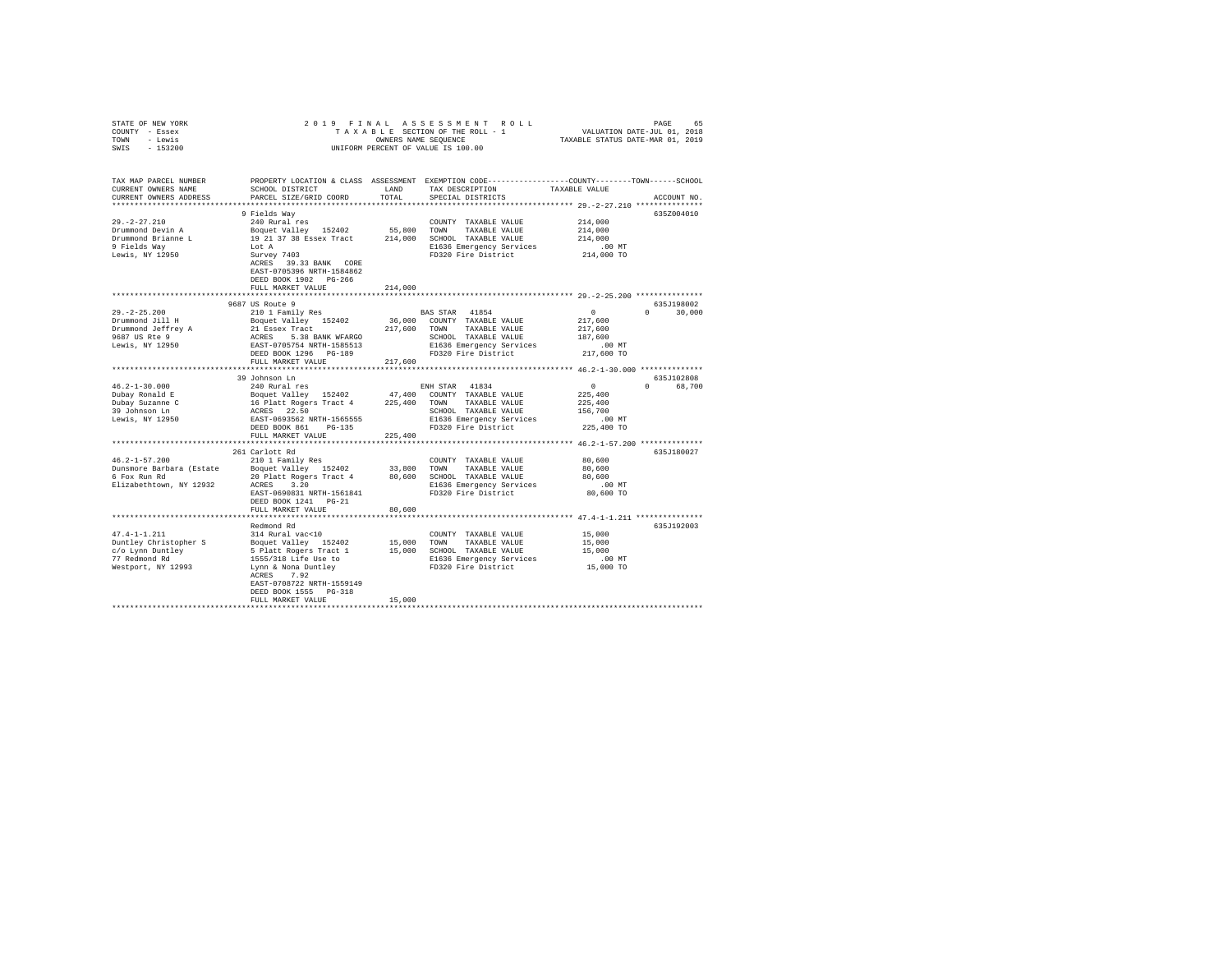| STATE OF NEW YORK                                                                                                                                                                                            | 2019 FINAL                                                                                                                                                                                                                             |                   |                                                                                                                                        |               |               |
|--------------------------------------------------------------------------------------------------------------------------------------------------------------------------------------------------------------|----------------------------------------------------------------------------------------------------------------------------------------------------------------------------------------------------------------------------------------|-------------------|----------------------------------------------------------------------------------------------------------------------------------------|---------------|---------------|
| COUNTY - Essex                                                                                                                                                                                               |                                                                                                                                                                                                                                        |                   | 19 FINAL ASSESSMENT ROLL 19 PAGE 65<br>TAXABLE SECTION OF THE ROLL - 1 VALUATION DATE-JUL 01, 2018<br>TAXABLE STATUS DATE-MAR 01, 2019 |               |               |
| TOWN - Lewis                                                                                                                                                                                                 |                                                                                                                                                                                                                                        |                   |                                                                                                                                        |               |               |
| SWIS - 153200                                                                                                                                                                                                |                                                                                                                                                                                                                                        |                   | UNIFORM PERCENT OF VALUE IS 100.00                                                                                                     |               |               |
|                                                                                                                                                                                                              |                                                                                                                                                                                                                                        |                   |                                                                                                                                        |               |               |
| TAX MAP PARCEL NUMBER                                                                                                                                                                                        |                                                                                                                                                                                                                                        |                   | PROPERTY LOCATION & CLASS ASSESSMENT EXEMPTION CODE---------------COUNTY-------TOWN------SCHOOL                                        |               |               |
| CURRENT OWNERS NAME                                                                                                                                                                                          | SCHOOL DISTRICT                                                                                                                                                                                                                        | LAND              | TAX DESCRIPTION                                                                                                                        | TAXABLE VALUE |               |
| CURRENT OWNERS ADDRESS                                                                                                                                                                                       | PARCEL SIZE/GRID COORD                                                                                                                                                                                                                 | TOTAL             | SPECIAL DISTRICTS                                                                                                                      |               | ACCOUNT NO.   |
|                                                                                                                                                                                                              |                                                                                                                                                                                                                                        |                   |                                                                                                                                        |               |               |
|                                                                                                                                                                                                              | 9 Fields Way                                                                                                                                                                                                                           |                   |                                                                                                                                        |               | 635Z004010    |
| $29. -2 - 27.210$                                                                                                                                                                                            | 240 Rural res                                                                                                                                                                                                                          |                   | COUNTY TAXABLE VALUE                                                                                                                   | 214,000       |               |
| Drummond Devin A                                                                                                                                                                                             | Boquet Valley 152402                                                                                                                                                                                                                   |                   | 55,800 TOWN TAXABLE VALUE                                                                                                              | 214,000       |               |
| Drummond Brianne L                                                                                                                                                                                           | 19 21 37 38 Essex Tract                                                                                                                                                                                                                |                   | 214,000 SCHOOL TAXABLE VALUE                                                                                                           | 214,000       |               |
|                                                                                                                                                                                                              | Lot A                                                                                                                                                                                                                                  |                   | E1636 Emergency Services                                                                                                               | $.00$ MT      |               |
| 9 Fields Way<br>Lewis, NY 12950                                                                                                                                                                              | Survey 7403                                                                                                                                                                                                                            |                   | FD320 Fire District                                                                                                                    | 214,000 TO    |               |
|                                                                                                                                                                                                              | ACRES 39.33 BANK CORE                                                                                                                                                                                                                  |                   |                                                                                                                                        |               |               |
|                                                                                                                                                                                                              | EAST-0705396 NRTH-1584862                                                                                                                                                                                                              |                   |                                                                                                                                        |               |               |
|                                                                                                                                                                                                              | DEED BOOK 1902 PG-266                                                                                                                                                                                                                  |                   |                                                                                                                                        |               |               |
|                                                                                                                                                                                                              | FULL MARKET VALUE                                                                                                                                                                                                                      | 214,000           |                                                                                                                                        |               |               |
|                                                                                                                                                                                                              | ****************************                                                                                                                                                                                                           | ***************** |                                                                                                                                        |               |               |
|                                                                                                                                                                                                              | 9687 US Route 9                                                                                                                                                                                                                        |                   |                                                                                                                                        |               | 635J198002    |
| $29. -2 - 25.200$                                                                                                                                                                                            | 210 1 Family Res                                                                                                                                                                                                                       |                   | BAS STAR 41854                                                                                                                         | $\sim$ 0      | $0 \t 30,000$ |
|                                                                                                                                                                                                              |                                                                                                                                                                                                                                        |                   |                                                                                                                                        | 217,600       |               |
| Drummond Jill H                                                                                                                                                                                              |                                                                                                                                                                                                                                        |                   |                                                                                                                                        |               |               |
|                                                                                                                                                                                                              |                                                                                                                                                                                                                                        |                   |                                                                                                                                        | 217,600       |               |
| Drummond Jeffrey A<br>9687 US Rte 9<br>Lewis, NY 12950                                                                                                                                                       | 210 1 Family Res 152402 36,000 COUNTY TAXABLE VALUE<br>BOQUET VALLEY 152402 217,600 TOWN TAXABLE VALUE<br>21 ESSE 5.38 BANK WFARGO STAND ITAXABLE VALUE<br>EAST-0705754 NRTH-1585513 SIG36 Emergency Services<br>FREE TO POST POSSES T |                   |                                                                                                                                        | 187,600       |               |
|                                                                                                                                                                                                              |                                                                                                                                                                                                                                        |                   |                                                                                                                                        | $.00$ MT      |               |
|                                                                                                                                                                                                              |                                                                                                                                                                                                                                        |                   |                                                                                                                                        | 217,600 TO    |               |
|                                                                                                                                                                                                              | FULL MARKET VALUE                                                                                                                                                                                                                      | 217,600           |                                                                                                                                        |               |               |
|                                                                                                                                                                                                              |                                                                                                                                                                                                                                        |                   |                                                                                                                                        |               |               |
|                                                                                                                                                                                                              | 39 Johnson Ln                                                                                                                                                                                                                          |                   |                                                                                                                                        |               | 635J102808    |
| $46.2 - 1 - 30.000$                                                                                                                                                                                          | 240 Rural res                                                                                                                                                                                                                          |                   | ENH STAR 41834                                                                                                                         | $\sim$ 0      | 0 68,700      |
| Dubay Ronald E                                                                                                                                                                                               |                                                                                                                                                                                                                                        |                   |                                                                                                                                        | 225,400       |               |
|                                                                                                                                                                                                              |                                                                                                                                                                                                                                        |                   |                                                                                                                                        | 225,400       |               |
| Dubay Suzanne C<br>39 Johnson Ln<br>10050                                                                                                                                                                    | Boquet Valley 152402 47,400 CONTY TAXABLE VALUE<br>16 Platt Rogers Tract 4 225,400 TOWN TAXABLE VALUE<br>25 ACRES 22.50 SCHOOL TAXABLE VALUE<br>25 EAST-0693562 NRTH-1565555 SI636 Emergency Services                                  |                   | SCHOOL TAXABLE VALUE                                                                                                                   | 156,700       |               |
| Lewis, NY 12950                                                                                                                                                                                              |                                                                                                                                                                                                                                        |                   | E1636 Emergency Services<br>FD320 Fire District                                                                                        | .00MT         |               |
|                                                                                                                                                                                                              | DEED BOOK 861 PG-135                                                                                                                                                                                                                   |                   |                                                                                                                                        | 225,400 TO    |               |
|                                                                                                                                                                                                              | FULL MARKET VALUE                                                                                                                                                                                                                      | 225,400           |                                                                                                                                        |               |               |
|                                                                                                                                                                                                              |                                                                                                                                                                                                                                        |                   |                                                                                                                                        |               |               |
|                                                                                                                                                                                                              | 261 Carlott Rd                                                                                                                                                                                                                         |                   |                                                                                                                                        |               | 635J180027    |
| $46.2 - 1 - 57.200$                                                                                                                                                                                          | 210 1 Family Res                                                                                                                                                                                                                       |                   | COUNTY TAXABLE VALUE                                                                                                                   | 80,600        |               |
| Dunsmore Barbara (Estate                                                                                                                                                                                     | Boquet Valley 152402                                                                                                                                                                                                                   | 33,800 TOWN       | TAXABLE VALUE                                                                                                                          | 80,600        |               |
| 6 Fox Run Rd                                                                                                                                                                                                 |                                                                                                                                                                                                                                        |                   | 20 Platt Rogers Tract 4 80,600 SCHOOL TAXABLE VALUE                                                                                    | 80,600        |               |
| Elizabethtown, NY 12932                                                                                                                                                                                      | ACRES 3.20                                                                                                                                                                                                                             |                   | E1636 Emergency Services                                                                                                               | .00 MT        |               |
|                                                                                                                                                                                                              | EAST-0690831 NRTH-1561841                                                                                                                                                                                                              |                   | FD320 Fire District                                                                                                                    | 80,600 TO     |               |
|                                                                                                                                                                                                              | DEED BOOK 1241 PG-21                                                                                                                                                                                                                   |                   |                                                                                                                                        |               |               |
|                                                                                                                                                                                                              | FULL MARKET VALUE                                                                                                                                                                                                                      | 80,600            |                                                                                                                                        |               |               |
|                                                                                                                                                                                                              |                                                                                                                                                                                                                                        |                   |                                                                                                                                        |               |               |
|                                                                                                                                                                                                              | Redmond Rd                                                                                                                                                                                                                             |                   |                                                                                                                                        |               | 635J192003    |
| $47.4 - 1 - 1.211$                                                                                                                                                                                           | 314 Rural vac<10                                                                                                                                                                                                                       |                   | COUNTY TAXABLE VALUE                                                                                                                   | 15,000        |               |
| 47.4-1-1.211<br>Puntley Christopher S<br>Doquet Valley 152402<br>C/O Lynn Duntley<br>77 Redmond Rd<br>Nona Duntley<br>Restport, NY 12993<br>Lynn & Nona Duntley<br>Westport, NY 12993<br>Lynn & Nona Duntley |                                                                                                                                                                                                                                        |                   |                                                                                                                                        | 15,000        |               |
|                                                                                                                                                                                                              |                                                                                                                                                                                                                                        |                   | 15,000 TOWN TAXABLE VALUE<br>15,000 SCHOOL TAXABLE VALUE                                                                               | 15,000        |               |
|                                                                                                                                                                                                              |                                                                                                                                                                                                                                        |                   |                                                                                                                                        | $.00$ MT      |               |
|                                                                                                                                                                                                              |                                                                                                                                                                                                                                        |                   | E1636 Emergency Services<br>FD320 Fire District                                                                                        | 15,000 TO     |               |
|                                                                                                                                                                                                              | ACRES 7.92                                                                                                                                                                                                                             |                   |                                                                                                                                        |               |               |
|                                                                                                                                                                                                              | EAST-0708722 NRTH-1559149                                                                                                                                                                                                              |                   |                                                                                                                                        |               |               |
|                                                                                                                                                                                                              | DEED BOOK 1555 PG-318                                                                                                                                                                                                                  |                   |                                                                                                                                        |               |               |
|                                                                                                                                                                                                              | FULL MARKET VALUE                                                                                                                                                                                                                      | 15,000            |                                                                                                                                        |               |               |
|                                                                                                                                                                                                              |                                                                                                                                                                                                                                        |                   |                                                                                                                                        |               |               |
|                                                                                                                                                                                                              |                                                                                                                                                                                                                                        |                   |                                                                                                                                        |               |               |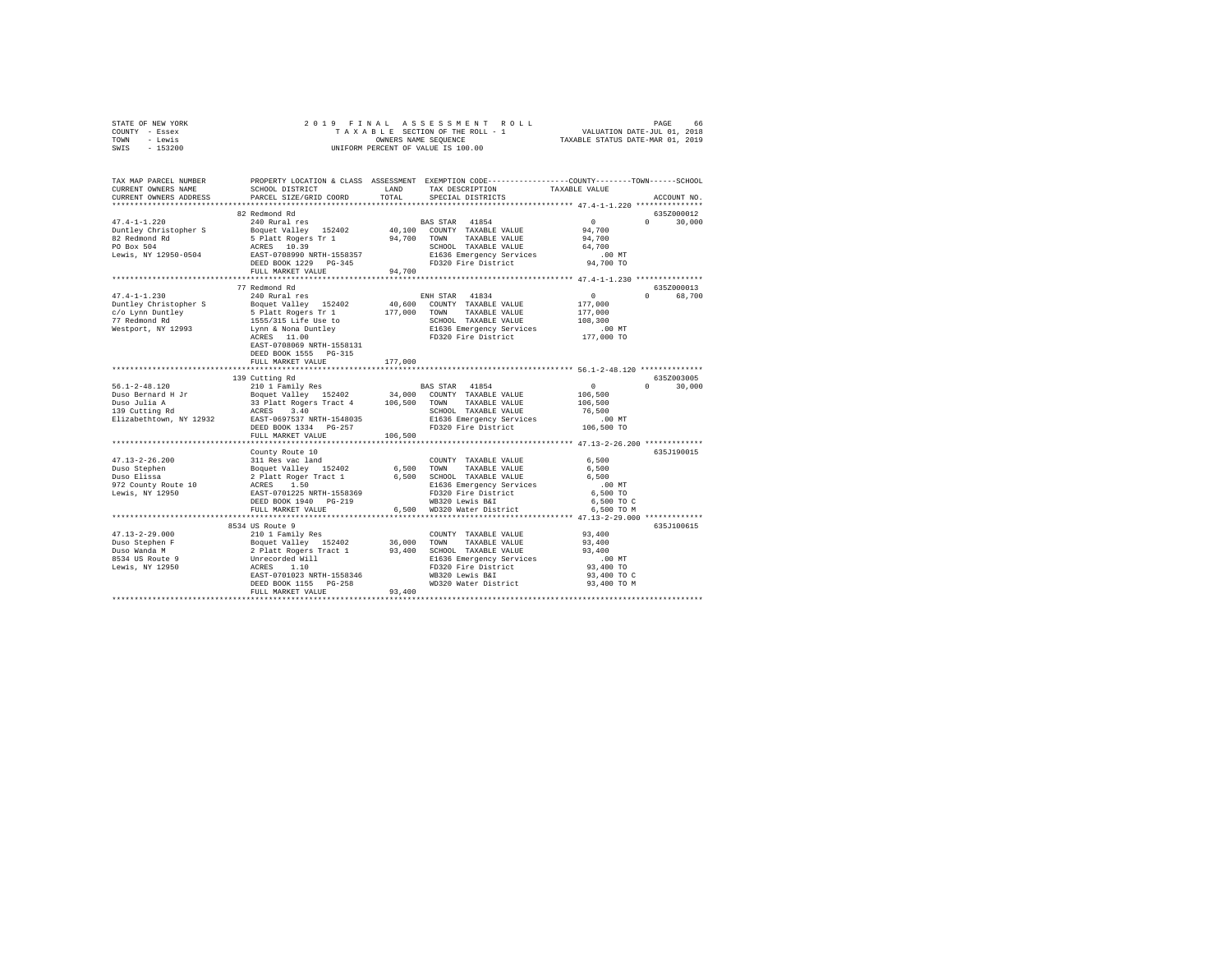| STATE OF NEW YORK | 2019 FINAL ASSESSMENT ROLL         | 66.<br>PAGE                      |
|-------------------|------------------------------------|----------------------------------|
| COUNTY - Essex    | TAXABLE SECTION OF THE ROLL - 1    | VALUATION DATE-JUL 01, 2018      |
| - Lewis<br>TOWN   | OWNERS NAME SEOUENCE               | TAXABLE STATUS DATE-MAR 01, 2019 |
| $-153200$<br>SWIS | UNIFORM PERCENT OF VALUE IS 100.00 |                                  |
|                   |                                    |                                  |

| TAX MAP PARCEL NUMBER<br>CURRENT OWNERS NAME<br>CURRENT OWNERS ADDRESS                                | SCHOOL DISTRICT<br>PARCEL SIZE/GRID COORD                                                                                                                                                                                                                                                                                      | LAND<br>TOTAL | PROPERTY LOCATION & CLASS ASSESSMENT EXEMPTION CODE----------------COUNTY-------TOWN------SCHOOL<br>TAX DESCRIPTION<br>SPECIAL DISTRICTS | TAXABLE VALUE                                                            | ACCOUNT NO.                      |
|-------------------------------------------------------------------------------------------------------|--------------------------------------------------------------------------------------------------------------------------------------------------------------------------------------------------------------------------------------------------------------------------------------------------------------------------------|---------------|------------------------------------------------------------------------------------------------------------------------------------------|--------------------------------------------------------------------------|----------------------------------|
| ***********************                                                                               |                                                                                                                                                                                                                                                                                                                                |               |                                                                                                                                          |                                                                          |                                  |
| $47.4 - 1 - 1.220$<br>Duntley Christopher S<br>82 Redmond Rd<br>PO Box 504<br>Lewis, NY 12950-0504    | 82 Redmond Rd<br>240 Rural res<br>Boquet Valley 152402<br>5 Platt Rogers Tr 1 94,700 TOWN<br>ACRES 10.39 SCHOO<br>FULL MARKET VALUE                                                                                                                                                                                            | 94,700        | BAS STAR 41854<br>BAS STAR 41854<br>40,100 COUNTY TAXABLE VALUE<br>TAXABLE VALUE<br>SCHOOL TAXABLE VALUE                                 | $0 \qquad \qquad$<br>94,700<br>94,700<br>64,700<br>$.00$ MT<br>94,700 TO | 635Z000012<br>$\Omega$<br>30,000 |
|                                                                                                       |                                                                                                                                                                                                                                                                                                                                |               |                                                                                                                                          |                                                                          |                                  |
| $47.4 - 1 - 1.230$                                                                                    | 77 Redmond Rd<br>240 Rural res<br>EAST-0708069 NRTH-1558131<br>DEED BOOK 1555 PG-315                                                                                                                                                                                                                                           |               | ENH STAR 41834<br>E1636 Emergency Services<br>FD320 Fire District                                                                        | $\sim$ 0<br>177,000<br>177,000<br>108,300<br>$.00$ MT<br>177,000 TO      | 635Z000013<br>68,700             |
|                                                                                                       | FULL MARKET VALUE                                                                                                                                                                                                                                                                                                              | 177,000       |                                                                                                                                          |                                                                          |                                  |
|                                                                                                       |                                                                                                                                                                                                                                                                                                                                |               |                                                                                                                                          |                                                                          |                                  |
| $56.1 - 2 - 48.120$<br>Duso Bernard H Jr<br>Duso Julia A<br>139 Cutting Rd<br>Elizabethtown, NY 12932 | 139 Cutting Rd<br>210 1 Family Res<br>210 1 Family Res = 82 SONG COUNTY TAXABLE VALUE<br>33 Platt Rogers Tract 4 106,500 TOWN TAXABLE VALUE<br>33 Platt Rogers Tract 4 106,500 TOWN TAXABLE VALUE<br>8CRES 340 SCHOOL TAXABLE VALUE<br>8EST-0697537 NRTH-1548035 E1636 Emergency<br>DEED BOOK 1334 PG-257<br>FULL MARKET VALUE | 106,500       | BAS STAR 41854<br>SCHOOL TAXABLE VALUE<br>E1636 Emergency Services<br>FD320 Fire District 106,500 TO                                     | $\sim$ 0<br>106,500<br>106,500<br>76,500<br>$.00$ MT                     | 635Z003005<br>$0 \t 30,000$      |
|                                                                                                       |                                                                                                                                                                                                                                                                                                                                |               |                                                                                                                                          |                                                                          |                                  |
|                                                                                                       | County Route 10<br>DEED BOOK 1940 PG-219                                                                                                                                                                                                                                                                                       |               | COUNTY TAXABLE VALUE<br>TAXABLE VALUE<br>6,500 SCHOOL TAXABLE VALUE<br>E1636 Emergency Services<br>FD320 Fire District                   | 6,500<br>6,500<br>6.500<br>$.00$ MT<br>6,500 TO<br>6,500 TO C            | 635J190015                       |
|                                                                                                       | FULL MARKET VALUE                                                                                                                                                                                                                                                                                                              |               | WB320 Lewis B&I<br>6,500 WD320 Water District                                                                                            | 6,500 TO M                                                               |                                  |
|                                                                                                       |                                                                                                                                                                                                                                                                                                                                |               | *********************************** 47.13-2-29.000 **************                                                                        |                                                                          |                                  |
|                                                                                                       | 8534 US Route 9                                                                                                                                                                                                                                                                                                                |               | COUNTY TAXABLE VALUE<br>TOWN<br>TAXABLE VALUE<br>SCHOOL TAXABLE VALUE                                                                    | 93,400<br>93,400<br>93,400                                               | 635J100615                       |
|                                                                                                       | EAST-0701023 NRTH-1558346<br>DEED BOOK 1155 PG-258<br>FULL MARKET VALUE                                                                                                                                                                                                                                                        | 93,400        | E1636 Emergency Services<br>FD320 Fire District<br>WB320 Lewis B&I<br>WD320 Water District                                               | $.00$ MT<br>93,400 TO<br>93,400 TO C<br>93,400 TO M                      |                                  |
|                                                                                                       |                                                                                                                                                                                                                                                                                                                                |               |                                                                                                                                          |                                                                          |                                  |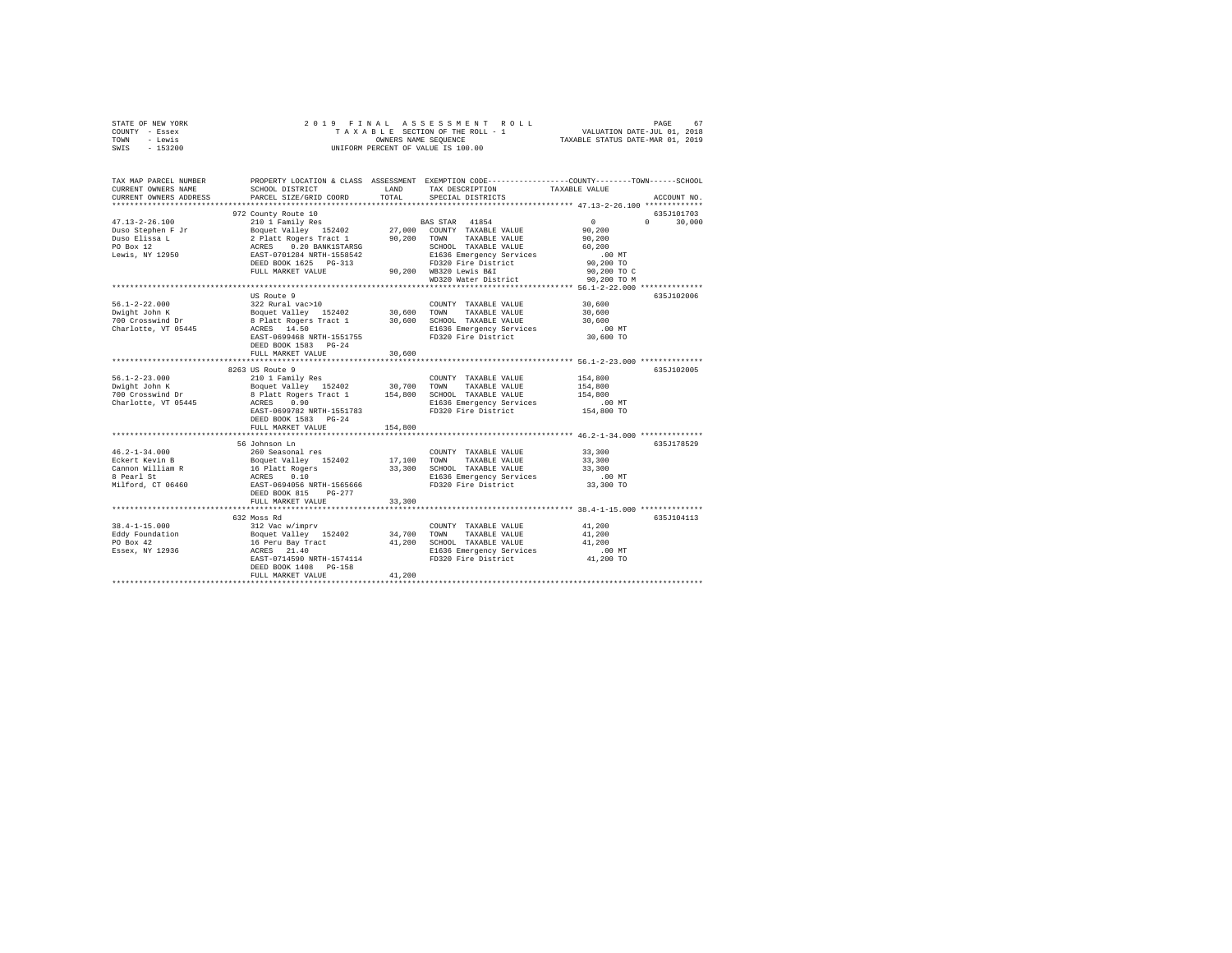| STATE OF NEW YORK            | 2019 FINAL                                                                                             |                      |                                                                                                |                      |             |
|------------------------------|--------------------------------------------------------------------------------------------------------|----------------------|------------------------------------------------------------------------------------------------|----------------------|-------------|
| COUNTY - Essex               |                                                                                                        |                      | TAXABLE SECTION OF THE ROLL - 1                                                                |                      |             |
| - Lewis<br>TOWN              |                                                                                                        | OWNERS NAME SEQUENCE |                                                                                                |                      |             |
| SWIS<br>$-153200$            |                                                                                                        |                      | UNIFORM PERCENT OF VALUE IS 100.00                                                             |                      |             |
|                              |                                                                                                        |                      |                                                                                                |                      |             |
|                              |                                                                                                        |                      |                                                                                                |                      |             |
|                              |                                                                                                        |                      |                                                                                                |                      |             |
| TAX MAP PARCEL NUMBER        |                                                                                                        |                      | PROPERTY LOCATION & CLASS ASSESSMENT EXEMPTION CODE---------------COUNTY-------TOWN-----SCHOOL |                      |             |
| CURRENT OWNERS NAME          | SCHOOL DISTRICT                                                                                        | LAND                 | TAX DESCRIPTION                                                                                | TAXABLE VALUE        |             |
| CURRENT OWNERS ADDRESS       | PARCEL SIZE/GRID COORD                                                                                 | TOTAL                | SPECIAL DISTRICTS                                                                              |                      | ACCOUNT NO. |
|                              |                                                                                                        |                      |                                                                                                |                      |             |
|                              | 972 County Route 10                                                                                    |                      |                                                                                                |                      | 635J101703  |
| $47.13 - 2 - 26.100$         | 210 1 Family Res                                                                                       |                      | BAS STAR 41854                                                                                 | $\sim$ 0<br>$\Omega$ | 30,000      |
| Duso Stephen F Jr            | Boquet Valley 152402                                                                                   |                      | 27,000 COUNTY TAXABLE VALUE                                                                    | 90,200               |             |
| Duso Elissa L                |                                                                                                        | 90,200 TOWN          | TAXABLE VALUE                                                                                  | 90,200               |             |
|                              |                                                                                                        |                      | SCHOOL TAXABLE VALUE                                                                           | 60,200               |             |
| PO Box 12<br>Lewis, NY 12950 | 2 Platt Rogers Tract 1<br>ACRES 0.20 BANKISTARSG<br>EAST-0701284 NRTH-1558542<br>DEED BOOK 1625 PG-313 |                      | E1636 Emergency Services                                                                       | .00MT                |             |
|                              |                                                                                                        |                      | FD320 Fire District                                                                            | 90,200 TO            |             |
|                              | FULL MARKET VALUE                                                                                      |                      | 90,200 WB320 Lewis B&I                                                                         | 90,200 TO C          |             |
|                              |                                                                                                        |                      |                                                                                                |                      |             |
|                              |                                                                                                        |                      | WD320 Water District                                                                           | 90,200 TO M          |             |
|                              |                                                                                                        |                      |                                                                                                |                      |             |
|                              | US Route 9                                                                                             |                      |                                                                                                |                      | 635J102006  |
| $56.1 - 2 - 22.000$          | 322 Rural vac>10                                                                                       |                      | COUNTY TAXABLE VALUE                                                                           | 30,600               |             |
| Dwight John K                | Boquet Valley 152402                                                                                   | 30,600 TOWN          | TAXABLE VALUE                                                                                  | 30,600               |             |
| 700 Crosswind Dr             | 8 Platt Rogers Tract 1 30,600                                                                          |                      | SCHOOL TAXABLE VALUE                                                                           | 30,600               |             |
| Charlotte, VT 05445          | ACRES 14.50                                                                                            |                      | E1636 Emergency Services                                                                       | 00 MT.<br>30,600 TO  |             |
|                              | EAST-0699468 NRTH-1551755                                                                              |                      | FD320 Fire District                                                                            |                      |             |
|                              | DEED BOOK 1583 PG-24                                                                                   |                      |                                                                                                |                      |             |
|                              | FULL MARKET VALUE                                                                                      | 30,600               |                                                                                                |                      |             |
|                              |                                                                                                        |                      |                                                                                                |                      |             |
|                              | 8263 US Route 9                                                                                        |                      |                                                                                                |                      | 635J102005  |
| $56.1 - 2 - 23.000$          | 210 1 Family Res                                                                                       |                      | COUNTY TAXABLE VALUE                                                                           | 154,800              |             |
| Dwight John K                | Boquet Valley 152402 30,700 TOWN                                                                       |                      | TAXABLE VALUE                                                                                  | 154,800              |             |
| 700 Crosswind Dr             | 8 Platt Rogers Tract 1 154,800 SCHOOL TAXABLE VALUE                                                    |                      |                                                                                                | 154,800              |             |
| Charlotte, VT 05445          | ACRES 0.90                                                                                             |                      | E1636 Emergency Services                                                                       | $.00$ MT             |             |
|                              | EAST-0699782 NRTH-1551783                                                                              |                      | FD320 Fire District                                                                            | 154,800 TO           |             |
|                              |                                                                                                        |                      |                                                                                                |                      |             |
|                              | DEED BOOK 1583    PG-24                                                                                |                      |                                                                                                |                      |             |
|                              | FULL MARKET VALUE                                                                                      | 154,800              |                                                                                                |                      |             |
|                              |                                                                                                        |                      |                                                                                                |                      |             |
|                              | 56 Johnson Ln                                                                                          |                      |                                                                                                |                      | 635J178529  |
| $46.2 - 1 - 34.000$          | 260 Seasonal res                                                                                       |                      | COUNTY TAXABLE VALUE                                                                           | 33,300               |             |
| Eckert Kevin B               | Boquet Valley 152402                                                                                   | 17,100 TOWN          | TAXABLE VALUE                                                                                  | 33,300               |             |
| Cannon William R             | 16 Platt Rogers<br>ACRES 0.10                                                                          |                      | 33,300 SCHOOL TAXABLE VALUE                                                                    | 33,300               |             |
| 8 Pearl St                   |                                                                                                        |                      | E1636 Emergency Services                                                                       | $.00$ MT             |             |
| Milford, CT 06460            | EAST-0694056 NRTH-1565666                                                                              |                      | FD320 Fire District                                                                            | 33,300 TO            |             |
|                              | DEED BOOK 815 PG-277                                                                                   |                      |                                                                                                |                      |             |
|                              | FULL MARKET VALUE                                                                                      | 33,300               |                                                                                                |                      |             |
|                              |                                                                                                        |                      |                                                                                                |                      |             |
|                              | 632 Moss Rd                                                                                            |                      |                                                                                                |                      | 635J104113  |
| $38.4 - 1 - 15.000$          | 312 Vac w/imprv                                                                                        |                      | COUNTY TAXABLE VALUE                                                                           | 41,200               |             |
| Eddy Foundation              | Boquet Valley 152402 34,700 TOWN                                                                       |                      | TAXABLE VALUE                                                                                  | 41,200               |             |
| PO Box 42                    |                                                                                                        |                      | 41,200 SCHOOL TAXABLE VALUE                                                                    | 41,200               |             |
|                              | 16 Peru Bay Tract<br>ACRES 21.40                                                                       |                      |                                                                                                | $.00$ MT             |             |
| Essex, NY 12936              |                                                                                                        |                      | E1636 Emergency Services<br>FD320 Fire District                                                | 41,200 TO            |             |
|                              | EAST-0714590 NRTH-1574114                                                                              |                      |                                                                                                |                      |             |
|                              | DEED BOOK 1408 PG-158                                                                                  |                      |                                                                                                |                      |             |
|                              | FULL MARKET VALUE                                                                                      | 41,200               |                                                                                                |                      |             |
|                              |                                                                                                        |                      |                                                                                                |                      |             |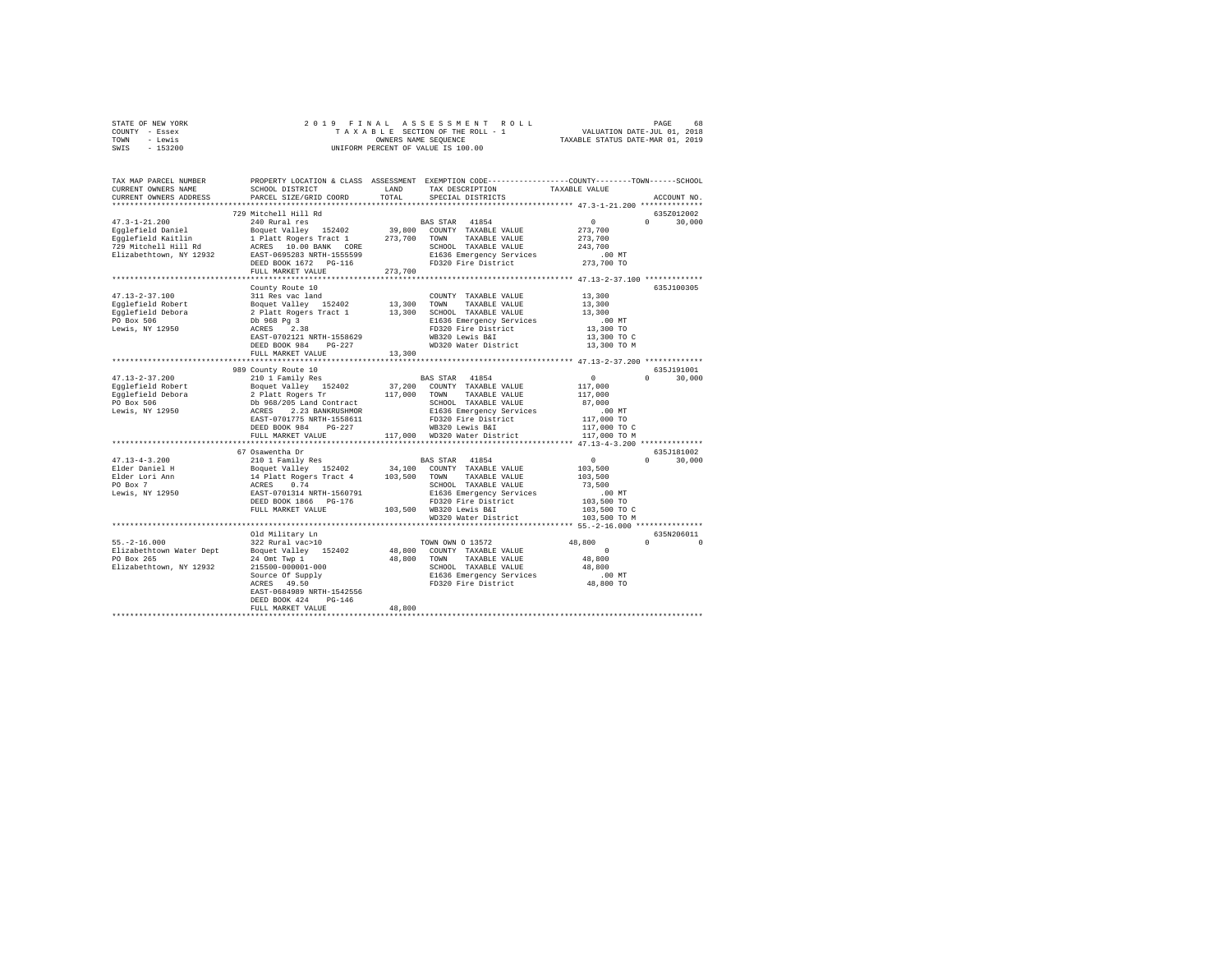| STATE OF NEW YORK | 2019 FINAL ASSESSMENT ROLL         | 68<br>PAGE                       |
|-------------------|------------------------------------|----------------------------------|
| COUNTY - Essex    | TAXABLE SECTION OF THE ROLL - 1    | VALUATION DATE-JUL 01, 2018      |
| TOWN<br>- Lewis   | OWNERS NAME SEOUENCE               | TAXABLE STATUS DATE-MAR 01, 2019 |
| $-153200$<br>SWIS | UNIFORM PERCENT OF VALUE IS 100.00 |                                  |

| TAX MAP PARCEL NUMBER<br>CURRENT OWNERS NAME                                                                      | SCHOOL DISTRICT                                                                                                                                                                                                                                                                             | <b>T.AND</b>          | PROPERTY LOCATION & CLASS ASSESSMENT EXEMPTION CODE---------------COUNTY-------TOWN-----SCHOOL<br>TAX DESCRIPTION                                                                                         | TAXABLE VALUE                                                                                      |                                    |
|-------------------------------------------------------------------------------------------------------------------|---------------------------------------------------------------------------------------------------------------------------------------------------------------------------------------------------------------------------------------------------------------------------------------------|-----------------------|-----------------------------------------------------------------------------------------------------------------------------------------------------------------------------------------------------------|----------------------------------------------------------------------------------------------------|------------------------------------|
| CURRENT OWNERS ADDRESS<br>************************                                                                | PARCEL SIZE/GRID COORD                                                                                                                                                                                                                                                                      | TOTAL                 | SPECIAL DISTRICTS                                                                                                                                                                                         |                                                                                                    | ACCOUNT NO.                        |
|                                                                                                                   | 729 Mitchell Hill Rd                                                                                                                                                                                                                                                                        |                       |                                                                                                                                                                                                           |                                                                                                    | 635Z012002                         |
| $47.3 - 1 - 21.200$<br>Eqqlefield Daniel<br>Eqqlefield Kaitlin<br>729 Mitchell Hill Rd<br>Elizabethtown, NY 12932 | 240 Rural res<br>Boquet Valley 152402<br>1 Platt Rogers Tract 1<br>1 Platt Ruggers<br>ACRES 10.00 BANK CORE<br>EAST-0695283 NRTH-1555599<br>DEED BOOK 1672 PG-116<br>FULL MARKET VALUE                                                                                                      | 273,700               | BAS STAR 41854<br>39,800 COUNTY TAXABLE VALUE<br>273,700 TOWN TAXABLE VALUE<br>SCHOOL TAXABLE VALUE<br>E1636 Emergency Services<br>FD320 Fire District                                                    | $\Omega$<br>273,700<br>273,700<br>243,700<br>$.00$ MT<br>273,700 TO                                | $\Omega$<br>30,000                 |
|                                                                                                                   | *************************                                                                                                                                                                                                                                                                   |                       |                                                                                                                                                                                                           |                                                                                                    |                                    |
| $47.13 - 2 - 37.100$<br>Eqqlefield Robert<br>Egglefield Debora<br>PO Box 506<br>Lewis, NY 12950                   | County Route 10<br>311 Res vac land<br>Boquet Valley 152402 13,300 TOWN TAXABLE VALUE<br>2 Platt Rogers Tract 1 13,300 SCHOOL TAXABLE VALUE<br>2 Db 968 Pg 3 21636 Emergency Services<br>2.38 PD320 Fire District<br>EAST-0702121 NRTH-1558629<br>DEED BOOK 984 PG-227<br>FULL MARKET VALUE | 13,300                | COUNTY TAXABLE VALUE<br>E1636 Emergency Services<br>WB320 Lewis B&I<br>WD320 Water District                                                                                                               | 13,300<br>13,300<br>13,300<br>$.00$ MT<br>13,300 TO<br>13,300 TO C<br>13,300 TO M                  | 635J100305                         |
|                                                                                                                   | 989 County Route 10                                                                                                                                                                                                                                                                         |                       |                                                                                                                                                                                                           |                                                                                                    | 635J191001                         |
| $47.13 - 2 - 37.200$<br>Eqqlefield Robert<br>Egglefield Debora<br>PO Box 506<br>Lewis, NY 12950                   | 210 1 Family Res<br>Boquet Valley 152402<br>2 Platt Rogers Tr<br>Db 968/205 Land Contract<br>ACRES 2.23 BANKRUSHMOR<br>EAST-0701775 NRTH-1558611<br>DEED BOOK 984<br>$PG-227$<br>FULL MARKET VALUE                                                                                          |                       | BAS STAR 41854<br>37,200 COUNTY TAXABLE VALUE<br>117,000 TOWN TAXABLE VALUE<br>SCHOOL TAXABLE VALUE<br>E1636 Emergency Services<br>FD320 Fire District<br>WB320 Lewis B&I<br>117,000 WD320 Water District | 0<br>117,000<br>117,000<br>87,000<br>$.00$ MT<br>117,000 TO<br>117,000 TO C<br>117,000 TO M        | $\Omega$<br>30,000                 |
|                                                                                                                   | ***************************                                                                                                                                                                                                                                                                 |                       |                                                                                                                                                                                                           |                                                                                                    |                                    |
| $47.13 - 4 - 3.200$<br>Elder Daniel H<br>Elder Lori Ann<br>PO Box 7<br>Lewis, NY 12950                            | 67 Osawentha Dr<br>210 1 Family Res<br>Boquet Valley 152402 34,100 COUNTY TAXABLE VALUE 14 Platt Rogers Tract 4 103,500 TOWN TAXABLE VALUE ACTES 0.74 SACTES 103,500 TOWN SCHOOL TAXABLE VALUE<br>DEED BOOK 1866 PG-176<br>FULL MARKET VALUE                                                |                       | <b>BAS STAR</b> 41854<br>SCHOOL TAXABLE VALUE<br>E1636 Emergency Services<br>FD320 Fire District<br>103,500 WB320 Lewis B&I<br>WD320 Water District                                                       | $\sim$ 0<br>103,500<br>103,500<br>73,500<br>$.00$ MT<br>103,500 TO<br>103,500 TO C<br>103,500 TO M | 635J181002<br>$\Omega$<br>30,000   |
|                                                                                                                   |                                                                                                                                                                                                                                                                                             |                       |                                                                                                                                                                                                           |                                                                                                    |                                    |
| $55. -2 - 16.000$<br>Elizabethtown Water Dept<br>PO Box 265<br>Elizabethtown, NY 12932                            | Old Military Ln<br>322 Rural vac>10<br>Boquet Valley 152402<br>24 Omt Twp 1<br>215500-000001-000<br>Source Of Supply<br>ACRES 49.50<br>EAST-0684989 NRTH-1542556<br>DEED BOOK 424 PG-146<br>FULL MARKET VALUE                                                                               | 48,800 TOWN<br>48,800 | TOWN OWN O 13572<br>48,800 COUNTY TAXABLE VALUE<br>TAXABLE VALUE<br>SCHOOL TAXABLE VALUE<br>E1636 Emergency Services<br>FD320 Fire District                                                               | 48,800<br>$\Omega$<br>48,800<br>48,800<br>00 MT.<br>48,800 TO                                      | 635N206011<br>$\Omega$<br>$\Omega$ |
|                                                                                                                   |                                                                                                                                                                                                                                                                                             |                       |                                                                                                                                                                                                           |                                                                                                    |                                    |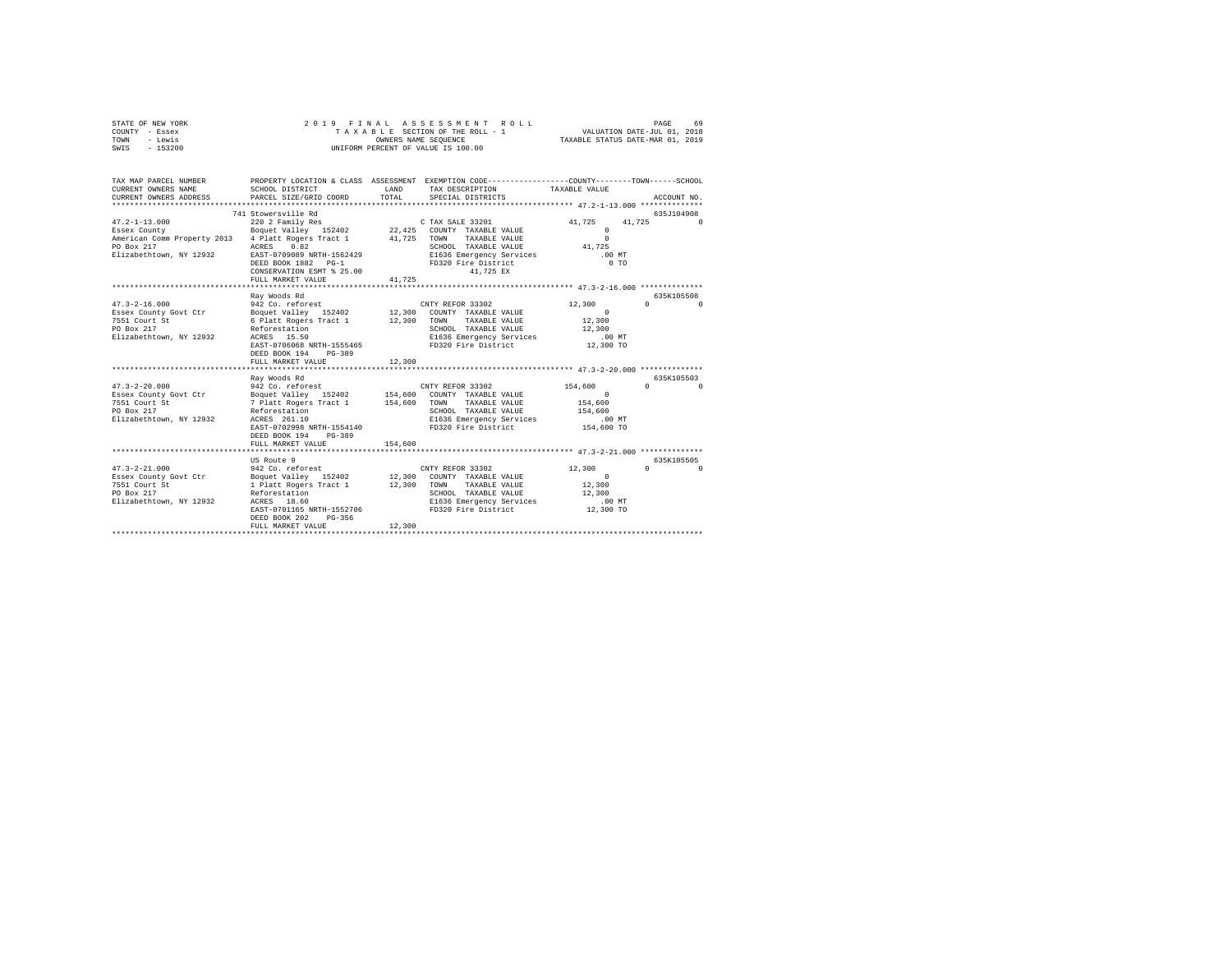| TAX MAP PARCEL NUMBER THE PROPERTY LOCATION & CLASS ASSESSMENT EXEMPTION CODE-------------COUNTY-------TOWN-----SCHOOL<br>CURRENT OWNERS NAME<br>SCHOOL DISTRICT<br>LAND<br>TAX DESCRIPTION<br>TAXABLE VALUE<br>CURRENT OWNERS ADDRESS<br>PARCEL SIZE/GRID COORD<br>TOTAL<br>SPECIAL DISTRICTS<br>ACCOUNT NO.<br>************************<br>741 Stowersville Rd<br>635J104908<br>220 2 Family Res<br>$47.2 - 1 - 13.000$<br>41,725<br>41,725<br>C TAX SALE 33201<br>$\Omega$<br>22,425 COUNTY TAXABLE VALUE<br>Boquet Valley 152402<br>Essex County<br>$\mathbf{r}$<br>American Comm Property 2013 4 Platt Rogers Tract 1 41,725<br>$\Omega$<br>TOWN<br>TAXABLE VALUE<br>PO Box 217<br>ACRES 0.82<br>SCHOOL TAXABLE VALUE<br>41,725<br>Elizabethtown, NY 12932<br>EAST-0709089 NRTH-1562429<br>E1636 Emergency Services<br>.00 MT<br>FD320 Fire District<br>0 <sub>T</sub><br>DEED BOOK 1882 PG-1<br>CONSERVATION ESMT % 25.00<br>41,725 EX<br>41.725<br>FULL MARKET VALUE<br>635K105508<br>Ray Woods Rd<br>$0 \qquad \qquad 0$<br>$47.3 - 2 - 16.000$<br>942 Co. reforest<br>12,300<br>CNTY REFOR 33302<br>Boquet Valley 152402 12,300<br>$\begin{array}{c} 0 \\ 0 \end{array}$<br>Essex County Govt Ctr<br>COUNTY TAXABLE VALUE<br>7551 Court St<br>6 Platt Rogers Tract 1<br>12,300<br>TAXABLE VALUE<br>12,300<br>TOWN<br>PO Box 217<br>SCHOOL TAXABLE VALUE<br>Reforestation<br>12,300<br>Elizabethtown, NY 12932<br>ACRES 15.50<br>E1636 Emergency Services<br>.00 MT<br>12,300 TO<br>EAST-0706068 NRTH-1555465<br>FD320 Fire District<br>DEED BOOK 194 PG-389<br>FULL MARKET VALUE<br>12,300<br>Ray Woods Rd<br>635K105503<br>$47.3 - 2 - 20.000$<br>$\mathfrak{a}$ and $\mathfrak{a}$<br>942 Co. reforest<br>CNTY REFOR 33302<br>154,600<br>$\Omega$<br>Boquet Valley 152402<br>154,600 COUNTY TAXABLE VALUE<br>Essex County Govt Ctr<br>$\sim$ 0<br>Boquet Valley 152402<br>7 Platt Rogers Tract 1<br>7551 Court St<br>154,600 TOWN<br>TAXABLE VALUE<br>154,600<br>PO Box 217<br>SCHOOL TAXABLE VALUE<br>154,600<br>Reforestation<br>Elizabethtown, NY 12932<br>ACRES 261.10<br>E1636 Emergency Services<br>$.00$ MT<br>EAST-0702998 NRTH-1554140<br>FD320 Fire District<br>154,600 TO<br>DEED BOOK 194 PG-389<br>FULL MARKET VALUE<br>154,600<br>635K105505<br>US Route 9<br>942 Co. reforest<br>$47.3 - 2 - 21.000$<br>CNTY REFOR 33302<br>12,300<br>$\cap$<br>$\Omega$<br>Essex County Govt Ctr<br>Boquet Valley 152402 12,300<br>1 Platt Rogers Tract 1 12,300<br>12,300 COUNTY TAXABLE VALUE<br>$\sim$ 0<br>12,300<br>7551 Court St<br>TOWN<br>TAXABLE VALUE<br>PO Box 217<br>Reforestation<br>SCHOOL TAXABLE VALUE<br>12,300<br>Elizabethtown, NY 12932<br>E1636 Emergency Services<br>ACRES 18.60<br>$.00$ MT<br>FD320 Fire District<br>EAST-0701165 NRTH-1552706<br>12,300 TO<br>DEED BOOK 202<br>PG-356<br>12,300<br>FULL MARKET VALUE | STATE OF NEW YORK<br>COUNTY - Essex<br>- Lewis<br>TOWN<br>SWIS - 153200 | 2019 FINAL | ASSESSMENT ROLL<br>TAXABLE SECTION OF THE ROLL - 1<br>OWNERS NAME SEQUENCE<br>UNIFORM PERCENT OF VALUE IS 100.00 | VALUATION DATE-JUL 01, 2018<br>TAXABLE STATUS DATE-MAR 01, 2019 | PAGE<br>69 |  |
|----------------------------------------------------------------------------------------------------------------------------------------------------------------------------------------------------------------------------------------------------------------------------------------------------------------------------------------------------------------------------------------------------------------------------------------------------------------------------------------------------------------------------------------------------------------------------------------------------------------------------------------------------------------------------------------------------------------------------------------------------------------------------------------------------------------------------------------------------------------------------------------------------------------------------------------------------------------------------------------------------------------------------------------------------------------------------------------------------------------------------------------------------------------------------------------------------------------------------------------------------------------------------------------------------------------------------------------------------------------------------------------------------------------------------------------------------------------------------------------------------------------------------------------------------------------------------------------------------------------------------------------------------------------------------------------------------------------------------------------------------------------------------------------------------------------------------------------------------------------------------------------------------------------------------------------------------------------------------------------------------------------------------------------------------------------------------------------------------------------------------------------------------------------------------------------------------------------------------------------------------------------------------------------------------------------------------------------------------------------------------------------------------------------------------------------------------------------------------------------------------------------------------------------------------------------------------------------------------------------------------------------------------------------------------------------------------------------------------------------------------------------------------------------------------------------------------------------------------------|-------------------------------------------------------------------------|------------|------------------------------------------------------------------------------------------------------------------|-----------------------------------------------------------------|------------|--|
|                                                                                                                                                                                                                                                                                                                                                                                                                                                                                                                                                                                                                                                                                                                                                                                                                                                                                                                                                                                                                                                                                                                                                                                                                                                                                                                                                                                                                                                                                                                                                                                                                                                                                                                                                                                                                                                                                                                                                                                                                                                                                                                                                                                                                                                                                                                                                                                                                                                                                                                                                                                                                                                                                                                                                                                                                                                          |                                                                         |            |                                                                                                                  |                                                                 |            |  |
|                                                                                                                                                                                                                                                                                                                                                                                                                                                                                                                                                                                                                                                                                                                                                                                                                                                                                                                                                                                                                                                                                                                                                                                                                                                                                                                                                                                                                                                                                                                                                                                                                                                                                                                                                                                                                                                                                                                                                                                                                                                                                                                                                                                                                                                                                                                                                                                                                                                                                                                                                                                                                                                                                                                                                                                                                                                          |                                                                         |            |                                                                                                                  |                                                                 |            |  |
|                                                                                                                                                                                                                                                                                                                                                                                                                                                                                                                                                                                                                                                                                                                                                                                                                                                                                                                                                                                                                                                                                                                                                                                                                                                                                                                                                                                                                                                                                                                                                                                                                                                                                                                                                                                                                                                                                                                                                                                                                                                                                                                                                                                                                                                                                                                                                                                                                                                                                                                                                                                                                                                                                                                                                                                                                                                          |                                                                         |            |                                                                                                                  |                                                                 |            |  |
|                                                                                                                                                                                                                                                                                                                                                                                                                                                                                                                                                                                                                                                                                                                                                                                                                                                                                                                                                                                                                                                                                                                                                                                                                                                                                                                                                                                                                                                                                                                                                                                                                                                                                                                                                                                                                                                                                                                                                                                                                                                                                                                                                                                                                                                                                                                                                                                                                                                                                                                                                                                                                                                                                                                                                                                                                                                          |                                                                         |            |                                                                                                                  |                                                                 |            |  |
|                                                                                                                                                                                                                                                                                                                                                                                                                                                                                                                                                                                                                                                                                                                                                                                                                                                                                                                                                                                                                                                                                                                                                                                                                                                                                                                                                                                                                                                                                                                                                                                                                                                                                                                                                                                                                                                                                                                                                                                                                                                                                                                                                                                                                                                                                                                                                                                                                                                                                                                                                                                                                                                                                                                                                                                                                                                          |                                                                         |            |                                                                                                                  |                                                                 |            |  |
|                                                                                                                                                                                                                                                                                                                                                                                                                                                                                                                                                                                                                                                                                                                                                                                                                                                                                                                                                                                                                                                                                                                                                                                                                                                                                                                                                                                                                                                                                                                                                                                                                                                                                                                                                                                                                                                                                                                                                                                                                                                                                                                                                                                                                                                                                                                                                                                                                                                                                                                                                                                                                                                                                                                                                                                                                                                          |                                                                         |            |                                                                                                                  |                                                                 |            |  |
|                                                                                                                                                                                                                                                                                                                                                                                                                                                                                                                                                                                                                                                                                                                                                                                                                                                                                                                                                                                                                                                                                                                                                                                                                                                                                                                                                                                                                                                                                                                                                                                                                                                                                                                                                                                                                                                                                                                                                                                                                                                                                                                                                                                                                                                                                                                                                                                                                                                                                                                                                                                                                                                                                                                                                                                                                                                          |                                                                         |            |                                                                                                                  |                                                                 |            |  |
|                                                                                                                                                                                                                                                                                                                                                                                                                                                                                                                                                                                                                                                                                                                                                                                                                                                                                                                                                                                                                                                                                                                                                                                                                                                                                                                                                                                                                                                                                                                                                                                                                                                                                                                                                                                                                                                                                                                                                                                                                                                                                                                                                                                                                                                                                                                                                                                                                                                                                                                                                                                                                                                                                                                                                                                                                                                          |                                                                         |            |                                                                                                                  |                                                                 |            |  |
|                                                                                                                                                                                                                                                                                                                                                                                                                                                                                                                                                                                                                                                                                                                                                                                                                                                                                                                                                                                                                                                                                                                                                                                                                                                                                                                                                                                                                                                                                                                                                                                                                                                                                                                                                                                                                                                                                                                                                                                                                                                                                                                                                                                                                                                                                                                                                                                                                                                                                                                                                                                                                                                                                                                                                                                                                                                          |                                                                         |            |                                                                                                                  |                                                                 |            |  |
|                                                                                                                                                                                                                                                                                                                                                                                                                                                                                                                                                                                                                                                                                                                                                                                                                                                                                                                                                                                                                                                                                                                                                                                                                                                                                                                                                                                                                                                                                                                                                                                                                                                                                                                                                                                                                                                                                                                                                                                                                                                                                                                                                                                                                                                                                                                                                                                                                                                                                                                                                                                                                                                                                                                                                                                                                                                          |                                                                         |            |                                                                                                                  |                                                                 |            |  |
|                                                                                                                                                                                                                                                                                                                                                                                                                                                                                                                                                                                                                                                                                                                                                                                                                                                                                                                                                                                                                                                                                                                                                                                                                                                                                                                                                                                                                                                                                                                                                                                                                                                                                                                                                                                                                                                                                                                                                                                                                                                                                                                                                                                                                                                                                                                                                                                                                                                                                                                                                                                                                                                                                                                                                                                                                                                          |                                                                         |            |                                                                                                                  |                                                                 |            |  |
|                                                                                                                                                                                                                                                                                                                                                                                                                                                                                                                                                                                                                                                                                                                                                                                                                                                                                                                                                                                                                                                                                                                                                                                                                                                                                                                                                                                                                                                                                                                                                                                                                                                                                                                                                                                                                                                                                                                                                                                                                                                                                                                                                                                                                                                                                                                                                                                                                                                                                                                                                                                                                                                                                                                                                                                                                                                          |                                                                         |            |                                                                                                                  |                                                                 |            |  |
|                                                                                                                                                                                                                                                                                                                                                                                                                                                                                                                                                                                                                                                                                                                                                                                                                                                                                                                                                                                                                                                                                                                                                                                                                                                                                                                                                                                                                                                                                                                                                                                                                                                                                                                                                                                                                                                                                                                                                                                                                                                                                                                                                                                                                                                                                                                                                                                                                                                                                                                                                                                                                                                                                                                                                                                                                                                          |                                                                         |            |                                                                                                                  |                                                                 |            |  |
|                                                                                                                                                                                                                                                                                                                                                                                                                                                                                                                                                                                                                                                                                                                                                                                                                                                                                                                                                                                                                                                                                                                                                                                                                                                                                                                                                                                                                                                                                                                                                                                                                                                                                                                                                                                                                                                                                                                                                                                                                                                                                                                                                                                                                                                                                                                                                                                                                                                                                                                                                                                                                                                                                                                                                                                                                                                          |                                                                         |            |                                                                                                                  |                                                                 |            |  |
|                                                                                                                                                                                                                                                                                                                                                                                                                                                                                                                                                                                                                                                                                                                                                                                                                                                                                                                                                                                                                                                                                                                                                                                                                                                                                                                                                                                                                                                                                                                                                                                                                                                                                                                                                                                                                                                                                                                                                                                                                                                                                                                                                                                                                                                                                                                                                                                                                                                                                                                                                                                                                                                                                                                                                                                                                                                          |                                                                         |            |                                                                                                                  |                                                                 |            |  |
|                                                                                                                                                                                                                                                                                                                                                                                                                                                                                                                                                                                                                                                                                                                                                                                                                                                                                                                                                                                                                                                                                                                                                                                                                                                                                                                                                                                                                                                                                                                                                                                                                                                                                                                                                                                                                                                                                                                                                                                                                                                                                                                                                                                                                                                                                                                                                                                                                                                                                                                                                                                                                                                                                                                                                                                                                                                          |                                                                         |            |                                                                                                                  |                                                                 |            |  |
|                                                                                                                                                                                                                                                                                                                                                                                                                                                                                                                                                                                                                                                                                                                                                                                                                                                                                                                                                                                                                                                                                                                                                                                                                                                                                                                                                                                                                                                                                                                                                                                                                                                                                                                                                                                                                                                                                                                                                                                                                                                                                                                                                                                                                                                                                                                                                                                                                                                                                                                                                                                                                                                                                                                                                                                                                                                          |                                                                         |            |                                                                                                                  |                                                                 |            |  |
|                                                                                                                                                                                                                                                                                                                                                                                                                                                                                                                                                                                                                                                                                                                                                                                                                                                                                                                                                                                                                                                                                                                                                                                                                                                                                                                                                                                                                                                                                                                                                                                                                                                                                                                                                                                                                                                                                                                                                                                                                                                                                                                                                                                                                                                                                                                                                                                                                                                                                                                                                                                                                                                                                                                                                                                                                                                          |                                                                         |            |                                                                                                                  |                                                                 |            |  |
|                                                                                                                                                                                                                                                                                                                                                                                                                                                                                                                                                                                                                                                                                                                                                                                                                                                                                                                                                                                                                                                                                                                                                                                                                                                                                                                                                                                                                                                                                                                                                                                                                                                                                                                                                                                                                                                                                                                                                                                                                                                                                                                                                                                                                                                                                                                                                                                                                                                                                                                                                                                                                                                                                                                                                                                                                                                          |                                                                         |            |                                                                                                                  |                                                                 |            |  |
|                                                                                                                                                                                                                                                                                                                                                                                                                                                                                                                                                                                                                                                                                                                                                                                                                                                                                                                                                                                                                                                                                                                                                                                                                                                                                                                                                                                                                                                                                                                                                                                                                                                                                                                                                                                                                                                                                                                                                                                                                                                                                                                                                                                                                                                                                                                                                                                                                                                                                                                                                                                                                                                                                                                                                                                                                                                          |                                                                         |            |                                                                                                                  |                                                                 |            |  |
|                                                                                                                                                                                                                                                                                                                                                                                                                                                                                                                                                                                                                                                                                                                                                                                                                                                                                                                                                                                                                                                                                                                                                                                                                                                                                                                                                                                                                                                                                                                                                                                                                                                                                                                                                                                                                                                                                                                                                                                                                                                                                                                                                                                                                                                                                                                                                                                                                                                                                                                                                                                                                                                                                                                                                                                                                                                          |                                                                         |            |                                                                                                                  |                                                                 |            |  |
|                                                                                                                                                                                                                                                                                                                                                                                                                                                                                                                                                                                                                                                                                                                                                                                                                                                                                                                                                                                                                                                                                                                                                                                                                                                                                                                                                                                                                                                                                                                                                                                                                                                                                                                                                                                                                                                                                                                                                                                                                                                                                                                                                                                                                                                                                                                                                                                                                                                                                                                                                                                                                                                                                                                                                                                                                                                          |                                                                         |            |                                                                                                                  |                                                                 |            |  |
|                                                                                                                                                                                                                                                                                                                                                                                                                                                                                                                                                                                                                                                                                                                                                                                                                                                                                                                                                                                                                                                                                                                                                                                                                                                                                                                                                                                                                                                                                                                                                                                                                                                                                                                                                                                                                                                                                                                                                                                                                                                                                                                                                                                                                                                                                                                                                                                                                                                                                                                                                                                                                                                                                                                                                                                                                                                          |                                                                         |            |                                                                                                                  |                                                                 |            |  |
|                                                                                                                                                                                                                                                                                                                                                                                                                                                                                                                                                                                                                                                                                                                                                                                                                                                                                                                                                                                                                                                                                                                                                                                                                                                                                                                                                                                                                                                                                                                                                                                                                                                                                                                                                                                                                                                                                                                                                                                                                                                                                                                                                                                                                                                                                                                                                                                                                                                                                                                                                                                                                                                                                                                                                                                                                                                          |                                                                         |            |                                                                                                                  |                                                                 |            |  |
|                                                                                                                                                                                                                                                                                                                                                                                                                                                                                                                                                                                                                                                                                                                                                                                                                                                                                                                                                                                                                                                                                                                                                                                                                                                                                                                                                                                                                                                                                                                                                                                                                                                                                                                                                                                                                                                                                                                                                                                                                                                                                                                                                                                                                                                                                                                                                                                                                                                                                                                                                                                                                                                                                                                                                                                                                                                          |                                                                         |            |                                                                                                                  |                                                                 |            |  |
|                                                                                                                                                                                                                                                                                                                                                                                                                                                                                                                                                                                                                                                                                                                                                                                                                                                                                                                                                                                                                                                                                                                                                                                                                                                                                                                                                                                                                                                                                                                                                                                                                                                                                                                                                                                                                                                                                                                                                                                                                                                                                                                                                                                                                                                                                                                                                                                                                                                                                                                                                                                                                                                                                                                                                                                                                                                          |                                                                         |            |                                                                                                                  |                                                                 |            |  |
|                                                                                                                                                                                                                                                                                                                                                                                                                                                                                                                                                                                                                                                                                                                                                                                                                                                                                                                                                                                                                                                                                                                                                                                                                                                                                                                                                                                                                                                                                                                                                                                                                                                                                                                                                                                                                                                                                                                                                                                                                                                                                                                                                                                                                                                                                                                                                                                                                                                                                                                                                                                                                                                                                                                                                                                                                                                          |                                                                         |            |                                                                                                                  |                                                                 |            |  |
|                                                                                                                                                                                                                                                                                                                                                                                                                                                                                                                                                                                                                                                                                                                                                                                                                                                                                                                                                                                                                                                                                                                                                                                                                                                                                                                                                                                                                                                                                                                                                                                                                                                                                                                                                                                                                                                                                                                                                                                                                                                                                                                                                                                                                                                                                                                                                                                                                                                                                                                                                                                                                                                                                                                                                                                                                                                          |                                                                         |            |                                                                                                                  |                                                                 |            |  |
|                                                                                                                                                                                                                                                                                                                                                                                                                                                                                                                                                                                                                                                                                                                                                                                                                                                                                                                                                                                                                                                                                                                                                                                                                                                                                                                                                                                                                                                                                                                                                                                                                                                                                                                                                                                                                                                                                                                                                                                                                                                                                                                                                                                                                                                                                                                                                                                                                                                                                                                                                                                                                                                                                                                                                                                                                                                          |                                                                         |            |                                                                                                                  |                                                                 |            |  |
|                                                                                                                                                                                                                                                                                                                                                                                                                                                                                                                                                                                                                                                                                                                                                                                                                                                                                                                                                                                                                                                                                                                                                                                                                                                                                                                                                                                                                                                                                                                                                                                                                                                                                                                                                                                                                                                                                                                                                                                                                                                                                                                                                                                                                                                                                                                                                                                                                                                                                                                                                                                                                                                                                                                                                                                                                                                          |                                                                         |            |                                                                                                                  |                                                                 |            |  |
|                                                                                                                                                                                                                                                                                                                                                                                                                                                                                                                                                                                                                                                                                                                                                                                                                                                                                                                                                                                                                                                                                                                                                                                                                                                                                                                                                                                                                                                                                                                                                                                                                                                                                                                                                                                                                                                                                                                                                                                                                                                                                                                                                                                                                                                                                                                                                                                                                                                                                                                                                                                                                                                                                                                                                                                                                                                          |                                                                         |            |                                                                                                                  |                                                                 |            |  |
|                                                                                                                                                                                                                                                                                                                                                                                                                                                                                                                                                                                                                                                                                                                                                                                                                                                                                                                                                                                                                                                                                                                                                                                                                                                                                                                                                                                                                                                                                                                                                                                                                                                                                                                                                                                                                                                                                                                                                                                                                                                                                                                                                                                                                                                                                                                                                                                                                                                                                                                                                                                                                                                                                                                                                                                                                                                          |                                                                         |            |                                                                                                                  |                                                                 |            |  |
|                                                                                                                                                                                                                                                                                                                                                                                                                                                                                                                                                                                                                                                                                                                                                                                                                                                                                                                                                                                                                                                                                                                                                                                                                                                                                                                                                                                                                                                                                                                                                                                                                                                                                                                                                                                                                                                                                                                                                                                                                                                                                                                                                                                                                                                                                                                                                                                                                                                                                                                                                                                                                                                                                                                                                                                                                                                          |                                                                         |            |                                                                                                                  |                                                                 |            |  |
|                                                                                                                                                                                                                                                                                                                                                                                                                                                                                                                                                                                                                                                                                                                                                                                                                                                                                                                                                                                                                                                                                                                                                                                                                                                                                                                                                                                                                                                                                                                                                                                                                                                                                                                                                                                                                                                                                                                                                                                                                                                                                                                                                                                                                                                                                                                                                                                                                                                                                                                                                                                                                                                                                                                                                                                                                                                          |                                                                         |            |                                                                                                                  |                                                                 |            |  |
|                                                                                                                                                                                                                                                                                                                                                                                                                                                                                                                                                                                                                                                                                                                                                                                                                                                                                                                                                                                                                                                                                                                                                                                                                                                                                                                                                                                                                                                                                                                                                                                                                                                                                                                                                                                                                                                                                                                                                                                                                                                                                                                                                                                                                                                                                                                                                                                                                                                                                                                                                                                                                                                                                                                                                                                                                                                          |                                                                         |            |                                                                                                                  |                                                                 |            |  |
|                                                                                                                                                                                                                                                                                                                                                                                                                                                                                                                                                                                                                                                                                                                                                                                                                                                                                                                                                                                                                                                                                                                                                                                                                                                                                                                                                                                                                                                                                                                                                                                                                                                                                                                                                                                                                                                                                                                                                                                                                                                                                                                                                                                                                                                                                                                                                                                                                                                                                                                                                                                                                                                                                                                                                                                                                                                          |                                                                         |            |                                                                                                                  |                                                                 |            |  |
|                                                                                                                                                                                                                                                                                                                                                                                                                                                                                                                                                                                                                                                                                                                                                                                                                                                                                                                                                                                                                                                                                                                                                                                                                                                                                                                                                                                                                                                                                                                                                                                                                                                                                                                                                                                                                                                                                                                                                                                                                                                                                                                                                                                                                                                                                                                                                                                                                                                                                                                                                                                                                                                                                                                                                                                                                                                          |                                                                         |            |                                                                                                                  |                                                                 |            |  |
|                                                                                                                                                                                                                                                                                                                                                                                                                                                                                                                                                                                                                                                                                                                                                                                                                                                                                                                                                                                                                                                                                                                                                                                                                                                                                                                                                                                                                                                                                                                                                                                                                                                                                                                                                                                                                                                                                                                                                                                                                                                                                                                                                                                                                                                                                                                                                                                                                                                                                                                                                                                                                                                                                                                                                                                                                                                          |                                                                         |            |                                                                                                                  |                                                                 |            |  |
|                                                                                                                                                                                                                                                                                                                                                                                                                                                                                                                                                                                                                                                                                                                                                                                                                                                                                                                                                                                                                                                                                                                                                                                                                                                                                                                                                                                                                                                                                                                                                                                                                                                                                                                                                                                                                                                                                                                                                                                                                                                                                                                                                                                                                                                                                                                                                                                                                                                                                                                                                                                                                                                                                                                                                                                                                                                          |                                                                         |            |                                                                                                                  |                                                                 |            |  |
|                                                                                                                                                                                                                                                                                                                                                                                                                                                                                                                                                                                                                                                                                                                                                                                                                                                                                                                                                                                                                                                                                                                                                                                                                                                                                                                                                                                                                                                                                                                                                                                                                                                                                                                                                                                                                                                                                                                                                                                                                                                                                                                                                                                                                                                                                                                                                                                                                                                                                                                                                                                                                                                                                                                                                                                                                                                          |                                                                         |            |                                                                                                                  |                                                                 |            |  |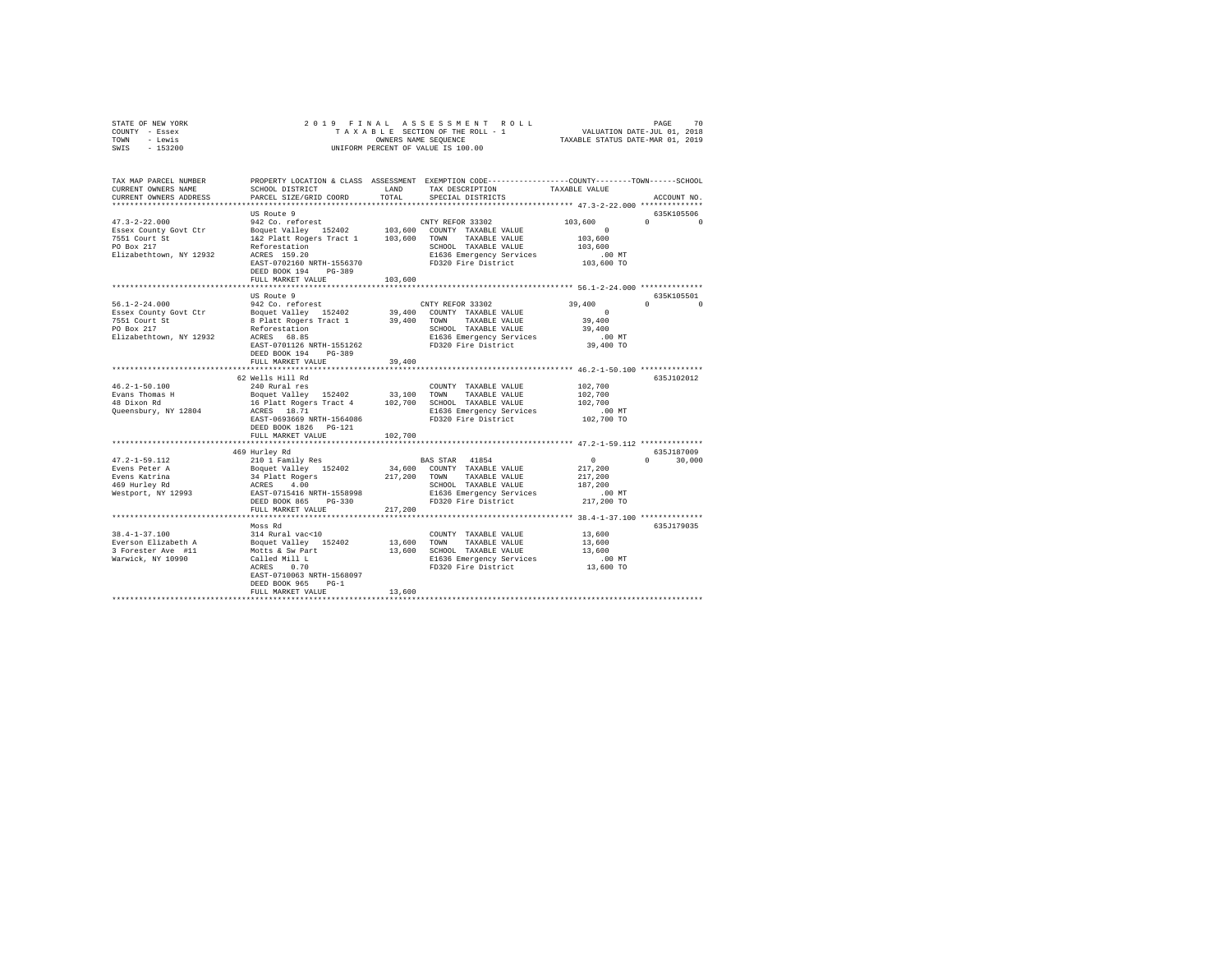| STATE OF NEW YORK<br>COUNTY - Essex<br>TOWN - Lewis<br>$-153200$ | 2019 FINAL                                                                         |             | 9 FINAL ASSESSMENT ROLL (2018)<br>TAXABLE SECTION OF THE ROLL - 1 (2018) VALUATION DATE-JUL (2018)<br>OWNERS NAME SEQUENCE (2019) TAXABLE STATUS DATE-MAR 01, 2019 |                     |                       |
|------------------------------------------------------------------|------------------------------------------------------------------------------------|-------------|--------------------------------------------------------------------------------------------------------------------------------------------------------------------|---------------------|-----------------------|
| SWIS                                                             |                                                                                    |             | UNIFORM PERCENT OF VALUE IS 100.00                                                                                                                                 |                     |                       |
| TAX MAP PARCEL NUMBER<br>CURRENT OWNERS NAME                     | SCHOOL DISTRICT                                                                    | LAND        | PROPERTY LOCATION & CLASS ASSESSMENT EXEMPTION CODE---------------COUNTY-------TOWN------SCHOOL<br>TAX DESCRIPTION                                                 | TAXABLE VALUE       |                       |
| CURRENT OWNERS ADDRESS                                           | PARCEL SIZE/GRID COORD                                                             | TOTAL       | SPECIAL DISTRICTS                                                                                                                                                  |                     | ACCOUNT NO.           |
|                                                                  |                                                                                    |             |                                                                                                                                                                    |                     |                       |
|                                                                  | US Route 9                                                                         |             |                                                                                                                                                                    |                     | 635K105506            |
| $47.3 - 2 - 22.000$<br>Essex County Govt Ctr                     | 942 Co. reforest<br>Boquet Valley 152402                                           |             | CNTY REFOR 33302<br>103,600 COUNTY TAXABLE VALUE                                                                                                                   | 103,600<br>$\Omega$ | $\Omega$<br>$\Omega$  |
| 7551 Court St                                                    | 1&2 Platt Rogers Tract 1                                                           |             | 103,600 TOWN TAXABLE VALUE                                                                                                                                         | 103,600             |                       |
| PO Box 217                                                       |                                                                                    |             | SCHOOL TAXABLE VALUE                                                                                                                                               | 103,600             |                       |
| Elizabethtown, NY 12932                                          | Reforestation<br>ACRES 159.20                                                      |             | E1636 Emergency Services                                                                                                                                           | $.00$ MT            |                       |
|                                                                  | EAST-0702160 NRTH-1556370                                                          |             | FD320 Fire District                                                                                                                                                | 103,600 TO          |                       |
|                                                                  | DEED BOOK 194 PG-389                                                               | 103,600     |                                                                                                                                                                    |                     |                       |
|                                                                  | FULL MARKET VALUE                                                                  |             |                                                                                                                                                                    |                     |                       |
|                                                                  | US Route 9                                                                         |             |                                                                                                                                                                    |                     | 635K105501            |
| $56.1 - 2 - 24.000$                                              | 942 Co. reforest                                                                   |             | CNTY REFOR 33302                                                                                                                                                   | 39,400              | $\Omega$ and $\Omega$ |
| Essex County Govt Ctr                                            | Boquet Valley 152402                                                               |             | 39,400 COUNTY TAXABLE VALUE                                                                                                                                        | $\sim$ 0            |                       |
| 7551 Court St<br>PO Box 217                                      | 8 Platt Rogers Tract 1                                                             | 39,400 TOWN | TAXABLE VALUE                                                                                                                                                      | 39,400              |                       |
| Elizabethtown, NY 12932                                          | Reforestation<br>ACRES 68.85                                                       |             | SCHOOL TAXABLE VALUE<br>E1636 Emergency Services                                                                                                                   | 39,400<br>$.00$ MT  |                       |
|                                                                  | EAST-0701126 NRTH-1551262                                                          |             | FD320 Fire District                                                                                                                                                | 39,400 TO           |                       |
|                                                                  | DEED BOOK 194 PG-389                                                               |             |                                                                                                                                                                    |                     |                       |
|                                                                  | FULL MARKET VALUE                                                                  | 39,400      |                                                                                                                                                                    |                     |                       |
|                                                                  |                                                                                    |             |                                                                                                                                                                    |                     |                       |
| $46.2 - 1 - 50.100$                                              | 62 Wells Hill Rd<br>240 Rural res                                                  |             |                                                                                                                                                                    | 102,700             | 635J102012            |
| Evans Thomas H                                                   | Boquet Valley 152402 33,100 TOWN TAXABLE VALUE                                     |             | COUNTY TAXABLE VALUE                                                                                                                                               | 102,700             |                       |
| 48 Dixon Rd                                                      | 16 Platt Rogers Tract 4                                                            |             | 102,700 SCHOOL TAXABLE VALUE                                                                                                                                       | 102,700             |                       |
| Queensbury, NY 12804                                             | ACRES 18.71                                                                        |             | E1636 Emergency Services                                                                                                                                           | .00MT               |                       |
|                                                                  | EAST-0693669 NRTH-1564086                                                          |             | FD320 Fire District                                                                                                                                                | 102,700 TO          |                       |
|                                                                  | DEED BOOK 1826    PG-121                                                           |             |                                                                                                                                                                    |                     |                       |
|                                                                  | FULL MARKET VALUE                                                                  | 102,700     |                                                                                                                                                                    |                     |                       |
|                                                                  | 469 Hurley Rd                                                                      |             |                                                                                                                                                                    |                     | 635J187009            |
| $47.2 - 1 - 59.112$                                              | 210 1 Family Res                                                                   |             | BAS STAR 41854                                                                                                                                                     | $\sim$ 0            | $0 \t 30.000$         |
| Evens Peter A                                                    |                                                                                    |             | 34,600 COUNTY TAXABLE VALUE                                                                                                                                        | 217,200             |                       |
| Evens Katrina                                                    | Boquet Valley 152402<br>34 Platt Rogers<br>ACRES 4.00<br>EAST-0715416 NRTH-1558998 |             | 217,200 TOWN<br>TAXABLE VALUE                                                                                                                                      | 217,200             |                       |
| $469$ Hurley Rd<br>Westport, NY 12993                            |                                                                                    |             | SCHOOL TAXABLE VALUE<br>E1636 Emergency Services                                                                                                                   | 187,200<br>$.00$ MT |                       |
|                                                                  | DEED BOOK 865 PG-330                                                               |             | FD320 Fire District                                                                                                                                                | 217,200 TO          |                       |
|                                                                  | FULL MARKET VALUE                                                                  | 217,200     |                                                                                                                                                                    |                     |                       |
|                                                                  |                                                                                    |             |                                                                                                                                                                    |                     |                       |
|                                                                  | Moss Rd                                                                            |             |                                                                                                                                                                    |                     | 635J179035            |
| 38.4-1-37.100                                                    | 314 Rural vac<10                                                                   |             | COUNTY TAXABLE VALUE                                                                                                                                               | 13,600              |                       |
| Everson Elizabeth A<br>3 Forester Ave #11                        | Boquet Valley 152402<br>Motts & Sw Part                                            | 13,600 TOWN | TAXABLE VALUE<br>13,600 SCHOOL TAXABLE VALUE                                                                                                                       | 13,600<br>13,600    |                       |
| Warwick, NY 10990                                                | Called Mill L                                                                      |             | E1636 Emergency Services                                                                                                                                           | .00MT               |                       |
|                                                                  | ACRES 0.70                                                                         |             | FD320 Fire District                                                                                                                                                | 13,600 TO           |                       |
|                                                                  | EAST-0710063 NRTH-1568097                                                          |             |                                                                                                                                                                    |                     |                       |
|                                                                  | DEED BOOK 965 PG-1                                                                 | 13,600      |                                                                                                                                                                    |                     |                       |
|                                                                  | FULL MARKET VALUE                                                                  |             |                                                                                                                                                                    |                     |                       |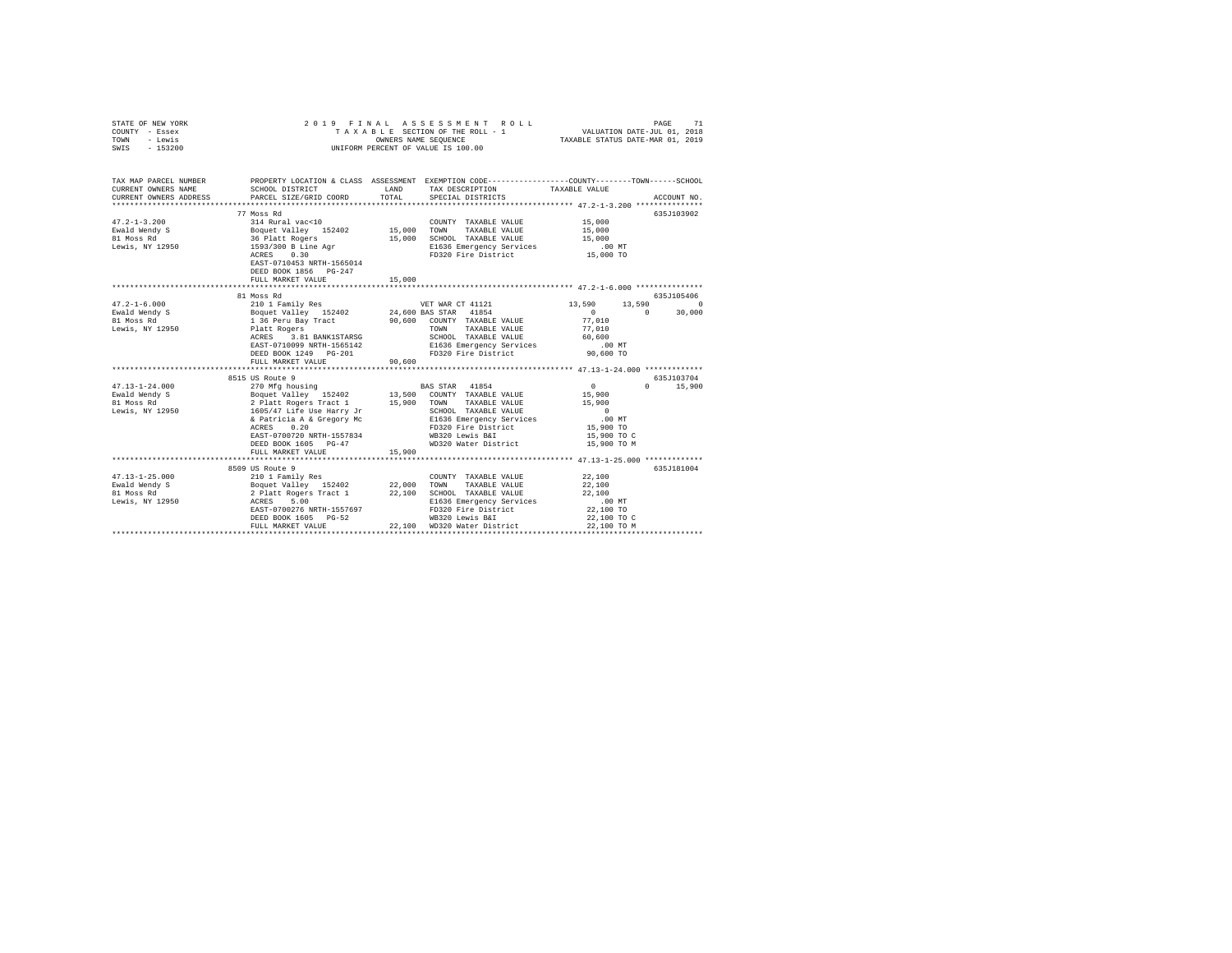| STATE OF NEW YORK<br>COUNTY - Essex<br>TOWN - Lewis<br>SWIS - 153200                                                                                                                                                                                                                                                                                                                                               | 2019 FINAL ASSESSMENT I<br>TAXABLE SECTION OF THE ROLL -<br>ONNERS NAME SEQUENCE<br>UNIFORM PERCENT OF VALUE IS 100.00                                                                                                                     |        | PAGE 71 באפר 19 באפר 19 באפר 19 באפר 19 באפר 19 באפר 19 באפר 19 באפר 19 באפר 19 באפר 19 באפר 19 באפר 19 באפר 1<br>TAXABLE SECTION OWNERS NAME SEQUENCE 1, 2019 באמר 19 באפר 19 באפר 19 באפר 19 באפר 19 באפר 19 באפר 19 באפר 19 ב |                                           |               |
|--------------------------------------------------------------------------------------------------------------------------------------------------------------------------------------------------------------------------------------------------------------------------------------------------------------------------------------------------------------------------------------------------------------------|--------------------------------------------------------------------------------------------------------------------------------------------------------------------------------------------------------------------------------------------|--------|----------------------------------------------------------------------------------------------------------------------------------------------------------------------------------------------------------------------------------|-------------------------------------------|---------------|
| TAX MAP PARCEL NUMBER PROPERTY LOCATION & CLASS ASSESSMENT EXEMPTION CODE--------------COUNTY-------TOWN------SCHOOL<br>CURRENT OWNERS NAME                                                                                                                                                                                                                                                                        | SCHOOL DISTRICT                                                                                                                                                                                                                            |        | LAND TAX DESCRIPTION                                                                                                                                                                                                             | TAXABLE VALUE                             |               |
| CURRENT OWNERS ADDRESS                                                                                                                                                                                                                                                                                                                                                                                             | PARCEL SIZE/GRID COORD                                                                                                                                                                                                                     | TOTAL  | SPECIAL DISTRICTS                                                                                                                                                                                                                |                                           | ACCOUNT NO.   |
|                                                                                                                                                                                                                                                                                                                                                                                                                    |                                                                                                                                                                                                                                            |        |                                                                                                                                                                                                                                  |                                           |               |
|                                                                                                                                                                                                                                                                                                                                                                                                                    | 77 Moss Rd                                                                                                                                                                                                                                 |        |                                                                                                                                                                                                                                  |                                           | 635.T103902   |
| $47.2 - 1 - 3.200$                                                                                                                                                                                                                                                                                                                                                                                                 |                                                                                                                                                                                                                                            |        |                                                                                                                                                                                                                                  |                                           |               |
|                                                                                                                                                                                                                                                                                                                                                                                                                    | 014 Rural vac<10<br>214 Rural vac<10<br>214 Rural vaccion 152402<br>215,000 TOWN TAXABLE VALUE 15,000 ROGEN 15,000<br>36 Platt Rogers 15,000 SCHOOL TAXABLE VALUE 15,000<br>21530 PD 210 First Patricks 20,000 TON<br>200 PD320 Fire Distr |        |                                                                                                                                                                                                                                  |                                           |               |
| Ewald Wendy S<br>81 Moss Rd<br>Lewis, NY 12950                                                                                                                                                                                                                                                                                                                                                                     |                                                                                                                                                                                                                                            |        |                                                                                                                                                                                                                                  |                                           |               |
|                                                                                                                                                                                                                                                                                                                                                                                                                    |                                                                                                                                                                                                                                            |        |                                                                                                                                                                                                                                  |                                           |               |
|                                                                                                                                                                                                                                                                                                                                                                                                                    | EAST-0710453 NRTH-1565014<br>DEED BOOK 1856 PG-247<br>FULL MARKET VALUE                                                                                                                                                                    | 15,000 | FD320 Fire District 15,000 TO                                                                                                                                                                                                    |                                           |               |
|                                                                                                                                                                                                                                                                                                                                                                                                                    |                                                                                                                                                                                                                                            |        |                                                                                                                                                                                                                                  |                                           |               |
|                                                                                                                                                                                                                                                                                                                                                                                                                    | 81 Moss Rd                                                                                                                                                                                                                                 |        |                                                                                                                                                                                                                                  |                                           | 635J105406    |
| $47.2 - 1 - 6.000$                                                                                                                                                                                                                                                                                                                                                                                                 | 210 1 Family Res                                                                                                                                                                                                                           |        | VET WAR CT 41121                                                                                                                                                                                                                 | 13,590 13,590 0                           |               |
|                                                                                                                                                                                                                                                                                                                                                                                                                    |                                                                                                                                                                                                                                            |        |                                                                                                                                                                                                                                  | $0 \t 0 \t 30,000$                        |               |
|                                                                                                                                                                                                                                                                                                                                                                                                                    |                                                                                                                                                                                                                                            |        |                                                                                                                                                                                                                                  | 77,010                                    |               |
|                                                                                                                                                                                                                                                                                                                                                                                                                    |                                                                                                                                                                                                                                            |        | TOWN TAXABLE VALUE                                                                                                                                                                                                               | 77,010                                    |               |
|                                                                                                                                                                                                                                                                                                                                                                                                                    |                                                                                                                                                                                                                                            |        | SCHOOL TAXABLE VALUE                                                                                                                                                                                                             | 60,600                                    |               |
|                                                                                                                                                                                                                                                                                                                                                                                                                    |                                                                                                                                                                                                                                            |        |                                                                                                                                                                                                                                  |                                           |               |
|                                                                                                                                                                                                                                                                                                                                                                                                                    | FULL MARKET VALUE 90,600                                                                                                                                                                                                                   |        |                                                                                                                                                                                                                                  |                                           |               |
|                                                                                                                                                                                                                                                                                                                                                                                                                    |                                                                                                                                                                                                                                            |        |                                                                                                                                                                                                                                  |                                           |               |
| $\begin{tabular}{l c c c c c} \hline $\tt*------$\tt 11.1-1-24.000$ & $\tt 8515\text{ US Route 9}$ & $\tt BAS\text{ STAR}$ & $41854$ \\ \hline $47.13-1-24.000$ & $270\text{ Mg} \text{ housing} $ & $\tt 82402$ & $15,900\text{ COUNT} $ & $\tt 74XABLE\text{ VALUE} $ \\ \hline \texttt{Bul} & $\tt 81\text{ Mose Rd}$ & $2\text{ plat Regers Trade} $ & $\tt 15,900\text{ COUNT} $ & $\tt 74XABLE\text{ VALUE}$ |                                                                                                                                                                                                                                            |        |                                                                                                                                                                                                                                  |                                           | 635J103704    |
|                                                                                                                                                                                                                                                                                                                                                                                                                    |                                                                                                                                                                                                                                            |        |                                                                                                                                                                                                                                  | $\sim$ 0                                  | $0 \t 15.900$ |
|                                                                                                                                                                                                                                                                                                                                                                                                                    |                                                                                                                                                                                                                                            |        |                                                                                                                                                                                                                                  | 15,900<br>15,900                          |               |
|                                                                                                                                                                                                                                                                                                                                                                                                                    |                                                                                                                                                                                                                                            |        |                                                                                                                                                                                                                                  |                                           |               |
|                                                                                                                                                                                                                                                                                                                                                                                                                    |                                                                                                                                                                                                                                            |        |                                                                                                                                                                                                                                  |                                           |               |
|                                                                                                                                                                                                                                                                                                                                                                                                                    |                                                                                                                                                                                                                                            |        |                                                                                                                                                                                                                                  |                                           |               |
|                                                                                                                                                                                                                                                                                                                                                                                                                    |                                                                                                                                                                                                                                            |        |                                                                                                                                                                                                                                  | $0$<br>.00 MT<br>15,900 TO<br>15,900 TO C |               |
|                                                                                                                                                                                                                                                                                                                                                                                                                    |                                                                                                                                                                                                                                            |        |                                                                                                                                                                                                                                  |                                           |               |
|                                                                                                                                                                                                                                                                                                                                                                                                                    | DEED BOOK 1605 PG-47                                                                                                                                                                                                                       |        | WD320 Water District                                                                                                                                                                                                             | 15,900 TO M                               |               |
|                                                                                                                                                                                                                                                                                                                                                                                                                    | FULL MARKET VALUE                                                                                                                                                                                                                          | 15,900 |                                                                                                                                                                                                                                  |                                           |               |
|                                                                                                                                                                                                                                                                                                                                                                                                                    | 8509 US Route 9                                                                                                                                                                                                                            |        |                                                                                                                                                                                                                                  |                                           | 635J181004    |
|                                                                                                                                                                                                                                                                                                                                                                                                                    |                                                                                                                                                                                                                                            |        |                                                                                                                                                                                                                                  | 22,100                                    |               |
|                                                                                                                                                                                                                                                                                                                                                                                                                    |                                                                                                                                                                                                                                            |        |                                                                                                                                                                                                                                  | 22,100                                    |               |
|                                                                                                                                                                                                                                                                                                                                                                                                                    |                                                                                                                                                                                                                                            |        |                                                                                                                                                                                                                                  | 22,100                                    |               |
|                                                                                                                                                                                                                                                                                                                                                                                                                    |                                                                                                                                                                                                                                            |        | E1636 Emergency Services<br>FD320 Fire District 22,100 TO                                                                                                                                                                        |                                           |               |
|                                                                                                                                                                                                                                                                                                                                                                                                                    | EAST-0700276 NRTH-1557697                                                                                                                                                                                                                  |        |                                                                                                                                                                                                                                  |                                           |               |
|                                                                                                                                                                                                                                                                                                                                                                                                                    | DEED BOOK 1605 PG-52                                                                                                                                                                                                                       |        | WB320 Lewis B&I<br>22,100 WD320 Water District                                                                                                                                                                                   | 22,100 TO C<br>22,100 TO M                |               |
|                                                                                                                                                                                                                                                                                                                                                                                                                    | FULL MARKET VALUE                                                                                                                                                                                                                          |        |                                                                                                                                                                                                                                  |                                           |               |
|                                                                                                                                                                                                                                                                                                                                                                                                                    |                                                                                                                                                                                                                                            |        |                                                                                                                                                                                                                                  |                                           |               |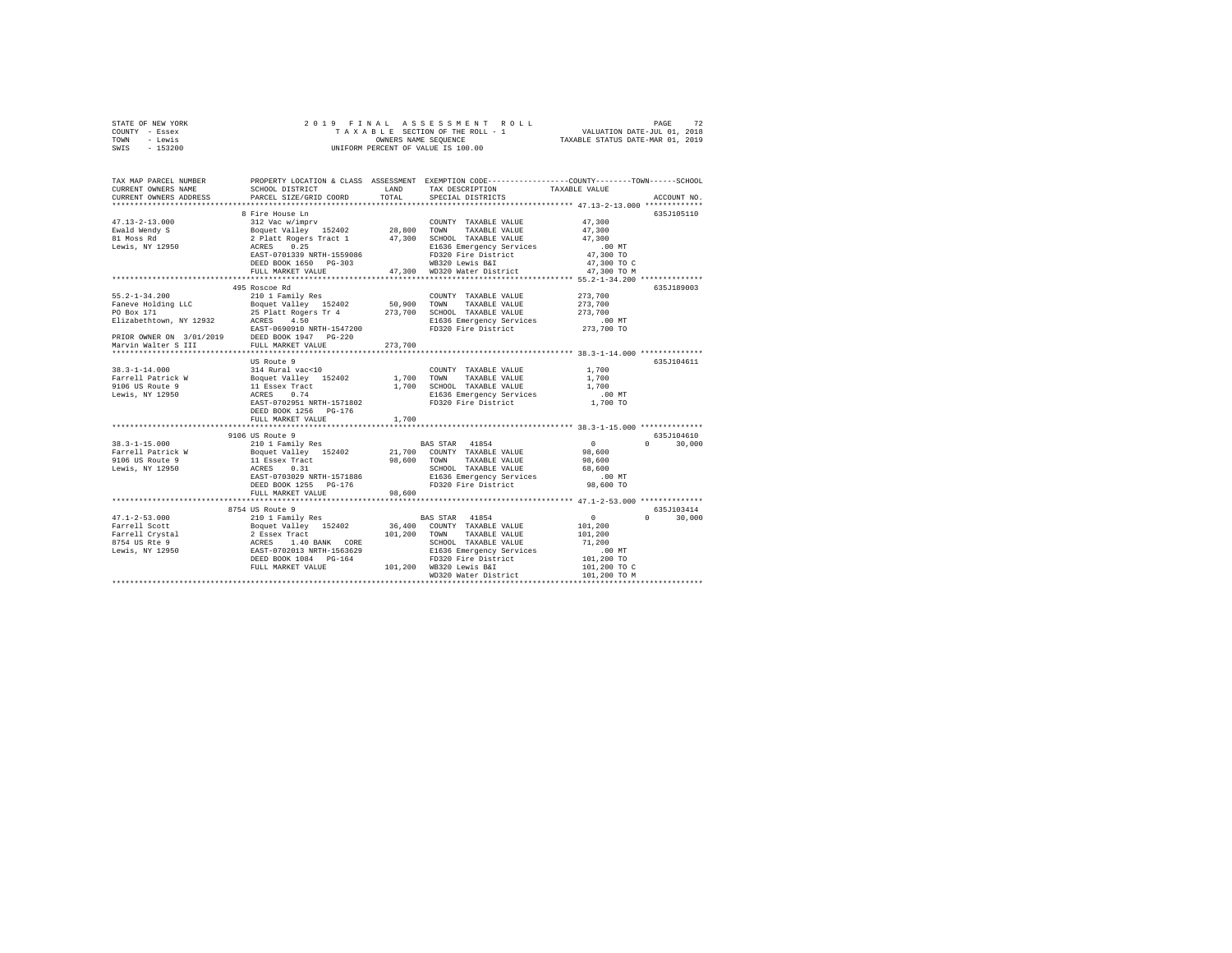| STATE OF NEW YORK |                      |  |  |  |  |  | 2019 FINAL ASSESSMENT ROLL         |  | PAGE                        | 72 |
|-------------------|----------------------|--|--|--|--|--|------------------------------------|--|-----------------------------|----|
| COUNTY - Essex    |                      |  |  |  |  |  | TAXABLE SECTION OF THE ROLL - 1    |  | VALUATION DATE-JUL 01, 2018 |    |
| TOWN<br>- Lewis   | OWNERS NAME SEOUENCE |  |  |  |  |  | TAXABLE STATUS DATE-MAR 01, 2019   |  |                             |    |
| $-153200$<br>SWIS |                      |  |  |  |  |  | UNIFORM PERCENT OF VALUE IS 100.00 |  |                             |    |

| TAX MAP PARCEL NUMBER<br>CURRENT OWNERS NAME<br>CURRENT OWNERS ADDRESS | SCHOOL DISTRICT<br>PARCEL SIZE/GRID COORD                                                                                       | LAND<br>TOTAL. | PROPERTY LOCATION & CLASS ASSESSMENT EXEMPTION CODE---------------COUNTY-------TOWN-----SCHOOL<br>TAX DESCRIPTION<br>SPECIAL DISTRICTS | TAXABLE VALUE                            | ACCOUNT NO.                     |
|------------------------------------------------------------------------|---------------------------------------------------------------------------------------------------------------------------------|----------------|----------------------------------------------------------------------------------------------------------------------------------------|------------------------------------------|---------------------------------|
|                                                                        |                                                                                                                                 |                |                                                                                                                                        |                                          |                                 |
|                                                                        | 8 Fire House Ln                                                                                                                 |                |                                                                                                                                        |                                          | 635J105110                      |
| $47.13 - 2 - 13.000$                                                   | 312 Vac w/imprv                                                                                                                 |                | COUNTY TAXABLE VALUE                                                                                                                   | 47,300                                   |                                 |
| Ewald Wendy S                                                          | Boquet Valley 152402 28,800 TOWN TAXABLE VALUE<br>2 Platt Rogers Tract 1 47,300 SCHOOL TAXABLE VALUE<br>2 PLOSE 1625 RESERVICES |                |                                                                                                                                        | 47,300                                   |                                 |
| 81 Moss Rd                                                             |                                                                                                                                 |                |                                                                                                                                        | 47,300                                   |                                 |
| Lewis, NY 12950                                                        |                                                                                                                                 |                | E1636 Emergency Services                                                                                                               | .00 MT                                   |                                 |
|                                                                        | EAST-0701339 NRTH-1559086                                                                                                       |                | FD320 Fire District                                                                                                                    | 47,300 TO                                |                                 |
|                                                                        | DEED BOOK 1650 PG-303                                                                                                           |                | WB320 Lewis B&I 47,300 TO C<br>47,300 WD320 Water District 47,300 TO M                                                                 |                                          |                                 |
|                                                                        | FULL MARKET VALUE                                                                                                               |                |                                                                                                                                        |                                          |                                 |
|                                                                        |                                                                                                                                 |                |                                                                                                                                        |                                          |                                 |
|                                                                        | 495 Roscoe Rd                                                                                                                   |                |                                                                                                                                        |                                          | 635J189003                      |
| $55.2 - 1 - 34.200$                                                    | 210 1 Family Res                                                                                                                |                | COUNTY TAXABLE VALUE                                                                                                                   | 273,700                                  |                                 |
| Faneve Holding LLC                                                     | Boquet Valley 152402 50,900 TOWN                                                                                                |                | TAXABLE VALUE                                                                                                                          | 273,700                                  |                                 |
| PO Box 171                                                             | 25 Platt Rogers Tr 4 273,700                                                                                                    |                | SCHOOL TAXABLE VALUE                                                                                                                   | 273,700                                  |                                 |
| Elizabethtown, NY 12932                                                | ACRES 4.50                                                                                                                      |                | E1636 Emergency Services                                                                                                               | . 00 MT                                  |                                 |
|                                                                        | EAST-0690910 NRTH-1547200                                                                                                       |                | FD320 Fire District                                                                                                                    | 273,700 TO                               |                                 |
| PRIOR OWNER ON 3/01/2019<br>Marvin Walter S III FULL MARKET VALUE      |                                                                                                                                 |                |                                                                                                                                        |                                          |                                 |
|                                                                        |                                                                                                                                 | 273,700        |                                                                                                                                        |                                          |                                 |
|                                                                        | ***************************                                                                                                     |                |                                                                                                                                        |                                          |                                 |
|                                                                        | US Route 9                                                                                                                      |                |                                                                                                                                        |                                          | 635J104611                      |
| $38.3 - 1 - 14.000$                                                    | 314 Rural vac<10                                                                                                                |                | COUNTY TAXABLE VALUE                                                                                                                   | 1,700                                    |                                 |
| Farrell Patrick W                                                      | Soquet Valley<br>11 Essex Tract<br>ACRES 0.74                                                                                   | 1,700 TOWN     | TAXABLE VALUE                                                                                                                          | 1,700                                    |                                 |
| 9106 US Route 9                                                        |                                                                                                                                 |                | 1,700 SCHOOL TAXABLE VALUE                                                                                                             | 1,700                                    |                                 |
| Lewis, NY 12950                                                        |                                                                                                                                 |                | E1636 Emergency Services<br>FD320 Fire District                                                                                        | $.00$ MT                                 |                                 |
|                                                                        | EAST-0702951 NRTH-1571802                                                                                                       |                |                                                                                                                                        | 1,700 TO                                 |                                 |
|                                                                        | DEED BOOK 1256 PG-176                                                                                                           |                |                                                                                                                                        |                                          |                                 |
|                                                                        | FULL MARKET VALUE                                                                                                               | 1,700          |                                                                                                                                        |                                          |                                 |
|                                                                        | 9106 US Route 9                                                                                                                 |                |                                                                                                                                        |                                          | 635J104610                      |
| $38.3 - 1 - 15.000$                                                    | 210 1 Family Res                                                                                                                |                | BAS STAR 41854                                                                                                                         | $\sim$ 0                                 | $\Omega$ and $\Omega$<br>30,000 |
|                                                                        |                                                                                                                                 |                |                                                                                                                                        | 98,600                                   |                                 |
|                                                                        |                                                                                                                                 |                |                                                                                                                                        | 98,600                                   |                                 |
| Lewis, NY 12950                                                        | ACRES<br>0.31                                                                                                                   |                | SCHOOL TAXABLE VALUE                                                                                                                   | 68,600                                   |                                 |
|                                                                        | EAST-0703029 NRTH-1571886                                                                                                       |                | E1636 Emergency Services                                                                                                               | $.00$ MT                                 |                                 |
|                                                                        | DEED BOOK 1255 PG-176                                                                                                           |                | FD320 Fire District                                                                                                                    | 98,600 TO                                |                                 |
|                                                                        | FULL MARKET VALUE                                                                                                               | 98,600         |                                                                                                                                        |                                          |                                 |
|                                                                        |                                                                                                                                 |                |                                                                                                                                        | ************ 47.1-2-53.000 ************* |                                 |
|                                                                        | 8754 US Route 9                                                                                                                 |                |                                                                                                                                        |                                          | 635J103414                      |
| $47.1 - 2 - 53.000$                                                    |                                                                                                                                 |                | BAS STAR 41854                                                                                                                         | $\sim$ 0                                 | $\Omega$<br>30,000              |
| Farrell Scott                                                          |                                                                                                                                 |                | 36,400 COUNTY TAXABLE VALUE                                                                                                            | 101,200                                  |                                 |
| Farrell Crystal                                                        | 210 1 Family Res<br>Boquet Valley 152402<br>2 Essex Tract<br>ACRES 1.40 BANK CORE<br>EAST-0702013 NRTH-1563629                  |                | 101,200 TOWN TAXABLE VALUE                                                                                                             | 101,200                                  |                                 |
| 8754 US Rte 9                                                          |                                                                                                                                 |                | SCHOOL TAXABLE VALUE                                                                                                                   | 71,200                                   |                                 |
| Lewis, NY 12950                                                        |                                                                                                                                 |                | E1636 Emergency Services                                                                                                               | $.00$ MT                                 |                                 |
|                                                                        | DEED BOOK 1084 PG-164                                                                                                           |                | FD320 Fire District                                                                                                                    | $101,200$ TO                             |                                 |
|                                                                        | FULL MARKET VALUE                                                                                                               |                | 101,200 WB320 Lewis B&I                                                                                                                | 101,200 TO C                             |                                 |
|                                                                        |                                                                                                                                 |                | WD320 Water District                                                                                                                   | 101,200 TO M                             |                                 |
|                                                                        |                                                                                                                                 |                |                                                                                                                                        |                                          |                                 |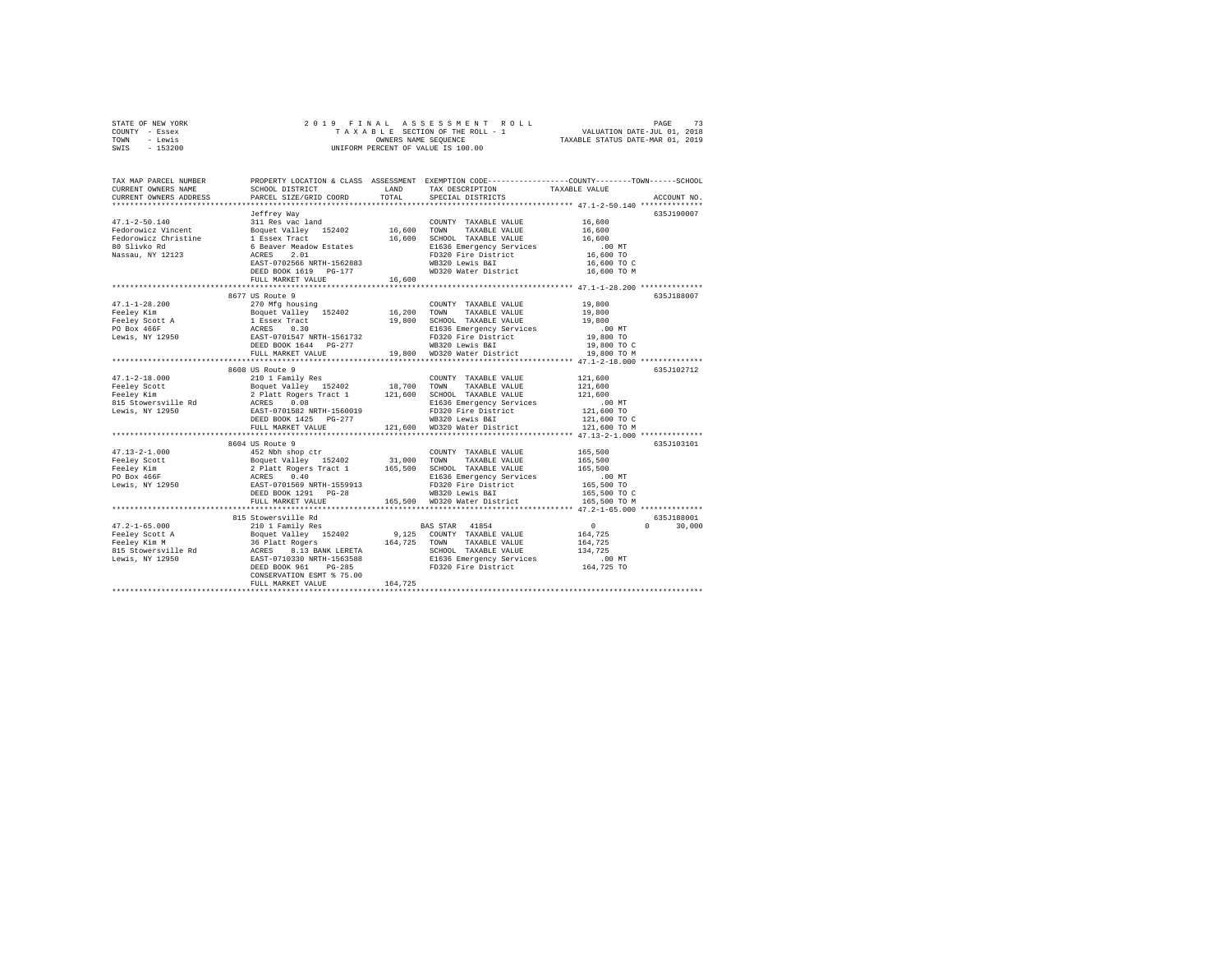| STATE OF NEW YORK | 2019 FINAL ASSESSMENT ROLL         | 73<br>PAGE                       |
|-------------------|------------------------------------|----------------------------------|
| COUNTY - Essex    | TAXABLE SECTION OF THE ROLL - 1    | VALUATION DATE-JUL 01, 2018      |
| TOWN<br>- Lewis   | OWNERS NAME SEOUENCE               | TAXABLE STATUS DATE-MAR 01, 2019 |
| $-153200$<br>SWIS | UNIFORM PERCENT OF VALUE IS 100.00 |                                  |

| TAX MAP PARCEL NUMBER<br>CURRENT OWNERS NAME<br>CURRENT OWNERS ADDRESS | SCHOOL DISTRICT<br>PARCEL SIZE/GRID COORD                                                                                                              | LAND<br>TOTAL. | PROPERTY LOCATION & CLASS ASSESSMENT EXEMPTION CODE----------------COUNTY-------TOWN-----SCHOOL<br>TAX DESCRIPTION<br>SPECIAL DISTRICTS | TAXABLE VALUE                                        | ACCOUNT NO.        |
|------------------------------------------------------------------------|--------------------------------------------------------------------------------------------------------------------------------------------------------|----------------|-----------------------------------------------------------------------------------------------------------------------------------------|------------------------------------------------------|--------------------|
|                                                                        |                                                                                                                                                        |                |                                                                                                                                         |                                                      |                    |
|                                                                        | Jeffrey Way                                                                                                                                            |                |                                                                                                                                         |                                                      | 635J190007         |
| $47.1 - 2 - 50.140$                                                    | 311 Res vac land                                                                                                                                       |                | COUNTY TAXABLE VALUE                                                                                                                    | 16,600                                               |                    |
| Fedorowicz Vincent                                                     | Boquet Valley 152402                                                                                                                                   | 16,600         | TOWN<br>TAXABLE VALUE                                                                                                                   | 16,600                                               |                    |
| Fedorowicz Christine                                                   | 1 Essex Tract                                                                                                                                          |                | 16,600 SCHOOL TAXABLE VALUE                                                                                                             | 16,600                                               |                    |
| 80 Slivko Rd                                                           | 6 Beaver Meadow Estates                                                                                                                                |                | E1636 Emergency Services                                                                                                                | $.00$ MT                                             |                    |
| Nassau, NY 12123                                                       | 2.01<br>ACRES                                                                                                                                          |                | FD320 Fire District                                                                                                                     | 16,600 TO                                            |                    |
|                                                                        | EAST-0702566 NRTH-1562883                                                                                                                              |                | WB320 Lewis B&I                                                                                                                         | 16,600 TO C                                          |                    |
|                                                                        | DEED BOOK 1619 PG-177                                                                                                                                  |                | WD320 Water District                                                                                                                    | 16,600 TO M                                          |                    |
|                                                                        | FULL MARKET VALUE<br>*************************                                                                                                         | 16,600         | ********************************* 47.1-1-28.200 ***************                                                                         |                                                      |                    |
|                                                                        |                                                                                                                                                        |                |                                                                                                                                         |                                                      |                    |
| $47.1 - 1 - 28.200$                                                    | 8677 US Route 9                                                                                                                                        |                |                                                                                                                                         |                                                      | 635J188007         |
|                                                                        | 270 Mfg housing                                                                                                                                        |                | COUNTY TAXABLE VALUE                                                                                                                    | 19,800                                               |                    |
| Feelev Kim                                                             | Boquet Valley 152402                                                                                                                                   | 16,200         | TAXABLE VALUE<br>TOWN                                                                                                                   | 19,800                                               |                    |
| Feeley Scott A                                                         | 1 Essex Tract<br>ACRES 0.30<br>EAST-0701547 NRTH-1561732                                                                                               | 19,800         | SCHOOL TAXABLE VALUE                                                                                                                    | 19,800                                               |                    |
| PO Box 466F                                                            |                                                                                                                                                        |                | E1636 Emergency Services<br>FD320 Fire District                                                                                         | $.00$ MT<br>19,800 TO                                |                    |
| Lewis, NY 12950                                                        |                                                                                                                                                        |                | WB320 Lewis B&I                                                                                                                         | 19,800 TO C                                          |                    |
|                                                                        | FULL MARKET VALUE                                                                                                                                      |                | 19,800 WD320 Water District                                                                                                             | 19,800 TO M                                          |                    |
|                                                                        |                                                                                                                                                        |                |                                                                                                                                         |                                                      |                    |
|                                                                        | 8608 US Route 9                                                                                                                                        |                |                                                                                                                                         |                                                      | 635J102712         |
| $47.1 - 2 - 18.000$                                                    | 210 1 Family Res                                                                                                                                       |                | COUNTY TAXABLE VALUE                                                                                                                    | 121,600                                              |                    |
| Feeley Scott                                                           |                                                                                                                                                        |                |                                                                                                                                         | 121,600                                              |                    |
| Feeley Kim                                                             | Boquet Valley 152402 18,700 TOWN TAXABLE VALUE<br>2 Platt Rogers Tract 1 121,600 SCHOOL TAXABLE VALUE<br>2 ACRES 0.08 2008 2008 21636 Emergency Servic |                |                                                                                                                                         | 121,600                                              |                    |
| 815 Stowersville Rd                                                    |                                                                                                                                                        |                | E1636 Emergency Services                                                                                                                | .00 MT                                               |                    |
| Lewis, NY 12950                                                        | EAST-0701582 NRTH-1560019                                                                                                                              |                | FD320 Fire District                                                                                                                     | 121,600 TO                                           |                    |
|                                                                        | DEED BOOK 1425 PG-277                                                                                                                                  |                | WB320 Lewis B&I                                                                                                                         | 121,600 TO C                                         |                    |
|                                                                        | FULL MARKET VALUE                                                                                                                                      | 121,600        | WD320 Water District                                                                                                                    | 121,600 TO M                                         |                    |
|                                                                        |                                                                                                                                                        |                |                                                                                                                                         | *********************** 47.13-2-1.000 ************** |                    |
|                                                                        | 8604 US Route 9                                                                                                                                        |                |                                                                                                                                         |                                                      | 635J103101         |
| $47.13 - 2 - 1.000$                                                    | 452 Nbh shop ctr                                                                                                                                       |                | COUNTY TAXABLE VALUE                                                                                                                    | 165,500                                              |                    |
| Feeley Scott                                                           |                                                                                                                                                        |                |                                                                                                                                         | 165,500                                              |                    |
| Feeley Kim                                                             |                                                                                                                                                        |                |                                                                                                                                         | 165,500                                              |                    |
| PO Box 466F                                                            | Boquet Valley 152402 11,000 TOWN TAXABLE VALUE<br>2 Platt Rogers Tract 1 165,500 SCHOOL TAXABLE VALUE<br>ACRES 0.40 ACRES 2010 E1636 Emergency Service |                | E1636 Emergency Services                                                                                                                | $.00$ MT                                             |                    |
| Lewis, NY 12950                                                        | EAST-0701569 NRTH-1559913                                                                                                                              |                | FD320 Fire District                                                                                                                     | 165,500 TO                                           |                    |
|                                                                        | DEED BOOK 1291 PG-28                                                                                                                                   |                | WB320 Lewis B&I                                                                                                                         | 165,500 TO C                                         |                    |
|                                                                        | FULL MARKET VALUE                                                                                                                                      |                | 165.500 WD320 Water District                                                                                                            | 165,500 TO M                                         |                    |
|                                                                        |                                                                                                                                                        |                |                                                                                                                                         |                                                      |                    |
|                                                                        | 815 Stowersville Rd                                                                                                                                    |                |                                                                                                                                         |                                                      | 635J188001         |
| $47.2 - 1 - 65.000$                                                    | 210 1 Family Res                                                                                                                                       |                | BAS STAR 41854                                                                                                                          | $\sim$ 0                                             | $\Omega$<br>30,000 |
| Feeley Scott A                                                         | Boquet Valley 152402<br>36 Platt Rogers                                                                                                                |                | 9,125 COUNTY TAXABLE VALUE                                                                                                              | 164,725                                              |                    |
| Feeley Kim M                                                           |                                                                                                                                                        | 164,725 TOWN   | TAXABLE VALUE                                                                                                                           | 164,725                                              |                    |
| 815 Stowersville Rd                                                    | ACRES 8.13 BANK LERETA<br>EAST-0710330 NRTH-1563588                                                                                                    |                | SCHOOL TAXABLE VALUE                                                                                                                    | 134,725                                              |                    |
| Lewis, NY 12950                                                        |                                                                                                                                                        |                | E1636 Emergency Services                                                                                                                | $.00$ MT                                             |                    |
|                                                                        | DEED BOOK 961 PG-285                                                                                                                                   |                | FD320 Fire District                                                                                                                     | 164,725 TO                                           |                    |
|                                                                        | CONSERVATION ESMT % 75.00                                                                                                                              |                |                                                                                                                                         |                                                      |                    |
|                                                                        | FULL MARKET VALUE                                                                                                                                      | 164,725        |                                                                                                                                         |                                                      |                    |
|                                                                        |                                                                                                                                                        |                |                                                                                                                                         |                                                      |                    |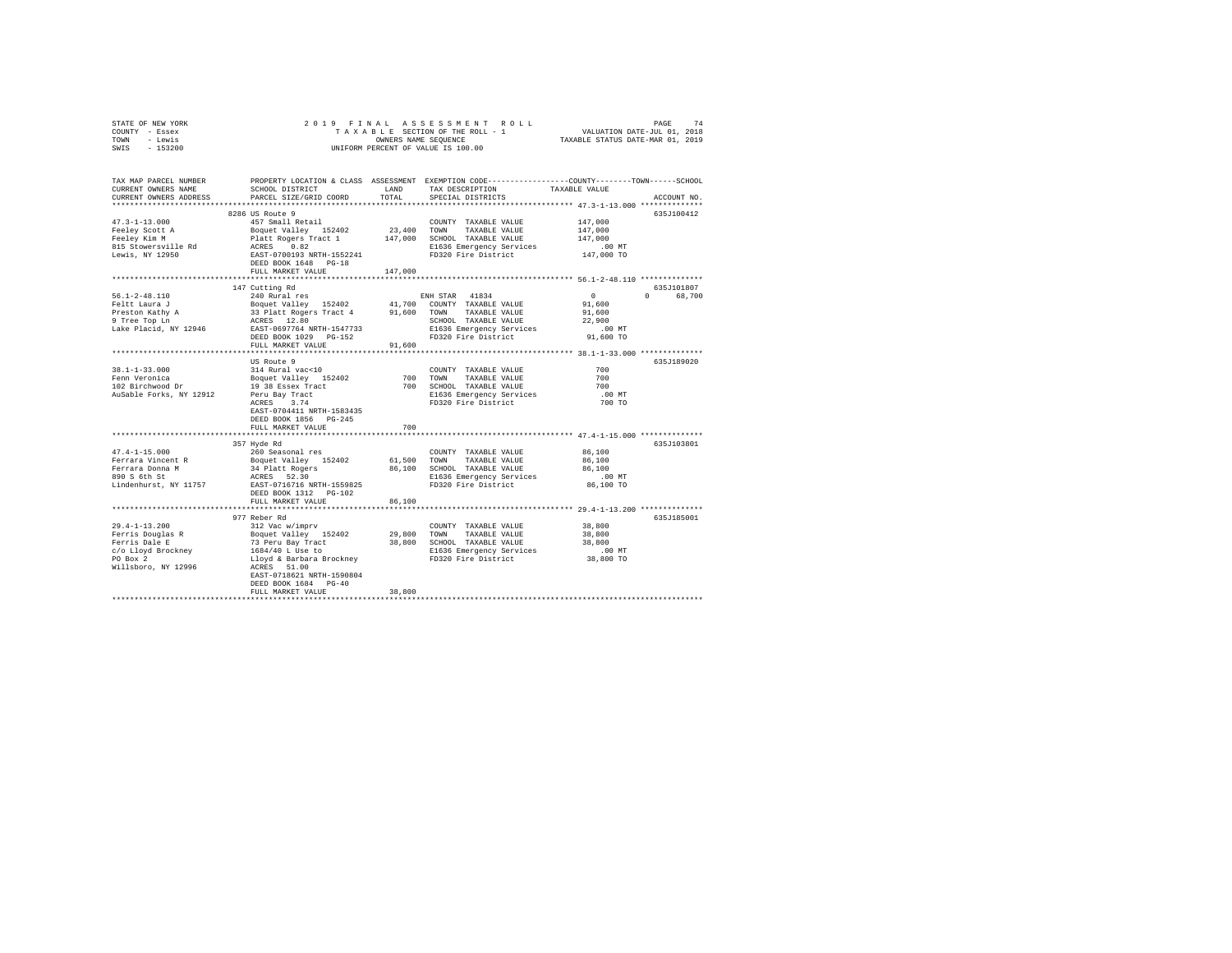| STATE OF NEW YORK               |                                                                                                                                                                         |         |                                                 |                                                                                                                       |  |
|---------------------------------|-------------------------------------------------------------------------------------------------------------------------------------------------------------------------|---------|-------------------------------------------------|-----------------------------------------------------------------------------------------------------------------------|--|
| COUNTY - Essex                  |                                                                                                                                                                         |         |                                                 |                                                                                                                       |  |
| TOWN - Lewis                    |                                                                                                                                                                         |         |                                                 |                                                                                                                       |  |
| SWIS - 153200                   |                                                                                                                                                                         |         |                                                 |                                                                                                                       |  |
|                                 |                                                                                                                                                                         |         |                                                 |                                                                                                                       |  |
|                                 |                                                                                                                                                                         |         |                                                 |                                                                                                                       |  |
|                                 |                                                                                                                                                                         |         |                                                 |                                                                                                                       |  |
|                                 |                                                                                                                                                                         |         |                                                 | TAX MAP PARCEL NUMBER PROPERTY LOCATION & CLASS ASSESSMENT EXEMPTION CODE---------------COUNTY-------TOWN------SCHOOL |  |
| CURRENT OWNERS NAME             | SCHOOL DISTRICT                                                                                                                                                         | LAND    | TAX DESCRIPTION                                 | TAXABLE VALUE                                                                                                         |  |
| CURRENT OWNERS ADDRESS          | PARCEL SIZE/GRID COORD                                                                                                                                                  | TOTAL   | SPECIAL DISTRICTS                               | ACCOUNT NO.                                                                                                           |  |
|                                 |                                                                                                                                                                         |         |                                                 |                                                                                                                       |  |
|                                 | 8286 US Route 9                                                                                                                                                         |         |                                                 | 635J100412                                                                                                            |  |
| $47.3 - 1 - 13.000$             | 457 Small Retail                                                                                                                                                        |         | COUNTY TAXABLE VALUE                            | 147,000                                                                                                               |  |
|                                 |                                                                                                                                                                         |         |                                                 | 147,000                                                                                                               |  |
| Feeley Scott A<br>Feeley Kim M  |                                                                                                                                                                         |         |                                                 | 147,000                                                                                                               |  |
| 815 Stowersville Rd             |                                                                                                                                                                         |         |                                                 |                                                                                                                       |  |
| Lewis, NY 12950                 |                                                                                                                                                                         |         | FD320 Fire District                             | .00 MT.<br>147,000 TO                                                                                                 |  |
|                                 | DEED BOOK 1648 PG-18                                                                                                                                                    |         |                                                 |                                                                                                                       |  |
|                                 | FULL MARKET VALUE                                                                                                                                                       | 147,000 |                                                 |                                                                                                                       |  |
|                                 |                                                                                                                                                                         |         |                                                 |                                                                                                                       |  |
|                                 | 147 Cutting Rd                                                                                                                                                          |         |                                                 | 635J101807                                                                                                            |  |
| 56.1-2-48.110                   | 240 Rural res                                                                                                                                                           |         | ENH STAR 41834                                  | $\sim$ 0<br>0 68,700                                                                                                  |  |
|                                 |                                                                                                                                                                         |         |                                                 |                                                                                                                       |  |
|                                 |                                                                                                                                                                         |         |                                                 |                                                                                                                       |  |
|                                 |                                                                                                                                                                         |         |                                                 |                                                                                                                       |  |
|                                 |                                                                                                                                                                         |         |                                                 |                                                                                                                       |  |
|                                 |                                                                                                                                                                         |         |                                                 |                                                                                                                       |  |
|                                 |                                                                                                                                                                         |         |                                                 |                                                                                                                       |  |
|                                 | FULL MARKET VALUE                                                                                                                                                       | 91,600  |                                                 |                                                                                                                       |  |
|                                 |                                                                                                                                                                         |         |                                                 |                                                                                                                       |  |
|                                 | US Route 9                                                                                                                                                              |         |                                                 | 635J189020                                                                                                            |  |
| $38.1 - 1 - 33.000$             | 314 Rural vac<10                                                                                                                                                        |         | COUNTY TAXABLE VALUE                            | $700$<br>$700$                                                                                                        |  |
|                                 |                                                                                                                                                                         |         |                                                 |                                                                                                                       |  |
|                                 |                                                                                                                                                                         |         |                                                 | 700                                                                                                                   |  |
|                                 |                                                                                                                                                                         |         |                                                 | .00 MT                                                                                                                |  |
|                                 |                                                                                                                                                                         |         |                                                 | 700 TO                                                                                                                |  |
|                                 | EAST-0704411 NRTH-1583435                                                                                                                                               |         |                                                 |                                                                                                                       |  |
|                                 | DEED BOOK 1856 PG-245                                                                                                                                                   |         |                                                 |                                                                                                                       |  |
|                                 | FULL MARKET VALUE                                                                                                                                                       | 700     |                                                 |                                                                                                                       |  |
|                                 |                                                                                                                                                                         |         |                                                 |                                                                                                                       |  |
|                                 | 357 Hyde Rd                                                                                                                                                             |         |                                                 | 635J103801                                                                                                            |  |
| $47.4 - 1 - 15.000$             |                                                                                                                                                                         |         |                                                 | 86,100                                                                                                                |  |
| Ferrara Vincent R               |                                                                                                                                                                         |         |                                                 | 86,100                                                                                                                |  |
|                                 |                                                                                                                                                                         |         |                                                 |                                                                                                                       |  |
| Ferrara Donna M<br>890 S 6th St | 260 Seasonal res 152402 (COUNTY TAXABLE VALUE)<br>Boguet Valley 152402 (61,500 TOWN TAXABLE VALUE)<br>24 Platt Eogers (66,100 SCHOOL TAXABLE VALUE)<br>2008 Platt Color |         |                                                 | 86,100                                                                                                                |  |
|                                 | ACRES 52.30                                                                                                                                                             |         | E1636 Emergency Services<br>FD320 Fire District | $.00$ MT                                                                                                              |  |
|                                 | Lindenhurst, NY 11757 EAST-0716716 NRTH-1559825                                                                                                                         |         |                                                 | 86,100 TO                                                                                                             |  |
|                                 |                                                                                                                                                                         |         |                                                 |                                                                                                                       |  |
|                                 | FULL MARKET VALUE                                                                                                                                                       | 86,100  |                                                 |                                                                                                                       |  |
|                                 | **************************                                                                                                                                              |         |                                                 | ************************ 29.4-1-13.200 **************                                                                 |  |
|                                 | 977 Reber Rd                                                                                                                                                            |         |                                                 | 635J185001                                                                                                            |  |
| $29.4 - 1 - 13.200$             | 312 Vac w/imprv                                                                                                                                                         |         | COUNTY TAXABLE VALUE                            | 38,800                                                                                                                |  |
|                                 |                                                                                                                                                                         |         |                                                 | 38,800                                                                                                                |  |
|                                 |                                                                                                                                                                         |         |                                                 | 38,800                                                                                                                |  |
|                                 |                                                                                                                                                                         |         |                                                 |                                                                                                                       |  |
|                                 |                                                                                                                                                                         |         |                                                 | 00 MT.<br>38,800 TO                                                                                                   |  |
|                                 |                                                                                                                                                                         |         |                                                 |                                                                                                                       |  |
|                                 | EAST-0718621 NRTH-1590804                                                                                                                                               |         |                                                 |                                                                                                                       |  |
|                                 | DEED BOOK 1684 PG-40                                                                                                                                                    |         |                                                 |                                                                                                                       |  |
|                                 | FULL MARKET VALUE                                                                                                                                                       | 38,800  |                                                 |                                                                                                                       |  |
|                                 |                                                                                                                                                                         |         |                                                 |                                                                                                                       |  |
|                                 |                                                                                                                                                                         |         |                                                 |                                                                                                                       |  |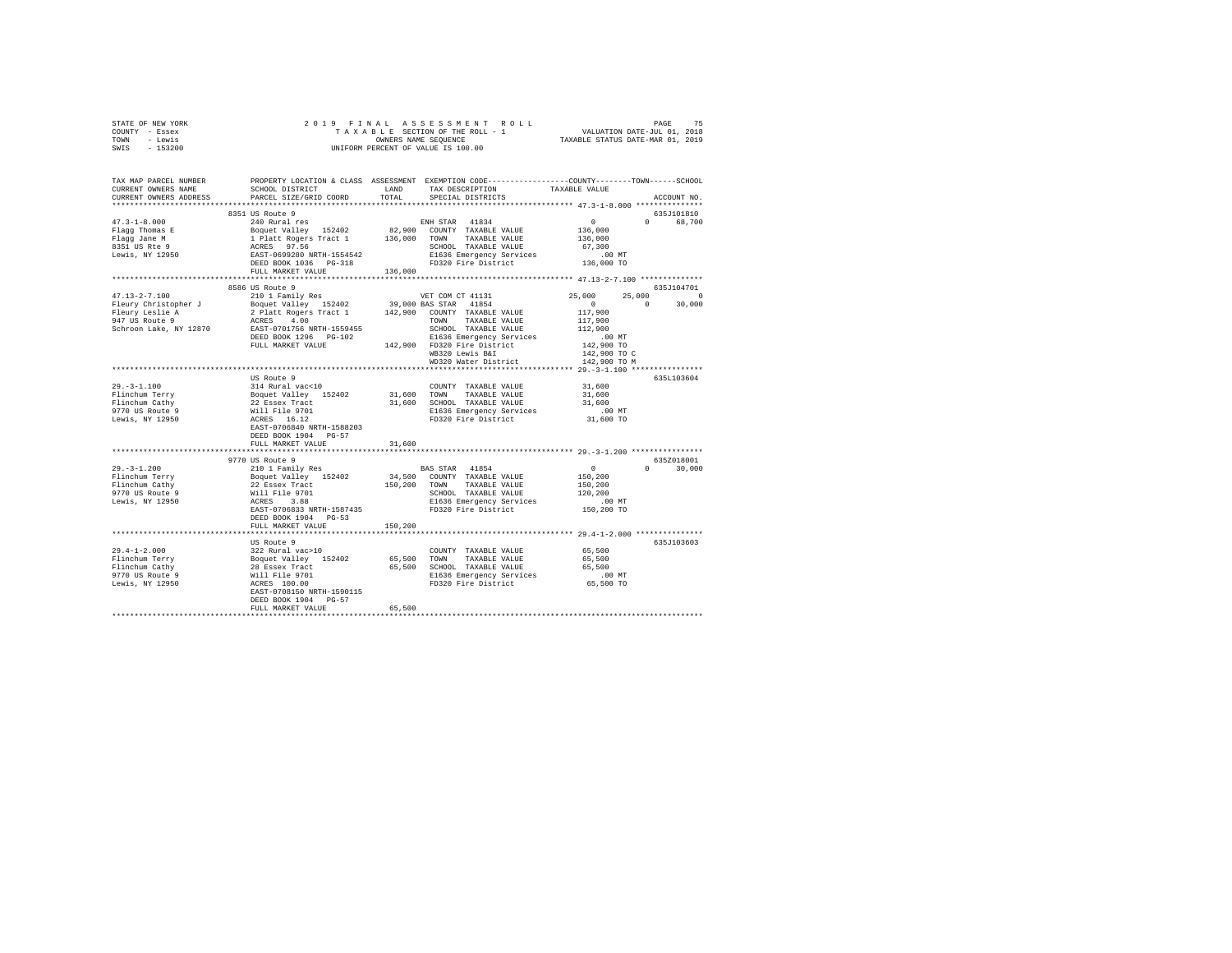| STATE OF NEW YORK                                                                                                                                                                                                                                                                                                                                                                                                                          |                              |         |                                                    |                      |               |
|--------------------------------------------------------------------------------------------------------------------------------------------------------------------------------------------------------------------------------------------------------------------------------------------------------------------------------------------------------------------------------------------------------------------------------------------|------------------------------|---------|----------------------------------------------------|----------------------|---------------|
| COUNTY - Essex                                                                                                                                                                                                                                                                                                                                                                                                                             |                              |         |                                                    |                      |               |
| TOWN - Lewis                                                                                                                                                                                                                                                                                                                                                                                                                               |                              |         |                                                    |                      |               |
| SWIS - 153200                                                                                                                                                                                                                                                                                                                                                                                                                              |                              |         |                                                    |                      |               |
|                                                                                                                                                                                                                                                                                                                                                                                                                                            |                              |         |                                                    |                      |               |
|                                                                                                                                                                                                                                                                                                                                                                                                                                            |                              |         |                                                    |                      |               |
| TAX MAP PARCEL NUMBER PROPERTY LOCATION & CLASS ASSESSMENT EXEMPTION CODE---------------COUNTY-------TOWN-----SCHOOL                                                                                                                                                                                                                                                                                                                       |                              |         |                                                    |                      |               |
| CURRENT OWNERS NAME                                                                                                                                                                                                                                                                                                                                                                                                                        |                              |         | SCHOOL DISTRICT LAND TAX DESCRIPTION TAXABLE VALUE |                      |               |
| CURRENT OWNERS ADDRESS                                                                                                                                                                                                                                                                                                                                                                                                                     | PARCEL SIZE/GRID COORD TOTAL |         | SPECIAL DISTRICTS                                  |                      | ACCOUNT NO.   |
|                                                                                                                                                                                                                                                                                                                                                                                                                                            |                              |         |                                                    |                      |               |
|                                                                                                                                                                                                                                                                                                                                                                                                                                            | 8351 US Route 9              |         |                                                    |                      | 635J101810    |
|                                                                                                                                                                                                                                                                                                                                                                                                                                            |                              |         |                                                    |                      | 0 68,700      |
|                                                                                                                                                                                                                                                                                                                                                                                                                                            |                              |         |                                                    |                      |               |
|                                                                                                                                                                                                                                                                                                                                                                                                                                            |                              |         |                                                    |                      |               |
|                                                                                                                                                                                                                                                                                                                                                                                                                                            |                              |         |                                                    |                      |               |
|                                                                                                                                                                                                                                                                                                                                                                                                                                            |                              |         |                                                    |                      |               |
|                                                                                                                                                                                                                                                                                                                                                                                                                                            |                              |         |                                                    |                      |               |
|                                                                                                                                                                                                                                                                                                                                                                                                                                            |                              |         |                                                    |                      |               |
| $\begin{tabular}{lcccc} $\tau_1,\;.\;,-\;.\;-\;\cdots$ & $\color{red}000$ & $\color{red}000$ & $\color{red}000$ & $\color{red}000$ & $\color{red}000$ & $\color{red}000$ & $\color{red}000$ & $\color{red}000$ & $\color{red}000$ & $\color{red}000$ & $\color{red}000$ & $\color{red}000$ & $\color{red}000$ & $\color{red}000$ & $\color{red}000$ & $\color{red}000$ & $\color{red}000$ & $\color{red}000$ & $\color{red}000$ & $\color$ |                              |         |                                                    |                      |               |
| 47.13-2-7.100<br>47.13-2-7.100<br>47.13-2-7.100<br>Elevix Christopher J<br>29.000<br>29.000<br>29.000<br>29.000<br>29.000<br>29.000<br>29.000<br>29.000<br>29.000<br>29.000<br>29.000<br>29.000<br>29.000<br>29.000<br>29.000<br>29.000<br>29.000                                                                                                                                                                                          |                              |         |                                                    |                      |               |
|                                                                                                                                                                                                                                                                                                                                                                                                                                            |                              |         |                                                    |                      |               |
|                                                                                                                                                                                                                                                                                                                                                                                                                                            |                              |         |                                                    |                      |               |
|                                                                                                                                                                                                                                                                                                                                                                                                                                            |                              |         |                                                    |                      |               |
|                                                                                                                                                                                                                                                                                                                                                                                                                                            |                              |         |                                                    |                      |               |
|                                                                                                                                                                                                                                                                                                                                                                                                                                            |                              |         |                                                    |                      |               |
|                                                                                                                                                                                                                                                                                                                                                                                                                                            |                              |         |                                                    |                      |               |
|                                                                                                                                                                                                                                                                                                                                                                                                                                            |                              |         |                                                    |                      |               |
|                                                                                                                                                                                                                                                                                                                                                                                                                                            |                              |         |                                                    |                      |               |
|                                                                                                                                                                                                                                                                                                                                                                                                                                            |                              |         |                                                    |                      |               |
|                                                                                                                                                                                                                                                                                                                                                                                                                                            |                              |         | WD320 Water District 142,900 TO M                  |                      |               |
|                                                                                                                                                                                                                                                                                                                                                                                                                                            |                              |         |                                                    |                      |               |
|                                                                                                                                                                                                                                                                                                                                                                                                                                            | US Route 9                   |         |                                                    |                      | 635L103604    |
|                                                                                                                                                                                                                                                                                                                                                                                                                                            |                              |         |                                                    | 31,600               |               |
|                                                                                                                                                                                                                                                                                                                                                                                                                                            |                              |         |                                                    | 31,600               |               |
|                                                                                                                                                                                                                                                                                                                                                                                                                                            |                              |         |                                                    | 31,600               |               |
|                                                                                                                                                                                                                                                                                                                                                                                                                                            |                              |         |                                                    |                      |               |
|                                                                                                                                                                                                                                                                                                                                                                                                                                            |                              |         |                                                    | .00 MT.<br>31,600 TO |               |
|                                                                                                                                                                                                                                                                                                                                                                                                                                            | EAST-0706840 NRTH-1588203    |         |                                                    |                      |               |
|                                                                                                                                                                                                                                                                                                                                                                                                                                            | DEED BOOK 1904 PG-57         |         |                                                    |                      |               |
|                                                                                                                                                                                                                                                                                                                                                                                                                                            | FULL MARKET VALUE            | 31,600  |                                                    |                      |               |
|                                                                                                                                                                                                                                                                                                                                                                                                                                            |                              |         |                                                    |                      |               |
|                                                                                                                                                                                                                                                                                                                                                                                                                                            | 9770 US Route 9              |         |                                                    |                      | 635Z018001    |
|                                                                                                                                                                                                                                                                                                                                                                                                                                            |                              |         |                                                    |                      | $0 \t 30,000$ |
|                                                                                                                                                                                                                                                                                                                                                                                                                                            |                              |         |                                                    |                      |               |
|                                                                                                                                                                                                                                                                                                                                                                                                                                            |                              |         |                                                    |                      |               |
|                                                                                                                                                                                                                                                                                                                                                                                                                                            |                              |         |                                                    |                      |               |
|                                                                                                                                                                                                                                                                                                                                                                                                                                            |                              |         |                                                    |                      |               |
|                                                                                                                                                                                                                                                                                                                                                                                                                                            |                              |         |                                                    |                      |               |
|                                                                                                                                                                                                                                                                                                                                                                                                                                            |                              |         |                                                    |                      |               |
|                                                                                                                                                                                                                                                                                                                                                                                                                                            | FULL MARKET VALUE            | 150,200 |                                                    |                      |               |
|                                                                                                                                                                                                                                                                                                                                                                                                                                            |                              |         |                                                    |                      |               |
|                                                                                                                                                                                                                                                                                                                                                                                                                                            | US Route 9                   |         |                                                    |                      | 635J103603    |
|                                                                                                                                                                                                                                                                                                                                                                                                                                            |                              |         |                                                    |                      |               |
|                                                                                                                                                                                                                                                                                                                                                                                                                                            |                              |         |                                                    |                      |               |
|                                                                                                                                                                                                                                                                                                                                                                                                                                            |                              |         |                                                    |                      |               |
|                                                                                                                                                                                                                                                                                                                                                                                                                                            |                              |         |                                                    |                      |               |
|                                                                                                                                                                                                                                                                                                                                                                                                                                            |                              |         |                                                    |                      |               |
|                                                                                                                                                                                                                                                                                                                                                                                                                                            |                              |         |                                                    |                      |               |
|                                                                                                                                                                                                                                                                                                                                                                                                                                            |                              |         |                                                    |                      |               |
|                                                                                                                                                                                                                                                                                                                                                                                                                                            | DEED BOOK 1904 PG-57         |         |                                                    |                      |               |
|                                                                                                                                                                                                                                                                                                                                                                                                                                            | FULL MARKET VALUE            | 65,500  |                                                    |                      |               |
|                                                                                                                                                                                                                                                                                                                                                                                                                                            |                              |         |                                                    |                      |               |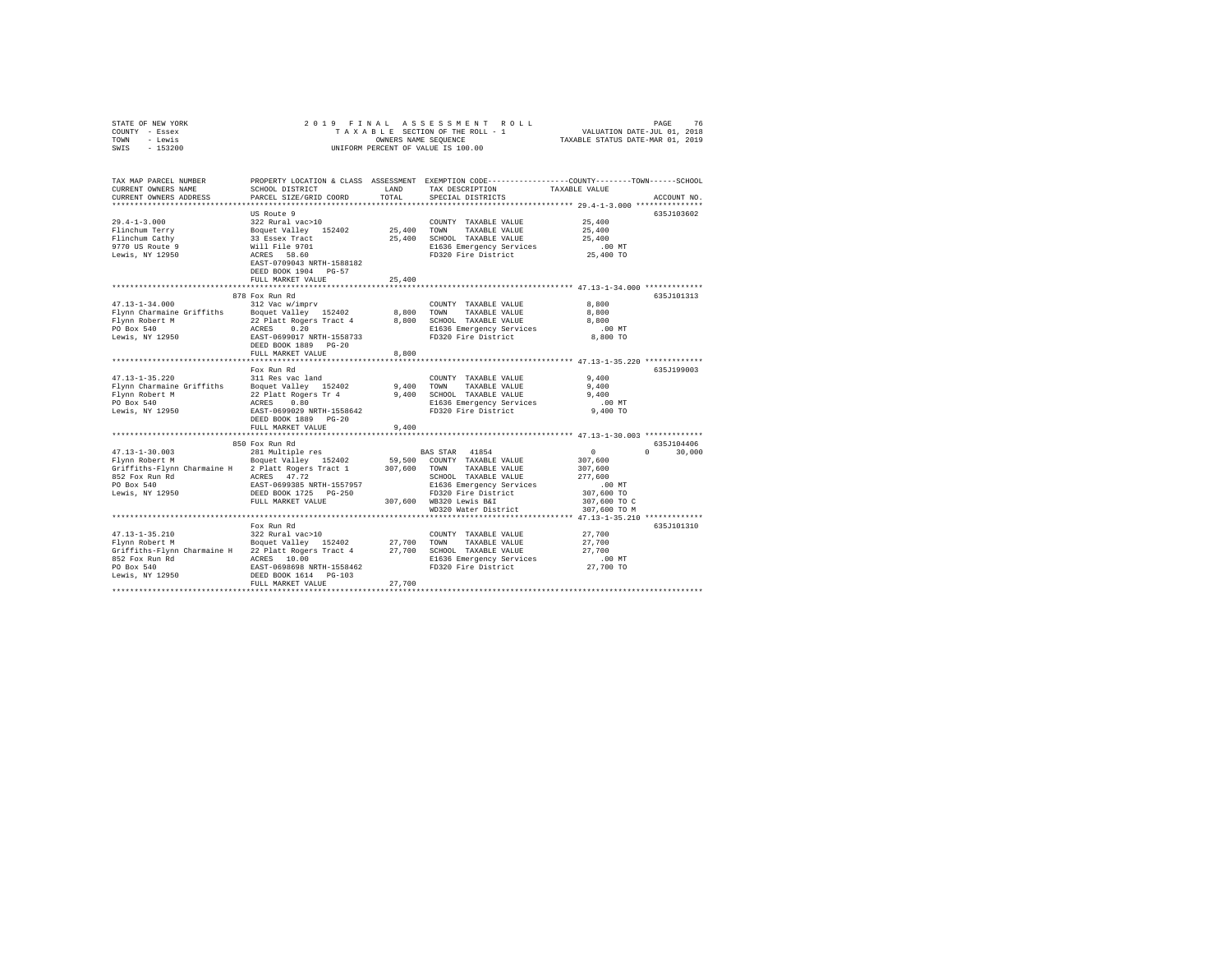| STATE OF NEW YORK<br>COUNTY - Essex<br>TOWN<br>- Lewis                                                         | 2019 FINAL<br>ASSESSMENT<br>ROLL<br>TAXABLE SECTION OF THE ROLL - 1<br>OWNERS NAME SEQUENCE |         |                                                                                                 | PAGE<br>76<br>VALUATION DATE-JUL 01, 2018<br>TAXABLE STATUS DATE-MAR 01, 2019 |             |
|----------------------------------------------------------------------------------------------------------------|---------------------------------------------------------------------------------------------|---------|-------------------------------------------------------------------------------------------------|-------------------------------------------------------------------------------|-------------|
| $-153200$<br>SWIS                                                                                              |                                                                                             |         | UNIFORM PERCENT OF VALUE IS 100.00                                                              |                                                                               |             |
| TAX MAP PARCEL NUMBER                                                                                          |                                                                                             |         | PROPERTY LOCATION & CLASS ASSESSMENT EXEMPTION CODE---------------COUNTY-------TOWN------SCHOOL |                                                                               |             |
| CURRENT OWNERS NAME                                                                                            | SCHOOL DISTRICT                                                                             | LAND    | TAX DESCRIPTION                                                                                 | TAXABLE VALUE                                                                 |             |
| CURRENT OWNERS ADDRESS<br>***********************                                                              | PARCEL SIZE/GRID COORD                                                                      | TOTAL   | SPECIAL DISTRICTS                                                                               |                                                                               | ACCOUNT NO. |
|                                                                                                                | US Route 9                                                                                  |         |                                                                                                 |                                                                               | 635J103602  |
| $29.4 - 1 - 3.000$                                                                                             | 322 Rural vac>10                                                                            |         | COUNTY TAXABLE VALUE                                                                            | 25,400                                                                        |             |
| Flinchum Terry                                                                                                 | Boquet Valley 152402                                                                        | 25,400  | TOWN<br>TAXABLE VALUE                                                                           | 25,400                                                                        |             |
| Flinchum Cathy                                                                                                 | 33 Essex Tract                                                                              | 25,400  | SCHOOL TAXABLE VALUE                                                                            | 25,400                                                                        |             |
| 9770 US Route 9                                                                                                | Will File 9701                                                                              |         | E1636 Emergency Services                                                                        | .00MT                                                                         |             |
| Lewis, NY 12950                                                                                                | ACRES 58.60                                                                                 |         | FD320 Fire District                                                                             | 25,400 TO                                                                     |             |
|                                                                                                                | EAST-0709043 NRTH-1588182                                                                   |         |                                                                                                 |                                                                               |             |
|                                                                                                                | DEED BOOK 1904 PG-57                                                                        |         |                                                                                                 |                                                                               |             |
|                                                                                                                | FULL MARKET VALUE                                                                           | 25,400  |                                                                                                 | ********************************** 47.13-1-34.000 *************               |             |
|                                                                                                                | 878 Fox Run Rd                                                                              |         |                                                                                                 |                                                                               | 635J101313  |
| $47.13 - 1 - 34.000$                                                                                           | 312 Vac w/imprv                                                                             |         | COUNTY TAXABLE VALUE                                                                            | 8,800                                                                         |             |
| Flynn Charmaine Griffiths                                                                                      | Boquet Valley 152402                                                                        | 8,800   | TOWN<br>TAXABLE VALUE                                                                           | 8,800                                                                         |             |
| Flynn Robert M                                                                                                 | 22 Platt Rogers Tract 4                                                                     | 8,800   | SCHOOL TAXABLE VALUE                                                                            | 8,800                                                                         |             |
| PO Box 540                                                                                                     | ACRES 0.20                                                                                  |         | E1636 Emergency Services                                                                        | $.00$ MT                                                                      |             |
| Lewis, NY 12950                                                                                                | EAST-0699017 NRTH-1558733                                                                   |         | FD320 Fire District                                                                             | 8,800 TO                                                                      |             |
|                                                                                                                | DEED BOOK 1889 PG-20                                                                        |         |                                                                                                 |                                                                               |             |
|                                                                                                                | FULL MARKET VALUE                                                                           | 8,800   |                                                                                                 | ********************************** 47.13-1-35.220 *************               |             |
|                                                                                                                | Fox Run Rd                                                                                  |         |                                                                                                 |                                                                               | 635J199003  |
| $47.13 - 1 - 35.220$                                                                                           | 311 Res vac land                                                                            |         | COUNTY TAXABLE VALUE                                                                            | 9,400                                                                         |             |
|                                                                                                                |                                                                                             | 9,400   | TOWN<br>TAXABLE VALUE                                                                           | 9.400                                                                         |             |
| Flynn Charmaine Griffiths Boquet Valley 152402<br>Flynn Robert M 22 Platt Rogers Tr 4<br>PO Box 540 ACRES 0.80 |                                                                                             |         | 9,400 SCHOOL TAXABLE VALUE                                                                      | 9.400                                                                         |             |
|                                                                                                                |                                                                                             |         | E1636 Emergency Services                                                                        | $.00$ MT                                                                      |             |
| Lewis, NY 12950                                                                                                | EAST-0699029 NRTH-1558642                                                                   |         | FD320 Fire District                                                                             | 9,400 TO                                                                      |             |
|                                                                                                                | DEED BOOK 1889 PG-20                                                                        |         |                                                                                                 |                                                                               |             |
|                                                                                                                | FULL MARKET VALUE                                                                           | 9.400   |                                                                                                 | ******************** 47.13-1-30.003 *************                             |             |
|                                                                                                                | 850 Fox Run Rd                                                                              |         |                                                                                                 |                                                                               | 635J104406  |
| $47.13 - 1 - 30.003$                                                                                           | 281 Multiple res                                                                            |         | BAS STAR 41854                                                                                  | $\circ$<br>$\mathbf{r}$                                                       | 30,000      |
| Flynn Robert M                                                                                                 | Boquet Valley 152402                                                                        |         | 59,500 COUNTY TAXABLE VALUE                                                                     | 307,600                                                                       |             |
| Griffiths-Flynn Charmaine H 2 Platt Rogers Tract 1                                                             |                                                                                             | 307,600 | TAXABLE VALUE<br>TOWN                                                                           | 307,600                                                                       |             |
| 852 Fox Run Rd ACRES 47.72                                                                                     |                                                                                             |         | SCHOOL TAXABLE VALUE                                                                            | 277,600                                                                       |             |
| PO Box 540                                                                                                     | EAST-0699385 NRTH-1557957                                                                   |         | E1636 Emergency Services                                                                        | $.00$ MT                                                                      |             |
| Lewis, NY 12950                                                                                                | DEED BOOK 1725 PG-250                                                                       |         | FD320 Fire District                                                                             | 307,600 TO                                                                    |             |
|                                                                                                                | FULL MARKET VALUE                                                                           |         | 307,600 WB320 Lewis B&I                                                                         | 307,600 TO C                                                                  |             |
|                                                                                                                |                                                                                             |         | WD320 Water District                                                                            | 307,600 TO M                                                                  |             |
|                                                                                                                | Fox Run Rd                                                                                  |         |                                                                                                 |                                                                               | 635J101310  |
| 47.13-1-35.210                                                                                                 | 322 Rural vac>10                                                                            |         | COUNTY TAXABLE VALUE                                                                            | 27,700                                                                        |             |
| Flynn Robert M                                                                                                 | Boquet Valley 152402                                                                        | 27,700  | TOWN<br>TAXABLE VALUE                                                                           | 27,700                                                                        |             |
| Griffiths-Flynn Charmaine H 22 Platt Rogers Tract 4                                                            |                                                                                             |         | 27,700 SCHOOL TAXABLE VALUE                                                                     | 27,700                                                                        |             |
| 852 Fox Run Rd ACRES 10.00                                                                                     |                                                                                             |         | E1636 Emergency Services                                                                        | $.00$ MT                                                                      |             |
| PO Box 540                                                                                                     | EAST-0698698 NRTH-1558462                                                                   |         | FD320 Fire District                                                                             | 27,700 TO                                                                     |             |
| Lewis, NY 12950                                                                                                | DEED BOOK 1614 PG-103                                                                       |         |                                                                                                 |                                                                               |             |
|                                                                                                                | FULL MARKET VALUE                                                                           | 27,700  |                                                                                                 |                                                                               |             |
|                                                                                                                |                                                                                             |         |                                                                                                 |                                                                               |             |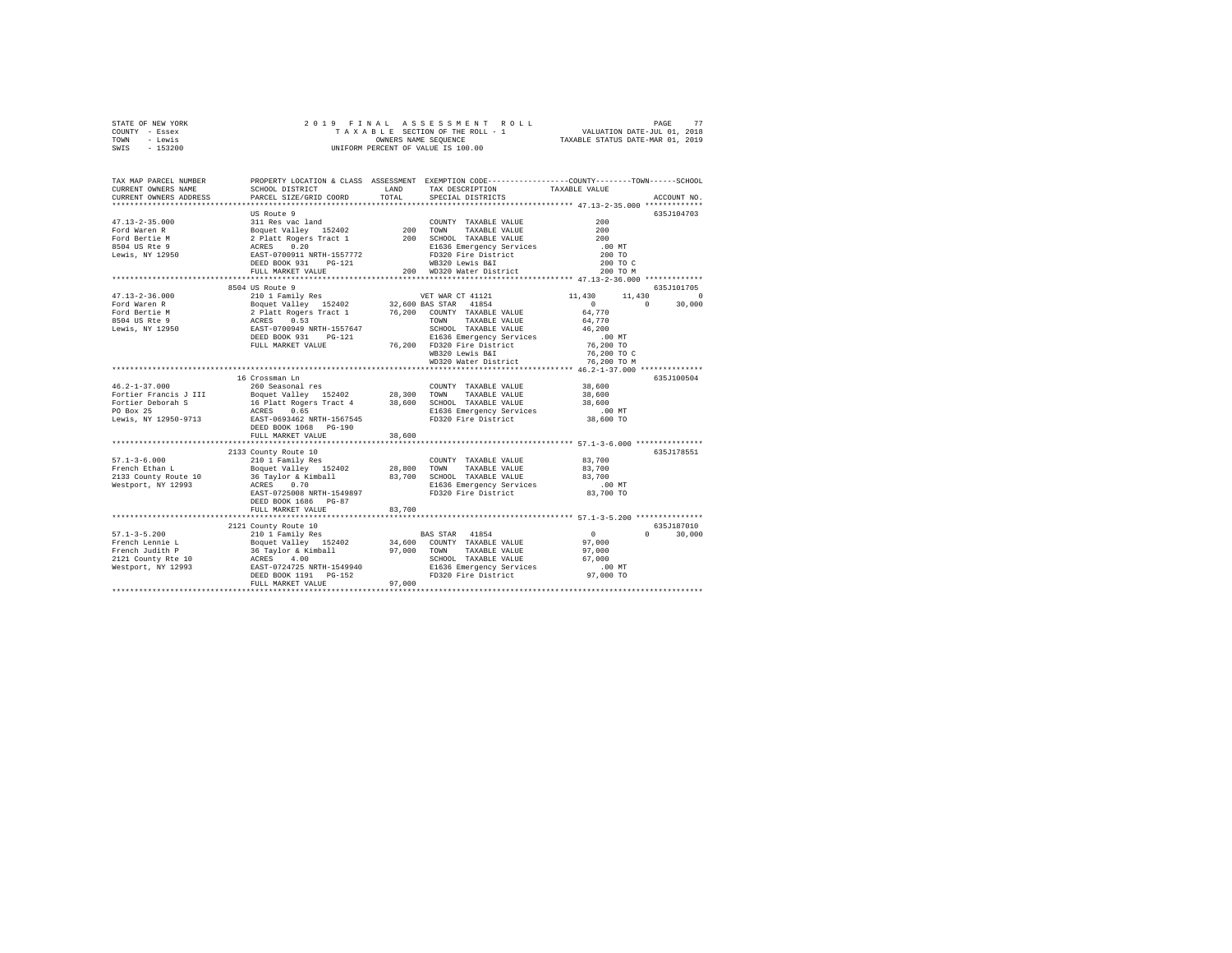| STATE OF NEW YORK | 2019 FINAL ASSESSMENT ROLL         | 77<br>PAGE                       |
|-------------------|------------------------------------|----------------------------------|
| COUNTY - Essex    | TAXABLE SECTION OF THE ROLL - 1    | VALUATION DATE-JUL 01, 2018      |
| TOWN<br>- Lewis   | OWNERS NAME SEOUENCE               | TAXABLE STATUS DATE-MAR 01, 2019 |
| $-153200$<br>SWIS | UNIFORM PERCENT OF VALUE IS 100.00 |                                  |

| TAX MAP PARCEL NUMBER  |                                                                                                                                                                                          |        | PROPERTY LOCATION & CLASS ASSESSMENT EXEMPTION CODE----------------COUNTY-------TOWN------SCHOOL      |                              |                    |
|------------------------|------------------------------------------------------------------------------------------------------------------------------------------------------------------------------------------|--------|-------------------------------------------------------------------------------------------------------|------------------------------|--------------------|
| CURRENT OWNERS NAME    | SCHOOL DISTRICT                                                                                                                                                                          | LAND   | TAX DESCRIPTION                                                                                       | TAXABLE VALUE                |                    |
| CURRENT OWNERS ADDRESS | PARCEL SIZE/GRID COORD                                                                                                                                                                   | TOTAL  | SPECIAL DISTRICTS                                                                                     |                              | ACCOUNT NO.        |
|                        |                                                                                                                                                                                          |        |                                                                                                       |                              |                    |
|                        | US Route 9                                                                                                                                                                               |        |                                                                                                       |                              | 635J104703         |
| $47.13 - 2 - 35.000$   | 311 Res vac land                                                                                                                                                                         |        | COUNTY TAXABLE VALUE                                                                                  | 200                          |                    |
|                        |                                                                                                                                                                                          |        | TAXABLE VALUE                                                                                         | 200                          |                    |
|                        |                                                                                                                                                                                          |        |                                                                                                       | 200                          |                    |
|                        |                                                                                                                                                                                          |        | E1636 Emergency Services                                                                              | .00MT                        |                    |
|                        |                                                                                                                                                                                          |        |                                                                                                       | 200 TO                       |                    |
|                        | DEED BOOK 931 PG-121                                                                                                                                                                     |        |                                                                                                       | 200 TO C                     |                    |
|                        | FULL MARKET VALUE                                                                                                                                                                        |        | Post Pressure Contract Contract<br>FD320 Fire District<br>WB320 Lewis B&I<br>200 WD320 Water District | 200 TO M                     |                    |
|                        |                                                                                                                                                                                          |        |                                                                                                       |                              |                    |
|                        | 8504 US Route 9                                                                                                                                                                          |        |                                                                                                       |                              | 635J101705         |
| $47.13 - 2 - 36.000$   | 210 1 Family Res                                                                                                                                                                         |        | VET WAR CT 41121                                                                                      | 11,430<br>11,430             | $\Omega$           |
| Ford Waren R           | Expect 1 and 152402 and 16240 and 16344 and 1634<br>2 Platt Rogers Tract 1 and 1634 and 1634<br>RCRES 10.53 and 1634 and 1634 and 1708<br>ERST-0700949 NRTH-1557647 5CHOOL TAXABLE VALUE |        |                                                                                                       | $\sim$ 0<br>$\sim$ 0         | 30,000             |
| Ford Bertie M          |                                                                                                                                                                                          |        | 76,200 COUNTY TAXABLE VALUE                                                                           | 64,770                       |                    |
|                        |                                                                                                                                                                                          |        |                                                                                                       |                              |                    |
| 8504 US Rte 9          |                                                                                                                                                                                          |        | TOWN TAXABLE VALUE                                                                                    | 64,770                       |                    |
| Lewis, NY 12950        |                                                                                                                                                                                          |        | SCHOOL TAXABLE VALUE                                                                                  | 46,200                       |                    |
|                        | DEED BOOK 931<br>$PG-121$                                                                                                                                                                |        | E1636 Emergency Services                                                                              | .00MT<br>00 MT.<br>76,200 TO |                    |
|                        | FULL MARKET VALUE                                                                                                                                                                        |        | 76,200 FD320 Fire District                                                                            |                              |                    |
|                        |                                                                                                                                                                                          |        | WB320 Lewis B&I                                                                                       | 76,200 TO C                  |                    |
|                        |                                                                                                                                                                                          |        | WD320 Water District 76,200 TO M                                                                      |                              |                    |
|                        |                                                                                                                                                                                          |        |                                                                                                       |                              |                    |
|                        | 16 Crossman Ln                                                                                                                                                                           |        |                                                                                                       |                              | 635J100504         |
| $46.2 - 1 - 37.000$    | 260 Seasonal res                                                                                                                                                                         |        | COUNTY TAXABLE VALUE                                                                                  | 38,600                       |                    |
|                        |                                                                                                                                                                                          |        | TAXABLE VALUE                                                                                         | 38,600                       |                    |
|                        |                                                                                                                                                                                          |        | 38,600 SCHOOL TAXABLE VALUE                                                                           | 38,600                       |                    |
|                        |                                                                                                                                                                                          |        |                                                                                                       |                              |                    |
|                        |                                                                                                                                                                                          |        | E1636 Emergency Services .00 MT<br>FD320 Fire District 38,600 TO                                      |                              |                    |
|                        | DEED BOOK 1068 PG-190                                                                                                                                                                    |        |                                                                                                       |                              |                    |
|                        | FULL MARKET VALUE                                                                                                                                                                        | 38,600 |                                                                                                       |                              |                    |
|                        |                                                                                                                                                                                          |        |                                                                                                       |                              |                    |
|                        | 2133 County Route 10                                                                                                                                                                     |        |                                                                                                       |                              | 635J178551         |
| $57.1 - 3 - 6.000$     | 210 1 Family Res                                                                                                                                                                         |        | COUNTY TAXABLE VALUE                                                                                  | 83,700                       |                    |
|                        | French Ethan L<br>French Ethan L<br>Boquet Valley 152402 28,800 TOWN                                                                                                                     |        | TAXABLE VALUE                                                                                         |                              |                    |
|                        |                                                                                                                                                                                          |        |                                                                                                       | 83,700                       |                    |
|                        | 2133 County Route 10 36 Taylor & Kimball<br>Westport, NY 12993 ACRES 0.70                                                                                                                |        | 83,700 SCHOOL TAXABLE VALUE                                                                           | 83,700                       |                    |
|                        |                                                                                                                                                                                          |        | E1636 Emergency Services .00 MT<br>FD320 Fire District 83,700 TO                                      |                              |                    |
|                        | EAST-0725008 NRTH-1549897                                                                                                                                                                |        |                                                                                                       |                              |                    |
|                        | DEED BOOK 1686 PG-87                                                                                                                                                                     |        |                                                                                                       |                              |                    |
|                        | FULL MARKET VALUE                                                                                                                                                                        | 83,700 |                                                                                                       |                              |                    |
|                        |                                                                                                                                                                                          |        |                                                                                                       |                              |                    |
|                        | 2121 County Route 10                                                                                                                                                                     |        |                                                                                                       |                              | 635J187010         |
|                        |                                                                                                                                                                                          |        |                                                                                                       | $\sim$ 0                     | $\Omega$<br>30,000 |
|                        |                                                                                                                                                                                          |        |                                                                                                       | 97,000                       |                    |
|                        |                                                                                                                                                                                          |        |                                                                                                       | 97,000                       |                    |
|                        |                                                                                                                                                                                          |        | SCHOOL TAXABLE VALUE                                                                                  | 67,000                       |                    |
|                        |                                                                                                                                                                                          |        |                                                                                                       |                              |                    |
|                        |                                                                                                                                                                                          |        | E1636 Emergency Services 6 00 MT<br>FD320 Fire District 97,000 TO                                     |                              |                    |
|                        | FULL MARKET VALUE                                                                                                                                                                        | 97,000 |                                                                                                       |                              |                    |
|                        |                                                                                                                                                                                          |        |                                                                                                       |                              |                    |
|                        |                                                                                                                                                                                          |        |                                                                                                       |                              |                    |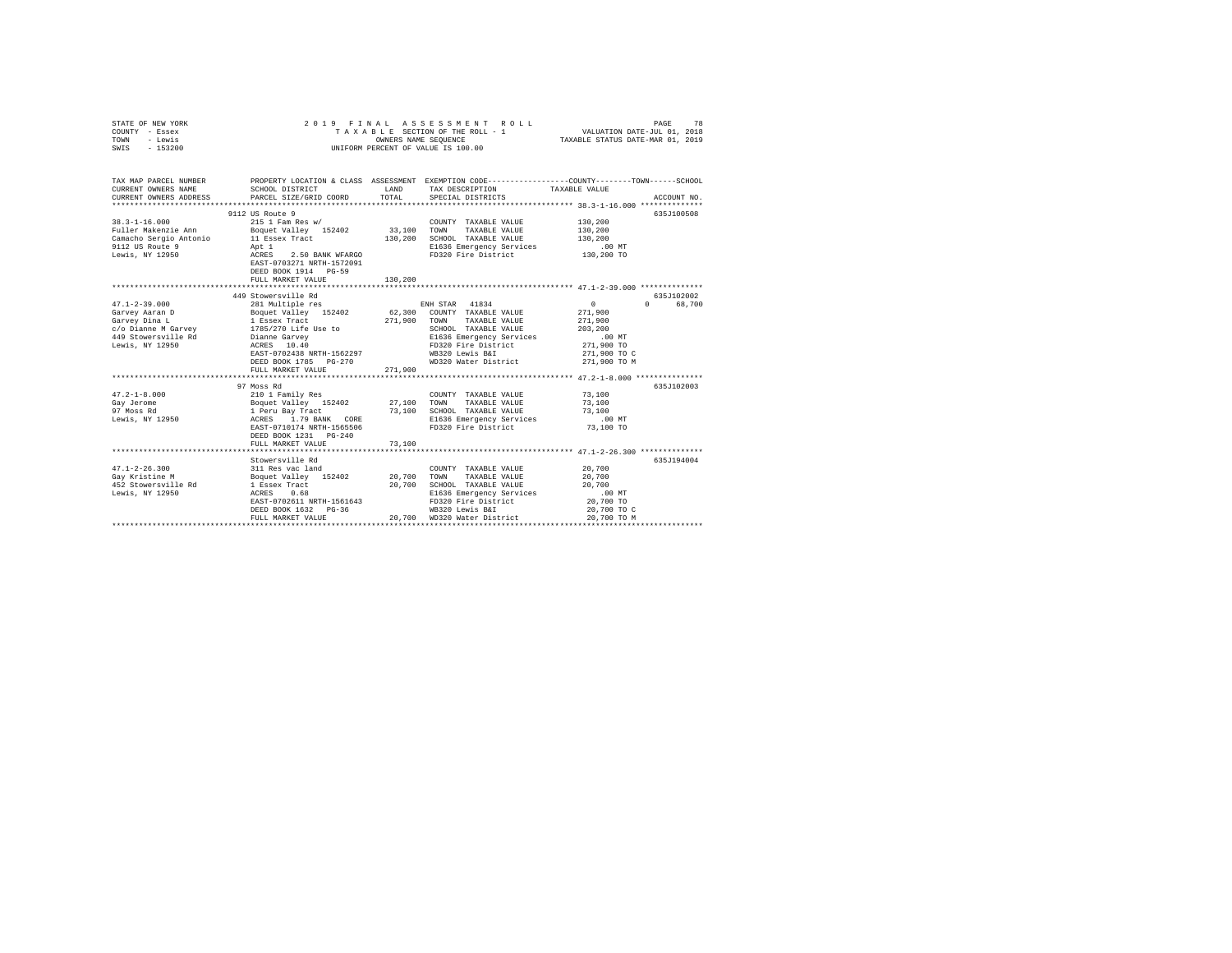| COUNTY - Essex                                                                                                                                                                                                                                                                                                                                                                                                                              |                                                                 |         |                                                                                                 |               |             |
|---------------------------------------------------------------------------------------------------------------------------------------------------------------------------------------------------------------------------------------------------------------------------------------------------------------------------------------------------------------------------------------------------------------------------------------------|-----------------------------------------------------------------|---------|-------------------------------------------------------------------------------------------------|---------------|-------------|
| TOWN<br>- Lewis<br>$-153200$<br>SWTS                                                                                                                                                                                                                                                                                                                                                                                                        | UNIFORM PERCENT OF VALUE IS 100.00                              |         |                                                                                                 |               |             |
|                                                                                                                                                                                                                                                                                                                                                                                                                                             |                                                                 |         |                                                                                                 |               |             |
|                                                                                                                                                                                                                                                                                                                                                                                                                                             |                                                                 |         |                                                                                                 |               |             |
|                                                                                                                                                                                                                                                                                                                                                                                                                                             |                                                                 |         |                                                                                                 |               |             |
| TAX MAP PARCEL NUMBER                                                                                                                                                                                                                                                                                                                                                                                                                       |                                                                 |         | PROPERTY LOCATION & CLASS ASSESSMENT EXEMPTION CODE---------------COUNTY-------TOWN------SCHOOL |               |             |
| CURRENT OWNERS NAME                                                                                                                                                                                                                                                                                                                                                                                                                         | SCHOOL DISTRICT                                                 | LAND    | TAX DESCRIPTION                                                                                 | TAXABLE VALUE |             |
| CURRENT OWNERS ADDRESS                                                                                                                                                                                                                                                                                                                                                                                                                      | PARCEL SIZE/GRID COORD                                          | TOTAL   | SPECIAL DISTRICTS                                                                               |               | ACCOUNT NO. |
|                                                                                                                                                                                                                                                                                                                                                                                                                                             |                                                                 |         |                                                                                                 |               |             |
|                                                                                                                                                                                                                                                                                                                                                                                                                                             | 9112 US Route 9                                                 |         |                                                                                                 |               | 635J100508  |
| $38.3 - 1 - 16.000$                                                                                                                                                                                                                                                                                                                                                                                                                         | $215$ 1 Fam Res w/                                              |         | COUNTY TAXABLE VALUE 130.200                                                                    |               |             |
| Fuller Makenzie Ann and Boquet Valley 152402 33,100 TOWN<br>Camacho Sergio Antonio 11 Essex Tract 130,200 SCHOC                                                                                                                                                                                                                                                                                                                             |                                                                 |         | TAXABLE VALUE                                                                                   | 130,200       |             |
|                                                                                                                                                                                                                                                                                                                                                                                                                                             |                                                                 |         | SCHOOL TAXABLE VALUE                                                                            | 130,200       |             |
| 9112 US Route 9<br>Lewis, NY 12950                                                                                                                                                                                                                                                                                                                                                                                                          |                                                                 |         |                                                                                                 |               |             |
|                                                                                                                                                                                                                                                                                                                                                                                                                                             | Apt 1<br>ACRES    2.50 BANK WFARGO<br>EAST-0703271 NRTH-1572091 |         |                                                                                                 |               |             |
|                                                                                                                                                                                                                                                                                                                                                                                                                                             | DEED BOOK 1914 PG-59                                            |         |                                                                                                 |               |             |
|                                                                                                                                                                                                                                                                                                                                                                                                                                             | FULL MARKET VALUE                                               | 130,200 |                                                                                                 |               |             |
|                                                                                                                                                                                                                                                                                                                                                                                                                                             |                                                                 |         |                                                                                                 |               |             |
|                                                                                                                                                                                                                                                                                                                                                                                                                                             | 449 Stowersville Rd                                             |         |                                                                                                 |               | 635J102002  |
| $47.1 - 2 - 39.000$                                                                                                                                                                                                                                                                                                                                                                                                                         | 281 Multiple res                                                |         | ENH STAR 41834                                                                                  | $\sim$ 0      | 0 68,700    |
| $\begin{tabular}{l c c c c c c c} \hline $G_{11} \times F_{21} \times F_{12} \times F_{21} \times F_{22} \times F_{21} \times F_{22} \times F_{21} \times F_{22} \times F_{21} \times F_{22} \times F_{22} \times F_{22} \times F_{22} \times F_{22} \times F_{22} \times F_{22} \times F_{22} \times F_{22} \times F_{22} \times F_{22} \times F_{22} \times F_{22} \times F_{22} \times F_{22} \times F_{22} \times F_{22} \times F_{22}$ |                                                                 |         |                                                                                                 | 271,900       |             |
|                                                                                                                                                                                                                                                                                                                                                                                                                                             |                                                                 |         |                                                                                                 | 271,900       |             |
|                                                                                                                                                                                                                                                                                                                                                                                                                                             |                                                                 |         | SCHOOL TAXABLE VALUE                                                                            | 203,200       |             |
|                                                                                                                                                                                                                                                                                                                                                                                                                                             |                                                                 |         |                                                                                                 | $.00$ MT      |             |
|                                                                                                                                                                                                                                                                                                                                                                                                                                             |                                                                 |         | E1636 Emergency Services<br>FD320 Fire District                                                 | 271,900 TO    |             |
|                                                                                                                                                                                                                                                                                                                                                                                                                                             | EAST-0702438 NRTH-1562297                                       |         |                                                                                                 |               |             |
|                                                                                                                                                                                                                                                                                                                                                                                                                                             | DEED BOOK 1785 PG-270                                           |         |                                                                                                 |               |             |
|                                                                                                                                                                                                                                                                                                                                                                                                                                             | FULL MARKET VALUE                                               | 271,900 |                                                                                                 |               |             |
|                                                                                                                                                                                                                                                                                                                                                                                                                                             |                                                                 |         |                                                                                                 |               |             |
|                                                                                                                                                                                                                                                                                                                                                                                                                                             | 97 Moss Rd                                                      |         |                                                                                                 |               | 635J102003  |
|                                                                                                                                                                                                                                                                                                                                                                                                                                             |                                                                 |         | COUNTY TAXABLE VALUE 73,100                                                                     |               |             |
|                                                                                                                                                                                                                                                                                                                                                                                                                                             |                                                                 |         |                                                                                                 | 73,100        |             |
|                                                                                                                                                                                                                                                                                                                                                                                                                                             |                                                                 |         |                                                                                                 | 73,100        |             |
|                                                                                                                                                                                                                                                                                                                                                                                                                                             |                                                                 |         | E1636 Emergency Services .00 MT                                                                 |               |             |
|                                                                                                                                                                                                                                                                                                                                                                                                                                             |                                                                 |         |                                                                                                 | 73,100 TO     |             |
|                                                                                                                                                                                                                                                                                                                                                                                                                                             | DEED BOOK 1231 PG-240                                           |         |                                                                                                 |               |             |
|                                                                                                                                                                                                                                                                                                                                                                                                                                             | FULL MARKET VALUE                                               | 73,100  |                                                                                                 |               |             |
|                                                                                                                                                                                                                                                                                                                                                                                                                                             |                                                                 |         |                                                                                                 |               |             |
|                                                                                                                                                                                                                                                                                                                                                                                                                                             | Stowersville Rd                                                 |         |                                                                                                 |               | 635J194004  |
| $47.1 - 2 - 26.300$                                                                                                                                                                                                                                                                                                                                                                                                                         | 311 Res vac land<br>Boquet Valley 152402 20,700                 |         | COUNTY TAXABLE VALUE                                                                            | 20,700        |             |
| Gay Kristine M<br>Gay Kristine m<br>452 Stowersville Rd<br>1. Basex Tract<br>1. ACRES 0.68                                                                                                                                                                                                                                                                                                                                                  |                                                                 |         | TOWN<br>TAXABLE VALUE<br>SCHOOL TAXABLE VALUE                                                   | 20,700        |             |
|                                                                                                                                                                                                                                                                                                                                                                                                                                             |                                                                 | 20,700  |                                                                                                 | 20,700        |             |
|                                                                                                                                                                                                                                                                                                                                                                                                                                             | EAST-0702611 NRTH-1561643                                       |         | E1636 Emergency Services .00 MT<br>FD320 Fire District 20,700 TO                                |               |             |
|                                                                                                                                                                                                                                                                                                                                                                                                                                             | DEED BOOK 1632    PG-36                                         |         |                                                                                                 | 20,700 TO C   |             |
|                                                                                                                                                                                                                                                                                                                                                                                                                                             | FULL MARKET VALUE                                               |         | WB320 Lewis B&I<br>20,700 WD320 Water District                                                  | 20,700 TO M   |             |
|                                                                                                                                                                                                                                                                                                                                                                                                                                             |                                                                 |         |                                                                                                 |               |             |
|                                                                                                                                                                                                                                                                                                                                                                                                                                             |                                                                 |         |                                                                                                 |               |             |

STATE OF NEW YORK 2 0 1 9 F I N A L A S S E S S M E N T R O L L PAGE 78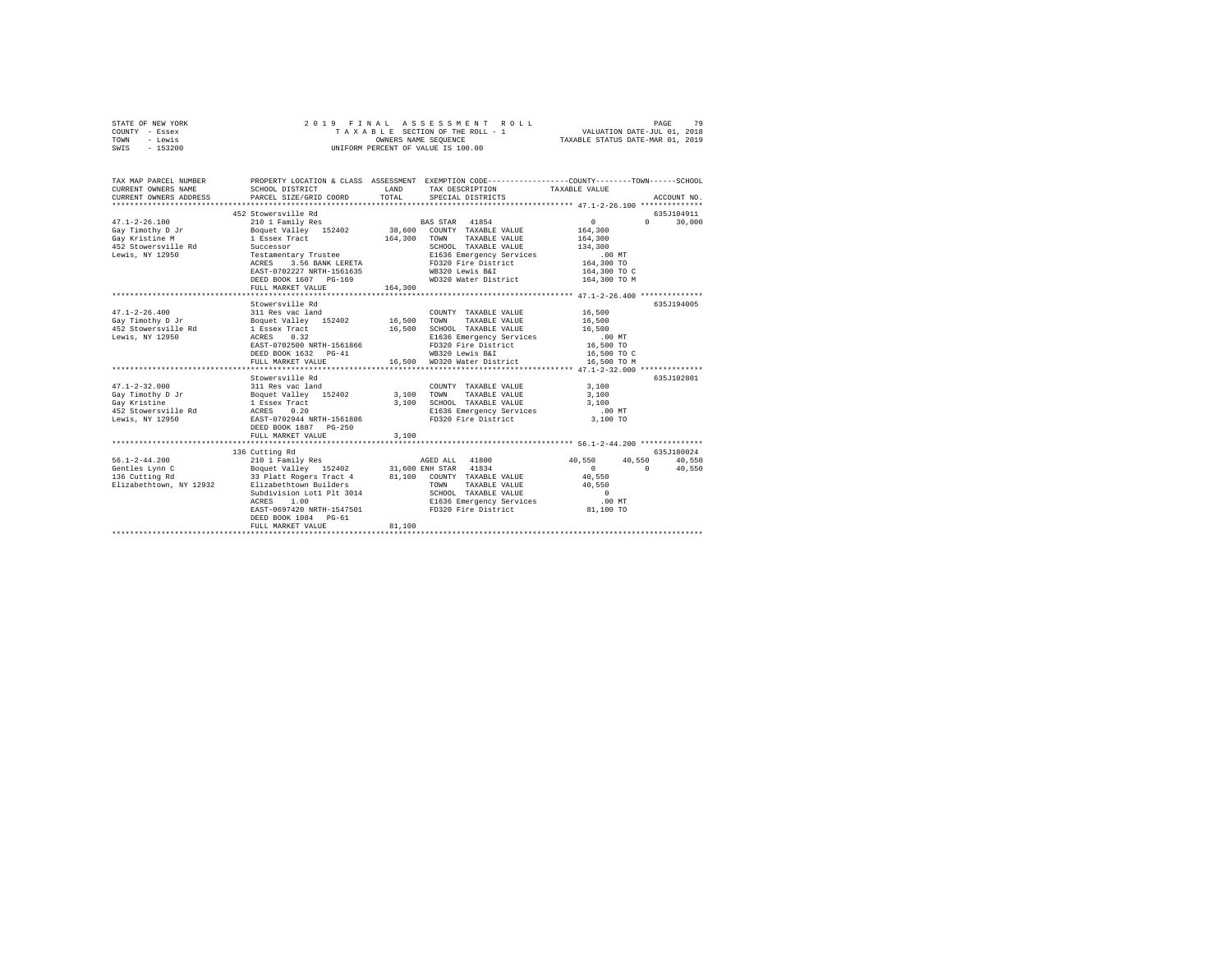| STATE OF NEW YORK<br>COUNTY - Essex<br>- Lewis<br>TOWN<br>SWIS - 153200                             | 2019 FINAL                                                                                                                                                                                                                                   | ASSESSMENT ROLL<br>TAXABLE SECTION OF THE ROLL - 1<br>OWNERS NAME SEQUENCE<br>UNIFORM PERCENT OF VALUE IS 100.00                                                                                                                          | PAGE<br>79<br>VALUATION DATE-JUL 01, 2018<br>TAXABLE STATUS DATE-MAR 01, 2019                                                             |
|-----------------------------------------------------------------------------------------------------|----------------------------------------------------------------------------------------------------------------------------------------------------------------------------------------------------------------------------------------------|-------------------------------------------------------------------------------------------------------------------------------------------------------------------------------------------------------------------------------------------|-------------------------------------------------------------------------------------------------------------------------------------------|
| TAX MAP PARCEL NUMBER<br>CURRENT OWNERS NAME<br>CURRENT OWNERS ADDRESS<br>************************* | SCHOOL DISTRICT<br>PARCEL SIZE/GRID COORD                                                                                                                                                                                                    | PROPERTY LOCATION & CLASS ASSESSMENT EXEMPTION CODE---------------COUNTY-------TOWN------SCHOOL<br>LAND<br>TAX DESCRIPTION<br>TOTAL<br>SPECIAL DISTRICTS                                                                                  | TAXABLE VALUE<br>ACCOUNT NO.                                                                                                              |
| $47.1 - 2 - 26.100$<br>Gay Timothy D Jr<br>Gay Kristine M<br>452 Stowersville Rd<br>Lewis, NY 12950 | 452 Stowersville Rd<br>210 1 Family Res<br>Boquet Valley 152402<br>1 Essex Tract<br>- ------ -----<br>Successor<br>Testamentary Trustee<br>ACRES 3.56 BANK LERETA<br>EAST-0702227 NRTH-1561635<br>DEED BOOK 1607 PG-169<br>FULL MARKET VALUE | BAS STAR 41854<br>38,600 COUNTY TAXABLE VALUE<br>164,300<br>TOWN TAXABLE VALUE<br>SCHOOL TAXABLE VALUE<br>E1636 Emergency Services<br>E1636 Emergency Servic<br>FD320 Fire District<br>WB320 Lewis B&I<br>WD320 Water District<br>164,300 | 635J104911<br>$\mathbf{0}$<br>$\Omega$<br>30,000<br>164,300<br>164,300<br>134,300<br>.00 MT<br>164,300 TO<br>164,300 TO C<br>164,300 TO M |
|                                                                                                     |                                                                                                                                                                                                                                              |                                                                                                                                                                                                                                           |                                                                                                                                           |
| $47.1 - 2 - 26.400$<br>Gav Timothy D Jr<br>452 Stowersville Rd<br>Lewis, NY 12950                   | Stowersville Rd<br>311 Res vac land<br>Boquet Valley 152402<br>1 Essex Tract<br>ACRES 0.32<br>EAST-0702500 NRTH-1561866<br>DEED BOOK 1632 PG-41<br>FULL MARKET VALUE                                                                         | COUNTY TAXABLE VALUE<br>16,500<br>TOWN<br>TAXABLE VALUE<br>16,500<br>SCHOOL TAXABLE VALUE<br>E1636 Emergency Services<br>FD320 Fire District<br>WB320 Lewis B&I<br>16,500 WD320 Water District                                            | 635J194005<br>16,500<br>16,500<br>16,500<br>.00MT<br>16,500 TO<br>16,500 TO C<br>16,500 TO M                                              |
| $47.1 - 2 - 32.000$<br>Gay Timothy D Jr<br>Gav Kristine<br>452 Stowersville Rd<br>Lewis, NY 12950   | Stowersville Rd<br>311 Res vac land<br>Boquet Valley 152402<br>1 Essex Tract<br>ACRES 0.20<br>EAST-0702944 NRTH-1561886<br>DEED BOOK 1887 PG-250<br>FULL MARKET VALUE                                                                        | COUNTY TAXABLE VALUE<br>3,100<br>TAXABLE VALUE<br>TOWN<br>3.100<br>SCHOOL TAXABLE VALUE<br>E1636 Emergency Services<br>FD320 Fire District<br>3,100                                                                                       | 635J102801<br>3,100<br>3,100<br>3,100<br>$.00$ MT<br>3,100 TO                                                                             |
|                                                                                                     | 136 Cutting Rd                                                                                                                                                                                                                               |                                                                                                                                                                                                                                           | 635J180024                                                                                                                                |
| $56.1 - 2 - 44.200$<br>Gentles Lynn C<br>136 Cutting Rd<br>Elizabethtown, NY 12932                  | 210 1 Family Res<br>Boquet Valley<br>33 Platt Rogers Tract 4<br>23 Platt Rogers Tract 4<br>Subdivision Lot1 Plt 3014<br>ACRES<br>1.00<br>EAST-0697420 NRTH-1547501<br>DEED BOOK 1084 PG-61<br>FULL MARKET VALUE                              | AGED ALL 41800<br>Boquet Valley 152402 31,600 ENH STAR 41834<br>81,100 COUNTY TAXABLE VALUE<br>TOWN<br>TAXABLE VALUE<br>SCHOOL TAXABLE VALUE<br>E1636 Emergency Services<br>FD320 Fire District<br>81,100                                 | 40,550<br>40.550<br>40,550<br>$\mathbf{0}$<br>$\Omega$<br>40,550<br>40,550<br>40,550<br>$\sim$ 0<br>$.00$ MT<br>81,100 TO                 |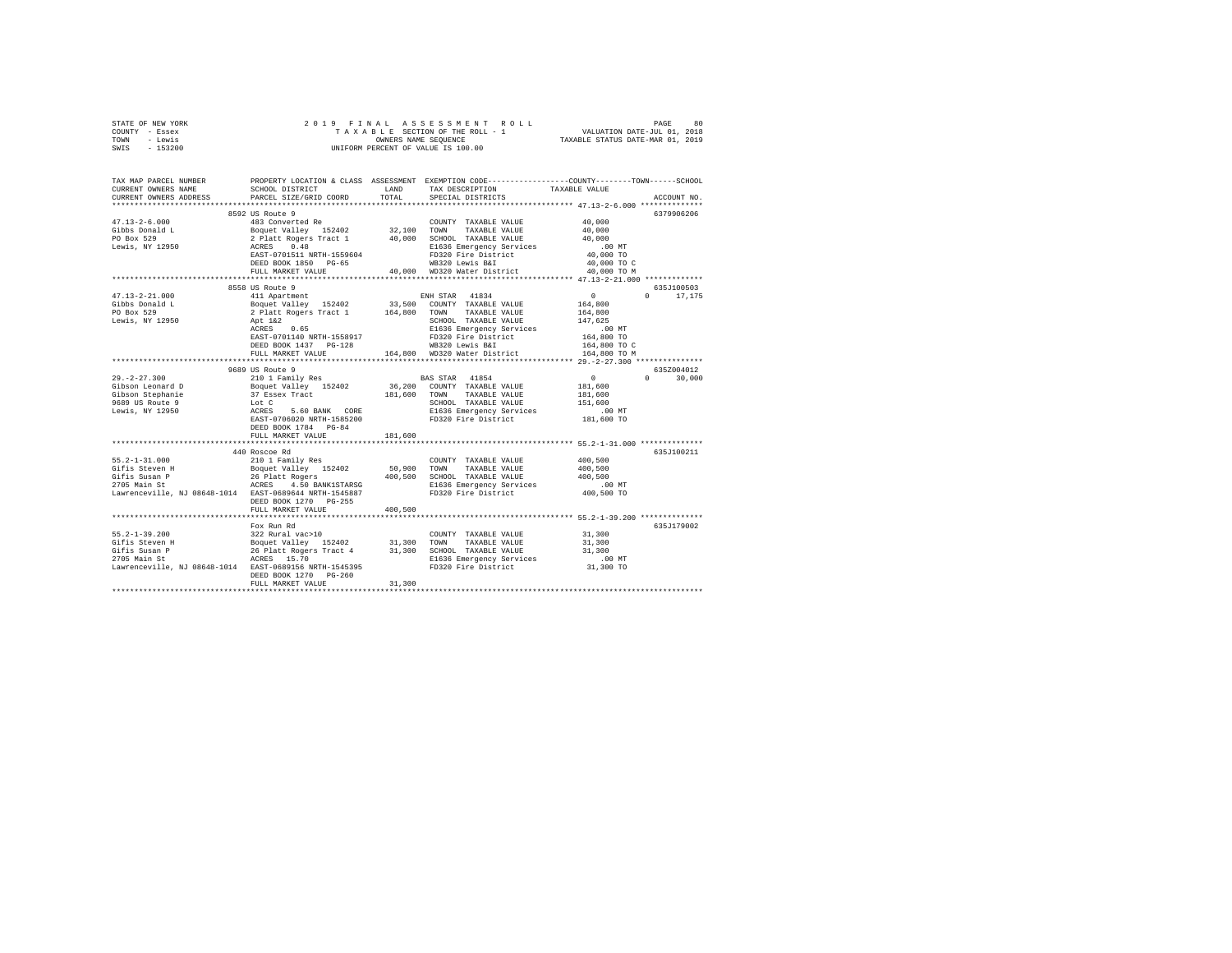| STATE OF NEW YORK     | 2019 FINAL ASSESSMENT ROLL                                                              |                                    |                                  | PAGE | 80      |
|-----------------------|-----------------------------------------------------------------------------------------|------------------------------------|----------------------------------|------|---------|
| COUNTY<br>- Essex     |                                                                                         | TAXABLE SECTION OF THE ROLL - 1    | VALUATION DATE-JUL 01, 2018      |      |         |
| - Lewis<br>TOWN       |                                                                                         | OWNERS NAME SEOUENCE               | TAXABLE STATUS DATE-MAR 01, 2019 |      |         |
| $-153200$<br>SWIS     |                                                                                         | UNIFORM PERCENT OF VALUE IS 100.00 |                                  |      |         |
|                       |                                                                                         |                                    |                                  |      |         |
|                       |                                                                                         |                                    |                                  |      |         |
|                       |                                                                                         |                                    |                                  |      |         |
| TAX MAP PARCEL NUMBER | PROPERTY LOCATION & CLASS ASSESSMENT EXEMPTION CODE---------------COUNTY-------TOWN---- |                                    |                                  |      | -SCHOOL |

| CURRENT OWNERS NAME                                                                                                                                                                                                                                                                                                                                                                                                                                            | SCHOOL DISTRICT                                                                            | LAND    | TAX DESCRIPTION                                                                                       | TAXABLE VALUE                           |                    |
|----------------------------------------------------------------------------------------------------------------------------------------------------------------------------------------------------------------------------------------------------------------------------------------------------------------------------------------------------------------------------------------------------------------------------------------------------------------|--------------------------------------------------------------------------------------------|---------|-------------------------------------------------------------------------------------------------------|-----------------------------------------|--------------------|
| CURRENT OWNERS ADDRESS                                                                                                                                                                                                                                                                                                                                                                                                                                         | PARCEL SIZE/GRID COORD                                                                     | TOTAL   | SPECIAL DISTRICTS                                                                                     |                                         | ACCOUNT NO         |
|                                                                                                                                                                                                                                                                                                                                                                                                                                                                |                                                                                            |         |                                                                                                       | **************** 47.13-2-6.000 ******** |                    |
|                                                                                                                                                                                                                                                                                                                                                                                                                                                                | 8592 US Route 9                                                                            |         |                                                                                                       |                                         | 6379906206         |
| $47.13 - 2 - 6.000$                                                                                                                                                                                                                                                                                                                                                                                                                                            | 483 Converted Re                                                                           |         | COUNTY TAXABLE VALUE                                                                                  | 40,000                                  |                    |
|                                                                                                                                                                                                                                                                                                                                                                                                                                                                |                                                                                            |         | TOWN<br>TAXABLE VALUE                                                                                 | 40,000                                  |                    |
|                                                                                                                                                                                                                                                                                                                                                                                                                                                                |                                                                                            |         | 40,000 SCHOOL TAXABLE VALUE                                                                           | 40,000                                  |                    |
| Gibbs Donald L<br>For Sox 59 South Communication of Social Communication of the Magnet Communication of 19,000<br>2 Dewis, NY 12950 2CRES 0.48                                                                                                                                                                                                                                                                                                                 |                                                                                            |         | E1636 Emergency Services                                                                              | .00 MT                                  |                    |
|                                                                                                                                                                                                                                                                                                                                                                                                                                                                | EAST-0701511 NRTH-1559604                                                                  |         | FD320 Fire District                                                                                   | 40,000 TO                               |                    |
|                                                                                                                                                                                                                                                                                                                                                                                                                                                                | DEED BOOK 1850 PG-65                                                                       |         | WB320 Lewis B&I                                                                                       | 40,000 TO C                             |                    |
|                                                                                                                                                                                                                                                                                                                                                                                                                                                                | FULL MARKET VALUE                                                                          |         | 40.000 WD320 Water District                                                                           | 40,000 TO M                             |                    |
|                                                                                                                                                                                                                                                                                                                                                                                                                                                                | **************                                                                             |         | ************************************                                                                  | *** 47.13-2-21.000 *********            |                    |
|                                                                                                                                                                                                                                                                                                                                                                                                                                                                | 8558 US Route 9                                                                            |         |                                                                                                       |                                         | 635J100503         |
| $47.13 - 2 - 21.000$                                                                                                                                                                                                                                                                                                                                                                                                                                           | 411 Apartment                                                                              |         | ENH STAR 41834                                                                                        | $\sim$ 0                                | 17,175<br>$\Omega$ |
| Gibbs Donald L                                                                                                                                                                                                                                                                                                                                                                                                                                                 |                                                                                            |         | 33,500 COUNTY TAXABLE VALUE                                                                           | 164,800                                 |                    |
| PO Box 529                                                                                                                                                                                                                                                                                                                                                                                                                                                     |                                                                                            |         | TAXABLE VALUE<br>TOWN                                                                                 | 164,800                                 |                    |
| Lewis, NY 12950                                                                                                                                                                                                                                                                                                                                                                                                                                                | 11 Apat. umin.<br>Boquet Valley 152402 33,500<br>2 Platt Rogers Tract 1 164,800<br>Apt 1&2 |         | SCHOOL TAXABLE VALUE                                                                                  | 147.625                                 |                    |
|                                                                                                                                                                                                                                                                                                                                                                                                                                                                | ACRES 0.65                                                                                 |         | E1636 Emergency Services                                                                              | 00 MT.<br>164,800 TO                    |                    |
|                                                                                                                                                                                                                                                                                                                                                                                                                                                                | EAST-0701140 NRTH-1558917                                                                  |         | FD320 Fire District                                                                                   |                                         |                    |
|                                                                                                                                                                                                                                                                                                                                                                                                                                                                | DEED BOOK 1437 PG-128                                                                      |         | WB320 Lewis B&I                                                                                       | 164,800 TO C                            |                    |
|                                                                                                                                                                                                                                                                                                                                                                                                                                                                | FULL MARKET VALUE                                                                          |         | 164,800 WD320 Water District                                                                          | 164,800 TO M                            |                    |
|                                                                                                                                                                                                                                                                                                                                                                                                                                                                | **********************                                                                     |         |                                                                                                       | ********* 29.-2-27.300 **********       |                    |
|                                                                                                                                                                                                                                                                                                                                                                                                                                                                | 9689 US Route 9                                                                            |         |                                                                                                       |                                         | 635Z004012         |
| $29. -2 - 27.300$                                                                                                                                                                                                                                                                                                                                                                                                                                              | 210 1 Family Res                                                                           |         | BAS STAR 41854                                                                                        | $\sim$ 0                                | $\Omega$<br>30,000 |
| Gibson Leonard D                                                                                                                                                                                                                                                                                                                                                                                                                                               | Boquet Valley 152402                                                                       |         | 36,200 COUNTY TAXABLE VALUE                                                                           | 181,600                                 |                    |
| 01B801 Leukau Land Land Street Contract Contract Contract Contract Contract Contract Contract Contract Contra<br>1968 103 Route 9 Lot Contract Lewis, NY 12950 20 NATES 5.60 BANK CORE                                                                                                                                                                                                                                                                         |                                                                                            |         | 181,600 TOWN TAXABLE VALUE                                                                            | 181,600                                 |                    |
|                                                                                                                                                                                                                                                                                                                                                                                                                                                                |                                                                                            |         | SCHOOL TAXABLE VALUE                                                                                  | 151,600                                 |                    |
|                                                                                                                                                                                                                                                                                                                                                                                                                                                                |                                                                                            |         | E1636 Emergency Services                                                                              | 00 MT.<br>181,600 TO                    |                    |
|                                                                                                                                                                                                                                                                                                                                                                                                                                                                |                                                                                            |         | FD320 Fire District                                                                                   |                                         |                    |
|                                                                                                                                                                                                                                                                                                                                                                                                                                                                | DEED BOOK 1784 PG-84                                                                       |         |                                                                                                       |                                         |                    |
|                                                                                                                                                                                                                                                                                                                                                                                                                                                                | FULL MARKET VALUE                                                                          | 181,600 |                                                                                                       |                                         |                    |
|                                                                                                                                                                                                                                                                                                                                                                                                                                                                | ******************                                                                         |         |                                                                                                       | ********* 55.2-1-31.000 *************   |                    |
|                                                                                                                                                                                                                                                                                                                                                                                                                                                                | 440 Roscoe Rd                                                                              |         |                                                                                                       |                                         | 635J100211         |
| $55.2 - 1 - 31.000$                                                                                                                                                                                                                                                                                                                                                                                                                                            |                                                                                            |         |                                                                                                       | 400,500                                 |                    |
| Gifis Steven H                                                                                                                                                                                                                                                                                                                                                                                                                                                 |                                                                                            |         |                                                                                                       | 400,500                                 |                    |
| Gifis Susan P                                                                                                                                                                                                                                                                                                                                                                                                                                                  |                                                                                            |         |                                                                                                       | 400,500<br>.00 MT                       |                    |
| 2705 Main St                                                                                                                                                                                                                                                                                                                                                                                                                                                   |                                                                                            |         |                                                                                                       |                                         |                    |
| Lawrenceville, NJ 08648-1014 EAST-0689644 NRTH-1545887                                                                                                                                                                                                                                                                                                                                                                                                         |                                                                                            |         | FD320 Fire District                                                                                   | 400,500 TO                              |                    |
|                                                                                                                                                                                                                                                                                                                                                                                                                                                                | DEED BOOK 1270 PG-255                                                                      |         |                                                                                                       |                                         |                    |
|                                                                                                                                                                                                                                                                                                                                                                                                                                                                | FULL MARKET VALUE                                                                          | 400,500 |                                                                                                       |                                         |                    |
|                                                                                                                                                                                                                                                                                                                                                                                                                                                                |                                                                                            |         | ******************************** 55.2-1-39.200 *************                                          |                                         |                    |
|                                                                                                                                                                                                                                                                                                                                                                                                                                                                |                                                                                            |         |                                                                                                       |                                         | 635J179002         |
|                                                                                                                                                                                                                                                                                                                                                                                                                                                                |                                                                                            |         | COUNTY TAXABLE VALUE                                                                                  | 31,300                                  |                    |
|                                                                                                                                                                                                                                                                                                                                                                                                                                                                |                                                                                            |         | TOWN<br>TAXABLE VALUE                                                                                 | 31,300                                  |                    |
| $\begin{tabular}{lllllllllll} & $\cdots$ & $\x \cdots$ & $\x \cdots$ & $\x \cdots$ & $\x \cdots$ & $\x \cdots$ & $\x \cdots$ & $\x \cdots$ & $\x \cdots$ & $\x \cdots$ & $\x \cdots$ & $\x \cdots$ & $\x \cdots$ & $\x \cdots$ & $\x \cdots$ & $\x \cdots$ & $\x \cdots$ & $\x \cdots$ & $\x \cdots$ & $\x \cdots$ & $\x \cdots$ & $\x \cdots$ & $\x \cdots$ & $\x \cdots$ & $\x \cdots$ & $\x \cdots$ & $\x \cdots$ & $\x \cdots$ & $\x \cdots$ & $\x \cdots$ |                                                                                            |         | SCHOOL TAXABLE VALUE                                                                                  | 31,300                                  |                    |
|                                                                                                                                                                                                                                                                                                                                                                                                                                                                |                                                                                            |         | SUE 26 Emergency Services .00 MT<br>F1636 Emergency Services .00 MT<br>FD320 Fire District  31,300 TO |                                         |                    |
| Lawrenceville, NJ 08648-1014 EAST-0689156 NRTH-1545395                                                                                                                                                                                                                                                                                                                                                                                                         |                                                                                            |         |                                                                                                       |                                         |                    |
|                                                                                                                                                                                                                                                                                                                                                                                                                                                                | DEED BOOK 1270 PG-260                                                                      |         |                                                                                                       |                                         |                    |
|                                                                                                                                                                                                                                                                                                                                                                                                                                                                | FULL MARKET VALUE                                                                          | 31,300  |                                                                                                       |                                         |                    |
|                                                                                                                                                                                                                                                                                                                                                                                                                                                                |                                                                                            |         |                                                                                                       |                                         |                    |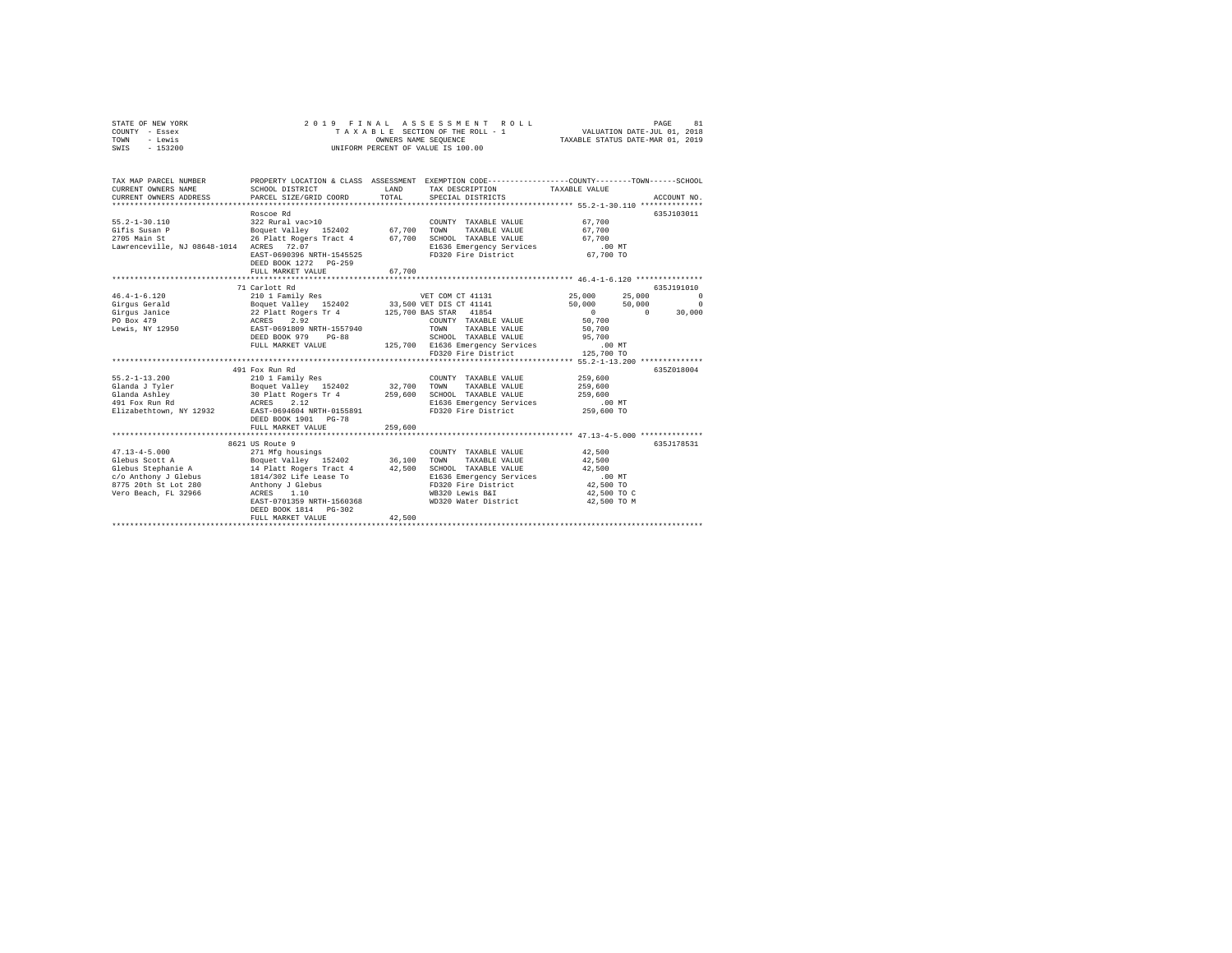| STATE OF NEW YORK | 2019 FINAL ASSESSMENT ROLL         | 81<br>PAGE                       |
|-------------------|------------------------------------|----------------------------------|
| COUNTY - Essex    | TAXABLE SECTION OF THE ROLL - 1    | VALUATION DATE-JUL 01, 2018      |
| TOWN<br>- Lewis   | OWNERS NAME SEOUENCE               | TAXABLE STATUS DATE-MAR 01, 2019 |
| $-153200$<br>SWIS | UNIFORM PERCENT OF VALUE IS 100.00 |                                  |

| TAX MAP PARCEL NUMBER<br>CURRENT OWNERS NAME<br>CURRENT OWNERS ADDRESS                                                                                                             | SCHOOL DISTRICT<br>PARCEL SIZE/GRID COORD                                                                                                                    | LAND<br>TOTAL    | PROPERTY LOCATION & CLASS ASSESSMENT EXEMPTION CODE----------------COUNTY-------TOWN-----SCHOOL<br>TAX DESCRIPTION TAXABLE VALUE<br>SPECIAL DISTRICTS                             |                                                              | ACCOUNT NO.                                |
|------------------------------------------------------------------------------------------------------------------------------------------------------------------------------------|--------------------------------------------------------------------------------------------------------------------------------------------------------------|------------------|-----------------------------------------------------------------------------------------------------------------------------------------------------------------------------------|--------------------------------------------------------------|--------------------------------------------|
| $55.2 - 1 - 30.110$<br>Gifis Susan P<br>2705 Main St<br>Lawrenceville, NJ 08648-1014 ACRES 72.07                                                                                   | Roscoe Rd<br>EAST-0690396 NRTH-1545525<br>DEED BOOK 1272 PG-259<br>FULL MARKET VALUE                                                                         | 67,700           | E1636 Emergency Services .00 MT<br>FD320 Fire District 67,700 TO                                                                                                                  | 67,700<br>67,700<br>67,700                                   | 635J103011                                 |
|                                                                                                                                                                                    |                                                                                                                                                              |                  |                                                                                                                                                                                   |                                                              |                                            |
| $46.4 - 1 - 6.120$<br>Girgus Gerald                                                                                                                                                | 71 Carlott Rd<br>210 1 Family Res<br>DEED BOOK 979<br>$PG-88$                                                                                                |                  | VET COM CT 41131<br>Boquet Valley 152402 33,500 VET DIS CT 41141 50,000 50,000<br>COUNTY TAXABLE VALUE<br>TAXABLE VALUE<br>SCHOOL TAXABLE VALUE 95,700                            | 25,000<br>25,000<br>$\sim$ 0<br>$\sim$ 0<br>50,700<br>50,700 | 635J191010<br>$\sim$<br>$\Omega$<br>30,000 |
|                                                                                                                                                                                    |                                                                                                                                                              |                  | FULL MARKET VALUE 125,700 E1636 Emergency Services .00 MT PD320 Fire District 125,700 TO                                                                                          |                                                              |                                            |
|                                                                                                                                                                                    |                                                                                                                                                              |                  | ************************************* 55.2-1-13.200 **************                                                                                                                |                                                              |                                            |
|                                                                                                                                                                                    | 491 Fox Run Rd                                                                                                                                               |                  |                                                                                                                                                                                   |                                                              | 635Z018004                                 |
| $55.2 - 1 - 13.200$<br>Glanda J Tyler<br>Glanda Ashley 30 Platt Rogers Tr 4 259,600<br>491 Fox Run Rd<br>Elizabethtown, NY 12932                                                   | ACRES 2.12<br>NY 12932 EAST-0694604 NRTH-0155891<br>DEED BOOK 1901 PG-78                                                                                     |                  | COUNTY TAXABLE VALUE<br>TAXABLE VALUE<br>SCHOOL TAXABLE VALUE<br>E1636 Emergency Services<br>FD320 Fire District                                                                  | 259,600<br>259,600<br>259,600<br>00 MT.<br>259,600 TO        |                                            |
|                                                                                                                                                                                    | FULL MARKET VALUE                                                                                                                                            | 259,600          |                                                                                                                                                                                   |                                                              |                                            |
|                                                                                                                                                                                    | 8621 US Route 9                                                                                                                                              |                  |                                                                                                                                                                                   |                                                              | 635J178531                                 |
| $47.13 - 4 - 5.000$<br>Glebus Scott A<br>Glebus Stephanie A 14 Platt Rogers Tract 4<br>c/o Anthony J Glebus 1814/302 Life Lease To<br>8775 20th St Lot 280<br>Vero Beach, FL 32966 | 271 Mfg housings<br>Boquet Valley 152402 36,100<br>Anthony J Glebus<br>ACRES 1.10<br>EAST-0701359 NRTH-1560368<br>DEED BOOK 1814 PG-302<br>FULL MARKET VALUE | 42,500<br>42,500 | COUNTY TAXABLE VALUE 42,500<br>TOWN TAXABLE VALUE<br>SCHOOL TAXABLE VALUE<br>E1636 Emergency Services<br>FD320 Fire District 42,500 TO<br>WB320 Lewis B&I<br>WD320 Water District | 42,500<br>42,500<br>.00 MT<br>42,500 TO C<br>42,500 TO M     |                                            |
|                                                                                                                                                                                    | ****************************                                                                                                                                 |                  |                                                                                                                                                                                   |                                                              |                                            |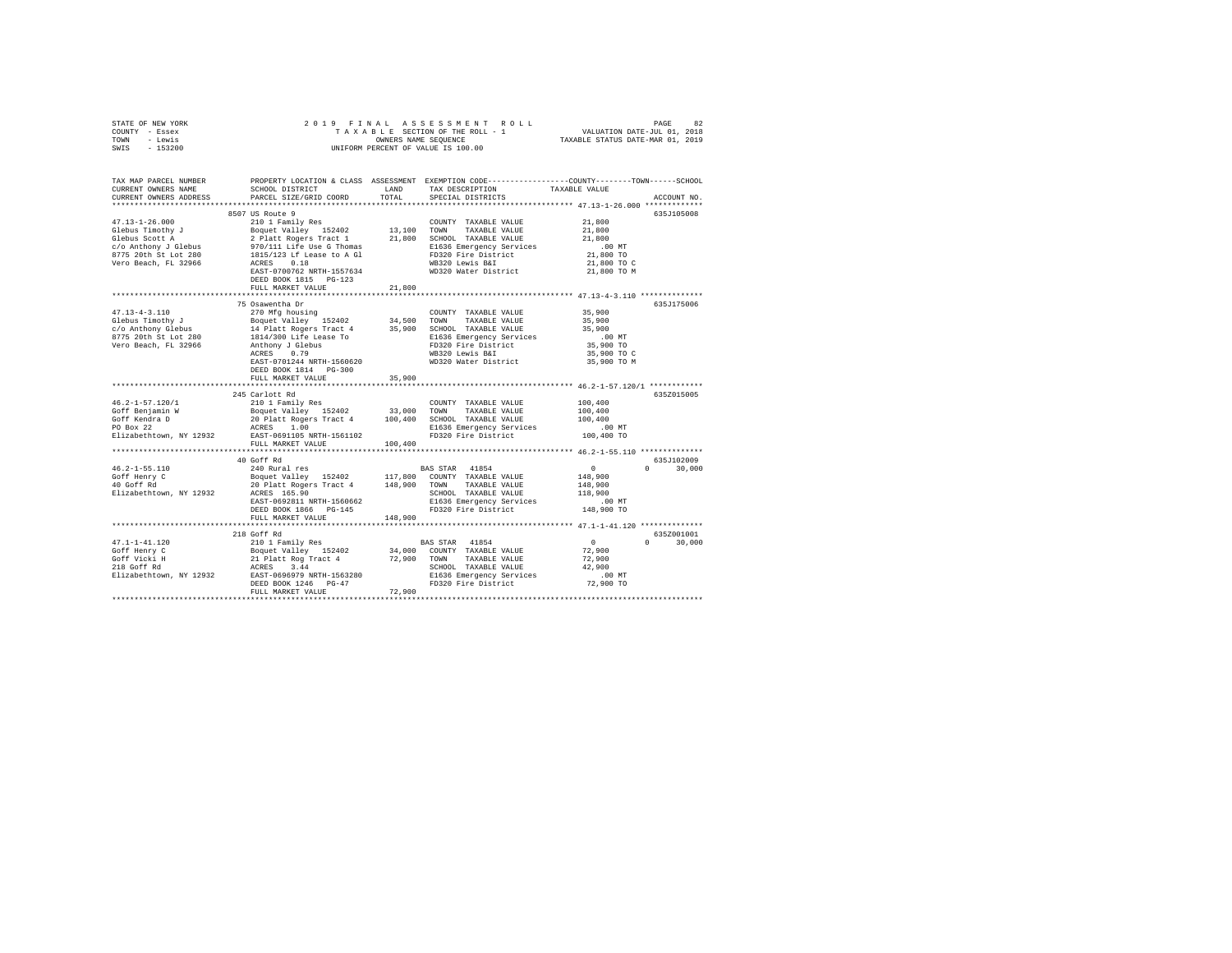| STATE OF NEW YORK<br>COUNTY - Essex<br>TOWN<br>- Lewis<br>SWIS - 153200 | 2019 FINAL ASSESSMENT ROLL<br>UNIFORM PERCENT OF VALUE IS 100.00                                                                                                                                                                                                                                                                                                                                                                                                                                            | TAXABLE SECTION OF THE ROLL - 1 VALUATION DATE-JUL 01, 2018<br>OWNERS NAME SEQUENCE TAXABLE STATUS DATE-MAR 01, 2019                                                                            | 82<br>PAGE                           |             |
|-------------------------------------------------------------------------|-------------------------------------------------------------------------------------------------------------------------------------------------------------------------------------------------------------------------------------------------------------------------------------------------------------------------------------------------------------------------------------------------------------------------------------------------------------------------------------------------------------|-------------------------------------------------------------------------------------------------------------------------------------------------------------------------------------------------|--------------------------------------|-------------|
| CURRENT OWNERS NAME<br>CURRENT OWNERS ADDRESS                           | TAX MAP PARCEL NUMBER PROPERTY LOCATION & CLASS ASSESSMENT EXEMPTION CODE--------------COUNTY-------TOWN-----SCHOOL<br>SCHOOL DISTRICT                                                                                                                                                                                                                                                                                                                                                                      | LAND TAX DESCRIPTION TAXABLE VALUE<br>PARCEL SIZE/GRID COORD TOTAL SPECIAL DISTRICTS                                                                                                            |                                      | ACCOUNT NO. |
| Vero Beach, FL 32966                                                    | 8507 US Route 9<br>$\begin{array}{ccccccccc}47.13-1-26.000&&&& 210&1\text{ Family Res}&&&& 21,800\\ 61 \text{Ebus Timothy J}&& && 210&1\text{ Family Res}&& && 13,100&\text{TONIN}&&\text{TAXABLE VALUE}&& 21,800\\ \end{array}$<br>Glebus Scott A 2 Platt Rogers Tract 1 21,800<br>c/o Anthony J Glebus $\frac{970}{111}$ Life Use G Thomas<br>8775 20th St Lot 280 $\frac{1815}{123}$ Lf Lease to A Gl<br>0.18<br>ACRES<br>EAST-0700762 NRTH-1557634<br>DEED BOOK 1815 PG-123<br>FULL MARKET VALUE 21,800 | SCHOOL TAXABLE VALUE 421,800<br>E1636 Emergency Services<br>FD320 Fire District 21,800 TO<br>WB320 Lewis B&I 21,800 TO C<br>WD320 Water District                                                | .00 MT<br>21,800 TO M                | 635J105008  |
| $47.13 - 4 - 3.110$<br>Vero Beach, FL 32966                             | 75 Osawentha Dr<br>270 Mfg housing<br>Glebus Timothy J Boquet Valley 152402 34,500<br>c/o Anthony Glebus 14 Platt Rogers Tract 4 35,900<br>8775 20th St Lot 280 $1814/300$ Life Lease To<br>Anthony J Glebus<br>ACRES 0.79<br>EAST-0701244 NRTH-1560620<br>DEED BOOK 1814 PG-300                                                                                                                                                                                                                            | COUNTY TAXABLE VALUE 35,900<br>TOWN TAXABLE VALUE 35,900<br>SCHOOL TAXABLE VALUE<br>E1636 Emergency Services 100 MT<br>FD320 Fire District 35,900 TO<br>WB320 Lewis B&I<br>WD320 Water District | 35,900<br>35,900 TO C<br>35,900 TO M | 635J175006  |

|                         | DEED BOOK 1814 PG-300                             |                                                   |                                |
|-------------------------|---------------------------------------------------|---------------------------------------------------|--------------------------------|
|                         | FULL MARKET VALUE                                 | 35,900                                            |                                |
|                         |                                                   |                                                   |                                |
|                         | 245 Carlott Rd                                    |                                                   | 635Z015005                     |
| $46.2 - 1 - 57.120/1$   | 210 1 Family Res                                  | COUNTY<br>TAXABLE VALUE                           | 100,400                        |
| Goff Benjamin W         | Boquet Valley 152402 33,000                       | TOWN<br>TAXABLE VALUE                             | 100,400                        |
| Goff Kendra D           | 20 Platt Rogers Tract 4 100,400                   | SCHOOL TAXABLE VALUE                              | 100,400                        |
| PO Box 22               | 1.00<br><b>ACRES</b>                              | E1636 Emergency Services                          | .00 MT                         |
|                         | Elizabethtown, NY 12932 EAST-0691105 NRTH-1561102 | FD320 Fire District                               | 100,400 TO                     |
|                         | 100,400<br>FULL MARKET VALUE                      |                                                   |                                |
|                         |                                                   |                                                   |                                |
|                         | 40 Goff Rd                                        |                                                   | 635J102009                     |
| 46.2-1-55.110           | 240 Rural res                                     | BAS STAR 41854                                    | 30,000<br>$\Omega$<br>$\Omega$ |
| Goff Henry C            |                                                   | Boquet Valley 152402 117,800 COUNTY TAXABLE VALUE | 148,900                        |
| 40 Goff Rd              | 20 Platt Rogers Tract 4 148.900                   | TOWN<br>TAXABLE VALUE                             | 148,900                        |
| Elizabethtown, NY 12932 | ACRES 165.90                                      | SCHOOL TAXABLE VALUE                              | 118,900                        |
|                         | EAST-0692811 NRTH-1560662                         | E1636 Emergency Services                          | .00 MT                         |
|                         | DEED BOOK 1866 PG-145                             | FD320 Fire District                               | 148,900 TO                     |
|                         | 148,900<br>FULL MARKET VALUE                      |                                                   |                                |
|                         |                                                   |                                                   |                                |
|                         | 218 Goff Rd                                       |                                                   | 635Z001001                     |
| $47.1 - 1 - 41.120$     | 210 1 Family Res                                  | BAS STAR 41854                                    | $\Omega$<br>30,000<br>$\Omega$ |
| Goff Henry C            |                                                   | Boguet Valley 152402 34,000 COUNTY TAXABLE VALUE  | 72,900                         |
| Goff Vicki H            | 21 Platt Rog Tract 4 72,900                       | TOWN<br>TAXABLE VALUE                             | 72,900                         |
| 218 Goff Rd             | 3.44<br>ACRES                                     | SCHOOL.<br>TAXABLE VALUE                          | 42,900                         |
| Elizabethtown, NY 12932 | EAST-0696979 NRTH-1563280                         | E1636 Emergency Services                          | $.00$ MT                       |
|                         | DEED BOOK 1246 PG-47                              | FD320 Fire District                               | 72,900 TO                      |
|                         | FULL MARKET VALUE                                 | 72,900                                            |                                |
|                         |                                                   |                                                   |                                |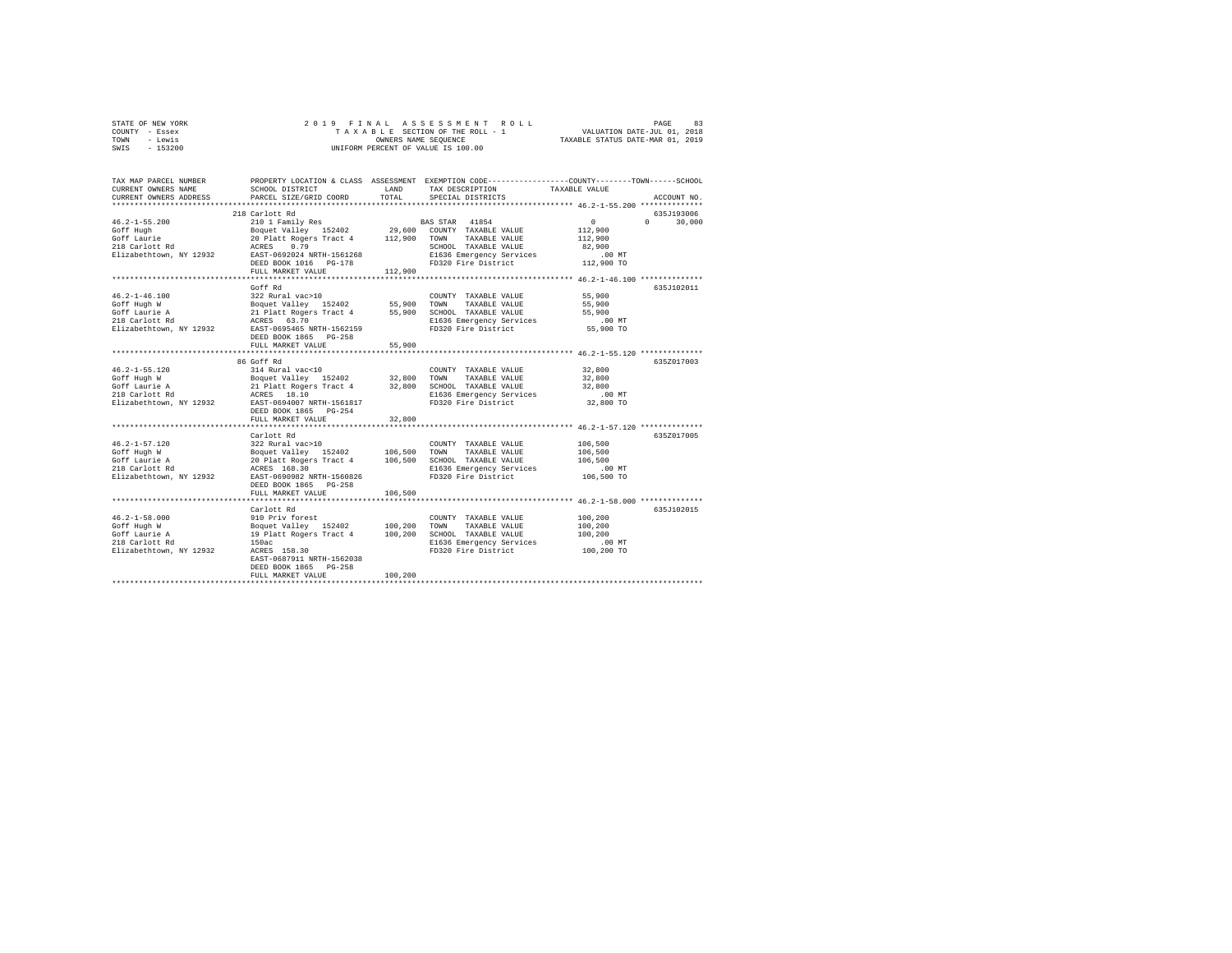| STATE OF NEW YORK | 2019 FINAL ASSESSMENT ROLL         | 83<br>PAGE                       |
|-------------------|------------------------------------|----------------------------------|
| COUNTY - Essex    | TAXABLE SECTION OF THE ROLL - 1    | VALUATION DATE-JUL 01, 2018      |
| TOWN<br>- Lewis   | OWNERS NAME SEOUENCE               | TAXABLE STATUS DATE-MAR 01, 2019 |
| $-153200$<br>SWIS | UNIFORM PERCENT OF VALUE IS 100.00 |                                  |

| SCHOOL DISTRICT<br>PARCEL SIZE/GRID COORD                                                                                                                 | LAND<br>TOTAL                                | TAX DESCRIPTION<br>SPECIAL DISTRICTS                                                                                                        |                                                                           | ACCOUNT NO.                                                                                                                                                                                                                                                                                                                                                                                                                                                                                                                                                                                                                                                                                                                                                                                                          |
|-----------------------------------------------------------------------------------------------------------------------------------------------------------|----------------------------------------------|---------------------------------------------------------------------------------------------------------------------------------------------|---------------------------------------------------------------------------|----------------------------------------------------------------------------------------------------------------------------------------------------------------------------------------------------------------------------------------------------------------------------------------------------------------------------------------------------------------------------------------------------------------------------------------------------------------------------------------------------------------------------------------------------------------------------------------------------------------------------------------------------------------------------------------------------------------------------------------------------------------------------------------------------------------------|
| 218 Carlott Rd<br>0.79<br>ACRES                                                                                                                           |                                              |                                                                                                                                             | $\sim$ 0<br>112,900<br>112,900<br>82,900<br>$.00$ MT                      | 635J193006<br>$\Omega$ and $\Omega$<br>30,000                                                                                                                                                                                                                                                                                                                                                                                                                                                                                                                                                                                                                                                                                                                                                                        |
| FULL MARKET VALUE                                                                                                                                         | 112,900                                      |                                                                                                                                             |                                                                           |                                                                                                                                                                                                                                                                                                                                                                                                                                                                                                                                                                                                                                                                                                                                                                                                                      |
| Goff Rd<br>322 Rural vac>10<br>ACRES 63.70<br>DEED BOOK 1865 PG-258                                                                                       |                                              | COUNTY TAXABLE VALUE<br>TAXABLE VALUE                                                                                                       | 55,900<br>55,900<br>55,900<br>.00 MT<br>55,900 TO                         | 635.T102011                                                                                                                                                                                                                                                                                                                                                                                                                                                                                                                                                                                                                                                                                                                                                                                                          |
| FULL MARKET VALUE                                                                                                                                         | 55,900                                       |                                                                                                                                             |                                                                           |                                                                                                                                                                                                                                                                                                                                                                                                                                                                                                                                                                                                                                                                                                                                                                                                                      |
| 86 Goff Rd<br>314 Rural vac<10<br>ACRES 18.10<br>DEED BOOK 1865 PG-254<br>FULL MARKET VALUE                                                               | 32,800                                       | COUNTY TAXABLE VALUE                                                                                                                        | 32,800<br>32,800<br>32,800<br>$.00$ MT<br>32,800 TO                       | 635Z017003                                                                                                                                                                                                                                                                                                                                                                                                                                                                                                                                                                                                                                                                                                                                                                                                           |
| Carlott Rd<br>322 Rural vac>10<br>ACRES 168.30<br>DEED BOOK 1865 PG-258<br>FULL MARKET VALUE                                                              | 106,500                                      | COUNTY TAXABLE VALUE                                                                                                                        | 106,500<br>106,500<br>106,500<br>$.00$ MT<br>106,500 TO                   | 635Z017005                                                                                                                                                                                                                                                                                                                                                                                                                                                                                                                                                                                                                                                                                                                                                                                                           |
| Carlott Rd<br>910 Priv forest<br>Boquet Valley 152402<br>150ac<br>ACRES 158.30<br>EAST-0687911 NRTH-1562038<br>DEED BOOK 1865 PG-258<br>FULL MARKET VALUE | 100,200                                      | COUNTY TAXABLE VALUE                                                                                                                        | 100,200<br>100,200<br>100,200<br>$.00$ MT<br>100,200 TO                   | 635J102015                                                                                                                                                                                                                                                                                                                                                                                                                                                                                                                                                                                                                                                                                                                                                                                                           |
|                                                                                                                                                           | DEED BOOK 1016 PG-178<br>******************* | EAST-0692024 NRTH-1561268<br>EAST-0695465 NRTH-1562159<br>EAST-0694007 NRTH-1561817<br>EAST-0690982 NRTH-1560826<br>19 Platt Rogers Tract 4 | Boquet Valley 152402 55,900 TOWN<br>100,200 TOWN TAXABLE VALUE<br>100,200 | PROPERTY LOCATION & CLASS ASSESSMENT EXEMPTION CODE---------------COUNTY-------TOWN-----SCHOOL<br>TAXABLE VALUE<br>210 1 Family Res 152402 (1985) 885 STAR 41854<br>Boquet Valley 152402 (1986) 29,600 COUNTY TAXABLE VALUE<br>20 Platt Rogers Tract 4 (112,900 TOWN TAXABLE VALUE<br>SCHOOL TAXABLE VALUE<br>E1636 Emergency Services<br>FD320 Fire District 112,900 TO<br>21 Platt Rogers Tract 4 55,900 SCHOOL TAXABLE VALUE<br>E1636 Emergency Services<br>FD320 Fire District<br>Boquet Valley 152402 32,800 TOWN TAXABLE VALUE<br>21 Platt Rogers Tract 4 32,800 SCHOOL TAXABLE VALUE<br>E1636 Emergency Services<br>FD320 Fire District<br>E1636 Emergency Services<br>FD320 Fire District<br>********* 46.2-1-58.000 ************<br>SCHOOL TAXABLE VALUE<br>E1636 Emergency Services<br>FD320 Fire District |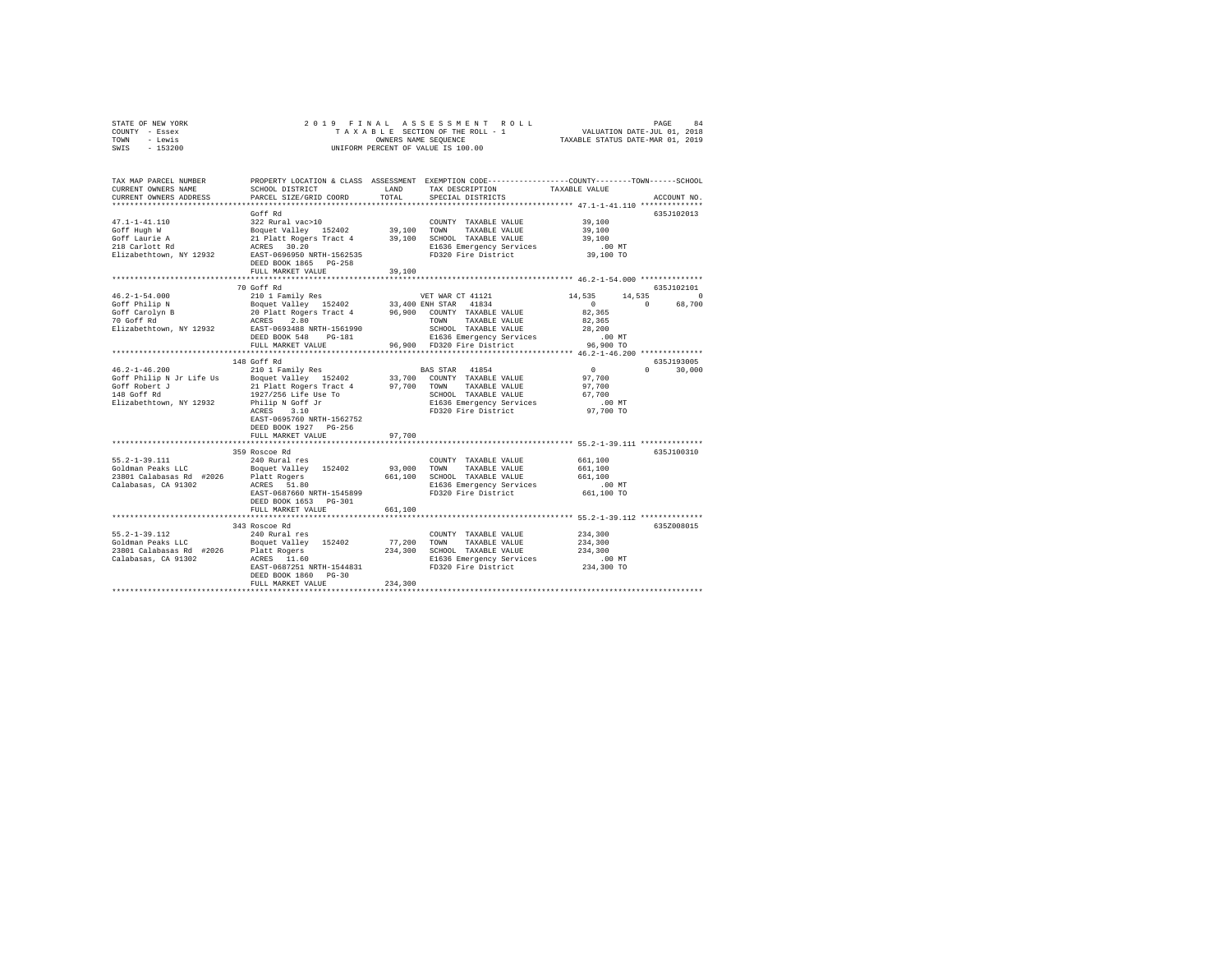| STATE OF NEW YORK | 2019 FINAL ASSESSMENT ROLL         | 84<br>PAGE                       |
|-------------------|------------------------------------|----------------------------------|
| COUNTY - Essex    | TAXABLE SECTION OF THE ROLL - 1    | VALUATION DATE-JUL 01, 2018      |
| TOWN<br>- Lewis   | OWNERS NAME SEOUENCE               | TAXABLE STATUS DATE-MAR 01, 2019 |
| $-153200$<br>SWIS | UNIFORM PERCENT OF VALUE IS 100.00 |                                  |

| SCHOOL DISTRICT<br>PARCEL SIZE/GRID COORD                                                                                                                                                             | LAND<br>TOTAL                                                                                                   | TAX DESCRIPTION<br>SPECIAL DISTRICTS                                                                                                                                      |                                                                                                                                                                                                                                               | ACCOUNT NO.                                                                                                                                                                                                                                                                                                                                                                                                                                                                                                                                        |
|-------------------------------------------------------------------------------------------------------------------------------------------------------------------------------------------------------|-----------------------------------------------------------------------------------------------------------------|---------------------------------------------------------------------------------------------------------------------------------------------------------------------------|-----------------------------------------------------------------------------------------------------------------------------------------------------------------------------------------------------------------------------------------------|----------------------------------------------------------------------------------------------------------------------------------------------------------------------------------------------------------------------------------------------------------------------------------------------------------------------------------------------------------------------------------------------------------------------------------------------------------------------------------------------------------------------------------------------------|
| Goff Rd<br>322 Rural vac>10                                                                                                                                                                           |                                                                                                                 | COUNTY TAXABLE VALUE                                                                                                                                                      | 39,100<br>39,100<br>39,100<br>$.00$ MT                                                                                                                                                                                                        | 635J102013                                                                                                                                                                                                                                                                                                                                                                                                                                                                                                                                         |
| DEED BOOK 1865 PG-258<br>FULL MARKET VALUE<br>******************                                                                                                                                      | 39,100                                                                                                          |                                                                                                                                                                           |                                                                                                                                                                                                                                               |                                                                                                                                                                                                                                                                                                                                                                                                                                                                                                                                                    |
| 70 Goff Rd<br>210 1 Family Res                                                                                                                                                                        |                                                                                                                 | TOWN TAXABLE VALUE<br>SCHOOL TAXABLE VALUE                                                                                                                                | 14,535<br>$\sim$ 0<br>$\sim$ 0<br>82,365<br>82,365<br>28,200                                                                                                                                                                                  | 635J102101<br>14,535<br>$\circ$<br>68,700                                                                                                                                                                                                                                                                                                                                                                                                                                                                                                          |
| FULL MARKET VALUE                                                                                                                                                                                     |                                                                                                                 |                                                                                                                                                                           | 96,900 TO                                                                                                                                                                                                                                     |                                                                                                                                                                                                                                                                                                                                                                                                                                                                                                                                                    |
| 148 Goff Rd<br>210 1 Family Res<br>21 Platt Rogers Tract 4<br>21 Platt Rogers Tract 4<br>1927/256 Life Use To<br>Philip N Goff Jr<br>ACRES 3.10<br>EAST-0695760 NRTH-1562752<br>DEED BOOK 1927 PG-256 |                                                                                                                 |                                                                                                                                                                           | $\sim$ 0<br>97,700<br>97,700<br>67,700<br>$.00$ MT<br>97,700 TO                                                                                                                                                                               | 635J193005<br>$\Omega$ and $\Omega$<br>30,000                                                                                                                                                                                                                                                                                                                                                                                                                                                                                                      |
| 359 Roscoe Rd                                                                                                                                                                                         |                                                                                                                 |                                                                                                                                                                           |                                                                                                                                                                                                                                               | 635J100310                                                                                                                                                                                                                                                                                                                                                                                                                                                                                                                                         |
| DEED BOOK 1653 PG-301                                                                                                                                                                                 |                                                                                                                 | TAXABLE VALUE                                                                                                                                                             | 661,100<br>661,100<br>$.00$ MT<br>$661,100$ TO                                                                                                                                                                                                |                                                                                                                                                                                                                                                                                                                                                                                                                                                                                                                                                    |
|                                                                                                                                                                                                       |                                                                                                                 |                                                                                                                                                                           |                                                                                                                                                                                                                                               |                                                                                                                                                                                                                                                                                                                                                                                                                                                                                                                                                    |
| 343 Roscoe Rd<br>240 Rural res<br>Boquet Valley 152402<br>23801 Calabasas Rd #2026 Platt Rogers<br>ACRES 11.60<br>DEED BOOK 1860 PG-30<br>FULL MARKET VALUE                                           | 234,300                                                                                                         | COUNTY TAXABLE VALUE<br>TAXABLE VALUE<br>FD320 Fire District                                                                                                              | 234,300<br>234,300<br>234,300<br>$.00$ MT<br>234,300 TO                                                                                                                                                                                       | 635Z008015                                                                                                                                                                                                                                                                                                                                                                                                                                                                                                                                         |
|                                                                                                                                                                                                       | EAST-0696950 NRTH-1562535<br>DEED BOOK 548<br>PG-181<br>FULL MARKET VALUE<br>240 Rural res<br>FULL MARKET VALUE | Boquet Valley 152402<br>20 Platt Rogers Tract 4<br>ACRES 2.80<br>EAST-0693488 NRTH-1561990<br>97,700<br>EAST-0687660 NRTH-1545899<br>661,100<br>EAST-0687251 NRTH-1544831 | VET WAR CT 41121<br>33,400 ENH STAR 41834<br>96.900 COUNTY TAXABLE VALUE<br>BAS STAR 41854<br>97,700 TOWN TAXABLE VALUE<br>COUNTY TAXABLE VALUE<br>93,000 TOWN<br>661,100 SCHOOL TAXABLE VALUE<br>77,200 TOWN<br>234,300 SCHOOL TAXABLE VALUE | PROPERTY LOCATION & CLASS ASSESSMENT EXEMPTION CODE---------------COUNTY-------TOWN-----SCHOOL<br>TAXABLE VALUE<br>E1636 Emergency Services<br>39,100 TO<br>FD320 Fire District<br>********************************** 46.2-1-54.000 ***************<br>E1636 Emergency Services<br>$.00$ MT<br>96.900 FD320 Fire District<br>Boquet Valley 152402 33,700 COUNTY TAXABLE VALUE<br>SCHOOL TAXABLE VALUE<br>E1636 Emergency Services<br>FD320 Fire District<br>661,100<br>E1636 Emergency Services<br>FD320 Fire District<br>E1636 Emergency Services |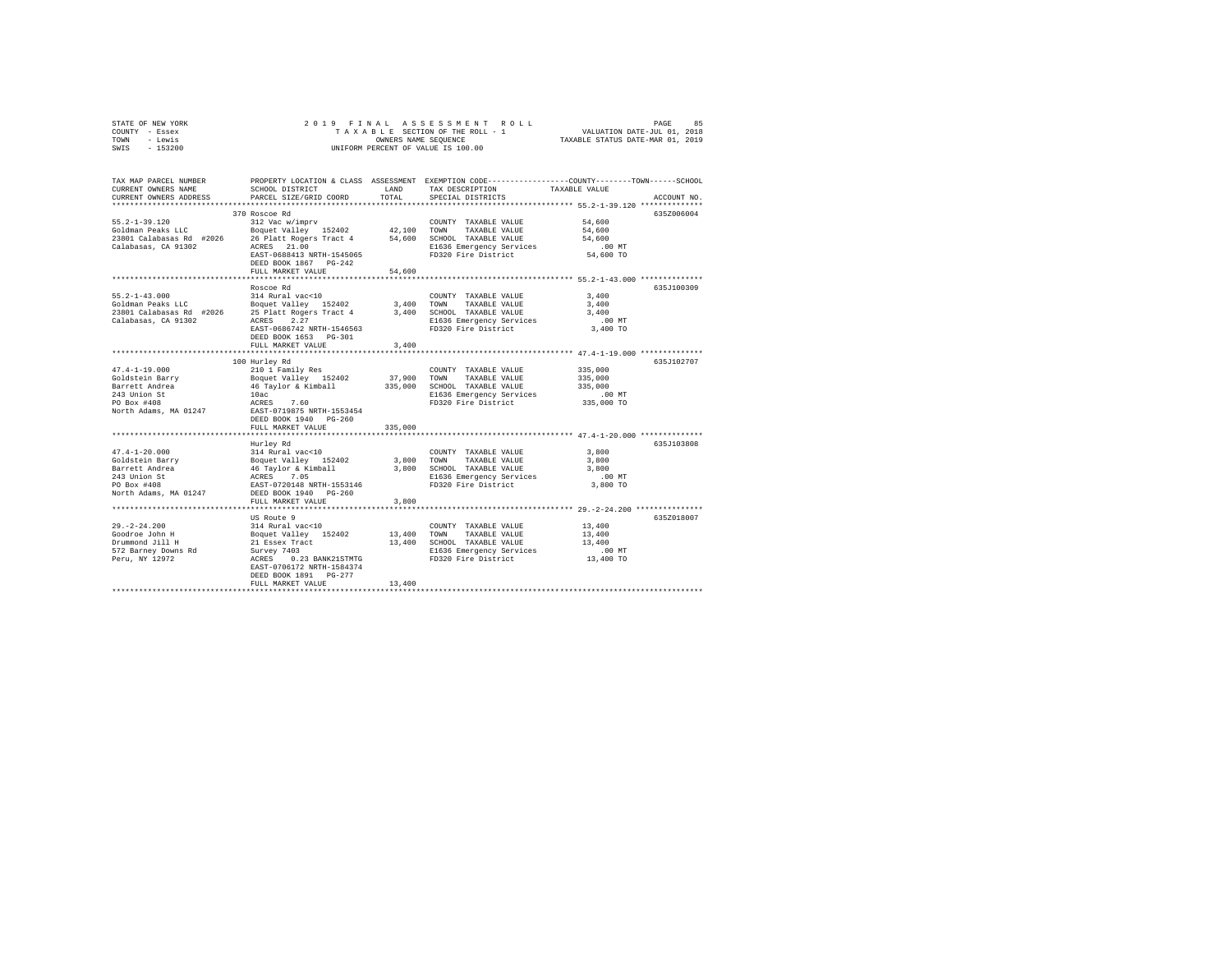|                | STATE OF NEW YORK |  |  |                      |                                    | 2019 FINAL ASSESSMENT ROLL |                                  | PAGE | 85 |
|----------------|-------------------|--|--|----------------------|------------------------------------|----------------------------|----------------------------------|------|----|
| COUNTY - Essex |                   |  |  |                      | TAXABLE SECTION OF THE ROLL - 1    |                            | VALUATION DATE-JUL 01, 2018      |      |    |
| TOWN           | - Lewis           |  |  | OWNERS NAME SEOUENCE |                                    |                            | TAXABLE STATUS DATE-MAR 01, 2019 |      |    |
| SWIS           | - 153200          |  |  |                      | UNIFORM PERCENT OF VALUE IS 100.00 |                            |                                  |      |    |
|                |                   |  |  |                      |                                    |                            |                                  |      |    |

| TAX MAP PARCEL NUMBER  |                                                                                                                                                                                                                                        |         |                                                                   | PROPERTY LOCATION & CLASS ASSESSMENT EXEMPTION CODE----------------COUNTY-------TOWN------SCHOOL |
|------------------------|----------------------------------------------------------------------------------------------------------------------------------------------------------------------------------------------------------------------------------------|---------|-------------------------------------------------------------------|--------------------------------------------------------------------------------------------------|
| CURRENT OWNERS NAME    | SCHOOL DISTRICT                                                                                                                                                                                                                        | LAND    | TAX DESCRIPTION                                                   | TAXABLE VALUE                                                                                    |
| CURRENT OWNERS ADDRESS | PARCEL SIZE/GRID COORD                                                                                                                                                                                                                 | TOTAL   | SPECIAL DISTRICTS                                                 | ACCOUNT NO.                                                                                      |
|                        |                                                                                                                                                                                                                                        |         |                                                                   |                                                                                                  |
|                        | 370 Roscoe Rd                                                                                                                                                                                                                          |         |                                                                   | 635Z006004                                                                                       |
|                        |                                                                                                                                                                                                                                        |         |                                                                   |                                                                                                  |
|                        |                                                                                                                                                                                                                                        |         |                                                                   |                                                                                                  |
|                        | 99 112 Vac w/impry 1512 COUNTY TAXABLE VALUE 54,600<br>Coldman Peaks LLC 20 26 26 102 102 102 42,100 TOWN TAXABLE VALUE 54,600<br>23801 Calabasas Rd #2026 26 Platt Rogers Tract 4 54,600 SCHOOL TAXABLE VALUE 54,600<br>Calabasas, CA |         |                                                                   |                                                                                                  |
|                        | $EAST-0688413$ NRTH-1545065<br>DRED BOOK 1065                                                                                                                                                                                          |         |                                                                   |                                                                                                  |
|                        |                                                                                                                                                                                                                                        |         | FD320 Fire District                                               | 54,600 TO                                                                                        |
|                        | DEED BOOK 1867 PG-242                                                                                                                                                                                                                  |         |                                                                   |                                                                                                  |
|                        | FULL MARKET VALUE                                                                                                                                                                                                                      | 54,600  |                                                                   |                                                                                                  |
|                        |                                                                                                                                                                                                                                        |         |                                                                   | ********************************* 55.2-1-43.000 ***************                                  |
|                        | Roscoe Rd                                                                                                                                                                                                                              |         |                                                                   | 635J100309                                                                                       |
|                        |                                                                                                                                                                                                                                        |         |                                                                   | 3,400                                                                                            |
|                        |                                                                                                                                                                                                                                        |         |                                                                   | 3,400                                                                                            |
|                        |                                                                                                                                                                                                                                        |         |                                                                   | 3,400                                                                                            |
|                        |                                                                                                                                                                                                                                        |         |                                                                   |                                                                                                  |
|                        | EAST-0686742 NRTH-1546563                                                                                                                                                                                                              |         | E1636 Emergency Services .00 MT<br>FD320 Fire District 3,400 TO   |                                                                                                  |
|                        | DEED BOOK 1653 PG-301                                                                                                                                                                                                                  |         |                                                                   |                                                                                                  |
|                        | FULL MARKET VALUE                                                                                                                                                                                                                      | 3,400   |                                                                   |                                                                                                  |
|                        |                                                                                                                                                                                                                                        |         |                                                                   |                                                                                                  |
|                        | 100 Hurley Rd                                                                                                                                                                                                                          |         |                                                                   | 635J102707                                                                                       |
|                        |                                                                                                                                                                                                                                        |         | COUNTY TAXABLE VALUE 335,000                                      |                                                                                                  |
|                        |                                                                                                                                                                                                                                        |         |                                                                   | 335,000                                                                                          |
|                        |                                                                                                                                                                                                                                        |         |                                                                   | 335,000                                                                                          |
| 243 Union St           |                                                                                                                                                                                                                                        |         |                                                                   |                                                                                                  |
| PO Box #408            |                                                                                                                                                                                                                                        |         |                                                                   |                                                                                                  |
| North Adams, MA 01247  | 10ac<br>ACRES 7.60<br>EAST-0719875 NRTH-1553454                                                                                                                                                                                        |         |                                                                   |                                                                                                  |
|                        | DEED BOOK 1940 PG-260                                                                                                                                                                                                                  |         |                                                                   |                                                                                                  |
|                        | FULL MARKET VALUE                                                                                                                                                                                                                      | 335,000 |                                                                   |                                                                                                  |
|                        |                                                                                                                                                                                                                                        |         |                                                                   |                                                                                                  |
|                        |                                                                                                                                                                                                                                        |         |                                                                   |                                                                                                  |
|                        | Hurley Rd                                                                                                                                                                                                                              |         |                                                                   | 635J103808                                                                                       |
|                        |                                                                                                                                                                                                                                        |         |                                                                   | 3,800                                                                                            |
|                        |                                                                                                                                                                                                                                        |         |                                                                   | 3,800                                                                                            |
|                        |                                                                                                                                                                                                                                        |         |                                                                   | 3,800                                                                                            |
|                        |                                                                                                                                                                                                                                        |         |                                                                   | $.00$ MT                                                                                         |
|                        |                                                                                                                                                                                                                                        |         |                                                                   | 3,800 TO                                                                                         |
|                        |                                                                                                                                                                                                                                        |         |                                                                   |                                                                                                  |
|                        | FULL MARKET VALUE                                                                                                                                                                                                                      | 3,800   |                                                                   |                                                                                                  |
|                        |                                                                                                                                                                                                                                        |         |                                                                   |                                                                                                  |
|                        | US Route 9                                                                                                                                                                                                                             |         |                                                                   | 635Z018007                                                                                       |
|                        |                                                                                                                                                                                                                                        |         | COUNTY TAXABLE VALUE 13,400                                       |                                                                                                  |
|                        |                                                                                                                                                                                                                                        |         | 13,400 TOWN TAXABLE VALUE                                         | 13,400                                                                                           |
|                        |                                                                                                                                                                                                                                        |         | 13,400 SCHOOL TAXABLE VALUE                                       | 13,400                                                                                           |
|                        | 39.-2-24.200<br>314 Rural vac<br>-10 11 Boquet Valley 152402<br>Goodroe John H Boquet Valley 152402<br>Frummond Jill H Boquet Valley T403<br>                                                                                          |         | E1636 Emergency Services .00 MT<br>FD320 Fire District  13,400 TO |                                                                                                  |
|                        |                                                                                                                                                                                                                                        |         |                                                                   |                                                                                                  |
|                        |                                                                                                                                                                                                                                        |         |                                                                   |                                                                                                  |
|                        | DEED BOOK 1891 PG-277                                                                                                                                                                                                                  |         |                                                                   |                                                                                                  |
|                        | FULL MARKET VALUE                                                                                                                                                                                                                      | 13,400  |                                                                   |                                                                                                  |
|                        |                                                                                                                                                                                                                                        |         |                                                                   |                                                                                                  |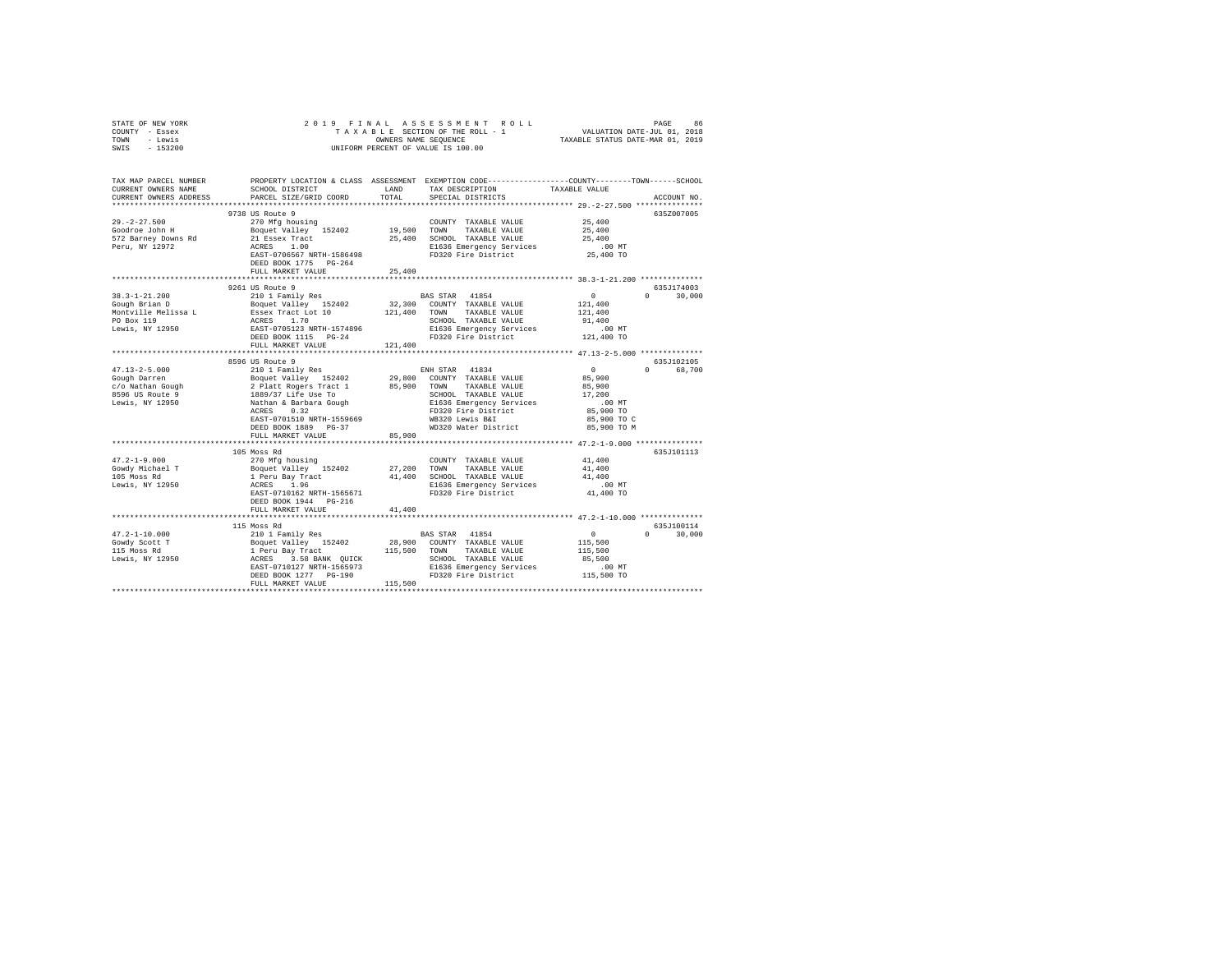| STATE OF NEW YORK<br>COUNTY - Essex                                                                                                                                                                                                                                                                                                                                           |                                                                                                                                 |         |                                                                 |                                                  |               |  |  |
|-------------------------------------------------------------------------------------------------------------------------------------------------------------------------------------------------------------------------------------------------------------------------------------------------------------------------------------------------------------------------------|---------------------------------------------------------------------------------------------------------------------------------|---------|-----------------------------------------------------------------|--------------------------------------------------|---------------|--|--|
| TOWN - Lewis                                                                                                                                                                                                                                                                                                                                                                  |                                                                                                                                 |         |                                                                 |                                                  |               |  |  |
| SWIS - 153200                                                                                                                                                                                                                                                                                                                                                                 |                                                                                                                                 |         |                                                                 |                                                  |               |  |  |
|                                                                                                                                                                                                                                                                                                                                                                               |                                                                                                                                 |         |                                                                 |                                                  |               |  |  |
| TAX MAP PARCEL NUMBER PROPERTY LOCATION & CLASS ASSESSMENT EXEMPTION CODE---------------COUNTY-------TOWN------SCHOOL                                                                                                                                                                                                                                                         |                                                                                                                                 |         |                                                                 |                                                  |               |  |  |
| CURRENT OWNERS NAME                                                                                                                                                                                                                                                                                                                                                           | SCHOOL DISTRICT TAND TAX DESCRIPTION                                                                                            |         |                                                                 | TAXABLE VALUE                                    |               |  |  |
| CURRENT OWNERS ADDRESS                                                                                                                                                                                                                                                                                                                                                        | PARCEL SIZE/GRID COORD                                                                                                          | TOTAL   | SPECIAL DISTRICTS                                               |                                                  | ACCOUNT NO.   |  |  |
|                                                                                                                                                                                                                                                                                                                                                                               |                                                                                                                                 |         |                                                                 |                                                  |               |  |  |
|                                                                                                                                                                                                                                                                                                                                                                               | 9738 US Route 9                                                                                                                 |         |                                                                 |                                                  | 635Z007005    |  |  |
| $29. -2 - 27.500$                                                                                                                                                                                                                                                                                                                                                             | 270 Mfg housing                                                                                                                 |         | COUNTY TAXABLE VALUE                                            | 25,400                                           |               |  |  |
| Goodroe John H                                                                                                                                                                                                                                                                                                                                                                |                                                                                                                                 |         | TAXABLE VALUE                                                   | 25,400                                           |               |  |  |
| 572 Barney Downs Rd                                                                                                                                                                                                                                                                                                                                                           | Boquet Valley 152402 19,500 TOWN TAXABLE VALUE<br>21 Easex Tract 25,400 SCHOOL TAXABLE VALUE<br>25,400 E1636 Emergency Services |         |                                                                 | 25,400                                           |               |  |  |
| Peru, NY 12972                                                                                                                                                                                                                                                                                                                                                                | EAST-0706567 NRTH-1586498                                                                                                       |         | E1636 Emergency Services 00 MT<br>FD320 Fire District 25,400 TO |                                                  |               |  |  |
|                                                                                                                                                                                                                                                                                                                                                                               |                                                                                                                                 |         |                                                                 |                                                  |               |  |  |
|                                                                                                                                                                                                                                                                                                                                                                               | DEED BOOK 1775 PG-264                                                                                                           |         |                                                                 |                                                  |               |  |  |
|                                                                                                                                                                                                                                                                                                                                                                               | FULL MARKET VALUE                                                                                                               | 25,400  |                                                                 |                                                  |               |  |  |
|                                                                                                                                                                                                                                                                                                                                                                               |                                                                                                                                 |         |                                                                 |                                                  | 635J174003    |  |  |
| $38.3 - 1 - 21.200$                                                                                                                                                                                                                                                                                                                                                           | 9261 US Route 9<br>210 1 Family Res                                                                                             |         | BAS STAR 41854                                                  | $\sim$ 0                                         | $0 \t 30.000$ |  |  |
|                                                                                                                                                                                                                                                                                                                                                                               |                                                                                                                                 |         |                                                                 | 121,400                                          |               |  |  |
|                                                                                                                                                                                                                                                                                                                                                                               |                                                                                                                                 |         |                                                                 | 121,400                                          |               |  |  |
|                                                                                                                                                                                                                                                                                                                                                                               |                                                                                                                                 |         |                                                                 | 91,400                                           |               |  |  |
|                                                                                                                                                                                                                                                                                                                                                                               |                                                                                                                                 |         |                                                                 |                                                  |               |  |  |
|                                                                                                                                                                                                                                                                                                                                                                               | DEED BOOK 1115 PG-24                                                                                                            |         |                                                                 |                                                  |               |  |  |
|                                                                                                                                                                                                                                                                                                                                                                               | FULL MARKET VALUE                                                                                                               | 121,400 |                                                                 |                                                  |               |  |  |
|                                                                                                                                                                                                                                                                                                                                                                               |                                                                                                                                 |         |                                                                 | ******************* 47.13-2-5.000 ************** |               |  |  |
|                                                                                                                                                                                                                                                                                                                                                                               | 8596 US Route 9                                                                                                                 |         |                                                                 |                                                  | 635J102105    |  |  |
|                                                                                                                                                                                                                                                                                                                                                                               |                                                                                                                                 |         |                                                                 |                                                  | 0 68,700      |  |  |
|                                                                                                                                                                                                                                                                                                                                                                               |                                                                                                                                 |         |                                                                 |                                                  |               |  |  |
|                                                                                                                                                                                                                                                                                                                                                                               |                                                                                                                                 |         |                                                                 |                                                  |               |  |  |
|                                                                                                                                                                                                                                                                                                                                                                               |                                                                                                                                 |         |                                                                 |                                                  |               |  |  |
|                                                                                                                                                                                                                                                                                                                                                                               |                                                                                                                                 |         |                                                                 |                                                  |               |  |  |
|                                                                                                                                                                                                                                                                                                                                                                               |                                                                                                                                 |         |                                                                 |                                                  |               |  |  |
|                                                                                                                                                                                                                                                                                                                                                                               | EAST-0701510 NRTH-1559669                                                                                                       |         | WB320 Lewis B&I<br>WD320 Water District                         | 85,900 TO C                                      |               |  |  |
|                                                                                                                                                                                                                                                                                                                                                                               | DEED BOOK 1889 PG-37                                                                                                            |         |                                                                 | 85,900 TO M                                      |               |  |  |
|                                                                                                                                                                                                                                                                                                                                                                               | FULL MARKET VALUE                                                                                                               | 85,900  |                                                                 |                                                  |               |  |  |
|                                                                                                                                                                                                                                                                                                                                                                               |                                                                                                                                 |         |                                                                 |                                                  |               |  |  |
|                                                                                                                                                                                                                                                                                                                                                                               | 105 Moss Rd                                                                                                                     |         |                                                                 |                                                  | 635J101113    |  |  |
|                                                                                                                                                                                                                                                                                                                                                                               |                                                                                                                                 |         | COUNTY TAXABLE VALUE 41,400<br>27,200 TOWN TAXABLE VALUE        | 41,400                                           |               |  |  |
| $\begin{tabular}{lllllllllllll} \multicolumn{4}{c }{\textbf{1.9.1.9.1.9.1.9.1}} \multicolumn{4}{c }{\textbf{4.9.1.9.1.9.1.9.1}} \multicolumn{4}{c }{\textbf{1.9.1.9.1.9.1}} \multicolumn{4}{c }{\textbf{1.9.1.9.1}} \multicolumn{4}{c }{\textbf{1.9.1.9.1}} \multicolumn{4}{c }{\textbf{1.9.1.9.1}} \multicolumn{4}{c }{\textbf{1.9.1.9.1}} \multicolumn{4}{c }{\textbf{1.9.$ |                                                                                                                                 |         |                                                                 | 41,400                                           |               |  |  |
|                                                                                                                                                                                                                                                                                                                                                                               |                                                                                                                                 |         | 41,400 SCHOOL TAXABLE VALUE<br>E1636 Emergency Services         |                                                  |               |  |  |
|                                                                                                                                                                                                                                                                                                                                                                               |                                                                                                                                 |         | FD320 Fire District                                             | .00 MT<br>41,400 TO                              |               |  |  |
|                                                                                                                                                                                                                                                                                                                                                                               | DEED BOOK 1944 PG-216                                                                                                           |         |                                                                 |                                                  |               |  |  |
|                                                                                                                                                                                                                                                                                                                                                                               | FULL MARKET VALUE                                                                                                               | 41,400  |                                                                 |                                                  |               |  |  |
|                                                                                                                                                                                                                                                                                                                                                                               |                                                                                                                                 |         |                                                                 |                                                  |               |  |  |
|                                                                                                                                                                                                                                                                                                                                                                               | 115 Moss Rd                                                                                                                     |         |                                                                 |                                                  | 635J100114    |  |  |
| $47.2 - 1 - 10.000$                                                                                                                                                                                                                                                                                                                                                           |                                                                                                                                 |         |                                                                 |                                                  | $0 \t 30,000$ |  |  |
|                                                                                                                                                                                                                                                                                                                                                                               |                                                                                                                                 |         |                                                                 |                                                  |               |  |  |
| Gowdy Scott T<br>115 Moss Rd                                                                                                                                                                                                                                                                                                                                                  |                                                                                                                                 |         |                                                                 |                                                  |               |  |  |
| Lewis, NY 12950                                                                                                                                                                                                                                                                                                                                                               |                                                                                                                                 |         |                                                                 |                                                  |               |  |  |
|                                                                                                                                                                                                                                                                                                                                                                               |                                                                                                                                 |         |                                                                 |                                                  |               |  |  |
|                                                                                                                                                                                                                                                                                                                                                                               |                                                                                                                                 |         |                                                                 |                                                  |               |  |  |
|                                                                                                                                                                                                                                                                                                                                                                               |                                                                                                                                 |         |                                                                 |                                                  |               |  |  |
|                                                                                                                                                                                                                                                                                                                                                                               |                                                                                                                                 |         |                                                                 |                                                  |               |  |  |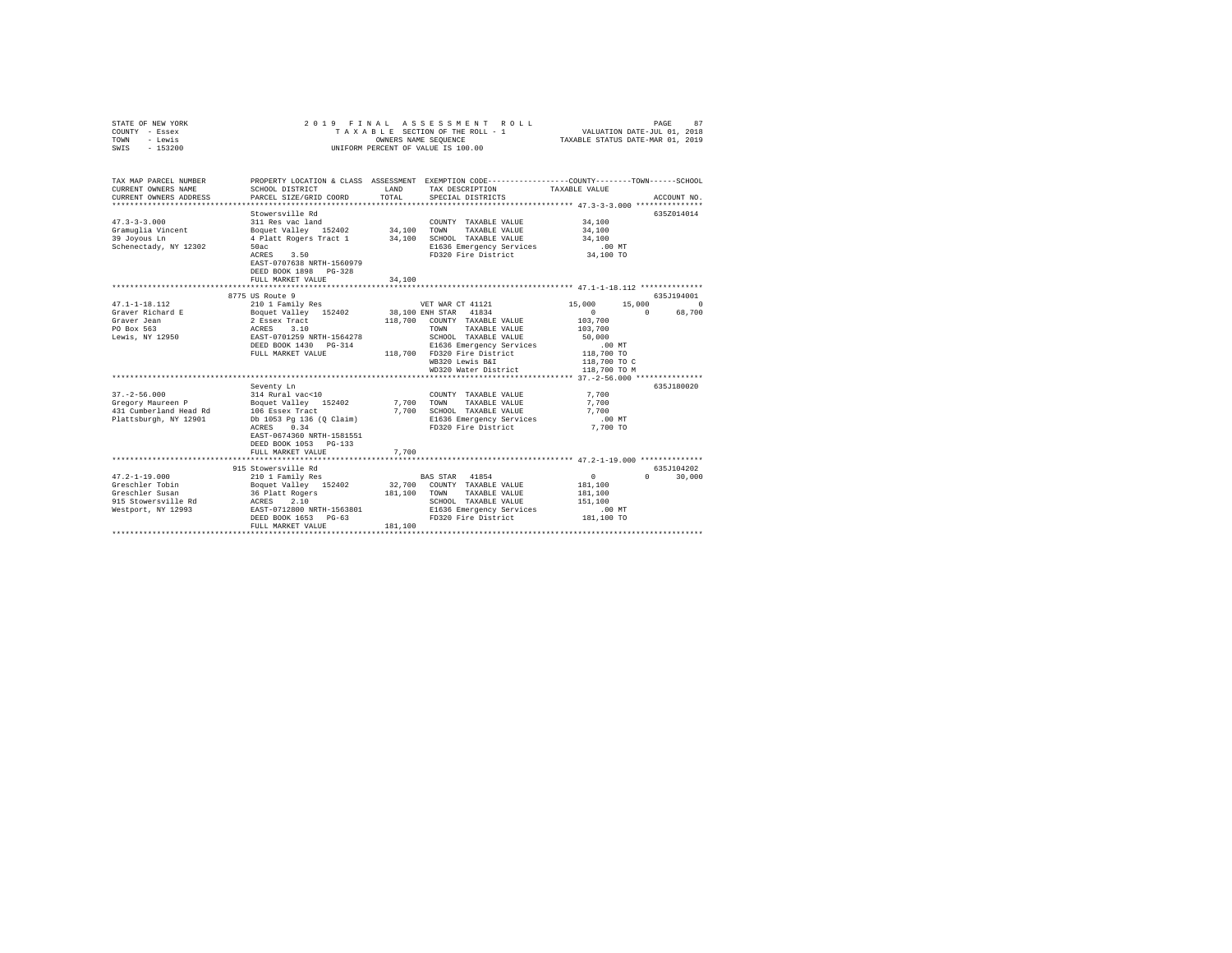| STATE OF NEW YORK<br>COUNTY - Essex<br>TOWN<br>- Lewis<br>$-153200$<br>SWIS | 2019 FINAL<br>TAXABLE SECTION OF THE ROLL - 1<br>UNIFORM PERCENT OF VALUE IS 100.00 | VALUATION DATE-JUL 01, 2018<br>TAXABLE STATUS DATE-MAR 01, 2019 | PAGE<br>87                                                                                                                              |                              |                    |
|-----------------------------------------------------------------------------|-------------------------------------------------------------------------------------|-----------------------------------------------------------------|-----------------------------------------------------------------------------------------------------------------------------------------|------------------------------|--------------------|
| TAX MAP PARCEL NUMBER<br>CURRENT OWNERS NAME<br>CURRENT OWNERS ADDRESS      | SCHOOL DISTRICT<br>PARCEL SIZE/GRID COORD                                           | LAND<br>TOTAL                                                   | PROPERTY LOCATION & CLASS ASSESSMENT EXEMPTION CODE---------------COUNTY-------TOWN------SCHOOL<br>TAX DESCRIPTION<br>SPECIAL DISTRICTS | TAXABLE VALUE                | ACCOUNT NO.        |
| **************************                                                  |                                                                                     |                                                                 |                                                                                                                                         |                              |                    |
|                                                                             | Stowersville Rd                                                                     |                                                                 |                                                                                                                                         |                              | 635Z014014         |
| $47.3 - 3 - 3.000$                                                          | 311 Res vac land                                                                    |                                                                 | COUNTY TAXABLE VALUE                                                                                                                    | 34,100                       |                    |
| Gramuglia Vincent<br>39 Jovous Ln                                           | Boquet Valley 152402                                                                | 34,100<br>34,100                                                | TOWN<br>TAXABLE VALUE<br>SCHOOL TAXABLE VALUE                                                                                           | 34,100<br>34,100             |                    |
| Schenectady, NY 12302                                                       | 4 Platt Rogers Tract 1<br>50ac                                                      |                                                                 | E1636 Emergency Services                                                                                                                | $.00$ MT                     |                    |
|                                                                             | 3.50<br>ACRES                                                                       |                                                                 | FD320 Fire District                                                                                                                     | 34,100 TO                    |                    |
|                                                                             | EAST-0707638 NRTH-1560979<br>DEED BOOK 1898 PG-328<br>FULL MARKET VALUE             | 34,100                                                          |                                                                                                                                         |                              |                    |
|                                                                             |                                                                                     |                                                                 |                                                                                                                                         |                              |                    |
|                                                                             | 8775 US Route 9                                                                     |                                                                 |                                                                                                                                         |                              | 635J194001         |
| $47.1 - 1 - 18.112$                                                         | 210 1 Family Res                                                                    |                                                                 | VET WAR CT 41121                                                                                                                        | 15,000                       | 15,000<br>$\Omega$ |
| Graver Richard E                                                            | Boquet Valley 152402                                                                |                                                                 | 38,100 ENH STAR 41834                                                                                                                   | $^{\circ}$                   | 68,700<br>$\Omega$ |
| Graver Jean                                                                 | 2 Essex Tract                                                                       |                                                                 | 118,700 COUNTY TAXABLE VALUE                                                                                                            | 103,700                      |                    |
| PO Box 563                                                                  | ACRES<br>EAST-0<br>3.10                                                             |                                                                 | TOWN<br>TAXABLE VALUE                                                                                                                   | 103,700                      |                    |
| Lewis, NY 12950                                                             | EAST-0701259 NRTH-1564278                                                           |                                                                 | SCHOOL TAXABLE VALUE                                                                                                                    | 50,000                       |                    |
|                                                                             | DEED BOOK 1430 PG-314                                                               |                                                                 | E1636 Emergency Services                                                                                                                | .00MT                        |                    |
|                                                                             | FULL MARKET VALUE                                                                   |                                                                 | 118,700 FD320 Fire District<br>WB320 Lewis B&I                                                                                          | 118,700 TO                   |                    |
|                                                                             |                                                                                     |                                                                 | WD320 Water District                                                                                                                    | 118,700 TO C<br>118,700 TO M |                    |
|                                                                             |                                                                                     |                                                                 |                                                                                                                                         |                              |                    |
|                                                                             | Seventy Ln                                                                          |                                                                 |                                                                                                                                         |                              | 635J180020         |
| $37. - 2 - 56.000$                                                          | 314 Rural vac<10                                                                    |                                                                 | COUNTY TAXABLE VALUE                                                                                                                    | 7,700                        |                    |
| Gregory Maureen P                                                           | Boquet Valley 152402                                                                | 7.700                                                           | TOWN<br>TAXABLE VALUE                                                                                                                   | 7.700                        |                    |
| 431 Cumberland Head Rd                                                      | 106 Essex Tract                                                                     | 7,700                                                           | SCHOOL TAXABLE VALUE                                                                                                                    | 7.700                        |                    |
| Plattsburgh, NY 12901                                                       | Db 1053 Pg 136 (Q Claim)                                                            |                                                                 | E1636 Emergency Services                                                                                                                | $.00$ MT                     |                    |
|                                                                             | ACRES 0.34                                                                          |                                                                 | FD320 Fire District                                                                                                                     | 7,700 TO                     |                    |
|                                                                             | EAST-0674360 NRTH-1581551<br>DEED BOOK 1053 PG-133                                  |                                                                 |                                                                                                                                         |                              |                    |
|                                                                             | FULL MARKET VALUE                                                                   | 7,700                                                           |                                                                                                                                         |                              |                    |
|                                                                             | 915 Stowersville Rd                                                                 |                                                                 |                                                                                                                                         |                              | 635J104202         |
| $47.2 - 1 - 19.000$                                                         | 210 1 Family Res                                                                    |                                                                 | BAS STAR 41854                                                                                                                          | $\circ$                      | $\cap$<br>30,000   |
| Greschler Tobin                                                             | Boquet Valley 152402                                                                | 32,700                                                          | COUNTY TAXABLE VALUE                                                                                                                    | 181,100                      |                    |
| Greschler Susan                                                             | 36 Platt Rogers                                                                     | 181,100                                                         | TAXABLE VALUE<br>TOWN                                                                                                                   | 181,100                      |                    |
| 915 Stowersville Rd                                                         | ACRES<br>2.10                                                                       |                                                                 | SCHOOL TAXABLE VALUE                                                                                                                    | 151,100                      |                    |
| Westport, NY 12993                                                          | EAST-0712800 NRTH-1563801                                                           |                                                                 | E1636 Emergency Services                                                                                                                | $.00$ MT                     |                    |
|                                                                             | DEED BOOK 1653 PG-63                                                                |                                                                 | FD320 Fire District                                                                                                                     | 181,100 TO                   |                    |
|                                                                             | FULL MARKET VALUE                                                                   | 181,100                                                         |                                                                                                                                         |                              |                    |
|                                                                             |                                                                                     |                                                                 |                                                                                                                                         |                              |                    |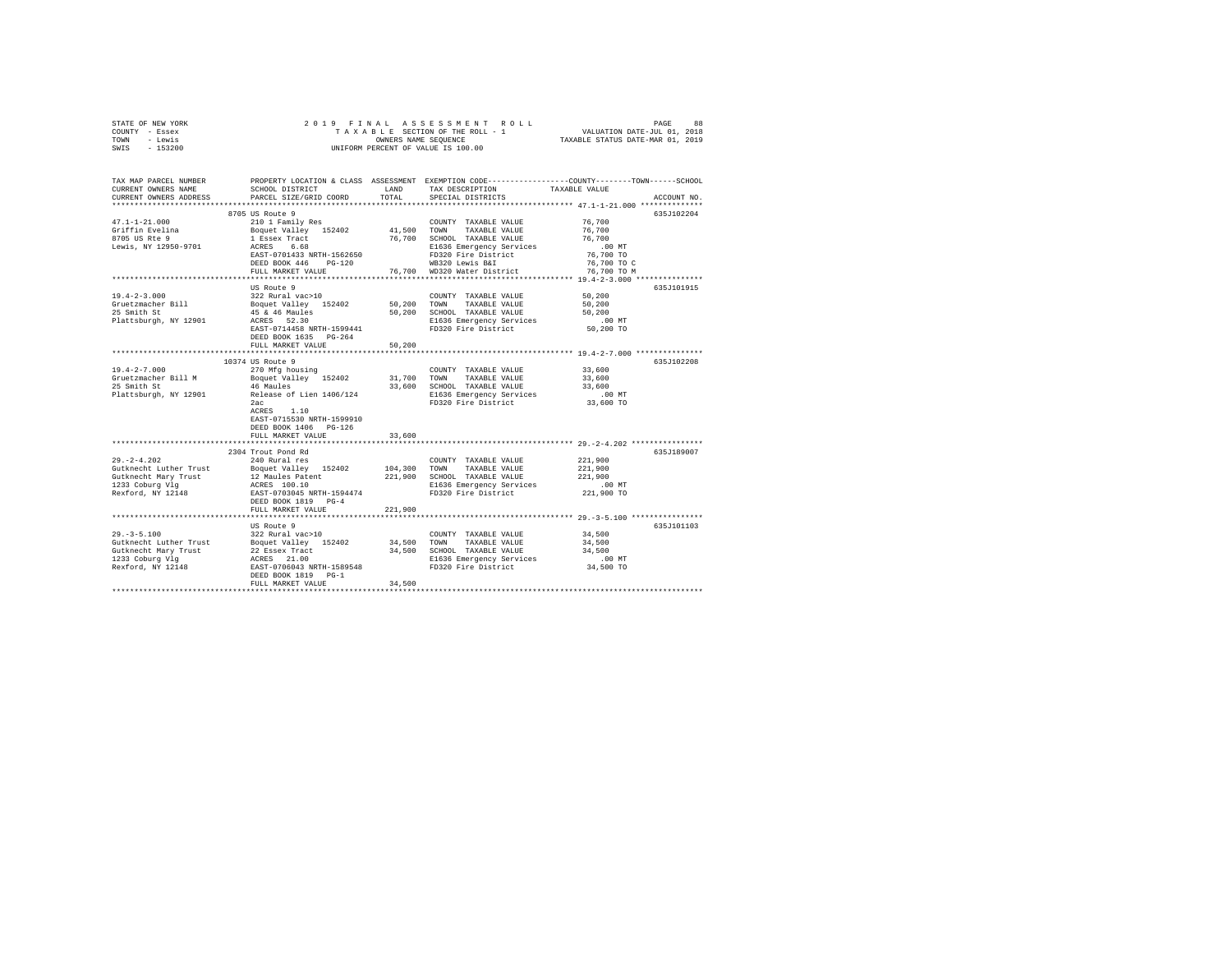| STATE OF NEW YORK<br>COUNTY - Essex                                                                                                                                                                                                                                                                                                                                                                                                                                                                             |                                                                                       |             |                                                                                                |                                                                                                                       |  |  |  |
|-----------------------------------------------------------------------------------------------------------------------------------------------------------------------------------------------------------------------------------------------------------------------------------------------------------------------------------------------------------------------------------------------------------------------------------------------------------------------------------------------------------------|---------------------------------------------------------------------------------------|-------------|------------------------------------------------------------------------------------------------|-----------------------------------------------------------------------------------------------------------------------|--|--|--|
| TOWN - Lewis                                                                                                                                                                                                                                                                                                                                                                                                                                                                                                    | OWNERS NAME SEQUENCE<br>UNIFORM PERCENT OF VALUE IS 100.00                            |             |                                                                                                |                                                                                                                       |  |  |  |
| $-153200$<br>SWIS                                                                                                                                                                                                                                                                                                                                                                                                                                                                                               |                                                                                       |             |                                                                                                |                                                                                                                       |  |  |  |
|                                                                                                                                                                                                                                                                                                                                                                                                                                                                                                                 |                                                                                       |             |                                                                                                | TAX MAP PARCEL NUMBER PROPERTY LOCATION & CLASS ASSESSMENT EXEMPTION CODE---------------COUNTY-------TOWN------SCHOOL |  |  |  |
| CURRENT OWNERS NAME                                                                                                                                                                                                                                                                                                                                                                                                                                                                                             | SCHOOL DISTRICT LAND                                                                  |             | TAX DESCRIPTION                                                                                | TAXABLE VALUE                                                                                                         |  |  |  |
| CURRENT OWNERS ADDRESS                                                                                                                                                                                                                                                                                                                                                                                                                                                                                          | PARCEL SIZE/GRID COORD                                                                | TOTAL       | SPECIAL DISTRICTS                                                                              | ACCOUNT NO.                                                                                                           |  |  |  |
| *************************                                                                                                                                                                                                                                                                                                                                                                                                                                                                                       |                                                                                       |             |                                                                                                |                                                                                                                       |  |  |  |
|                                                                                                                                                                                                                                                                                                                                                                                                                                                                                                                 | 8705 US Route 9                                                                       |             |                                                                                                | 635J102204                                                                                                            |  |  |  |
| $47.1 - 1 - 21.000$                                                                                                                                                                                                                                                                                                                                                                                                                                                                                             | 210 1 Family Res                                                                      |             | COUNTY TAXABLE VALUE                                                                           | 76,700                                                                                                                |  |  |  |
| Griffin Evelina<br>8705 US Rte 9                                                                                                                                                                                                                                                                                                                                                                                                                                                                                | Boquet Valley 152402                                                                  | 41,500 TOWN | TAXABLE VALUE                                                                                  | 76,700                                                                                                                |  |  |  |
|                                                                                                                                                                                                                                                                                                                                                                                                                                                                                                                 | 1 Essex Tract<br>ACRES 6.68                                                           |             | 76,700 SCHOOL TAXABLE VALUE                                                                    | 76,700                                                                                                                |  |  |  |
| Lewis, NY 12950-9701                                                                                                                                                                                                                                                                                                                                                                                                                                                                                            | EAST-0701433 NRTH-1562650                                                             |             | E1636 Emergency Services<br>E1636 Emergency Services<br>FD320 Fire District<br>WB320 Lewis B&I | .00MT<br>76,700 TO                                                                                                    |  |  |  |
|                                                                                                                                                                                                                                                                                                                                                                                                                                                                                                                 | DEED BOOK 446 PG-120                                                                  |             |                                                                                                | 76,700 TO C                                                                                                           |  |  |  |
|                                                                                                                                                                                                                                                                                                                                                                                                                                                                                                                 | FULL MARKET VALUE                                                                     |             | 76,700 WD320 Water District                                                                    | 76,700 TO M                                                                                                           |  |  |  |
|                                                                                                                                                                                                                                                                                                                                                                                                                                                                                                                 |                                                                                       |             |                                                                                                |                                                                                                                       |  |  |  |
|                                                                                                                                                                                                                                                                                                                                                                                                                                                                                                                 | US Route 9                                                                            |             |                                                                                                | 635J101915                                                                                                            |  |  |  |
| $19.4 - 2 - 3.000$                                                                                                                                                                                                                                                                                                                                                                                                                                                                                              | 322 Rural vac>10                                                                      |             | COUNTY TAXABLE VALUE                                                                           | 50,200                                                                                                                |  |  |  |
| Gruetzmacher Bill<br>25 Smith St                                                                                                                                                                                                                                                                                                                                                                                                                                                                                | Boquet Valley 152402                                                                  | 50,200 TOWN | TAXABLE VALUE                                                                                  | 50,200                                                                                                                |  |  |  |
|                                                                                                                                                                                                                                                                                                                                                                                                                                                                                                                 | 45 & 46 Maules<br>ACRES 52.30                                                         |             | 50.200 SCHOOL TAXABLE VALUE                                                                    | 50,200                                                                                                                |  |  |  |
| Plattsburgh, NY 12901                                                                                                                                                                                                                                                                                                                                                                                                                                                                                           |                                                                                       |             | E1636 Emergency Services                                                                       | $.00$ MT                                                                                                              |  |  |  |
|                                                                                                                                                                                                                                                                                                                                                                                                                                                                                                                 | EAST-0714458 NRTH-1599441                                                             |             | FD320 Fire District                                                                            | 50,200 TO                                                                                                             |  |  |  |
|                                                                                                                                                                                                                                                                                                                                                                                                                                                                                                                 | DEED BOOK 1635 PG-264<br>FULL MARKET VALUE                                            |             |                                                                                                |                                                                                                                       |  |  |  |
|                                                                                                                                                                                                                                                                                                                                                                                                                                                                                                                 | ***************************                                                           | 50,200      |                                                                                                | *********************** 19.4-2-7.000 ***************                                                                  |  |  |  |
|                                                                                                                                                                                                                                                                                                                                                                                                                                                                                                                 | 10374 US Route 9                                                                      |             |                                                                                                | 635J102208                                                                                                            |  |  |  |
| $19.4 - 2 - 7.000$                                                                                                                                                                                                                                                                                                                                                                                                                                                                                              | 270 Mfg housing                                                                       |             | COUNTY TAXABLE VALUE                                                                           | 33,600                                                                                                                |  |  |  |
| Gruetzmacher Bill M                                                                                                                                                                                                                                                                                                                                                                                                                                                                                             | Boquet Valley 152402                                                                  |             | 31,700 TOWN TAXABLE VALUE                                                                      | 33,600                                                                                                                |  |  |  |
| 25 Smith St                                                                                                                                                                                                                                                                                                                                                                                                                                                                                                     | 46 Maules                                                                             |             | 33,600 SCHOOL TAXABLE VALUE                                                                    | 33,600                                                                                                                |  |  |  |
| 25 Smith St<br>Plattsburgh, NY 12901 Release of Lien 1406/124 Plattsburgh, NY 12901 Release of Lien 1406/124 PD320 Fire District                                                                                                                                                                                                                                                                                                                                                                                |                                                                                       |             |                                                                                                | $.00$ MT                                                                                                              |  |  |  |
|                                                                                                                                                                                                                                                                                                                                                                                                                                                                                                                 |                                                                                       |             |                                                                                                | 33,600 TO                                                                                                             |  |  |  |
|                                                                                                                                                                                                                                                                                                                                                                                                                                                                                                                 | ACRES 1.10                                                                            |             |                                                                                                |                                                                                                                       |  |  |  |
|                                                                                                                                                                                                                                                                                                                                                                                                                                                                                                                 | EAST-0715530 NRTH-1599910                                                             |             |                                                                                                |                                                                                                                       |  |  |  |
|                                                                                                                                                                                                                                                                                                                                                                                                                                                                                                                 | DEED BOOK 1406 PG-126                                                                 |             |                                                                                                |                                                                                                                       |  |  |  |
|                                                                                                                                                                                                                                                                                                                                                                                                                                                                                                                 | FULL MARKET VALUE                                                                     | 33,600      |                                                                                                |                                                                                                                       |  |  |  |
|                                                                                                                                                                                                                                                                                                                                                                                                                                                                                                                 | 2304 Trout Pond Rd                                                                    |             |                                                                                                | 635J189007                                                                                                            |  |  |  |
| $29. -2 - 4.202$                                                                                                                                                                                                                                                                                                                                                                                                                                                                                                | 240 Rural res                                                                         |             | COUNTY TAXABLE VALUE                                                                           | 221,900                                                                                                               |  |  |  |
| Gutknecht Luther Trust                                                                                                                                                                                                                                                                                                                                                                                                                                                                                          | Boquet Valley 152402<br>12 Maules Patent<br>ACRES 100.10<br>EAST-0703045 NRTH-1594474 | 104,300     | TOWN TAXABLE VALUE                                                                             | 221,900                                                                                                               |  |  |  |
|                                                                                                                                                                                                                                                                                                                                                                                                                                                                                                                 |                                                                                       |             | 221,900 SCHOOL TAXABLE VALUE                                                                   | 221,900                                                                                                               |  |  |  |
|                                                                                                                                                                                                                                                                                                                                                                                                                                                                                                                 |                                                                                       |             | E1636 Emergency Services                                                                       | .00MT                                                                                                                 |  |  |  |
| Gutknecht Mary Trust<br>1233 Coburg Vlg<br>Rexford, NY 12148                                                                                                                                                                                                                                                                                                                                                                                                                                                    |                                                                                       |             | FD320 Fire District                                                                            | 221,900 TO                                                                                                            |  |  |  |
|                                                                                                                                                                                                                                                                                                                                                                                                                                                                                                                 | DEED BOOK 1819 PG-4                                                                   |             |                                                                                                |                                                                                                                       |  |  |  |
|                                                                                                                                                                                                                                                                                                                                                                                                                                                                                                                 | FULL MARKET VALUE                                                                     | 221,900     |                                                                                                |                                                                                                                       |  |  |  |
|                                                                                                                                                                                                                                                                                                                                                                                                                                                                                                                 |                                                                                       |             |                                                                                                |                                                                                                                       |  |  |  |
| $29. -3 - 5.100$                                                                                                                                                                                                                                                                                                                                                                                                                                                                                                | US Route 9                                                                            |             |                                                                                                | 635J101103                                                                                                            |  |  |  |
|                                                                                                                                                                                                                                                                                                                                                                                                                                                                                                                 | 322 Rural vac>10                                                                      |             | COUNTY TAXABLE VALUE                                                                           | 34,500<br>34,500                                                                                                      |  |  |  |
|                                                                                                                                                                                                                                                                                                                                                                                                                                                                                                                 |                                                                                       |             |                                                                                                | 34,500                                                                                                                |  |  |  |
|                                                                                                                                                                                                                                                                                                                                                                                                                                                                                                                 |                                                                                       |             |                                                                                                | $.00$ MT                                                                                                              |  |  |  |
| $\begin{tabular}{l c c c c c} \hline $\mathcal{L}$ & $\mathcal{L}$ & $\mathcal{M}$ & $\mathcal{M}$ & $\mathcal{M}$ & $\mathcal{M}$ & $\mathcal{M}$ & $\mathcal{M}$ & $\mathcal{M}$ & $\mathcal{M}$ & $\mathcal{M}$ & $\mathcal{M}$ & $\mathcal{M}$ & $\mathcal{M}$ & $\mathcal{M}$ & $\mathcal{M}$ & $\mathcal{M}$ & $\mathcal{M}$ & $\mathcal{M}$ & $\mathcal{M}$ & $\mathcal{M}$ & $\mathcal{M}$ & $\mathcal{M}$ & $\mathcal{M}$ & $\mathcal{M}$ & $\mathcal{M}$ & $\mathcal{M}$ & $\mathcal{M}$ & $\mathcal$ |                                                                                       |             |                                                                                                | 34,500 TO                                                                                                             |  |  |  |
|                                                                                                                                                                                                                                                                                                                                                                                                                                                                                                                 | DEED BOOK 1819 PG-1                                                                   |             |                                                                                                |                                                                                                                       |  |  |  |
|                                                                                                                                                                                                                                                                                                                                                                                                                                                                                                                 | FULL MARKET VALUE                                                                     | 34,500      |                                                                                                |                                                                                                                       |  |  |  |
|                                                                                                                                                                                                                                                                                                                                                                                                                                                                                                                 |                                                                                       |             |                                                                                                |                                                                                                                       |  |  |  |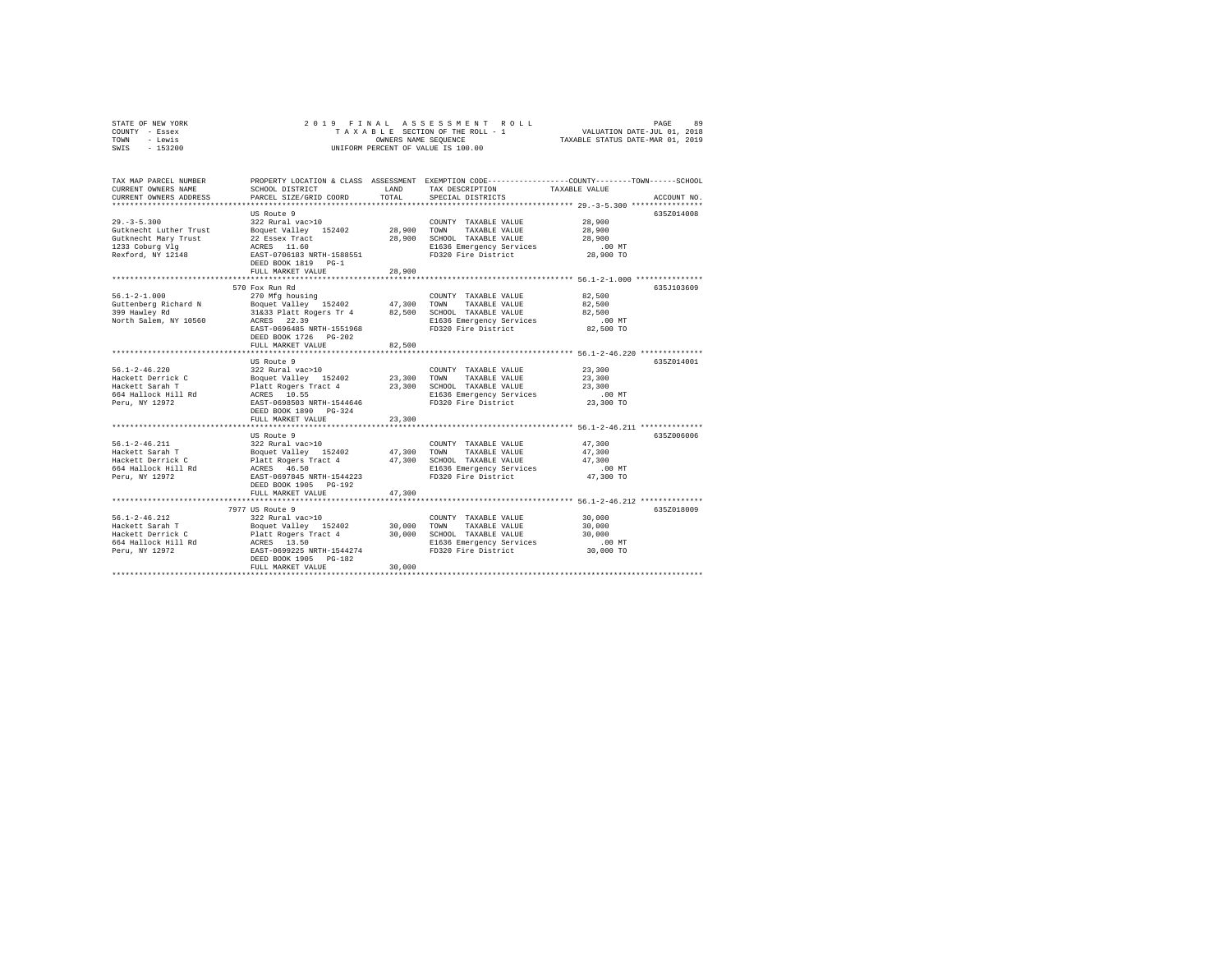| STATE OF NEW YORK | 2019 FINAL ASSESSMENT ROLL         | 89<br>PAGE                       |
|-------------------|------------------------------------|----------------------------------|
| COUNTY - Essex    | TAXABLE SECTION OF THE ROLL - 1    | VALUATION DATE-JUL 01, 2018      |
| TOWN<br>- Lewis   | OWNERS NAME SEOUENCE               | TAXABLE STATUS DATE-MAR 01, 2019 |
| $-153200$<br>SWIS | UNIFORM PERCENT OF VALUE IS 100.00 |                                  |

| TAX MAP PARCEL NUMBER<br>CURRENT OWNERS NAME<br>CURRENT OWNERS ADDRESS                                      | PROPERTY LOCATION & CLASS ASSESSMENT<br>SCHOOL DISTRICT<br>PARCEL SIZE/GRID COORD                                                                                                                          | LAND<br>TOTAL              | EXEMPTION CODE----------------COUNTY-------TOWN------SCHOOL<br>TAX DESCRIPTION<br>SPECIAL DISTRICTS                                                                                          | TAXABLE VALUE                                                                                       | ACCOUNT NO. |
|-------------------------------------------------------------------------------------------------------------|------------------------------------------------------------------------------------------------------------------------------------------------------------------------------------------------------------|----------------------------|----------------------------------------------------------------------------------------------------------------------------------------------------------------------------------------------|-----------------------------------------------------------------------------------------------------|-------------|
| $29. - 3 - 5.300$<br>Gutknecht Luther Trust<br>Gutknecht Mary Trust<br>1233 Coburg Vlg<br>Rexford, NY 12148 | US Route 9<br>322 Rural vac>10<br>Boquet Valley 152402 28,900 TOWN<br>22 Essex Tract<br>ACRES 11.60<br>EAST-0706183 NRTH-1588551<br>DEED BOOK 1819 PG-1<br>FULL MARKET VALUE<br>************************** | 28,900<br>28,900           | COUNTY TAXABLE VALUE<br>TAXABLE VALUE<br>SCHOOL TAXABLE VALUE<br>E1636 Emergency Services<br>FD320 Fire District                                                                             | 28,900<br>28,900<br>28,900<br>$.00$ MT<br>28,900 TO<br>*************** 56.1-2-1.000 *************   | 635Z014008  |
| $56.1 - 2 - 1.000$<br>Guttenberg Richard N<br>399 Hawley Rd<br>North Salem, NY 10560                        | 570 Fox Run Rd<br>270 Mfg housing<br>Boquet Valley 152402<br>31&33 Platt Rogers Tr 4<br>ACRES 22.39<br>EAST-0696485 NRTH-1551968<br>DEED BOOK 1726 PG-202<br>FULL MARKET VALUE<br>.                        | 82,500<br>82,500           | COUNTY TAXABLE VALUE<br>47,300 TOWN TAXABLE VALUE<br>SCHOOL TAXABLE VALUE<br>E1636 Emergency Services<br>FD320 Fire District                                                                 | 82,500<br>82,500<br>82,500<br>$.00$ MT<br>82,500 TO<br>**************** 56.1-2-46.220 ************* | 635J103609  |
| $56.1 - 2 - 46.220$<br>Hackett Derrick C<br>Hackett Sarah T<br>664 Hallock Hill Rd<br>Peru, NY 12972        | US Route 9<br>322 Rural vac>10<br>Boquet Valley 152402<br>Platt Rogers Tract 4 23,300 SCHOOL TAXABLE VALUE<br>ACRES 10.55<br>EAST-0698503 NRTH-1544646<br>DEED BOOK 1890 PG-324<br>FULL MARKET VALUE       | 23,300 TOWN<br>23,300      | COUNTY TAXABLE VALUE<br>TAXABLE VALUE<br>E1636 Emergency Services<br>FD320 Fire District                                                                                                     | 23,300<br>23,300<br>23,300<br>$.00$ MT<br>23,300 TO                                                 | 635Z014001  |
| $56.1 - 2 - 46.211$<br>Hackett Sarah T<br>Hackett Derrick C<br>664 Hallock Hill Rd<br>Peru, NY 12972        | US Route 9<br>322 Rural vac>10<br>Boquet Valley 152402 47,300 TOWN<br>Platt Rogers Tract 4<br>ACRES 46.50<br>ACRES 46.50<br>EAST-0697845 NRTH-1544223<br>DEED BOOK 1905 PG-192<br>FULL MARKET VALUE        | 47,300                     | COUNTY TAXABLE VALUE<br>TAXABLE VALUE<br>47,300 SCHOOL TAXABLE VALUE<br>E1636 Emergency Services .00 MT<br>FD320 Fire District<br>****************************** 56.1-2-46.212 ************* | 47,300<br>47,300<br>47,300<br>47,300 TO                                                             | 635Z006006  |
| $56.1 - 2 - 46.212$<br>Hackett Sarah T<br>Hackett Derrick C<br>664 Hallock Hill Rd<br>Peru, NY 12972        | 7977 US Route 9<br>322 Rural vac>10<br>Boquet Valley 152402<br>Platt Rogers Tract 4<br>ACRES 13.50<br>ACRES 13.50<br>EAST-0699225 NRTH-1544274<br>DEED BOOK 1905 PG-182<br>FULL MARKET VALUE               | 30,000<br>30,000<br>30,000 | COUNTY TAXABLE VALUE<br>TOWN<br>TAXABLE VALUE<br>SCHOOL TAXABLE VALUE<br>E1636 Emergency Services<br>FD320 Fire District                                                                     | 30,000<br>30,000<br>30,000<br>$.00$ MT<br>30,000 TO                                                 | 635Z018009  |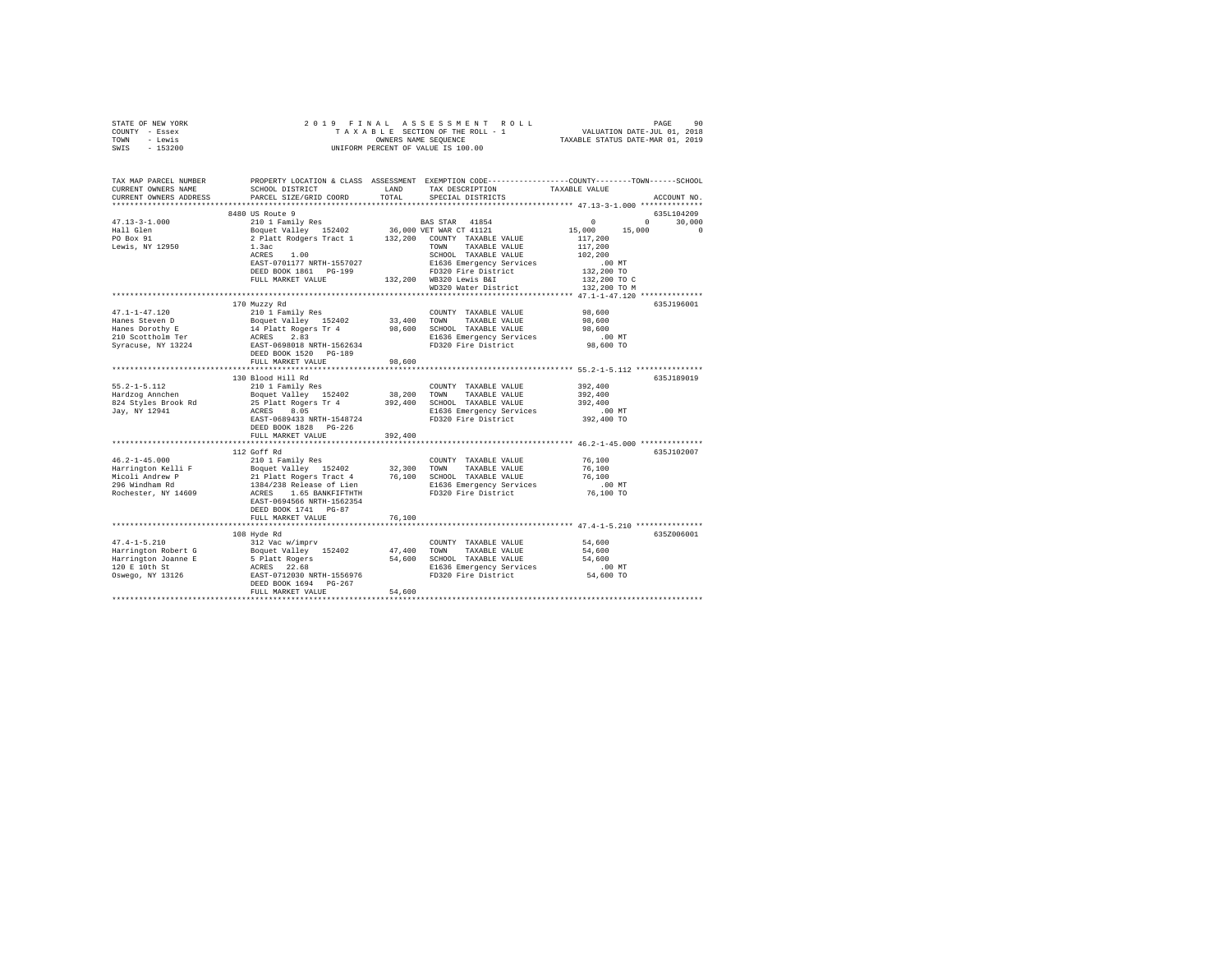| STATE OF NEW YORK                                       | 2019 FINAL                                                                                                                                                                                                                                                                                                                                                                                        |         |                                                 |                                                                                                                     |
|---------------------------------------------------------|---------------------------------------------------------------------------------------------------------------------------------------------------------------------------------------------------------------------------------------------------------------------------------------------------------------------------------------------------------------------------------------------------|---------|-------------------------------------------------|---------------------------------------------------------------------------------------------------------------------|
| COUNTY - Essex                                          |                                                                                                                                                                                                                                                                                                                                                                                                   |         |                                                 |                                                                                                                     |
| TOWN - Lewis                                            |                                                                                                                                                                                                                                                                                                                                                                                                   |         | OWNERS NAME SEQUENCE                            |                                                                                                                     |
| SWIS - 153200                                           |                                                                                                                                                                                                                                                                                                                                                                                                   |         | UNIFORM PERCENT OF VALUE IS 100.00              |                                                                                                                     |
|                                                         |                                                                                                                                                                                                                                                                                                                                                                                                   |         |                                                 |                                                                                                                     |
|                                                         |                                                                                                                                                                                                                                                                                                                                                                                                   |         |                                                 |                                                                                                                     |
|                                                         |                                                                                                                                                                                                                                                                                                                                                                                                   |         |                                                 |                                                                                                                     |
|                                                         |                                                                                                                                                                                                                                                                                                                                                                                                   |         |                                                 | TAX MAP PARCEL NUMBER PROPERTY LOCATION & CLASS ASSESSMENT EXEMPTION CODE--------------COUNTY-------TOWN-----SCHOOL |
| CURRENT OWNERS NAME                                     | SCHOOL DISTRICT                                                                                                                                                                                                                                                                                                                                                                                   | LAND    | TAX DESCRIPTION                                 | TAXABLE VALUE                                                                                                       |
| CURRENT OWNERS ADDRESS                                  | PARCEL SIZE/GRID COORD                                                                                                                                                                                                                                                                                                                                                                            | TOTAL   | SPECIAL DISTRICTS                               | ACCOUNT NO.                                                                                                         |
|                                                         |                                                                                                                                                                                                                                                                                                                                                                                                   |         |                                                 |                                                                                                                     |
|                                                         | 8480 US Route 9                                                                                                                                                                                                                                                                                                                                                                                   |         |                                                 | 635L104209                                                                                                          |
| $47.13 - 3 - 1.000$                                     |                                                                                                                                                                                                                                                                                                                                                                                                   |         |                                                 | $\sim$ 0<br>$0 \t 30.000$                                                                                           |
| Hall Glen                                               |                                                                                                                                                                                                                                                                                                                                                                                                   |         |                                                 | 15,000<br>15,000<br>$\sim$ 0                                                                                        |
| PO Box 91                                               |                                                                                                                                                                                                                                                                                                                                                                                                   |         |                                                 | 117,200                                                                                                             |
| Lewis, NY 12950                                         | 210 1 Family Res 885 STAR 41854<br>Boquet Valley 152402 36,000 VET WAR CT 41121<br>2 Platt Rodgers Tract 1 132,200 COUNTY TAXABLE VALUE<br>1.3ac                                                                                                                                                                                                                                                  |         | TOWN TAXABLE VALUE                              | 117,200                                                                                                             |
|                                                         | 1.3ac<br>ACRES 1.00                                                                                                                                                                                                                                                                                                                                                                               |         | SCHOOL TAXABLE VALUE                            | 102,200                                                                                                             |
|                                                         | EAST-0701177 NRTH-1557027                                                                                                                                                                                                                                                                                                                                                                         |         |                                                 | $.00$ MT                                                                                                            |
|                                                         | DEED BOOK 1861 PG-199                                                                                                                                                                                                                                                                                                                                                                             |         | E1636 Emergency Services<br>FD320 Fire District | 132,200 TO                                                                                                          |
|                                                         | FULL MARKET VALUE                                                                                                                                                                                                                                                                                                                                                                                 |         | 132,200 WB320 Lewis B&I                         | 132,200 TO C                                                                                                        |
|                                                         |                                                                                                                                                                                                                                                                                                                                                                                                   |         | WD320 Water District                            | 132,200 TO M                                                                                                        |
|                                                         |                                                                                                                                                                                                                                                                                                                                                                                                   |         |                                                 |                                                                                                                     |
|                                                         |                                                                                                                                                                                                                                                                                                                                                                                                   |         |                                                 |                                                                                                                     |
|                                                         | 170 Muzzy Rd                                                                                                                                                                                                                                                                                                                                                                                      |         |                                                 | 635J196001                                                                                                          |
| $47.1 - 1 - 47.120$                                     | 210 1 Family Res                                                                                                                                                                                                                                                                                                                                                                                  |         | COUNTY TAXABLE VALUE                            | 98,600                                                                                                              |
| Hanes Steven D                                          |                                                                                                                                                                                                                                                                                                                                                                                                   |         |                                                 | 98,600                                                                                                              |
| Hanes Dorothy E<br>210 Scottholm Ter                    | Boquet Valley 152402 33,400 TOWN TAXABLE VALUE<br>14 Platt Rogers Tr 4 98,600 SCHOOL TAXABLE VALUE<br>ACRES 2.83 RESOL RESOL TAXABLE VERVICES                                                                                                                                                                                                                                                     |         |                                                 | 98,600                                                                                                              |
|                                                         |                                                                                                                                                                                                                                                                                                                                                                                                   |         |                                                 | .00 MT                                                                                                              |
| Syracuse, NY 13224                                      | EAST-0698018 NRTH-1562634                                                                                                                                                                                                                                                                                                                                                                         |         | FD320 Fire District                             | 98,600 TO                                                                                                           |
|                                                         | DEED BOOK 1520 PG-189                                                                                                                                                                                                                                                                                                                                                                             |         |                                                 |                                                                                                                     |
|                                                         | FULL MARKET VALUE                                                                                                                                                                                                                                                                                                                                                                                 | 98,600  |                                                 |                                                                                                                     |
|                                                         |                                                                                                                                                                                                                                                                                                                                                                                                   |         |                                                 |                                                                                                                     |
|                                                         | 130 Blood Hill Rd                                                                                                                                                                                                                                                                                                                                                                                 |         |                                                 | 635J189019                                                                                                          |
| $55.2 - 1 - 5.112$                                      | 210 1 Family Res                                                                                                                                                                                                                                                                                                                                                                                  |         | COUNTY TAXABLE VALUE                            | 392,400                                                                                                             |
| Hardzog Annchen                                         | Boquet Valley 152402 38,200 TOWN TAXABLE VALUE                                                                                                                                                                                                                                                                                                                                                    |         |                                                 | 392,400                                                                                                             |
| 824 Styles Brook Rd                                     | 25 Platt Rogers Tr 4                                                                                                                                                                                                                                                                                                                                                                              |         | 392,400 SCHOOL TAXABLE VALUE                    | 392,400                                                                                                             |
| Jay, NY 12941                                           | ACRES 8.05                                                                                                                                                                                                                                                                                                                                                                                        |         | E1636 Emergency Services                        | $.00$ MT                                                                                                            |
|                                                         | EAST-0689433 NRTH-1548724 FD320 Fire District                                                                                                                                                                                                                                                                                                                                                     |         |                                                 | 392,400 TO                                                                                                          |
|                                                         | DEED BOOK 1828 PG-226                                                                                                                                                                                                                                                                                                                                                                             |         |                                                 |                                                                                                                     |
|                                                         | FULL MARKET VALUE                                                                                                                                                                                                                                                                                                                                                                                 | 392,400 |                                                 |                                                                                                                     |
|                                                         |                                                                                                                                                                                                                                                                                                                                                                                                   |         |                                                 |                                                                                                                     |
|                                                         |                                                                                                                                                                                                                                                                                                                                                                                                   |         |                                                 |                                                                                                                     |
|                                                         | 112 Goff Rd                                                                                                                                                                                                                                                                                                                                                                                       |         |                                                 | 635J102007                                                                                                          |
| $46.2 - 1 - 45.000$                                     | 210 1 Family Res                                                                                                                                                                                                                                                                                                                                                                                  |         | COUNTY TAXABLE VALUE                            | 76,100                                                                                                              |
| Harrington Kelli F<br>Micoli Andrew P<br>296 Windham Rd | Equation 1922 12, 300 TOWN TAXABLE VALUE<br>21 Platt Rogers Tract 4 16, 100 SCROOL TAXABLE VALUE<br>1844/238 Release of Lien<br>1854/238 Release of Lien<br>1854 200 TOWN TAXABLE VALUE<br>1874/238 Release 165 Response 1862<br>18720 Pir                                                                                                                                                        |         |                                                 | 76,100                                                                                                              |
|                                                         |                                                                                                                                                                                                                                                                                                                                                                                                   |         |                                                 | 76,100                                                                                                              |
|                                                         |                                                                                                                                                                                                                                                                                                                                                                                                   |         |                                                 | $.00$ MT                                                                                                            |
| Rochester, NY 14609                                     |                                                                                                                                                                                                                                                                                                                                                                                                   |         |                                                 | 76,100 TO                                                                                                           |
|                                                         | EAST-0694566 NRTH-1562354                                                                                                                                                                                                                                                                                                                                                                         |         |                                                 |                                                                                                                     |
|                                                         | DEED BOOK 1741 PG-87                                                                                                                                                                                                                                                                                                                                                                              |         |                                                 |                                                                                                                     |
|                                                         | FULL MARKET VALUE                                                                                                                                                                                                                                                                                                                                                                                 | 76,100  |                                                 |                                                                                                                     |
|                                                         |                                                                                                                                                                                                                                                                                                                                                                                                   |         |                                                 |                                                                                                                     |
|                                                         | 108 Hyde Rd                                                                                                                                                                                                                                                                                                                                                                                       |         |                                                 | 635Z006001                                                                                                          |
|                                                         | $\begin{tabular}{ll} 47.4-1-5.210 & -\sim\hspace*{1.2cm}\cdots\hspace*{1.2cm}\cdots\hspace*{1.2cm}\cdots\hspace*{1.2cm}\cdots\hspace*{1.2cm}\cdots\hspace*{1.2cm}\cdots\hspace*{1.2cm}\cdots\hspace*{1.2cm}\cdots\hspace*{1.2cm}\cdots\hspace*{1.2cm}\cdots\hspace*{1.2cm}\cdots\hspace*{1.2cm}\cdots\hspace*{1.2cm}\cdots\hspace*{1.2cm}\cdots\hspace*{1.2cm}\cdots\hspace*{1.2cm}\cdots\hspace$ |         | COUNTY TAXABLE VALUE                            | 54,600                                                                                                              |
|                                                         |                                                                                                                                                                                                                                                                                                                                                                                                   |         | 47,400 TOWN TAXABLE VALUE                       | 54,600                                                                                                              |
|                                                         |                                                                                                                                                                                                                                                                                                                                                                                                   |         | 54,600 SCHOOL TAXABLE VALUE                     | 54,600                                                                                                              |
|                                                         |                                                                                                                                                                                                                                                                                                                                                                                                   |         |                                                 | .00 MT                                                                                                              |
|                                                         |                                                                                                                                                                                                                                                                                                                                                                                                   |         | E1636 Emergency Services<br>FD320 Fire District | $54,600$ TO                                                                                                         |
|                                                         | DEED BOOK 1694 PG-267                                                                                                                                                                                                                                                                                                                                                                             |         |                                                 |                                                                                                                     |
|                                                         | FULL MARKET VALUE                                                                                                                                                                                                                                                                                                                                                                                 | 54,600  |                                                 |                                                                                                                     |
|                                                         |                                                                                                                                                                                                                                                                                                                                                                                                   |         |                                                 |                                                                                                                     |
|                                                         |                                                                                                                                                                                                                                                                                                                                                                                                   |         |                                                 |                                                                                                                     |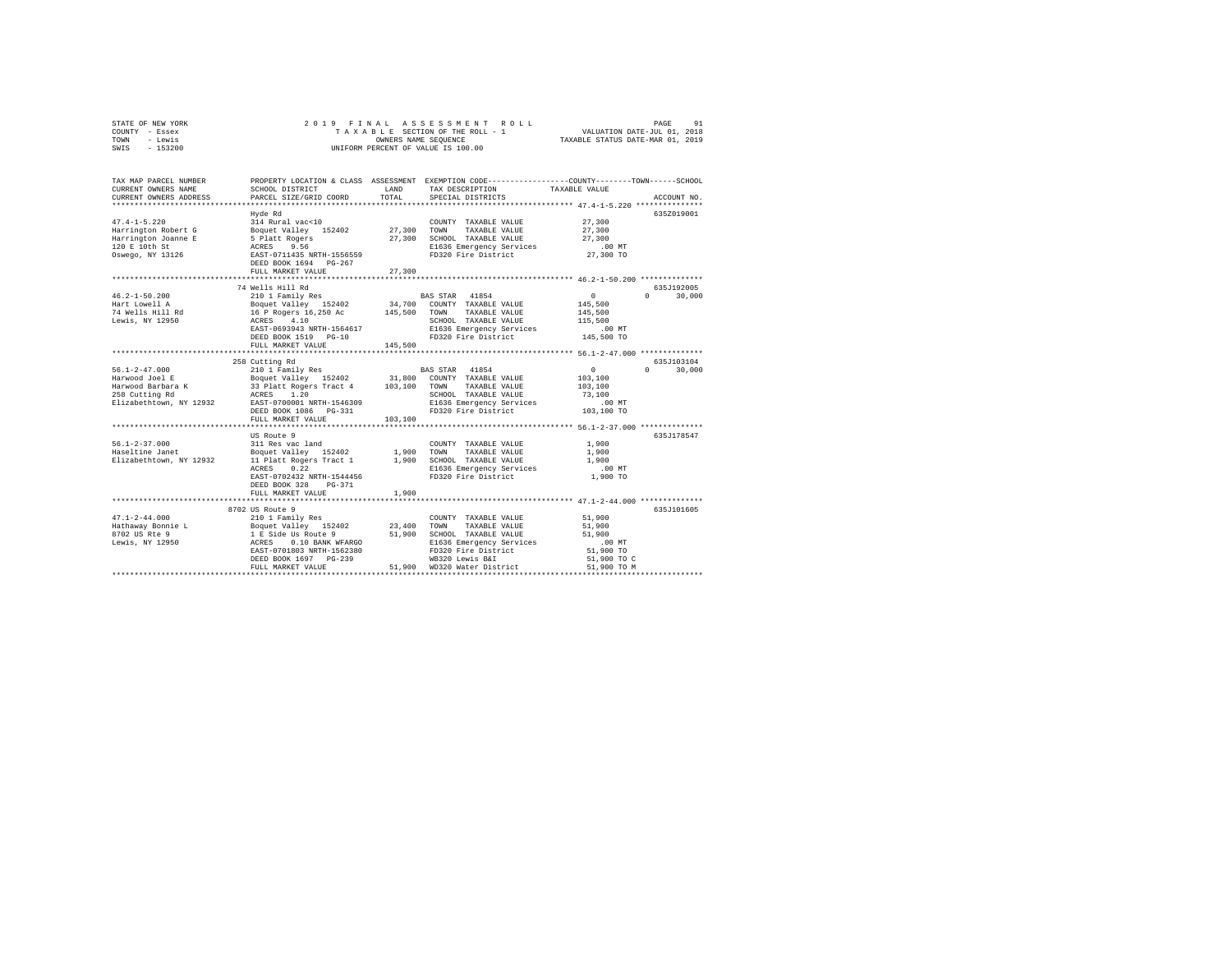| STATE OF NEW YORK | 2019 FINAL ASSESSMENT ROLL         | 91<br>PAGE                       |
|-------------------|------------------------------------|----------------------------------|
| COUNTY - Essex    | TAXABLE SECTION OF THE ROLL - 1    | VALUATION DATE-JUL 01, 2018      |
| TOWN<br>- Lewis   | OWNERS NAME SEOUENCE               | TAXABLE STATUS DATE-MAR 01, 2019 |
| $-153200$<br>SWIS | UNIFORM PERCENT OF VALUE IS 100.00 |                                  |

| TAX MAP PARCEL NUMBER<br>CURRENT OWNERS NAME<br>CURRENT OWNERS ADDRESS                                  | SCHOOL DISTRICT<br>PARCEL SIZE/GRID COORD                                                                                                                                               | LAND<br>TOTAL.             | PROPERTY LOCATION & CLASS ASSESSMENT EXEMPTION CODE----------------COUNTY-------TOWN------SCHOOL<br>TAX DESCRIPTION<br>SPECIAL DISTRICTS                            | TAXABLE VALUE                                                                   | ACCOUNT NO.        |
|---------------------------------------------------------------------------------------------------------|-----------------------------------------------------------------------------------------------------------------------------------------------------------------------------------------|----------------------------|---------------------------------------------------------------------------------------------------------------------------------------------------------------------|---------------------------------------------------------------------------------|--------------------|
| $47.4 - 1 - 5.220$<br>Harrington Robert G<br>Harrington Joanne E<br>120 E 10th St<br>Oswego, NY 13126   | Hyde Rd<br>314 Rural vac<10<br>Boquet Valley 152402<br>5 Platt Rogers<br>9.56<br>ACRES<br>EAST-0711435 NRTH-1556559<br>DEED BOOK 1694 PG-267<br>FULL MARKET VALUE                       | 27,300<br>27,300<br>27,300 | COUNTY TAXABLE VALUE<br>TAXABLE VALUE<br>TOWN<br>SCHOOL TAXABLE VALUE<br>E1636 Emergency Services<br>FD320 Fire District                                            | 27,300<br>27,300<br>27,300<br>$.00$ MT<br>27,300 TO                             | 635Z019001         |
|                                                                                                         | 74 Wells Hill Rd                                                                                                                                                                        |                            |                                                                                                                                                                     |                                                                                 | 635.T192005        |
| $46.2 - 1 - 50.200$<br>Hart Lowell A<br>74 Wells Hill Rd<br>Lewis, NY 12950                             | 210 1 Family Res<br>Boquet Valley 152402<br>16 P Rogers 16,250 Ac<br>ACRES<br>4.10<br>EAST-0693943 NRTH-1564617<br>DEED BOOK 1519 PG-10<br>FULL MARKET VALUE                            | 145,500<br>145,500         | BAS STAR 41854<br>34,700 COUNTY TAXABLE VALUE<br>TOWN<br>TAXABLE VALUE<br>SCHOOL TAXABLE VALUE<br>E1636 Emergency Services<br>FD320 Fire District                   | $\circ$<br>145,500<br>145,500<br>115,500<br>$.00$ MT<br>145,500 TO              | $\Omega$<br>30,000 |
|                                                                                                         | 258 Cutting Rd                                                                                                                                                                          |                            |                                                                                                                                                                     | ************** 56.1-2-47.000 ************                                       | 635J103104         |
| $56.1 - 2 - 47.000$<br>Harwood Joel E<br>Harwood Barbara K<br>258 Cutting Rd<br>Elizabethtown, NY 12932 | 210 1 Family Res<br>Boquet Valley 152402<br>33 Platt Rogers Tract 4 103,100<br>ACRES<br>1.20<br>EAST-0700001 NRTH-1546309<br>DEED BOOK 1086 PG-331                                      |                            | BAS STAR 41854<br>31,800 COUNTY TAXABLE VALUE<br>TOWN<br>TAXABLE VALUE<br>SCHOOL TAXABLE VALUE<br>E1636 Emergency Services<br>FD320 Fire District                   | $\overline{0}$<br>103,100<br>103,100<br>73,100<br>$.00$ MT<br>103,100 TO        | $\Omega$<br>30,000 |
|                                                                                                         | FULL MARKET VALUE                                                                                                                                                                       | 103,100                    |                                                                                                                                                                     |                                                                                 |                    |
| $56.1 - 2 - 37.000$<br>Haseltine Janet<br>Elizabethtown, NY 12932                                       | US Route 9<br>311 Res vac land<br>Boquet Valley 152402<br>11 Platt Rogers Tract 1<br>0.22<br>ACRES<br>EAST-0702432 NRTH-1544456<br>DEED BOOK 328<br>$PG-371$<br>FULL MARKET VALUE       | 1,900<br>1,900<br>1,900    | COUNTY TAXABLE VALUE<br>TOWN<br>TAXABLE VALUE<br>SCHOOL TAXABLE VALUE<br>E1636 Emergency Services<br>FD320 Fire District                                            | 1,900<br>1,900<br>1,900<br>.00 MT<br>1,900 TO                                   | 635J178547         |
|                                                                                                         | ************************                                                                                                                                                                |                            | ********************************** 47.1-2-44.000 *************                                                                                                      |                                                                                 |                    |
| $47.1 - 2 - 44.000$<br>Hathaway Bonnie L<br>8702 US Rte 9<br>Lewis, NY 12950                            | 8702 US Route 9<br>210 1 Family Res<br>Boquet Valley 152402<br>1 E Side Us Route 9<br>ACRES 0.10 BANK WFARGO<br>EAST-0701803 NRTH-1562380<br>DEED BOOK 1697 PG-239<br>FULL MARKET VALUE | 23,400<br>51,900<br>51,900 | COUNTY TAXABLE VALUE<br>TOWN<br>TAXABLE VALUE<br>SCHOOL TAXABLE VALUE<br>E1636 Emergency Services<br>FD320 Fire District<br>WB320 Lewis B&I<br>WD320 Water District | 51,900<br>51,900<br>51,900<br>.00 MT<br>51,900 TO<br>51,900 TO C<br>51,900 TO M | 635J101605         |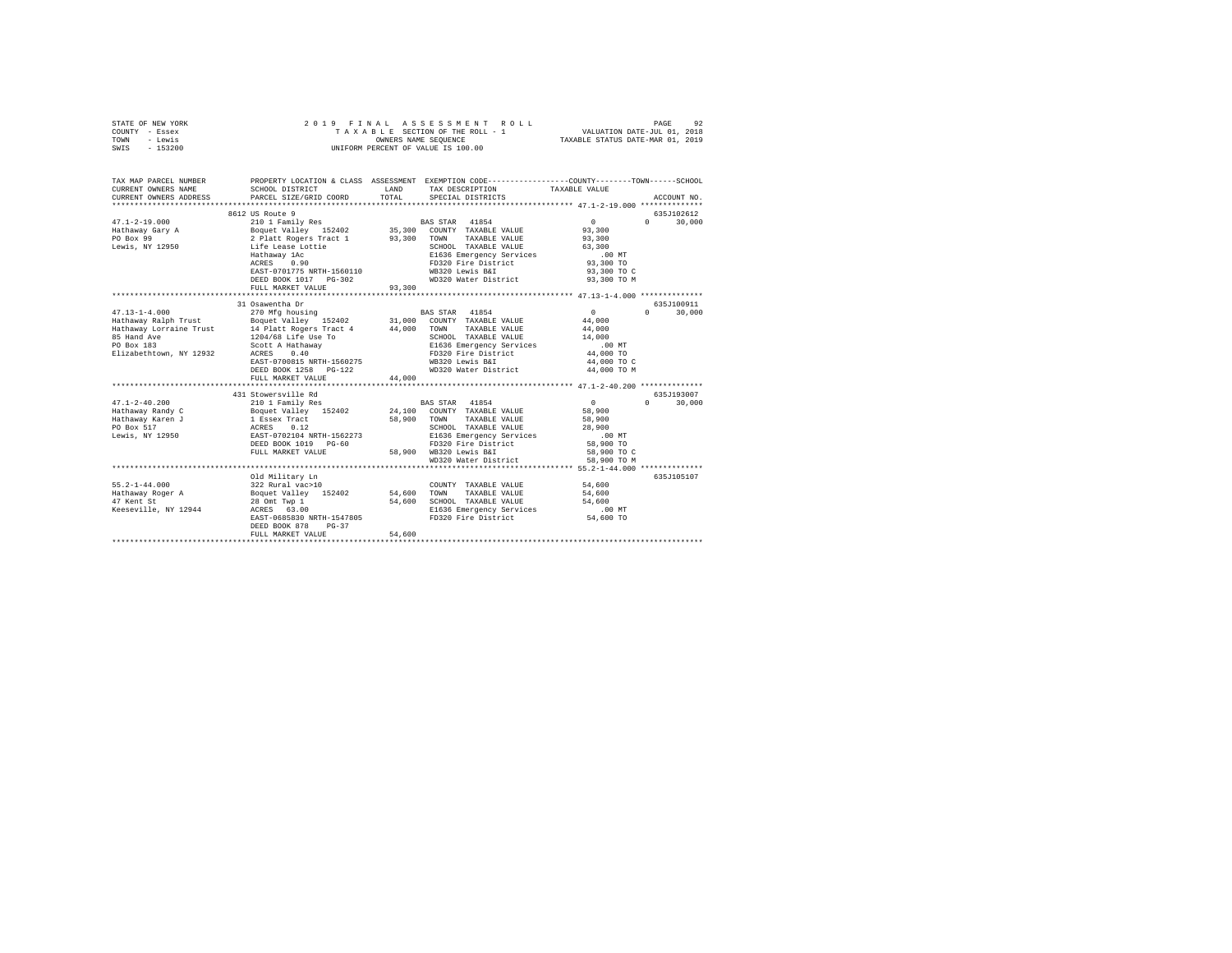| STATE OF NEW YORK<br>COUNTY - Essex<br>TOWN<br>- Lewis<br>SWIS - 153200                                                                     | 2019 FINAL                                                                                                             | OWNERS NAME SEOUENCE | ASSESSMENT ROLL<br>TAXABLE SECTION OF THE ROLL - 1<br>UNIFORM PERCENT OF VALUE IS 100.00 | VALUATION DATE-JUL 01, 2018<br>TAXABLE STATUS DATE-MAR 01, 2019 | PAGE<br>92    |
|---------------------------------------------------------------------------------------------------------------------------------------------|------------------------------------------------------------------------------------------------------------------------|----------------------|------------------------------------------------------------------------------------------|-----------------------------------------------------------------|---------------|
| TAX MAP PARCEL NUMBER PROPERTY LOCATION & CLASS ASSESSMENT EXEMPTION CODE--------------COUNTY-------TOWN------SCHOOL<br>CURRENT OWNERS NAME | SCHOOL DISTRICT                                                                                                        | LAND                 | TAX DESCRIPTION                                                                          | TAXABLE VALUE                                                   |               |
| CURRENT OWNERS ADDRESS                                                                                                                      | PARCEL SIZE/GRID COORD                                                                                                 | TOTAL                | SPECIAL DISTRICTS                                                                        |                                                                 | ACCOUNT NO.   |
|                                                                                                                                             |                                                                                                                        |                      |                                                                                          |                                                                 |               |
|                                                                                                                                             | 8612 US Route 9                                                                                                        |                      |                                                                                          |                                                                 | 635J102612    |
| $47.1 - 2 - 19.000$                                                                                                                         | 210 1 Family Res                                                                                                       |                      | BAS STAR 41854                                                                           | $\sim$ 0                                                        | $0 \t 30,000$ |
| Hathaway Gary A                                                                                                                             | Boquet Valley 152402 35,300 COUNTY TAXABLE VALUE<br>2 Platt Rogers Tract 1 93,300 TOWN TAXABLE VALUE                   |                      |                                                                                          | 93,300                                                          |               |
| PO Box 99                                                                                                                                   |                                                                                                                        |                      |                                                                                          | 93,300                                                          |               |
| Lewis, NY 12950                                                                                                                             | Life Lease Lottie<br>Hathaway 1Ac                                                                                      |                      | SCHOOL TAXABLE VALUE                                                                     | 63,300<br>$.00$ MT                                              |               |
|                                                                                                                                             | Hathaway 1Ac<br>ACRES 0.90                                                                                             |                      | E1636 Emergency Services<br>FD320 Fire District                                          | 93,300 TO                                                       |               |
|                                                                                                                                             | EAST-0701775 NRTH-1560110                                                                                              |                      | WB320 Lewis B&I                                                                          | 93,300 TO C                                                     |               |
|                                                                                                                                             | DEED BOOK 1017 PG-302                                                                                                  |                      | WD320 Water District                                                                     | 93,300 TO M                                                     |               |
|                                                                                                                                             | FULL MARKET VALUE                                                                                                      | 93,300               |                                                                                          |                                                                 |               |
|                                                                                                                                             |                                                                                                                        |                      |                                                                                          |                                                                 |               |
|                                                                                                                                             | 31 Osawentha Dr                                                                                                        |                      |                                                                                          |                                                                 | 635J100911    |
| $47.13 - 1 - 4.000$                                                                                                                         | 270 Mfg housing                                                                                                        |                      | BAS STAR 41854                                                                           | $\mathbf{0}$                                                    | $0 \t 30,000$ |
|                                                                                                                                             |                                                                                                                        |                      |                                                                                          | 44,000                                                          |               |
|                                                                                                                                             |                                                                                                                        |                      |                                                                                          | 44,000                                                          |               |
| 85 Hand Ave<br>PO Box 183                                                                                                                   |                                                                                                                        |                      | SCHOOL TAXABLE VALUE                                                                     | 14,000                                                          |               |
| PO Box 183                                                                                                                                  | Scott A Hathaway<br>ACRES 0.40                                                                                         |                      | E1636 Emergency Services                                                                 | $.00$ MT<br>44,000 TO                                           |               |
| Elizabethtown, NY 12932                                                                                                                     | EAST-0700815 NRTH-1560275                                                                                              |                      | FD320 Fire District<br>WB320 Lewis B&I                                                   | 44,000 TO C                                                     |               |
|                                                                                                                                             | DEED BOOK 1258 PG-122                                                                                                  |                      | WD320 Water District                                                                     | 44,000 TO M                                                     |               |
|                                                                                                                                             | FULL MARKET VALUE                                                                                                      | 44,000               |                                                                                          |                                                                 |               |
|                                                                                                                                             |                                                                                                                        |                      |                                                                                          |                                                                 |               |
|                                                                                                                                             | 431 Stowersville Rd                                                                                                    |                      |                                                                                          |                                                                 | 635.T193007   |
| $47.1 - 2 - 40.200$                                                                                                                         | 210 1 Family Res                                                                                                       |                      | BAS STAR 41854                                                                           | $\sim$ 0                                                        | $0 \t 30.000$ |
| Hathaway Randy C                                                                                                                            |                                                                                                                        |                      | 24,100 COUNTY TAXABLE VALUE                                                              | 58,900                                                          |               |
| Hathaway Karen J                                                                                                                            |                                                                                                                        |                      | 58,900 TOWN TAXABLE VALUE                                                                | 58,900                                                          |               |
| PO Box 517                                                                                                                                  |                                                                                                                        |                      | SCHOOL TAXABLE VALUE                                                                     | 28,900                                                          |               |
| Lewis, NY 12950                                                                                                                             | Example 12<br>Boquet Valley 152402<br>1 Essex Tract<br>ACRES 0.12<br>EAST-0702104 NRTH-1562273<br>DEED BOOK 1019 PG-60 |                      | E1636 Emergency Services                                                                 | $.00$ MT                                                        |               |
|                                                                                                                                             |                                                                                                                        |                      | FD320 Fire District                                                                      | 58,900 TO                                                       |               |
|                                                                                                                                             | FULL MARKET VALUE                                                                                                      |                      | 58,900 WB320 Lewis B&I<br>WD320 Water District                                           | 58,900 TO C<br>58,900 TO M                                      |               |
|                                                                                                                                             |                                                                                                                        |                      |                                                                                          |                                                                 |               |
|                                                                                                                                             | Old Military Ln                                                                                                        |                      |                                                                                          |                                                                 | 635J105107    |
| $55.2 - 1 - 44.000$                                                                                                                         | 322 Rural vac>10                                                                                                       |                      | COUNTY TAXABLE VALUE                                                                     | 54,600                                                          |               |
| Hathaway Roger A                                                                                                                            | Boquet Valley 152402                                                                                                   | 54,600 TOWN          | TAXABLE VALUE                                                                            | 54,600                                                          |               |
| 47 Kent St                                                                                                                                  |                                                                                                                        |                      | 54,600 SCHOOL TAXABLE VALUE                                                              | 54,600                                                          |               |
| Keeseville, NY 12944                                                                                                                        | 28 Omt Twp 1<br>ACRES 63.00<br>ACRES 63.00                                                                             |                      | E1636 Emergency Services                                                                 | $.00$ MT                                                        |               |
|                                                                                                                                             | EAST-0685830 NRTH-1547805                                                                                              |                      | FD320 Fire District                                                                      | 54,600 TO                                                       |               |
|                                                                                                                                             | DEED BOOK 878<br>$PG-37$                                                                                               |                      |                                                                                          |                                                                 |               |
|                                                                                                                                             | FULL MARKET VALUE                                                                                                      | 54,600               |                                                                                          |                                                                 |               |
|                                                                                                                                             |                                                                                                                        | .                    |                                                                                          |                                                                 |               |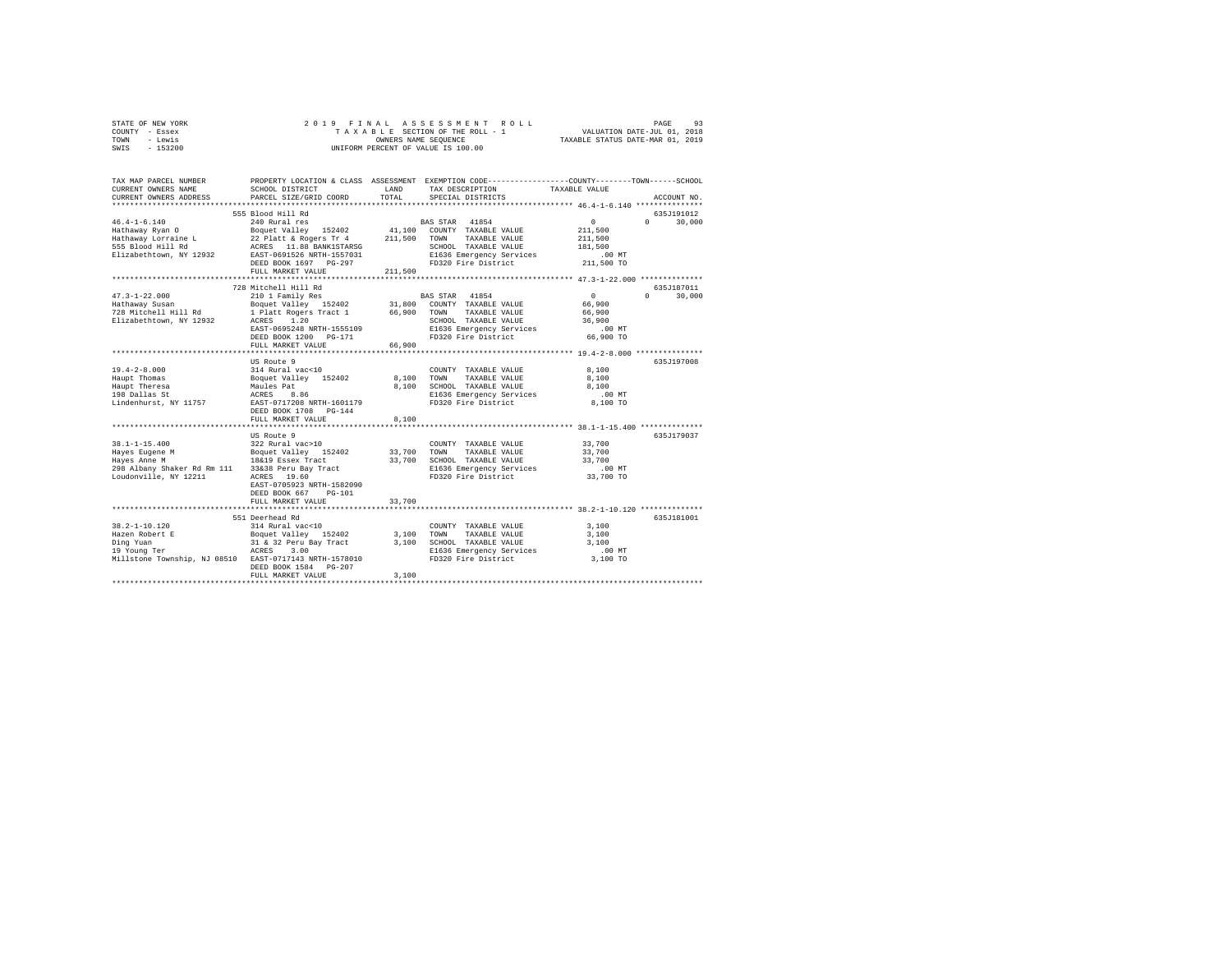| STATE OF NEW YORK | 2019 FINAL ASSESSMENT ROLL         | 93<br>PAGE                       |
|-------------------|------------------------------------|----------------------------------|
| COUNTY - Essex    | TAXABLE SECTION OF THE ROLL - 1    | VALUATION DATE-JUL 01, 2018      |
| TOWN<br>- Lewis   | OWNERS NAME SEOUENCE               | TAXABLE STATUS DATE-MAR 01, 2019 |
| $-153200$<br>SWIS | UNIFORM PERCENT OF VALUE IS 100.00 |                                  |

| TAX MAP PARCEL NUMBER<br>CURRENT OWNERS NAME                                                                                       | SCHOOL DISTRICT                                                                                                                                                                                                             | LAND           | PROPERTY LOCATION & CLASS ASSESSMENT EXEMPTION CODE---------------COUNTY-------TOWN-----SCHOOL<br>TAX DESCRIPTION                                      | TAXABLE VALUE                                                         |                                  |
|------------------------------------------------------------------------------------------------------------------------------------|-----------------------------------------------------------------------------------------------------------------------------------------------------------------------------------------------------------------------------|----------------|--------------------------------------------------------------------------------------------------------------------------------------------------------|-----------------------------------------------------------------------|----------------------------------|
| CURRENT OWNERS ADDRESS                                                                                                             | PARCEL SIZE/GRID COORD                                                                                                                                                                                                      | TOTAL          | SPECIAL DISTRICTS                                                                                                                                      |                                                                       | ACCOUNT NO.                      |
|                                                                                                                                    | 555 Blood Hill Rd                                                                                                                                                                                                           |                |                                                                                                                                                        |                                                                       | 635J191012                       |
| $46.4 - 1 - 6.140$<br>Hathaway Ryan O<br>Hathaway Lorraine L<br>555 Blood Hill Rd<br>Elizabethtown, NY 12932                       | 240 Rural res<br>Boquet Valley 152402<br>22 Platt & Rogers Tr 4<br>ACRES 11.88 BANK1STARSG<br>EAST-0691526 NRTH-1557031<br>DEED BOOK 1697 PG-297<br>FULL MARKET VALUE                                                       | 211,500        | BAS STAR 41854<br>41,100 COUNTY TAXABLE VALUE<br>211,500 TOWN TAXABLE VALUE<br>SCHOOL TAXABLE VALUE<br>E1636 Emergency Services<br>FD320 Fire District | $\sim$ 0<br>211,500<br>211,500<br>181,500<br>.00 MT<br>211,500 TO     | $\Omega$ and $\Omega$<br>30,000  |
|                                                                                                                                    |                                                                                                                                                                                                                             |                |                                                                                                                                                        |                                                                       |                                  |
| $47.3 - 1 - 22.000$<br>Hathaway Susan<br>728 Mitchell Hill Rd<br>Elizabethtown, NY 12932                                           | 728 Mitchell Hill Rd<br>210 1 Family Res<br>Boquet Valley 152402 31,800 COUNTY TAXABLE VALUE<br>1 Platt Rogers Tract 1 66,900 TOWN<br>ACRES 1.20<br>EAST-0695248 NRTH-1555109<br>DEED BOOK 1200 PG-171<br>FULL MARKET VALUE | 66,900         | BAS STAR 41854<br>TAXABLE VALUE<br>SCHOOL TAXABLE VALUE<br>E1636 Emergency Services<br>FD320 Fire District                                             | $\overline{0}$<br>66,900<br>66,900<br>36,900<br>$.00$ MT<br>66,900 TO | 635J187011<br>$\Omega$<br>30,000 |
|                                                                                                                                    |                                                                                                                                                                                                                             |                |                                                                                                                                                        |                                                                       |                                  |
| $19.4 - 2 - 8.000$<br>Haupt Thomas<br>Haupt Theresa<br>198 Dallas St<br>Lindenhurst, NY 11757                                      | US Route 9<br>314 Rural vac<10<br>Boquet Valley 152402<br>Maules Pat<br>ACRES 8.86<br>EAST-0717208 NRTH-1601179<br>DEED BOOK 1708 PG-144<br>FULL MARKET VALUE                                                               | 8,100<br>8,100 | COUNTY TAXABLE VALUE<br>8,100 TOWN<br>TAXABLE VALUE<br>SCHOOL TAXABLE VALUE<br>E1636 Emergency Services<br>FD320 Fire District                         | 8,100<br>8,100<br>8.100<br>$.00$ MT<br>8,100 TO                       | 635J197008                       |
|                                                                                                                                    |                                                                                                                                                                                                                             |                |                                                                                                                                                        |                                                                       |                                  |
| $38.1 - 1 - 15.400$<br>Hayes Eugene M<br>Hayes Anne M<br>298 Albany Shaker Rd Rm 111 33&38 Peru Bay Tract<br>Loudonville, NY 12211 | US Route 9<br>322 Rural vac>10<br>Boquet Valley 152402 33,700<br>18&19 Essex Tract 33,700<br>ACRES 19.60<br>EAST-0705923 NRTH-1582090<br>DEED BOOK 667<br>PG-101                                                            | 33,700         | COUNTY TAXABLE VALUE<br>TOWN<br>TAXABLE VALUE<br>SCHOOL TAXABLE VALUE<br>E1636 Emergency Services<br>FD320 Fire District                               | 33,700<br>33,700<br>33,700<br>.00 MT<br>33,700 TO                     | 635J179037                       |
|                                                                                                                                    | FULL MARKET VALUE                                                                                                                                                                                                           | 33,700         |                                                                                                                                                        |                                                                       |                                  |
|                                                                                                                                    | 551 Deerhead Rd                                                                                                                                                                                                             |                |                                                                                                                                                        |                                                                       | 635J181001                       |
| $38.2 - 1 - 10.120$<br>Millstone Township, NJ 08510 EAST-0717143 NRTH-1578010                                                      | 314 Rural vac<10<br>DEED BOOK 1584 PG-207<br>FULL MARKET VALUE                                                                                                                                                              | 3,100<br>3,100 | COUNTY TAXABLE VALUE<br>TOWN<br>TAXABLE VALUE<br>3,100 SCHOOL TAXABLE VALUE<br>E1636 Emergency Services<br>FD320 Fire District                         | 3,100<br>3,100<br>3,100<br>$.00$ MT<br>3,100 TO                       |                                  |
|                                                                                                                                    |                                                                                                                                                                                                                             |                |                                                                                                                                                        |                                                                       |                                  |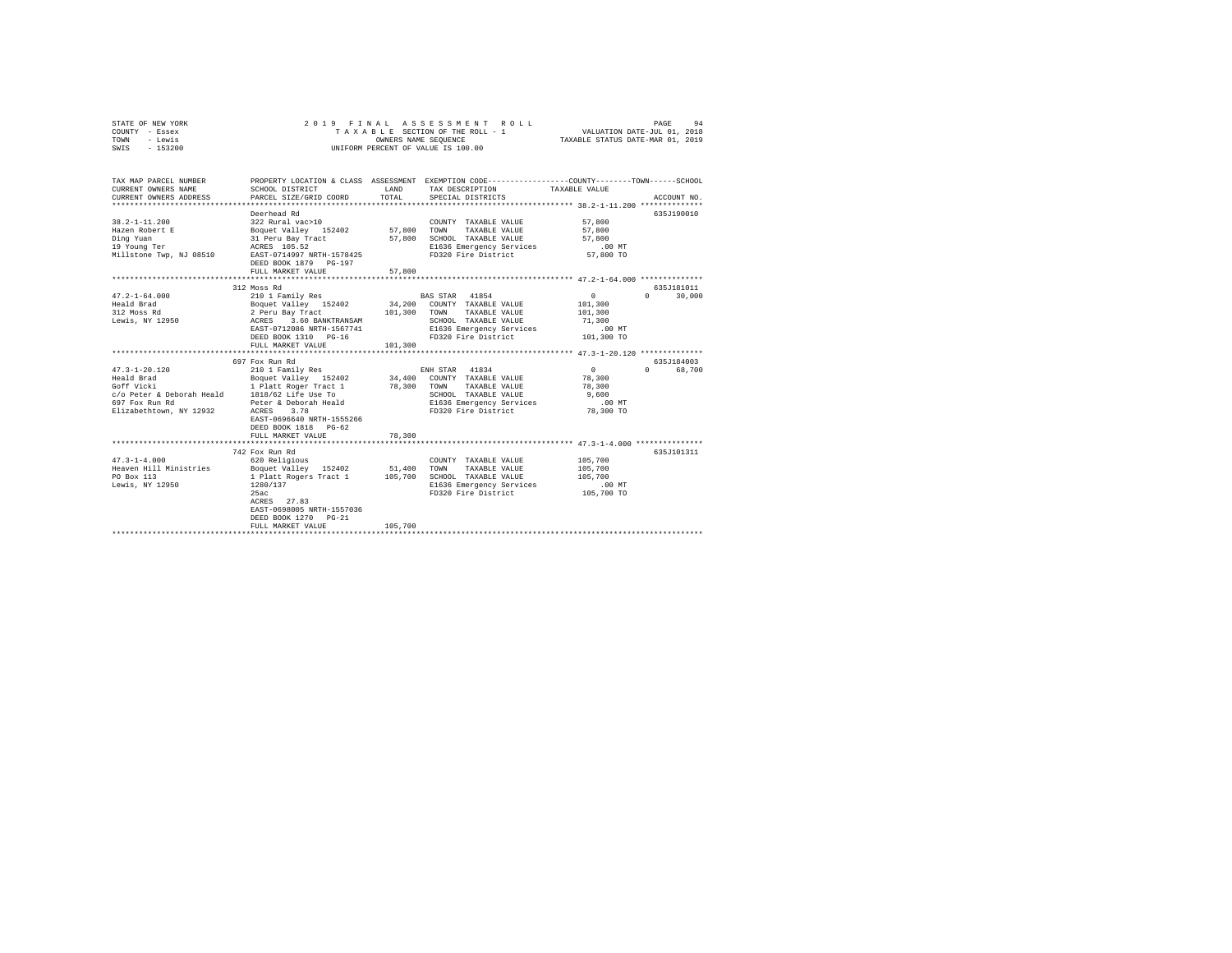|      | STATE OF NEW YORK |  |  | 2019 FINAL ASSESSMENT ROLL         | PAGE                             | 94 |
|------|-------------------|--|--|------------------------------------|----------------------------------|----|
|      | COUNTY - Essex    |  |  | TAXABLE SECTION OF THE ROLL - 1    | VALUATION DATE-JUL 01, 2018      |    |
| TOWN | - Lewis           |  |  | OWNERS NAME SEOUENCE               | TAXABLE STATUS DATE-MAR 01, 2019 |    |
| SWIS | - 153200          |  |  | UNIFORM PERCENT OF VALUE IS 100.00 |                                  |    |

| TAX MAP PARCEL NUMBER<br>CURRENT OWNERS NAME<br>CURRENT OWNERS ADDRESS                                                    | SCHOOL DISTRICT<br>PARCEL SIZE/GRID COORD                                                                                                                                                                                                                                            | LAND<br>TOTAL      | PROPERTY LOCATION & CLASS ASSESSMENT EXEMPTION CODE---------------COUNTY-------TOWN------SCHOOL<br>TAX DESCRIPTION TAXABLE VALUE<br>SPECIAL DISTRICTS  |                                                                     | ACCOUNT NO.                       |
|---------------------------------------------------------------------------------------------------------------------------|--------------------------------------------------------------------------------------------------------------------------------------------------------------------------------------------------------------------------------------------------------------------------------------|--------------------|--------------------------------------------------------------------------------------------------------------------------------------------------------|---------------------------------------------------------------------|-----------------------------------|
| $38.2 - 1 - 11.200$<br>Hazen Robert E<br>Ding Yuan<br>19 Young Ter<br>Millstone Twp, NJ 08510                             | Deerhead Rd<br>322 Rural vac>10<br>Boquet Valley 152402 57,800<br>31 Peru Bay Tract<br>ACRES 105.52<br>EAST-0714997 NRTH-1578425<br>DEED BOOK 1879 PG-197<br>FULL MARKET VALUE                                                                                                       | 57,800<br>57,800   | COUNTY TAXABLE VALUE<br>TAXABLE VALUE<br>TOWN<br>SCHOOL TAXABLE VALUE 57,800<br>E1636 Emergency Services<br>FD320 Fire District                        | 57,800<br>57,800<br>$.00$ MT<br>57,800 TO                           | 635J190010                        |
|                                                                                                                           |                                                                                                                                                                                                                                                                                      |                    |                                                                                                                                                        |                                                                     |                                   |
| $47.2 - 1 - 64.000$<br>Heald Brad<br>312 Moss Rd<br>Lewis, NY 12950                                                       | 312 Moss Rd<br>210 1 Family Res<br>Boquet Valley 152402<br>2 Peru Bay Tract<br>3.60 BANKTRANSAM<br>ACRES<br>EAST-0712086 NRTH-1567741<br>DEED BOOK 1310 PG-16<br>FULL MARKET VALUE                                                                                                   | 101,300            | BAS STAR 41854<br>34,200 COUNTY TAXABLE VALUE<br>101,300 TOWN TAXABLE VALUE<br>SCHOOL TAXABLE VALUE<br>E1636 Emergency Services<br>FD320 Fire District | 0<br>101,300<br>101,300<br>71,300<br>$.00$ MT<br>101,300 TO         | 635.T181011<br>30,000<br>$\Omega$ |
| $47.3 - 1 - 20.120$<br>Heald Brad<br>Goff Vicki<br>c/o Peter & Deborah Heald<br>697 Fox Run Rd<br>Elizabethtown, NY 12932 | 697 Fox Run Rd<br>210 1 Family Res<br>Boquet Valley 152402 34,400 COUNTY TAXABLE VALUE<br>1 Platt Roger Tract 1 78,300 TOWN TAXABLE VALUE<br>1818/62 Life Use To<br>Peter & Deborah Heald<br>ACRES<br>3.78<br>EAST-0696640 NRTH-1555266<br>DEED BOOK 1818 PG-62<br>FULL MARKET VALUE | 78,300             | ENH STAR 41834<br>SCHOOL TAXABLE VALUE<br>E1636 Emergency Services<br>FD320 Fire District                                                              | 0<br>$\Omega$<br>78,300<br>78,300<br>9,600<br>$.00$ MT<br>78,300 TO | 635J184003<br>68,700              |
|                                                                                                                           | *************************                                                                                                                                                                                                                                                            | *************      |                                                                                                                                                        |                                                                     |                                   |
| $47.3 - 1 - 4.000$<br>PO Box 113<br>Lewis. NY 12950                                                                       | 742 Fox Run Rd<br>620 Religious<br>Heaven Hill Ministries Boquet Valley 152402 51,400<br>1 Platt Rogers Tract 1<br>1280/137<br>25ac<br>ACRES 27.83<br>EAST-0698005 NRTH-1557036<br>DEED BOOK 1270 PG-21<br>FULL MARKET VALUE                                                         | 105,700<br>105,700 | COUNTY TAXABLE VALUE<br>TAXABLE VALUE<br>TOWN<br>SCHOOL TAXABLE VALUE<br>E1636 Emergency Services<br>FD320 Fire District                               | 105,700<br>105,700<br>105,700<br>$.00$ MT<br>105,700 TO             | 635J101311                        |
|                                                                                                                           | ***************************                                                                                                                                                                                                                                                          |                    |                                                                                                                                                        |                                                                     |                                   |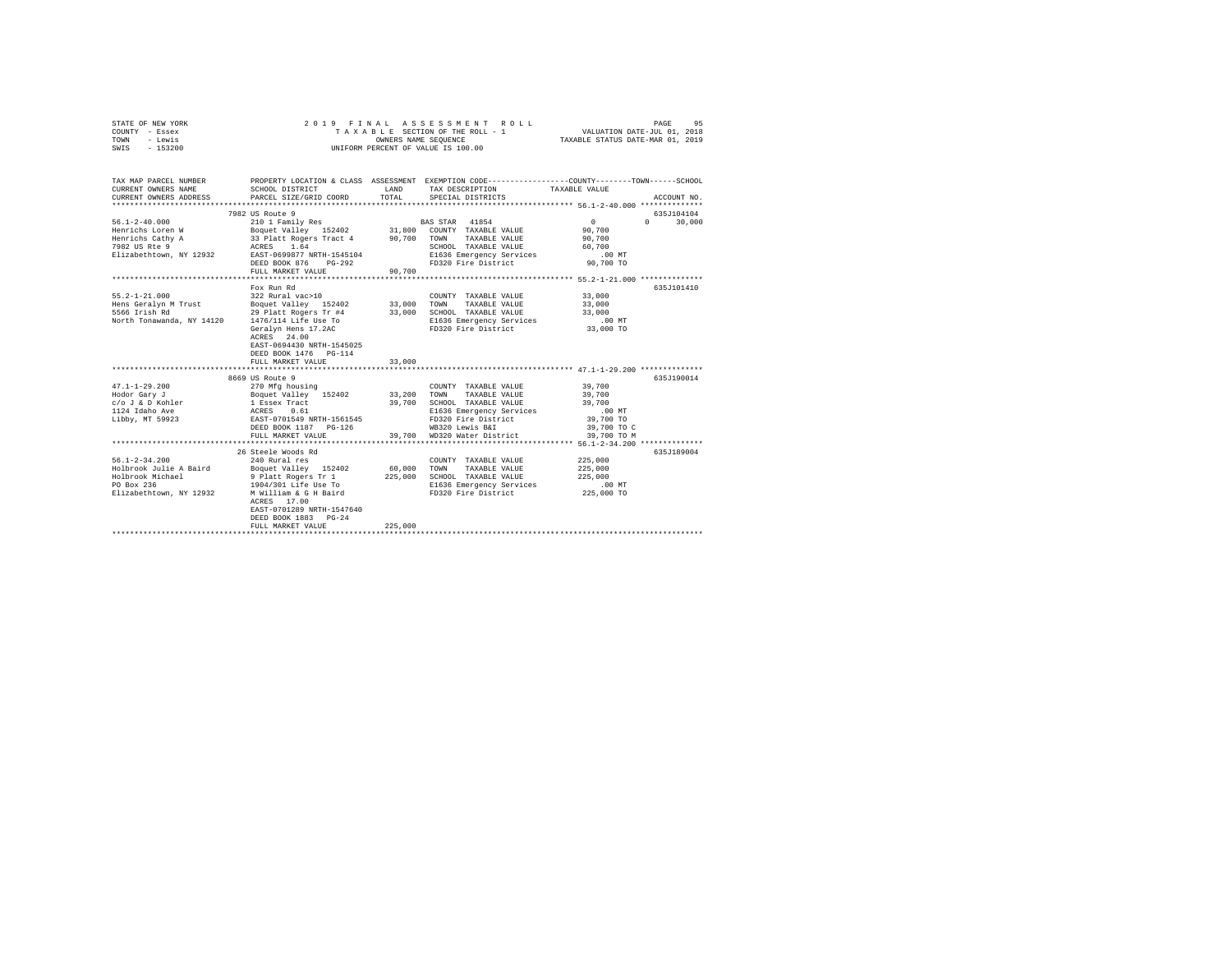| STATE OF NEW YORK | 2019 FINAL ASSESSMENT ROLL         | 95<br>PAGE                       |
|-------------------|------------------------------------|----------------------------------|
| COUNTY - Essex    | TAXABLE SECTION OF THE ROLL - 1    | VALUATION DATE-JUL 01, 2018      |
| TOWN<br>- Lewis   | OWNERS NAME SEOUENCE               | TAXABLE STATUS DATE-MAR 01, 2019 |
| $-153200$<br>SWIS | UNIFORM PERCENT OF VALUE IS 100.00 |                                  |

| TAX MAP PARCEL NUMBER<br>CURRENT OWNERS NAME<br>CURRENT OWNERS ADDRESS | PROPERTY LOCATION & CLASS ASSESSMENT EXEMPTION CODE----------------COUNTY-------TOWN------SCHOOL<br>SCHOOL DISTRICT<br>PARCEL SIZE/GRID COORD | LAND<br>TOTAL                | TAX DESCRIPTION TAXABLE VALUE<br>SPECIAL DISTRICTS               |                  | ACCOUNT NO.        |
|------------------------------------------------------------------------|-----------------------------------------------------------------------------------------------------------------------------------------------|------------------------------|------------------------------------------------------------------|------------------|--------------------|
|                                                                        |                                                                                                                                               |                              |                                                                  |                  |                    |
|                                                                        | 7982 US Route 9                                                                                                                               |                              |                                                                  |                  | 635J104104         |
|                                                                        |                                                                                                                                               |                              |                                                                  | $\sim$           | $\Omega$<br>30,000 |
|                                                                        |                                                                                                                                               |                              |                                                                  | 90,700           |                    |
|                                                                        |                                                                                                                                               |                              | TAXABLE VALUE 90,700                                             |                  |                    |
|                                                                        |                                                                                                                                               |                              | SCHOOL TAXABLE VALUE 60,700<br>E1636 Emergency Services .00 MT   |                  |                    |
|                                                                        |                                                                                                                                               |                              |                                                                  |                  |                    |
|                                                                        | DEED BOOK 876 PG-292                                                                                                                          |                              | FD320 Fire District 90,700 TO                                    |                  |                    |
|                                                                        | FULL MARKET VALUE                                                                                                                             | 90,700                       |                                                                  |                  |                    |
|                                                                        |                                                                                                                                               |                              |                                                                  |                  |                    |
|                                                                        | Fox Run Rd                                                                                                                                    |                              |                                                                  |                  | 635J101410         |
| $55.2 - 1 - 21.000$                                                    | 322 Rural vac>10                                                                                                                              |                              | COUNTY TAXABLE VALUE                                             | 33,000           |                    |
| Hens Geralyn M Trust                                                   | Boquet Valley 152402 33,000<br>29 Platt Rogers Tr #4 33,000                                                                                   |                              | TOWN TAXABLE VALUE                                               | 33,000           |                    |
| 5566 Irish Rd                                                          |                                                                                                                                               |                              | SCHOOL TAXABLE VALUE                                             | 33,000           |                    |
|                                                                        | North Tonawanda, NY 14120 1476/114 Life Use To                                                                                                |                              | E1636 Emergency Services .00 MT<br>FD320 Fire District 33,000 TO |                  |                    |
|                                                                        | Geralyn Hens 17.2AC                                                                                                                           |                              | FD320 Fire District                                              |                  |                    |
|                                                                        | ACRES 24.00                                                                                                                                   |                              |                                                                  |                  |                    |
|                                                                        | EAST-0694430 NRTH-1545025                                                                                                                     |                              |                                                                  |                  |                    |
|                                                                        | DEED BOOK 1476    PG-114                                                                                                                      |                              |                                                                  |                  |                    |
|                                                                        | FULL MARKET VALUE<br>***************************                                                                                              | 33,000<br>****************** | ********************************* 47.1-1-29.200 **************   |                  |                    |
|                                                                        | 8669 US Route 9                                                                                                                               |                              |                                                                  |                  | 635J190014         |
| $47.1 - 1 - 29.200$                                                    | 270 Mfg housing                                                                                                                               |                              | COUNTY TAXABLE VALUE                                             | 39,700           |                    |
| Hodor Gary J                                                           | Boquet Valley 152402 33,200                                                                                                                   |                              | TAXABLE VALUE<br>TOWN                                            | 39,700           |                    |
|                                                                        |                                                                                                                                               |                              |                                                                  |                  |                    |
|                                                                        |                                                                                                                                               |                              | SCHOOL TAXABLE VALUE<br>E1636 Emergency Services                 | 39,700<br>.00 MT |                    |
| Libby, MT 59923                                                        | EAST-0701549 NRTH-1561545                                                                                                                     |                              | FD320 Fire District 39,700 TO                                    |                  |                    |
|                                                                        | DEED BOOK 1187 PG-126                                                                                                                         |                              | WB320 Lewis B&I                                                  | 39,700 TO C      |                    |
|                                                                        | FULL MARKET VALUE                                                                                                                             |                              | 39,700 WD320 Water District                                      | 39,700 TO M      |                    |
|                                                                        |                                                                                                                                               |                              |                                                                  |                  |                    |
|                                                                        | 26 Steele Woods Rd                                                                                                                            |                              |                                                                  |                  | 635J189004         |
| $56.1 - 2 - 34.200$                                                    | 240 Rural res                                                                                                                                 |                              | COUNTY TAXABLE VALUE                                             | 225,000          |                    |
|                                                                        | Holbrook Julie A Baird Boquet Valley 152402 60,000                                                                                            |                              | TOWN TAXABLE VALUE                                               | 225,000          |                    |
| Holbrook Michael                                                       |                                                                                                                                               |                              |                                                                  |                  |                    |
| PO Box 236                                                             |                                                                                                                                               |                              |                                                                  |                  |                    |
| Elizabethtown, NY 12932                                                |                                                                                                                                               |                              |                                                                  |                  |                    |
|                                                                        | ACRES 17.00                                                                                                                                   |                              |                                                                  |                  |                    |
|                                                                        | EAST-0701289 NRTH-1547640                                                                                                                     |                              |                                                                  |                  |                    |
|                                                                        | DEED BOOK 1883 PG-24                                                                                                                          |                              |                                                                  |                  |                    |
|                                                                        | FULL MARKET VALUE                                                                                                                             | 225,000                      |                                                                  |                  |                    |
|                                                                        |                                                                                                                                               |                              |                                                                  |                  |                    |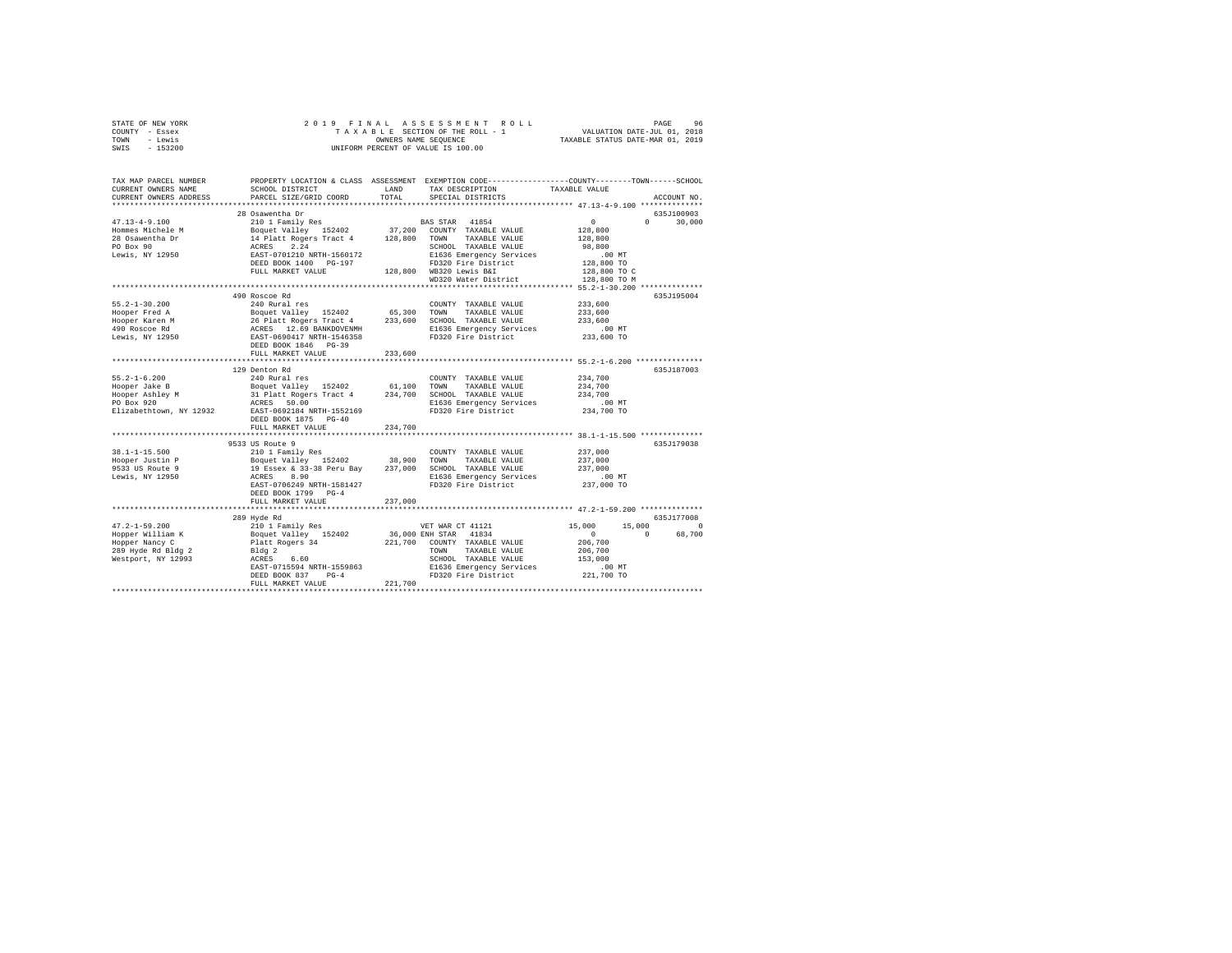| STATE OF NEW YORK<br>COUNTY - Essex<br>- Lewis<br>TOWN | 2019 FINAL                                                                                                                                                                                                                               |         |                                                                                                                                                                                                                                            |                                                     |               |
|--------------------------------------------------------|------------------------------------------------------------------------------------------------------------------------------------------------------------------------------------------------------------------------------------------|---------|--------------------------------------------------------------------------------------------------------------------------------------------------------------------------------------------------------------------------------------------|-----------------------------------------------------|---------------|
| $-153200$<br>SWIS                                      |                                                                                                                                                                                                                                          |         | UNIFORM PERCENT OF VALUE IS 100.00                                                                                                                                                                                                         |                                                     |               |
| TAX MAP PARCEL NUMBER                                  |                                                                                                                                                                                                                                          |         | PROPERTY LOCATION & CLASS ASSESSMENT EXEMPTION CODE---------------COUNTY-------TOWN------SCHOOL                                                                                                                                            |                                                     |               |
| CURRENT OWNERS NAME                                    | SCHOOL DISTRICT                                                                                                                                                                                                                          | LAND    | TAX DESCRIPTION                                                                                                                                                                                                                            | TAXABLE VALUE                                       |               |
| CURRENT OWNERS ADDRESS<br>************************     | PARCEL SIZE/GRID COORD                                                                                                                                                                                                                   | TOTAL   | SPECIAL DISTRICTS                                                                                                                                                                                                                          |                                                     | ACCOUNT NO.   |
|                                                        | 28 Osawentha Dr                                                                                                                                                                                                                          |         |                                                                                                                                                                                                                                            |                                                     | 635J100903    |
| $47.13 - 4 - 9.100$                                    | 210 1 Family Res                                                                                                                                                                                                                         |         | <b>BAS STAR</b> 41854                                                                                                                                                                                                                      | 0                                                   | $0 \t 30.000$ |
| Hommes Michele M                                       |                                                                                                                                                                                                                                          |         |                                                                                                                                                                                                                                            | 128,800                                             |               |
| 28 Osawentha Dr                                        |                                                                                                                                                                                                                                          |         |                                                                                                                                                                                                                                            | 128,800                                             |               |
| PO Box 90                                              | And I Family Res (BASS TAR 41854)<br>Boquet Valley 152402 37,200 COUNTY TAXABLE VALUE<br>14 Platt Rogers Tract 4 128,800 TOWN TAXABLE VALUE<br>RARES 2.24 SCHOL TAXABLE VALUE<br>ERST-0701210 NRTH-1560172 E1636 Emergency Services<br>D |         |                                                                                                                                                                                                                                            | 98,800                                              |               |
| Lewis, NY 12950                                        |                                                                                                                                                                                                                                          |         | E1636 Emergency Services                                                                                                                                                                                                                   | $.00$ MT<br>128,800 TO                              |               |
|                                                        | FULL MARKET VALUE                                                                                                                                                                                                                        |         | FD320 Fire District<br>128,800 WB320 Lewis B&I                                                                                                                                                                                             | 128,800 TO C                                        |               |
|                                                        |                                                                                                                                                                                                                                          |         | WD320 Water District                                                                                                                                                                                                                       | 128,800 TO M                                        |               |
|                                                        |                                                                                                                                                                                                                                          |         | ******************************* 55.2-1-30.200 *************                                                                                                                                                                                |                                                     |               |
|                                                        | 490 Roscoe Rd                                                                                                                                                                                                                            |         |                                                                                                                                                                                                                                            |                                                     | 635J195004    |
| $55.2 - 1 - 30.200$                                    | 240 Rural res                                                                                                                                                                                                                            |         | COUNTY TAXABLE VALUE                                                                                                                                                                                                                       | 233,600                                             |               |
| Hooper Fred A                                          |                                                                                                                                                                                                                                          |         |                                                                                                                                                                                                                                            | 233,600                                             |               |
| Hooper Karen M<br>490 Roscoe Rd                        |                                                                                                                                                                                                                                          |         |                                                                                                                                                                                                                                            | 233,600<br>$.00$ MT                                 |               |
| Lewis, NY 12950                                        |                                                                                                                                                                                                                                          |         | From Line 152402 65,300 TOWN TAXABLE VALUE<br>26 Platt Rogers Tract 4 233,600 SCHOOL TAXABLE VALUE<br>ACRES 12.69 BANKDOVENWH E1636 Emergency Services<br>EAST-0590417 NRTH-1546358 FD320 Fire District<br>ROGER 1020 PLACE RESERVED FD320 | 233,600 TO                                          |               |
|                                                        | DEED BOOK 1846 PG-39                                                                                                                                                                                                                     |         |                                                                                                                                                                                                                                            |                                                     |               |
|                                                        | FULL MARKET VALUE                                                                                                                                                                                                                        | 233,600 |                                                                                                                                                                                                                                            |                                                     |               |
|                                                        |                                                                                                                                                                                                                                          |         | ******************************* 55.2-1-6.200 ***************                                                                                                                                                                               |                                                     |               |
|                                                        | 129 Denton Rd                                                                                                                                                                                                                            |         |                                                                                                                                                                                                                                            |                                                     | 635J187003    |
| $55.2 - 1 - 6.200$                                     | 240 Rural res                                                                                                                                                                                                                            |         | COUNTY TAXABLE VALUE                                                                                                                                                                                                                       | 234,700                                             |               |
|                                                        |                                                                                                                                                                                                                                          |         |                                                                                                                                                                                                                                            | 234,700<br>234,700                                  |               |
|                                                        |                                                                                                                                                                                                                                          |         |                                                                                                                                                                                                                                            | $.00$ MT                                            |               |
|                                                        |                                                                                                                                                                                                                                          |         |                                                                                                                                                                                                                                            | 234,700 TO                                          |               |
|                                                        | DEED BOOK 1875 PG-40                                                                                                                                                                                                                     |         |                                                                                                                                                                                                                                            |                                                     |               |
|                                                        | FULL MARKET VALUE                                                                                                                                                                                                                        | 234,700 |                                                                                                                                                                                                                                            |                                                     |               |
|                                                        | **************************                                                                                                                                                                                                               |         |                                                                                                                                                                                                                                            | ********************** 38.1-1-15.500 ************** |               |
| $38.1 - 1 - 15.500$                                    | 9533 US Route 9<br>210 1 Family Res                                                                                                                                                                                                      |         | COUNTY TAXABLE VALUE                                                                                                                                                                                                                       | 237,000                                             | 635J179038    |
| Hooper Justin P                                        |                                                                                                                                                                                                                                          |         |                                                                                                                                                                                                                                            | 237,000                                             |               |
| 9533 US Route 9                                        |                                                                                                                                                                                                                                          |         |                                                                                                                                                                                                                                            | 237,000                                             |               |
| Lewis, NY 12950                                        |                                                                                                                                                                                                                                          |         | E1636 Emergency Services                                                                                                                                                                                                                   | $.00$ MT                                            |               |
|                                                        | EAST-0706249 NRTH-1581427                                                                                                                                                                                                                |         | FD320 Fire District                                                                                                                                                                                                                        | 237,000 TO                                          |               |
|                                                        | DEED BOOK 1799 PG-4                                                                                                                                                                                                                      |         |                                                                                                                                                                                                                                            |                                                     |               |
|                                                        | FULL MARKET VALUE<br>**********************                                                                                                                                                                                              | 237,000 |                                                                                                                                                                                                                                            | ******************** 47.2-1-59.200 **************   |               |
|                                                        | 289 Hyde Rd                                                                                                                                                                                                                              |         |                                                                                                                                                                                                                                            |                                                     | 635.1177008   |
| $47.2 - 1 - 59.200$                                    | 210 1 Family Res                                                                                                                                                                                                                         |         | VET WAR CT 41121                                                                                                                                                                                                                           | 15,000<br>15,000                                    | $\sim$ 0      |
| Hopper William K<br>Uonner Nancy C                     | Boquet Valley 152402                                                                                                                                                                                                                     |         | 36,000 ENH STAR 41834<br>221,700 COUNTY TAXABLE VALUE                                                                                                                                                                                      | $\sim$ 0<br>$\sim$ 0                                | 68,700        |
| Hopper Nancy<br>289 Hyde Rd Bldg 2<br>--- NY 12993     | Platt Rogers 34<br>Bldg 2<br>ACRES 6.60                                                                                                                                                                                                  |         |                                                                                                                                                                                                                                            | 206,700                                             |               |
|                                                        | Bldg <sub>2</sub>                                                                                                                                                                                                                        |         | TOWN<br>TAXABLE VALUE                                                                                                                                                                                                                      | 206,700                                             |               |
|                                                        | ACRES                                                                                                                                                                                                                                    |         | SCHOOL TAXABLE VALUE                                                                                                                                                                                                                       | 153,000<br>$.00$ MT                                 |               |
|                                                        | DEED BOOK 837 PG-4                                                                                                                                                                                                                       |         | EAST-0715594 NRTH-1559863<br>DEED BOOK 837 PG-4 886 PD320 Fire District<br>FD320 Fire District                                                                                                                                             | 221,700 TO                                          |               |
|                                                        | FULL MARKET VALUE                                                                                                                                                                                                                        | 221,700 |                                                                                                                                                                                                                                            |                                                     |               |
|                                                        |                                                                                                                                                                                                                                          |         |                                                                                                                                                                                                                                            |                                                     |               |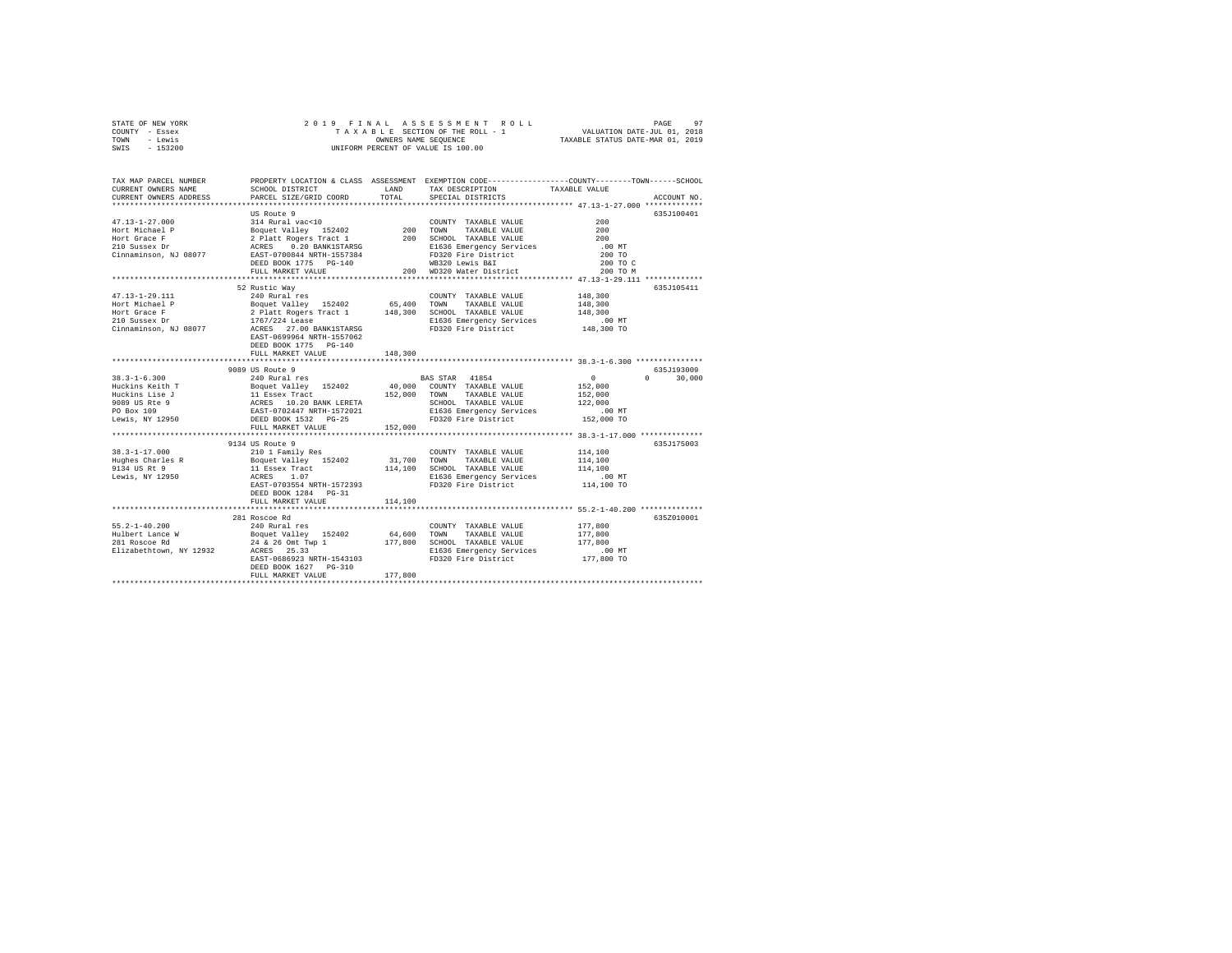|      | STATE OF NEW YORK |                      |  |  |  | 2019 FINAL ASSESSMENT ROLL         |  |                                  | PAGE | 97 |
|------|-------------------|----------------------|--|--|--|------------------------------------|--|----------------------------------|------|----|
|      | COUNTY - Essex    |                      |  |  |  | TAXABLE SECTION OF THE ROLL - 1    |  | VALUATION DATE-JUL 01, 2018      |      |    |
| TOWN | - Lewis           | OWNERS NAME SEOUENCE |  |  |  |                                    |  | TAXABLE STATUS DATE-MAR 01, 2019 |      |    |
| SWIS | - 153200          |                      |  |  |  | UNIFORM PERCENT OF VALUE IS 100.00 |  |                                  |      |    |

| TAX MAP PARCEL NUMBER<br>CURRENT OWNERS NAME<br>CURRENT OWNERS ADDRESS                                    | SCHOOL DISTRICT<br>PARCEL SIZE/GRID COORD                                                                                                                                                                                            | LAND<br>TOTAL                | PROPERTY LOCATION & CLASS ASSESSMENT EXEMPTION CODE----------------COUNTY-------TOWN------SCHOOL<br>TAX DESCRIPTION TAXABLE VALUE<br>SPECIAL DISTRICTS                                                                                         |                                                                       | ACCOUNT NO.                       |
|-----------------------------------------------------------------------------------------------------------|--------------------------------------------------------------------------------------------------------------------------------------------------------------------------------------------------------------------------------------|------------------------------|------------------------------------------------------------------------------------------------------------------------------------------------------------------------------------------------------------------------------------------------|-----------------------------------------------------------------------|-----------------------------------|
| $47.13 - 1 - 27.000$<br>Hort Michael P<br>Hort Grace F<br>210 Sussex Dr<br>Cinnaminson, NJ 08077          | US Route 9<br>314 Rural vac<10<br>Boquet Valley 152402<br>2 Platt Rogers Tract 1<br>ACRES 0.20 BANK1STARSG<br>0.20 BANK1STARSG<br>EAST-0700844 NRTH-1557384<br>DEED BOOK 1775 PG-140<br>FULL MARKET VALUE<br>*********************   | 200                          | COUNTY TAXABLE VALUE<br>TOWN<br>TAXABLE VALUE<br>200 SCHOOL TAXABLE VALUE<br>E1636 Emergency Services<br>FD320 Fire District<br>WB320 Lewis B&I<br>200 WD320 Water District<br>************************************ 47.13-1-29.111 *********** | 200<br>200<br>200<br>.00 MT<br>200 TO<br>200 TO C<br>200 TO M         | 635J100401                        |
| $47.13 - 1 - 29.111$<br>Hort Michael P<br>Hort Grace F<br>210 Sussex Dr<br>Cinnaminson, NJ 08077          | 52 Rustic Wav<br>240 Rural res<br>Boquet Valley 152402<br>2 Platt Rogers Tract 1 148,300<br>2 Platt Rogers 1<br>1767/224 Lease<br>ACRES 27.00 BANK1STARSG<br>EAST-0699964 NRTH-1557062<br>DEED BOOK 1775 PG-140<br>FULL MARKET VALUE | 65,400<br>148,300            | COUNTY TAXABLE VALUE<br>TOWN<br>TAXABLE VALUE<br>SCHOOL TAXABLE VALUE<br>E1636 Emergency Services<br>FD320 Fire District                                                                                                                       | 148,300<br>148,300<br>148,300<br>$.00$ MT<br>148,300 TO               | 635J105411                        |
| $38.3 - 1 - 6.300$<br>Huckins Keith T<br>Huckins Lise J<br>9089 US Rte 9<br>PO Box 109<br>Lewis, NY 12950 | 9089 US Route 9<br>240 Rural res<br>Boquet Valley 152402<br>11 Essex Tract<br>ACRES 10.20 BANK LERETA<br>EAST-0702447 NRTH-1572021<br>DEED BOOK 1532 PG-25<br>FULL MARKET VALUE                                                      | 152,000                      | BAS STAR 41854<br>40,000 COUNTY TAXABLE VALUE<br>152,000 TOWN TAXABLE VALUE<br>SCHOOL TAXABLE VALUE<br>E1636 Emergency Services<br>FD320 Fire District                                                                                         | $\mathbf{0}$<br>152,000<br>152,000<br>122,000<br>.00 MT<br>152,000 TO | 635.T193009<br>30,000<br>$\Omega$ |
| $38.3 - 1 - 17.000$<br>Hughes Charles R<br>9134 US Rt 9<br>Lewis, NY 12950                                | 9134 US Route 9<br>210 1 Family Res<br>Boquet Valley 152402<br>11 Essex Tract<br>1.07<br>ACRES<br>EAST-0703554 NRTH-1572393<br>DEED BOOK 1284 PG-31<br>FULL MARKET VALUE                                                             | 31,700<br>114,100<br>114,100 | COUNTY TAXABLE VALUE<br>TOWN<br>TAXABLE VALUE<br>SCHOOL TAXABLE VALUE<br>E1636 Emergency Services<br>FD320 Fire District                                                                                                                       | 114,100<br>114,100<br>114,100<br>$.00$ MT<br>114,100 TO               | 635J175003                        |
| $55.2 - 1 - 40.200$<br>Hulbert Lance W<br>281 Roscoe Rd<br>Elizabethtown, NY 12932                        | 281 Roscoe Rd<br>240 Rural res<br>Boquet Valley 152402<br>24 & 26 Omt Twp 1<br>ACRES 25.33<br>ACRES 25.33<br>EAST-0686923 NRTH-1543103<br>DEED BOOK 1627 PG-310<br>FULL MARKET VALUE                                                 | 64,600<br>177,800<br>177,800 | COUNTY TAXABLE VALUE<br>TOWN<br>TAXABLE VALUE<br>SCHOOL TAXABLE VALUE<br>E1636 Emergency Services<br>FD320 Fire District                                                                                                                       | 177,800<br>177,800<br>177,800<br>$.00$ MT<br>177,800 TO               | 6352010001                        |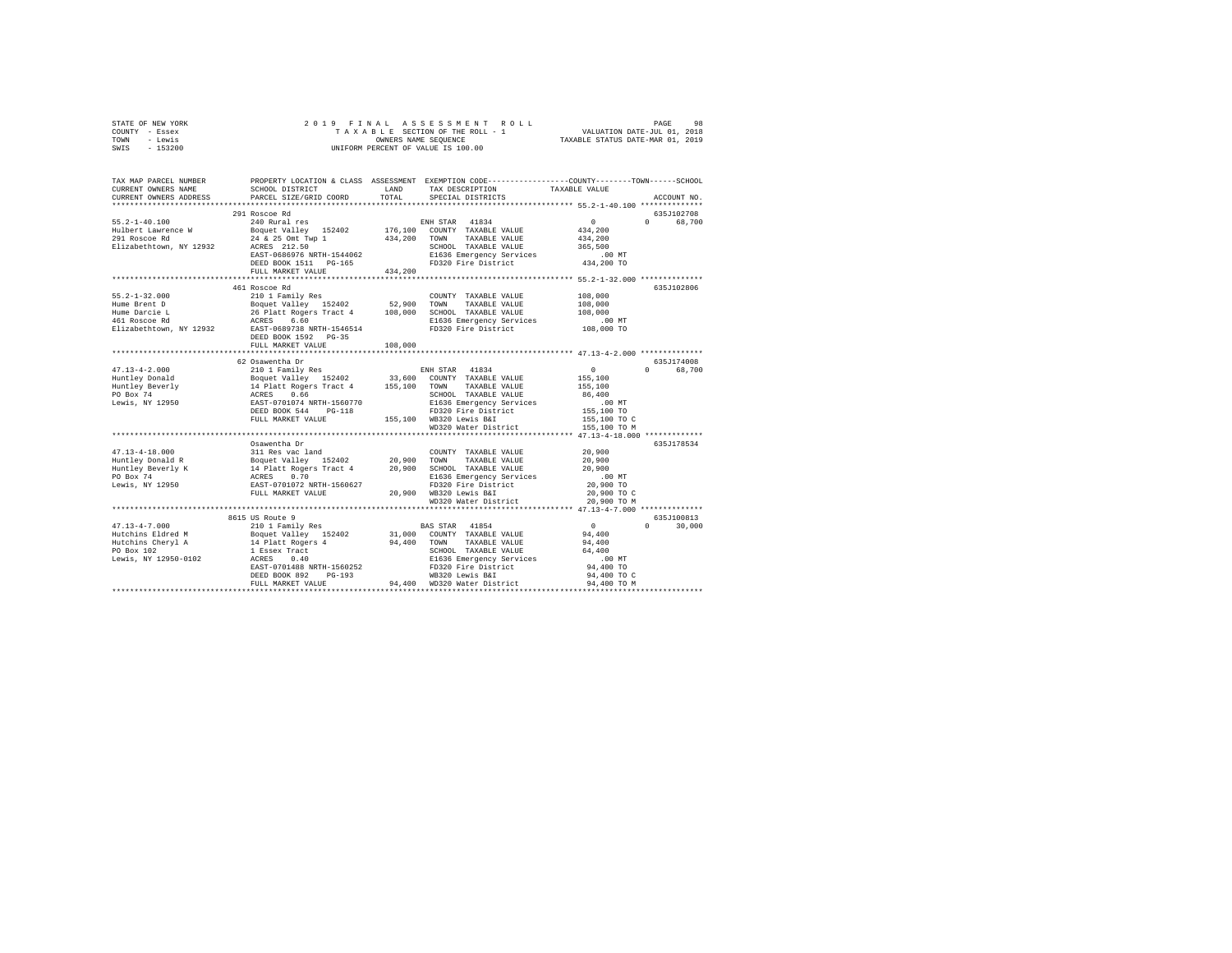| STATE OF NEW YORK<br>COUNTY - Essex                                                                                                                                                                                                                                                                                                                                                                                                | 2019 FINAL                        |         |                                                                                                                                                                                                                   |                                                          |               |
|------------------------------------------------------------------------------------------------------------------------------------------------------------------------------------------------------------------------------------------------------------------------------------------------------------------------------------------------------------------------------------------------------------------------------------|-----------------------------------|---------|-------------------------------------------------------------------------------------------------------------------------------------------------------------------------------------------------------------------|----------------------------------------------------------|---------------|
| TOWN - Lewis                                                                                                                                                                                                                                                                                                                                                                                                                       |                                   |         |                                                                                                                                                                                                                   |                                                          |               |
| SWIS - 153200                                                                                                                                                                                                                                                                                                                                                                                                                      |                                   |         |                                                                                                                                                                                                                   |                                                          |               |
|                                                                                                                                                                                                                                                                                                                                                                                                                                    |                                   |         |                                                                                                                                                                                                                   |                                                          |               |
| TAX MAP PARCEL NUMBER PROPERTY LOCATION & CLASS ASSESSMENT EXEMPTION CODE---------------COUNTY-------TOWN------SCHOOL                                                                                                                                                                                                                                                                                                              |                                   |         |                                                                                                                                                                                                                   |                                                          |               |
| CURRENT OWNERS NAME                                                                                                                                                                                                                                                                                                                                                                                                                | SCHOOL DISTRICT LAND              |         | TAX DESCRIPTION TAXABLE VALUE                                                                                                                                                                                     |                                                          |               |
| CURRENT OWNERS ADDRESS                                                                                                                                                                                                                                                                                                                                                                                                             | PARCEL SIZE/GRID COORD TOTAL      |         | SPECIAL DISTRICTS                                                                                                                                                                                                 |                                                          | ACCOUNT NO.   |
|                                                                                                                                                                                                                                                                                                                                                                                                                                    |                                   |         |                                                                                                                                                                                                                   |                                                          |               |
|                                                                                                                                                                                                                                                                                                                                                                                                                                    | 291 Roscoe Rd                     |         |                                                                                                                                                                                                                   |                                                          | 635J102708    |
| $55.2 - 1 - 40.100$                                                                                                                                                                                                                                                                                                                                                                                                                | 240 Rural res                     |         | ENH STAR 41834                                                                                                                                                                                                    | $\sim$ 0                                                 | 0 68,700      |
|                                                                                                                                                                                                                                                                                                                                                                                                                                    |                                   |         |                                                                                                                                                                                                                   | 434,200<br>434,200                                       |               |
| ---------- Lawrence W<br>291 Roscoe Rd<br>Flick II                                                                                                                                                                                                                                                                                                                                                                                 |                                   |         |                                                                                                                                                                                                                   |                                                          |               |
| Elizabethtown, NY 12932                                                                                                                                                                                                                                                                                                                                                                                                            |                                   |         |                                                                                                                                                                                                                   | 365,500                                                  |               |
|                                                                                                                                                                                                                                                                                                                                                                                                                                    |                                   |         |                                                                                                                                                                                                                   | .00 MT                                                   |               |
|                                                                                                                                                                                                                                                                                                                                                                                                                                    |                                   |         |                                                                                                                                                                                                                   | 434,200 TO                                               |               |
|                                                                                                                                                                                                                                                                                                                                                                                                                                    |                                   |         |                                                                                                                                                                                                                   |                                                          |               |
|                                                                                                                                                                                                                                                                                                                                                                                                                                    |                                   |         |                                                                                                                                                                                                                   |                                                          |               |
| $55.2 - 1 - 32.000$                                                                                                                                                                                                                                                                                                                                                                                                                | 461 Roscoe Rd<br>210 1 Family Res |         | COUNTY TAXABLE VALUE                                                                                                                                                                                              | 108,000                                                  | 635J102806    |
| Solid Paramity Research 2010 1 Paramity Research 2010 1 Paramity Research 2010 2011 Paramity 152402<br>Hume Brent D 26 Platt Roggers Tract 4 108,000 SCROOL TAXABLE VALUE<br>Hume Brench 26 Platt Roggers Tract 4 108,000 SCROOL T                                                                                                                                                                                                 |                                   |         |                                                                                                                                                                                                                   | 108,000                                                  |               |
|                                                                                                                                                                                                                                                                                                                                                                                                                                    |                                   |         |                                                                                                                                                                                                                   |                                                          |               |
|                                                                                                                                                                                                                                                                                                                                                                                                                                    |                                   |         |                                                                                                                                                                                                                   |                                                          |               |
|                                                                                                                                                                                                                                                                                                                                                                                                                                    |                                   |         |                                                                                                                                                                                                                   |                                                          |               |
|                                                                                                                                                                                                                                                                                                                                                                                                                                    | DEED BOOK 1592 PG-35              |         | CHOOL TAXABLE VALUE<br>E1636 Emergency Services 00 MT<br>FD320 Fire District 108,000 TO<br>108,000 TO                                                                                                             |                                                          |               |
|                                                                                                                                                                                                                                                                                                                                                                                                                                    | FULL MARKET VALUE                 | 108,000 |                                                                                                                                                                                                                   |                                                          |               |
|                                                                                                                                                                                                                                                                                                                                                                                                                                    |                                   |         | *********************************** 47.13-4-2.000 ***************                                                                                                                                                 |                                                          |               |
|                                                                                                                                                                                                                                                                                                                                                                                                                                    | 62 Osawentha Dr                   |         |                                                                                                                                                                                                                   |                                                          | 635J174008    |
|                                                                                                                                                                                                                                                                                                                                                                                                                                    |                                   |         |                                                                                                                                                                                                                   | $\begin{smallmatrix}&&0\\&&155\,,\t100\end{smallmatrix}$ | 0 68,700      |
|                                                                                                                                                                                                                                                                                                                                                                                                                                    |                                   |         |                                                                                                                                                                                                                   |                                                          |               |
|                                                                                                                                                                                                                                                                                                                                                                                                                                    |                                   |         |                                                                                                                                                                                                                   | 155,100                                                  |               |
|                                                                                                                                                                                                                                                                                                                                                                                                                                    |                                   |         |                                                                                                                                                                                                                   | 86,400                                                   |               |
|                                                                                                                                                                                                                                                                                                                                                                                                                                    |                                   |         |                                                                                                                                                                                                                   | .00 MT<br>155,100 TO                                     |               |
|                                                                                                                                                                                                                                                                                                                                                                                                                                    |                                   |         |                                                                                                                                                                                                                   |                                                          |               |
|                                                                                                                                                                                                                                                                                                                                                                                                                                    | FULL MARKET VALUE                 |         | 155,100 WB320 Lewis B&I 155,100 TO C<br>WD320 Water District 155,100 TO M                                                                                                                                         |                                                          |               |
|                                                                                                                                                                                                                                                                                                                                                                                                                                    |                                   |         |                                                                                                                                                                                                                   |                                                          |               |
|                                                                                                                                                                                                                                                                                                                                                                                                                                    | Osawentha Dr                      |         |                                                                                                                                                                                                                   |                                                          | 635J178534    |
|                                                                                                                                                                                                                                                                                                                                                                                                                                    |                                   |         | $\begin{tabular}{lllllllllll} \multicolumn{4}{c}{\text{COUNTY}} & \text{TAXABLE} & \text{VALUE} & \text{20,900} \\ \multicolumn{4}{c}{\text{TOWN}} & \text{TAXABLE} & \text{VALUE} & \text{20,900} \end{tabular}$ |                                                          |               |
|                                                                                                                                                                                                                                                                                                                                                                                                                                    |                                   |         |                                                                                                                                                                                                                   |                                                          |               |
|                                                                                                                                                                                                                                                                                                                                                                                                                                    |                                   |         |                                                                                                                                                                                                                   | 20,900                                                   |               |
|                                                                                                                                                                                                                                                                                                                                                                                                                                    |                                   |         |                                                                                                                                                                                                                   | $.00$ MT                                                 |               |
|                                                                                                                                                                                                                                                                                                                                                                                                                                    |                                   |         |                                                                                                                                                                                                                   | $20,900$ TO                                              |               |
|                                                                                                                                                                                                                                                                                                                                                                                                                                    |                                   |         |                                                                                                                                                                                                                   | 20,900 TO C                                              |               |
|                                                                                                                                                                                                                                                                                                                                                                                                                                    |                                   |         | WD320 Water District                                                                                                                                                                                              | 20,900 TO M                                              |               |
|                                                                                                                                                                                                                                                                                                                                                                                                                                    |                                   |         |                                                                                                                                                                                                                   |                                                          |               |
|                                                                                                                                                                                                                                                                                                                                                                                                                                    | 8615 US Route 9                   |         |                                                                                                                                                                                                                   |                                                          | 635J100813    |
|                                                                                                                                                                                                                                                                                                                                                                                                                                    |                                   |         |                                                                                                                                                                                                                   |                                                          | $0 \t 30,000$ |
|                                                                                                                                                                                                                                                                                                                                                                                                                                    |                                   |         |                                                                                                                                                                                                                   |                                                          |               |
|                                                                                                                                                                                                                                                                                                                                                                                                                                    |                                   |         |                                                                                                                                                                                                                   |                                                          |               |
|                                                                                                                                                                                                                                                                                                                                                                                                                                    |                                   |         |                                                                                                                                                                                                                   |                                                          |               |
|                                                                                                                                                                                                                                                                                                                                                                                                                                    |                                   |         |                                                                                                                                                                                                                   |                                                          |               |
|                                                                                                                                                                                                                                                                                                                                                                                                                                    |                                   |         |                                                                                                                                                                                                                   |                                                          |               |
| $\begin{tabular}{l c c c c} \multicolumn{3}{c}{\textbf{47.13--4-7.000}} & \multicolumn{3}{c}{\textbf{505}} & \multicolumn{3}{c}{\textbf{515}} & \multicolumn{3}{c}{\textbf{515}} & \multicolumn{3}{c}{\textbf{515}} & \multicolumn{3}{c}{\textbf{515}} & \multicolumn{3}{c}{\textbf{515}} & \multicolumn{3}{c}{\textbf{515}} & \multicolumn{3}{c}{\textbf{515}} & \multicolumn{3}{c}{\textbf{515}} & \multicolumn{3}{c}{\textbf{5$ |                                   |         |                                                                                                                                                                                                                   |                                                          |               |
|                                                                                                                                                                                                                                                                                                                                                                                                                                    |                                   |         |                                                                                                                                                                                                                   |                                                          |               |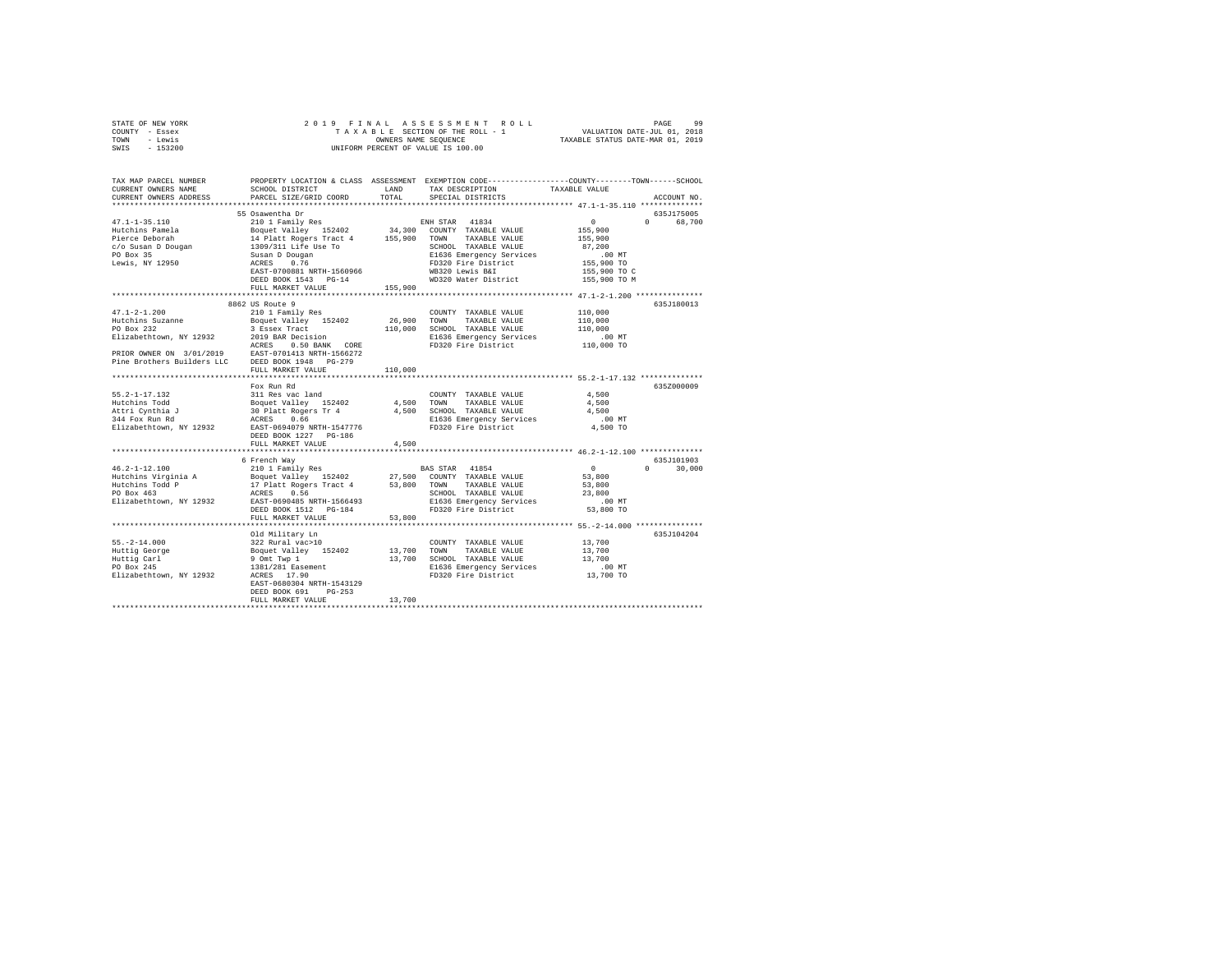| STATE OF NEW YORK                                                                                                                                                                                                                                                                                                                                                                                                              |                           |              |                                                                               |                                                 |               |
|--------------------------------------------------------------------------------------------------------------------------------------------------------------------------------------------------------------------------------------------------------------------------------------------------------------------------------------------------------------------------------------------------------------------------------|---------------------------|--------------|-------------------------------------------------------------------------------|-------------------------------------------------|---------------|
| COUNTY - Essex                                                                                                                                                                                                                                                                                                                                                                                                                 |                           |              |                                                                               |                                                 |               |
| TOWN - Lewis                                                                                                                                                                                                                                                                                                                                                                                                                   |                           |              |                                                                               |                                                 |               |
| SWIS - 153200                                                                                                                                                                                                                                                                                                                                                                                                                  |                           |              |                                                                               |                                                 |               |
|                                                                                                                                                                                                                                                                                                                                                                                                                                |                           |              |                                                                               |                                                 |               |
|                                                                                                                                                                                                                                                                                                                                                                                                                                |                           |              |                                                                               |                                                 |               |
|                                                                                                                                                                                                                                                                                                                                                                                                                                |                           |              |                                                                               |                                                 |               |
|                                                                                                                                                                                                                                                                                                                                                                                                                                |                           |              | SCHOOL DISTRICT $\hfill$ LAND $\hfill$ TAX DESCRIPTION $\hfill$ TAXABLE VALUE |                                                 |               |
| CURRENT OWNERS ADDRESS                                                                                                                                                                                                                                                                                                                                                                                                         | PARCEL SIZE/GRID COORD    | TOTAL        | SPECIAL DISTRICTS                                                             |                                                 | ACCOUNT NO.   |
|                                                                                                                                                                                                                                                                                                                                                                                                                                |                           |              |                                                                               |                                                 |               |
|                                                                                                                                                                                                                                                                                                                                                                                                                                | 55 Osawentha Dr           |              |                                                                               |                                                 | 635J175005    |
|                                                                                                                                                                                                                                                                                                                                                                                                                                |                           |              |                                                                               |                                                 | 0 68,700      |
|                                                                                                                                                                                                                                                                                                                                                                                                                                |                           |              |                                                                               |                                                 |               |
|                                                                                                                                                                                                                                                                                                                                                                                                                                |                           |              |                                                                               |                                                 |               |
|                                                                                                                                                                                                                                                                                                                                                                                                                                |                           |              |                                                                               |                                                 |               |
| $\begin{tabular}{l c c c c} \multicolumn{3}{c}{\textbf{47.1--1-35.110}} & \multicolumn{3}{c}{\textbf{59.08} {\small \textbf{20.11} Fam11y Res}} & \multicolumn{3}{c}{\textbf{EMH STAR}} & \multicolumn{3}{c}{\textbf{418.14} \small \textbf{18.14} \small \textbf{19.15,900}} & \multicolumn{3}{c}{\textbf{EME STAR}} & \multicolumn{3}{c}{\textbf{43.10}} & \multicolumn{3}{c}{\textbf{EME STAR}} & \multicolumn{3}{c}{\text$ |                           |              |                                                                               |                                                 |               |
|                                                                                                                                                                                                                                                                                                                                                                                                                                |                           |              |                                                                               |                                                 |               |
|                                                                                                                                                                                                                                                                                                                                                                                                                                |                           |              |                                                                               |                                                 |               |
|                                                                                                                                                                                                                                                                                                                                                                                                                                |                           |              |                                                                               |                                                 |               |
|                                                                                                                                                                                                                                                                                                                                                                                                                                | FULL MARKET VALUE         | 155,900      |                                                                               |                                                 |               |
|                                                                                                                                                                                                                                                                                                                                                                                                                                |                           |              |                                                                               |                                                 |               |
|                                                                                                                                                                                                                                                                                                                                                                                                                                | 8862 US Route 9           |              |                                                                               |                                                 | 635J180013    |
| $47.1 - 2 - 1.200$                                                                                                                                                                                                                                                                                                                                                                                                             | 210 1 Family Res          |              | COUNTY TAXABLE VALUE                                                          | 110,000                                         |               |
|                                                                                                                                                                                                                                                                                                                                                                                                                                |                           |              |                                                                               | 110,000                                         |               |
|                                                                                                                                                                                                                                                                                                                                                                                                                                |                           |              | 110,000 SCHOOL TAXABLE VALUE                                                  | 110,000                                         |               |
|                                                                                                                                                                                                                                                                                                                                                                                                                                |                           |              |                                                                               |                                                 |               |
|                                                                                                                                                                                                                                                                                                                                                                                                                                |                           |              |                                                                               |                                                 |               |
|                                                                                                                                                                                                                                                                                                                                                                                                                                |                           |              |                                                                               |                                                 |               |
|                                                                                                                                                                                                                                                                                                                                                                                                                                |                           |              |                                                                               |                                                 |               |
|                                                                                                                                                                                                                                                                                                                                                                                                                                |                           |              |                                                                               |                                                 |               |
| $\begin{tabular}{l c c c c} \hline \texttt{4} & \texttt{2-12} & \texttt{20} & \texttt{20} & \texttt{20} & \texttt{10} & \texttt{10} & \texttt{10} & \texttt{10} & \texttt{10} & \texttt{10} & \texttt{10} & \texttt{10} & \texttt{10} & \texttt{10} & \texttt{10} & \texttt{10} & \texttt{10} & \texttt{10} & \texttt{10} & \texttt{10} & \texttt{10} & \texttt{10} & \texttt{10} & \texttt{10} &$                             |                           | ************ |                                                                               | ****************** 55.2-1-17.132 ************** |               |
|                                                                                                                                                                                                                                                                                                                                                                                                                                |                           |              |                                                                               |                                                 |               |
|                                                                                                                                                                                                                                                                                                                                                                                                                                | Fox Run Rd                |              |                                                                               |                                                 | 635Z000009    |
|                                                                                                                                                                                                                                                                                                                                                                                                                                |                           |              |                                                                               | 4,500                                           |               |
|                                                                                                                                                                                                                                                                                                                                                                                                                                |                           |              |                                                                               | 4,500                                           |               |
|                                                                                                                                                                                                                                                                                                                                                                                                                                |                           |              |                                                                               | 4.500                                           |               |
|                                                                                                                                                                                                                                                                                                                                                                                                                                |                           |              |                                                                               | .00MT                                           |               |
|                                                                                                                                                                                                                                                                                                                                                                                                                                |                           |              |                                                                               | 4,500 TO                                        |               |
|                                                                                                                                                                                                                                                                                                                                                                                                                                | DEED BOOK 1227 PG-186     |              |                                                                               |                                                 |               |
|                                                                                                                                                                                                                                                                                                                                                                                                                                | FULL MARKET VALUE         | 4,500        |                                                                               |                                                 |               |
|                                                                                                                                                                                                                                                                                                                                                                                                                                |                           |              |                                                                               |                                                 |               |
|                                                                                                                                                                                                                                                                                                                                                                                                                                | 6 French Way              |              |                                                                               |                                                 | 635J101903    |
|                                                                                                                                                                                                                                                                                                                                                                                                                                |                           |              |                                                                               | $\overline{0}$                                  | $0 \t 30,000$ |
|                                                                                                                                                                                                                                                                                                                                                                                                                                |                           |              |                                                                               | 53,800<br>53,800                                |               |
|                                                                                                                                                                                                                                                                                                                                                                                                                                |                           |              |                                                                               |                                                 |               |
| $\texttt{PO Box 463} \begin{tabular}{lcccc} \texttt{PO Box 463} & \texttt{ACRES} & 0.56 & \texttt{SCHODL TAXABLE VALUE} \\ \texttt{Elizablethtown, NY 12932} & \texttt{ESF-069485 NRTH-1566493} & \texttt{E1636 MRTH-1586493} \\ & \texttt{ESB} & \texttt{DSED BOOK 1512} & \texttt{PG-184} & \texttt{E1636 MRTH-1586493} \\ \end{tabular}$                                                                                    |                           |              |                                                                               | 23,800                                          |               |
|                                                                                                                                                                                                                                                                                                                                                                                                                                |                           |              |                                                                               | $.00$ MT                                        |               |
|                                                                                                                                                                                                                                                                                                                                                                                                                                |                           |              |                                                                               | 53,800 TO                                       |               |
|                                                                                                                                                                                                                                                                                                                                                                                                                                | FULL MARKET VALUE         | 53,800       |                                                                               |                                                 |               |
|                                                                                                                                                                                                                                                                                                                                                                                                                                |                           |              |                                                                               |                                                 |               |
|                                                                                                                                                                                                                                                                                                                                                                                                                                | Old Military Ln           |              |                                                                               |                                                 | 635J104204    |
|                                                                                                                                                                                                                                                                                                                                                                                                                                |                           |              |                                                                               |                                                 |               |
|                                                                                                                                                                                                                                                                                                                                                                                                                                |                           |              |                                                                               |                                                 |               |
| $\begin{tabular}{lcccc} 55. -2-14.000 & 014 & 01111121Y & 10111121Y & 01111121Y & 01111121Y & 01111121Y & 011111211X & 011111X & 011111X & 01111X & 01111X & 01111X & 0111X & 0111X & 0111X & 0111X & 011X & 011X & 011X & 011X & 011X & 011X & 011X & 011X & 011X & $                                                                                                                                                         |                           |              |                                                                               |                                                 |               |
|                                                                                                                                                                                                                                                                                                                                                                                                                                |                           |              |                                                                               |                                                 |               |
|                                                                                                                                                                                                                                                                                                                                                                                                                                |                           |              |                                                                               |                                                 |               |
|                                                                                                                                                                                                                                                                                                                                                                                                                                | EAST-0680304 NRTH-1543129 |              |                                                                               |                                                 |               |
|                                                                                                                                                                                                                                                                                                                                                                                                                                | DEED BOOK 691 PG-253      |              |                                                                               |                                                 |               |
|                                                                                                                                                                                                                                                                                                                                                                                                                                | FULL MARKET VALUE         | 13,700       |                                                                               |                                                 |               |
|                                                                                                                                                                                                                                                                                                                                                                                                                                |                           |              |                                                                               |                                                 |               |
|                                                                                                                                                                                                                                                                                                                                                                                                                                |                           |              |                                                                               |                                                 |               |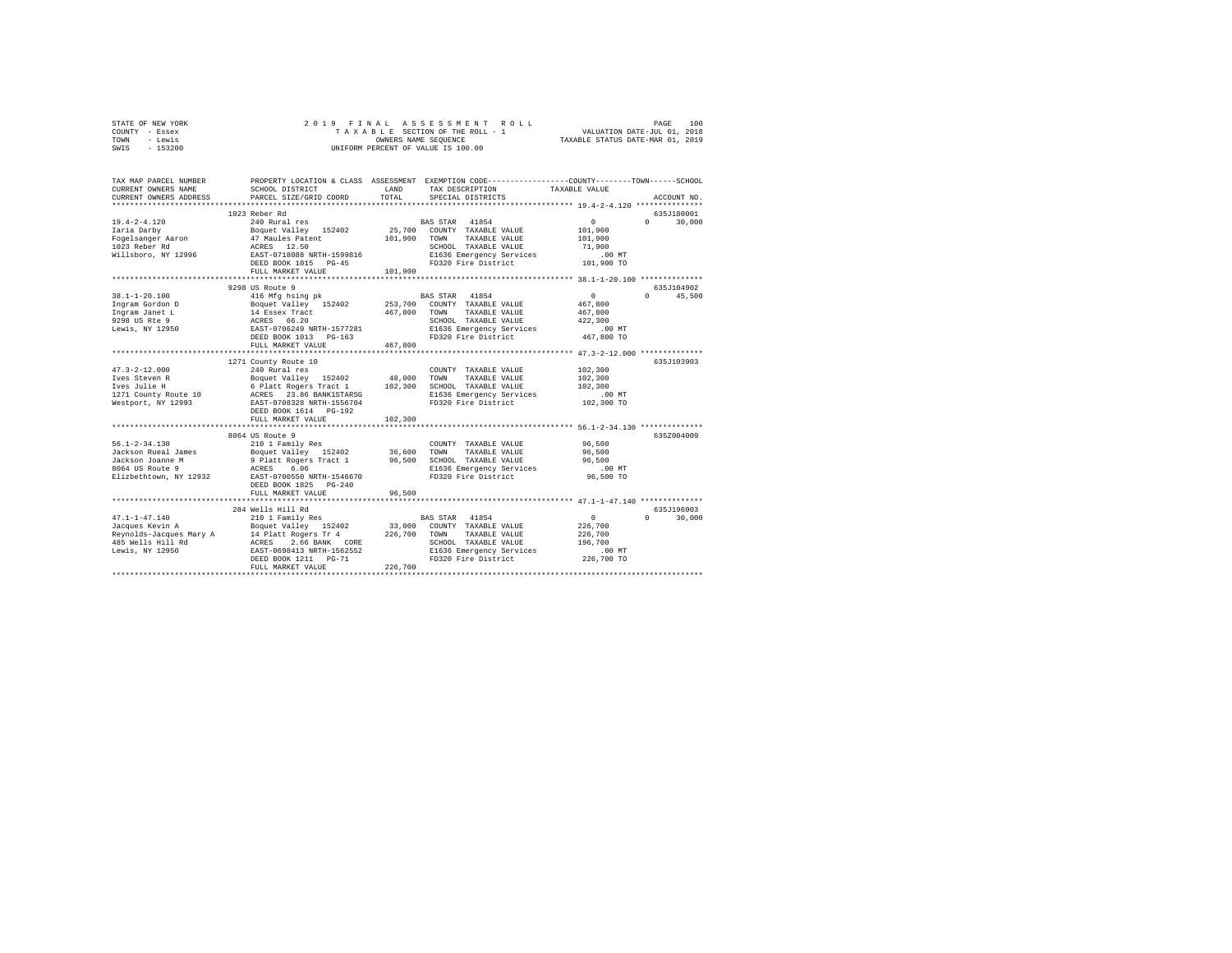| STATE OF NEW YORK | 2019 FINAL ASSESSMENT ROLL         | 100<br>PAGE                      |
|-------------------|------------------------------------|----------------------------------|
| COUNTY - Essex    | TAXABLE SECTION OF THE ROLL - 1    | VALUATION DATE-JUL 01, 2018      |
| TOWN<br>- Lewis   | OWNERS NAME SEOUENCE               | TAXABLE STATUS DATE-MAR 01, 2019 |
| $-153200$<br>SWIS | UNIFORM PERCENT OF VALUE IS 100.00 |                                  |

| TAX MAP PARCEL NUMBER<br>CURRENT OWNERS NAME<br>CURRENT OWNERS ADDRESS                                      | SCHOOL DISTRICT<br>PARCEL SIZE/GRID COORD                                                                                                                                                                                                                                                                                                                                                                                                                      | LAND<br>TOTAL           | PROPERTY LOCATION & CLASS ASSESSMENT EXEMPTION CODE---------------COUNTY-------TOWN-----SCHOOL<br>TAX DESCRIPTION<br>SPECIAL DISTRICTS                   | TAXABLE VALUE                                                      | ACCOUNT NO.                          |
|-------------------------------------------------------------------------------------------------------------|----------------------------------------------------------------------------------------------------------------------------------------------------------------------------------------------------------------------------------------------------------------------------------------------------------------------------------------------------------------------------------------------------------------------------------------------------------------|-------------------------|----------------------------------------------------------------------------------------------------------------------------------------------------------|--------------------------------------------------------------------|--------------------------------------|
|                                                                                                             | *****************************                                                                                                                                                                                                                                                                                                                                                                                                                                  |                         |                                                                                                                                                          |                                                                    |                                      |
| $19.4 - 2 - 4.120$<br>Iaria Darby<br>Fogelsanger Aaron<br>1023 Reber Rd<br>Willsboro, NY 12996              | 1023 Reber Rd<br>240 Rural res<br>Boquet Valley 152402<br>47 Maules Patent<br>ACRES 12.50<br>EAST-0718088 NRTH-1599816<br>DEED BOOK 1015 PG-45                                                                                                                                                                                                                                                                                                                 | 101,900 TOWN            | BAS STAR 41854<br>25,700 COUNTY TAXABLE VALUE<br>TAXABLE VALUE<br>SCHOOL TAXABLE VALUE<br>E1636 Emergency Services<br>FD320 Fire District                | $\Omega$<br>101,900<br>101,900<br>71,900<br>$.00$ MT<br>101,900 TO | 635-7180001<br>$\Omega$<br>30,000    |
|                                                                                                             | FULL MARKET VALUE                                                                                                                                                                                                                                                                                                                                                                                                                                              | 101,900                 |                                                                                                                                                          |                                                                    |                                      |
| $38.1 - 1 - 20.100$                                                                                         | ********************************<br>9298 US Route 9<br>416 Mfg hsing pk                                                                                                                                                                                                                                                                                                                                                                                        |                         | BAS STAR 41854                                                                                                                                           | $\sim$ 0                                                           | 635J104902<br>$\Omega$<br>45,500     |
| Ingram Gordon D<br>Ingram Janet L<br>9298 US Rte 9<br>Lewis, NY 12950                                       | Boquet Valley 152402<br>BOQUET Valley 152402<br>14 Essex Tract<br>ACRES 66.20<br>EAST-0706249 NRTH-1577281<br>DEED BOOK 1013 PG-163<br>FULL MARKET VALUE                                                                                                                                                                                                                                                                                                       | 467.800 TOWN<br>467.800 | 253,700 COUNTY TAXABLE VALUE<br>TAXABLE VALUE<br>SCHOOL TAXABLE VALUE<br>E1636 Emergency Services<br>FD320 Fire District                                 | 467,800<br>467.800<br>422,300<br>.00 MT<br>467,800 TO              |                                      |
|                                                                                                             |                                                                                                                                                                                                                                                                                                                                                                                                                                                                |                         |                                                                                                                                                          |                                                                    |                                      |
| $47.3 - 2 - 12.000$                                                                                         | 1271 County Route 10<br>240 Rural res<br>9.19-212.000 10000 10000 20000 20000 20000 20000 20000 20000 20000 20000 20000 20000 20000 20000 20000 20000 2<br>19.900 20000 20000 20000 20000 20000 20000 20000 20000 20000 20000 20000 20000 20000 20000 20000 20000 20000 2<br>Westport, NY 12993 EAST-0708328 NRTH-1556704<br>DEED BOOK 1614 PG-192                                                                                                             |                         | COUNTY TAXABLE VALUE<br>E1636 Emergency Services<br>FD320 Fire District                                                                                  | 102,300<br>102,300<br>102,300<br>$.00$ MT<br>102,300 TO            | 635J103903                           |
|                                                                                                             | FULL MARKET VALUE                                                                                                                                                                                                                                                                                                                                                                                                                                              | 102,300                 |                                                                                                                                                          |                                                                    |                                      |
| $56.1 - 2 - 34.130$<br>Jackson Rueal James<br>Jackson Joanne M<br>8064 US Route 9<br>Elizbethtown, NY 12932 | 8064 US Route 9<br>210 1 Family Res<br>Boquet Valley 152402 36,600 TOWN TAXABLE VALUE<br>9 Platt Rogers Tract 1 96,500 SCHOOL TAXABLE VALUE<br>ACRES 6.06 SI636 Emergency Servic<br>EAST-0700550 NRTH-1546670<br>DEED BOOK 1825 PG-240                                                                                                                                                                                                                         |                         | COUNTY TAXABLE VALUE<br>TAXABLE VALUE<br>SCHOOL TAXABLE VALUE<br>E1636 Emergency Services<br>FD320 Fire District                                         | 96,500<br>96,500<br>96,500<br>$.00$ MT<br>96,500 TO                | 6357004009                           |
|                                                                                                             | FULL MARKET VALUE                                                                                                                                                                                                                                                                                                                                                                                                                                              | 96,500                  |                                                                                                                                                          |                                                                    |                                      |
| $47.1 - 1 - 47.140$                                                                                         | 284 Wells Hill Rd<br>210 1 Family Res<br>$\begin{tabular}{lllllllllllll} \texttt{Jacques Kevin A} & \texttt{Boguet Valuey} & 152402 & 33, \\ \texttt{Reynolds-Jacques Mary A} & 14 \texttt{ platt Rogers Tr 4} & 226, \\ \texttt{485 Wells Hill Rd} & \texttt{ACRES} & 2,66 \texttt{ BANK} & \texttt{CORE} \\ \texttt{Lewis, NY 12950} & \texttt{ACRES} & 266 \texttt{ BANK} & \texttt{CORE} \\ \end{tabular}$<br>DEED BOOK 1211    PG-71<br>FULL MARKET VALUE | 226,700                 | AAS STAR 41854<br>33,000 COUNTY TAXABLE VALUE<br>226,700 TOWN TILL<br>SCHOOL TAXABLE VALUE<br>E1636 Emergency Services<br>FD320 Fire District 226,700 TO | $\sim$ 0<br>226,700<br>226,700<br>196,700<br>.00 MT                | 635J196003<br>$\mathbf{a}$<br>30,000 |
|                                                                                                             |                                                                                                                                                                                                                                                                                                                                                                                                                                                                |                         |                                                                                                                                                          | *********************************                                  |                                      |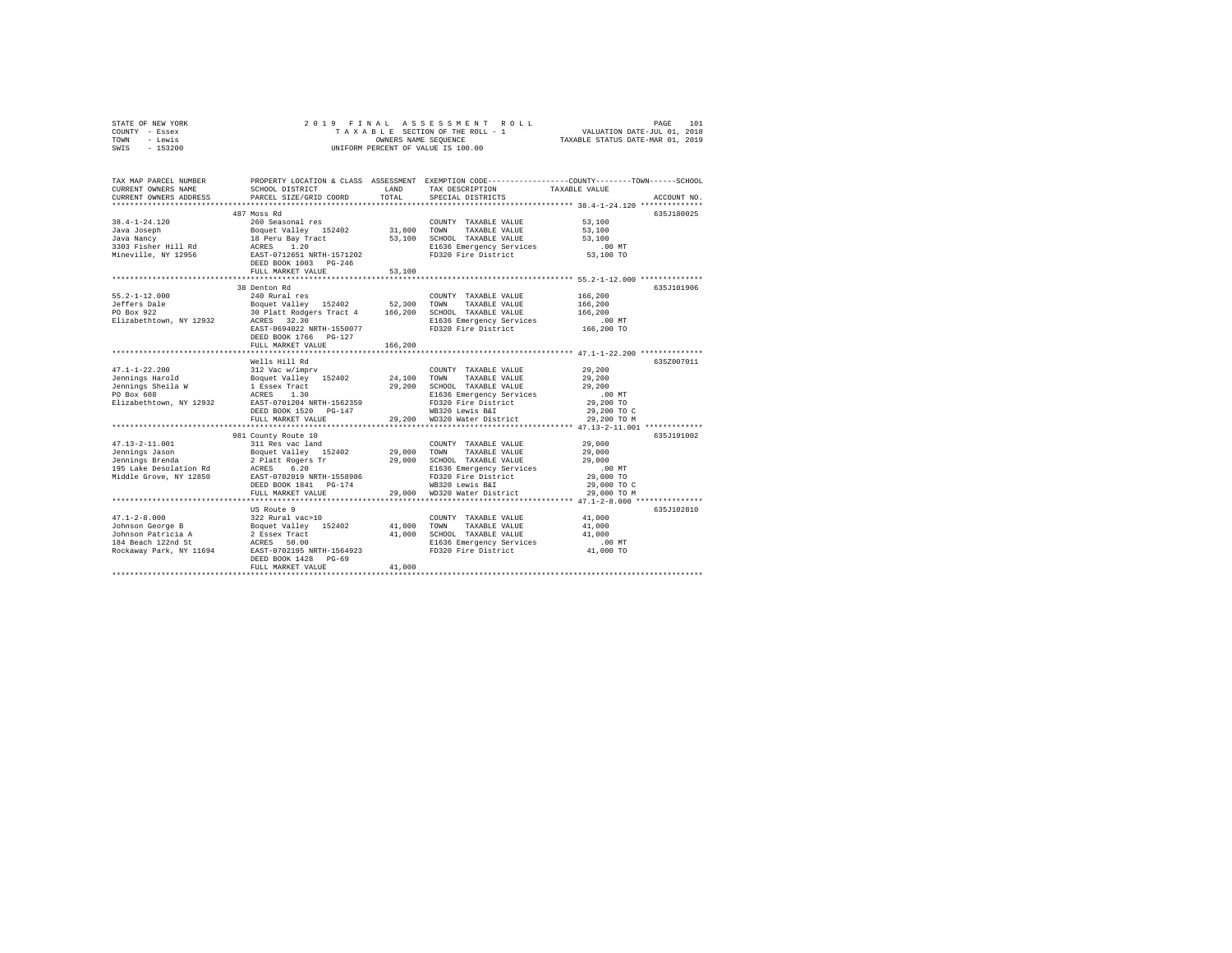| STATE OF NEW YORK | 2019 FINAL ASSESSMENT ROLL         | 101<br>PAGE                      |
|-------------------|------------------------------------|----------------------------------|
| COUNTY - Essex    | TAXABLE SECTION OF THE ROLL - 1    | VALUATION DATE-JUL 01, 2018      |
| TOWN<br>- Lewis   | OWNERS NAME SEOUENCE               | TAXABLE STATUS DATE-MAR 01, 2019 |
| $-153200$<br>SWIS | UNIFORM PERCENT OF VALUE IS 100.00 |                                  |

| TAX MAP PARCEL NUMBER<br>CURRENT OWNERS NAME<br>CURRENT OWNERS ADDRESS                   | SCHOOL DISTRICT<br>PARCEL SIZE/GRID COORD                                                                                                                                                                                                                                                                                                                                                                                                                                                                                                                                                | LAND<br>TOTAL | PROPERTY LOCATION & CLASS ASSESSMENT EXEMPTION CODE---------------COUNTY-------TOWN-----SCHOOL<br>TAX DESCRIPTION TAXABLE VALUE<br>SPECIAL DISTRICTS                   |                                                               | ACCOUNT NO. |
|------------------------------------------------------------------------------------------|------------------------------------------------------------------------------------------------------------------------------------------------------------------------------------------------------------------------------------------------------------------------------------------------------------------------------------------------------------------------------------------------------------------------------------------------------------------------------------------------------------------------------------------------------------------------------------------|---------------|------------------------------------------------------------------------------------------------------------------------------------------------------------------------|---------------------------------------------------------------|-------------|
|                                                                                          | 487 Moss Rd<br>Mineville, NY 12956 EAST-0712651 NRTH-1571202<br>DEED BOOK 1003 PG-246<br>FULL MARKET VALUE                                                                                                                                                                                                                                                                                                                                                                                                                                                                               | 53,100        |                                                                                                                                                                        |                                                               | 635J180025  |
| $55.2 - 1 - 12.000$<br>Jeffers Dale<br>PO Box 922<br>Elizabethtown, NY 12932 ACRES 32.30 | 38 Denton Rd<br>240 Rural res<br>Boquet Valley 152402 52,300 TOWN TAXABLE VALUE<br>30 Platt Rodgers Tract 4 166,200 SCHOOL TAXABLE VALUE<br>EAST-0694022 NRTH-1550077<br>DEED BOOK 1766 PG-127<br>FULL MARKET VALUE                                                                                                                                                                                                                                                                                                                                                                      | 166,200       | COUNTY TAXABLE VALUE                                                                                                                                                   | 166,200<br>166,200<br>166,200                                 | 635J101906  |
|                                                                                          | Wells Hill Rd<br>$\begin{array}{cccc} 47.1\text{--}1\text{--}22.200 & 312 \text{ Vac} & \text{mipry} & \text{COUNTY} \text{ TAXABLE VALUE} \\ \text{Jellings Harold} & \text{Boquet Valley} & 152402 & 24,100 \text{ TOWAN} & \text{TAXABLE VALUE} \\ \text{Jemings Sheikh a M} & \text{I Bseez Tract} & 29,200 \text{ SCHOOL} & \text{TAXABLE VALUE} \\ \text{PO Box 608} & \text{I, 100} & \text{CCEV} & 29,200 \text{ SCHOOL} & \text{TAXABLE VALUE} \\ \end{array}$<br>FORES 1.30<br>Elizabethtown, NY 12932 EAST-0701204 NRTH-1562359<br>DEED BOOK 1520 PG-147<br>FULL MARKET VALUE |               | COUNTY TAXABLE VALUE 29,200<br>29,200 SCHOOL TAXABLE VALUE 29,200<br>E1636 Emergency Services<br>FD320 Fire District<br>WB320 Lewis B&I<br>29,200 WD320 Water District | 29,200<br>$.00$ MT<br>29,200 TO<br>29,200 TO C<br>29,200 TO M | 635Z007011  |
|                                                                                          | 981 County Route 10<br>DEED BOOK 1841 PG-174<br>FULL MARKET VALUE                                                                                                                                                                                                                                                                                                                                                                                                                                                                                                                        |               | COUNTY TAXABLE VALUE<br>FD320 Fire District<br>WB320 Lewis B&I<br>29,000 WD320 Water District                                                                          | 29,000 TO C<br>29,000 TO M                                    | 635.T191002 |
|                                                                                          | US Route 9<br>DEED BOOK 1428 PG-69<br>FULL MARKET VALUE                                                                                                                                                                                                                                                                                                                                                                                                                                                                                                                                  | 41,000        |                                                                                                                                                                        | ********************* 47.1-2-8.000 ************               | 635J102810  |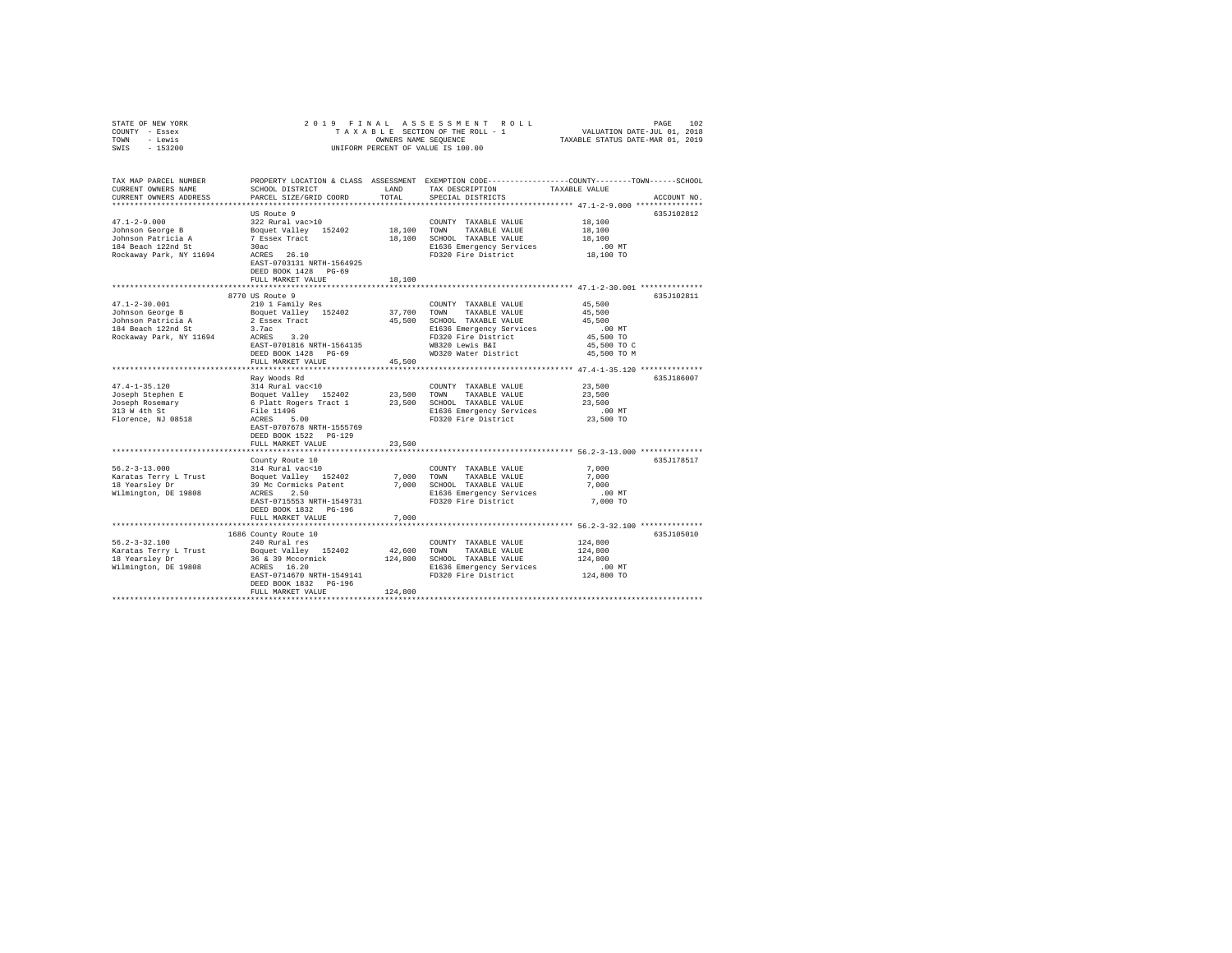| STATE OF NEW YORK<br>COUNTY - Essex<br>TOWN - Lewis | 2019 FINAL                                                                                                                                                     |         |                                                          |                                                                                                                 |
|-----------------------------------------------------|----------------------------------------------------------------------------------------------------------------------------------------------------------------|---------|----------------------------------------------------------|-----------------------------------------------------------------------------------------------------------------|
| SWIS - 153200                                       |                                                                                                                                                                |         | UNIFORM PERCENT OF VALUE IS 100.00                       |                                                                                                                 |
| TAX MAP PARCEL NUMBER<br>CURRENT OWNERS NAME        | SCHOOL DISTRICT                                                                                                                                                | LAND    | TAX DESCRIPTION                                          | PROPERTY LOCATION & CLASS ASSESSMENT EXEMPTION CODE---------------COUNTY-------TOWN-----SCHOOL<br>TAXABLE VALUE |
| CURRENT OWNERS ADDRESS                              | PARCEL SIZE/GRID COORD                                                                                                                                         | TOTAL   | SPECIAL DISTRICTS                                        | ACCOUNT NO.                                                                                                     |
|                                                     | US Route 9                                                                                                                                                     |         |                                                          | 635J102812                                                                                                      |
| $47.1 - 2 - 9.000$                                  | 322 Rural vac>10                                                                                                                                               |         | COUNTY TAXABLE VALUE                                     | 18,100                                                                                                          |
| Johnson George B                                    | Boquet Valley 152402                                                                                                                                           |         | 18,100 TOWN TAXABLE VALUE                                | 18,100                                                                                                          |
| Johnson Patricia A                                  | 7 Essex Tract<br>30ac                                                                                                                                          |         | 18,100 SCHOOL TAXABLE VALUE                              | 18,100                                                                                                          |
| 184 Beach 122nd St                                  | $ACRES$ 26.10                                                                                                                                                  |         | E1636 Emergency Services                                 | .00MT                                                                                                           |
| Rockaway Park, NY 11694                             | EAST-0703131 NRTH-1564925                                                                                                                                      |         | FD320 Fire District                                      | 18,100 TO                                                                                                       |
|                                                     | DEED BOOK 1428 PG-69<br>FULL MARKET VALUE                                                                                                                      | 18,100  |                                                          |                                                                                                                 |
|                                                     |                                                                                                                                                                |         |                                                          |                                                                                                                 |
|                                                     | 8770 US Route 9                                                                                                                                                |         |                                                          | 635J102811                                                                                                      |
| $47.1 - 2 - 30.001$                                 | 210 1 Family Res                                                                                                                                               |         | COUNTY TAXABLE VALUE                                     | 45,500                                                                                                          |
| Johnson George B                                    | Boquet Valley 152402                                                                                                                                           |         | 37,700 TOWN TAXABLE VALUE<br>45,500 SCHOOL TAXABLE VALUE | 45,500<br>45,500                                                                                                |
| Johnson Patricia A<br>184 Beach 122nd St            | 2 Essex Tract<br>3.7ac                                                                                                                                         |         | E1636 Emergency Services                                 | $.00$ MT                                                                                                        |
| Rockaway Park, NY 11694                             | ACRES 3.20                                                                                                                                                     |         | FD320 Fire District                                      | 45,500 TO                                                                                                       |
|                                                     | EAST-0701816 NRTH-1564135                                                                                                                                      |         | WB320 Lewis B&I                                          | 45,500 TO C                                                                                                     |
|                                                     | DEED BOOK 1428 PG-69<br>FULL MARKET VALUE                                                                                                                      |         | WD320 Water District                                     | 45,500 TO M                                                                                                     |
|                                                     |                                                                                                                                                                | 45,500  |                                                          |                                                                                                                 |
|                                                     | Ray Woods Rd                                                                                                                                                   |         |                                                          | 635J186007                                                                                                      |
| $47.4 - 1 - 35.120$                                 | 314 Rural vac<10                                                                                                                                               |         | COUNTY TAXABLE VALUE                                     | 23,500                                                                                                          |
| Joseph Stephen E<br>Joseph Rosemary                 |                                                                                                                                                                |         |                                                          | 23,500<br>23,500                                                                                                |
| 313 W 4th St                                        | 314 KUTAI VACCIU<br>Boquet Valley 152402 23,500 TOWN TAXABLE VALUE<br>6 Platt Rogers Tract 1 23,500 SCHOOL TAXABLE VALUE<br>File 11496 21636 Emergency Service |         | 23,500 SCHOOL TAXABLE VALUE<br>E1636 Emergency Services  | .00MT                                                                                                           |
| Florence, NJ 08518                                  | ACRES 5.00                                                                                                                                                     |         | FD320 Fire District                                      | 23,500 TO                                                                                                       |
|                                                     | EAST-0707678 NRTH-1555769                                                                                                                                      |         |                                                          |                                                                                                                 |
|                                                     | DEED BOOK 1522 PG-129                                                                                                                                          |         |                                                          |                                                                                                                 |
|                                                     | FULL MARKET VALUE                                                                                                                                              | 23,500  |                                                          |                                                                                                                 |
|                                                     | County Route 10                                                                                                                                                |         |                                                          | 635J178517                                                                                                      |
| $56.2 - 3 - 13.000$                                 | 314 Rural vac<10                                                                                                                                               |         | COUNTY TAXABLE VALUE                                     | 7,000                                                                                                           |
| Karatas Terry L Trust                               | Boquet Valley 152402 7,000 TOWN TAXABLE VALUE<br>39 Mc Cormicks Patent 7,000 SCHOOL TAXABLE VALUE                                                              |         |                                                          | 7,000                                                                                                           |
| 18 Yearsley Dr<br>Wilmington, DE 19808              | ACRES 2.50                                                                                                                                                     |         | E1636 Emergency Services                                 | 7,000<br>$.00$ MT                                                                                               |
|                                                     | EAST-0715553 NRTH-1549731                                                                                                                                      |         | FD320 Fire District                                      | 7,000 TO                                                                                                        |
|                                                     | DEED BOOK 1832 PG-196                                                                                                                                          |         |                                                          |                                                                                                                 |
|                                                     | FULL MARKET VALUE                                                                                                                                              | 7,000   |                                                          |                                                                                                                 |
|                                                     |                                                                                                                                                                |         |                                                          |                                                                                                                 |
| $56.2 - 3 - 32.100$                                 | 1686 County Route 10<br>240 Rural res                                                                                                                          |         | COUNTY TAXABLE VALUE                                     | 635J105010<br>124,800                                                                                           |
| Karatas Terry L Trust                               | Boquet Valley 152402                                                                                                                                           |         | 42,600 TOWN TAXABLE VALUE                                | 124,800                                                                                                         |
| 18 Yearsley Dr                                      | 36 & 39 Mccormick                                                                                                                                              |         | 124,800 SCHOOL TAXABLE VALUE                             | 124,800                                                                                                         |
| Wilmington, DE 19808                                | ACRES 16.20                                                                                                                                                    |         | E1636 Emergency Services                                 | 00 MT.<br>124,800 TO                                                                                            |
|                                                     | EAST-0714670 NRTH-1549141<br>DEED BOOK 1832 PG-196                                                                                                             |         | FD320 Fire District                                      |                                                                                                                 |
|                                                     | FULL MARKET VALUE                                                                                                                                              | 124,800 |                                                          |                                                                                                                 |
|                                                     |                                                                                                                                                                |         |                                                          |                                                                                                                 |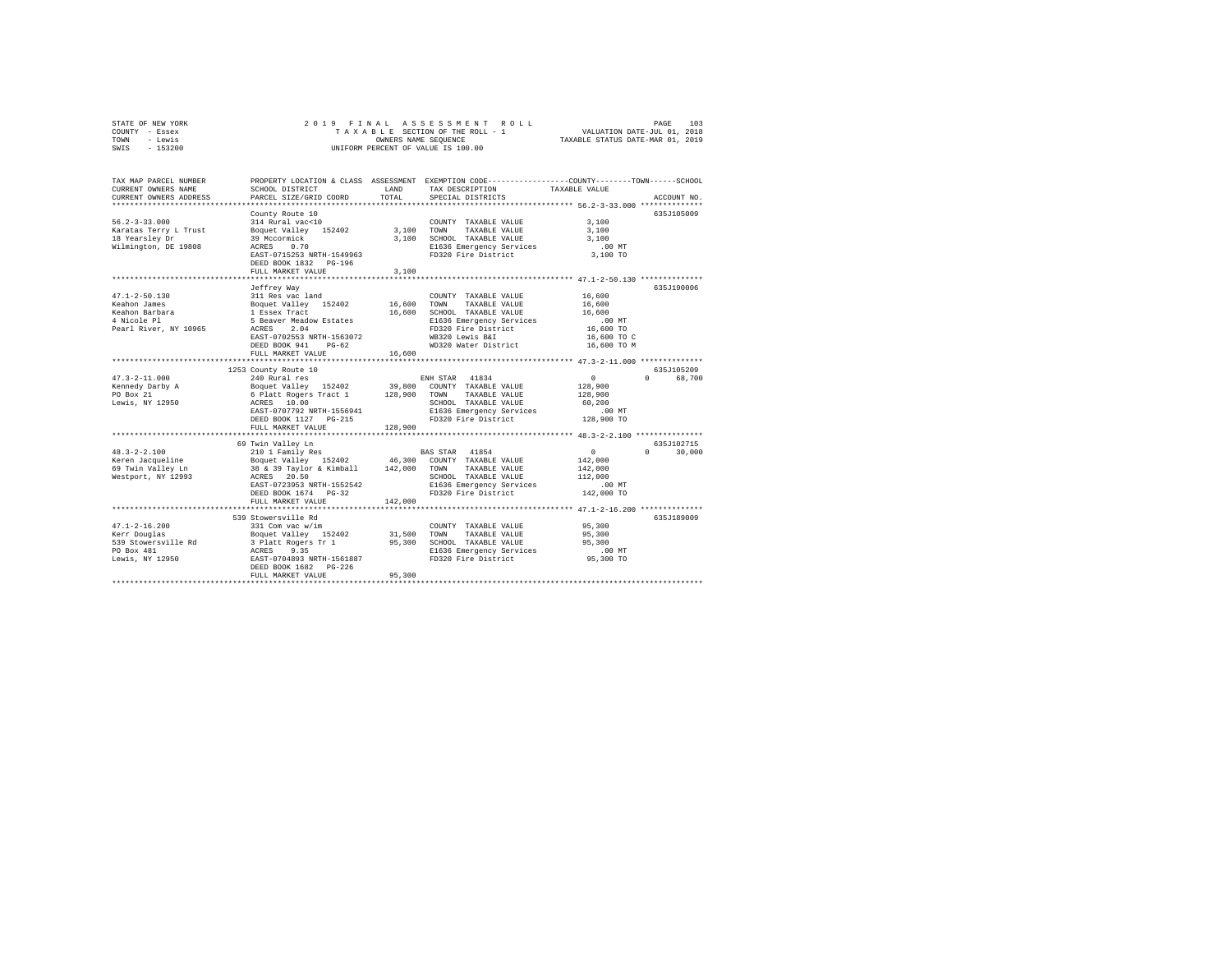|                | STATE OF NEW YORK |  |  |  | 2019 FINAL ASSESSMENT ROLL         |  |  |                                  | PAGE | 103 |
|----------------|-------------------|--|--|--|------------------------------------|--|--|----------------------------------|------|-----|
| COUNTY - Essex |                   |  |  |  | TAXABLE SECTION OF THE ROLL - 1    |  |  | VALUATION DATE-JUL 01, 2018      |      |     |
| TOWN           | - Lewis           |  |  |  | OWNERS NAME SEOUENCE               |  |  | TAXABLE STATUS DATE-MAR 01, 2019 |      |     |
| SWIS           | - 153200          |  |  |  | UNIFORM PERCENT OF VALUE IS 100.00 |  |  |                                  |      |     |
|                |                   |  |  |  |                                    |  |  |                                  |      |     |

| TAX MAP PARCEL NUMBER  |                                                           |            |                             | PROPERTY LOCATION & CLASS ASSESSMENT EXEMPTION CODE---------------COUNTY-------TOWN------SCHOOL |  |
|------------------------|-----------------------------------------------------------|------------|-----------------------------|-------------------------------------------------------------------------------------------------|--|
| CURRENT OWNERS NAME    | SCHOOL DISTRICT                                           | LAND       | TAX DESCRIPTION             | TAXABLE VALUE                                                                                   |  |
| CURRENT OWNERS ADDRESS | PARCEL SIZE/GRID COORD                                    | TOTAL.     | SPECIAL DISTRICTS           | ACCOUNT NO.                                                                                     |  |
|                        |                                                           |            |                             |                                                                                                 |  |
|                        | County Route 10                                           |            |                             | 635J105009                                                                                      |  |
| $56.2 - 3 - 33.000$    | 314 Rural vac<10                                          |            | COUNTY TAXABLE VALUE        | 3,100                                                                                           |  |
| Karatas Terry L Trust  | Boquet Valley 152402                                      | 3,100 TOWN | TAXABLE VALUE               | 3,100                                                                                           |  |
| 18 Yearslev Dr         | 39 Mccormick                                              | 3,100      | SCHOOL TAXABLE VALUE        | 3,100                                                                                           |  |
| Wilmington, DE 19808   | 0.70<br>ACRES                                             |            | E1636 Emergency Services    | $.00$ MT                                                                                        |  |
|                        | EAST-0715253 NRTH-1549963                                 |            | FD320 Fire District         | 3,100 TO                                                                                        |  |
|                        | DEED BOOK 1832 PG-196                                     |            |                             |                                                                                                 |  |
|                        | FULL MARKET VALUE                                         | 3,100      |                             |                                                                                                 |  |
|                        |                                                           |            |                             |                                                                                                 |  |
|                        | Jeffrey Way                                               |            |                             | 635J190006                                                                                      |  |
| $47.1 - 2 - 50.130$    | 311 Res vac land                                          |            | COUNTY TAXABLE VALUE        | 16,600                                                                                          |  |
| Keahon James           | Boquet Valley 152402                                      | 16,600     | TOWN<br>TAXABLE VALUE       | 16,600                                                                                          |  |
| Keahon Barbara         | 1 Essex Tract                                             | 16,600     | SCHOOL TAXABLE VALUE        | 16,600                                                                                          |  |
| 4 Nicole Pl            | 5 Beaver Meadow Estates                                   |            | E1636 Emergency Services    | $.00$ MT                                                                                        |  |
| Pearl River, NY 10965  | ACRES<br>2.04                                             |            | FD320 Fire District         | 16,600 TO                                                                                       |  |
|                        | EAST-0702553 NRTH-1563072                                 |            | WB320 Lewis B&I             | 16,600 TO C                                                                                     |  |
|                        | DEED BOOK 941<br>$PG-62$                                  |            | WD320 Water District        | 16,600 TO M                                                                                     |  |
|                        | FULL MARKET VALUE                                         | 16,600     |                             |                                                                                                 |  |
|                        | ****************************                              |            |                             |                                                                                                 |  |
|                        | 1253 County Route 10                                      |            |                             | 635.T105209                                                                                     |  |
| $47.3 - 2 - 11.000$    | 240 Rural res                                             |            | ENH STAR 41834              | $\sim$ 0<br>$\cap$<br>68,700                                                                    |  |
| Kennedy Darby A        | Boquet Valley 152402                                      | 39,800     | COUNTY TAXABLE VALUE        | 128,900                                                                                         |  |
| PO Box 21              | 6 Platt Rogers Tract 1                                    | 128,900    | TAXABLE VALUE<br>TOWN       | 128,900                                                                                         |  |
| Lewis, NY 12950        | ACRES 10.00                                               |            | SCHOOL TAXABLE VALUE        | 60,200                                                                                          |  |
|                        | EAST-0707792 NRTH-1556941                                 |            | E1636 Emergency Services    | $.00$ MT                                                                                        |  |
|                        | DEED BOOK 1127 PG-215                                     |            | FD320 Fire District         | 128,900 TO                                                                                      |  |
|                        | FULL MARKET VALUE                                         | 128,900    |                             |                                                                                                 |  |
|                        |                                                           | .          |                             | ******************* 48.3-2-2.100 ****************                                               |  |
|                        | 69 Twin Valley Ln                                         |            |                             | 635J102715                                                                                      |  |
| $48.3 - 2 - 2.100$     | 210 1 Family Res                                          |            | BAS STAR 41854              | $\sim$ 0<br>30,000<br>$\Omega$                                                                  |  |
| Keren Jacqueline       | Boquet Valley 152402                                      |            | 46,300 COUNTY TAXABLE VALUE | 142,000                                                                                         |  |
| 69 Twin Valley Ln      | 38 & 39 Taylor & Kimball 142,000                          |            | TAXABLE VALUE<br>TOWN       | 142,000                                                                                         |  |
| Westport, NY 12993     | ACRES 20.50                                               |            | SCHOOL TAXABLE VALUE        | 112,000                                                                                         |  |
|                        | EAST-0723953 NRTH-1552542                                 |            | E1636 Emergency Services    | .00 MT                                                                                          |  |
|                        | DEED BOOK 1674 PG-32                                      |            | FD320 Fire District         | 142,000 TO                                                                                      |  |
|                        | FULL MARKET VALUE                                         | 142,000    |                             |                                                                                                 |  |
|                        |                                                           |            |                             |                                                                                                 |  |
|                        | 539 Stowersville Rd                                       |            |                             | 635J189009                                                                                      |  |
| $47.1 - 2 - 16.200$    | 331 Com vac w/im                                          |            | COUNTY TAXABLE VALUE        | 95,300                                                                                          |  |
| Kerr Douglas           |                                                           | 31,500     | TOWN<br>TAXABLE VALUE       | 95,300                                                                                          |  |
| 539 Stowersville Rd    | Boquet Valley 152402<br>3 Platt Rogers Tr 1<br>ACRES 9.35 | 95,300     | SCHOOL TAXABLE VALUE        | 95,300                                                                                          |  |
| PO Box 481             | ACRES 9.35                                                |            | E1636 Emergency Services    | .00 MT                                                                                          |  |
| Lewis, NY 12950        | EAST-0704893 NRTH-1561887                                 |            | FD320 Fire District         | 95,300 TO                                                                                       |  |
|                        | DEED BOOK 1682 PG-226<br>FULL MARKET VALUE                | 95,300     |                             |                                                                                                 |  |
|                        |                                                           |            |                             |                                                                                                 |  |
|                        |                                                           |            |                             |                                                                                                 |  |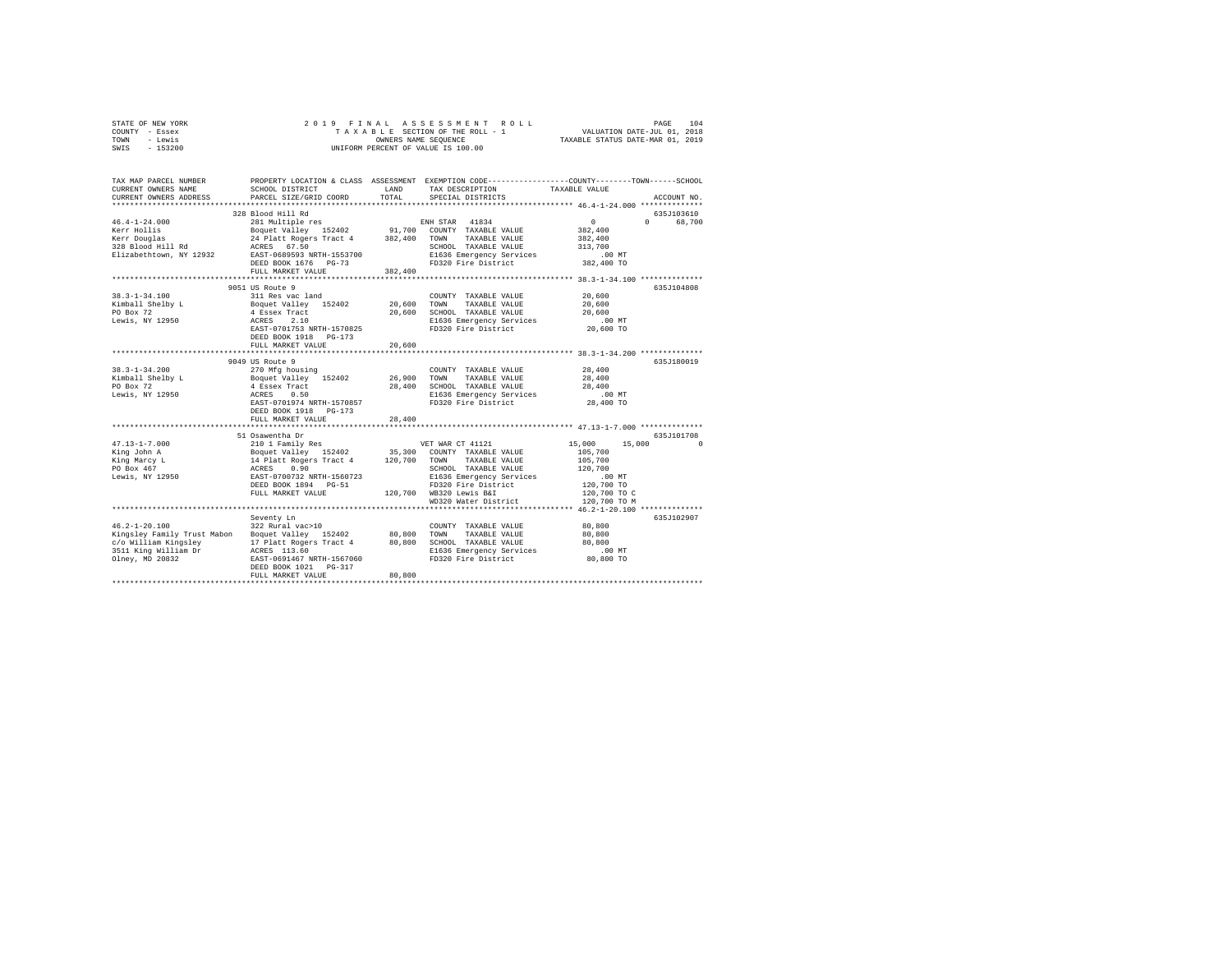| STATE OF NEW YORK | 2019 FINAL ASSESSMENT ROLL         | 104<br>PAGE                      |
|-------------------|------------------------------------|----------------------------------|
| COUNTY - Essex    | TAXABLE SECTION OF THE ROLL - 1    | VALUATION DATE-JUL 01, 2018      |
| TOWN<br>- Lewis   | OWNERS NAME SEOUENCE               | TAXABLE STATUS DATE-MAR 01, 2019 |
| $-153200$<br>SWIS | UNIFORM PERCENT OF VALUE IS 100.00 |                                  |

| TAX MAP PARCEL NUMBER<br>CURRENT OWNERS NAME<br>CURRENT OWNERS ADDRESS | SCHOOL DISTRICT<br>PARCEL SIZE/GRID COORD                                                                                                                                         | LAND<br>TOTAL | TAX DESCRIPTION<br>SPECIAL DISTRICTS               | PROPERTY LOCATION & CLASS ASSESSMENT EXEMPTION CODE---------------COUNTY-------TOWN-----SCHOOL<br>TAXABLE VALUE<br>ACCOUNT NO. |          |
|------------------------------------------------------------------------|-----------------------------------------------------------------------------------------------------------------------------------------------------------------------------------|---------------|----------------------------------------------------|--------------------------------------------------------------------------------------------------------------------------------|----------|
|                                                                        |                                                                                                                                                                                   |               |                                                    |                                                                                                                                |          |
|                                                                        | 328 Blood Hill Rd                                                                                                                                                                 |               |                                                    | 635J103610                                                                                                                     |          |
| $46.4 - 1 - 24.000$                                                    | 2000 Allen New York 2001<br>2011 Multiple Tes (1994) 2011 700 COUNTY TAXABLE VALUE<br>24 Platt Rogers Tract 4 382,400 TOWN TAXABLE VALUE                                          |               |                                                    | $\sim$ 0<br>0 68,700                                                                                                           |          |
| Kerr Hollis                                                            |                                                                                                                                                                                   |               |                                                    | 382,400                                                                                                                        |          |
| Kerr Douglas                                                           |                                                                                                                                                                                   |               |                                                    | 382,400                                                                                                                        |          |
| 328 Blood Hill Rd                                                      | ACRES 67.50<br>EAST-0689593 NRTH-1553700                                                                                                                                          |               | SCHOOL TAXABLE VALUE                               | 313,700                                                                                                                        |          |
| Elizabethtown, NY 12932                                                |                                                                                                                                                                                   |               | E1636 Emergency Services                           | .00 MT                                                                                                                         |          |
|                                                                        | DEED BOOK 1676 PG-73                                                                                                                                                              |               | FD320 Fire District                                | 382,400 TO                                                                                                                     |          |
|                                                                        | FULL MARKET VALUE                                                                                                                                                                 | 382,400       |                                                    |                                                                                                                                |          |
|                                                                        | 9051 US Route 9                                                                                                                                                                   |               |                                                    | 635J104808                                                                                                                     |          |
| $38.3 - 1 - 34.100$                                                    | 311 Res vac land                                                                                                                                                                  |               | COUNTY TAXABLE VALUE                               | 20,600                                                                                                                         |          |
| Kimball Shelby L                                                       | Boquet Valley 152402 20,600 TOWN                                                                                                                                                  |               | TAXABLE VALUE                                      | 20,600                                                                                                                         |          |
| PO Box 72                                                              |                                                                                                                                                                                   | 20,600        |                                                    | 20,600                                                                                                                         |          |
| Lewis, NY 12950                                                        | 4 Essex Tract<br>ACRES 2.10                                                                                                                                                       |               | SCHOOL TAXABLE VALUE<br>E1636 Emergency Services   | $.00$ MT                                                                                                                       |          |
|                                                                        | EAST-0701753 NRTH-1570825                                                                                                                                                         |               | FD320 Fire District                                | 20,600 TO                                                                                                                      |          |
|                                                                        | DEED BOOK 1918 PG-173                                                                                                                                                             |               |                                                    |                                                                                                                                |          |
|                                                                        | FULL MARKET VALUE                                                                                                                                                                 | 20,600        |                                                    |                                                                                                                                |          |
|                                                                        |                                                                                                                                                                                   |               |                                                    |                                                                                                                                |          |
| $38.3 - 1 - 34.200$                                                    | 9049 US Route 9<br>270 Mfa housina                                                                                                                                                |               | COUNTY TAXABLE VALUE                               | 635J180019<br>28,400                                                                                                           |          |
| Kimball Shelby L                                                       |                                                                                                                                                                                   | 26,900 TOWN   | TAXABLE VALUE                                      | 28,400                                                                                                                         |          |
| PO Box 72                                                              |                                                                                                                                                                                   | 28,400        | SCHOOL TAXABLE VALUE                               | 28,400                                                                                                                         |          |
| Lewis, NY 12950                                                        |                                                                                                                                                                                   |               |                                                    | $.00$ MT                                                                                                                       |          |
|                                                                        | EAST-0701974 NRTH-1570857                                                                                                                                                         |               | E1636 Emergency Services<br>FD320 Fire District    | 28,400 TO                                                                                                                      |          |
|                                                                        | DEED BOOK 1918 PG-173                                                                                                                                                             |               |                                                    |                                                                                                                                |          |
|                                                                        | FULL MARKET VALUE                                                                                                                                                                 | 28,400        |                                                    |                                                                                                                                |          |
|                                                                        |                                                                                                                                                                                   |               |                                                    |                                                                                                                                |          |
|                                                                        | 51 Osawentha Dr                                                                                                                                                                   |               |                                                    | 635J101708                                                                                                                     |          |
| $47.13 - 1 - 7.000$                                                    | 210 1 Family Res                                                                                                                                                                  |               | VET WAR CT 41121                                   | 15,000<br>15,000                                                                                                               | $\Omega$ |
| King John A                                                            |                                                                                                                                                                                   |               |                                                    | 105,700                                                                                                                        |          |
| King Marcy L<br>PO Box 467                                             |                                                                                                                                                                                   |               | 120,700 TOWN TAXABLE VALUE<br>SCHOOL TAXABLE VALUE | 105,700<br>120,700                                                                                                             |          |
| Lewis, NY 12950                                                        | Example 1920 152402<br>26 March 120,700 TOUNTY TAXABLE VALUE<br>14 Platt Rogers Tract 4<br>200,700 TOWN TAXABLE VALUE<br>26 March 120,700 NORTH 1560723<br>2636 Emergency Service |               | E1636 Emergency Services                           | .00 MT                                                                                                                         |          |
|                                                                        | DEED BOOK 1894 PG-51                                                                                                                                                              |               | FD320 Fire District                                | 120,700 TO                                                                                                                     |          |
|                                                                        | FULL MARKET VALUE                                                                                                                                                                 |               | 120,700 WB320 Lewis B&I                            | 120,700 TO C                                                                                                                   |          |
|                                                                        |                                                                                                                                                                                   |               | WD320 Water District                               | 120,700 TO M                                                                                                                   |          |
|                                                                        |                                                                                                                                                                                   |               |                                                    | ************************* 46.2-1-20.100 *************                                                                          |          |
|                                                                        | Seventy Ln                                                                                                                                                                        |               |                                                    | 635J102907                                                                                                                     |          |
| $46.2 - 1 - 20.100$                                                    | 322 Rural vac>10                                                                                                                                                                  |               | COUNTY TAXABLE VALUE                               | 80,800                                                                                                                         |          |
| Kingsley Family Trust Mabon Boquet Valley 152402 80,800                |                                                                                                                                                                                   |               | TOWN<br>TAXABLE VALUE                              | 80,800                                                                                                                         |          |
|                                                                        |                                                                                                                                                                                   |               | 80,800 SCHOOL TAXABLE VALUE                        | 80,800                                                                                                                         |          |
|                                                                        |                                                                                                                                                                                   |               | E1636 Emergency Services                           | $.00$ MT                                                                                                                       |          |
|                                                                        |                                                                                                                                                                                   |               | FD320 Fire District                                | 80,800 TO                                                                                                                      |          |
|                                                                        | DEED BOOK 1021    PG-317<br>FULL MARKET VALUE                                                                                                                                     | 80,800        |                                                    |                                                                                                                                |          |
|                                                                        |                                                                                                                                                                                   |               |                                                    |                                                                                                                                |          |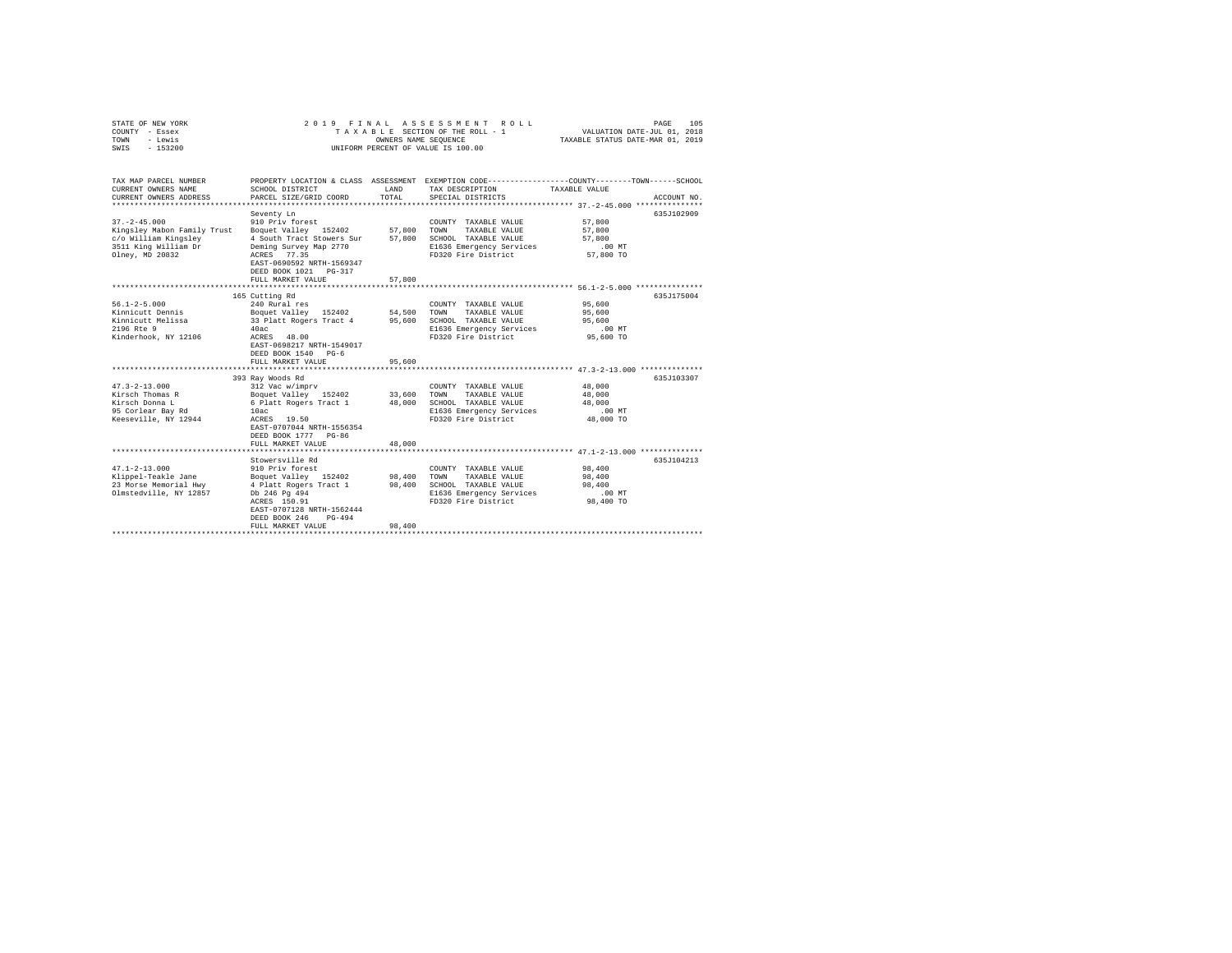| COUNTY - Essex<br>TOWN<br>- Lewis<br>SWIS<br>$-153200$                                                                                                                                                     |                                                                                                                                                                                                                                                                                                                                                                                     | OWNERS NAME SEQUENCE                           | TAXABLE SECTION OF THE ROLL - 1<br>UNIFORM PERCENT OF VALUE IS 100.00                                                                                                                                                                                | VALUATION DATE-JUL 01, 2018<br>TAXABLE STATUS DATE-MAR 01, 2019                                                                        |
|------------------------------------------------------------------------------------------------------------------------------------------------------------------------------------------------------------|-------------------------------------------------------------------------------------------------------------------------------------------------------------------------------------------------------------------------------------------------------------------------------------------------------------------------------------------------------------------------------------|------------------------------------------------|------------------------------------------------------------------------------------------------------------------------------------------------------------------------------------------------------------------------------------------------------|----------------------------------------------------------------------------------------------------------------------------------------|
| TAX MAP PARCEL NUMBER<br>CURRENT OWNERS NAME<br>CURRENT OWNERS ADDRESS                                                                                                                                     | SCHOOL DISTRICT<br>PARCEL SIZE/GRID COORD                                                                                                                                                                                                                                                                                                                                           | LAND<br>TOTAL                                  | TAX DESCRIPTION<br>SPECIAL DISTRICTS                                                                                                                                                                                                                 | PROPERTY LOCATION & CLASS ASSESSMENT EXEMPTION CODE---------------COUNTY-------TOWN------SCHOOL<br>TAXABLE VALUE<br>ACCOUNT NO.        |
| $37. - 2 - 45.000$<br>Kingsley Mabon Family Trust<br>c/o William Kingsley<br>3511 King William Dr<br>Olney, MD 20832                                                                                       | Seventy Ln<br>910 Priv forest<br>Boquet Valley 152402<br>4 South Tract Stowers Sur<br>Deming Survey Map 2770<br>ACRES 77.35<br>EAST-0690592 NRTH-1569347<br>DEED BOOK 1021 PG-317<br>FULL MARKET VALUE                                                                                                                                                                              | 57,800<br>57,800<br>57,800                     | COUNTY TAXABLE VALUE<br>TAXABLE VALUE<br>TOWN<br>SCHOOL TAXABLE VALUE<br>E1636 Emergency Services<br>FD320 Fire District                                                                                                                             | 635J102909<br>57,800<br>57,800<br>57,800<br>$.00$ MT<br>57,800 TO                                                                      |
|                                                                                                                                                                                                            |                                                                                                                                                                                                                                                                                                                                                                                     |                                                |                                                                                                                                                                                                                                                      |                                                                                                                                        |
| $56.1 - 2 - 5.000$<br>Kinnicutt Dennis<br>Kinnicutt Melissa<br>2196 Rte 9<br>Kinderhook, NY 12106<br>$47.3 - 2 - 13.000$<br>Kirsch Thomas R<br>Kirsch Donna L<br>95 Corlear Bay Rd<br>Keeseville, NY 12944 | 165 Cutting Rd<br>240 Rural res<br>Boquet Valley 152402<br>33 Platt Rogers Tract 4<br>40ac<br>ACRES 48.00<br>EAST-0698217 NRTH-1549017<br>DEED BOOK 1540 PG-6<br>FULL MARKET VALUE<br>393 Ray Woods Rd<br>312 Vac w/imprv<br>Boquet Valley 152402 33,600<br>6 Platt Rogers Tract 1<br>10ac<br>ACRES 19.50<br>EAST-0707044 NRTH-1556354<br>DEED BOOK 1777 PG-86<br>FULL MARKET VALUE | 54,500<br>95,600<br>95,600<br>48,000<br>48,000 | COUNTY TAXABLE VALUE<br>TOWN<br>TAXABLE VALUE<br>SCHOOL TAXABLE VALUE<br>E1636 Emergency Services<br>FD320 Fire District<br>COUNTY TAXABLE VALUE<br>TOWN<br>TAXABLE VALUE<br>SCHOOL TAXABLE VALUE<br>E1636 Emergency Services<br>FD320 Fire District | 635J175004<br>95,600<br>95,600<br>95,600<br>$.00$ MT<br>95,600 TO<br>635J103307<br>48,000<br>48,000<br>48,000<br>$.00$ MT<br>48,000 TO |
|                                                                                                                                                                                                            |                                                                                                                                                                                                                                                                                                                                                                                     |                                                |                                                                                                                                                                                                                                                      |                                                                                                                                        |
| $47.1 - 2 - 13.000$<br>Klippel-Teakle Jane<br>23 Morse Memorial Hwy<br>Olmstedville, NY 12857                                                                                                              | Stowersville Rd<br>910 Priv forest<br>Boquet Valley 152402<br>4 Platt Rogers Tract 1<br>Db 246 Pg 494<br>ACRES 150.91<br>EAST-0707128 NRTH-1562444<br>DEED BOOK 246<br>$PG-494$<br>FULL MARKET VALUE                                                                                                                                                                                | 98,400<br>98,400<br>98,400                     | COUNTY TAXABLE VALUE<br>TOWN<br>TAXABLE VALUE<br>SCHOOL TAXABLE VALUE<br>E1636 Emergency Services<br>FD320 Fire District                                                                                                                             | 635J104213<br>98,400<br>98,400<br>98,400<br>$.00$ MT<br>98,400 TO                                                                      |

STATE OF NEW YORK 2019 FINAL ASSESSMENT ROLL PAGE 105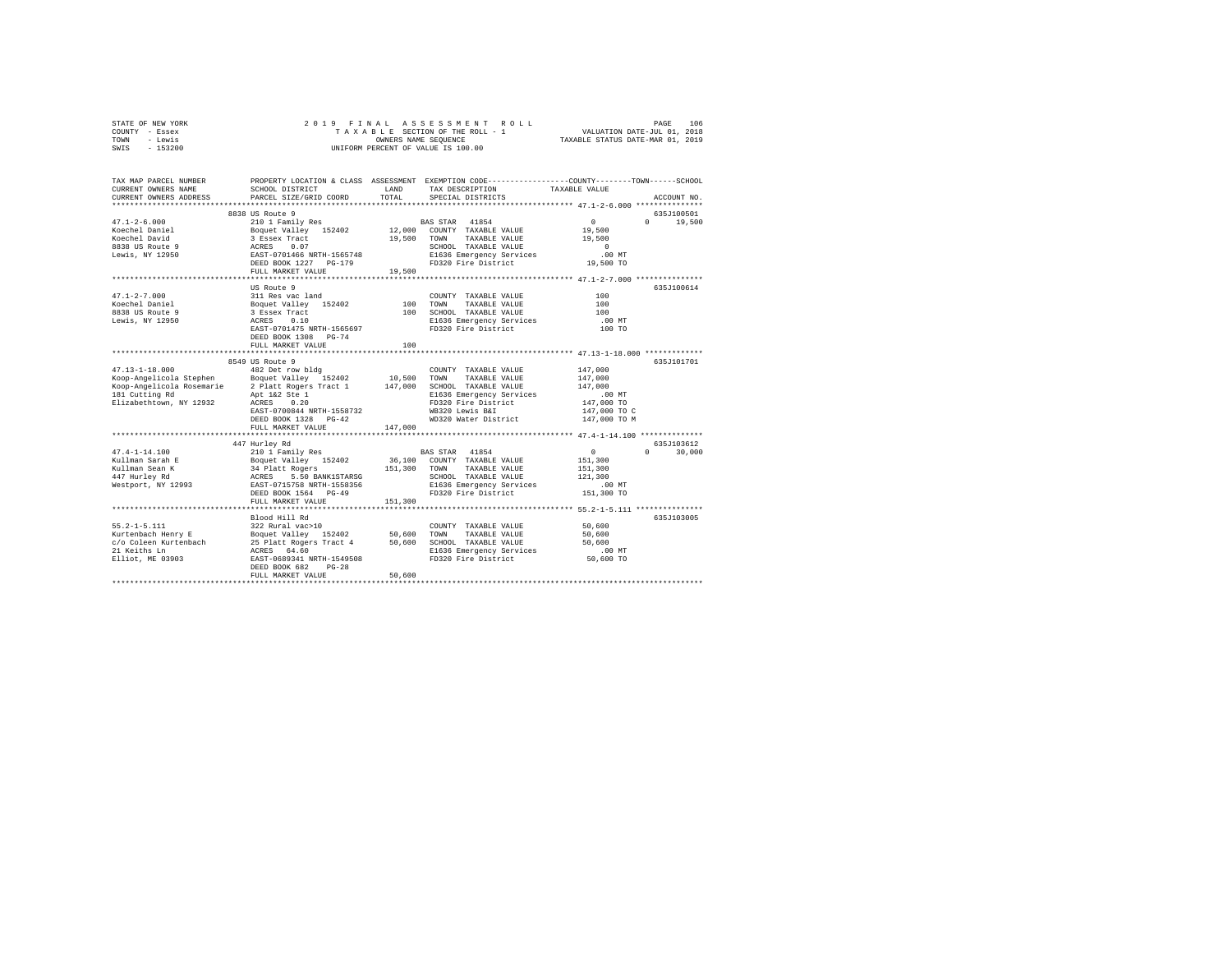| COUNTY<br>- Essex      |                              |            | TAXABLE SECTION OF THE ROLL - 1                            |                                  | VALUATION DATE-JUL 01, 2018 |
|------------------------|------------------------------|------------|------------------------------------------------------------|----------------------------------|-----------------------------|
| - Lewis<br>TOWN        |                              |            | OWNERS NAME SEQUENCE                                       | TAXABLE STATUS DATE-MAR 01, 2019 |                             |
| $-153200$<br>SWIS      |                              |            | UNIFORM PERCENT OF VALUE IS 100.00                         |                                  |                             |
|                        |                              |            |                                                            |                                  |                             |
|                        |                              |            |                                                            |                                  |                             |
|                        |                              |            |                                                            |                                  |                             |
| TAX MAP PARCEL NUMBER  | PROPERTY LOCATION & CLASS    | ASSESSMENT | EXEMPTION CODE----------------COUNTY-------TOWN-----SCHOOL |                                  |                             |
| CURRENT OWNERS NAME    | SCHOOL DISTRICT              | LAND       | TAX DESCRIPTION                                            | TAXABLE VALUE                    |                             |
| CURRENT OWNERS ADDRESS | PARCEL SIZE/GRID COORD TOTAL |            | SPECIAL DISTRICTS                                          |                                  | ACCOUNT NO.                 |
|                        |                              |            |                                                            |                                  |                             |
|                        | 8838 US Route 9              |            |                                                            |                                  | 635J100501                  |
| $47.1 - 2 - 6.000$     | 210 1 Family Res             |            | 41854<br>BAS STAR                                          | $\Omega$                         | 19,500<br>$^{\circ}$        |
| Koechel Daniel         | Boquet Valley 152402         | 12,000     | COUNTY<br>TAXABLE VALUE                                    | 19,500                           |                             |
| Koechel David          | 3 Essex Tract                | 19,500     | TOWN<br>TAXABLE VALUE                                      | 19,500                           |                             |
| 8838 US Route 9        | ACRES<br>0.07                |            | SCHOOL<br>TAXABLE VALUE                                    | $^{\circ}$                       |                             |
| Lewis, NY 12950        | EAST-0701466 NRTH-1565748    |            | E1636 Emergency Services                                   | $.00$ MT                         |                             |
|                        | DEED BOOK 1227 PG-179        |            | FD320 Fire District                                        | 19,500 TO                        |                             |
|                        | FULL MARKET VALUE            | 19,500     |                                                            |                                  |                             |
|                        |                              |            |                                                            |                                  |                             |
|                        | TIP Boute 0                  |            |                                                            |                                  | $C2E+100C1A$                |

STATE OF NEW YORK 2 0 1 9 F I N A L A S S E S S M E N T R O L L PAGE 106

|                                                                                | PULL MARRAI VALUA                                   | 1.7.300      |                          |                              |  |
|--------------------------------------------------------------------------------|-----------------------------------------------------|--------------|--------------------------|------------------------------|--|
|                                                                                |                                                     |              |                          |                              |  |
|                                                                                | US Route 9                                          |              |                          | 635J100614                   |  |
| $47.1 - 2 - 7.000$                                                             | 311 Res vac land                                    |              | COUNTY TAXABLE VALUE     | 100                          |  |
| Koechel Daniel                                                                 | Boquet Valley 152402                                | 100          | TAXABLE VALUE<br>TOWN    | 100                          |  |
| 8838 US Route 9                                                                | 3 Essex Tract                                       | 100          | SCHOOL TAXABLE VALUE     | 100                          |  |
| Lewis, NY 12950                                                                | 0.10<br>ACRES                                       |              | E1636 Emergency Services | $.00$ MT                     |  |
|                                                                                | EAST-0701475 NRTH-1565697                           |              | FD320 Fire District      | 100 TO                       |  |
|                                                                                | DEED BOOK 1308 PG-74                                |              |                          |                              |  |
|                                                                                | FULL MARKET VALUE                                   | 100          |                          |                              |  |
|                                                                                |                                                     |              |                          |                              |  |
|                                                                                | 8549 US Route 9                                     |              |                          | 635.7101701                  |  |
| $47.13 - 1 - 18.000$                                                           | 482 Det row bldg                                    |              | COUNTY TAXABLE VALUE     | 147,000                      |  |
| Koop-Angelicola Stephen Boquet Valley 152402 10,500 TOWN                       |                                                     |              | TAXABLE VALUE            | 147,000                      |  |
| Koop-Angelicola Rosemarie 12 Platt Rogers Tract 1 147,000 SCHOOL TAXABLE VALUE |                                                     |              |                          | 147,000                      |  |
| 181 Cutting Rd                                                                 | Apt 1&2 Ste 1                                       |              | E1636 Emergency Services | $.00$ MT                     |  |
| Elizabethtown, NY 12932                                                        | ACRES 0.20                                          |              | FD320 Fire District      | 147,000 TO                   |  |
|                                                                                | EAST-0700844 NRTH-1558732                           |              | WB320 Lewis B&I          | 147,000 TO C                 |  |
|                                                                                | DEED BOOK 1328 PG-42                                |              | WD320 Water District     | 147,000 TO M                 |  |
|                                                                                | FULL MARKET VALUE                                   | 147,000      |                          |                              |  |
|                                                                                |                                                     |              |                          |                              |  |
|                                                                                | 447 Hurley Rd                                       |              |                          | 635.1103612                  |  |
| $47.4 - 1 - 14.100$                                                            | 210 1 Family Res                                    |              | BAS STAR 41854           | $\Omega$<br>$\cap$<br>30,000 |  |
| Kullman Sarah E                                                                | Boquet Valley 152402 36,100 COUNTY TAXABLE VALUE    |              |                          | 151,300                      |  |
| Kullman Sean K                                                                 | 34 Platt Rogers                                     | 151,300 TOWN | TAXABLE VALUE            | 151,300                      |  |
| 447 Hurley Rd                                                                  | ACRES 5.50 BANK1STARSG                              |              | SCHOOL TAXABLE VALUE     | 121,300                      |  |
| Westport, NY 12993                                                             | EAST-0715758 NRTH-1558356                           |              | E1636 Emergency Services | .00MT                        |  |
|                                                                                | DEED BOOK 1564 PG-49                                |              | FD320 Fire District      | 151,300 TO                   |  |
|                                                                                | FULL MARKET VALUE                                   | 151,300      |                          |                              |  |
|                                                                                |                                                     |              |                          |                              |  |
|                                                                                | Blood Hill Rd                                       |              |                          | 635.7103005                  |  |
| $55.2 - 1 - 5.111$                                                             | 322 Rural vac>10                                    |              | COUNTY TAXABLE VALUE     | 50,600                       |  |
| Kurtenbach Henry E                                                             | Boquet Valley 152402 50,600 TOWN                    |              | TAXABLE VALUE            | 50,600                       |  |
| c/o Coleen Kurtenbach                                                          | 25 Platt Rogers Tract 4 50,600 SCHOOL TAXABLE VALUE |              |                          | 50,600                       |  |
| 21 Keiths Ln                                                                   | ACRES 64.60                                         |              | E1636 Emergency Services | $.00$ MT                     |  |
|                                                                                |                                                     |              | FD320 Fire District      | 50,600 TO                    |  |
| Elliot, ME 03903                                                               | EAST-0689341 NRTH-1549508                           |              |                          |                              |  |
|                                                                                | DEED BOOK 682<br>$PG-28$                            |              |                          |                              |  |
|                                                                                | FULL MARKET VALUE                                   | 50,600       |                          |                              |  |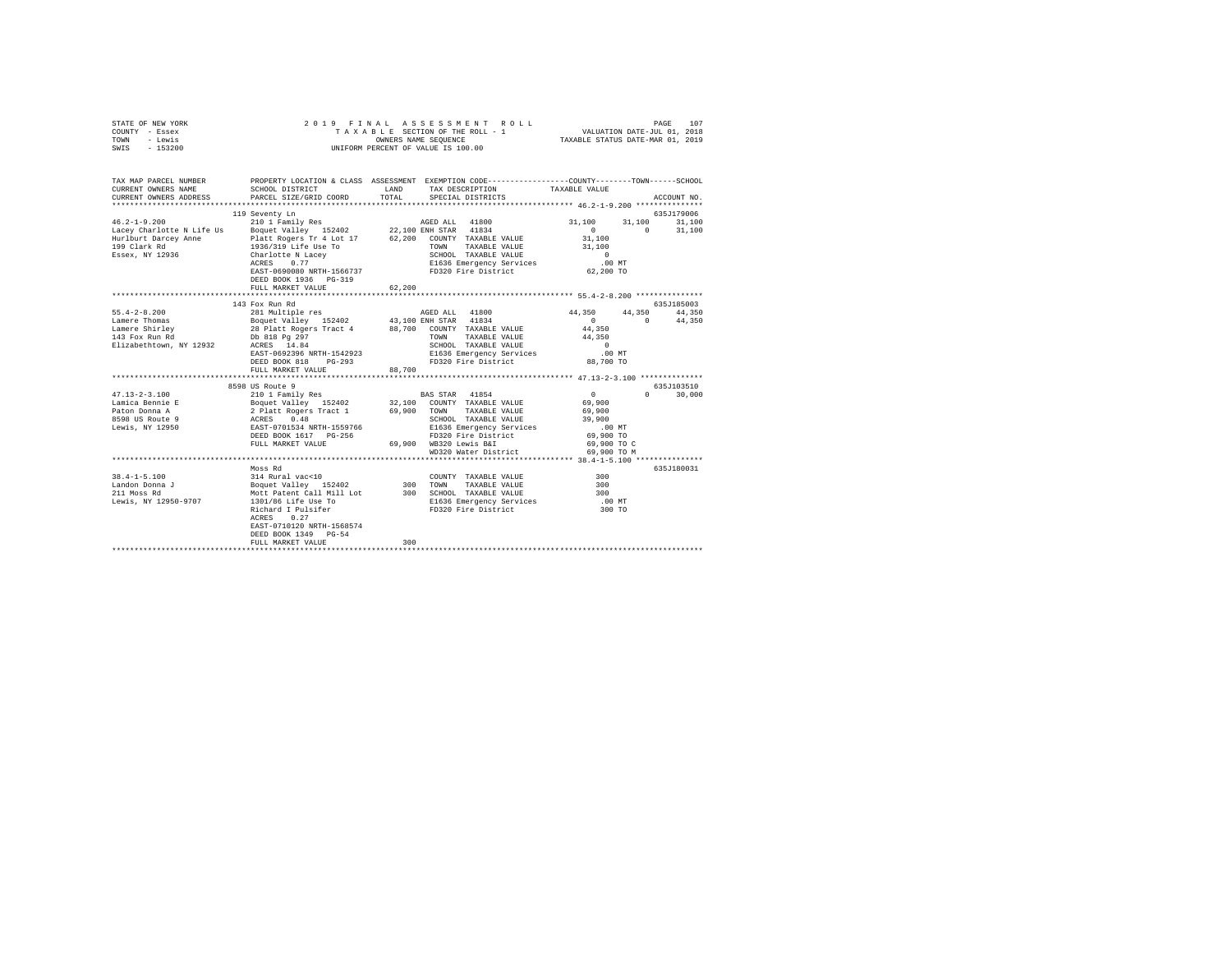| STATE OF NEW YORK<br>COUNTY - Essex<br>- Lewis<br>TOWN<br>SWIS - 153200                                                                                                | 2019 FINAL                                                                                                                                                                                                                     | UNIFORM PERCENT OF VALUE IS 100.00 |                | ASSESSMENT ROLL<br>TAXABLE SECTION OF THE ROLL - 1<br>OWNERS NAME SEQUENCE | VALUATION DATE-JUL 01, 2018<br>TAXABLE STATUS DATE-MAR 01, 2019 | PAGE          | 107           |
|------------------------------------------------------------------------------------------------------------------------------------------------------------------------|--------------------------------------------------------------------------------------------------------------------------------------------------------------------------------------------------------------------------------|------------------------------------|----------------|----------------------------------------------------------------------------|-----------------------------------------------------------------|---------------|---------------|
| TAX MAP PARCEL NUMBER PROPERTY LOCATION & CLASS ASSESSMENT EXEMPTION CODE---------------COUNTY-------TOWN------SCHOOL<br>CURRENT OWNERS NAME<br>CURRENT OWNERS ADDRESS | SCHOOL DISTRICT<br>PARCEL SIZE/GRID COORD                                                                                                                                                                                      | LAND<br>TOTAL                      |                | TAX DESCRIPTION<br>SPECIAL DISTRICTS                                       | TAXABLE VALUE                                                   |               | ACCOUNT NO.   |
|                                                                                                                                                                        | 119 Seventy Ln                                                                                                                                                                                                                 |                                    |                |                                                                            |                                                                 |               | 635J179006    |
| $46.2 - 1 - 9.200$                                                                                                                                                     | 210 1 Family Res                                                                                                                                                                                                               |                                    |                | AGED ALL 41800                                                             | 31,100                                                          | 31,100 31,100 |               |
|                                                                                                                                                                        |                                                                                                                                                                                                                                |                                    |                |                                                                            | $\sim$ 0                                                        | $\sim$ 0      | 31,100        |
| Essex, NY 12936                                                                                                                                                        | Charlotte N Lacey<br>Charlotte N Lacey<br>ACRES 0.77<br>RES 0.000                                                                                                                                                              |                                    |                | SCHOOL TAXABLE VALUE                                                       | 31,100<br>31,100<br>$\sim$ 0                                    |               |               |
|                                                                                                                                                                        |                                                                                                                                                                                                                                |                                    |                | E1636 Emergency Services                                                   | .00MT                                                           |               |               |
|                                                                                                                                                                        | EAST-0690080 NRTH-1566737<br>DEED BOOK 1936 PG-319<br>FULL MARKET VALUE                                                                                                                                                        | 62,200                             |                | FD320 Fire District                                                        | 62,200 TO                                                       |               |               |
|                                                                                                                                                                        |                                                                                                                                                                                                                                |                                    |                | ***************************** 55.4-2-8.200 ***************                 |                                                                 |               |               |
|                                                                                                                                                                        | 143 Fox Run Rd                                                                                                                                                                                                                 |                                    |                |                                                                            |                                                                 |               | 635J185003    |
| $55.4 - 2 - 8.200$                                                                                                                                                     | 281 Multiple res                                                                                                                                                                                                               |                                    |                | AGED ALL 41800                                                             | 44.350                                                          | 44,350 44,350 |               |
| Lamere Thomas                                                                                                                                                          |                                                                                                                                                                                                                                |                                    |                |                                                                            | $\begin{array}{ccc} & & & & & \end{array}$                      |               | 44,350        |
| Lamere Shirley                                                                                                                                                         |                                                                                                                                                                                                                                |                                    |                |                                                                            | 44,350                                                          |               |               |
| 143 Fox Run Rd                                                                                                                                                         | Note that the 1910 of the MASD HOT BOQUET VALUE AND HOT PRESSURE TO A 1914 THE VALUE OF THE RESSURE OF THE SALT THAT THE SALT THE SALT THE SALT THAT THE SALT THAT THE SALT THAT THE SALT THAT A SCHOOL TAXABLE VALUE SALT THA |                                    |                | TAXABLE VALUE                                                              | 44,350                                                          |               |               |
| Elizabethtown, NY 12932                                                                                                                                                |                                                                                                                                                                                                                                |                                    |                |                                                                            | $\sim$ 0                                                        |               |               |
|                                                                                                                                                                        | EAST-0692396 NRTH-1542923                                                                                                                                                                                                      |                                    |                | E1636 Emergency Services<br>FD320 Fire District                            | 00 MT.<br>88,700 TO                                             |               |               |
|                                                                                                                                                                        | DEED BOOK 818 PG-293<br>FULL MARKET VALUE                                                                                                                                                                                      | 88,700                             |                |                                                                            |                                                                 |               |               |
|                                                                                                                                                                        |                                                                                                                                                                                                                                |                                    |                |                                                                            |                                                                 |               |               |
|                                                                                                                                                                        | 8598 US Route 9                                                                                                                                                                                                                |                                    |                |                                                                            |                                                                 |               | 635J103510    |
| $47.13 - 2 - 3.100$                                                                                                                                                    | 210 1 Family Res                                                                                                                                                                                                               |                                    | BAS STAR 41854 |                                                                            | $\sim$ 0                                                        |               | $0 \t 30.000$ |
| Lamica Bennie E                                                                                                                                                        | Boquet Valley 152402                                                                                                                                                                                                           |                                    |                | 32,100 COUNTY TAXABLE VALUE                                                | 69,900                                                          |               |               |
| Paton Donna A                                                                                                                                                          |                                                                                                                                                                                                                                |                                    |                |                                                                            | 69,900                                                          |               |               |
| 8598 US Route 9                                                                                                                                                        |                                                                                                                                                                                                                                |                                    |                | SCHOOL TAXABLE VALUE                                                       | 39,900                                                          |               |               |
| Lewis, NY 12950                                                                                                                                                        |                                                                                                                                                                                                                                |                                    |                | E1636 Emergency Services                                                   | $.00$ MT                                                        |               |               |
|                                                                                                                                                                        |                                                                                                                                                                                                                                |                                    |                | FD320 Fire District                                                        | 69,900 TO                                                       |               |               |
|                                                                                                                                                                        | FULL MARKET VALUE                                                                                                                                                                                                              |                                    |                | 69.900 WB320 Lewis B&I<br>WD320 Water District                             | 69,900 TO C<br>69,900 TO M                                      |               |               |
|                                                                                                                                                                        |                                                                                                                                                                                                                                |                                    |                |                                                                            |                                                                 |               |               |
|                                                                                                                                                                        | Moss Rd                                                                                                                                                                                                                        |                                    |                |                                                                            |                                                                 |               | 635J180031    |
| $38.4 - 1 - 5.100$                                                                                                                                                     |                                                                                                                                                                                                                                |                                    |                |                                                                            | 300                                                             |               |               |
| Landon Donna J<br><sup>011</sup> Moss Rd                                                                                                                               |                                                                                                                                                                                                                                |                                    |                |                                                                            | 300                                                             |               |               |
|                                                                                                                                                                        |                                                                                                                                                                                                                                |                                    |                |                                                                            | 300                                                             |               |               |
| Lewis, NY 12950-9707                                                                                                                                                   |                                                                                                                                                                                                                                |                                    |                | E1636 Emergency Services<br>FD320 Fire District                            | $.00$ MT                                                        |               |               |
|                                                                                                                                                                        | Richard I Pulsifer                                                                                                                                                                                                             |                                    |                | FD320 Fire District                                                        | 300 TO                                                          |               |               |
|                                                                                                                                                                        | ACRES 0.27                                                                                                                                                                                                                     |                                    |                |                                                                            |                                                                 |               |               |
|                                                                                                                                                                        | EAST-0710120 NRTH-1568574<br>DEED BOOK 1349 PG-54                                                                                                                                                                              |                                    |                |                                                                            |                                                                 |               |               |
|                                                                                                                                                                        | FULL MARKET VALUE                                                                                                                                                                                                              | 300                                |                |                                                                            |                                                                 |               |               |
|                                                                                                                                                                        |                                                                                                                                                                                                                                |                                    |                |                                                                            |                                                                 |               |               |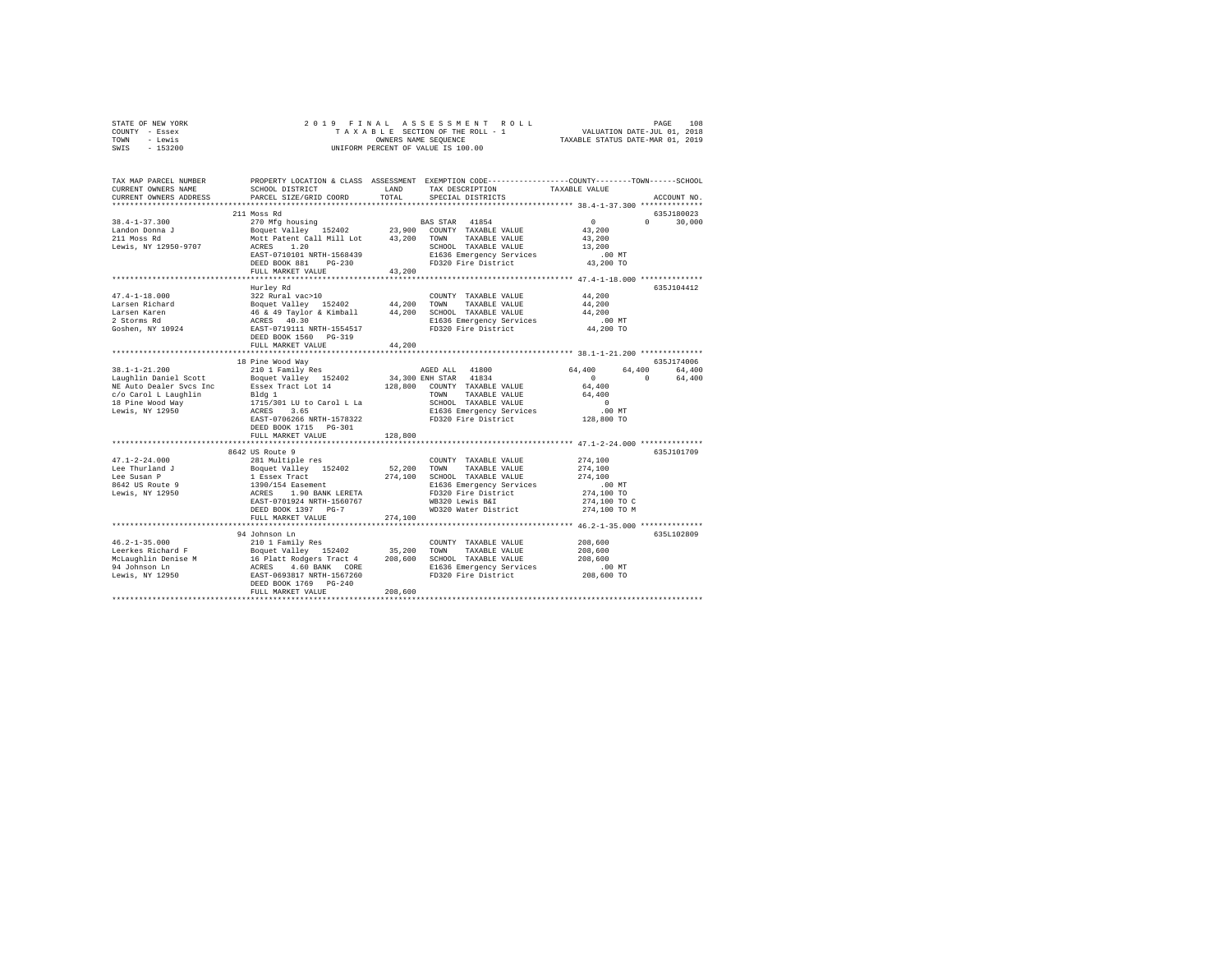| STATE OF NEW YORK             | 2019 FINAL                                                                                                                 |         |                                                                                                 |                                  |               |
|-------------------------------|----------------------------------------------------------------------------------------------------------------------------|---------|-------------------------------------------------------------------------------------------------|----------------------------------|---------------|
| COUNTY - Essex                |                                                                                                                            |         |                                                                                                 |                                  |               |
| TOWN - Lewis                  |                                                                                                                            |         | OWNERS NAME SEQUENCE                                                                            | TAXABLE STATUS DATE-MAR 01, 2019 |               |
| SWIS - 153200                 |                                                                                                                            |         | UNIFORM PERCENT OF VALUE IS 100.00                                                              |                                  |               |
|                               |                                                                                                                            |         |                                                                                                 |                                  |               |
|                               |                                                                                                                            |         |                                                                                                 |                                  |               |
|                               |                                                                                                                            |         |                                                                                                 |                                  |               |
| TAX MAP PARCEL NUMBER         |                                                                                                                            |         | PROPERTY LOCATION & CLASS ASSESSMENT EXEMPTION CODE---------------COUNTY-------TOWN------SCHOOL |                                  |               |
| CURRENT OWNERS NAME           | SCHOOL DISTRICT                                                                                                            | LAND    | TAX DESCRIPTION                                                                                 | TAXABLE VALUE                    |               |
| CURRENT OWNERS ADDRESS        | PARCEL SIZE/GRID COORD                                                                                                     | TOTAL   | SPECIAL DISTRICTS                                                                               |                                  | ACCOUNT NO.   |
|                               |                                                                                                                            |         |                                                                                                 |                                  |               |
|                               | 211 Moss Rd                                                                                                                |         |                                                                                                 |                                  | 635J180023    |
| $38.4 - 1 - 37.300$           | 270 Mfg housing                                                                                                            |         |                                                                                                 | $\sim$ 0                         | $0 \t 30.000$ |
|                               |                                                                                                                            |         | BAS STAR 41854                                                                                  |                                  |               |
| Landon Donna J<br>211 Moss Rd | 270 Mig iousing<br>Boquet Valley 152402 23,900 COUNTY TAXABLE VALUE<br>Mott Patent Call Mill Lot 43,200 TOWN TAXABLE VALUE |         |                                                                                                 | 43,200                           |               |
|                               |                                                                                                                            |         |                                                                                                 | 43,200                           |               |
| Lewis, NY 12950-9707          | ACRES 1.20                                                                                                                 |         | SCHOOL TAXABLE VALUE                                                                            | 13,200                           |               |
|                               | EAST-0710101 NRTH-1568439                                                                                                  |         | E1636 Emergency Services                                                                        | $.00$ MT                         |               |
|                               | DEED BOOK 881 PG-230                                                                                                       |         | FD320 Fire District                                                                             | 43,200 TO                        |               |
|                               | FULL MARKET VALUE                                                                                                          | 43,200  |                                                                                                 |                                  |               |
|                               |                                                                                                                            |         |                                                                                                 |                                  |               |
|                               | Hurley Rd                                                                                                                  |         |                                                                                                 |                                  | 635J104412    |
| $47.4 - 1 - 18.000$           | 322 Rural vac>10                                                                                                           |         | COUNTY TAXABLE VALUE                                                                            | 44,200                           |               |
| Larsen Richard                | Boquet Valley 152402 44,200                                                                                                |         | TOWN TAXABLE VALUE                                                                              | 44,200                           |               |
| Larsen Karen                  |                                                                                                                            |         |                                                                                                 | 44,200                           |               |
| 2 Storms Rd                   |                                                                                                                            |         | E1636 Emergency Services                                                                        | $.00$ MT                         |               |
| Goshen, NY 10924              |                                                                                                                            |         | EAST-0719111 NRTH-1554517 FD320 Fire District                                                   |                                  |               |
|                               |                                                                                                                            |         |                                                                                                 | 44,200 TO                        |               |
|                               | DEED BOOK 1560 PG-319                                                                                                      |         |                                                                                                 |                                  |               |
|                               | FULL MARKET VALUE                                                                                                          | 44,200  |                                                                                                 |                                  |               |
|                               |                                                                                                                            |         |                                                                                                 |                                  |               |
|                               | 18 Pine Wood Way                                                                                                           |         |                                                                                                 |                                  | 635J174006    |
| $38.1 - 1 - 21.200$           |                                                                                                                            |         |                                                                                                 |                                  |               |
|                               |                                                                                                                            |         | AGED ALL 41800                                                                                  | 64,400                           | 64,400 64,400 |
| Laughlin Daniel Scott         | 210 1 Family Res<br>Boquet Valley 152402                                                                                   |         | 34,300 ENH STAR 41834                                                                           | $\sim$ 0<br>$\sim$ 0             | 64,400        |
|                               |                                                                                                                            |         |                                                                                                 | 64,400                           |               |
|                               |                                                                                                                            |         |                                                                                                 | 64,400                           |               |
|                               |                                                                                                                            |         |                                                                                                 | $\sim$ 0                         |               |
| 18 Pine Wood Way              |                                                                                                                            |         | SCHOOL TAXABLE VALUE                                                                            |                                  |               |
| Lewis, NY 12950               | 1715/301 LU to Carol L La<br>ACRES 3.65                                                                                    |         | E1636 Emergency Services                                                                        | .00MT                            |               |
|                               | EAST-0706266 NRTH-1578322                                                                                                  |         | FD320 Fire District                                                                             | 128,800 TO                       |               |
|                               | DEED BOOK 1715 PG-301                                                                                                      |         |                                                                                                 |                                  |               |
|                               | FULL MARKET VALUE                                                                                                          | 128,800 |                                                                                                 |                                  |               |
|                               |                                                                                                                            |         |                                                                                                 |                                  |               |
|                               | 8642 US Route 9                                                                                                            |         |                                                                                                 |                                  | 635J101709    |
| $47.1 - 2 - 24.000$           | 281 Multiple res                                                                                                           |         | COUNTY TAXABLE VALUE                                                                            | 274,100                          |               |
|                               |                                                                                                                            | 52,200  | TOWN<br>TAXABLE VALUE                                                                           | 274,100                          |               |
| Lee Thurland J<br>Lee Susan P |                                                                                                                            |         | 274,100 SCHOOL TAXABLE VALUE                                                                    | 274,100                          |               |
| 8642 US Route 9               |                                                                                                                            |         | E1636 Emergency Services                                                                        | .00 MT                           |               |
|                               |                                                                                                                            |         |                                                                                                 |                                  |               |
| Lewis, NY 12950               |                                                                                                                            |         | FD320 Fire District                                                                             | 274,100 TO                       |               |
|                               | Boquet Valley 152402<br>1 Essex Tract<br>1390/154 Easement<br>ACRES 1.90 BANK LERETA<br>EAST-0701924 NRTH-1560767          |         | WB320 Lewis B&I                                                                                 | 274,100 TO C                     |               |
|                               | DEED BOOK 1397 PG-7                                                                                                        |         | WD320 Water District                                                                            | 274,100 TO M                     |               |
|                               | FULL MARKET VALUE                                                                                                          | 274,100 |                                                                                                 |                                  |               |
|                               |                                                                                                                            |         |                                                                                                 |                                  |               |
|                               | 94 Johnson Ln                                                                                                              |         |                                                                                                 |                                  | 635L102809    |
| $46.2 - 1 - 35.000$           | 210 1 Family Res                                                                                                           |         | COUNTY TAXABLE VALUE                                                                            | 208,600                          |               |
|                               |                                                                                                                            |         |                                                                                                 | 208,600                          |               |
|                               |                                                                                                                            |         |                                                                                                 | 208,600                          |               |
|                               |                                                                                                                            |         |                                                                                                 | $.00$ MT                         |               |
|                               |                                                                                                                            |         |                                                                                                 | $208,600$ TO                     |               |
|                               | DEED BOOK 1769 PG-240                                                                                                      |         |                                                                                                 |                                  |               |
|                               | FULL MARKET VALUE                                                                                                          | 208,600 |                                                                                                 |                                  |               |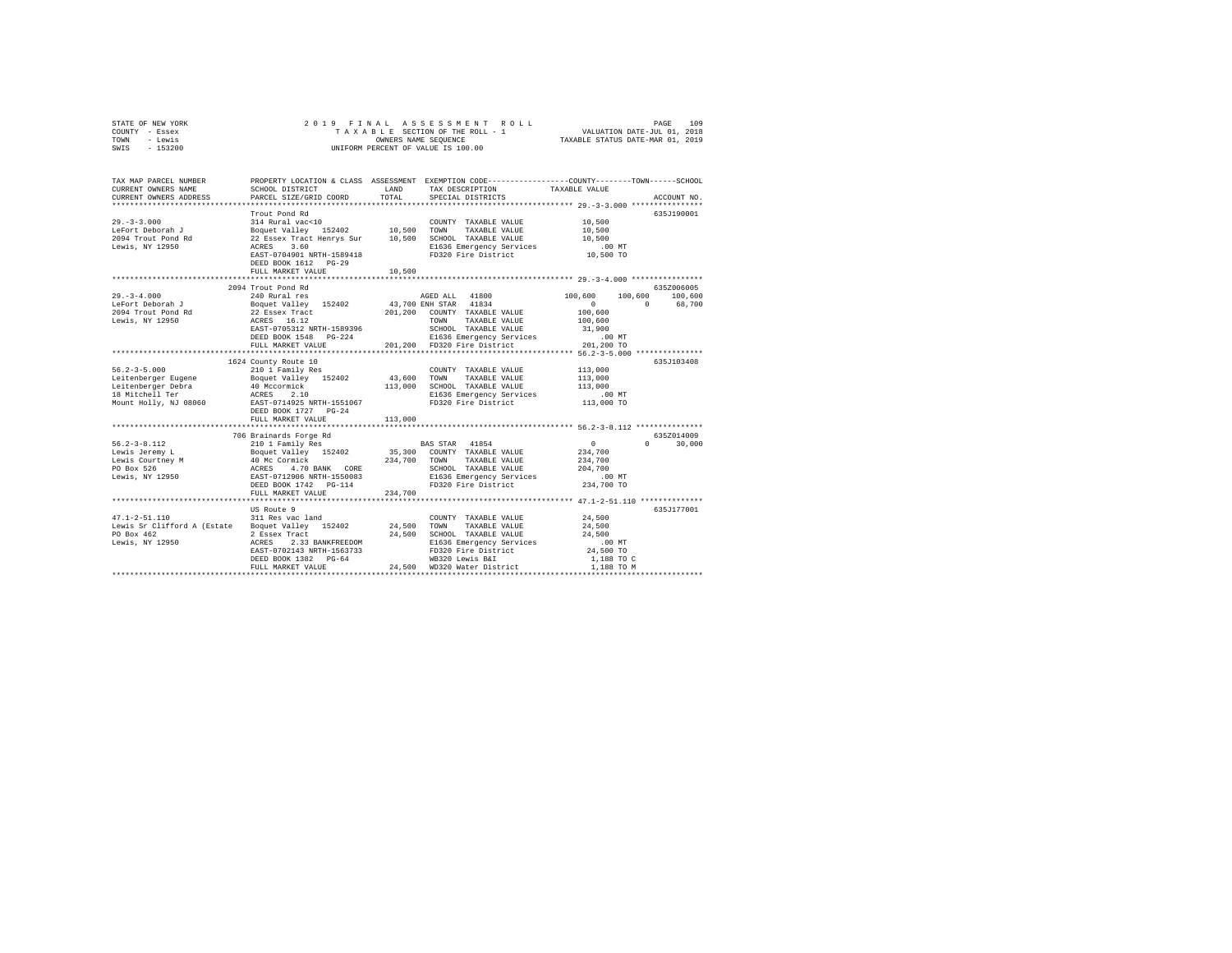| STATE OF NEW YORK |          |  |  |  |                                    |  | 2019 FINAL ASSESSMENT ROLL      |  |                                  | PAGE | 109 |
|-------------------|----------|--|--|--|------------------------------------|--|---------------------------------|--|----------------------------------|------|-----|
| COUNTY - Essex    |          |  |  |  |                                    |  | TAXABLE SECTION OF THE ROLL - 1 |  | VALUATION DATE-JUL 01, 2018      |      |     |
| TOWN              | - Lewis  |  |  |  | OWNERS NAME SEOUENCE               |  |                                 |  | TAXABLE STATUS DATE-MAR 01, 2019 |      |     |
| SWIS              | - 153200 |  |  |  | UNIFORM PERCENT OF VALUE IS 100.00 |  |                                 |  |                                  |      |     |
|                   |          |  |  |  |                                    |  |                                 |  |                                  |      |     |
|                   |          |  |  |  |                                    |  |                                 |  |                                  |      |     |

| TAX MAP PARCEL NUMBER                                                                                                                                                                                                                   |                        |        | PROPERTY LOCATION & CLASS ASSESSMENT EXEMPTION CODE---------------COUNTY-------TOWN------SCHOOL                                                                                                                                                                                                                                                                                                                                                                              |                                                                                             |               |
|-----------------------------------------------------------------------------------------------------------------------------------------------------------------------------------------------------------------------------------------|------------------------|--------|------------------------------------------------------------------------------------------------------------------------------------------------------------------------------------------------------------------------------------------------------------------------------------------------------------------------------------------------------------------------------------------------------------------------------------------------------------------------------|---------------------------------------------------------------------------------------------|---------------|
|                                                                                                                                                                                                                                         |                        |        | TAX DESCRIPTION TAXABLE VALUE SPECIAL DISTRICTS                                                                                                                                                                                                                                                                                                                                                                                                                              |                                                                                             |               |
|                                                                                                                                                                                                                                         |                        |        |                                                                                                                                                                                                                                                                                                                                                                                                                                                                              |                                                                                             | ACCOUNT NO.   |
|                                                                                                                                                                                                                                         |                        |        |                                                                                                                                                                                                                                                                                                                                                                                                                                                                              |                                                                                             |               |
|                                                                                                                                                                                                                                         | Trout Pond Rd          |        |                                                                                                                                                                                                                                                                                                                                                                                                                                                                              |                                                                                             | 635.7190001   |
|                                                                                                                                                                                                                                         |                        |        |                                                                                                                                                                                                                                                                                                                                                                                                                                                                              |                                                                                             |               |
|                                                                                                                                                                                                                                         |                        |        |                                                                                                                                                                                                                                                                                                                                                                                                                                                                              |                                                                                             |               |
|                                                                                                                                                                                                                                         |                        |        |                                                                                                                                                                                                                                                                                                                                                                                                                                                                              |                                                                                             |               |
|                                                                                                                                                                                                                                         |                        |        |                                                                                                                                                                                                                                                                                                                                                                                                                                                                              |                                                                                             |               |
| 19 19 10,500<br>2014 Rural vac<10 10,500 COUNTY TAXABLE VALUE 10,500<br>2094 Trout Pool and 22 Essex Tract Henrys Sur 10,500 TOWN TAXABLE VALUE 10,500<br>2094 Trout Pool at 22 Essex Tract Henrys Sur 10,500 SCHOOL TAXABLE VALUE 10,5 |                        |        |                                                                                                                                                                                                                                                                                                                                                                                                                                                                              |                                                                                             |               |
|                                                                                                                                                                                                                                         | DEED BOOK 1612 PG-29   |        |                                                                                                                                                                                                                                                                                                                                                                                                                                                                              |                                                                                             |               |
|                                                                                                                                                                                                                                         | FULL MARKET VALUE      | 10,500 |                                                                                                                                                                                                                                                                                                                                                                                                                                                                              |                                                                                             |               |
|                                                                                                                                                                                                                                         |                        |        |                                                                                                                                                                                                                                                                                                                                                                                                                                                                              |                                                                                             |               |
|                                                                                                                                                                                                                                         | 2094 Trout Pond Rd     |        |                                                                                                                                                                                                                                                                                                                                                                                                                                                                              |                                                                                             | 635Z006005    |
|                                                                                                                                                                                                                                         |                        |        |                                                                                                                                                                                                                                                                                                                                                                                                                                                                              | $\begin{array}{cccc} 100\,,600 && 100\,,600 && 100\,,600 \\ 0 && 0 && 68\,,700 \end{array}$ |               |
|                                                                                                                                                                                                                                         |                        |        |                                                                                                                                                                                                                                                                                                                                                                                                                                                                              |                                                                                             |               |
|                                                                                                                                                                                                                                         |                        |        |                                                                                                                                                                                                                                                                                                                                                                                                                                                                              |                                                                                             |               |
|                                                                                                                                                                                                                                         |                        |        |                                                                                                                                                                                                                                                                                                                                                                                                                                                                              |                                                                                             |               |
|                                                                                                                                                                                                                                         |                        |        |                                                                                                                                                                                                                                                                                                                                                                                                                                                                              |                                                                                             |               |
|                                                                                                                                                                                                                                         |                        |        |                                                                                                                                                                                                                                                                                                                                                                                                                                                                              |                                                                                             |               |
|                                                                                                                                                                                                                                         |                        |        |                                                                                                                                                                                                                                                                                                                                                                                                                                                                              |                                                                                             |               |
|                                                                                                                                                                                                                                         |                        |        |                                                                                                                                                                                                                                                                                                                                                                                                                                                                              |                                                                                             |               |
|                                                                                                                                                                                                                                         | 1624 County Route 10   |        |                                                                                                                                                                                                                                                                                                                                                                                                                                                                              |                                                                                             | 635J103408    |
| 56.2-3-5.000<br>Eeitenberger Eugene 2101 Family Res COUNTY TAXABLE VALUE 113,000<br>Leitenberger Eugene Borguet Valley 152402 43,600 TOWN TAXABLE VALUE 113,000<br>Leitenberger Debra 40 Mccormick 113,000 SCHOOL TAXABLE VALUE 113,    |                        |        | $\begin{tabular}{lllllll} \multicolumn{2}{l}{{\text{COUNTY}}} & \multicolumn{2}{l}{\text{TAXABLE VALUE}} & \multicolumn{2}{l}{\text{YALUE}} & \multicolumn{2}{l}{\text{113,000}} \\ \multicolumn{2}{l}{\text{COUNTY}} & \multicolumn{2}{l}{\text{TAXABLE VALUE}} & \multicolumn{2}{l}{\text{YALUE}} & \multicolumn{2}{l}{\text{113,000}} \\ \multicolumn{2}{l}{\text{113}} & \multicolumn{2}{l}{\text{113}} & \multicolumn{2}{l}{\text{113}} \\ \multicolumn{2}{l}{\text{11$ |                                                                                             |               |
|                                                                                                                                                                                                                                         |                        |        |                                                                                                                                                                                                                                                                                                                                                                                                                                                                              |                                                                                             |               |
|                                                                                                                                                                                                                                         |                        |        |                                                                                                                                                                                                                                                                                                                                                                                                                                                                              |                                                                                             |               |
|                                                                                                                                                                                                                                         |                        |        |                                                                                                                                                                                                                                                                                                                                                                                                                                                                              |                                                                                             |               |
|                                                                                                                                                                                                                                         |                        |        |                                                                                                                                                                                                                                                                                                                                                                                                                                                                              |                                                                                             |               |
|                                                                                                                                                                                                                                         |                        |        |                                                                                                                                                                                                                                                                                                                                                                                                                                                                              |                                                                                             |               |
|                                                                                                                                                                                                                                         |                        |        |                                                                                                                                                                                                                                                                                                                                                                                                                                                                              |                                                                                             |               |
|                                                                                                                                                                                                                                         |                        |        |                                                                                                                                                                                                                                                                                                                                                                                                                                                                              |                                                                                             |               |
|                                                                                                                                                                                                                                         | 706 Brainards Forge Rd |        |                                                                                                                                                                                                                                                                                                                                                                                                                                                                              |                                                                                             | 635Z014009    |
|                                                                                                                                                                                                                                         |                        |        |                                                                                                                                                                                                                                                                                                                                                                                                                                                                              |                                                                                             | $0 \t 30,000$ |
|                                                                                                                                                                                                                                         |                        |        |                                                                                                                                                                                                                                                                                                                                                                                                                                                                              |                                                                                             |               |
|                                                                                                                                                                                                                                         |                        |        |                                                                                                                                                                                                                                                                                                                                                                                                                                                                              |                                                                                             |               |
|                                                                                                                                                                                                                                         |                        |        |                                                                                                                                                                                                                                                                                                                                                                                                                                                                              |                                                                                             |               |
|                                                                                                                                                                                                                                         |                        |        |                                                                                                                                                                                                                                                                                                                                                                                                                                                                              |                                                                                             |               |
|                                                                                                                                                                                                                                         |                        |        |                                                                                                                                                                                                                                                                                                                                                                                                                                                                              |                                                                                             |               |
|                                                                                                                                                                                                                                         |                        |        |                                                                                                                                                                                                                                                                                                                                                                                                                                                                              |                                                                                             |               |
|                                                                                                                                                                                                                                         |                        |        |                                                                                                                                                                                                                                                                                                                                                                                                                                                                              |                                                                                             |               |
|                                                                                                                                                                                                                                         | US Route 9             |        |                                                                                                                                                                                                                                                                                                                                                                                                                                                                              |                                                                                             | 635J177001    |
|                                                                                                                                                                                                                                         |                        |        |                                                                                                                                                                                                                                                                                                                                                                                                                                                                              |                                                                                             |               |
|                                                                                                                                                                                                                                         |                        |        |                                                                                                                                                                                                                                                                                                                                                                                                                                                                              |                                                                                             |               |
|                                                                                                                                                                                                                                         |                        |        |                                                                                                                                                                                                                                                                                                                                                                                                                                                                              |                                                                                             |               |
|                                                                                                                                                                                                                                         |                        |        |                                                                                                                                                                                                                                                                                                                                                                                                                                                                              |                                                                                             |               |
|                                                                                                                                                                                                                                         |                        |        |                                                                                                                                                                                                                                                                                                                                                                                                                                                                              |                                                                                             |               |
|                                                                                                                                                                                                                                         |                        |        |                                                                                                                                                                                                                                                                                                                                                                                                                                                                              |                                                                                             |               |
|                                                                                                                                                                                                                                         |                        |        |                                                                                                                                                                                                                                                                                                                                                                                                                                                                              |                                                                                             |               |
|                                                                                                                                                                                                                                         |                        |        |                                                                                                                                                                                                                                                                                                                                                                                                                                                                              |                                                                                             |               |
|                                                                                                                                                                                                                                         |                        |        |                                                                                                                                                                                                                                                                                                                                                                                                                                                                              |                                                                                             |               |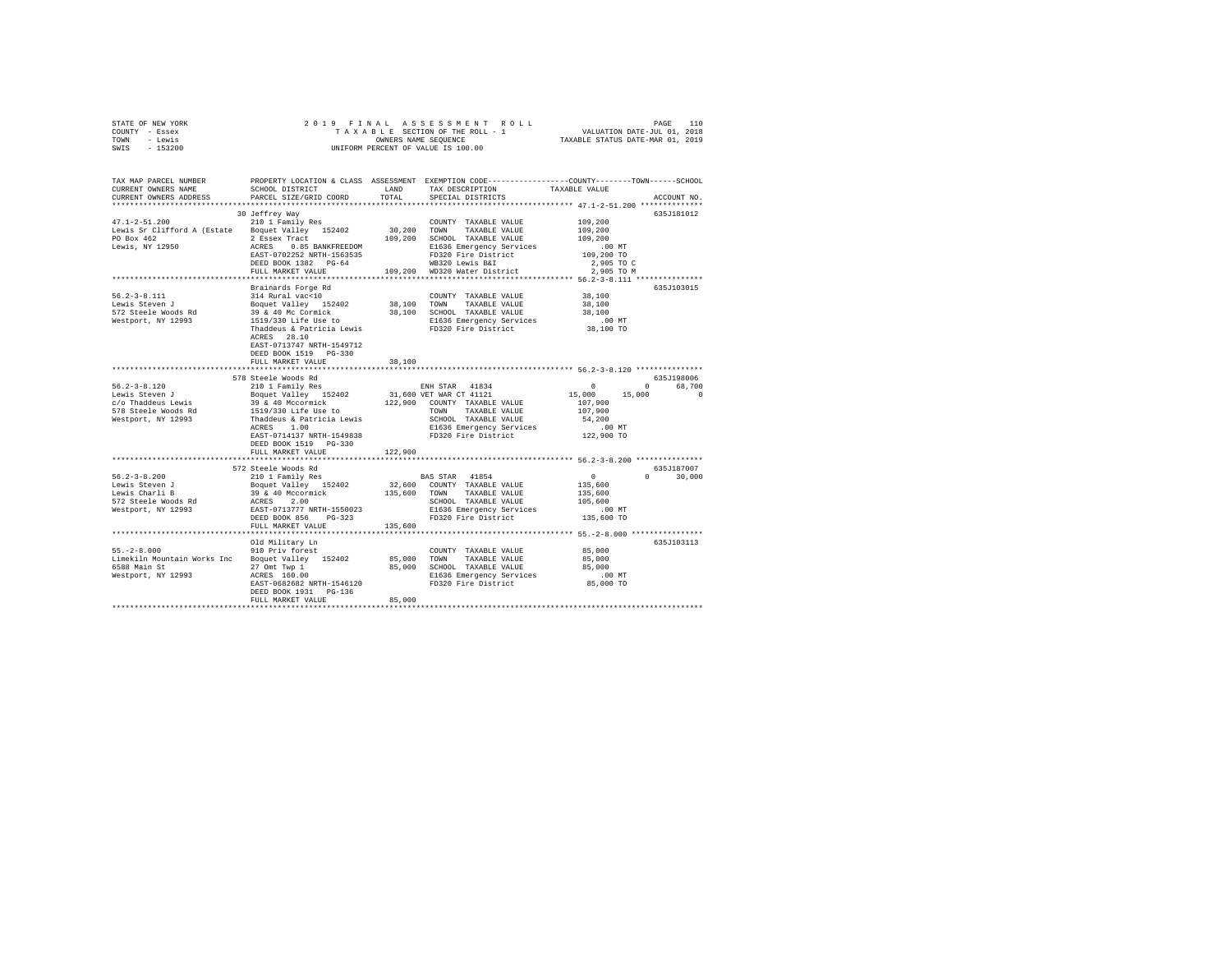| STATE OF NEW YORK | 2019 FINAL ASSESSMENT ROLL         | 110<br>PAGE                      |
|-------------------|------------------------------------|----------------------------------|
| COUNTY - Essex    | TAXABLE SECTION OF THE ROLL - 1    | VALUATION DATE-JUL 01, 2018      |
| TOWN<br>- Lewis   | OWNERS NAME SEOUENCE               | TAXABLE STATUS DATE-MAR 01, 2019 |
| $-153200$<br>SWIS | UNIFORM PERCENT OF VALUE IS 100.00 |                                  |

| TAX MAP PARCEL NUMBER<br>CURRENT OWNERS NAME<br>CURRENT OWNERS ADDRESS                                                                                                                                                  | SCHOOL DISTRICT<br>PARCEL SIZE/GRID COORD                                                                                                                        | LAND<br>TOTAL | TAX DESCRIPTION<br>SPECIAL DISTRICTS                                                                                                                                                                           | PROPERTY LOCATION & CLASS ASSESSMENT EXEMPTION CODE---------------COUNTY-------TOWN-----SCHOOL<br>TAXABLE VALUE | ACCOUNT NO.        |
|-------------------------------------------------------------------------------------------------------------------------------------------------------------------------------------------------------------------------|------------------------------------------------------------------------------------------------------------------------------------------------------------------|---------------|----------------------------------------------------------------------------------------------------------------------------------------------------------------------------------------------------------------|-----------------------------------------------------------------------------------------------------------------|--------------------|
| 47.1-2-51.200 210 1 Family Res<br>Lewis Sr Clifford A (Estate Boquet Valley 152402<br>2 ESEX Tract<br>DO Box 462 - ACRES 0.85 BO BOX 109, 201<br>Lewis, NY 12950 - ACRES 0.85 BANKFREEDOM<br>EAST-0702252 NRTH-1563535  | 30 Jeffrey Way                                                                                                                                                   |               | COUNTY TAXABLE VALUE<br>30,200 TOWN TAXABLE VALUE<br>COUNTY TAXABLE VALUE<br>109,200 SCHOOL TAXABLE VALUE<br>E1636 Emergency Services<br>FD320 Fire District                                                   | 635.T181012<br>109,200<br>109,200<br>109,200<br>$.00$ MT<br>109,200 TO<br>2,905 TO C<br>2,905 TO M              |                    |
| $56.2 - 3 - 8.111$<br>Lewis Steven J<br>Lewis Steven J<br>572 Steele Woods Rd<br>89 & 40 Mc Cormick<br>Nestport, NY 12993<br>1519/330 Life Use to                                                                       | Brainards Forge Rd<br>314 Rural vac<10<br>Thaddeus & Patricia Lewis<br>ACRES 28.10<br>EAST-0713747 NRTH-1549712<br>DEED BOOK 1519 PG-330<br>FULL MARKET VALUE    | 38,100        | COUNTY TAXABLE VALUE<br>38,100 TOWN TAXABLE VALUE<br>38,100 SCHOOL TAXABLE VALUE<br>E1636 Emergency Services<br>Elb3b Emergency was<br>FD320 Fire District                                                     | 635J103015<br>38,100<br>38,100<br>38,100<br>$38,100$ TO                                                         |                    |
|                                                                                                                                                                                                                         |                                                                                                                                                                  |               |                                                                                                                                                                                                                |                                                                                                                 |                    |
| $56.2 - 3 - 8.120$<br>Lewis Steven J<br>c/o Thaddeus Lewis 39 & 40 Mccormick<br>578 Steele Woods Rd<br>1519/330 Life Use to<br>Westport, NY 12993                                                                       | 578 Steele Woods Rd<br>210 1 Family Res<br>Thaddeus & Patricia Lewis<br>1.00<br>ACRES<br>EAST-0714137 NRTH-1549838<br>DEED BOOK 1519 PG-330<br>FULL MARKET VALUE | 122,900       | ENH STAR 41834 0<br>31,600 VET WAR CT 41121 15.000<br>31,600 VET WAR CT 41121<br>122.900 COUNTY TAXABLE VALUE<br>TOWN TAXABLE VALUE<br>SCHOOL TAXABLE VALUE<br>E1636 Emergency Services<br>FD320 Fire District | 635J198006<br>$0 \qquad \qquad$<br>15,000<br>15,000<br>107,900<br>107,900<br>54,200<br>00 MT.<br>122,900 TO     | 68,700<br>$\sim$ 0 |
|                                                                                                                                                                                                                         | 572 Steele Woods Rd                                                                                                                                              |               |                                                                                                                                                                                                                | 635J187007                                                                                                      |                    |
| $56.2 - 3 - 8.200$<br>Continuous Control of Body 152402<br>Chevis Charli B (2012)<br>Separation Scheele Woods Rd<br>S72 Steele Woods Rd<br>Mestport, NY 12993<br>REST-0713777 NRTH-1550023<br>REST-0713777 NRTH-1550023 | 210 1 Family Res<br>DEED BOOK 856 PG-323<br>FULL MARKET VALUE                                                                                                    | 135,600       | BAS STAR 41854<br>32,600 COUNTY TAXABLE VALUE<br>135,600 TOWN TAXABLE VALUE<br>SCHOOL TAXABLE VALUE<br>E1636 Emergency Services<br>FD320 Fire District                                                         | $\sim$ 0<br>$0 \t 30,000$<br>135,600<br>135,600<br>105,600<br>00 MT.<br>135,600 TO                              |                    |
|                                                                                                                                                                                                                         |                                                                                                                                                                  |               |                                                                                                                                                                                                                |                                                                                                                 |                    |
| $55. - 2 - 8.000$<br>Limekiln Mountain Works Inc Boquet Valley 152402<br>6588 Main St<br>Westport, NY 12993                                                                                                             | Old Military Ln<br>910 Priv forest<br>EAST-0682682 NRTH-1546120 FD320 Fire District<br>DEED BOOK 1931    PG-136<br>FULL MARKET VALUE                             | 85,000        | COUNTY TAXABLE VALUE 85,000<br>85,000 TOWN TAXABLE VALUE                                                                                                                                                       | 635J103113<br>85,000<br>85,000<br>$.00$ MT<br>85,000 TO                                                         |                    |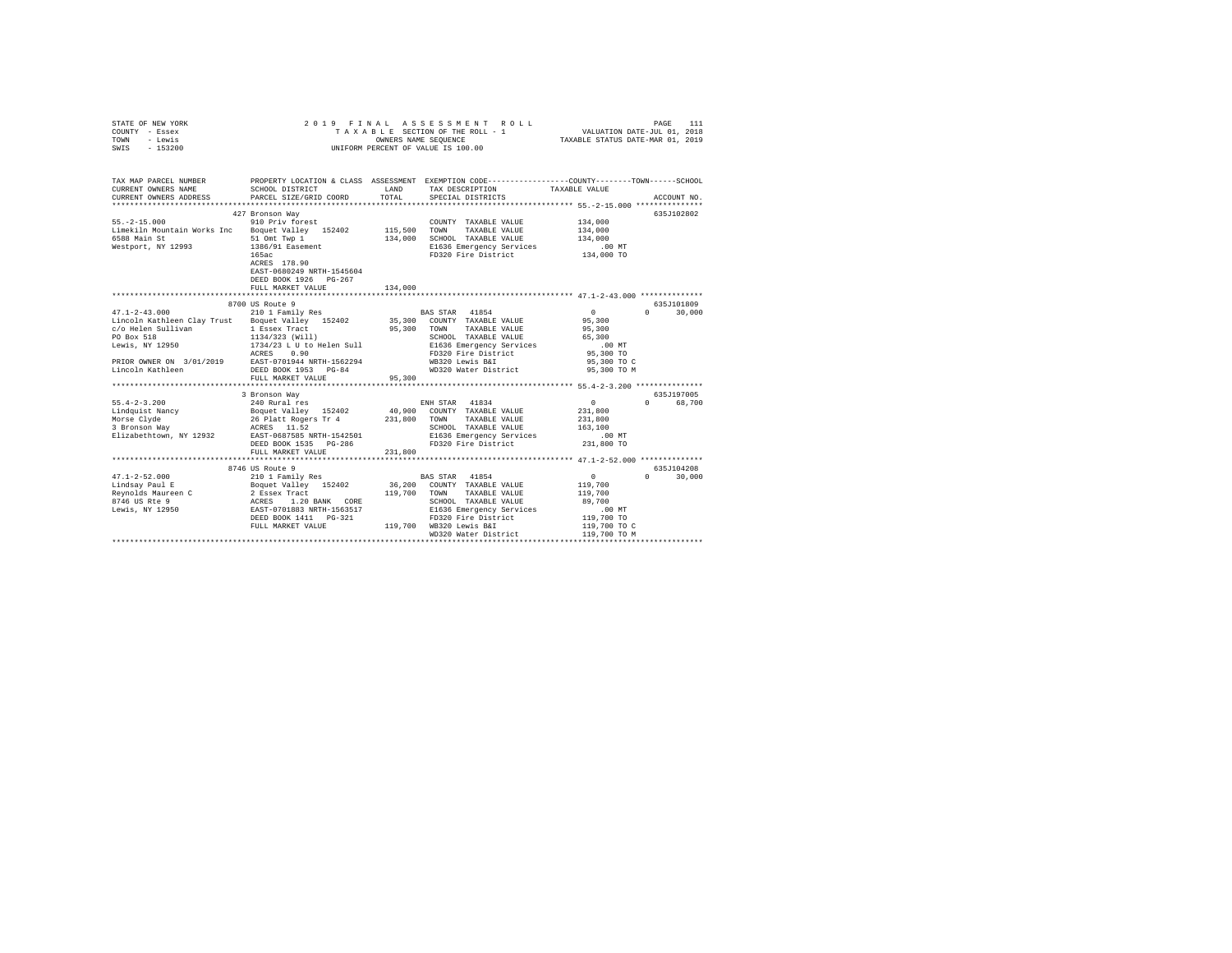| STATE OF NEW YORK | 2019 FINAL ASSESSMENT ROLL         | PAGE                             |
|-------------------|------------------------------------|----------------------------------|
| COUNTY - Essex    | TAXABLE SECTION OF THE ROLL - 1    | VALUATION DATE-JUL 01, 2018      |
| TOWN<br>- Lewis   | OWNERS NAME SEOUENCE               | TAXABLE STATUS DATE-MAR 01, 2019 |
| - 153200<br>SWIS  | UNIFORM PERCENT OF VALUE IS 100.00 |                                  |

| TAX MAP PARCEL NUMBER<br>CURRENT OWNERS NAME                                                                                                                                                                                          | SCHOOL DISTRICT                            | LAND        | PROPERTY LOCATION & CLASS ASSESSMENT EXEMPTION CODE----------------COUNTY-------TOWN-----SCHOOL<br>TAX DESCRIPTION | TAXABLE VALUE      |                                 |
|---------------------------------------------------------------------------------------------------------------------------------------------------------------------------------------------------------------------------------------|--------------------------------------------|-------------|--------------------------------------------------------------------------------------------------------------------|--------------------|---------------------------------|
|                                                                                                                                                                                                                                       |                                            |             |                                                                                                                    |                    |                                 |
|                                                                                                                                                                                                                                       | 427 Bronson Way                            |             |                                                                                                                    |                    | 635J102802                      |
| $55. -2 - 15.000$                                                                                                                                                                                                                     | 910 Priv forest                            |             | COUNTY TAXABLE VALUE                                                                                               | 134,000            |                                 |
| Limekiln Mountain Works Inc Boquet Valley 152402 115,500                                                                                                                                                                              |                                            |             | TOWN<br>TAXABLE VALUE                                                                                              | 134,000            |                                 |
|                                                                                                                                                                                                                                       | 51 Omt Twp 1                               | 134,000     | SCHOOL TAXABLE VALUE                                                                                               | 134,000            |                                 |
|                                                                                                                                                                                                                                       |                                            |             | E1636 Emergency Services .00 MT<br>FD320 Fire District .000 TO                                                     |                    |                                 |
|                                                                                                                                                                                                                                       | 165ac                                      |             |                                                                                                                    |                    |                                 |
|                                                                                                                                                                                                                                       | ACRES 178.90                               |             |                                                                                                                    |                    |                                 |
|                                                                                                                                                                                                                                       | EAST-0680249 NRTH-1545604                  |             |                                                                                                                    |                    |                                 |
|                                                                                                                                                                                                                                       | DEED BOOK 1926 PG-267<br>FULL MARKET VALUE | 134,000     |                                                                                                                    |                    |                                 |
|                                                                                                                                                                                                                                       |                                            |             |                                                                                                                    |                    |                                 |
|                                                                                                                                                                                                                                       | 8700 US Route 9                            |             |                                                                                                                    |                    | 635J101809                      |
|                                                                                                                                                                                                                                       |                                            |             |                                                                                                                    |                    | $\Omega$<br>30,000              |
| 17.1-2-43.000 1 210 1 Family Res BAS STAR 41854 (1954) BAS STAR 41854 (1957) 88.1 1-2-43.000 210 1 Eamily Res BAS STAR 41854 (1957) 89.300 COUNTY TAXABLE VALUE                                                                       |                                            |             |                                                                                                                    |                    |                                 |
|                                                                                                                                                                                                                                       |                                            | 95,300 TOWN |                                                                                                                    |                    |                                 |
|                                                                                                                                                                                                                                       |                                            |             |                                                                                                                    |                    |                                 |
| CO Helen Sullivan (1995)<br>PO Book 1988 (1997) 2019 1991 (1997) 2018 (1997) 2018<br>2019 1995/300 100 1124/23 L U to Helen Sull Sultan (1998) 2019<br>2020 2020 2020 1734/23 L U to Helen Sull<br>2020 2020 2021 2021 2021 2021 2021 |                                            |             |                                                                                                                    |                    |                                 |
|                                                                                                                                                                                                                                       |                                            |             |                                                                                                                    |                    |                                 |
|                                                                                                                                                                                                                                       |                                            |             |                                                                                                                    | 95,300 TO C        |                                 |
| Lincoln Kathleen                                                                                                                                                                                                                      | DEED BOOK 1953 PG-84                       |             | WD320 Water District 95,300 TO M                                                                                   |                    |                                 |
|                                                                                                                                                                                                                                       | FULL MARKET VALUE                          | 95,300      |                                                                                                                    |                    |                                 |
|                                                                                                                                                                                                                                       | 3 Bronson Way                              |             |                                                                                                                    |                    | 635J197005                      |
| $55.4 - 2 - 3.200$                                                                                                                                                                                                                    | 240 Rural res                              |             | ENH STAR 41834                                                                                                     | $\sim$ 0           | $\Omega$<br>68,700              |
|                                                                                                                                                                                                                                       |                                            |             |                                                                                                                    |                    |                                 |
|                                                                                                                                                                                                                                       |                                            |             |                                                                                                                    |                    |                                 |
|                                                                                                                                                                                                                                       |                                            |             |                                                                                                                    |                    |                                 |
| Elizabethtown, NY 12932 EAST-0687585 NRTH-1542501                                                                                                                                                                                     |                                            |             | SCHOOL TAXABLE VALUE 163,100<br>E1636 Emergency Services .00 MT                                                    |                    |                                 |
|                                                                                                                                                                                                                                       | DEED BOOK 1535 PG-286                      |             | FD320 Fire District 231,800 TO                                                                                     |                    |                                 |
|                                                                                                                                                                                                                                       | FULL MARKET VALUE                          | 231,800     |                                                                                                                    |                    |                                 |
|                                                                                                                                                                                                                                       |                                            |             |                                                                                                                    |                    |                                 |
|                                                                                                                                                                                                                                       | 8746 US Route 9<br>210 1 Family Res        |             |                                                                                                                    |                    | 635J104208                      |
| $47.1 - 2 - 52.000$                                                                                                                                                                                                                   |                                            |             | BAS STAR 41854<br>Boquet Valley 152402 36,200 COUNTY TAXABLE VALUE                                                 | $\sim$ 0 $\sim$    | $\Omega$ and $\Omega$<br>30,000 |
| Lindsay Paul E                                                                                                                                                                                                                        |                                            |             |                                                                                                                    | 119,700<br>119,700 |                                 |
|                                                                                                                                                                                                                                       |                                            |             |                                                                                                                    | 89,700             |                                 |
|                                                                                                                                                                                                                                       |                                            |             | E1636 Emergency Services                                                                                           | .00MT              |                                 |
|                                                                                                                                                                                                                                       | DEED BOOK 1411 PG-321                      |             | FD320 Fire District                                                                                                | 119,700 TO         |                                 |
|                                                                                                                                                                                                                                       | FULL MARKET VALUE                          |             | 200 FD320 Fire Discrict<br>119,700 WB320 Lewis B&I                                                                 | 119,700 TO C       |                                 |
|                                                                                                                                                                                                                                       |                                            |             | WD320 Water District                                                                                               | 119,700 TO M       |                                 |
|                                                                                                                                                                                                                                       |                                            |             |                                                                                                                    |                    |                                 |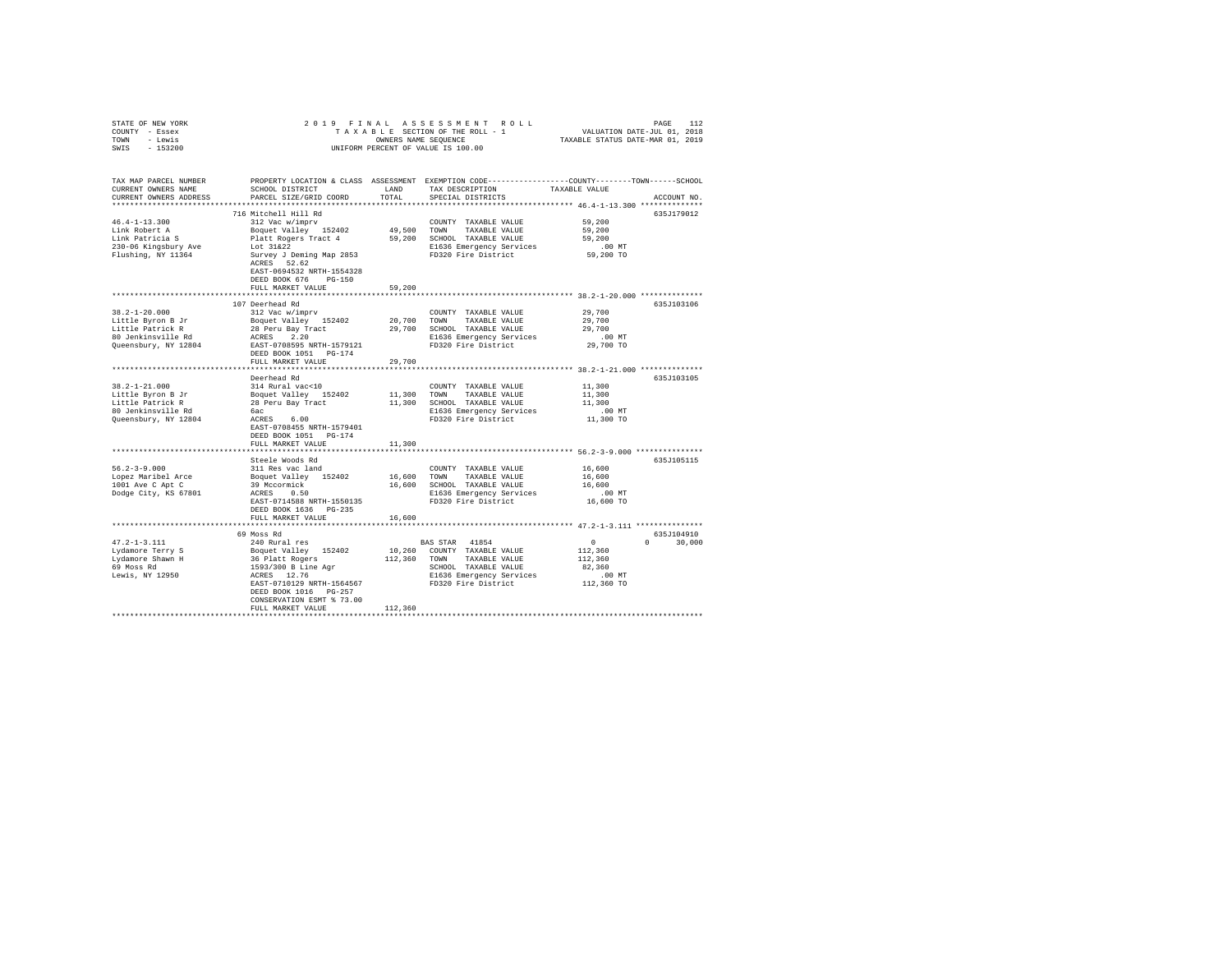| STATE OF NEW YORK                                                                                                                                                                                                                    |                                                                                                                                                                                                    |         |                                                           |                                               |               |
|--------------------------------------------------------------------------------------------------------------------------------------------------------------------------------------------------------------------------------------|----------------------------------------------------------------------------------------------------------------------------------------------------------------------------------------------------|---------|-----------------------------------------------------------|-----------------------------------------------|---------------|
| COUNTY - Essex                                                                                                                                                                                                                       |                                                                                                                                                                                                    |         |                                                           |                                               |               |
| TOWN - Lewis                                                                                                                                                                                                                         |                                                                                                                                                                                                    |         |                                                           |                                               |               |
| SWIS - 153200                                                                                                                                                                                                                        |                                                                                                                                                                                                    |         |                                                           |                                               |               |
|                                                                                                                                                                                                                                      |                                                                                                                                                                                                    |         |                                                           |                                               |               |
|                                                                                                                                                                                                                                      |                                                                                                                                                                                                    |         |                                                           |                                               |               |
|                                                                                                                                                                                                                                      |                                                                                                                                                                                                    |         |                                                           |                                               |               |
| TAX MAP PARCEL NUMBER                                                                                                                                                                                                                | PROPERTY LOCATION & CLASS ASSESSMENT EXEMPTION CODE---------------COUNTY-------TOWN-----SCHOOL                                                                                                     |         |                                                           |                                               |               |
| CURRENT OWNERS NAME                                                                                                                                                                                                                  | SCHOOL DISTRICT                                                                                                                                                                                    | LAND    | TAX DESCRIPTION                                           | TAXABLE VALUE                                 |               |
| CURRENT OWNERS ADDRESS                                                                                                                                                                                                               | PARCEL SIZE/GRID COORD                                                                                                                                                                             | TOTAL   | SPECIAL DISTRICTS                                         |                                               | ACCOUNT NO.   |
|                                                                                                                                                                                                                                      |                                                                                                                                                                                                    |         |                                                           |                                               |               |
|                                                                                                                                                                                                                                      | 716 Mitchell Hill Rd                                                                                                                                                                               |         |                                                           |                                               | 635J179012    |
| $46.4 - 1 - 13.300$                                                                                                                                                                                                                  | 312 Vac w/imprv                                                                                                                                                                                    |         | COUNTY TAXABLE VALUE                                      | 59,200                                        |               |
|                                                                                                                                                                                                                                      | Boquet Valley 152402 49,500 TOWN TAXABLE VALUE                                                                                                                                                     |         |                                                           | 59,200                                        |               |
| Link Robert A<br>Link Patricia S                                                                                                                                                                                                     |                                                                                                                                                                                                    |         |                                                           |                                               |               |
|                                                                                                                                                                                                                                      |                                                                                                                                                                                                    |         |                                                           |                                               |               |
| 230-06 Kingsbury Ave<br>Flushing, NY 11364                                                                                                                                                                                           |                                                                                                                                                                                                    |         |                                                           |                                               |               |
|                                                                                                                                                                                                                                      | Diatt_Rogers Tract 4 59,200 SCHOOL TAXABLE_VALUE 59,200<br>Diatt_Rogers Tract 4 59,200 B1636 Emergency Services 50,000 MT<br>Survey J Deming Map 2853 FD320 Fire District 59,200 TO<br>ACRES 52.62 |         |                                                           |                                               |               |
|                                                                                                                                                                                                                                      |                                                                                                                                                                                                    |         |                                                           |                                               |               |
|                                                                                                                                                                                                                                      | EAST-0694532 NRTH-1554328                                                                                                                                                                          |         |                                                           |                                               |               |
|                                                                                                                                                                                                                                      | DEED BOOK 676 PG-150                                                                                                                                                                               |         |                                                           |                                               |               |
|                                                                                                                                                                                                                                      | FULL MARKET VALUE                                                                                                                                                                                  | 59,200  |                                                           |                                               |               |
|                                                                                                                                                                                                                                      |                                                                                                                                                                                                    |         |                                                           | **************** 38.2-1-20.000 ************** |               |
|                                                                                                                                                                                                                                      | 107 Deerhead Rd                                                                                                                                                                                    |         |                                                           |                                               | 635J103106    |
| $38.2 - 1 - 20.000$                                                                                                                                                                                                                  | 312 Vac w/imprv                                                                                                                                                                                    |         | COUNTY TAXABLE VALUE                                      | 29,700                                        |               |
| 1990 - 1990 - 1990 - 1990 - 1990 - 1990 - 1990 - 1990 - 1990 - 1990 - 1990 - 1990 - 1990 - 1990 - 1990 - 1990<br>1990 - 1990 - 1990 - 1990 - 1990 - 1990 - 1990 - 1990 - 1990 - 1990 - 1990 - 1990 - 1990 - 1990 - 1990 - 1990<br>19 |                                                                                                                                                                                                    |         |                                                           |                                               |               |
|                                                                                                                                                                                                                                      |                                                                                                                                                                                                    |         |                                                           |                                               |               |
|                                                                                                                                                                                                                                      |                                                                                                                                                                                                    |         |                                                           |                                               |               |
|                                                                                                                                                                                                                                      |                                                                                                                                                                                                    |         |                                                           |                                               |               |
|                                                                                                                                                                                                                                      | DEED BOOK 1051    PG-174                                                                                                                                                                           |         |                                                           |                                               |               |
|                                                                                                                                                                                                                                      | FULL MARKET VALUE                                                                                                                                                                                  | 29,700  |                                                           |                                               |               |
|                                                                                                                                                                                                                                      |                                                                                                                                                                                                    |         |                                                           |                                               |               |
|                                                                                                                                                                                                                                      |                                                                                                                                                                                                    |         |                                                           |                                               | 635J103105    |
| $38.2 - 1 - 21.000$                                                                                                                                                                                                                  |                                                                                                                                                                                                    |         |                                                           | 11,300                                        |               |
|                                                                                                                                                                                                                                      |                                                                                                                                                                                                    |         |                                                           | 11,300                                        |               |
| Little Byron B Jr<br>Little Patrick R                                                                                                                                                                                                |                                                                                                                                                                                                    |         |                                                           | 11,300                                        |               |
| 80 Jenkinsville Rd                                                                                                                                                                                                                   |                                                                                                                                                                                                    |         |                                                           | .00MT                                         |               |
| Queensbury, NY 12804                                                                                                                                                                                                                 | $ACRES$ 6.00                                                                                                                                                                                       |         |                                                           |                                               |               |
|                                                                                                                                                                                                                                      |                                                                                                                                                                                                    |         | FD320 Fire District                                       | 11,300 TO                                     |               |
|                                                                                                                                                                                                                                      | EAST-0708455 NRTH-1579401                                                                                                                                                                          |         |                                                           |                                               |               |
|                                                                                                                                                                                                                                      | DEED BOOK 1051 PG-174                                                                                                                                                                              |         |                                                           |                                               |               |
|                                                                                                                                                                                                                                      | FULL MARKET VALUE                                                                                                                                                                                  | 11,300  |                                                           |                                               |               |
|                                                                                                                                                                                                                                      |                                                                                                                                                                                                    |         | ***************************** 56.2-3-9.000 ************** |                                               |               |
|                                                                                                                                                                                                                                      | Steele Woods Rd                                                                                                                                                                                    |         |                                                           |                                               | 635J105115    |
| $56.2 - 3 - 9.000$                                                                                                                                                                                                                   | 311 Res vac land                                                                                                                                                                                   |         | COUNTY TAXABLE VALUE                                      | 16,600                                        |               |
| Lopez Maribel Arce<br>1001 Ave C Apt C                                                                                                                                                                                               | Boquet Valley 152402 16,600 TOWN                                                                                                                                                                   |         | TAXABLE VALUE                                             | 16,600                                        |               |
|                                                                                                                                                                                                                                      | 39 Mccormick<br>ACRES 0.50                                                                                                                                                                         |         | 16,600 SCHOOL TAXABLE VALUE                               | 16,600                                        |               |
| Dodge City, KS 67801                                                                                                                                                                                                                 |                                                                                                                                                                                                    |         |                                                           |                                               |               |
|                                                                                                                                                                                                                                      | EAST-0714588 NRTH-1550135                                                                                                                                                                          |         |                                                           |                                               |               |
|                                                                                                                                                                                                                                      | DEED BOOK 1636 PG-235                                                                                                                                                                              |         |                                                           |                                               |               |
|                                                                                                                                                                                                                                      | FULL MARKET VALUE                                                                                                                                                                                  | 16,600  |                                                           |                                               |               |
|                                                                                                                                                                                                                                      |                                                                                                                                                                                                    |         |                                                           |                                               |               |
|                                                                                                                                                                                                                                      | 69 Moss Rd                                                                                                                                                                                         |         |                                                           |                                               | 635J104910    |
|                                                                                                                                                                                                                                      |                                                                                                                                                                                                    |         |                                                           |                                               | $0 \t 30,000$ |
|                                                                                                                                                                                                                                      |                                                                                                                                                                                                    |         |                                                           |                                               |               |
|                                                                                                                                                                                                                                      |                                                                                                                                                                                                    |         |                                                           |                                               |               |
|                                                                                                                                                                                                                                      |                                                                                                                                                                                                    |         |                                                           |                                               |               |
|                                                                                                                                                                                                                                      |                                                                                                                                                                                                    |         |                                                           |                                               |               |
|                                                                                                                                                                                                                                      |                                                                                                                                                                                                    |         |                                                           |                                               |               |
|                                                                                                                                                                                                                                      |                                                                                                                                                                                                    |         |                                                           |                                               |               |
|                                                                                                                                                                                                                                      | DEED BOOK 1016    PG-257                                                                                                                                                                           |         |                                                           |                                               |               |
|                                                                                                                                                                                                                                      | CONSERVATION ESMT % 73.00                                                                                                                                                                          |         |                                                           |                                               |               |
|                                                                                                                                                                                                                                      | FULL MARKET VALUE                                                                                                                                                                                  | 112,360 |                                                           |                                               |               |
|                                                                                                                                                                                                                                      |                                                                                                                                                                                                    |         |                                                           |                                               |               |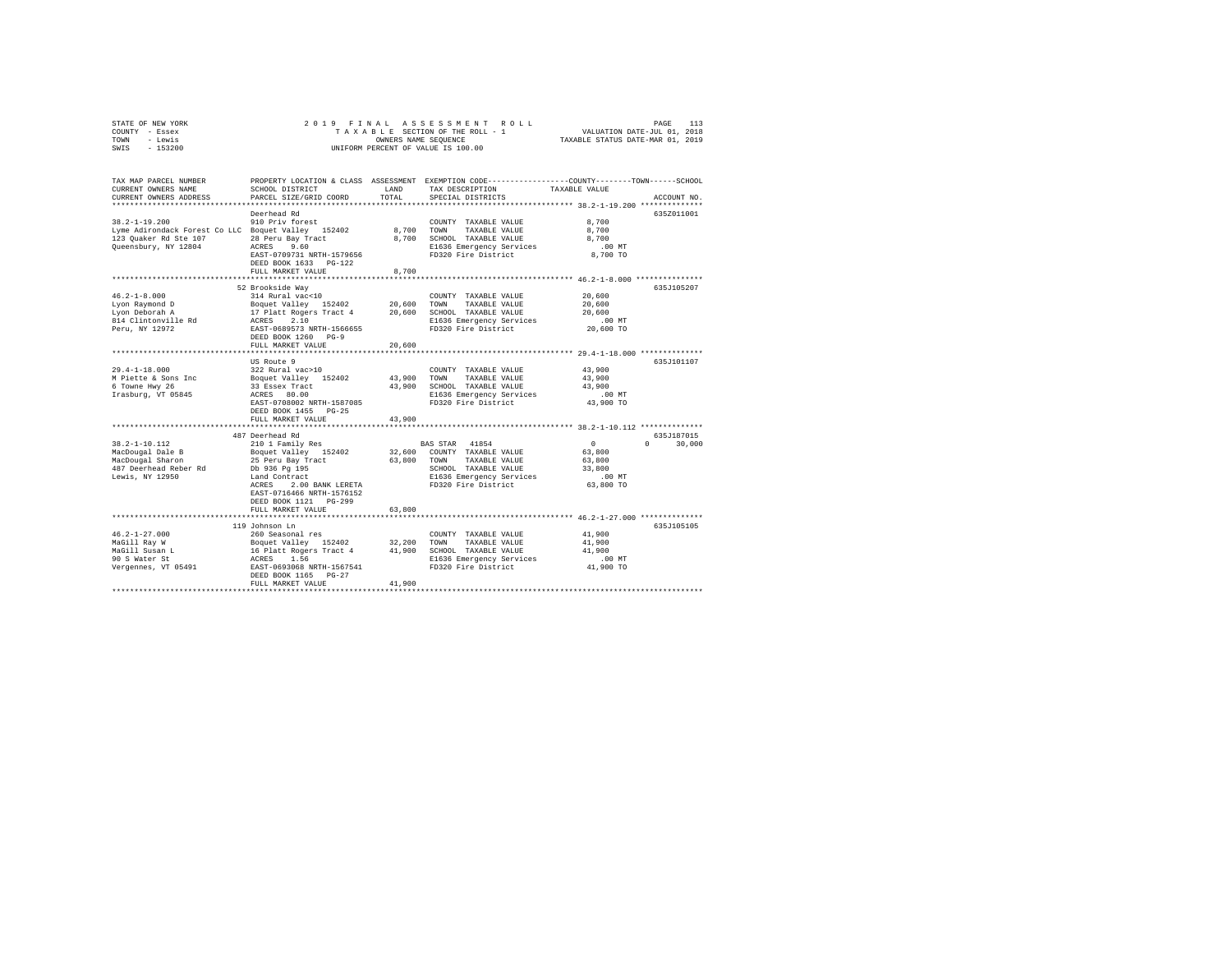| STATE OF NEW YORK | 2019 FINAL ASSESSMENT ROLL         | 113<br>PAGE                      |
|-------------------|------------------------------------|----------------------------------|
| COUNTY - Essex    | TAXABLE SECTION OF THE ROLL - 1    | VALUATION DATE-JUL 01, 2018      |
| TOWN<br>- Lewis   | OWNERS NAME SEOUENCE               | TAXABLE STATUS DATE-MAR 01, 2019 |
| $-153200$<br>SWIS | UNIFORM PERCENT OF VALUE IS 100.00 |                                  |

| TAX MAP PARCEL NUMBER<br>CURRENT OWNERS NAME<br>CURRENT OWNERS ADDRESS | SCHOOL DISTRICT<br>PARCEL SIZE/GRID COORD       | LAND<br>TOTAL   | PROPERTY LOCATION & CLASS ASSESSMENT EXEMPTION CODE---------------COUNTY-------TOWN-----SCHOOL<br>TAX DESCRIPTION<br>SPECIAL DISTRICTS | TAXABLE VALUE                                        | ACCOUNT NO.        |
|------------------------------------------------------------------------|-------------------------------------------------|-----------------|----------------------------------------------------------------------------------------------------------------------------------------|------------------------------------------------------|--------------------|
|                                                                        |                                                 |                 |                                                                                                                                        |                                                      |                    |
|                                                                        | Deerhead Rd                                     |                 |                                                                                                                                        |                                                      | 635Z011001         |
| $38.2 - 1 - 19.200$                                                    | 910 Priv forest                                 |                 | COUNTY TAXABLE VALUE                                                                                                                   | 8,700                                                |                    |
| Lyme Adirondack Forest Co LLC Boquet Valley 152402                     |                                                 | 8,700           | TOWN<br>TAXABLE VALUE                                                                                                                  | 8,700                                                |                    |
| 123 Ouaker Rd Ste 107 28 Peru Bay Tract                                |                                                 |                 | 8,700 SCHOOL TAXABLE VALUE                                                                                                             | 8,700                                                |                    |
| Queensbury, NY 12804                                                   | ACRES 9.60                                      |                 | E1636 Emergency Services                                                                                                               | $.00$ MT                                             |                    |
|                                                                        | EAST-0709731 NRTH-1579656                       |                 | FD320 Fire District                                                                                                                    | 8,700 TO                                             |                    |
|                                                                        | DEED BOOK 1633 PG-122<br>FULL MARKET VALUE      |                 |                                                                                                                                        |                                                      |                    |
|                                                                        |                                                 | 8,700           |                                                                                                                                        |                                                      |                    |
|                                                                        | 52 Brookside Wav                                |                 |                                                                                                                                        |                                                      | 635J105207         |
| $46.2 - 1 - 8.000$                                                     | 314 Rural vac<10                                |                 | COUNTY TAXABLE VALUE                                                                                                                   | 20,600                                               |                    |
| Lyon Raymond D                                                         |                                                 | 20,600          | TOWN<br>TAXABLE VALUE                                                                                                                  | 20,600                                               |                    |
| Lyon Deborah A                                                         | Boquet Valley 152402<br>17 Platt Rogers Tract 4 | 20,600          | SCHOOL TAXABLE VALUE                                                                                                                   | 20,600                                               |                    |
| 814 Clintonville Rd                                                    | ACRES<br>2.10                                   |                 | E1636 Emergency Services                                                                                                               | .00 MT                                               |                    |
| Peru, NY 12972                                                         | EAST-0689573 NRTH-1566655                       |                 | FD320 Fire District                                                                                                                    | 20,600 TO                                            |                    |
|                                                                        | DEED BOOK 1260 PG-9                             |                 |                                                                                                                                        |                                                      |                    |
|                                                                        | FULL MARKET VALUE                               | 20,600          |                                                                                                                                        |                                                      |                    |
|                                                                        |                                                 |                 |                                                                                                                                        | *********************** 29.4-1-18.000 ************** |                    |
|                                                                        | US Route 9                                      |                 |                                                                                                                                        |                                                      | 635J101107         |
| $29.4 - 1 - 18.000$                                                    | 322 Rural vac>10                                |                 | COUNTY TAXABLE VALUE                                                                                                                   | 43,900                                               |                    |
| M Piette & Sons Inc                                                    | Boquet Valley 152402                            | 43,900          | TOWN<br>TAXABLE VALUE                                                                                                                  | 43,900                                               |                    |
| 6 Towne Hwy 26                                                         | 33 Essex Tract                                  | 43,900          | SCHOOL TAXABLE VALUE                                                                                                                   | 43,900                                               |                    |
| Irasburg, VT 05845                                                     | ACRES 80.00                                     |                 | E1636 Emergency Services                                                                                                               | .00 MT                                               |                    |
|                                                                        | EAST-0708002 NRTH-1587085                       |                 | FD320 Fire District                                                                                                                    | 43,900 TO                                            |                    |
|                                                                        | DEED BOOK 1455 PG-25                            |                 |                                                                                                                                        |                                                      |                    |
|                                                                        | FULL MARKET VALUE                               | 43,900          |                                                                                                                                        |                                                      |                    |
|                                                                        |                                                 |                 |                                                                                                                                        |                                                      |                    |
|                                                                        | 487 Deerhead Rd                                 |                 |                                                                                                                                        |                                                      | 635J187015         |
| $38.2 - 1 - 10.112$                                                    | 210 1 Family Res                                |                 | BAS STAR 41854                                                                                                                         | $\circ$                                              | 30,000<br>$\Omega$ |
| MacDougal Dale B                                                       | Boquet Valley 152402                            |                 | 32,600 COUNTY TAXABLE VALUE                                                                                                            | 63,800                                               |                    |
| MacDougal Sharon                                                       | 25 Peru Bay Tract                               | 63,800          | TAXABLE VALUE<br>TOWN                                                                                                                  | 63,800                                               |                    |
| 487 Deerhead Reber Rd                                                  | Db 936 Pg 195                                   |                 | SCHOOL TAXABLE VALUE                                                                                                                   | 33,800                                               |                    |
| Lewis, NY 12950                                                        | Land Contract<br>2.00 BANK LERETA               |                 | E1636 Emergency Services<br>FD320 Fire District                                                                                        | $.00$ MT                                             |                    |
|                                                                        | ACRES<br>EAST-0716466 NRTH-1576152              |                 |                                                                                                                                        | 63,800 TO                                            |                    |
|                                                                        | DEED BOOK 1121 PG-299                           |                 |                                                                                                                                        |                                                      |                    |
|                                                                        | FULL MARKET VALUE                               | 63,800          |                                                                                                                                        |                                                      |                    |
|                                                                        |                                                 | *************** | ************************************* 46.2-1-27.000 **************                                                                     |                                                      |                    |
|                                                                        | 119 Johnson Ln                                  |                 |                                                                                                                                        |                                                      | 635J105105         |
| $46.2 - 1 - 27.000$                                                    | 260 Seasonal res                                |                 | COUNTY TAXABLE VALUE                                                                                                                   | 41,900                                               |                    |
| MaGill Ray W                                                           | Boquet Valley 152402                            | 32,200 TOWN     | TAXABLE VALUE                                                                                                                          | 41,900                                               |                    |
| MaGill Susan L                                                         | 16 Platt Rogers Tract 4                         | 41,900          | SCHOOL TAXABLE VALUE                                                                                                                   | 41,900                                               |                    |
| 90 S Water St                                                          | 1.56<br>ACRES                                   |                 | E1636 Emergency Services                                                                                                               | $.00$ MT                                             |                    |
| Vergennes, VT 05491                                                    | EAST-0693068 NRTH-1567541                       |                 | FD320 Fire District                                                                                                                    | 41,900 TO                                            |                    |
|                                                                        | DEED BOOK 1165 PG-27                            |                 |                                                                                                                                        |                                                      |                    |
|                                                                        | FULL MARKET VALUE                               | 41,900          |                                                                                                                                        |                                                      |                    |
|                                                                        |                                                 |                 |                                                                                                                                        |                                                      |                    |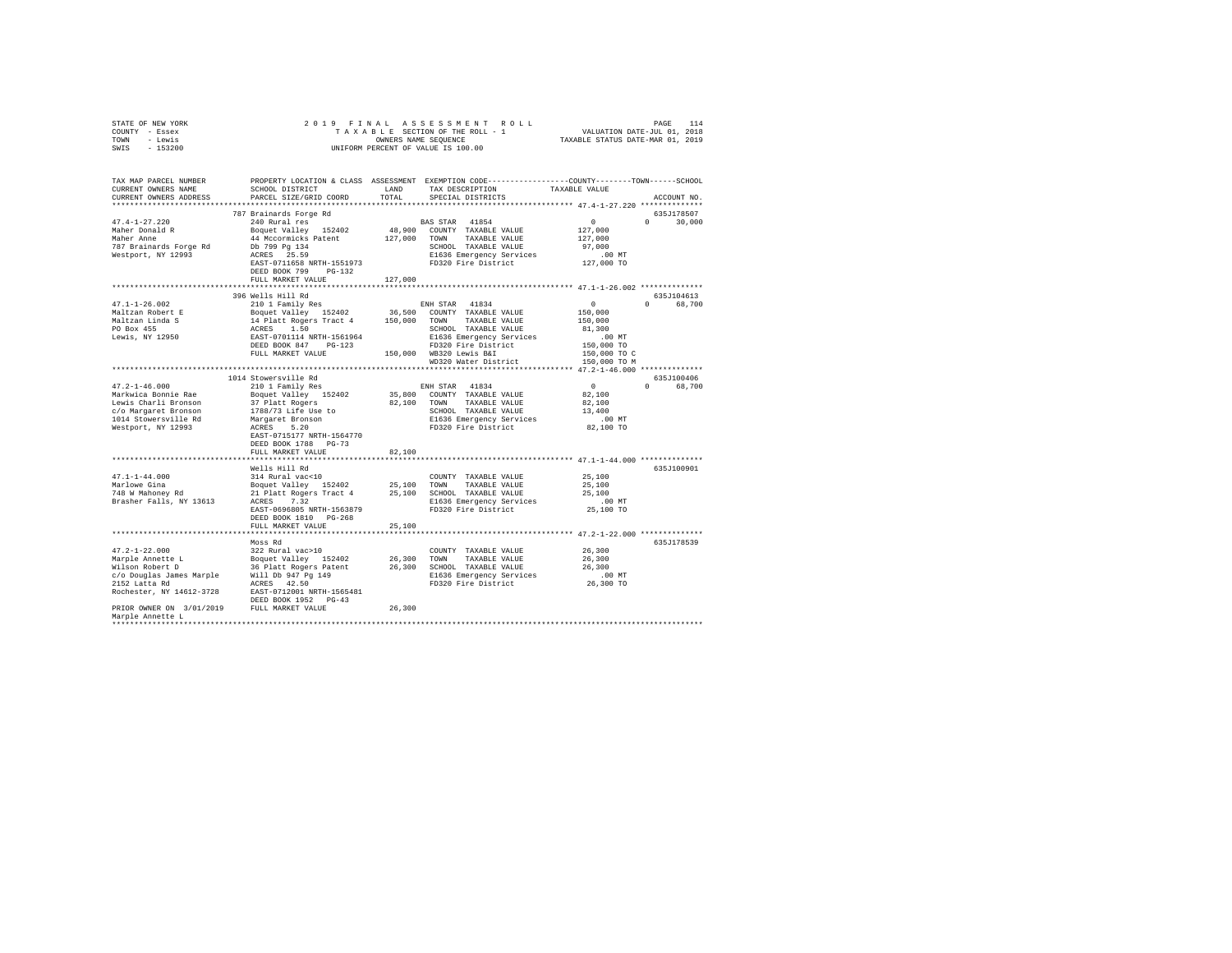| STATE OF NEW YORK                                                                                                                                                                                                                                                                                                                                                                                       |                                                                                                                                                                                                                                                                                                                                                                                        |        |                                                                         |                   |               |
|---------------------------------------------------------------------------------------------------------------------------------------------------------------------------------------------------------------------------------------------------------------------------------------------------------------------------------------------------------------------------------------------------------|----------------------------------------------------------------------------------------------------------------------------------------------------------------------------------------------------------------------------------------------------------------------------------------------------------------------------------------------------------------------------------------|--------|-------------------------------------------------------------------------|-------------------|---------------|
| COUNTY - Essex                                                                                                                                                                                                                                                                                                                                                                                          |                                                                                                                                                                                                                                                                                                                                                                                        |        |                                                                         |                   |               |
| TOWN - Lewis                                                                                                                                                                                                                                                                                                                                                                                            |                                                                                                                                                                                                                                                                                                                                                                                        |        |                                                                         |                   |               |
| SWIS - 153200                                                                                                                                                                                                                                                                                                                                                                                           |                                                                                                                                                                                                                                                                                                                                                                                        |        |                                                                         |                   |               |
|                                                                                                                                                                                                                                                                                                                                                                                                         |                                                                                                                                                                                                                                                                                                                                                                                        |        |                                                                         |                   |               |
|                                                                                                                                                                                                                                                                                                                                                                                                         |                                                                                                                                                                                                                                                                                                                                                                                        |        |                                                                         |                   |               |
| TAX MAP PARCEL NUMBER                                                                                                                                                                                                                                                                                                                                                                                   | PROPERTY LOCATION & CLASS ASSESSMENT EXEMPTION CODE----------------COUNTY-------TOWN-----SCHOOL                                                                                                                                                                                                                                                                                        |        |                                                                         |                   |               |
| CURRENT OWNERS NAME                                                                                                                                                                                                                                                                                                                                                                                     | SCHOOL DISTRICT TAND TAX DESCRIPTION                                                                                                                                                                                                                                                                                                                                                   |        |                                                                         | TAXABLE VALUE     |               |
| CURRENT OWNERS ADDRESS PARCEL SIZE/GRID COORD                                                                                                                                                                                                                                                                                                                                                           |                                                                                                                                                                                                                                                                                                                                                                                        | TOTAL  | SPECIAL DISTRICTS                                                       |                   |               |
|                                                                                                                                                                                                                                                                                                                                                                                                         |                                                                                                                                                                                                                                                                                                                                                                                        |        |                                                                         |                   | ACCOUNT NO.   |
|                                                                                                                                                                                                                                                                                                                                                                                                         |                                                                                                                                                                                                                                                                                                                                                                                        |        |                                                                         |                   |               |
|                                                                                                                                                                                                                                                                                                                                                                                                         | 787 Brainards Forge Rd<br>240 Rural res                                                                                                                                                                                                                                                                                                                                                |        |                                                                         |                   | 635J178507    |
| $47.4 - 1 - 27.220$                                                                                                                                                                                                                                                                                                                                                                                     |                                                                                                                                                                                                                                                                                                                                                                                        |        | BAS STAR 41854                                                          | $\sim$ 0          | $0 \t 30,000$ |
| Maher Donald R<br>Maher Anne                                                                                                                                                                                                                                                                                                                                                                            |                                                                                                                                                                                                                                                                                                                                                                                        |        |                                                                         |                   |               |
|                                                                                                                                                                                                                                                                                                                                                                                                         |                                                                                                                                                                                                                                                                                                                                                                                        |        |                                                                         |                   |               |
| 787 Brainards Forge Rd                                                                                                                                                                                                                                                                                                                                                                                  |                                                                                                                                                                                                                                                                                                                                                                                        |        |                                                                         |                   |               |
| Westport, NY 12993                                                                                                                                                                                                                                                                                                                                                                                      |                                                                                                                                                                                                                                                                                                                                                                                        |        |                                                                         |                   |               |
|                                                                                                                                                                                                                                                                                                                                                                                                         |                                                                                                                                                                                                                                                                                                                                                                                        |        |                                                                         |                   |               |
|                                                                                                                                                                                                                                                                                                                                                                                                         | DEED BOOK 799 PG-132                                                                                                                                                                                                                                                                                                                                                                   |        |                                                                         |                   |               |
|                                                                                                                                                                                                                                                                                                                                                                                                         | FULL MARKET VALUE 127,000                                                                                                                                                                                                                                                                                                                                                              |        |                                                                         |                   |               |
|                                                                                                                                                                                                                                                                                                                                                                                                         |                                                                                                                                                                                                                                                                                                                                                                                        |        |                                                                         |                   |               |
|                                                                                                                                                                                                                                                                                                                                                                                                         | 396 Wells Hill Rd                                                                                                                                                                                                                                                                                                                                                                      |        |                                                                         |                   | 635J104613    |
| $47.1 - 1 - 26.002$                                                                                                                                                                                                                                                                                                                                                                                     | 210 1 Family Res                                                                                                                                                                                                                                                                                                                                                                       |        | ENH STAR 41834                                                          | $\sim$ 0          | 0 68,700      |
|                                                                                                                                                                                                                                                                                                                                                                                                         |                                                                                                                                                                                                                                                                                                                                                                                        |        |                                                                         |                   |               |
| Maltzan Robert E<br>Maltzan Linda S                                                                                                                                                                                                                                                                                                                                                                     |                                                                                                                                                                                                                                                                                                                                                                                        |        |                                                                         |                   |               |
| PO Box 455                                                                                                                                                                                                                                                                                                                                                                                              | $\begin{tabular}{c c c} 210 1 Fami1y Res \\ \hline \texttt{Bogquet Value} & 152402 & 36,500 & \texttt{CONTX} & 344.54 \texttt{ \texttt{WADE}} & 150,000 \\ \texttt{14 Platt Regers Tract4} & 150,000 & \texttt{CONTX} & 7AXABLE VALUE & 150,000 \\ \texttt{ACERS} & 1.50 & 150 & \texttt{SCHUDE} & 81,000 \\ \texttt{ACRES} & 1.50 & 150 & \texttt{SCHUDE} & 81,000 \\ \texttt{RAST-O$ |        |                                                                         |                   |               |
| Lewis, NY 12950                                                                                                                                                                                                                                                                                                                                                                                         |                                                                                                                                                                                                                                                                                                                                                                                        |        |                                                                         |                   |               |
|                                                                                                                                                                                                                                                                                                                                                                                                         |                                                                                                                                                                                                                                                                                                                                                                                        |        |                                                                         |                   |               |
|                                                                                                                                                                                                                                                                                                                                                                                                         |                                                                                                                                                                                                                                                                                                                                                                                        |        |                                                                         |                   |               |
|                                                                                                                                                                                                                                                                                                                                                                                                         |                                                                                                                                                                                                                                                                                                                                                                                        |        |                                                                         |                   |               |
|                                                                                                                                                                                                                                                                                                                                                                                                         |                                                                                                                                                                                                                                                                                                                                                                                        |        |                                                                         |                   |               |
|                                                                                                                                                                                                                                                                                                                                                                                                         | 1014 Stowersville Rd                                                                                                                                                                                                                                                                                                                                                                   |        |                                                                         |                   | 635J100406    |
| $47.2 - 1 - 46.000$                                                                                                                                                                                                                                                                                                                                                                                     | 210 1 Family Res                                                                                                                                                                                                                                                                                                                                                                       |        | ENH STAR 41834                                                          | $\sim$ 0 $\sim$ 0 | 0 68,700      |
| $\begin{tabular}{l c c c c c} \multicolumn{1}{c}{Maxtwico: B001} & \multicolumn{1}{c}{A12111} & \multicolumn{1}{c}{X1211} & \multicolumn{1}{c}{X1211} & \multicolumn{1}{c}{X2111} & \multicolumn{1}{c}{X2111} & \multicolumn{1}{c}{X2111} & \multicolumn{1}{c}{X2111} & \multicolumn{1}{c}{X2111} & \multicolumn{1}{c}{X2111} & \multicolumn{1}{c}{X2111} & \multicolumn{1}{c}{X2111} & \multicolumn{1$ |                                                                                                                                                                                                                                                                                                                                                                                        |        |                                                                         | 82,100            |               |
|                                                                                                                                                                                                                                                                                                                                                                                                         |                                                                                                                                                                                                                                                                                                                                                                                        |        |                                                                         | 82,100            |               |
|                                                                                                                                                                                                                                                                                                                                                                                                         |                                                                                                                                                                                                                                                                                                                                                                                        |        |                                                                         | 13,400            |               |
|                                                                                                                                                                                                                                                                                                                                                                                                         |                                                                                                                                                                                                                                                                                                                                                                                        |        |                                                                         |                   |               |
|                                                                                                                                                                                                                                                                                                                                                                                                         |                                                                                                                                                                                                                                                                                                                                                                                        |        | SCHOOL TAXABLE VALUE<br>E1636 Emergency Services<br>FD320 Fire District | $.00$ MT          |               |
|                                                                                                                                                                                                                                                                                                                                                                                                         |                                                                                                                                                                                                                                                                                                                                                                                        |        |                                                                         | 82,100 TO         |               |
|                                                                                                                                                                                                                                                                                                                                                                                                         |                                                                                                                                                                                                                                                                                                                                                                                        |        |                                                                         |                   |               |
|                                                                                                                                                                                                                                                                                                                                                                                                         | DEED BOOK 1788 PG-73                                                                                                                                                                                                                                                                                                                                                                   |        |                                                                         |                   |               |
|                                                                                                                                                                                                                                                                                                                                                                                                         | FULL MARKET VALUE                                                                                                                                                                                                                                                                                                                                                                      | 82,100 |                                                                         |                   |               |
|                                                                                                                                                                                                                                                                                                                                                                                                         |                                                                                                                                                                                                                                                                                                                                                                                        |        |                                                                         |                   |               |
|                                                                                                                                                                                                                                                                                                                                                                                                         | Wells Hill Rd                                                                                                                                                                                                                                                                                                                                                                          |        |                                                                         |                   | 635J100901    |
|                                                                                                                                                                                                                                                                                                                                                                                                         |                                                                                                                                                                                                                                                                                                                                                                                        |        |                                                                         |                   |               |
|                                                                                                                                                                                                                                                                                                                                                                                                         |                                                                                                                                                                                                                                                                                                                                                                                        |        |                                                                         |                   |               |
|                                                                                                                                                                                                                                                                                                                                                                                                         |                                                                                                                                                                                                                                                                                                                                                                                        |        |                                                                         |                   |               |
|                                                                                                                                                                                                                                                                                                                                                                                                         |                                                                                                                                                                                                                                                                                                                                                                                        |        |                                                                         |                   |               |
|                                                                                                                                                                                                                                                                                                                                                                                                         |                                                                                                                                                                                                                                                                                                                                                                                        |        |                                                                         |                   |               |
|                                                                                                                                                                                                                                                                                                                                                                                                         |                                                                                                                                                                                                                                                                                                                                                                                        |        |                                                                         |                   |               |
|                                                                                                                                                                                                                                                                                                                                                                                                         | FULL MARKET VALUE                                                                                                                                                                                                                                                                                                                                                                      | 25,100 |                                                                         |                   |               |
|                                                                                                                                                                                                                                                                                                                                                                                                         |                                                                                                                                                                                                                                                                                                                                                                                        |        |                                                                         |                   |               |
|                                                                                                                                                                                                                                                                                                                                                                                                         |                                                                                                                                                                                                                                                                                                                                                                                        |        |                                                                         |                   | 635J178539    |
|                                                                                                                                                                                                                                                                                                                                                                                                         |                                                                                                                                                                                                                                                                                                                                                                                        |        |                                                                         |                   |               |
|                                                                                                                                                                                                                                                                                                                                                                                                         |                                                                                                                                                                                                                                                                                                                                                                                        |        |                                                                         |                   |               |
|                                                                                                                                                                                                                                                                                                                                                                                                         |                                                                                                                                                                                                                                                                                                                                                                                        |        |                                                                         |                   |               |
|                                                                                                                                                                                                                                                                                                                                                                                                         |                                                                                                                                                                                                                                                                                                                                                                                        |        |                                                                         |                   |               |
|                                                                                                                                                                                                                                                                                                                                                                                                         |                                                                                                                                                                                                                                                                                                                                                                                        |        |                                                                         |                   |               |
|                                                                                                                                                                                                                                                                                                                                                                                                         |                                                                                                                                                                                                                                                                                                                                                                                        |        |                                                                         |                   |               |
|                                                                                                                                                                                                                                                                                                                                                                                                         | DEED BOOK 1952    PG-43                                                                                                                                                                                                                                                                                                                                                                |        |                                                                         |                   |               |
| PRIOR OWNER ON 3/01/2019 FULL MARKET VALUE                                                                                                                                                                                                                                                                                                                                                              |                                                                                                                                                                                                                                                                                                                                                                                        | 26,300 |                                                                         |                   |               |
| Marple Annette L                                                                                                                                                                                                                                                                                                                                                                                        |                                                                                                                                                                                                                                                                                                                                                                                        |        |                                                                         |                   |               |
| ***********************************                                                                                                                                                                                                                                                                                                                                                                     |                                                                                                                                                                                                                                                                                                                                                                                        |        |                                                                         |                   |               |
|                                                                                                                                                                                                                                                                                                                                                                                                         |                                                                                                                                                                                                                                                                                                                                                                                        |        |                                                                         |                   |               |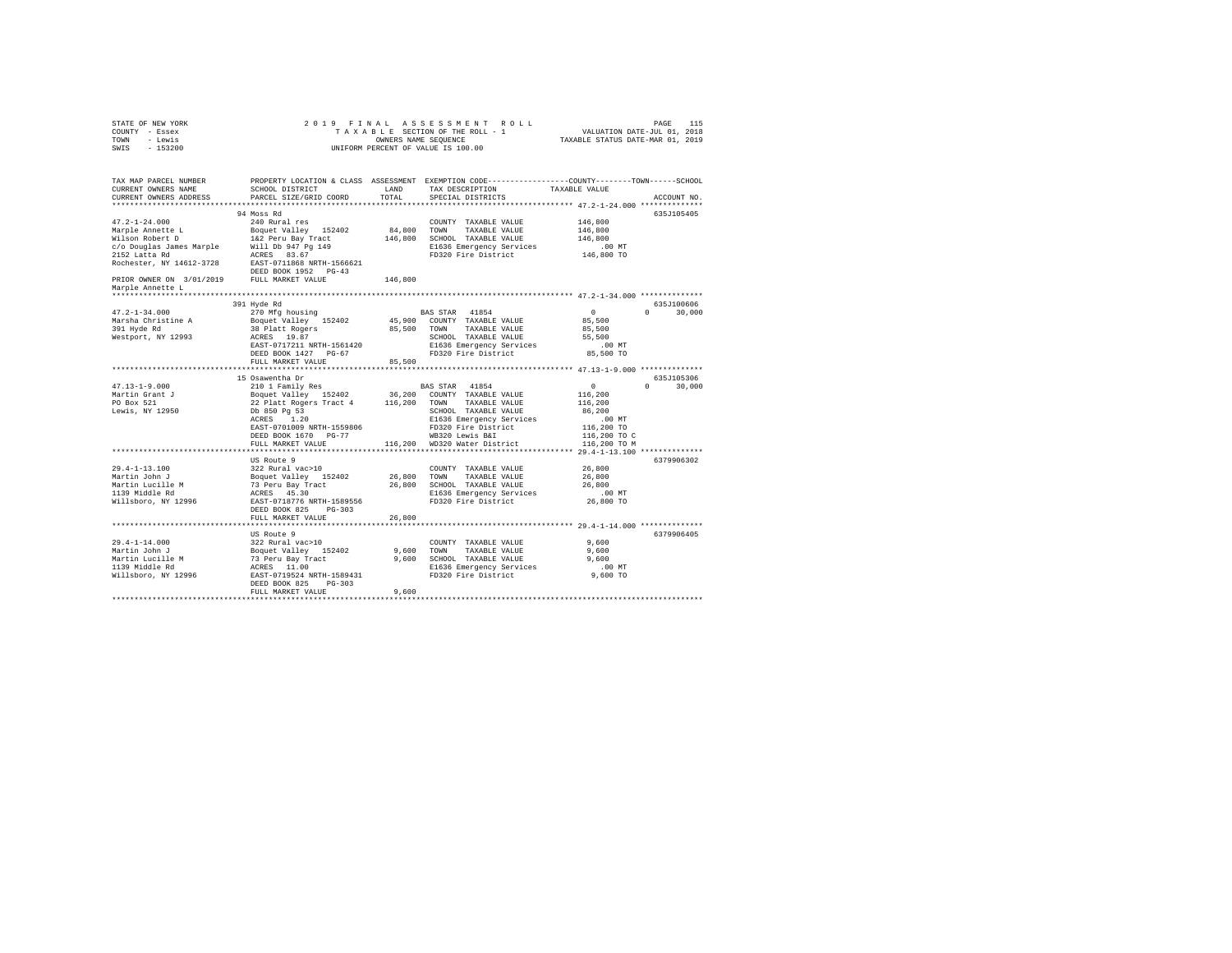| STATE OF NEW YORK | 2019 FINAL ASSESSMENT ROLL         | 115<br>PAGE                      |
|-------------------|------------------------------------|----------------------------------|
| COUNTY - Essex    | TAXABLE SECTION OF THE ROLL - 1    | VALUATION DATE-JUL 01, 2018      |
| TOWN<br>- Lewis   | OWNERS NAME SEOUENCE               | TAXABLE STATUS DATE-MAR 01, 2019 |
| $-153200$<br>SWIS | UNIFORM PERCENT OF VALUE IS 100.00 |                                  |

| TAX MAP PARCEL NUMBER<br>CURRENT OWNERS NAME                   | SCHOOL DISTRICT                                                              | LAND    | PROPERTY LOCATION & CLASS ASSESSMENT EXEMPTION CODE----------------COUNTY-------TOWN------SCHOOL<br>TAX DESCRIPTION | TAXABLE VALUE                               |                    |
|----------------------------------------------------------------|------------------------------------------------------------------------------|---------|---------------------------------------------------------------------------------------------------------------------|---------------------------------------------|--------------------|
| CURRENT OWNERS ADDRESS                                         | PARCEL SIZE/GRID COORD                                                       | TOTAL   | SPECIAL DISTRICTS                                                                                                   |                                             | ACCOUNT NO.        |
|                                                                |                                                                              |         |                                                                                                                     |                                             |                    |
| $47.2 - 1 - 24.000$                                            | 94 Moss Rd<br>240 Rural res                                                  |         |                                                                                                                     | 146,800                                     | 635J105405         |
|                                                                |                                                                              |         | COUNTY TAXABLE VALUE                                                                                                |                                             |                    |
| Marple Annette L                                               | Boquet Valley 152402                                                         |         | 84,800 TOWN TAXABLE VALUE                                                                                           | 146,800                                     |                    |
| Wilson Robert D                                                | 1&2 Peru Bay Tract<br>Will Db 947 Pg 149                                     |         | 146,800 SCHOOL TAXABLE VALUE                                                                                        | 146,800<br>$.00$ MT                         |                    |
| c/o Douglas James Marple<br>2152 Latta Rd                      | ACRES 83.67                                                                  |         | E1636 Emergency Services<br>FD320 Fire District                                                                     | 146,800 TO                                  |                    |
|                                                                | EAST-0711868 NRTH-1566621                                                    |         |                                                                                                                     |                                             |                    |
| Rochester, NY 14612-3728                                       |                                                                              |         |                                                                                                                     |                                             |                    |
| PRIOR OWNER ON 3/01/2019 FULL MARKET VALUE<br>Marple Annette L | DEED BOOK 1952 PG-43                                                         | 146,800 |                                                                                                                     |                                             |                    |
| ***************                                                |                                                                              |         |                                                                                                                     |                                             |                    |
|                                                                | 391 Hyde Rd                                                                  |         |                                                                                                                     |                                             | 635J100606         |
| $47.2 - 1 - 34.000$                                            | 270 Mfg housing                                                              |         | BAS STAR 41854                                                                                                      | $\sim$                                      | $\Omega$<br>30,000 |
| Marsha Christine A                                             | Boquet Valley 152402                                                         |         | 45,900 COUNTY TAXABLE VALUE                                                                                         | 85,500                                      |                    |
| 391 Hyde Rd                                                    | 38 Platt Rogers<br>ACRES 19.87                                               |         | 85,500 TOWN TAXABLE VALUE                                                                                           | 85,500                                      |                    |
| Westport, NY 12993                                             | ACRES 19.87                                                                  |         | SCHOOL TAXABLE VALUE                                                                                                | 55,500                                      |                    |
|                                                                | EAST-0717211 NRTH-1561420                                                    |         | E1636 Emergency Services<br>FD320 Fire District                                                                     | $.00$ MT                                    |                    |
|                                                                | DEED BOOK 1427 PG-67                                                         |         |                                                                                                                     | 85,500 TO                                   |                    |
|                                                                | FULL MARKET VALUE                                                            | 85,500  |                                                                                                                     |                                             |                    |
|                                                                | *********************                                                        |         | ******************************** 47.13-1-9.000 ***************                                                      |                                             |                    |
|                                                                | 15 Osawentha Dr                                                              |         |                                                                                                                     |                                             | 635.7105306        |
| $47.13 - 1 - 9.000$                                            | 210 1 Family Res                                                             |         | BAS STAR 41854                                                                                                      | $\sim$                                      | 30,000<br>$\cap$   |
| Martin Grant J                                                 | Boquet Valley 152402 36,200 COUNTY TAXABLE VALUE                             |         |                                                                                                                     | 116,200                                     |                    |
| PO Box 521                                                     | 22 Platt Rogers Tract 4                                                      |         | 116,200 TOWN TAXABLE VALUE                                                                                          | 116,200                                     |                    |
| Lewis, NY 12950                                                | Db 850 Pg 53                                                                 |         | SCHOOL TAXABLE VALUE                                                                                                | 86,200                                      |                    |
|                                                                | ACRES 1.20                                                                   |         | E1636 Emergency Services                                                                                            | $.00$ MT                                    |                    |
|                                                                | EAST-0701009 NRTH-1559806                                                    |         | FD320 Fire District                                                                                                 | 116,200 TO                                  |                    |
|                                                                | DEED BOOK 1670 PG-77                                                         |         | WB320 Lewis B&I                                                                                                     | 116,200 TO C                                |                    |
|                                                                | FULL MARKET VALUE                                                            |         | 116,200 WD320 Water District                                                                                        | 116,200 TO M                                |                    |
|                                                                |                                                                              |         |                                                                                                                     | ***************** 29.4-1-13.100 *********** |                    |
|                                                                | US Route 9                                                                   |         |                                                                                                                     |                                             | 6379906302         |
| $29.4 - 1 - 13.100$                                            | 322 Rural vac>10<br>Boquet Valley 152402                                     |         | COUNTY TAXABLE VALUE                                                                                                | 26,800                                      |                    |
| Martin John J                                                  |                                                                              |         | 26.800 TOWN<br>TAXABLE VALUE                                                                                        | 26,800<br>26,800                            |                    |
| Martin Lucille M                                               | 73 Peru Bay Tract<br>ACRES 45.30                                             |         | 26,800 SCHOOL TAXABLE VALUE                                                                                         |                                             |                    |
| 1139 Middle Rd<br>Willsboro, NY 12996                          | EAST-0718776 NRTH-1589556                                                    |         | E1636 Emergency Services<br>FD320 Fire District                                                                     | $.00$ MT<br>26,800 TO                       |                    |
|                                                                | DEED BOOK 825<br>$PG-303$                                                    |         |                                                                                                                     |                                             |                    |
|                                                                | FULL MARKET VALUE                                                            | 26,800  |                                                                                                                     |                                             |                    |
|                                                                | *************************                                                    |         |                                                                                                                     |                                             |                    |
|                                                                | US Route 9                                                                   |         |                                                                                                                     |                                             | 6379906405         |
| $29.4 - 1 - 14.000$                                            |                                                                              |         | COUNTY TAXABLE VALUE                                                                                                | 9,600                                       |                    |
| Martin John J                                                  |                                                                              |         | 9,600 TOWN TAXABLE VALUE                                                                                            | 9,600                                       |                    |
|                                                                | 322 Rural vac>10<br>Boquet Valley 152402<br>73 Peru Bay Tract<br>ACRES 11.00 |         | 9,600 SCHOOL TAXABLE VALUE                                                                                          | 9,600                                       |                    |
| Martin Lucille M<br>1139 Middle Rd<br>1139 Middle Rd           |                                                                              |         | E1636 Emergency Services                                                                                            | .00MT                                       |                    |
| Willsboro, NY 12996                                            | EAST-0719524 NRTH-1589431                                                    |         | FD320 Fire District                                                                                                 | 9,600 TO                                    |                    |
|                                                                | $PG-303$<br>DEED BOOK 825                                                    |         |                                                                                                                     |                                             |                    |
|                                                                | FULL MARKET VALUE                                                            | 9,600   |                                                                                                                     |                                             |                    |
|                                                                |                                                                              |         |                                                                                                                     |                                             |                    |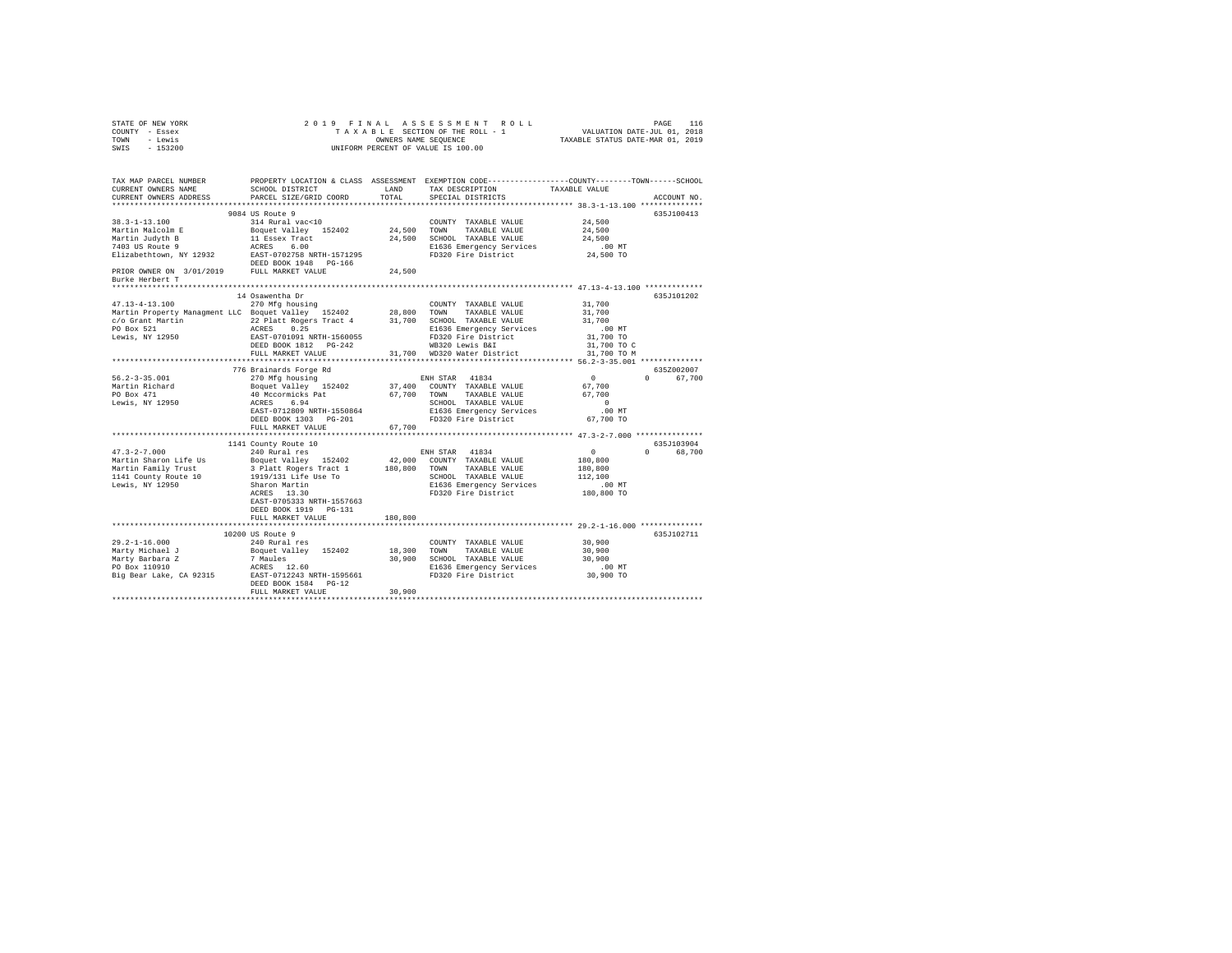| STATE OF NEW YORK                                                                                                                                                                                                                    |                                                                                                                                                                                      |         |                                                           |                     |             |
|--------------------------------------------------------------------------------------------------------------------------------------------------------------------------------------------------------------------------------------|--------------------------------------------------------------------------------------------------------------------------------------------------------------------------------------|---------|-----------------------------------------------------------|---------------------|-------------|
| COUNTY - Essex                                                                                                                                                                                                                       |                                                                                                                                                                                      |         |                                                           |                     |             |
| TOWN - Lewis                                                                                                                                                                                                                         |                                                                                                                                                                                      |         |                                                           |                     |             |
| SWIS - 153200                                                                                                                                                                                                                        |                                                                                                                                                                                      |         |                                                           |                     |             |
|                                                                                                                                                                                                                                      |                                                                                                                                                                                      |         |                                                           |                     |             |
|                                                                                                                                                                                                                                      |                                                                                                                                                                                      |         |                                                           |                     |             |
|                                                                                                                                                                                                                                      |                                                                                                                                                                                      |         |                                                           |                     |             |
|                                                                                                                                                                                                                                      |                                                                                                                                                                                      |         |                                                           |                     |             |
| CURRENT OWNERS NAME                                                                                                                                                                                                                  | SCHOOL DISTRICT LAND                                                                                                                                                                 |         | TAX DESCRIPTION                                           | TAXABLE VALUE       |             |
| CURRENT OWNERS ADDRESS                                                                                                                                                                                                               | PARCEL SIZE/GRID COORD                                                                                                                                                               | TOTAL   | SPECIAL DISTRICTS                                         |                     | ACCOUNT NO. |
|                                                                                                                                                                                                                                      |                                                                                                                                                                                      |         |                                                           |                     |             |
|                                                                                                                                                                                                                                      | 9084 US Route 9                                                                                                                                                                      |         |                                                           |                     | 635J100413  |
| $38.3 - 1 - 13.100$                                                                                                                                                                                                                  | 314 Rural vac<10                                                                                                                                                                     |         | COUNTY TAXABLE VALUE                                      | 24,500              |             |
|                                                                                                                                                                                                                                      |                                                                                                                                                                                      |         | 24,500 TOWN TAXABLE VALUE                                 | 24,500              |             |
| Martin Judych B<br>Martin Judych B<br>Martin Judych B<br>11 Essex Tract Company RCB<br>21 Example B<br>21 EAST-0702758 NRTH-1571295<br>21 EAST-0702758 NRTH-1571295<br>22 EAST-0702758 NRTH-1571295<br>22 DEED BOOK 1948 PG-166      |                                                                                                                                                                                      |         | 24,500 SCHOOL TAXABLE VALUE                               | 24,500              |             |
|                                                                                                                                                                                                                                      |                                                                                                                                                                                      |         |                                                           |                     |             |
|                                                                                                                                                                                                                                      |                                                                                                                                                                                      |         | E1636 Emergency Services                                  | 00 MT.<br>24,500 TO |             |
|                                                                                                                                                                                                                                      |                                                                                                                                                                                      |         | FD320 Fire District                                       |                     |             |
|                                                                                                                                                                                                                                      |                                                                                                                                                                                      |         |                                                           |                     |             |
| PRIOR OWNER ON 3/01/2019 FULL MARKET VALUE                                                                                                                                                                                           |                                                                                                                                                                                      | 24,500  |                                                           |                     |             |
| Burke Herbert T                                                                                                                                                                                                                      |                                                                                                                                                                                      |         |                                                           |                     |             |
|                                                                                                                                                                                                                                      |                                                                                                                                                                                      |         |                                                           |                     |             |
|                                                                                                                                                                                                                                      | 14 Osawentha Dr                                                                                                                                                                      |         |                                                           |                     | 635J101202  |
| 47.13-4-13.100                                                                                                                                                                                                                       | 270 Mfg housing                                                                                                                                                                      |         | COUNTY TAXABLE VALUE 31,700                               |                     |             |
|                                                                                                                                                                                                                                      |                                                                                                                                                                                      |         |                                                           | 31,700              |             |
|                                                                                                                                                                                                                                      |                                                                                                                                                                                      |         |                                                           | 31,700              |             |
|                                                                                                                                                                                                                                      |                                                                                                                                                                                      |         |                                                           | $.00$ MT            |             |
|                                                                                                                                                                                                                                      |                                                                                                                                                                                      |         |                                                           | 31,700 TO           |             |
|                                                                                                                                                                                                                                      |                                                                                                                                                                                      |         |                                                           | 31,700 TO C         |             |
|                                                                                                                                                                                                                                      |                                                                                                                                                                                      |         | 31,700 WD320 Water District 31,700 TO M                   |                     |             |
|                                                                                                                                                                                                                                      | FULL MARKET VALUE                                                                                                                                                                    |         |                                                           |                     |             |
|                                                                                                                                                                                                                                      |                                                                                                                                                                                      |         |                                                           |                     |             |
|                                                                                                                                                                                                                                      | 776 Brainards Forge Rd                                                                                                                                                               |         |                                                           |                     | 635Z002007  |
| $56.2 - 3 - 35.001$                                                                                                                                                                                                                  | 270 Mfg housing                                                                                                                                                                      |         | ENH STAR 41834                                            | $\sim$ 0            | 0 67,700    |
| Martin Richard<br>PO Box 471                                                                                                                                                                                                         |                                                                                                                                                                                      |         |                                                           | 67,700<br>67,700    |             |
|                                                                                                                                                                                                                                      |                                                                                                                                                                                      |         |                                                           |                     |             |
| Lewis, NY 12950                                                                                                                                                                                                                      | Boquet Valley 152402 37,400 COUNTY TAXABLE VALUE<br>40 Mecormicks Pat 67,700 TOWN TAXABLE VALUE<br>ACRES 6.94 SCHOOL TAXABLE VALUE<br>ERST-0712809 NRTH-1550864 SCHOOL TAXABLE VALUE |         |                                                           | $\sim$ 0            |             |
|                                                                                                                                                                                                                                      |                                                                                                                                                                                      |         | E1636 Emergency Services<br>FD320 Fire District 67,700 TO |                     |             |
|                                                                                                                                                                                                                                      | DEED BOOK 1303 PG-201                                                                                                                                                                |         |                                                           |                     |             |
|                                                                                                                                                                                                                                      | FULL MARKET VALUE                                                                                                                                                                    | 67.700  |                                                           |                     |             |
|                                                                                                                                                                                                                                      |                                                                                                                                                                                      |         |                                                           |                     |             |
|                                                                                                                                                                                                                                      | 1141 County Route 10                                                                                                                                                                 |         |                                                           |                     | 635J103904  |
| $47.3 - 2 - 7.000$                                                                                                                                                                                                                   | 240 Rural res                                                                                                                                                                        |         | ENH STAR 41834                                            | $\sim$ 0            | 0 68,700    |
|                                                                                                                                                                                                                                      |                                                                                                                                                                                      |         |                                                           | 180,800             |             |
|                                                                                                                                                                                                                                      |                                                                                                                                                                                      |         |                                                           |                     |             |
| Martin Sharon Life Us and the House of the House of the Boycet Valley 152402 42,000 COUNTY TAXABLE VALUE 180,800<br>141 County Route 10 3 Platt Rogers Tract 1 180,800 TOWN TAXABLE VALUE 180,800<br>1141 County Route 10 1919/131 L |                                                                                                                                                                                      |         |                                                           |                     |             |
|                                                                                                                                                                                                                                      |                                                                                                                                                                                      |         |                                                           |                     |             |
|                                                                                                                                                                                                                                      |                                                                                                                                                                                      |         |                                                           |                     |             |
|                                                                                                                                                                                                                                      |                                                                                                                                                                                      |         |                                                           |                     |             |
|                                                                                                                                                                                                                                      | EAST-0705333 NRTH-1557663                                                                                                                                                            |         |                                                           |                     |             |
|                                                                                                                                                                                                                                      | DEED BOOK 1919 PG-131                                                                                                                                                                |         |                                                           |                     |             |
|                                                                                                                                                                                                                                      | FULL MARKET VALUE                                                                                                                                                                    | 180,800 |                                                           |                     |             |
|                                                                                                                                                                                                                                      |                                                                                                                                                                                      |         |                                                           |                     |             |
|                                                                                                                                                                                                                                      | 10200 US Route 9                                                                                                                                                                     |         |                                                           |                     | 635J102711  |
| $29.2 - 1 - 16.000$                                                                                                                                                                                                                  | 240 Rural res                                                                                                                                                                        |         | COUNTY TAXABLE VALUE                                      | 30,900              |             |
| Marty Michael J                                                                                                                                                                                                                      |                                                                                                                                                                                      |         |                                                           | 30,900              |             |
|                                                                                                                                                                                                                                      |                                                                                                                                                                                      |         |                                                           | 30,900              |             |
|                                                                                                                                                                                                                                      |                                                                                                                                                                                      |         |                                                           |                     |             |
| Marty Barbara Z (1918)<br>PO Box 110910 (1918) ACRES 12.60<br>Big Bear Lake, CA 92315 EXCRES 12.60<br>Big Bear Lake, CA 92315 EXCRES EXTREMENT CONTROL PD320 Fire District                                                           |                                                                                                                                                                                      |         |                                                           | 00 MT.<br>30,900 TO |             |
|                                                                                                                                                                                                                                      |                                                                                                                                                                                      |         |                                                           |                     |             |
|                                                                                                                                                                                                                                      | DEED BOOK 1584 PG-12                                                                                                                                                                 |         |                                                           |                     |             |
|                                                                                                                                                                                                                                      | FULL MARKET VALUE                                                                                                                                                                    | 30,900  |                                                           |                     |             |
|                                                                                                                                                                                                                                      |                                                                                                                                                                                      |         |                                                           |                     |             |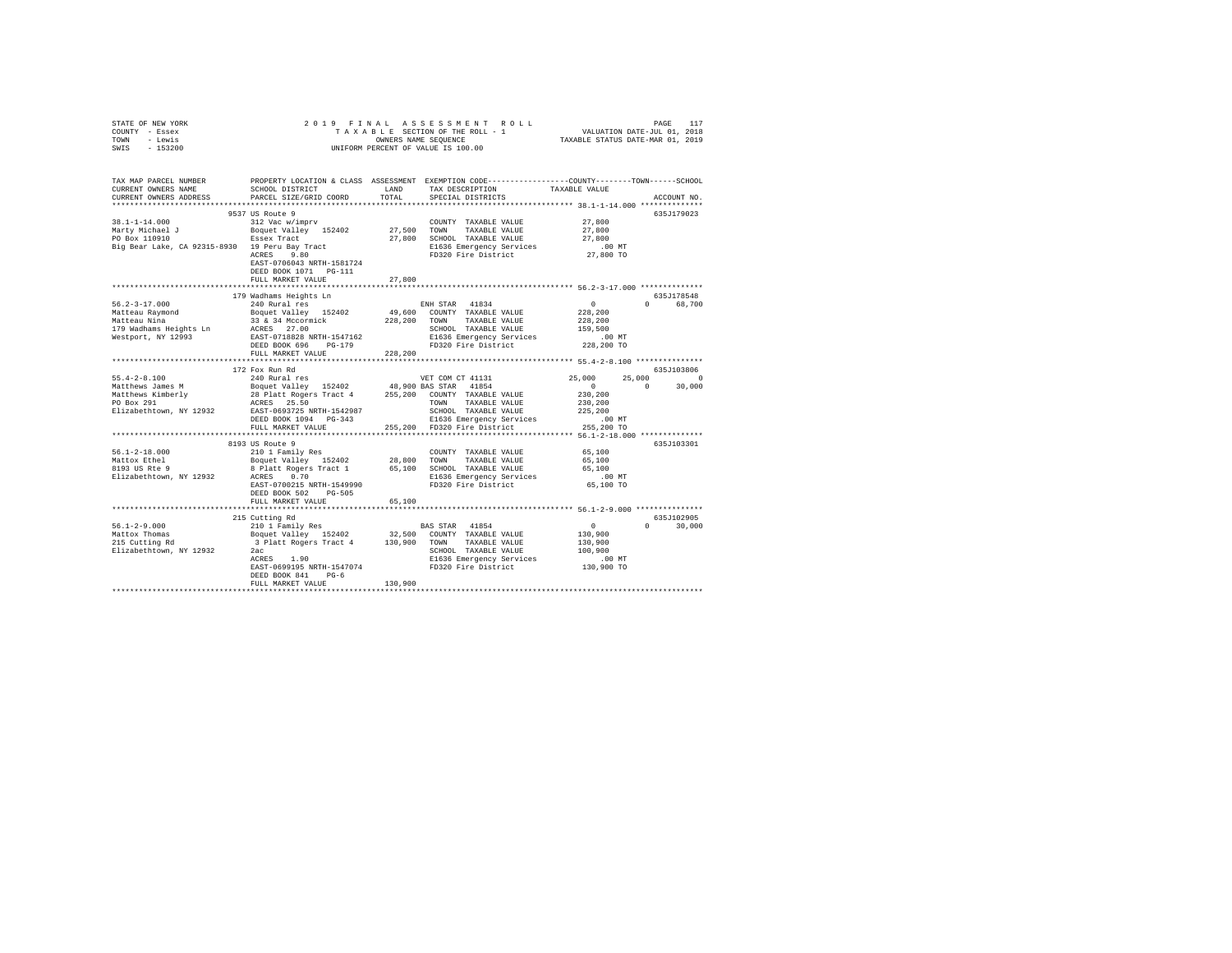|      | STATE OF NEW YORK |  |  | 2019 FINAL ASSESSMENT ROLL         | PAGE                             |  |
|------|-------------------|--|--|------------------------------------|----------------------------------|--|
|      | COUNTY - Essex    |  |  | TAXABLE SECTION OF THE ROLL - 1    | VALUATION DATE-JUL 01, 2018      |  |
| TOWN | - Lewis           |  |  | OWNERS NAME SEOUENCE               | TAXABLE STATUS DATE-MAR 01, 2019 |  |
| SWIS | - 153200          |  |  | UNIFORM PERCENT OF VALUE IS 100.00 |                                  |  |

| 9537 US Route 9<br>635J179023<br>$38.1 - 1 - 14.000$<br>312 Vac w/imprv<br>27,800<br>COUNTY TAXABLE VALUE<br>Boquet Valley 152402<br>27,500<br>Marty Michael J<br>TOWN<br>TAXABLE VALUE<br>27,800<br>PO Box 110910<br>Essex Tract<br>27,800<br>SCHOOL TAXABLE VALUE<br>27,800<br>Big Bear Lake, CA 92315-8930 19 Peru Bay Tract<br>E1636 Emergency Services<br>$.00$ MT<br>FD320 Fire District<br>27,800 TO<br>9.80<br>ACRES<br>EAST-0706043 NRTH-1581724<br>DEED BOOK 1071    PG-111<br>FULL MARKET VALUE<br>27,800<br>**************************** 56.2-3-17.000 **************<br>************************<br>179 Wadhams Heights Ln<br>635J178548<br>$56.2 - 3 - 17.000$<br>ENH STAR 41834<br>$\circ$<br>68,700<br>240 Rural res<br>$\Omega$<br>49,600<br>COUNTY TAXABLE VALUE<br>228,200<br>Boquet Valley 152402<br>33 & 34 Mccormick<br>228,200<br>TOWN<br>TAXABLE VALUE<br>228,200<br>ACRES 27.00<br>SCHOOL TAXABLE VALUE<br>159,500<br>EAST-0718828 NRTH-1547162<br>E1636 Emergency Services<br>.00MT<br>FD320 Fire District<br>228,200 TO<br>DEED BOOK 696<br>$PG-179$<br>228,200<br>FULL MARKET VALUE<br>**************************<br>635J103806<br>172 Fox Run Rd<br>$55.4 - 2 - 8.100$<br>25,000<br>240 Rural res<br>VET COM CT 41131<br>25,000<br>$\Omega$<br>Boquet Valley 152402<br>48,900 BAS STAR 41854<br>$\Omega$<br>$\Omega$<br>30,000<br>28 Platt Rogers Tract 4<br>255,200<br>230,200<br>Matthews Kimberly<br>COUNTY TAXABLE VALUE<br>PO Box 291<br>ACRES 25.50<br>TAXABLE VALUE<br>230,200<br>TOWN<br>Elizabethtown, NY 12932<br>EAST-0693725 NRTH-1542987<br>SCHOOL TAXABLE VALUE<br>225,200<br>DEED BOOK 1094 PG-343<br>E1636 Emergency Services<br>$.00$ MT<br>255,200 TO<br>FULL MARKET VALUE<br>255,200<br>FD320 Fire District<br>************** 56.1-2-18.000 **************<br>8193 US Route 9<br>635J103301<br>$56.1 - 2 - 18.000$<br>210 1 Family Res<br>65,100<br>COUNTY TAXABLE VALUE<br>Boquet Valley 152402<br>Mattox Ethel<br>28,800<br>TOWN<br>TAXABLE VALUE<br>65,100<br>8193 US Rte 9<br>8 Platt Rogers Tract 1<br>SCHOOL TAXABLE VALUE<br>65,100<br>65,100<br>Elizabethtown, NY 12932<br>ACRES<br>0.70<br>E1636 Emergency Services<br>$.00$ MT<br>FD320 Fire District<br>EAST-0700215 NRTH-1549990<br>65,100 TO<br>DEED BOOK 502<br>$PG-505$<br>65,100<br>FULL MARKET VALUE<br>635J102905<br>215 Cutting Rd<br>210 1 Family Res<br>BAS STAR 41854<br>$56.1 - 2 - 9.000$<br>$\circ$<br>$\Omega$<br>30,000<br>32,500<br>Mattox Thomas<br>Boquet Valley 152402<br>COUNTY TAXABLE VALUE<br>130,900<br>215 Cutting Rd<br>3 Platt Rogers Tract 4<br>130,900<br>130,900<br>TOWN<br>TAXABLE VALUE<br>Elizabethtown, NY 12932<br>SCHOOL TAXABLE VALUE<br>100,900<br>2ac<br>ACRES<br>1.90<br>E1636 Emergency Services<br>.00MT<br>FD320 Fire District<br>EAST-0699195 NRTH-1547074<br>130,900 TO<br>DEED BOOK 841<br>$PG-6$<br>130,900<br>FULL MARKET VALUE | TAX MAP PARCEL NUMBER<br>CURRENT OWNERS NAME<br>CURRENT OWNERS ADDRESS | SCHOOL DISTRICT<br>PARCEL SIZE/GRID COORD | LAND<br>TOTAL | PROPERTY LOCATION & CLASS ASSESSMENT EXEMPTION CODE----------------COUNTY-------TOWN-----SCHOOL<br>TAX DESCRIPTION<br>SPECIAL DISTRICTS | TAXABLE VALUE | ACCOUNT NO. |
|---------------------------------------------------------------------------------------------------------------------------------------------------------------------------------------------------------------------------------------------------------------------------------------------------------------------------------------------------------------------------------------------------------------------------------------------------------------------------------------------------------------------------------------------------------------------------------------------------------------------------------------------------------------------------------------------------------------------------------------------------------------------------------------------------------------------------------------------------------------------------------------------------------------------------------------------------------------------------------------------------------------------------------------------------------------------------------------------------------------------------------------------------------------------------------------------------------------------------------------------------------------------------------------------------------------------------------------------------------------------------------------------------------------------------------------------------------------------------------------------------------------------------------------------------------------------------------------------------------------------------------------------------------------------------------------------------------------------------------------------------------------------------------------------------------------------------------------------------------------------------------------------------------------------------------------------------------------------------------------------------------------------------------------------------------------------------------------------------------------------------------------------------------------------------------------------------------------------------------------------------------------------------------------------------------------------------------------------------------------------------------------------------------------------------------------------------------------------------------------------------------------------------------------------------------------------------------------------------------------------------------------------------------------------------------------------------------------------------------------------------------------------------------------------------------------------------------------------------------------------------------------------|------------------------------------------------------------------------|-------------------------------------------|---------------|-----------------------------------------------------------------------------------------------------------------------------------------|---------------|-------------|
|                                                                                                                                                                                                                                                                                                                                                                                                                                                                                                                                                                                                                                                                                                                                                                                                                                                                                                                                                                                                                                                                                                                                                                                                                                                                                                                                                                                                                                                                                                                                                                                                                                                                                                                                                                                                                                                                                                                                                                                                                                                                                                                                                                                                                                                                                                                                                                                                                                                                                                                                                                                                                                                                                                                                                                                                                                                                                             |                                                                        |                                           |               |                                                                                                                                         |               |             |
|                                                                                                                                                                                                                                                                                                                                                                                                                                                                                                                                                                                                                                                                                                                                                                                                                                                                                                                                                                                                                                                                                                                                                                                                                                                                                                                                                                                                                                                                                                                                                                                                                                                                                                                                                                                                                                                                                                                                                                                                                                                                                                                                                                                                                                                                                                                                                                                                                                                                                                                                                                                                                                                                                                                                                                                                                                                                                             |                                                                        |                                           |               |                                                                                                                                         |               |             |
|                                                                                                                                                                                                                                                                                                                                                                                                                                                                                                                                                                                                                                                                                                                                                                                                                                                                                                                                                                                                                                                                                                                                                                                                                                                                                                                                                                                                                                                                                                                                                                                                                                                                                                                                                                                                                                                                                                                                                                                                                                                                                                                                                                                                                                                                                                                                                                                                                                                                                                                                                                                                                                                                                                                                                                                                                                                                                             |                                                                        |                                           |               |                                                                                                                                         |               |             |
|                                                                                                                                                                                                                                                                                                                                                                                                                                                                                                                                                                                                                                                                                                                                                                                                                                                                                                                                                                                                                                                                                                                                                                                                                                                                                                                                                                                                                                                                                                                                                                                                                                                                                                                                                                                                                                                                                                                                                                                                                                                                                                                                                                                                                                                                                                                                                                                                                                                                                                                                                                                                                                                                                                                                                                                                                                                                                             |                                                                        |                                           |               |                                                                                                                                         |               |             |
|                                                                                                                                                                                                                                                                                                                                                                                                                                                                                                                                                                                                                                                                                                                                                                                                                                                                                                                                                                                                                                                                                                                                                                                                                                                                                                                                                                                                                                                                                                                                                                                                                                                                                                                                                                                                                                                                                                                                                                                                                                                                                                                                                                                                                                                                                                                                                                                                                                                                                                                                                                                                                                                                                                                                                                                                                                                                                             |                                                                        |                                           |               |                                                                                                                                         |               |             |
|                                                                                                                                                                                                                                                                                                                                                                                                                                                                                                                                                                                                                                                                                                                                                                                                                                                                                                                                                                                                                                                                                                                                                                                                                                                                                                                                                                                                                                                                                                                                                                                                                                                                                                                                                                                                                                                                                                                                                                                                                                                                                                                                                                                                                                                                                                                                                                                                                                                                                                                                                                                                                                                                                                                                                                                                                                                                                             |                                                                        |                                           |               |                                                                                                                                         |               |             |
|                                                                                                                                                                                                                                                                                                                                                                                                                                                                                                                                                                                                                                                                                                                                                                                                                                                                                                                                                                                                                                                                                                                                                                                                                                                                                                                                                                                                                                                                                                                                                                                                                                                                                                                                                                                                                                                                                                                                                                                                                                                                                                                                                                                                                                                                                                                                                                                                                                                                                                                                                                                                                                                                                                                                                                                                                                                                                             |                                                                        |                                           |               |                                                                                                                                         |               |             |
|                                                                                                                                                                                                                                                                                                                                                                                                                                                                                                                                                                                                                                                                                                                                                                                                                                                                                                                                                                                                                                                                                                                                                                                                                                                                                                                                                                                                                                                                                                                                                                                                                                                                                                                                                                                                                                                                                                                                                                                                                                                                                                                                                                                                                                                                                                                                                                                                                                                                                                                                                                                                                                                                                                                                                                                                                                                                                             |                                                                        |                                           |               |                                                                                                                                         |               |             |
|                                                                                                                                                                                                                                                                                                                                                                                                                                                                                                                                                                                                                                                                                                                                                                                                                                                                                                                                                                                                                                                                                                                                                                                                                                                                                                                                                                                                                                                                                                                                                                                                                                                                                                                                                                                                                                                                                                                                                                                                                                                                                                                                                                                                                                                                                                                                                                                                                                                                                                                                                                                                                                                                                                                                                                                                                                                                                             |                                                                        |                                           |               |                                                                                                                                         |               |             |
|                                                                                                                                                                                                                                                                                                                                                                                                                                                                                                                                                                                                                                                                                                                                                                                                                                                                                                                                                                                                                                                                                                                                                                                                                                                                                                                                                                                                                                                                                                                                                                                                                                                                                                                                                                                                                                                                                                                                                                                                                                                                                                                                                                                                                                                                                                                                                                                                                                                                                                                                                                                                                                                                                                                                                                                                                                                                                             |                                                                        |                                           |               |                                                                                                                                         |               |             |
|                                                                                                                                                                                                                                                                                                                                                                                                                                                                                                                                                                                                                                                                                                                                                                                                                                                                                                                                                                                                                                                                                                                                                                                                                                                                                                                                                                                                                                                                                                                                                                                                                                                                                                                                                                                                                                                                                                                                                                                                                                                                                                                                                                                                                                                                                                                                                                                                                                                                                                                                                                                                                                                                                                                                                                                                                                                                                             |                                                                        |                                           |               |                                                                                                                                         |               |             |
|                                                                                                                                                                                                                                                                                                                                                                                                                                                                                                                                                                                                                                                                                                                                                                                                                                                                                                                                                                                                                                                                                                                                                                                                                                                                                                                                                                                                                                                                                                                                                                                                                                                                                                                                                                                                                                                                                                                                                                                                                                                                                                                                                                                                                                                                                                                                                                                                                                                                                                                                                                                                                                                                                                                                                                                                                                                                                             | Matteau Raymond                                                        |                                           |               |                                                                                                                                         |               |             |
|                                                                                                                                                                                                                                                                                                                                                                                                                                                                                                                                                                                                                                                                                                                                                                                                                                                                                                                                                                                                                                                                                                                                                                                                                                                                                                                                                                                                                                                                                                                                                                                                                                                                                                                                                                                                                                                                                                                                                                                                                                                                                                                                                                                                                                                                                                                                                                                                                                                                                                                                                                                                                                                                                                                                                                                                                                                                                             | Matteau Nina                                                           |                                           |               |                                                                                                                                         |               |             |
|                                                                                                                                                                                                                                                                                                                                                                                                                                                                                                                                                                                                                                                                                                                                                                                                                                                                                                                                                                                                                                                                                                                                                                                                                                                                                                                                                                                                                                                                                                                                                                                                                                                                                                                                                                                                                                                                                                                                                                                                                                                                                                                                                                                                                                                                                                                                                                                                                                                                                                                                                                                                                                                                                                                                                                                                                                                                                             | 179 Wadhams Heights Ln                                                 |                                           |               |                                                                                                                                         |               |             |
|                                                                                                                                                                                                                                                                                                                                                                                                                                                                                                                                                                                                                                                                                                                                                                                                                                                                                                                                                                                                                                                                                                                                                                                                                                                                                                                                                                                                                                                                                                                                                                                                                                                                                                                                                                                                                                                                                                                                                                                                                                                                                                                                                                                                                                                                                                                                                                                                                                                                                                                                                                                                                                                                                                                                                                                                                                                                                             | Westport, NY 12993                                                     |                                           |               |                                                                                                                                         |               |             |
|                                                                                                                                                                                                                                                                                                                                                                                                                                                                                                                                                                                                                                                                                                                                                                                                                                                                                                                                                                                                                                                                                                                                                                                                                                                                                                                                                                                                                                                                                                                                                                                                                                                                                                                                                                                                                                                                                                                                                                                                                                                                                                                                                                                                                                                                                                                                                                                                                                                                                                                                                                                                                                                                                                                                                                                                                                                                                             |                                                                        |                                           |               |                                                                                                                                         |               |             |
|                                                                                                                                                                                                                                                                                                                                                                                                                                                                                                                                                                                                                                                                                                                                                                                                                                                                                                                                                                                                                                                                                                                                                                                                                                                                                                                                                                                                                                                                                                                                                                                                                                                                                                                                                                                                                                                                                                                                                                                                                                                                                                                                                                                                                                                                                                                                                                                                                                                                                                                                                                                                                                                                                                                                                                                                                                                                                             |                                                                        |                                           |               |                                                                                                                                         |               |             |
|                                                                                                                                                                                                                                                                                                                                                                                                                                                                                                                                                                                                                                                                                                                                                                                                                                                                                                                                                                                                                                                                                                                                                                                                                                                                                                                                                                                                                                                                                                                                                                                                                                                                                                                                                                                                                                                                                                                                                                                                                                                                                                                                                                                                                                                                                                                                                                                                                                                                                                                                                                                                                                                                                                                                                                                                                                                                                             |                                                                        |                                           |               |                                                                                                                                         |               |             |
|                                                                                                                                                                                                                                                                                                                                                                                                                                                                                                                                                                                                                                                                                                                                                                                                                                                                                                                                                                                                                                                                                                                                                                                                                                                                                                                                                                                                                                                                                                                                                                                                                                                                                                                                                                                                                                                                                                                                                                                                                                                                                                                                                                                                                                                                                                                                                                                                                                                                                                                                                                                                                                                                                                                                                                                                                                                                                             |                                                                        |                                           |               |                                                                                                                                         |               |             |
|                                                                                                                                                                                                                                                                                                                                                                                                                                                                                                                                                                                                                                                                                                                                                                                                                                                                                                                                                                                                                                                                                                                                                                                                                                                                                                                                                                                                                                                                                                                                                                                                                                                                                                                                                                                                                                                                                                                                                                                                                                                                                                                                                                                                                                                                                                                                                                                                                                                                                                                                                                                                                                                                                                                                                                                                                                                                                             |                                                                        |                                           |               |                                                                                                                                         |               |             |
|                                                                                                                                                                                                                                                                                                                                                                                                                                                                                                                                                                                                                                                                                                                                                                                                                                                                                                                                                                                                                                                                                                                                                                                                                                                                                                                                                                                                                                                                                                                                                                                                                                                                                                                                                                                                                                                                                                                                                                                                                                                                                                                                                                                                                                                                                                                                                                                                                                                                                                                                                                                                                                                                                                                                                                                                                                                                                             | Matthews James M                                                       |                                           |               |                                                                                                                                         |               |             |
|                                                                                                                                                                                                                                                                                                                                                                                                                                                                                                                                                                                                                                                                                                                                                                                                                                                                                                                                                                                                                                                                                                                                                                                                                                                                                                                                                                                                                                                                                                                                                                                                                                                                                                                                                                                                                                                                                                                                                                                                                                                                                                                                                                                                                                                                                                                                                                                                                                                                                                                                                                                                                                                                                                                                                                                                                                                                                             |                                                                        |                                           |               |                                                                                                                                         |               |             |
|                                                                                                                                                                                                                                                                                                                                                                                                                                                                                                                                                                                                                                                                                                                                                                                                                                                                                                                                                                                                                                                                                                                                                                                                                                                                                                                                                                                                                                                                                                                                                                                                                                                                                                                                                                                                                                                                                                                                                                                                                                                                                                                                                                                                                                                                                                                                                                                                                                                                                                                                                                                                                                                                                                                                                                                                                                                                                             |                                                                        |                                           |               |                                                                                                                                         |               |             |
|                                                                                                                                                                                                                                                                                                                                                                                                                                                                                                                                                                                                                                                                                                                                                                                                                                                                                                                                                                                                                                                                                                                                                                                                                                                                                                                                                                                                                                                                                                                                                                                                                                                                                                                                                                                                                                                                                                                                                                                                                                                                                                                                                                                                                                                                                                                                                                                                                                                                                                                                                                                                                                                                                                                                                                                                                                                                                             |                                                                        |                                           |               |                                                                                                                                         |               |             |
|                                                                                                                                                                                                                                                                                                                                                                                                                                                                                                                                                                                                                                                                                                                                                                                                                                                                                                                                                                                                                                                                                                                                                                                                                                                                                                                                                                                                                                                                                                                                                                                                                                                                                                                                                                                                                                                                                                                                                                                                                                                                                                                                                                                                                                                                                                                                                                                                                                                                                                                                                                                                                                                                                                                                                                                                                                                                                             |                                                                        |                                           |               |                                                                                                                                         |               |             |
|                                                                                                                                                                                                                                                                                                                                                                                                                                                                                                                                                                                                                                                                                                                                                                                                                                                                                                                                                                                                                                                                                                                                                                                                                                                                                                                                                                                                                                                                                                                                                                                                                                                                                                                                                                                                                                                                                                                                                                                                                                                                                                                                                                                                                                                                                                                                                                                                                                                                                                                                                                                                                                                                                                                                                                                                                                                                                             |                                                                        |                                           |               |                                                                                                                                         |               |             |
|                                                                                                                                                                                                                                                                                                                                                                                                                                                                                                                                                                                                                                                                                                                                                                                                                                                                                                                                                                                                                                                                                                                                                                                                                                                                                                                                                                                                                                                                                                                                                                                                                                                                                                                                                                                                                                                                                                                                                                                                                                                                                                                                                                                                                                                                                                                                                                                                                                                                                                                                                                                                                                                                                                                                                                                                                                                                                             |                                                                        |                                           |               |                                                                                                                                         |               |             |
|                                                                                                                                                                                                                                                                                                                                                                                                                                                                                                                                                                                                                                                                                                                                                                                                                                                                                                                                                                                                                                                                                                                                                                                                                                                                                                                                                                                                                                                                                                                                                                                                                                                                                                                                                                                                                                                                                                                                                                                                                                                                                                                                                                                                                                                                                                                                                                                                                                                                                                                                                                                                                                                                                                                                                                                                                                                                                             |                                                                        |                                           |               |                                                                                                                                         |               |             |
|                                                                                                                                                                                                                                                                                                                                                                                                                                                                                                                                                                                                                                                                                                                                                                                                                                                                                                                                                                                                                                                                                                                                                                                                                                                                                                                                                                                                                                                                                                                                                                                                                                                                                                                                                                                                                                                                                                                                                                                                                                                                                                                                                                                                                                                                                                                                                                                                                                                                                                                                                                                                                                                                                                                                                                                                                                                                                             |                                                                        |                                           |               |                                                                                                                                         |               |             |
|                                                                                                                                                                                                                                                                                                                                                                                                                                                                                                                                                                                                                                                                                                                                                                                                                                                                                                                                                                                                                                                                                                                                                                                                                                                                                                                                                                                                                                                                                                                                                                                                                                                                                                                                                                                                                                                                                                                                                                                                                                                                                                                                                                                                                                                                                                                                                                                                                                                                                                                                                                                                                                                                                                                                                                                                                                                                                             |                                                                        |                                           |               |                                                                                                                                         |               |             |
|                                                                                                                                                                                                                                                                                                                                                                                                                                                                                                                                                                                                                                                                                                                                                                                                                                                                                                                                                                                                                                                                                                                                                                                                                                                                                                                                                                                                                                                                                                                                                                                                                                                                                                                                                                                                                                                                                                                                                                                                                                                                                                                                                                                                                                                                                                                                                                                                                                                                                                                                                                                                                                                                                                                                                                                                                                                                                             |                                                                        |                                           |               |                                                                                                                                         |               |             |
|                                                                                                                                                                                                                                                                                                                                                                                                                                                                                                                                                                                                                                                                                                                                                                                                                                                                                                                                                                                                                                                                                                                                                                                                                                                                                                                                                                                                                                                                                                                                                                                                                                                                                                                                                                                                                                                                                                                                                                                                                                                                                                                                                                                                                                                                                                                                                                                                                                                                                                                                                                                                                                                                                                                                                                                                                                                                                             |                                                                        |                                           |               |                                                                                                                                         |               |             |
|                                                                                                                                                                                                                                                                                                                                                                                                                                                                                                                                                                                                                                                                                                                                                                                                                                                                                                                                                                                                                                                                                                                                                                                                                                                                                                                                                                                                                                                                                                                                                                                                                                                                                                                                                                                                                                                                                                                                                                                                                                                                                                                                                                                                                                                                                                                                                                                                                                                                                                                                                                                                                                                                                                                                                                                                                                                                                             |                                                                        |                                           |               |                                                                                                                                         |               |             |
|                                                                                                                                                                                                                                                                                                                                                                                                                                                                                                                                                                                                                                                                                                                                                                                                                                                                                                                                                                                                                                                                                                                                                                                                                                                                                                                                                                                                                                                                                                                                                                                                                                                                                                                                                                                                                                                                                                                                                                                                                                                                                                                                                                                                                                                                                                                                                                                                                                                                                                                                                                                                                                                                                                                                                                                                                                                                                             |                                                                        |                                           |               |                                                                                                                                         |               |             |
|                                                                                                                                                                                                                                                                                                                                                                                                                                                                                                                                                                                                                                                                                                                                                                                                                                                                                                                                                                                                                                                                                                                                                                                                                                                                                                                                                                                                                                                                                                                                                                                                                                                                                                                                                                                                                                                                                                                                                                                                                                                                                                                                                                                                                                                                                                                                                                                                                                                                                                                                                                                                                                                                                                                                                                                                                                                                                             |                                                                        |                                           |               |                                                                                                                                         |               |             |
|                                                                                                                                                                                                                                                                                                                                                                                                                                                                                                                                                                                                                                                                                                                                                                                                                                                                                                                                                                                                                                                                                                                                                                                                                                                                                                                                                                                                                                                                                                                                                                                                                                                                                                                                                                                                                                                                                                                                                                                                                                                                                                                                                                                                                                                                                                                                                                                                                                                                                                                                                                                                                                                                                                                                                                                                                                                                                             |                                                                        |                                           |               |                                                                                                                                         |               |             |
|                                                                                                                                                                                                                                                                                                                                                                                                                                                                                                                                                                                                                                                                                                                                                                                                                                                                                                                                                                                                                                                                                                                                                                                                                                                                                                                                                                                                                                                                                                                                                                                                                                                                                                                                                                                                                                                                                                                                                                                                                                                                                                                                                                                                                                                                                                                                                                                                                                                                                                                                                                                                                                                                                                                                                                                                                                                                                             |                                                                        |                                           |               |                                                                                                                                         |               |             |
|                                                                                                                                                                                                                                                                                                                                                                                                                                                                                                                                                                                                                                                                                                                                                                                                                                                                                                                                                                                                                                                                                                                                                                                                                                                                                                                                                                                                                                                                                                                                                                                                                                                                                                                                                                                                                                                                                                                                                                                                                                                                                                                                                                                                                                                                                                                                                                                                                                                                                                                                                                                                                                                                                                                                                                                                                                                                                             |                                                                        |                                           |               |                                                                                                                                         |               |             |
|                                                                                                                                                                                                                                                                                                                                                                                                                                                                                                                                                                                                                                                                                                                                                                                                                                                                                                                                                                                                                                                                                                                                                                                                                                                                                                                                                                                                                                                                                                                                                                                                                                                                                                                                                                                                                                                                                                                                                                                                                                                                                                                                                                                                                                                                                                                                                                                                                                                                                                                                                                                                                                                                                                                                                                                                                                                                                             |                                                                        |                                           |               |                                                                                                                                         |               |             |
|                                                                                                                                                                                                                                                                                                                                                                                                                                                                                                                                                                                                                                                                                                                                                                                                                                                                                                                                                                                                                                                                                                                                                                                                                                                                                                                                                                                                                                                                                                                                                                                                                                                                                                                                                                                                                                                                                                                                                                                                                                                                                                                                                                                                                                                                                                                                                                                                                                                                                                                                                                                                                                                                                                                                                                                                                                                                                             |                                                                        |                                           |               |                                                                                                                                         |               |             |
|                                                                                                                                                                                                                                                                                                                                                                                                                                                                                                                                                                                                                                                                                                                                                                                                                                                                                                                                                                                                                                                                                                                                                                                                                                                                                                                                                                                                                                                                                                                                                                                                                                                                                                                                                                                                                                                                                                                                                                                                                                                                                                                                                                                                                                                                                                                                                                                                                                                                                                                                                                                                                                                                                                                                                                                                                                                                                             |                                                                        |                                           |               |                                                                                                                                         |               |             |
|                                                                                                                                                                                                                                                                                                                                                                                                                                                                                                                                                                                                                                                                                                                                                                                                                                                                                                                                                                                                                                                                                                                                                                                                                                                                                                                                                                                                                                                                                                                                                                                                                                                                                                                                                                                                                                                                                                                                                                                                                                                                                                                                                                                                                                                                                                                                                                                                                                                                                                                                                                                                                                                                                                                                                                                                                                                                                             |                                                                        |                                           |               |                                                                                                                                         |               |             |
|                                                                                                                                                                                                                                                                                                                                                                                                                                                                                                                                                                                                                                                                                                                                                                                                                                                                                                                                                                                                                                                                                                                                                                                                                                                                                                                                                                                                                                                                                                                                                                                                                                                                                                                                                                                                                                                                                                                                                                                                                                                                                                                                                                                                                                                                                                                                                                                                                                                                                                                                                                                                                                                                                                                                                                                                                                                                                             |                                                                        |                                           |               |                                                                                                                                         |               |             |
|                                                                                                                                                                                                                                                                                                                                                                                                                                                                                                                                                                                                                                                                                                                                                                                                                                                                                                                                                                                                                                                                                                                                                                                                                                                                                                                                                                                                                                                                                                                                                                                                                                                                                                                                                                                                                                                                                                                                                                                                                                                                                                                                                                                                                                                                                                                                                                                                                                                                                                                                                                                                                                                                                                                                                                                                                                                                                             |                                                                        |                                           |               |                                                                                                                                         |               |             |
|                                                                                                                                                                                                                                                                                                                                                                                                                                                                                                                                                                                                                                                                                                                                                                                                                                                                                                                                                                                                                                                                                                                                                                                                                                                                                                                                                                                                                                                                                                                                                                                                                                                                                                                                                                                                                                                                                                                                                                                                                                                                                                                                                                                                                                                                                                                                                                                                                                                                                                                                                                                                                                                                                                                                                                                                                                                                                             |                                                                        |                                           |               |                                                                                                                                         |               |             |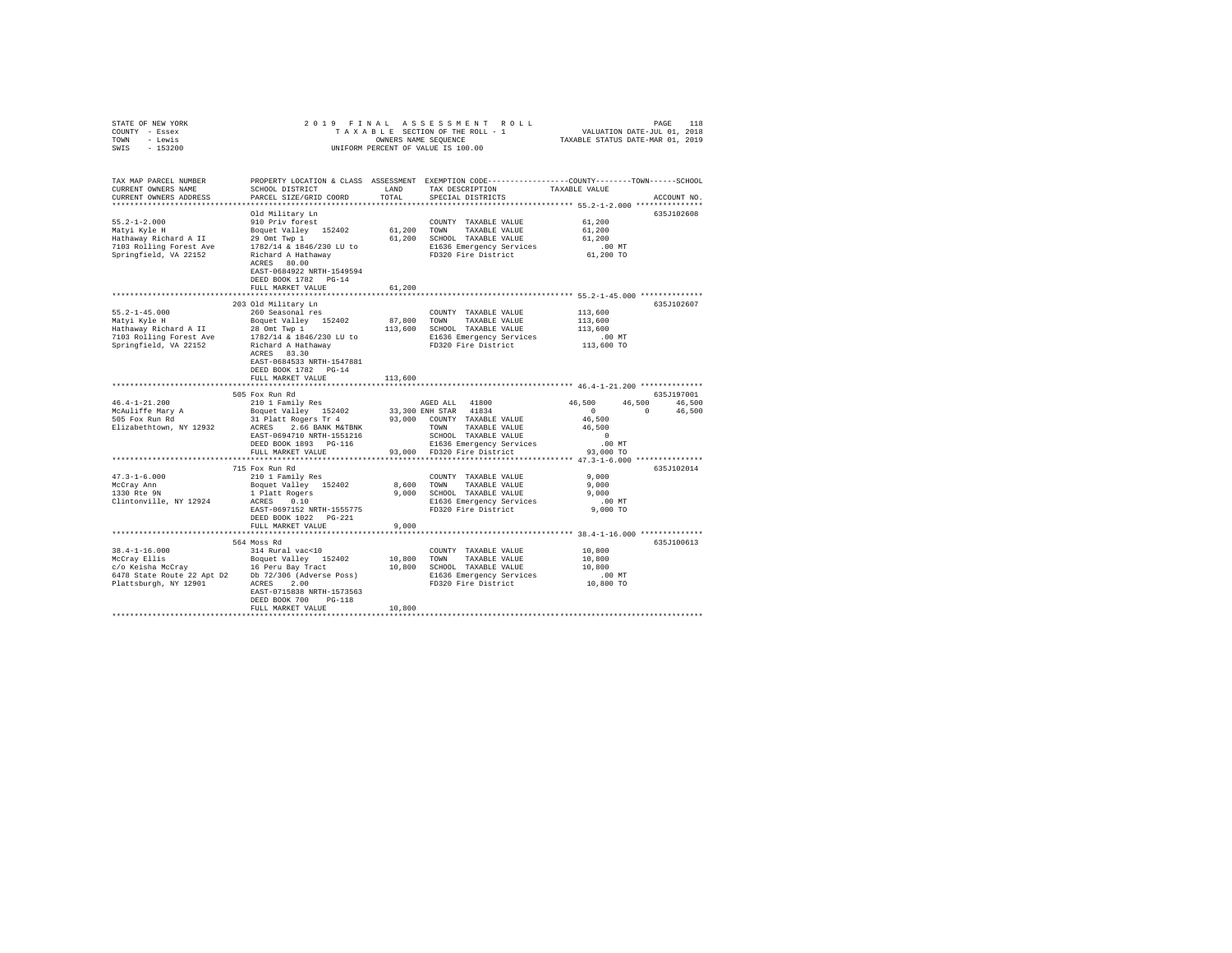| STATE OF NEW YORK | 2019 FINAL ASSESSMENT ROLL         | 118<br>PAGE                      |
|-------------------|------------------------------------|----------------------------------|
| COUNTY - Essex    | TAXABLE SECTION OF THE ROLL - 1    | VALUATION DATE-JUL 01, 2018      |
| TOWN<br>- Lewis   | OWNERS NAME SEOUENCE               | TAXABLE STATUS DATE-MAR 01, 2019 |
| $-153200$<br>SWIS | UNIFORM PERCENT OF VALUE IS 100.00 |                                  |

| TAX MAP PARCEL NUMBER<br>CURRENT OWNERS NAME<br>CURRENT OWNERS ADDRESS                                           | SCHOOL DISTRICT<br>PARCEL SIZE/GRID COORD                                                                                          | LAND<br>TOTAL     | PROPERTY LOCATION & CLASS ASSESSMENT EXEMPTION CODE----------------COUNTY-------TOWN------SCHOOL<br>TAX DESCRIPTION<br>SPECIAL DISTRICTS | TAXABLE VALUE                                                      | ACCOUNT NO. |
|------------------------------------------------------------------------------------------------------------------|------------------------------------------------------------------------------------------------------------------------------------|-------------------|------------------------------------------------------------------------------------------------------------------------------------------|--------------------------------------------------------------------|-------------|
| $55.2 - 1 - 2.000$                                                                                               | ********************<br>Old Military Ln<br>910 Priv forest                                                                         | ***********       | COUNTY TAXABLE VALUE                                                                                                                     | *************************** 55.2-1-2.000 ***************<br>61,200 | 635J102608  |
| Matyi Kyle H<br>Hathaway Richard A II<br>7103 Rolling Forest Ave<br>Springfield, VA 22152                        | Boquet Valley 152402<br>29 Omt Twp 1<br>1782/14 & 1846/230 LU to<br>Richard A Hathaway<br>ACRES 80.00<br>EAST-0684922 NRTH-1549594 | 61,200 TOWN       | TAXABLE VALUE<br>61,200 SCHOOL TAXABLE VALUE<br>E1636 Emergency Services<br>FD320 Fire District                                          | 61,200<br>61,200<br>$.00$ MT<br>61,200 TO                          |             |
|                                                                                                                  | DEED BOOK 1782 PG-14<br>FULL MARKET VALUE                                                                                          | 61,200            |                                                                                                                                          | **************************** 55.2-1-45.000 **************          |             |
|                                                                                                                  | 203 Old Military Ln                                                                                                                |                   |                                                                                                                                          |                                                                    | 635J102607  |
| $55.2 - 1 - 45.000$<br>Matyi Kyle H<br>Hathaway Richard A II<br>7103 Rolling Forest Ave<br>Springfield, VA 22152 | 260 Seasonal res<br>Boquet Valley 152402<br>28 Omt Twp 1<br>1782/14 & 1846/230 LU to<br>Richard A Hathaway                         | 87,800<br>113,600 | COUNTY TAXABLE VALUE<br>TOWN<br>TAXABLE VALUE<br>SCHOOL TAXABLE VALUE<br>E1636 Emergency Services<br>FD320 Fire District                 | 113,600<br>113,600<br>113,600<br>.00 MT<br>113,600 TO              |             |
|                                                                                                                  | ACRES 83.30<br>EAST-0684533 NRTH-1547881<br>DEED BOOK 1782 PG-14<br>FULL MARKET VALUE<br>***************************               | 113,600           |                                                                                                                                          |                                                                    |             |
|                                                                                                                  | 505 Fox Run Rd                                                                                                                     |                   |                                                                                                                                          |                                                                    | 635J197001  |
| $46.4 - 1 - 21.200$                                                                                              | 210 1 Family Res                                                                                                                   |                   | AGED ALL 41800                                                                                                                           | 46,500<br>46,500                                                   | 46,500      |
| McAuliffe Mary A                                                                                                 | Boquet Valley 152402                                                                                                               |                   | 33,300 ENH STAR 41834                                                                                                                    | $^{\circ}$<br>$\Omega$                                             | 46,500      |
| 505 Fox Run Rd                                                                                                   | 31 Platt Rogers Tr 4                                                                                                               | 93,000            | COUNTY TAXABLE VALUE                                                                                                                     | 46,500                                                             |             |
| Elizabethtown, NY 12932                                                                                          | 2.66 BANK M&TBNK<br>ACRES                                                                                                          |                   | TOWN<br>TAXABLE VALUE                                                                                                                    | 46,500<br>$\Omega$                                                 |             |
|                                                                                                                  | EAST-0694710 NRTH-1551216<br>DEED BOOK 1893 PG-116                                                                                 |                   | SCHOOL TAXABLE VALUE<br>E1636 Emergency Services                                                                                         | .00MT                                                              |             |
|                                                                                                                  | FULL MARKET VALUE                                                                                                                  |                   | 93,000 FD320 Fire District                                                                                                               | 93,000 TO                                                          |             |
|                                                                                                                  |                                                                                                                                    |                   |                                                                                                                                          |                                                                    |             |
| $47.3 - 1 - 6.000$                                                                                               | 715 Fox Run Rd<br>210 1 Family Res                                                                                                 |                   | COUNTY TAXABLE VALUE                                                                                                                     | 9.000                                                              | 635J102014  |
| McCray Ann                                                                                                       | Boquet Valley 152402                                                                                                               | 8,600             | TOWN<br>TAXABLE VALUE                                                                                                                    | 9.000                                                              |             |
| 1330 Rte 9N                                                                                                      | 1 Platt Rogers                                                                                                                     | 9.000             | SCHOOL TAXABLE VALUE                                                                                                                     | 9.000                                                              |             |
| Clintonville, NY 12924                                                                                           | ACRES 0.10<br>EAST-0697152 NRTH-1555775                                                                                            |                   | E1636 Emergency Services<br>FD320 Fire District                                                                                          | $.00$ MT<br>$9.000$ TO                                             |             |
|                                                                                                                  | DEED BOOK 1022 PG-221<br>FULL MARKET VALUE                                                                                         | 9,000             |                                                                                                                                          |                                                                    |             |
|                                                                                                                  | *****************                                                                                                                  |                   |                                                                                                                                          |                                                                    |             |
| $38.4 - 1 - 16.000$                                                                                              | 564 Moss Rd<br>314 Rural vac<10                                                                                                    |                   | COUNTY TAXABLE VALUE                                                                                                                     | 10,800                                                             | 635J100613  |
| McCray Ellis                                                                                                     | Boquet Valley 152402                                                                                                               | 10,800            | TAXABLE VALUE<br>TOWN                                                                                                                    | 10,800                                                             |             |
| c/o Keisha McCray 16 Peru Bay Tract                                                                              |                                                                                                                                    | 10,800            | SCHOOL TAXABLE VALUE                                                                                                                     | 10,800                                                             |             |
| 6478 State Route 22 Apt D2                                                                                       | Db 72/306 (Adverse Poss)                                                                                                           |                   | E1636 Emergency Services                                                                                                                 | .00MT                                                              |             |
| Plattsburgh, NY 12901                                                                                            | 2.00<br>ACRES<br>EAST-0715838 NRTH-1573563<br>DEED BOOK 700<br>PG-118                                                              |                   | FD320 Fire District                                                                                                                      | 10,800 TO                                                          |             |
|                                                                                                                  | FULL MARKET VALUE                                                                                                                  | 10,800            |                                                                                                                                          |                                                                    |             |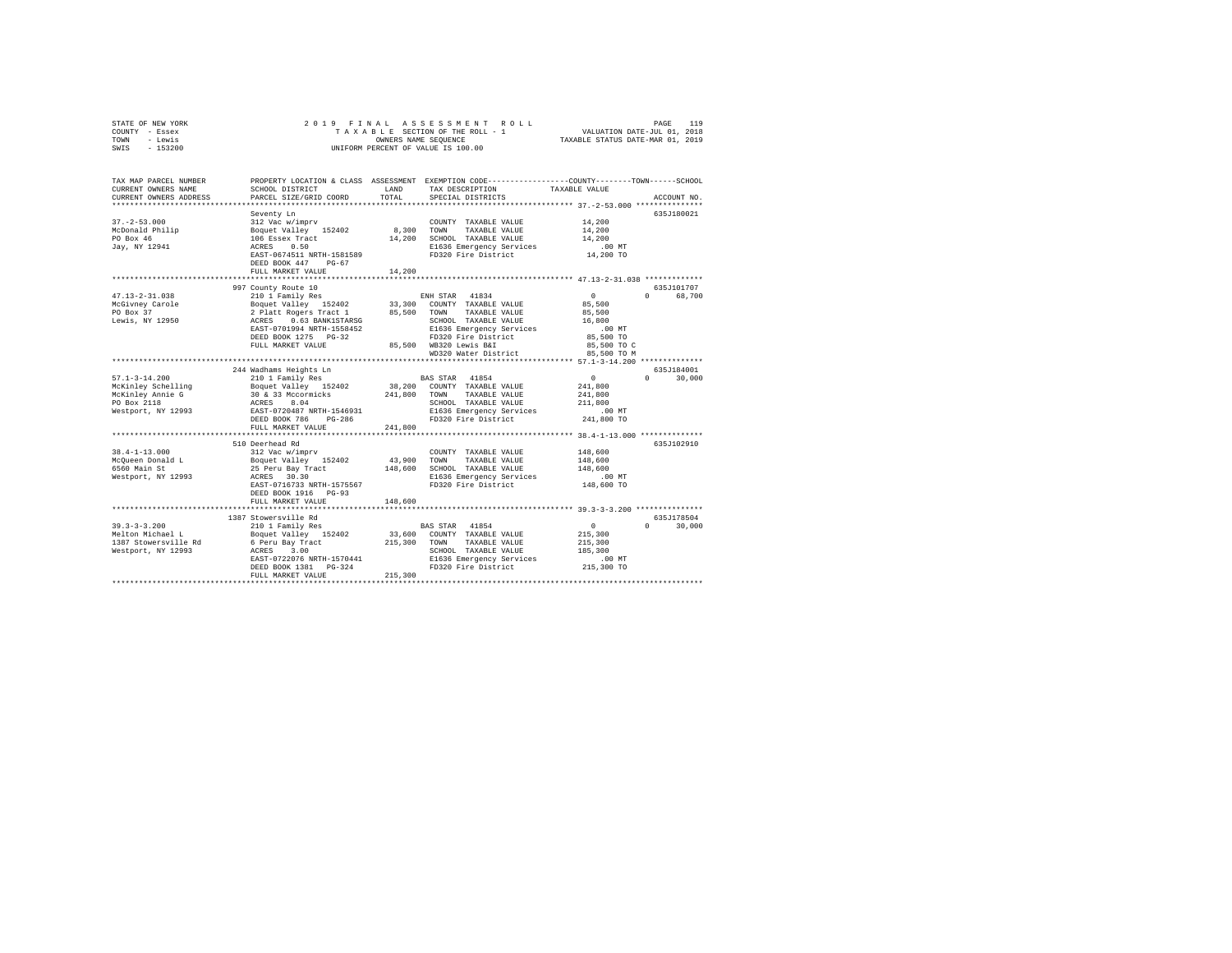|      | STATE OF NEW YORK |  | 2019 FINAL ASSESSMENT ROLL         | 119<br>PAGE                      |
|------|-------------------|--|------------------------------------|----------------------------------|
|      | COUNTY - Essex    |  | TAXABLE SECTION OF THE ROLL - 1    | VALUATION DATE-JUL 01, 2018      |
| TOWN | - Lewis           |  | OWNERS NAME SEOUENCE               | TAXABLE STATUS DATE-MAR 01, 2019 |
| SWIS | $-153200$         |  | UNIFORM PERCENT OF VALUE IS 100.00 |                                  |

| TAX MAP PARCEL NUMBER<br>CURRENT OWNERS NAME<br>CURRENT OWNERS ADDRESS                             | SCHOOL DISTRICT<br>PARCEL SIZE/GRID COORD                                                                                                                                                                           | <b>T.AND</b><br>TOTAL                 | PROPERTY LOCATION & CLASS ASSESSMENT EXEMPTION CODE---------------COUNTY-------TOWN------SCHOOL<br>TAX DESCRIPTION<br>SPECIAL DISTRICTS                                                      | TAXABLE VALUE                                                                                                | ACCOUNT NO.                       |
|----------------------------------------------------------------------------------------------------|---------------------------------------------------------------------------------------------------------------------------------------------------------------------------------------------------------------------|---------------------------------------|----------------------------------------------------------------------------------------------------------------------------------------------------------------------------------------------|--------------------------------------------------------------------------------------------------------------|-----------------------------------|
| $37. - 2 - 53.000$<br>McDonald Philip<br>PO Box 46<br>Jay, NY 12941                                | Seventy Ln<br>312 Vac w/imprv<br>Boquet Valley 152402<br>106 Essex Tract<br>ACRES<br>0.50<br>EAST-0674511 NRTH-1581589<br>DEED BOOK 447<br>$PG-67$<br>FULL MARKET VALUE                                             | 8,300<br>14,200<br>14,200<br>******** | COUNTY TAXABLE VALUE<br>TOWN<br>TAXABLE VALUE<br>SCHOOL TAXABLE VALUE<br>E1636 Emergency Services<br>FD320 Fire District                                                                     | 14,200<br>14,200<br>14,200<br>$.00$ MT<br>14,200 TO<br>************** 47.13-2-31.038 **************          | 635J180021                        |
| $47.13 - 2 - 31.038$<br>McGivney Carole<br>PO Box 37<br>Lewis, NY 12950                            | 997 County Route 10<br>210 1 Family Res<br>Boquet Valley 152402<br>2 Platt Rogers Tract 1 85,500<br>2 Plat<br>ACRES<br>0.63 BANK1STARSG<br>EAST-0701994 NRTH-1558452<br>DEED BOOK 1275 PG-32<br>FULL MARKET VALUE   | 33,300                                | ENH STAR 41834<br>COUNTY TAXABLE VALUE<br>TAXABLE VALUE<br>TOWN<br>SCHOOL TAXABLE VALUE<br>E1636 Emergency Services<br>FD320 Fire District<br>85,500 WB320 Lewis B&I<br>WD320 Water District | 0<br>85,500<br>85,500<br>16,800<br>$.00$ MT<br>85,500 TO<br>85,500 TO C<br>85,500 TO M                       | 635.7101707<br>$\Omega$<br>68,700 |
| $57.1 - 3 - 14.200$<br>McKinley Schelling<br>McKinley Annie G<br>PO Box 2118<br>Westport, NY 12993 | 244 Wadhams Heights Ln<br>210 1 Family Res<br>Boquet Vallev 152402<br>30 & 33 Mccormicks<br>8.04<br>ACRES<br>EAST-0720487 NRTH-1546931<br>DEED BOOK 786<br>$PG-286$<br>FULL MARKET VALUE<br>*********************** | 38,200<br>241,800<br>241,800          | BAS STAR 41854<br>COUNTY TAXABLE VALUE<br>TOWN<br>TAXABLE VALUE<br>SCHOOL TAXABLE VALUE<br>E1636 Emergency Services<br>FD320 Fire District                                                   | 0<br>241,800<br>241,800<br>211,800<br>$.00$ MT<br>241,800 TO                                                 | 635J184001<br>$\Omega$<br>30,000  |
| $38.4 - 1 - 13.000$<br>McQueen Donald L<br>6560 Main St<br>Westport, NY 12993                      | 510 Deerhead Rd<br>312 Vac w/imprv<br>Boquet Valley 152402<br>25 Peru Bay Tract<br>ACRES 30.30<br>EAST-0716733 NRTH-1575567<br>DEED BOOK 1916 PG-93<br>FULL MARKET VALUE                                            | 43,900<br>148,600<br>148,600          | COUNTY TAXABLE VALUE<br>TOWN<br>TAXABLE VALUE<br>SCHOOL TAXABLE VALUE<br>E1636 Emergency Services<br>FD320 Fire District                                                                     | ********************* 38.4-1-13.000 *************<br>148,600<br>148,600<br>148,600<br>$.00$ MT<br>148,600 TO | 635J102910                        |
| $39.3 - 3 - 3.200$<br>Melton Michael L<br>1387 Stowersville Rd<br>Westport, NY 12993               | 1387 Stowersville Rd<br>210 1 Family Res<br>Boquet Valley 152402<br>6 Peru Bay Tract<br>3.00<br>ACRES<br>EAST-0722076 NRTH-1570441<br>DEED BOOK 1381 PG-324<br>FULL MARKET VALUE                                    | 33,600<br>215,300<br>215,300          | BAS STAR 41854<br>COUNTY TAXABLE VALUE<br>TOWN<br>TAXABLE VALUE<br>SCHOOL TAXABLE VALUE<br>E1636 Emergency Services<br>FD320 Fire District                                                   | $\circ$<br>215,300<br>215,300<br>185,300<br>$.00$ MT<br>215,300 TO                                           | 635J178504<br>$\Omega$<br>30,000  |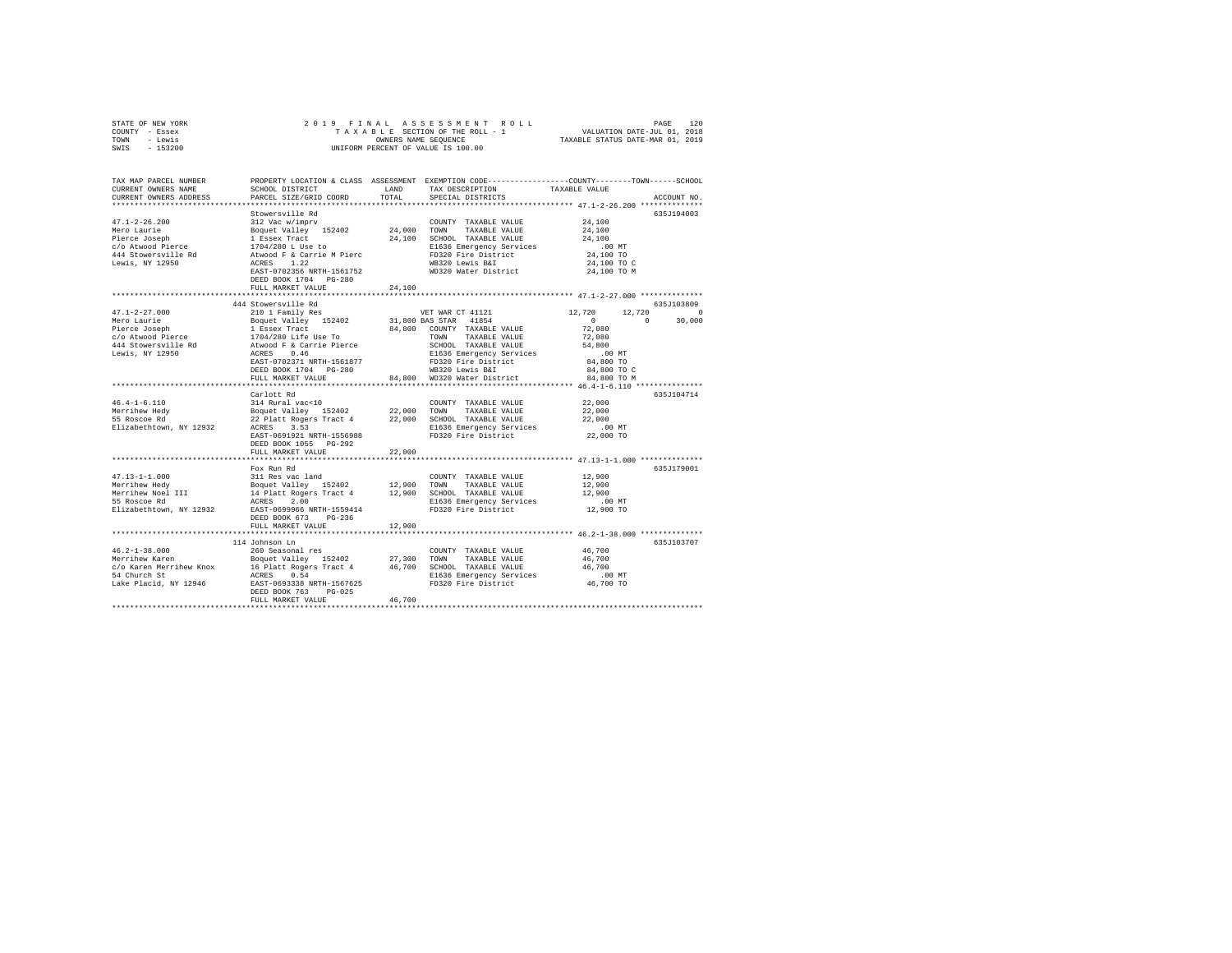|      | STATE OF NEW YORK |  | 2019 FINAL ASSESSMENT ROLL         | 120<br>PAGE                      |
|------|-------------------|--|------------------------------------|----------------------------------|
|      | COUNTY - Essex    |  | TAXABLE SECTION OF THE ROLL - 1    | VALUATION DATE-JUL 01, 2018      |
| TOWN | - Lewis           |  | OWNERS NAME SEOUENCE               | TAXABLE STATUS DATE-MAR 01, 2019 |
| SWIS | - 153200          |  | UNIFORM PERCENT OF VALUE IS 100.00 |                                  |

| TAX MAP PARCEL NUMBER<br>CURRENT OWNERS NAME                                                                                                                                                      | SCHOOL DISTRICT                                                                   | LAND        | TAX DESCRIPTION             | PROPERTY LOCATION & CLASS ASSESSMENT EXEMPTION CODE----------------COUNTY-------TOWN------SCHOOL<br>TAXABLE VALUE |          |
|---------------------------------------------------------------------------------------------------------------------------------------------------------------------------------------------------|-----------------------------------------------------------------------------------|-------------|-----------------------------|-------------------------------------------------------------------------------------------------------------------|----------|
| CURRENT OWNERS ADDRESS                                                                                                                                                                            | PARCEL SIZE/GRID COORD                                                            | TOTAL       | SPECIAL DISTRICTS           | ACCOUNT NO.                                                                                                       |          |
|                                                                                                                                                                                                   | Stowersville Rd                                                                   |             |                             | 635J194003                                                                                                        |          |
| $47.1 - 2 - 26.200$                                                                                                                                                                               |                                                                                   |             |                             | 24,100                                                                                                            |          |
|                                                                                                                                                                                                   | 312 Vac w/imprv                                                                   | 24,000 TOWN | COUNTY TAXABLE VALUE        |                                                                                                                   |          |
| Mero Laurie                                                                                                                                                                                       | Boquet Valley 152402                                                              |             | TAXABLE VALUE               | 24,100                                                                                                            |          |
|                                                                                                                                                                                                   |                                                                                   |             | 24,100 SCHOOL TAXABLE VALUE | 24,100<br>$.00$ MT                                                                                                |          |
|                                                                                                                                                                                                   |                                                                                   |             | E1636 Emergency Services    |                                                                                                                   |          |
|                                                                                                                                                                                                   |                                                                                   |             | FD320 Fire District         | 24,100 TO                                                                                                         |          |
| Lewis, NY 12950                                                                                                                                                                                   | ACRES 1.22                                                                        |             | WB320 Lewis B&I             | 24,100 TO C                                                                                                       |          |
|                                                                                                                                                                                                   | EAST-0702356 NRTH-1561752                                                         |             | WD320 Water District        | 24,100 TO M                                                                                                       |          |
|                                                                                                                                                                                                   | DEED BOOK 1704 PG-280                                                             |             |                             |                                                                                                                   |          |
|                                                                                                                                                                                                   | FULL MARKET VALUE                                                                 | 24,100      |                             | *********************************** 47.1-2-27.000 ***************                                                 |          |
|                                                                                                                                                                                                   | 444 Stowersville Rd                                                               |             |                             | 635J103809                                                                                                        |          |
|                                                                                                                                                                                                   |                                                                                   |             |                             |                                                                                                                   |          |
| $47.1 - 2 - 27.000$                                                                                                                                                                               | 210 1 Family Res                                                                  |             | VET WAR CT 41121            | 12,720<br>12,720                                                                                                  | $\Omega$ |
| Mero Laurie<br>Pierce Joseph Poet (Valley 152402<br>Pierce Joseph I Essex Tract<br>1704/280 Life Use To<br>144 Stowerswille Rd<br>Lewis, NY 12950<br>2000 Revers Carrie Pierce<br>2014 ACRES 0.46 |                                                                                   |             | 31,800 BAS STAR 41854       | $\circ$<br>$\sim$ 0                                                                                               | 30,000   |
|                                                                                                                                                                                                   |                                                                                   |             | 84,800 COUNTY TAXABLE VALUE | 72,080                                                                                                            |          |
|                                                                                                                                                                                                   |                                                                                   |             | TOWN TAXABLE VALUE          | 72,080                                                                                                            |          |
|                                                                                                                                                                                                   |                                                                                   |             | SCHOOL TAXABLE VALUE        | 54,800                                                                                                            |          |
|                                                                                                                                                                                                   |                                                                                   |             | E1636 Emergency Services    | $.00$ MT                                                                                                          |          |
|                                                                                                                                                                                                   | EAST-0702371 NRTH-1561877                                                         |             | FD320 Fire District         | 84,800 TO                                                                                                         |          |
|                                                                                                                                                                                                   | DEED BOOK 1704 PG-280                                                             |             | WB320 Lewis B&I             | 84,800 TO C                                                                                                       |          |
|                                                                                                                                                                                                   | FULL MARKET VALUE<br>*****************************                                |             | 84,800 WD320 Water District | 84,800 TO M                                                                                                       |          |
|                                                                                                                                                                                                   |                                                                                   |             |                             | ***************************** 46.4-1-6.110 ************                                                           |          |
|                                                                                                                                                                                                   | Carlott Rd                                                                        |             |                             | 635J104714                                                                                                        |          |
| $46.4 - 1 - 6.110$                                                                                                                                                                                | 314 Rural vac<10                                                                  |             | COUNTY TAXABLE VALUE        | 22,000                                                                                                            |          |
| Merrihew Hedy                                                                                                                                                                                     | Example 152402 22,000 TOWN<br>22 Platt Rogers Tract 4 22,000 SCHOOL               |             | TAXABLE VALUE               | 22,000                                                                                                            |          |
| 55 Roscoe Rd                                                                                                                                                                                      |                                                                                   |             | 22,000 SCHOOL TAXABLE VALUE | 22,000                                                                                                            |          |
| Elizabethtown, NY 12932                                                                                                                                                                           | ACRES 3.53                                                                        |             | E1636 Emergency Services    | $.00$ MT                                                                                                          |          |
|                                                                                                                                                                                                   | EAST-0691921 NRTH-1556988                                                         |             | FD320 Fire District         | 22,000 TO                                                                                                         |          |
|                                                                                                                                                                                                   | DEED BOOK 1055 PG-292                                                             |             |                             |                                                                                                                   |          |
|                                                                                                                                                                                                   | FULL MARKET VALUE                                                                 | 22,000      |                             |                                                                                                                   |          |
|                                                                                                                                                                                                   |                                                                                   |             |                             |                                                                                                                   |          |
|                                                                                                                                                                                                   | Fox Run Rd                                                                        |             |                             | 635J179001                                                                                                        |          |
| $47.13 - 1 - 1.000$                                                                                                                                                                               |                                                                                   |             | COUNTY TAXABLE VALUE        | 12,900                                                                                                            |          |
| Merrihew Hedy                                                                                                                                                                                     |                                                                                   | 12.900 TOWN | TAXABLE VALUE               | 12,900                                                                                                            |          |
| Merrihew Noel III                                                                                                                                                                                 | 311 Res vac land<br>Boquet Valley 152402<br>14 Platt Rogers Tract 4<br>ACRES 2.00 |             | 12,900 SCHOOL TAXABLE VALUE | 12,900                                                                                                            |          |
| 55 Roscoe Rd                                                                                                                                                                                      |                                                                                   |             | E1636 Emergency Services    | $.00$ MT                                                                                                          |          |
| Elizabethtown, NY 12932                                                                                                                                                                           | EAST-0699966 NRTH-1559414                                                         |             | FD320 Fire District         | 12,900 TO                                                                                                         |          |
|                                                                                                                                                                                                   | DEED BOOK 673 PG-236                                                              |             |                             |                                                                                                                   |          |
|                                                                                                                                                                                                   | FULL MARKET VALUE                                                                 | 12,900      |                             |                                                                                                                   |          |
|                                                                                                                                                                                                   |                                                                                   |             |                             |                                                                                                                   |          |
|                                                                                                                                                                                                   | 114 Johnson Ln                                                                    |             |                             | 635J103707                                                                                                        |          |
| $46.2 - 1 - 38.000$                                                                                                                                                                               | 260 Seasonal res                                                                  |             | COUNTY TAXABLE VALUE        | 46,700                                                                                                            |          |
| Merrihew Karen                                                                                                                                                                                    | Boquet Valley 152402                                                              |             | 27,300 TOWN TAXABLE VALUE   | 46,700                                                                                                            |          |
| c/o Karen Merrihew Knox 16 Platt Rogers Tract 4 46,700 SCHOOL TAXABLE VALUE                                                                                                                       |                                                                                   |             |                             | 46,700                                                                                                            |          |
| 54 Church St                                                                                                                                                                                      | ACRES 0.54                                                                        |             | E1636 Emergency Services    | .00 MT                                                                                                            |          |
| Lake Placid, NY 12946 EAST-0693338 NRTH-1567625                                                                                                                                                   |                                                                                   |             | FD320 Fire District         | 46,700 TO                                                                                                         |          |
|                                                                                                                                                                                                   | DEED BOOK 763 PG-025                                                              |             |                             |                                                                                                                   |          |
|                                                                                                                                                                                                   | FULL MARKET VALUE                                                                 | 46,700      |                             |                                                                                                                   |          |
|                                                                                                                                                                                                   |                                                                                   |             |                             |                                                                                                                   |          |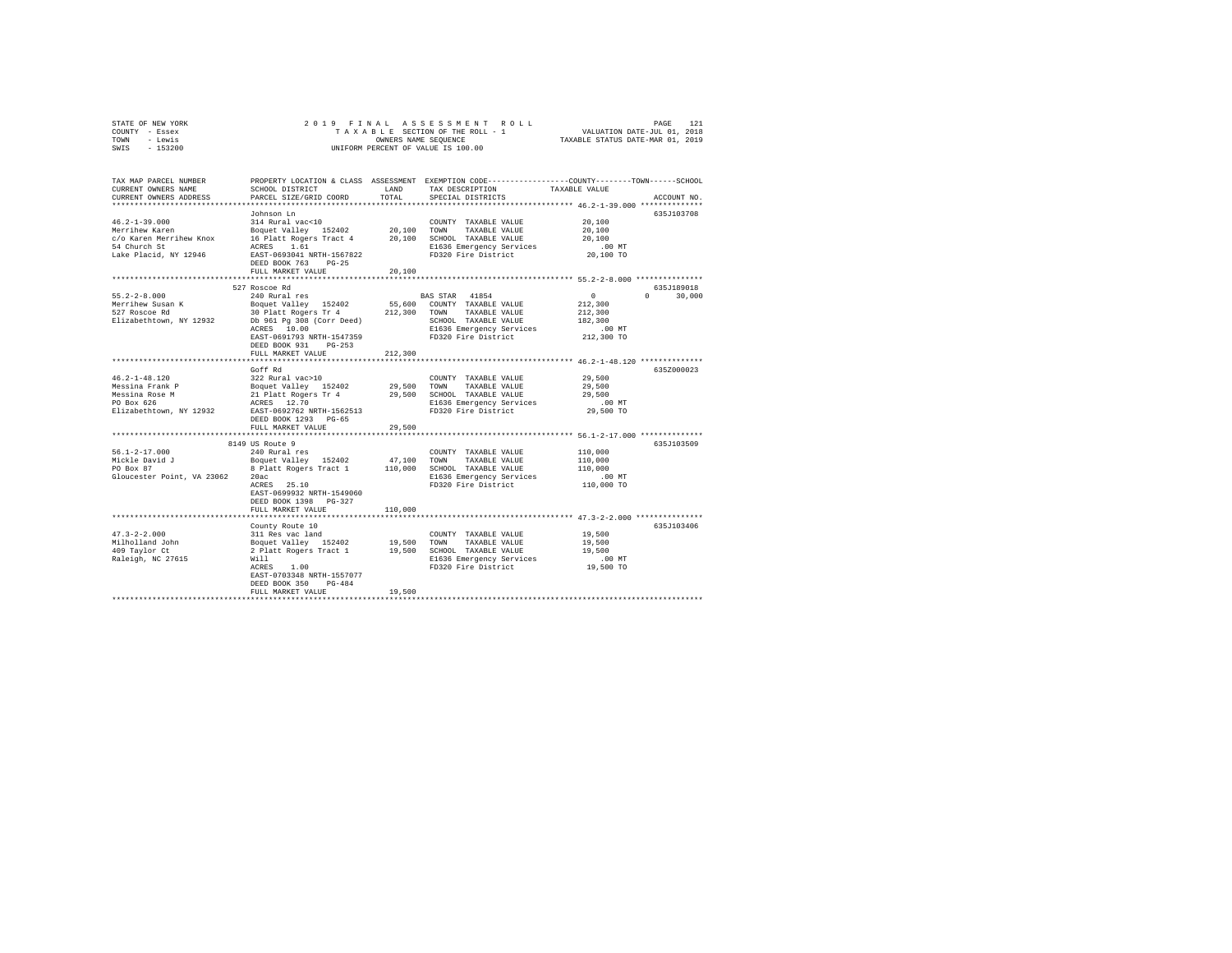| STATE OF NEW YORK | 2019 FINAL ASSESSMENT ROLL         | 121<br>PAGE                      |
|-------------------|------------------------------------|----------------------------------|
| COUNTY - Essex    | TAXABLE SECTION OF THE ROLL - 1    | VALUATION DATE-JUL 01, 2018      |
| TOWN<br>- Lewis   | OWNERS NAME SEOUENCE               | TAXABLE STATUS DATE-MAR 01, 2019 |
| $-153200$<br>SWIS | UNIFORM PERCENT OF VALUE IS 100.00 |                                  |

| TAX MAP PARCEL NUMBER<br>CURRENT OWNERS NAME<br>CURRENT OWNERS ADDRESS | SCHOOL DISTRICT<br>PARCEL SIZE/GRID COORD         | <b>T.AND</b><br>TOTAL | TAX DESCRIPTION<br>SPECIAL DISTRICTS            | PROPERTY LOCATION & CLASS ASSESSMENT EXEMPTION CODE---------------COUNTY-------TOWN-----SCHOOL<br>TAXABLE VALUE<br>ACCOUNT NO. |
|------------------------------------------------------------------------|---------------------------------------------------|-----------------------|-------------------------------------------------|--------------------------------------------------------------------------------------------------------------------------------|
| **********************                                                 | ****************************                      |                       |                                                 |                                                                                                                                |
|                                                                        | Johnson Ln                                        |                       |                                                 | 635J103708                                                                                                                     |
| $46.2 - 1 - 39.000$                                                    | 314 Rural vac<10                                  |                       | COUNTY TAXABLE VALUE                            | 20,100                                                                                                                         |
| Merrihew Karen                                                         | Boquet Valley 152402                              |                       | 20,100 TOWN<br>TAXABLE VALUE                    | 20,100                                                                                                                         |
| c/o Karen Merrihew Knox                                                | 16 Platt Rogers Tract 4                           |                       | 20.100 SCHOOL TAXABLE VALUE                     | 20,100                                                                                                                         |
| 54 Church St                                                           | ACRES 1.61                                        |                       | E1636 Emergency Services                        | $.00$ MT                                                                                                                       |
| Lake Placid, NY 12946                                                  | EAST-0693041 NRTH-1567822                         |                       | FD320 Fire District                             | 20,100 TO                                                                                                                      |
|                                                                        | DEED BOOK 763<br>$PG-25$                          |                       |                                                 |                                                                                                                                |
|                                                                        | FULL MARKET VALUE                                 | 20,100                |                                                 |                                                                                                                                |
|                                                                        |                                                   |                       |                                                 |                                                                                                                                |
|                                                                        | 527 Roscoe Rd                                     |                       |                                                 | 635J189018                                                                                                                     |
| $55.2 - 2 - 8.000$                                                     | 240 Rural res                                     |                       | BAS STAR 41854                                  | $^{\circ}$<br>$\Omega$<br>30,000                                                                                               |
| Merrihew Susan K                                                       | Boquet Valley 152402                              |                       | 55,600 COUNTY TAXABLE VALUE                     | 212,300                                                                                                                        |
| 527 Roscoe Rd                                                          | 30 Platt Rogers Tr 4                              | 212,300               | TOWN TAXABLE VALUE                              | 212,300                                                                                                                        |
| Elizabethtown, NY 12932                                                | Db 961 Pg 308 (Corr Deed)                         |                       | SCHOOL TAXABLE VALUE                            | 182,300                                                                                                                        |
|                                                                        | ACRES 10.00                                       |                       | E1636 Emergency Services                        | .00 MT                                                                                                                         |
|                                                                        | EAST-0691793 NRTH-1547359                         |                       | FD320 Fire District                             | 212,300 TO                                                                                                                     |
|                                                                        | DEED BOOK 931 PG-253                              |                       |                                                 |                                                                                                                                |
|                                                                        | FULL MARKET VALUE                                 | 212,300               |                                                 |                                                                                                                                |
|                                                                        |                                                   |                       |                                                 | **************** 46.2-1-48.120 ************                                                                                    |
|                                                                        | Goff Rd                                           |                       |                                                 | 635Z000023                                                                                                                     |
| $46.2 - 1 - 48.120$                                                    | 322 Rural vac>10                                  |                       | COUNTY TAXABLE VALUE                            | 29,500                                                                                                                         |
| Messina Frank P                                                        | Boquet Valley 152402<br>21 Platt Rogers Tr 4      | 29,500                | TOWN<br>TAXABLE VALUE                           | 29,500                                                                                                                         |
| Messina Rose M<br>PO Box 626                                           | ACRES 12.70                                       | 29,500                | SCHOOL TAXABLE VALUE                            | 29,500                                                                                                                         |
|                                                                        |                                                   |                       | E1636 Emergency Services<br>FD320 Fire District | .00 MT                                                                                                                         |
| Elizabethtown, NY 12932                                                | EAST-0692762 NRTH-1562513<br>DEED BOOK 1293 PG-65 |                       |                                                 | 29,500 TO                                                                                                                      |
|                                                                        | FULL MARKET VALUE                                 | 29,500                |                                                 |                                                                                                                                |
|                                                                        | *****************************                     |                       |                                                 |                                                                                                                                |
|                                                                        | 8149 US Route 9                                   |                       |                                                 | 635J103509                                                                                                                     |
| $56.1 - 2 - 17.000$                                                    | 240 Rural res                                     |                       | COUNTY TAXABLE VALUE                            | 110,000                                                                                                                        |
| Mickle David J                                                         | Boquet Valley 152402                              | 47,100                | TOWN<br>TAXABLE VALUE                           | 110,000                                                                                                                        |
| PO Box 87                                                              | 8 Platt Rogers Tract 1                            | 110,000               | SCHOOL TAXABLE VALUE                            | 110,000                                                                                                                        |
| Gloucester Point, VA 23062                                             | 20ac                                              |                       | E1636 Emergency Services                        | $.00$ MT                                                                                                                       |
|                                                                        | ACRES 25.10                                       |                       | FD320 Fire District                             | 110,000 TO                                                                                                                     |
|                                                                        | EAST-0699932 NRTH-1549060                         |                       |                                                 |                                                                                                                                |
|                                                                        | DEED BOOK 1398 PG-327                             |                       |                                                 |                                                                                                                                |
|                                                                        | FULL MARKET VALUE                                 | 110,000               |                                                 |                                                                                                                                |
|                                                                        |                                                   |                       |                                                 |                                                                                                                                |
|                                                                        | County Route 10                                   |                       |                                                 | 635J103406                                                                                                                     |
| $47.3 - 2 - 2.000$                                                     | 311 Res vac land                                  |                       | COUNTY TAXABLE VALUE                            | 19,500                                                                                                                         |
| Milholland John                                                        | Boquet Valley 152402                              | 19,500                | TOWN<br>TAXABLE VALUE                           | 19,500                                                                                                                         |
| 409 Taylor Ct                                                          | 2 Platt Rogers Tract 1                            |                       | 19,500 SCHOOL TAXABLE VALUE                     | 19,500                                                                                                                         |
| Raleigh, NC 27615                                                      | Will                                              |                       | E1636 Emergency Services                        | .00 MT                                                                                                                         |
|                                                                        | ACRES 1.00                                        |                       | FD320 Fire District                             | 19,500 TO                                                                                                                      |
|                                                                        | EAST-0703348 NRTH-1557077                         |                       |                                                 |                                                                                                                                |
|                                                                        | DEED BOOK 350<br>PG-484                           |                       |                                                 |                                                                                                                                |
|                                                                        | FULL MARKET VALUE                                 | 19,500                |                                                 |                                                                                                                                |
|                                                                        |                                                   |                       |                                                 |                                                                                                                                |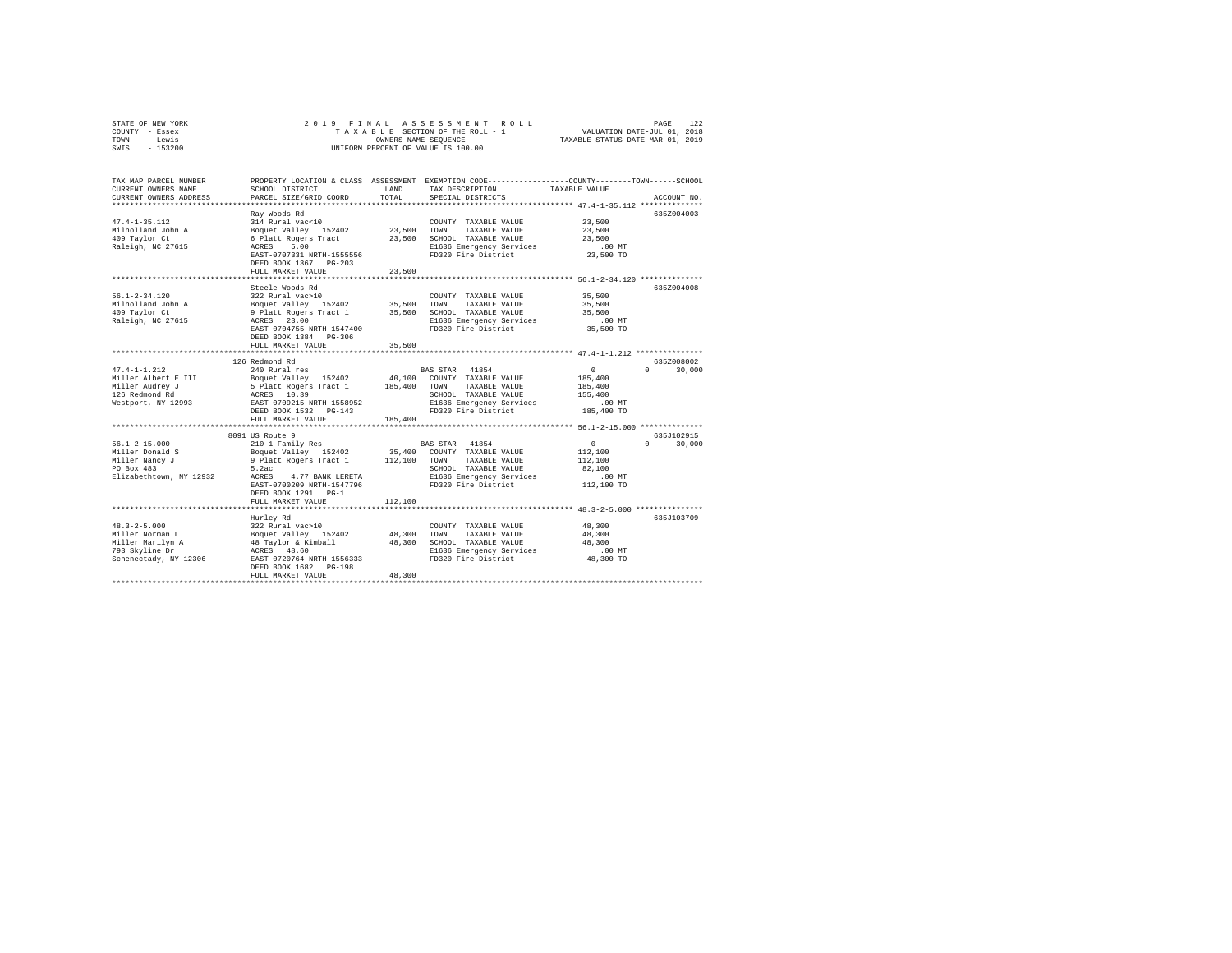| STATE OF NEW YORK | 2019 FINAL ASSESSMENT ROLL         | 122<br>PAGE                      |
|-------------------|------------------------------------|----------------------------------|
| COUNTY - Essex    | TAXABLE SECTION OF THE ROLL - 1    | VALUATION DATE-JUL 01, 2018      |
| TOWN<br>- Lewis   | OWNERS NAME SEOUENCE               | TAXABLE STATUS DATE-MAR 01, 2019 |
| $-153200$<br>SWIS | UNIFORM PERCENT OF VALUE IS 100.00 |                                  |

| TAX MAP PARCEL NUMBER<br>CURRENT OWNERS NAME<br>CURRENT OWNERS ADDRESS | SCHOOL DISTRICT<br>PARCEL SIZE/GRID COORD                              | LAND<br>TOTAL | PROPERTY LOCATION & CLASS ASSESSMENT EXEMPTION CODE----------------COUNTY-------TOWN------SCHOOL<br>TAX DESCRIPTION<br>SPECIAL DISTRICTS | TAXABLE VALUE | ACCOUNT NO.                 |
|------------------------------------------------------------------------|------------------------------------------------------------------------|---------------|------------------------------------------------------------------------------------------------------------------------------------------|---------------|-----------------------------|
|                                                                        |                                                                        |               |                                                                                                                                          |               |                             |
|                                                                        | Rav Woods Rd                                                           |               |                                                                                                                                          |               | 635Z004003                  |
| $47.4 - 1 - 35.112$                                                    | 314 Rural vac<10                                                       |               | COUNTY TAXABLE VALUE                                                                                                                     | 23,500        |                             |
| Milholland John A                                                      | Boquet Valley 152402                                                   | 23,500        | TOWN<br>TAXABLE VALUE                                                                                                                    | 23,500        |                             |
| 409 Taylor Ct                                                          | 6 Platt Rogers Tract                                                   | 23,500        | SCHOOL TAXABLE VALUE                                                                                                                     | 23,500        |                             |
| Raleigh, NC 27615                                                      | ACRES 5.00                                                             |               | E1636 Emergency Services                                                                                                                 | $.00$ MT      |                             |
|                                                                        | EAST-0707331 NRTH-1555556                                              |               | FD320 Fire District                                                                                                                      | 23,500 TO     |                             |
|                                                                        | DEED BOOK 1367 PG-203                                                  |               |                                                                                                                                          |               |                             |
|                                                                        | FULL MARKET VALUE                                                      | 23,500        |                                                                                                                                          |               |                             |
|                                                                        |                                                                        |               |                                                                                                                                          |               |                             |
|                                                                        | Steele Woods Rd                                                        |               |                                                                                                                                          |               | 6357004008                  |
| $56.1 - 2 - 34.120$                                                    | 322 Rural vac>10                                                       |               | COUNTY TAXABLE VALUE                                                                                                                     | 35,500        |                             |
| Milholland John A                                                      | Boquet Valley 152402 35,500 TOWN                                       |               | TAXABLE VALUE                                                                                                                            | 35,500        |                             |
| 409 Taylor Ct                                                          |                                                                        |               | 9 Platt Rogers Tract 1 35,500 SCHOOL TAXABLE VALUE                                                                                       | 35,500        |                             |
| Raleigh, NC 27615                                                      | ACRES 23.00                                                            |               | E1636 Emergency Services                                                                                                                 | $.00$ MT      |                             |
|                                                                        | EAST-0704755 NRTH-1547400                                              |               | FD320 Fire District                                                                                                                      | 35,500 TO     |                             |
|                                                                        | DEED BOOK 1384 PG-306                                                  |               |                                                                                                                                          |               |                             |
|                                                                        | FULL MARKET VALUE                                                      | 35,500        |                                                                                                                                          |               |                             |
|                                                                        |                                                                        |               |                                                                                                                                          |               |                             |
|                                                                        | 126 Redmond Rd                                                         |               |                                                                                                                                          |               | 635Z008002                  |
| $47.4 - 1 - 1.212$                                                     | 240 Rural res                                                          |               | BAS STAR 41854                                                                                                                           | $^{\circ}$    | $0 \qquad \qquad$<br>30,000 |
| Miller Albert E III                                                    | Boquet Valley 152402                                                   |               | 40,100 COUNTY TAXABLE VALUE                                                                                                              | 185,400       |                             |
| Miller Audrey J                                                        | 5 Platt Rogers Tract 1 185,400 TOWN                                    |               | TAXABLE VALUE                                                                                                                            | 185,400       |                             |
| 126 Redmond Rd                                                         | ACRES 10.39                                                            |               | SCHOOL TAXABLE VALUE                                                                                                                     | 155,400       |                             |
| Westport, NY 12993                                                     | EAST-0709215 NRTH-1558952                                              |               | E1636 Emergency Services                                                                                                                 | $.00$ MT      |                             |
|                                                                        | DEED BOOK 1532 PG-143                                                  |               | FD320 Fire District                                                                                                                      | 185,400 TO    |                             |
|                                                                        | FULL MARKET VALUE                                                      | 185,400       |                                                                                                                                          |               |                             |
|                                                                        | **************************                                             |               |                                                                                                                                          |               |                             |
|                                                                        | 8091 US Route 9                                                        |               |                                                                                                                                          |               | 635J102915                  |
| $56.1 - 2 - 15.000$                                                    | 210 1 Family Res                                                       |               | BAS STAR 41854                                                                                                                           | $\mathbf{0}$  | $\mathbf{a}$<br>30,000      |
| Miller Donald S                                                        | Boquet Valley 152402 35,400 COUNTY TAXABLE VALUE                       |               |                                                                                                                                          | 112,100       |                             |
| Miller Nancy J                                                         | 9 Platt Rogers Tract 1                                                 |               | 112,100 TOWN TAXABLE VALUE                                                                                                               | 112,100       |                             |
| PO Box 483                                                             | 5.2ac                                                                  |               | SCHOOL TAXABLE VALUE                                                                                                                     | 82,100        |                             |
| Elizabethtown, NY 12932                                                | ACRES 4.77 BANK LERETA                                                 |               | E1636 Emergency Services                                                                                                                 | $.00$ MT      |                             |
|                                                                        | EAST-0700209 NRTH-1547796                                              |               | FD320 Fire District                                                                                                                      | 112,100 TO    |                             |
|                                                                        | DEED BOOK 1291 PG-1                                                    |               |                                                                                                                                          |               |                             |
|                                                                        | FULL MARKET VALUE                                                      | 112,100       |                                                                                                                                          |               |                             |
|                                                                        |                                                                        |               | ********************************** 48.3-2-5.000 **************                                                                           |               |                             |
|                                                                        | Hurley Rd                                                              |               |                                                                                                                                          |               | 635J103709                  |
| $48.3 - 2 - 5.000$                                                     | 322 Rural vac>10                                                       |               | COUNTY TAXABLE VALUE                                                                                                                     | 48,300        |                             |
| Miller Norman L                                                        |                                                                        | 48,300        | TOWN<br>TAXABLE VALUE                                                                                                                    | 48,300        |                             |
| Miller Marilyn A                                                       | --------<br>Boquet Valley 152402<br>48 Taylor & Kimball<br>ACRES 48.60 | 48,300        | SCHOOL TAXABLE VALUE                                                                                                                     | 48,300        |                             |
| 793 Skyline Dr                                                         | ACRES 48.60                                                            |               | E1636 Emergency Services                                                                                                                 | $.00$ MT      |                             |
| Schenectady, NY 12306                                                  | EAST-0720764 NRTH-1556333                                              |               | FD320 Fire District                                                                                                                      | 48,300 TO     |                             |
|                                                                        | DEED BOOK 1682 PG-198                                                  |               |                                                                                                                                          |               |                             |
|                                                                        | FULL MARKET VALUE                                                      | 48,300        |                                                                                                                                          |               |                             |
|                                                                        |                                                                        |               |                                                                                                                                          |               |                             |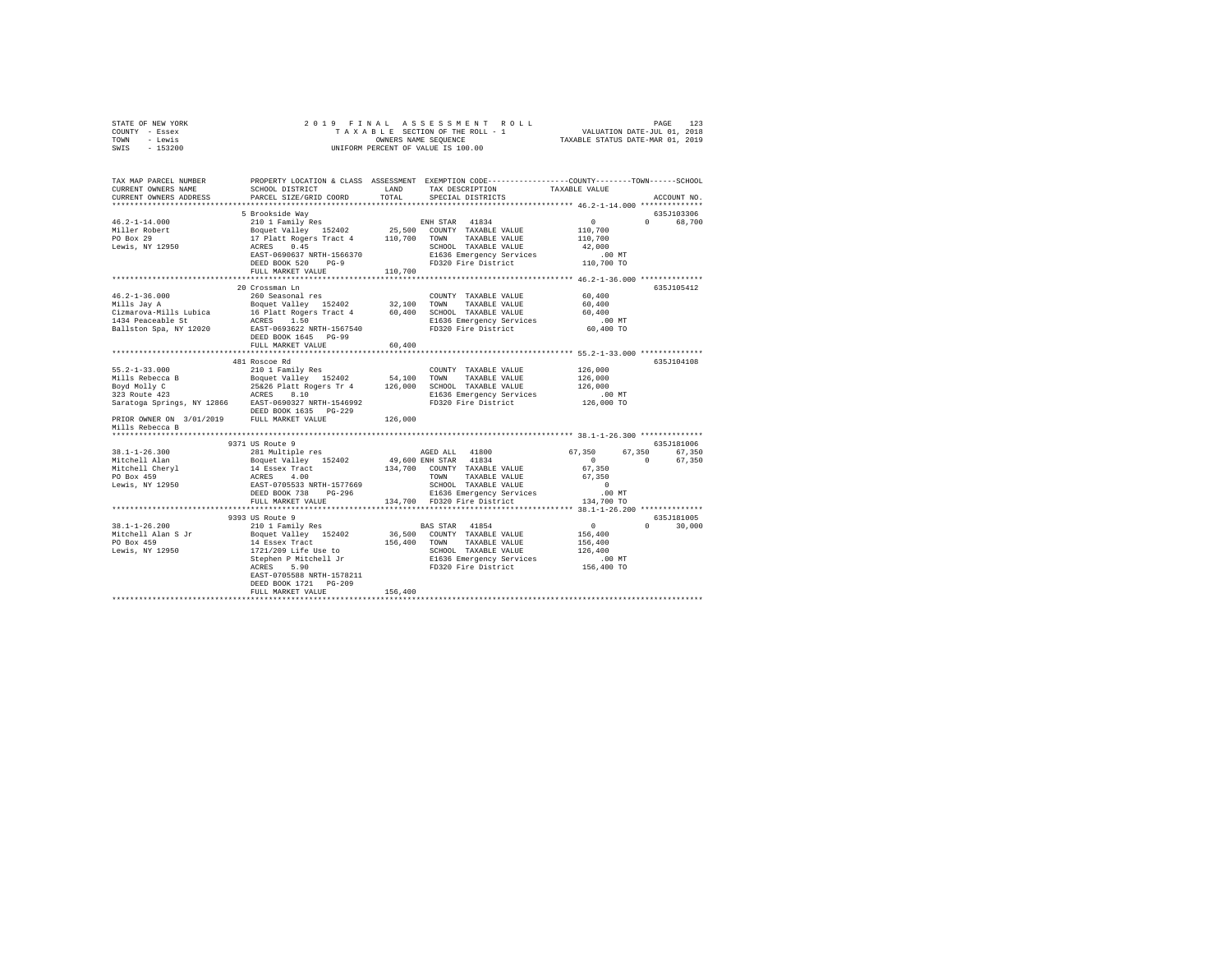| STATE OF NEW YORK | 2019 FINAL ASSESSMENT ROLL         | 123<br>PAGE                      |
|-------------------|------------------------------------|----------------------------------|
| COUNTY - Essex    | TAXABLE SECTION OF THE ROLL - 1    | VALUATION DATE-JUL 01, 2018      |
| TOWN<br>- Lewis   | OWNERS NAME SEOUENCE               | TAXABLE STATUS DATE-MAR 01, 2019 |
| $-153200$<br>SWIS | UNIFORM PERCENT OF VALUE IS 100.00 |                                  |

| TAX MAP PARCEL NUMBER<br>CURRENT OWNERS NAME                                                                                                                                                                                                   | SCHOOL DISTRICT                                                                    | LAND                 | PROPERTY LOCATION & CLASS ASSESSMENT EXEMPTION CODE---------------COUNTY-------TOWN-----SCHOOL<br>TAX DESCRIPTION | TAXABLE VALUE                                              |             |
|------------------------------------------------------------------------------------------------------------------------------------------------------------------------------------------------------------------------------------------------|------------------------------------------------------------------------------------|----------------------|-------------------------------------------------------------------------------------------------------------------|------------------------------------------------------------|-------------|
| CURRENT OWNERS ADDRESS<br>***********************                                                                                                                                                                                              | PARCEL SIZE/GRID COORD<br>**************************                               | TOTAL                | SPECIAL DISTRICTS                                                                                                 |                                                            | ACCOUNT NO. |
|                                                                                                                                                                                                                                                | 5 Brookside Way                                                                    |                      |                                                                                                                   |                                                            | 635J103306  |
| $46.2 - 1 - 14.000$                                                                                                                                                                                                                            |                                                                                    |                      |                                                                                                                   | $\sim$<br>$\Omega$                                         | 68,700      |
| Miller Robert                                                                                                                                                                                                                                  |                                                                                    |                      |                                                                                                                   | 110,700                                                    |             |
| PO Box 29                                                                                                                                                                                                                                      |                                                                                    |                      |                                                                                                                   | 110,700                                                    |             |
| Lewis, NY 12950                                                                                                                                                                                                                                |                                                                                    |                      |                                                                                                                   | 42,000                                                     |             |
|                                                                                                                                                                                                                                                | EAST-0690637 NRTH-1566370                                                          |                      |                                                                                                                   | .00 MT                                                     |             |
|                                                                                                                                                                                                                                                | DEED BOOK 520<br>$PG-9$                                                            |                      | E1636 Emergency Services<br>FD320 Fire District                                                                   | 110,700 TO                                                 |             |
|                                                                                                                                                                                                                                                | FULL MARKET VALUE                                                                  | 110,700              |                                                                                                                   |                                                            |             |
|                                                                                                                                                                                                                                                |                                                                                    |                      |                                                                                                                   |                                                            |             |
|                                                                                                                                                                                                                                                | 20 Crossman Ln                                                                     |                      |                                                                                                                   |                                                            | 635J105412  |
| $46.2 - 1 - 36.000$                                                                                                                                                                                                                            | 260 Seasonal res                                                                   |                      | COUNTY TAXABLE VALUE                                                                                              | 60,400                                                     |             |
| Mills Jay A                                                                                                                                                                                                                                    | Boquet Valley 152402                                                               |                      | 32,100 TOWN TAXABLE VALUE                                                                                         | 60,400                                                     |             |
|                                                                                                                                                                                                                                                |                                                                                    |                      | SCHOOL TAXABLE VALUE                                                                                              | 60,400                                                     |             |
|                                                                                                                                                                                                                                                |                                                                                    |                      | E1636 Emergency Services<br>FD320 Fire District                                                                   | $.00$ MT                                                   |             |
| Ballston Spa, NY 12020                                                                                                                                                                                                                         | EAST-0693622 NRTH-1567540                                                          |                      |                                                                                                                   | 60,400 TO                                                  |             |
|                                                                                                                                                                                                                                                | DEED BOOK 1645 PG-99                                                               |                      |                                                                                                                   |                                                            |             |
|                                                                                                                                                                                                                                                | FULL MARKET VALUE<br>************************                                      | 60,400<br>********** |                                                                                                                   |                                                            |             |
|                                                                                                                                                                                                                                                |                                                                                    |                      |                                                                                                                   | ***************************** 55.2-1-33.000 ************** |             |
|                                                                                                                                                                                                                                                | 481 Roscoe Rd                                                                      |                      |                                                                                                                   |                                                            | 635J104108  |
|                                                                                                                                                                                                                                                |                                                                                    |                      | COUNTY TAXABLE VALUE                                                                                              | 126,000<br>126,000                                         |             |
|                                                                                                                                                                                                                                                |                                                                                    |                      |                                                                                                                   | 126,000                                                    |             |
|                                                                                                                                                                                                                                                |                                                                                    |                      | E1636 Emergency Services                                                                                          | .00 MT                                                     |             |
|                                                                                                                                                                                                                                                |                                                                                    |                      | FD320 Fire District                                                                                               | 126,000 TO                                                 |             |
|                                                                                                                                                                                                                                                |                                                                                    |                      |                                                                                                                   |                                                            |             |
| PRIOR OWNER ON 3/01/2019 FULL MARKET VALUE                                                                                                                                                                                                     |                                                                                    | 126,000              |                                                                                                                   |                                                            |             |
| Mills Rebecca B                                                                                                                                                                                                                                |                                                                                    |                      |                                                                                                                   |                                                            |             |
|                                                                                                                                                                                                                                                |                                                                                    |                      |                                                                                                                   |                                                            |             |
|                                                                                                                                                                                                                                                | 9371 US Route 9                                                                    |                      |                                                                                                                   |                                                            | 635J181006  |
| $38.1 - 1 - 26.300$                                                                                                                                                                                                                            | 281 Multiple res AGED ALL 41800                                                    |                      |                                                                                                                   | 67,350 67,350                                              | 67,350      |
|                                                                                                                                                                                                                                                |                                                                                    |                      |                                                                                                                   | $\Omega$<br>$\Omega$                                       | 67.350      |
|                                                                                                                                                                                                                                                |                                                                                    |                      |                                                                                                                   | 67,350                                                     |             |
|                                                                                                                                                                                                                                                |                                                                                    |                      |                                                                                                                   | 67.350                                                     |             |
| - 2011-12, 2012<br>Michell Alam Moguet Valley 152402<br>Michell Cheryl 14 Essex Tract 134,700 COUNTY TAXABLE VALUE<br>Michell Alam Moguet Valley 152402<br>PO Box 459<br>PO BOX 134,700 COMY TAXABLE VALUE<br>PO Box 459<br>DEED BOX 738<br>DE |                                                                                    |                      | SCHOOL TAXABLE VALUE<br>E1636 Emergency Services                                                                  | $\sim$ 0                                                   |             |
|                                                                                                                                                                                                                                                |                                                                                    |                      |                                                                                                                   | $.00$ MT                                                   |             |
|                                                                                                                                                                                                                                                | FULL MARKET VALUE                                                                  |                      | 134,700 FD320 Fire District                                                                                       | 134,700 TO                                                 |             |
|                                                                                                                                                                                                                                                | ***************************                                                        |                      |                                                                                                                   | **************** 38.1-1-26.200 **************              |             |
|                                                                                                                                                                                                                                                | 9393 US Route 9                                                                    |                      |                                                                                                                   |                                                            | 635J181005  |
| $38.1 - 1 - 26.200$                                                                                                                                                                                                                            |                                                                                    |                      | BAS STAR 41854                                                                                                    | 0<br>$\Omega$ and $\Omega$                                 | 30,000      |
| Mitchell Alan S Jr<br>PO Box 459                                                                                                                                                                                                               |                                                                                    |                      | 36,500 COUNTY TAXABLE VALUE                                                                                       | 156,400                                                    |             |
|                                                                                                                                                                                                                                                | 210 1 Family Res<br>Boquet Valley 152402<br>14 Essex Tract<br>1721/209 Life Use to |                      | 156,400 TOWN TAXABLE VALUE                                                                                        | 156,400                                                    |             |
| Lewis, NY 12950                                                                                                                                                                                                                                |                                                                                    |                      | SCHOOL TAXABLE VALUE<br>R1636 Fmanschung Tallue                                                                   | 126,400                                                    |             |
|                                                                                                                                                                                                                                                | Stephen P Mitchell Jr<br>ACRES 5.90                                                |                      | E1636 Emergency Services                                                                                          | $.00$ MT<br>156,400 TO                                     |             |
|                                                                                                                                                                                                                                                |                                                                                    |                      | FD320 Fire District                                                                                               |                                                            |             |
|                                                                                                                                                                                                                                                | EAST-0705588 NRTH-1578211<br>DEED BOOK 1721 PG-209                                 |                      |                                                                                                                   |                                                            |             |
|                                                                                                                                                                                                                                                | FULL MARKET VALUE                                                                  | 156,400              |                                                                                                                   |                                                            |             |
|                                                                                                                                                                                                                                                |                                                                                    |                      |                                                                                                                   |                                                            |             |
|                                                                                                                                                                                                                                                |                                                                                    |                      |                                                                                                                   |                                                            |             |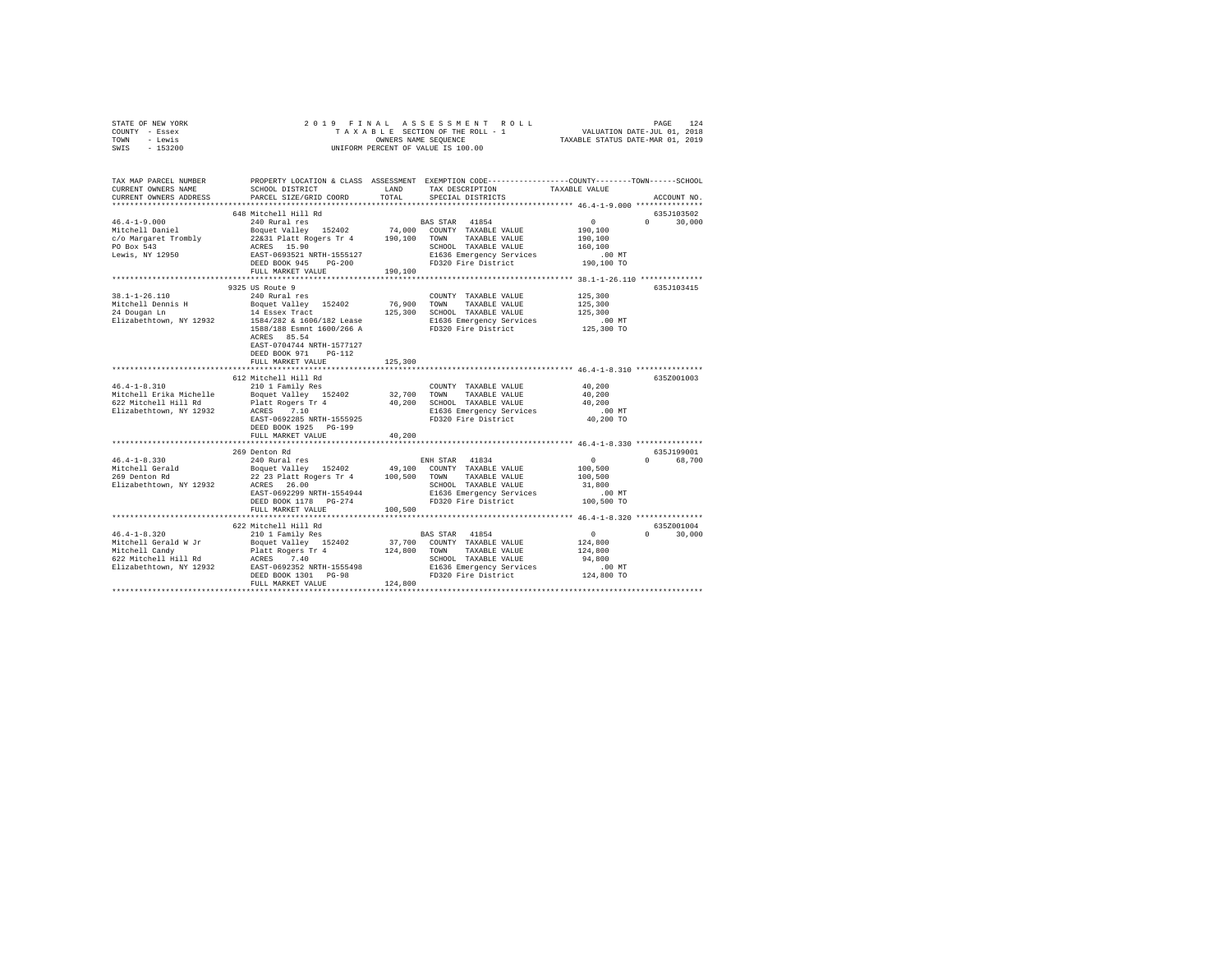| STATE OF NEW YORK                |                                                                                                                                                                                                                                                                                                                                                                                                                                   |              |                                                                                          |                  |               |
|----------------------------------|-----------------------------------------------------------------------------------------------------------------------------------------------------------------------------------------------------------------------------------------------------------------------------------------------------------------------------------------------------------------------------------------------------------------------------------|--------------|------------------------------------------------------------------------------------------|------------------|---------------|
| COUNTY - Essex                   |                                                                                                                                                                                                                                                                                                                                                                                                                                   |              |                                                                                          |                  |               |
| TOWN - Lewis                     |                                                                                                                                                                                                                                                                                                                                                                                                                                   |              |                                                                                          |                  |               |
| SWIS - 153200                    |                                                                                                                                                                                                                                                                                                                                                                                                                                   |              |                                                                                          |                  |               |
|                                  |                                                                                                                                                                                                                                                                                                                                                                                                                                   |              |                                                                                          |                  |               |
|                                  |                                                                                                                                                                                                                                                                                                                                                                                                                                   |              |                                                                                          |                  |               |
|                                  | TAX MAP PARCEL NUMBER PROPERTY LOCATION & CLASS ASSESSMENT EXEMPTION CODE---------------COUNTY-------TOWN------SCHOOL                                                                                                                                                                                                                                                                                                             |              |                                                                                          |                  |               |
| CURRENT OWNERS NAME              | SCHOOL DISTRICT LAND                                                                                                                                                                                                                                                                                                                                                                                                              |              | TAX DESCRIPTION                                                                          | TAXABLE VALUE    |               |
| CURRENT OWNERS ADDRESS           | PARCEL SIZE/GRID COORD                                                                                                                                                                                                                                                                                                                                                                                                            | TOTAL        | SPECIAL DISTRICTS                                                                        |                  | ACCOUNT NO.   |
|                                  |                                                                                                                                                                                                                                                                                                                                                                                                                                   |              |                                                                                          |                  |               |
|                                  | 648 Mitchell Hill Rd                                                                                                                                                                                                                                                                                                                                                                                                              |              |                                                                                          |                  | 635J103502    |
|                                  |                                                                                                                                                                                                                                                                                                                                                                                                                                   |              |                                                                                          | $\mathbf{0}$     | $0 \t 30,000$ |
|                                  |                                                                                                                                                                                                                                                                                                                                                                                                                                   |              |                                                                                          | 190,100          |               |
|                                  |                                                                                                                                                                                                                                                                                                                                                                                                                                   |              |                                                                                          | 190,100          |               |
|                                  |                                                                                                                                                                                                                                                                                                                                                                                                                                   |              |                                                                                          | 160,100          |               |
|                                  |                                                                                                                                                                                                                                                                                                                                                                                                                                   |              |                                                                                          | .00 MT           |               |
|                                  |                                                                                                                                                                                                                                                                                                                                                                                                                                   |              |                                                                                          | 190,100 TO       |               |
|                                  | FULL MARKET VALUE                                                                                                                                                                                                                                                                                                                                                                                                                 | 190,100      |                                                                                          |                  |               |
|                                  |                                                                                                                                                                                                                                                                                                                                                                                                                                   |              |                                                                                          |                  |               |
|                                  | 9325 US Route 9                                                                                                                                                                                                                                                                                                                                                                                                                   |              |                                                                                          |                  | 635J103415    |
| 38.1-1-26.110                    |                                                                                                                                                                                                                                                                                                                                                                                                                                   |              | COUNTY TAXABLE VALUE 125,300                                                             |                  |               |
|                                  |                                                                                                                                                                                                                                                                                                                                                                                                                                   |              |                                                                                          | 125,300          |               |
|                                  |                                                                                                                                                                                                                                                                                                                                                                                                                                   |              |                                                                                          | 125,300          |               |
|                                  |                                                                                                                                                                                                                                                                                                                                                                                                                                   |              |                                                                                          | .00MT            |               |
|                                  |                                                                                                                                                                                                                                                                                                                                                                                                                                   |              |                                                                                          | 125,300 TO       |               |
|                                  | ACRES 85.54                                                                                                                                                                                                                                                                                                                                                                                                                       |              |                                                                                          |                  |               |
|                                  | EAST-0704744 NRTH-1577127                                                                                                                                                                                                                                                                                                                                                                                                         |              |                                                                                          |                  |               |
|                                  | DEED BOOK 971 PG-112                                                                                                                                                                                                                                                                                                                                                                                                              |              |                                                                                          |                  |               |
|                                  | FULL MARKET VALUE                                                                                                                                                                                                                                                                                                                                                                                                                 | 125,300      |                                                                                          |                  |               |
|                                  |                                                                                                                                                                                                                                                                                                                                                                                                                                   | ************ | ********************************** 46.4-1-8.310 ****************                         |                  |               |
|                                  | 612 Mitchell Hill Rd                                                                                                                                                                                                                                                                                                                                                                                                              |              |                                                                                          |                  | 635Z001003    |
| $46.4 - 1 - 8.310$               | 210 1 Family Res                                                                                                                                                                                                                                                                                                                                                                                                                  |              | COUNTY TAXABLE VALUE                                                                     | 40,200           |               |
|                                  |                                                                                                                                                                                                                                                                                                                                                                                                                                   |              |                                                                                          | 40,200<br>40,200 |               |
|                                  |                                                                                                                                                                                                                                                                                                                                                                                                                                   |              |                                                                                          |                  |               |
|                                  |                                                                                                                                                                                                                                                                                                                                                                                                                                   |              |                                                                                          |                  |               |
|                                  | $\begin{tabular}{l c c c c c c} \hline \multicolumn{3}{c}{Mitchell} & \multicolumn{3}{c}{Erika Michael1e}& \multicolumn{3}{c}{Boquet~Vallley}& 152402& 32,700& TOWN& TAXABLE\ VALUE\\ \hline \multicolumn{3}{c}{622 Mitchell} & \multicolumn{3}{c}{HilR} & \multicolumn{3}{c}{Platt~Rogers~Tr} & 40,200& \multicolumn{3}{c}{SCH0OL} & \multicolumn{3}{c}{TXABLE~VALUE}\\ \hline \multicolumn{3}{c}{E1izabethttown, NY~12932} & \$ |              | E1636 Emergency Services .00 MT<br>FD320 Fire District 40,200 TO                         |                  |               |
|                                  | DEED BOOK 1925 PG-199                                                                                                                                                                                                                                                                                                                                                                                                             |              |                                                                                          |                  |               |
|                                  | FULL MARKET VALUE                                                                                                                                                                                                                                                                                                                                                                                                                 | 40,200       |                                                                                          |                  |               |
|                                  |                                                                                                                                                                                                                                                                                                                                                                                                                                   |              |                                                                                          |                  |               |
|                                  | 269 Denton Rd                                                                                                                                                                                                                                                                                                                                                                                                                     |              |                                                                                          |                  | 635J199001    |
| $46.4 - 1 - 8.330$               | 240 Rural res                                                                                                                                                                                                                                                                                                                                                                                                                     |              | ENH STAR 41834                                                                           | $\sim$ 0         | 0 68.700      |
| Mitchell Gerald<br>269 Denton Rd |                                                                                                                                                                                                                                                                                                                                                                                                                                   |              |                                                                                          | 100,500          |               |
|                                  |                                                                                                                                                                                                                                                                                                                                                                                                                                   |              |                                                                                          | 100,500          |               |
| Elizabethtown, NY 12932          | ENH STAR 41834<br>Boquet Valley 152402 49,100 COUNTY TAXABLE VALUE<br>22 23 Platt Rogers Tr 4 100,500 TOWN TAXABLE VALUE<br>ACRES 26.00 SCHOOL TAXARLE VALUE                                                                                                                                                                                                                                                                      |              | SCHOOL TAXABLE VALUE                                                                     |                  |               |
|                                  | EAST-0692299 NRTH-1554944                                                                                                                                                                                                                                                                                                                                                                                                         |              |                                                                                          |                  |               |
|                                  | DEED BOOK 1178 PG-274                                                                                                                                                                                                                                                                                                                                                                                                             |              | SCHOOL TAXABLE VALUE<br>E1636 Emergency Services 00 MT<br>FD320 Fire District 100,500 TO |                  |               |
|                                  | FULL MARKET VALUE                                                                                                                                                                                                                                                                                                                                                                                                                 | 100,500      |                                                                                          |                  |               |
|                                  |                                                                                                                                                                                                                                                                                                                                                                                                                                   |              |                                                                                          |                  |               |
|                                  | 622 Mitchell Hill Rd                                                                                                                                                                                                                                                                                                                                                                                                              |              |                                                                                          |                  | 635Z001004    |
|                                  |                                                                                                                                                                                                                                                                                                                                                                                                                                   |              |                                                                                          | $\overline{0}$   | $0 \t 30,000$ |
|                                  |                                                                                                                                                                                                                                                                                                                                                                                                                                   |              |                                                                                          | 124,800          |               |
|                                  |                                                                                                                                                                                                                                                                                                                                                                                                                                   |              |                                                                                          | 124,800          |               |
|                                  |                                                                                                                                                                                                                                                                                                                                                                                                                                   |              |                                                                                          | 94,800           |               |
|                                  |                                                                                                                                                                                                                                                                                                                                                                                                                                   |              |                                                                                          | $.00$ MT         |               |
|                                  | FULL MARKET VALUE 124,800                                                                                                                                                                                                                                                                                                                                                                                                         |              |                                                                                          | 124,800 TO       |               |
|                                  |                                                                                                                                                                                                                                                                                                                                                                                                                                   |              |                                                                                          |                  |               |
|                                  |                                                                                                                                                                                                                                                                                                                                                                                                                                   |              |                                                                                          |                  |               |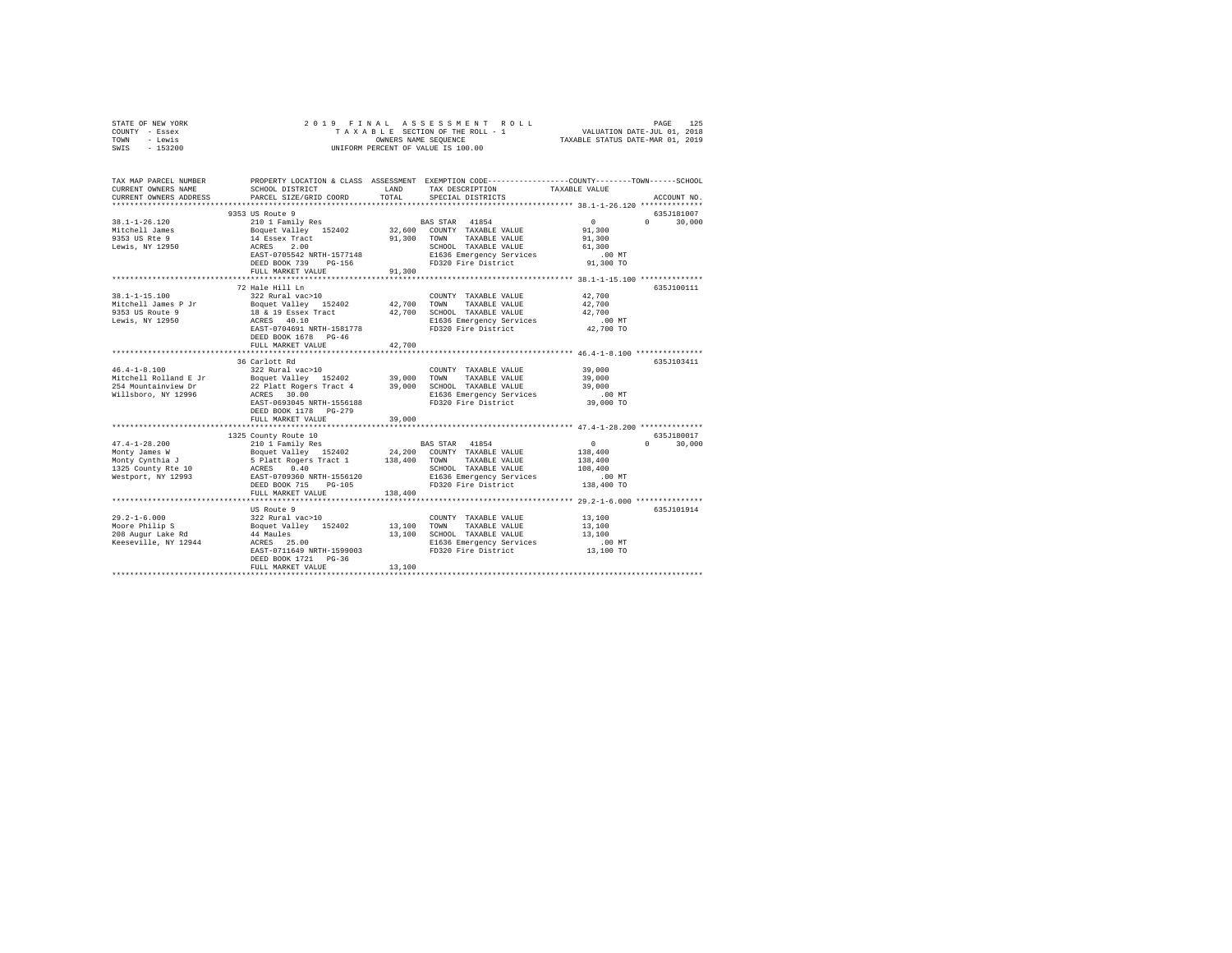| TOWN<br>- Lewis<br>SWIS<br>$-153200$                                                                | OWNERS NAME SEQUENCE<br>UNIFORM PERCENT OF VALUE IS 100.00                                                                                                                            |                                             |                                                                                                                                            | TAXABLE STATUS DATE-MAR 01, 2019                                                                                         |                                  |
|-----------------------------------------------------------------------------------------------------|---------------------------------------------------------------------------------------------------------------------------------------------------------------------------------------|---------------------------------------------|--------------------------------------------------------------------------------------------------------------------------------------------|--------------------------------------------------------------------------------------------------------------------------|----------------------------------|
| TAX MAP PARCEL NUMBER<br>CURRENT OWNERS NAME<br>CURRENT OWNERS ADDRESS                              | SCHOOL DISTRICT<br>PARCEL SIZE/GRID COORD                                                                                                                                             | LAND<br>TOTAL                               | PROPERTY LOCATION & CLASS ASSESSMENT EXEMPTION CODE---------------COUNTY-------TOWN------SCHOOL<br>TAX DESCRIPTION<br>SPECIAL DISTRICTS    | TAXABLE VALUE                                                                                                            | ACCOUNT NO.                      |
| $38.1 - 1 - 26.120$<br>Mitchell James<br>9353 US Rte 9<br>Lewis, NY 12950                           | 9353 US Route 9<br>210 1 Family Res<br>Boquet Valley 152402<br>14 Essex Tract<br>ACRES 2.00<br>EAST-0705542 NRTH-1577148<br>DEED BOOK 739<br>$PG-156$<br>FULL MARKET VALUE            | 32,600<br>91,300<br>91,300                  | BAS STAR 41854<br>COUNTY TAXABLE VALUE<br>TOWN<br>TAXABLE VALUE<br>SCHOOL TAXABLE VALUE<br>E1636 Emergency Services<br>FD320 Fire District | $\Omega$<br>91,300<br>91,300<br>61,300<br>$.00$ MT<br>91,300 TO                                                          | 635J181007<br>$\Omega$<br>30,000 |
| $38.1 - 1 - 15.100$<br>Mitchell James P Jr<br>9353 US Route 9<br>Lewis, NY 12950                    | 72 Hale Hill Ln<br>322 Rural vac>10<br>Boquet Valley 152402<br>18 & 19 Essex Tract<br>ACRES 40.10<br>EAST-0704691 NRTH-1581778<br>DEED BOOK 1678 PG-46<br>FULL MARKET VALUE           | 42,700<br>42,700<br>42,700                  | COUNTY TAXABLE VALUE<br>TOWN<br>TAXABLE VALUE<br>SCHOOL TAXABLE VALUE<br>E1636 Emergency Services<br>FD320 Fire District                   | 42,700<br>42,700<br>42,700<br>$.00$ MT<br>42,700 TO                                                                      | 635J100111                       |
| $46.4 - 1 - 8.100$<br>Mitchell Rolland E Jr<br>254 Mountainview Dr<br>Willsboro, NY 12996           | 36 Carlott Rd<br>322 Rural vac>10<br>Boquet Valley 152402<br>22 Platt Rogers Tract 4<br>ACRES 30.00<br>EAST-0693045 NRTH-1556188<br>DEED BOOK 1178 PG-279<br>FULL MARKET VALUE        | 39,000<br>39,000<br>39,000                  | COUNTY TAXABLE VALUE<br>TOWN<br>TAXABLE VALUE<br>SCHOOL TAXABLE VALUE<br>E1636 Emergency Services<br>FD320 Fire District                   | 39,000<br>39,000<br>39,000<br>$.00$ MT<br>39,000 TO                                                                      | 635J103411                       |
| $47.4 - 1 - 28.200$<br>Monty James W<br>Monty Cynthia J<br>1325 County Rte 10<br>Westport, NY 12993 | 1325 County Route 10<br>210 1 Family Res<br>Boquet Valley 152402<br>5 Platt Rogers Tract 1<br>0.40<br>ACRES<br>EAST-0709360 NRTH-1556120<br>DEED BOOK 715 PG-105<br>FULL MARKET VALUE | ***********<br>24,200<br>138,400<br>138,400 | BAS STAR 41854<br>COUNTY TAXABLE VALUE<br>TOWN TAXABLE VALUE<br>SCHOOL TAXABLE VALUE<br>E1636 Emergency Services<br>FD320 Fire District    | **************** 47.4-1-28.200 **************<br>$\overline{0}$<br>138,400<br>138,400<br>108,400<br>.00 MT<br>138,400 TO | 635J180017<br>$\Omega$<br>30,000 |
| $29.2 - 1 - 6.000$<br>Moore Philip S<br>208 Augur Lake Rd<br>Keeseville, NY 12944                   | US Route 9<br>322 Rural vac>10<br>Boquet Valley 152402<br>44 Maules<br>ACRES 25.00<br>EAST-0711649 NRTH-1599003<br>DEED BOOK 1721 PG-36<br>FULL MARKET VALUE                          | 13,100<br>13,100<br>13,100                  | COUNTY TAXABLE VALUE<br>TOWN<br>TAXABLE VALUE<br>SCHOOL TAXABLE VALUE<br>E1636 Emergency Services<br>FD320 Fire District                   | 13,100<br>13,100<br>13,100<br>.00MT<br>13,100 TO                                                                         | 635J101914                       |

STATE OF NEW YORK 2 0 1 9 F I N A L A S S E S S M E N T R O L L PAGE 125 COUNTY - Essex T A X A B L E SECTION OF THE ROLL - 1 VALUATION DATE-JUL 01, 2018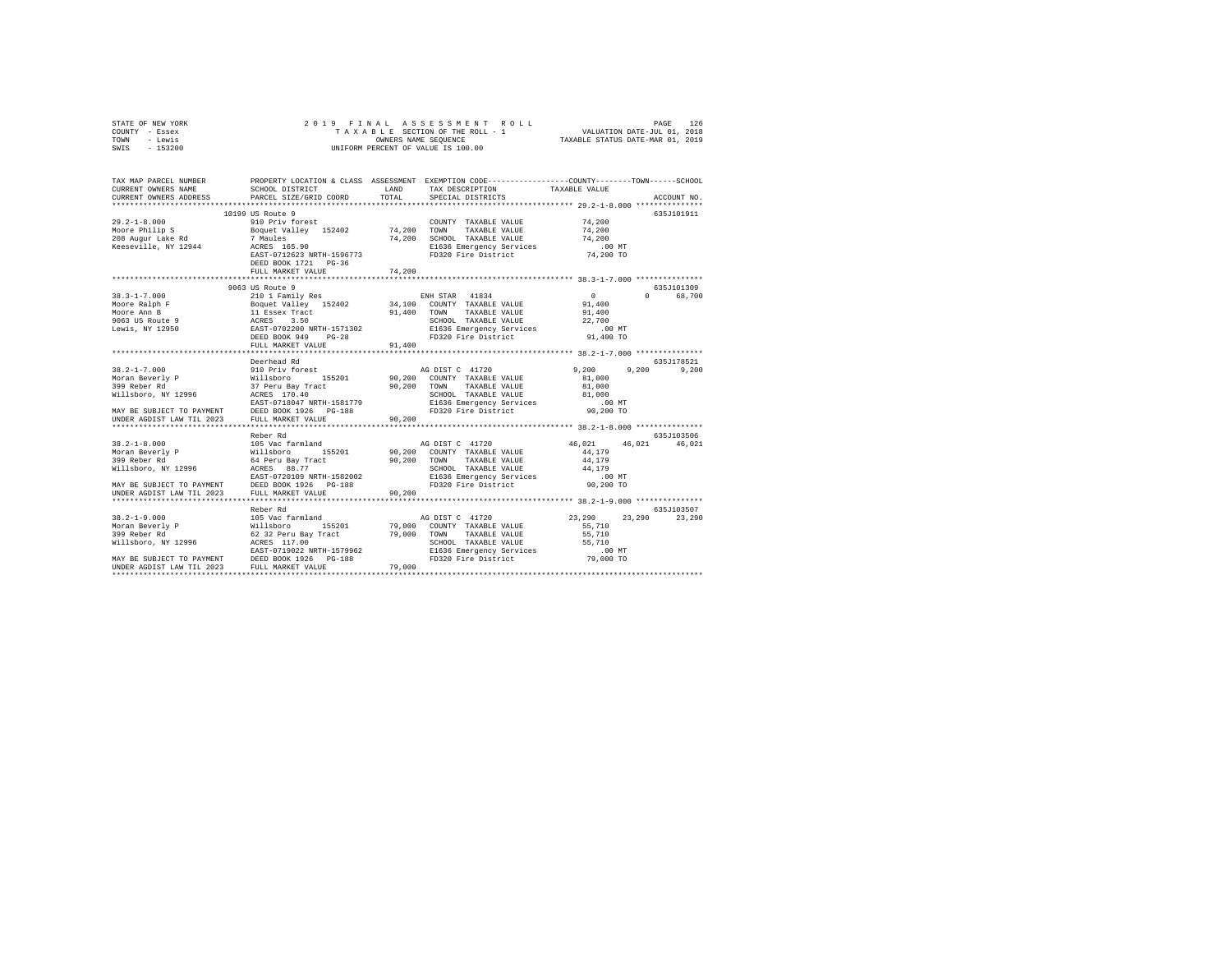| STATE OF NEW YORK | 2019 FINAL ASSESSMENT ROLL         | 126<br>PAGE                      |
|-------------------|------------------------------------|----------------------------------|
| COUNTY - Essex    | TAXABLE SECTION OF THE ROLL - 1    | VALUATION DATE-JUL 01, 2018      |
| - Lewis<br>TOWN   | OWNERS NAME SEOUENCE               | TAXABLE STATUS DATE-MAR 01, 2019 |
| $-153200$<br>SWIS | UNIFORM PERCENT OF VALUE IS 100.00 |                                  |
|                   |                                    |                                  |

| TAX MAP PARCEL NUMBER<br>CURRENT OWNERS NAME<br>CURRENT OWNERS ADDRESS                                                                                                                            | SCHOOL DISTRICT<br>PARCEL SIZE/GRID COORD                                  | LAND<br>TOTAL | PROPERTY LOCATION & CLASS ASSESSMENT EXEMPTION CODE----------------COUNTY-------TOWN-----SCHOOL<br>TAX DESCRIPTION<br>SPECIAL DISTRICTS                                                                                                                                                                                                                         | TAXABLE VALUE        | ACCOUNT NO.      |
|---------------------------------------------------------------------------------------------------------------------------------------------------------------------------------------------------|----------------------------------------------------------------------------|---------------|-----------------------------------------------------------------------------------------------------------------------------------------------------------------------------------------------------------------------------------------------------------------------------------------------------------------------------------------------------------------|----------------------|------------------|
|                                                                                                                                                                                                   |                                                                            |               |                                                                                                                                                                                                                                                                                                                                                                 |                      |                  |
|                                                                                                                                                                                                   | 10199 US Route 9                                                           |               |                                                                                                                                                                                                                                                                                                                                                                 |                      | 635J101911       |
| $29.2 - 1 - 8.000$                                                                                                                                                                                | 910 Priv forest                                                            |               | COUNTY TAXABLE VALUE                                                                                                                                                                                                                                                                                                                                            | 74,200               |                  |
| 29.4-1-8.000 Mooguet Valley 152402 74,200 TOWN<br>Moore Philip State 1 7 Maules 76,200 SCHOO 76,200<br>208 Augur Lake Rd 7 Maules 74,200 SCHOO 74,200 76,200<br>Reserville, NY 12944 ACRES 165.90 |                                                                            |               | TAXABLE VALUE 74,200                                                                                                                                                                                                                                                                                                                                            |                      |                  |
|                                                                                                                                                                                                   |                                                                            |               | 74,200 SCHOOL TAXABLE VALUE<br>E1636 Emergency Services                                                                                                                                                                                                                                                                                                         | 74,200               |                  |
|                                                                                                                                                                                                   |                                                                            |               |                                                                                                                                                                                                                                                                                                                                                                 | .00MT                |                  |
|                                                                                                                                                                                                   | EAST-0712623 NRTH-1596773                                                  |               | FD320 Fire District                                                                                                                                                                                                                                                                                                                                             | 74,200 TO            |                  |
|                                                                                                                                                                                                   | DEED BOOK 1721 PG-36                                                       |               |                                                                                                                                                                                                                                                                                                                                                                 |                      |                  |
|                                                                                                                                                                                                   | FULL MARKET VALUE                                                          | 74,200        |                                                                                                                                                                                                                                                                                                                                                                 |                      |                  |
|                                                                                                                                                                                                   |                                                                            |               |                                                                                                                                                                                                                                                                                                                                                                 |                      |                  |
|                                                                                                                                                                                                   | 9063 US Route 9                                                            |               |                                                                                                                                                                                                                                                                                                                                                                 |                      | 635J101309       |
| $38.3 - 1 - 7.000$                                                                                                                                                                                | 210 1 Family Res                                                           |               | ENH STAR 41834                                                                                                                                                                                                                                                                                                                                                  | $\sim$ 0             | $\cap$<br>68,700 |
| Moore Ralph F<br>"Anno Ann B                                                                                                                                                                      |                                                                            |               |                                                                                                                                                                                                                                                                                                                                                                 | 91,400               |                  |
|                                                                                                                                                                                                   |                                                                            |               |                                                                                                                                                                                                                                                                                                                                                                 | 91,400               |                  |
| 9063 US Route 9<br>Lewis, NY 12950                                                                                                                                                                |                                                                            |               | SCHOOL TAXABLE VALUE 22,700<br>E1636 Emergency Services .00 MT                                                                                                                                                                                                                                                                                                  |                      |                  |
|                                                                                                                                                                                                   |                                                                            |               |                                                                                                                                                                                                                                                                                                                                                                 |                      |                  |
|                                                                                                                                                                                                   | $PG-28$<br>DEED BOOK 949                                                   |               | FD320 Fire District 91,400 TO                                                                                                                                                                                                                                                                                                                                   |                      |                  |
|                                                                                                                                                                                                   | FULL MARKET VALUE                                                          | 91,400        |                                                                                                                                                                                                                                                                                                                                                                 |                      |                  |
|                                                                                                                                                                                                   |                                                                            |               |                                                                                                                                                                                                                                                                                                                                                                 |                      |                  |
|                                                                                                                                                                                                   | Deerhead Rd                                                                |               |                                                                                                                                                                                                                                                                                                                                                                 |                      | 635J178521       |
| $38.2 - 1 - 7.000$                                                                                                                                                                                | 910 Priv forest                                                            |               | AG DIST C 41720<br>90,200 COUNTY TAXABLE VALUE                                                                                                                                                                                                                                                                                                                  | 9,200                | 9,200<br>9.200   |
| Moran Beverly P                                                                                                                                                                                   | Willsboro 155201                                                           |               |                                                                                                                                                                                                                                                                                                                                                                 | 81,000               |                  |
| 399 Reber Rd                                                                                                                                                                                      | 37 Peru Bay Tract 50,200 TOWN ACRES 170.40                                 |               | TAXABLE VALUE                                                                                                                                                                                                                                                                                                                                                   | 81,000               |                  |
| Willsboro, NY 12996                                                                                                                                                                               |                                                                            |               |                                                                                                                                                                                                                                                                                                                                                                 |                      |                  |
| MAY BE SUBJECT TO PAYMENT DEED BOOK 1926 PG-188                                                                                                                                                   |                                                                            |               |                                                                                                                                                                                                                                                                                                                                                                 |                      |                  |
|                                                                                                                                                                                                   |                                                                            |               | 37 Peru Bay rract $\begin{array}{l} 37.644 \text{ N} & 10.00 \\ \text{ACRES} & 10.40 \\ \text{RAST} & 10.40 \\ \text{PAST} & 10.40 \\ \text{PAST} & 10.40 \\ \text{RIST} & 1926 \text{ NRT} & -1581779 \\ \text{NRT} & 1926 \text{ N} & 10.8 \\ \text{PGF} & 10.8 \\ \text{PGF} & 10.8 \\ \text{PGF} & 10.8 \\ \text{PGF} & 10.8 \\ \text{PGF} & 10.8 \\ \text$ |                      |                  |
| UNDER AGDIST LAW TIL 2023                                                                                                                                                                         | FULL MARKET VALUE                                                          | 90, 200       |                                                                                                                                                                                                                                                                                                                                                                 |                      |                  |
|                                                                                                                                                                                                   |                                                                            |               |                                                                                                                                                                                                                                                                                                                                                                 |                      |                  |
|                                                                                                                                                                                                   | Reber Rd                                                                   |               |                                                                                                                                                                                                                                                                                                                                                                 |                      | 635J103506       |
| $38.2 - 1 - 8.000$                                                                                                                                                                                | 105 Vac farmland                                                           |               | AG DIST C 41720                                                                                                                                                                                                                                                                                                                                                 | 46.021 46.021 46.021 |                  |
| Moran Beverly P                                                                                                                                                                                   | Willsboro 155201 90,200 COUNTY TAXABLE VALUE                               |               |                                                                                                                                                                                                                                                                                                                                                                 | 44,179               |                  |
| 399 Reber Rd                                                                                                                                                                                      | 64 Peru Bay Tract<br>ACRES 88 77                                           | 90,200 TOWN   | TAXABLE VALUE<br>SCHOOL TAXABLE VALUE                                                                                                                                                                                                                                                                                                                           | 44,179<br>44,179     |                  |
| Willsboro, NY 12996                                                                                                                                                                               |                                                                            |               |                                                                                                                                                                                                                                                                                                                                                                 |                      |                  |
| MAY BE SUBJECT TO PAYMENT                                                                                                                                                                         | EAST-0720109 NRTH-1582002<br>DEED ROOK 1906 -----<br>DEED BOOK 1926 PG-188 |               | E1636 Emergency Services 6.00 MT<br>FD320 Fire District 90,200 TO                                                                                                                                                                                                                                                                                               |                      |                  |
| UNDER AGDIST LAW TIL 2023                                                                                                                                                                         | FULL MARKET VALUE                                                          | 90,200        |                                                                                                                                                                                                                                                                                                                                                                 |                      |                  |
|                                                                                                                                                                                                   |                                                                            |               |                                                                                                                                                                                                                                                                                                                                                                 |                      |                  |
|                                                                                                                                                                                                   | Reber Rd                                                                   |               |                                                                                                                                                                                                                                                                                                                                                                 |                      | 635J103507       |
| $38.2 - 1 - 9.000$                                                                                                                                                                                | 105 Vac farmland                                                           |               | AG DIST C 41720                                                                                                                                                                                                                                                                                                                                                 | 23,290               | 23.290 23.290    |
|                                                                                                                                                                                                   | 103<br>Willsboro 155201<br>62 32 Peru Bay Tract<br>-- 117.00               |               |                                                                                                                                                                                                                                                                                                                                                                 | 55,710               |                  |
| Moran Beverly P<br>399 Reber Rd<br>399 Reber Rd                                                                                                                                                   |                                                                            |               | 79,000 COUNTY TAXABLE VALUE<br>79,000 TOWN TAXABLE VALUE                                                                                                                                                                                                                                                                                                        | 55,710               |                  |
| Willsboro, NY 12996                                                                                                                                                                               |                                                                            |               |                                                                                                                                                                                                                                                                                                                                                                 |                      |                  |
|                                                                                                                                                                                                   |                                                                            |               |                                                                                                                                                                                                                                                                                                                                                                 |                      |                  |
|                                                                                                                                                                                                   |                                                                            |               |                                                                                                                                                                                                                                                                                                                                                                 |                      |                  |
| MAY BE SUBJECT TO PAYMENT DEED BOOK 1926 PG-188<br>UNDER AGDIST LAW TIL 2023 FULL MARKET VALUE                                                                                                    |                                                                            | 79,000        | 62 32 Peru Bay Irac.<br>ACRES 117.00<br>EAST-0719022 NRTH-1579962 BI636 Emergency Services<br>PAST-0719022 NRTH-1579962 PD320 Fire District 79,000 TO                                                                                                                                                                                                           |                      |                  |
|                                                                                                                                                                                                   |                                                                            |               |                                                                                                                                                                                                                                                                                                                                                                 |                      |                  |
|                                                                                                                                                                                                   |                                                                            |               |                                                                                                                                                                                                                                                                                                                                                                 |                      |                  |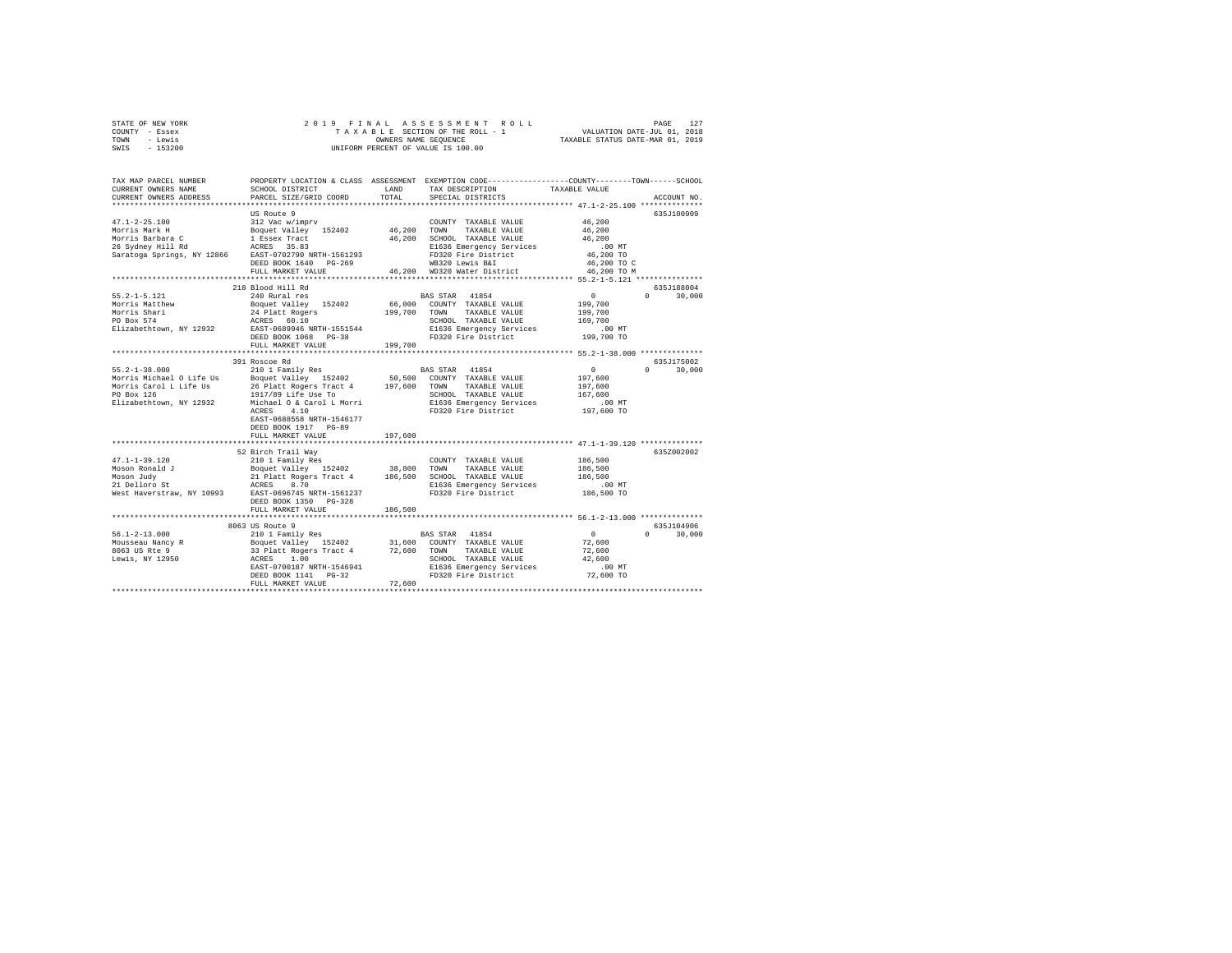| STATE OF NEW YORK | 2019 FINAL ASSESSMENT ROLL         | 127<br>PAGE                      |
|-------------------|------------------------------------|----------------------------------|
| COUNTY - Essex    | TAXABLE SECTION OF THE ROLL - 1    | VALUATION DATE-JUL 01, 2018      |
| TOWN<br>- Lewis   | OWNERS NAME SEOUENCE               | TAXABLE STATUS DATE-MAR 01, 2019 |
| $-153200$<br>SWIS | UNIFORM PERCENT OF VALUE IS 100.00 |                                  |

| TAX MAP PARCEL NUMBER<br>CURRENT OWNERS NAME<br>CURRENT OWNERS ADDRESS                                                                                                                                                                 | SCHOOL DISTRICT<br>PARCEL SIZE/GRID COORD                                                                                                                    | LAND<br>TOTAL. | PROPERTY LOCATION & CLASS ASSESSMENT EXEMPTION CODE----------------COUNTY-------TOWN-----SCHOOL<br>TAX DESCRIPTION<br>SPECIAL DISTRICTS | TAXABLE VALUE                               | ACCOUNT NO.            |
|----------------------------------------------------------------------------------------------------------------------------------------------------------------------------------------------------------------------------------------|--------------------------------------------------------------------------------------------------------------------------------------------------------------|----------------|-----------------------------------------------------------------------------------------------------------------------------------------|---------------------------------------------|------------------------|
|                                                                                                                                                                                                                                        |                                                                                                                                                              |                |                                                                                                                                         |                                             |                        |
|                                                                                                                                                                                                                                        | US Route 9                                                                                                                                                   |                |                                                                                                                                         |                                             | 635J100909             |
| $47.1 - 2 - 25.100$                                                                                                                                                                                                                    | 312 Vac w/imprv                                                                                                                                              |                | COUNTY TAXABLE VALUE                                                                                                                    | 46,200                                      |                        |
| Morris Mark H                                                                                                                                                                                                                          | Boquet Valley 152402<br>1 Essex Tract<br>ACRES 35.83                                                                                                         |                | 46,200 TOWN TAXABLE VALUE                                                                                                               | 46,200                                      |                        |
| Morris Barbara C                                                                                                                                                                                                                       |                                                                                                                                                              |                | 46,200 SCHOOL TAXABLE VALUE                                                                                                             | 46,200                                      |                        |
| 26 Sydney Hill Rd                                                                                                                                                                                                                      |                                                                                                                                                              |                | E1636 Emergency Services                                                                                                                | .00 MT                                      |                        |
| Saratoga Springs, NY 12866 EAST-0702790 NRTH-1561293                                                                                                                                                                                   |                                                                                                                                                              |                | FD320 Fire District                                                                                                                     | 46,200 TO                                   |                        |
|                                                                                                                                                                                                                                        | DEED BOOK 1640 PG-269                                                                                                                                        |                | WB320 Lewis B&I                                                                                                                         | 46,200 TO C                                 |                        |
|                                                                                                                                                                                                                                        | FULL MARKET VALUE                                                                                                                                            |                | 46,200 WD320 Water District                                                                                                             | 46,200 TO M                                 |                        |
|                                                                                                                                                                                                                                        | 218 Blood Hill Rd                                                                                                                                            |                |                                                                                                                                         | **************** 55.2-1-5.121 ************* | 635J188004             |
| $55.2 - 1 - 5.121$                                                                                                                                                                                                                     | 240 Rural res                                                                                                                                                |                | BAS STAR 41854                                                                                                                          |                                             | 30,000<br>$\mathbf{a}$ |
| Morris Matthew                                                                                                                                                                                                                         |                                                                                                                                                              |                | 66,000 COUNTY TAXABLE VALUE                                                                                                             | $\sim$                                      |                        |
| Morris Shari                                                                                                                                                                                                                           |                                                                                                                                                              |                | 199,700 TOWN TAXABLE VALUE                                                                                                              | 199,700                                     |                        |
| PO Box 574                                                                                                                                                                                                                             | Boquet Valley 152402<br>24 Platt Rogers<br>ACRES 60.10                                                                                                       |                |                                                                                                                                         | 199,700<br>169,700                          |                        |
|                                                                                                                                                                                                                                        | EAST-0689946 NRTH-1551544                                                                                                                                    |                | SCHOOL TAXABLE VALUE<br>E1636 Emergency Services                                                                                        | $.00$ MT                                    |                        |
| Elizabethtown, NY 12932                                                                                                                                                                                                                | DEED BOOK 1068 PG-38                                                                                                                                         |                |                                                                                                                                         | 199,700 TO                                  |                        |
|                                                                                                                                                                                                                                        | FULL MARKET VALUE                                                                                                                                            | 199,700        | FD320 Fire District                                                                                                                     |                                             |                        |
|                                                                                                                                                                                                                                        |                                                                                                                                                              |                |                                                                                                                                         |                                             |                        |
|                                                                                                                                                                                                                                        | 391 Roscoe Rd                                                                                                                                                |                |                                                                                                                                         |                                             | 635J175002             |
| $55.2 - 1 - 38.000$                                                                                                                                                                                                                    | 210 1 Family Res                                                                                                                                             |                | BAS STAR 41854                                                                                                                          | $\sim$ 0                                    | $0 \t 30,000$          |
|                                                                                                                                                                                                                                        |                                                                                                                                                              |                |                                                                                                                                         | 197,600                                     |                        |
|                                                                                                                                                                                                                                        |                                                                                                                                                              |                |                                                                                                                                         | 197,600                                     |                        |
| Morris Michael O Life Us Boquet Valley 152402 50,500 COUNTY TAXABLE VALUE<br>1997 Norris Carol L Life Us 26 Platt Rogers Tract 4 197,600 TONN TAXABLE VALUE<br>1998 TO Box 126 1917/89 Life Use To 1917/600 SCHOOL TAXABLE VALUE       |                                                                                                                                                              |                | SCHOOL TAXABLE VALUE                                                                                                                    | 167.600                                     |                        |
| Elizabethtown, NY 12932                                                                                                                                                                                                                | Michael O & Carol L Morri                                                                                                                                    |                | E1636 Emergency Services                                                                                                                | .00 MT                                      |                        |
|                                                                                                                                                                                                                                        | ACRES 4.10                                                                                                                                                   |                | FD320 Fire District                                                                                                                     | 197,600 TO                                  |                        |
|                                                                                                                                                                                                                                        | EAST-0688558 NRTH-1546177                                                                                                                                    |                |                                                                                                                                         |                                             |                        |
|                                                                                                                                                                                                                                        | DEED BOOK 1917 PG-89                                                                                                                                         |                |                                                                                                                                         |                                             |                        |
|                                                                                                                                                                                                                                        | FULL MARKET VALUE                                                                                                                                            | 197,600        |                                                                                                                                         |                                             |                        |
|                                                                                                                                                                                                                                        | *************************                                                                                                                                    |                |                                                                                                                                         |                                             |                        |
|                                                                                                                                                                                                                                        | 52 Birch Trail Way                                                                                                                                           |                |                                                                                                                                         |                                             | 635Z002002             |
| $47.1 - 1 - 39.120$                                                                                                                                                                                                                    | 210 1 Family Res                                                                                                                                             |                | COUNTY TAXABLE VALUE                                                                                                                    | 186,500                                     |                        |
|                                                                                                                                                                                                                                        |                                                                                                                                                              |                |                                                                                                                                         | 186,500                                     |                        |
|                                                                                                                                                                                                                                        |                                                                                                                                                              |                |                                                                                                                                         | 186,500                                     |                        |
|                                                                                                                                                                                                                                        |                                                                                                                                                              |                |                                                                                                                                         | $.00$ MT                                    |                        |
| Moson Ronald J<br>21 Death Rogers Tract 4 186,500 COWN TAXABLE VALUE<br>21 Delloro St 21 Delloro St 21 Delloro St 21 Delloro St 21 Delloro St 21 Delloro St<br>21 Delloro St 20 ACRES 8.70 SCREE ENGINEER PERSON SERVICES<br>21 Dellor |                                                                                                                                                              |                | E1636 Emergency Services<br>FD320 Fire District                                                                                         | $186,500$ TO                                |                        |
|                                                                                                                                                                                                                                        | DEED BOOK 1350 PG-328                                                                                                                                        |                |                                                                                                                                         |                                             |                        |
|                                                                                                                                                                                                                                        | FULL MARKET VALUE                                                                                                                                            | 186,500        |                                                                                                                                         |                                             |                        |
|                                                                                                                                                                                                                                        |                                                                                                                                                              |                |                                                                                                                                         |                                             |                        |
|                                                                                                                                                                                                                                        | 8063 US Route 9                                                                                                                                              |                |                                                                                                                                         |                                             | 635J104906             |
| $56.1 - 2 - 13.000$                                                                                                                                                                                                                    | 210 1 Family Res                                                                                                                                             |                | <b>BAS STAR</b> 41854                                                                                                                   | $\sim$ 0                                    | $\Omega$<br>30,000     |
| Mousseau Nancy R                                                                                                                                                                                                                       | Arvice Valley 152402 31,600 COUNTY TAXABLE VALUE<br>33 Platt Rogers Tract 4 72,600 TOWN TAXABLE VALUE<br>33 Platt Rogers Tract 4 72,600 SCHOOL TAXABLE VALUE |                |                                                                                                                                         | 72,600                                      |                        |
| 8063 US Rte 9                                                                                                                                                                                                                          |                                                                                                                                                              |                |                                                                                                                                         | 72,600                                      |                        |
| Lewis, NY 12950                                                                                                                                                                                                                        |                                                                                                                                                              |                | SCHOOL TAXABLE VALUE                                                                                                                    | 42,600                                      |                        |
|                                                                                                                                                                                                                                        | EAST-0700187 NRTH-1546941                                                                                                                                    |                | E1636 Emergency Services 6.00 MT<br>FD320 Fire District 6.00 TO 72,600 TO                                                               |                                             |                        |
|                                                                                                                                                                                                                                        | DEED BOOK 1141 PG-32                                                                                                                                         |                |                                                                                                                                         |                                             |                        |
|                                                                                                                                                                                                                                        | FULL MARKET VALUE                                                                                                                                            | 72,600         |                                                                                                                                         |                                             |                        |
|                                                                                                                                                                                                                                        |                                                                                                                                                              |                |                                                                                                                                         |                                             |                        |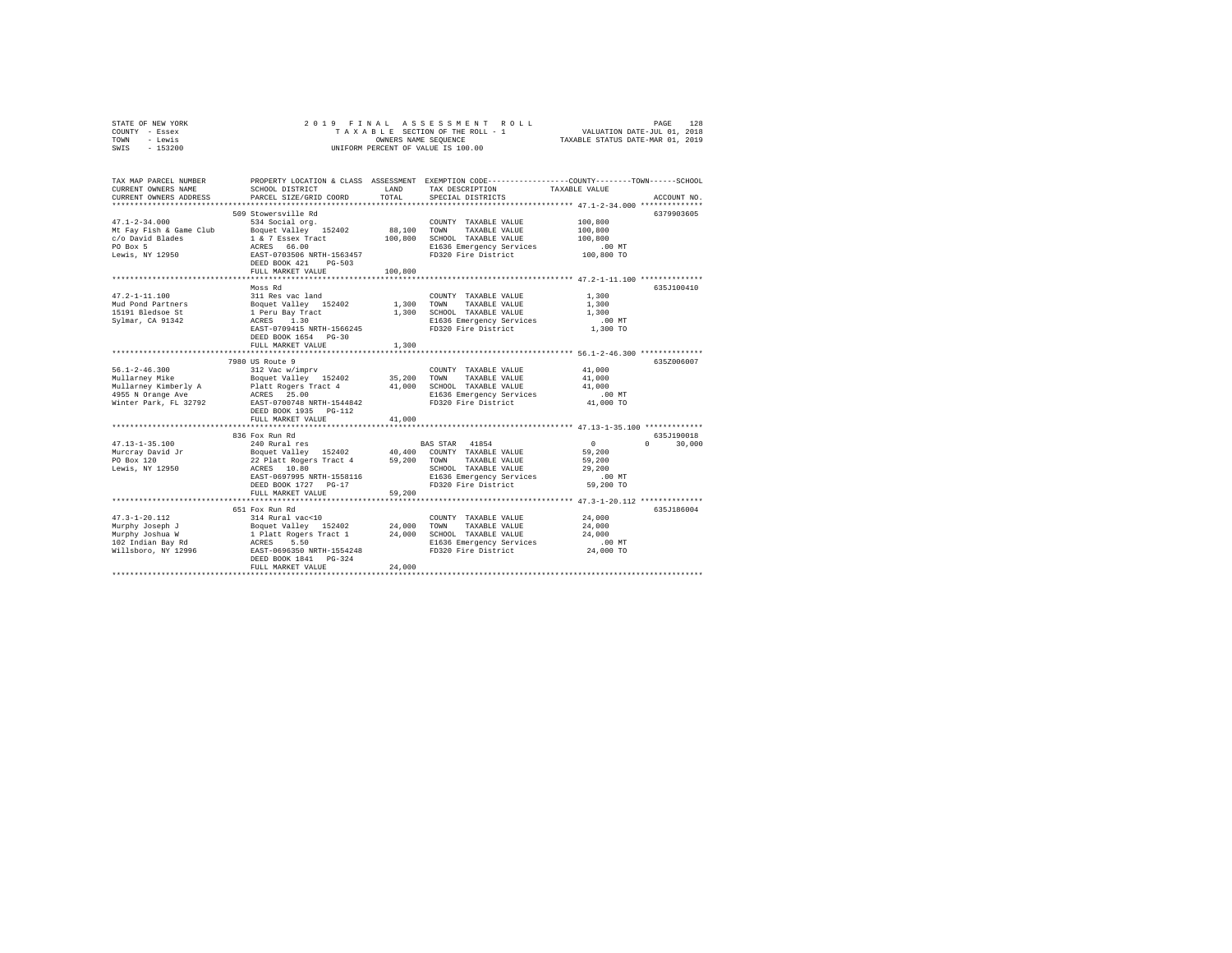| TOWN<br>- Lewis<br>$-153200$<br>SWIS                                                                        | OWNERS NAME SEQUENCE<br>UNIFORM PERCENT OF VALUE IS 100.00                                                                                                                        |                              |                                                                                                                                            | TAXABLE STATUS DATE-MAR 01, 2019                                           |                      |
|-------------------------------------------------------------------------------------------------------------|-----------------------------------------------------------------------------------------------------------------------------------------------------------------------------------|------------------------------|--------------------------------------------------------------------------------------------------------------------------------------------|----------------------------------------------------------------------------|----------------------|
| TAX MAP PARCEL NUMBER<br>CURRENT OWNERS NAME<br>CURRENT OWNERS ADDRESS                                      | SCHOOL DISTRICT<br>PARCEL SIZE/GRID COORD                                                                                                                                         | LAND<br>TOTAL.               | PROPERTY LOCATION & CLASS ASSESSMENT EXEMPTION CODE---------------COUNTY-------TOWN------SCHOOL<br>TAX DESCRIPTION<br>SPECIAL DISTRICTS    | TAXABLE VALUE                                                              | ACCOUNT NO.          |
| $47.1 - 2 - 34.000$<br>Mt Fay Fish & Game Club<br>c/o David Blades<br>PO Box 5<br>Lewis, NY 12950           | 509 Stowersville Rd<br>534 Social org.<br>Boquet Valley 152402<br>1 & 7 Essex Tract<br>ACRES 66.00<br>EAST-0703506 NRTH-1563457<br>DEED BOOK 421<br>$PG-503$<br>FULL MARKET VALUE | 88,100<br>100,800<br>100,800 | COUNTY TAXABLE VALUE<br>TOWN<br>TAXABLE VALUE<br>SCHOOL TAXABLE VALUE<br>E1636 Emergency Services<br>FD320 Fire District                   | 100,800<br>100,800<br>100,800<br>.00MT<br>100,800 TO                       | 6379903605           |
|                                                                                                             | Moss Rd                                                                                                                                                                           |                              |                                                                                                                                            |                                                                            | 635J100410           |
| $47.2 - 1 - 11.100$<br>Mud Pond Partners<br>15191 Bledsoe St<br>Sylmar, CA 91342                            | 311 Res vac land<br>Boquet Valley 152402<br>1 Peru Bay Tract<br>ACRES 1.30<br>EAST-0709415 NRTH-1566245<br>DEED BOOK 1654 PG-30<br>FULL MARKET VALUE                              | 1,300<br>1,300<br>1,300      | COUNTY TAXABLE VALUE<br>TOWN<br>TAXABLE VALUE<br>SCHOOL TAXABLE VALUE<br>E1636 Emergency Services<br>FD320 Fire District                   | 1,300<br>1,300<br>1,300<br>$.00$ MT<br>1,300 TO                            |                      |
|                                                                                                             |                                                                                                                                                                                   |                              |                                                                                                                                            |                                                                            |                      |
| $56.1 - 2 - 46.300$<br>Mullarney Mike<br>Mullarney Kimberly A<br>4955 N Orange Ave<br>Winter Park, FL 32792 | 7980 US Route 9<br>312 Vac w/imprv<br>Boquet Valley 152402<br>Platt Rogers Tract 4<br>ACRES 25.00<br>EAST-0700748 NRTH-1544842<br>DEED BOOK 1935 PG-112                           | 35,200<br>41,000             | COUNTY TAXABLE VALUE<br>TOWN<br>TAXABLE VALUE<br>SCHOOL TAXABLE VALUE<br>E1636 Emergency Services<br>FD320 Fire District                   | 41,000<br>41,000<br>41,000<br>.00MT<br>41,000 TO                           | 635Z006007           |
|                                                                                                             | FULL MARKET VALUE                                                                                                                                                                 | 41,000                       |                                                                                                                                            | ************ 47.13-1-35.100 *************                                  |                      |
| $47.13 - 1 - 35.100$<br>Murcray David Jr<br>PO Box 120<br>Lewis, NY 12950                                   | 836 Fox Run Rd<br>240 Rural res<br>Boquet Valley 152402<br>22 Platt Rogers Tract 4<br>ACRES 10.80<br>EAST-0697995 NRTH-1558116<br>DEED BOOK 1727 PG-17<br>FULL MARKET VALUE       | 40,400<br>59,200<br>59,200   | BAS STAR 41854<br>COUNTY TAXABLE VALUE<br>TAXABLE VALUE<br>TOWN<br>SCHOOL TAXABLE VALUE<br>E1636 Emergency Services<br>FD320 Fire District | $\circ$<br>$\Omega$<br>59,200<br>59,200<br>29,200<br>$.00$ MT<br>59,200 TO | 635J190018<br>30,000 |
|                                                                                                             |                                                                                                                                                                                   |                              | ***************************** 47.3-1-20.112 **************                                                                                 |                                                                            |                      |
| $47.3 - 1 - 20.112$<br>Murphy Joseph J<br>Murphy Joshua W<br>102 Indian Bay Rd<br>Willsboro, NY 12996       | 651 Fox Run Rd<br>314 Rural vac<10<br>Boquet Valley 152402<br>1 Platt Rogers Tract 1<br>5.50<br>ACRES<br>EAST-0696350 NRTH-1554248<br>DEED BOOK 1841 PG-324<br>FULL MARKET VALUE  | 24,000<br>24,000<br>24,000   | COUNTY TAXABLE VALUE<br>TOWN<br>TAXABLE VALUE<br>SCHOOL TAXABLE VALUE<br>E1636 Emergency Services<br>FD320 Fire District                   | 24,000<br>24,000<br>24,000<br>.00MT<br>24,000 TO                           | 635J186004           |

STATE OF NEW YORK 2 0 1 9 F I N A L A S S E S S M E N T R O L L PAGE 128 COUNTY - Essex T A X A B L E SECTION OF THE ROLL - 1 VALUATION DATE-JUL 01, 2018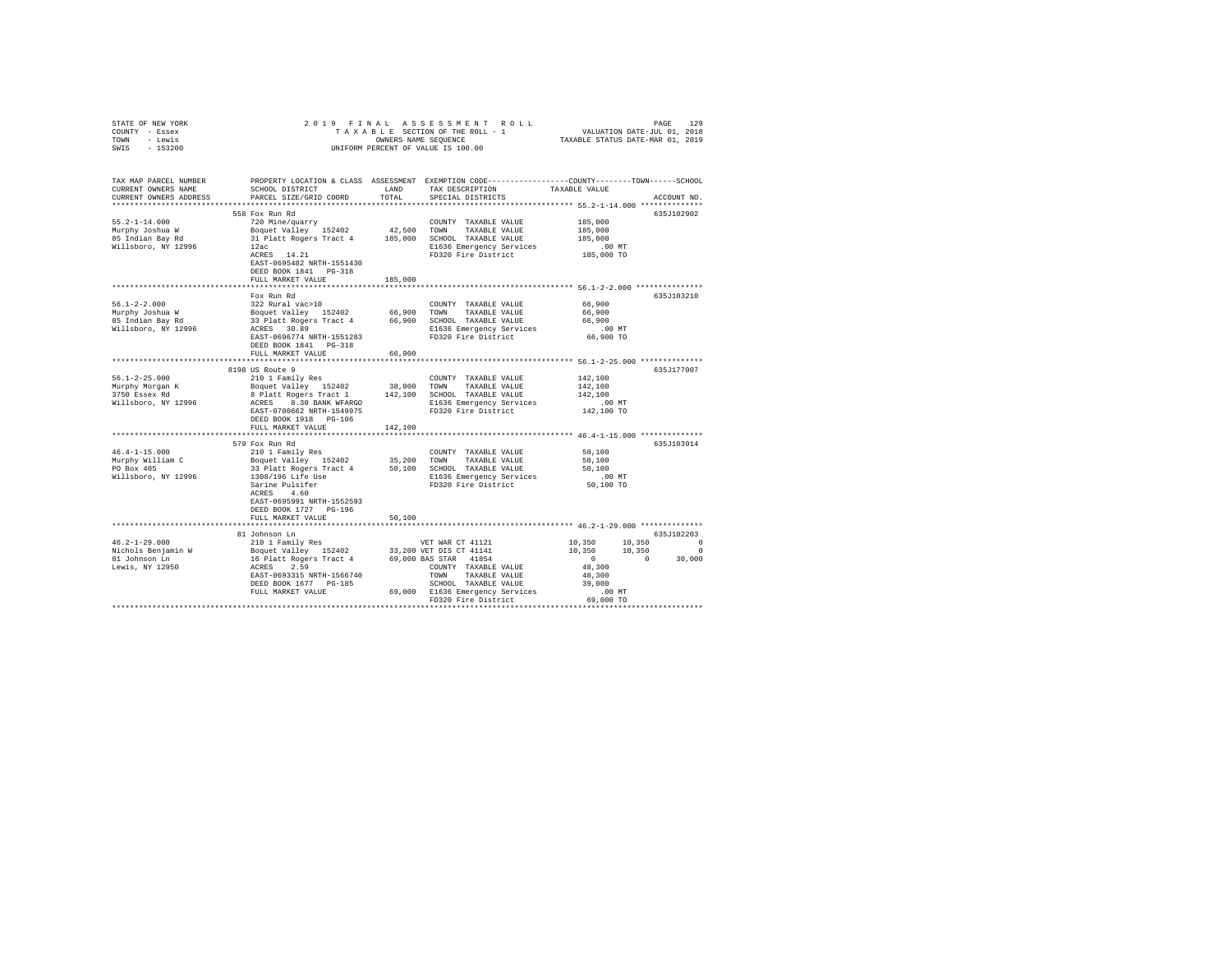| STATE OF NEW YORK                   |                                                                                                                                                                                                                                            |         |                                                                                                 |                                                       |             |
|-------------------------------------|--------------------------------------------------------------------------------------------------------------------------------------------------------------------------------------------------------------------------------------------|---------|-------------------------------------------------------------------------------------------------|-------------------------------------------------------|-------------|
| COUNTY - Essex                      |                                                                                                                                                                                                                                            |         |                                                                                                 |                                                       |             |
| TOWN - Lewis                        |                                                                                                                                                                                                                                            |         |                                                                                                 |                                                       |             |
| SWIS - 153200                       |                                                                                                                                                                                                                                            |         |                                                                                                 |                                                       |             |
|                                     |                                                                                                                                                                                                                                            |         |                                                                                                 |                                                       |             |
| TAX MAP PARCEL NUMBER               |                                                                                                                                                                                                                                            |         | PROPERTY LOCATION & CLASS ASSESSMENT EXEMPTION CODE---------------COUNTY-------TOWN------SCHOOL |                                                       |             |
| CURRENT OWNERS NAME                 | SCHOOL DISTRICT                                                                                                                                                                                                                            |         | LAND TAX DESCRIPTION                                                                            | TAXABLE VALUE                                         |             |
| CURRENT OWNERS ADDRESS              | PARCEL SIZE/GRID COORD                                                                                                                                                                                                                     | TOTAL   | SPECIAL DISTRICTS                                                                               |                                                       | ACCOUNT NO. |
|                                     |                                                                                                                                                                                                                                            |         |                                                                                                 |                                                       |             |
|                                     |                                                                                                                                                                                                                                            |         |                                                                                                 |                                                       |             |
|                                     | 558 Fox Run Rd                                                                                                                                                                                                                             |         |                                                                                                 |                                                       | 635J102902  |
| $55.2 - 1 - 14.000$                 | 720 Mine/quarry                                                                                                                                                                                                                            |         | COUNTY TAXABLE VALUE                                                                            | 185,000                                               |             |
| Murphy Joshua W                     | Boquet Valley 152402                                                                                                                                                                                                                       |         | 42,500 TOWN TAXABLE VALUE                                                                       | 185,000                                               |             |
| 85 Indian Bay Rd                    | 31 Platt Rogers Tract 4 185,000 SCHOOL TAXABLE VALUE                                                                                                                                                                                       |         |                                                                                                 | 185,000                                               |             |
| Willsboro, NY 12996 12ac            |                                                                                                                                                                                                                                            |         | E1636 Emergency Services                                                                        | 00 MT.<br>185,000 TO                                  |             |
|                                     | ACRES 14.21                                                                                                                                                                                                                                |         | FD320 Fire District                                                                             |                                                       |             |
|                                     | EAST-0695482 NRTH-1551430                                                                                                                                                                                                                  |         |                                                                                                 |                                                       |             |
|                                     | DEED BOOK 1841 PG-318                                                                                                                                                                                                                      |         |                                                                                                 |                                                       |             |
|                                     | FULL MARKET VALUE                                                                                                                                                                                                                          | 185,000 |                                                                                                 |                                                       |             |
|                                     | *****************************                                                                                                                                                                                                              |         |                                                                                                 |                                                       |             |
|                                     | Fox Run Rd                                                                                                                                                                                                                                 |         |                                                                                                 |                                                       | 635J103210  |
| $56.1 - 2 - 2.000$                  | 322 Rural vac>10                                                                                                                                                                                                                           |         | COUNTY TAXABLE VALUE                                                                            | 66,900                                                |             |
|                                     |                                                                                                                                                                                                                                            |         |                                                                                                 | 66,900                                                |             |
| Murphy Joshua W<br>85 Indian Bay Rd |                                                                                                                                                                                                                                            |         |                                                                                                 | 66,900                                                |             |
|                                     | Boquet Valley 152402 66,900 TOWN TAXABLE VALUE<br>33 Platt Rogers Tract 4 66,900 SCHOOL TAXABLE VALUE<br>ACRES 30.89 SIG36 REEPERDY SETTLES                                                                                                |         |                                                                                                 |                                                       |             |
| Willsboro, NY 12996                 | 35 11466 11551<br>ACRES 30.89<br>EAST-0696774 NRTH-1551283                                                                                                                                                                                 |         | E1636 Emergency Services .00 MT<br>FD320 Fire District 66,900 TO                                |                                                       |             |
|                                     |                                                                                                                                                                                                                                            |         |                                                                                                 |                                                       |             |
|                                     | DEED BOOK 1841    PG-318                                                                                                                                                                                                                   |         |                                                                                                 |                                                       |             |
|                                     | FULL MARKET VALUE                                                                                                                                                                                                                          | 66,900  |                                                                                                 |                                                       |             |
|                                     | **************************                                                                                                                                                                                                                 |         |                                                                                                 | *********************** 56.1-2-25.000 *************** |             |
|                                     | 8198 US Route 9                                                                                                                                                                                                                            |         |                                                                                                 |                                                       | 635J177007  |
| $56.1 - 2 - 25.000$                 | 210 1 Family Res                                                                                                                                                                                                                           |         | COUNTY TAXABLE VALUE                                                                            | 142,100                                               |             |
|                                     |                                                                                                                                                                                                                                            |         |                                                                                                 | 142,100                                               |             |
| Murphy Morgan K<br>3750 Essex Rd    |                                                                                                                                                                                                                                            |         |                                                                                                 | 142,100                                               |             |
| Willsboro, NY 12996                 | 210 1 Family Res 152402 38,000 NOWN TAXABLE VALUE 3<br>BOQuet Rogers Tract 1 142,100 SCHOOL TAXABLE VALUE<br>8 Platt Rogers Tract 1 142,100 SCHOOL TAXABLE VALUE<br>ACRES 8.30 BANK WFARGO E1636 Emergency Services<br>EAST-0700662 RE     |         |                                                                                                 | $.00$ MT                                              |             |
|                                     |                                                                                                                                                                                                                                            |         |                                                                                                 | 142,100 TO                                            |             |
|                                     | DEED BOOK 1918 PG-106                                                                                                                                                                                                                      |         |                                                                                                 |                                                       |             |
|                                     | FULL MARKET VALUE                                                                                                                                                                                                                          | 142,100 |                                                                                                 |                                                       |             |
|                                     |                                                                                                                                                                                                                                            |         |                                                                                                 |                                                       |             |
|                                     | 579 Fox Run Rd                                                                                                                                                                                                                             |         |                                                                                                 |                                                       | 635J103914  |
|                                     |                                                                                                                                                                                                                                            |         | COUNTY TAXABLE VALUE 50.100                                                                     |                                                       |             |
| $46.4 - 1 - 15.000$                 |                                                                                                                                                                                                                                            |         |                                                                                                 |                                                       |             |
| Murphy William C<br>PO Box 405      |                                                                                                                                                                                                                                            |         |                                                                                                 | 50,100                                                |             |
|                                     |                                                                                                                                                                                                                                            |         |                                                                                                 | 50,100                                                |             |
| Willsboro, NY 12996                 |                                                                                                                                                                                                                                            |         |                                                                                                 | $.00$ MT                                              |             |
|                                     | 579 Fox Run Rd<br>2010 1 Family Res<br>Boquet Valley 152402 35,200 TOWNY TAXABLE VALUE<br>33 Platt Rogers Tract 4 50,100 SCHOOL TAXABLE VALUE<br>3308/196 Life Use<br>Sarine Pulsifer For Faxable Platt Company Services<br>Sarine Pulsife |         |                                                                                                 | 50,100 TO                                             |             |
|                                     | ACRES 4.60                                                                                                                                                                                                                                 |         |                                                                                                 |                                                       |             |
|                                     | EAST-0695991 NRTH-1552593                                                                                                                                                                                                                  |         |                                                                                                 |                                                       |             |
|                                     | DEED BOOK 1727 PG-196                                                                                                                                                                                                                      |         |                                                                                                 |                                                       |             |
|                                     | FULL MARKET VALUE                                                                                                                                                                                                                          | 50,100  |                                                                                                 |                                                       |             |
|                                     |                                                                                                                                                                                                                                            |         |                                                                                                 |                                                       |             |
|                                     | 81 Johnson Ln                                                                                                                                                                                                                              |         |                                                                                                 |                                                       | 635J102203  |
|                                     |                                                                                                                                                                                                                                            |         |                                                                                                 |                                                       |             |
|                                     |                                                                                                                                                                                                                                            |         |                                                                                                 |                                                       |             |
|                                     |                                                                                                                                                                                                                                            |         |                                                                                                 |                                                       |             |
|                                     |                                                                                                                                                                                                                                            |         |                                                                                                 |                                                       |             |
|                                     |                                                                                                                                                                                                                                            |         |                                                                                                 |                                                       |             |
|                                     |                                                                                                                                                                                                                                            |         |                                                                                                 |                                                       |             |
|                                     |                                                                                                                                                                                                                                            |         | SCHOOL TAXABLE VALUE                                                                            |                                                       |             |
|                                     | FULL MARKET VALUE                                                                                                                                                                                                                          |         | 69,000 E1636 Emergency Services .00 MT<br>FD320 Fire District 69,000 TO                         |                                                       |             |
|                                     |                                                                                                                                                                                                                                            |         |                                                                                                 |                                                       |             |
|                                     |                                                                                                                                                                                                                                            |         |                                                                                                 |                                                       |             |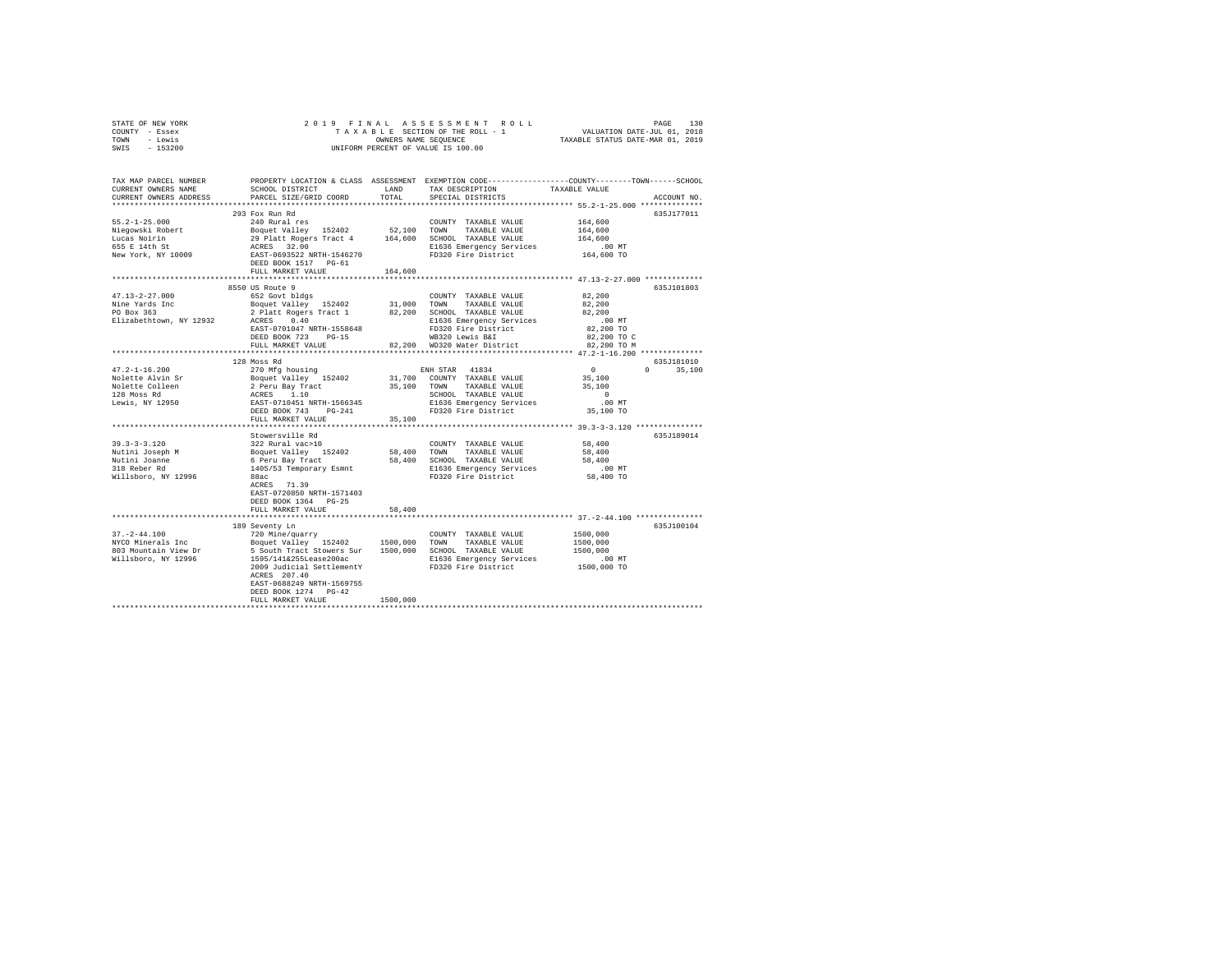|      | STATE OF NEW YORK |  | 2019 FINAL ASSESSMENT ROLL         |                                  | PAGE                        | 130 |
|------|-------------------|--|------------------------------------|----------------------------------|-----------------------------|-----|
|      | COUNTY - Essex    |  | TAXABLE SECTION OF THE ROLL - 1    |                                  | VALUATION DATE-JUL 01, 2018 |     |
| TOWN | - Lewis           |  | OWNERS NAME SEOUENCE               | TAXABLE STATUS DATE-MAR 01, 2019 |                             |     |
| SWIS | $-153200$         |  | UNIFORM PERCENT OF VALUE IS 100.00 |                                  |                             |     |

| TAX MAP PARCEL NUMBER<br>CURRENT OWNERS NAME<br>CURRENT OWNERS ADDRESS                         | SCHOOL DISTRICT<br>PARCEL SIZE/GRID COORD                                                                                                                                                                                                                                                         | LAND<br>TOTAL | TAX DESCRIPTION<br>SPECIAL DISTRICTS                                                                                                                                                  | PROPERTY LOCATION & CLASS ASSESSMENT EXEMPTION CODE---------------COUNTY-------TOWN-----SCHOOL<br>TAXABLE VALUE<br>ACCOUNT NO. |
|------------------------------------------------------------------------------------------------|---------------------------------------------------------------------------------------------------------------------------------------------------------------------------------------------------------------------------------------------------------------------------------------------------|---------------|---------------------------------------------------------------------------------------------------------------------------------------------------------------------------------------|--------------------------------------------------------------------------------------------------------------------------------|
|                                                                                                |                                                                                                                                                                                                                                                                                                   |               |                                                                                                                                                                                       |                                                                                                                                |
| $55.2 - 1 - 25.000$<br>Niegowski Robert<br>Lucas Noirin<br>655 E 14th St<br>New York, NY 10009 | 293 Fox Run Rd<br>240 Rural res<br>Eoquet Valley 152402 52,100 TOWN TAXABLE VALUE<br>29 Platt Rogers Tract 4 164,600 SCHOOL TAXABLE VALUE<br>ACRES 32.00 B1636 Emergency Service:<br>EAST-0693522 NRTH-1546270 FD320 Fire District<br>DEED BOOK 1517 PG-61<br>FULL MARKET VALUE                   | 164,600       | COUNTY TAXABLE VALUE<br>TAXABLE VALUE<br>E1636 Emergency Services                                                                                                                     | 635J177011<br>164,600<br>164,600<br>164,600<br>$.00$ MT<br>164,600 TO                                                          |
|                                                                                                |                                                                                                                                                                                                                                                                                                   |               |                                                                                                                                                                                       |                                                                                                                                |
| $47.13 - 2 - 27.000$<br>Nine Yards Inc<br>PO Box 363<br>Elizabethtown, NY 12932                | 8550 US Route 9<br>652 Govt bldgs<br>Boquet Valley 152402<br>2 Platt Rogers Tract 1<br>ACRES 0.40<br>EAST-0701047 NRTH-1558648<br>DEED BOOK 723 PG-15<br>FULL MARKET VALUE                                                                                                                        |               | COUNTY TAXABLE VALUE<br>31,000 TOWN TAXABLE VALUE<br>82,200 SCHOOL TAXABLE VALUE<br>E1636 Emergency Services<br>FD320 Fire District<br>WB320 Lewis B&I<br>82,200 WD320 Water District | 635J101803<br>82,200<br>82,200<br>82,200<br>$.00$ MT<br>82,200 TO<br>82,200 TO C<br>82,200 TO M                                |
|                                                                                                |                                                                                                                                                                                                                                                                                                   |               |                                                                                                                                                                                       |                                                                                                                                |
| $47.2 - 1 - 16.200$<br>Nolette Alvin Sr<br>Nolette Colleen<br>128 Moss Rd<br>Lewis, NY 12950   | --- was KM<br>270 Mfg housing<br>2 Peru Bay Tract<br>2 Peru Bay Tract<br>ACRES 1.10<br>EAST-0710451 NRTH-1566345<br>DEED BOOK 743<br>PERD BOOK 743<br>FULL MARKET VALUE<br>*****************************                                                                                          | 35,100        | ENH STAR 41834<br>31,700 COUNTY TAXABLE VALUE<br>35,100 TOWN TAXABLE VALUE<br>SCHOOL TAXABLE VALUE<br>E1636 Emergency Services<br>FD320 Fire District                                 | 635J181010<br>$\mathbf{0}$<br>$0 \t35,100$<br>35,100<br>35,100<br>$\sim$ 0<br>$.00$ MT<br>35,100 TO                            |
|                                                                                                | Stowersville Rd                                                                                                                                                                                                                                                                                   |               |                                                                                                                                                                                       | 635J189014                                                                                                                     |
| $39.3 - 3 - 3.120$<br>Nutini Joseph M<br>Nutini Joanne<br>318 Reber Rd<br>Willsboro, NY 12996  | 322 Rural vac>10<br>Boquet Valley 152402<br>6 Peru Bay Tract<br>1405/53 Temporary Esmnt<br>88ac<br>ACRES 71.39<br>EAST-0720850 NRTH-1571403<br>DEED BOOK 1364 PG-25<br>FULL MARKET VALUE                                                                                                          | 58,400        | COUNTY TAXABLE VALUE<br>58,400 TOWN TAXABLE VALUE<br>58,400 SCHOOL TAXABLE VALUE<br>E1636 Emergency Services<br>FD320 Fire District                                                   | 58,400<br>58,400<br>58,400<br>$.00$ MT<br>58,400 TO                                                                            |
|                                                                                                |                                                                                                                                                                                                                                                                                                   |               |                                                                                                                                                                                       |                                                                                                                                |
| $37. - 2 - 44.100$<br>NYCO Minerals Inc<br>803 Mountain View Dr<br>Willsboro, NY 12996         | 189 Seventy Ln<br>720 Mine/quarry<br>Boquet Valley 152402 1500,000 TOWN TAXABLE VALUE<br>5 South Tract Stowers Sur 1500,000 SCHOOL TAXABLE VALUE<br>1595/141&255Lease200ac<br>2009 Judicial SettlementY<br>ACRES 207.40<br>EAST-0688249 NRTH-1569755<br>DEED BOOK 1274 PG-42<br>FULL MARKET VALUE | 1500,000      | COUNTY TAXABLE VALUE<br>1500,000 SCHOOL TAXABLE VALUE<br>E1636 Emergency Services<br>FD320 Fire District 1500,000 TO                                                                  | 635J100104<br>1500,000<br>1500,000<br>1500,000<br>. 00 MT                                                                      |
|                                                                                                |                                                                                                                                                                                                                                                                                                   |               |                                                                                                                                                                                       |                                                                                                                                |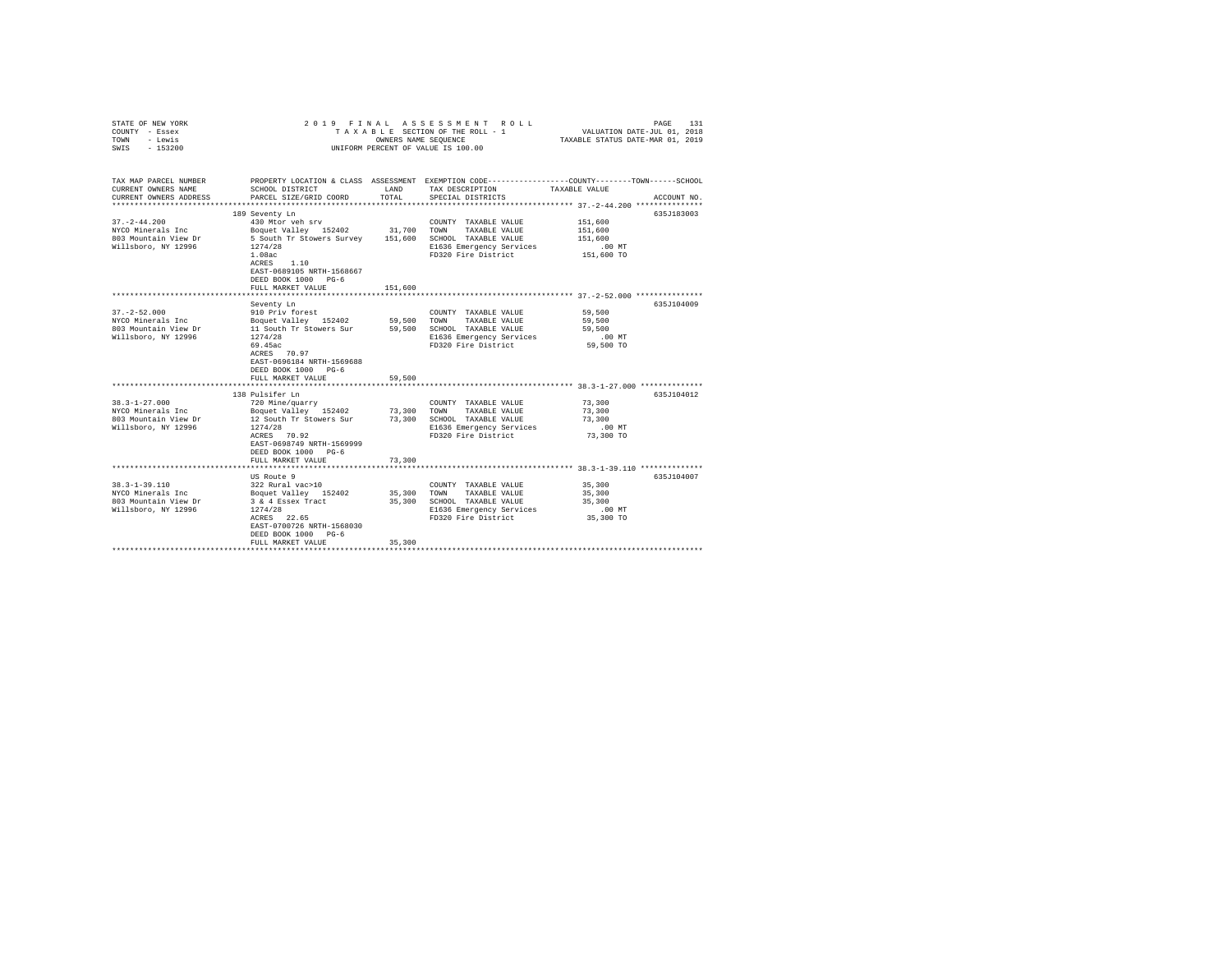| STATE OF NEW YORK<br>COUNTY - Essex<br>TOWN - Lewis<br>SWIS - 153200                                                                      |                                                                                                                                                                                                                                                            |         | 2019 FINAL ASSESSMENT ROLL<br>UNIFORM PERCENT OF VALUE IS 100.00                                                             | PAGE<br>131                                                                                                                     |
|-------------------------------------------------------------------------------------------------------------------------------------------|------------------------------------------------------------------------------------------------------------------------------------------------------------------------------------------------------------------------------------------------------------|---------|------------------------------------------------------------------------------------------------------------------------------|---------------------------------------------------------------------------------------------------------------------------------|
| TAX MAP PARCEL NUMBER<br>CURRENT OWNERS NAME<br>CURRENT OWNERS ADDRESS                                                                    | SCHOOL DISTRICT<br>PARCEL SIZE/GRID COORD                                                                                                                                                                                                                  | TOTAL   | LAND TAX DESCRIPTION<br>SPECIAL DISTRICTS                                                                                    | PROPERTY LOCATION & CLASS ASSESSMENT EXEMPTION CODE---------------COUNTY-------TOWN------SCHOOL<br>TAXABLE VALUE<br>ACCOUNT NO. |
| $37. - 2 - 44.200$<br>NYCO Minerals Inc<br>803 Mountain View Dr<br>Willsboro, NY 12996                                                    | 189 Seventy Ln<br>430 Mtor veh srv<br>Boquet Valley 152402 31,700 TOWN TAXABLE VALUE<br>5 South Tr Stowers Survey 151,600 SCHOOL TAXABLE VALUE<br>1274/28<br>1.08ac<br>ACRES 1.10<br>EAST-0689105 NRTH-1568667<br>DEED BOOK 1000 PG-6<br>FULL MARKET VALUE | 151,600 | COUNTY TAXABLE VALUE<br>E1636 Emergency Services<br>FD320 Fire District                                                      | 635.T183003<br>151,600<br>151,600<br>151,600<br>$.00$ MT<br>151,600 TO                                                          |
| $37. - 2 - 52.000$<br>NYCO Minerals Inc<br>803 Mountain View Dr<br>Willsboro, NY 12996                                                    | Seventy Ln<br>910 Priv forest<br>Boquet Valley 152402 59,500 TOWN TAXABLE VALUE<br>11 South Tr Stowers Sur 59,500 SCHOOL TAXABLE VALUE<br>1274/28<br>69.45ac<br>ACRES 70.97<br>EAST-0696184 NRTH-1569688<br>DEED BOOK 1000 PG-6<br>FULL MARKET VALUE       | 59,500  | COUNTY TAXABLE VALUE<br>E1636 Emergency Services<br>FD320 Fire District                                                      | 635J104009<br>59,500<br>59,500<br>59,500<br>$.00$ MT<br>59,500 TO                                                               |
| $38.3 - 1 - 27.000$<br>NYCO Minerals Inc<br>803 Mountain View Dr<br>Willsboro, NY 12996                                                   | 138 Pulsifer Ln<br>720 Mine/quarry<br>Boquet Valley 152402 73,300<br>12 South Tr Stowers Sur<br>1274/28<br>ACRES 70.92<br>EAST-0698749 NRTH-1569999<br>DEED BOOK 1000 PG-6<br>FULL MARKET VALUE<br>*****************************                           | 73,300  | COUNTY TAXABLE VALUE<br>TOWN TAXABLE VALUE<br>73,300 SCHOOL TAXABLE VALUE<br>E1636 Emergency Services<br>FD320 Fire District | 635J104012<br>73,300<br>73,300<br>73,300<br>$.00$ MT<br>73,300 TO                                                               |
| $38.3 - 1 - 39.110$<br>NYCO Minerals Inc 50 Boquet Valley 152402 35,300 TOWN TAXABLE VALUE<br>803 Mountain View Dr<br>Willsboro, NY 12996 | US Route 9<br>322 Rural vac>10<br>3 & 4 Essex Tract<br>1274/28<br>1274/28<br>ACRES 22.65<br>EAST-0700726 NRTH-1568030<br>DEED BOOK 1000 PG-6<br>FULL MARKET VALUE                                                                                          | 35,300  | COUNTY TAXABLE VALUE<br>35,300 SCHOOL TAXABLE VALUE<br>E1636 Emergency Services<br>FD320 Fire District                       | 635J104007<br>35,300<br>35,300<br>35,300<br>.00MT<br>35,300 TO                                                                  |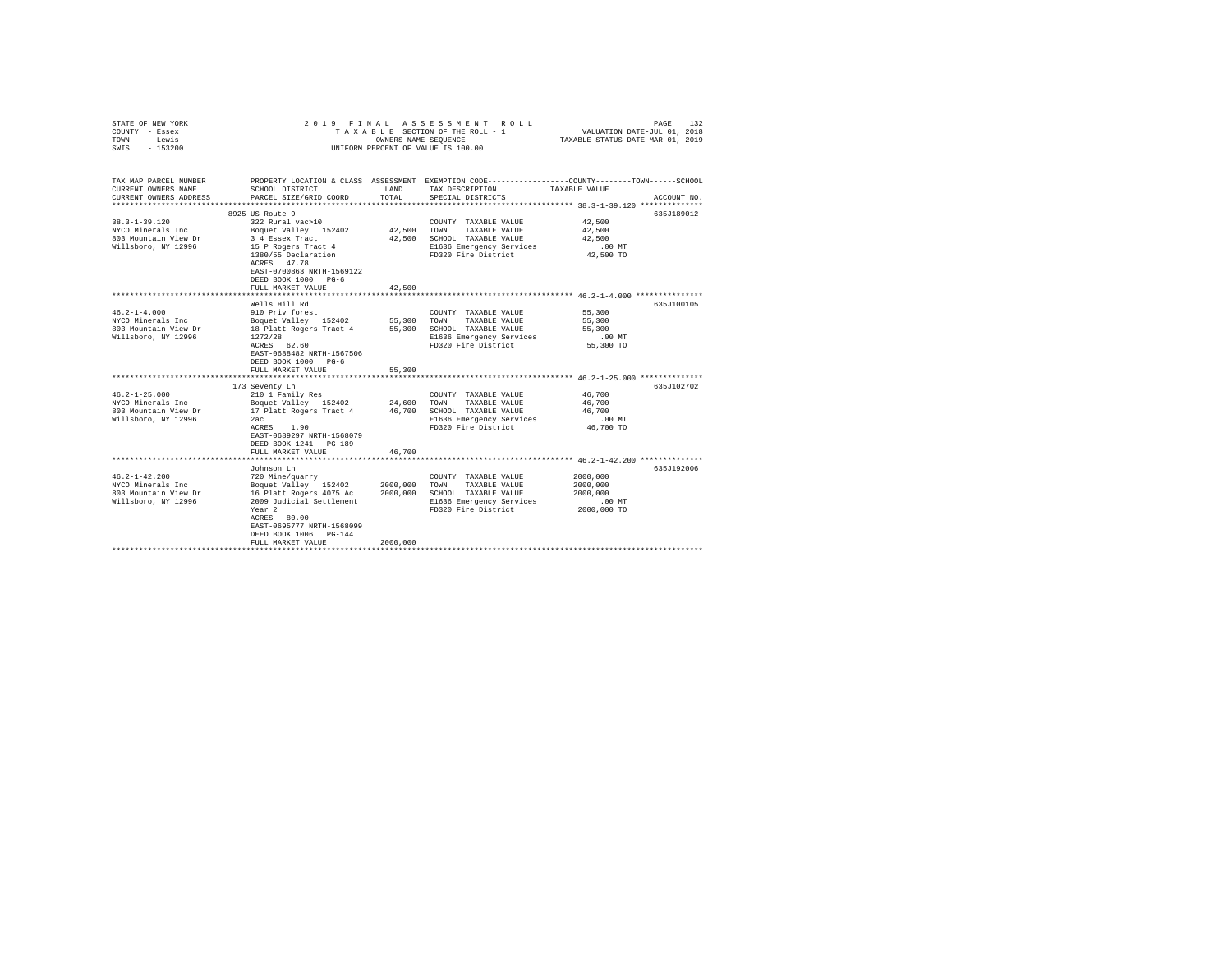| STATE OF NEW YORK<br>COUNTY - Essex<br>- Lewis<br>TOWN<br>$-153200$<br>SWIS                                                                                                       | 2019 FINAL                                                                                                                                                                                                                                                                                              | OWNERS NAME SEQUENCE                           | ASSESSMENT ROLL<br>TAXABLE SECTION OF THE ROLL - 1<br>UNIFORM PERCENT OF VALUE IS 100.00                                                                                                                                                             | 132<br>PAGE<br>VALUATION DATE-JUL 01, 2018<br>TAXABLE STATUS DATE-MAR 01, 2019                                                                                                              |
|-----------------------------------------------------------------------------------------------------------------------------------------------------------------------------------|---------------------------------------------------------------------------------------------------------------------------------------------------------------------------------------------------------------------------------------------------------------------------------------------------------|------------------------------------------------|------------------------------------------------------------------------------------------------------------------------------------------------------------------------------------------------------------------------------------------------------|---------------------------------------------------------------------------------------------------------------------------------------------------------------------------------------------|
| TAX MAP PARCEL NUMBER<br>CURRENT OWNERS NAME                                                                                                                                      | SCHOOL DISTRICT<br>PARCEL SIZE/GRID COORD                                                                                                                                                                                                                                                               | LAND<br>TOTAL                                  | TAX DESCRIPTION                                                                                                                                                                                                                                      | PROPERTY LOCATION & CLASS ASSESSMENT EXEMPTION CODE---------------COUNTY-------TOWN------SCHOOL<br>TAXABLE VALUE<br>ACCOUNT NO.                                                             |
| CURRENT OWNERS ADDRESS                                                                                                                                                            |                                                                                                                                                                                                                                                                                                         |                                                | SPECIAL DISTRICTS                                                                                                                                                                                                                                    |                                                                                                                                                                                             |
|                                                                                                                                                                                   | 8925 US Route 9                                                                                                                                                                                                                                                                                         |                                                |                                                                                                                                                                                                                                                      | 635J189012                                                                                                                                                                                  |
| $38.3 - 1 - 39.120$<br>NYCO Minerals Inc<br>803 Mountain View Dr<br>Willsboro, NY 12996                                                                                           | 322 Rural vac>10<br>Boquet Valley 152402<br>3 4 Essex Tract<br>15 P Rogers Tract 4<br>1380/55 Declaration<br>ACRES 47.78<br>EAST-0700863 NRTH-1569122<br>DEED BOOK 1000 PG-6                                                                                                                            | 42,500<br>42,500                               | COUNTY TAXABLE VALUE<br>TOWN<br>TAXABLE VALUE<br>SCHOOL TAXABLE VALUE<br>E1636 Emergency Services<br>FD320 Fire District                                                                                                                             | 42,500<br>42,500<br>42,500<br>.00MT<br>42,500 TO                                                                                                                                            |
|                                                                                                                                                                                   | FULL MARKET VALUE<br>************************                                                                                                                                                                                                                                                           | 42,500                                         |                                                                                                                                                                                                                                                      |                                                                                                                                                                                             |
| $46.2 - 1 - 4.000$<br>NYCO Minerals Inc<br>803 Mountain View Dr<br>Willsboro, NY 12996<br>$46.2 - 1 - 25.000$<br>NYCO Minerals Inc<br>803 Mountain View Dr<br>Willsboro, NY 12996 | Wells Hill Rd<br>910 Priv forest<br>Boquet Valley 152402<br>18 Platt Rogers Tract 4<br>1272/28<br>ACRES 62.60<br>EAST-0688482 NRTH-1567506<br>DEED BOOK 1000 PG-6<br>FULL MARKET VALUE<br>173 Seventy Ln<br>210 1 Family Res<br>Boquet Valley 152402<br>17 Platt Rogers Tract 4<br>2ac<br>ACRES<br>1.90 | 55,300<br>55,300<br>55,300<br>24,600<br>46,700 | COUNTY TAXABLE VALUE<br>TAXABLE VALUE<br>TOWN<br>SCHOOL TAXABLE VALUE<br>E1636 Emergency Services<br>FD320 Fire District<br>COUNTY TAXABLE VALUE<br>TOWN<br>TAXABLE VALUE<br>SCHOOL TAXABLE VALUE<br>E1636 Emergency Services<br>FD320 Fire District | *********************** 46.2-1-4.000 ***************<br>635J100105<br>55,300<br>55,300<br>55,300<br>.00MT<br>55,300 TO<br>635J102702<br>46,700<br>46,700<br>46,700<br>$.00$ MT<br>46,700 TO |
|                                                                                                                                                                                   | EAST-0689297 NRTH-1568079<br>DEED BOOK 1241 PG-189<br>FULL MARKET VALUE                                                                                                                                                                                                                                 | 46,700                                         |                                                                                                                                                                                                                                                      |                                                                                                                                                                                             |
|                                                                                                                                                                                   | Johnson Ln                                                                                                                                                                                                                                                                                              |                                                |                                                                                                                                                                                                                                                      | 635J192006                                                                                                                                                                                  |
| $46.2 - 1 - 42.200$<br>NYCO Minerals Inc<br>803 Mountain View Dr<br>Willsboro, NY 12996                                                                                           | 720 Mine/quarry<br>Boquet Valley 152402<br>16 Platt Rogers 4075 Ac<br>2009 Judicial Settlement<br>Year 2<br>ACRES 80.00<br>EAST-0695777 NRTH-1568099<br>DEED BOOK 1006 PG-144                                                                                                                           | 2000,000<br>2000,000                           | COUNTY TAXABLE VALUE<br>TAXABLE VALUE<br>TOWN<br>SCHOOL TAXABLE VALUE<br>E1636 Emergency Services<br>FD320 Fire District                                                                                                                             | 2000,000<br>2000,000<br>2000.000<br>$.00$ MT<br>2000,000 TO                                                                                                                                 |
|                                                                                                                                                                                   | FULL MARKET VALUE                                                                                                                                                                                                                                                                                       | 2000.000                                       |                                                                                                                                                                                                                                                      |                                                                                                                                                                                             |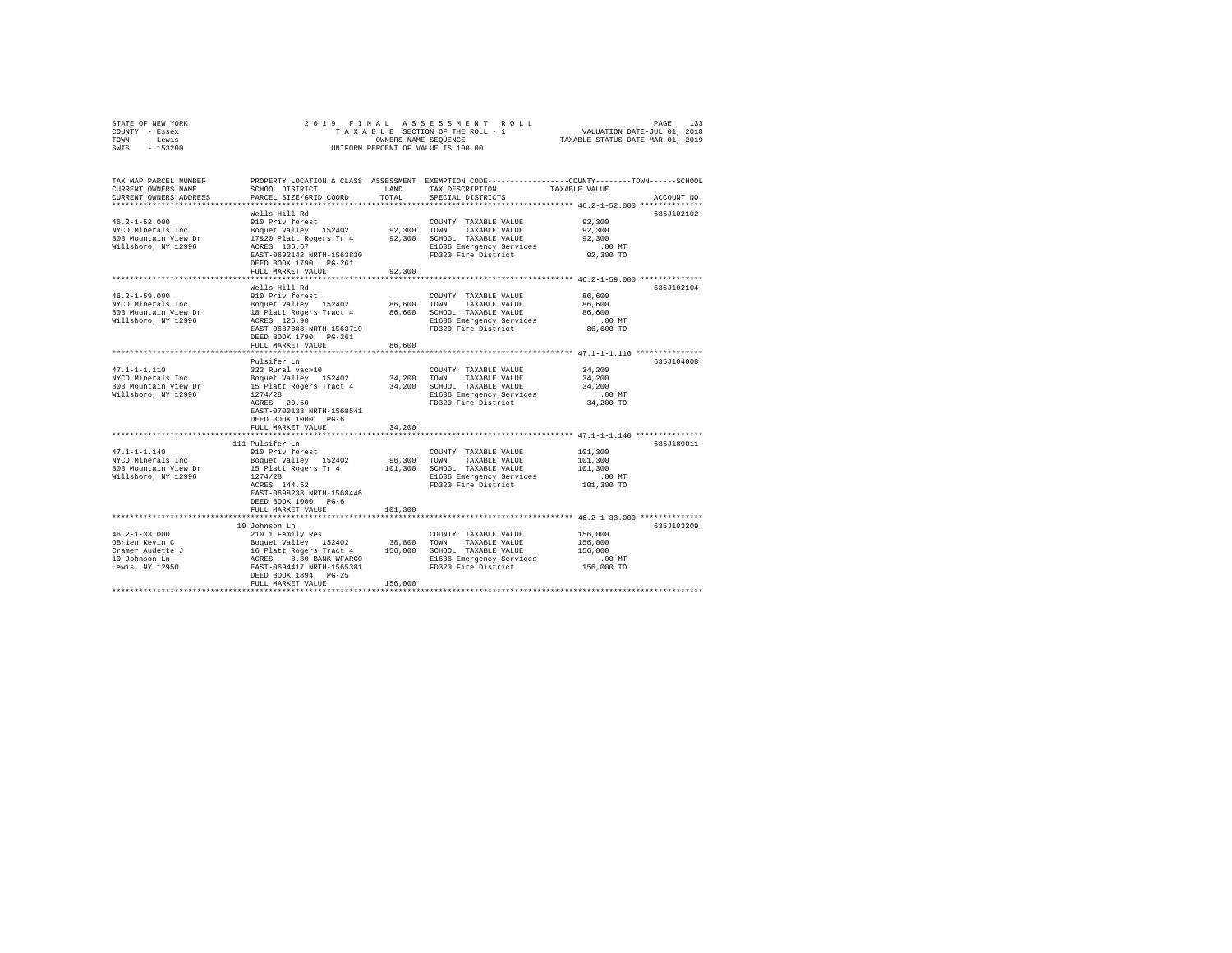| STATE OF NEW YORK<br>COUNTY - Essex<br>TOWN - Lewis<br>$-153200$<br>SWIS                           | 2019 FINAL<br>TAXABLE SECTION OF THE ROLL - 1<br>UNIFORM PERCENT OF VALUE IS 100.00                                                                                                                                                                                                                                              | PASE SSMENT ROLL PAGE 133<br>SECTION OF THE ROLL - 1 VALUATION DATE-JUL 01, 2018<br>IS NAME SEQUENCE TRIABLE STATUS DATE-MAR 01, 2019 |                                                                                                                                  |                                                                                                                                |
|----------------------------------------------------------------------------------------------------|----------------------------------------------------------------------------------------------------------------------------------------------------------------------------------------------------------------------------------------------------------------------------------------------------------------------------------|---------------------------------------------------------------------------------------------------------------------------------------|----------------------------------------------------------------------------------------------------------------------------------|--------------------------------------------------------------------------------------------------------------------------------|
| TAX MAP PARCEL NUMBER<br>CURRENT OWNERS NAME<br>CURRENT OWNERS ADDRESS<br>************************ | SCHOOL DISTRICT<br>PARCEL SIZE/GRID COORD                                                                                                                                                                                                                                                                                        | LAND<br>TOTAL                                                                                                                         | TAX DESCRIPTION<br>SPECIAL DISTRICTS                                                                                             | PROPERTY LOCATION & CLASS ASSESSMENT EXEMPTION CODE---------------COUNTY-------TOWN-----SCHOOL<br>TAXABLE VALUE<br>ACCOUNT NO. |
| $46.2 - 1 - 52.000$<br>NYCO Minerals Inc<br>803 Mountain View Dr<br>Willsboro, NY 12996            | Wells Hill Rd<br>910 Priv forest<br>Boquet Valley 152402<br>17&20 Platt Rogers Tr 4<br>ACRES 136.67<br>EAST-0692142 NRTH-1563830<br>DEED BOOK 1790 PG-261<br>FULL MARKET VALUE                                                                                                                                                   | 92,300<br>92,300                                                                                                                      | COUNTY TAXABLE VALUE<br>TOWN<br>TAXABLE VALUE<br>92,300 SCHOOL TAXABLE VALUE<br>E1636 Emergency Services<br>FD320 Fire District  | 635J102102<br>92,300<br>92,300<br>92,300<br>$.00$ MT<br>92,300 TO                                                              |
|                                                                                                    |                                                                                                                                                                                                                                                                                                                                  |                                                                                                                                       |                                                                                                                                  |                                                                                                                                |
| $46.2 - 1 - 59.000$<br>NYCO Minerals Inc<br>803 Mountain View Dr<br>Willsboro, NY 12996            | Wells Hill Rd<br>910 Priv forest<br>Boquet Valley 152402<br>18 Platt Rogers Tract 4 86,600<br>ACRES 126.90<br>EAST-0687888 NRTH-1563719<br>DEED BOOK 1790 PG-261                                                                                                                                                                 | 86,600                                                                                                                                | COUNTY TAXABLE VALUE<br>TOWN<br>TAXABLE VALUE<br>SCHOOL TAXABLE VALUE<br>E1636 Emergency Services<br>FD320 Fire District         | 635J102104<br>86,600<br>86,600<br>86,600<br>$.00$ MT<br>86,600 TO                                                              |
|                                                                                                    | FULL MARKET VALUE                                                                                                                                                                                                                                                                                                                | 86,600                                                                                                                                |                                                                                                                                  |                                                                                                                                |
|                                                                                                    | *********************                                                                                                                                                                                                                                                                                                            |                                                                                                                                       |                                                                                                                                  | ******************************** 47.1-1-1.110 ****************                                                                 |
| $47.1 - 1 - 1.110$<br>NYCO Minerals Inc<br>803 Mountain View Dr<br>Willsboro, NY 12996             | Pulsifer Ln<br>322 Rural vac>10<br>Boquet Valley 152402<br>15 Platt Rogers Tract 4<br>1274/28<br>ACRES 20.50<br>EAST-0700138 NRTH-1568541<br>DEED BOOK 1000 PG-6                                                                                                                                                                 | 34,200<br>34,200                                                                                                                      | COUNTY TAXABLE VALUE<br>TOWN TAXABLE VALUE<br>SCHOOL TAXABLE VALUE<br>E1636 Emergency Services<br>FD320 Fire District            | 635J104008<br>34,200<br>34,200<br>34,200<br>$.00$ MT<br>34,200 TO                                                              |
|                                                                                                    | FULL MARKET VALUE                                                                                                                                                                                                                                                                                                                | 34,200                                                                                                                                |                                                                                                                                  | ***************************** 47.1-1-1.140 **************                                                                      |
| $47.1 - 1 - 1.140$<br>NYCO Minerals Inc<br>803 Mountain View Dr<br>Willsboro, NY 12996             | 111 Pulsifer Ln<br>910 Priv forest<br>Boquet Valley 152402<br>15 Platt Rogers Tr 4<br>1274/28<br>ACRES 144.52<br>EAST-0698238 NRTH-1568446<br>DEED BOOK 1000 PG-6                                                                                                                                                                | 96,300                                                                                                                                | COUNTY TAXABLE VALUE<br>TOWN<br>TAXABLE VALUE<br>101,300 SCHOOL TAXABLE VALUE<br>E1636 Emergency Services<br>FD320 Fire District | 635J189011<br>101,300<br>101,300<br>101,300<br>$.00$ MT<br>101,300 TO                                                          |
|                                                                                                    | FULL MARKET VALUE                                                                                                                                                                                                                                                                                                                | 101,300                                                                                                                               |                                                                                                                                  |                                                                                                                                |
|                                                                                                    | 10 Johnson Ln                                                                                                                                                                                                                                                                                                                    |                                                                                                                                       |                                                                                                                                  | 635J103209                                                                                                                     |
| $46.2 - 1 - 33.000$<br>OBrien Kevin C<br>Cramer Audette J<br>10 Johnson Ln<br>Lewis, NY 12950      | 210 1 Family Res<br>2001. – American Hammer, 2003. – AMARIE VALUE († 1524)<br>16 Platt Rogers Tract 4 – 156,000 – SCHOOL TAXABLE VALUE<br>2008 – ACRES 8.80 BANK WFARGO – 2006 – 2006 – 2007 – 2008 – 2008 – 2008 – 2008 – 2008 – 2008 – 2008 – 2008 –<br>EAST-0694417 NRTH-1565381<br>DEED BOOK 1894 PG-25<br>FULL MARKET VALUE | 156,000                                                                                                                               | COUNTY TAXABLE VALUE<br>E1636 Emergency Services<br>FD320 Fire District                                                          | 156,000<br>156,000<br>156,000<br>$.00$ MT<br>156,000 TO                                                                        |
|                                                                                                    |                                                                                                                                                                                                                                                                                                                                  |                                                                                                                                       |                                                                                                                                  |                                                                                                                                |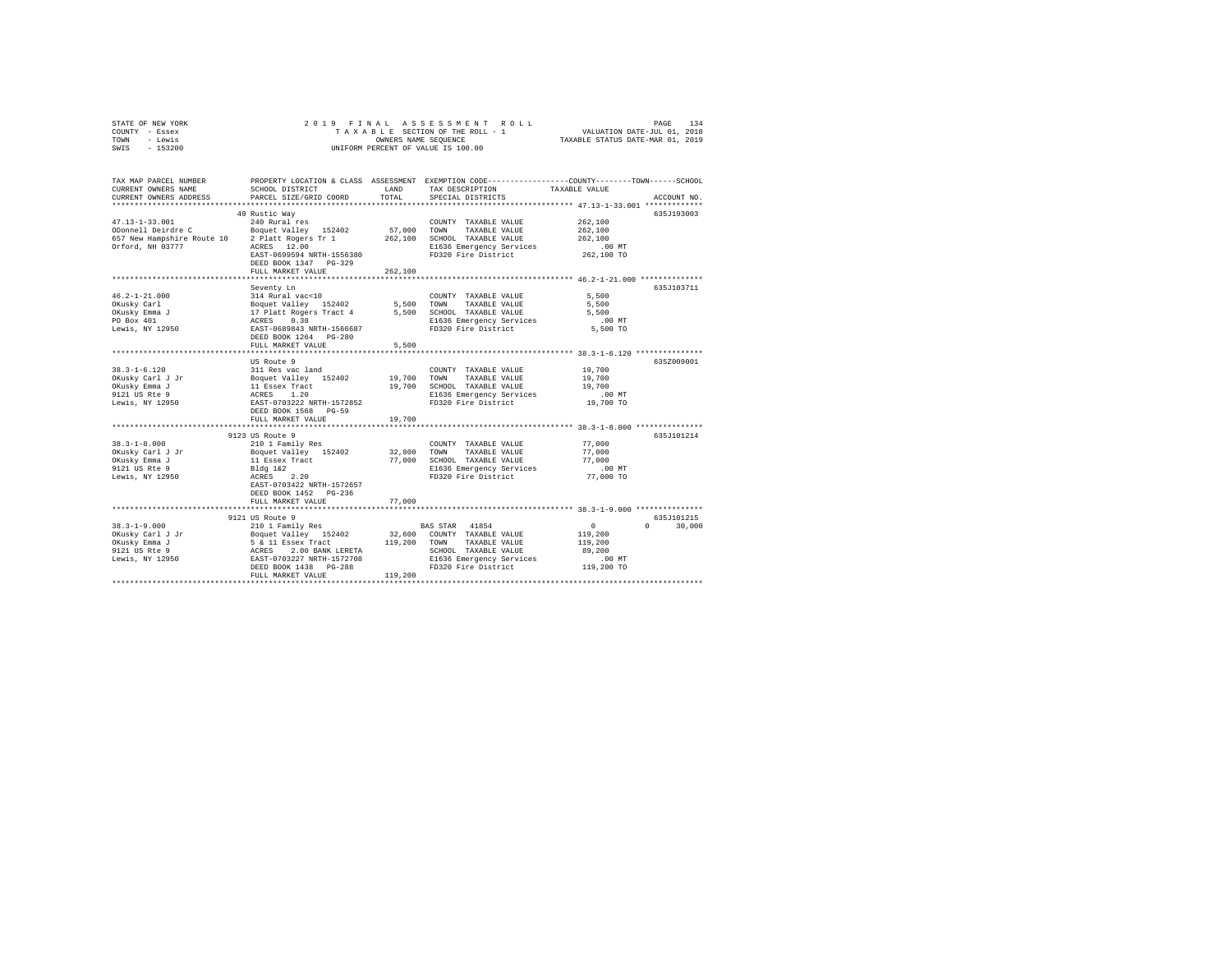| STATE OF NEW YORK | 2019 FINAL ASSESSMENT ROLL         | 134<br>PAGE                      |
|-------------------|------------------------------------|----------------------------------|
| COUNTY - Essex    | TAXABLE SECTION OF THE ROLL - 1    | VALUATION DATE-JUL 01, 2018      |
| TOWN<br>- Lewis   | OWNERS NAME SEOUENCE               | TAXABLE STATUS DATE-MAR 01, 2019 |
| $-153200$<br>SWIS | UNIFORM PERCENT OF VALUE IS 100.00 |                                  |

| TAX MAP PARCEL NUMBER<br>CURRENT OWNERS NAME<br>CURRENT OWNERS ADDRESS                                                                                                                                                        | SCHOOL DISTRICT<br>PARCEL SIZE/GRID COORD                                                                   | LAND<br>TOTAL | TAX DESCRIPTION<br>SPECIAL DISTRICTS            | PROPERTY LOCATION & CLASS ASSESSMENT EXEMPTION CODE----------------COUNTY-------TOWN-----SCHOOL<br>TAXABLE VALUE<br>ACCOUNT NO. |  |
|-------------------------------------------------------------------------------------------------------------------------------------------------------------------------------------------------------------------------------|-------------------------------------------------------------------------------------------------------------|---------------|-------------------------------------------------|---------------------------------------------------------------------------------------------------------------------------------|--|
|                                                                                                                                                                                                                               |                                                                                                             |               |                                                 |                                                                                                                                 |  |
|                                                                                                                                                                                                                               | 49 Rustic Way                                                                                               |               |                                                 | 635J193003                                                                                                                      |  |
| 47.13-1-33.001                                                                                                                                                                                                                | 240 Rural res                                                                                               |               | COUNTY TAXABLE VALUE                            | 262,100                                                                                                                         |  |
| ODonnell Deirdre C Boquet Valley 152402<br>657 New Hampshire Route 10 2 Platt Rogers Tr 1                                                                                                                                     |                                                                                                             | 57,000        | TOWN TAXABLE VALUE                              | 262,100                                                                                                                         |  |
|                                                                                                                                                                                                                               |                                                                                                             | 262,100       | SCHOOL TAXABLE VALUE                            | 262,100                                                                                                                         |  |
| Orford, NH 03777                                                                                                                                                                                                              | ACRES 12.00                                                                                                 |               | E1636 Emergency Services                        | $.00$ MT<br>$262.100$ TO                                                                                                        |  |
|                                                                                                                                                                                                                               | EAST-0699594 NRTH-1556380                                                                                   |               | FD320 Fire District                             |                                                                                                                                 |  |
|                                                                                                                                                                                                                               | DEED BOOK 1347 PG-329<br>FULL MARKET VALUE                                                                  | 262,100       |                                                 |                                                                                                                                 |  |
|                                                                                                                                                                                                                               |                                                                                                             |               |                                                 |                                                                                                                                 |  |
|                                                                                                                                                                                                                               | Seventy Ln                                                                                                  |               |                                                 | 635J103711                                                                                                                      |  |
| $46.2 - 1 - 21.000$                                                                                                                                                                                                           | 314 Rural vac<10                                                                                            |               | COUNTY TAXABLE VALUE                            | 5,500                                                                                                                           |  |
| OKusky Carl                                                                                                                                                                                                                   |                                                                                                             |               | TAXABLE VALUE                                   | 5,500                                                                                                                           |  |
| OKusky Emma J                                                                                                                                                                                                                 | COUNT = 00011<br>Boquet Valley 152402 5,500 TOWN<br>17 Platt Rogers Tract 4 5,500 SCHOO<br>ACRES 0.38 E1636 |               | 5,500 SCHOOL TAXABLE VALUE                      | 5,500                                                                                                                           |  |
| PO Box 401                                                                                                                                                                                                                    |                                                                                                             |               | E1636 Emergency Services                        | .00MT                                                                                                                           |  |
| Lewis, NY 12950                                                                                                                                                                                                               | EAST-0689843 NRTH-1566687                                                                                   |               | FD320 Fire District                             | 5,500 TO                                                                                                                        |  |
|                                                                                                                                                                                                                               | DEED BOOK 1264 PG-280                                                                                       |               |                                                 |                                                                                                                                 |  |
|                                                                                                                                                                                                                               | FULL MARKET VALUE                                                                                           | 5,500         |                                                 |                                                                                                                                 |  |
|                                                                                                                                                                                                                               |                                                                                                             |               |                                                 |                                                                                                                                 |  |
|                                                                                                                                                                                                                               | US Route 9                                                                                                  |               |                                                 | 635Z009001                                                                                                                      |  |
| $38.3 - 1 - 6.120$                                                                                                                                                                                                            | 311 Res vac land                                                                                            |               | COUNTY TAXABLE VALUE                            | 19,700                                                                                                                          |  |
| OKusky Carl J Jr                                                                                                                                                                                                              | Boquet Valley<br>152402<br>11 Essex Tract<br>ACRES 1.20                                                     | 19,700 TOWN   | TAXABLE VALUE                                   | 19,700                                                                                                                          |  |
| OKusky Emma J                                                                                                                                                                                                                 |                                                                                                             | 19,700        | SCHOOL TAXABLE VALUE                            | 19,700                                                                                                                          |  |
| 9121 US Rte 9<br>Lewis, NY 12950                                                                                                                                                                                              | EAST-0703222 NRTH-1572852                                                                                   |               | E1636 Emergency Services<br>FD320 Fire District | $.00$ MT<br>19,700 TO                                                                                                           |  |
|                                                                                                                                                                                                                               | DEED BOOK 1568 PG-59                                                                                        |               |                                                 |                                                                                                                                 |  |
|                                                                                                                                                                                                                               | FULL MARKET VALUE                                                                                           | 19,700        |                                                 |                                                                                                                                 |  |
|                                                                                                                                                                                                                               |                                                                                                             |               |                                                 |                                                                                                                                 |  |
|                                                                                                                                                                                                                               | 9123 US Route 9                                                                                             |               |                                                 | 635J101214                                                                                                                      |  |
| $38.3 - 1 - 8.000$                                                                                                                                                                                                            | 210 1 Family Res                                                                                            |               | COUNTY TAXABLE VALUE                            | 77,000                                                                                                                          |  |
| OKusky Carl J Jr                                                                                                                                                                                                              | Boquet Valley 152402 32,800                                                                                 |               | TOWN<br>TAXABLE VALUE                           | 77,000                                                                                                                          |  |
| OKusky Emma J                                                                                                                                                                                                                 | 11 Essex Tract                                                                                              | 77,000        | SCHOOL TAXABLE VALUE                            | 77,000                                                                                                                          |  |
| 9121 US Rte 9                                                                                                                                                                                                                 | Bldg 1&2<br>ACRES 2.20                                                                                      |               | E1636 Emergency Services                        | .00 MT                                                                                                                          |  |
| Lewis, NY 12950                                                                                                                                                                                                               |                                                                                                             |               | FD320 Fire District                             | 77,000 TO                                                                                                                       |  |
|                                                                                                                                                                                                                               | EAST-0703422 NRTH-1572657                                                                                   |               |                                                 |                                                                                                                                 |  |
|                                                                                                                                                                                                                               | DEED BOOK 1452 PG-236                                                                                       |               |                                                 |                                                                                                                                 |  |
|                                                                                                                                                                                                                               | FULL MARKET VALUE<br>**************************                                                             | 77,000        |                                                 |                                                                                                                                 |  |
|                                                                                                                                                                                                                               |                                                                                                             |               |                                                 |                                                                                                                                 |  |
| $38.3 - 1 - 9.000$                                                                                                                                                                                                            | 9121 US Route 9<br>210 1 Family Res                                                                         |               | BAS STAR 41854                                  | 635J101215<br>$\sim$ 0<br>$\mathbf{a}$<br>30,000                                                                                |  |
|                                                                                                                                                                                                                               |                                                                                                             |               | 32,600 COUNTY TAXABLE VALUE                     | 119,200                                                                                                                         |  |
| 0 32, 0 32, 0 32, 0 34, 0 34, 0 34, 0 34, 0 34, 0 35, 0 34, 0 35, 0 34, 0 35, 0 35, 0 35, 0 35, 0 35, 0 35, 0 35, 0 35, 0 35, 0 35, 0 35, 0 35, 0 35, 0 35, 0 35, 0 35, 0 35, 0 35, 0 35, 0 35, 0 35, 0 35, 0 35, 0 35, 0 35, |                                                                                                             |               | 119,200 TOWN TAXABLE VALUE                      | 119,200                                                                                                                         |  |
|                                                                                                                                                                                                                               |                                                                                                             |               | SCHOOL TAXABLE VALUE                            | 89,200                                                                                                                          |  |
|                                                                                                                                                                                                                               |                                                                                                             |               |                                                 |                                                                                                                                 |  |
|                                                                                                                                                                                                                               | DEED BOOK 1438 PG-288                                                                                       |               |                                                 |                                                                                                                                 |  |
|                                                                                                                                                                                                                               | FULL MARKET VALUE                                                                                           | 119,200       |                                                 |                                                                                                                                 |  |
|                                                                                                                                                                                                                               |                                                                                                             |               |                                                 |                                                                                                                                 |  |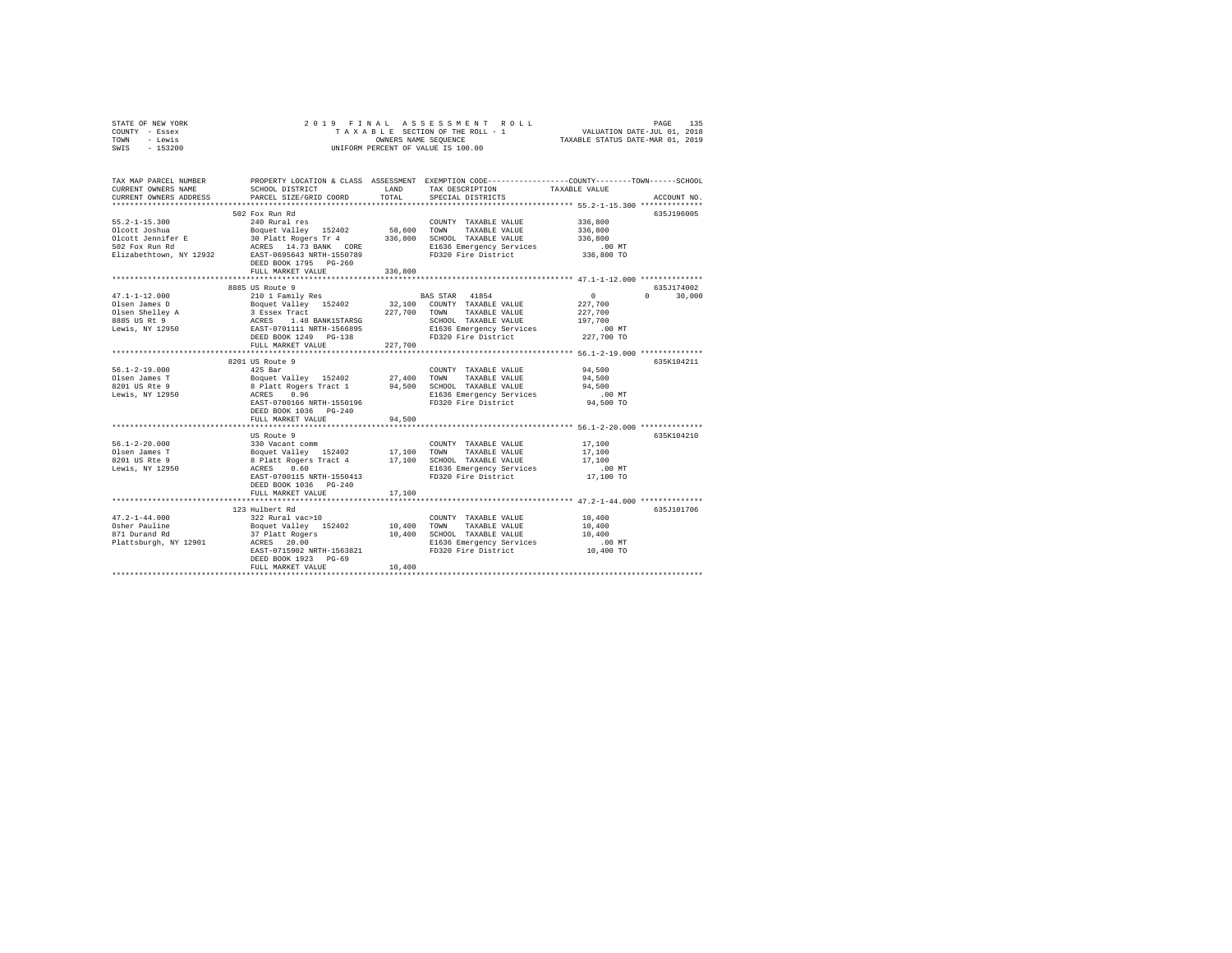| STATE OF NEW YORK | 2019 FINAL ASSESSMENT ROLL         | 135<br>PAGE                      |
|-------------------|------------------------------------|----------------------------------|
| - Essex<br>COUNTY | TAXABLE SECTION OF THE ROLL - 1    | VALUATION DATE-JUL 01, 2018      |
| - Lewis<br>TOWN   | OWNERS NAME SEOUENCE               | TAXABLE STATUS DATE-MAR 01, 2019 |
| $-153200$<br>SWIS | UNIFORM PERCENT OF VALUE IS 100.00 |                                  |
|                   |                                    |                                  |

| TAX MAP PARCEL NUMBER<br>CURRENT OWNERS NAME<br>CURRENT OWNERS ADDRESS         | SCHOOL DISTRICT<br>PARCEL SIZE/GRID COORD                                                                                                                                                                                                                                                                             | LAND<br>TOTAL | PROPERTY LOCATION & CLASS ASSESSMENT EXEMPTION CODE----------------COUNTY-------TOWN-----SCHOOL<br>TAX DESCRIPTION<br>SPECIAL DISTRICTS                                                                | TAXABLE VALUE                                                          | ACCOUNT NO.                    |
|--------------------------------------------------------------------------------|-----------------------------------------------------------------------------------------------------------------------------------------------------------------------------------------------------------------------------------------------------------------------------------------------------------------------|---------------|--------------------------------------------------------------------------------------------------------------------------------------------------------------------------------------------------------|------------------------------------------------------------------------|--------------------------------|
| $55.2 - 1 - 15.300$                                                            | 502 Fox Run Rd<br>240 Rural res<br>DEED BOOK 1795 PG-260<br>FULL MARKET VALUE                                                                                                                                                                                                                                         | 336,800       | COUNTY TAXABLE VALUE                                                                                                                                                                                   | 336,800<br>00 MT.<br>336,800 TO                                        | 635J196005                     |
| $47.1 - 1 - 12.000$                                                            | 8885 US Route 9<br>210 1 Family Res<br>Olsen James D<br>1989 State Particular Market State 1989 State 1989 State 1989 State 1989 State 1989 State 1989 State 1989 State 1989 State 1989 State 1989 State 1989 State 1989 State 1989 State 1989 State 1989 State 1989 St<br>DEED BOOK 1249 PG-138<br>FULL MARKET VALUE | 227,700       | BAS STAR 41854<br>32,100 COUNTY TAXABLE VALUE<br>227,700 TOWN TAXABLE VALUE<br>SCHOOL TAXABLE VALUE<br>E1636 Emergency Services<br>FD320 Fire District 227,700 TO                                      | $\sim$ 0<br>227,700<br>227,700<br>197.700<br>$1377$<br>00 MT<br>07.0 m | 635J174002<br>$\cap$<br>30,000 |
| $56.1 - 2 - 19.000$<br>Olsen James T<br>8201 US Rte 9<br>Lewis, NY 12950       | 8201 US Route 9<br>425 Bar<br>425 Bar (1914)<br>Boquet Valley 152402 27,400 TOWN TAXABLE VALUE 94,500<br>8 Platt Rogers Tract 1 94,500 SCHOOL TAXABLE VALUE 94,500<br>8 PLATES 0.96 PLATT 94,500 BL636 Emergency Services<br>84,500 PCRES 10.00 PR320 PR320 PLATES 2015<br>DEED BOOK 1036 PG-240<br>FULL MARKET VALUE | 94,500        | COUNTY TAXABLE VALUE                                                                                                                                                                                   | 94,500                                                                 | 635K104211                     |
| $56.1 - 2 - 20.000$<br>Olsen James T<br>8201 US Rte 9<br>Lewis, NY 12950       | US Route 9<br>EAST-0700115 NRTH-1550413<br>DEED BOOK 1036 PG-240<br>FULL MARKET VALUE                                                                                                                                                                                                                                 | 17,100        | FD320 Fire District                                                                                                                                                                                    | 17,100 TO                                                              | 635K104210                     |
| $47.2 - 1 - 44.000$<br>Osher Pauline<br>871 Durand Rd<br>Plattsburgh, NY 12901 | 123 Hulbert Rd<br>322 Rural vac>10<br>Boquet Valley 152402 10,400 TOWN<br>37 Platt Rogers 10,400 SCHOC<br>ACRES 20.00 E1636<br>EAST-0715902 NRTH-1563821<br>DEED BOOK 1923 PG-69<br>FULL MARKET VALUE                                                                                                                 | 10,400        | COUNTY TAXABLE VALUE<br>TAXABLE VALUE<br>10,400 SCHOOL TAXABLE VALUE<br>SCROOM Information of the services<br>E1636 Emergency Services (00 MT<br>FR320 Fire District (10,400 TO<br>FD320 Fire District | 10,400<br>10,400<br>10,400                                             | 635J101706                     |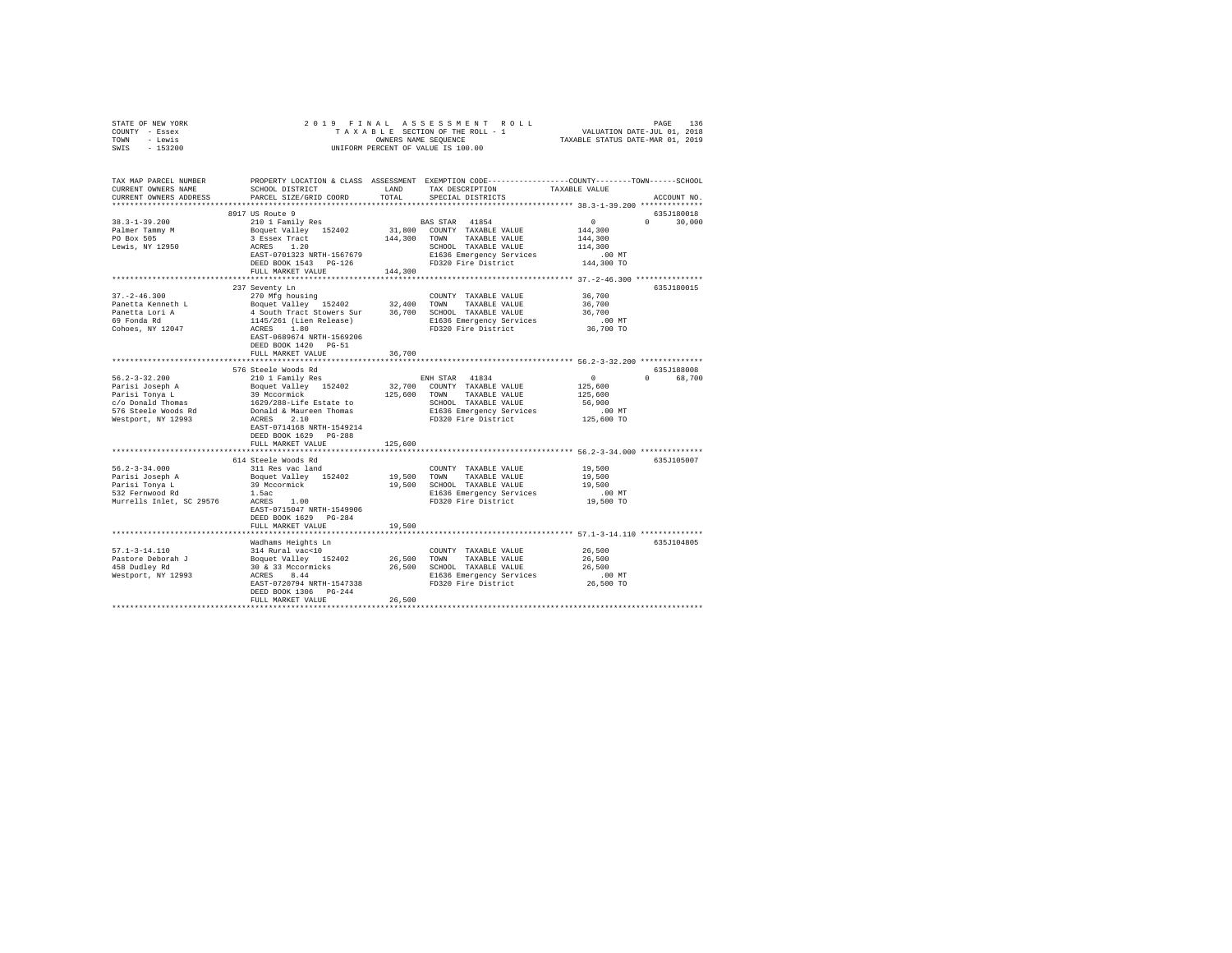| STATE OF NEW YORK            |                                                                                                                                                                                                                                                                                         |         |                                    |                                                     |               |
|------------------------------|-----------------------------------------------------------------------------------------------------------------------------------------------------------------------------------------------------------------------------------------------------------------------------------------|---------|------------------------------------|-----------------------------------------------------|---------------|
| COUNTY - Essex               |                                                                                                                                                                                                                                                                                         |         |                                    |                                                     |               |
| TOWN - Lewis                 |                                                                                                                                                                                                                                                                                         |         |                                    |                                                     |               |
| SWIS - 153200                |                                                                                                                                                                                                                                                                                         |         |                                    |                                                     |               |
|                              |                                                                                                                                                                                                                                                                                         |         |                                    |                                                     |               |
|                              |                                                                                                                                                                                                                                                                                         |         |                                    |                                                     |               |
|                              | TAX MAP PARCEL NUMBER PROPERTY LOCATION & CLASS ASSESSMENT EXEMPTION CODE--------------COUNTY-------TOWN------SCHOOL                                                                                                                                                                    |         |                                    |                                                     |               |
| CURRENT OWNERS NAME          | SCHOOL DISTRICT                                                                                                                                                                                                                                                                         |         | LAND TAX DESCRIPTION TAXABLE VALUE |                                                     |               |
| CURRENT OWNERS ADDRESS       | PARCEL SIZE/GRID COORD                                                                                                                                                                                                                                                                  | TOTAL   | SPECIAL DISTRICTS                  |                                                     | ACCOUNT NO.   |
|                              |                                                                                                                                                                                                                                                                                         |         |                                    |                                                     |               |
|                              | 8917 US Route 9                                                                                                                                                                                                                                                                         |         |                                    |                                                     | 635J180018    |
| $38.3 - 1 - 39.200$          |                                                                                                                                                                                                                                                                                         |         |                                    |                                                     | $0 \t 30.000$ |
|                              |                                                                                                                                                                                                                                                                                         |         |                                    | $\begin{smallmatrix}&&0\\&&244\end{smallmatrix}$    |               |
| Palmer Tammy M<br>PO Box 505 | 891/05 NOME 9<br>210 1 Family Res<br>BOQuet Valley 152402<br>3 Resex Tract<br>3 Essex Tract<br>2 144,300 TOWN TAXABLE VALUE<br>ACRES<br>2 120 120 SCHOOL TAXABLE VALUE<br>REST-0701323 NRTH-1567679<br>BEED BOOK 1543 PG-126<br>21636 Emergency Se                                      |         |                                    | 144,300                                             |               |
| Lewis, NY 12950              |                                                                                                                                                                                                                                                                                         |         |                                    | 114,300                                             |               |
|                              |                                                                                                                                                                                                                                                                                         |         |                                    | .00MT                                               |               |
|                              |                                                                                                                                                                                                                                                                                         |         |                                    | 144,300 TO                                          |               |
|                              | FULL MARKET VALUE                                                                                                                                                                                                                                                                       | 144,300 |                                    |                                                     |               |
|                              |                                                                                                                                                                                                                                                                                         |         |                                    |                                                     |               |
|                              | 237 Seventy Ln                                                                                                                                                                                                                                                                          |         |                                    |                                                     | 635J180015    |
|                              |                                                                                                                                                                                                                                                                                         |         |                                    |                                                     |               |
|                              |                                                                                                                                                                                                                                                                                         |         |                                    |                                                     |               |
|                              |                                                                                                                                                                                                                                                                                         |         |                                    |                                                     |               |
|                              |                                                                                                                                                                                                                                                                                         |         |                                    |                                                     |               |
|                              |                                                                                                                                                                                                                                                                                         |         |                                    |                                                     |               |
|                              |                                                                                                                                                                                                                                                                                         |         |                                    |                                                     |               |
|                              | DEED BOOK 1420 PG-51                                                                                                                                                                                                                                                                    |         |                                    |                                                     |               |
|                              | FULL MARKET VALUE                                                                                                                                                                                                                                                                       | 36,700  |                                    |                                                     |               |
|                              |                                                                                                                                                                                                                                                                                         |         |                                    | ********************** 56.2-3-32.200 ************** |               |
|                              | 576 Steele Woods Rd                                                                                                                                                                                                                                                                     |         |                                    |                                                     | 635J188008    |
| $56.2 - 3 - 32.200$          | 210 1 Family Res                                                                                                                                                                                                                                                                        |         | ENH STAR 41834                     |                                                     | 0 68,700      |
|                              |                                                                                                                                                                                                                                                                                         |         |                                    | $\begin{array}{c} 0 \\ 125,600 \end{array}$         |               |
|                              |                                                                                                                                                                                                                                                                                         |         |                                    |                                                     |               |
|                              |                                                                                                                                                                                                                                                                                         |         |                                    |                                                     |               |
|                              |                                                                                                                                                                                                                                                                                         |         |                                    |                                                     |               |
|                              |                                                                                                                                                                                                                                                                                         |         |                                    |                                                     |               |
|                              | $\begin{tabular}{l c c c c c} \hline 56.2-3-32.200 & & 210 & 1\tanh 1y\mbox{ Res} & & 1034 & 1\tanh 134 & & 1034 & 1034 & 1034 & 1034 & 1034 & 1034 & 1034 & 1034 & 1034 & 1034 & 1034 & 1034 & 1034 & 1034 & 1034 & 1034 & 1034 & 1034 & 1034 & 1034 & 1034 & 1034 & 1034 & 1034 & 10$ |         |                                    |                                                     |               |
|                              |                                                                                                                                                                                                                                                                                         |         |                                    |                                                     |               |
|                              | DEED BOOK 1629 PG-288                                                                                                                                                                                                                                                                   |         |                                    |                                                     |               |
|                              | FULL MARKET VALUE                                                                                                                                                                                                                                                                       | 125,600 |                                    |                                                     |               |
|                              |                                                                                                                                                                                                                                                                                         |         |                                    |                                                     |               |
|                              | 614 Steele Woods Rd                                                                                                                                                                                                                                                                     |         |                                    |                                                     | 635J105007    |
| $56.2 - 3 - 34.000$          | 311 Res vac land                                                                                                                                                                                                                                                                        |         | COUNTY TAXABLE VALUE               | 19,500                                              |               |
|                              | 19.2–3–34.000 MM MANDE VALUE Parisi Joseph A Boquet Valley 152402 19,500 TOWN TAXABLE VALUE Parisi Joseph A Boquet Valley 152402 19,500 STOWN TAXABLE VALUE Parisi Joseph A 39 Mccormick 19,500 STOWN TAXABLE VALUE Parisi Jos                                                          |         |                                    | 19,500                                              |               |
|                              |                                                                                                                                                                                                                                                                                         |         |                                    | 19,500                                              |               |
|                              |                                                                                                                                                                                                                                                                                         |         |                                    | 00 MT.<br>19,500 TO                                 |               |
|                              |                                                                                                                                                                                                                                                                                         |         |                                    |                                                     |               |
|                              | EAST-0715047 NRTH-1549906                                                                                                                                                                                                                                                               |         |                                    |                                                     |               |
|                              | DEED BOOK 1629 PG-284                                                                                                                                                                                                                                                                   |         |                                    |                                                     |               |
|                              | FULL MARKET VALUE                                                                                                                                                                                                                                                                       | 19,500  |                                    |                                                     |               |
|                              |                                                                                                                                                                                                                                                                                         |         |                                    |                                                     |               |
|                              | Wadhams Heights Ln                                                                                                                                                                                                                                                                      |         |                                    |                                                     | 635J104805    |
|                              |                                                                                                                                                                                                                                                                                         |         |                                    | 26,500                                              |               |
|                              |                                                                                                                                                                                                                                                                                         |         |                                    | 26,500                                              |               |
|                              |                                                                                                                                                                                                                                                                                         |         |                                    | 26,500                                              |               |
|                              |                                                                                                                                                                                                                                                                                         |         |                                    | 00 MT.<br>26,500 TO                                 |               |
|                              |                                                                                                                                                                                                                                                                                         |         |                                    |                                                     |               |
|                              | DEED BOOK 1306 PG-244                                                                                                                                                                                                                                                                   |         |                                    |                                                     |               |
|                              | FULL MARKET VALUE                                                                                                                                                                                                                                                                       | 26,500  |                                    |                                                     |               |
|                              |                                                                                                                                                                                                                                                                                         |         |                                    |                                                     |               |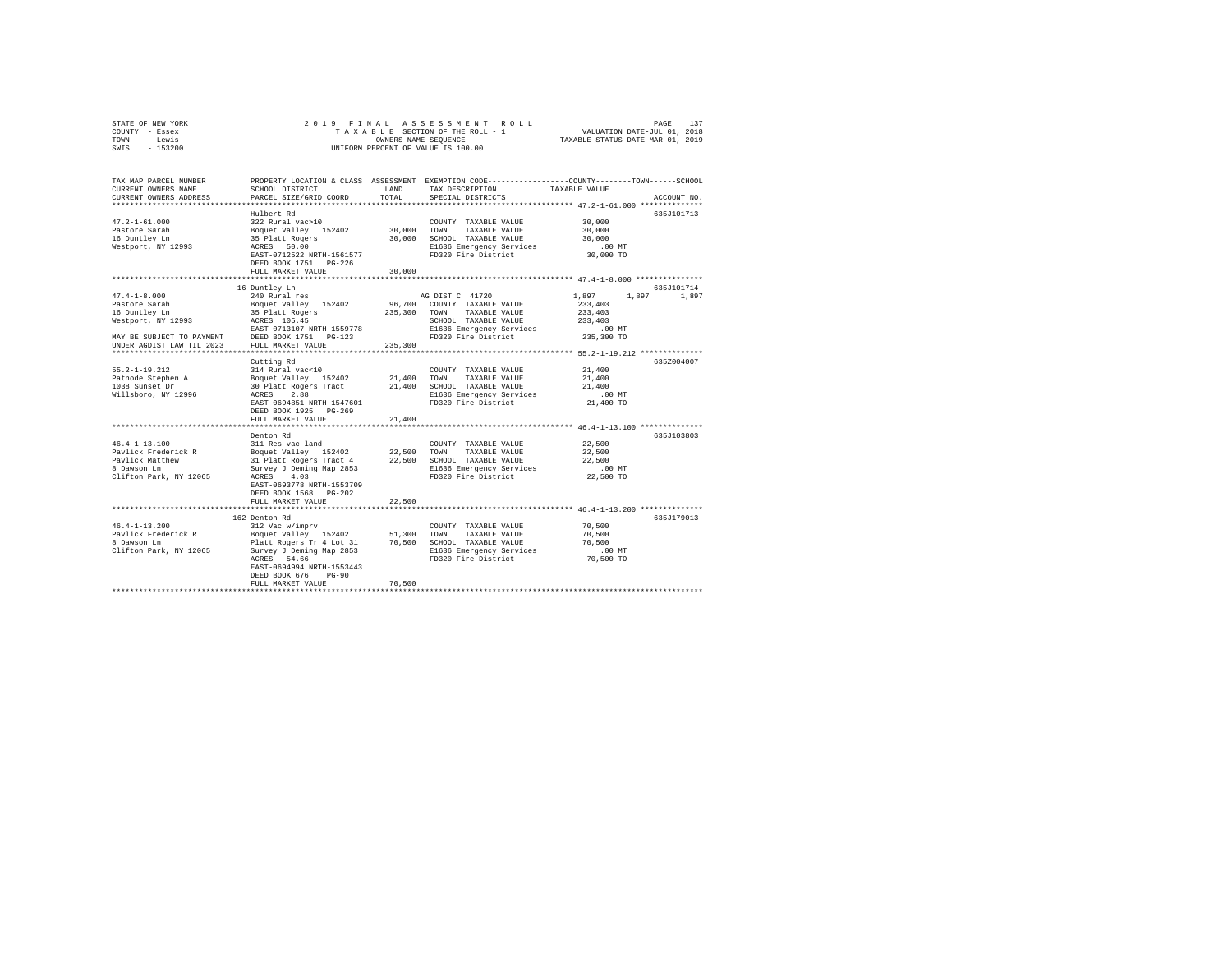| STATE OF NEW YORK | 2019 FINAL ASSESSMENT ROLL         | 137<br>PAGE                      |
|-------------------|------------------------------------|----------------------------------|
| COUNTY - Essex    | TAXABLE SECTION OF THE ROLL - 1    | VALUATION DATE-JUL 01, 2018      |
| - Lewis<br>TOWN   | OWNERS NAME SEOUENCE               | TAXABLE STATUS DATE-MAR 01, 2019 |
| $-153200$<br>SWIS | UNIFORM PERCENT OF VALUE IS 100.00 |                                  |

| TAX MAP PARCEL NUMBER<br>CURRENT OWNERS NAME<br>CURRENT OWNERS ADDRESS | SCHOOL DISTRICT<br>PARCEL SIZE/GRID COORD          | LAND<br>TOTAL        | PROPERTY LOCATION & CLASS ASSESSMENT EXEMPTION CODE----------------COUNTY-------TOWN-----SCHOOL<br>TAX DESCRIPTION<br>SPECIAL DISTRICTS | TAXABLE VALUE                                       | ACCOUNT NO.                  |
|------------------------------------------------------------------------|----------------------------------------------------|----------------------|-----------------------------------------------------------------------------------------------------------------------------------------|-----------------------------------------------------|------------------------------|
|                                                                        |                                                    |                      |                                                                                                                                         |                                                     |                              |
|                                                                        | Hulbert Rd                                         |                      |                                                                                                                                         |                                                     | 635J101713                   |
| $47.2 - 1 - 61.000$                                                    | 322 Rural vac>10                                   |                      | COUNTY TAXABLE VALUE                                                                                                                    | 30,000                                              |                              |
| Pastore Sarah                                                          | Boquet Valley 152402                               | 30,000               | TOWN<br>TAXABLE VALUE                                                                                                                   | 30,000                                              |                              |
| 16 Duntley Ln                                                          | 35 Platt Rogers                                    |                      | 30,000 SCHOOL TAXABLE VALUE                                                                                                             | 30,000                                              |                              |
| Westport, NY 12993                                                     | ACRES 50.00                                        |                      | E1636 Emergency Services                                                                                                                | $.00$ MT                                            |                              |
|                                                                        | EAST-0712522 NRTH-1561577<br>DEED BOOK 1751 PG-226 |                      | FD320 Fire District                                                                                                                     | 30,000 TO                                           |                              |
|                                                                        | FULL MARKET VALUE<br>*********************         | 30,000<br>********** |                                                                                                                                         | ********************* 47.4-1-8.000 **************** |                              |
|                                                                        |                                                    |                      |                                                                                                                                         |                                                     |                              |
| $47.4 - 1 - 8.000$                                                     | 16 Duntley Ln                                      |                      |                                                                                                                                         |                                                     | 635J101714<br>1.897<br>1,897 |
| Pastore Sarah                                                          | 240 Rural res                                      |                      | AG DIST C 41720<br>96,700 COUNTY TAXABLE VALUE                                                                                          | 1,897                                               |                              |
|                                                                        | Boquet Valley 152402                               | 235,300              |                                                                                                                                         | 233,403                                             |                              |
| 16 Duntley Ln                                                          | 35 Platt Rogers                                    |                      | TOWN<br>TAXABLE VALUE                                                                                                                   | 233,403                                             |                              |
| Westport, NY 12993                                                     | ACRES 105.45                                       |                      | SCHOOL TAXABLE VALUE                                                                                                                    | 233,403                                             |                              |
| MAY BE SUBJECT TO PAYMENT                                              | EAST-0713107 NRTH-1559778<br>DEED BOOK 1751 PG-123 |                      | E1636 Emergency Services                                                                                                                | .00 MT<br>235,300 TO                                |                              |
| UNDER AGDIST LAW TIL 2023                                              | FULL MARKET VALUE                                  | 235,300              | FD320 Fire District                                                                                                                     |                                                     |                              |
|                                                                        |                                                    |                      |                                                                                                                                         |                                                     |                              |
|                                                                        | Cutting Rd                                         |                      |                                                                                                                                         |                                                     | 635Z004007                   |
| $55.2 - 1 - 19.212$                                                    | 314 Rural vac<10                                   |                      | COUNTY TAXABLE VALUE                                                                                                                    | 21,400                                              |                              |
| Patnode Stephen A                                                      | Boquet Valley 152402                               | 21,400               | TOWN<br>TAXABLE VALUE                                                                                                                   | 21,400                                              |                              |
| 1038 Sunset Dr                                                         | 30 Platt Rogers Tract                              | 21,400               | SCHOOL TAXABLE VALUE                                                                                                                    | 21,400                                              |                              |
| Willsboro, NY 12996                                                    | ACRES<br>2.88                                      |                      | E1636 Emergency Services                                                                                                                | $.00$ MT                                            |                              |
|                                                                        | EAST-0694851 NRTH-1547601                          |                      | FD320 Fire District                                                                                                                     | 21,400 TO                                           |                              |
|                                                                        | DEED BOOK 1925 PG-269                              |                      |                                                                                                                                         |                                                     |                              |
|                                                                        | FULL MARKET VALUE                                  | 21,400               |                                                                                                                                         |                                                     |                              |
|                                                                        |                                                    |                      |                                                                                                                                         |                                                     |                              |
|                                                                        | Denton Rd                                          |                      |                                                                                                                                         |                                                     | 635J103803                   |
| $46.4 - 1 - 13.100$                                                    | 311 Res vac land                                   |                      | COUNTY TAXABLE VALUE                                                                                                                    | 22,500                                              |                              |
| Pavlick Frederick R                                                    | Boquet Valley 152402                               | 22,500 TOWN          | TAXABLE VALUE                                                                                                                           | 22,500                                              |                              |
| Pavlick Matthew                                                        | 31 Platt Rogers Tract 4                            |                      | 22,500 SCHOOL TAXABLE VALUE                                                                                                             | 22,500                                              |                              |
| 8 Dawson Ln                                                            | Survey J Deming Map 2853                           |                      | E1636 Emergency Services                                                                                                                | $.00$ MT                                            |                              |
| Clifton Park, NY 12065                                                 | ACRES<br>4.03                                      |                      | FD320 Fire District                                                                                                                     | 22,500 TO                                           |                              |
|                                                                        | EAST-0693778 NRTH-1553709                          |                      |                                                                                                                                         |                                                     |                              |
|                                                                        | DEED BOOK 1568 PG-202                              |                      |                                                                                                                                         |                                                     |                              |
|                                                                        | FULL MARKET VALUE                                  | 22,500               |                                                                                                                                         |                                                     |                              |
|                                                                        |                                                    |                      |                                                                                                                                         |                                                     |                              |
|                                                                        | 162 Denton Rd                                      |                      |                                                                                                                                         |                                                     | 635J179013                   |
| $46.4 - 1 - 13.200$                                                    | 312 Vac w/imprv                                    |                      | COUNTY TAXABLE VALUE                                                                                                                    | 70,500                                              |                              |
| Pavlick Frederick R                                                    | Boquet Valley 152402                               |                      | 51,300 TOWN<br>TAXABLE VALUE                                                                                                            | 70,500                                              |                              |
| 8 Dawson Ln                                                            | Platt Rogers Tr 4 Lot 31                           |                      | 70,500 SCHOOL TAXABLE VALUE                                                                                                             | 70,500                                              |                              |
| Clifton Park, NY 12065                                                 | Survey J Deming Map 2853                           |                      | E1636 Emergency Services                                                                                                                | .00 MT                                              |                              |
|                                                                        | ACRES 54.66                                        |                      | FD320 Fire District                                                                                                                     | 70,500 TO                                           |                              |
|                                                                        | EAST-0694994 NRTH-1553443                          |                      |                                                                                                                                         |                                                     |                              |
|                                                                        | DEED BOOK 676<br>$PG-90$                           |                      |                                                                                                                                         |                                                     |                              |
|                                                                        | FULL MARKET VALUE                                  | 70,500               |                                                                                                                                         |                                                     |                              |
|                                                                        |                                                    |                      |                                                                                                                                         |                                                     |                              |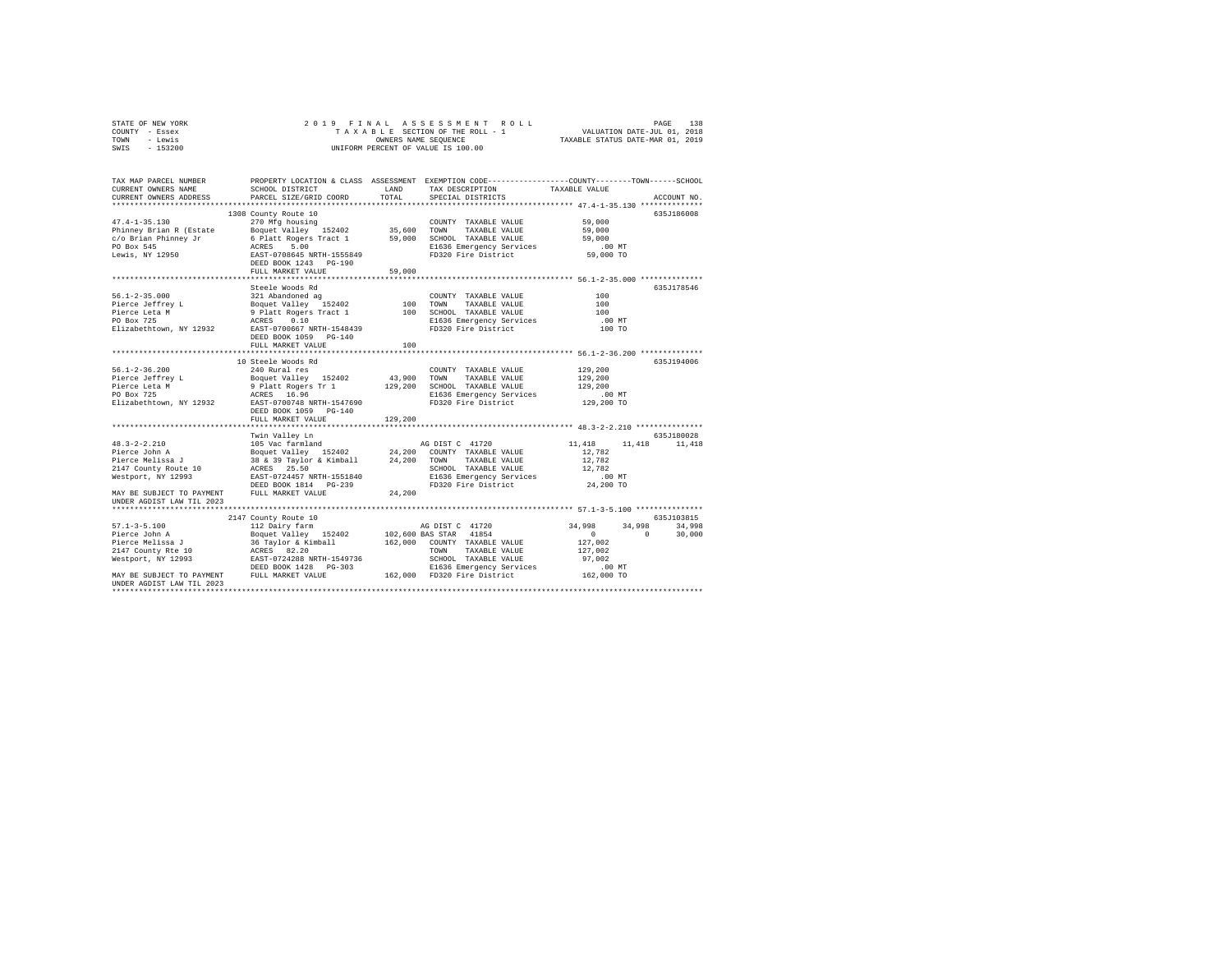|      | STATE OF NEW YORK |  |  |  | 2019 FINAL ASSESSMENT ROLL         |                                  | PAGE | 138 |
|------|-------------------|--|--|--|------------------------------------|----------------------------------|------|-----|
|      | COUNTY - Essex    |  |  |  | TAXABLE SECTION OF THE ROLL - 1    | VALUATION DATE-JUL 01, 2018      |      |     |
| TOWN | - Lewis           |  |  |  | OWNERS NAME SEOUENCE               | TAXABLE STATUS DATE-MAR 01, 2019 |      |     |
|      | SWIS - 153200     |  |  |  | UNIFORM PERCENT OF VALUE IS 100.00 |                                  |      |     |

| TAX MAP PARCEL NUMBER     | PROPERTY LOCATION & CLASS ASSESSMENT EXEMPTION CODE----------------COUNTY-------TOWN------SCHOOL |         |                                                                  |                      |             |
|---------------------------|--------------------------------------------------------------------------------------------------|---------|------------------------------------------------------------------|----------------------|-------------|
| CURRENT OWNERS NAME       | SCHOOL DISTRICT                                                                                  |         | LAND TAX DESCRIPTION TAXABLE VALUE                               |                      |             |
| CURRENT OWNERS ADDRESS    | PARCEL SIZE/GRID COORD                                                                           | TOTAL   | SPECIAL DISTRICTS                                                |                      | ACCOUNT NO. |
|                           |                                                                                                  |         |                                                                  |                      |             |
|                           | 1308 County Route 10                                                                             |         | COUNTY TAXABLE VALUE 59,000                                      |                      | 635J186008  |
|                           |                                                                                                  |         |                                                                  | 59,000               |             |
|                           |                                                                                                  |         |                                                                  | 59,000               |             |
|                           |                                                                                                  |         |                                                                  |                      |             |
|                           |                                                                                                  |         | E1636 Emergency Services .00 MT<br>FD320 Fire District 59,000 TO |                      |             |
|                           |                                                                                                  |         |                                                                  |                      |             |
|                           | FULL MARKET VALUE                                                                                | 59,000  |                                                                  |                      |             |
|                           |                                                                                                  |         |                                                                  |                      |             |
|                           | Steele Woods Rd                                                                                  |         |                                                                  |                      | 635J178546  |
|                           |                                                                                                  |         |                                                                  | 100                  |             |
|                           |                                                                                                  |         |                                                                  | 100                  |             |
|                           |                                                                                                  |         |                                                                  | 100                  |             |
|                           |                                                                                                  |         |                                                                  | .00 MT               |             |
|                           |                                                                                                  |         | E1636 Emergency Services<br>FD320 Fire District                  | 100 TO               |             |
|                           | DEED BOOK 1059 PG-140                                                                            |         |                                                                  |                      |             |
|                           | FULL MARKET VALUE                                                                                | 100     |                                                                  |                      |             |
|                           |                                                                                                  |         |                                                                  |                      |             |
|                           | 10 Steele Woods Rd                                                                               |         |                                                                  |                      | 635J194006  |
| 56.1-2-36.200             | 240 Rural res                                                                                    |         | COUNTY TAXABLE VALUE                                             | 129,200              |             |
|                           |                                                                                                  |         |                                                                  | 129,200<br>129,200   |             |
|                           |                                                                                                  |         |                                                                  |                      |             |
|                           |                                                                                                  |         |                                                                  | 00 MT.<br>129,200 TO |             |
|                           |                                                                                                  |         |                                                                  |                      |             |
|                           |                                                                                                  |         |                                                                  |                      |             |
|                           | FULL MARKET VALUE                                                                                | 129,200 |                                                                  |                      |             |
|                           |                                                                                                  |         |                                                                  |                      |             |
|                           | Twin Valley Ln                                                                                   |         |                                                                  |                      | 635J180028  |
|                           |                                                                                                  |         |                                                                  | 11,418 11,418 11,418 |             |
|                           |                                                                                                  |         |                                                                  | 12,782               |             |
|                           |                                                                                                  |         | SCHOOL TAXABLE VALUE                                             | 12,782               |             |
|                           |                                                                                                  |         |                                                                  | 12,782               |             |
|                           |                                                                                                  |         | E1636 Emergency Services .00 MT<br>FD320 Fire District 24,200 TO |                      |             |
|                           |                                                                                                  |         |                                                                  |                      |             |
| UNDER AGDIST LAW TIL 2023 |                                                                                                  |         |                                                                  |                      |             |
|                           |                                                                                                  |         |                                                                  |                      |             |
|                           | 2147 County Route 10                                                                             |         |                                                                  |                      | 635J103815  |
|                           |                                                                                                  |         |                                                                  | 34,998 34,998 34,998 |             |
|                           |                                                                                                  |         |                                                                  | $\sim$ 0             | 30,000      |
|                           |                                                                                                  |         |                                                                  |                      |             |
|                           |                                                                                                  |         |                                                                  |                      |             |
|                           |                                                                                                  |         |                                                                  |                      |             |
|                           |                                                                                                  |         |                                                                  |                      |             |
|                           |                                                                                                  |         |                                                                  |                      |             |
| UNDER AGDIST LAW TIL 2023 |                                                                                                  |         |                                                                  |                      |             |
|                           |                                                                                                  |         |                                                                  |                      |             |
|                           |                                                                                                  |         |                                                                  |                      |             |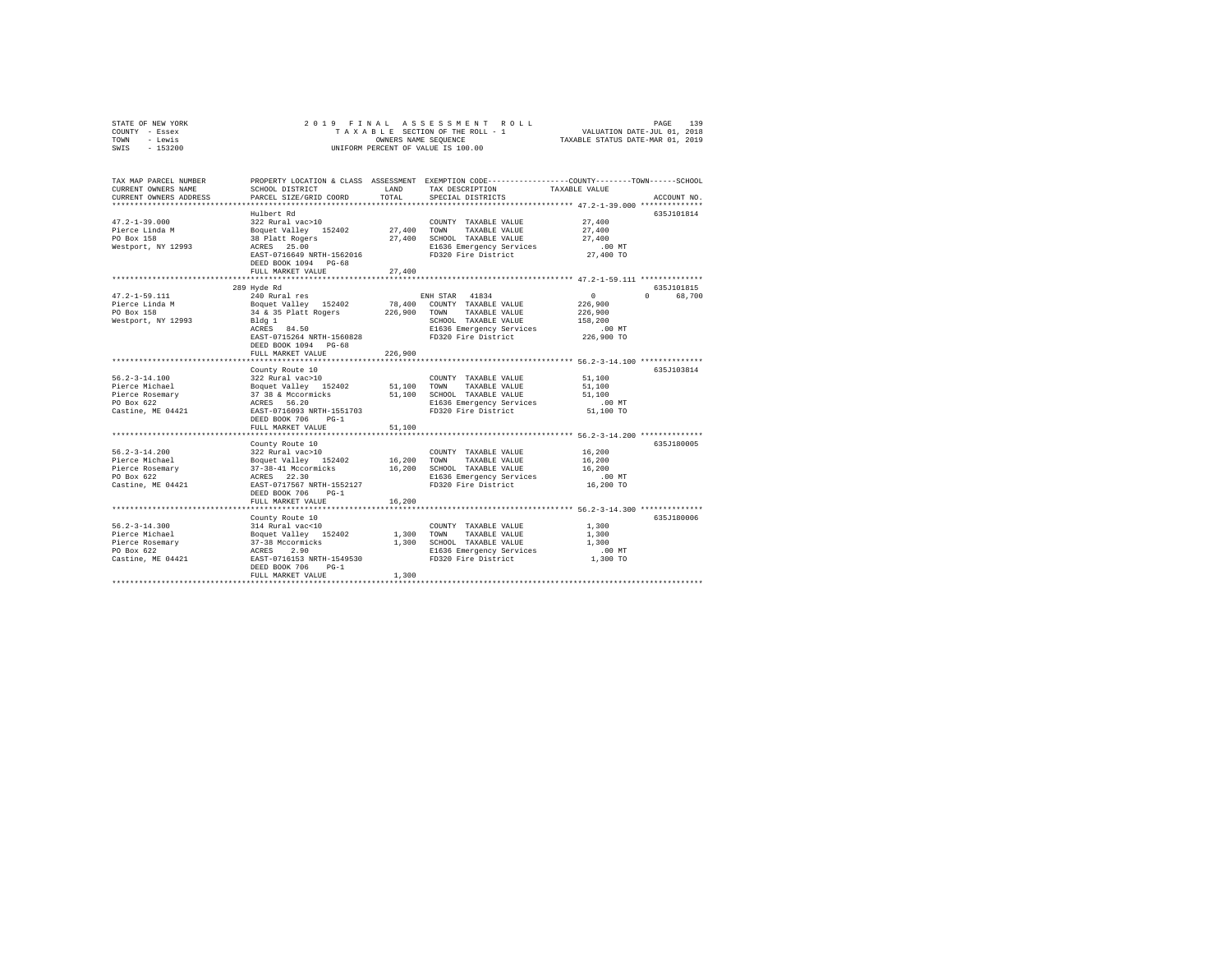| STATE OF NEW YORK                     | 2019 FINAL                                                |         | ASSESSMENT ROLL                                                                                | PAGE 139<br>VALUATION DATE-JUL 01, 2018 |                    |
|---------------------------------------|-----------------------------------------------------------|---------|------------------------------------------------------------------------------------------------|-----------------------------------------|--------------------|
| COUNTY - Essex                        |                                                           |         | TAXABLE SECTION OF THE ROLL - 1                                                                |                                         |                    |
| TOWN - Lewis                          |                                                           |         | OWNERS NAME SEQUENCE                                                                           | TAXABLE STATUS DATE-MAR 01, 2019        |                    |
| SWIS - 153200                         |                                                           |         | UNIFORM PERCENT OF VALUE IS 100.00                                                             |                                         |                    |
|                                       |                                                           |         |                                                                                                |                                         |                    |
|                                       |                                                           |         |                                                                                                |                                         |                    |
| TAX MAP PARCEL NUMBER                 |                                                           |         | PROPERTY LOCATION & CLASS ASSESSMENT EXEMPTION CODE---------------COUNTY-------TOWN-----SCHOOL |                                         |                    |
| CURRENT OWNERS NAME                   | SCHOOL DISTRICT                                           | LAND    | TAX DESCRIPTION                                                                                | TAXABLE VALUE                           |                    |
| CURRENT OWNERS ADDRESS                | PARCEL SIZE/GRID COORD                                    | TOTAL   | SPECIAL DISTRICTS                                                                              |                                         | ACCOUNT NO.        |
|                                       |                                                           |         |                                                                                                |                                         |                    |
|                                       | Hulbert Rd                                                |         |                                                                                                |                                         | 635J101814         |
| $47.2 - 1 - 39.000$                   | 322 Rural vac>10                                          |         | COUNTY TAXABLE VALUE                                                                           | 27,400                                  |                    |
| Pierce Linda M                        | Boquet Valley 152402                                      | 27,400  | TOWN<br>TAXABLE VALUE                                                                          | 27,400                                  |                    |
| PO Box 158<br>Westport, NY 12993      | 38 Platt Rogers<br>ACRES 25.00                            | 27,400  | SCHOOL TAXABLE VALUE<br>E1636 Emergency Services                                               | 27,400<br>$.00$ MT                      |                    |
|                                       | EAST-0716649 NRTH-1562016                                 |         | FD320 Fire District                                                                            | 27,400 TO                               |                    |
|                                       | DEED BOOK 1094 PG-68                                      |         |                                                                                                |                                         |                    |
|                                       | FULL MARKET VALUE                                         | 27,400  |                                                                                                |                                         |                    |
|                                       |                                                           |         |                                                                                                |                                         |                    |
|                                       | 289 Hyde Rd                                               |         |                                                                                                |                                         | 635J101815         |
| $47.2 - 1 - 59.111$                   | 240 Rural res                                             |         | ENH STAR 41834                                                                                 | 0                                       | $\Omega$<br>68,700 |
| Pierce Linda M                        | Boquet Valley 152402                                      |         | 78,400 COUNTY TAXABLE VALUE                                                                    | 226,900                                 |                    |
| PO Box 158                            | 34 & 35 Platt Rogers                                      | 226,900 | TOWN TAXABLE VALUE                                                                             | 226,900                                 |                    |
| Westport, NY 12993                    | Bldg 1                                                    |         | SCHOOL TAXABLE VALUE                                                                           | 158,200                                 |                    |
|                                       | ACRES 84.50                                               |         | E1636 Emergency Services                                                                       | .00 MT                                  |                    |
|                                       | EAST-0715264 NRTH-1560828                                 |         | FD320 Fire District                                                                            | 226,900 TO                              |                    |
|                                       | DEED BOOK 1094 PG-68<br>FULL MARKET VALUE                 | 226,900 |                                                                                                |                                         |                    |
|                                       |                                                           |         |                                                                                                |                                         |                    |
|                                       | County Route 10                                           |         |                                                                                                |                                         | 635J103814         |
| $56.2 - 3 - 14.100$                   | 322 Rural vac>10                                          |         | COUNTY TAXABLE VALUE                                                                           | 51,100                                  |                    |
| Pierce Michael                        |                                                           | 51,100  | TOWN<br>TAXABLE VALUE                                                                          | 51,100                                  |                    |
| Pierce Rosemary                       | Boquet Valley 152402<br>37 38 & Mccormicks                | 51,100  | SCHOOL TAXABLE VALUE                                                                           | 51,100                                  |                    |
| PO Box 622                            | ACRES 56.20                                               |         | E1636 Emergency Services                                                                       | $.00$ MT                                |                    |
| Castine, ME 04421                     | EAST-0716093 NRTH-1551703                                 |         | FD320 Fire District                                                                            | 51,100 TO                               |                    |
|                                       | DEED BOOK 706 PG-1                                        |         |                                                                                                |                                         |                    |
|                                       | FULL MARKET VALUE                                         | 51,100  |                                                                                                |                                         |                    |
|                                       |                                                           |         |                                                                                                |                                         |                    |
|                                       | County Route 10                                           |         |                                                                                                |                                         | 635J180005         |
| $56.2 - 3 - 14.200$<br>Pierce Michael | 322 Rural vac>10                                          |         | COUNTY TAXABLE VALUE<br>TOWN                                                                   | 16,200                                  |                    |
| Pierce Rosemary                       | Boquet Valley 152402 16,200<br>37-38-41 Mccormicks 16,200 |         | TAXABLE VALUE<br>16,200 SCHOOL TAXABLE VALUE                                                   | 16,200<br>16,200                        |                    |
| PO Box 622                            | ACRES 22.30                                               |         | E1636 Emergency Services                                                                       | $.00$ MT                                |                    |
| Castine, ME 04421                     | EAST-0717567 NRTH-1552127                                 |         | FD320 Fire District                                                                            | 16,200 TO                               |                    |
|                                       | DEED BOOK 706 PG-1                                        |         |                                                                                                |                                         |                    |
|                                       | FULL MARKET VALUE                                         | 16,200  |                                                                                                |                                         |                    |
|                                       |                                                           |         |                                                                                                |                                         |                    |
|                                       | County Route 10                                           |         |                                                                                                |                                         | 635J180006         |
| $56.2 - 3 - 14.300$                   | 314 Rural vac<10                                          |         | COUNTY TAXABLE VALUE                                                                           | 1,300                                   |                    |
| Pierce Michael                        | Boquet Valley 152402<br>37-38 Mccormicks                  | 1,300   | TOWN<br>TAXABLE VALUE                                                                          | 1,300                                   |                    |
| Pierce Rosemary                       |                                                           |         | 1,300 SCHOOL TAXABLE VALUE                                                                     | 1,300                                   |                    |
| PO Box 622                            | ACRES 2.90                                                |         | E1636 Emergency Services                                                                       | $.00$ MT                                |                    |
| Castine, ME 04421                     | EAST-0716153 NRTH-1549530<br>DEED BOOK 706 PG-1           |         | FD320 Fire District                                                                            | 1,300 TO                                |                    |
|                                       | FULL MARKET VALUE                                         | 1,300   |                                                                                                |                                         |                    |
|                                       |                                                           |         |                                                                                                |                                         |                    |
|                                       |                                                           |         |                                                                                                |                                         |                    |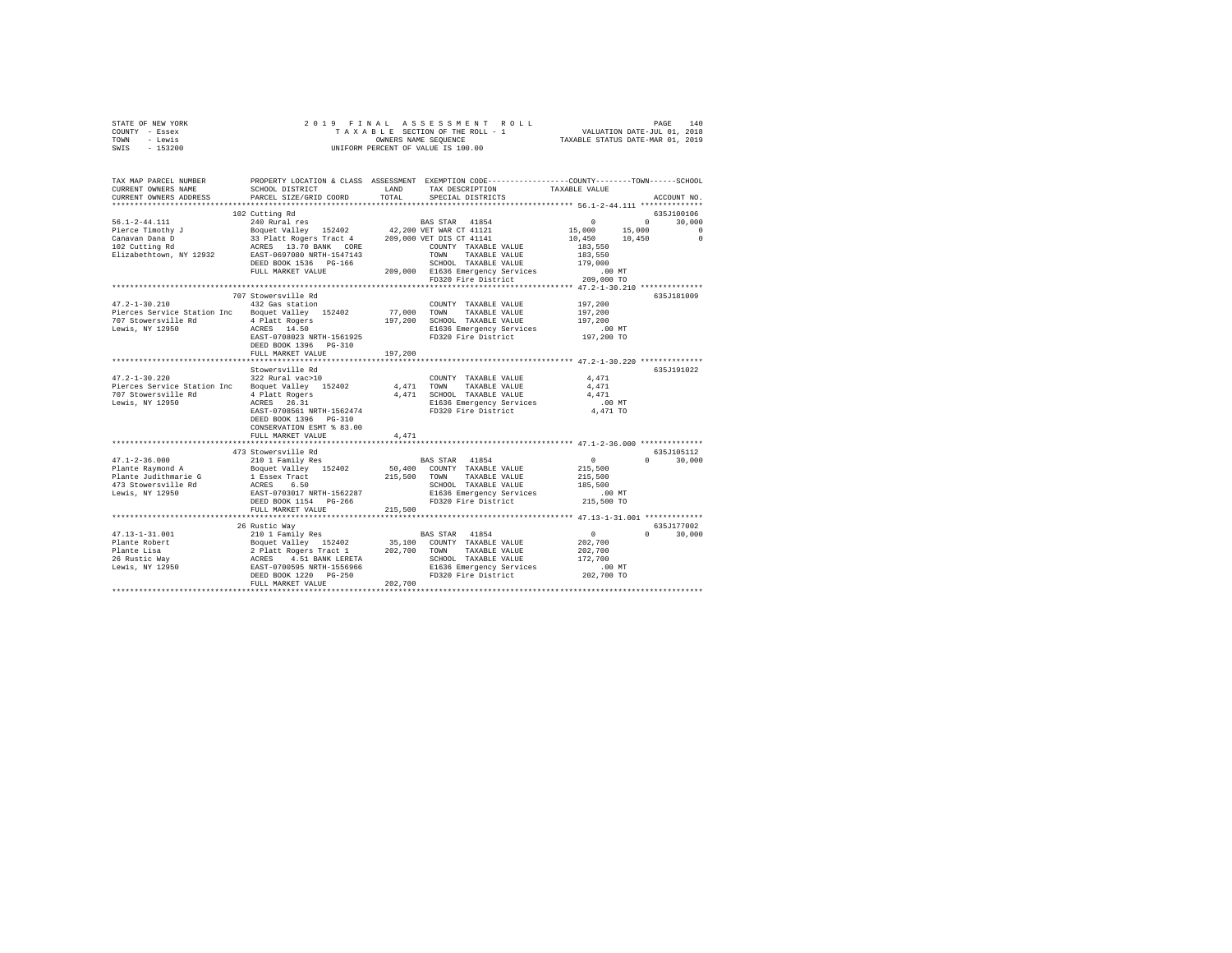| STATE OF NEW YORK<br>COUNTY - Essex                                                                                                                                                                                                |                                                                                                   |                             |                                                                         |                                                                                                                      |  |                   |
|------------------------------------------------------------------------------------------------------------------------------------------------------------------------------------------------------------------------------------|---------------------------------------------------------------------------------------------------|-----------------------------|-------------------------------------------------------------------------|----------------------------------------------------------------------------------------------------------------------|--|-------------------|
| TOWN - Lewis                                                                                                                                                                                                                       |                                                                                                   |                             |                                                                         |                                                                                                                      |  |                   |
| SWIS - 153200                                                                                                                                                                                                                      |                                                                                                   |                             |                                                                         |                                                                                                                      |  |                   |
|                                                                                                                                                                                                                                    |                                                                                                   |                             |                                                                         |                                                                                                                      |  |                   |
| TAX MAP PARCEL NUMBER                                                                                                                                                                                                              | PROPERTY LOCATION & CLASS ASSESSMENT EXEMPTION CODE----------------COUNTY--------TOWN------SCHOOL |                             |                                                                         |                                                                                                                      |  |                   |
| CURRENT OWNERS NAME                                                                                                                                                                                                                | SCHOOL DISTRICT LAND                                                                              |                             | TAX DESCRIPTION                                                         | TAXABLE VALUE                                                                                                        |  |                   |
| CURRENT OWNERS ADDRESS                                                                                                                                                                                                             | PARCEL SIZE/GRID COORD                                                                            | TOTAL                       | SPECIAL DISTRICTS                                                       |                                                                                                                      |  | ACCOUNT NO.       |
|                                                                                                                                                                                                                                    |                                                                                                   |                             |                                                                         |                                                                                                                      |  |                   |
|                                                                                                                                                                                                                                    | 102 Cutting Rd                                                                                    |                             |                                                                         |                                                                                                                      |  | 635J100106        |
|                                                                                                                                                                                                                                    |                                                                                                   |                             |                                                                         | $\sim$ 0                                                                                                             |  | $0 \t 30.000$     |
|                                                                                                                                                                                                                                    |                                                                                                   |                             |                                                                         |                                                                                                                      |  | $\qquad \qquad 0$ |
|                                                                                                                                                                                                                                    |                                                                                                   |                             |                                                                         | $\begin{array}{cc} 15 \, , \, 000 & \qquad & 15 \, , \, 000 \\ 10 \, , \, 450 & \qquad & 10 \, , \, 450 \end{array}$ |  | $\overline{0}$    |
|                                                                                                                                                                                                                                    |                                                                                                   |                             |                                                                         | 183,550                                                                                                              |  |                   |
|                                                                                                                                                                                                                                    |                                                                                                   |                             |                                                                         | 183,550                                                                                                              |  |                   |
|                                                                                                                                                                                                                                    |                                                                                                   |                             |                                                                         | 179,000                                                                                                              |  |                   |
|                                                                                                                                                                                                                                    |                                                                                                   |                             |                                                                         | .00MT                                                                                                                |  |                   |
|                                                                                                                                                                                                                                    |                                                                                                   |                             | FD320 Fire District                                                     | 209,000 TO                                                                                                           |  |                   |
|                                                                                                                                                                                                                                    |                                                                                                   |                             |                                                                         |                                                                                                                      |  |                   |
|                                                                                                                                                                                                                                    | 707 Stowersville Rd                                                                               |                             |                                                                         |                                                                                                                      |  | 635J181009        |
| $47.2 - 1 - 30.210$                                                                                                                                                                                                                | 432 Gas station                                                                                   |                             | COUNTY TAXABLE VALUE                                                    | 197,200                                                                                                              |  |                   |
|                                                                                                                                                                                                                                    |                                                                                                   |                             |                                                                         | 197.200                                                                                                              |  |                   |
|                                                                                                                                                                                                                                    |                                                                                                   |                             |                                                                         | 197,200                                                                                                              |  |                   |
|                                                                                                                                                                                                                                    |                                                                                                   |                             |                                                                         | $.00$ MT                                                                                                             |  |                   |
|                                                                                                                                                                                                                                    |                                                                                                   |                             |                                                                         | 197,200 TO                                                                                                           |  |                   |
|                                                                                                                                                                                                                                    | DEED BOOK 1396 PG-310                                                                             |                             |                                                                         |                                                                                                                      |  |                   |
|                                                                                                                                                                                                                                    | FULL MARKET VALUE                                                                                 | 197,200                     |                                                                         |                                                                                                                      |  |                   |
|                                                                                                                                                                                                                                    |                                                                                                   |                             |                                                                         |                                                                                                                      |  |                   |
|                                                                                                                                                                                                                                    | Stowersville Rd                                                                                   |                             |                                                                         |                                                                                                                      |  | 635J191022        |
| $47.2 - 1 - 30.220$                                                                                                                                                                                                                | 322 Rural vac>10                                                                                  |                             | COUNTY TAXABLE VALUE                                                    | 4.471                                                                                                                |  |                   |
| Pierces Service Station Inc Boquet Valley 152402                                                                                                                                                                                   |                                                                                                   |                             | 4,471 TOWN TAXABLE VALUE                                                | 4,471                                                                                                                |  |                   |
|                                                                                                                                                                                                                                    |                                                                                                   |                             |                                                                         | 4.471                                                                                                                |  |                   |
| Pierres Service Scatter (1992) (1994) (1994) (1994) (1994) (1994) (1994) (1995) (1994) (1995) (1995) (1995) (1<br>Lewis, NY 12950 (1995) (1995) (1995) (1996) (1996) (1996) (1996) (1996) (1996) (1996) (1996) (1996) (1996)<br>EA |                                                                                                   |                             |                                                                         | $.00$ MT                                                                                                             |  |                   |
|                                                                                                                                                                                                                                    |                                                                                                   |                             |                                                                         | 4,471 TO                                                                                                             |  |                   |
|                                                                                                                                                                                                                                    | DEED BOOK 1396 PG-310                                                                             |                             |                                                                         |                                                                                                                      |  |                   |
|                                                                                                                                                                                                                                    | CONSERVATION ESMT % 83.00                                                                         |                             |                                                                         |                                                                                                                      |  |                   |
|                                                                                                                                                                                                                                    | FULL MARKET VALUE                                                                                 | 4,471                       |                                                                         |                                                                                                                      |  |                   |
|                                                                                                                                                                                                                                    |                                                                                                   |                             |                                                                         |                                                                                                                      |  |                   |
|                                                                                                                                                                                                                                    | 473 Stowersville Rd                                                                               |                             |                                                                         |                                                                                                                      |  | 635J105112        |
| $47.1 - 2 - 36.000$                                                                                                                                                                                                                | 210 1 Family Res                                                                                  | BAS STAR 41854              |                                                                         | $\sim$ 0                                                                                                             |  | $0 \t 30.000$     |
| Plante Raymond A                                                                                                                                                                                                                   | Boquet Valley 152402                                                                              | 50,400 COUNTY TAXABLE VALUE |                                                                         | 215,500                                                                                                              |  |                   |
|                                                                                                                                                                                                                                    |                                                                                                   | 215,500 TOWN TAXABLE VALUE  |                                                                         | 215,500                                                                                                              |  |                   |
| Plante Judithmarie G 1 I Basex Tract<br>173 Stowersville Rd 2 ACRES 6.50<br>173 Stowersville Rd ACRES 6.50<br>Lewis, NY 12950                                                                                                      |                                                                                                   |                             | SCHOOL TAXABLE VALUE                                                    | 185,500                                                                                                              |  |                   |
| Lewis, NY 12950                                                                                                                                                                                                                    |                                                                                                   |                             | SCHOOL TAXABLE VALUE<br>E1636 Emergency Services<br>FD320 Fire District | .00 MT                                                                                                               |  |                   |
|                                                                                                                                                                                                                                    | DEED BOOK 1154 PG-266                                                                             |                             |                                                                         | 215,500 TO                                                                                                           |  |                   |
|                                                                                                                                                                                                                                    | FULL MARKET VALUE                                                                                 | 215,500                     |                                                                         |                                                                                                                      |  |                   |
|                                                                                                                                                                                                                                    |                                                                                                   |                             |                                                                         |                                                                                                                      |  |                   |
|                                                                                                                                                                                                                                    | 26 Rustic Way                                                                                     |                             |                                                                         |                                                                                                                      |  | 635J177002        |
|                                                                                                                                                                                                                                    |                                                                                                   |                             |                                                                         | $\sim$ 0                                                                                                             |  | $0 \t 30,000$     |
|                                                                                                                                                                                                                                    |                                                                                                   |                             |                                                                         | 202,700                                                                                                              |  |                   |
|                                                                                                                                                                                                                                    |                                                                                                   |                             |                                                                         | 202,700                                                                                                              |  |                   |
|                                                                                                                                                                                                                                    |                                                                                                   |                             | SCHOOL TAXABLE VALUE                                                    | 172,700                                                                                                              |  |                   |
|                                                                                                                                                                                                                                    |                                                                                                   |                             |                                                                         | .00 MT                                                                                                               |  |                   |
|                                                                                                                                                                                                                                    |                                                                                                   |                             |                                                                         | 202,700 TO                                                                                                           |  |                   |
|                                                                                                                                                                                                                                    | FULL MARKET VALUE                                                                                 | 202,700                     |                                                                         |                                                                                                                      |  |                   |
|                                                                                                                                                                                                                                    |                                                                                                   |                             |                                                                         |                                                                                                                      |  |                   |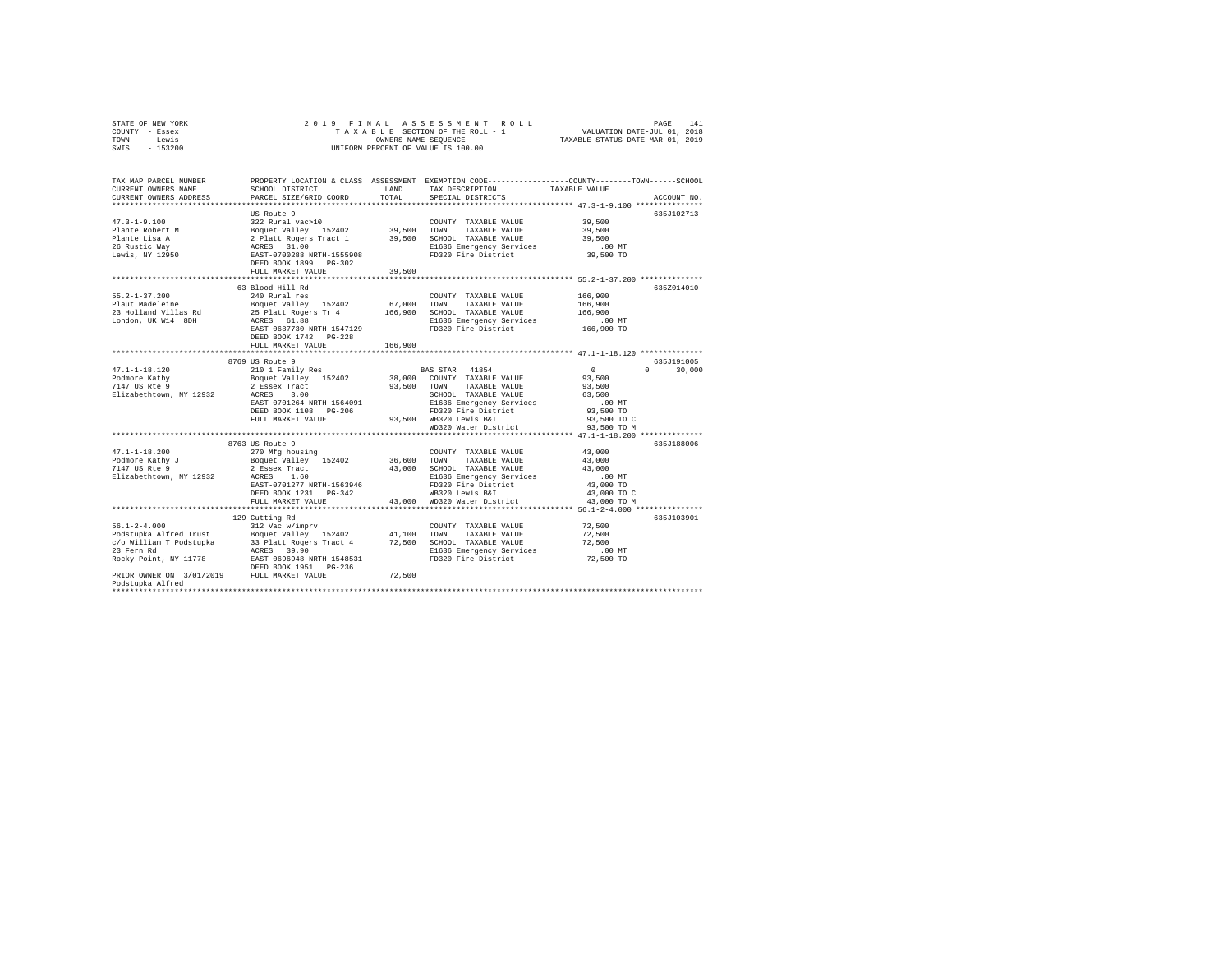| STATE OF NEW YORK<br>COUNTY - Essex | 2019 FINAL                                                                                                                                                                                                                                    |                      |                                                                                                                                                                                                                                        |                                                                                                 |  |  |
|-------------------------------------|-----------------------------------------------------------------------------------------------------------------------------------------------------------------------------------------------------------------------------------------------|----------------------|----------------------------------------------------------------------------------------------------------------------------------------------------------------------------------------------------------------------------------------|-------------------------------------------------------------------------------------------------|--|--|
| TOWN - Lewis<br>SWIS - 153200       | OWNERS NAME SEQUENCE<br>UNIFORM PERCENT OF VALUE IS 100.00                                                                                                                                                                                    |                      |                                                                                                                                                                                                                                        |                                                                                                 |  |  |
|                                     |                                                                                                                                                                                                                                               |                      |                                                                                                                                                                                                                                        |                                                                                                 |  |  |
| TAX MAP PARCEL NUMBER               |                                                                                                                                                                                                                                               |                      |                                                                                                                                                                                                                                        | PROPERTY LOCATION & CLASS ASSESSMENT EXEMPTION CODE---------------COUNTY-------TOWN------SCHOOL |  |  |
| CURRENT OWNERS NAME                 | SCHOOL DISTRICT LAND                                                                                                                                                                                                                          |                      | TAX DESCRIPTION                                                                                                                                                                                                                        | TAXABLE VALUE                                                                                   |  |  |
| CURRENT OWNERS ADDRESS              | PARCEL SIZE/GRID COORD                                                                                                                                                                                                                        | TOTAL                | SPECIAL DISTRICTS                                                                                                                                                                                                                      | ACCOUNT NO.                                                                                     |  |  |
|                                     | US Route 9                                                                                                                                                                                                                                    |                      |                                                                                                                                                                                                                                        | 635J102713                                                                                      |  |  |
| $47.3 - 1 - 9.100$                  | 322 Rural vac>10<br>Boquet Valley 152402<br>29,500 TOWNTY TAXABLE VALUE 39,500<br>29 Platt Rogers Tract 1<br>29,500 SCHOOL TAXABLE VALUE 39,500<br>29 Platt Rogers Tract 1<br>29,500 SCHOOL TAXABLE VALUE 39,500<br>29,500 REES 31.00<br>REES |                      |                                                                                                                                                                                                                                        |                                                                                                 |  |  |
| Plante Robert M                     |                                                                                                                                                                                                                                               |                      |                                                                                                                                                                                                                                        |                                                                                                 |  |  |
| Plante Lisa A                       |                                                                                                                                                                                                                                               |                      |                                                                                                                                                                                                                                        |                                                                                                 |  |  |
| 26 Rustic Way                       |                                                                                                                                                                                                                                               |                      |                                                                                                                                                                                                                                        |                                                                                                 |  |  |
| Lewis, NY 12950                     |                                                                                                                                                                                                                                               |                      |                                                                                                                                                                                                                                        |                                                                                                 |  |  |
|                                     |                                                                                                                                                                                                                                               |                      |                                                                                                                                                                                                                                        |                                                                                                 |  |  |
|                                     | FULL MARKET VALUE                                                                                                                                                                                                                             | 39,500               |                                                                                                                                                                                                                                        |                                                                                                 |  |  |
|                                     |                                                                                                                                                                                                                                               |                      |                                                                                                                                                                                                                                        |                                                                                                 |  |  |
| $55.2 - 1 - 37.200$                 | 63 Blood Hill Rd<br>240 Rural res                                                                                                                                                                                                             |                      |                                                                                                                                                                                                                                        | 635Z014010<br>166,900                                                                           |  |  |
| Plaut Madeleine                     | Boquet Valley 152402 67,000 TOWN TAXABLE VALUE                                                                                                                                                                                                |                      | COUNTY TAXABLE VALUE                                                                                                                                                                                                                   | 166,900                                                                                         |  |  |
| 23 Holland Villas Rd                |                                                                                                                                                                                                                                               |                      |                                                                                                                                                                                                                                        | 166,900                                                                                         |  |  |
| London, UK W14 8DH                  |                                                                                                                                                                                                                                               |                      |                                                                                                                                                                                                                                        |                                                                                                 |  |  |
|                                     |                                                                                                                                                                                                                                               |                      | FD320 Fire District                                                                                                                                                                                                                    | 00 MT.<br>166,900 TO                                                                            |  |  |
|                                     | DEED BOOK 1742    PG-228                                                                                                                                                                                                                      |                      |                                                                                                                                                                                                                                        |                                                                                                 |  |  |
|                                     | FULL MARKET VALUE                                                                                                                                                                                                                             | 166,900              |                                                                                                                                                                                                                                        |                                                                                                 |  |  |
|                                     | ****************************                                                                                                                                                                                                                  |                      |                                                                                                                                                                                                                                        | ********************************** 47.1-1-18.120 ***************                                |  |  |
|                                     | 8769 US Route 9                                                                                                                                                                                                                               |                      |                                                                                                                                                                                                                                        | 635J191005                                                                                      |  |  |
| $47.1 - 1 - 18.120$                 | 210 1 Family Res                                                                                                                                                                                                                              |                      | BAS STAR 41854                                                                                                                                                                                                                         | $\begin{array}{c} 0 \\ 93,500 \end{array}$<br>$0 \t 30,000$                                     |  |  |
|                                     |                                                                                                                                                                                                                                               |                      |                                                                                                                                                                                                                                        |                                                                                                 |  |  |
|                                     |                                                                                                                                                                                                                                               |                      |                                                                                                                                                                                                                                        | 93,500                                                                                          |  |  |
|                                     |                                                                                                                                                                                                                                               |                      |                                                                                                                                                                                                                                        | 63,500<br>$.00$ MT                                                                              |  |  |
|                                     |                                                                                                                                                                                                                                               |                      | ACRES 3.00<br>EAST-O701264 NRTH-1564091 = E1636 Emergency Services<br>DEED BOOK 1108 PG-206 = PD320 Fire District                                                                                                                      | 93,500 TO                                                                                       |  |  |
|                                     | FULL MARKET VALUE                                                                                                                                                                                                                             |                      | 93,500 WB320 Lewis B&I                                                                                                                                                                                                                 | 93,500 TO C                                                                                     |  |  |
|                                     |                                                                                                                                                                                                                                               |                      | $WD320$ Water District $93,500$ TO M                                                                                                                                                                                                   |                                                                                                 |  |  |
|                                     |                                                                                                                                                                                                                                               |                      |                                                                                                                                                                                                                                        |                                                                                                 |  |  |
|                                     | 8763 US Route 9                                                                                                                                                                                                                               |                      |                                                                                                                                                                                                                                        | 635J188006                                                                                      |  |  |
| $47.1 - 1 - 18.200$                 | 270 Mfg housing                                                                                                                                                                                                                               | COUNT<br>36,600 TOWN | $\begin{tabular}{llllllll} \multicolumn{2}{c}{\textbf{COUNTY}} & \textbf{TAXABLE VALUE} & & \multicolumn{2}{c}{43\,,000} \\ \multicolumn{2}{c}{\textbf{TONN}} & \textbf{TAXABLE VALUE} & & \multicolumn{2}{c}{43\,,000} \end{tabular}$ |                                                                                                 |  |  |
|                                     |                                                                                                                                                                                                                                               |                      |                                                                                                                                                                                                                                        |                                                                                                 |  |  |
|                                     | Podmore Kathy J<br>Podmore Kathy J<br>21401 152402<br>22 Salex Tract Salex Tract<br>22 Sizabethtown, NY 12932<br>22 ACRES 1.60                                                                                                                |                      | 43,000 SCHOOL TAXABLE VALUE                                                                                                                                                                                                            | 43,000                                                                                          |  |  |
|                                     |                                                                                                                                                                                                                                               |                      | E1636 Emergency Services<br>FD320 Fire District<br>WB320 Lewis B&I                                                                                                                                                                     | $.00$ MT                                                                                        |  |  |
|                                     | EAST-0701277 NRTH-1563946                                                                                                                                                                                                                     |                      |                                                                                                                                                                                                                                        | 43,000 TO                                                                                       |  |  |
|                                     | DEED BOOK 1231    PG-342                                                                                                                                                                                                                      |                      |                                                                                                                                                                                                                                        | 43,000 TO C                                                                                     |  |  |
|                                     | FULL MARKET VALUE<br>**************************                                                                                                                                                                                               |                      | 43,000 WD320 Water District                                                                                                                                                                                                            | 43,000 TO M                                                                                     |  |  |
|                                     | 129 Cutting Rd                                                                                                                                                                                                                                |                      |                                                                                                                                                                                                                                        | 635J103901                                                                                      |  |  |
|                                     |                                                                                                                                                                                                                                               |                      |                                                                                                                                                                                                                                        | 72,500                                                                                          |  |  |
|                                     |                                                                                                                                                                                                                                               |                      |                                                                                                                                                                                                                                        | 72,500                                                                                          |  |  |
|                                     |                                                                                                                                                                                                                                               |                      |                                                                                                                                                                                                                                        | 72,500                                                                                          |  |  |
|                                     |                                                                                                                                                                                                                                               |                      |                                                                                                                                                                                                                                        |                                                                                                 |  |  |
|                                     |                                                                                                                                                                                                                                               |                      |                                                                                                                                                                                                                                        |                                                                                                 |  |  |
|                                     | EXST-0696948 NRTH-1548531<br>ROCKY Point, NY 11778 BAST-0696948 NRTH-1548531<br>PRIOR OWNER ON 3/01/2019 FULL MARKET VALUE                                                                                                                    |                      |                                                                                                                                                                                                                                        |                                                                                                 |  |  |
|                                     |                                                                                                                                                                                                                                               | 72,500               |                                                                                                                                                                                                                                        |                                                                                                 |  |  |
| Podstupka Alfred                    |                                                                                                                                                                                                                                               |                      |                                                                                                                                                                                                                                        |                                                                                                 |  |  |
| ********************                |                                                                                                                                                                                                                                               |                      |                                                                                                                                                                                                                                        |                                                                                                 |  |  |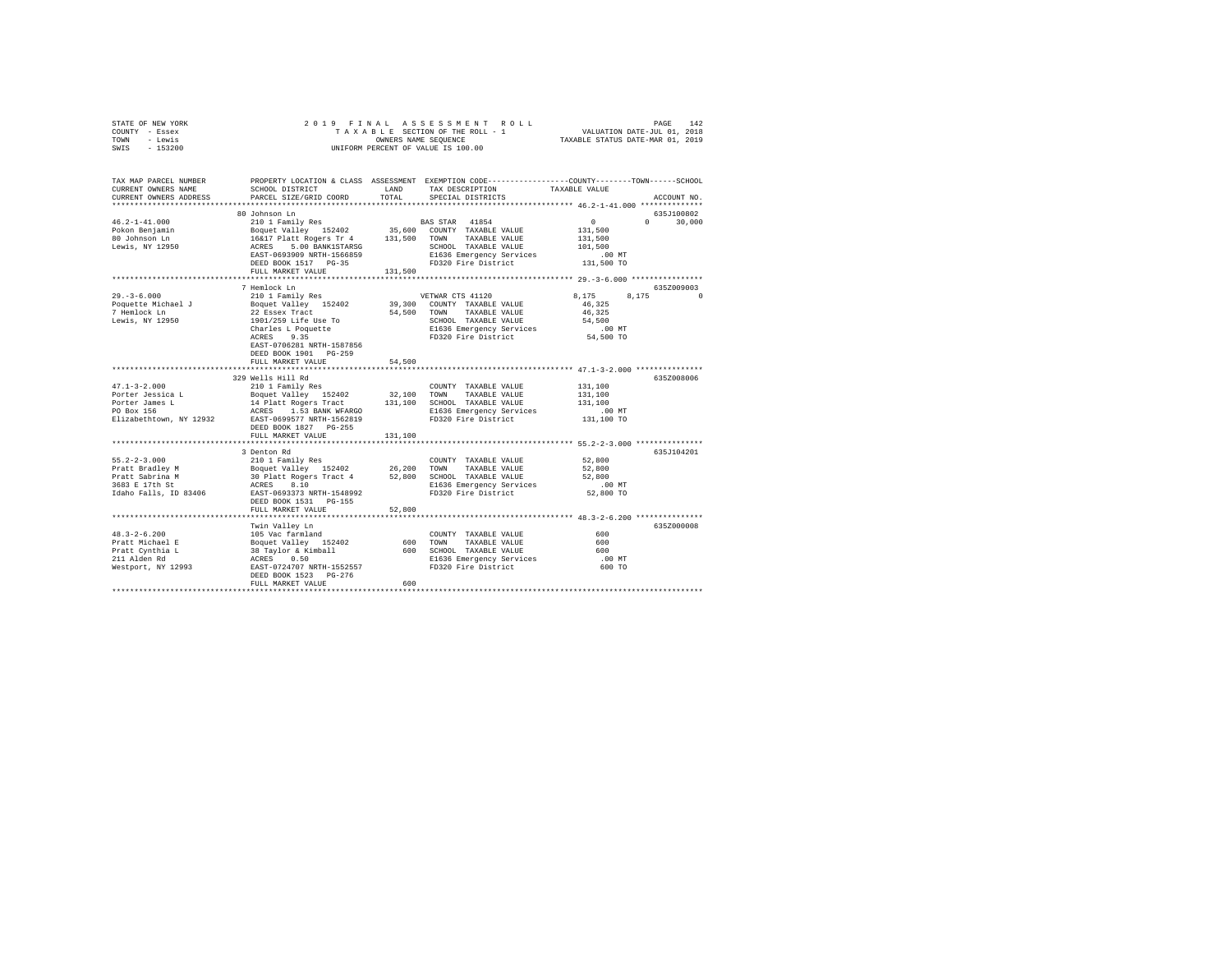|      | STATE OF NEW YORK |  |  |  |                      | 2019 FINAL ASSESSMENT ROLL         |  |                                  | PAGE | 142 |
|------|-------------------|--|--|--|----------------------|------------------------------------|--|----------------------------------|------|-----|
|      | COUNTY - Essex    |  |  |  |                      | TAXABLE SECTION OF THE ROLL - 1    |  | VALUATION DATE-JUL 01, 2018      |      |     |
| TOWN | - Lewis           |  |  |  | OWNERS NAME SEOUENCE |                                    |  | TAXABLE STATUS DATE-MAR 01, 2019 |      |     |
| SWIS | - 153200          |  |  |  |                      | UNIFORM PERCENT OF VALUE IS 100.00 |  |                                  |      |     |

| TAX MAP PARCEL NUMBER<br>CURRENT OWNERS NAME      | SCHOOL DISTRICT                                                                                                                                                                                                                         | LAND        | TAX DESCRIPTION                                 | PROPERTY LOCATION & CLASS ASSESSMENT EXEMPTION CODE----------------COUNTY-------TOWN------SCHOOL<br>TAXABLE VALUE |
|---------------------------------------------------|-----------------------------------------------------------------------------------------------------------------------------------------------------------------------------------------------------------------------------------------|-------------|-------------------------------------------------|-------------------------------------------------------------------------------------------------------------------|
| CURRENT OWNERS ADDRESS                            | PARCEL SIZE/GRID COORD                                                                                                                                                                                                                  | TOTAL       | SPECIAL DISTRICTS                               | ACCOUNT NO.                                                                                                       |
|                                                   |                                                                                                                                                                                                                                         |             |                                                 |                                                                                                                   |
|                                                   | 80 Johnson Ln                                                                                                                                                                                                                           |             |                                                 | 635J100802                                                                                                        |
| $46.2 - 1 - 41.000$                               |                                                                                                                                                                                                                                         |             |                                                 | $0 \qquad \qquad$<br>$\Omega$<br>30,000<br>131,500                                                                |
| Pokon Benjamin                                    |                                                                                                                                                                                                                                         |             |                                                 |                                                                                                                   |
| 80 Johnson Ln                                     | 80 0011115000 LM anally Res<br>BAS STAR 41854 VALUE<br>Boquet Valley 152402 35,600 COUNTY TAXABLE VALUE<br>16617 Platt Rogers Tr 4 131,500 TOWN TAXABLE VALUE<br>ACRES 5.00 BANKISTARSG SCHOOL TAXABLE VALUE<br>TARRES 5.00 BANKISTARSG |             |                                                 | 131,500                                                                                                           |
| Lewis, NY 12950                                   |                                                                                                                                                                                                                                         |             |                                                 | 101,500                                                                                                           |
|                                                   | DEED BOOK 1517 PG-35                                                                                                                                                                                                                    |             | E1636 Emergency Services<br>FD320 Fire District | .00 MT<br>131,500 TO                                                                                              |
|                                                   | FULL MARKET VALUE                                                                                                                                                                                                                       | 131,500     |                                                 |                                                                                                                   |
|                                                   |                                                                                                                                                                                                                                         |             |                                                 |                                                                                                                   |
|                                                   | 7 Hemlock Ln                                                                                                                                                                                                                            |             |                                                 | 635Z009003                                                                                                        |
| $29. - 3 - 6.000$                                 | 210 1 Family Res                                                                                                                                                                                                                        |             | VETWAR CTS 41120                                | 8,175<br>8.175<br>$\circ$                                                                                         |
| Poquette Michael J                                | Boquet Valley 152402                                                                                                                                                                                                                    |             | 39,300 COUNTY TAXABLE VALUE                     | 46,325                                                                                                            |
| 7 Hemlock Ln                                      | 22 Essex Tract<br>1901/259 Life Use To                                                                                                                                                                                                  |             | 54,500 TOWN TAXABLE VALUE                       | 46,325                                                                                                            |
| Lewis, NY 12950                                   |                                                                                                                                                                                                                                         |             | SCHOOL TAXABLE VALUE                            | 54,500                                                                                                            |
|                                                   |                                                                                                                                                                                                                                         |             | E1636 Emergency Services                        |                                                                                                                   |
|                                                   | Charles L Poquette<br>ACRES 9.35                                                                                                                                                                                                        |             | FD320 Fire District                             | .00 MT.<br>54,500 TO                                                                                              |
|                                                   | EAST-0706281 NRTH-1587856                                                                                                                                                                                                               |             |                                                 |                                                                                                                   |
|                                                   | DEED BOOK 1901 PG-259                                                                                                                                                                                                                   |             |                                                 |                                                                                                                   |
|                                                   | FULL MARKET VALUE                                                                                                                                                                                                                       | 54,500      |                                                 |                                                                                                                   |
|                                                   |                                                                                                                                                                                                                                         |             |                                                 |                                                                                                                   |
|                                                   | 329 Wells Hill Rd                                                                                                                                                                                                                       |             |                                                 | 635Z008006                                                                                                        |
| $47.1 - 3 - 2.000$                                | 210 1 Family Res                                                                                                                                                                                                                        |             | COUNTY TAXABLE VALUE                            | 131,100                                                                                                           |
| Porter Jessica L                                  |                                                                                                                                                                                                                                         | 32,100 TOWN |                                                 | 131,100                                                                                                           |
| Porter James L                                    |                                                                                                                                                                                                                                         |             |                                                 | 131,100                                                                                                           |
| PO Box 156                                        |                                                                                                                                                                                                                                         |             | E1636 Emergency Services                        | $.00$ MT                                                                                                          |
| Elizabethtown, NY 12932 EAST-0699577 NRTH-1562819 |                                                                                                                                                                                                                                         |             | FD320 Fire District                             | 131,100 TO                                                                                                        |
|                                                   | DEED BOOK 1827 PG-255                                                                                                                                                                                                                   |             |                                                 |                                                                                                                   |
|                                                   | FULL MARKET VALUE                                                                                                                                                                                                                       | 131,100     |                                                 |                                                                                                                   |
|                                                   |                                                                                                                                                                                                                                         |             |                                                 |                                                                                                                   |
|                                                   | 3 Denton Rd                                                                                                                                                                                                                             |             |                                                 | 635J104201                                                                                                        |
| $55.2 - 2 - 3.000$                                | 210 1 Family Res                                                                                                                                                                                                                        |             | COUNTY TAXABLE VALUE                            | 52,800                                                                                                            |
| Pratt Bradley M<br>Pratt Sabrina M                |                                                                                                                                                                                                                                         |             |                                                 | 52,800                                                                                                            |
| 3683 E 17th St                                    | Boquet Valley 152402 26,200 TOWN TAXABLE VALUE<br>30 Platt Rogers Tract 4 52,800 SCHOOD TAXABLE VALUE<br>30 RES 8.10 B1036 REPERPTY SCHOOL RATE PRESS REST-0693373 NRTH-1548992 PD320 Fire District                                     |             |                                                 | 52,800<br>.00 MT                                                                                                  |
| Idaho Falls, ID 83406                             |                                                                                                                                                                                                                                         |             | E1636 Emergency Services<br>FD320 Fire District | 52,800 TO                                                                                                         |
|                                                   | DEED BOOK 1531 PG-155                                                                                                                                                                                                                   |             |                                                 |                                                                                                                   |
|                                                   | FULL MARKET VALUE                                                                                                                                                                                                                       | 52,800      |                                                 |                                                                                                                   |
|                                                   |                                                                                                                                                                                                                                         |             |                                                 |                                                                                                                   |
|                                                   | Twin Valley Ln                                                                                                                                                                                                                          |             |                                                 | 635Z000008                                                                                                        |
| $48.3 - 2 - 6.200$                                | 105 Vac farmland                                                                                                                                                                                                                        |             | COUNTY TAXABLE VALUE                            | 600                                                                                                               |
| Pratt Michael E                                   |                                                                                                                                                                                                                                         | 600 TOWN    | TAXABLE VALUE                                   | 600                                                                                                               |
|                                                   |                                                                                                                                                                                                                                         |             | 600 SCHOOL TAXABLE VALUE                        | 600                                                                                                               |
| Pratt Cynthia L<br>211 Alden Rd                   |                                                                                                                                                                                                                                         |             | E1636 Emergency Services                        | $.00$ MT                                                                                                          |
| Westport, NY 12993                                | 105 Vac Iarmiand<br>Boquet Valley 152402<br>38 Taylor & Kimball<br>ACRES 0.50<br>EAST-0724707 NRTH-1552557                                                                                                                              |             | FD320 Fire District                             | 600 TO                                                                                                            |
|                                                   | DEED BOOK 1523 PG-276                                                                                                                                                                                                                   |             |                                                 |                                                                                                                   |
|                                                   | FULL MARKET VALUE                                                                                                                                                                                                                       | 600         |                                                 |                                                                                                                   |
|                                                   |                                                                                                                                                                                                                                         |             |                                                 |                                                                                                                   |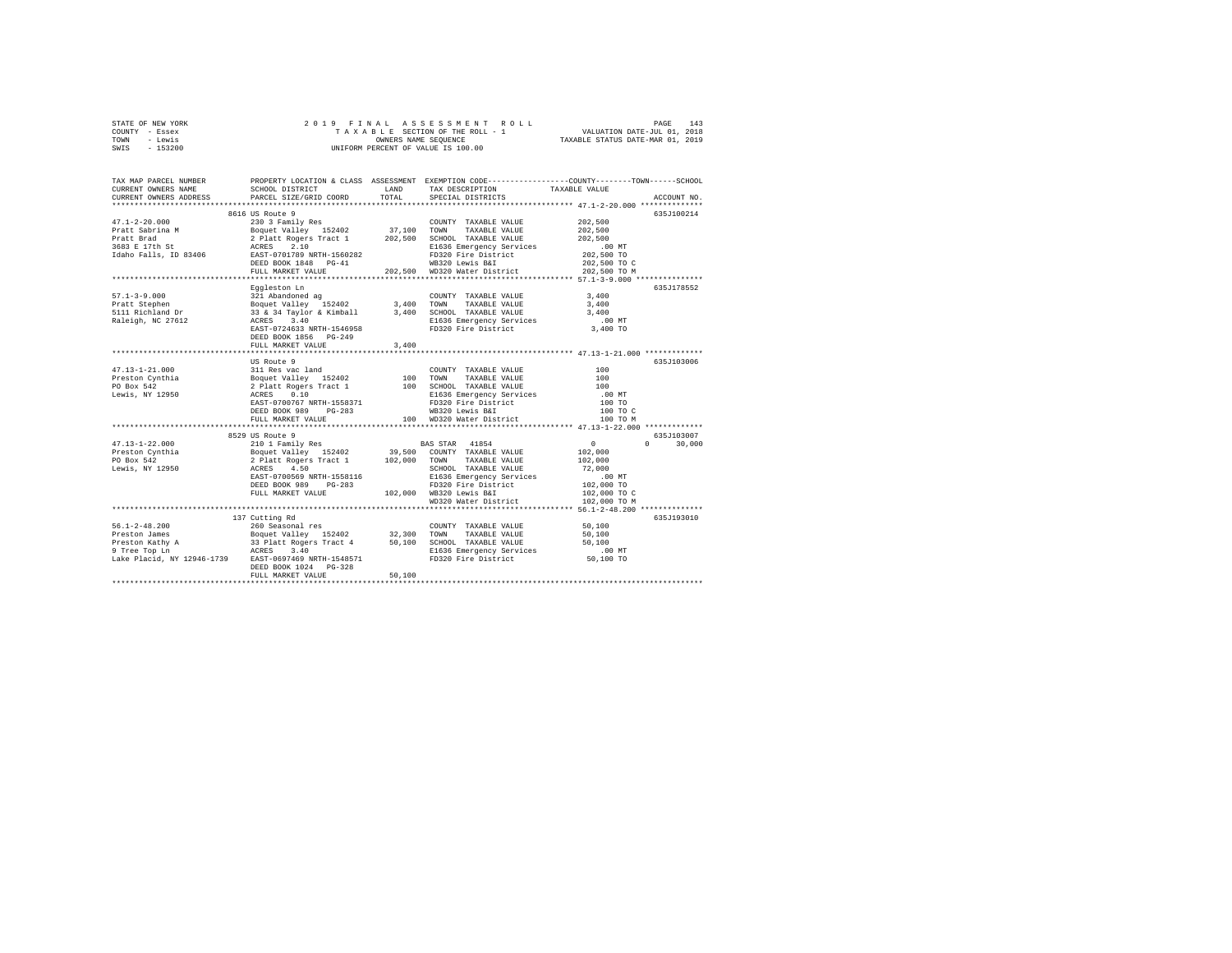| STATE OF NEW YORK | 2019 FINAL ASSESSMENT ROLL         | 143<br>PAGE                      |
|-------------------|------------------------------------|----------------------------------|
| COUNTY - Essex    | TAXABLE SECTION OF THE ROLL - 1    | VALUATION DATE-JUL 01, 2018      |
| TOWN<br>- Lewis   | OWNERS NAME SEOUENCE               | TAXABLE STATUS DATE-MAR 01, 2019 |
| $-153200$<br>SWIS | UNIFORM PERCENT OF VALUE IS 100.00 |                                  |

| TAX MAP PARCEL NUMBER<br>CURRENT OWNERS NAME<br>CURRENT OWNERS ADDRESS | SCHOOL DISTRICT<br>PARCEL SIZE/GRID COORD                                                                                                                                                                                                                                                                                                                                                  | LAND<br>TOTAL | PROPERTY LOCATION & CLASS ASSESSMENT EXEMPTION CODE---------------COUNTY-------TOWN------SCHOOL<br>TAX DESCRIPTION<br>SPECIAL DISTRICTS                                                                                                                                                                                                       | TAXABLE VALUE<br>ACCOUNT NO.    |
|------------------------------------------------------------------------|--------------------------------------------------------------------------------------------------------------------------------------------------------------------------------------------------------------------------------------------------------------------------------------------------------------------------------------------------------------------------------------------|---------------|-----------------------------------------------------------------------------------------------------------------------------------------------------------------------------------------------------------------------------------------------------------------------------------------------------------------------------------------------|---------------------------------|
|                                                                        |                                                                                                                                                                                                                                                                                                                                                                                            |               |                                                                                                                                                                                                                                                                                                                                               |                                 |
|                                                                        | 8616 US Route 9                                                                                                                                                                                                                                                                                                                                                                            |               |                                                                                                                                                                                                                                                                                                                                               | 635J100214                      |
|                                                                        |                                                                                                                                                                                                                                                                                                                                                                                            |               |                                                                                                                                                                                                                                                                                                                                               | 202,500                         |
|                                                                        |                                                                                                                                                                                                                                                                                                                                                                                            |               |                                                                                                                                                                                                                                                                                                                                               |                                 |
|                                                                        |                                                                                                                                                                                                                                                                                                                                                                                            |               |                                                                                                                                                                                                                                                                                                                                               | 202,500<br>202,500              |
|                                                                        |                                                                                                                                                                                                                                                                                                                                                                                            |               | E1636 Emergency Services<br>FD320 Fre District 202,500 TO<br>202,500 TO 202,500 TO 202,500 TO 202,500 TO<br>202,500 TO 202,500 TO 202,500 TO 202,500 TO 202,500 TO 202,500 TO 202,500 TO 202,500 TO 202,500 TO 202,500 TO                                                                                                                     |                                 |
|                                                                        |                                                                                                                                                                                                                                                                                                                                                                                            |               |                                                                                                                                                                                                                                                                                                                                               |                                 |
|                                                                        | DEED BOOK 1848 PG-41                                                                                                                                                                                                                                                                                                                                                                       |               |                                                                                                                                                                                                                                                                                                                                               |                                 |
|                                                                        | FULL MARKET VALUE                                                                                                                                                                                                                                                                                                                                                                          |               |                                                                                                                                                                                                                                                                                                                                               |                                 |
|                                                                        |                                                                                                                                                                                                                                                                                                                                                                                            |               |                                                                                                                                                                                                                                                                                                                                               |                                 |
|                                                                        | Eqqleston Ln                                                                                                                                                                                                                                                                                                                                                                               |               |                                                                                                                                                                                                                                                                                                                                               | 635J178552                      |
| $57.1 - 3 - 9.000$                                                     |                                                                                                                                                                                                                                                                                                                                                                                            |               |                                                                                                                                                                                                                                                                                                                                               |                                 |
| Pratt Stephen                                                          |                                                                                                                                                                                                                                                                                                                                                                                            |               | $\begin{tabular}{lcccccc}321 Abandoned & & & & & & & & & & & & & 3,400 \\ Boguet Value & 152402 & 3,400 & TONR & TAXABLE VALUE & 3,400 \\ 33 & 4 & 34 & 142 & 152402 & 3,400 & TONR B. & 3,400 \\ 33 & 4 & 34 & 740 & 152402 & 3,400 & SCHODL & TAXABLE VALUE & 3,400 \\ ACRES & 3.40 & 1636 & 1636 & 1636 & 1636 & 1636 & 1636 & 1636 & 163$ |                                 |
| 5111 Richland Dr<br>Raleigh, NC 27612                                  |                                                                                                                                                                                                                                                                                                                                                                                            |               |                                                                                                                                                                                                                                                                                                                                               |                                 |
|                                                                        |                                                                                                                                                                                                                                                                                                                                                                                            |               |                                                                                                                                                                                                                                                                                                                                               |                                 |
|                                                                        | $\begin{array}{lll} & \raisebox{-1.5mm}{$\sim$} \, . \, \rule{0.2mm}{$\sim$} \, \rule{0.2mm}{$\sim$} \, . \, \rule{0.2mm}{$\sim$} \, \rule{0.2mm}{$\sim$} \, . \, \rule{0.2mm}{$\sim$} \, \rule{0.2mm}{$\sim$} \, \rule{0.2mm}{$\sim$} \, 0.724633 \, \text{ NRTH}-1546958 \\ \rule{0.2mm}{$\text{DEED BOOK 1856}} & \rule{0.2mm}{$\sim$} \, \rule{0.2mm}{$\sim$} \, \rule{0.2mm}{$\sim$}$ |               | FD320 Fire District                                                                                                                                                                                                                                                                                                                           | 3,400 TO                        |
|                                                                        | FULL MARKET VALUE                                                                                                                                                                                                                                                                                                                                                                          | 3,400         |                                                                                                                                                                                                                                                                                                                                               |                                 |
|                                                                        |                                                                                                                                                                                                                                                                                                                                                                                            |               |                                                                                                                                                                                                                                                                                                                                               |                                 |
|                                                                        | US Route 9                                                                                                                                                                                                                                                                                                                                                                                 |               |                                                                                                                                                                                                                                                                                                                                               | 635J103006                      |
|                                                                        |                                                                                                                                                                                                                                                                                                                                                                                            |               |                                                                                                                                                                                                                                                                                                                                               | 100                             |
|                                                                        |                                                                                                                                                                                                                                                                                                                                                                                            |               |                                                                                                                                                                                                                                                                                                                                               | 100                             |
|                                                                        |                                                                                                                                                                                                                                                                                                                                                                                            |               |                                                                                                                                                                                                                                                                                                                                               | 100                             |
|                                                                        | ACRES 0.10<br>EAST-0700767 NRTH-1558371                                                                                                                                                                                                                                                                                                                                                    |               | E1636 Emergency Services<br>FD320 Fire District                                                                                                                                                                                                                                                                                               | $.00$ MT                        |
|                                                                        |                                                                                                                                                                                                                                                                                                                                                                                            |               |                                                                                                                                                                                                                                                                                                                                               | 100 TO                          |
|                                                                        | DEED BOOK 989 PG-283                                                                                                                                                                                                                                                                                                                                                                       |               | WB320 Lewis B&I                                                                                                                                                                                                                                                                                                                               | 100 TO C                        |
|                                                                        | FULL MARKET VALUE                                                                                                                                                                                                                                                                                                                                                                          |               | 100 WD320 Water District                                                                                                                                                                                                                                                                                                                      | 100 TO M                        |
|                                                                        |                                                                                                                                                                                                                                                                                                                                                                                            |               |                                                                                                                                                                                                                                                                                                                                               |                                 |
|                                                                        | 8529 US Route 9                                                                                                                                                                                                                                                                                                                                                                            |               |                                                                                                                                                                                                                                                                                                                                               | 635J103007                      |
| $47.13 - 1 - 22.000$                                                   | 210 1 Family Res                                                                                                                                                                                                                                                                                                                                                                           |               | BAS STAR 41854                                                                                                                                                                                                                                                                                                                                | $\overline{0}$<br>$0 \t 30.000$ |
|                                                                        |                                                                                                                                                                                                                                                                                                                                                                                            |               |                                                                                                                                                                                                                                                                                                                                               |                                 |
|                                                                        |                                                                                                                                                                                                                                                                                                                                                                                            |               |                                                                                                                                                                                                                                                                                                                                               |                                 |
|                                                                        |                                                                                                                                                                                                                                                                                                                                                                                            |               | 9 11-1 - 14-4 129 12402 12402 125402 39,500 COUNTY TAXABLE VALUE 102,000<br>20 102,000 12 Platt Rogers Tract 1 102,000 TOWN TAXABLE VALUE 102,000<br>12 102,000 12 Platt Rogers Tract 1 102,000 TOWN TAXABLE VALUE 102,000<br>12 12 1                                                                                                         |                                 |
|                                                                        | EAST-0700569 NRTH-1558116                                                                                                                                                                                                                                                                                                                                                                  |               | E1636 Emergency Services                                                                                                                                                                                                                                                                                                                      | $.00$ MT                        |
|                                                                        |                                                                                                                                                                                                                                                                                                                                                                                            |               | 102,000 TO 102,000 PO-283<br>PD320 Fire District 102,000 TO 102,000 TO FULL MARKET VALUE 102,000 NB320 Lewis B&I 102,000 TO C                                                                                                                                                                                                                 |                                 |
|                                                                        |                                                                                                                                                                                                                                                                                                                                                                                            |               | WD320 Water District                                                                                                                                                                                                                                                                                                                          |                                 |
|                                                                        |                                                                                                                                                                                                                                                                                                                                                                                            |               |                                                                                                                                                                                                                                                                                                                                               | 102,000 TO M                    |
|                                                                        |                                                                                                                                                                                                                                                                                                                                                                                            |               |                                                                                                                                                                                                                                                                                                                                               | 635J193010                      |
|                                                                        | 137 Cutting Rd                                                                                                                                                                                                                                                                                                                                                                             |               |                                                                                                                                                                                                                                                                                                                                               |                                 |
|                                                                        |                                                                                                                                                                                                                                                                                                                                                                                            |               |                                                                                                                                                                                                                                                                                                                                               |                                 |
|                                                                        |                                                                                                                                                                                                                                                                                                                                                                                            |               |                                                                                                                                                                                                                                                                                                                                               |                                 |
|                                                                        |                                                                                                                                                                                                                                                                                                                                                                                            |               |                                                                                                                                                                                                                                                                                                                                               |                                 |
|                                                                        |                                                                                                                                                                                                                                                                                                                                                                                            |               |                                                                                                                                                                                                                                                                                                                                               |                                 |
|                                                                        | DEED BOOK 1024 PG-328                                                                                                                                                                                                                                                                                                                                                                      |               |                                                                                                                                                                                                                                                                                                                                               |                                 |
|                                                                        | FULL MARKET VALUE                                                                                                                                                                                                                                                                                                                                                                          | 50,100        |                                                                                                                                                                                                                                                                                                                                               |                                 |
|                                                                        |                                                                                                                                                                                                                                                                                                                                                                                            |               |                                                                                                                                                                                                                                                                                                                                               |                                 |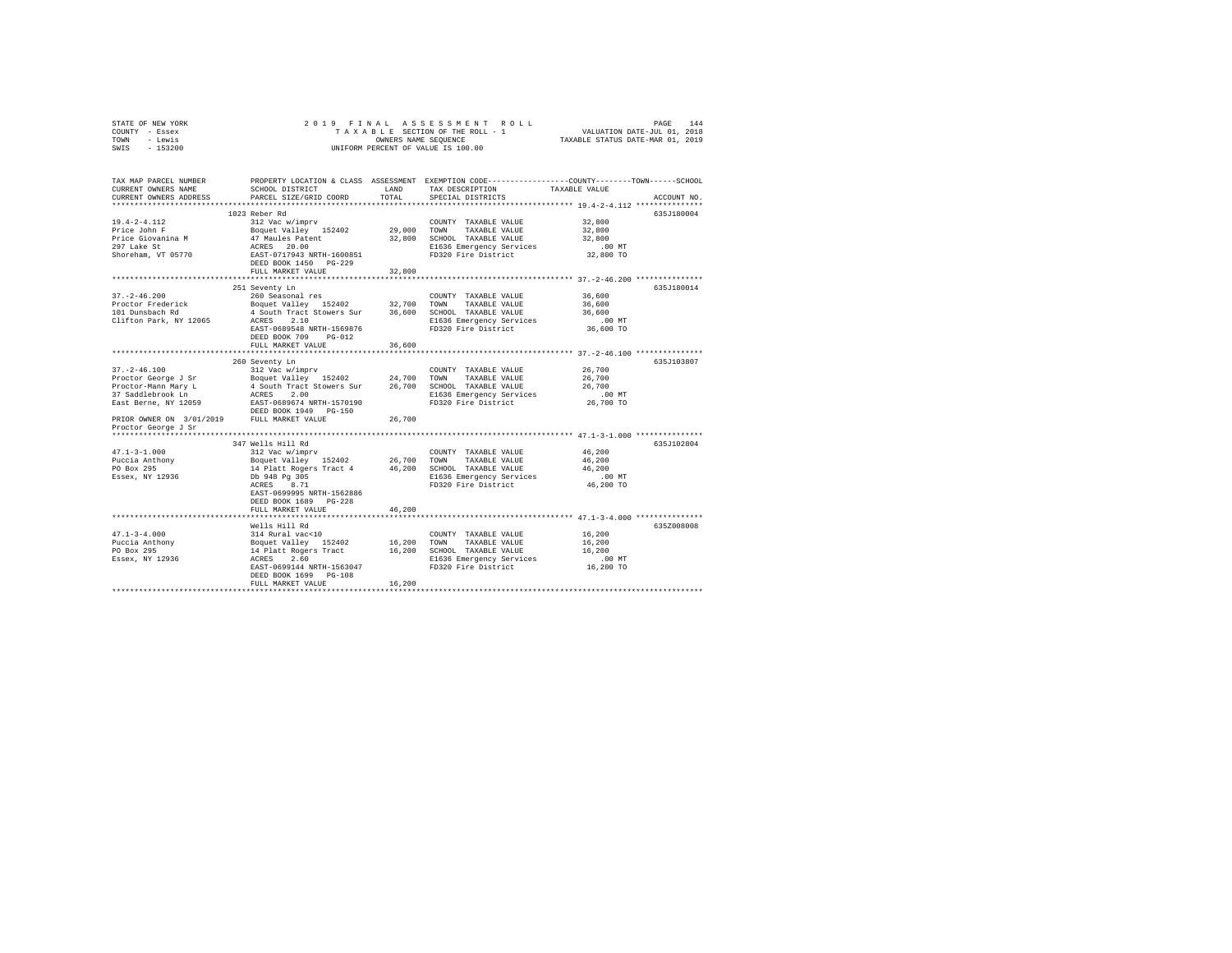| STATE OF NEW YORK |  | 2019 FINAL ASSESSMENT ROLL         | PAGE                             | 144 |
|-------------------|--|------------------------------------|----------------------------------|-----|
| COUNTY - Essex    |  | TAXABLE SECTION OF THE ROLL - 1    | VALUATION DATE-JUL 01, 2018      |     |
| TOWN<br>- Lewis   |  | OWNERS NAME SEOUENCE               | TAXABLE STATUS DATE-MAR 01, 2019 |     |
| SWIS - 153200     |  | UNIFORM PERCENT OF VALUE IS 100.00 |                                  |     |

| TAX MAP PARCEL NUMBER<br>CURRENT OWNERS NAME       | SCHOOL DISTRICT                                                                                            | LAND        | TAX DESCRIPTION                                 | PROPERTY LOCATION & CLASS ASSESSMENT EXEMPTION CODE---------------COUNTY-------TOWN-----SCHOOL<br>TAXABLE VALUE |
|----------------------------------------------------|------------------------------------------------------------------------------------------------------------|-------------|-------------------------------------------------|-----------------------------------------------------------------------------------------------------------------|
| CURRENT OWNERS ADDRESS<br>************************ | PARCEL SIZE/GRID COORD                                                                                     | TOTAL       | SPECIAL DISTRICTS                               | ACCOUNT NO.                                                                                                     |
|                                                    | 1023 Reber Rd                                                                                              |             |                                                 | 635J180004                                                                                                      |
| $19.4 - 2 - 4.112$                                 | 312 Vac w/imprv                                                                                            |             | COUNTY TAXABLE VALUE                            | 32,800                                                                                                          |
| Price John F                                       | Boquet Valley 152402                                                                                       | 29,000 TOWN | TAXABLE VALUE                                   | 32,800                                                                                                          |
| Price Giovanina M                                  | 47 Maules Patent                                                                                           | 32,800      | SCHOOL TAXABLE VALUE                            | 32,800                                                                                                          |
| 297 Lake St                                        | ACRES 20.00                                                                                                |             | E1636 Emergency Services                        | $.00$ MT                                                                                                        |
| Shoreham, VT 05770                                 | EAST-0717943 NRTH-1600851                                                                                  |             | FD320 Fire District                             | 32,800 TO                                                                                                       |
|                                                    | DEED BOOK 1450 PG-229                                                                                      |             |                                                 |                                                                                                                 |
|                                                    | FULL MARKET VALUE                                                                                          | 32,800      |                                                 |                                                                                                                 |
|                                                    |                                                                                                            |             |                                                 |                                                                                                                 |
|                                                    | 251 Seventy Ln                                                                                             |             |                                                 | 635J180014                                                                                                      |
| $37. - 2 - 46.200$                                 | 260 Seasonal res                                                                                           |             | COUNTY TAXABLE VALUE                            | 36,600                                                                                                          |
| Proctor Frederick                                  | Boquet Valley 152402                                                                                       | 32,700      | TOWN<br>TAXABLE VALUE                           | 36,600                                                                                                          |
| 101 Dunsbach Rd                                    | 4 South Tract Stowers Sur                                                                                  | 36,600      | SCHOOL TAXABLE VALUE                            | 36,600                                                                                                          |
| Clifton Park, NY 12065                             | 2.10<br>ACRES                                                                                              |             | E1636 Emergency Services                        | .00 MT                                                                                                          |
|                                                    | EAST-0689548 NRTH-1569876                                                                                  |             | FD320 Fire District                             | 36,600 TO                                                                                                       |
|                                                    | DEED BOOK 709<br>$PG-012$                                                                                  |             |                                                 |                                                                                                                 |
|                                                    | FULL MARKET VALUE                                                                                          | 36,600      |                                                 |                                                                                                                 |
|                                                    |                                                                                                            |             |                                                 |                                                                                                                 |
|                                                    | 260 Seventy Ln                                                                                             |             |                                                 | 635J103807                                                                                                      |
| $37. - 2 - 46.100$                                 | 312 Vac w/imprv                                                                                            |             | COUNTY TAXABLE VALUE                            | 26,700                                                                                                          |
| Proctor George J Sr                                | Boquet Valley 152402 24,700<br>4 South Tract Stowers Sur 26,700<br>ACRES 2.00<br>EAST-0689674 NRTH-1570190 |             | TOWN TAXABLE VALUE                              | 26,700                                                                                                          |
| Proctor-Mann Mary L                                |                                                                                                            |             | SCHOOL TAXABLE VALUE                            | 26,700                                                                                                          |
| 37 Saddlebrook Ln                                  |                                                                                                            |             | E1636 Emergency Services<br>FD320 Fire District | $.00$ MT<br>26,700 TO                                                                                           |
| East Berne, NY 12059                               | DEED BOOK 1949 PG-150                                                                                      |             |                                                 |                                                                                                                 |
| PRIOR OWNER ON 3/01/2019                           | FULL MARKET VALUE                                                                                          | 26,700      |                                                 |                                                                                                                 |
| Proctor George J Sr                                |                                                                                                            |             |                                                 |                                                                                                                 |
|                                                    |                                                                                                            |             |                                                 |                                                                                                                 |
|                                                    | 347 Wells Hill Rd                                                                                          |             |                                                 | 635J102804                                                                                                      |
| $47.1 - 3 - 1.000$                                 | 312 Vac w/imprv                                                                                            |             | COUNTY TAXABLE VALUE                            | 46,200                                                                                                          |
| Puccia Anthony                                     |                                                                                                            | 26,700 TOWN | TAXABLE VALUE                                   | 46,200                                                                                                          |
| PO Box 295                                         |                                                                                                            |             | SCHOOL TAXABLE VALUE                            | 46,200                                                                                                          |
| Essex, NY 12936                                    | Boquet Valley 152402 26,700<br>14 Platt Rogers Tract 4 46,200<br>Db 948 Pg 305                             |             |                                                 | $.00$ MT                                                                                                        |
|                                                    | ACRES 8.71                                                                                                 |             | E1636 Emergency Services<br>FD320 Fire District | 46,200 TO                                                                                                       |
|                                                    | EAST-0699995 NRTH-1562886                                                                                  |             |                                                 |                                                                                                                 |
|                                                    | DEED BOOK 1689 PG-228                                                                                      |             |                                                 |                                                                                                                 |
|                                                    | FULL MARKET VALUE                                                                                          | 46.200      |                                                 |                                                                                                                 |
|                                                    |                                                                                                            |             |                                                 |                                                                                                                 |
|                                                    | Wells Hill Rd                                                                                              |             |                                                 | 635Z008008                                                                                                      |
| $47.1 - 3 - 4.000$                                 | 314 Rural vac<10                                                                                           |             | COUNTY TAXABLE VALUE                            | 16,200                                                                                                          |
| Puccia Anthony                                     | Boquet Valley 152402                                                                                       | 16,200 TOWN | TAXABLE VALUE                                   | 16,200                                                                                                          |
| PO Box 295                                         | 14 Platt Rogers Tract                                                                                      |             | 16,200 SCHOOL TAXABLE VALUE                     | 16,200                                                                                                          |
| Essex, NY 12936                                    | 2.60<br>ACRES                                                                                              |             | E1636 Emergency Services                        | .00 MT                                                                                                          |
|                                                    | EAST-0699144 NRTH-1563047                                                                                  |             | FD320 Fire District                             | 16,200 TO                                                                                                       |
|                                                    | DEED BOOK 1699 PG-108                                                                                      |             |                                                 |                                                                                                                 |
|                                                    | FULL MARKET VALUE                                                                                          | 16,200      |                                                 |                                                                                                                 |
|                                                    |                                                                                                            |             |                                                 |                                                                                                                 |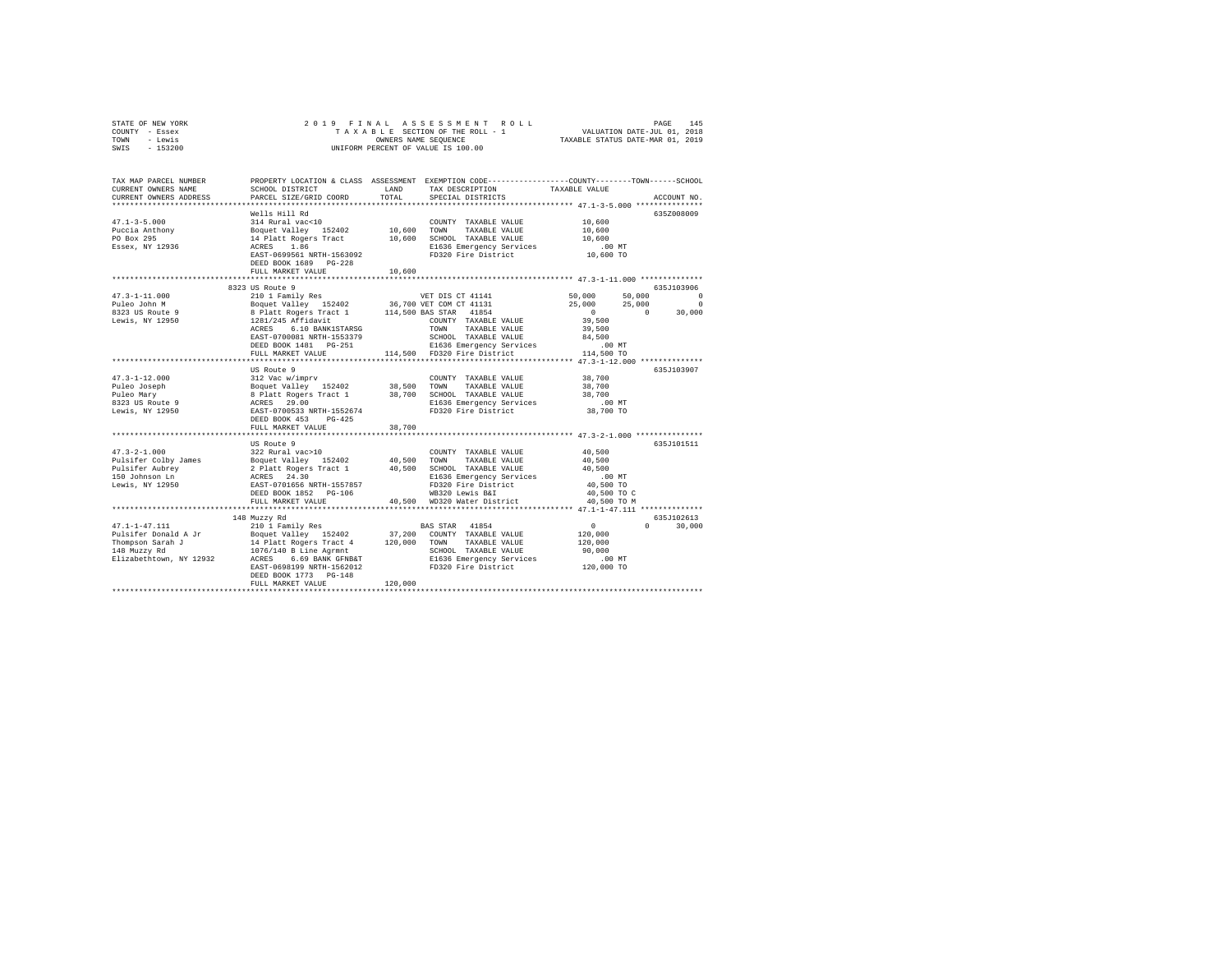| STATE OF NEW YORK | 2019 FINAL ASSESSMENT ROLL         | 145<br>PAGE                      |
|-------------------|------------------------------------|----------------------------------|
| COUNTY - Essex    | TAXABLE SECTION OF THE ROLL - 1    | VALUATION DATE-JUL 01, 2018      |
| - Lewis<br>TOWN   | OWNERS NAME SEOUENCE               | TAXABLE STATUS DATE-MAR 01, 2019 |
| $-153200$<br>SWIS | UNIFORM PERCENT OF VALUE IS 100.00 |                                  |
|                   |                                    |                                  |

| TAX MAP PARCEL NUMBER<br>CURRENT OWNERS NAME<br>CURRENT OWNERS ADDRESS                                                                                                                                                                                                                                                              | SCHOOL DISTRICT<br>PARCEL SIZE/GRID COORD                                                                                                      | LAND<br>TOTAL | PROPERTY LOCATION & CLASS ASSESSMENT EXEMPTION CODE---------------COUNTY-------TOWN-----SCHOOL<br>TAX DESCRIPTION<br>SPECIAL DISTRICTS                                                                                         | TAXABLE VALUE        | ACCOUNT NO.   |
|-------------------------------------------------------------------------------------------------------------------------------------------------------------------------------------------------------------------------------------------------------------------------------------------------------------------------------------|------------------------------------------------------------------------------------------------------------------------------------------------|---------------|--------------------------------------------------------------------------------------------------------------------------------------------------------------------------------------------------------------------------------|----------------------|---------------|
|                                                                                                                                                                                                                                                                                                                                     | **************************                                                                                                                     |               |                                                                                                                                                                                                                                |                      |               |
|                                                                                                                                                                                                                                                                                                                                     | Wells Hill Rd                                                                                                                                  |               |                                                                                                                                                                                                                                |                      | 635Z008009    |
| $47.1 - 3 - 5.000$                                                                                                                                                                                                                                                                                                                  | 314 Rural vac<10                                                                                                                               |               | COUNTY TAXABLE VALUE                                                                                                                                                                                                           | 10,600               |               |
| Puccia Anthony                                                                                                                                                                                                                                                                                                                      |                                                                                                                                                |               |                                                                                                                                                                                                                                | 10,600               |               |
| PO Box 295                                                                                                                                                                                                                                                                                                                          | Boquet Valley 152402 10,600 TOWN TAXABLE VALUE<br>14 Platt Rogers Tract 10,600 SCHOOL TAXABLE VALUE<br>ACRES 1.86 The E1636 Emergency Services |               |                                                                                                                                                                                                                                | 10,600               |               |
| Essex, NY 12936                                                                                                                                                                                                                                                                                                                     |                                                                                                                                                |               | E1636 Emergency Services<br>FD320 Fire District                                                                                                                                                                                | 00 MT.<br>10,600 TO  |               |
|                                                                                                                                                                                                                                                                                                                                     | EAST-0699561 NRTH-1563092                                                                                                                      |               |                                                                                                                                                                                                                                |                      |               |
|                                                                                                                                                                                                                                                                                                                                     | DEED BOOK 1689 PG-228                                                                                                                          |               |                                                                                                                                                                                                                                |                      |               |
|                                                                                                                                                                                                                                                                                                                                     | FULL MARKET VALUE                                                                                                                              | 10,600        |                                                                                                                                                                                                                                |                      |               |
|                                                                                                                                                                                                                                                                                                                                     |                                                                                                                                                |               |                                                                                                                                                                                                                                |                      |               |
|                                                                                                                                                                                                                                                                                                                                     | 8323 US Route 9                                                                                                                                |               |                                                                                                                                                                                                                                |                      | 635.T103906   |
| $47.3 - 1 - 11.000$                                                                                                                                                                                                                                                                                                                 | 210 1 Family Res                                                                                                                               |               | VET DIS CT 41141                                                                                                                                                                                                               | 50,000<br>50,000     | $\Omega$      |
| Puleo John M                                                                                                                                                                                                                                                                                                                        |                                                                                                                                                |               |                                                                                                                                                                                                                                |                      | $^{\circ}$    |
| 8323 US Route 9                                                                                                                                                                                                                                                                                                                     |                                                                                                                                                |               | 210 1 causing many 152402 36,700 VET COM CT 41131 25,000 25,000 25,000 25,000 25,000 25,000 25,000 25,000 25,000 25,000 25,000 25,000 25,000 25,000 25,000 25,000 25,000 25,000 25,000 25,000 25,000 25,000 25,000 25,000 25,0 |                      | $0 \t 30,000$ |
| Lewis, NY 12950                                                                                                                                                                                                                                                                                                                     | ACRES 6.10 BANK1STARSG                                                                                                                         |               |                                                                                                                                                                                                                                |                      |               |
|                                                                                                                                                                                                                                                                                                                                     | EAST-0700081 NRTH-1553379                                                                                                                      |               | TOWN TAXABLE VALUE                                                                                                                                                                                                             | 39,500<br>84,500     |               |
|                                                                                                                                                                                                                                                                                                                                     | DEED BOOK 1481 PG-251                                                                                                                          |               | SCHOOL TAXABLE VALUE<br>E1636 Emergency Services                                                                                                                                                                               |                      |               |
|                                                                                                                                                                                                                                                                                                                                     | FULL MARKET VALUE                                                                                                                              |               | 114,500 FD320 Fire District                                                                                                                                                                                                    | 00 MT.<br>114,500 TO |               |
|                                                                                                                                                                                                                                                                                                                                     |                                                                                                                                                |               |                                                                                                                                                                                                                                |                      |               |
|                                                                                                                                                                                                                                                                                                                                     | US Route 9                                                                                                                                     |               |                                                                                                                                                                                                                                |                      | 635J103907    |
| $47.3 - 1 - 12.000$                                                                                                                                                                                                                                                                                                                 | 312 Vac w/imprv                                                                                                                                |               | COUNTY TAXABLE VALUE 38,700                                                                                                                                                                                                    |                      |               |
| Puleo Joseph                                                                                                                                                                                                                                                                                                                        |                                                                                                                                                |               |                                                                                                                                                                                                                                |                      |               |
| Puleo Joseph<br>Puleo Mary<br>8323 US Route 9                                                                                                                                                                                                                                                                                       |                                                                                                                                                |               |                                                                                                                                                                                                                                |                      |               |
|                                                                                                                                                                                                                                                                                                                                     |                                                                                                                                                |               |                                                                                                                                                                                                                                | .00MT                |               |
| Lewis, NY 12950                                                                                                                                                                                                                                                                                                                     | EAST-0700533 NRTH-1552674                                                                                                                      |               | FD320 Fire District 38,700 TO                                                                                                                                                                                                  |                      |               |
|                                                                                                                                                                                                                                                                                                                                     | DEED BOOK 453 PG-425                                                                                                                           |               |                                                                                                                                                                                                                                |                      |               |
|                                                                                                                                                                                                                                                                                                                                     | FULL MARKET VALUE                                                                                                                              | 38,700        |                                                                                                                                                                                                                                |                      |               |
|                                                                                                                                                                                                                                                                                                                                     |                                                                                                                                                |               |                                                                                                                                                                                                                                |                      |               |
|                                                                                                                                                                                                                                                                                                                                     | US Route 9                                                                                                                                     |               |                                                                                                                                                                                                                                |                      | 635J101511    |
|                                                                                                                                                                                                                                                                                                                                     |                                                                                                                                                |               | COUNTY TAXABLE VALUE                                                                                                                                                                                                           | 40,500               |               |
|                                                                                                                                                                                                                                                                                                                                     |                                                                                                                                                |               | 40,500 TOWN TAXABLE VALUE<br>40,500 SCHOOL TAXABLE VALUE                                                                                                                                                                       | 40,500               |               |
|                                                                                                                                                                                                                                                                                                                                     |                                                                                                                                                |               |                                                                                                                                                                                                                                | 40,500               |               |
|                                                                                                                                                                                                                                                                                                                                     |                                                                                                                                                |               | E1636 Emergency Services<br>FD320 Fire District                                                                                                                                                                                | $.00$ MT             |               |
|                                                                                                                                                                                                                                                                                                                                     |                                                                                                                                                |               |                                                                                                                                                                                                                                | 40,500 TO            |               |
|                                                                                                                                                                                                                                                                                                                                     | DEED BOOK 1852 PG-106                                                                                                                          |               | WB320 Lewis B&I<br>40,500 WD320 Water District                                                                                                                                                                                 | 40,500 TO C          |               |
|                                                                                                                                                                                                                                                                                                                                     | FULL MARKET VALUE                                                                                                                              |               |                                                                                                                                                                                                                                | 40,500 TO M          |               |
|                                                                                                                                                                                                                                                                                                                                     |                                                                                                                                                |               |                                                                                                                                                                                                                                |                      |               |
|                                                                                                                                                                                                                                                                                                                                     | 148 Muzzy Rd                                                                                                                                   |               |                                                                                                                                                                                                                                |                      | 635J102613    |
| $47.1 - 1 - 47.111$                                                                                                                                                                                                                                                                                                                 | 210 1 Family Res                                                                                                                               |               | BAS STAR 41854                                                                                                                                                                                                                 | $\sim$ 0             | $0 \t 30,000$ |
| First-Trining and the House House Country TAXABLE VALUE<br>Thompson Sarah J 14 Platt Rogers Tract 4 120,000 TOWN TAXABLE VALUE<br>148 Muzzy Rd 1016/140 Bline Agrees Tract 4 120,000 TOWN TAXABLE VALUE<br>Elizabethtown, NY 12932 ACRE<br>$i7 \ldots$ -<br>Pulsifer Donald A<br>Thompson Sarah J<br>- $\cdots$ Muzzy Rd<br>- 19932 |                                                                                                                                                |               |                                                                                                                                                                                                                                | 120,000              |               |
|                                                                                                                                                                                                                                                                                                                                     |                                                                                                                                                |               |                                                                                                                                                                                                                                | 120,000              |               |
|                                                                                                                                                                                                                                                                                                                                     |                                                                                                                                                |               | SCHOOL TAXABLE VALUE                                                                                                                                                                                                           | 90.000               |               |
|                                                                                                                                                                                                                                                                                                                                     | EAST-0698199 NRTH-1562012                                                                                                                      |               | FD320 Fire District 120,000 TO                                                                                                                                                                                                 | .00MT                |               |
|                                                                                                                                                                                                                                                                                                                                     | DEED BOOK 1773 PG-148                                                                                                                          |               |                                                                                                                                                                                                                                |                      |               |
|                                                                                                                                                                                                                                                                                                                                     | FULL MARKET VALUE                                                                                                                              | 120,000       |                                                                                                                                                                                                                                |                      |               |
|                                                                                                                                                                                                                                                                                                                                     |                                                                                                                                                |               |                                                                                                                                                                                                                                |                      |               |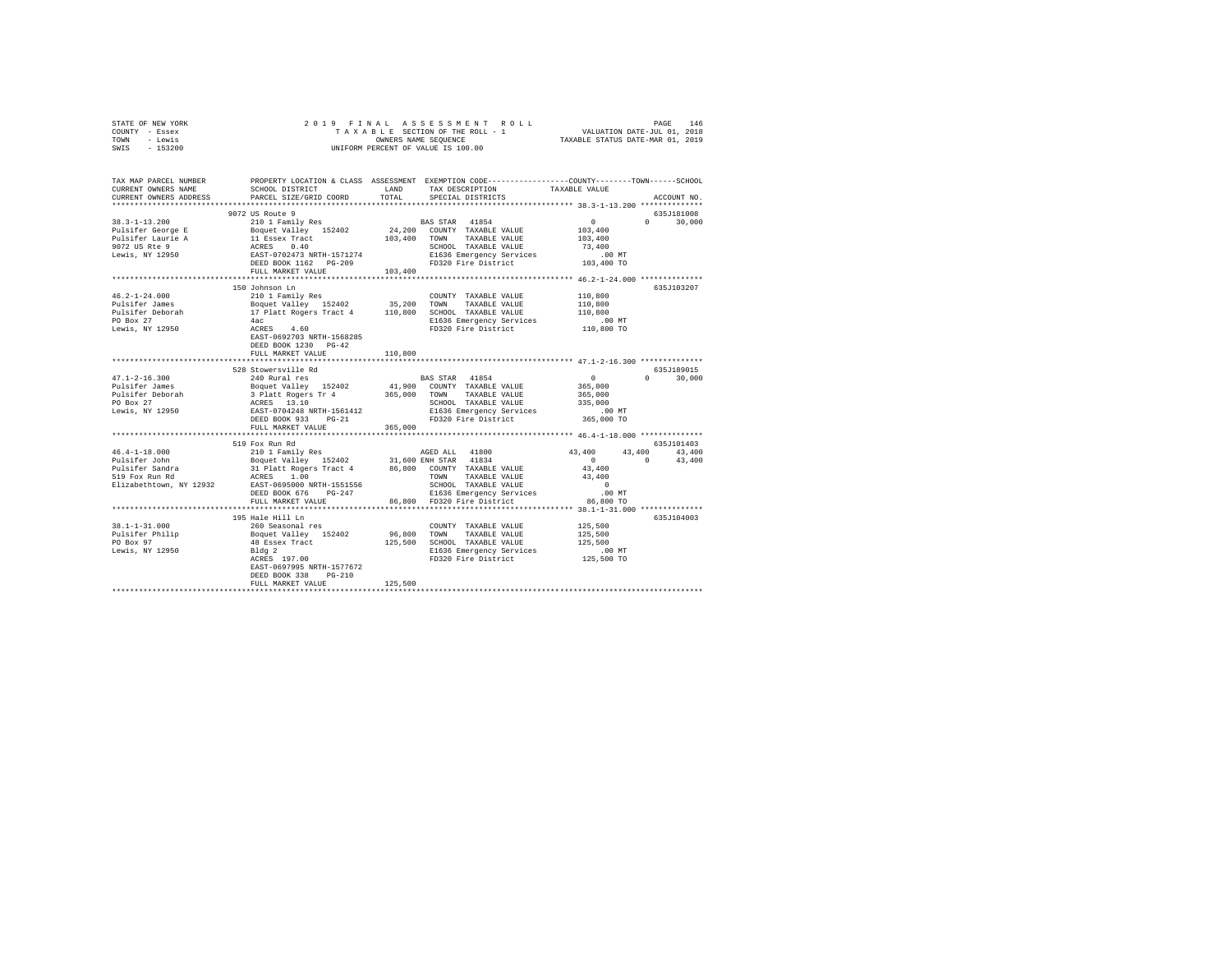| STATE OF NEW YORK<br>COUNTY - Essex<br>TOWN - Lewis<br>SWIS - 153200                      |                                                                                                                                                                                                                                                                                                  |         |                                                                                                                                                     |                                                                                                                                                 |               |                             |
|-------------------------------------------------------------------------------------------|--------------------------------------------------------------------------------------------------------------------------------------------------------------------------------------------------------------------------------------------------------------------------------------------------|---------|-----------------------------------------------------------------------------------------------------------------------------------------------------|-------------------------------------------------------------------------------------------------------------------------------------------------|---------------|-----------------------------|
| TAX MAP PARCEL NUMBER<br>CURRENT OWNERS NAME<br>CURRENT OWNERS ADDRESS                    | PROPERTY LOCATION & CLASS ASSESSMENT EXEMPTION CODE----------------COUNTY-------TOWN------SCHOOL<br>PARCEL SIZE/GRID COORD                                                                                                                                                                       |         |                                                                                                                                                     |                                                                                                                                                 |               | ACCOUNT NO.                 |
|                                                                                           |                                                                                                                                                                                                                                                                                                  |         |                                                                                                                                                     |                                                                                                                                                 |               | 635J181008                  |
|                                                                                           | 9072 US Route 9                                                                                                                                                                                                                                                                                  |         | SCHOOL TAXABLE VALUE<br>E1636 Emergency Services  00 MT<br>FD320 Fire District  103,400 TO                                                          | $\sim$ 0<br>103,400<br>103,400                                                                                                                  |               | $0 \t 30,000$               |
|                                                                                           | DEED BOOK 1162 PG-209                                                                                                                                                                                                                                                                            |         |                                                                                                                                                     |                                                                                                                                                 |               |                             |
| $46.2 - 1 - 24.000$<br>Pulsifer James<br>Pulsifer Deborah<br>PO Box 27<br>Lewis, NY 12950 | FULL MARKET VALUE 103,400<br>150 Johnson Ln<br>210 1 Family Res<br>210 1 Family Res<br>Boquet Valley 152402 35,200 TOWN TAXABLE VALUE<br>17 Platt Rogers Tract 4 110,800 SCHOOL TAXABLE VALUE<br>$4ac$<br>ACRES $4.60$<br>EAST-0692703 NRTH-1568285<br>DEED BOOK 1230 PG-42<br>FULL MARKET VALUE | 110,800 | COUNTY TAXABLE VALUE<br>CHOOL TAXABLE VALUE<br>SCHOOL TAXABLE VALUE<br>E1636 Emergency Services 110,800 TO<br>All 110,800 TO<br>FD320 Fire District | 110,800<br>110,800                                                                                                                              |               | 635J103207                  |
|                                                                                           |                                                                                                                                                                                                                                                                                                  |         |                                                                                                                                                     |                                                                                                                                                 |               |                             |
| $47.1 - 2 - 16.300$                                                                       | 528 Stowersville Rd<br>240 Rural res<br>DEED BOOK 933 PG-21                                                                                                                                                                                                                                      |         | BAS STAR 41854<br>SCHOOL TAXABLE VALUE<br>E1636 Emergency Services<br>FD320 Fire District 365,000 TO                                                | $\sim$ 0<br>365,000<br>365,000<br>335,000<br>.00 MT                                                                                             |               | 635J189015<br>$0 \t 30,000$ |
|                                                                                           | FULL MARKET VALUE                                                                                                                                                                                                                                                                                | 365,000 |                                                                                                                                                     |                                                                                                                                                 |               |                             |
|                                                                                           |                                                                                                                                                                                                                                                                                                  |         |                                                                                                                                                     |                                                                                                                                                 |               |                             |
|                                                                                           | 519 Fox Run Rd<br>DEED BOOK 676 PG-247<br>FULL MARKET VALUE                                                                                                                                                                                                                                      |         | AGED ALL 41800 43,400 43,400 43,400<br>TOWN TAXABLE VALUE<br>SCHOOL TAXABLE VALUE<br>E1636 Emergency Services<br>86,800 FD320 Fire District         | $\sim$ 0 $\sim$<br>$43,400$<br>$43,400$<br>$\sim$ 0<br>.00 MT<br>$\begin{array}{ccccc} .\,00 & \text{M1} \\ 86 \,, 800 & \text{TO} \end{array}$ | $0 \t 43,400$ | 635J101403                  |
|                                                                                           |                                                                                                                                                                                                                                                                                                  |         |                                                                                                                                                     |                                                                                                                                                 |               |                             |
|                                                                                           | 195 Hale Hill Ln<br>EAST-0697995 NRTH-1577672<br>DEED BOOK 338 PG-210                                                                                                                                                                                                                            |         |                                                                                                                                                     |                                                                                                                                                 |               | 635J104003                  |
|                                                                                           | סוז דווס שפתח החדש                                                                                                                                                                                                                                                                               | 125 500 |                                                                                                                                                     |                                                                                                                                                 |               |                             |

FULL MARKET VALUE 125,500 \*\*\*\*\*\*\*\*\*\*\*\*\*\*\*\*\*\*\*\*\*\*\*\*\*\*\*\*\*\*\*\*\*\*\*\*\*\*\*\*\*\*\*\*\*\*\*\*\*\*\*\*\*\*\*\*\*\*\*\*\*\*\*\*\*\*\*\*\*\*\*\*\*\*\*\*\*\*\*\*\*\*\*\*\*\*\*\*\*\*\*\*\*\*\*\*\*\*\*\*\*\*\*\*\*\*\*\*\*\*\*\*\*\*\*\*\*\*\*\*\*\*\*\*\*\*\*\*\*\*\*\*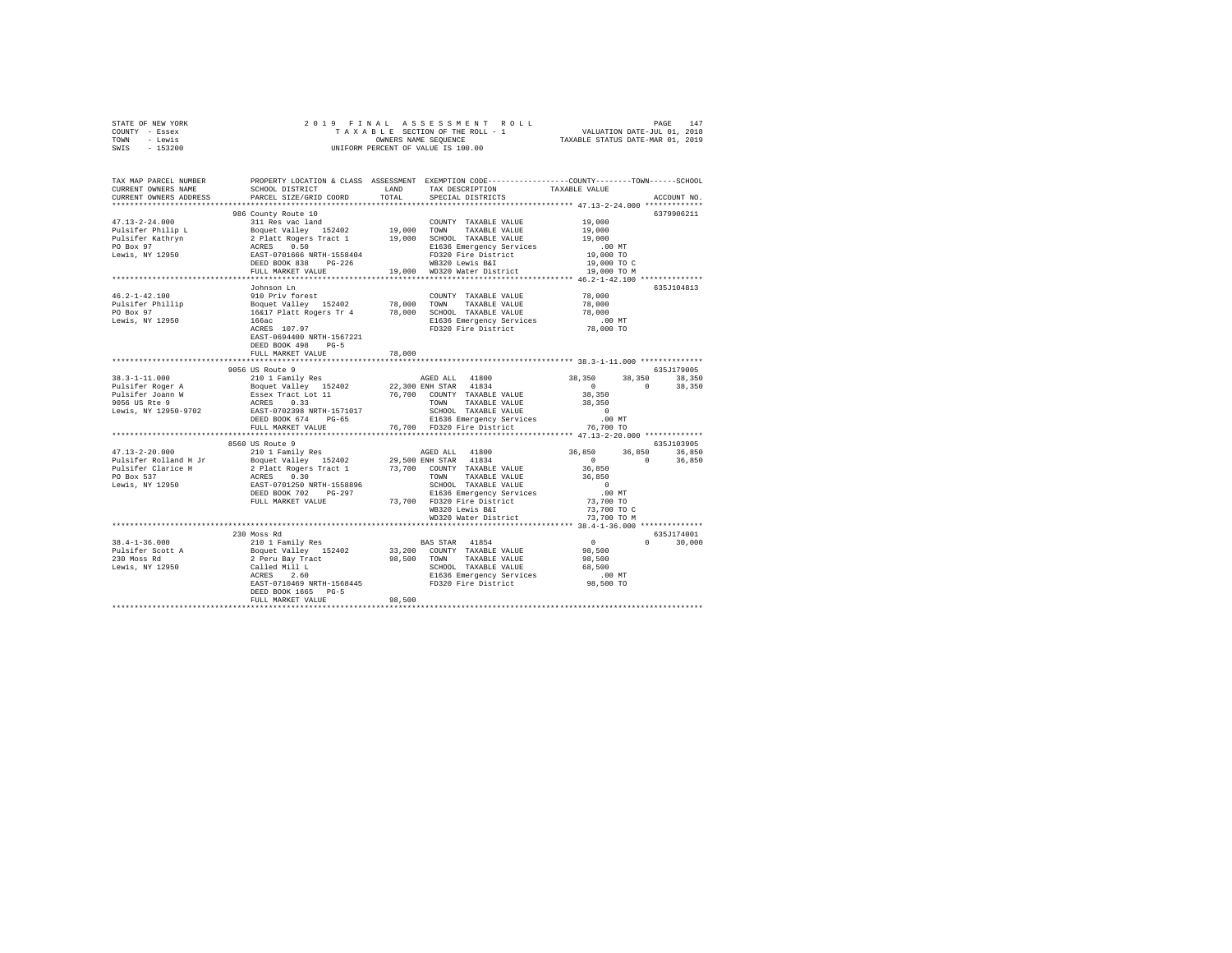| STATE OF NEW YORK                                  |                                                                                                                                                                                                                                                                                                                                                                                                                                    |        |                      |                  |                                                                                                                                   |             |
|----------------------------------------------------|------------------------------------------------------------------------------------------------------------------------------------------------------------------------------------------------------------------------------------------------------------------------------------------------------------------------------------------------------------------------------------------------------------------------------------|--------|----------------------|------------------|-----------------------------------------------------------------------------------------------------------------------------------|-------------|
| COUNTY - Essex                                     |                                                                                                                                                                                                                                                                                                                                                                                                                                    |        |                      |                  |                                                                                                                                   |             |
| TOWN - Lewis                                       |                                                                                                                                                                                                                                                                                                                                                                                                                                    |        |                      |                  |                                                                                                                                   |             |
| SWIS - 153200                                      |                                                                                                                                                                                                                                                                                                                                                                                                                                    |        |                      |                  |                                                                                                                                   |             |
|                                                    |                                                                                                                                                                                                                                                                                                                                                                                                                                    |        |                      |                  |                                                                                                                                   |             |
|                                                    |                                                                                                                                                                                                                                                                                                                                                                                                                                    |        |                      |                  |                                                                                                                                   |             |
| TAX MAP PARCEL NUMBER                              | PROPERTY LOCATION & CLASS ASSESSMENT EXEMPTION CODE---------------COUNTY-------TOWN------SCHOOL                                                                                                                                                                                                                                                                                                                                    |        |                      |                  |                                                                                                                                   |             |
| CURRENT OWNERS NAME                                |                                                                                                                                                                                                                                                                                                                                                                                                                                    |        |                      |                  |                                                                                                                                   |             |
| CURRENT OWNERS ADDRESS                             |                                                                                                                                                                                                                                                                                                                                                                                                                                    |        |                      |                  |                                                                                                                                   | ACCOUNT NO. |
|                                                    |                                                                                                                                                                                                                                                                                                                                                                                                                                    |        |                      |                  |                                                                                                                                   |             |
|                                                    | 986 County Route 10<br>$\begin{tabular}{lcccc} 47.13--2-24.000 & 986 County RXABLE VALUES & 19,000 \\ \hline \hline \end{tabular} \begin{tabular}{lcccc} 47.13--2-24.000 & 986 County RXABLE VALUES & 19,000 \\ \hline \end{tabular} \begin{tabular}{lcccc} 19.000 & 19.001 & 19.000 \\ \hline \end{tabular} \begin{tabular}{lcccc} 19.000 & 19.001 & 19.000 \\ \hline \end{tabular} \begin{tabular}{lcccc} 19.001 & 19.000 \\ \h$ |        |                      |                  |                                                                                                                                   | 6379906211  |
|                                                    |                                                                                                                                                                                                                                                                                                                                                                                                                                    |        |                      |                  |                                                                                                                                   |             |
|                                                    |                                                                                                                                                                                                                                                                                                                                                                                                                                    |        |                      |                  |                                                                                                                                   |             |
|                                                    |                                                                                                                                                                                                                                                                                                                                                                                                                                    |        |                      |                  |                                                                                                                                   |             |
|                                                    |                                                                                                                                                                                                                                                                                                                                                                                                                                    |        |                      |                  |                                                                                                                                   |             |
|                                                    |                                                                                                                                                                                                                                                                                                                                                                                                                                    |        |                      |                  |                                                                                                                                   |             |
|                                                    |                                                                                                                                                                                                                                                                                                                                                                                                                                    |        |                      |                  |                                                                                                                                   |             |
|                                                    |                                                                                                                                                                                                                                                                                                                                                                                                                                    |        |                      |                  |                                                                                                                                   |             |
|                                                    | Johnson Ln                                                                                                                                                                                                                                                                                                                                                                                                                         |        |                      |                  |                                                                                                                                   | 635J104813  |
| $46.2 - 1 - 42.100$                                | 910 Priv forest                                                                                                                                                                                                                                                                                                                                                                                                                    |        | COUNTY TAXABLE VALUE | 78,000<br>78,000 |                                                                                                                                   |             |
| Pulsifer Phillip<br>PO Box 97<br>Lewis, NY 12950   | 910 Priv forest<br>Boquet Valley 152402 78,000 TOWN TAXABLE VALUE 78,000<br>166ac 168c 168c 3 78,000 SCHOOL TAXABLE VALUE 78,000<br>166ac 107.97 18.000 SCHOOL TAXABLE VERVices<br>2019 168c 107.97 18.000 Fire District 78,000 TO                                                                                                                                                                                                 |        |                      |                  |                                                                                                                                   |             |
|                                                    |                                                                                                                                                                                                                                                                                                                                                                                                                                    |        |                      |                  |                                                                                                                                   |             |
|                                                    |                                                                                                                                                                                                                                                                                                                                                                                                                                    |        |                      |                  |                                                                                                                                   |             |
|                                                    |                                                                                                                                                                                                                                                                                                                                                                                                                                    |        |                      |                  |                                                                                                                                   |             |
|                                                    | EAST-0694400 NRTH-1567221                                                                                                                                                                                                                                                                                                                                                                                                          |        |                      |                  |                                                                                                                                   |             |
|                                                    | DEED BOOK 498 PG-5                                                                                                                                                                                                                                                                                                                                                                                                                 |        |                      |                  |                                                                                                                                   |             |
|                                                    | FULL MARKET VALUE                                                                                                                                                                                                                                                                                                                                                                                                                  | 78,000 |                      |                  |                                                                                                                                   |             |
|                                                    |                                                                                                                                                                                                                                                                                                                                                                                                                                    |        |                      |                  |                                                                                                                                   |             |
|                                                    | 9056 US Route 9                                                                                                                                                                                                                                                                                                                                                                                                                    |        |                      |                  | 635J179005                                                                                                                        |             |
|                                                    |                                                                                                                                                                                                                                                                                                                                                                                                                                    |        |                      |                  | $\begin{array}{cc} 38 \,, \, 350 \\ 0 \\ \end{array} \qquad \quad \begin{array}{c} 38 \,, \, 350 \\ 38 \,, \, 350 \\ \end{array}$ |             |
|                                                    |                                                                                                                                                                                                                                                                                                                                                                                                                                    |        |                      |                  |                                                                                                                                   |             |
|                                                    |                                                                                                                                                                                                                                                                                                                                                                                                                                    |        |                      |                  |                                                                                                                                   |             |
|                                                    |                                                                                                                                                                                                                                                                                                                                                                                                                                    |        |                      |                  |                                                                                                                                   |             |
|                                                    |                                                                                                                                                                                                                                                                                                                                                                                                                                    |        |                      |                  |                                                                                                                                   |             |
|                                                    |                                                                                                                                                                                                                                                                                                                                                                                                                                    |        |                      |                  |                                                                                                                                   |             |
|                                                    |                                                                                                                                                                                                                                                                                                                                                                                                                                    |        |                      |                  |                                                                                                                                   |             |
|                                                    | $\begin{tabular}{l c c c c c} \multicolumn{3}{c}{\textbf{47.13--2-20.000}} & \multicolumn{3}{c}{\textbf{8.650 US Route 9}} & \multicolumn{3}{c}{\textbf{5.650 US Route 9}} & \multicolumn{3}{c}{\textbf{5.650}} & \multicolumn{3}{c}{\textbf{6.65103905}} & \multicolumn{3}{c}{\textbf{6.65103905}} & \multicolumn{3}{c}{\textbf{6.650}} & \multicolumn{3}{c}{\textbf{6.650}} & \multicolumn{3}{c}{\textbf{6.$                     |        |                      |                  | 635J103905                                                                                                                        |             |
|                                                    |                                                                                                                                                                                                                                                                                                                                                                                                                                    |        |                      |                  |                                                                                                                                   |             |
|                                                    |                                                                                                                                                                                                                                                                                                                                                                                                                                    |        |                      |                  |                                                                                                                                   |             |
|                                                    |                                                                                                                                                                                                                                                                                                                                                                                                                                    |        |                      |                  |                                                                                                                                   |             |
|                                                    |                                                                                                                                                                                                                                                                                                                                                                                                                                    |        |                      |                  |                                                                                                                                   |             |
|                                                    |                                                                                                                                                                                                                                                                                                                                                                                                                                    |        |                      |                  |                                                                                                                                   |             |
|                                                    |                                                                                                                                                                                                                                                                                                                                                                                                                                    |        |                      |                  |                                                                                                                                   |             |
|                                                    |                                                                                                                                                                                                                                                                                                                                                                                                                                    |        |                      |                  |                                                                                                                                   |             |
|                                                    |                                                                                                                                                                                                                                                                                                                                                                                                                                    |        |                      |                  |                                                                                                                                   |             |
|                                                    |                                                                                                                                                                                                                                                                                                                                                                                                                                    |        |                      |                  |                                                                                                                                   |             |
|                                                    |                                                                                                                                                                                                                                                                                                                                                                                                                                    |        |                      |                  |                                                                                                                                   |             |
|                                                    | $\begin{tabular}{c c c c} \multicolumn{3}{c c c} \multicolumn{3}{c c c} \multicolumn{3}{c c c} \multicolumn{3}{c c c} \multicolumn{3}{c c c} \multicolumn{3}{c c c} \multicolumn{3}{c c c} \multicolumn{3}{c c c} \multicolumn{3}{c c c} \multicolumn{3}{c c c} \multicolumn{3}{c c c} \multicolumn{3}{c c c} \multicolumn{3}{c c c} \multicolumn{3}{c c c} \multicolumn{3}{c c c} \multicolumn{3}{c c $                           |        |                      |                  |                                                                                                                                   |             |
| $38.4 - 1 - 36.000$                                |                                                                                                                                                                                                                                                                                                                                                                                                                                    |        |                      |                  |                                                                                                                                   |             |
|                                                    |                                                                                                                                                                                                                                                                                                                                                                                                                                    |        |                      |                  |                                                                                                                                   |             |
| Pulsifer Scott A<br>230 Moss Rd<br>Lewis, NY 12950 |                                                                                                                                                                                                                                                                                                                                                                                                                                    |        |                      |                  |                                                                                                                                   |             |
|                                                    |                                                                                                                                                                                                                                                                                                                                                                                                                                    |        |                      |                  |                                                                                                                                   |             |
|                                                    |                                                                                                                                                                                                                                                                                                                                                                                                                                    |        |                      |                  |                                                                                                                                   |             |
|                                                    |                                                                                                                                                                                                                                                                                                                                                                                                                                    |        |                      |                  |                                                                                                                                   |             |
|                                                    | FULL MARKET VALUE 98.500                                                                                                                                                                                                                                                                                                                                                                                                           |        |                      |                  |                                                                                                                                   |             |
|                                                    |                                                                                                                                                                                                                                                                                                                                                                                                                                    |        |                      |                  |                                                                                                                                   |             |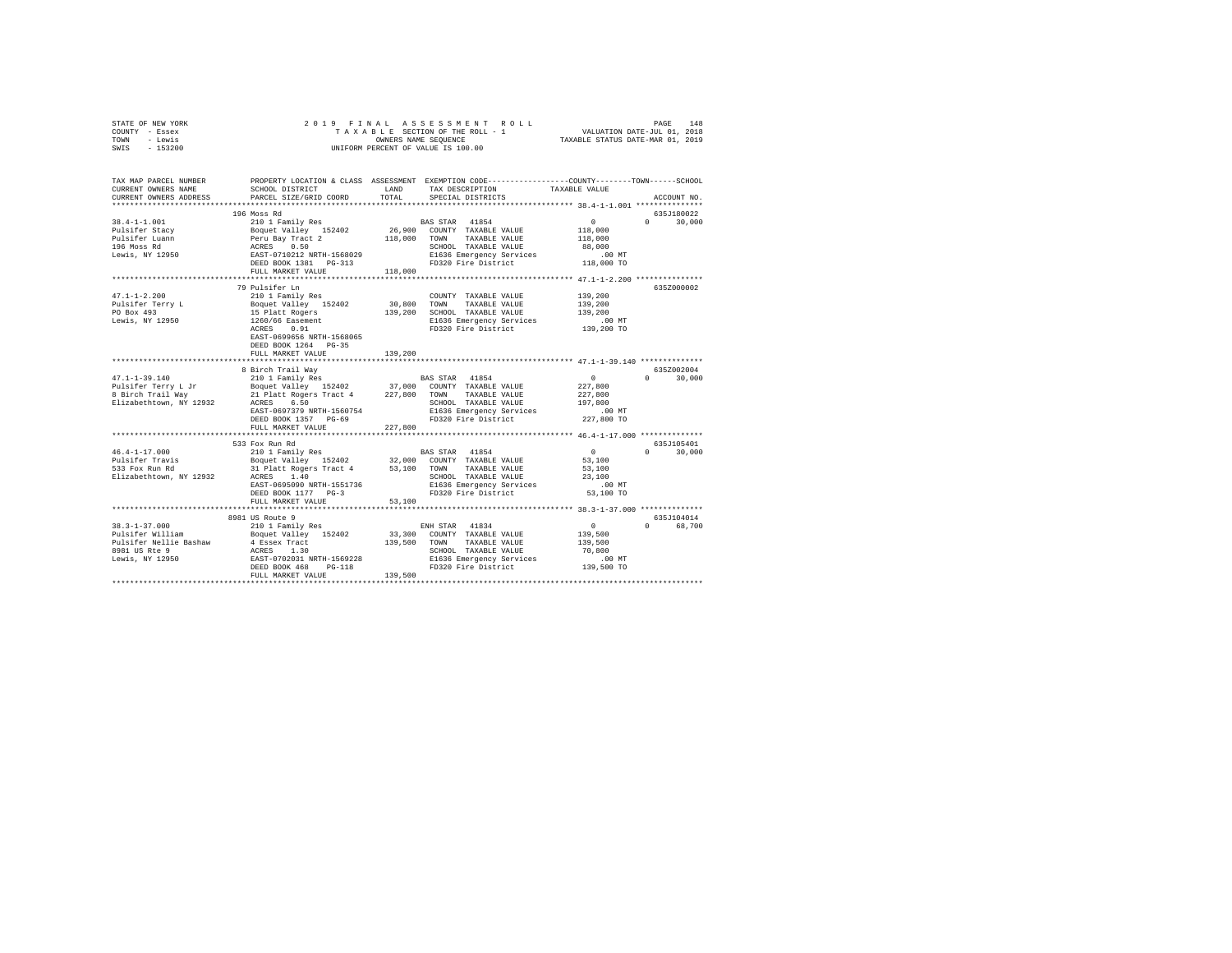| STATE OF NEW YORK | 2019 FINAL ASSESSMENT ROLL         | 148<br>PAGE                      |
|-------------------|------------------------------------|----------------------------------|
| COUNTY - Essex    | TAXABLE SECTION OF THE ROLL - 1    | VALUATION DATE-JUL 01, 2018      |
| TOWN<br>- Lewis   | OWNERS NAME SEOUENCE               | TAXABLE STATUS DATE-MAR 01, 2019 |
| $-153200$<br>SWIS | UNIFORM PERCENT OF VALUE IS 100.00 |                                  |

| TAX MAP PARCEL NUMBER<br>CURRENT OWNERS NAME                                                               | SCHOOL DISTRICT                                                                                                                                                                                                                         | LAND                              | PROPERTY LOCATION & CLASS ASSESSMENT EXEMPTION CODE---------------COUNTY-------TOWN-----SCHOOL<br>TAX DESCRIPTION                                      | TAXABLE VALUE                                                       |                                      |
|------------------------------------------------------------------------------------------------------------|-----------------------------------------------------------------------------------------------------------------------------------------------------------------------------------------------------------------------------------------|-----------------------------------|--------------------------------------------------------------------------------------------------------------------------------------------------------|---------------------------------------------------------------------|--------------------------------------|
| CURRENT OWNERS ADDRESS                                                                                     | PARCEL SIZE/GRID COORD                                                                                                                                                                                                                  | TOTAL                             | SPECIAL DISTRICTS                                                                                                                                      |                                                                     | ACCOUNT NO.                          |
|                                                                                                            | 196 Moss Rd                                                                                                                                                                                                                             |                                   |                                                                                                                                                        |                                                                     | 635J180022                           |
| $38.4 - 1 - 1.001$<br>Pulsifer Stacy<br>Pulsifer Luann<br>ruisitei Buann<br>196 Moss Rd<br>Lewis, NY 12950 | 210 1 Family Res<br>Boquet Valley 152402<br>Peru Bay Tract 2<br>ACRES 0.50<br>EAST-0710212 NRTH-1568029<br>DEED BOOK 1381    PG-313<br>FULL MARKET VALUE                                                                                | 118,000                           | BAS STAR 41854<br>26,900 COUNTY TAXABLE VALUE<br>118,000 TOWN TAXABLE VALUE<br>SCHOOL TAXABLE VALUE<br>E1636 Emergency Services<br>FD320 Fire District | $\sim$ 0<br>118,000<br>118,000<br>88,000<br>.00 MT<br>118,000 TO    | $\Omega$ and $\Omega$<br>30,000      |
|                                                                                                            |                                                                                                                                                                                                                                         |                                   |                                                                                                                                                        |                                                                     |                                      |
| $47.1 - 1 - 2.200$<br>Pulsifer Terry L<br>PO Box 493<br>Lewis, NY 12950                                    | 79 Pulsifer Ln<br>210 1 Family Res<br>Boquet Valley 152402<br>15 Platt Rogers<br>1260/66 Easement<br>ACRES 0.91<br>EAST-0699656 NRTH-1568065<br>DEED BOOK 1264 PG-35<br>FULL MARKET VALUE                                               | 30,800 TOWN<br>139,200<br>139,200 | COUNTY TAXABLE VALUE<br>TAXABLE VALUE<br>SCHOOL TAXABLE VALUE<br>E1636 Emergency Services<br>FD320 Fire District                                       | 139,200<br>139,200<br>139,200<br>$.00$ MT<br>139,200 TO             | 635Z000002                           |
|                                                                                                            |                                                                                                                                                                                                                                         |                                   |                                                                                                                                                        |                                                                     |                                      |
| $47.1 - 1 - 39.140$<br>Pulsifer Terry L Jr<br>8 Birch Trail Way<br>Elizabethtown, NY 12932                 | 8 Birch Trail Wav<br>210 1 Family Res<br>Boquet Valley 152402 37,000 COUNTY TAXABLE VALUE<br>21 Platt Rogers Tract 4 227,800 TOWN TAXABLE VALUE<br>ACRES 6.50<br>EAST-0697379 NRTH-1560754<br>DEED BOOK 1357 PG-69<br>FULL MARKET VALUE | 227,800                           | BAS STAR 41854<br>SCHOOL TAXABLE VALUE<br>E1636 Emergency Services<br>FD320 Fire District                                                              | $\Omega$<br>227,800<br>227,800<br>197,800<br>$.00$ MT<br>227,800 TO | 635Z002004<br>$0 \t 30,000$          |
|                                                                                                            | ***************************                                                                                                                                                                                                             |                                   |                                                                                                                                                        |                                                                     |                                      |
| $46.4 - 1 - 17.000$<br>Pulsifer Travis<br>533 Fox Run Rd<br>Elizabethtown, NY 12932                        | 533 Fox Run Rd<br>210 1 Family Res<br>Boquet Valley 152402<br>31 Platt Rogers Tract 4 53,100 TOWN<br>ACRES 1.40<br>EAST-0695090 NRTH-1551736<br>DEED BOOK 1177 PG-3<br>FULL MARKET VALUE                                                | 53,100                            | BAS STAR 41854<br>32,000 COUNTY TAXABLE VALUE<br>TAXABLE VALUE<br>SCHOOL TAXABLE VALUE<br>E1636 Emergency Services<br>FD320 Fire District              | $\mathbf{0}$<br>53,100<br>53,100<br>23,100<br>$.00$ MT<br>53,100 TO | 635J105401<br>$\Omega$<br>30,000     |
|                                                                                                            | ********************                                                                                                                                                                                                                    |                                   |                                                                                                                                                        |                                                                     |                                      |
| $38.3 - 1 - 37.000$<br>Pulsifer William<br>Pulsifer Nellie Bashaw<br>8981 US Rte 9<br>Lewis, NY 12950      | 8981 US Route 9<br>210 1 Family Res<br>Boquet Valley 152402<br>4 Essex Tract<br>ACRES 1.30<br>EAST-0702031 NRTH-1569228<br>DEED BOOK 468<br>$PG-118$<br>FULL MARKET VALUE                                                               | 139,500                           | ENH STAR 41834<br>33,300 COUNTY TAXABLE VALUE<br>139,500 TOWN<br>TAXABLE VALUE<br>SCHOOL TAXABLE VALUE                                                 | $\sim$ 0<br>139,500<br>139,500<br>70,800                            | 635J104014<br>$\mathbf{0}$<br>68,700 |
|                                                                                                            |                                                                                                                                                                                                                                         |                                   |                                                                                                                                                        |                                                                     |                                      |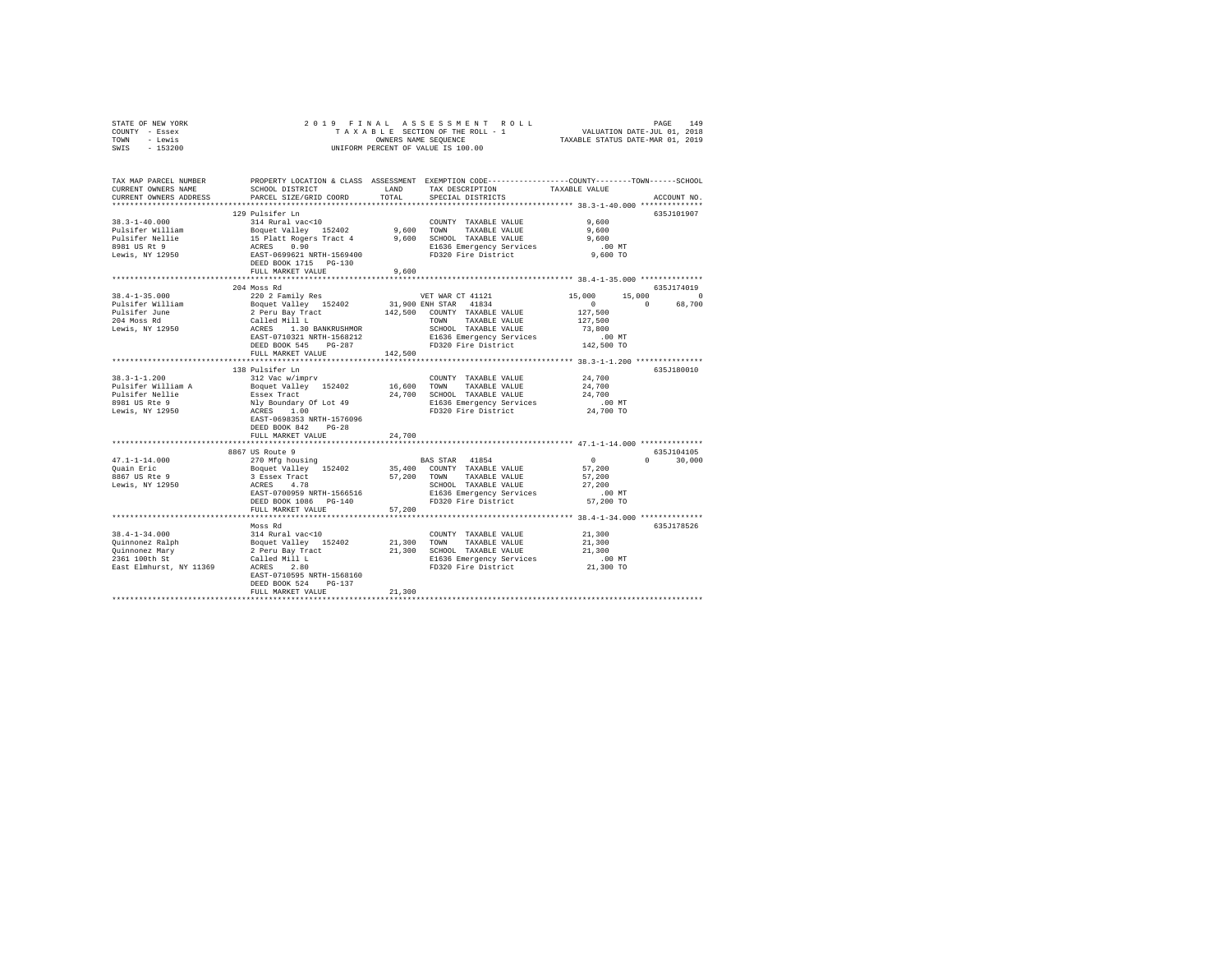| STATE OF NEW YORK | 2019 FINAL ASSESSMENT ROLL         | 149<br>PAGE                      |
|-------------------|------------------------------------|----------------------------------|
| COUNTY - Essex    | TAXABLE SECTION OF THE ROLL - 1    | VALUATION DATE-JUL 01, 2018      |
| TOWN<br>- Lewis   | OWNERS NAME SEOUENCE               | TAXABLE STATUS DATE-MAR 01, 2019 |
| $-153200$<br>SWIS | UNIFORM PERCENT OF VALUE IS 100.00 |                                  |

| 129 Pulsifer Ln<br>635J101907<br>314 Rural vac<10<br>9,600<br>COUNTY TAXABLE VALUE<br>Experiment the magnetic state of the magnetic state of the magnetic state of the special special special special special special special special special special special special special special special special special speci<br>9,600<br>Pulsifer Nellie<br>9,600<br>8981 US Rt 9<br>$.00$ MT<br>Lewis, NY 12950<br>FD320 Fire District<br>9,600 TO<br>9,600<br>FULL MARKET VALUE<br>204 Moss Rd<br>635J174019<br>$38.4 - 1 - 35.000$<br>15,000<br>220 2 Family Res<br>VET WAR CT 41121<br>15,000<br>$\Omega$<br>Boquet Valley 152402<br>31,900 ENH STAR 41834<br>$\mathbf{0}$<br>0 68,700<br>Pulsifer William<br>2 Peru Bay Tract 142,500 COUNTY TAXABLE VALUE<br>Called Mill L Gard TORN TOWN TAXABLE VALUE<br>ACRES 1.30 BANKRUSHMOR SCHOOL TAXABLE VALUE<br>Pulsifer June<br>127,500<br>204 Moss Rd<br>127,500<br>Lewis, NY 12950<br>SCHOOL TAXABLE VALUE<br>73,800<br>00 MT.<br>142,500 TO<br>EAST-0710321 NRTH-1568212<br>E1636 Emergency Services<br>FD320 Fire District<br>DEED BOOK 545 PG-287<br>FULL MARKET VALUE<br>142,500<br>***************** 38.3-1-1.200 ****************<br>138 Pulsifer Ln<br>635J180010<br>$38.3 - 1 - 1.200$<br>24,700<br>312 Vac w/imprv<br>COUNTY TAXABLE VALUE<br>Pulsifer William A<br>Pulsifer Nellie<br>Boquet Valley 152402<br>Essex Tract<br>16,600 TOWN TAXABLE VALUE<br>24,700<br>24,700 SCHOOL TAXABLE VALUE<br>24,700<br>Nly Boundary Of Lot 49<br>ACRES 1.00<br>8981 US Rte 9<br>E1636 Emergency Services .00 MT<br>FD320 Fire District 24,700 TO<br>Lewis, NY 12950<br>EAST-0698353 NRTH-1576096<br>DEED BOOK 842<br>$PG-28$<br>24,700<br>FULL MARKET VALUE<br>635J104105<br>8867 US Route 9<br>$47.1 - 1 - 14.000$<br>$\sim$ 0<br>270 Mfg housing<br>BAS STAR 41854<br>$\mathsf{n}$<br>30,000<br>35,400 COUNTY TAXABLE VALUE<br>Quain Eric<br>Boquet Valley 152402<br>3 Essex Tract<br>57,200<br>57,200 TOWN TAXABLE VALUE<br>8867 US Rte 9<br>57,200<br>Lewis, NY 12950<br>ACRES 4.78<br>SCHOOL TAXABLE VALUE<br>27,200<br>EAST-0700959 NRTH-1566516<br>.00MT<br>E1636 Emergency Services<br>FD320 Fire District<br>57,200 TO<br>DEED BOOK 1086 PG-140<br>57,200<br>FULL MARKET VALUE<br>**************************************<br>635J178526<br>Moss Rd<br>21,300<br>$38.4 - 1 - 34.000$<br>COUNTY TAXABLE VALUE<br>21,300 TOWN TAXABLE VALUE<br>Quinnonez Ralph<br>21,300<br>21,300<br>Quinnonez Mary<br>21,300 SCHOOL TAXABLE VALUE<br>2361 100th St<br>E1636 Emergency Services<br>FD320 Fire District<br>$.00$ MT<br>$21,300$ TO<br>East Elmhurst, NY 11369<br>EAST-0710595 NRTH-1568160<br>$PG-137$<br>DEED BOOK 524<br>21,300<br>FULL MARKET VALUE | TAX MAP PARCEL NUMBER<br>CURRENT OWNERS NAME<br>CURRENT OWNERS ADDRESS | SCHOOL DISTRICT<br>PARCEL SIZE/GRID COORD | LAND<br>TOTAL | PROPERTY LOCATION & CLASS ASSESSMENT EXEMPTION CODE---------------COUNTY-------TOWN-----SCHOOL<br>TAX DESCRIPTION<br>SPECIAL DISTRICTS | TAXABLE VALUE | ACCOUNT NO. |
|--------------------------------------------------------------------------------------------------------------------------------------------------------------------------------------------------------------------------------------------------------------------------------------------------------------------------------------------------------------------------------------------------------------------------------------------------------------------------------------------------------------------------------------------------------------------------------------------------------------------------------------------------------------------------------------------------------------------------------------------------------------------------------------------------------------------------------------------------------------------------------------------------------------------------------------------------------------------------------------------------------------------------------------------------------------------------------------------------------------------------------------------------------------------------------------------------------------------------------------------------------------------------------------------------------------------------------------------------------------------------------------------------------------------------------------------------------------------------------------------------------------------------------------------------------------------------------------------------------------------------------------------------------------------------------------------------------------------------------------------------------------------------------------------------------------------------------------------------------------------------------------------------------------------------------------------------------------------------------------------------------------------------------------------------------------------------------------------------------------------------------------------------------------------------------------------------------------------------------------------------------------------------------------------------------------------------------------------------------------------------------------------------------------------------------------------------------------------------------------------------------------------------------------------------------------------------------------------------------------------------------------------------------------------------------------------------------|------------------------------------------------------------------------|-------------------------------------------|---------------|----------------------------------------------------------------------------------------------------------------------------------------|---------------|-------------|
|                                                                                                                                                                                                                                                                                                                                                                                                                                                                                                                                                                                                                                                                                                                                                                                                                                                                                                                                                                                                                                                                                                                                                                                                                                                                                                                                                                                                                                                                                                                                                                                                                                                                                                                                                                                                                                                                                                                                                                                                                                                                                                                                                                                                                                                                                                                                                                                                                                                                                                                                                                                                                                                                                                        |                                                                        |                                           |               |                                                                                                                                        |               |             |
|                                                                                                                                                                                                                                                                                                                                                                                                                                                                                                                                                                                                                                                                                                                                                                                                                                                                                                                                                                                                                                                                                                                                                                                                                                                                                                                                                                                                                                                                                                                                                                                                                                                                                                                                                                                                                                                                                                                                                                                                                                                                                                                                                                                                                                                                                                                                                                                                                                                                                                                                                                                                                                                                                                        |                                                                        |                                           |               |                                                                                                                                        |               |             |
|                                                                                                                                                                                                                                                                                                                                                                                                                                                                                                                                                                                                                                                                                                                                                                                                                                                                                                                                                                                                                                                                                                                                                                                                                                                                                                                                                                                                                                                                                                                                                                                                                                                                                                                                                                                                                                                                                                                                                                                                                                                                                                                                                                                                                                                                                                                                                                                                                                                                                                                                                                                                                                                                                                        | $38.3 - 1 - 40.000$                                                    |                                           |               |                                                                                                                                        |               |             |
|                                                                                                                                                                                                                                                                                                                                                                                                                                                                                                                                                                                                                                                                                                                                                                                                                                                                                                                                                                                                                                                                                                                                                                                                                                                                                                                                                                                                                                                                                                                                                                                                                                                                                                                                                                                                                                                                                                                                                                                                                                                                                                                                                                                                                                                                                                                                                                                                                                                                                                                                                                                                                                                                                                        | Pulsifer William                                                       |                                           |               |                                                                                                                                        |               |             |
|                                                                                                                                                                                                                                                                                                                                                                                                                                                                                                                                                                                                                                                                                                                                                                                                                                                                                                                                                                                                                                                                                                                                                                                                                                                                                                                                                                                                                                                                                                                                                                                                                                                                                                                                                                                                                                                                                                                                                                                                                                                                                                                                                                                                                                                                                                                                                                                                                                                                                                                                                                                                                                                                                                        |                                                                        |                                           |               |                                                                                                                                        |               |             |
|                                                                                                                                                                                                                                                                                                                                                                                                                                                                                                                                                                                                                                                                                                                                                                                                                                                                                                                                                                                                                                                                                                                                                                                                                                                                                                                                                                                                                                                                                                                                                                                                                                                                                                                                                                                                                                                                                                                                                                                                                                                                                                                                                                                                                                                                                                                                                                                                                                                                                                                                                                                                                                                                                                        |                                                                        |                                           |               |                                                                                                                                        |               |             |
|                                                                                                                                                                                                                                                                                                                                                                                                                                                                                                                                                                                                                                                                                                                                                                                                                                                                                                                                                                                                                                                                                                                                                                                                                                                                                                                                                                                                                                                                                                                                                                                                                                                                                                                                                                                                                                                                                                                                                                                                                                                                                                                                                                                                                                                                                                                                                                                                                                                                                                                                                                                                                                                                                                        |                                                                        |                                           |               |                                                                                                                                        |               |             |
|                                                                                                                                                                                                                                                                                                                                                                                                                                                                                                                                                                                                                                                                                                                                                                                                                                                                                                                                                                                                                                                                                                                                                                                                                                                                                                                                                                                                                                                                                                                                                                                                                                                                                                                                                                                                                                                                                                                                                                                                                                                                                                                                                                                                                                                                                                                                                                                                                                                                                                                                                                                                                                                                                                        |                                                                        |                                           |               |                                                                                                                                        |               |             |
|                                                                                                                                                                                                                                                                                                                                                                                                                                                                                                                                                                                                                                                                                                                                                                                                                                                                                                                                                                                                                                                                                                                                                                                                                                                                                                                                                                                                                                                                                                                                                                                                                                                                                                                                                                                                                                                                                                                                                                                                                                                                                                                                                                                                                                                                                                                                                                                                                                                                                                                                                                                                                                                                                                        |                                                                        |                                           |               |                                                                                                                                        |               |             |
|                                                                                                                                                                                                                                                                                                                                                                                                                                                                                                                                                                                                                                                                                                                                                                                                                                                                                                                                                                                                                                                                                                                                                                                                                                                                                                                                                                                                                                                                                                                                                                                                                                                                                                                                                                                                                                                                                                                                                                                                                                                                                                                                                                                                                                                                                                                                                                                                                                                                                                                                                                                                                                                                                                        |                                                                        |                                           |               |                                                                                                                                        |               |             |
|                                                                                                                                                                                                                                                                                                                                                                                                                                                                                                                                                                                                                                                                                                                                                                                                                                                                                                                                                                                                                                                                                                                                                                                                                                                                                                                                                                                                                                                                                                                                                                                                                                                                                                                                                                                                                                                                                                                                                                                                                                                                                                                                                                                                                                                                                                                                                                                                                                                                                                                                                                                                                                                                                                        |                                                                        |                                           |               |                                                                                                                                        |               |             |
|                                                                                                                                                                                                                                                                                                                                                                                                                                                                                                                                                                                                                                                                                                                                                                                                                                                                                                                                                                                                                                                                                                                                                                                                                                                                                                                                                                                                                                                                                                                                                                                                                                                                                                                                                                                                                                                                                                                                                                                                                                                                                                                                                                                                                                                                                                                                                                                                                                                                                                                                                                                                                                                                                                        |                                                                        |                                           |               |                                                                                                                                        |               |             |
|                                                                                                                                                                                                                                                                                                                                                                                                                                                                                                                                                                                                                                                                                                                                                                                                                                                                                                                                                                                                                                                                                                                                                                                                                                                                                                                                                                                                                                                                                                                                                                                                                                                                                                                                                                                                                                                                                                                                                                                                                                                                                                                                                                                                                                                                                                                                                                                                                                                                                                                                                                                                                                                                                                        |                                                                        |                                           |               |                                                                                                                                        |               |             |
|                                                                                                                                                                                                                                                                                                                                                                                                                                                                                                                                                                                                                                                                                                                                                                                                                                                                                                                                                                                                                                                                                                                                                                                                                                                                                                                                                                                                                                                                                                                                                                                                                                                                                                                                                                                                                                                                                                                                                                                                                                                                                                                                                                                                                                                                                                                                                                                                                                                                                                                                                                                                                                                                                                        |                                                                        |                                           |               |                                                                                                                                        |               |             |
|                                                                                                                                                                                                                                                                                                                                                                                                                                                                                                                                                                                                                                                                                                                                                                                                                                                                                                                                                                                                                                                                                                                                                                                                                                                                                                                                                                                                                                                                                                                                                                                                                                                                                                                                                                                                                                                                                                                                                                                                                                                                                                                                                                                                                                                                                                                                                                                                                                                                                                                                                                                                                                                                                                        |                                                                        |                                           |               |                                                                                                                                        |               |             |
|                                                                                                                                                                                                                                                                                                                                                                                                                                                                                                                                                                                                                                                                                                                                                                                                                                                                                                                                                                                                                                                                                                                                                                                                                                                                                                                                                                                                                                                                                                                                                                                                                                                                                                                                                                                                                                                                                                                                                                                                                                                                                                                                                                                                                                                                                                                                                                                                                                                                                                                                                                                                                                                                                                        |                                                                        |                                           |               |                                                                                                                                        |               |             |
|                                                                                                                                                                                                                                                                                                                                                                                                                                                                                                                                                                                                                                                                                                                                                                                                                                                                                                                                                                                                                                                                                                                                                                                                                                                                                                                                                                                                                                                                                                                                                                                                                                                                                                                                                                                                                                                                                                                                                                                                                                                                                                                                                                                                                                                                                                                                                                                                                                                                                                                                                                                                                                                                                                        |                                                                        |                                           |               |                                                                                                                                        |               |             |
|                                                                                                                                                                                                                                                                                                                                                                                                                                                                                                                                                                                                                                                                                                                                                                                                                                                                                                                                                                                                                                                                                                                                                                                                                                                                                                                                                                                                                                                                                                                                                                                                                                                                                                                                                                                                                                                                                                                                                                                                                                                                                                                                                                                                                                                                                                                                                                                                                                                                                                                                                                                                                                                                                                        |                                                                        |                                           |               |                                                                                                                                        |               |             |
|                                                                                                                                                                                                                                                                                                                                                                                                                                                                                                                                                                                                                                                                                                                                                                                                                                                                                                                                                                                                                                                                                                                                                                                                                                                                                                                                                                                                                                                                                                                                                                                                                                                                                                                                                                                                                                                                                                                                                                                                                                                                                                                                                                                                                                                                                                                                                                                                                                                                                                                                                                                                                                                                                                        |                                                                        |                                           |               |                                                                                                                                        |               |             |
|                                                                                                                                                                                                                                                                                                                                                                                                                                                                                                                                                                                                                                                                                                                                                                                                                                                                                                                                                                                                                                                                                                                                                                                                                                                                                                                                                                                                                                                                                                                                                                                                                                                                                                                                                                                                                                                                                                                                                                                                                                                                                                                                                                                                                                                                                                                                                                                                                                                                                                                                                                                                                                                                                                        |                                                                        |                                           |               |                                                                                                                                        |               |             |
|                                                                                                                                                                                                                                                                                                                                                                                                                                                                                                                                                                                                                                                                                                                                                                                                                                                                                                                                                                                                                                                                                                                                                                                                                                                                                                                                                                                                                                                                                                                                                                                                                                                                                                                                                                                                                                                                                                                                                                                                                                                                                                                                                                                                                                                                                                                                                                                                                                                                                                                                                                                                                                                                                                        |                                                                        |                                           |               |                                                                                                                                        |               |             |
|                                                                                                                                                                                                                                                                                                                                                                                                                                                                                                                                                                                                                                                                                                                                                                                                                                                                                                                                                                                                                                                                                                                                                                                                                                                                                                                                                                                                                                                                                                                                                                                                                                                                                                                                                                                                                                                                                                                                                                                                                                                                                                                                                                                                                                                                                                                                                                                                                                                                                                                                                                                                                                                                                                        |                                                                        |                                           |               |                                                                                                                                        |               |             |
|                                                                                                                                                                                                                                                                                                                                                                                                                                                                                                                                                                                                                                                                                                                                                                                                                                                                                                                                                                                                                                                                                                                                                                                                                                                                                                                                                                                                                                                                                                                                                                                                                                                                                                                                                                                                                                                                                                                                                                                                                                                                                                                                                                                                                                                                                                                                                                                                                                                                                                                                                                                                                                                                                                        |                                                                        |                                           |               |                                                                                                                                        |               |             |
|                                                                                                                                                                                                                                                                                                                                                                                                                                                                                                                                                                                                                                                                                                                                                                                                                                                                                                                                                                                                                                                                                                                                                                                                                                                                                                                                                                                                                                                                                                                                                                                                                                                                                                                                                                                                                                                                                                                                                                                                                                                                                                                                                                                                                                                                                                                                                                                                                                                                                                                                                                                                                                                                                                        |                                                                        |                                           |               |                                                                                                                                        |               |             |
|                                                                                                                                                                                                                                                                                                                                                                                                                                                                                                                                                                                                                                                                                                                                                                                                                                                                                                                                                                                                                                                                                                                                                                                                                                                                                                                                                                                                                                                                                                                                                                                                                                                                                                                                                                                                                                                                                                                                                                                                                                                                                                                                                                                                                                                                                                                                                                                                                                                                                                                                                                                                                                                                                                        |                                                                        |                                           |               |                                                                                                                                        |               |             |
|                                                                                                                                                                                                                                                                                                                                                                                                                                                                                                                                                                                                                                                                                                                                                                                                                                                                                                                                                                                                                                                                                                                                                                                                                                                                                                                                                                                                                                                                                                                                                                                                                                                                                                                                                                                                                                                                                                                                                                                                                                                                                                                                                                                                                                                                                                                                                                                                                                                                                                                                                                                                                                                                                                        |                                                                        |                                           |               |                                                                                                                                        |               |             |
|                                                                                                                                                                                                                                                                                                                                                                                                                                                                                                                                                                                                                                                                                                                                                                                                                                                                                                                                                                                                                                                                                                                                                                                                                                                                                                                                                                                                                                                                                                                                                                                                                                                                                                                                                                                                                                                                                                                                                                                                                                                                                                                                                                                                                                                                                                                                                                                                                                                                                                                                                                                                                                                                                                        |                                                                        |                                           |               |                                                                                                                                        |               |             |
|                                                                                                                                                                                                                                                                                                                                                                                                                                                                                                                                                                                                                                                                                                                                                                                                                                                                                                                                                                                                                                                                                                                                                                                                                                                                                                                                                                                                                                                                                                                                                                                                                                                                                                                                                                                                                                                                                                                                                                                                                                                                                                                                                                                                                                                                                                                                                                                                                                                                                                                                                                                                                                                                                                        |                                                                        |                                           |               |                                                                                                                                        |               |             |
|                                                                                                                                                                                                                                                                                                                                                                                                                                                                                                                                                                                                                                                                                                                                                                                                                                                                                                                                                                                                                                                                                                                                                                                                                                                                                                                                                                                                                                                                                                                                                                                                                                                                                                                                                                                                                                                                                                                                                                                                                                                                                                                                                                                                                                                                                                                                                                                                                                                                                                                                                                                                                                                                                                        |                                                                        |                                           |               |                                                                                                                                        |               |             |
|                                                                                                                                                                                                                                                                                                                                                                                                                                                                                                                                                                                                                                                                                                                                                                                                                                                                                                                                                                                                                                                                                                                                                                                                                                                                                                                                                                                                                                                                                                                                                                                                                                                                                                                                                                                                                                                                                                                                                                                                                                                                                                                                                                                                                                                                                                                                                                                                                                                                                                                                                                                                                                                                                                        |                                                                        |                                           |               |                                                                                                                                        |               |             |
|                                                                                                                                                                                                                                                                                                                                                                                                                                                                                                                                                                                                                                                                                                                                                                                                                                                                                                                                                                                                                                                                                                                                                                                                                                                                                                                                                                                                                                                                                                                                                                                                                                                                                                                                                                                                                                                                                                                                                                                                                                                                                                                                                                                                                                                                                                                                                                                                                                                                                                                                                                                                                                                                                                        |                                                                        |                                           |               |                                                                                                                                        |               |             |
|                                                                                                                                                                                                                                                                                                                                                                                                                                                                                                                                                                                                                                                                                                                                                                                                                                                                                                                                                                                                                                                                                                                                                                                                                                                                                                                                                                                                                                                                                                                                                                                                                                                                                                                                                                                                                                                                                                                                                                                                                                                                                                                                                                                                                                                                                                                                                                                                                                                                                                                                                                                                                                                                                                        |                                                                        |                                           |               |                                                                                                                                        |               |             |
|                                                                                                                                                                                                                                                                                                                                                                                                                                                                                                                                                                                                                                                                                                                                                                                                                                                                                                                                                                                                                                                                                                                                                                                                                                                                                                                                                                                                                                                                                                                                                                                                                                                                                                                                                                                                                                                                                                                                                                                                                                                                                                                                                                                                                                                                                                                                                                                                                                                                                                                                                                                                                                                                                                        |                                                                        |                                           |               |                                                                                                                                        |               |             |
|                                                                                                                                                                                                                                                                                                                                                                                                                                                                                                                                                                                                                                                                                                                                                                                                                                                                                                                                                                                                                                                                                                                                                                                                                                                                                                                                                                                                                                                                                                                                                                                                                                                                                                                                                                                                                                                                                                                                                                                                                                                                                                                                                                                                                                                                                                                                                                                                                                                                                                                                                                                                                                                                                                        |                                                                        |                                           |               |                                                                                                                                        |               |             |
|                                                                                                                                                                                                                                                                                                                                                                                                                                                                                                                                                                                                                                                                                                                                                                                                                                                                                                                                                                                                                                                                                                                                                                                                                                                                                                                                                                                                                                                                                                                                                                                                                                                                                                                                                                                                                                                                                                                                                                                                                                                                                                                                                                                                                                                                                                                                                                                                                                                                                                                                                                                                                                                                                                        |                                                                        |                                           |               |                                                                                                                                        |               |             |
|                                                                                                                                                                                                                                                                                                                                                                                                                                                                                                                                                                                                                                                                                                                                                                                                                                                                                                                                                                                                                                                                                                                                                                                                                                                                                                                                                                                                                                                                                                                                                                                                                                                                                                                                                                                                                                                                                                                                                                                                                                                                                                                                                                                                                                                                                                                                                                                                                                                                                                                                                                                                                                                                                                        |                                                                        |                                           |               |                                                                                                                                        |               |             |
|                                                                                                                                                                                                                                                                                                                                                                                                                                                                                                                                                                                                                                                                                                                                                                                                                                                                                                                                                                                                                                                                                                                                                                                                                                                                                                                                                                                                                                                                                                                                                                                                                                                                                                                                                                                                                                                                                                                                                                                                                                                                                                                                                                                                                                                                                                                                                                                                                                                                                                                                                                                                                                                                                                        |                                                                        |                                           |               |                                                                                                                                        |               |             |
|                                                                                                                                                                                                                                                                                                                                                                                                                                                                                                                                                                                                                                                                                                                                                                                                                                                                                                                                                                                                                                                                                                                                                                                                                                                                                                                                                                                                                                                                                                                                                                                                                                                                                                                                                                                                                                                                                                                                                                                                                                                                                                                                                                                                                                                                                                                                                                                                                                                                                                                                                                                                                                                                                                        |                                                                        |                                           |               |                                                                                                                                        |               |             |
|                                                                                                                                                                                                                                                                                                                                                                                                                                                                                                                                                                                                                                                                                                                                                                                                                                                                                                                                                                                                                                                                                                                                                                                                                                                                                                                                                                                                                                                                                                                                                                                                                                                                                                                                                                                                                                                                                                                                                                                                                                                                                                                                                                                                                                                                                                                                                                                                                                                                                                                                                                                                                                                                                                        |                                                                        |                                           |               |                                                                                                                                        |               |             |
|                                                                                                                                                                                                                                                                                                                                                                                                                                                                                                                                                                                                                                                                                                                                                                                                                                                                                                                                                                                                                                                                                                                                                                                                                                                                                                                                                                                                                                                                                                                                                                                                                                                                                                                                                                                                                                                                                                                                                                                                                                                                                                                                                                                                                                                                                                                                                                                                                                                                                                                                                                                                                                                                                                        |                                                                        |                                           |               |                                                                                                                                        |               |             |
|                                                                                                                                                                                                                                                                                                                                                                                                                                                                                                                                                                                                                                                                                                                                                                                                                                                                                                                                                                                                                                                                                                                                                                                                                                                                                                                                                                                                                                                                                                                                                                                                                                                                                                                                                                                                                                                                                                                                                                                                                                                                                                                                                                                                                                                                                                                                                                                                                                                                                                                                                                                                                                                                                                        |                                                                        |                                           |               |                                                                                                                                        |               |             |
|                                                                                                                                                                                                                                                                                                                                                                                                                                                                                                                                                                                                                                                                                                                                                                                                                                                                                                                                                                                                                                                                                                                                                                                                                                                                                                                                                                                                                                                                                                                                                                                                                                                                                                                                                                                                                                                                                                                                                                                                                                                                                                                                                                                                                                                                                                                                                                                                                                                                                                                                                                                                                                                                                                        |                                                                        |                                           |               |                                                                                                                                        |               |             |
|                                                                                                                                                                                                                                                                                                                                                                                                                                                                                                                                                                                                                                                                                                                                                                                                                                                                                                                                                                                                                                                                                                                                                                                                                                                                                                                                                                                                                                                                                                                                                                                                                                                                                                                                                                                                                                                                                                                                                                                                                                                                                                                                                                                                                                                                                                                                                                                                                                                                                                                                                                                                                                                                                                        |                                                                        |                                           |               |                                                                                                                                        |               |             |
|                                                                                                                                                                                                                                                                                                                                                                                                                                                                                                                                                                                                                                                                                                                                                                                                                                                                                                                                                                                                                                                                                                                                                                                                                                                                                                                                                                                                                                                                                                                                                                                                                                                                                                                                                                                                                                                                                                                                                                                                                                                                                                                                                                                                                                                                                                                                                                                                                                                                                                                                                                                                                                                                                                        |                                                                        |                                           |               |                                                                                                                                        |               |             |
|                                                                                                                                                                                                                                                                                                                                                                                                                                                                                                                                                                                                                                                                                                                                                                                                                                                                                                                                                                                                                                                                                                                                                                                                                                                                                                                                                                                                                                                                                                                                                                                                                                                                                                                                                                                                                                                                                                                                                                                                                                                                                                                                                                                                                                                                                                                                                                                                                                                                                                                                                                                                                                                                                                        |                                                                        |                                           |               |                                                                                                                                        |               |             |
|                                                                                                                                                                                                                                                                                                                                                                                                                                                                                                                                                                                                                                                                                                                                                                                                                                                                                                                                                                                                                                                                                                                                                                                                                                                                                                                                                                                                                                                                                                                                                                                                                                                                                                                                                                                                                                                                                                                                                                                                                                                                                                                                                                                                                                                                                                                                                                                                                                                                                                                                                                                                                                                                                                        |                                                                        |                                           |               |                                                                                                                                        |               |             |
|                                                                                                                                                                                                                                                                                                                                                                                                                                                                                                                                                                                                                                                                                                                                                                                                                                                                                                                                                                                                                                                                                                                                                                                                                                                                                                                                                                                                                                                                                                                                                                                                                                                                                                                                                                                                                                                                                                                                                                                                                                                                                                                                                                                                                                                                                                                                                                                                                                                                                                                                                                                                                                                                                                        |                                                                        |                                           |               |                                                                                                                                        |               |             |
|                                                                                                                                                                                                                                                                                                                                                                                                                                                                                                                                                                                                                                                                                                                                                                                                                                                                                                                                                                                                                                                                                                                                                                                                                                                                                                                                                                                                                                                                                                                                                                                                                                                                                                                                                                                                                                                                                                                                                                                                                                                                                                                                                                                                                                                                                                                                                                                                                                                                                                                                                                                                                                                                                                        |                                                                        |                                           |               |                                                                                                                                        |               |             |
|                                                                                                                                                                                                                                                                                                                                                                                                                                                                                                                                                                                                                                                                                                                                                                                                                                                                                                                                                                                                                                                                                                                                                                                                                                                                                                                                                                                                                                                                                                                                                                                                                                                                                                                                                                                                                                                                                                                                                                                                                                                                                                                                                                                                                                                                                                                                                                                                                                                                                                                                                                                                                                                                                                        |                                                                        |                                           |               |                                                                                                                                        |               |             |
|                                                                                                                                                                                                                                                                                                                                                                                                                                                                                                                                                                                                                                                                                                                                                                                                                                                                                                                                                                                                                                                                                                                                                                                                                                                                                                                                                                                                                                                                                                                                                                                                                                                                                                                                                                                                                                                                                                                                                                                                                                                                                                                                                                                                                                                                                                                                                                                                                                                                                                                                                                                                                                                                                                        |                                                                        |                                           |               |                                                                                                                                        |               |             |
|                                                                                                                                                                                                                                                                                                                                                                                                                                                                                                                                                                                                                                                                                                                                                                                                                                                                                                                                                                                                                                                                                                                                                                                                                                                                                                                                                                                                                                                                                                                                                                                                                                                                                                                                                                                                                                                                                                                                                                                                                                                                                                                                                                                                                                                                                                                                                                                                                                                                                                                                                                                                                                                                                                        |                                                                        |                                           |               |                                                                                                                                        |               |             |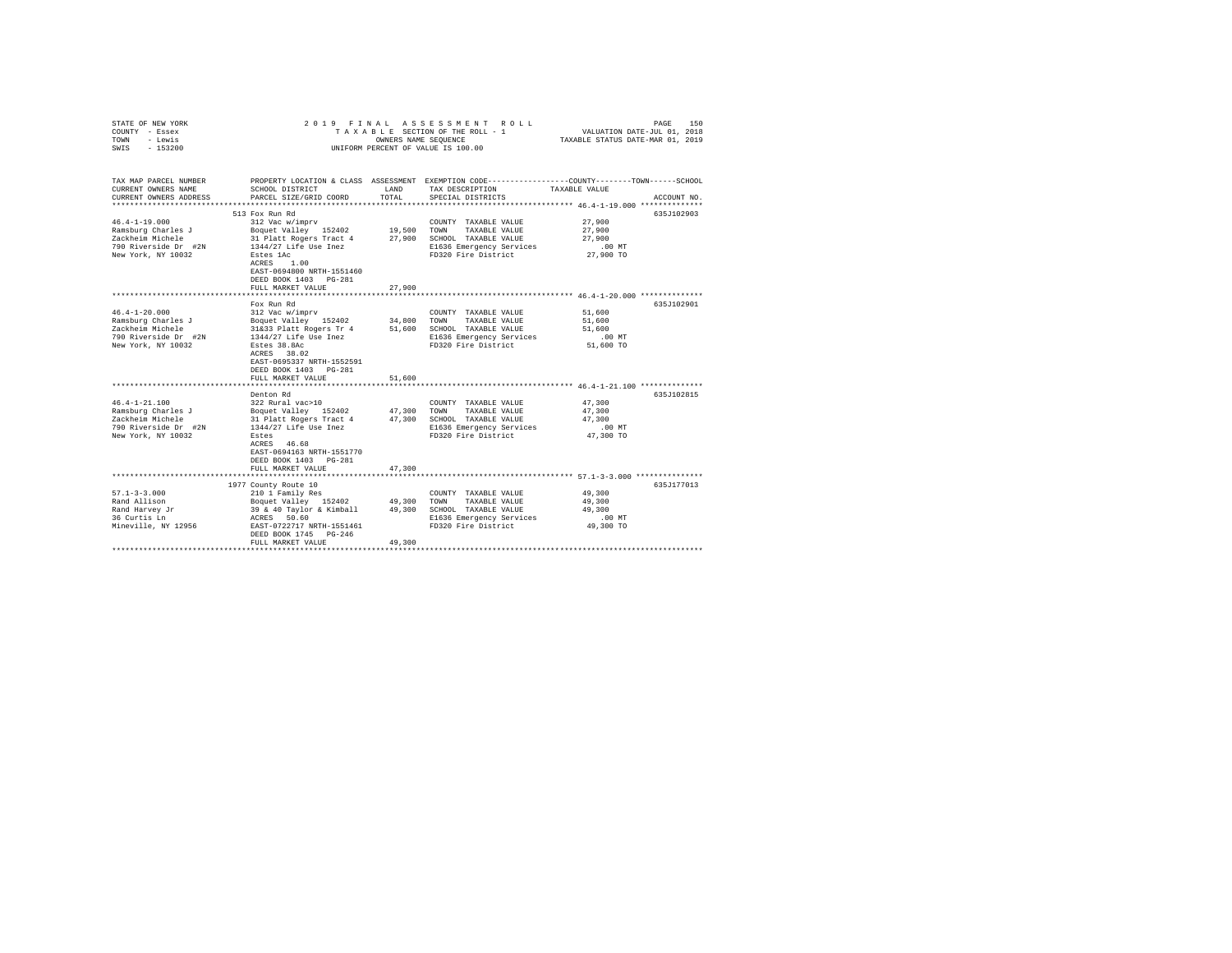|                                                                                                                                                                                         |                                                                                |                                                                                          | PAGE<br>150<br>VALUATION DATE-JUL 01, 2018<br>TAXABLE STATUS DATE-MAR 01, 2019                                                                                                                                                                                                                                                                                                                                                                                                                               |
|-----------------------------------------------------------------------------------------------------------------------------------------------------------------------------------------|--------------------------------------------------------------------------------|------------------------------------------------------------------------------------------|--------------------------------------------------------------------------------------------------------------------------------------------------------------------------------------------------------------------------------------------------------------------------------------------------------------------------------------------------------------------------------------------------------------------------------------------------------------------------------------------------------------|
| SCHOOL DISTRICT                                                                                                                                                                         | LAND                                                                           | TAX DESCRIPTION                                                                          | TAXABLE VALUE<br>ACCOUNT NO.                                                                                                                                                                                                                                                                                                                                                                                                                                                                                 |
|                                                                                                                                                                                         |                                                                                |                                                                                          |                                                                                                                                                                                                                                                                                                                                                                                                                                                                                                              |
| 513 Fox Run Rd<br>312 Vac w/imprv<br>Boquet Valley 152402<br>31 Platt Rogers Tract 4<br>1344/27 Life Use Inez<br>Estes 1Ac                                                              |                                                                                | COUNTY TAXABLE VALUE<br>TAXABLE VALUE<br>E1636 Emergency Services<br>FD320 Fire District | 635J102903<br>27,900<br>27,900<br>27,900<br>$.00$ MT<br>27,900 TO                                                                                                                                                                                                                                                                                                                                                                                                                                            |
| EAST-0694800 NRTH-1551460<br>DEED BOOK 1403 PG-281<br>FULL MARKET VALUE<br>***********************                                                                                      | 27,900                                                                         |                                                                                          | ********************** 46.4-1-20.000 **************                                                                                                                                                                                                                                                                                                                                                                                                                                                          |
| Fox Run Rd                                                                                                                                                                              |                                                                                |                                                                                          | 635J102901                                                                                                                                                                                                                                                                                                                                                                                                                                                                                                   |
| 312 Vac w/imprv<br>Boquet Valley 152402<br>31&33 Platt Rogers Tr 4<br>1344/27 Life Use Inez<br>Estes 38.8Ac<br>ACRES 38.02<br>EAST-0695337 NRTH-1552591<br>DEED BOOK 1403 PG-281        |                                                                                | COUNTY TAXABLE VALUE<br>E1636 Emergency Services<br>FD320 Fire District                  | 51,600<br>51,600<br>51,600<br>$.00$ MT<br>51,600 TO                                                                                                                                                                                                                                                                                                                                                                                                                                                          |
|                                                                                                                                                                                         |                                                                                |                                                                                          |                                                                                                                                                                                                                                                                                                                                                                                                                                                                                                              |
| Denton Rd<br>322 Rural vac>10<br>Boquet Valley 152402<br>31 Platt Rogers Tract 4<br>1344/27 Life Use Inez<br>Estes<br>ACRES 46.68<br>EAST-0694163 NRTH-1551770<br>DEED BOOK 1403 PG-281 |                                                                                | COUNTY TAXABLE VALUE<br>E1636 Emergency Services<br>FD320 Fire District                  | 635J102815<br>47,300<br>47,300<br>47.300<br>$.00$ MT<br>47,300 TO                                                                                                                                                                                                                                                                                                                                                                                                                                            |
|                                                                                                                                                                                         |                                                                                |                                                                                          | ******************************* 57.1-3.000 **************                                                                                                                                                                                                                                                                                                                                                                                                                                                    |
| 1977 County Route 10<br>210 1 Family Res<br>Boquet Valley 152402<br>ACRES 50.60<br>EAST-0722717 NRTH-1551461<br>DEED BOOK 1745 PG-246<br>FULL MARKET VALUE                              | 49,300                                                                         | COUNTY TAXABLE VALUE<br>E1636 Emergency Services                                         | 635J177013<br>49,300<br>49,300<br>49,300<br>.00MT<br>49,300 TO                                                                                                                                                                                                                                                                                                                                                                                                                                               |
|                                                                                                                                                                                         | PARCEL SIZE/GRID COORD<br>ACRES 1.00<br>FULL MARKET VALUE<br>FULL MARKET VALUE | TOTAL<br>51,600<br>47.300<br>39 & 40 Taylor & Kimball                                    | 2019 FINAL ASSESSMENT ROLL<br>TAXABLE SECTION OF THE ROLL - 1<br>OWNERS NAME SEQUENCE<br>UNIFORM PERCENT OF VALUE IS 100.00<br>PROPERTY LOCATION & CLASS ASSESSMENT EXEMPTION CODE---------------COUNTY-------TOWN------SCHOOL<br>SPECIAL DISTRICTS<br>19,500 TOWN<br>27,900 SCHOOL TAXABLE VALUE<br>34,800 TOWN TAXABLE VALUE<br>51,600 SCHOOL TAXABLE VALUE<br>47,300 TOWN TAXABLE VALUE<br>47,300 SCHOOL TAXABLE VALUE<br>49,300 TOWN TAXABLE VALUE<br>49,300 SCHOOL TAXABLE VALUE<br>FD320 Fire District |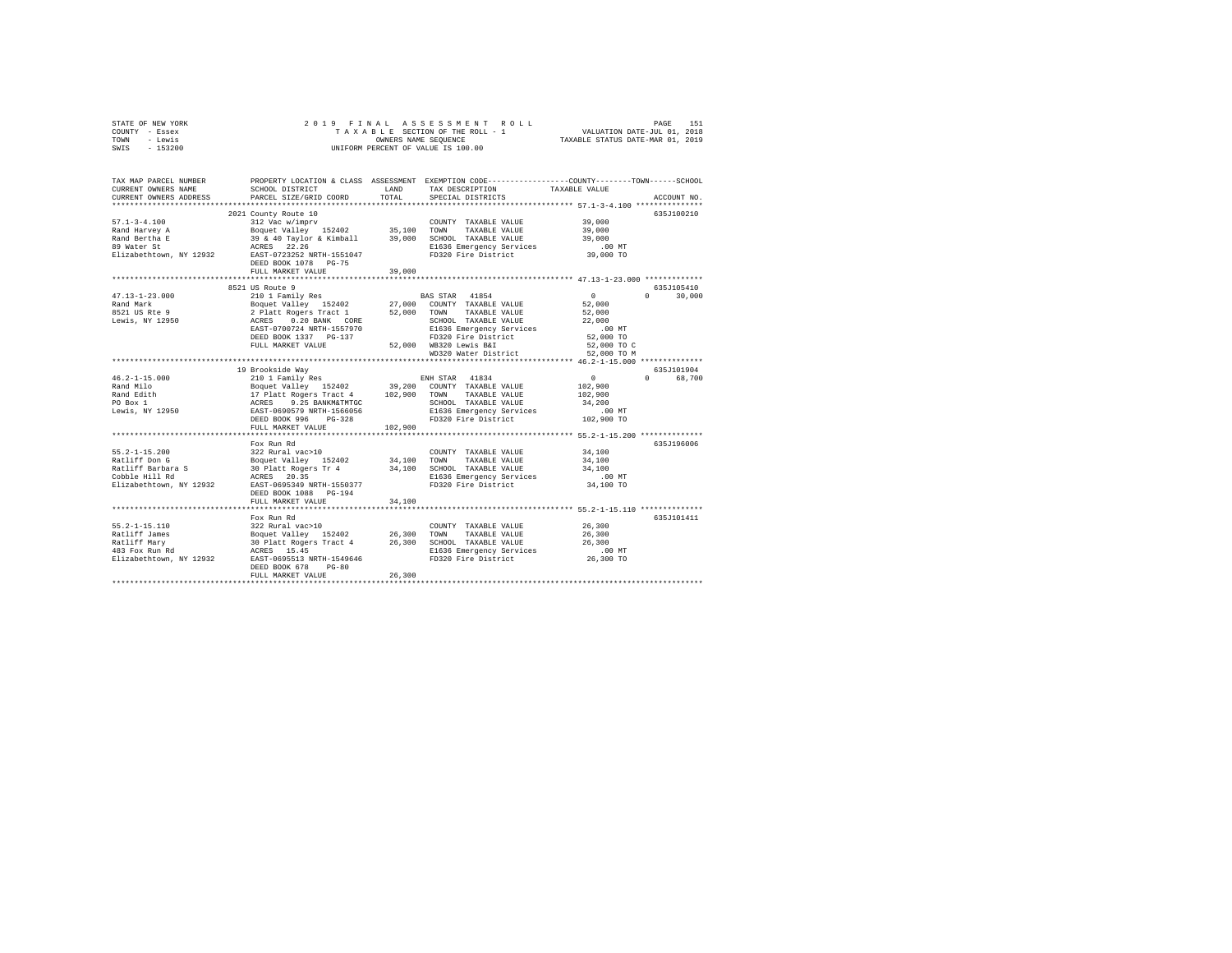| STATE OF NEW YORK | 2019 FINAL ASSESSMENT ROLL         | 151<br>PAGE                      |
|-------------------|------------------------------------|----------------------------------|
| COUNTY - Essex    | TAXABLE SECTION OF THE ROLL - 1    | VALUATION DATE-JUL 01, 2018      |
| TOWN<br>- Lewis   | OWNERS NAME SEOUENCE               | TAXABLE STATUS DATE-MAR 01, 2019 |
| $-153200$<br>SWIS | UNIFORM PERCENT OF VALUE IS 100.00 |                                  |

| TAX MAP PARCEL NUMBER<br>CURRENT OWNERS NAME<br>CURRENT OWNERS ADDRESS                                 | SCHOOL DISTRICT<br>PARCEL SIZE/GRID COORD                                                                                                                                                                                                        | <b>T.AND</b><br>TOTAL       | PROPERTY LOCATION & CLASS ASSESSMENT EXEMPTION CODE---------------COUNTY-------TOWN-----SCHOOL<br>TAX DESCRIPTION<br>SPECIAL DISTRICTS                                                                          | TAXABLE VALUE                                                                                              | ACCOUNT NO.                       |
|--------------------------------------------------------------------------------------------------------|--------------------------------------------------------------------------------------------------------------------------------------------------------------------------------------------------------------------------------------------------|-----------------------------|-----------------------------------------------------------------------------------------------------------------------------------------------------------------------------------------------------------------|------------------------------------------------------------------------------------------------------------|-----------------------------------|
| $57.1 - 3 - 4.100$<br>Rand Harvey A<br>Rand Bertha E<br>89 Water St<br>Elizabethtown, NY 12932         | 2021 County Route 10<br>312 Vac w/imprv<br>Boquet Valley 152402 35,100<br>39 & 40 Taylor & Kimball<br>ACRES 22.26<br>EAST-0723252 NRTH-1551047<br>DEED BOOK 1078<br>PG-75<br>FULL MARKET VALUE                                                   | 39,000<br>39,000<br>******* | COUNTY TAXABLE VALUE<br>TOWN<br>TAXABLE VALUE<br>SCHOOL TAXABLE VALUE<br>E1636 Emergency Services<br>FD320 Fire District                                                                                        | 39,000<br>39,000<br>39,000<br>.00MT<br>39,000 TO<br>******************* 47.13-1-23.000 **************      | 635J100210                        |
| $47.13 - 1 - 23.000$<br>Rand Mark<br>8521 US Rte 9<br>Lewis, NY 12950                                  | 8521 US Route 9<br>210 1 Family Res<br>Boquet Valley 152402 27,000<br>2 Platt Rogers Tract 1 52,000<br>ACRES 0.20 BANK CORE<br>EAST-0700724 NRTH-1557970<br>DEED BOOK 1337 PG-137<br>FULL MARKET VALUE                                           | 27,000                      | BAS STAR 41854<br>COUNTY TAXABLE VALUE<br>TAXABLE VALUE<br>TOWN<br>SCHOOL TAXABLE VALUE<br>E1636 Emergency Services<br>FD320 Fire District<br>52,000 WB320 Lewis B&I<br>WB320 Lewis B&I<br>WD320 Water District | $\sim$ 0<br>52,000<br>52,000<br>22,000<br>$.00$ MT<br>52,000 TO<br>52,000 TO C<br>52,000 TO M              | 635.T105410<br>$\Omega$<br>30,000 |
| $46.2 - 1 - 15.000$<br>Rand Milo<br>Rand Edith<br>PO Box 1<br>Lewis, NY 12950                          | 19 Brookside Way<br>210 1 Family Res<br>Boquet Valley 152402<br>17 Platt Rogers Tract 4 102,900 TOWN TAXABLE VALUE<br>ACRES 9.25 BANKM&TMTGC SCHOOL TAXABLE VALUE<br>EAST-0690579 NRTH-1566056<br>DEED BOOK 996<br>$PG-328$<br>FULL MARKET VALUE | 102,900                     | ENH STAR 41834<br>39,200 COUNTY TAXABLE VALUE<br>SCHOOL TAXABLE VALUE<br>E1636 Emergency Services<br>FD320 Fire District                                                                                        | $\sim$ 0<br>102,900<br>102,900<br>34,200<br>$.00$ MT<br>102,900 TO                                         | 635J101904<br>$\Omega$<br>68,700  |
| $55.2 - 1 - 15.200$<br>Ratliff Don G<br>Ratliff Barbara S<br>Cobble Hill Rd<br>Elizabethtown, NY 12932 | **********************<br>Fox Run Rd<br>322 Rural vac>10<br>Boquet Valley 152402<br>30 Platt Rogers Tr 4<br>ACRES 20.35<br>EAST-0695349 NRTH-1550377<br>DEED BOOK 1088 PG-194<br>FULL MARKET VALUE                                               | 34,100<br>34,100            | COUNTY TAXABLE VALUE<br>34,100 TOWN<br>TAXABLE VALUE<br>SCHOOL TAXABLE VALUE<br>E1636 Emergency Services<br>FD320 Fire District                                                                                 | ********************** 55.2-1-15.200 **************<br>34,100<br>34,100<br>34,100<br>$.00$ MT<br>34,100 TO | 635J196006                        |
| $55.2 - 1 - 15.110$<br>Ratliff James<br>Ratliff Marv<br>483 Fox Run Rd<br>Elizabethtown, NY 12932      | Fox Run Rd<br>322 Rural vac>10<br>Boquet Valley 152402<br>30 Platt Rogers Tract 4<br>ACRES 15.45<br>EAST-0695513 NRTH-1549646<br>DEED BOOK 678<br>$PG-80$<br>FULL MARKET VALUE                                                                   | 26,300<br>26,300<br>26,300  | COUNTY TAXABLE VALUE<br>TOWN<br>TAXABLE VALUE<br>SCHOOL TAXABLE VALUE<br>E1636 Emergency Services<br>FD320 Fire District                                                                                        | 26,300<br>26,300<br>26,300<br>.00 MT<br>26,300 TO                                                          | 635J101411                        |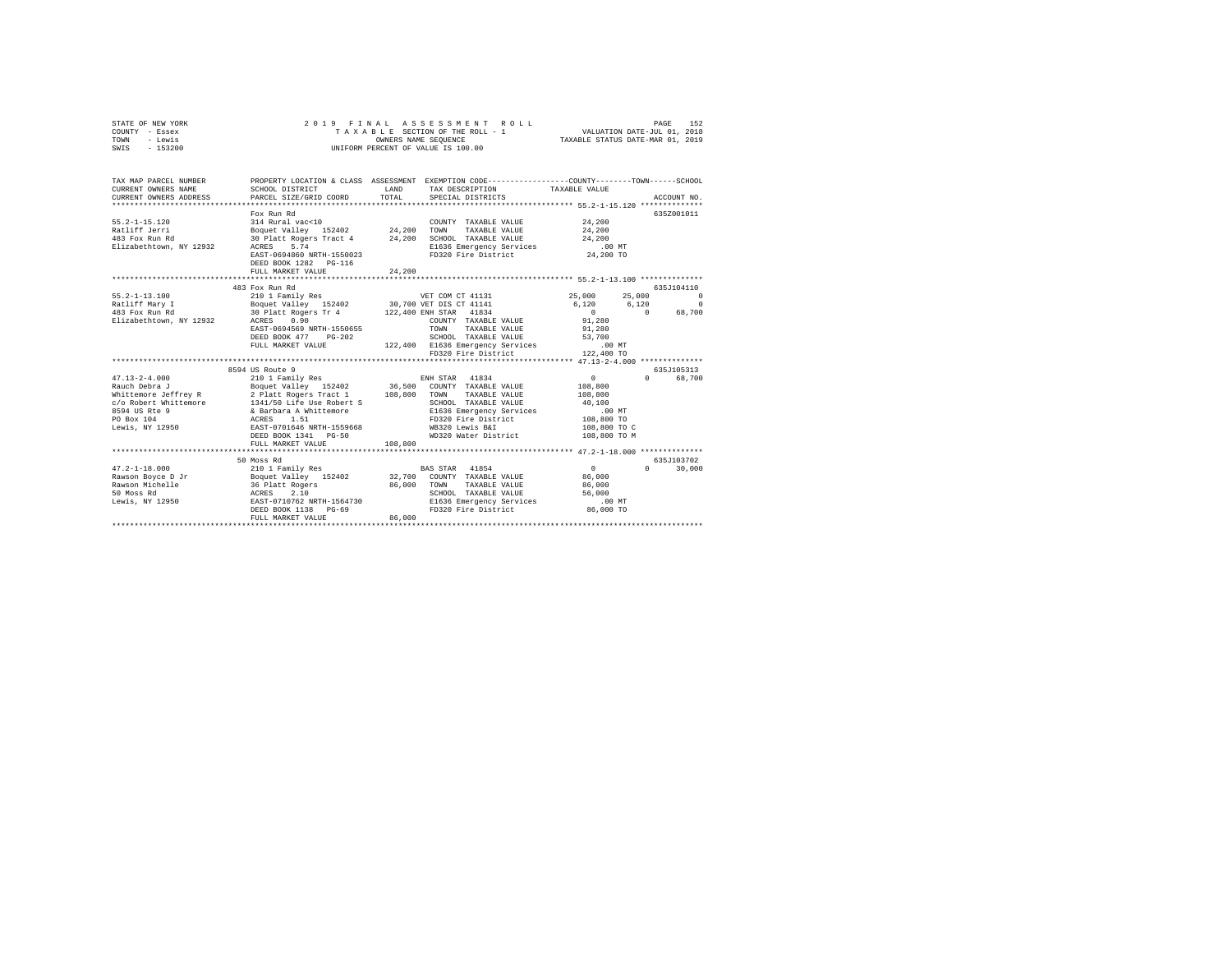| STATE OF NEW YORK | 2019 FINAL ASSESSMENT ROLL         | 152<br>PAGE                      |
|-------------------|------------------------------------|----------------------------------|
| COUNTY - Essex    | TAXABLE SECTION OF THE ROLL - 1    | VALUATION DATE-JUL 01, 2018      |
| TOWN<br>- Lewis   | OWNERS NAME SEOUENCE               | TAXABLE STATUS DATE-MAR 01, 2019 |
| $-153200$<br>SWIS | UNIFORM PERCENT OF VALUE IS 100.00 |                                  |

| TAX MAP PARCEL NUMBER<br>CURRENT OWNERS NAME<br>CURRENT OWNERS ADDRESS                       | SCHOOL DISTRICT<br>PARCEL SIZE/GRID COORD                                                                                                                                                                                                                                                                                                                                                                                     | LAND<br>TOTAL.<br>******************** | PROPERTY LOCATION & CLASS ASSESSMENT EXEMPTION CODE----------------COUNTY-------TOWN------SCHOOL<br>TAX DESCRIPTION TAXABLE VALUE<br>SPECIAL DISTRICTS | **************** 55.2-1-15.120 ********                                                            | ACCOUNT NO.                                        |
|----------------------------------------------------------------------------------------------|-------------------------------------------------------------------------------------------------------------------------------------------------------------------------------------------------------------------------------------------------------------------------------------------------------------------------------------------------------------------------------------------------------------------------------|----------------------------------------|--------------------------------------------------------------------------------------------------------------------------------------------------------|----------------------------------------------------------------------------------------------------|----------------------------------------------------|
| $55.2 - 1 - 15.120$<br>Ratliff Jerri<br>483 Fox Run Rd<br>Elizabethtown, NY 12932            | Fox Run Rd<br>314 Rural vac<10<br>Boquet Valley 152402 24,200 TOWN<br>30 Platt Rogers Tract 4 24,200 SCHOO<br>ACRES<br>5.74<br>EAST-0694860 NRTH-1550023<br>DEED BOOK 1282 PG-116<br>FULL MARKET VALUE<br>**************************                                                                                                                                                                                          | 24,200                                 | COUNTY TAXABLE VALUE<br>TAXABLE VALUE<br>SCHOOL TAXABLE VALUE<br>E1636 Emergency Services<br>FD320 Fire District 24,200 TO                             | 24,200<br>24,200<br>24,200<br>$.00$ MT                                                             | 635Z001011                                         |
|                                                                                              | 483 Fox Run Rd                                                                                                                                                                                                                                                                                                                                                                                                                |                                        |                                                                                                                                                        |                                                                                                    | 635J104110                                         |
| $55.2 - 1 - 13.100$<br>483 Fox Run Rd<br>Elizabethtown, NY 12932                             | 210 1 Family Res<br>Ratliff Mary I Boquet Valley 152402 30,700 VET DIS CT 41141<br>30 Platt Rogers Tr 4 122,400 ENH STAR 41834<br>0.90<br>ACRES<br>EAST-0694569 NRTH-1550655<br>DEED BOOK 477<br>$PG-202$                                                                                                                                                                                                                     |                                        | VET COM CT 41131<br>COUNTY TAXABLE VALUE<br>TOWN<br>TAXABLE VALUE<br>SCHOOL TAXABLE VALUE 53,700                                                       | 25,000 25,000<br>6.120 6.120<br>$\sim$ 0<br>91,280<br>91,280                                       | $\circ$<br>$^{\circ}$<br>$\sim$ 0 $\sim$<br>68,700 |
|                                                                                              | FULL MARKET VALUE                                                                                                                                                                                                                                                                                                                                                                                                             |                                        | 122,400 E1636 Emergency Services .00 MT<br>FD320 Fire District 122,400 TO                                                                              |                                                                                                    |                                                    |
|                                                                                              |                                                                                                                                                                                                                                                                                                                                                                                                                               |                                        |                                                                                                                                                        |                                                                                                    |                                                    |
|                                                                                              |                                                                                                                                                                                                                                                                                                                                                                                                                               |                                        |                                                                                                                                                        |                                                                                                    |                                                    |
| $47.13 - 2 - 4.000$<br>Rauch Debra J                                                         | 8594 US Route 9<br>Whittemore Jeffrey R 2 Platt Rogers Tract 1 108,800 TOWN TAXABLE VALUE<br>$8594 \text{ USE}$ The context instance of the search of the search of the search of the search of the search of the search of the search of the search of the search of the search of the search of the search of the search of th<br>Lewis, NY 12950 EAST-0701646 NRTH-1559668<br>DEED BOOK 1341    PG-50<br>FULL MARKET VALUE | 108,800                                | SCHOOL TAXABLE VALUE<br>E1636 Emergency Services<br>FD320 Fire District<br>WB320 Lewis B&I<br>WD320 Water District                                     | $\sim$ 0<br>108,800<br>108,800<br>40,100<br>$.00$ MT<br>108,800 TO<br>108,800 TO C<br>108,800 TO M | 635J105313<br>68,700<br>$\Omega$                   |
|                                                                                              |                                                                                                                                                                                                                                                                                                                                                                                                                               |                                        |                                                                                                                                                        |                                                                                                    |                                                    |
| $47.2 - 1 - 18.000$<br>Rawson Boyce D Jr<br>Rawson Michelle<br>50 Moss Rd<br>Lewis, NY 12950 | 50 Moss Rd<br>36 Platt Rogers<br>ACRES 2.10<br>EAST-0710762 NRTH-1564730<br>DEED BOOK 1138 PG-69<br>FULL MARKET VALUE                                                                                                                                                                                                                                                                                                         | 86,000<br>86,000                       | TOWN<br>TAXABLE VALUE<br>SCHOOL TAXABLE VALUE<br>E1636 Emergency Services<br>FD320 Fire District 86,000 TO                                             | 0<br>86,000<br>86,000<br>$56\,,000$<br>$.00$ MT                                                    | 635J103702<br>$\Omega$<br>30,000                   |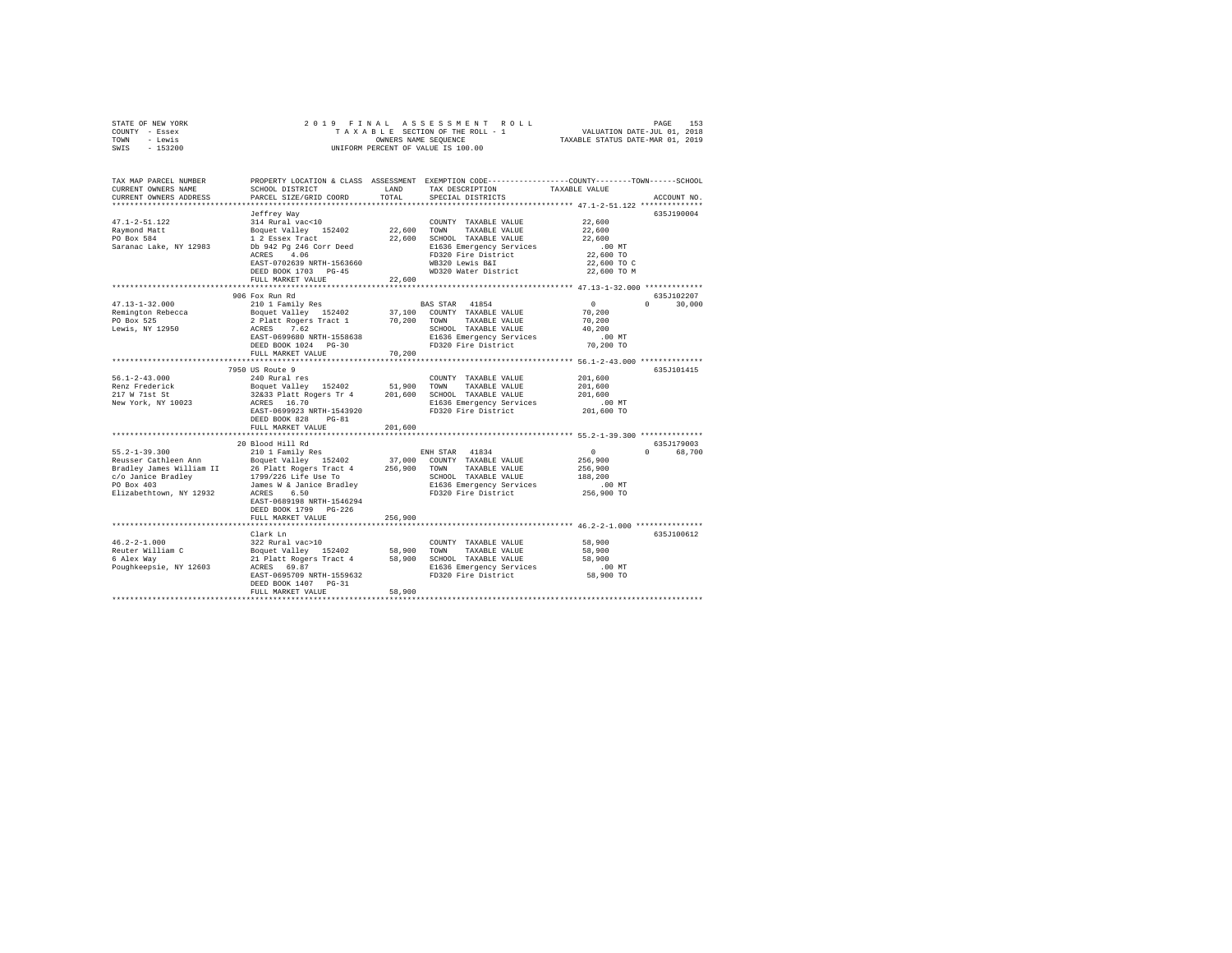|      | STATE OF NEW YORK |  |  | 2019 FINAL ASSESSMENT ROLL         |                                  | PAGE                        | 153 |
|------|-------------------|--|--|------------------------------------|----------------------------------|-----------------------------|-----|
|      | COUNTY - Essex    |  |  | TAXABLE SECTION OF THE ROLL - 1    |                                  | VALUATION DATE-JUL 01, 2018 |     |
| TOWN | - Lewis           |  |  | OWNERS NAME SEOUENCE               | TAXABLE STATUS DATE-MAR 01, 2019 |                             |     |
| SWIS | - 153200          |  |  | UNIFORM PERCENT OF VALUE IS 100.00 |                                  |                             |     |

| PARCEL SIZE/GRID COORD<br>TOTAL<br>CURRENT OWNERS ADDRESS<br>SPECIAL DISTRICTS<br>***********<br>635J190004<br>Jeffrey Way<br>$47.1 - 2 - 51.122$<br>314 Rural vac<10<br>22,600<br>COUNTY TAXABLE VALUE<br>Boquet Valley 152402<br>22,600<br>Raymond Matt<br>TOWN<br>TAXABLE VALUE<br>22,600<br>PO Box 584<br>1 2 Essex Tract<br>22,600<br>SCHOOL TAXABLE VALUE<br>22,600<br>Db 942 Pg 246 Corr Deed<br>Saranac Lake, NY 12983<br>E1636 Emergency Services<br>$.00$ MT<br>ACRES 4.06<br>FD320 Fire District<br>22,600 TO<br>EAST-0702639 NRTH-1563660<br>WB320 Lewis B&I<br>22,600 TO C<br>DEED BOOK 1703 PG-45<br>WD320 Water District<br>22,600 TO M<br>22,600<br>FULL MARKET VALUE<br>*************************<br>635J102207<br>906 Fox Run Rd<br>$47.13 - 1 - 32.000$<br>210 1 Family Res<br>BAS STAR 41854<br>$\circ$<br>$\Omega$<br>30,000 |
|---------------------------------------------------------------------------------------------------------------------------------------------------------------------------------------------------------------------------------------------------------------------------------------------------------------------------------------------------------------------------------------------------------------------------------------------------------------------------------------------------------------------------------------------------------------------------------------------------------------------------------------------------------------------------------------------------------------------------------------------------------------------------------------------------------------------------------------------------|
|                                                                                                                                                                                                                                                                                                                                                                                                                                                                                                                                                                                                                                                                                                                                                                                                                                                   |
|                                                                                                                                                                                                                                                                                                                                                                                                                                                                                                                                                                                                                                                                                                                                                                                                                                                   |
|                                                                                                                                                                                                                                                                                                                                                                                                                                                                                                                                                                                                                                                                                                                                                                                                                                                   |
|                                                                                                                                                                                                                                                                                                                                                                                                                                                                                                                                                                                                                                                                                                                                                                                                                                                   |
|                                                                                                                                                                                                                                                                                                                                                                                                                                                                                                                                                                                                                                                                                                                                                                                                                                                   |
|                                                                                                                                                                                                                                                                                                                                                                                                                                                                                                                                                                                                                                                                                                                                                                                                                                                   |
|                                                                                                                                                                                                                                                                                                                                                                                                                                                                                                                                                                                                                                                                                                                                                                                                                                                   |
|                                                                                                                                                                                                                                                                                                                                                                                                                                                                                                                                                                                                                                                                                                                                                                                                                                                   |
|                                                                                                                                                                                                                                                                                                                                                                                                                                                                                                                                                                                                                                                                                                                                                                                                                                                   |
|                                                                                                                                                                                                                                                                                                                                                                                                                                                                                                                                                                                                                                                                                                                                                                                                                                                   |
|                                                                                                                                                                                                                                                                                                                                                                                                                                                                                                                                                                                                                                                                                                                                                                                                                                                   |
|                                                                                                                                                                                                                                                                                                                                                                                                                                                                                                                                                                                                                                                                                                                                                                                                                                                   |
|                                                                                                                                                                                                                                                                                                                                                                                                                                                                                                                                                                                                                                                                                                                                                                                                                                                   |
| Remington Rebecca<br>Boquet Valley 152402<br>37,100 COUNTY TAXABLE VALUE<br>70,200                                                                                                                                                                                                                                                                                                                                                                                                                                                                                                                                                                                                                                                                                                                                                                |
| PO Box 525<br>2 Platt Rogers Tract 1<br>70,200<br>TAXABLE VALUE<br>70,200<br>TOWN                                                                                                                                                                                                                                                                                                                                                                                                                                                                                                                                                                                                                                                                                                                                                                 |
| Lewis, NY 12950<br>ACRES 7.62<br>SCHOOL TAXABLE VALUE<br>40.200                                                                                                                                                                                                                                                                                                                                                                                                                                                                                                                                                                                                                                                                                                                                                                                   |
| EAST-0699680 NRTH-1558638<br>E1636 Emergency Services<br>$.00$ MT                                                                                                                                                                                                                                                                                                                                                                                                                                                                                                                                                                                                                                                                                                                                                                                 |
| FD320 Fire District<br>70,200 TO<br>DEED BOOK 1024 PG-30                                                                                                                                                                                                                                                                                                                                                                                                                                                                                                                                                                                                                                                                                                                                                                                          |
| FULL MARKET VALUE<br>70,200                                                                                                                                                                                                                                                                                                                                                                                                                                                                                                                                                                                                                                                                                                                                                                                                                       |
| 7950 US Route 9<br>635J101415                                                                                                                                                                                                                                                                                                                                                                                                                                                                                                                                                                                                                                                                                                                                                                                                                     |
| $56.1 - 2 - 43.000$<br>240 Rural res<br>201,600<br>COUNTY TAXABLE VALUE                                                                                                                                                                                                                                                                                                                                                                                                                                                                                                                                                                                                                                                                                                                                                                           |
| Renz Frederick<br>Boquet Valley 152402<br>51,900<br>TOWN<br>TAXABLE VALUE<br>201,600                                                                                                                                                                                                                                                                                                                                                                                                                                                                                                                                                                                                                                                                                                                                                              |
| 32&33 Platt Rogers Tr 4<br>201,600<br>SCHOOL TAXABLE VALUE<br>217 W 71st St<br>201,600                                                                                                                                                                                                                                                                                                                                                                                                                                                                                                                                                                                                                                                                                                                                                            |
| ACRES 16.70<br>E1636 Emergency Services<br>$.00$ MT<br>New York, NY 10023                                                                                                                                                                                                                                                                                                                                                                                                                                                                                                                                                                                                                                                                                                                                                                         |
| FD320 Fire District<br>EAST-0699923 NRTH-1543920<br>201,600 TO                                                                                                                                                                                                                                                                                                                                                                                                                                                                                                                                                                                                                                                                                                                                                                                    |
| DEED BOOK 828<br>$PG-81$                                                                                                                                                                                                                                                                                                                                                                                                                                                                                                                                                                                                                                                                                                                                                                                                                          |
| 201,600<br>FULL MARKET VALUE                                                                                                                                                                                                                                                                                                                                                                                                                                                                                                                                                                                                                                                                                                                                                                                                                      |
|                                                                                                                                                                                                                                                                                                                                                                                                                                                                                                                                                                                                                                                                                                                                                                                                                                                   |
| 20 Blood Hill Rd<br>635J179003                                                                                                                                                                                                                                                                                                                                                                                                                                                                                                                                                                                                                                                                                                                                                                                                                    |
| 210 1 Family Res<br>$55.2 - 1 - 39.300$<br>ENH STAR 41834<br>$^{\circ}$<br>$\Omega$<br>68,700                                                                                                                                                                                                                                                                                                                                                                                                                                                                                                                                                                                                                                                                                                                                                     |
| 37,000<br>Reusser Cathleen Ann<br>Boquet Valley 152402<br>COUNTY TAXABLE VALUE<br>256,900                                                                                                                                                                                                                                                                                                                                                                                                                                                                                                                                                                                                                                                                                                                                                         |
| Bradley James William II<br>26 Platt Rogers Tract 4<br>256,900<br>TOWN<br>TAXABLE VALUE<br>256,900                                                                                                                                                                                                                                                                                                                                                                                                                                                                                                                                                                                                                                                                                                                                                |
| c/o Janice Bradley<br>1799/226 Life Use To<br>SCHOOL TAXABLE VALUE<br>188,200                                                                                                                                                                                                                                                                                                                                                                                                                                                                                                                                                                                                                                                                                                                                                                     |
| PO Box 403<br>James W & Janice Bradley<br>E1636 Emergency Services<br>.00 MT                                                                                                                                                                                                                                                                                                                                                                                                                                                                                                                                                                                                                                                                                                                                                                      |
| Elizabethtown, NY 12932<br>ACRES 6.50<br>FD320 Fire District<br>256,900 TO                                                                                                                                                                                                                                                                                                                                                                                                                                                                                                                                                                                                                                                                                                                                                                        |
| EAST-0689198 NRTH-1546294                                                                                                                                                                                                                                                                                                                                                                                                                                                                                                                                                                                                                                                                                                                                                                                                                         |
| DEED BOOK 1799 PG-226                                                                                                                                                                                                                                                                                                                                                                                                                                                                                                                                                                                                                                                                                                                                                                                                                             |
| 256,900<br>FULL MARKET VALUE                                                                                                                                                                                                                                                                                                                                                                                                                                                                                                                                                                                                                                                                                                                                                                                                                      |
| **************************<br>***************************** 46.2-2-1.000 ***************                                                                                                                                                                                                                                                                                                                                                                                                                                                                                                                                                                                                                                                                                                                                                          |
| Clark Ln<br>635J100612                                                                                                                                                                                                                                                                                                                                                                                                                                                                                                                                                                                                                                                                                                                                                                                                                            |
| $46.2 - 2 - 1.000$<br>322 Rural vac>10<br>58,900<br>COUNTY TAXABLE VALUE                                                                                                                                                                                                                                                                                                                                                                                                                                                                                                                                                                                                                                                                                                                                                                          |
| 58,900<br>Reuter William C<br>Boquet Valley 152402<br>TOWN<br>TAXABLE VALUE<br>58,900                                                                                                                                                                                                                                                                                                                                                                                                                                                                                                                                                                                                                                                                                                                                                             |
| 6 Alex Way<br>21 Platt Rogers Tract 4<br>58,900<br>SCHOOL TAXABLE VALUE<br>58,900                                                                                                                                                                                                                                                                                                                                                                                                                                                                                                                                                                                                                                                                                                                                                                 |
| Poughkeepsie, NY 12603<br>ACRES 69.87<br>E1636 Emergency Services<br>$.00$ MT                                                                                                                                                                                                                                                                                                                                                                                                                                                                                                                                                                                                                                                                                                                                                                     |
| FD320 Fire District<br>EAST-0695709 NRTH-1559632<br>58,900 TO<br>DEED BOOK 1407 PG-31                                                                                                                                                                                                                                                                                                                                                                                                                                                                                                                                                                                                                                                                                                                                                             |
| 58,900<br>FULL MARKET VALUE                                                                                                                                                                                                                                                                                                                                                                                                                                                                                                                                                                                                                                                                                                                                                                                                                       |
|                                                                                                                                                                                                                                                                                                                                                                                                                                                                                                                                                                                                                                                                                                                                                                                                                                                   |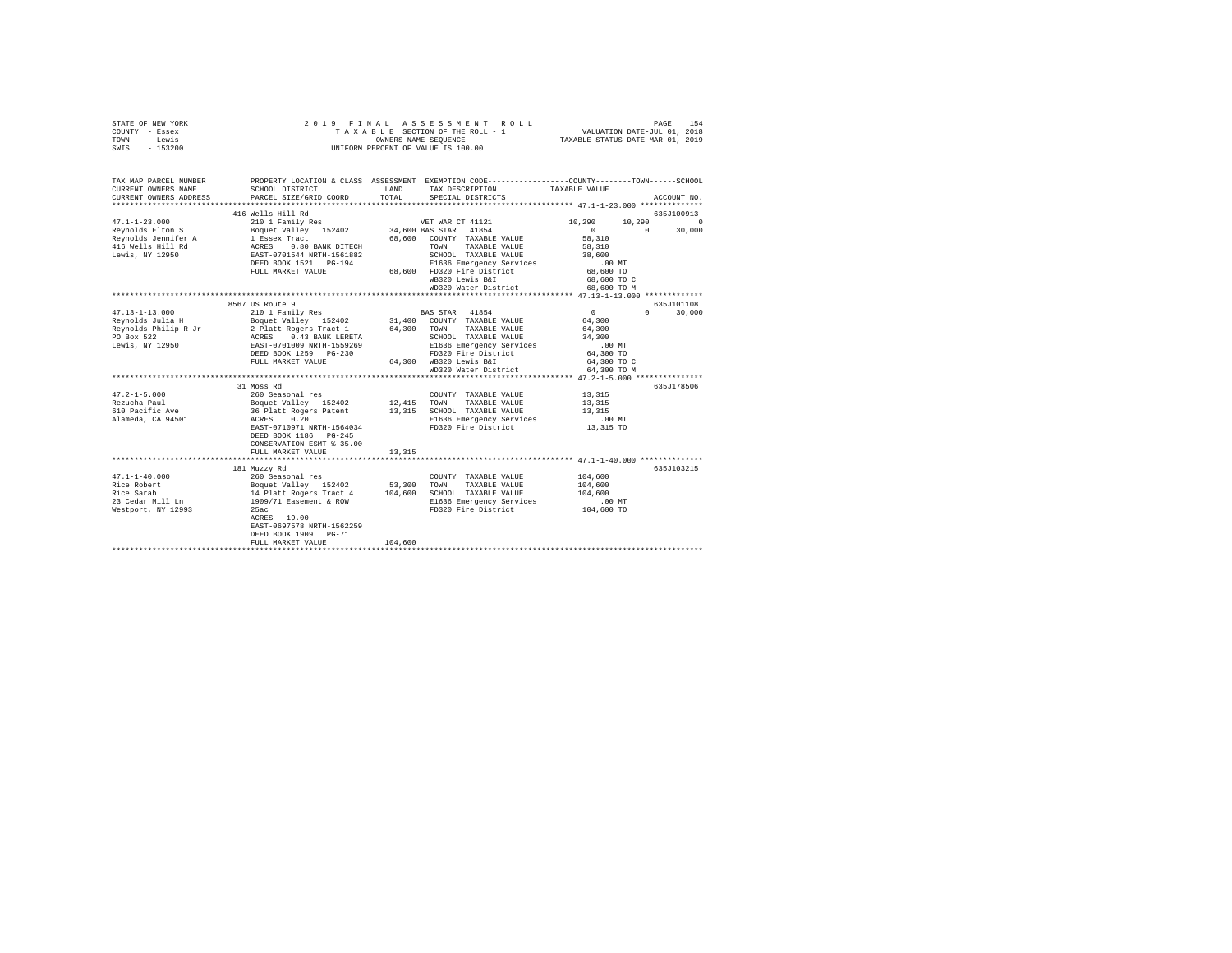| STATE OF NEW YORK<br>COUNTY - Essex<br>TOWN<br>- Lewis<br>SWIS - 153200                                                                                                                                                        |                                                                                                                                                                                                          |         | 2019 FINAL ASSESSMENT ROLL<br>3 L E SECTION OF THE ROLL - 1 VALUATION DATE-JUL 01, 2018<br>OWNERS NAME SEQUENCE TAXABLE STATUS DATE-MAR 01, 2019<br>TAXABLE SECTION OF THE ROLL - 1<br>UNIFORM PERCENT OF VALUE IS 100.00 |                      | PAGE<br>154        |
|--------------------------------------------------------------------------------------------------------------------------------------------------------------------------------------------------------------------------------|----------------------------------------------------------------------------------------------------------------------------------------------------------------------------------------------------------|---------|---------------------------------------------------------------------------------------------------------------------------------------------------------------------------------------------------------------------------|----------------------|--------------------|
| TAX MAP PARCEL NUMBER<br>CURRENT OWNERS NAME<br>CURRENT OWNERS ADDRESS                                                                                                                                                         | SCHOOL DISTRICT<br>PARCEL SIZE/GRID COORD                                                                                                                                                                | TOTAL   | PROPERTY LOCATION & CLASS ASSESSMENT EXEMPTION CODE----------------COUNTY-------TOWN-----SCHOOL<br>LAND TAX DESCRIPTION<br>SPECIAL DISTRICTS                                                                              | TAXABLE VALUE        | ACCOUNT NO.        |
|                                                                                                                                                                                                                                | 416 Wells Hill Rd                                                                                                                                                                                        |         |                                                                                                                                                                                                                           |                      | 635J100913         |
| $47.1 - 1 - 23.000$                                                                                                                                                                                                            | 210 1 Family Res                                                                                                                                                                                         |         | VET WAR CT 41121                                                                                                                                                                                                          | 10,290               | $10.290$ 0         |
| Reynolds Elton S                                                                                                                                                                                                               | Boquet Valley 152402 34,600 BAS STAR 41854                                                                                                                                                               |         |                                                                                                                                                                                                                           | $\sim$ 0             | $\sim$ 0<br>30,000 |
|                                                                                                                                                                                                                                |                                                                                                                                                                                                          |         |                                                                                                                                                                                                                           | 58,310               |                    |
|                                                                                                                                                                                                                                |                                                                                                                                                                                                          |         |                                                                                                                                                                                                                           | 58,310               |                    |
|                                                                                                                                                                                                                                |                                                                                                                                                                                                          |         | SCHOOL TAXABLE VALUE                                                                                                                                                                                                      | 38,600               |                    |
| Neyinolas archives and the search of the search of the search of the search of the search of the search of the search of the search of the search of the search of the search of the search of the search of the search of the |                                                                                                                                                                                                          |         | E1636 Emergency Services                                                                                                                                                                                                  | $.00$ MT             |                    |
|                                                                                                                                                                                                                                | FULL MARKET VALUE                                                                                                                                                                                        |         | 68,600 FD320 Fire District                                                                                                                                                                                                | 68,600 TO            |                    |
|                                                                                                                                                                                                                                |                                                                                                                                                                                                          |         | WB320 Lewis B&I                                                                                                                                                                                                           | 68,600 TO C          |                    |
|                                                                                                                                                                                                                                |                                                                                                                                                                                                          |         | WD320 Water District                                                                                                                                                                                                      | 68,600 TO M          |                    |
|                                                                                                                                                                                                                                |                                                                                                                                                                                                          |         |                                                                                                                                                                                                                           |                      |                    |
|                                                                                                                                                                                                                                | 8567 US Route 9                                                                                                                                                                                          |         |                                                                                                                                                                                                                           |                      | 635J101108         |
| $47.13 - 1 - 13.000$                                                                                                                                                                                                           | 210 1 Family Res                                                                                                                                                                                         |         | BAS STAR 41854                                                                                                                                                                                                            | $\sim$ 0             | $\Omega$<br>30,000 |
| Revnolds Julia H                                                                                                                                                                                                               | Boquet Valley 152402                                                                                                                                                                                     |         | 31,400 COUNTY TAXABLE VALUE                                                                                                                                                                                               | 64,300               |                    |
| Reynolds Philip R Jr<br>PO Box 522                                                                                                                                                                                             | 2 Platt Rogers Tract 1 64,300 TOWN TAXABLE VALUE                                                                                                                                                         |         |                                                                                                                                                                                                                           | 64,300               |                    |
|                                                                                                                                                                                                                                | ACRES 0.43 BANK LERETA                                                                                                                                                                                   |         | SCHOOL TAXABLE VALUE                                                                                                                                                                                                      | 34,300               |                    |
| Lewis, NY 12950                                                                                                                                                                                                                | EAST-0701009 NRTH-1559269                                                                                                                                                                                |         | E1636 Emergency Services                                                                                                                                                                                                  | $.00$ MT             |                    |
|                                                                                                                                                                                                                                | DEED BOOK 1259 PG-230                                                                                                                                                                                    |         | FD320 Fire District                                                                                                                                                                                                       | 64,300 TO            |                    |
|                                                                                                                                                                                                                                | FULL MARKET VALUE                                                                                                                                                                                        |         | 64,300 WB320 Lewis B&I                                                                                                                                                                                                    | 64,300 TO C          |                    |
|                                                                                                                                                                                                                                |                                                                                                                                                                                                          |         | WD320 Water District                                                                                                                                                                                                      | 64,300 TO M          |                    |
|                                                                                                                                                                                                                                | 31 Moss Rd                                                                                                                                                                                               |         |                                                                                                                                                                                                                           |                      | 635J178506         |
| $47.2 - 1 - 5.000$                                                                                                                                                                                                             |                                                                                                                                                                                                          |         | COUNTY TAXABLE VALUE                                                                                                                                                                                                      | $\bf 13$ , $\bf 315$ |                    |
| Rezucha Paul                                                                                                                                                                                                                   | 260 Seasonal res<br>Boquet Valley - 152402                                                                                                                                                               |         | 12,415 TOWN TAXABLE VALUE                                                                                                                                                                                                 | 13,315               |                    |
| 610 Pacific Ave                                                                                                                                                                                                                |                                                                                                                                                                                                          |         | 13,315 SCHOOL TAXABLE VALUE                                                                                                                                                                                               | 13,315               |                    |
| Alameda, CA 94501                                                                                                                                                                                                              | 36 Platt Rogers Patent<br>ACRES 0.20                                                                                                                                                                     |         | E1636 Emergency Services                                                                                                                                                                                                  | $.00$ MT             |                    |
|                                                                                                                                                                                                                                | EAST-0710971 NRTH-1564034                                                                                                                                                                                |         | FD320 Fire District                                                                                                                                                                                                       | 13,315 TO            |                    |
|                                                                                                                                                                                                                                | DEED BOOK 1186 PG-245                                                                                                                                                                                    |         |                                                                                                                                                                                                                           |                      |                    |
|                                                                                                                                                                                                                                | CONSERVATION ESMT % 35.00                                                                                                                                                                                |         |                                                                                                                                                                                                                           |                      |                    |
|                                                                                                                                                                                                                                | FULL MARKET VALUE                                                                                                                                                                                        | 13,315  |                                                                                                                                                                                                                           |                      |                    |
|                                                                                                                                                                                                                                |                                                                                                                                                                                                          |         |                                                                                                                                                                                                                           |                      |                    |
|                                                                                                                                                                                                                                | 181 Muzzy Rd                                                                                                                                                                                             |         |                                                                                                                                                                                                                           |                      | 635J103215         |
| $47.1 - 1 - 40.000$                                                                                                                                                                                                            |                                                                                                                                                                                                          |         |                                                                                                                                                                                                                           | 104,600              |                    |
| Rice Robert                                                                                                                                                                                                                    |                                                                                                                                                                                                          |         |                                                                                                                                                                                                                           | 104,600              |                    |
| Rice Sarah                                                                                                                                                                                                                     |                                                                                                                                                                                                          |         |                                                                                                                                                                                                                           | 104,600              |                    |
| 23 Cedar Mill Ln                                                                                                                                                                                                               |                                                                                                                                                                                                          |         | E1636 Emergency Services                                                                                                                                                                                                  | .00 MT               |                    |
| Westport, NY 12993                                                                                                                                                                                                             | <br>260 Seasonal res<br>Boquet Valley 152402 53,300 TOWN TAXABLE VALUE<br>14 Platt Rogers Tract 4 104,600 SCHOOL TAXABLE VALUE<br>1909/71 Easement & ROW E1636 Emergency Services<br>FD320 Fire District |         | FD320 Fire District                                                                                                                                                                                                       | 104,600 TO           |                    |
|                                                                                                                                                                                                                                | EAST-0697578 NRTH-1562259                                                                                                                                                                                |         |                                                                                                                                                                                                                           |                      |                    |
|                                                                                                                                                                                                                                | DEED BOOK 1909 PG-71                                                                                                                                                                                     |         |                                                                                                                                                                                                                           |                      |                    |
|                                                                                                                                                                                                                                | FULL MARKET VALUE                                                                                                                                                                                        | 104,600 |                                                                                                                                                                                                                           |                      |                    |
|                                                                                                                                                                                                                                |                                                                                                                                                                                                          |         |                                                                                                                                                                                                                           |                      |                    |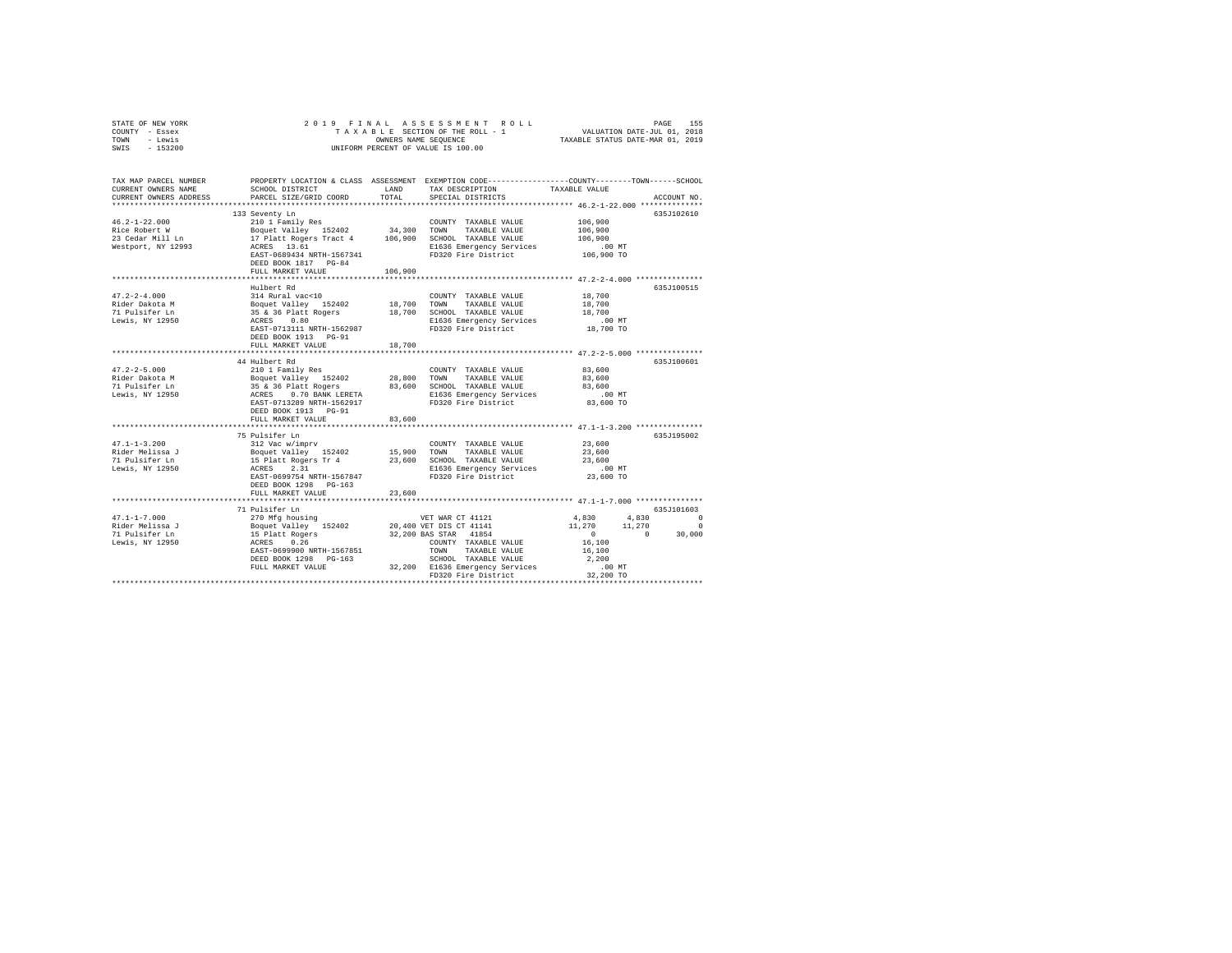| STATE OF NEW YORK      | 2019 FINAL                                                 |                      |                                                                                                 |                                                     |                    |  |  |  |
|------------------------|------------------------------------------------------------|----------------------|-------------------------------------------------------------------------------------------------|-----------------------------------------------------|--------------------|--|--|--|
| COUNTY - Essex         | TAXABLE SECTION OF THE ROLL - 1                            |                      |                                                                                                 |                                                     |                    |  |  |  |
| - Lewis<br>TOWN        | OWNERS NAME SEQUENCE                                       |                      |                                                                                                 |                                                     |                    |  |  |  |
| SWIS<br>$-153200$      | UNIFORM PERCENT OF VALUE IS 100.00                         |                      |                                                                                                 |                                                     |                    |  |  |  |
|                        |                                                            |                      |                                                                                                 |                                                     |                    |  |  |  |
|                        |                                                            |                      |                                                                                                 |                                                     |                    |  |  |  |
|                        |                                                            |                      |                                                                                                 |                                                     |                    |  |  |  |
| TAX MAP PARCEL NUMBER  |                                                            |                      | PROPERTY LOCATION & CLASS ASSESSMENT EXEMPTION CODE---------------COUNTY-------TOWN------SCHOOL |                                                     |                    |  |  |  |
| CURRENT OWNERS NAME    | SCHOOL DISTRICT                                            | LAND                 | TAX DESCRIPTION                                                                                 | TAXABLE VALUE                                       |                    |  |  |  |
| CURRENT OWNERS ADDRESS | PARCEL SIZE/GRID COORD                                     | TOTAL                | SPECIAL DISTRICTS                                                                               |                                                     | ACCOUNT NO.        |  |  |  |
|                        |                                                            |                      |                                                                                                 |                                                     |                    |  |  |  |
|                        | 133 Seventy Ln                                             |                      |                                                                                                 |                                                     | 635J102610         |  |  |  |
| $46.2 - 1 - 22.000$    | 210 1 Family Res                                           | COUNT<br>34,300 TOWN | COUNTY TAXABLE VALUE                                                                            | 106,900                                             |                    |  |  |  |
| Rice Robert W          | Boquet Valley 152402                                       |                      | TAXABLE VALUE                                                                                   | 106,900                                             |                    |  |  |  |
| 23 Cedar Mill Ln       | 17 Platt Rogers Tract 4                                    |                      | 106,900 SCHOOL TAXABLE VALUE                                                                    | 106,900                                             |                    |  |  |  |
| Westport, NY 12993     | ACRES 13.61                                                |                      | E1636 Emergency Services                                                                        | $.00$ MT                                            |                    |  |  |  |
|                        | EAST-0689434 NRTH-1567341                                  |                      | FD320 Fire District                                                                             | 106,900 TO                                          |                    |  |  |  |
|                        | DEED BOOK 1817 PG-84                                       |                      |                                                                                                 |                                                     |                    |  |  |  |
|                        | FULL MARKET VALUE                                          | 106,900              |                                                                                                 |                                                     |                    |  |  |  |
|                        | *********************                                      | ***********          |                                                                                                 | ********************** 47.2-2-4.000 *************** |                    |  |  |  |
|                        | Hulbert Rd                                                 |                      |                                                                                                 |                                                     | 635J100515         |  |  |  |
| $47.2 - 2 - 4.000$     | 314 Rural vac<10                                           |                      | COUNTY TAXABLE VALUE                                                                            | 18,700                                              |                    |  |  |  |
| Rider Dakota M         | Boquet Valley 152402                                       | 18,700 TOWN          | TAXABLE VALUE                                                                                   | 18,700                                              |                    |  |  |  |
| 71 Pulsifer Ln         | 35 & 36 Platt Rogers<br>ACRES 0.80                         |                      | 18,700 SCHOOL TAXABLE VALUE                                                                     | 18,700                                              |                    |  |  |  |
| Lewis, NY 12950        |                                                            |                      | E1636 Emergency Services                                                                        | $.00$ MT                                            |                    |  |  |  |
|                        | EAST-0713111 NRTH-1562987                                  |                      | FD320 Fire District                                                                             | 18,700 TO                                           |                    |  |  |  |
|                        | DEED BOOK 1913 PG-91                                       |                      |                                                                                                 |                                                     |                    |  |  |  |
|                        | FULL MARKET VALUE                                          | 18,700               |                                                                                                 |                                                     |                    |  |  |  |
|                        | *****************************                              |                      |                                                                                                 |                                                     |                    |  |  |  |
|                        | 44 Hulbert Rd                                              |                      |                                                                                                 |                                                     | 635J100601         |  |  |  |
| $47.2 - 2 - 5.000$     | 210 1 Family Res                                           |                      | COUNTY TAXABLE VALUE                                                                            | 83,600                                              |                    |  |  |  |
| Rider Dakota M         | Boquet Valley 152402                                       | 28,800               | TOWN<br>TAXABLE VALUE                                                                           | 83,600                                              |                    |  |  |  |
| 71 Pulsifer Ln         |                                                            |                      | 83,600 SCHOOL TAXABLE VALUE                                                                     | 83,600                                              |                    |  |  |  |
| Lewis, NY 12950        | 35 & 36 Platt Rogers<br>ACRES 0.70 BANK LERETA             |                      | E1636 Emergency Services                                                                        | $.00$ MT                                            |                    |  |  |  |
|                        | EAST-0713289 NRTH-1562917                                  |                      | FD320 Fire District                                                                             | 83,600 TO                                           |                    |  |  |  |
|                        | DEED BOOK 1913 PG-91                                       |                      |                                                                                                 |                                                     |                    |  |  |  |
|                        | FULL MARKET VALUE                                          | 83,600               |                                                                                                 |                                                     |                    |  |  |  |
|                        |                                                            | ********             |                                                                                                 | ********** 47.1-1-3.200 **************              |                    |  |  |  |
|                        | 75 Pulsifer Ln                                             |                      |                                                                                                 |                                                     | 635J195002         |  |  |  |
| $47.1 - 1 - 3.200$     | 312 Vac w/imprv                                            |                      | COUNTY TAXABLE VALUE                                                                            | 23,600                                              |                    |  |  |  |
| Rider Melissa J        |                                                            | 15,900               | TOWN<br>TAXABLE VALUE                                                                           | 23,600                                              |                    |  |  |  |
| 71 Pulsifer Ln         |                                                            |                      | 23,600 SCHOOL TAXABLE VALUE                                                                     | 23,600                                              |                    |  |  |  |
| Lewis, NY 12950        | Boquet Valley 152402<br>15 Platt Rogers Tr 4<br>ACRES 2.31 |                      | E1636 Emergency Services<br>FD320 Fire District                                                 | $.00$ MT                                            |                    |  |  |  |
|                        | EAST-0699754 NRTH-1567847                                  |                      |                                                                                                 | 23,600 TO                                           |                    |  |  |  |
|                        | DEED BOOK 1298 PG-163                                      |                      |                                                                                                 |                                                     |                    |  |  |  |
|                        | FULL MARKET VALUE                                          | 23,600               |                                                                                                 |                                                     |                    |  |  |  |
|                        |                                                            |                      |                                                                                                 |                                                     |                    |  |  |  |
|                        | 71 Pulsifer Ln                                             |                      |                                                                                                 |                                                     | 635J101603         |  |  |  |
| $47.1 - 1 - 7.000$     | 270 Mfg housing                                            |                      | VET WAR CT 41121                                                                                | 4,830<br>4,830                                      | $\sim$ 0           |  |  |  |
| Rider Melissa J        |                                                            |                      | 20,400 VET DIS CT 41141                                                                         | 11,270<br>11,270                                    | $\Omega$           |  |  |  |
| 71 Pulsifer Ln         | Boquet Valley 152402<br>15 Platt Rogers<br>ACRES 0.26      |                      | 32,200 BAS STAR 41854                                                                           | $\sim$ 0                                            | $\Omega$<br>30,000 |  |  |  |
| Lewis, NY 12950        | ACRES 0.26                                                 |                      | COUNTY TAXABLE VALUE                                                                            | 16,100                                              |                    |  |  |  |
|                        | EAST-0699900 NRTH-1567851                                  |                      | TAXABLE VALUE<br>TOWN                                                                           | 16,100                                              |                    |  |  |  |
|                        | DEED BOOK 1298 PG-163                                      |                      | SCHOOL TAXABLE VALUE                                                                            | 2,200                                               |                    |  |  |  |
|                        | FULL MARKET VALUE                                          |                      | 32,200 E1636 Emergency Services                                                                 | $.00$ MT                                            |                    |  |  |  |
|                        |                                                            |                      | FD320 Fire District                                                                             | 32,200 TO                                           |                    |  |  |  |
|                        |                                                            |                      |                                                                                                 |                                                     |                    |  |  |  |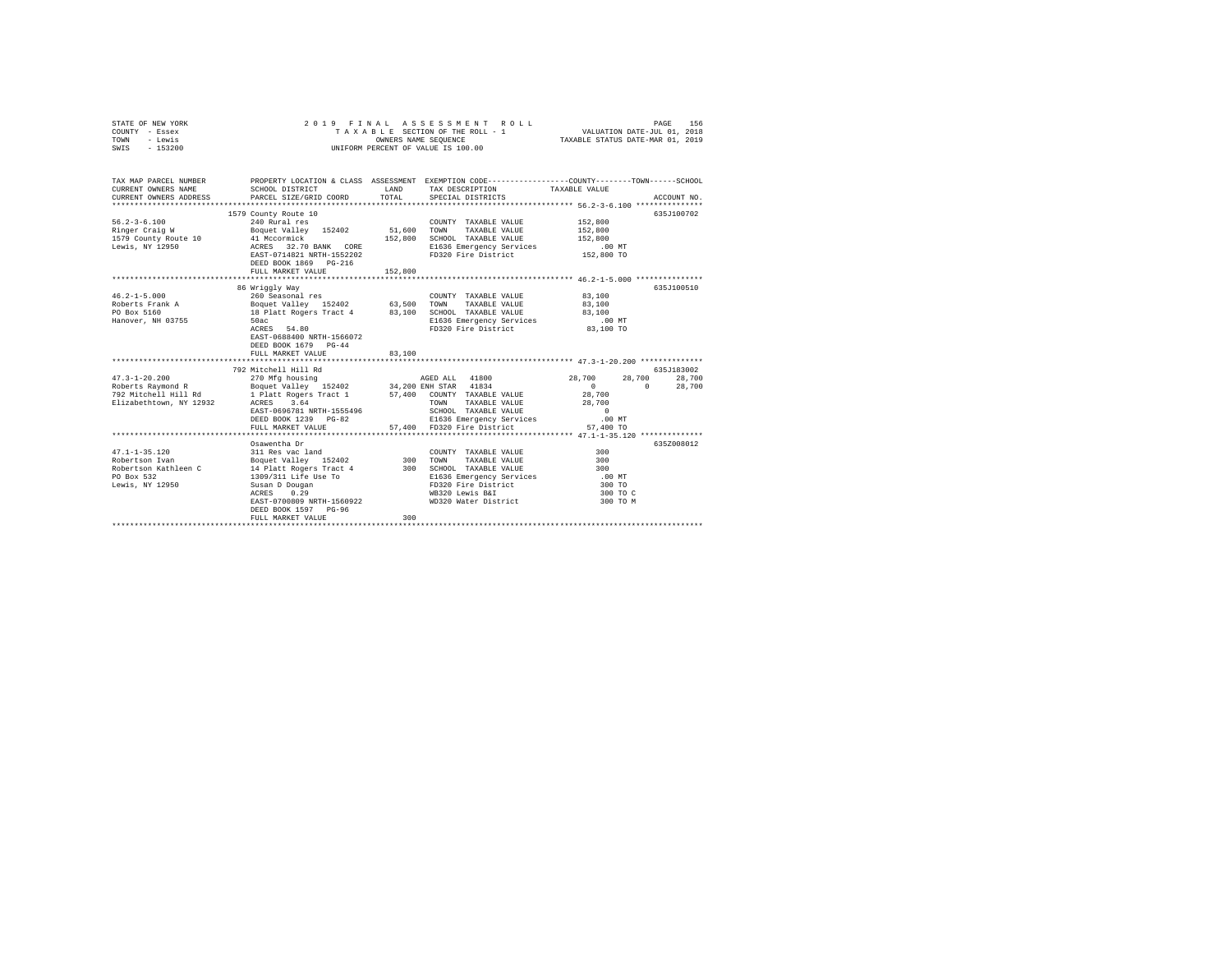| STATE OF NEW YORK                                                                                   | 2019 FINAL                                         |         | ASSESSMENT ROLL                                                                                |                                                                 | 156<br>PAGE   |
|-----------------------------------------------------------------------------------------------------|----------------------------------------------------|---------|------------------------------------------------------------------------------------------------|-----------------------------------------------------------------|---------------|
| COUNTY - Essex                                                                                      |                                                    |         | TAXABLE SECTION OF THE ROLL - 1                                                                | VALUATION DATE-JUL 01, 2018<br>TAXABLE STATUS DATE-MAR 01, 2019 |               |
| - Lewis<br>TOWN                                                                                     |                                                    |         |                                                                                                |                                                                 |               |
| SWIS - 153200                                                                                       |                                                    |         | UNIFORM PERCENT OF VALUE IS 100.00                                                             |                                                                 |               |
|                                                                                                     |                                                    |         |                                                                                                |                                                                 |               |
|                                                                                                     |                                                    |         |                                                                                                |                                                                 |               |
| TAX MAP PARCEL NUMBER                                                                               |                                                    |         | PROPERTY LOCATION & CLASS ASSESSMENT EXEMPTION CODE---------------COUNTY-------TOWN-----SCHOOL |                                                                 |               |
| CURRENT OWNERS NAME                                                                                 | SCHOOL DISTRICT                                    |         | LAND TAX DESCRIPTION                                                                           | TAXABLE VALUE                                                   |               |
| CURRENT OWNERS ADDRESS                                                                              | PARCEL SIZE/GRID COORD                             | TOTAL   | SPECIAL DISTRICTS                                                                              |                                                                 | ACCOUNT NO.   |
|                                                                                                     |                                                    |         |                                                                                                |                                                                 |               |
|                                                                                                     | 1579 County Route 10<br>240 Rural res              |         |                                                                                                |                                                                 | 635J100702    |
| $56.2 - 3 - 6.100$                                                                                  |                                                    |         | COUNTY TAXABLE VALUE                                                                           | 152,800                                                         |               |
| Ringer Craig W Boquet Valley 152402 51,600 TOWN<br>1579 County Route 10 41 Mccormick 152,800 SCHOOL |                                                    |         | TAXABLE VALUE                                                                                  | 152,800                                                         |               |
|                                                                                                     |                                                    |         | 152,800 SCHOOL TAXABLE VALUE                                                                   | 152,800                                                         |               |
| Lewis, NY 12950                                                                                     | ACRES 32.70 BANK CORE<br>EAST-0714821 NRTH-1552202 |         | E1636 Emergency Services                                                                       | $.00$ MT                                                        |               |
|                                                                                                     |                                                    |         | FD320 Fire District                                                                            | 152,800 TO                                                      |               |
|                                                                                                     | DEED BOOK 1869 PG-216                              |         |                                                                                                |                                                                 |               |
|                                                                                                     | FULL MARKET VALUE                                  | 152,800 |                                                                                                |                                                                 |               |
|                                                                                                     | 86 Wriggly Way                                     |         |                                                                                                |                                                                 | 635J100510    |
| $46.2 - 1 - 5.000$                                                                                  |                                                    |         |                                                                                                | 83,100                                                          |               |
| Roberts Frank A                                                                                     |                                                    |         |                                                                                                | 83,100                                                          |               |
| PO Box 5160                                                                                         |                                                    |         |                                                                                                | $83\,, 100$                                                     |               |
| Hanover, NH 03755                                                                                   |                                                    |         |                                                                                                | $.00$ MT                                                        |               |
|                                                                                                     | 50ac<br>ACRES 54.80                                |         | FD320 Fire District 83,100 TO                                                                  |                                                                 |               |
|                                                                                                     | EAST-0688400 NRTH-1566072                          |         |                                                                                                |                                                                 |               |
|                                                                                                     | DEED BOOK 1679 PG-44                               |         |                                                                                                |                                                                 |               |
|                                                                                                     | FULL MARKET VALUE                                  | 83,100  |                                                                                                |                                                                 |               |
|                                                                                                     |                                                    |         |                                                                                                |                                                                 |               |
|                                                                                                     | 792 Mitchell Hill Rd                               |         |                                                                                                |                                                                 | 635J183002    |
| $47.3 - 1 - 20.200$                                                                                 | 270 Mfg housing                                    |         | AGED ALL 41800                                                                                 | $\begin{smallmatrix} 28 \, , \, 700 \, \ 0 \end{smallmatrix}$   | 28,700 28,700 |
|                                                                                                     |                                                    |         |                                                                                                | $\sim$ 0                                                        | 28,700        |
|                                                                                                     |                                                    |         |                                                                                                | 28,700                                                          |               |
|                                                                                                     |                                                    |         |                                                                                                | 28,700                                                          |               |
|                                                                                                     | EAST-0696781 NRTH-1555496                          |         | SCHOOL TAXABLE VALUE                                                                           | $\sim$ 0                                                        |               |
|                                                                                                     | DEED BOOK 1239 PG-82                               |         | E1636 Emergency Services                                                                       | $.00$ MT                                                        |               |
|                                                                                                     | FULL MARKET VALUE                                  |         | 57,400 FD320 Fire District                                                                     | 57,400 TO                                                       |               |
|                                                                                                     |                                                    |         |                                                                                                |                                                                 |               |
|                                                                                                     | Osawentha Dr                                       |         |                                                                                                |                                                                 | 635Z008012    |
| $47.1 - 1 - 35.120$                                                                                 | 311 Res vac land                                   |         | COUNTY TAXABLE VALUE                                                                           | 300                                                             |               |
| Robertson Ivan                                                                                      |                                                    |         | 300 TOWN TAXABLE VALUE<br>300 SCHOOL TAXABLE VALUE                                             | 300                                                             |               |
| Robertson Kathleen C                                                                                | Boquet Valley 152402<br>14 Platt Rogers Tract 4    |         |                                                                                                | 300                                                             |               |
| PO Box 532                                                                                          | 1309/311 Life Use To                               |         | E1636 Emergency Services<br>FD320 Fire District                                                | $.00$ MT                                                        |               |
| Lewis, NY 12950                                                                                     | Susan D Dougan<br>ACRES 0.29                       |         |                                                                                                | 300 TO                                                          |               |
|                                                                                                     |                                                    |         | WB320 Lewis B&I<br>WD320 Water District                                                        | 300 TO C                                                        |               |
|                                                                                                     | EAST-0700809 NRTH-1560922                          |         |                                                                                                | 300 TO M                                                        |               |
|                                                                                                     | DEED BOOK 1597 PG-96                               |         |                                                                                                |                                                                 |               |
|                                                                                                     | FULL MARKET VALUE                                  | 300     |                                                                                                |                                                                 |               |
|                                                                                                     |                                                    |         |                                                                                                |                                                                 |               |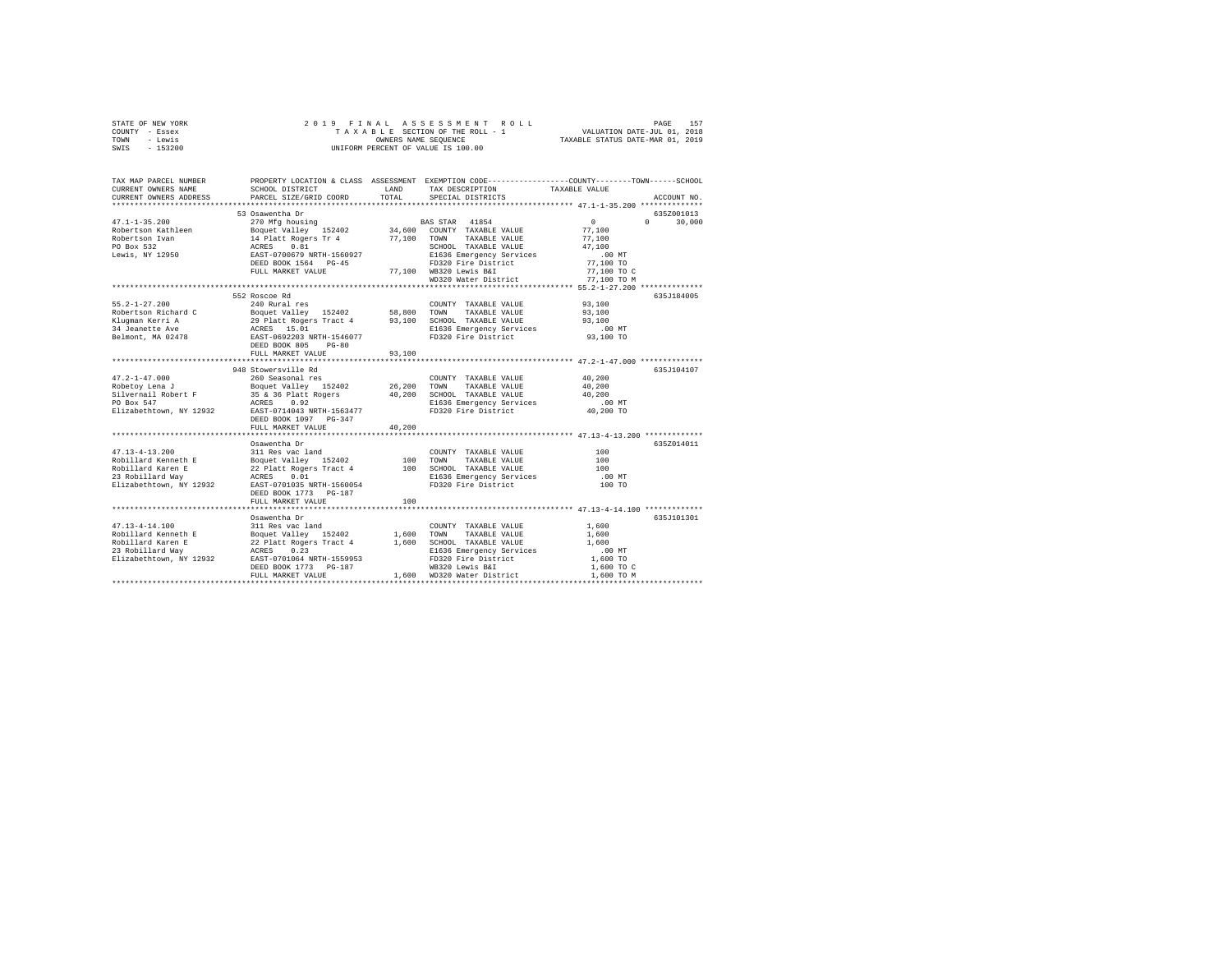| STATE OF NEW YORK                 | 2019 FINAL                                                                                         |        | ASSESSMENT ROLL                                                                                |                                  | PAGE<br>157 |  |  |  |
|-----------------------------------|----------------------------------------------------------------------------------------------------|--------|------------------------------------------------------------------------------------------------|----------------------------------|-------------|--|--|--|
| COUNTY - Essex                    | VALUATION DATE-JUL 01, 2018<br>TAXABLE STATUS DATE-MAR 01, 2019<br>TAXABLE SECTION OF THE ROLL - 1 |        |                                                                                                |                                  |             |  |  |  |
| - Lewis<br>TOWN                   | OWNERS NAME SEQUENCE                                                                               |        |                                                                                                |                                  |             |  |  |  |
| SWIS<br>$-153200$                 |                                                                                                    |        | UNIFORM PERCENT OF VALUE IS 100.00                                                             |                                  |             |  |  |  |
|                                   |                                                                                                    |        |                                                                                                |                                  |             |  |  |  |
|                                   |                                                                                                    |        |                                                                                                |                                  |             |  |  |  |
| TAX MAP PARCEL NUMBER             |                                                                                                    |        | PROPERTY LOCATION & CLASS ASSESSMENT EXEMPTION CODE---------------COUNTY-------TOWN-----SCHOOL |                                  |             |  |  |  |
| CURRENT OWNERS NAME               | SCHOOL DISTRICT                                                                                    | LAND   | TAX DESCRIPTION                                                                                | TAXABLE VALUE                    |             |  |  |  |
| CURRENT OWNERS ADDRESS            | PARCEL SIZE/GRID COORD                                                                             | TOTAL  | SPECIAL DISTRICTS                                                                              |                                  | ACCOUNT NO. |  |  |  |
|                                   |                                                                                                    |        |                                                                                                |                                  |             |  |  |  |
|                                   | 53 Osawentha Dr                                                                                    |        |                                                                                                |                                  | 635Z001013  |  |  |  |
| $47.1 - 1 - 35.200$               | 270 Mfg housing                                                                                    |        | BAS STAR 41854                                                                                 | $\sim$ 0<br>$\Omega$             | 30,000      |  |  |  |
| Robertson Kathleen                | Boquet Valley 152402                                                                               |        | 34,600 COUNTY TAXABLE VALUE                                                                    | 77,100                           |             |  |  |  |
| Robertson Ivan                    |                                                                                                    |        | 77,100 TOWN TAXABLE VALUE                                                                      | 77,100                           |             |  |  |  |
| PO Box 532                        | 14 Platt Rogers Tr 4<br>ACRES 0.81                                                                 |        | SCHOOL TAXABLE VALUE                                                                           | 47,100                           |             |  |  |  |
| Lewis, NY 12950                   | ACRES   0.81<br>EAST-0700679 NRTH-1560927<br>DEED BOOK   1564   PG-45                              |        | E1636 Emergency Services                                                                       | .00MT                            |             |  |  |  |
|                                   |                                                                                                    |        | FD320 Fire District                                                                            | 77,100 TO                        |             |  |  |  |
|                                   | FULL MARKET VALUE                                                                                  |        | 77,100 WB320 Lewis B&I                                                                         | 77,100 TO C                      |             |  |  |  |
|                                   |                                                                                                    |        | WD320 Water District                                                                           | 77,100 TO M                      |             |  |  |  |
|                                   |                                                                                                    |        | ************************************ 55.2-1-27.200 *************                               |                                  |             |  |  |  |
|                                   | 552 Roscoe Rd                                                                                      |        |                                                                                                |                                  | 635J184005  |  |  |  |
| $55.2 - 1 - 27.200$               | 240 Rural res                                                                                      |        | COUNTY TAXABLE VALUE                                                                           | 93,100                           |             |  |  |  |
| Robertson Richard C               | Boquet Valley 152402                                                                               | 58,800 | TOWN TAXABLE VALUE                                                                             | 93,100                           |             |  |  |  |
| Kluqman Kerri A                   |                                                                                                    |        | SCHOOL TAXABLE VALUE                                                                           | 93,100                           |             |  |  |  |
| 34 Jeanette Ave                   | 29 Platt Rogers Tract 4 93,100<br>ACRES 15.01<br>EAST-0692203 NRTH-1546077                         |        | E1636 Emergency Services                                                                       | $.00$ MT                         |             |  |  |  |
| Belmont, MA 02478                 |                                                                                                    |        | FD320 Fire District                                                                            | 93,100 TO                        |             |  |  |  |
|                                   | DEED BOOK 805 PG-80                                                                                |        |                                                                                                |                                  |             |  |  |  |
|                                   | FULL MARKET VALUE                                                                                  | 93,100 |                                                                                                |                                  |             |  |  |  |
|                                   |                                                                                                    |        |                                                                                                |                                  |             |  |  |  |
|                                   | 948 Stowersville Rd                                                                                |        |                                                                                                |                                  | 635J104107  |  |  |  |
| $47.2 - 1 - 47.000$               | 260 Seasonal res                                                                                   |        | COUNTY TAXABLE VALUE                                                                           | 40.200                           |             |  |  |  |
| Robetoy Lena J                    | Boquet Valley 152402                                                                               | 26,200 | TOWN TAXABLE VALUE                                                                             | 40,200                           |             |  |  |  |
| Silvernail Robert F<br>PO Box 547 | 35 & 36 Platt Rogers                                                                               | 40,200 | SCHOOL TAXABLE VALUE                                                                           | 40,200                           |             |  |  |  |
|                                   | ACRES 0.92                                                                                         |        | E1636 Emergency Services                                                                       | .00MT                            |             |  |  |  |
| Elizabethtown, NY 12932           | EAST-0714043 NRTH-1563477                                                                          |        | FD320 Fire District                                                                            | 40,200 TO                        |             |  |  |  |
|                                   | DEED BOOK 1097 PG-347                                                                              |        |                                                                                                |                                  |             |  |  |  |
|                                   | FULL MARKET VALUE                                                                                  | 40,200 |                                                                                                |                                  |             |  |  |  |
|                                   |                                                                                                    |        |                                                                                                |                                  |             |  |  |  |
|                                   | Osawentha Dr                                                                                       |        |                                                                                                |                                  | 635Z014011  |  |  |  |
| $47.13 - 4 - 13.200$              | 311 Res vac land                                                                                   |        | COUNTY TAXABLE VALUE                                                                           | 100                              |             |  |  |  |
| Robillard Kenneth E               | Boquet Valley 152402                                                                               |        | 100 TOWN<br>TAXABLE VALUE                                                                      | 100                              |             |  |  |  |
| Robillard Karen E                 | 22 Platt Rogers Tract 4                                                                            |        | 100 SCHOOL TAXABLE VALUE                                                                       | 100                              |             |  |  |  |
| 23 Robillard Way                  | ACRES 0.01                                                                                         |        | E1636 Emergency Services                                                                       | $.00$ MT                         |             |  |  |  |
| Elizabethtown, NY 12932           | EAST-0701035 NRTH-1560054                                                                          |        | FD320 Fire District                                                                            | 100 TO                           |             |  |  |  |
|                                   | DEED BOOK 1773 PG-187                                                                              |        |                                                                                                |                                  |             |  |  |  |
|                                   | FULL MARKET VALUE                                                                                  | 100    |                                                                                                |                                  |             |  |  |  |
|                                   |                                                                                                    |        |                                                                                                |                                  |             |  |  |  |
|                                   | Osawentha Dr                                                                                       |        |                                                                                                |                                  | 635J101301  |  |  |  |
| $47.13 - 4 - 14.100$              | 311 Res vac land                                                                                   |        | COUNTY TAXABLE VALUE                                                                           | 1,600                            |             |  |  |  |
| Robillard Kenneth E               | Boquet Valley 152402 1,600 TOWN<br>22 Platt Rogers Tract 4 1,600 SCHOOL                            |        | TAXABLE VALUE                                                                                  | 1,600                            |             |  |  |  |
| Robillard Karen E                 |                                                                                                    |        | 1,600 SCHOOL TAXABLE VALUE                                                                     | 1,600                            |             |  |  |  |
| 23 Robillard Way                  | ACRES 0.23                                                                                         |        | E1636 Emergency Services                                                                       | .00 MT                           |             |  |  |  |
| Elizabethtown, NY 12932           | EAST-0701064 NRTH-1559953                                                                          |        | FD320 Fire District                                                                            | 1,600 TO                         |             |  |  |  |
|                                   | DEED BOOK 1773 PG-187                                                                              |        | WB320 Lewis B&I                                                                                | 1,600 TO C                       |             |  |  |  |
|                                   | FULL MARKET VALUE                                                                                  |        | 1,600 WD320 Water District                                                                     | 1,600 TO M<br>****************** |             |  |  |  |
|                                   |                                                                                                    |        |                                                                                                |                                  |             |  |  |  |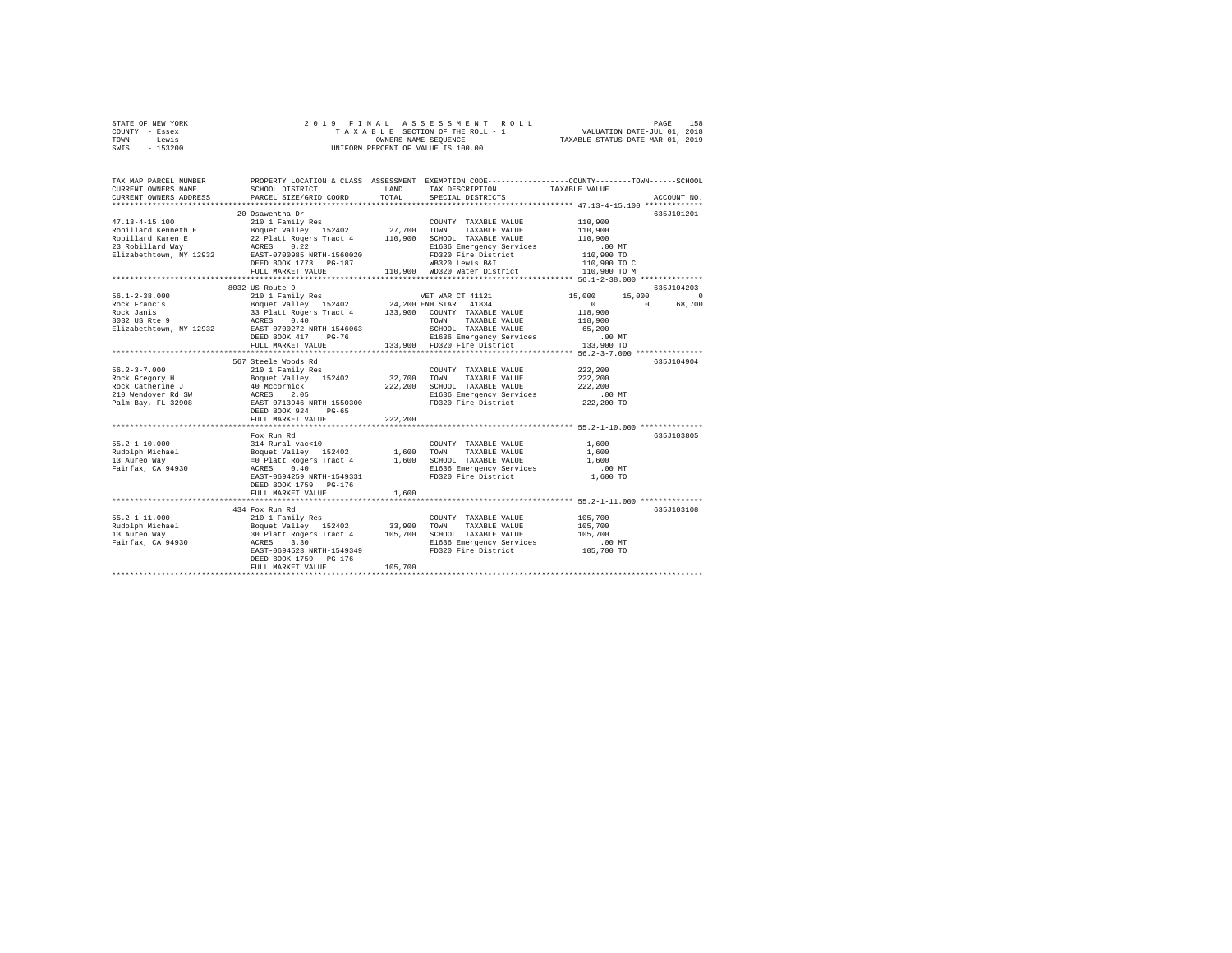| STATE OF NEW YORK |           |  |  |  | 2019 FINAL ASSESSMENT ROLL         |                                  | PAGE                        | 158 |
|-------------------|-----------|--|--|--|------------------------------------|----------------------------------|-----------------------------|-----|
| COUNTY - Essex    |           |  |  |  | TAXABLE SECTION OF THE ROLL - 1    |                                  | VALUATION DATE-JUL 01, 2018 |     |
| TOWN              | - Lewis   |  |  |  | OWNERS NAME SEOUENCE               | TAXABLE STATUS DATE-MAR 01, 2019 |                             |     |
| SWIS              | $-153200$ |  |  |  | UNIFORM PERCENT OF VALUE IS 100.00 |                                  |                             |     |

| TAX MAP PARCEL NUMBER   |                                                                                                                                                                                                                                                                                                                                                                                                                                              |         | PROPERTY LOCATION & CLASS ASSESSMENT EXEMPTION CODE----------------COUNTY-------TOWN------SCHOOL |                            |             |
|-------------------------|----------------------------------------------------------------------------------------------------------------------------------------------------------------------------------------------------------------------------------------------------------------------------------------------------------------------------------------------------------------------------------------------------------------------------------------------|---------|--------------------------------------------------------------------------------------------------|----------------------------|-------------|
| CURRENT OWNERS NAME     | SCHOOL DISTRICT                                                                                                                                                                                                                                                                                                                                                                                                                              | LAND    | TAX DESCRIPTION TAXABLE VALUE                                                                    |                            |             |
| CURRENT OWNERS ADDRESS  | PARCEL SIZE/GRID COORD                                                                                                                                                                                                                                                                                                                                                                                                                       | TOTAL   | SPECIAL DISTRICTS                                                                                |                            | ACCOUNT NO. |
|                         |                                                                                                                                                                                                                                                                                                                                                                                                                                              |         |                                                                                                  |                            |             |
|                         | 20 Osawentha Dr                                                                                                                                                                                                                                                                                                                                                                                                                              |         |                                                                                                  |                            | 635J101201  |
| $47.13 - 4 - 15.100$    |                                                                                                                                                                                                                                                                                                                                                                                                                                              |         |                                                                                                  | 110,900                    |             |
| Robillard Kenneth E     |                                                                                                                                                                                                                                                                                                                                                                                                                                              |         |                                                                                                  | 110,900                    |             |
| Robillard Karen E       |                                                                                                                                                                                                                                                                                                                                                                                                                                              |         |                                                                                                  | 110,900                    |             |
| 23 Robillard Way        | 22 Platt Rogers Tract 4 110,900 SCHOOL TAXABLE VALUE<br>ACRES 0.22 110,900 SCHOOL TAXABLE VALUE                                                                                                                                                                                                                                                                                                                                              |         |                                                                                                  | $.00$ MT                   |             |
|                         | Elizabethtown, NY 12932 EAST-0700985 NRTH-1560020                                                                                                                                                                                                                                                                                                                                                                                            |         |                                                                                                  |                            |             |
|                         | DEED BOOK 1773 PG-187                                                                                                                                                                                                                                                                                                                                                                                                                        |         | FD320 Fire District<br>WB320 Lewis B&I                                                           | 110,900 TO<br>110,900 TO C |             |
|                         | FULL MARKET VALUE                                                                                                                                                                                                                                                                                                                                                                                                                            |         | 110,900 WD320 Water District                                                                     | 110,900 TO M               |             |
|                         |                                                                                                                                                                                                                                                                                                                                                                                                                                              |         |                                                                                                  |                            |             |
|                         | 8032 US Route 9                                                                                                                                                                                                                                                                                                                                                                                                                              |         |                                                                                                  |                            | 635J104203  |
| $56.1 - 2 - 38.000$     | $\begin{tabular}{c c c} \multicolumn{2}{c}{\textbf{101} Family Res} & \multicolumn{2}{c}{\textbf{VET WAR CT 41121}} \\ \multicolumn{2}{c}{\textbf{210 1} Family Res} & \multicolumn{2}{c}{\textbf{24,200} Family Res} \\ \multicolumn{2}{c}{\textbf{Boguet Valley 152402}} & \multicolumn{2}{c}{\textbf{24,200} Family Res} \\ \multicolumn{2}{c}{\textbf{33} Flatt Regers Tract 4} & \multicolumn{2}{c}{\textbf{133,900} COWTY TRXABLE VAL$ |         |                                                                                                  | 15,000<br>15,000           | $\Omega$    |
| Rock Francis            |                                                                                                                                                                                                                                                                                                                                                                                                                                              |         |                                                                                                  | $\sim$ 0<br>$\sim$ 0       | 68,700      |
|                         |                                                                                                                                                                                                                                                                                                                                                                                                                                              |         |                                                                                                  |                            |             |
| Rock Janis              |                                                                                                                                                                                                                                                                                                                                                                                                                                              |         |                                                                                                  | 118,900                    |             |
| 8032 US Rte 9           |                                                                                                                                                                                                                                                                                                                                                                                                                                              |         | TAXABLE VALUE                                                                                    | 118,900                    |             |
| Elizabethtown, NY 12932 |                                                                                                                                                                                                                                                                                                                                                                                                                                              |         | SCHOOL TAXABLE VALUE                                                                             | 65,200                     |             |
|                         | DEED BOOK 417<br>PG-76                                                                                                                                                                                                                                                                                                                                                                                                                       |         | E1636 Emergency Services<br>E1636 Emergency Services<br>133,900 FD320 Fire District 133,900 TO   |                            |             |
|                         | FULL MARKET VALUE                                                                                                                                                                                                                                                                                                                                                                                                                            |         |                                                                                                  |                            |             |
|                         |                                                                                                                                                                                                                                                                                                                                                                                                                                              |         |                                                                                                  |                            |             |
|                         | 567 Steele Woods Rd                                                                                                                                                                                                                                                                                                                                                                                                                          |         |                                                                                                  |                            | 635.T104904 |
| $56.2 - 3 - 7.000$      | 210 1 Family Res                                                                                                                                                                                                                                                                                                                                                                                                                             |         | COUNTY TAXABLE VALUE                                                                             | 222,200                    |             |
|                         | Rock Gregory H<br>Rock Catherine J<br>210 Wendover Rd SW 40 MCcormick<br>210 Wendover Rd SW BASES 2.05<br>Palm Bay, FL 32908 BASES 2.05<br>RATE-1550300<br>RATE-1550300<br>RATE-1550300<br>RATE-1550300                                                                                                                                                                                                                                      |         | 32,700 TOWN TAXABLE VALUE                                                                        | 222,200                    |             |
|                         |                                                                                                                                                                                                                                                                                                                                                                                                                                              |         | 222, 200 SCHOOL TAXABLE VALUE                                                                    | 222,200                    |             |
|                         |                                                                                                                                                                                                                                                                                                                                                                                                                                              |         | E1636 Emergency Services                                                                         | $.00$ MT                   |             |
|                         |                                                                                                                                                                                                                                                                                                                                                                                                                                              |         | FD320 Fire District                                                                              | 222,200 TO                 |             |
|                         | DEED BOOK 924 PG-65                                                                                                                                                                                                                                                                                                                                                                                                                          |         |                                                                                                  |                            |             |
|                         | FULL MARKET VALUE                                                                                                                                                                                                                                                                                                                                                                                                                            | 222,200 |                                                                                                  |                            |             |
|                         |                                                                                                                                                                                                                                                                                                                                                                                                                                              |         |                                                                                                  |                            |             |
|                         | Fox Run Rd                                                                                                                                                                                                                                                                                                                                                                                                                                   |         |                                                                                                  |                            | 635.T103805 |
| $55.2 - 1 - 10.000$     |                                                                                                                                                                                                                                                                                                                                                                                                                                              |         |                                                                                                  |                            |             |
| Rudolph Michael         |                                                                                                                                                                                                                                                                                                                                                                                                                                              |         |                                                                                                  |                            |             |
| 13 Aureo Way            |                                                                                                                                                                                                                                                                                                                                                                                                                                              |         |                                                                                                  |                            |             |
| Fairfax, CA 94930       | $\begin{tabular}{lcccccc}314 {\bf~Rural}~vac &10 & & & & \text{COUNT}~\text{TXABLE}~\text{VALUE} & & 1,600 \\ \text{Boguet Valley} & 152402 & 1,600 & \text{TOMN} & \text{TXABLE}~\text{VALUE} & 1,600 \\ =0 {\bf~Plate~Regers~Tract~4} & 1,600 & \text{SCHOOL}~\text{TAKABLE}~\text{VALUE} & 1,600 \\ \text{ACRES} & 0.40 & & 1,600 & \text{SIG36~Energy} & \text{Service} & 0.00 \\ \end{tabular}$                                         |         |                                                                                                  | $.00$ MT                   |             |
|                         | EAST-0694259 NRTH-1549331                                                                                                                                                                                                                                                                                                                                                                                                                    |         | FD320 Fire District                                                                              | 1,600 TO                   |             |
|                         | DEED BOOK 1759 PG-176                                                                                                                                                                                                                                                                                                                                                                                                                        |         |                                                                                                  |                            |             |
|                         | FULL MARKET VALUE                                                                                                                                                                                                                                                                                                                                                                                                                            | 1,600   |                                                                                                  |                            |             |
|                         |                                                                                                                                                                                                                                                                                                                                                                                                                                              |         |                                                                                                  |                            |             |
|                         | 434 Fox Run Rd                                                                                                                                                                                                                                                                                                                                                                                                                               |         |                                                                                                  |                            | 635J103108  |
|                         |                                                                                                                                                                                                                                                                                                                                                                                                                                              |         |                                                                                                  |                            |             |
| $55.2 - 1 - 11.000$     | 210 1 Family Res                                                                                                                                                                                                                                                                                                                                                                                                                             |         | COUNTY TAXABLE VALUE                                                                             | 105,700                    |             |
|                         |                                                                                                                                                                                                                                                                                                                                                                                                                                              |         |                                                                                                  | 105,700                    |             |
|                         | JJA – 11.000 = 21.000 = 21.000 = 21.000 = 21.000 = 21.000 = 21.000 = 21.000 = 21.000 = 21.000 = 21.000 = 21.00<br>13 Auche Way = 21.000 = 20.000 = 20.000 = 20.000 = 21.000 = 21.000 = 21.000 = 21.000 = 21.000 = 21.000 = 21.0                                                                                                                                                                                                              |         |                                                                                                  | 105,700                    |             |
|                         |                                                                                                                                                                                                                                                                                                                                                                                                                                              |         |                                                                                                  | .00 MT                     |             |
|                         | EAST-0694523 NRTH-1549349                                                                                                                                                                                                                                                                                                                                                                                                                    |         | FD320 Fire District                                                                              | 105,700 TO                 |             |
|                         | DEED BOOK 1759 PG-176                                                                                                                                                                                                                                                                                                                                                                                                                        |         |                                                                                                  |                            |             |
|                         | FULL MARKET VALUE                                                                                                                                                                                                                                                                                                                                                                                                                            | 105,700 |                                                                                                  |                            |             |
|                         |                                                                                                                                                                                                                                                                                                                                                                                                                                              |         |                                                                                                  |                            |             |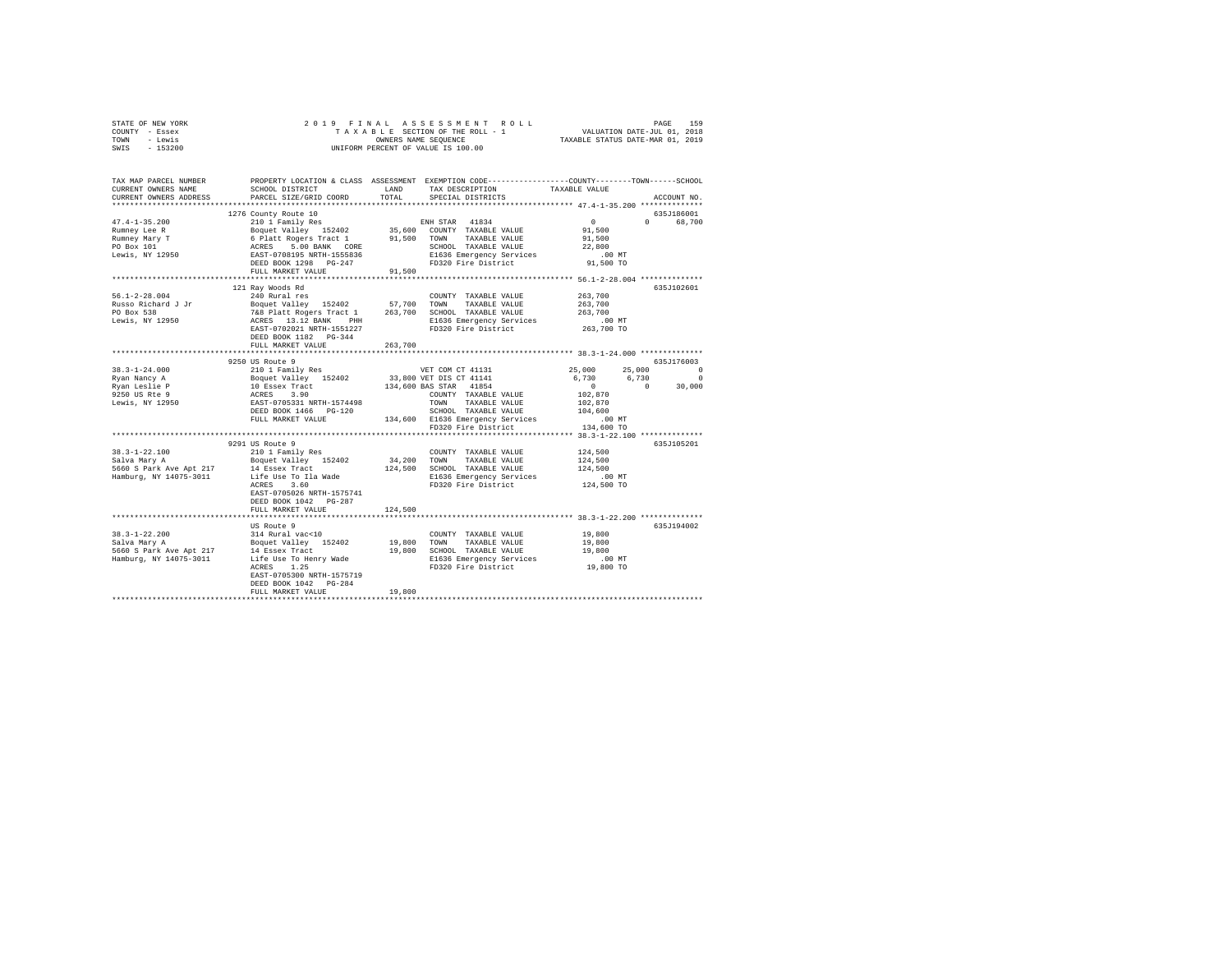| STATE OF NEW YORK                                                                                                                                                                                                                                                                                                                                                                                           |                                                    |         |                                                                                                    |             |
|-------------------------------------------------------------------------------------------------------------------------------------------------------------------------------------------------------------------------------------------------------------------------------------------------------------------------------------------------------------------------------------------------------------|----------------------------------------------------|---------|----------------------------------------------------------------------------------------------------|-------------|
| COUNTY - Essex                                                                                                                                                                                                                                                                                                                                                                                              |                                                    |         |                                                                                                    |             |
| TOWN - Lewis                                                                                                                                                                                                                                                                                                                                                                                                |                                                    |         |                                                                                                    |             |
| SWIS - 153200                                                                                                                                                                                                                                                                                                                                                                                               |                                                    |         | OWNERS NAME SEQUENCE<br>UNIFORM PERCENT OF VALUE IS 100.00                                         |             |
|                                                                                                                                                                                                                                                                                                                                                                                                             |                                                    |         |                                                                                                    |             |
|                                                                                                                                                                                                                                                                                                                                                                                                             |                                                    |         |                                                                                                    |             |
|                                                                                                                                                                                                                                                                                                                                                                                                             |                                                    |         |                                                                                                    |             |
| TAX MAP PARCEL NUMBER PROPERTY LOCATION & CLASS ASSESSMENT EXEMPTION CODE---------------COUNTY-------TOWN-----SCHOOL                                                                                                                                                                                                                                                                                        |                                                    |         |                                                                                                    |             |
| CURRENT OWNERS NAME                                                                                                                                                                                                                                                                                                                                                                                         |                                                    |         | SCHOOL DISTRICT                        LAND         TAX DESCRIPTION                  TAXABLE VALUE |             |
| CURRENT OWNERS ADDRESS                                                                                                                                                                                                                                                                                                                                                                                      | PARCEL SIZE/GRID COORD TOTAL                       |         | SPECIAL DISTRICTS                                                                                  | ACCOUNT NO. |
|                                                                                                                                                                                                                                                                                                                                                                                                             |                                                    |         |                                                                                                    |             |
|                                                                                                                                                                                                                                                                                                                                                                                                             | 1276 County Route 10                               |         |                                                                                                    | 635J186001  |
|                                                                                                                                                                                                                                                                                                                                                                                                             |                                                    |         |                                                                                                    | 0 68,700    |
|                                                                                                                                                                                                                                                                                                                                                                                                             |                                                    |         |                                                                                                    |             |
|                                                                                                                                                                                                                                                                                                                                                                                                             |                                                    |         |                                                                                                    |             |
|                                                                                                                                                                                                                                                                                                                                                                                                             |                                                    |         |                                                                                                    |             |
|                                                                                                                                                                                                                                                                                                                                                                                                             |                                                    |         |                                                                                                    |             |
|                                                                                                                                                                                                                                                                                                                                                                                                             |                                                    |         |                                                                                                    |             |
|                                                                                                                                                                                                                                                                                                                                                                                                             |                                                    |         |                                                                                                    |             |
| $\begin{tabular}{l c c c c c} \multicolumn{3}{c}{\textbf{47.4--1-35.200}} & \multicolumn{3}{c}{\textbf{49.4--35.200}} & \multicolumn{3}{c}{\textbf{49.4--35.200}} & \multicolumn{3}{c}{\textbf{50.4--35.200}} & \multicolumn{3}{c}{\textbf{EMH STAR}} & \multicolumn{3}{c}{\textbf{418.4}} & \multicolumn{3}{c}{\textbf{1,500}} & \multicolumn{3}{c}{\textbf{EMH STAR}} & \multicolumn{3}{c}{\textbf{418.4$ |                                                    |         |                                                                                                    |             |
|                                                                                                                                                                                                                                                                                                                                                                                                             |                                                    |         |                                                                                                    |             |
|                                                                                                                                                                                                                                                                                                                                                                                                             |                                                    |         |                                                                                                    | 635J102601  |
|                                                                                                                                                                                                                                                                                                                                                                                                             |                                                    |         |                                                                                                    |             |
|                                                                                                                                                                                                                                                                                                                                                                                                             |                                                    |         |                                                                                                    |             |
| $\begin{tabular}{lcccc} 56.1-2-28.004 & 121 Ray Woods & X402 Model andRusso Richard J Jr & Boquet Valley 152402 & 57,700 TOMN T AXABLE VALUE & 263,700PO Box 538 & 762Devisy 12950 & 768 P1att Rogers Tract 1 & 263,700 STANABLE VALUE & 263,700Levis, NY 12950 & ACRES 13.12 BANK & PHH & E1636 Emergency Service & 263,700 MTExAST-070201 NRTH-1551227 & F1$                                              |                                                    |         |                                                                                                    |             |
|                                                                                                                                                                                                                                                                                                                                                                                                             |                                                    |         |                                                                                                    |             |
|                                                                                                                                                                                                                                                                                                                                                                                                             |                                                    |         |                                                                                                    |             |
|                                                                                                                                                                                                                                                                                                                                                                                                             |                                                    |         |                                                                                                    |             |
|                                                                                                                                                                                                                                                                                                                                                                                                             |                                                    |         |                                                                                                    |             |
|                                                                                                                                                                                                                                                                                                                                                                                                             | DEED BOOK 1182 PG-344<br>FULL MARKET VALUE 263,700 |         |                                                                                                    |             |
|                                                                                                                                                                                                                                                                                                                                                                                                             |                                                    |         |                                                                                                    |             |
|                                                                                                                                                                                                                                                                                                                                                                                                             |                                                    |         |                                                                                                    |             |
|                                                                                                                                                                                                                                                                                                                                                                                                             |                                                    |         |                                                                                                    |             |
|                                                                                                                                                                                                                                                                                                                                                                                                             |                                                    |         |                                                                                                    |             |
|                                                                                                                                                                                                                                                                                                                                                                                                             |                                                    |         |                                                                                                    |             |
|                                                                                                                                                                                                                                                                                                                                                                                                             |                                                    |         |                                                                                                    |             |
|                                                                                                                                                                                                                                                                                                                                                                                                             |                                                    |         |                                                                                                    |             |
|                                                                                                                                                                                                                                                                                                                                                                                                             |                                                    |         |                                                                                                    |             |
|                                                                                                                                                                                                                                                                                                                                                                                                             |                                                    |         |                                                                                                    |             |
|                                                                                                                                                                                                                                                                                                                                                                                                             |                                                    |         |                                                                                                    |             |
|                                                                                                                                                                                                                                                                                                                                                                                                             |                                                    |         |                                                                                                    |             |
|                                                                                                                                                                                                                                                                                                                                                                                                             |                                                    |         |                                                                                                    |             |
|                                                                                                                                                                                                                                                                                                                                                                                                             |                                                    |         |                                                                                                    |             |
| $\begin{tabular}{l c c c c c} \hline \texttt{38.3--1-24.000} & \texttt{925/003} & \texttt{6351176003} & \texttt{6351176003} & \texttt{6351176003} & \texttt{6351176003} & \texttt{6351176003} & \texttt{6351176003} & \texttt{6351176003} & \texttt{6351176003} & \texttt{6351176003} & \texttt{6351176003} & \texttt{635$                                                                                  | 9291 US Route 9                                    |         |                                                                                                    | 635J105201  |
|                                                                                                                                                                                                                                                                                                                                                                                                             |                                                    |         |                                                                                                    |             |
|                                                                                                                                                                                                                                                                                                                                                                                                             |                                                    |         |                                                                                                    |             |
|                                                                                                                                                                                                                                                                                                                                                                                                             |                                                    |         |                                                                                                    |             |
|                                                                                                                                                                                                                                                                                                                                                                                                             |                                                    |         |                                                                                                    |             |
|                                                                                                                                                                                                                                                                                                                                                                                                             |                                                    |         |                                                                                                    |             |
| $\begin{array}{cccccc} 38.3-1-22.100 & & & & & & & & & & & & 124,500 \\ 210 & 1 & \text{Fani1y} & \text{Res} & & & & & & & & & 124,500 \\ 5660 & \text{S Park} & \text{A} & & & & & & 14 & \text{Esec} \times \text{Tract} & & & & 124,500 \\ 5660 & \text{S Park} & \text{A} & & & & & & 14 & \text{Esec} \times \text{Tract} & & & & 124,500 \\ 5660 & \text{S Park} & \text{A} & & & & & & 14$           |                                                    |         |                                                                                                    |             |
|                                                                                                                                                                                                                                                                                                                                                                                                             | EAST-0705026 NRTH-1575741                          |         |                                                                                                    |             |
|                                                                                                                                                                                                                                                                                                                                                                                                             | DEED BOOK 1042 PG-287                              |         |                                                                                                    |             |
|                                                                                                                                                                                                                                                                                                                                                                                                             | FULL MARKET VALUE                                  | 124,500 |                                                                                                    |             |
|                                                                                                                                                                                                                                                                                                                                                                                                             |                                                    |         |                                                                                                    |             |
|                                                                                                                                                                                                                                                                                                                                                                                                             | US Route 9                                         |         |                                                                                                    | 635J194002  |
|                                                                                                                                                                                                                                                                                                                                                                                                             |                                                    |         |                                                                                                    |             |
|                                                                                                                                                                                                                                                                                                                                                                                                             |                                                    |         |                                                                                                    |             |
|                                                                                                                                                                                                                                                                                                                                                                                                             |                                                    |         |                                                                                                    |             |
|                                                                                                                                                                                                                                                                                                                                                                                                             |                                                    |         |                                                                                                    |             |
|                                                                                                                                                                                                                                                                                                                                                                                                             |                                                    |         |                                                                                                    |             |
|                                                                                                                                                                                                                                                                                                                                                                                                             |                                                    |         |                                                                                                    |             |
| 38.3-1-22.200<br>314 Rural vac<10<br>314 Rural vac<10<br>314 Rural vac<10<br>314 Rural vac10<br>314 Rural vac10<br>314 Rural vac10<br>314 Rural vac10<br>314 Rural vac10<br>31636 Rural vac10<br>32 19,800 TOXMABLE VALUE<br>39,800<br>366                                                                                                                                                                  | EAST-0705300 NRTH-1575719                          |         |                                                                                                    |             |
|                                                                                                                                                                                                                                                                                                                                                                                                             | DEED BOOK 1042 PG-284                              |         |                                                                                                    |             |
|                                                                                                                                                                                                                                                                                                                                                                                                             | FULL MARKET VALUE                                  | 19,800  |                                                                                                    |             |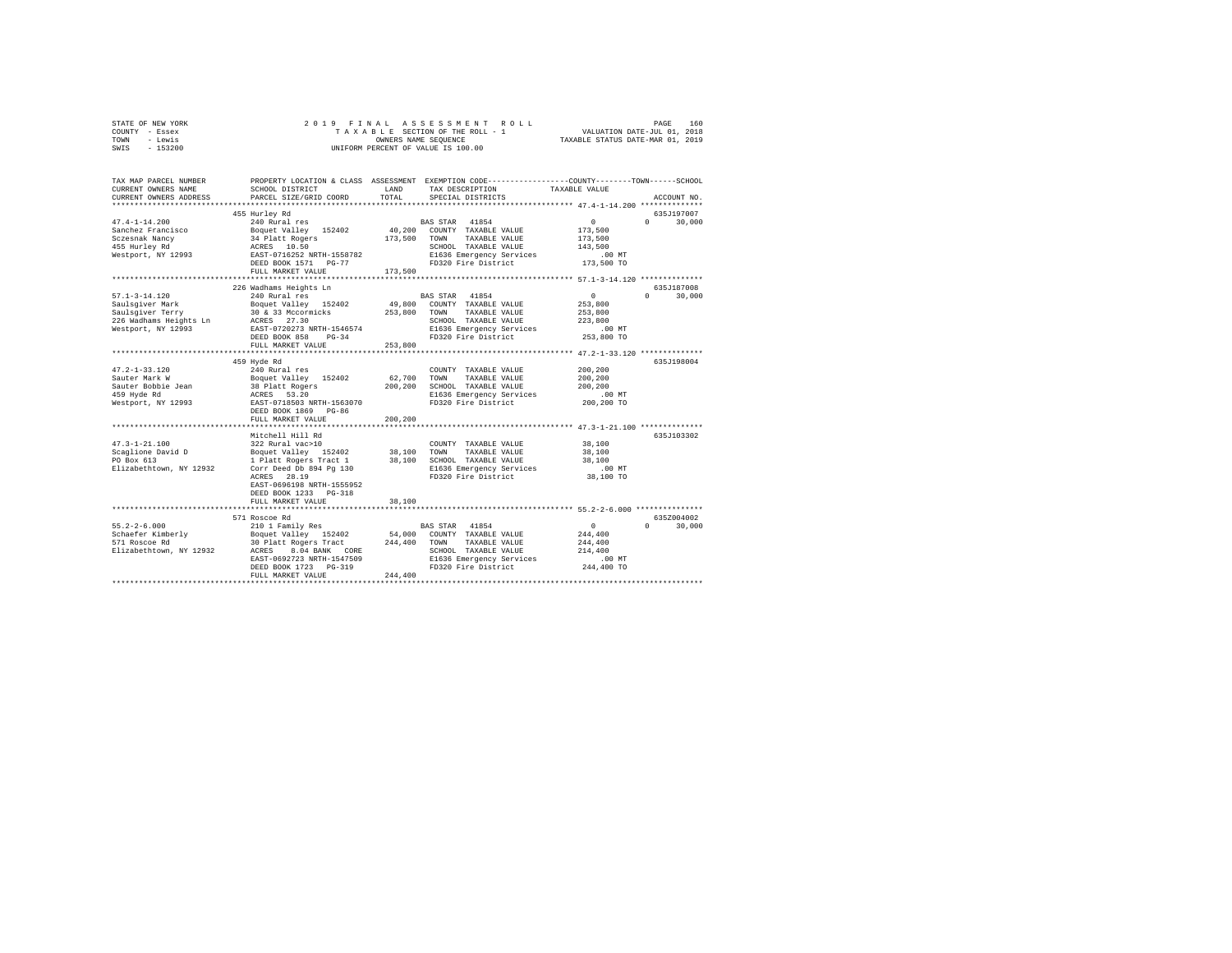| STATE OF NEW YORK | 2019 FINAL ASSESSMENT ROLL         | 160<br>PAGE                      |
|-------------------|------------------------------------|----------------------------------|
| COUNTY - Essex    | TAXABLE SECTION OF THE ROLL - 1    | VALUATION DATE-JUL 01, 2018      |
| TOWN<br>- Lewis   | OWNERS NAME SEOUENCE               | TAXABLE STATUS DATE-MAR 01, 2019 |
| $-153200$<br>SWIS | UNIFORM PERCENT OF VALUE IS 100.00 |                                  |

| TAX MAP PARCEL NUMBER<br>CURRENT OWNERS NAME<br>CURRENT OWNERS ADDRESS | SCHOOL DISTRICT<br>PARCEL SIZE/GRID COORD                              | LAND<br>TOTAL | PROPERTY LOCATION & CLASS ASSESSMENT EXEMPTION CODE----------------COUNTY-------TOWN------SCHOOL<br>TAX DESCRIPTION<br>SPECIAL DISTRICTS | TAXABLE VALUE | ACCOUNT NO.        |
|------------------------------------------------------------------------|------------------------------------------------------------------------|---------------|------------------------------------------------------------------------------------------------------------------------------------------|---------------|--------------------|
|                                                                        | ************************                                               |               |                                                                                                                                          |               |                    |
|                                                                        | 455 Hurley Rd                                                          |               |                                                                                                                                          |               | 635J197007         |
| $47.4 - 1 - 14.200$                                                    | 240 Rural res                                                          |               | BAS STAR 41854                                                                                                                           | $\sim$ 0      | $\Omega$<br>30,000 |
| Sanchez Francisco                                                      | Boquet Valley 152402                                                   | 40,200        | COUNTY TAXABLE VALUE                                                                                                                     | 173.500       |                    |
| Sczesnak Nancy                                                         |                                                                        | 173,500       | TOWN TAXABLE VALUE                                                                                                                       | 173,500       |                    |
| 455 Hurley Rd                                                          | 34 Platt Rogers<br>ACRES 10.50<br>EAST-0716252 NRTH-1558782            |               | SCHOOL TAXABLE VALUE                                                                                                                     | 143,500       |                    |
| Westport, NY 12993                                                     |                                                                        |               | E1636 Emergency Services                                                                                                                 | .00 MT        |                    |
|                                                                        | DEED BOOK 1571 PG-77                                                   |               | FD320 Fire District                                                                                                                      | 173,500 TO    |                    |
|                                                                        | FULL MARKET VALUE                                                      | 173,500       |                                                                                                                                          |               |                    |
|                                                                        |                                                                        |               |                                                                                                                                          |               |                    |
|                                                                        | 226 Wadhams Heights Ln                                                 |               |                                                                                                                                          |               | 635.T187008        |
| $57.1 - 3 - 14.120$                                                    | 240 Rural res                                                          |               | BAS STAR 41854                                                                                                                           | $\sim$ 0      | $\Omega$<br>30,000 |
| Saulsgiver Mark                                                        | Boquet Valley 152402                                                   | 49,800        | COUNTY TAXABLE VALUE                                                                                                                     | 253,800       |                    |
| Saulsgiver Terry                                                       | 30 & 33 Mccormicks<br>ACRES 27.30                                      | 253,800       | TOWN<br>TAXABLE VALUE                                                                                                                    | 253,800       |                    |
| 226 Wadhams Heights Ln                                                 |                                                                        |               | SCHOOL TAXABLE VALUE                                                                                                                     | 223,800       |                    |
| Westport, NY 12993                                                     | EAST-0720273 NRTH-1546574                                              |               | E1636 Emergency Services                                                                                                                 | .00 MT        |                    |
|                                                                        | DEED BOOK 858<br>$PG-34$                                               |               | FD320 Fire District                                                                                                                      | 253,800 TO    |                    |
|                                                                        | FULL MARKET VALUE                                                      | 253,800       |                                                                                                                                          |               |                    |
|                                                                        |                                                                        |               |                                                                                                                                          |               |                    |
|                                                                        | 459 Hyde Rd                                                            |               |                                                                                                                                          |               | 635J198004         |
| $47.2 - 1 - 33.120$                                                    | 240 Rural res                                                          |               | COUNTY TAXABLE VALUE                                                                                                                     | 200,200       |                    |
| Sauter Mark W                                                          | Boquet Valley 152402<br>38 Platt Rogers                                | 62,700        | TOWN<br>TAXABLE VALUE                                                                                                                    | 200,200       |                    |
| Sauter Bobbie Jean                                                     |                                                                        | 200,200       | SCHOOL TAXABLE VALUE                                                                                                                     | 200,200       |                    |
| 459 Hyde Rd                                                            | ACRES 53.20                                                            |               | E1636 Emergency Services                                                                                                                 | .00 MT        |                    |
| Westport, NY 12993                                                     | EAST-0718503 NRTH-1563070<br>DEED BOOK 1869 PG-86                      |               | FD320 Fire District                                                                                                                      | 200,200 TO    |                    |
|                                                                        |                                                                        |               |                                                                                                                                          |               |                    |
|                                                                        | FULL MARKET VALUE                                                      | 200,200       |                                                                                                                                          |               |                    |
|                                                                        | Mitchell Hill Rd                                                       |               |                                                                                                                                          |               | 635J103302         |
| $47.3 - 1 - 21.100$                                                    | 322 Rural vac>10                                                       |               | COUNTY TAXABLE VALUE                                                                                                                     | 38,100        |                    |
| Scaglione David D                                                      | Boquet Valley 152402                                                   | 38,100        | TOWN<br>TAXABLE VALUE                                                                                                                    | 38,100        |                    |
| PO Box 613                                                             | 1 Platt Rogers Tract 1                                                 | 38,100        | SCHOOL TAXABLE VALUE                                                                                                                     | 38,100        |                    |
| Elizabethtown, NY 12932                                                | Corr Deed Db 894 Pg 130                                                |               | E1636 Emergency Services                                                                                                                 | $.00$ MT      |                    |
|                                                                        | ACRES 28.19                                                            |               | FD320 Fire District                                                                                                                      | 38,100 TO     |                    |
|                                                                        | EAST-0696198 NRTH-1555952                                              |               |                                                                                                                                          |               |                    |
|                                                                        | DEED BOOK 1233 PG-318                                                  |               |                                                                                                                                          |               |                    |
|                                                                        | FULL MARKET VALUE                                                      | 38,100        |                                                                                                                                          |               |                    |
|                                                                        | **********************                                                 |               | ***************************** 55.2-2-6.000 ***************                                                                               |               |                    |
|                                                                        | 571 Roscoe Rd                                                          |               |                                                                                                                                          |               | 635Z004002         |
| $55.2 - 2 - 6.000$                                                     | 210 1 Family Res                                                       |               | BAS STAR 41854                                                                                                                           | $\sim$ 0      | $\Omega$<br>30,000 |
| Schaefer Kimberly                                                      |                                                                        | 54,000        | COUNTY TAXABLE VALUE                                                                                                                     | 244,400       |                    |
| 571 Roscoe Rd                                                          | Boquet Valley 152402<br>30 Platt Rogers Tract<br>30 Platt Rogers Tract | 244,400       | TOWN<br>TAXABLE VALUE                                                                                                                    | 244,400       |                    |
| Elizabethtown, NY 12932                                                | Rogers India<br>8.04 BANK CORE<br>ACRES                                |               | SCHOOL TAXABLE VALUE                                                                                                                     | 214,400       |                    |
|                                                                        | EAST-0692723 NRTH-1547509                                              |               |                                                                                                                                          | $.00$ MT      |                    |
|                                                                        | DEED BOOK 1723 PG-319                                                  |               | E1636 Emergency Services<br>FD320 Fire District                                                                                          | 244,400 TO    |                    |
|                                                                        | FULL MARKET VALUE                                                      | 244,400       |                                                                                                                                          |               |                    |
|                                                                        |                                                                        |               |                                                                                                                                          |               |                    |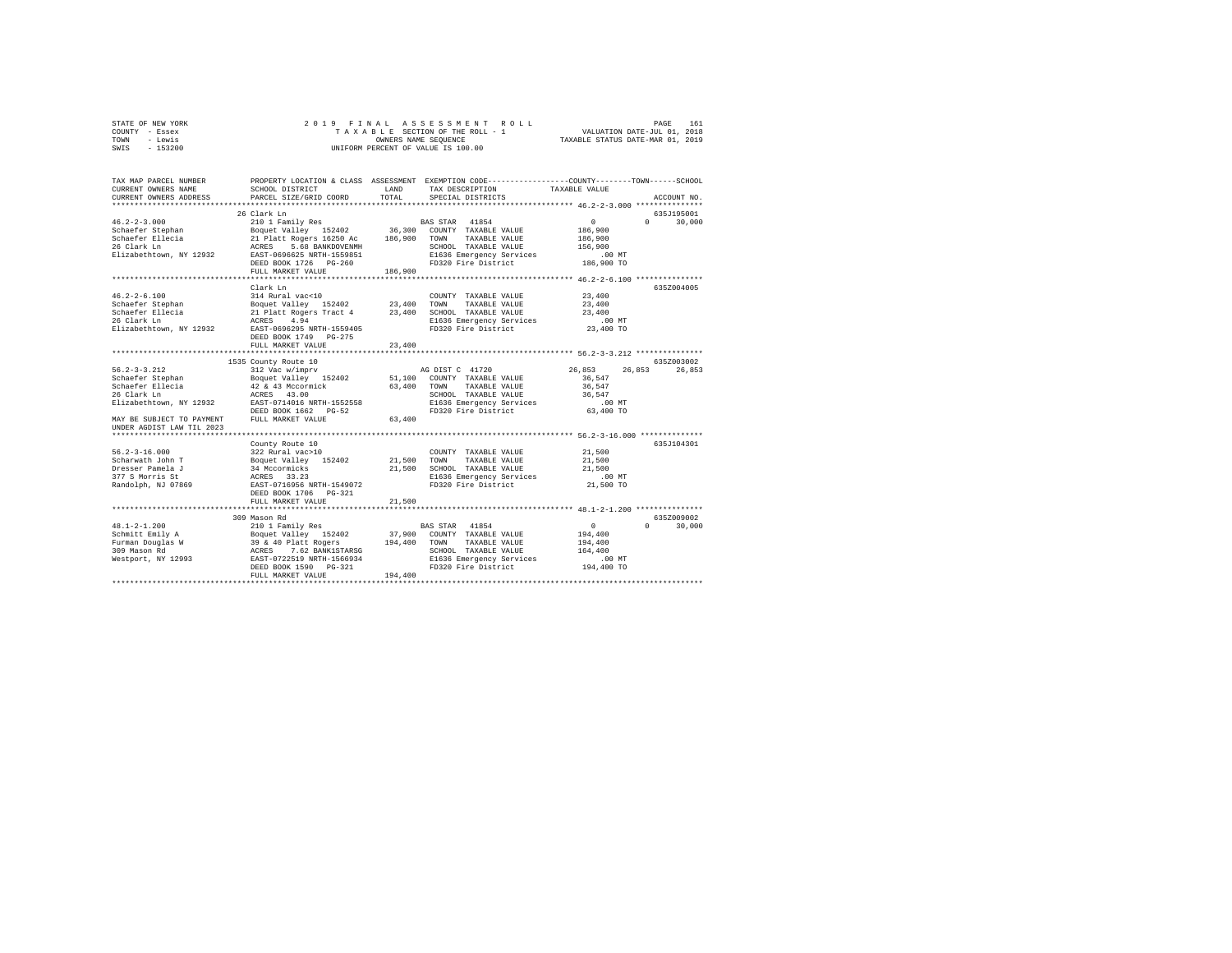| STATE OF NEW YORK |  |  |  |  | 2019 FINAL ASSESSMENT ROLL         |                                  | PAGE                        | 161 |
|-------------------|--|--|--|--|------------------------------------|----------------------------------|-----------------------------|-----|
| COUNTY - Essex    |  |  |  |  | TAXABLE SECTION OF THE ROLL - 1    |                                  | VALUATION DATE-JUL 01, 2018 |     |
| TOWN<br>- Lewis   |  |  |  |  | OWNERS NAME SEOUENCE               | TAXABLE STATUS DATE-MAR 01, 2019 |                             |     |
| - 153200<br>SWIS  |  |  |  |  | UNIFORM PERCENT OF VALUE IS 100.00 |                                  |                             |     |

| TAX MAP PARCEL NUMBER<br>CURRENT OWNERS NAME                              | SCHOOL DISTRICT                                                             | LAND    | PROPERTY LOCATION & CLASS ASSESSMENT EXEMPTION CODE---------------COUNTY-------TOWN------SCHOOL<br>TAX DESCRIPTION | TAXABLE VALUE        |                        |
|---------------------------------------------------------------------------|-----------------------------------------------------------------------------|---------|--------------------------------------------------------------------------------------------------------------------|----------------------|------------------------|
| CURRENT OWNERS ADDRESS                                                    | PARCEL SIZE/GRID COORD                                                      | TOTAL   | SPECIAL DISTRICTS                                                                                                  |                      | ACCOUNT NO.            |
|                                                                           |                                                                             |         |                                                                                                                    |                      |                        |
|                                                                           | 26 Clark Ln                                                                 |         |                                                                                                                    |                      | 635J195001             |
| $46.2 - 2 - 3.000$                                                        |                                                                             |         |                                                                                                                    | $\sim$ 0             | $0 \t 30,000$          |
| Schaefer Stephan                                                          |                                                                             |         |                                                                                                                    | 186,900              |                        |
| Schaefer Ellecia                                                          |                                                                             |         |                                                                                                                    | 186,900              |                        |
| 26 Clark Ln                                                               | EAST-0696625 NRTH-1559851                                                   |         |                                                                                                                    | 156,900              |                        |
| Elizabethtown, NY 12932                                                   |                                                                             |         | E1636 Emergency Services                                                                                           | .00 MT<br>186,900 TO |                        |
|                                                                           | DEED BOOK 1726    PG-260                                                    |         | FD320 Fire District                                                                                                |                      |                        |
|                                                                           | FULL MARKET VALUE                                                           | 186,900 |                                                                                                                    |                      |                        |
|                                                                           | Clark Ln                                                                    |         |                                                                                                                    |                      | 635Z004005             |
| $46.2 - 2 - 6.100$                                                        | 314 Rural vac<10                                                            |         | COUNTY TAXABLE VALUE                                                                                               | 23,400               |                        |
| Schaefer Stephan                                                          |                                                                             |         | TOWN<br>TAXABLE VALUE                                                                                              | 23,400               |                        |
|                                                                           |                                                                             |         | SCHOOL TAXABLE VALUE                                                                                               | 23,400               |                        |
| schaefer Ellecia<br>26 Clark Ln                                           | Boquet Valley 152402 23,400<br>21 Platt Rogers Tract 4 23,400<br>ACRES 4.94 |         | E1636 Emergency Services                                                                                           | $.00$ MT             |                        |
| Elizabethtown, NY 12932                                                   | EAST-0696295 NRTH-1559405                                                   |         | FD320 Fire District                                                                                                | 23,400 TO            |                        |
|                                                                           | DEED BOOK 1749 PG-275                                                       |         |                                                                                                                    |                      |                        |
|                                                                           | FULL MARKET VALUE                                                           | 23,400  |                                                                                                                    |                      |                        |
|                                                                           |                                                                             |         |                                                                                                                    |                      |                        |
|                                                                           | 1535 County Route 10                                                        |         |                                                                                                                    |                      | 635Z003002             |
|                                                                           |                                                                             |         |                                                                                                                    | 26,853               | 26.853<br>26,853       |
|                                                                           |                                                                             |         |                                                                                                                    | 36,547               |                        |
|                                                                           |                                                                             |         |                                                                                                                    | 36,547               |                        |
|                                                                           |                                                                             |         |                                                                                                                    | 36,547               |                        |
|                                                                           |                                                                             |         | E1636 Emergency Services                                                                                           | $.00$ MT             |                        |
| Elizabethtown, NY 12932 EAST-0714016 NRTH-1552558<br>DEED BOOK 1662 PG-52 |                                                                             |         | FD320 Fire District                                                                                                | 63,400 TO            |                        |
| MAY BE SUBJECT TO PAYMENT FULL MARKET VALUE                               |                                                                             | 63,400  |                                                                                                                    |                      |                        |
| UNDER AGDIST LAW TIL 2023                                                 |                                                                             |         |                                                                                                                    |                      |                        |
|                                                                           |                                                                             |         |                                                                                                                    |                      |                        |
|                                                                           | County Route 10                                                             |         |                                                                                                                    |                      | 635J104301             |
| $56.2 - 3 - 16.000$                                                       |                                                                             |         | COUNTY TAXABLE VALUE                                                                                               | 21,500               |                        |
| Scharwath John T                                                          |                                                                             |         | 21,500 TOWN TAXABLE VALUE                                                                                          | 21,500               |                        |
| Dresser Pamela J                                                          |                                                                             |         | 21,500 SCHOOL TAXABLE VALUE                                                                                        | 21,500               |                        |
| 377 S Morris St                                                           | 322 Rural vac>10<br>Boquet Valley 152402<br>34 Mccormicks<br>ACRES 33.23    |         | E1636 Emergency Services                                                                                           | $.00$ MT             |                        |
| Randolph, NJ 07869 EAST-0716956 NRTH-1549072                              |                                                                             |         | FD320 Fire District                                                                                                | 21,500 TO            |                        |
|                                                                           | DEED BOOK 1706 PG-321                                                       |         |                                                                                                                    |                      |                        |
|                                                                           | FULL MARKET VALUE                                                           | 21,500  |                                                                                                                    |                      |                        |
|                                                                           |                                                                             |         |                                                                                                                    |                      |                        |
|                                                                           |                                                                             |         |                                                                                                                    |                      | 635Z009002             |
|                                                                           |                                                                             |         |                                                                                                                    |                      | $\mathsf{n}$<br>30,000 |
|                                                                           |                                                                             |         |                                                                                                                    |                      |                        |
|                                                                           |                                                                             |         |                                                                                                                    |                      |                        |
|                                                                           |                                                                             |         |                                                                                                                    |                      |                        |
|                                                                           |                                                                             |         |                                                                                                                    |                      |                        |
|                                                                           |                                                                             |         |                                                                                                                    |                      |                        |
|                                                                           |                                                                             |         |                                                                                                                    |                      |                        |
|                                                                           |                                                                             |         |                                                                                                                    |                      |                        |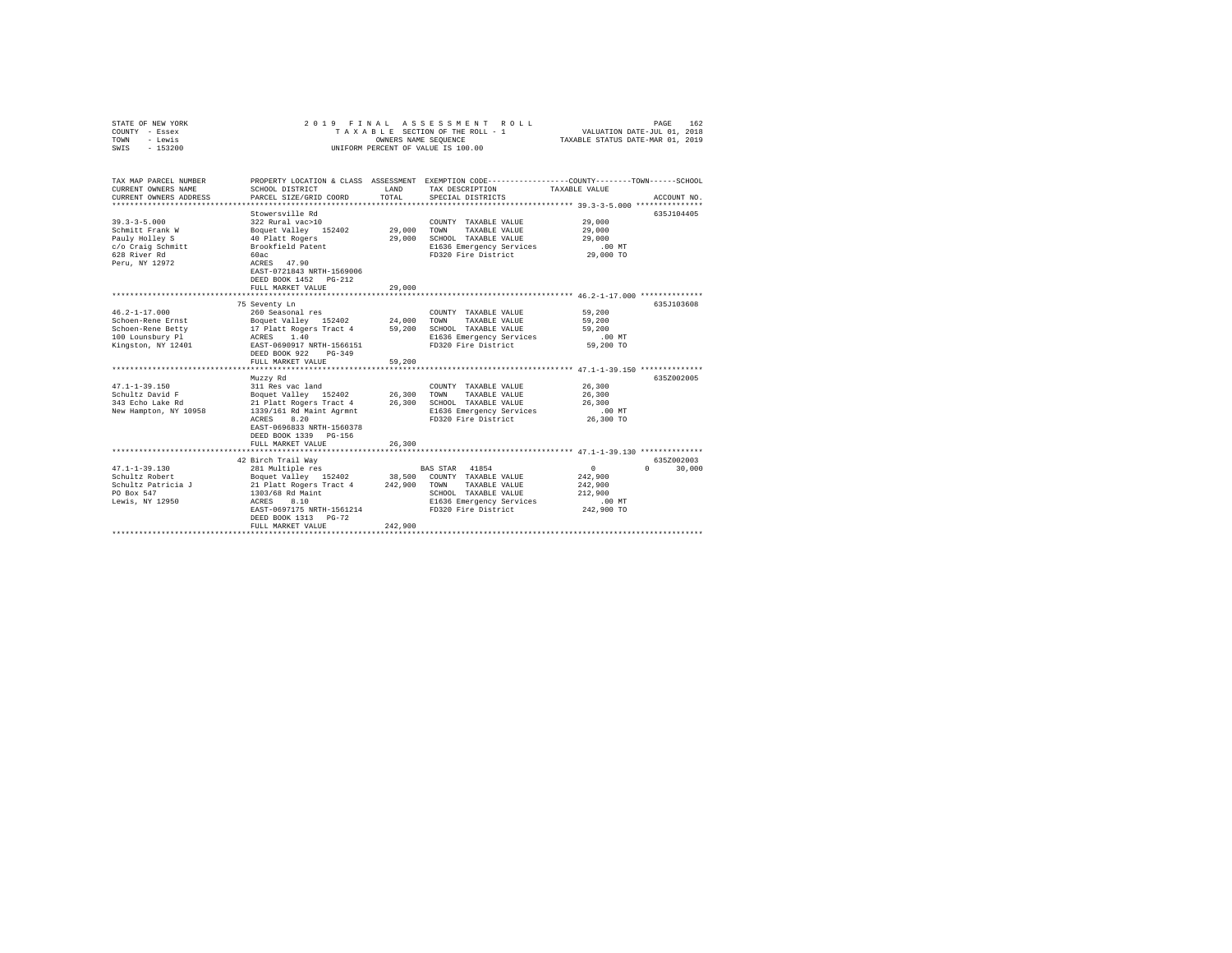| STATE OF NEW YORK<br>COUNTY - Essex<br>TOWN<br>- Lewis<br>$-153200$<br>SWIS                                    | 2019 FINAL                                                                                                                                                                                               | OWNERS NAME SEQUENCE         | ASSESSMENT ROLL<br>TAXABLE SECTION OF THE ROLL - 1<br>UNIFORM PERCENT OF VALUE IS 100.00                                                   | 162<br>PAGE<br>VALUATION DATE-JUL 01, 2018<br>TAXABLE STATUS DATE-MAR 01, 2019                                                   |  |
|----------------------------------------------------------------------------------------------------------------|----------------------------------------------------------------------------------------------------------------------------------------------------------------------------------------------------------|------------------------------|--------------------------------------------------------------------------------------------------------------------------------------------|----------------------------------------------------------------------------------------------------------------------------------|--|
| TAX MAP PARCEL NUMBER<br>CURRENT OWNERS NAME<br>CURRENT OWNERS ADDRESS<br>*************************            | SCHOOL DISTRICT<br>PARCEL SIZE/GRID COORD                                                                                                                                                                | LAND<br>TOTAL                | TAX DESCRIPTION<br>SPECIAL DISTRICTS                                                                                                       | PROPERTY LOCATION & CLASS ASSESSMENT EXEMPTION CODE----------------COUNTY-------TOWN------SCHOOL<br>TAXABLE VALUE<br>ACCOUNT NO. |  |
| $39.3 - 3 - 5.000$<br>Schmitt Frank W<br>Pauly Holley S<br>c/o Craig Schmitt<br>628 River Rd<br>Peru, NY 12972 | Stowersville Rd<br>322 Rural vac>10<br>Boquet Valley 152402<br>40 Platt Rogers<br>Brookfield Patent<br>60ac<br>ACRES 47.90<br>EAST-0721843 NRTH-1569006<br>DEED BOOK 1452 PG-212                         | 29,000<br>29,000             | COUNTY TAXABLE VALUE<br>TOWN<br>TAXABLE VALUE<br>SCHOOL TAXABLE VALUE<br>E1636 Emergency Services<br>FD320 Fire District                   | 635J104405<br>29,000<br>29,000<br>29,000<br>$.00$ MT<br>29,000 TO                                                                |  |
|                                                                                                                | FULL MARKET VALUE                                                                                                                                                                                        | 29,000<br>*************      |                                                                                                                                            | *********************************** 46.2-1-17.000 **************                                                                 |  |
| $46.2 - 1 - 17.000$<br>Schoen-Rene Ernst<br>Schoen-Rene Betty<br>100 Lounsbury Pl<br>Kingston, NY 12401        | 75 Seventy Ln<br>260 Seasonal res<br>Boquet Valley 152402<br>17 Platt Rogers Tract 4<br>ACRES 1.40<br>EAST-0690917 NRTH-1566151<br>DEED BOOK 922<br>PG-349<br>FULL MARKET VALUE                          | 24,000<br>59,200<br>59,200   | COUNTY TAXABLE VALUE<br>TOWN<br>TAXABLE VALUE<br>SCHOOL TAXABLE VALUE<br>E1636 Emergency Services<br>FD320 Fire District                   | 635J103608<br>59,200<br>59,200<br>59,200<br>$.00$ MT<br>59,200 TO                                                                |  |
| $47.1 - 1 - 39.150$<br>Schultz David F<br>343 Echo Lake Rd<br>New Hampton, NY 10958                            | Muzzy Rd<br>311 Res vac land<br>Boquet Valley 152402<br>21 Platt Rogers Tract 4<br>1339/161 Rd Maint Agrmnt<br>8.20<br>ACRES<br>EAST-0696833 NRTH-1560378<br>DEED BOOK 1339 PG-156                       | 26,300<br>26,300             | COUNTY TAXABLE VALUE<br>TOWN<br>TAXABLE VALUE<br>SCHOOL TAXABLE VALUE<br>E1636 Emergency Services<br>FD320 Fire District                   | 635Z002005<br>26,300<br>26,300<br>26,300<br>$.00$ MT<br>26,300 TO                                                                |  |
|                                                                                                                | FULL MARKET VALUE<br>*****************************                                                                                                                                                       | 26,300                       |                                                                                                                                            |                                                                                                                                  |  |
| $47.1 - 1 - 39.130$<br>Schultz Robert<br>Schultz Patricia J<br>PO Box 547<br>Lewis, NY 12950                   | 42 Birch Trail Wav<br>281 Multiple res<br>Boquet Valley 152402<br>21 Platt Rogers Tract 4<br>1303/68 Rd Maint<br>ACRES<br>8.10<br>EAST-0697175 NRTH-1561214<br>DEED BOOK 1313 PG-72<br>FULL MARKET VALUE | 38,500<br>242,900<br>242.900 | BAS STAR 41854<br>COUNTY TAXABLE VALUE<br>TOWN<br>TAXABLE VALUE<br>SCHOOL TAXABLE VALUE<br>E1636 Emergency Services<br>FD320 Fire District | 635Z002003<br>$\circ$<br>$\Omega$<br>30,000<br>242,900<br>242,900<br>212,900<br>$.00$ MT<br>242,900 TO                           |  |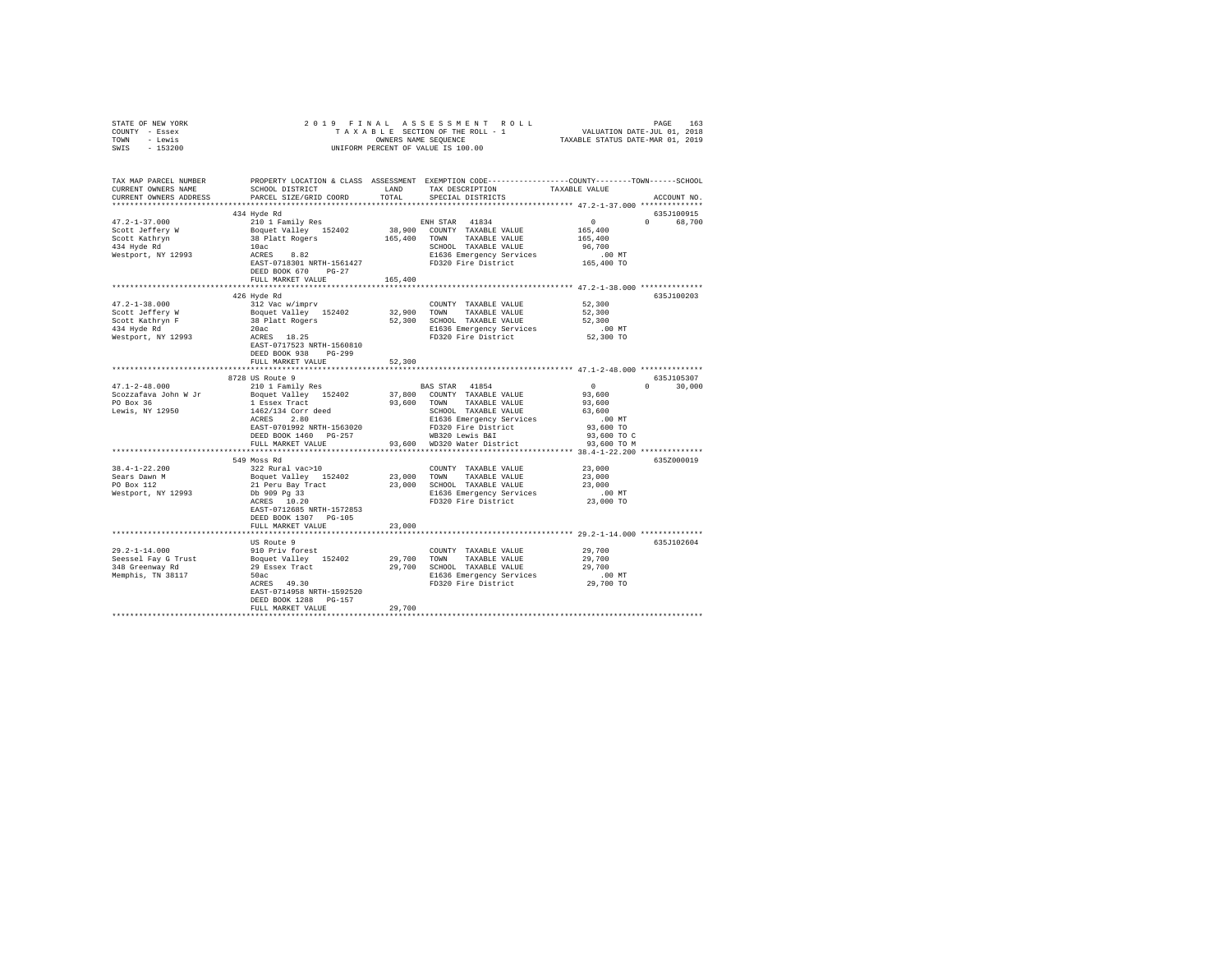| STATE OF NEW YORK<br>COUNTY - Essex                                                                                                                                                                                                                                                                                                                                                                          |                                                                                                                                                                                                                                            |         |                                                                              |                     |               |  |  |
|--------------------------------------------------------------------------------------------------------------------------------------------------------------------------------------------------------------------------------------------------------------------------------------------------------------------------------------------------------------------------------------------------------------|--------------------------------------------------------------------------------------------------------------------------------------------------------------------------------------------------------------------------------------------|---------|------------------------------------------------------------------------------|---------------------|---------------|--|--|
| TOWN - Lewis                                                                                                                                                                                                                                                                                                                                                                                                 |                                                                                                                                                                                                                                            |         |                                                                              |                     |               |  |  |
| SWIS - 153200                                                                                                                                                                                                                                                                                                                                                                                                |                                                                                                                                                                                                                                            |         |                                                                              |                     |               |  |  |
|                                                                                                                                                                                                                                                                                                                                                                                                              |                                                                                                                                                                                                                                            |         |                                                                              |                     |               |  |  |
|                                                                                                                                                                                                                                                                                                                                                                                                              |                                                                                                                                                                                                                                            |         |                                                                              |                     |               |  |  |
| TAX MAP PARCEL NUMBER PROPERTY LOCATION & CLASS ASSESSMENT EXEMPTION CODE--------------COUNTY-------TOWN------SCHOOL                                                                                                                                                                                                                                                                                         |                                                                                                                                                                                                                                            |         |                                                                              |                     |               |  |  |
| CURRENT OWNERS NAME                                                                                                                                                                                                                                                                                                                                                                                          |                                                                                                                                                                                                                                            |         | SCHOOL DISTRICT             LAND     TAX DESCRIPTION           TAXABLE VALUE |                     |               |  |  |
| CURRENT OWNERS ADDRESS                                                                                                                                                                                                                                                                                                                                                                                       | PARCEL SIZE/GRID COORD TOTAL                                                                                                                                                                                                               |         | SPECIAL DISTRICTS                                                            |                     | ACCOUNT NO.   |  |  |
|                                                                                                                                                                                                                                                                                                                                                                                                              |                                                                                                                                                                                                                                            |         |                                                                              |                     |               |  |  |
|                                                                                                                                                                                                                                                                                                                                                                                                              | 434 Hyde Rd                                                                                                                                                                                                                                |         |                                                                              |                     | 635J100915    |  |  |
|                                                                                                                                                                                                                                                                                                                                                                                                              |                                                                                                                                                                                                                                            |         |                                                                              |                     | 0 68,700      |  |  |
|                                                                                                                                                                                                                                                                                                                                                                                                              |                                                                                                                                                                                                                                            |         |                                                                              |                     |               |  |  |
|                                                                                                                                                                                                                                                                                                                                                                                                              |                                                                                                                                                                                                                                            |         |                                                                              |                     |               |  |  |
|                                                                                                                                                                                                                                                                                                                                                                                                              |                                                                                                                                                                                                                                            |         |                                                                              |                     |               |  |  |
|                                                                                                                                                                                                                                                                                                                                                                                                              |                                                                                                                                                                                                                                            |         |                                                                              |                     |               |  |  |
|                                                                                                                                                                                                                                                                                                                                                                                                              |                                                                                                                                                                                                                                            |         |                                                                              |                     |               |  |  |
| $\begin{tabular}{lcccc} $4\cdot .2-1-3\cdot 7.000$ & & & 2101 Family Res & & & ENNH STAR & 41834 & & & 0\\ \texttt{Scott. effery W} & & & & \texttt{Bopuet Valley} & 152402 & & 38,900 & \texttt{COUNT TAXABLE VALUE} & 165,400\\ \texttt{Scott. Kathryn} & & & 36.901 & & & 165,400 & & & 165,400\\ \texttt{434 Hyo and} & & & 38.902 & & & 165,400 & & & 165,400\\ \texttt{434 Hyo and} &$                 |                                                                                                                                                                                                                                            |         |                                                                              |                     |               |  |  |
|                                                                                                                                                                                                                                                                                                                                                                                                              | FULL MARKET VALUE                                                                                                                                                                                                                          | 165,400 |                                                                              |                     |               |  |  |
|                                                                                                                                                                                                                                                                                                                                                                                                              |                                                                                                                                                                                                                                            |         |                                                                              |                     |               |  |  |
|                                                                                                                                                                                                                                                                                                                                                                                                              | 426 Hyde Rd                                                                                                                                                                                                                                |         |                                                                              |                     | 635J100203    |  |  |
| $47.2 - 1 - 38.000$                                                                                                                                                                                                                                                                                                                                                                                          | 312 Vac w/imprv                                                                                                                                                                                                                            |         | COUNTY TAXABLE VALUE 52,300                                                  |                     |               |  |  |
|                                                                                                                                                                                                                                                                                                                                                                                                              |                                                                                                                                                                                                                                            |         |                                                                              | 52,300              |               |  |  |
| 9.1.2-1-3.000 UNIX TAXABLE VALUE<br>SCOOL Jeffery W Boquet Valley 152402<br>SCOOL TAXABLE VALUE<br>SCOOL TAXABLE VALUE<br>414 Hyde Rd<br>20 1000 UNIX TAXABLE VALUE<br>E1536 Emergency Services<br>E1536 Emergency Services<br>E1536 Emergenc                                                                                                                                                                |                                                                                                                                                                                                                                            |         |                                                                              | 52,300              |               |  |  |
|                                                                                                                                                                                                                                                                                                                                                                                                              |                                                                                                                                                                                                                                            |         |                                                                              | .00 MT<br>52,300 TO |               |  |  |
|                                                                                                                                                                                                                                                                                                                                                                                                              | EAST-0717523 NRTH-1560810                                                                                                                                                                                                                  |         |                                                                              |                     |               |  |  |
|                                                                                                                                                                                                                                                                                                                                                                                                              | DEED BOOK 938 PG-299                                                                                                                                                                                                                       |         |                                                                              |                     |               |  |  |
|                                                                                                                                                                                                                                                                                                                                                                                                              | FULL MARKET VALUE 52,300                                                                                                                                                                                                                   |         |                                                                              |                     |               |  |  |
|                                                                                                                                                                                                                                                                                                                                                                                                              |                                                                                                                                                                                                                                            |         |                                                                              |                     |               |  |  |
|                                                                                                                                                                                                                                                                                                                                                                                                              | 8728 US Route 9                                                                                                                                                                                                                            |         |                                                                              |                     | 635J105307    |  |  |
| $\begin{tabular}{l c c c} \multicolumn{3}{c}{\textbf{47.1-2-48.000}} & \multicolumn{3}{c}{\textbf{52.402}} & \multicolumn{3}{c}{\textbf{53.401}} & \multicolumn{3}{c}{\textbf{54.418}} & \multicolumn{3}{c}{\textbf{55.402}} & \multicolumn{3}{c}{\textbf{56.418}} & \multicolumn{3}{c}{\textbf{57.418}} & \multicolumn{3}{c}{\textbf{58.418}} & \multicolumn{3}{c}{\textbf{59.401}} & \multicolumn{3}{c}{\$ |                                                                                                                                                                                                                                            |         |                                                                              |                     | $0 \t 30,000$ |  |  |
|                                                                                                                                                                                                                                                                                                                                                                                                              |                                                                                                                                                                                                                                            |         |                                                                              |                     |               |  |  |
|                                                                                                                                                                                                                                                                                                                                                                                                              |                                                                                                                                                                                                                                            |         |                                                                              |                     |               |  |  |
|                                                                                                                                                                                                                                                                                                                                                                                                              |                                                                                                                                                                                                                                            |         |                                                                              |                     |               |  |  |
|                                                                                                                                                                                                                                                                                                                                                                                                              |                                                                                                                                                                                                                                            |         |                                                                              |                     |               |  |  |
|                                                                                                                                                                                                                                                                                                                                                                                                              |                                                                                                                                                                                                                                            |         |                                                                              |                     |               |  |  |
|                                                                                                                                                                                                                                                                                                                                                                                                              |                                                                                                                                                                                                                                            |         |                                                                              |                     |               |  |  |
|                                                                                                                                                                                                                                                                                                                                                                                                              |                                                                                                                                                                                                                                            |         |                                                                              |                     |               |  |  |
|                                                                                                                                                                                                                                                                                                                                                                                                              |                                                                                                                                                                                                                                            |         |                                                                              |                     |               |  |  |
|                                                                                                                                                                                                                                                                                                                                                                                                              | 549 Moss Rd                                                                                                                                                                                                                                |         |                                                                              |                     | 635Z000019    |  |  |
| $38.4 - 1 - 22.200$                                                                                                                                                                                                                                                                                                                                                                                          |                                                                                                                                                                                                                                            |         |                                                                              |                     |               |  |  |
| Sears Dawn M<br>PO Box 112                                                                                                                                                                                                                                                                                                                                                                                   |                                                                                                                                                                                                                                            |         |                                                                              |                     |               |  |  |
|                                                                                                                                                                                                                                                                                                                                                                                                              | 322 Rural vac>10<br>Boguet Valley 152402<br>23,000 DBOguet Valley 152402<br>23,000 DB 909 33,000 DB 909 933,000 DB 909 933,000<br>23,000 DB 909 33,000 RCRS 110.20<br>23,000 PD320 Fire District 23,000 RCRS 10.20<br>23,000 PD320 Fire Di |         |                                                                              |                     |               |  |  |
| Westport, NY 12993                                                                                                                                                                                                                                                                                                                                                                                           |                                                                                                                                                                                                                                            |         |                                                                              | $.00$ MT            |               |  |  |
|                                                                                                                                                                                                                                                                                                                                                                                                              |                                                                                                                                                                                                                                            |         |                                                                              | 23,000 TO           |               |  |  |
|                                                                                                                                                                                                                                                                                                                                                                                                              | EAST-0712685 NRTH-1572853                                                                                                                                                                                                                  |         |                                                                              |                     |               |  |  |
|                                                                                                                                                                                                                                                                                                                                                                                                              | DEED BOOK 1307 PG-105                                                                                                                                                                                                                      |         |                                                                              |                     |               |  |  |
|                                                                                                                                                                                                                                                                                                                                                                                                              | FULL MARKET VALUE                                                                                                                                                                                                                          | 23,000  |                                                                              |                     |               |  |  |
|                                                                                                                                                                                                                                                                                                                                                                                                              |                                                                                                                                                                                                                                            |         |                                                                              |                     |               |  |  |
|                                                                                                                                                                                                                                                                                                                                                                                                              | US Route 9                                                                                                                                                                                                                                 |         |                                                                              |                     | 635J102604    |  |  |
|                                                                                                                                                                                                                                                                                                                                                                                                              |                                                                                                                                                                                                                                            |         |                                                                              |                     |               |  |  |
| VS Route 9 10 Priv forest<br>29,700<br>Seessel Fay G Trust<br>29,700<br>348 Greenway Rd<br>29,700<br>29,700<br>29,700<br>29,700<br>29,700<br>29,700<br>29,700<br>29,700<br>29,700<br>29,700<br>29,700<br>29,700<br>29,700<br>29,700<br>29,700<br>29,700<br>29,700<br>29,70                                                                                                                                   |                                                                                                                                                                                                                                            |         |                                                                              |                     |               |  |  |
|                                                                                                                                                                                                                                                                                                                                                                                                              |                                                                                                                                                                                                                                            |         |                                                                              |                     |               |  |  |
|                                                                                                                                                                                                                                                                                                                                                                                                              |                                                                                                                                                                                                                                            |         |                                                                              |                     |               |  |  |
|                                                                                                                                                                                                                                                                                                                                                                                                              | EAST-0714958 NRTH-1592520                                                                                                                                                                                                                  |         |                                                                              |                     |               |  |  |
|                                                                                                                                                                                                                                                                                                                                                                                                              | DEED BOOK 1288 PG-157                                                                                                                                                                                                                      |         |                                                                              |                     |               |  |  |
|                                                                                                                                                                                                                                                                                                                                                                                                              | FULL MARKET VALUE                                                                                                                                                                                                                          | 29,700  |                                                                              |                     |               |  |  |
|                                                                                                                                                                                                                                                                                                                                                                                                              |                                                                                                                                                                                                                                            |         |                                                                              |                     |               |  |  |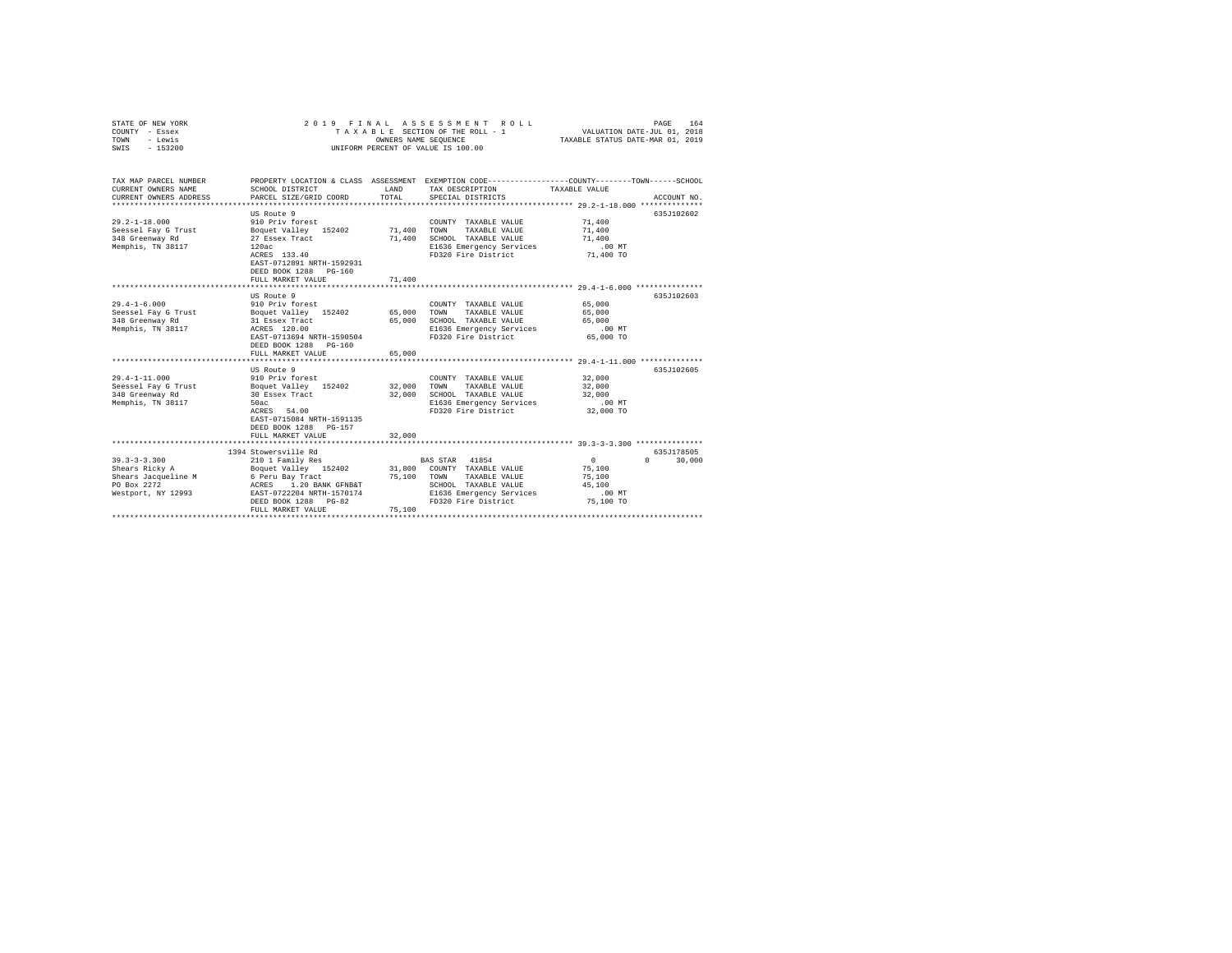| STATE OF NEW YORK<br>COUNTY - Essex<br><b>TOWN</b><br>- Lewis<br>SWIS - 153200     | 2019 FINAL                                                                                                                                                                         |                                 | ASSESSMENT ROLL<br>FINAL AUGUST:<br>TAXABLE SECTION OF THE ROLL - 1<br>UNIFORM PERCENT OF VALUE IS 100.00                  | VALUATION DATE-JUL 01, 2018<br>TAXABLE STATUS DATE-MAR 01, 2019 | PAGE<br>164                 |
|------------------------------------------------------------------------------------|------------------------------------------------------------------------------------------------------------------------------------------------------------------------------------|---------------------------------|----------------------------------------------------------------------------------------------------------------------------|-----------------------------------------------------------------|-----------------------------|
| TAX MAP PARCEL NUMBER<br>CURRENT OWNERS NAME<br>CURRENT OWNERS ADDRESS             | PROPERTY LOCATION & CLASS ASSESSMENT EXEMPTION CODE---------------COUNTY-------TOWN------SCHOOL<br>SCHOOL DISTRICT<br>PARCEL SIZE/GRID COORD                                       | LAND<br>TOTAL                   | TAX DESCRIPTION<br>SPECIAL DISTRICTS                                                                                       | TAXABLE VALUE                                                   | ACCOUNT NO.                 |
| $29.2 - 1 - 18.000$<br>Seessel Fav G Trust<br>348 Greenway Rd<br>Memphis, TN 38117 | US Route 9<br>910 Priv forest<br>Boquet Valley 152402 71,400<br>27 Essex Tract<br>120ac<br>ACRES 133.40<br>EAST-0712891 NRTH-1592931<br>DEED BOOK 1288 PG-160<br>FULL MARKET VALUE | 71,400<br>71,400                | COUNTY TAXABLE VALUE<br>TOWN<br>TAXABLE VALUE<br>SCHOOL TAXABLE VALUE<br>E1636 Emergency Services<br>FD320 Fire District   | 71,400<br>71,400<br>71,400<br>$.00$ MT<br>71,400 TO             | 635J102602                  |
|                                                                                    | **************************                                                                                                                                                         |                                 |                                                                                                                            |                                                                 |                             |
| $29.4 - 1 - 6.000$<br>Seessel Fay G Trust<br>348 Greenway Rd<br>Memphis, TN 38117  | US Route 9<br>910 Priv forest<br>Boquet Valley 152402<br>31 Essex Tract<br>ACRES 120.00<br>EAST-0713694 NRTH-1590504<br>DEED BOOK 1288 PG-160<br>FULL MARKET VALUE                 | 65,000<br>65,000<br>65,000      | COUNTY TAXABLE VALUE<br>TOWN<br>TAXABLE VALUE<br>SCHOOL TAXABLE VALUE<br>E1636 Emergency Services<br>FD320 Fire District   | 65,000<br>65,000<br>65,000<br>$.00$ MT<br>65,000 TO             | 635J102603                  |
| $29.4 - 1 - 11.000$<br>Seessel Fay G Trust<br>348 Greenway Rd<br>Memphis, TN 38117 | US Route 9<br>910 Priv forest<br>Boquet Valley 152402<br>30 Essex Tract<br>50ac<br>ACRES 54.00<br>EAST-0715084 NRTH-1591135<br>DEED BOOK 1288 PG-157<br>FULL MARKET VALUE          | 32,000 TOWN<br>32,000<br>32,000 | COUNTY TAXABLE VALUE<br>TAXABLE VALUE<br>SCHOOL TAXABLE VALUE<br>E1636 Emergency Services<br>FD320 Fire District 32,000 TO | 32,000<br>32,000<br>32,000<br>$.00$ MT                          | 635J102605                  |
| $39.3 - 3 - 3.300$                                                                 | 1394 Stowersville Rd<br>210 1 Family Res<br>DEED BOOK 1288 PG-82<br>FULL MARKET VALUE                                                                                              | 75,100                          | BAS STAR 41854<br>SCHOOL TAXABLE VALUE<br>SCHOOL INANDAL<br>E1636 Emergency Services<br>FD320 Fire District 75,100 TO      | $\sim$ 0<br>75,100<br>75,100<br>45,100<br>$.00$ MT              | 635J178505<br>$0 \t 30.000$ |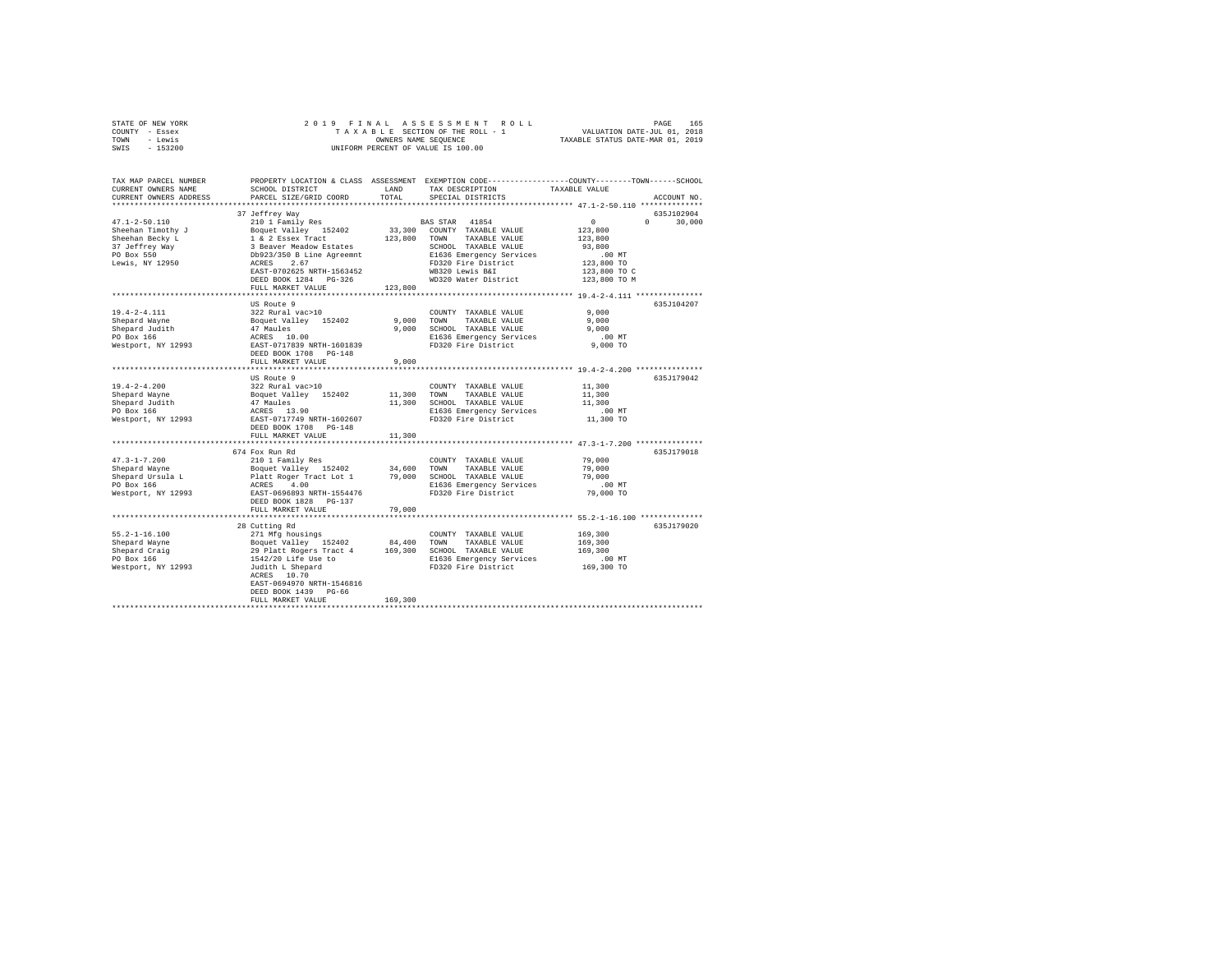| STATE OF NEW YORK | 2019 FINAL ASSESSMENT ROLL         | 165<br>PAGE                      |
|-------------------|------------------------------------|----------------------------------|
| COUNTY - Essex    | TAXABLE SECTION OF THE ROLL - 1    | VALUATION DATE-JUL 01, 2018      |
| TOWN<br>- Lewis   | OWNERS NAME SEOUENCE               | TAXABLE STATUS DATE-MAR 01, 2019 |
| $-153200$<br>SWIS | UNIFORM PERCENT OF VALUE IS 100.00 |                                  |

| TAX MAP PARCEL NUMBER<br>CURRENT OWNERS NAME                                                                                                                                                                                                                                                                                       | PROPERTY LOCATION & CLASS ASSESSMENT EXEMPTION CODE---------------COUNTY-------TOWN------SCHOOL<br>SCHOOL DISTRICT                                                                                                                         | LAND<br>TOTAL | TAX DESCRIPTION                                                   | TAXABLE VALUE    |                    |
|------------------------------------------------------------------------------------------------------------------------------------------------------------------------------------------------------------------------------------------------------------------------------------------------------------------------------------|--------------------------------------------------------------------------------------------------------------------------------------------------------------------------------------------------------------------------------------------|---------------|-------------------------------------------------------------------|------------------|--------------------|
| CURRENT OWNERS ADDRESS<br>********************                                                                                                                                                                                                                                                                                     | PARCEL SIZE/GRID COORD                                                                                                                                                                                                                     |               | SPECIAL DISTRICTS                                                 |                  | ACCOUNT NO.        |
|                                                                                                                                                                                                                                                                                                                                    | 37 Jeffrey Way                                                                                                                                                                                                                             |               |                                                                   |                  | 635J102904         |
|                                                                                                                                                                                                                                                                                                                                    |                                                                                                                                                                                                                                            |               | BAS STAR 41854                                                    | 0                | $\Omega$<br>30,000 |
|                                                                                                                                                                                                                                                                                                                                    |                                                                                                                                                                                                                                            |               | 33,300 COUNTY TAXABLE VALUE                                       | 123,800          |                    |
|                                                                                                                                                                                                                                                                                                                                    |                                                                                                                                                                                                                                            | 123,800       | TOWN TAXABLE VALUE                                                | 123,800          |                    |
|                                                                                                                                                                                                                                                                                                                                    |                                                                                                                                                                                                                                            |               | SCHOOL TAXABLE VALUE                                              | 93,800           |                    |
|                                                                                                                                                                                                                                                                                                                                    |                                                                                                                                                                                                                                            |               | E1636 Emergency Services                                          | $.00$ MT         |                    |
|                                                                                                                                                                                                                                                                                                                                    |                                                                                                                                                                                                                                            |               | FD320 Fire District<br>WB320 Lewis B&I                            | 123,800 TO       |                    |
|                                                                                                                                                                                                                                                                                                                                    | EAST-0702625 NRTH-1563452                                                                                                                                                                                                                  |               |                                                                   | 123,800 TO C     |                    |
|                                                                                                                                                                                                                                                                                                                                    | DEED BOOK 1284 PG-326                                                                                                                                                                                                                      |               | WD320 Water District                                              | 123,800 TO M     |                    |
|                                                                                                                                                                                                                                                                                                                                    | FULL MARKET VALUE                                                                                                                                                                                                                          | 123,800       |                                                                   |                  |                    |
|                                                                                                                                                                                                                                                                                                                                    | US Route 9                                                                                                                                                                                                                                 |               |                                                                   |                  | 635J104207         |
|                                                                                                                                                                                                                                                                                                                                    |                                                                                                                                                                                                                                            |               | COUNTY TAXABLE VALUE                                              | 9.000            |                    |
|                                                                                                                                                                                                                                                                                                                                    |                                                                                                                                                                                                                                            | 9,000         | TOWN<br>TAXABLE VALUE                                             | 9,000            |                    |
|                                                                                                                                                                                                                                                                                                                                    |                                                                                                                                                                                                                                            | 9,000         | SCHOOL TAXABLE VALUE                                              | 9.000            |                    |
|                                                                                                                                                                                                                                                                                                                                    |                                                                                                                                                                                                                                            |               |                                                                   | .00 MT           |                    |
|                                                                                                                                                                                                                                                                                                                                    |                                                                                                                                                                                                                                            |               | E1636 Emergency Services<br>FD320 Fire District                   | 9,000 TO         |                    |
| $\begin{tabular}{lllllllllll} 19.4-2-4.111 & 322 {\rm~Rural~vac}>10 \\ \hline {\rm Shepard~Wame} & 322 {\rm~Rural~vac}>10 \\ \hline {\rm Shepard~Judith} & 47 {\rm~Mules} & 152402 \\ \hline {\rm PO~Box~166} & 4{\rm~RSSS} & 10.00 \\ \hline {\rm Kestoprt,~NY~12993} & 82837-0717839 ~\rm{NRTH-1601839} \\ \hline \end{tabular}$ |                                                                                                                                                                                                                                            |               |                                                                   |                  |                    |
|                                                                                                                                                                                                                                                                                                                                    | FULL MARKET VALUE                                                                                                                                                                                                                          | 9.000         |                                                                   |                  |                    |
|                                                                                                                                                                                                                                                                                                                                    |                                                                                                                                                                                                                                            |               |                                                                   |                  |                    |
|                                                                                                                                                                                                                                                                                                                                    | US Route 9                                                                                                                                                                                                                                 |               |                                                                   |                  | 635J179042         |
| $19.4 - 2 - 4.200$                                                                                                                                                                                                                                                                                                                 |                                                                                                                                                                                                                                            |               | COUNTY TAXABLE VALUE                                              | 11,300           |                    |
| Shepard Wayne                                                                                                                                                                                                                                                                                                                      |                                                                                                                                                                                                                                            | 11,300 TOWN   | TAXABLE VALUE                                                     | 11,300           |                    |
| Shepard Judith                                                                                                                                                                                                                                                                                                                     |                                                                                                                                                                                                                                            |               | 11,300 SCHOOL TAXABLE VALUE                                       | 11,300           |                    |
| PO Box 166                                                                                                                                                                                                                                                                                                                         |                                                                                                                                                                                                                                            |               | E1636 Emergency Services                                          | $.00$ MT         |                    |
| Westport, NY 12993                                                                                                                                                                                                                                                                                                                 |                                                                                                                                                                                                                                            |               | FD320 Fire District                                               | 11,300 TO        |                    |
|                                                                                                                                                                                                                                                                                                                                    | DEED BOOK 1708 PG-148                                                                                                                                                                                                                      |               |                                                                   |                  |                    |
|                                                                                                                                                                                                                                                                                                                                    | FULL MARKET VALUE                                                                                                                                                                                                                          | 11,300        |                                                                   |                  |                    |
|                                                                                                                                                                                                                                                                                                                                    |                                                                                                                                                                                                                                            |               |                                                                   |                  |                    |
|                                                                                                                                                                                                                                                                                                                                    | 674 Fox Run Rd                                                                                                                                                                                                                             |               |                                                                   |                  | 635J179018         |
| $47.3 - 1 - 7.200$                                                                                                                                                                                                                                                                                                                 | 210 1 Family Res                                                                                                                                                                                                                           |               | COUNTY TAXABLE VALUE<br>TOWN TAXABLE VALUE                        | 79,000<br>79,000 |                    |
|                                                                                                                                                                                                                                                                                                                                    |                                                                                                                                                                                                                                            |               | 79,000 SCHOOL TAXABLE VALUE                                       | 79,000           |                    |
|                                                                                                                                                                                                                                                                                                                                    |                                                                                                                                                                                                                                            |               | E1636 Emergency Services                                          | $.00$ MT         |                    |
|                                                                                                                                                                                                                                                                                                                                    |                                                                                                                                                                                                                                            |               | FD320 Fire District                                               | 79,000 TO        |                    |
|                                                                                                                                                                                                                                                                                                                                    | DEED BOOK 1828 PG-137                                                                                                                                                                                                                      |               |                                                                   |                  |                    |
|                                                                                                                                                                                                                                                                                                                                    | FULL MARKET VALUE                                                                                                                                                                                                                          | 79,000        |                                                                   |                  |                    |
|                                                                                                                                                                                                                                                                                                                                    |                                                                                                                                                                                                                                            |               |                                                                   |                  |                    |
|                                                                                                                                                                                                                                                                                                                                    | 28 Cutting Rd                                                                                                                                                                                                                              |               |                                                                   |                  | 635J179020         |
| $55.2 - 1 - 16.100$                                                                                                                                                                                                                                                                                                                |                                                                                                                                                                                                                                            |               |                                                                   | 169,300          |                    |
|                                                                                                                                                                                                                                                                                                                                    |                                                                                                                                                                                                                                            |               |                                                                   | 169,300          |                    |
| Shepard Wayne<br>Shepard Craig                                                                                                                                                                                                                                                                                                     |                                                                                                                                                                                                                                            |               |                                                                   | 169,300          |                    |
| PO Box 166                                                                                                                                                                                                                                                                                                                         |                                                                                                                                                                                                                                            |               | E1636 Emergency Services .00 MT<br>FD320 Fire District 169,300 TO |                  |                    |
| Westport, NY 12993                                                                                                                                                                                                                                                                                                                 |                                                                                                                                                                                                                                            |               |                                                                   |                  |                    |
|                                                                                                                                                                                                                                                                                                                                    | 26 utiling monoings<br>271 Mfg housings<br>Boquet Valley 152402<br>29 Platt Rogers Tract 4 169,300 SCHOOL TAXABLE VALUE<br>29 Platt Rogers Tract 4 169,300 SCHOOL TAXABLE VALUE<br>1542/20 Life Use to E1636 Emergency Services<br>NG111 L |               |                                                                   |                  |                    |
|                                                                                                                                                                                                                                                                                                                                    | EAST-0694970 NRTH-1546816                                                                                                                                                                                                                  |               |                                                                   |                  |                    |
|                                                                                                                                                                                                                                                                                                                                    | DEED BOOK 1439 PG-66                                                                                                                                                                                                                       |               |                                                                   |                  |                    |
|                                                                                                                                                                                                                                                                                                                                    | FULL MARKET VALUE                                                                                                                                                                                                                          | 169,300       |                                                                   |                  |                    |
|                                                                                                                                                                                                                                                                                                                                    |                                                                                                                                                                                                                                            |               |                                                                   |                  |                    |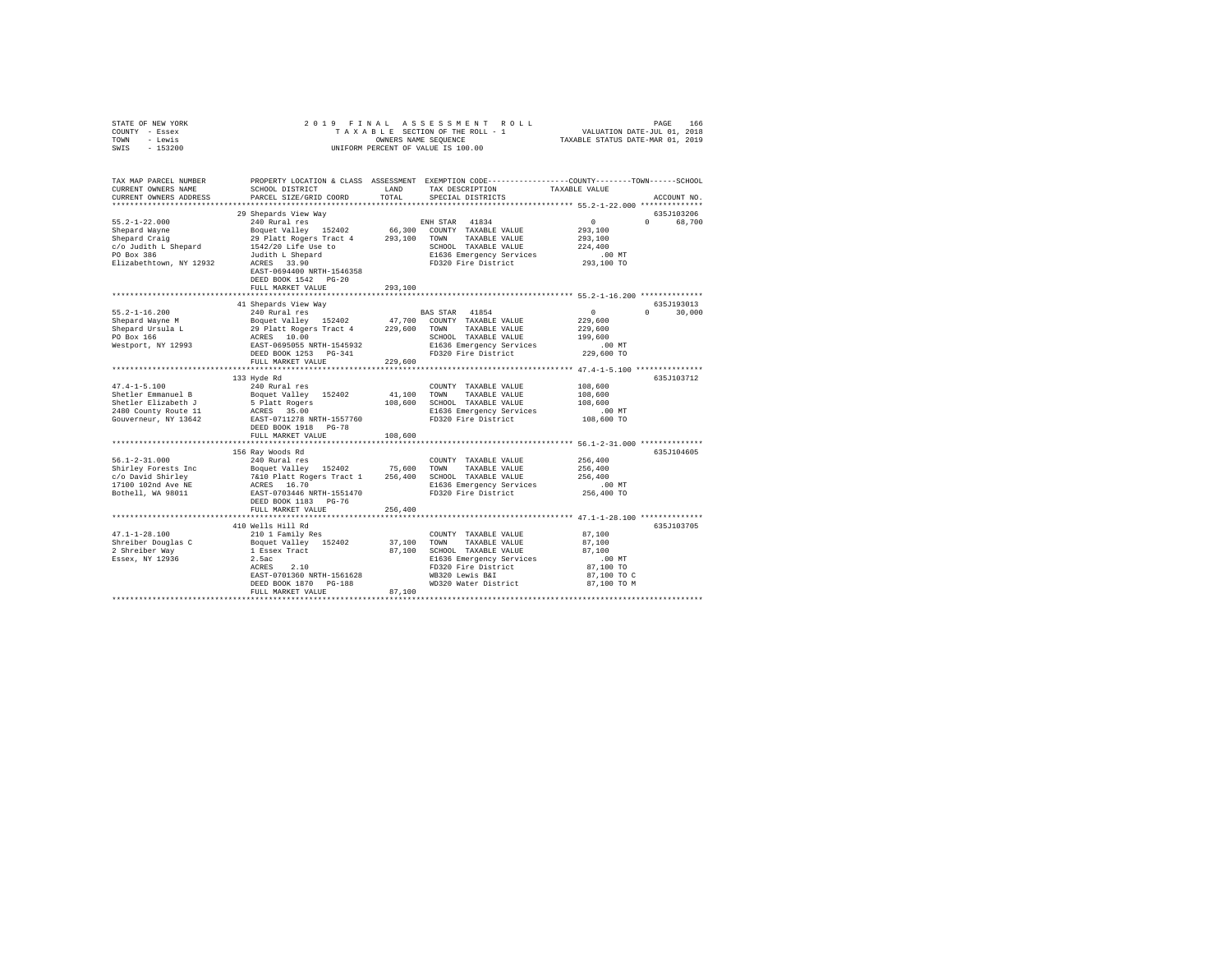| STATE OF NEW YORK                                              | 2019 FINAL                                                                                                                                                                                                   |         |                                                                                                |               |               |  |  |
|----------------------------------------------------------------|--------------------------------------------------------------------------------------------------------------------------------------------------------------------------------------------------------------|---------|------------------------------------------------------------------------------------------------|---------------|---------------|--|--|
| COUNTY - Essex                                                 | 9 FINAL ASSESSMENT ROLL (NORTHERD PACE 166 PRESENT PRESELE SECTION OF THE ROLL - 1<br>TAXABLE SECTION OF THE ROLL - 1 (NALUATION DATE-JUL 01, 2018<br>OWNERS NAME SEQUENCE  TAXABLE STATUS DATE-MAR 01, 2019 |         |                                                                                                |               |               |  |  |
| TOWN - Lewis                                                   | OWNERS NAME SEQUENCE                                                                                                                                                                                         |         |                                                                                                |               |               |  |  |
| $-153200$<br>SWIS                                              |                                                                                                                                                                                                              |         | UNIFORM PERCENT OF VALUE IS 100.00                                                             |               |               |  |  |
|                                                                |                                                                                                                                                                                                              |         |                                                                                                |               |               |  |  |
|                                                                |                                                                                                                                                                                                              |         |                                                                                                |               |               |  |  |
|                                                                |                                                                                                                                                                                                              |         |                                                                                                |               |               |  |  |
| TAX MAP PARCEL NUMBER                                          |                                                                                                                                                                                                              |         | PROPERTY LOCATION & CLASS ASSESSMENT EXEMPTION CODE---------------COUNTY-------TOWN-----SCHOOL |               |               |  |  |
| CURRENT OWNERS NAME                                            | SCHOOL DISTRICT                                                                                                                                                                                              | LAND    | TAX DESCRIPTION                                                                                | TAXABLE VALUE |               |  |  |
| CURRENT OWNERS ADDRESS                                         | PARCEL SIZE/GRID COORD                                                                                                                                                                                       | TOTAL   | SPECIAL DISTRICTS                                                                              |               | ACCOUNT NO.   |  |  |
|                                                                |                                                                                                                                                                                                              |         |                                                                                                |               |               |  |  |
|                                                                | 29 Shepards View Way                                                                                                                                                                                         |         |                                                                                                |               | 635J103206    |  |  |
| $55.2 - 1 - 22.000$                                            | 240 Rural res                                                                                                                                                                                                |         | ENH STAR 41834                                                                                 | $\sim$ 0      | 0 68,700      |  |  |
| Shepard Wayne                                                  | Boquet Valley 152402                                                                                                                                                                                         |         | 66,300 COUNTY TAXABLE VALUE                                                                    | 293,100       |               |  |  |
| Shepard Craig                                                  | 29 Platt Rogers Tract 4                                                                                                                                                                                      |         | 293,100 TOWN TAXABLE VALUE                                                                     | 293,100       |               |  |  |
| c/o Judith L Shepard                                           | 1542/20 Life Use to                                                                                                                                                                                          |         | SCHOOL TAXABLE VALUE                                                                           | 224,400       |               |  |  |
| PO Box 386                                                     |                                                                                                                                                                                                              |         | E1636 Emergency Services                                                                       | $.00$ MT      |               |  |  |
| Elizabethtown, NY 12932                                        | Judith L Shepard<br>ACRES 33.90                                                                                                                                                                              |         | FD320 Fire District                                                                            | 293,100 TO    |               |  |  |
|                                                                | EAST-0694400 NRTH-1546358                                                                                                                                                                                    |         |                                                                                                |               |               |  |  |
|                                                                | DEED BOOK 1542 PG-20                                                                                                                                                                                         |         |                                                                                                |               |               |  |  |
|                                                                |                                                                                                                                                                                                              |         |                                                                                                |               |               |  |  |
|                                                                | FULL MARKET VALUE                                                                                                                                                                                            | 293,100 |                                                                                                |               |               |  |  |
|                                                                |                                                                                                                                                                                                              |         |                                                                                                |               |               |  |  |
|                                                                | 41 Shepards View Way                                                                                                                                                                                         |         |                                                                                                |               | 635J193013    |  |  |
| $55.2 - 1 - 16.200$                                            | 240 Rural res                                                                                                                                                                                                |         | BAS STAR 41854                                                                                 | $\sim$ 0      | $0 \t 30,000$ |  |  |
|                                                                |                                                                                                                                                                                                              |         | 47,700 COUNTY TAXABLE VALUE                                                                    | 229,600       |               |  |  |
|                                                                |                                                                                                                                                                                                              |         | TAXABLE VALUE                                                                                  | 229,600       |               |  |  |
| Shepard Wayne M<br>Shepard Ursula L<br>PO Box 166              | Boquet Valley 152402 47,700 COUNTY<br>29 Platt Rogers Tract 4 229,600 TOWN<br>ACRES 10.00 SCHOOL RAST-0695055 NRTH-1545932 51636 Em                                                                          |         | SCHOOL TAXABLE VALUE                                                                           | 199,600       |               |  |  |
| Westport, NY 12993                                             |                                                                                                                                                                                                              |         | E1636 Emergency Services                                                                       | $.00$ MT      |               |  |  |
|                                                                | DEED BOOK 1253 PG-341                                                                                                                                                                                        |         | FD320 Fire District                                                                            | 229,600 TO    |               |  |  |
|                                                                | FULL MARKET VALUE                                                                                                                                                                                            | 229,600 |                                                                                                |               |               |  |  |
|                                                                |                                                                                                                                                                                                              |         |                                                                                                |               |               |  |  |
|                                                                | 133 Hyde Rd                                                                                                                                                                                                  |         |                                                                                                |               | 635J103712    |  |  |
| $47.4 - 1 - 5.100$                                             | 240 Rural res                                                                                                                                                                                                |         | COUNTY TAXABLE VALUE                                                                           | 108,600       |               |  |  |
|                                                                |                                                                                                                                                                                                              |         |                                                                                                | 108,600       |               |  |  |
| Shetler Emmanuel B                                             | Boquet Valley 152402                                                                                                                                                                                         |         | 41,100 TOWN TAXABLE VALUE                                                                      |               |               |  |  |
| Shetler Elizabeth J                                            | 5 Platt Rogers                                                                                                                                                                                               |         | 108,600 SCHOOL TAXABLE VALUE                                                                   | 108,600       |               |  |  |
| 2480 County Route 11                                           | ACRES 35.00                                                                                                                                                                                                  |         | E1636 Emergency Services                                                                       | $.00$ MT      |               |  |  |
|                                                                | Gouverneur, NY 13642 EAST-0711278 NRTH-1557760                                                                                                                                                               |         | FD320 Fire District                                                                            | 108,600 TO    |               |  |  |
|                                                                | DEED BOOK 1918 PG-78                                                                                                                                                                                         |         |                                                                                                |               |               |  |  |
|                                                                | FULL MARKET VALUE                                                                                                                                                                                            | 108,600 |                                                                                                |               |               |  |  |
|                                                                |                                                                                                                                                                                                              |         |                                                                                                |               |               |  |  |
|                                                                | 156 Ray Woods Rd                                                                                                                                                                                             |         |                                                                                                |               | 635J104605    |  |  |
| $56.1 - 2 - 31.000$                                            | 240 Rural res                                                                                                                                                                                                |         | COUNTY TAXABLE VALUE                                                                           | 256,400       |               |  |  |
| Shirley Forests Inc<br>c/o David Shirley<br>17100 102nd Ave NE | Boquet Valley 152402 75,600                                                                                                                                                                                  |         | TOWN<br>TAXABLE VALUE                                                                          | 256,400       |               |  |  |
|                                                                | Dogue Value Proposed (1996)<br>ARIO Platt Rogers Tract 1 256,400 SCHOOL TAXABLE VALUE<br>RCRES 16.70<br>EAST-0703446 NRTH-1551470 – FD320 Fire District                                                      |         |                                                                                                | 256,400       |               |  |  |
|                                                                |                                                                                                                                                                                                              |         |                                                                                                | $.00$ MT      |               |  |  |
| Bothell, WA 98011                                              |                                                                                                                                                                                                              |         |                                                                                                | 256,400 TO    |               |  |  |
|                                                                | DEED BOOK 1183 PG-76                                                                                                                                                                                         |         |                                                                                                |               |               |  |  |
|                                                                |                                                                                                                                                                                                              |         |                                                                                                |               |               |  |  |
|                                                                | FULL MARKET VALUE                                                                                                                                                                                            | 256,400 |                                                                                                |               |               |  |  |
|                                                                |                                                                                                                                                                                                              |         |                                                                                                |               |               |  |  |
|                                                                | 410 Wells Hill Rd                                                                                                                                                                                            |         |                                                                                                |               | 635J103705    |  |  |
| $47.1 - 1 - 28.100$                                            | 210 1 Family Res                                                                                                                                                                                             |         | COUNTY TAXABLE VALUE                                                                           | 87,100        |               |  |  |
| Shreiber Douglas C                                             | Boquet Valley 152402                                                                                                                                                                                         | 37,100  | TOWN<br>TAXABLE VALUE                                                                          | 87,100        |               |  |  |
| 2 Shreiber Way                                                 | 1 Essex Tract<br>2.5ac                                                                                                                                                                                       |         | 87,100 SCHOOL TAXABLE VALUE                                                                    | 87,100        |               |  |  |
| Essex, NY 12936                                                | 2.5ac                                                                                                                                                                                                        |         | E1636 Emergency Services                                                                       | $.00$ MT      |               |  |  |
|                                                                | ACRES 2.10                                                                                                                                                                                                   |         | FD320 Fire District                                                                            | 87,100 TO     |               |  |  |
|                                                                | EAST-0701360 NRTH-1561628                                                                                                                                                                                    |         | WB320 Lewis B&I                                                                                | 87,100 TO C   |               |  |  |
|                                                                | DEED BOOK 1870 PG-188                                                                                                                                                                                        |         | WD320 Water District                                                                           | 87,100 TO M   |               |  |  |
|                                                                | FULL MARKET VALUE                                                                                                                                                                                            | 87,100  |                                                                                                |               |               |  |  |
|                                                                |                                                                                                                                                                                                              |         |                                                                                                |               |               |  |  |
|                                                                |                                                                                                                                                                                                              |         |                                                                                                |               |               |  |  |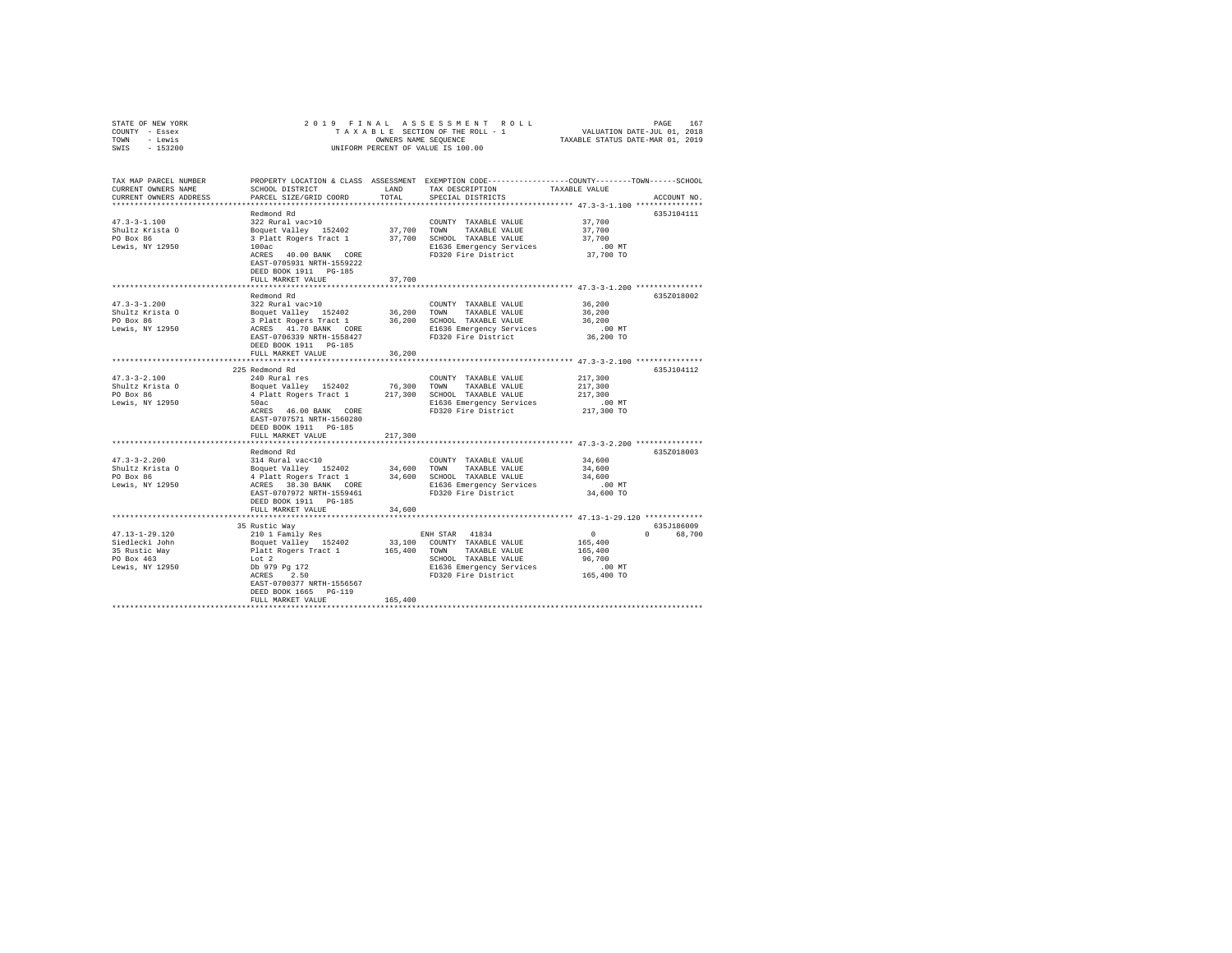| STATE OF NEW YORK                                |                                                                                                                                                                                                                                                                                                                      |         |                                                  |                                         |             |  |
|--------------------------------------------------|----------------------------------------------------------------------------------------------------------------------------------------------------------------------------------------------------------------------------------------------------------------------------------------------------------------------|---------|--------------------------------------------------|-----------------------------------------|-------------|--|
| COUNTY - Essex                                   | PAGE 167 PAGE 167 PAGE 167 PAGE 167 PAGE 167 PAGE 168 PAGE 168 PAGE 25 PAGE 167 PAGE 167 PAGE 167 PAGE 167 PAGE 167 PAGE 167 PAGE 167 PAGE 167 PAGE 167 PAGE 167 PAGE 168 PAGE 167 PAGE 168 PAGE 168 PAGE 168 PAGE 168 PAGE 16                                                                                       |         |                                                  |                                         |             |  |
| TOWN - Lewis                                     |                                                                                                                                                                                                                                                                                                                      |         |                                                  |                                         |             |  |
| SWIS - 153200                                    |                                                                                                                                                                                                                                                                                                                      |         | UNIFORM PERCENT OF VALUE IS 100.00               |                                         |             |  |
|                                                  |                                                                                                                                                                                                                                                                                                                      |         |                                                  |                                         |             |  |
| TAX MAP PARCEL NUMBER                            | PROPERTY LOCATION & CLASS ASSESSMENT EXEMPTION CODE-----------------COUNTY-------TOWN-----SCHOOL                                                                                                                                                                                                                     |         |                                                  |                                         |             |  |
| CURRENT OWNERS NAME                              | SCHOOL DISTRICT LAND                                                                                                                                                                                                                                                                                                 |         | TAX DESCRIPTION                                  | TAXABLE VALUE                           |             |  |
| CURRENT OWNERS ADDRESS                           | PARCEL SIZE/GRID COORD                                                                                                                                                                                                                                                                                               | TOTAL   | SPECIAL DISTRICTS                                |                                         | ACCOUNT NO. |  |
|                                                  |                                                                                                                                                                                                                                                                                                                      |         |                                                  |                                         |             |  |
|                                                  | $\begin{tabular}{lcccccc} $22$—sum $10$ & $24$ & $200$ & $200$ & $200$ & $200$ & $200$ & $200$ & $200$ & $200$ & $200$ & $200$ & $200$ & $200$ & $200$ & $200$ & $200$ & $200$ & $200$ & $200$ & $200$ & $200$ & $200$ & $200$ & $200$ & $200$ & $200$ & $200$ & $200$ & $200$ & $200$ & $200$ & $200$ & $200$ & $2$ |         |                                                  |                                         | 635J104111  |  |
| $47.3 - 3 - 1.100$                               |                                                                                                                                                                                                                                                                                                                      |         |                                                  | 37,700                                  |             |  |
| Shultz Krista O                                  |                                                                                                                                                                                                                                                                                                                      |         |                                                  | 37,700                                  |             |  |
|                                                  |                                                                                                                                                                                                                                                                                                                      |         |                                                  |                                         |             |  |
| PO Box 86                                        |                                                                                                                                                                                                                                                                                                                      |         |                                                  | 37,700                                  |             |  |
| Lewis, NY 12950                                  |                                                                                                                                                                                                                                                                                                                      |         | E1636 Emergency Services                         | 00 MT.<br>37,700 TO                     |             |  |
|                                                  | ACRES 40.00 BANK CORE                                                                                                                                                                                                                                                                                                |         | FD320 Fire District                              |                                         |             |  |
|                                                  | EAST-0705931 NRTH-1559222                                                                                                                                                                                                                                                                                            |         |                                                  |                                         |             |  |
|                                                  | DEED BOOK 1911    PG-185                                                                                                                                                                                                                                                                                             |         |                                                  |                                         |             |  |
|                                                  | FULL MARKET VALUE                                                                                                                                                                                                                                                                                                    | 37,700  |                                                  |                                         |             |  |
|                                                  |                                                                                                                                                                                                                                                                                                                      |         |                                                  |                                         |             |  |
|                                                  | Redmond Rd                                                                                                                                                                                                                                                                                                           |         |                                                  |                                         | 635Z018002  |  |
| $47.3 - 3 - 1.200$                               | 322 Rural vac>10                                                                                                                                                                                                                                                                                                     |         | COUNTY TAXABLE VALUE                             | 36,200                                  |             |  |
| Shultz Krista O                                  |                                                                                                                                                                                                                                                                                                                      |         |                                                  | 36,200                                  |             |  |
| PO Box 86                                        |                                                                                                                                                                                                                                                                                                                      |         |                                                  | 36,200                                  |             |  |
| Lewis, NY 12950                                  | 224 Nuar Var-19 (* 1824)<br>19 August – America II, politik (* 1824)<br>19 August – America II, politik (* 1824)<br>18 ACRES – Alfred More (* 1836 Emergency Services)                                                                                                                                               |         | E1636 Emergency Services<br>FD320 Fire District  | $.00$ MT                                |             |  |
|                                                  | EAST-0706339 NRTH-1558427                                                                                                                                                                                                                                                                                            |         |                                                  | 36,200 TO                               |             |  |
|                                                  | DEED BOOK 1911 PG-185                                                                                                                                                                                                                                                                                                |         |                                                  |                                         |             |  |
|                                                  | FULL MARKET VALUE                                                                                                                                                                                                                                                                                                    | 36,200  |                                                  |                                         |             |  |
|                                                  |                                                                                                                                                                                                                                                                                                                      |         |                                                  |                                         |             |  |
|                                                  | 225 Redmond Rd                                                                                                                                                                                                                                                                                                       |         |                                                  |                                         | 635J104112  |  |
| $47.3 - 3 - 2.100$                               | 240 Rural res                                                                                                                                                                                                                                                                                                        |         | COUNTY TAXABLE VALUE                             | 217,300                                 |             |  |
| Shultz Krista O                                  |                                                                                                                                                                                                                                                                                                                      |         |                                                  | 217,300                                 |             |  |
| PO Box 86                                        | Boquet Valley 152402 76,300 TOWN TAXABLE VALUE<br>4 Platt Rogers Tract 1 217,300 SCHOOL TAXABLE VALUE                                                                                                                                                                                                                |         |                                                  | 217,300                                 |             |  |
| Lewis, NY 12950                                  | 50ac                                                                                                                                                                                                                                                                                                                 |         |                                                  |                                         |             |  |
|                                                  | ACRES 46.00 BANK CORE                                                                                                                                                                                                                                                                                                |         | E1636 Emergency Services<br>FD320 Fire District  | .00 MT.<br>217,300 TO                   |             |  |
|                                                  | EAST-0707571 NRTH-1560280                                                                                                                                                                                                                                                                                            |         |                                                  |                                         |             |  |
|                                                  | DEED BOOK 1911 PG-185                                                                                                                                                                                                                                                                                                |         |                                                  |                                         |             |  |
|                                                  | FULL MARKET VALUE                                                                                                                                                                                                                                                                                                    |         |                                                  |                                         |             |  |
|                                                  |                                                                                                                                                                                                                                                                                                                      | 217,300 |                                                  |                                         |             |  |
|                                                  |                                                                                                                                                                                                                                                                                                                      |         |                                                  |                                         | 635Z018003  |  |
| $47.3 - 3 - 2.200$                               | Redmond Rd                                                                                                                                                                                                                                                                                                           |         |                                                  | 34,600                                  |             |  |
|                                                  |                                                                                                                                                                                                                                                                                                                      |         |                                                  | 34,600                                  |             |  |
| Shultz Krista O                                  |                                                                                                                                                                                                                                                                                                                      |         |                                                  |                                         |             |  |
| PO Box 86                                        |                                                                                                                                                                                                                                                                                                                      |         |                                                  | 34,600                                  |             |  |
| Lewis, NY 12950                                  |                                                                                                                                                                                                                                                                                                                      |         | E1636 Emergency Services<br>FD320 Fire District  | $.00$ MT                                |             |  |
|                                                  | EAST-0707972 NRTH-1559461                                                                                                                                                                                                                                                                                            |         |                                                  | 34,600 TO                               |             |  |
|                                                  | DEED BOOK 1911    PG-185                                                                                                                                                                                                                                                                                             |         |                                                  |                                         |             |  |
|                                                  | FULL MARKET VALUE                                                                                                                                                                                                                                                                                                    | 34,600  |                                                  |                                         |             |  |
|                                                  |                                                                                                                                                                                                                                                                                                                      |         |                                                  |                                         |             |  |
|                                                  | 35 Rustic Way                                                                                                                                                                                                                                                                                                        |         |                                                  |                                         | 635J186009  |  |
| $47.13 - 1 - 29.120$                             |                                                                                                                                                                                                                                                                                                                      |         |                                                  | $\begin{array}{c}0\\165,400\end{array}$ | 0 68,700    |  |
| Siedlecki John                                   |                                                                                                                                                                                                                                                                                                                      |         |                                                  |                                         |             |  |
| 35 Rustic Way<br>PO Box 463                      | 210 1 Family Res 8NH STAR 41834<br>Boquet Valley 152402 33,100 COUNTY TAXABLE VALUE<br>Platt Rogers Tract 1 165,400 TOWN TAXABLE VALUE<br>Lot 2                                                                                                                                                                      |         |                                                  | 165,400                                 |             |  |
|                                                  |                                                                                                                                                                                                                                                                                                                      |         | SCHOOL TAXABLE VALUE<br>E1636 Emergency Services | 96,700                                  |             |  |
| Lewis, NY 12950<br>Lewis, NY 12950<br>RCRES 2.50 |                                                                                                                                                                                                                                                                                                                      |         |                                                  | .00 MT<br>165,400 TO                    |             |  |
|                                                  |                                                                                                                                                                                                                                                                                                                      |         | FD320 Fire District                              |                                         |             |  |
|                                                  | EAST-0700377 NRTH-1556567                                                                                                                                                                                                                                                                                            |         |                                                  |                                         |             |  |
|                                                  | DEED BOOK 1665 PG-119                                                                                                                                                                                                                                                                                                |         |                                                  |                                         |             |  |
|                                                  | FULL MARKET VALUE                                                                                                                                                                                                                                                                                                    | 165,400 |                                                  |                                         |             |  |
|                                                  |                                                                                                                                                                                                                                                                                                                      |         |                                                  |                                         |             |  |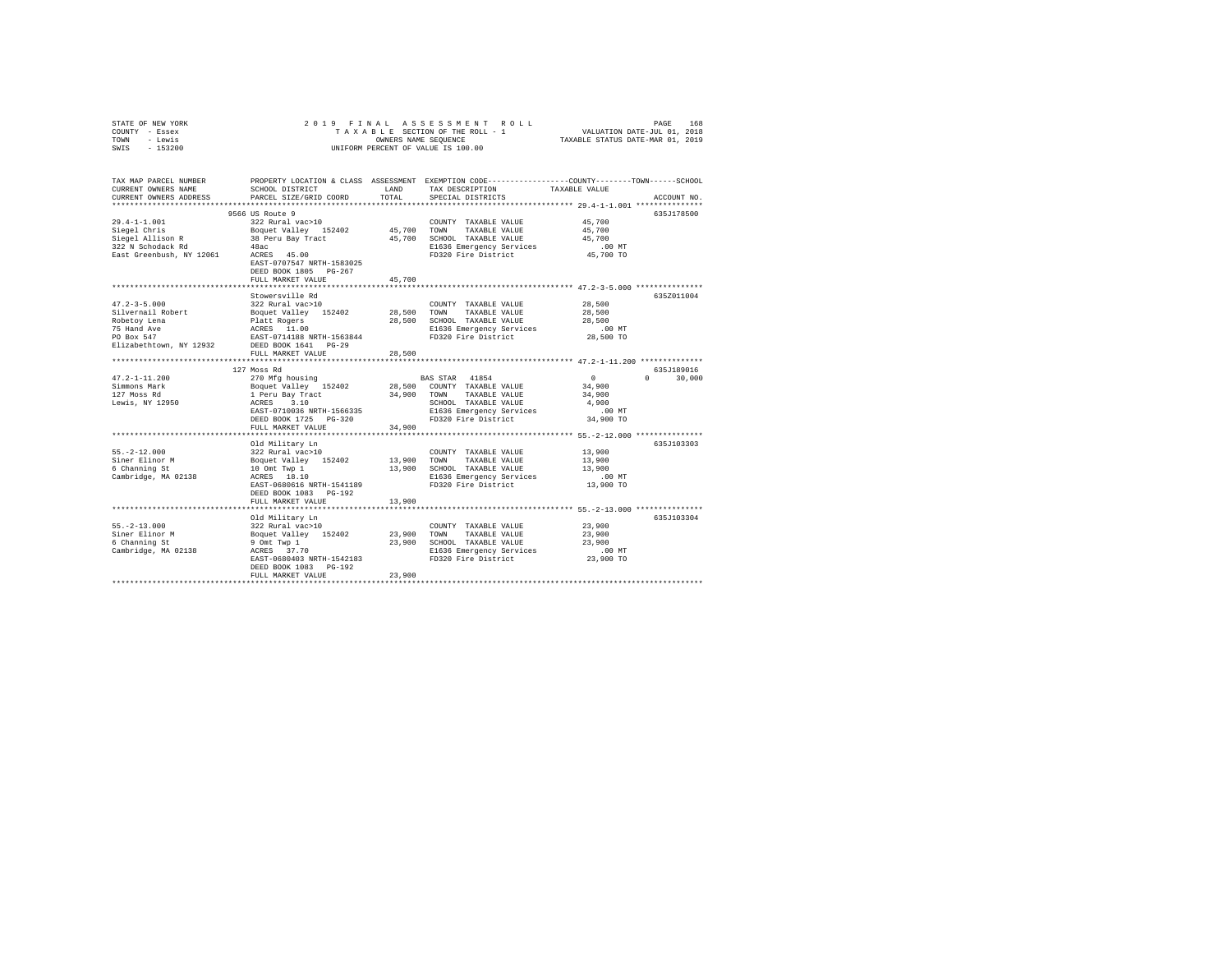| STATE OF NEW YORK                            | 2019 FINAL                                                                                         |             | ASSESSMENT ROLL                                                                                  |               | PAGE<br>168   |  |  |
|----------------------------------------------|----------------------------------------------------------------------------------------------------|-------------|--------------------------------------------------------------------------------------------------|---------------|---------------|--|--|
| COUNTY - Essex                               | VALUATION DATE-JUL 01, 2018<br>TAXABLE STATUS DATE-MAR 01, 2019<br>TAXABLE SECTION OF THE ROLL - 1 |             |                                                                                                  |               |               |  |  |
| - Lewis<br>TOWN                              | OWNERS NAME SEQUENCE                                                                               |             |                                                                                                  |               |               |  |  |
| SWIS<br>$-153200$                            | UNIFORM PERCENT OF VALUE IS 100.00                                                                 |             |                                                                                                  |               |               |  |  |
|                                              |                                                                                                    |             |                                                                                                  |               |               |  |  |
|                                              |                                                                                                    |             |                                                                                                  |               |               |  |  |
|                                              |                                                                                                    |             |                                                                                                  |               |               |  |  |
| TAX MAP PARCEL NUMBER                        |                                                                                                    |             | PROPERTY LOCATION & CLASS ASSESSMENT EXEMPTION CODE----------------COUNTY--------TOWN-----SCHOOL |               |               |  |  |
| CURRENT OWNERS NAME                          | SCHOOL DISTRICT                                                                                    | LAND        | TAX DESCRIPTION                                                                                  | TAXABLE VALUE |               |  |  |
| CURRENT OWNERS ADDRESS                       | PARCEL SIZE/GRID COORD                                                                             | TOTAL       | SPECIAL DISTRICTS                                                                                |               | ACCOUNT NO.   |  |  |
|                                              |                                                                                                    |             |                                                                                                  |               |               |  |  |
|                                              | 9566 US Route 9                                                                                    |             |                                                                                                  |               | 635J178500    |  |  |
| $29.4 - 1 - 1.001$                           | 322 Rural vac>10                                                                                   |             | COUNTY TAXABLE VALUE                                                                             | 45,700        |               |  |  |
| Siegel Chris                                 | Boquet Valley 152402                                                                               | 45,700 TOWN | TAXABLE VALUE                                                                                    | 45,700        |               |  |  |
| Siegel Allison R                             | 38 Peru Bay Tract                                                                                  |             | 45,700 SCHOOL TAXABLE VALUE                                                                      | 45,700        |               |  |  |
| 322 N Schodack Rd                            |                                                                                                    |             | E1636 Emergency Services                                                                         | $.00$ MT      |               |  |  |
| East Greenbush, NY 12061                     | 48ac<br>ACRES 45.00                                                                                |             | FD320 Fire District                                                                              | 45,700 TO     |               |  |  |
|                                              | EAST-0707547 NRTH-1583025                                                                          |             |                                                                                                  |               |               |  |  |
|                                              | DEED BOOK 1805 PG-267                                                                              |             |                                                                                                  |               |               |  |  |
|                                              | FULL MARKET VALUE                                                                                  | 45,700      |                                                                                                  |               |               |  |  |
|                                              |                                                                                                    |             |                                                                                                  |               |               |  |  |
|                                              | Stowersville Rd                                                                                    |             |                                                                                                  |               | 635Z011004    |  |  |
| $47.2 - 3 - 5.000$                           | 322 Rural vac>10                                                                                   |             | COUNTY TAXABLE VALUE                                                                             | 28,500        |               |  |  |
|                                              |                                                                                                    |             |                                                                                                  |               |               |  |  |
| Silvernail Robert                            | Boquet Valley 152402                                                                               | 28,500      | TOWN TAXABLE VALUE                                                                               | 28,500        |               |  |  |
| Robetoy Lena                                 | Platt Rogers<br>ACRES 11.00<br>EAST-0714188 NRTH-1563844                                           | 28,500      | SCHOOL TAXABLE VALUE                                                                             | 28,500        |               |  |  |
| 75 Hand Ave                                  |                                                                                                    |             | E1636 Emergency Services                                                                         | $.00$ MT      |               |  |  |
| PO Box 547                                   |                                                                                                    |             | FD320 Fire District                                                                              | 28,500 TO     |               |  |  |
| Elizabethtown, NY 12932 DEED BOOK 1641 PG-29 |                                                                                                    |             |                                                                                                  |               |               |  |  |
|                                              | FULL MARKET VALUE                                                                                  | 28,500      |                                                                                                  |               |               |  |  |
|                                              |                                                                                                    |             |                                                                                                  |               |               |  |  |
|                                              | 127 Moss Rd                                                                                        |             |                                                                                                  |               | 635J189016    |  |  |
| $47.2 - 1 - 11.200$                          | 270 Mfg housing                                                                                    |             | BAS STAR 41854                                                                                   | $\sim$        | $0 \t 30,000$ |  |  |
| Simmons Mark                                 |                                                                                                    |             | 28,500 COUNTY TAXABLE VALUE                                                                      | 34,900        |               |  |  |
| 127 Moss Rd                                  | Boquet Valley 152402<br>1 Peru Bay Tract                                                           |             | 34,900 TOWN TAXABLE VALUE                                                                        | 34,900        |               |  |  |
| Lewis, NY 12950                              | ACRES 3.10                                                                                         |             | SCHOOL TAXABLE VALUE                                                                             | 4,900         |               |  |  |
|                                              | EAST-0710036 NRTH-1566335                                                                          |             | E1636 Emergency Services                                                                         | $.00$ MT      |               |  |  |
|                                              | DEED BOOK 1725 PG-320                                                                              |             | FD320 Fire District                                                                              | 34,900 TO     |               |  |  |
|                                              | FULL MARKET VALUE                                                                                  | 34,900      |                                                                                                  |               |               |  |  |
|                                              |                                                                                                    |             |                                                                                                  |               |               |  |  |
|                                              | Old Military Ln                                                                                    |             |                                                                                                  |               | 635J103303    |  |  |
| $55. -2 - 12.000$                            | 322 Rural vac>10                                                                                   |             | COUNTY TAXABLE VALUE                                                                             | 13,900        |               |  |  |
| Siner Elinor M                               | Boquet Valley 152402                                                                               | 13,900 TOWN | TAXABLE VALUE                                                                                    | 13,900        |               |  |  |
| 6 Channing St                                | 10 Omt Twp 1                                                                                       |             | 13,900 SCHOOL TAXABLE VALUE                                                                      | 13,900        |               |  |  |
| Cambridge, MA 02138                          | ACRES 18.10                                                                                        |             | E1636 Emergency Services                                                                         | $.00$ MT      |               |  |  |
|                                              | EAST-0680616 NRTH-1541189                                                                          |             | FD320 Fire District                                                                              | 13,900 TO     |               |  |  |
|                                              | DEED BOOK 1083 PG-192                                                                              |             |                                                                                                  |               |               |  |  |
|                                              | FULL MARKET VALUE                                                                                  | 13,900      |                                                                                                  |               |               |  |  |
|                                              |                                                                                                    |             |                                                                                                  |               |               |  |  |
|                                              |                                                                                                    |             |                                                                                                  |               |               |  |  |
|                                              | Old Military Ln                                                                                    |             |                                                                                                  |               | 635J103304    |  |  |
| $55. -2 - 13.000$                            | 322 Rural vac>10                                                                                   |             | COUNTY TAXABLE VALUE                                                                             | 23,900        |               |  |  |
| Siner Elinor M                               | Boquet Valley 152402 23,900                                                                        |             | TOWN<br>TAXABLE VALUE                                                                            | 23,900        |               |  |  |
| 6 Channing St                                | 9 Omt Twp 1                                                                                        |             | 23,900 SCHOOL TAXABLE VALUE                                                                      | 23,900        |               |  |  |
| Cambridge, MA 02138                          | ACRES 37.70                                                                                        |             | E1636 Emergency Services                                                                         | $.00$ MT      |               |  |  |
|                                              | EAST-0680403 NRTH-1542183                                                                          |             | FD320 Fire District                                                                              | 23,900 TO     |               |  |  |
|                                              | DEED BOOK 1083 PG-192                                                                              |             |                                                                                                  |               |               |  |  |
|                                              | FULL MARKET VALUE                                                                                  | 23,900      |                                                                                                  |               |               |  |  |
|                                              |                                                                                                    |             |                                                                                                  |               |               |  |  |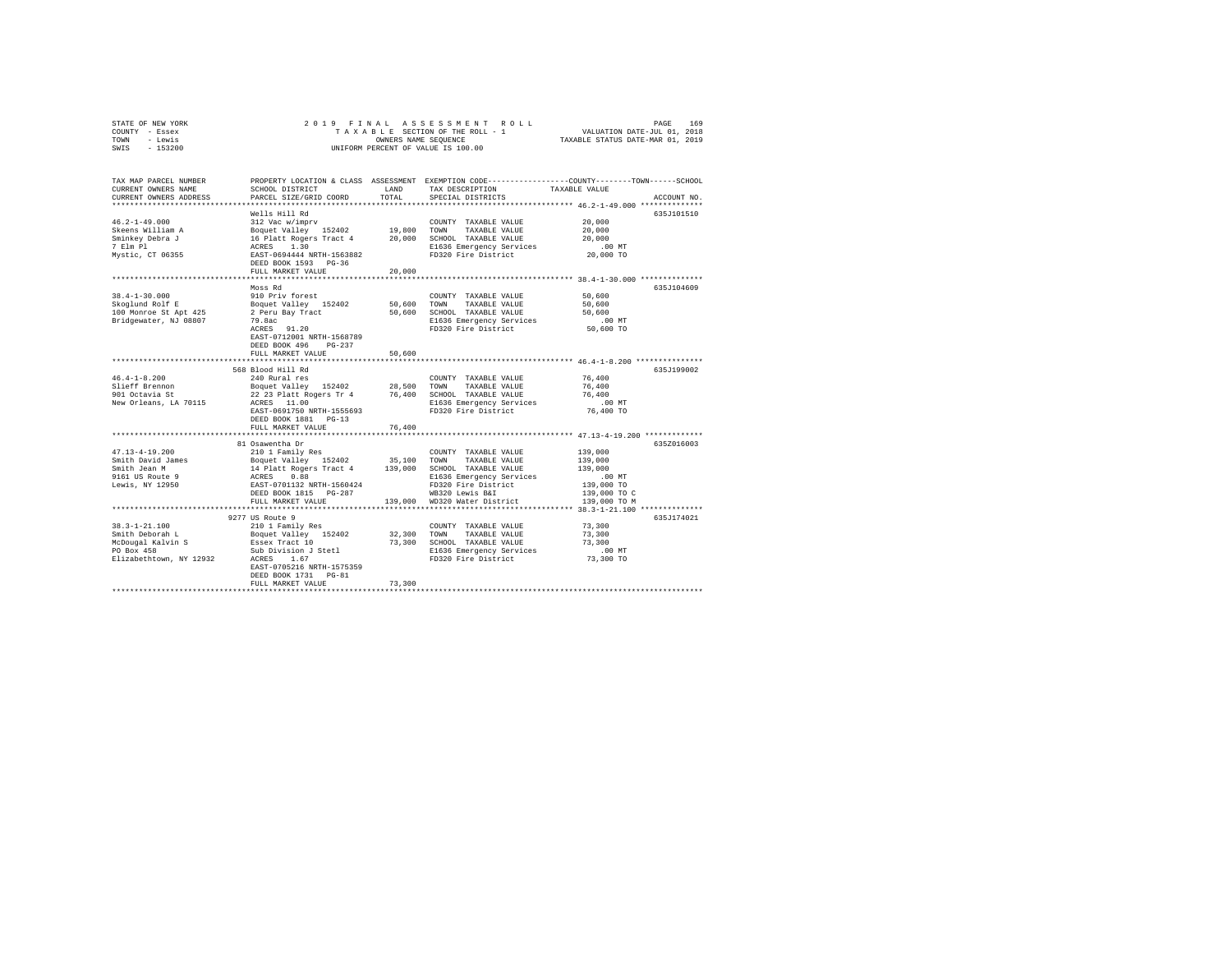| STATE OF NEW YORK | 2019 FINAL ASSESSMENT ROLL         | 169<br>PAGE                      |
|-------------------|------------------------------------|----------------------------------|
| COUNTY - Essex    | TAXABLE SECTION OF THE ROLL - 1    | VALUATION DATE-JUL 01, 2018      |
| TOWN<br>- Lewis   | OWNERS NAME SEOUENCE               | TAXABLE STATUS DATE-MAR 01, 2019 |
| $-153200$<br>SWIS | UNIFORM PERCENT OF VALUE IS 100.00 |                                  |

| TAX MAP PARCEL NUMBER<br>CURRENT OWNERS NAME<br>CURRENT OWNERS ADDRESS | SCHOOL DISTRICT<br>PARCEL SIZE/GRID COORD           | LAND<br>TOTAL | TAX DESCRIPTION<br>SPECIAL DISTRICTS | PROPERTY LOCATION & CLASS ASSESSMENT EXEMPTION CODE---------------COUNTY-------TOWN-----SCHOOL<br>TAXABLE VALUE<br>ACCOUNT NO. |
|------------------------------------------------------------------------|-----------------------------------------------------|---------------|--------------------------------------|--------------------------------------------------------------------------------------------------------------------------------|
|                                                                        |                                                     |               |                                      |                                                                                                                                |
|                                                                        | Wells Hill Rd                                       |               |                                      | 635J101510                                                                                                                     |
| $46.2 - 1 - 49.000$                                                    | 312 Vac w/imprv                                     |               | COUNTY TAXABLE VALUE                 | 20,000                                                                                                                         |
| Skeens William A                                                       | Boquet Valley 152402<br>16 Platt Rogers Tract 4     | 19,800        | TOWN TAXABLE VALUE                   | 20,000                                                                                                                         |
| Sminkey Debra J                                                        |                                                     |               | 20,000 SCHOOL TAXABLE VALUE          | 20,000                                                                                                                         |
| 7 Elm Pl                                                               | ACRES 1.30                                          |               | E1636 Emergency Services             | $.00$ MT                                                                                                                       |
| Mystic, CT 06355                                                       | EAST-0694444 NRTH-1563882<br>DEED BOOK 1593 PG-36   |               | FD320 Fire District                  | 20,000 TO                                                                                                                      |
|                                                                        | FULL MARKET VALUE                                   | 20,000        |                                      |                                                                                                                                |
|                                                                        |                                                     |               |                                      |                                                                                                                                |
|                                                                        | Moss Rd                                             |               |                                      | 635J104609                                                                                                                     |
| $38.4 - 1 - 30.000$                                                    | 910 Priv forest                                     |               | COUNTY TAXABLE VALUE                 | 50,600                                                                                                                         |
| Skoglund Rolf E                                                        | Boquet Valley 152402                                | 50,600        | TAXABLE VALUE<br>TOWN                | 50,600                                                                                                                         |
| 100 Monroe St Apt 425                                                  | 2 Peru Bay Tract                                    | 50,600        | SCHOOL TAXABLE VALUE                 | 50,600                                                                                                                         |
| Bridgewater, NJ 08807                                                  | 79.8ac                                              |               | E1636 Emergency Services             | $.00$ MT                                                                                                                       |
|                                                                        | ACRES 91.20                                         |               | FD320 Fire District                  | 50,600 TO                                                                                                                      |
|                                                                        | EAST-0712001 NRTH-1568789                           |               |                                      |                                                                                                                                |
|                                                                        | DEED BOOK 496<br>$PG-237$                           |               |                                      |                                                                                                                                |
|                                                                        | FULL MARKET VALUE                                   | 50,600        |                                      |                                                                                                                                |
|                                                                        | ************************                            |               |                                      | *********************** 46.4-1-8.200 ***************                                                                           |
|                                                                        | 568 Blood Hill Rd                                   |               |                                      | 635J199002                                                                                                                     |
| $46.4 - 1 - 8.200$                                                     | 240 Rural res                                       |               | COUNTY TAXABLE VALUE                 | 76,400                                                                                                                         |
| Slieff Brennon                                                         | Boquet Valley 152402                                |               | 28,500 TOWN TAXABLE VALUE            | 76,400                                                                                                                         |
| 901 Octavia St                                                         | 22 23 Platt Rogers Tr 4 76,400 SCHOOL TAXABLE VALUE |               |                                      | 76,400                                                                                                                         |
| New Orleans, LA 70115                                                  | ACRES 11.00                                         |               | E1636 Emergency Services             | $.00$ MT                                                                                                                       |
|                                                                        | EAST-0691750 NRTH-1555693                           |               | FD320 Fire District                  | 76,400 TO                                                                                                                      |
|                                                                        | DEED BOOK 1881 PG-13                                |               |                                      |                                                                                                                                |
|                                                                        | FULL MARKET VALUE                                   | 76,400        |                                      |                                                                                                                                |
|                                                                        | *************************                           |               |                                      |                                                                                                                                |
|                                                                        | 81 Osawentha Dr                                     |               |                                      | 635Z016003                                                                                                                     |
| $47.13 - 4 - 19.200$                                                   | 210 1 Family Res                                    |               | COUNTY TAXABLE VALUE                 | 139,000                                                                                                                        |
| Smith David James                                                      | Boquet Valley 152402<br>14 Platt Rogers Tract 4     | 35,100        | TOWN<br>TAXABLE VALUE                | 139,000                                                                                                                        |
| Smith Jean M                                                           |                                                     |               | 139,000 SCHOOL TAXABLE VALUE         | 139,000                                                                                                                        |
| 9161 US Route 9                                                        | ACRES 0.88                                          |               | E1636 Emergency Services             | $.00$ MT                                                                                                                       |
| Lewis, NY 12950                                                        | EAST-0701132 NRTH-1560424                           |               | FD320 Fire District                  | 139,000 TO                                                                                                                     |
|                                                                        | DEED BOOK 1815 PG-287                               |               | WB320 Lewis B&I                      | 139,000 TO C                                                                                                                   |
|                                                                        | FULL MARKET VALUE                                   | 139,000       | WD320 Water District                 | 139,000 TO M                                                                                                                   |
|                                                                        | *************************                           |               |                                      |                                                                                                                                |
|                                                                        | 9277 US Route 9                                     |               |                                      | 635J174021                                                                                                                     |
| $38.3 - 1 - 21.100$                                                    | 210 1 Family Res                                    |               | COUNTY TAXABLE VALUE                 | 73,300                                                                                                                         |
| Smith Deborah L                                                        | Boquet Valley 152402                                | 32,300        | TOWN<br>TAXABLE VALUE                | 73,300                                                                                                                         |
| McDougal Kalvin S                                                      | Essex Tract 10                                      | 73,300        | SCHOOL TAXABLE VALUE                 | 73,300                                                                                                                         |
| PO Box 458                                                             | Sub Division J Stetl                                |               | E1636 Emergency Services             | $.00$ MT                                                                                                                       |
| Elizabethtown, NY 12932                                                | ACRES 1.67                                          |               | FD320 Fire District                  | 73,300 TO                                                                                                                      |
|                                                                        | EAST-0705216 NRTH-1575359                           |               |                                      |                                                                                                                                |
|                                                                        | DEED BOOK 1731 PG-81                                |               |                                      |                                                                                                                                |
|                                                                        | FULL MARKET VALUE                                   | 73,300        |                                      |                                                                                                                                |
|                                                                        |                                                     |               |                                      |                                                                                                                                |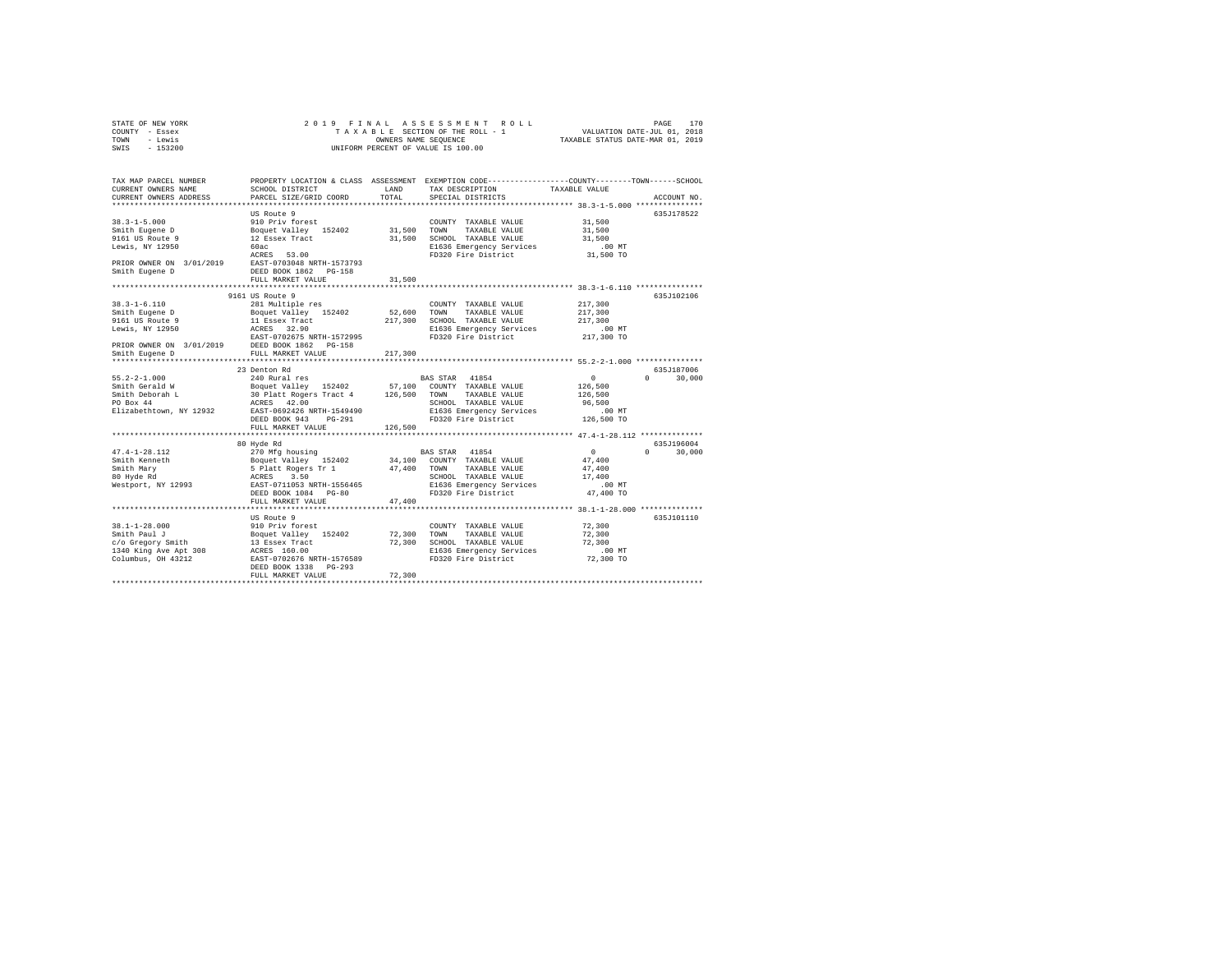|      | STATE OF NEW YORK |  |  | 2019 FINAL ASSESSMENT ROLL         |                                  | PAGE                        | 170 |
|------|-------------------|--|--|------------------------------------|----------------------------------|-----------------------------|-----|
|      | COUNTY - Essex    |  |  | TAXABLE SECTION OF THE ROLL - 1    |                                  | VALUATION DATE-JUL 01, 2018 |     |
| TOWN | - Lewis           |  |  | OWNERS NAME SEOUENCE               | TAXABLE STATUS DATE-MAR 01, 2019 |                             |     |
| SWIS | - 153200          |  |  | UNIFORM PERCENT OF VALUE IS 100.00 |                                  |                             |     |

| TAX MAP PARCEL NUMBER<br>SCHOOL DISTRICT<br>CURRENT OWNERS NAME                                                                                                                                                                                                                                                                                                                                                                   | LAND    | PROPERTY LOCATION & CLASS ASSESSMENT EXEMPTION CODE---------------COUNTY-------TOWN-----SCHOOL |            |                        |
|-----------------------------------------------------------------------------------------------------------------------------------------------------------------------------------------------------------------------------------------------------------------------------------------------------------------------------------------------------------------------------------------------------------------------------------|---------|------------------------------------------------------------------------------------------------|------------|------------------------|
| CURRENT OWNERS ADDRESS<br>PARCEL SIZE/GRID COORD                                                                                                                                                                                                                                                                                                                                                                                  | TOTAL   | TAX DESCRIPTION TAXABLE VALUE<br>SPECIAL DISTRICTS                                             |            | ACCOUNT NO.            |
|                                                                                                                                                                                                                                                                                                                                                                                                                                   |         |                                                                                                |            |                        |
| US Route 9                                                                                                                                                                                                                                                                                                                                                                                                                        |         |                                                                                                |            | 635J178522             |
|                                                                                                                                                                                                                                                                                                                                                                                                                                   |         |                                                                                                | 31,500     |                        |
|                                                                                                                                                                                                                                                                                                                                                                                                                                   |         |                                                                                                | 31,500     |                        |
| Smith sugene<br>9161 US Route 9<br>Lewis, NY 12950                                                                                                                                                                                                                                                                                                                                                                                |         |                                                                                                | 31,500     |                        |
|                                                                                                                                                                                                                                                                                                                                                                                                                                   |         |                                                                                                |            |                        |
|                                                                                                                                                                                                                                                                                                                                                                                                                                   |         | E1636 Emergency Services .00 MT<br>FD320 Fire District 31,500 TO                               |            |                        |
| Lewis, NY 12950<br>PRIOR OWNER ON 3/01/2019 RASTES 53.00<br>Smith Eugene D<br>Smith Eugene D                                                                                                                                                                                                                                                                                                                                      |         |                                                                                                |            |                        |
| Smith Eugene D                                                                                                                                                                                                                                                                                                                                                                                                                    |         |                                                                                                |            |                        |
| FULL MARKET VALUE                                                                                                                                                                                                                                                                                                                                                                                                                 | 31,500  |                                                                                                |            |                        |
|                                                                                                                                                                                                                                                                                                                                                                                                                                   |         |                                                                                                |            |                        |
| 9161 US Route 9                                                                                                                                                                                                                                                                                                                                                                                                                   |         |                                                                                                |            | 635J102106             |
| $38.3 - 1 - 6.110$<br>281 Multiple res                                                                                                                                                                                                                                                                                                                                                                                            |         | COUNTY TAXABLE VALUE                                                                           | 217,300    |                        |
|                                                                                                                                                                                                                                                                                                                                                                                                                                   |         | TOWN<br>TAXABLE VALUE                                                                          | 217,300    |                        |
|                                                                                                                                                                                                                                                                                                                                                                                                                                   |         | SCHOOL TAXABLE VALUE                                                                           | 217,300    |                        |
|                                                                                                                                                                                                                                                                                                                                                                                                                                   |         | E1636 Emergency Services .00 MT<br>FD320 Fire District  217,300 TO                             |            |                        |
|                                                                                                                                                                                                                                                                                                                                                                                                                                   |         |                                                                                                |            |                        |
| PRIOR OWNER ON 3/01/2019 DEED BOOK 1862 PG-158<br>Smith Eugene D FULL MARKET VALUE                                                                                                                                                                                                                                                                                                                                                |         |                                                                                                |            |                        |
| Smith Eugene D                                                                                                                                                                                                                                                                                                                                                                                                                    | 217,300 |                                                                                                |            |                        |
|                                                                                                                                                                                                                                                                                                                                                                                                                                   |         |                                                                                                |            |                        |
| 23 Denton Rd                                                                                                                                                                                                                                                                                                                                                                                                                      |         |                                                                                                |            | 635J187006             |
| $55.2 - 2 - 1.000$<br>240 Rural res                                                                                                                                                                                                                                                                                                                                                                                               |         | BAS STAR 41854                                                                                 | $\sim$ 0   | $0 \t 30,000$          |
|                                                                                                                                                                                                                                                                                                                                                                                                                                   |         |                                                                                                | 126,500    |                        |
|                                                                                                                                                                                                                                                                                                                                                                                                                                   |         |                                                                                                | 126,500    |                        |
|                                                                                                                                                                                                                                                                                                                                                                                                                                   |         | SCHOOL TAXABLE VALUE                                                                           | 96,500     |                        |
|                                                                                                                                                                                                                                                                                                                                                                                                                                   |         | E1636 Emergency Services                                                                       | .00 MT     |                        |
|                                                                                                                                                                                                                                                                                                                                                                                                                                   |         | FD320 Fire District                                                                            | 126,500 TO |                        |
| FULL MARKET VALUE                                                                                                                                                                                                                                                                                                                                                                                                                 | 126,500 |                                                                                                |            |                        |
|                                                                                                                                                                                                                                                                                                                                                                                                                                   |         |                                                                                                |            |                        |
| 80 Hyde Rd                                                                                                                                                                                                                                                                                                                                                                                                                        |         | BAS STAR 41854                                                                                 |            | 635J196004<br>$\Omega$ |
|                                                                                                                                                                                                                                                                                                                                                                                                                                   |         |                                                                                                | $\sim$ 0   | 30,000                 |
|                                                                                                                                                                                                                                                                                                                                                                                                                                   |         |                                                                                                | 47,400     |                        |
|                                                                                                                                                                                                                                                                                                                                                                                                                                   |         |                                                                                                | 47,400     |                        |
| 47.4-1-28.112 $\begin{array}{l} 47.4-1-28.112 \end{array}$ $\begin{array}{l} 270 \text{ Nfg} \text{ housing} \\ \text{Smith Kenneth} \\ \text{Squet Valley} \end{array}$ $\begin{array}{l} 270 \text{ Mg} \text{ housing} \\ 152402 \end{array}$ $\begin{array}{l} 34.100 \text{ COUNTY} \\ 47.400 \text{ TANABLE VALUE} \\ \text{Squet PAUDE} \\ \text{Squet PAUER} \\ \text{16.500} \\ \text{16.610} \\ \text{16.620} \\ \text$ |         | SCHOOL TAXABLE VALUE 17,400<br>E1636 Emergency Services .00 MT                                 |            |                        |
| DEED BOOK 1084 PG-80                                                                                                                                                                                                                                                                                                                                                                                                              |         | FD320 Fire District                                                                            | 47,400 TO  |                        |
| FULL MARKET VALUE                                                                                                                                                                                                                                                                                                                                                                                                                 | 47,400  |                                                                                                |            |                        |
|                                                                                                                                                                                                                                                                                                                                                                                                                                   |         |                                                                                                |            |                        |
| US Route 9                                                                                                                                                                                                                                                                                                                                                                                                                        |         |                                                                                                |            | 635J101110             |
|                                                                                                                                                                                                                                                                                                                                                                                                                                   |         |                                                                                                | 72,300     |                        |
|                                                                                                                                                                                                                                                                                                                                                                                                                                   |         | TAXABLE VALUE                                                                                  | 72,300     |                        |
|                                                                                                                                                                                                                                                                                                                                                                                                                                   |         |                                                                                                | 72,300     |                        |
|                                                                                                                                                                                                                                                                                                                                                                                                                                   |         |                                                                                                | $.00$ MT   |                        |
| 38.1-1-28.000<br>Smith Paul J<br>Smith Paul J<br>$c$ /O Gregory Smith House Tract (1922)<br>27.300 TOWN TAXABLE VALUE<br>200 King Ave Appt 308 ACRES 1600<br>2010 Minus, OH 43212<br>2010 Minus, OH 43212<br>2010 Minus, OH 43212<br>2020 FISC 1                                                                                                                                                                                  |         |                                                                                                | 72,300 TO  |                        |
| DEED BOOK 1338 PG-293                                                                                                                                                                                                                                                                                                                                                                                                             |         |                                                                                                |            |                        |
| FULL MARKET VALUE                                                                                                                                                                                                                                                                                                                                                                                                                 | 72,300  |                                                                                                |            |                        |
|                                                                                                                                                                                                                                                                                                                                                                                                                                   |         |                                                                                                |            |                        |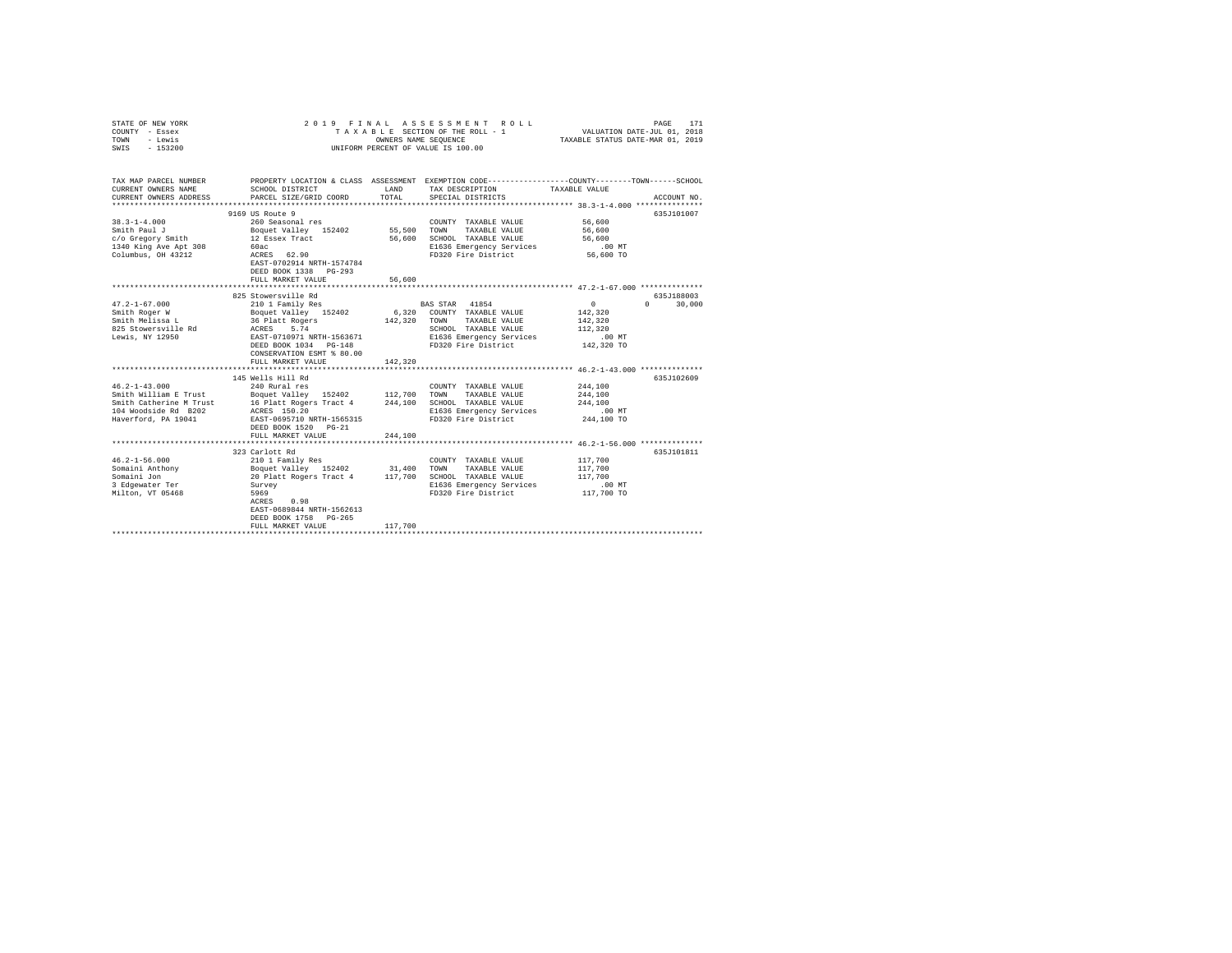| STATE OF NEW YORK<br>COUNTY - Essex<br>TOWN<br>- Lewis<br>$-153200$<br>SWIS | 2019 FINAL                                                                             | OWNERS NAME SEQUENCE | ASSESSMENT ROLL<br>TAXABLE SECTION OF THE ROLL - 1<br>UNIFORM PERCENT OF VALUE IS 100.00                            | VALUATION DATE-JUL 01, 2018<br>TAXABLE STATUS DATE-MAR 01, 2019 | PAGE<br>171   |
|-----------------------------------------------------------------------------|----------------------------------------------------------------------------------------|----------------------|---------------------------------------------------------------------------------------------------------------------|-----------------------------------------------------------------|---------------|
| TAX MAP PARCEL NUMBER<br>CURRENT OWNERS NAME                                | SCHOOL DISTRICT                                                                        | LAND                 | PROPERTY LOCATION & CLASS ASSESSMENT EXEMPTION CODE----------------COUNTY-------TOWN------SCHOOL<br>TAX DESCRIPTION | TAXABLE VALUE                                                   |               |
| CURRENT OWNERS ADDRESS                                                      | PARCEL SIZE/GRID COORD                                                                 | TOTAL                | SPECIAL DISTRICTS                                                                                                   |                                                                 | ACCOUNT NO.   |
|                                                                             | 9169 US Route 9                                                                        |                      |                                                                                                                     |                                                                 | 635J101007    |
| $38.3 - 1 - 4.000$                                                          | 260 Seasonal res                                                                       |                      | COUNTY TAXABLE VALUE                                                                                                | 56,600                                                          |               |
| Smith Paul J                                                                | Boquet Valley 152402                                                                   | 55,500               | TOWN<br>TAXABLE VALUE                                                                                               | 56,600                                                          |               |
| c/o Gregory Smith                                                           | 12 Essex Tract                                                                         | 56,600               | SCHOOL TAXABLE VALUE                                                                                                | 56,600                                                          |               |
| 1340 King Ave Apt 308                                                       | 60ac                                                                                   |                      | E1636 Emergency Services                                                                                            | $.00$ MT                                                        |               |
| Columbus, OH 43212                                                          | ACRES 62.90<br>EAST-0702914 NRTH-1574784<br>DEED BOOK 1338 PG-293<br>FULL MARKET VALUE | 56,600               | FD320 Fire District                                                                                                 | 56,600 TO                                                       |               |
|                                                                             |                                                                                        |                      |                                                                                                                     |                                                                 |               |
|                                                                             | 825 Stowersville Rd                                                                    |                      |                                                                                                                     |                                                                 | 635J188003    |
| $47.2 - 1 - 67.000$                                                         | 210 1 Family Res                                                                       |                      | BAS STAR 41854                                                                                                      | $\mathbf{0}$                                                    | $0 \t 30,000$ |
| Smith Roger W                                                               | Boquet Valley 152402                                                                   |                      | 6,320 COUNTY TAXABLE VALUE                                                                                          | 142,320                                                         |               |
| Smith Melissa L                                                             | 36 Platt Rogers                                                                        | 142,320              | TOWN TAXABLE VALUE                                                                                                  | 142,320                                                         |               |
| 825 Stowersville Rd                                                         | 5.74<br>ACRES                                                                          |                      | SCHOOL TAXABLE VALUE                                                                                                | 112,320                                                         |               |
| Lewis, NY 12950                                                             | EAST-0710971 NRTH-1563671<br>DEED BOOK 1034 PG-148                                     |                      | E1636 Emergency Services<br>FD320 Fire District                                                                     | $.00$ MT<br>142,320 TO                                          |               |
|                                                                             | CONSERVATION ESMT % 80.00                                                              |                      |                                                                                                                     |                                                                 |               |
|                                                                             | FULL MARKET VALUE                                                                      | 142,320              |                                                                                                                     |                                                                 |               |
|                                                                             |                                                                                        |                      |                                                                                                                     |                                                                 |               |
|                                                                             | 145 Wells Hill Rd                                                                      |                      |                                                                                                                     |                                                                 | 635J102609    |
| $46.2 - 1 - 43.000$                                                         | 240 Rural res                                                                          |                      | COUNTY TAXABLE VALUE                                                                                                | 244,100                                                         |               |
| Smith William E Trust                                                       | Boquet Valley 152402                                                                   | 112,700              | TOWN<br>TAXABLE VALUE                                                                                               | 244,100                                                         |               |
| Smith Catherine M Trust                                                     | 16 Platt Rogers Tract 4                                                                | 244,100              | SCHOOL TAXABLE VALUE                                                                                                | 244,100                                                         |               |
| 104 Woodside Rd B202                                                        | ACRES 150.20                                                                           |                      | E1636 Emergency Services                                                                                            | $.00$ MT                                                        |               |
| Haverford, PA 19041                                                         | EAST-0695710 NRTH-1565315<br>DEED BOOK 1520 PG-21                                      |                      | FD320 Fire District                                                                                                 | 244,100 TO                                                      |               |
|                                                                             | FULL MARKET VALUE                                                                      | 244,100              |                                                                                                                     |                                                                 |               |
|                                                                             |                                                                                        |                      |                                                                                                                     |                                                                 |               |
|                                                                             | 323 Carlott Rd                                                                         |                      |                                                                                                                     |                                                                 | 635J101811    |
| $46.2 - 1 - 56.000$                                                         | 210 1 Family Res                                                                       |                      | COUNTY TAXABLE VALUE                                                                                                | 117,700                                                         |               |
| Somaini Anthony                                                             | Boquet Valley 152402 31,400                                                            |                      | TOWN<br>TAXABLE VALUE                                                                                               | 117,700                                                         |               |
| Somaini Jon                                                                 | 20 Platt Rogers Tract 4                                                                | 117,700              | SCHOOL TAXABLE VALUE                                                                                                | 117,700                                                         |               |
| 3 Edgewater Ter                                                             | Survey                                                                                 |                      | E1636 Emergency Services                                                                                            | .00 MT                                                          |               |
| Milton, VT 05468                                                            | 5969                                                                                   |                      | FD320 Fire District                                                                                                 | 117,700 TO                                                      |               |
|                                                                             | ACRES 0.98                                                                             |                      |                                                                                                                     |                                                                 |               |
|                                                                             | EAST-0689844 NRTH-1562613                                                              |                      |                                                                                                                     |                                                                 |               |
|                                                                             | DEED BOOK 1758 PG-265<br>FULL MARKET VALUE                                             | 117,700              |                                                                                                                     |                                                                 |               |
|                                                                             |                                                                                        |                      |                                                                                                                     |                                                                 |               |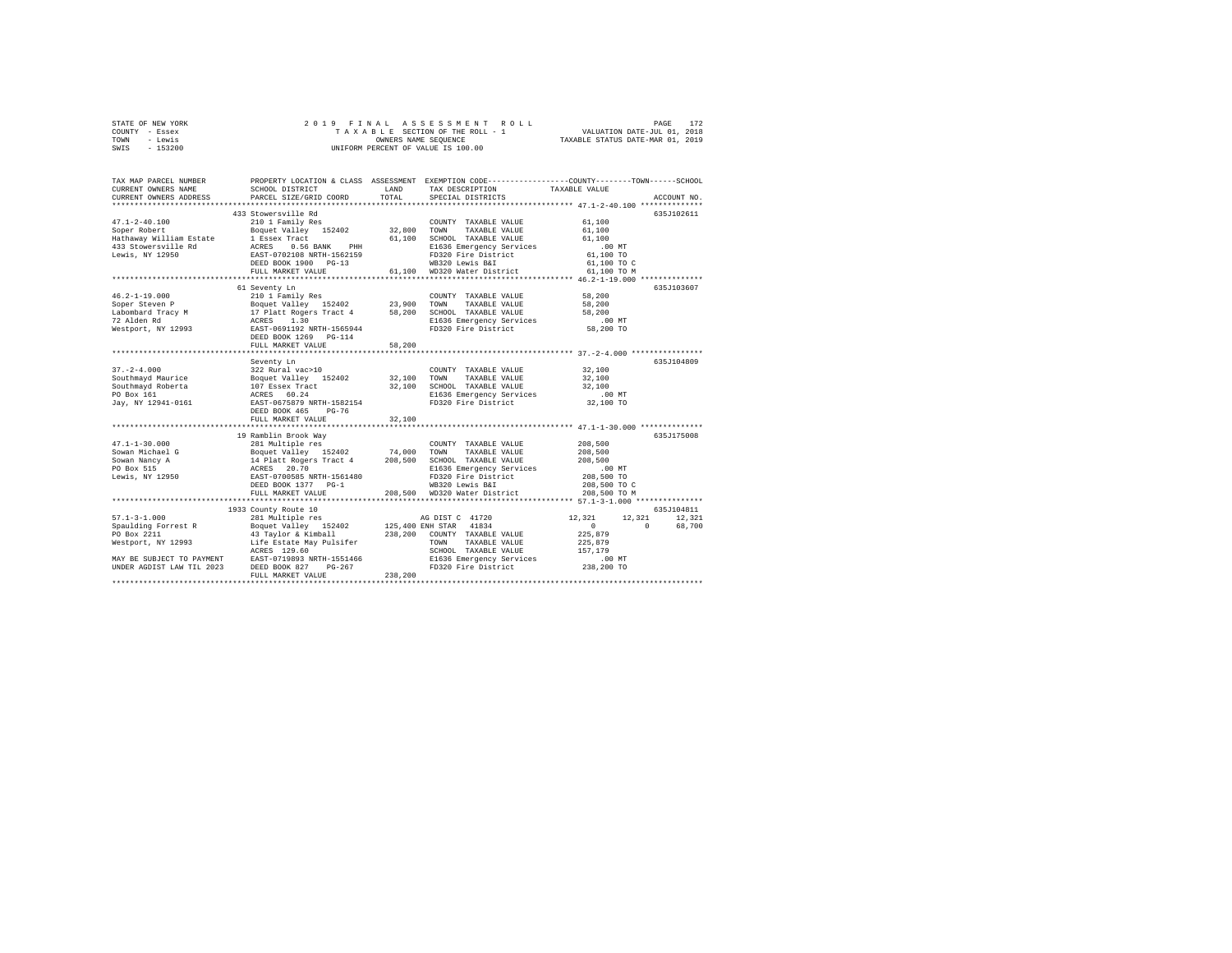| STATE OF NEW YORK | 2019 FINAL ASSESSMENT ROLL         | 172<br>PAGE                      |
|-------------------|------------------------------------|----------------------------------|
| COUNTY - Essex    | TAXABLE SECTION OF THE ROLL - 1    | VALUATION DATE-JUL 01, 2018      |
| TOWN<br>- Lewis   | OWNERS NAME SEOUENCE               | TAXABLE STATUS DATE-MAR 01, 2019 |
| $-153200$<br>SWIS | UNIFORM PERCENT OF VALUE IS 100.00 |                                  |

| TAX MAP PARCEL NUMBER<br>CURRENT OWNERS NAME<br>CURRENT OWNERS ADDRESS | PROPERTY LOCATION & CLASS ASSESSMENT<br>SCHOOL DISTRICT<br>PARCEL SIZE/GRID COORD<br>. | LAND<br>TOTAL | EXEMPTION CODE-----------------COUNTY-------TOWN------SCHOOL<br>TAX DESCRIPTION<br>SPECIAL DISTRICTS | TAXABLE VALUE                     | ACCOUNT NO         |
|------------------------------------------------------------------------|----------------------------------------------------------------------------------------|---------------|------------------------------------------------------------------------------------------------------|-----------------------------------|--------------------|
|                                                                        |                                                                                        |               |                                                                                                      |                                   |                    |
|                                                                        | 433 Stowersville Rd                                                                    |               |                                                                                                      |                                   | 635J102611         |
| $47.1 - 2 - 40.100$                                                    | 210 1 Family Res                                                                       |               | COUNTY TAXABLE VALUE                                                                                 | 61,100                            |                    |
| Soper Robert                                                           | Boquet Valley 152402                                                                   | 32,800        | TOWN<br>TAXABLE VALUE                                                                                | 61,100                            |                    |
| Hathaway William Estate<br>433 Stowersville Rd                         | 1 Essex Tract<br>ACRES<br>0.56 BANK                                                    | 61,100        | SCHOOL TAXABLE VALUE                                                                                 | 61,100<br>$.00$ MT                |                    |
| Lewis, NY 12950                                                        | PHH                                                                                    |               | E1636 Emergency Services<br>FD320 Fire District                                                      |                                   |                    |
|                                                                        | EAST-0702108 NRTH-1562159                                                              |               | WB320 Lewis B&I                                                                                      | 61,100 TO<br>61,100 TO C          |                    |
|                                                                        | DEED BOOK 1900 PG-13<br>FULL MARKET VALUE                                              |               | 61.100 WD320 Water District                                                                          | 61,100 TO M                       |                    |
|                                                                        |                                                                                        |               |                                                                                                      |                                   |                    |
|                                                                        |                                                                                        |               |                                                                                                      |                                   | 635J103607         |
| $46.2 - 1 - 19.000$                                                    | 61 Seventy Ln<br>210 1 Family Res                                                      |               | COUNTY TAXABLE VALUE                                                                                 | 58,200                            |                    |
| Soper Steven P                                                         | Boquet Valley 152402                                                                   | 23,900        | TOWN<br>TAXABLE VALUE                                                                                | 58,200                            |                    |
|                                                                        |                                                                                        |               | SCHOOL TAXABLE VALUE                                                                                 | 58,200                            |                    |
| Labombard Tracy M<br>72 Alden Rd                                       | 17 Platt Rogers Tract 4<br>ACRES 1.30                                                  | 58,200        | E1636 Emergency Services                                                                             | $.00$ MT                          |                    |
|                                                                        | EAST-0691192 NRTH-1565944                                                              |               | FD320 Fire District                                                                                  |                                   |                    |
| Westport, NY 12993                                                     | DEED BOOK 1269 PG-114                                                                  |               |                                                                                                      | 58,200 TO                         |                    |
|                                                                        | FULL MARKET VALUE                                                                      | 58,200        |                                                                                                      |                                   |                    |
|                                                                        |                                                                                        |               |                                                                                                      |                                   |                    |
|                                                                        | Seventy Ln                                                                             |               |                                                                                                      |                                   | 635J104809         |
| $37. - 2 - 4.000$                                                      | 322 Rural vac>10                                                                       |               | COUNTY TAXABLE VALUE                                                                                 | 32,100                            |                    |
| Southmayd Maurice                                                      | Boquet Valley 152402                                                                   | 32,100        | TOWN<br>TAXABLE VALUE                                                                                | 32,100                            |                    |
| Southmayd Roberta                                                      | 107 Essex Tract                                                                        | 32,100        | SCHOOL TAXABLE VALUE                                                                                 | 32,100                            |                    |
| PO Box 161                                                             | ACRES 60.24                                                                            |               | E1636 Emergency Services                                                                             | .00 MT                            |                    |
| Jay, NY 12941-0161                                                     | EAST-0675879 NRTH-1582154                                                              |               | FD320 Fire District                                                                                  | 32,100 TO                         |                    |
|                                                                        | DEED BOOK 465<br>$PG-76$                                                               |               |                                                                                                      |                                   |                    |
|                                                                        | FULL MARKET VALUE                                                                      | 32,100        |                                                                                                      |                                   |                    |
|                                                                        |                                                                                        |               |                                                                                                      |                                   |                    |
|                                                                        | 19 Ramblin Brook Way                                                                   |               |                                                                                                      |                                   | 635J175008         |
| $47.1 - 1 - 30.000$                                                    | 281 Multiple res                                                                       |               | COUNTY TAXABLE VALUE                                                                                 | 208,500                           |                    |
| Sowan Michael G                                                        | Boquet Valley 152402                                                                   | 74,000        | TOWN<br>TAXABLE VALUE                                                                                | 208,500                           |                    |
| Sowan Nancy A                                                          |                                                                                        | 208,500       | SCHOOL TAXABLE VALUE                                                                                 | 208,500                           |                    |
| PO Box 515                                                             | 14 Platt Rogers Tract 4<br>ACRES 20.70                                                 |               | E1636 Emergency Services                                                                             | $.00$ MT                          |                    |
| Lewis, NY 12950                                                        | EAST-0700585 NRTH-1561480                                                              |               | FD320 Fire District                                                                                  | 208,500 TO                        |                    |
|                                                                        | DEED BOOK 1377 PG-1                                                                    |               | WB320 Lewis B&I                                                                                      | 208,500 TO C                      |                    |
|                                                                        | FULL MARKET VALUE                                                                      |               | 208,500 WD320 Water District                                                                         | 208,500 TO M                      |                    |
|                                                                        | .                                                                                      |               |                                                                                                      | *** 57.1-3-1.000 **************** |                    |
|                                                                        | 1933 County Route 10                                                                   |               |                                                                                                      |                                   | 635J104811         |
| $57.1 - 3 - 1.000$                                                     | 281 Multiple res                                                                       |               | AG DIST C 41720                                                                                      | 12,321<br>12,321                  | 12,321             |
| Spaulding Forrest R                                                    | Boquet Valley 152402                                                                   |               | 125,400 ENH STAR 41834                                                                               | $\circ$                           | $\Omega$<br>68,700 |
| PO Box 2211                                                            | 43 Taylor & Kimball                                                                    | 238,200       | COUNTY TAXABLE VALUE                                                                                 | 225,879                           |                    |
| Westport, NY 12993                                                     | Life Estate May Pulsifer                                                               |               | TOWN<br>TAXABLE VALUE                                                                                | 225,879                           |                    |
|                                                                        | ACRES 129.60                                                                           |               | SCHOOL TAXABLE VALUE                                                                                 | 157.179                           |                    |
| MAY BE SUBJECT TO PAYMENT                                              | EAST-0719893 NRTH-1551466                                                              |               | E1636 Emergency Services                                                                             | $.00$ MT                          |                    |
| UNDER AGDIST LAW TIL 2023                                              | DEED BOOK 827<br>$PG-267$                                                              |               | FD320 Fire District                                                                                  | 238,200 TO                        |                    |
|                                                                        | FULL MARKET VALUE                                                                      | 238,200       |                                                                                                      |                                   |                    |
|                                                                        |                                                                                        |               |                                                                                                      |                                   |                    |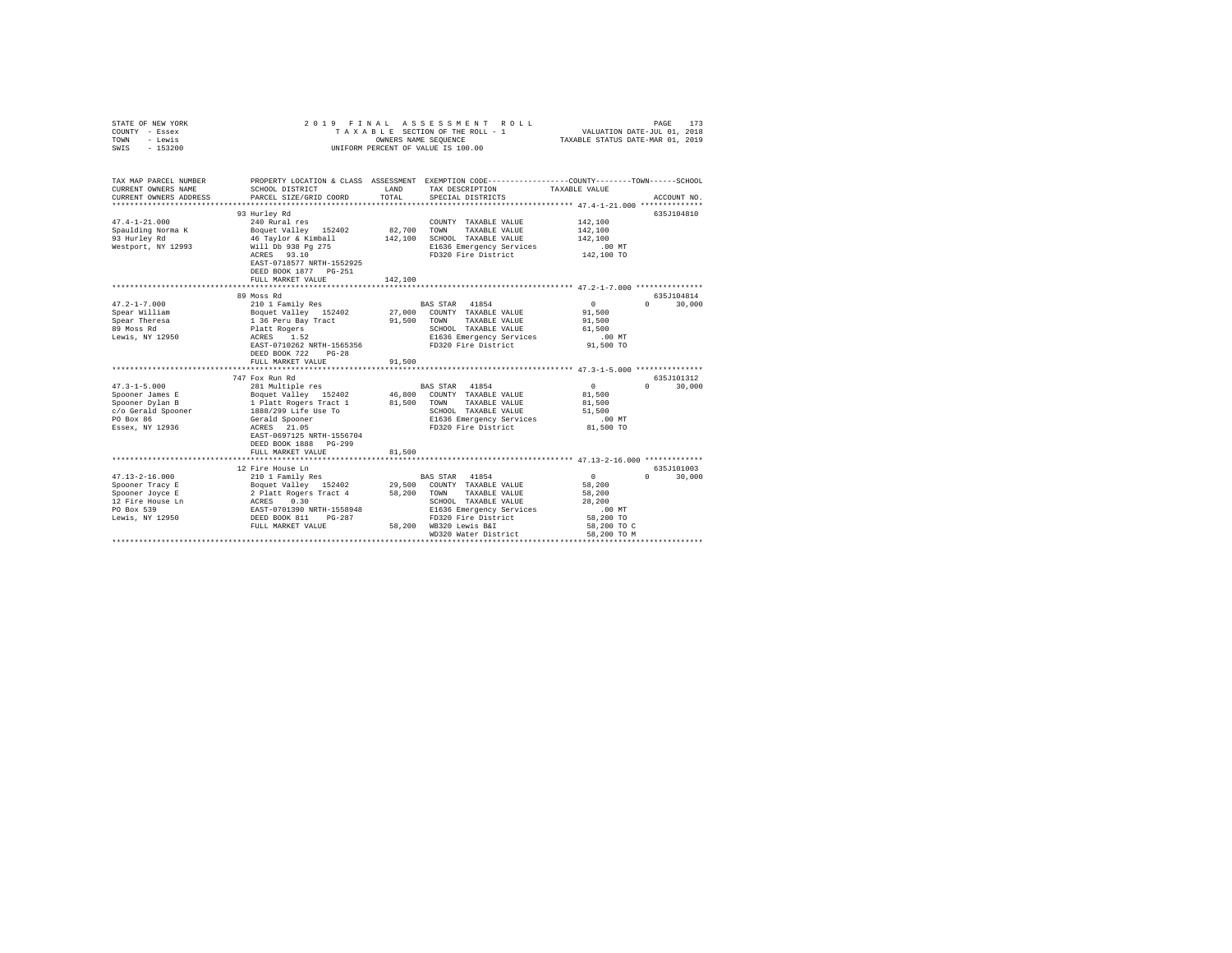| STATE OF NEW YORK<br>COUNTY - Essex<br>TOWN<br>- Lewis<br>$-153200$<br>SWIS | 2019 FINAL                                         | OWNERS NAME SEOUENCE | ASSESSMENT<br>ROLL<br>TAXABLE SECTION OF THE ROLL - 1<br>UNIFORM PERCENT OF VALUE IS 100.00                        | VALUATION DATE-JUL 01, 2018<br>TAXABLE STATUS DATE-MAR 01, 2019 | PAGE<br>173        |
|-----------------------------------------------------------------------------|----------------------------------------------------|----------------------|--------------------------------------------------------------------------------------------------------------------|-----------------------------------------------------------------|--------------------|
| TAX MAP PARCEL NUMBER<br>CURRENT OWNERS NAME                                | SCHOOL DISTRICT                                    | LAND                 | PROPERTY LOCATION & CLASS ASSESSMENT EXEMPTION CODE---------------COUNTY-------TOWN------SCHOOL<br>TAX DESCRIPTION | TAXABLE VALUE                                                   |                    |
| CURRENT OWNERS ADDRESS                                                      | PARCEL SIZE/GRID COORD                             | TOTAL                | SPECIAL DISTRICTS                                                                                                  |                                                                 | ACCOUNT NO.        |
|                                                                             |                                                    |                      |                                                                                                                    |                                                                 |                    |
|                                                                             | 93 Hurley Rd                                       |                      |                                                                                                                    |                                                                 | 635J104810         |
| $47.4 - 1 - 21.000$                                                         | 240 Rural res                                      |                      | COUNTY TAXABLE VALUE                                                                                               | 142,100                                                         |                    |
| Spaulding Norma K<br>93 Hurley Rd                                           | Boquet Valley 152402                               | 82,700<br>142,100    | TAXABLE VALUE<br>TOWN<br>SCHOOL TAXABLE VALUE                                                                      | 142,100<br>142,100                                              |                    |
| Westport, NY 12993                                                          | 46 Taylor & Kimball<br>Will Db 938 Pg 275          |                      | E1636 Emergency Services                                                                                           | .00 MT                                                          |                    |
|                                                                             | ACRES 93.10                                        |                      | FD320 Fire District                                                                                                | 142,100 TO                                                      |                    |
|                                                                             | EAST-0718577 NRTH-1552925                          |                      |                                                                                                                    |                                                                 |                    |
|                                                                             | DEED BOOK 1877 PG-251                              |                      |                                                                                                                    |                                                                 |                    |
|                                                                             | FULL MARKET VALUE                                  | 142,100              |                                                                                                                    |                                                                 |                    |
|                                                                             |                                                    |                      |                                                                                                                    |                                                                 |                    |
|                                                                             | 89 Moss Rd                                         |                      |                                                                                                                    |                                                                 | 635J104814         |
| $47.2 - 1 - 7.000$                                                          | 210 1 Family Res                                   |                      | BAS STAR 41854                                                                                                     | $\sim$ 0                                                        | $\cap$<br>30,000   |
| Spear William                                                               | Boquet Valley 152402                               | 27,000               | COUNTY TAXABLE VALUE                                                                                               | 91,500                                                          |                    |
| Spear Theresa                                                               | 1 36 Peru Bay Tract                                | 91,500               | TOWN<br>TAXABLE VALUE                                                                                              | 91,500                                                          |                    |
| 89 Moss Rd                                                                  | Platt Rogers                                       |                      | SCHOOL TAXABLE VALUE                                                                                               | 61,500                                                          |                    |
| Lewis, NY 12950                                                             | ACRES 1.52<br>EAST-0710262 NRTH-1565356            |                      | E1636 Emergency Services<br>FD320 Fire District                                                                    | $.00$ MT<br>91,500 TO                                           |                    |
|                                                                             | DEED BOOK 722<br>$PG-28$                           |                      |                                                                                                                    |                                                                 |                    |
|                                                                             | FULL MARKET VALUE                                  | 91,500               |                                                                                                                    |                                                                 |                    |
|                                                                             | *********************************                  |                      |                                                                                                                    |                                                                 |                    |
|                                                                             | 747 Fox Run Rd                                     |                      |                                                                                                                    |                                                                 | 635J101312         |
| $47.3 - 1 - 5.000$                                                          | 281 Multiple res                                   |                      | BAS STAR 41854                                                                                                     | $\sim$ 0                                                        | 30,000<br>$\Omega$ |
| Spooner James E                                                             | Boquet Valley 152402                               | 46,800               | COUNTY TAXABLE VALUE                                                                                               | 81,500                                                          |                    |
| Spooner Dylan B                                                             | 1 Platt Rogers Tract 1                             | 81,500               | TAXABLE VALUE<br>TOWN                                                                                              | 81,500                                                          |                    |
| c/o Gerald Spooner                                                          | 1888/299 Life Use To                               |                      | SCHOOL TAXABLE VALUE                                                                                               | 51,500                                                          |                    |
| PO Box 86                                                                   | Gerald Spooner                                     |                      | E1636 Emergency Services                                                                                           | $.00$ MT                                                        |                    |
| Essex, NY 12936                                                             | ACRES 21.05                                        |                      | FD320 Fire District                                                                                                | 81,500 TO                                                       |                    |
|                                                                             | EAST-0697125 NRTH-1556704<br>DEED BOOK 1888 PG-299 |                      |                                                                                                                    |                                                                 |                    |
|                                                                             | FULL MARKET VALUE                                  | 81,500               |                                                                                                                    |                                                                 |                    |
|                                                                             | ********************                               |                      |                                                                                                                    | *************** 47.13-2-16.000 *************                    |                    |
|                                                                             | 12 Fire House Ln                                   |                      |                                                                                                                    |                                                                 | 635J101003         |
| $47.13 - 2 - 16.000$                                                        | 210 1 Family Res                                   |                      | BAS STAR 41854                                                                                                     | $\sim$ 0                                                        | $\Omega$<br>30,000 |
| Spooner Tracy E                                                             | Boquet Valley 152402                               | 29,500               | COUNTY TAXABLE VALUE                                                                                               | 58,200                                                          |                    |
| Spooner Joyce E                                                             | 2 Platt Rogers Tract 4                             | 58,200               | TOWN TAXABLE VALUE                                                                                                 | 58,200                                                          |                    |
| 12 Fire House Ln                                                            | ACRES 0.30<br>EAST-0701390 NRTH-1558948            |                      | SCHOOL TAXABLE VALUE                                                                                               | 28,200                                                          |                    |
| PO Box 539                                                                  |                                                    |                      | E1636 Emergency Services                                                                                           | .00MT                                                           |                    |
| Lewis, NY 12950                                                             | DEED BOOK 811 PG-287                               |                      | FD320 Fire District                                                                                                | 58,200 TO                                                       |                    |
|                                                                             | FULL MARKET VALUE                                  |                      | 58.200 WB320 Lewis B&I                                                                                             | 58,200 TO C                                                     |                    |
|                                                                             |                                                    |                      | WD320 Water District                                                                                               | 58,200 TO M                                                     |                    |
|                                                                             |                                                    |                      |                                                                                                                    |                                                                 |                    |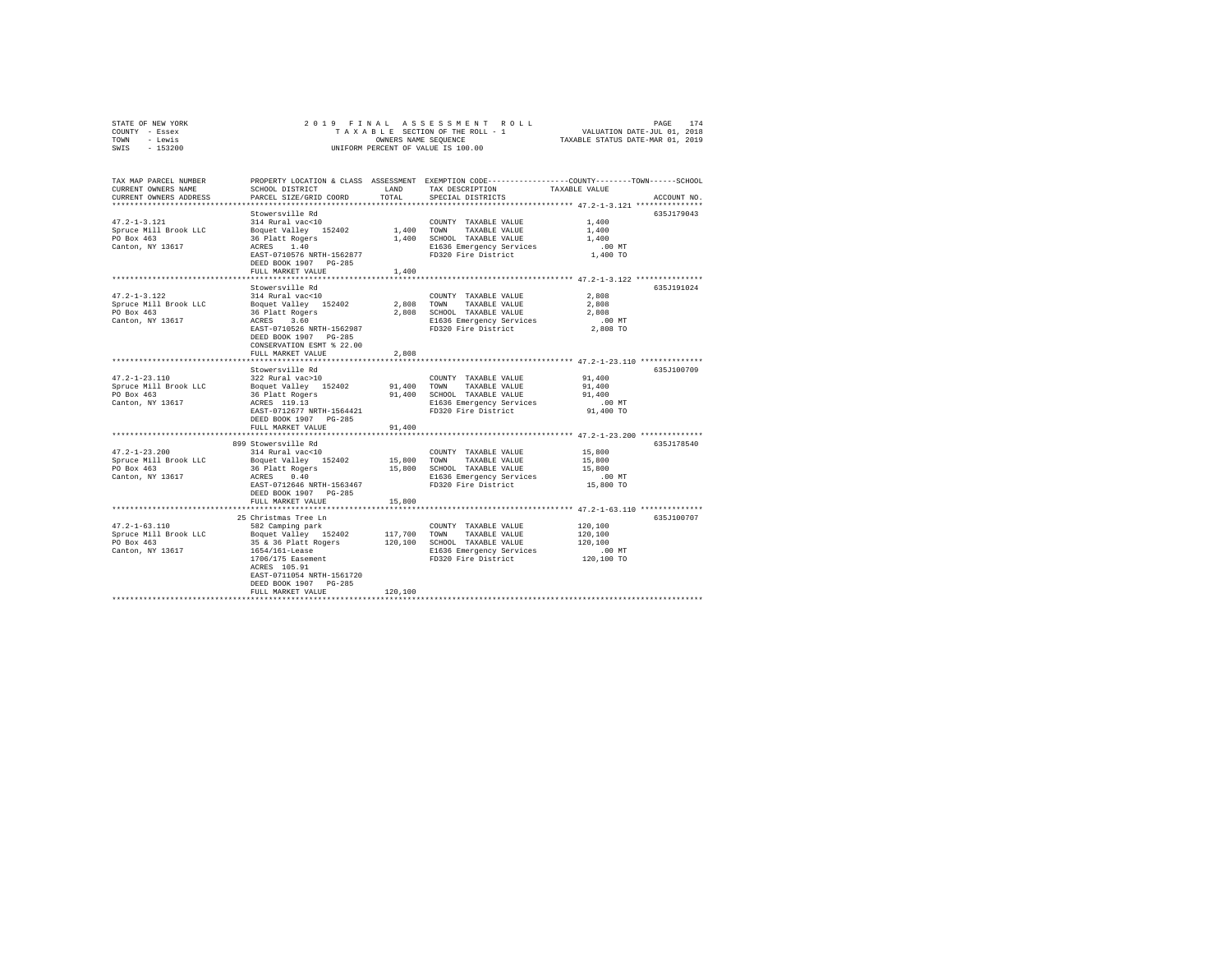|      | STATE OF NEW YORK |  | 2019 FINAL ASSESSMENT ROLL         |                                  | PAGE | 174 |
|------|-------------------|--|------------------------------------|----------------------------------|------|-----|
|      | COUNTY - Essex    |  | TAXABLE SECTION OF THE ROLL - 1    | VALUATION DATE-JUL 01, 2018      |      |     |
| TOWN | - Lewis           |  | OWNERS NAME SEOUENCE               | TAXABLE STATUS DATE-MAR 01, 2019 |      |     |
| SWIS | - 153200          |  | UNIFORM PERCENT OF VALUE IS 100.00 |                                  |      |     |

| TAX MAP PARCEL NUMBER<br>CURRENT OWNERS NAME<br>CURRENT OWNERS ADDRESS | SCHOOL DISTRICT<br>PARCEL SIZE/GRID COORD | <b>T.AND</b><br>TOTAL | PROPERTY LOCATION & CLASS ASSESSMENT EXEMPTION CODE---------------COUNTY-------TOWN-----SCHOOL<br>TAX DESCRIPTION<br>SPECIAL DISTRICTS | TAXABLE VALUE                              | ACCOUNT NO. |
|------------------------------------------------------------------------|-------------------------------------------|-----------------------|----------------------------------------------------------------------------------------------------------------------------------------|--------------------------------------------|-------------|
| **********************                                                 | **************************                |                       |                                                                                                                                        |                                            |             |
|                                                                        | Stowersville Rd                           |                       |                                                                                                                                        |                                            | 635J179043  |
| $47.2 - 1 - 3.121$                                                     | 314 Rural vac<10                          |                       | COUNTY TAXABLE VALUE                                                                                                                   | 1,400                                      |             |
| Spruce Mill Brook LLC                                                  | Boquet Valley 152402                      |                       | 1,400 TOWN<br>TAXABLE VALUE                                                                                                            | 1,400                                      |             |
| PO Box 463                                                             | 36 Platt Rogers                           |                       | 1,400 SCHOOL TAXABLE VALUE                                                                                                             | 1,400                                      |             |
| Canton, NY 13617                                                       | ACRES 1.40                                |                       | E1636 Emergency Services                                                                                                               | $.00$ MT                                   |             |
|                                                                        | EAST-0710576 NRTH-1562877                 |                       | FD320 Fire District                                                                                                                    | 1,400 TO                                   |             |
|                                                                        | DEED BOOK 1907 PG-285                     |                       |                                                                                                                                        |                                            |             |
|                                                                        | FULL MARKET VALUE                         | 1,400                 |                                                                                                                                        |                                            |             |
|                                                                        |                                           |                       |                                                                                                                                        |                                            |             |
|                                                                        | Stowersville Rd                           |                       |                                                                                                                                        |                                            | 635J191024  |
| $47.2 - 1 - 3.122$                                                     | 314 Rural vac<10                          |                       | COUNTY TAXABLE VALUE                                                                                                                   | 2,808                                      |             |
| Spruce Mill Brook LLC                                                  | Boquet Valley 152402                      |                       | 2,808 TOWN<br>TAXABLE VALUE                                                                                                            | 2,808                                      |             |
| PO Box 463                                                             | 36 Platt Rogers                           | 2,808                 | SCHOOL TAXABLE VALUE                                                                                                                   | 2,808                                      |             |
| Canton, NY 13617                                                       | 3.60<br>ACRES                             |                       | E1636 Emergency Services                                                                                                               | .00 MT                                     |             |
|                                                                        | EAST-0710526 NRTH-1562987                 |                       | FD320 Fire District                                                                                                                    | 2,808 TO                                   |             |
|                                                                        | DEED BOOK 1907 PG-285                     |                       |                                                                                                                                        |                                            |             |
|                                                                        | CONSERVATION ESMT % 22.00                 |                       |                                                                                                                                        |                                            |             |
|                                                                        | FULL MARKET VALUE                         | 2,808                 |                                                                                                                                        |                                            |             |
|                                                                        | ****************                          |                       |                                                                                                                                        | *************** 47.2-1-23.110 ************ |             |
|                                                                        | Stowersville Rd                           |                       |                                                                                                                                        |                                            | 635J100709  |
| $47.2 - 1 - 23.110$                                                    | 322 Rural vac>10                          |                       | COUNTY TAXABLE VALUE                                                                                                                   | 91,400                                     |             |
| Spruce Mill Brook LLC                                                  | Boquet Valley 152402                      | 91,400                | TOWN<br>TAXABLE VALUE                                                                                                                  | 91,400                                     |             |
| PO Box 463                                                             | 36 Platt Rogers                           | 91,400                | SCHOOL TAXABLE VALUE                                                                                                                   | 91,400                                     |             |
| Canton, NY 13617                                                       | ACRES 119.13                              |                       | E1636 Emergency Services                                                                                                               | .00 MT                                     |             |
|                                                                        | EAST-0712677 NRTH-1564421                 |                       | FD320 Fire District                                                                                                                    | 91,400 TO                                  |             |
|                                                                        | DEED BOOK 1907 PG-285                     |                       |                                                                                                                                        |                                            |             |
|                                                                        | FULL MARKET VALUE                         | 91,400                |                                                                                                                                        |                                            |             |
|                                                                        |                                           |                       |                                                                                                                                        |                                            |             |
|                                                                        | 899 Stowersville Rd                       |                       |                                                                                                                                        |                                            | 635J178540  |
| $47.2 - 1 - 23.200$                                                    | 314 Rural vac<10                          |                       | COUNTY TAXABLE VALUE                                                                                                                   | 15,800                                     |             |
| Spruce Mill Brook LLC                                                  | Boquet Valley 152402                      | 15,800                | TOWN<br>TAXABLE VALUE                                                                                                                  | 15,800                                     |             |
| PO Box 463                                                             | 36 Platt Rogers                           | 15,800                | SCHOOL TAXABLE VALUE                                                                                                                   | 15,800                                     |             |
| Canton, NY 13617                                                       | ACRES<br>0.40                             |                       | E1636 Emergency Services                                                                                                               | $.00$ MT                                   |             |
|                                                                        | EAST-0712646 NRTH-1563467                 |                       | FD320 Fire District                                                                                                                    | 15,800 TO                                  |             |
|                                                                        | DEED BOOK 1907 PG-285                     |                       |                                                                                                                                        |                                            |             |
|                                                                        | FULL MARKET VALUE                         | 15,800                |                                                                                                                                        |                                            |             |
|                                                                        |                                           |                       | ********************************** 47.2-1-63.110 ***************                                                                       |                                            |             |
|                                                                        | 25 Christmas Tree Ln                      |                       |                                                                                                                                        |                                            | 635J100707  |
| $47.2 - 1 - 63.110$                                                    | 582 Camping park                          |                       | COUNTY TAXABLE VALUE                                                                                                                   | 120,100                                    |             |
| Spruce Mill Brook LLC                                                  | Boquet Valley 152402                      | 117,700               | TOWN<br>TAXABLE VALUE                                                                                                                  | 120,100                                    |             |
| PO Box 463                                                             | 35 & 36 Platt Rogers                      | 120,100               | SCHOOL TAXABLE VALUE                                                                                                                   | 120,100                                    |             |
| Canton, NY 13617                                                       | 1654/161-Lease                            |                       | E1636 Emergency Services                                                                                                               | .00 MT                                     |             |
|                                                                        | 1706/175 Easement                         |                       | FD320 Fire District                                                                                                                    | 120,100 TO                                 |             |
|                                                                        | ACRES 105.91                              |                       |                                                                                                                                        |                                            |             |
|                                                                        | EAST-0711054 NRTH-1561720                 |                       |                                                                                                                                        |                                            |             |
|                                                                        | DEED BOOK 1907 PG-285                     |                       |                                                                                                                                        |                                            |             |
|                                                                        | FULL MARKET VALUE                         | 120,100               |                                                                                                                                        |                                            |             |
|                                                                        |                                           |                       |                                                                                                                                        |                                            |             |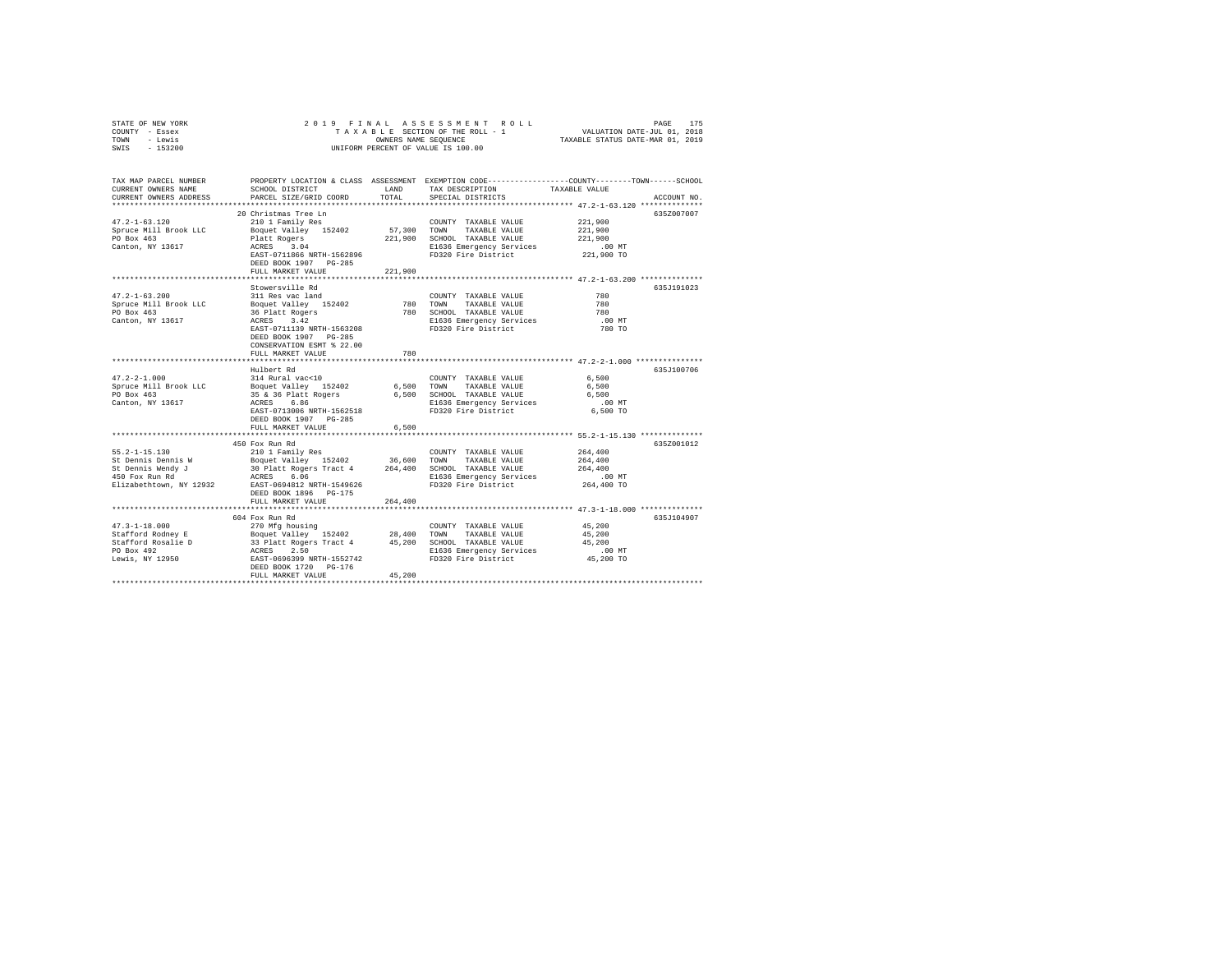| STATE OF NEW YORK<br>COUNTY - Essex<br>- Lewis<br>TOWN<br>SWIS<br>$-153200$                                 | 2019 FINAL                                                                                                                                                                                                         | OWNERS NAME SEQUENCE         | ASSESSMENT ROLL<br>TAXABLE SECTION OF THE ROLL - 1<br>UNIFORM PERCENT OF VALUE IS 100.00                                       | PAGE<br>VALUATION DATE-JUL 01, 2018<br>TAXABLE STATUS DATE-MAR 01, 2019                                         | 175         |
|-------------------------------------------------------------------------------------------------------------|--------------------------------------------------------------------------------------------------------------------------------------------------------------------------------------------------------------------|------------------------------|--------------------------------------------------------------------------------------------------------------------------------|-----------------------------------------------------------------------------------------------------------------|-------------|
| TAX MAP PARCEL NUMBER<br>CURRENT OWNERS NAME<br>CURRENT OWNERS ADDRESS                                      | SCHOOL DISTRICT<br>PARCEL SIZE/GRID COORD                                                                                                                                                                          | LAND<br>TOTAL                | TAX DESCRIPTION<br>SPECIAL DISTRICTS                                                                                           | PROPERTY LOCATION & CLASS ASSESSMENT EXEMPTION CODE---------------COUNTY-------TOWN-----SCHOOL<br>TAXABLE VALUE | ACCOUNT NO. |
| $47.2 - 1 - 63.120$<br>Spruce Mill Brook LLC<br>PO Box 463<br>Canton, NY 13617                              | 20 Christmas Tree Ln<br>210 1 Family Res<br>Boquet Valley 152402<br>Platt Rogers<br>ACRES 3.04<br>EAST-0711866 NRTH-1562896<br>DEED BOOK 1907 PG-285<br>FULL MARKET VALUE                                          | 57,300<br>221,900<br>221,900 | COUNTY TAXABLE VALUE<br>TOWN<br>TAXABLE VALUE<br>SCHOOL TAXABLE VALUE<br>E1636 Emergency Services<br>FD320 Fire District       | 221,900<br>221,900<br>221,900<br>$.00$ MT<br>221,900 TO                                                         | 635Z007007  |
| $47.2 - 1 - 63.200$<br>Spruce Mill Brook LLC<br>PO Box 463<br>Canton, NY 13617                              | Stowersville Rd<br>311 Res vac land<br>Boquet Valley 152402<br>36 Platt Rogers<br>ACRES 3.42<br>ACRES 3.42<br>EAST-0711139 NRTH-1563208<br>DEED BOOK 1907 PG-285<br>CONSERVATION ESMT % 22.00<br>FULL MARKET VALUE | 780<br>780                   | COUNTY TAXABLE VALUE<br>TOWN<br>TAXABLE VALUE<br>780 SCHOOL TAXABLE VALUE<br>E1636 Emergency Services<br>FD320 Fire District   | ***************************** 47.2-1-63.200 **************<br>780<br>780<br>780<br>$.00$ MT<br>780 TO           | 635J191023  |
| $47.2 - 2 - 1.000$<br>Spruce Mill Brook LLC<br>PO Box 463<br>Canton, NY 13617                               | Hulbert Rd<br>314 Rural vac<10<br>Boquet Valley 152402<br>35 & 36 Platt Rogers<br>ACRES<br>6.86<br>EAST-0713006 NRTH-1562518<br>DEED BOOK 1907 PG-285<br>FULL MARKET VALUE                                         | 6,500<br>6.500               | COUNTY TAXABLE VALUE<br>TAXABLE VALUE<br>TOWN<br>6,500 SCHOOL TAXABLE VALUE<br>E1636 Emergency Services<br>FD320 Fire District | 6.500<br>6.500<br>6.500<br>$.00$ MT<br>6,500 TO                                                                 | 635J100706  |
| $55.2 - 1 - 15.130$<br>St Dennis Dennis W<br>St Dennis Wendy J<br>450 Fox Run Rd<br>Elizabethtown, NY 12932 | 450 Fox Run Rd<br>210 1 Family Res<br>Boquet Valley 152402<br>30 Platt Rogers Tract 4<br>ACRES<br>6.06<br>EAST-0694812 NRTH-1549626<br>DEED BOOK 1896 PG-175<br>FULL MARKET VALUE                                  | 36,600<br>264,400<br>264,400 | COUNTY TAXABLE VALUE<br>TOWN<br>TAXABLE VALUE<br>SCHOOL TAXABLE VALUE<br>E1636 Emergency Services<br>FD320 Fire District       | 264,400<br>264,400<br>264,400<br>$.00$ MT<br>264,400 TO                                                         | 635Z001012  |
| $47.3 - 1 - 18.000$<br>Stafford Rodney E<br>Stafford Rosalie D<br>PO Box 492<br>Lewis, NY 12950             | 604 Fox Run Rd<br>270 Mfg housing<br>Boquet Valley 152402<br>33 Platt Rogers Tract 4<br>ACRES<br>2.50<br>EAST-0696399 NRTH-1552742<br>DEED BOOK 1720 PG-176<br>FULL MARKET VALUE                                   | 28,400<br>45,200<br>45,200   | COUNTY TAXABLE VALUE<br>TOWN<br>TAXABLE VALUE<br>SCHOOL TAXABLE VALUE<br>E1636 Emergency Services<br>FD320 Fire District       | 45,200<br>45,200<br>45,200<br>.00MT<br>45,200 TO                                                                | 635J104907  |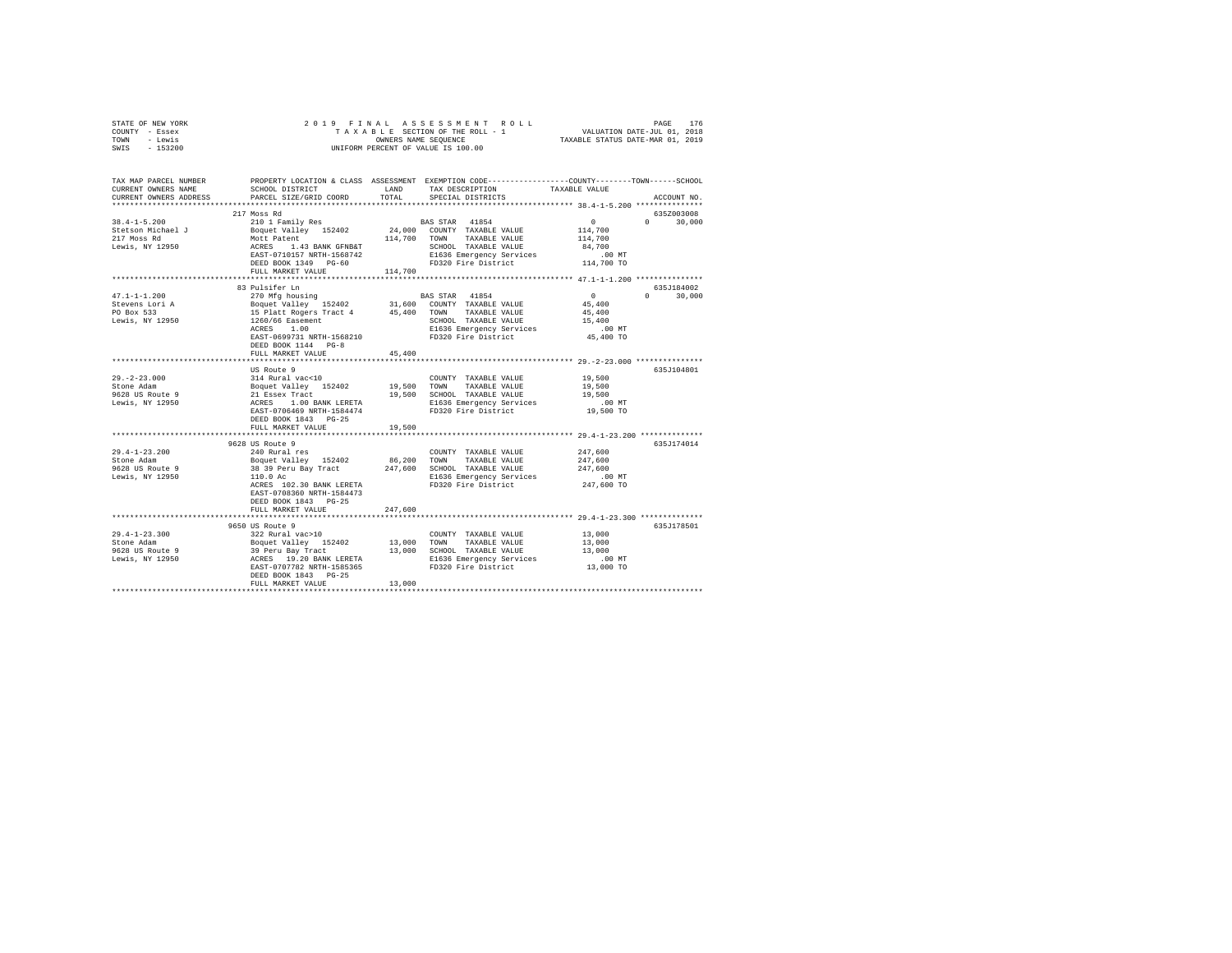| STATE OF NEW YORK<br>COUNTY<br>- Essex<br>- Lewis<br>TOWN<br>$-153200$<br>SWIS |                                                                        |                              | 2019 FINAL ASSESSMENT ROLL<br>TAXABLE SECTION OF THE ROLL - 1<br>OWNERS NAME SEOUENCE<br>UNIFORM PERCENT OF VALUE IS 100.00 |               | 176<br>PAGE<br>VALUATION DATE-JUL 01, 2018<br>TAXABLE STATUS DATE-MAR 01, 2019 |
|--------------------------------------------------------------------------------|------------------------------------------------------------------------|------------------------------|-----------------------------------------------------------------------------------------------------------------------------|---------------|--------------------------------------------------------------------------------|
| TAX MAP PARCEL NUMBER<br>CURRENT OWNERS NAME<br>CURRENT OWNERS ADDRESS         | PROPERTY LOCATION & CLASS<br>SCHOOL DISTRICT<br>PARCEL SIZE/GRID COORD | ASSESSMENT<br>LAND<br>TOTAL. | EXEMPTION CODE-----------------COUNTY-------TOWN------SCHOOL<br>TAX DESCRIPTION<br>SPECIAL DISTRICTS                        | TAXABLE VALUE | ACCOUNT NO.                                                                    |

|                                                                           |                                                                                                                                                                                                                                                                                                                |         | *********************************** 38.4-1-5.200 ****************                                                                            |                                                                  |                                  |
|---------------------------------------------------------------------------|----------------------------------------------------------------------------------------------------------------------------------------------------------------------------------------------------------------------------------------------------------------------------------------------------------------|---------|----------------------------------------------------------------------------------------------------------------------------------------------|------------------------------------------------------------------|----------------------------------|
|                                                                           | 217 Moss Rd                                                                                                                                                                                                                                                                                                    |         |                                                                                                                                              |                                                                  | 635Z003008                       |
| $38.4 - 1 - 5.200$<br>Stetson Michael J<br>217 Moss Rd<br>Lewis, NY 12950 | 210 1 Family Res<br>Boquet Valley 152402 24,000 COUNTY TAXABLE VALUE<br>Mott Patent 114,700 TOWN TAXABLE VALUE<br>ACRES 1.43 BANK GFNB&T SCHOOL TAXABLE VALUE<br>EAST-0710157 NRTH-1568742<br>DEED BOOK 1349 PG-60<br>FULL MARKET VALUE                                                                        | 114,700 | BAS STAR 41854<br>SCHOOL TAXABLE VALUE 84,700<br>E1636 Emergency Services 10.00 MT<br>FD320 Fire District 114,700 TO                         | $\begin{array}{c} 0 \\ 114 \, , 700 \\ 114 \, , 700 \end{array}$ | $\Omega$<br>30,000               |
|                                                                           |                                                                                                                                                                                                                                                                                                                |         |                                                                                                                                              |                                                                  |                                  |
| $47.1 - 1 - 1.200$<br>Stevens Lori A<br>PO Box 533<br>Lewis, NY 12950     | 83 Pulsifer Ln<br>15 Platt Rogers Tract 4 45,400 TOWN TAXABLE VALUE<br>1260/66 Easement<br>ACRES 1.00<br>DEED BOOK 1144 PG-8<br>FULL MARKET VALUE                                                                                                                                                              | 45,400  | BAS STAR 41854<br>SCHOOL TAXABLE VALUE 15,400<br>E1636 Emergency Services .00 MT<br>EAST-0699731 NRTH-1568210 FD320 Fire District 45,400 TO  | $\sim$ 0<br>$0$<br>45,400<br>45,400                              | 635J184002<br>30,000<br>$\Omega$ |
|                                                                           |                                                                                                                                                                                                                                                                                                                |         |                                                                                                                                              |                                                                  |                                  |
| $29. -2 - 23.000$<br>Stone Adam<br>9628 US Route 9<br>Lewis, NY 12950     | US Route 9<br>$\begin{tabular}{llllll} 314~Rural & vac<10 & & \text{COUNT} \\ \text{Boguet Valley} & 152402 & & 19,500 & TOMN \\ 21~Essex~Tract & & & 19,500 & SCHOOL \\ \text{ACRES} & 1.00~BANK~LERETA & & E1636 \\ \end{tabular}$<br>EAST-0706469 NRTH-1584474<br>DEED BOOK 1843 PG-25<br>FULL MARKET VALUE | 19,500  | COUNTY TAXABLE VALUE<br>TAXABLE VALUE 19,500<br>19,500 SCHOOL TAXABLE VALUE 19,500<br>E1636 Emergency Services .00 MT<br>FD320 Fire District | 19,500<br>19,500 TO                                              | 635J104801                       |
|                                                                           | 9628 US Route 9                                                                                                                                                                                                                                                                                                |         |                                                                                                                                              |                                                                  | 635J174014                       |
| $29.4 - 1 - 23.200$<br>Stone Adam<br>9628 US Route 9<br>Lewis, NY 12950   | EAST-0708360 NRTH-1584473<br>DEED BOOK 1843 PG-25<br>FULL MARKET VALUE                                                                                                                                                                                                                                         | 247,600 | ********************************** 29.4-1-23.300 *************                                                                               |                                                                  |                                  |
|                                                                           | 9650 US Route 9                                                                                                                                                                                                                                                                                                |         |                                                                                                                                              |                                                                  | 635J178501                       |
| $29.4 - 1 - 23.300$                                                       | 322 Rural vac>10<br>EAST-0707782 NRTH-1585365<br>DEED BOOK 1843 PG-25<br>FULL MARKET VALUE                                                                                                                                                                                                                     | 13,000  | COUNTY TAXABLE VALUE 13,000                                                                                                                  |                                                                  |                                  |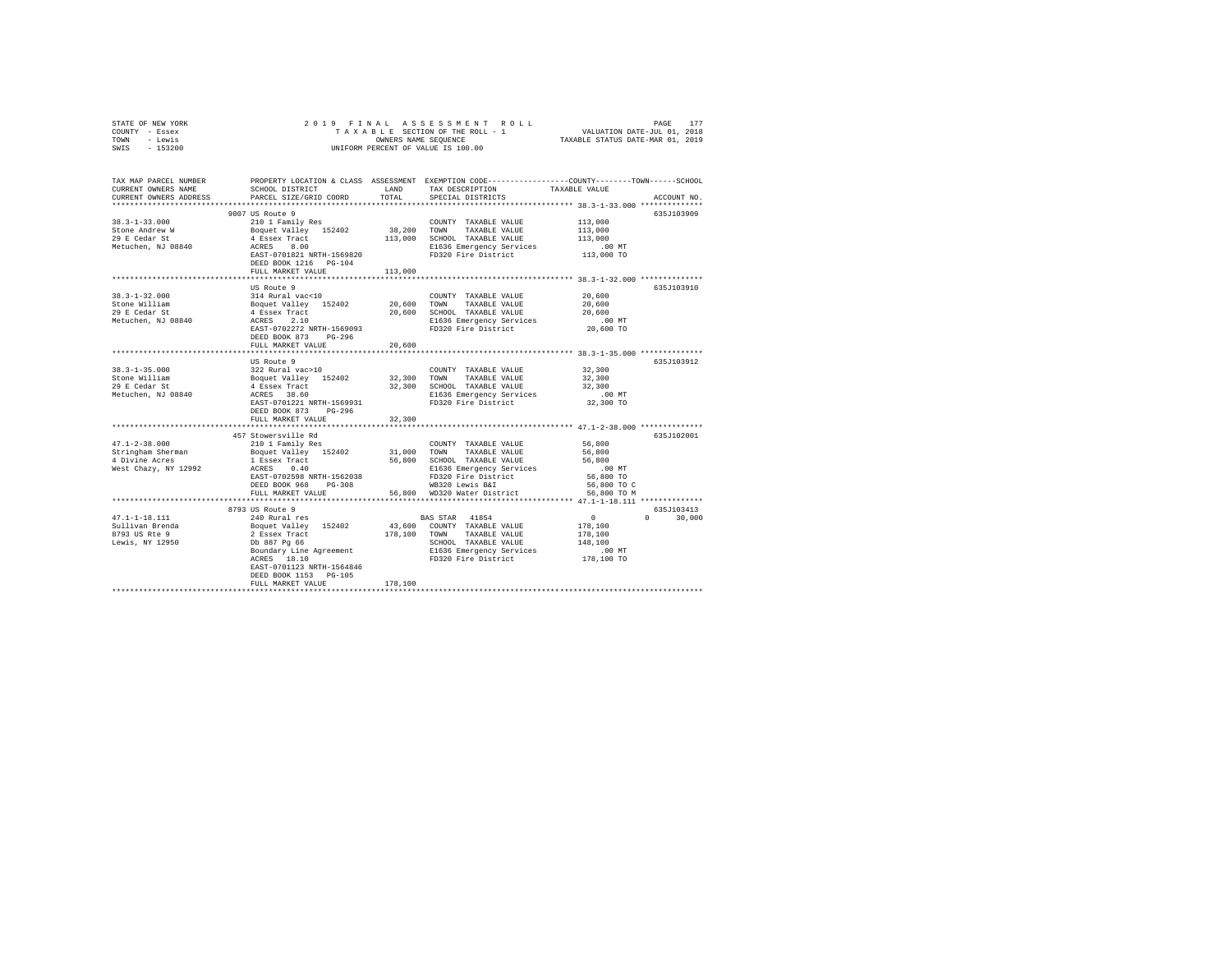| STATE OF NEW YORK<br>COUNTY - Essex<br>TOWN - Lewis<br>SWIS - 153200                                                                                                                               | 2019 FINAL                                                                                                                                                                                            |         | 19 FINAL ASSESSMENT ROLL PAGE 177<br>TAXABLE SECTION OF THE ROLL - 1 VALUATION DATE-JUL 01, 2018<br>OWNERS NAME SEQUENCE TAXABLE STATUS DATE-MAR 01, 2019<br>OWNERS NAME SEQUENCE<br>UNIFORM PERCENT OF VALUE IS 100.00 |                                                                                   |                             |
|----------------------------------------------------------------------------------------------------------------------------------------------------------------------------------------------------|-------------------------------------------------------------------------------------------------------------------------------------------------------------------------------------------------------|---------|-------------------------------------------------------------------------------------------------------------------------------------------------------------------------------------------------------------------------|-----------------------------------------------------------------------------------|-----------------------------|
| TAX MAP PARCEL NUMBER PROPERTY LOCATION & CLASS ASSESSMENT EXEMPTION CODE---------------COUNTY-------TOWN------SCHOOL<br>CURRENT OWNERS NAME<br>CURRENT OWNERS ADDRESS<br>************************ | SCHOOL DISTRICT LAND<br>PARCEL SIZE/GRID COORD                                                                                                                                                        | TOTAL   | TAX DESCRIPTION<br>SPECIAL DISTRICTS                                                                                                                                                                                    | TAXABLE VALUE                                                                     | ACCOUNT NO.                 |
|                                                                                                                                                                                                    | 9007 US Route 9                                                                                                                                                                                       |         |                                                                                                                                                                                                                         |                                                                                   | 635J103909                  |
| $38.3 - 1 - 33.000$<br>Stone Andrew W<br>29 E Cedar St<br>Metuchen, NJ 08840                                                                                                                       | 210 1 Family Res<br>EAST-0701821 NRTH-1569820<br>DEED BOOK 1216    PG-104<br>FULL MARKET VALUE                                                                                                        | 113,000 | COUNTY TAXABLE VALUE<br>$38,200$ TOWN TAXABLE VALUE<br>113,000 SCHOOL TAXABLE VALUE<br>TAXABLE VALUE<br>E1636 Emergency Services .00 MT<br>FD320 Fire District  113,000 TO                                              | 113,000<br>113,000<br>113,000                                                     |                             |
|                                                                                                                                                                                                    |                                                                                                                                                                                                       |         |                                                                                                                                                                                                                         |                                                                                   |                             |
| $38.3 - 1 - 32.000$<br>Stone William<br>29 E Cedar St<br>Metuchen, NJ 08840                                                                                                                        | US Route 9<br>314 Rural vac<10<br>Boquet Valley<br>Boquet Valley 152402<br>4 Essex Tract<br>ACRES 2.10<br>EAST-0702272 NRTH-1569093<br>EAST-0702272 NRTH-1569093<br>DEED BOOK 873 PG-296              |         | COUNTY TAXABLE VALUE<br>20,600 TOWN TAXABLE VALUE<br>20,600 SCHOOL TAXABLE VALUE<br>E1636 Emergency Services<br>FD320 Fire District                                                                                     | 20,600<br>20,600<br>20,600<br>00 MT.<br>20,600 TO                                 | 635J103910                  |
|                                                                                                                                                                                                    | FULL MARKET VALUE                                                                                                                                                                                     | 20,600  |                                                                                                                                                                                                                         |                                                                                   |                             |
| $38.3 - 1 - 35.000$<br>Stone William<br>29 E Cedar St<br>Metuchen, NJ 08840                                                                                                                        | US Route 9<br>322 Rural vac>10<br>322 Rural vac>10<br>Boquet Valley 152402<br>4 Essex Tract<br>ACRES 38.60<br>EAST-0701221 NRTH-1569931<br>DEED BOOK 873 PG-296                                       |         | ********************************* 38.3-1-35.000 **************<br>COUNTY TAXABLE VALUE<br>32,300 TOWN TAXABLE VALUE<br>32,300 SCHOOL TAXABLE VALUE<br>E1636 Emergency Services<br>FD320 Fire District                   | 32,300<br>32,300<br>32,300<br>00 MT.<br>32,300 TO                                 | 635J103912                  |
|                                                                                                                                                                                                    | FULL MARKET VALUE                                                                                                                                                                                     | 32,300  |                                                                                                                                                                                                                         |                                                                                   |                             |
| $47.1 - 2 - 38.000$<br>47.1-4-30.000<br>4 Divine Acres<br>West Chazy, NY 12992                                                                                                                     | 457 Stowersville Rd<br>210 1 Family Res<br>EAST-0702598 NRTH-1562038<br>DEED BOOK 968 PG-308<br>FULL MARKET VALUE                                                                                     |         | COUNTY TAXABLE VALUE                                                                                                                                                                                                    | 56,800<br>56,800<br>56,800<br>$.00$ MT<br>56,800 TO<br>56,800 TO C<br>56,800 TO M | 635J102001                  |
|                                                                                                                                                                                                    |                                                                                                                                                                                                       |         |                                                                                                                                                                                                                         |                                                                                   |                             |
| $47.1 - 1 - 18.111$<br>Sullivan Brenda<br>8793 US Rte 9<br>Lewis, NY 12950                                                                                                                         | - ------- ,<br>240 Rural res<br>Boquet Valley 152402 43,600 COUNTY TAXABLE VALUE 2 Essex Tract<br>2 Essex Tract 178,100 TOMN TAXABLE VALUE Db 887 Pg 66<br>DEED BOOK 1153 PG-105<br>FULL MARKET VALUE | 178,100 | 2 Essex Tract<br>Db 887 Pg 66<br>Boundary Line Agreement<br>FD320 Fire District 278,100 TO<br>PD320 Fire District 278,100 TO                                                                                            | $\sim$ 0<br>178,100<br>178,100                                                    | 635J103413<br>$0 \t 30,000$ |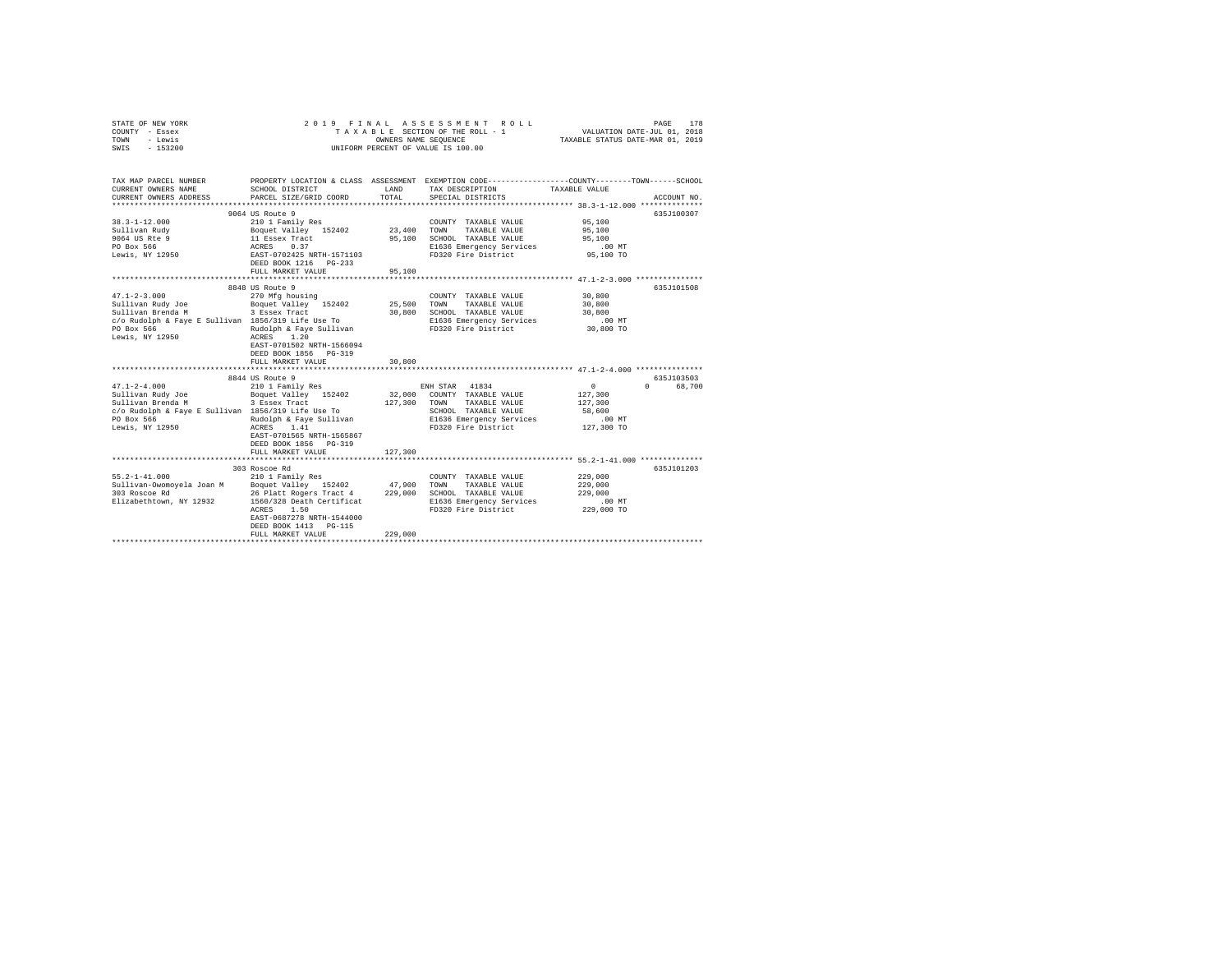| STATE OF NEW YORK<br>COUNTY - Essex<br>TOWN<br>- Lewis<br>SWIS - 153200                 | 2019 FINAL<br>ASSESSMENT ROLL<br>TAXABLE SECTION OF THE ROLL - 1<br>OWNERS NAME SEOUENCE<br>UNIFORM PERCENT OF VALUE IS 100.00 |         |                                                  | 178<br>PAGE<br>VALUATION DATE-JUL 01, 2018<br>TAXABLE STATUS DATE-MAR 01, 2019                                   |  |
|-----------------------------------------------------------------------------------------|--------------------------------------------------------------------------------------------------------------------------------|---------|--------------------------------------------------|------------------------------------------------------------------------------------------------------------------|--|
| TAX MAP PARCEL NUMBER<br>CURRENT OWNERS NAME                                            | SCHOOL DISTRICT                                                                                                                | LAND    | TAX DESCRIPTION                                  | PROPERTY LOCATION & CLASS ASSESSMENT EXEMPTION CODE---------------COUNTY-------TOWN------SCHOOL<br>TAXABLE VALUE |  |
| CURRENT OWNERS ADDRESS                                                                  | PARCEL SIZE/GRID COORD                                                                                                         | TOTAL   | SPECIAL DISTRICTS                                | ACCOUNT NO.                                                                                                      |  |
|                                                                                         | 9064 US Route 9                                                                                                                |         |                                                  | 635J100307                                                                                                       |  |
| $38.3 - 1 - 12.000$                                                                     | 210 1 Family Res                                                                                                               |         | COUNTY TAXABLE VALUE                             | 95,100                                                                                                           |  |
| Sullivan Rudv                                                                           | Por - Terming 152402<br>Boquet Valley 152402<br>11 Essex Tract<br>ACRES 0.37<br>EAST-0702425 NRTH-1571103                      | 23,400  | TOWN<br>TAXABLE VALUE                            | 95,100                                                                                                           |  |
| 9064 US Rte 9                                                                           |                                                                                                                                | 95,100  | SCHOOL TAXABLE VALUE                             | 95,100                                                                                                           |  |
| PO Box 566                                                                              |                                                                                                                                |         | E1636 Emergency Services                         | $.00$ MT                                                                                                         |  |
| Lewis, NY 12950                                                                         |                                                                                                                                |         | FD320 Fire District                              | 95,100 TO                                                                                                        |  |
|                                                                                         | DEED BOOK 1216 PG-233                                                                                                          |         |                                                  |                                                                                                                  |  |
|                                                                                         | FULL MARKET VALUE                                                                                                              | 95,100  |                                                  |                                                                                                                  |  |
|                                                                                         |                                                                                                                                |         |                                                  |                                                                                                                  |  |
|                                                                                         | 8848 US Route 9                                                                                                                |         |                                                  | 635J101508                                                                                                       |  |
| $47.1 - 2 - 3.000$                                                                      | 270 Mfg housing                                                                                                                |         | COUNTY TAXABLE VALUE                             | 30,800                                                                                                           |  |
| Sullivan Rudy Joe Boquet Valley 152402                                                  | 3 Essex Tract                                                                                                                  | 25,500  | TOWN<br>TAXABLE VALUE                            | 30,800<br>30,800                                                                                                 |  |
| Sullivan Brenda M<br>c/o Rudolph & Faye E Sullivan 1856/319 Life Use To                 |                                                                                                                                | 30,800  | SCHOOL TAXABLE VALUE<br>E1636 Emergency Services | .00MT                                                                                                            |  |
| PO Box 566                                                                              | Rudolph & Faye Sullivan                                                                                                        |         | FD320 Fire District                              | $30,800$ TO                                                                                                      |  |
| Lewis, NY 12950                                                                         | ACRES 1.20<br>EAST-0701502 NRTH-1566094<br>DEED BOOK 1856 PG-319                                                               |         |                                                  |                                                                                                                  |  |
|                                                                                         | FULL MARKET VALUE                                                                                                              | 30,800  |                                                  |                                                                                                                  |  |
|                                                                                         |                                                                                                                                |         |                                                  |                                                                                                                  |  |
|                                                                                         | 8844 US Route 9<br>210 1 Family Res                                                                                            |         |                                                  | 635J103503                                                                                                       |  |
| $47.1 - 2 - 4.000$                                                                      |                                                                                                                                |         | ENH STAR 41834<br>32,000 COUNTY TAXABLE VALUE    | $\sim$ 0<br>$\Omega$<br>68,700                                                                                   |  |
|                                                                                         |                                                                                                                                |         | 127,300 TOWN TAXABLE VALUE                       | 127,300<br>127,300                                                                                               |  |
|                                                                                         |                                                                                                                                |         | SCHOOL TAXABLE VALUE                             | 58,600                                                                                                           |  |
|                                                                                         |                                                                                                                                |         | E1636 Emergency Services                         | .00 MT                                                                                                           |  |
| Lewis, NY 12950                                                                         | ACRES 1.41<br>EAST-0701565 NRTH-1565867                                                                                        |         | FD320 Fire District                              | 127,300 TO                                                                                                       |  |
|                                                                                         | DEED BOOK 1856 PG-319                                                                                                          |         |                                                  |                                                                                                                  |  |
|                                                                                         | FULL MARKET VALUE                                                                                                              | 127,300 |                                                  |                                                                                                                  |  |
|                                                                                         | 303 Roscoe Rd                                                                                                                  |         |                                                  | ***************** 55.2-1-41.000 **************<br>635J101203                                                     |  |
| $55.2 - 1 - 41.000$                                                                     | 210 1 Family Res                                                                                                               |         | COUNTY TAXABLE VALUE                             | 229,000                                                                                                          |  |
|                                                                                         |                                                                                                                                | 47,900  | TOWN<br>TAXABLE VALUE                            | 229,000                                                                                                          |  |
| Sullivan-Owomoyela Joan M Boquet Valley 152402<br>303 Roscoe Rd 26 Platt Rogers Tract 4 | 26 Platt Rogers Tract 4                                                                                                        | 229,000 | SCHOOL TAXABLE VALUE                             | 229,000                                                                                                          |  |
| Elizabethtown, NY 12932                                                                 | 1560/328 Death Certificat                                                                                                      |         | E1636 Emergency Services                         | $.00$ MT                                                                                                         |  |
|                                                                                         | 1.50<br>ACRES                                                                                                                  |         | FD320 Fire District                              | 229,000 TO                                                                                                       |  |
|                                                                                         | EAST-0687278 NRTH-1544000                                                                                                      |         |                                                  |                                                                                                                  |  |
|                                                                                         | DEED BOOK 1413 PG-115                                                                                                          |         |                                                  |                                                                                                                  |  |
|                                                                                         | FULL MARKET VALUE                                                                                                              | 229,000 |                                                  |                                                                                                                  |  |
|                                                                                         |                                                                                                                                |         |                                                  |                                                                                                                  |  |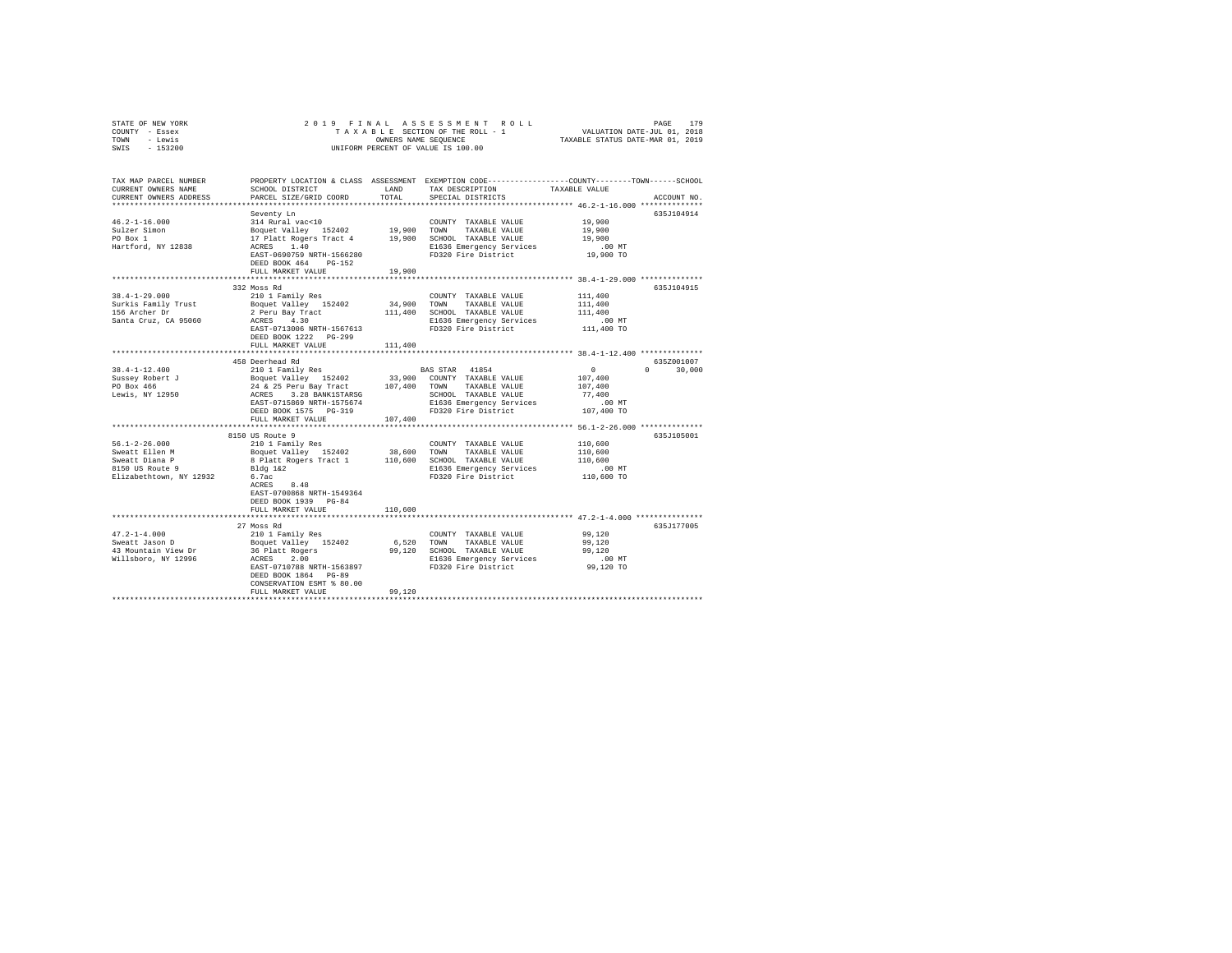| STATE OF NEW YORK | 2019 FINAL ASSESSMENT ROLL         | 179<br>PAGE                      |
|-------------------|------------------------------------|----------------------------------|
| COUNTY - Essex    | TAXABLE SECTION OF THE ROLL - 1    | VALUATION DATE-JUL 01, 2018      |
| TOWN<br>- Lewis   | OWNERS NAME SEOUENCE               | TAXABLE STATUS DATE-MAR 01, 2019 |
| $-153200$<br>SWIS | UNIFORM PERCENT OF VALUE IS 100.00 |                                  |

| TAX MAP PARCEL NUMBER<br>CURRENT OWNERS NAME                        | SCHOOL DISTRICT           | LAND    | PROPERTY LOCATION & CLASS ASSESSMENT EXEMPTION CODE----------------COUNTY-------TOWN-----SCHOOL<br>TAX DESCRIPTION<br>TAXABLE VALUE |                                             |
|---------------------------------------------------------------------|---------------------------|---------|-------------------------------------------------------------------------------------------------------------------------------------|---------------------------------------------|
| CURRENT OWNERS ADDRESS                                              | PARCEL SIZE/GRID COORD    | TOTAL   | SPECIAL DISTRICTS                                                                                                                   | ACCOUNT NO.                                 |
|                                                                     | Seventy Ln                |         |                                                                                                                                     | 635J104914                                  |
| $46.2 - 1 - 16.000$                                                 |                           |         |                                                                                                                                     | 19,900                                      |
| Sulzer Simon                                                        |                           |         |                                                                                                                                     | 19,900                                      |
| PO Box 1                                                            |                           |         |                                                                                                                                     | 19,900                                      |
| Hartford, NY 12838                                                  |                           |         | E1636 Emergency Services .00 MT                                                                                                     |                                             |
|                                                                     | EAST-0690759 NRTH-1566280 |         | FD320 Fire District                                                                                                                 | 19,900 TO                                   |
|                                                                     | DEED BOOK 464 PG-152      |         |                                                                                                                                     |                                             |
|                                                                     | FULL MARKET VALUE         | 19,900  |                                                                                                                                     |                                             |
|                                                                     | 332 Moss Rd               |         |                                                                                                                                     | 635J104915                                  |
| $38.4 - 1 - 29.000$                                                 | 210 1 Family Res          |         | COUNTY TAXABLE VALUE                                                                                                                | 111,400                                     |
|                                                                     |                           |         | Surkis Family Trust $\qquad \qquad$ Boquet Valley 152402 $\qquad \qquad$ 34,900 TOWN TAXABLE VALUE $\qquad \qquad$ 111,400          |                                             |
|                                                                     |                           |         | 111,400 SCHOOL TAXABLE VALUE                                                                                                        | 111,400                                     |
| 156 Archer Dr 2 Peru Bay Tract<br>Santa Cruz, CA 95060 2 ACRES 4.30 |                           |         | E1636 Emergency Services                                                                                                            |                                             |
|                                                                     | EAST-0713006 NRTH-1567613 |         | FD320 Fire District                                                                                                                 | .00 MT<br>111,400 TO                        |
|                                                                     | DEED BOOK 1222    PG-299  |         |                                                                                                                                     |                                             |
|                                                                     | FULL MARKET VALUE         | 111,400 |                                                                                                                                     |                                             |
|                                                                     |                           |         |                                                                                                                                     |                                             |
|                                                                     | 458 Deerhead Rd           |         |                                                                                                                                     | 635Z001007                                  |
|                                                                     |                           |         |                                                                                                                                     | $\sim$ 0<br>$\Omega$ and $\Omega$<br>30,000 |
|                                                                     |                           |         |                                                                                                                                     | 107,400                                     |
|                                                                     |                           |         |                                                                                                                                     | 107,400                                     |
|                                                                     |                           |         | SCHOOL TAXABLE VALUE                                                                                                                | 77.400                                      |
|                                                                     |                           |         |                                                                                                                                     |                                             |
|                                                                     | DEED BOOK 1575 PG-319     |         | E1636 Emergency Services .00 MT<br>FD320 Fire District .00 TO 107,400 TO                                                            |                                             |
|                                                                     | FULL MARKET VALUE         | 107,400 |                                                                                                                                     |                                             |
|                                                                     |                           |         |                                                                                                                                     |                                             |
|                                                                     | 8150 US Route 9           |         |                                                                                                                                     | 635J105001                                  |
|                                                                     |                           |         |                                                                                                                                     | 110,600                                     |
|                                                                     |                           |         |                                                                                                                                     | 110,600<br>110,600                          |
|                                                                     |                           |         |                                                                                                                                     |                                             |
| 8150 US Route 9                                                     | Bldg 1&2                  |         | E1636 Emergency Services                                                                                                            | 00 MT.<br>110,600 TO                        |
| Elizabethtown, NY 12932                                             | 6.7ac                     |         | FD320 Fire District                                                                                                                 |                                             |
|                                                                     | ACRES 8.48                |         |                                                                                                                                     |                                             |
|                                                                     | EAST-0700868 NRTH-1549364 |         |                                                                                                                                     |                                             |
|                                                                     | DEED BOOK 1939 PG-84      |         |                                                                                                                                     |                                             |
|                                                                     | FULL MARKET VALUE         | 110,600 |                                                                                                                                     |                                             |
|                                                                     |                           |         |                                                                                                                                     |                                             |
|                                                                     | 27 Moss Rd                |         |                                                                                                                                     | 635J177005                                  |
| $47.2 - 1 - 4.000$                                                  | 210 1 Family Res          |         | COUNTY TAXABLE VALUE                                                                                                                | 99,120                                      |
|                                                                     |                           |         | 6,520 TOWN TAXABLE VALUE                                                                                                            | 99,120                                      |
|                                                                     |                           |         | 99.120 SCHOOL TAXABLE VALUE                                                                                                         | 99,120                                      |
| Willsboro, NY 12996 ACRES 2.00                                      |                           |         |                                                                                                                                     |                                             |
|                                                                     | EAST-0710788 NRTH-1563897 |         |                                                                                                                                     |                                             |
|                                                                     | DEED BOOK 1864 PG-89      |         |                                                                                                                                     |                                             |
|                                                                     | CONSERVATION ESMT % 80.00 |         |                                                                                                                                     |                                             |
|                                                                     | FULL MARKET VALUE         | 99,120  |                                                                                                                                     |                                             |
|                                                                     |                           |         |                                                                                                                                     |                                             |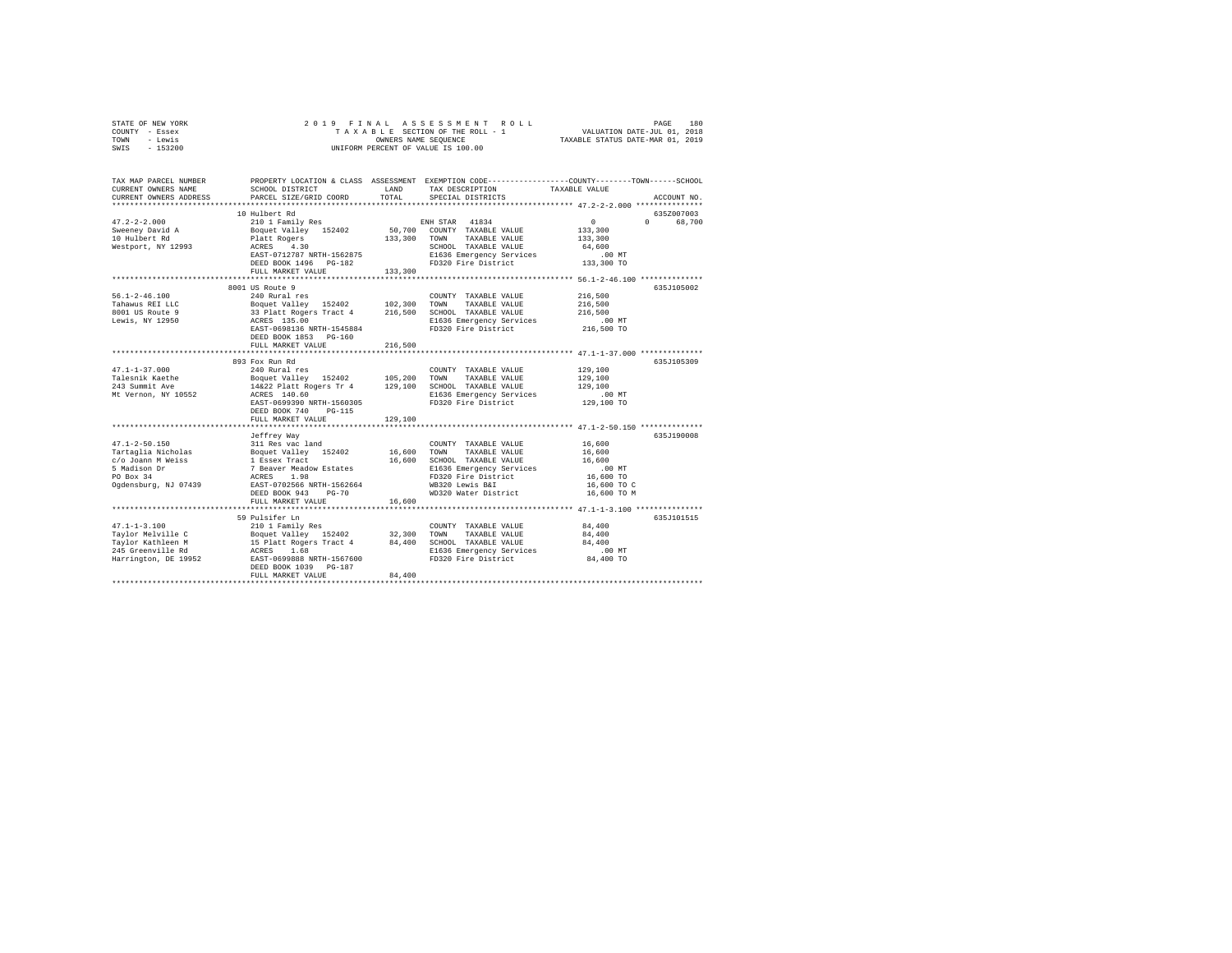| STATE OF NEW YORK<br>COUNTY - Essex<br>- Lewis<br>TOWN<br>SWIS - 153200 | 2019 FINAL ASSESSMENT ROLL<br>TAXABLE SECTION OF THE ROLL - 1 VALUATION DATE-JUL 01, 2018<br>OWNERS NAME SEQUENCE TAXABLE STATUS DATE-MAR 01, 2019<br>UNIFORM PERCENT OF VALUE IS 100.00 |                            |                                                 | 180<br>PAGE                      |             |  |
|-------------------------------------------------------------------------|------------------------------------------------------------------------------------------------------------------------------------------------------------------------------------------|----------------------------|-------------------------------------------------|----------------------------------|-------------|--|
|                                                                         |                                                                                                                                                                                          |                            |                                                 |                                  |             |  |
| TAX MAP PARCEL NUMBER                                                   | PROPERTY LOCATION & CLASS ASSESSMENT EXEMPTION CODE---------------COUNTY-------TOWN------SCHOOL                                                                                          |                            |                                                 |                                  |             |  |
| CURRENT OWNERS NAME                                                     | SCHOOL DISTRICT                                                                                                                                                                          | LAND                       | TAX DESCRIPTION TAXABLE VALUE                   |                                  |             |  |
|                                                                         | CURRENT OWNERS ADDRESS PARCEL SIZE/GRID COORD                                                                                                                                            | TOTAL<br>SPECIAL DISTRICTS |                                                 |                                  | ACCOUNT NO. |  |
|                                                                         |                                                                                                                                                                                          |                            |                                                 |                                  |             |  |
|                                                                         | 10 Hulbert Rd                                                                                                                                                                            |                            |                                                 |                                  | 635Z007003  |  |
| $47.2 - 2 - 2.000$                                                      | Sweeney David A Boquet Valley 152402 50,700 COUNTY TAXABLE VALUE                                                                                                                         |                            |                                                 | $\Omega$ and $\Omega$<br>133,300 | 0 68.700    |  |
| 10 Hulbert Rd                                                           | Platt Rogers                                                                                                                                                                             | 133,300 TOWN TAXABLE VALUE |                                                 | 133,300                          |             |  |
| Westport, NY 12993                                                      | ACRES 4.30                                                                                                                                                                               |                            | SCHOOL TAXABLE VALUE                            | 64,600                           |             |  |
|                                                                         | EAST-0712787 NRTH-1562875                                                                                                                                                                |                            |                                                 | $.00$ MT                         |             |  |
|                                                                         | DEED BOOK 1496 PG-182                                                                                                                                                                    |                            | E1636 Emergency Services<br>FD320 Fire District | 133,300 TO                       |             |  |
|                                                                         | FULL MARKET VALUE                                                                                                                                                                        | 133,300                    |                                                 |                                  |             |  |
|                                                                         |                                                                                                                                                                                          |                            |                                                 |                                  |             |  |
|                                                                         | 8001 US Route 9                                                                                                                                                                          |                            |                                                 |                                  | 635.7105002 |  |
| $56.1 - 2 - 46.100$                                                     | 240 Rural res                                                                                                                                                                            |                            | COUNTY TAXABLE VALUE                            | 216,500                          |             |  |
| Tahawus REI LLC                                                         | Boquet Valley 152402 102.300                                                                                                                                                             |                            | TOWN TAXABLE VALUE                              | 216,500                          |             |  |
| 8001 US Route 9                                                         | 33 Platt Rogers Tract 4 216,500                                                                                                                                                          |                            | SCHOOL TAXABLE VALUE                            | 216,500                          |             |  |
| Lewis, NY 12950                                                         | ACRES 135.00                                                                                                                                                                             |                            | E1636 Emergency Services                        | .00MT                            |             |  |
|                                                                         | EAST-0698136 NRTH-1545884                                                                                                                                                                |                            |                                                 | FD320 Fire District 216,500 TO   |             |  |
|                                                                         | DEED BOOK 1853 PG-160                                                                                                                                                                    |                            |                                                 |                                  |             |  |
|                                                                         | FULL MARKET VALUE                                                                                                                                                                        | 216,500                    |                                                 |                                  |             |  |
|                                                                         | 893 Fox Run Rd                                                                                                                                                                           |                            |                                                 |                                  | 635J105309  |  |
| $47.1 - 1 - 37.000$                                                     | 240 Rural res                                                                                                                                                                            |                            | COUNTY TAXABLE VALUE                            | 129,100                          |             |  |
| Talesnik Kaethe                                                         |                                                                                                                                                                                          |                            |                                                 | 129,100                          |             |  |
| 243 Summit Ave                                                          | Boquet Valley 152402 105,200 TOWN TAXABLE VALUE<br>14&22 Platt Rogers Tr 4 129,100 SCHOOL TAXABLE VALUE                                                                                  |                            |                                                 | 129,100                          |             |  |
| Mt Vernon, NY 10552                                                     | ACRES 140.60                                                                                                                                                                             |                            | E1636 Emergency Services                        | .00 MT                           |             |  |
|                                                                         | EAST-0699390 NRTH-1560305                                                                                                                                                                |                            | FD320 Fire District                             | 129,100 TO                       |             |  |
|                                                                         | DEED BOOK 740 PG-115                                                                                                                                                                     |                            |                                                 |                                  |             |  |
|                                                                         | FULL MARKET VALUE                                                                                                                                                                        | 129,100                    |                                                 |                                  |             |  |
|                                                                         |                                                                                                                                                                                          |                            |                                                 |                                  |             |  |
|                                                                         | Jeffrey Way                                                                                                                                                                              |                            |                                                 |                                  | 635J190008  |  |
| $47.1 - 2 - 50.150$                                                     | 311 Res vac land                                                                                                                                                                         |                            | COUNTY TAXABLE VALUE                            | 16,600                           |             |  |
| Tartaglia Nicholas                                                      | Boquet Valley 152402 16,600 TOWN TAXABLE VALUE                                                                                                                                           |                            |                                                 | 16,600                           |             |  |

c/o Joann M Weiss 1 Essex Tract 16,600 SCHOOL TAXABLE VALUE 16,600 5 Madison Dr 7 Beaver Meadow Estates E1636 Emergency Services .00 MT PO Box 34 ACRES 1.98 FD320 Fire District 16,600 TO Ogdensburg, NJ 07439 EAST-0702566 NRTH-1562664 WB320 Lewis B&I 16,600 TO C DEED BOOK 943 PG-70 WD320 Water District 16,600 TO M FULL MARKET VALUE 16,600 \*\*\*\*\*\*\*\*\*\*\*\*\*\*\*\*\*\*\*\*\*\*\*\*\*\*\*\*\*\*\*\*\*\*\*\*\*\*\*\*\*\*\*\*\*\*\*\*\*\*\*\*\*\*\*\*\*\*\*\*\*\*\*\*\*\*\*\*\*\*\*\*\*\*\*\*\*\*\*\*\*\*\*\*\*\*\*\*\*\*\*\*\*\*\*\*\*\*\*\*\*\*\* 47.1-1-3.100 \*\*\*\*\*\*\*\*\*\*\*\*\*\*\* 59 Pulsifer Ln 635J101515

FULL MARKET VALUE 84,400 \*\*\*\*\*\*\*\*\*\*\*\*\*\*\*\*\*\*\*\*\*\*\*\*\*\*\*\*\*\*\*\*\*\*\*\*\*\*\*\*\*\*\*\*\*\*\*\*\*\*\*\*\*\*\*\*\*\*\*\*\*\*\*\*\*\*\*\*\*\*\*\*\*\*\*\*\*\*\*\*\*\*\*\*\*\*\*\*\*\*\*\*\*\*\*\*\*\*\*\*\*\*\*\*\*\*\*\*\*\*\*\*\*\*\*\*\*\*\*\*\*\*\*\*\*\*\*\*\*\*\*\*

47.1-1-3.100 210 1 Family Res COUNTY TAXABLE VALUE 84,400 Taylor Melville C Boquet Valley 152402 32,300 TOWN TAXABLE VALUE 84,400 Taylor Kathleen M 15 Platt Rogers Tract 4 84,400 SCHOOL TAXABLE VALUE 84,400 245 Greenville Rd ACRES 1.68 E1636 Emergency Services .00 MT Harrington, DE 19952 EAST-0699888 NRTH-1567600 FD320 Fire District 84,400 TO

DEED BOOK 1039 PG-187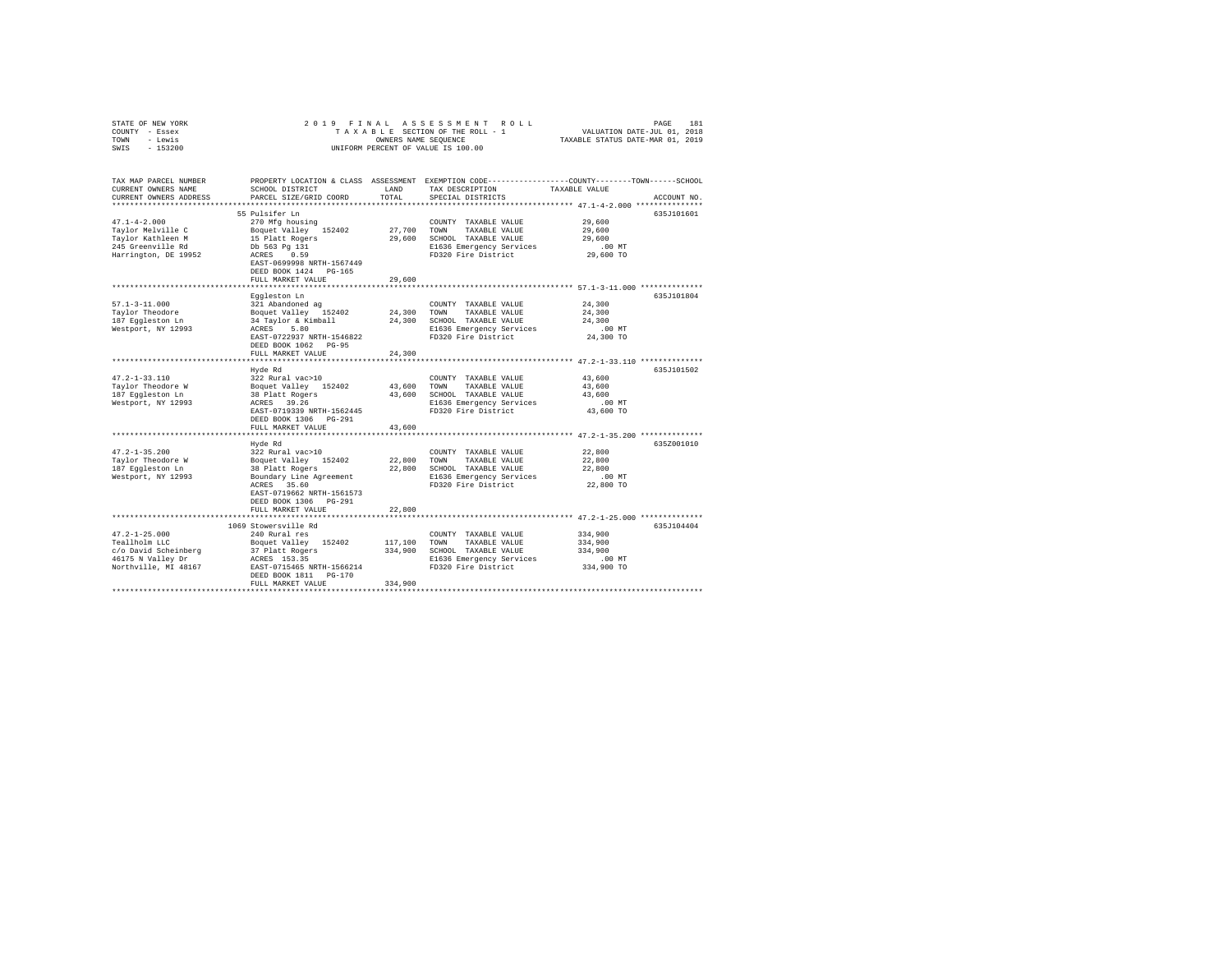| STATE OF NEW YORK<br>COUNTY - Essex<br>TOWN<br>- Lewis<br>SWIS<br>$-153200$                               | 2019 FINAL                                                                                                                                                                             | OWNERS NAME SEQUENCE       | ASSESSMENT<br>ROLL<br>TAXABLE SECTION OF THE ROLL - 1<br>UNIFORM PERCENT OF VALUE IS 100.00                                      | PAGE<br>181<br>VALUATION DATE-JUL 01, 2018<br>TAXABLE STATUS DATE-MAR 01, 2019                                                        |
|-----------------------------------------------------------------------------------------------------------|----------------------------------------------------------------------------------------------------------------------------------------------------------------------------------------|----------------------------|----------------------------------------------------------------------------------------------------------------------------------|---------------------------------------------------------------------------------------------------------------------------------------|
| TAX MAP PARCEL NUMBER<br>CURRENT OWNERS NAME<br>CURRENT OWNERS ADDRESS                                    | SCHOOL DISTRICT<br>PARCEL SIZE/GRID COORD                                                                                                                                              | LAND<br>TOTAL              | TAX DESCRIPTION<br>SPECIAL DISTRICTS                                                                                             | PROPERTY LOCATION & CLASS ASSESSMENT EXEMPTION CODE---------------COUNTY-------TOWN------SCHOOL<br>TAXABLE VALUE<br>ACCOUNT NO.       |
| ***********************                                                                                   |                                                                                                                                                                                        |                            |                                                                                                                                  |                                                                                                                                       |
| $47.1 - 4 - 2.000$<br>Taylor Melville C<br>Taylor Kathleen M<br>245 Greenville Rd<br>Harrington, DE 19952 | 55 Pulsifer Ln<br>270 Mfg housing<br>Boquet Valley 152402<br>15 Platt Rogers<br>Db 563 Pg 131<br>ACRES 0.59<br>EAST-0699998 NRTH-1567449<br>DEED BOOK 1424 PG-165<br>FULL MARKET VALUE | 27,700<br>29,600<br>29,600 | COUNTY TAXABLE VALUE<br>TOWN<br>TAXABLE VALUE<br>SCHOOL TAXABLE VALUE<br>E1636 Emergency Services<br>FD320 Fire District         | 635J101601<br>29,600<br>29,600<br>29,600<br>.00MT<br>29,600 TO                                                                        |
|                                                                                                           |                                                                                                                                                                                        |                            |                                                                                                                                  | ****************************** 57.1-3-11.000 *************                                                                            |
| $57.1 - 3 - 11.000$<br>Taylor Theodore<br>187 Eqqleston Ln<br>Westport, NY 12993                          | Eqqleston Ln<br>321 Abandoned ag<br>Boquet Valley 152402<br>34 Taylor & Kimball<br>ACRES 5.80<br>EAST-0722937 NRTH-1546822<br>DEED BOOK 1062 PG-95                                     | 24,300<br>24,300           | COUNTY TAXABLE VALUE<br>TOWN<br>TAXABLE VALUE<br>SCHOOL TAXABLE VALUE<br>E1636 Emergency Services<br>FD320 Fire District         | 635J101804<br>24,300<br>24,300<br>24,300<br>$.00$ MT<br>24,300 TO                                                                     |
|                                                                                                           | FULL MARKET VALUE                                                                                                                                                                      | 24,300                     |                                                                                                                                  |                                                                                                                                       |
| $47.2 - 1 - 33.110$<br>Taylor Theodore W<br>187 Eqqleston Ln<br>Westport, NY 12993                        | Hyde Rd<br>322 Rural vac>10<br>Boquet Valley 152402<br>38 Platt Rogers<br>ACRES 39.26<br>EAST-0719339 NRTH-1562445<br>DEED BOOK 1306 PG-291                                            | 43,600                     | COUNTY TAXABLE VALUE<br>TOWN<br>TAXABLE VALUE<br>43,600 SCHOOL TAXABLE VALUE<br>E1636 Emergency Services<br>FD320 Fire District  | *********************************** 47.2-1-33.110 **************<br>635J101502<br>43,600<br>43,600<br>43,600<br>$.00$ MT<br>43,600 TO |
|                                                                                                           | FULL MARKET VALUE                                                                                                                                                                      | 43,600                     |                                                                                                                                  |                                                                                                                                       |
|                                                                                                           | .<br>Hyde Rd                                                                                                                                                                           |                            |                                                                                                                                  | ******************** 47.2-1-35.200 **************<br>635Z001010                                                                       |
| $47.2 - 1 - 35.200$<br>Taylor Theodore W<br>187 Eqqleston Ln<br>Westport, NY 12993                        | 322 Rural vac>10<br>Boquet Valley 152402<br>38 Platt Rogers<br>Boundary Line Agreement<br>ACRES 35.60<br>EAST-0719662 NRTH-1561573<br>DEED BOOK 1306 PG-291<br>FULL MARKET VALUE       | 22,800<br>22,800           | COUNTY TAXABLE VALUE<br>TOWN<br>TAXABLE VALUE<br>22,800 SCHOOL TAXABLE VALUE<br>E1636 Emergency Services<br>FD320 Fire District  | 22,800<br>22,800<br>22,800<br>$.00$ MT<br>22,800 TO                                                                                   |
|                                                                                                           |                                                                                                                                                                                        |                            |                                                                                                                                  |                                                                                                                                       |
| $47.2 - 1 - 25.000$<br>Teallholm LLC<br>c/o David Scheinberg<br>46175 N Valley Dr<br>Northville, MI 48167 | 1069 Stowersville Rd<br>240 Rural res<br>Boquet Valley 152402<br>37 Platt Rogers<br>ACRES 153.35<br>EAST-0715465 NRTH-1566214<br>DEED BOOK 1811 PG-170<br>FULL MARKET VALUE            | 117,100<br>334,900         | COUNTY TAXABLE VALUE<br>TAXABLE VALUE<br>TOWN<br>334,900 SCHOOL TAXABLE VALUE<br>E1636 Emergency Services<br>FD320 Fire District | 635J104404<br>334,900<br>334,900<br>334,900<br>.00MT<br>334,900 TO                                                                    |
|                                                                                                           |                                                                                                                                                                                        |                            |                                                                                                                                  |                                                                                                                                       |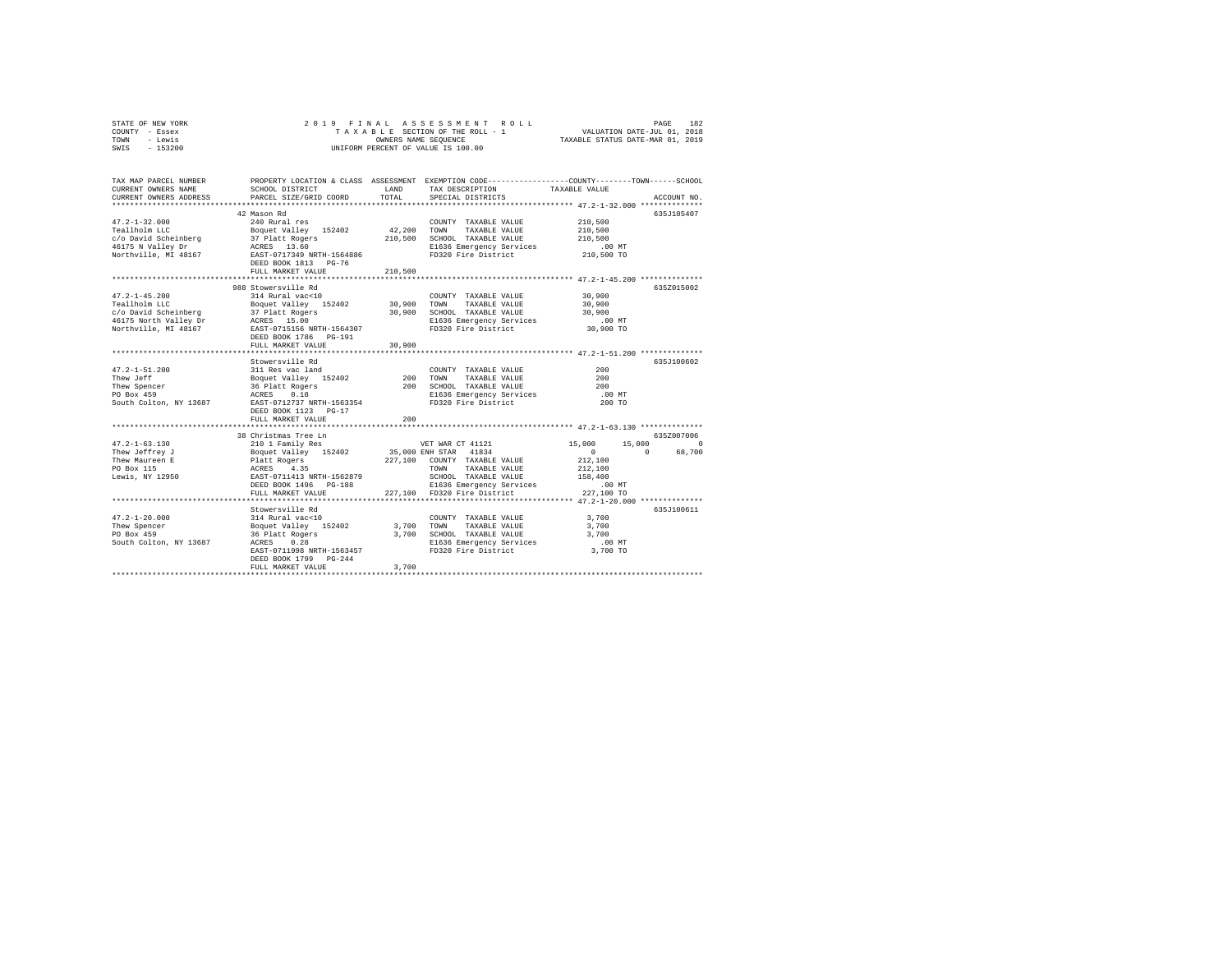| STATE OF NEW YORK | 2019 FINAL ASSESSMENT ROLL         | 182<br>PAGE                      |
|-------------------|------------------------------------|----------------------------------|
| COUNTY - Essex    | TAXABLE SECTION OF THE ROLL - 1    | VALUATION DATE-JUL 01, 2018      |
| TOWN<br>- Lewis   | OWNERS NAME SEOUENCE               | TAXABLE STATUS DATE-MAR 01, 2019 |
| $-153200$<br>SWIS | UNIFORM PERCENT OF VALUE IS 100.00 |                                  |

| TAX MAP PARCEL NUMBER<br>CURRENT OWNERS NAME<br>CURRENT OWNERS ADDRESS                                             | SCHOOL DISTRICT<br>PARCEL SIZE/GRID COORD                                                                                                                                                               | LAND<br>TOTAL            | PROPERTY LOCATION & CLASS ASSESSMENT EXEMPTION CODE---------------COUNTY-------TOWN-----SCHOOL<br>TAX DESCRIPTION<br>SPECIAL DISTRICTS                       | TAXABLE VALUE                                                                                               | ACCOUNT NO.                                     |
|--------------------------------------------------------------------------------------------------------------------|---------------------------------------------------------------------------------------------------------------------------------------------------------------------------------------------------------|--------------------------|--------------------------------------------------------------------------------------------------------------------------------------------------------------|-------------------------------------------------------------------------------------------------------------|-------------------------------------------------|
| $47.2 - 1 - 32.000$<br>Teallholm LLC<br>Northville, MI 48167                                                       | 42 Mason Rd<br>240 Rural res<br>Boquet Valley 152402 42,200 TOWN<br>EAST-0717349 NRTH-1564886<br>DEED BOOK 1813 PG-76<br>FULL MARKET VALUE<br>****************************                              | 210,500<br>************* | COUNTY TAXABLE VALUE<br>TAXABLE VALUE<br>210,500 SCHOOL TAXABLE VALUE<br>E1636 Emergency Services<br>FD320 Fire District                                     | 210,500<br>210,500<br>210,500<br>.00 MT<br>210,500 TO<br>********************* 47.2-1-45.200 ************** | 635J105407                                      |
| $47.2 - 1 - 45.200$                                                                                                | 988 Stowersville Rd<br>314 Rural vac<10<br>DEED BOOK 1786 PG-191<br>FULL MARKET VALUE                                                                                                                   | 30,900<br>***********    | COUNTY TAXABLE VALUE<br>E1636 Emergency Services<br>FD320 Fire District<br>********************************** 47.2-1-51.200 **************                   | 30,900<br>30,900<br>30,900<br>$.00$ MT<br>$30,900$ TO                                                       | 635Z015002                                      |
| $47.2 - 1 - 51.200$<br>Thew Jeff<br>Thew Spencer<br>PO Box 459<br>South Colton, NY 13687 EAST-0712737 NRTH-1563354 | Stowersville Rd<br>DEED BOOK 1123 PG-17<br>FULL MARKET VALUE                                                                                                                                            | 200                      | FD320 Fire District                                                                                                                                          | 200<br>200<br>200<br>$.00$ MT<br>200 TO                                                                     | 635J100602                                      |
| $47.2 - 1 - 63.130$<br>Thew Jeffrey J<br>Thew Maureen E<br>PO Box 115<br>Lewis, NY 12950                           | 38 Christmas Tree Ln<br>210 1 Family Res<br>Boquet Valley 152402 35,000 ENH STAR 41834<br>Platt Rogers 227,100<br>ACRES 4.35<br>EAST-0711413 NRTH-1562879<br>DEED BOOK 1496 PG-188<br>FULL MARKET VALUE |                          | VET WAR CT 41121<br>227,100 COUNTY TAXABLE VALUE<br>TOWN<br>TAXABLE VALUE<br>SCHOOL TAXABLE VALUE<br>E1636 Emergency Services<br>227,100 FD320 Fire District | 15,000<br>15,000<br>$\sim$ 0<br>212,100<br>212,100<br>158,400<br>$.00$ MT<br>227,100 TO                     | 635Z007006<br>$\mathbf 0$<br>68,700<br>$\Omega$ |
| $47.2 - 1 - 20.000$<br>Thew Spencer<br>PO Box 459<br>South Colton, NY 13687                                        | Stowersville Rd<br>314 Rural vac<10<br>Boquet Valley 152402<br>36 Platt Rogers<br>ACRES 0.28<br>EAST-0711998 NRTH-1563457<br>DEED BOOK 1799 PG-244<br>FULL MARKET VALUE                                 | 3,700 TOWN<br>3,700      | COUNTY TAXABLE VALUE<br>TAXABLE VALUE<br>3,700 SCHOOL TAXABLE VALUE<br>E1636 Emergency Services<br>FD320 Fire District                                       | 3,700<br>3,700<br>3,700<br>.00MT<br>3,700 TO                                                                | 635J100611                                      |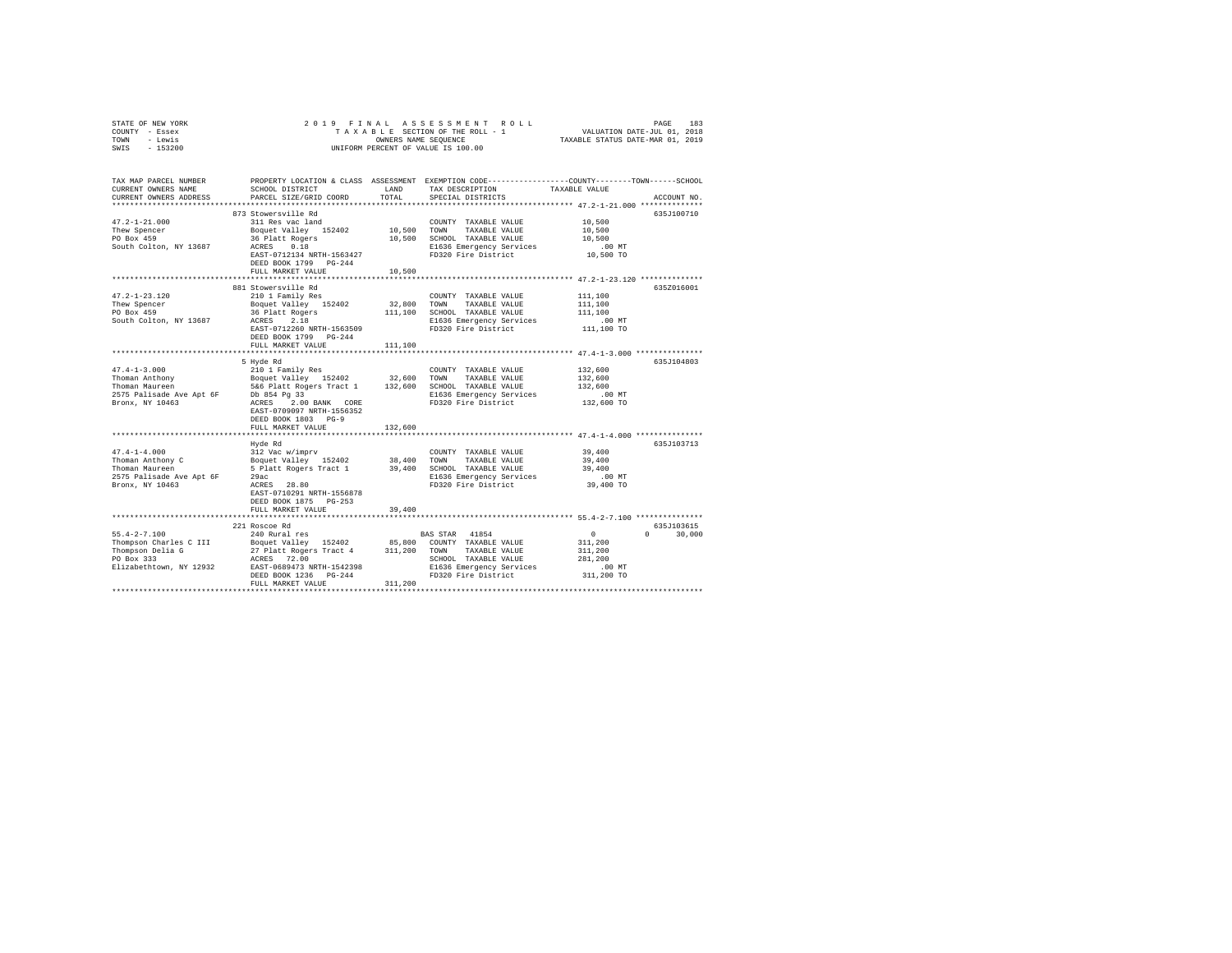| STATE OF NEW YORK                                       |                                                                      |         | 2019 FINAL ASSESSMENT ROLL                      | 183<br>PAGE                                                                                     |
|---------------------------------------------------------|----------------------------------------------------------------------|---------|-------------------------------------------------|-------------------------------------------------------------------------------------------------|
| COUNTY - Essex                                          | TAXABLE SECTION OF THE ROLL - 1 $\hfill$ VALUATION DATE-JUL 01, 2018 |         |                                                 |                                                                                                 |
| TOWN<br>- Lewis                                         |                                                                      |         |                                                 | OWNERS NAME SEQUENCE TAXABLE STATUS DATE-MAR 01, 2019                                           |
| SWIS - 153200                                           |                                                                      |         | UNIFORM PERCENT OF VALUE IS 100.00              |                                                                                                 |
|                                                         |                                                                      |         |                                                 |                                                                                                 |
|                                                         |                                                                      |         |                                                 |                                                                                                 |
| TAX MAP PARCEL NUMBER                                   |                                                                      |         |                                                 | PROPERTY LOCATION & CLASS ASSESSMENT EXEMPTION CODE---------------COUNTY-------TOWN------SCHOOL |
| CURRENT OWNERS NAME                                     | SCHOOL DISTRICT                                                      |         | LAND TAX DESCRIPTION                            | TAXABLE VALUE                                                                                   |
| CURRENT OWNERS ADDRESS                                  | PARCEL SIZE/GRID COORD TOTAL                                         |         | SPECIAL DISTRICTS                               | ACCOUNT NO.                                                                                     |
|                                                         |                                                                      |         |                                                 |                                                                                                 |
|                                                         | 873 Stowersville Rd                                                  |         |                                                 | 635J100710                                                                                      |
| $47.2 - 1 - 21.000$                                     | 311 Res vac land                                                     |         | COUNTY TAXABLE VALUE                            | 10,500                                                                                          |
| Thew Spencer                                            | Boquet Valley 152402 10,500 TOWN TAXABLE VALUE                       |         |                                                 | 10,500                                                                                          |
| PO Box 459                                              | 36 Platt Rogers 10,500                                               |         | SCHOOL TAXABLE VALUE 10,500                     |                                                                                                 |
| South Colton, NY 13687                                  | ACRES 0.18                                                           |         | E1636 Emergency Services                        | $.00$ MT                                                                                        |
|                                                         | EAST-0712134 NRTH-1563427                                            |         | FD320 Fire District                             | $10\,,500$ TO                                                                                   |
|                                                         | DEED BOOK 1799 PG-244                                                |         |                                                 |                                                                                                 |
|                                                         | FULL MARKET VALUE                                                    | 10,500  |                                                 |                                                                                                 |
|                                                         |                                                                      |         |                                                 |                                                                                                 |
|                                                         | 881 Stowersville Rd                                                  |         |                                                 | 635Z016001                                                                                      |
| $47.2 - 1 - 23.120$                                     | 210 1 Family Res                                                     |         | COUNTY TAXABLE VALUE                            | 111,100                                                                                         |
| Thew Spencer                                            | Boquet Valley 152402 32.800                                          |         | TAXABLE VALUE<br>TOWN                           | 111,100                                                                                         |
| PO Box 459                                              | 36 Platt Rogers 111,100                                              |         | SCHOOL TAXABLE VALUE                            | 111,100                                                                                         |
| South Colton, NY 13687                                  | ACRES 2.18                                                           |         | E1636 Emergency Services                        | .00 MT                                                                                          |
|                                                         | EAST-0712260 NRTH-1563509                                            |         | FD320 Fire District                             | 111,100 TO                                                                                      |
|                                                         | DEED BOOK 1799 PG-244                                                |         |                                                 |                                                                                                 |
|                                                         | FULL MARKET VALUE                                                    | 111,100 |                                                 |                                                                                                 |
|                                                         |                                                                      |         |                                                 |                                                                                                 |
|                                                         | 5 Hyde Rd                                                            |         |                                                 | 635J104803                                                                                      |
| $47.4 - 1 - 3.000$                                      | 210 1 Family Res                                                     |         | COUNTY TAXABLE VALUE                            | 132,600                                                                                         |
| Thoman Anthony                                          | Boquet Valley 152402 32,600                                          |         | TOWN<br>TAXABLE VALUE                           | 132,600                                                                                         |
| Thoman Maureen<br>2575 Palisade Ave Apt 6F Db 854 Pg 33 | 5&6 Platt Rogers Tract 1 132,600                                     |         | SCHOOL TAXABLE VALUE                            | 132,600<br>.00 MT                                                                               |
|                                                         |                                                                      |         | E1636 Emergency Services<br>FD320 Fire District | 132,600 TO                                                                                      |
| Bronx, NY 10463                                         | ACRES 2.00 BANK CORE<br>EAST-0709097 NRTH-1556352                    |         |                                                 |                                                                                                 |
|                                                         |                                                                      |         |                                                 |                                                                                                 |
|                                                         | DEED BOOK 1803 PG-9                                                  |         |                                                 |                                                                                                 |
|                                                         | FULL MARKET VALUE                                                    | 132,600 |                                                 |                                                                                                 |
|                                                         |                                                                      |         |                                                 | 635J103713                                                                                      |
| $47.4 - 1 - 4.000$                                      | Hyde Rd<br>312 Vac w/imprv                                           |         | COUNTY TAXABLE VALUE                            | 39,400                                                                                          |
| Thoman Anthony C                                        | Boquet Valley 152402 38,400 TOWN                                     |         | TAXABLE VALUE                                   | 39,400                                                                                          |
| Thoman Maurean                                          | E DIARE Pogers Treat 1 30 400 COUODI TAYADIR UNIUR                   |         |                                                 | 29 400                                                                                          |

|                          | EAST-0709097 NRTH-1556352<br>DEED BOOK 1803 PG-9<br>FULL MARKET VALUE                  | 132,600 |                                                 |                       |                    |
|--------------------------|----------------------------------------------------------------------------------------|---------|-------------------------------------------------|-----------------------|--------------------|
|                          | Hyde Rd                                                                                |         |                                                 |                       | 635J103713         |
| $47.4 - 1 - 4.000$       | 312 Vac w/imprv                                                                        |         | COUNTY TAXABLE VALUE                            | 39,400                |                    |
| Thoman Anthony C         | Boquet Valley 152402                                                                   | 38,400  | TOWN<br>TAXABLE VALUE                           | 39,400                |                    |
| Thoman Maureen           | 5 Platt Rogers Tract 1                                                                 | 39,400  | SCHOOL TAXABLE VALUE                            | 39,400                |                    |
| 2575 Palisade Ave Apt 6F | 29ac                                                                                   |         | E1636 Emergency Services<br>FD320 Fire District | $.00$ MT<br>39,400 TO |                    |
| Bronx, NY 10463          | ACRES 28.80<br>EAST-0710291 NRTH-1556878<br>DEED BOOK 1875 PG-253<br>FULL MARKET VALUE | 39,400  |                                                 |                       |                    |
|                          | 221 Roscoe Rd                                                                          |         |                                                 |                       | 635J103615         |
| $55.4 - 2 - 7.100$       | 240 Rural res                                                                          |         | 41854<br>BAS STAR                               | $\overline{0}$        | $\Omega$<br>30,000 |
| Thompson Charles C III   | Boquet Valley 152402 85,800                                                            |         | COUNTY<br>TAXABLE VALUE                         | 311,200               |                    |
| Thompson Delia G         | 27 Platt Rogers Tract 4                                                                | 311,200 | TOWN<br>TAXABLE VALUE                           | 311,200               |                    |
| PO Box 333               | ACRES 72.00                                                                            |         | SCHOOL<br>TAXABLE VALUE                         | 281,200               |                    |
| Elizabethtown, NY 12932  | EAST-0689473 NRTH-1542398                                                              |         | E1636 Emergency Services                        | $.00$ MT              |                    |
|                          | DEED BOOK 1236 PG-244                                                                  |         | FD320 Fire District                             | 311,200 TO            |                    |
|                          | FULL MARKET VALUE                                                                      | 311,200 |                                                 |                       |                    |
|                          |                                                                                        |         |                                                 |                       |                    |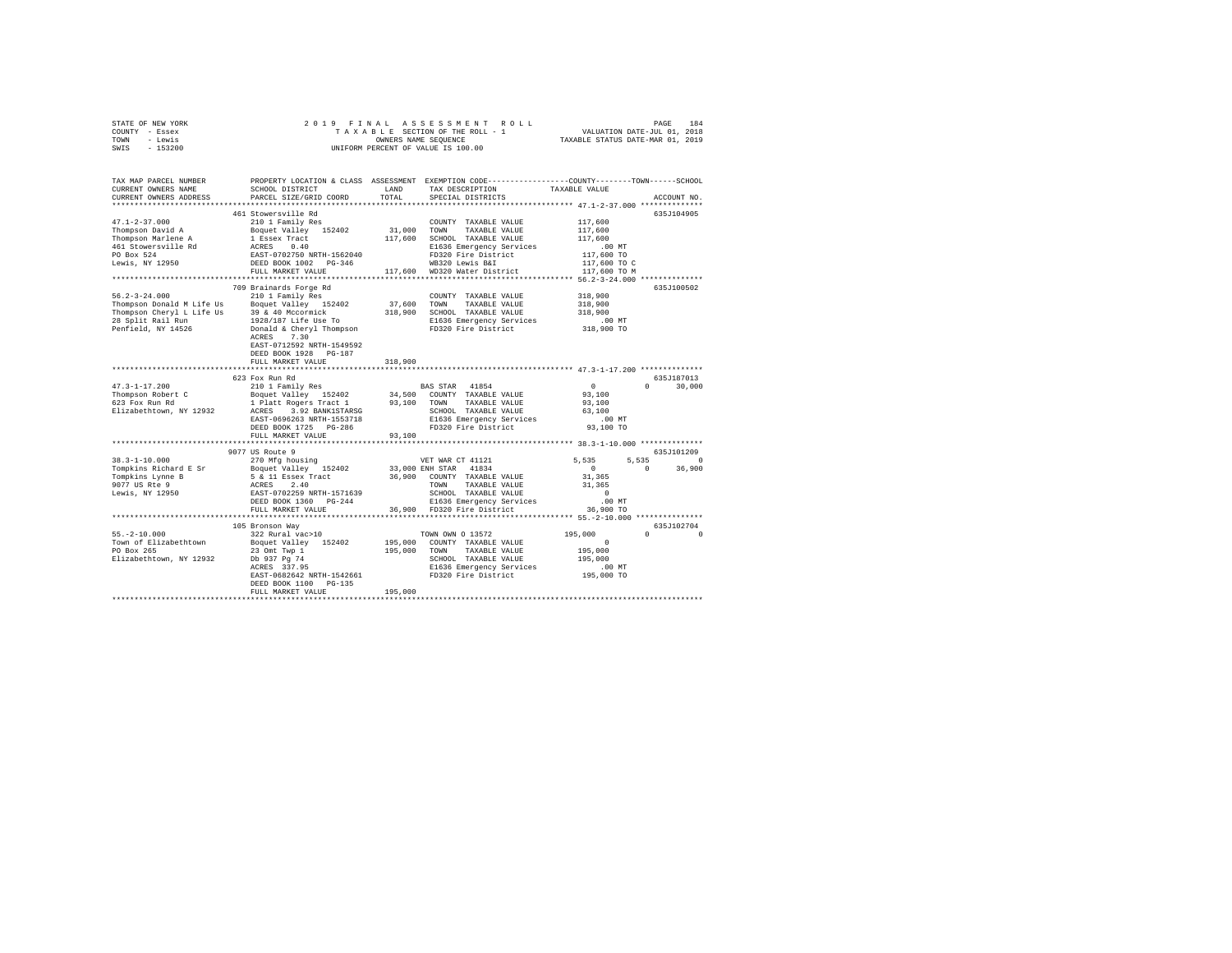| STATE OF NEW YORK | 2019 FINAL ASSESSMENT ROLL         | 184<br>PAGE                      |
|-------------------|------------------------------------|----------------------------------|
| COUNTY - Essex    | TAXABLE SECTION OF THE ROLL - 1    | VALUATION DATE-JUL 01, 2018      |
| TOWN<br>- Lewis   | OWNERS NAME SEOUENCE               | TAXABLE STATUS DATE-MAR 01, 2019 |
| $-153200$<br>SWIS | UNIFORM PERCENT OF VALUE IS 100.00 |                                  |

| TAX MAP PARCEL NUMBER<br>CURRENT OWNERS NAME     | SCHOOL DISTRICT                                                                   | LAND        | PROPERTY LOCATION & CLASS ASSESSMENT EXEMPTION CODE----------------COUNTY-------TOWN------SCHOOL<br>TAX DESCRIPTION | TAXABLE VALUE         |                      |
|--------------------------------------------------|-----------------------------------------------------------------------------------|-------------|---------------------------------------------------------------------------------------------------------------------|-----------------------|----------------------|
| CURRENT OWNERS ADDRESS<br>********************** | PARCEL SIZE/GRID COORD                                                            | TOTAL       | SPECIAL DISTRICTS                                                                                                   |                       | ACCOUNT NO.          |
|                                                  |                                                                                   |             |                                                                                                                     |                       |                      |
|                                                  | 461 Stowersville Rd                                                               |             |                                                                                                                     |                       | 635J104905           |
| $47.1 - 2 - 37.000$                              | 210 1 Family Res                                                                  |             | COUNTY TAXABLE VALUE                                                                                                | 117,600               |                      |
| Thompson David A                                 | Boquet Valley 152402                                                              | 31,000 TOWN | TAXABLE VALUE                                                                                                       | 117,600               |                      |
| Thompson Marlene A<br>461 Stowersville Rd        |                                                                                   | 117,600     | SCHOOL TAXABLE VALUE<br>E1636 Emergency Services                                                                    | 117,600<br>$.00$ MT   |                      |
| PO Box 524                                       |                                                                                   |             | FD320 Fire District                                                                                                 | 117,600 TO            |                      |
| Lewis, NY 12950                                  | 1 Essex Tract<br>ACRES 0.40<br>EAST-0702750 NRTH-1562040<br>DEED BOOK 1002 PG-346 |             | WB320 Lewis B&I                                                                                                     | 117,600 TO C          |                      |
|                                                  | FULL MARKET VALUE                                                                 |             | 117,600 WD320 Water District                                                                                        | 117,600 TO M          |                      |
|                                                  |                                                                                   |             | ********************************* 56.2-3-24.000 **************                                                      |                       |                      |
|                                                  | 709 Brainards Forge Rd                                                            |             |                                                                                                                     |                       | 635J100502           |
| $56.2 - 3 - 24.000$                              | 210 1 Family Res                                                                  |             | COUNTY TAXABLE VALUE                                                                                                | 318,900               |                      |
| Thompson Donald M Life Us Boquet Valley 152402   |                                                                                   | 37,600      | TOWN<br>TAXABLE VALUE                                                                                               | 318,900               |                      |
|                                                  |                                                                                   | 318,900     | SCHOOL TAXABLE VALUE                                                                                                | 318,900               |                      |
|                                                  |                                                                                   |             | E1636 Emergency Services                                                                                            | $.00$ MT              |                      |
| Penfield, NY 14526                               | Donald & Cheryl Thompson                                                          |             | FD320 Fire District                                                                                                 | 318,900 TO            |                      |
|                                                  | 7.30<br>ACRES                                                                     |             |                                                                                                                     |                       |                      |
|                                                  | EAST-0712592 NRTH-1549592                                                         |             |                                                                                                                     |                       |                      |
|                                                  | DEED BOOK 1928 PG-187                                                             |             |                                                                                                                     |                       |                      |
|                                                  | FULL MARKET VALUE                                                                 | 318,900     |                                                                                                                     |                       |                      |
|                                                  |                                                                                   |             |                                                                                                                     |                       |                      |
|                                                  | 623 Fox Run Rd                                                                    |             |                                                                                                                     |                       | 635J187013           |
| $47.3 - 1 - 17.200$                              | 210 1 Family Res                                                                  |             | BAS STAR 41854                                                                                                      | $\Omega$              | 30,000<br>$\cap$     |
| Thompson Robert C                                | Boquet Valley 152402                                                              | 34,500      | COUNTY TAXABLE VALUE                                                                                                | 93,100                |                      |
| 623 Fox Run Rd                                   | 1 Platt Rogers Tract 1                                                            |             | 93,100 TOWN<br>TAXABLE VALUE                                                                                        | 93,100                |                      |
| Elizabethtown, NY 12932                          | ACRES 3.92 BANK1STARSG                                                            |             | SCHOOL TAXABLE VALUE                                                                                                | 63,100                |                      |
|                                                  | EAST-0696263 NRTH-1553718                                                         |             | E1636 Emergency Services                                                                                            | .00MT                 |                      |
|                                                  | DEED BOOK 1725 PG-286                                                             |             | FD320 Fire District                                                                                                 | 93,100 TO             |                      |
|                                                  | FULL MARKET VALUE                                                                 | 93,100      |                                                                                                                     |                       |                      |
|                                                  | **************************                                                        |             |                                                                                                                     |                       |                      |
|                                                  | 9077 US Route 9                                                                   |             |                                                                                                                     |                       | 635J101209           |
| $38.3 - 1 - 10.000$                              | 270 Mfg housing                                                                   |             | VET WAR CT 41121                                                                                                    | 5.535<br>5.535        | $\mathbf 0$          |
| Tompkins Richard E Sr                            | Boquet Valley 152402                                                              |             | 33,000 ENH STAR 41834                                                                                               | $\sim$ 0              | 36,900<br>$^{\circ}$ |
| Tompkins Lynne B                                 |                                                                                   | 36,900      | COUNTY TAXABLE VALUE                                                                                                | 31,365                |                      |
| 9077 US Rte 9                                    | 5 & 11 Essex Tract<br>ACRES 2.40<br>EAST-0702259 NRTH-1571639                     |             | TOWN<br>TAXABLE VALUE                                                                                               | 31,365                |                      |
| Lewis, NY 12950                                  |                                                                                   |             | SCHOOL TAXABLE VALUE                                                                                                | $\sim$ 0              |                      |
|                                                  | DEED BOOK 1360 PG-244<br>FULL MARKET VALUE                                        |             | E1636 Emergency Services<br>36.900 FD320 Fire District                                                              | $.00$ MT<br>36,900 TO |                      |
|                                                  | **************************                                                        |             |                                                                                                                     |                       |                      |
|                                                  | 105 Bronson Way                                                                   |             |                                                                                                                     |                       | 635J102704           |
| $55. -2 - 10.000$                                | 322 Rural vac>10                                                                  |             | TOWN OWN 0 13572                                                                                                    | 195,000               | $\cap$<br>$\Omega$   |
| Town of Elizabethtown                            | Boquet Valley 152402                                                              | 195,000     | COUNTY TAXABLE VALUE                                                                                                | $\circ$               |                      |
| PO Box 265                                       |                                                                                   | 195,000     | TOWN<br>TAXABLE VALUE                                                                                               | 195,000               |                      |
| Elizabethtown, NY 12932                          | Db 937 Pg 74                                                                      |             | SCHOOL TAXABLE VALUE                                                                                                | 195,000               |                      |
|                                                  | 23 Omt Twp 1<br>Db 937 Pg 74<br>ACRES 337.95                                      |             | E1636 Emergency Services                                                                                            | $.00$ MT              |                      |
|                                                  | EAST-0682642 NRTH-1542661                                                         |             | FD320 Fire District                                                                                                 | 195,000 TO            |                      |
|                                                  | DEED BOOK 1100<br>$PG-135$                                                        |             |                                                                                                                     |                       |                      |
|                                                  | FULL MARKET VALUE                                                                 | 195,000     |                                                                                                                     |                       |                      |
|                                                  |                                                                                   |             |                                                                                                                     |                       |                      |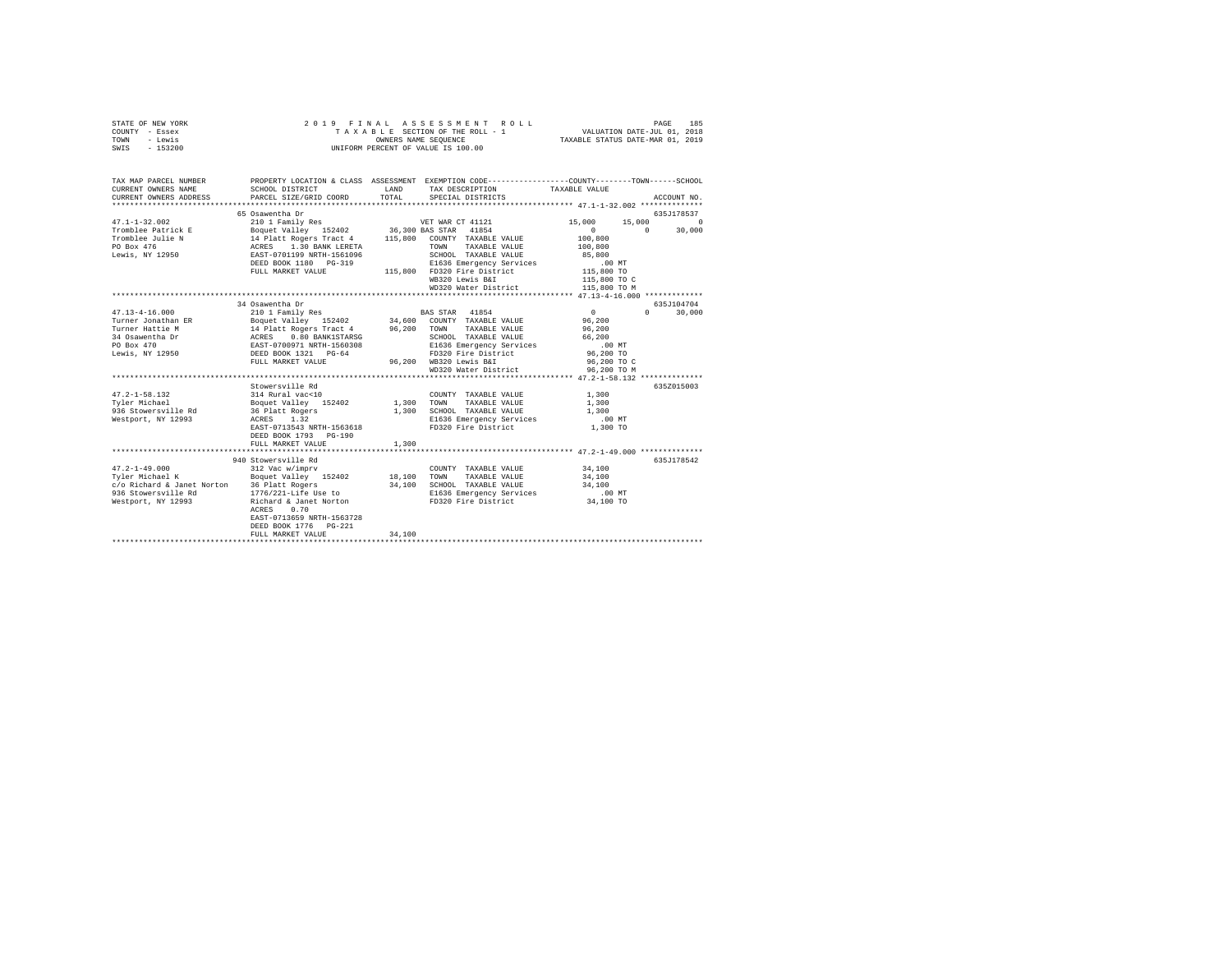| STATE OF NEW YORK | 2019 FINAL ASSESSMENT ROLL         | 185<br>PAGE                      |
|-------------------|------------------------------------|----------------------------------|
| COUNTY - Essex    | TAXABLE SECTION OF THE ROLL - 1    | VALUATION DATE-JUL 01, 2018      |
| TOWN<br>- Lewis   | OWNERS NAME SEOUENCE               | TAXABLE STATUS DATE-MAR 01, 2019 |
| $-153200$<br>SWIS | UNIFORM PERCENT OF VALUE IS 100.00 |                                  |

| TAX MAP PARCEL NUMBER         | PROPERTY LOCATION & CLASS ASSESSMENT EXEMPTION CODE----------------COUNTY-------TOWN------SCHOOL                                                                                                                                     |        |                                                                   |                                                  |               |
|-------------------------------|--------------------------------------------------------------------------------------------------------------------------------------------------------------------------------------------------------------------------------------|--------|-------------------------------------------------------------------|--------------------------------------------------|---------------|
|                               |                                                                                                                                                                                                                                      |        |                                                                   |                                                  |               |
|                               | 65 Osawentha Dr                                                                                                                                                                                                                      |        |                                                                   |                                                  | 635J178537    |
| $47.1 - 1 - 32.002$           |                                                                                                                                                                                                                                      |        |                                                                   |                                                  | $\sim$ 0      |
|                               | Tromblee Patrick E and the Hatt Regers Track and the Hatt Hatt Hatt (1992)<br>Tromblee Patrick E and the Platt Regers Track and the Max of the ATABLE VALUE<br>Tromblee Julie N acress 1.30 BANK LERETA 115,800 COUNTY TAXABLE VALUE |        |                                                                   |                                                  | 30,000        |
|                               |                                                                                                                                                                                                                                      |        |                                                                   | $\begin{matrix}0&&&&0\\100,800&&&&0\end{matrix}$ |               |
|                               |                                                                                                                                                                                                                                      |        | TOWN TAXABLE VALUE                                                | 100,800                                          |               |
|                               |                                                                                                                                                                                                                                      |        |                                                                   |                                                  |               |
|                               |                                                                                                                                                                                                                                      |        |                                                                   |                                                  |               |
|                               |                                                                                                                                                                                                                                      |        |                                                                   |                                                  |               |
|                               |                                                                                                                                                                                                                                      |        |                                                                   |                                                  |               |
|                               |                                                                                                                                                                                                                                      |        | WB320 Lewis B&I 115,800 TO C<br>WD320 Water District 115,800 TO M |                                                  |               |
|                               |                                                                                                                                                                                                                                      |        |                                                                   |                                                  |               |
|                               | 34 Osawentha Dr                                                                                                                                                                                                                      |        |                                                                   |                                                  | 635J104704    |
| $47.13 - 4 - 16.000$          | 210 1 Family Res                                                                                                                                                                                                                     |        | BAS STAR 41854                                                    | $\overline{0}$                                   | $0 \t 30.000$ |
|                               |                                                                                                                                                                                                                                      |        |                                                                   |                                                  |               |
|                               |                                                                                                                                                                                                                                      |        |                                                                   |                                                  |               |
|                               |                                                                                                                                                                                                                                      |        |                                                                   |                                                  |               |
|                               |                                                                                                                                                                                                                                      |        |                                                                   |                                                  |               |
|                               |                                                                                                                                                                                                                                      |        |                                                                   |                                                  |               |
|                               |                                                                                                                                                                                                                                      |        |                                                                   |                                                  |               |
|                               | Turner Jonathan ER (1997) 1997 - 1997 - 1997 - 1997 - 1997 - 1997 - 1997 - 1997 - 1997 - 1997 - 1997 - 1997 - 1<br>The Turner Hattle M (1998) 2008 - 1998 - 1998 - 1998 - 1998 - 1998 - 1998 - 1999 - 1999 - 1999 - 1999 - 1999      |        |                                                                   |                                                  |               |
|                               |                                                                                                                                                                                                                                      |        |                                                                   |                                                  |               |
|                               | Stowersville Rd                                                                                                                                                                                                                      |        |                                                                   |                                                  | 635Z015003    |
|                               |                                                                                                                                                                                                                                      |        | COUNTY TAXABLE VALUE 1,300                                        |                                                  |               |
|                               |                                                                                                                                                                                                                                      |        |                                                                   | 1,300                                            |               |
|                               |                                                                                                                                                                                                                                      |        | $1,300$ SCHOOL TAXABLE VALUE $1,300$                              |                                                  |               |
| Westport, NY 12993 ACRES 1.32 |                                                                                                                                                                                                                                      |        | E1636 Emergency Services                                          | .00 MT                                           |               |
|                               | EAST-0713543 NRTH-1563618                                                                                                                                                                                                            |        | FD320 Fire District                                               | 1,300 TO                                         |               |
|                               | DEED BOOK 1793 PG-190                                                                                                                                                                                                                |        |                                                                   |                                                  |               |
|                               | FULL MARKET VALUE                                                                                                                                                                                                                    | 1,300  |                                                                   |                                                  |               |
|                               | 940 Stowersville Rd                                                                                                                                                                                                                  |        |                                                                   |                                                  | 635J178542    |
|                               |                                                                                                                                                                                                                                      |        |                                                                   |                                                  |               |
|                               |                                                                                                                                                                                                                                      |        | COUNTY TAXABLE VALUE                                              | 34,100<br>34,100                                 |               |
|                               |                                                                                                                                                                                                                                      |        |                                                                   |                                                  |               |
|                               |                                                                                                                                                                                                                                      |        |                                                                   |                                                  |               |
|                               |                                                                                                                                                                                                                                      |        |                                                                   |                                                  |               |
|                               | ACRES 0.70                                                                                                                                                                                                                           |        |                                                                   |                                                  |               |
|                               | EAST-0713659 NRTH-1563728                                                                                                                                                                                                            |        |                                                                   |                                                  |               |
|                               | DEED BOOK 1776 PG-221                                                                                                                                                                                                                |        |                                                                   |                                                  |               |
|                               | FULL MARKET VALUE                                                                                                                                                                                                                    | 34,100 |                                                                   |                                                  |               |
|                               |                                                                                                                                                                                                                                      |        |                                                                   |                                                  |               |
|                               |                                                                                                                                                                                                                                      |        |                                                                   |                                                  |               |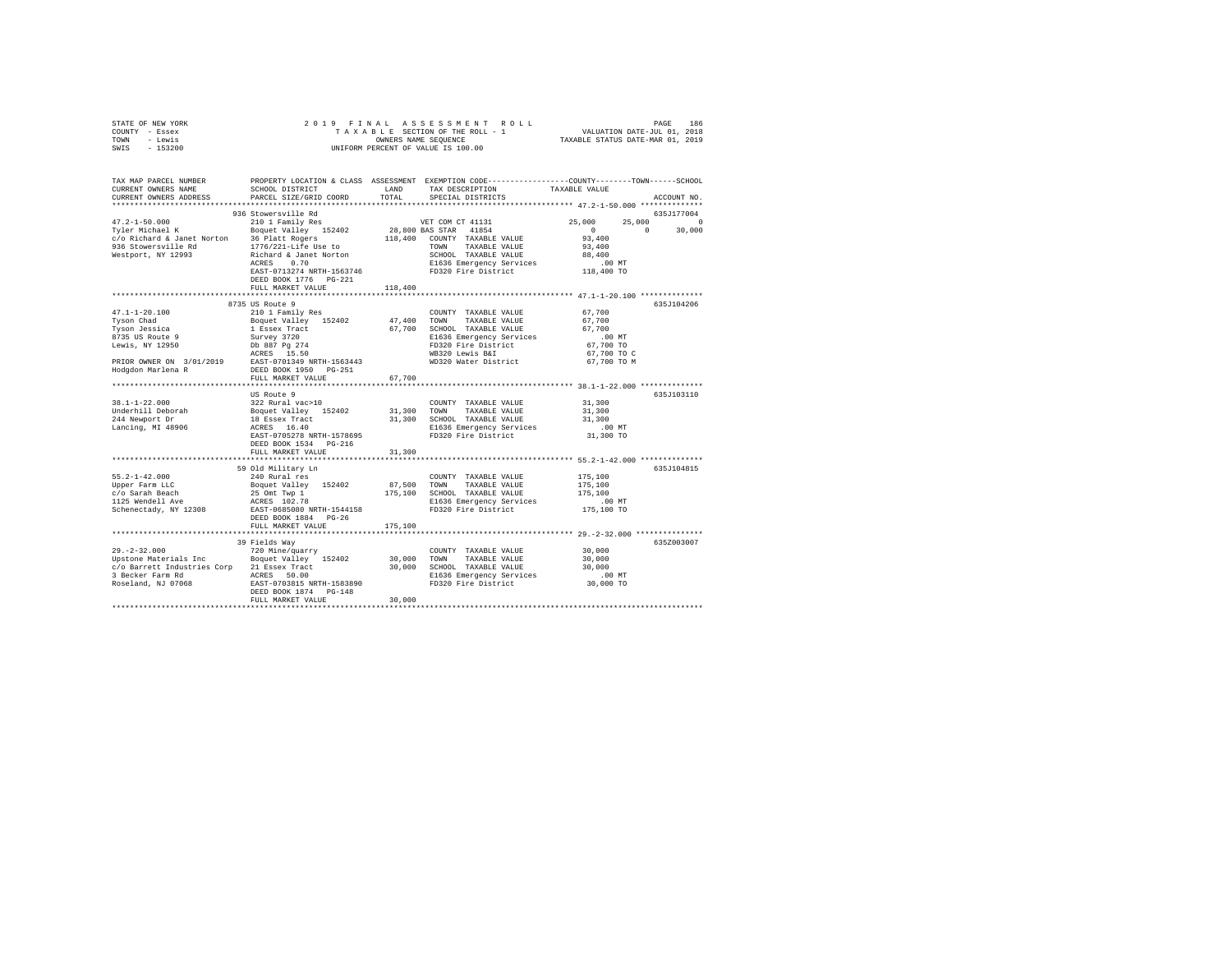| STATE OF NEW YORK |  | 2019 FINAL ASSESSMENT ROLL         | PAGE                             | 186 |
|-------------------|--|------------------------------------|----------------------------------|-----|
| COUNTY - Essex    |  | TAXABLE SECTION OF THE ROLL - 1    | VALUATION DATE-JUL 01, 2018      |     |
| TOWN<br>- Lewis   |  | OWNERS NAME SEOUENCE               | TAXABLE STATUS DATE-MAR 01, 2019 |     |
| $-153200$<br>SWIS |  | UNIFORM PERCENT OF VALUE IS 100.00 |                                  |     |

| TAX MAP PARCEL NUMBER<br>CURRENT OWNERS NAME<br>CURRENT OWNERS ADDRESS                                                                                | SCHOOL DISTRICT<br>PARCEL SIZE/GRID COORD            | LAND<br>TOTAL | PROPERTY LOCATION & CLASS ASSESSMENT EXEMPTION CODE----------------COUNTY-------TOWN------SCHOOL<br>TAX DESCRIPTION<br>SPECIAL DISTRICTS | TAXABLE VALUE                                                     | ACCOUNT NO. |
|-------------------------------------------------------------------------------------------------------------------------------------------------------|------------------------------------------------------|---------------|------------------------------------------------------------------------------------------------------------------------------------------|-------------------------------------------------------------------|-------------|
|                                                                                                                                                       |                                                      |               |                                                                                                                                          |                                                                   |             |
|                                                                                                                                                       | 936 Stowersville Rd                                  |               |                                                                                                                                          |                                                                   | 635J177004  |
| $47.2 - 1 - 50.000$                                                                                                                                   | 210 1 Family Res                                     |               |                                                                                                                                          | 25,000<br>25,000                                                  |             |
| Tyler Michael K                                                                                                                                       | Boquet Valley 152402                                 |               | VET COM CT 41131<br>28,800 BAS STAR 41854                                                                                                | $\sim$ 0<br>$\Omega$                                              | 30,000      |
| c/o Richard & Janet Norton                                                                                                                            | 36 Platt Rogers                                      |               | 118,400 COUNTY TAXABLE VALUE                                                                                                             | 93,400                                                            |             |
| 936 Stowersville Rd 1776/221-Life Use to                                                                                                              |                                                      |               | TOWN TAXABLE VALUE                                                                                                                       | 93,400                                                            |             |
| Westport, NY 12993                                                                                                                                    | Richard & Janet Norton<br>ACRES      0.70            |               | SCHOOL TAXABLE VALUE                                                                                                                     | 88,400                                                            |             |
|                                                                                                                                                       | ACRES 0.70                                           |               | E1636 Emergency Services                                                                                                                 | .00 MT                                                            |             |
|                                                                                                                                                       | EAST-0713274 NRTH-1563746<br>DEED BOOK 1776 PG-221   |               | FD320 Fire District                                                                                                                      | 118,400 TO                                                        |             |
|                                                                                                                                                       | FULL MARKET VALUE                                    | 118,400       |                                                                                                                                          |                                                                   |             |
|                                                                                                                                                       |                                                      |               |                                                                                                                                          | *********************************** 47.1-1-20.100 *************** |             |
|                                                                                                                                                       | 8735 US Route 9                                      |               |                                                                                                                                          |                                                                   | 635J104206  |
| $47.1 - 1 - 20.100$                                                                                                                                   | 210 1 Family Res                                     |               | COUNTY TAXABLE VALUE                                                                                                                     | 67,700                                                            |             |
| Tyson Chad                                                                                                                                            |                                                      | 47,400 TOWN   | TAXABLE VALUE                                                                                                                            | 67,700                                                            |             |
| Tyson Jessica<br>8735 US Route 9                                                                                                                      | Boquet Valley 152402<br>1 Essex Tract<br>Survey 3720 | 67,700        | SCHOOL TAXABLE VALUE                                                                                                                     | 67,700                                                            |             |
| Lewis, NY 12950                                                                                                                                       |                                                      |               | E1636 Emergency Services<br>FD320 Fire District                                                                                          | $.00$ MT<br>67,700 TO                                             |             |
|                                                                                                                                                       | Db 887 Pg 274<br>ACRES 15.50                         |               | WB320 Lewis B&I                                                                                                                          | 67,700 TO C                                                       |             |
|                                                                                                                                                       |                                                      |               | WD320 Water District                                                                                                                     | 67,700 TO M                                                       |             |
|                                                                                                                                                       |                                                      |               |                                                                                                                                          |                                                                   |             |
|                                                                                                                                                       | FULL MARKET VALUE                                    | 67,700        |                                                                                                                                          |                                                                   |             |
|                                                                                                                                                       | *********************                                |               |                                                                                                                                          | ************************* 38.1-1-22.000 ***************           |             |
|                                                                                                                                                       | US Route 9                                           |               |                                                                                                                                          |                                                                   | 635J103110  |
| $38.1 - 1 - 22.000$                                                                                                                                   | 322 Rural vac>10                                     |               | COUNTY TAXABLE VALUE                                                                                                                     | 31,300                                                            |             |
| Underhill Deborah                                                                                                                                     | Boquet Valley 152402 31,300                          |               | TOWN TAXABLE VALUE                                                                                                                       | 31,300                                                            |             |
| 244 Newport Dr                                                                                                                                        | 18 Essex Tract                                       | 31,300        | SCHOOL TAXABLE VALUE                                                                                                                     | 31,300                                                            |             |
| Lancing, MI 48906                                                                                                                                     | ACRES 16.40                                          |               | E1636 Emergency Services                                                                                                                 | .00 MT                                                            |             |
|                                                                                                                                                       | EAST-0705278 NRTH-1578695                            |               | FD320 Fire District                                                                                                                      | 31,300 TO                                                         |             |
|                                                                                                                                                       | DEED BOOK 1534 PG-216                                |               |                                                                                                                                          |                                                                   |             |
|                                                                                                                                                       | FULL MARKET VALUE                                    | 31,300        |                                                                                                                                          |                                                                   |             |
|                                                                                                                                                       |                                                      |               |                                                                                                                                          |                                                                   |             |
|                                                                                                                                                       | 59 Old Military Ln                                   |               |                                                                                                                                          |                                                                   | 635J104815  |
| $55.2 - 1 - 42.000$                                                                                                                                   | 240 Rural res                                        | 87.500 TOWN   | COUNTY TAXABLE VALUE                                                                                                                     | 175,100                                                           |             |
| Upper Farm LLC<br>c/o Sarah Beach                                                                                                                     |                                                      |               | TAXABLE VALUE                                                                                                                            | 175,100<br>175,100                                                |             |
| 1125 Wendell Ave                                                                                                                                      | Boquet Valley 152402<br>25 Omt Twp 1<br>ACRES 102.78 |               | 175,100 SCHOOL TAXABLE VALUE<br>E1636 Emergency Services                                                                                 | $.00$ MT                                                          |             |
| Schenectady, NY 12308 EAST-0685080 NRTH-1544158                                                                                                       |                                                      |               | FD320 Fire District                                                                                                                      | 175,100 TO                                                        |             |
|                                                                                                                                                       | DEED BOOK 1884 PG-26                                 |               |                                                                                                                                          |                                                                   |             |
|                                                                                                                                                       | FULL MARKET VALUE                                    | 175,100       |                                                                                                                                          |                                                                   |             |
|                                                                                                                                                       |                                                      |               |                                                                                                                                          |                                                                   |             |
|                                                                                                                                                       | 39 Fields Way                                        |               |                                                                                                                                          |                                                                   | 635Z003007  |
| $29. -2 - 32.000$                                                                                                                                     | 720 Mine/quarry                                      |               | COUNTY TAXABLE VALUE                                                                                                                     | 30,000                                                            |             |
| Upstone Materials Inc Boquet Valley 152402                                                                                                            |                                                      |               | 30,000 TOWN TAXABLE VALUE                                                                                                                | 30,000                                                            |             |
| c/o Barrett Industries Corp 21 Essex Tract 30,000 SCHOOL TAXABLE VALUE<br>2 Booken Barrett Industries Corp 21 Essex Tract 30,000 SCHOOL TAXABLE VALUE |                                                      |               |                                                                                                                                          | 30,000                                                            |             |
|                                                                                                                                                       |                                                      |               | E1636 Emergency Services                                                                                                                 | .00 MT                                                            |             |
|                                                                                                                                                       |                                                      |               | FD320 Fire District                                                                                                                      | 30,000 TO                                                         |             |
|                                                                                                                                                       | DEED BOOK 1874 PG-148                                |               |                                                                                                                                          |                                                                   |             |
|                                                                                                                                                       | FULL MARKET VALUE                                    | 30,000        |                                                                                                                                          |                                                                   |             |
|                                                                                                                                                       |                                                      |               |                                                                                                                                          |                                                                   |             |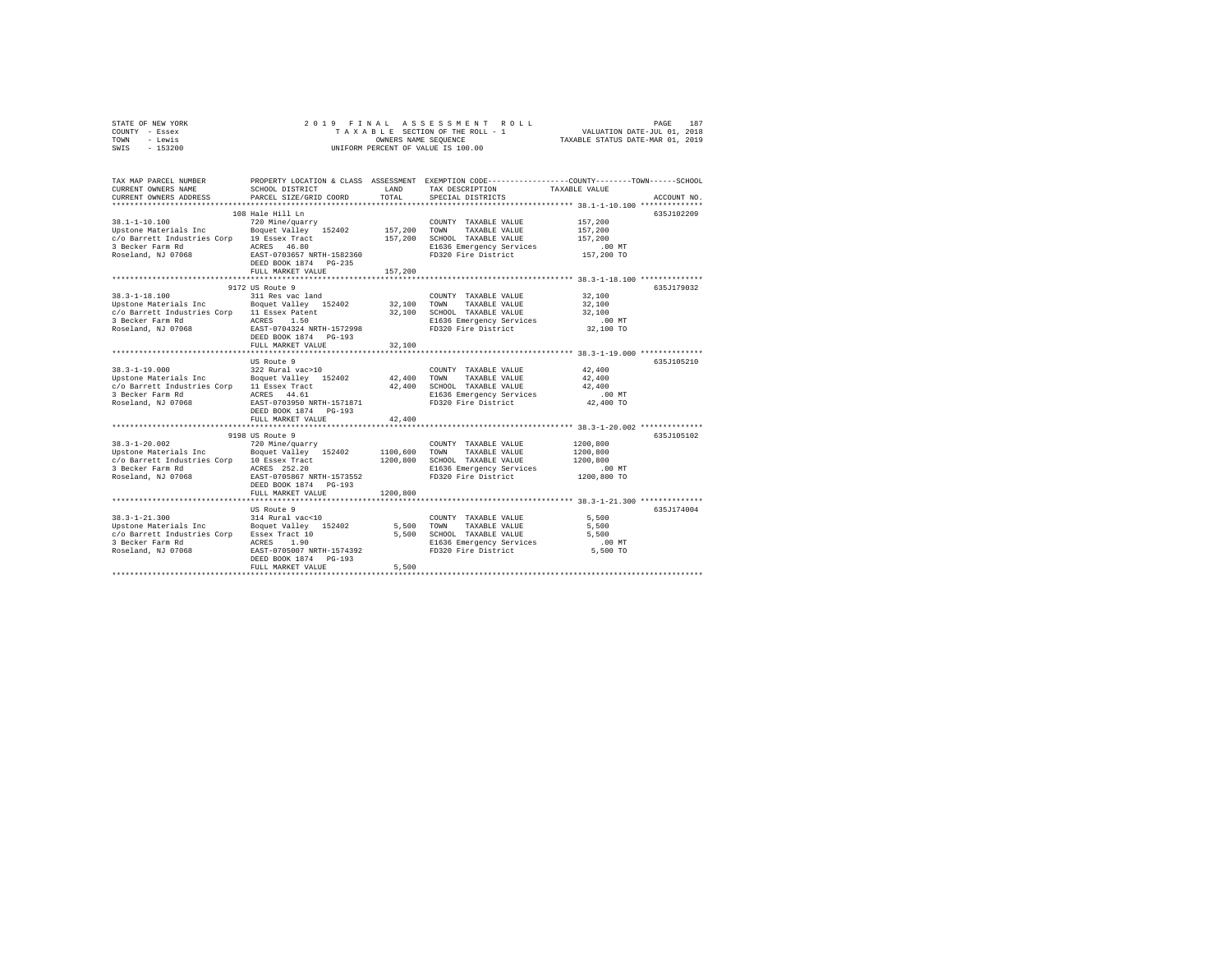| STATE OF NEW YORK | 2019 FINAL ASSESSMENT ROLL         | 187<br>PAGE                      |
|-------------------|------------------------------------|----------------------------------|
| COUNTY - Essex    | TAXABLE SECTION OF THE ROLL - 1    | VALUATION DATE-JUL 01, 2018      |
| TOWN<br>- Lewis   | OWNERS NAME SEOUENCE               | TAXABLE STATUS DATE-MAR 01, 2019 |
| $-153200$<br>SWIS | UNIFORM PERCENT OF VALUE IS 100.00 |                                  |

| TAX MAP PARCEL NUMBER<br>CURRENT OWNERS NAME<br>CURRENT OWNERS ADDRESS                                                                                                           | SCHOOL DISTRICT<br>PARCEL SIZE/GRID COORD                                                                                         | LAND<br>TOTAL       | PROPERTY LOCATION & CLASS ASSESSMENT EXEMPTION CODE----------------COUNTY-------TOWN-----SCHOOL<br>TAX DESCRIPTION<br>SPECIAL DISTRICTS | TAXABLE VALUE                                             | ACCOUNT NO. |
|----------------------------------------------------------------------------------------------------------------------------------------------------------------------------------|-----------------------------------------------------------------------------------------------------------------------------------|---------------------|-----------------------------------------------------------------------------------------------------------------------------------------|-----------------------------------------------------------|-------------|
| $38.1 - 1 - 10.100$<br>Upstone Materials Inc Boquet Valley 152402<br>c/o Barrett Industries Corp 19 Essex Tract                                                                  | 108 Hale Hill Ln<br>720 Mine/quarry                                                                                               | 157,200             | COUNTY TAXABLE VALUE<br>TOWN<br>TAXABLE VALUE<br>157,200 SCHOOL TAXABLE VALUE                                                           | 157,200<br>157,200<br>157,200                             | 635J102209  |
| 3 Becker Farm Rd<br>Roseland, NJ 07068                                                                                                                                           | ACRES 46.80<br>EAST-0703657 NRTH-1582360<br>DEED BOOK 1874 PG-235<br>FULL MARKET VALUE                                            | 157,200             | E1636 Emergency Services<br>FD320 Fire District                                                                                         | $.00$ MT<br>157,200 TO                                    |             |
|                                                                                                                                                                                  |                                                                                                                                   | ****************    | *********************************** 38.3-1-18.100 **************                                                                        |                                                           |             |
| $38.3 - 1 - 18.100$<br>Upstone Materials Inc Boquet Valley 152402<br>c/o Barrett Industries Corp 11 Essex Patent<br>3 Becker Farm Rd                                             | 9172 US Route 9<br>311 Res vac land<br>ACRES 1.50<br>EAST-0704324 NRTH-1572998                                                    |                     | COUNTY TAXABLE VALUE<br>32,100 TOWN TAXABLE VALUE<br>32,100 SCHOOL TAXABLE VALUE<br>E1636 Emergency Services                            | 32,100<br>32,100<br>32,100<br>$.00$ MT<br>32,100 TO       | 635J179032  |
| Roseland, NJ 07068                                                                                                                                                               | DEED BOOK 1874 PG-193<br>FULL MARKET VALUE                                                                                        | 32,100              | FD320 Fire District                                                                                                                     |                                                           |             |
|                                                                                                                                                                                  |                                                                                                                                   |                     |                                                                                                                                         |                                                           |             |
| $38.3 - 1 - 19.000$<br>Upstone Materials Inc<br>CONSTRUCT Industries Corp 11 Essex Tract<br>2.5 Sarrett Industries Corp 11 Essex Tract<br>3 Becker Farm Rd<br>Roseland, NJ 07068 | US Route 9<br>322 Rural vac>10<br>Boquet Valley 152402<br>ACRES 44.61<br>EAST-0703950 NRTH-1571871<br>DEED BOOK 1874 PG-193       |                     | COUNTY TAXABLE VALUE<br>42,400 TOWN TAXABLE VALUE<br>42,400 SCHOOL TAXABLE VALUE<br>E1636 Emergency Services<br>FD320 Fire District     | 42,400<br>42,400<br>42,400<br>$.00$ MT<br>42,400 TO       | 635J105210  |
|                                                                                                                                                                                  | FULL MARKET VALUE                                                                                                                 | 42,400              |                                                                                                                                         |                                                           |             |
| $38.3 - 1 - 20.002$<br>Upstone Materials Inc Boquet Valley 152402<br>c/o Barrett Industries Corp 10 Essex Tract<br>3 Becker Farm Rd<br>Roseland, NJ 07068                        | 9198 US Route 9<br>720 Mine/guarry<br>ACRES 252.20<br>EAST-0705867 NRTH-1573552<br>DEED BOOK 1874 PG-193                          | 1100,600            | COUNTY TAXABLE VALUE<br>TOWN<br>TAXABLE VALUE<br>1200.800 SCHOOL TAXABLE VALUE<br>E1636 Emergency Services<br>FD320 Fire District       | 1200,800<br>1200,800<br>1200,800<br>.00 MT<br>1200,800 TO | 635J105102  |
|                                                                                                                                                                                  | FULL MARKET VALUE                                                                                                                 | 1200,800            |                                                                                                                                         |                                                           |             |
|                                                                                                                                                                                  | US Route 9                                                                                                                        |                     |                                                                                                                                         |                                                           | 635J174004  |
| $38.3 - 1 - 21.300$<br>Upstone Materials Inc<br>c/o Barrett Industries Corp Essex Tract 10<br>3 Becker Farm Rd<br>Roseland, NJ 07068                                             | 314 Rural vac<10<br>Boquet Valley 152402<br>ACRES 1.90<br>EAST-0705007 NRTH-1574392<br>DEED BOOK 1874 PG-193<br>FULL MARKET VALUE | 5,500 TOWN<br>5,500 | COUNTY TAXABLE VALUE<br>TAXABLE VALUE<br>5,500 SCHOOL TAXABLE VALUE<br>E1636 Emergency Services<br>FD320 Fire District                  | 5,500<br>5,500<br>5,500<br>.00MT<br>5,500 TO              |             |
|                                                                                                                                                                                  |                                                                                                                                   |                     |                                                                                                                                         |                                                           |             |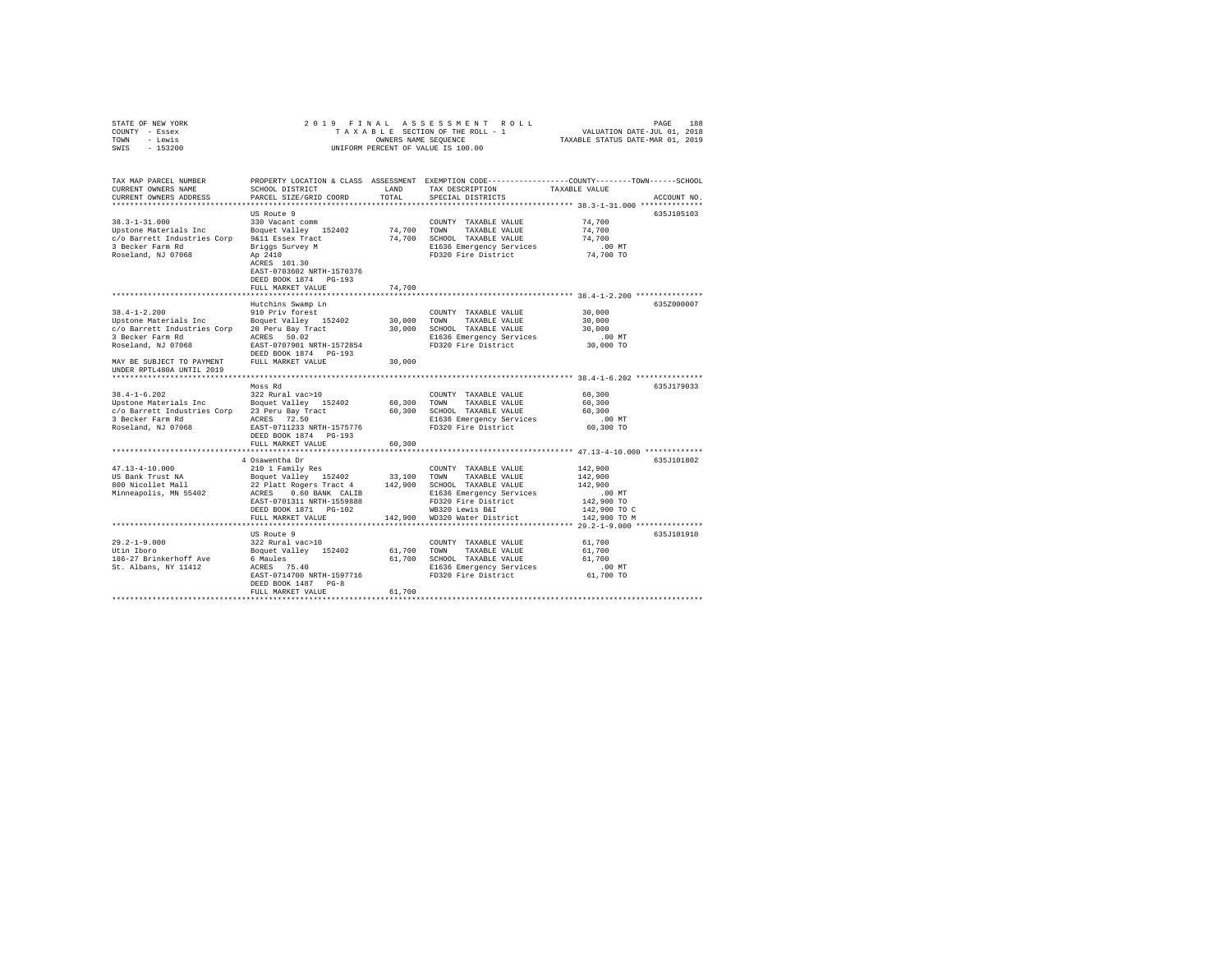| STATE OF NEW YORK           | 2019 FINAL                                                                 |         | ASSESSMENT ROLL                                                                                 |                                  |             |
|-----------------------------|----------------------------------------------------------------------------|---------|-------------------------------------------------------------------------------------------------|----------------------------------|-------------|
| COUNTY - Essex              | PAGE 188<br>VALUATION DATE-JUL 01, 2018<br>TAXABLE SECTION OF THE ROLL - 1 |         |                                                                                                 |                                  |             |
| TOWN<br>- Lewis             |                                                                            |         | OWNERS NAME SEQUENCE                                                                            | TAXABLE STATUS DATE-MAR 01, 2019 |             |
| $-153200$<br>SWIS           |                                                                            |         | UNIFORM PERCENT OF VALUE IS 100.00                                                              |                                  |             |
|                             |                                                                            |         |                                                                                                 |                                  |             |
|                             |                                                                            |         |                                                                                                 |                                  |             |
|                             |                                                                            |         |                                                                                                 |                                  |             |
| TAX MAP PARCEL NUMBER       |                                                                            |         | PROPERTY LOCATION & CLASS ASSESSMENT EXEMPTION CODE----------------COUNTY-------TOWN-----SCHOOL |                                  |             |
| CURRENT OWNERS NAME         | SCHOOL DISTRICT                                                            | LAND    | TAX DESCRIPTION                                                                                 | TAXABLE VALUE                    |             |
| CURRENT OWNERS ADDRESS      | PARCEL SIZE/GRID COORD                                                     | TOTAL   | SPECIAL DISTRICTS                                                                               |                                  | ACCOUNT NO. |
|                             |                                                                            |         |                                                                                                 |                                  |             |
|                             | US Route 9                                                                 |         |                                                                                                 |                                  | 635J105103  |
| $38.3 - 1 - 31.000$         | 330 Vacant comm                                                            |         | COUNTY TAXABLE VALUE                                                                            | 74,700                           |             |
| Upstone Materials Inc       | Boquet Valley 152402                                                       | 74,700  | TOWN<br>TAXABLE VALUE                                                                           | 74,700                           |             |
| c/o Barrett Industries Corp | 9&11 Essex Tract                                                           | 74,700  | SCHOOL TAXABLE VALUE                                                                            | 74,700                           |             |
| 3 Becker Farm Rd            | Briggs Survey M                                                            |         | E1636 Emergency Services                                                                        | $.00$ MT                         |             |
| Roseland, NJ 07068          | Ap 2410                                                                    |         | FD320 Fire District                                                                             | 74,700 TO                        |             |
|                             | ACRES 101.30                                                               |         |                                                                                                 |                                  |             |
|                             | EAST-0703602 NRTH-1570376                                                  |         |                                                                                                 |                                  |             |
|                             | DEED BOOK 1874 PG-193                                                      |         |                                                                                                 |                                  |             |
|                             | FULL MARKET VALUE                                                          | 74,700  |                                                                                                 |                                  |             |
|                             |                                                                            |         |                                                                                                 |                                  |             |
|                             | Hutchins Swamp Ln                                                          |         |                                                                                                 |                                  | 635Z000007  |
|                             |                                                                            |         |                                                                                                 |                                  |             |
| $38.4 - 1 - 2.200$          | 910 Priv forest                                                            |         | COUNTY TAXABLE VALUE                                                                            | 30,000                           |             |
| Upstone Materials Inc       | Boquet Valley 152402                                                       | 30,000  | TOWN<br>TAXABLE VALUE                                                                           | 30,000                           |             |
| c/o Barrett Industries Corp | 20 Peru Bay Tract                                                          | 30,000  | SCHOOL TAXABLE VALUE                                                                            | 30,000                           |             |
| 3 Becker Farm Rd            | ACRES 50.02                                                                |         | E1636 Emergency Services                                                                        | $.00$ MT                         |             |
| Roseland, NJ 07068          | EAST-0707901 NRTH-1572854                                                  |         | FD320 Fire District                                                                             | 30,000 TO                        |             |
|                             | DEED BOOK 1874 PG-193                                                      |         |                                                                                                 |                                  |             |
| MAY BE SUBJECT TO PAYMENT   | FULL MARKET VALUE                                                          | 30,000  |                                                                                                 |                                  |             |
| UNDER RPTL480A UNTIL 2019   |                                                                            |         |                                                                                                 |                                  |             |
|                             |                                                                            |         |                                                                                                 |                                  |             |
|                             | Moss Rd                                                                    |         |                                                                                                 |                                  | 635J179033  |
| $38.4 - 1 - 6.202$          | 322 Rural vac>10                                                           |         | COUNTY TAXABLE VALUE                                                                            | 60,300                           |             |
| Upstone Materials Inc       | Boquet Valley 152402                                                       | 60,300  | TOWN<br>TAXABLE VALUE                                                                           | 60,300                           |             |
|                             |                                                                            | 60,300  | SCHOOL TAXABLE VALUE                                                                            | 60,300                           |             |
| 3 Becker Farm Rd            |                                                                            |         | E1636 Emergency Services                                                                        | $.00$ MT                         |             |
| Roseland, NJ 07068          | EAST-0711233 NRTH-1575776                                                  |         | FD320 Fire District                                                                             | 60.300 TO                        |             |
|                             | DEED BOOK 1874 PG-193                                                      |         |                                                                                                 |                                  |             |
|                             | FULL MARKET VALUE                                                          | 60,300  |                                                                                                 |                                  |             |
|                             | ***************************                                                |         |                                                                                                 |                                  |             |
|                             | 4 Osawentha Dr                                                             |         |                                                                                                 |                                  | 635J101802  |
| $47.13 - 4 - 10.000$        | 210 1 Family Res                                                           |         | COUNTY TAXABLE VALUE                                                                            | 142,900                          |             |
| US Bank Trust NA            | Boquet Valley 152402                                                       | 33,100  | TOWN<br>TAXABLE VALUE                                                                           | 142,900                          |             |
| 800 Nicollet Mall           | 22 Platt Rogers Tract 4                                                    | 142,900 | SCHOOL TAXABLE VALUE                                                                            | 142,900                          |             |
| Minneapolis, MN 55402       | ACRES 0.60 BANK CALIB                                                      |         | E1636 Emergency Services                                                                        | $.00$ MT                         |             |
|                             | EAST-0701311 NRTH-1559888                                                  |         | FD320 Fire District                                                                             | 142,900 TO                       |             |
|                             |                                                                            |         |                                                                                                 |                                  |             |
|                             | DEED BOOK 1871 PG-102                                                      |         | WB320 Lewis B&I                                                                                 | 142,900 TO C                     |             |
|                             | FULL MARKET VALUE                                                          |         | 142,900 WD320 Water District                                                                    | 142,900 TO M                     |             |
|                             |                                                                            |         |                                                                                                 |                                  |             |
|                             | US Route 9                                                                 |         |                                                                                                 |                                  | 635J101910  |
| $29.2 - 1 - 9.000$          | 322 Rural vac>10                                                           |         | COUNTY TAXABLE VALUE                                                                            | 61,700                           |             |
| Utin Iboro                  | Boquet Valley 152402                                                       | 61,700  | TOWN<br>TAXABLE VALUE                                                                           | 61,700                           |             |
| 186-27 Brinkerhoff Ave      | 6 Maules                                                                   | 61,700  | SCHOOL TAXABLE VALUE                                                                            | 61,700                           |             |
| St. Albans, NY 11412        | ACRES 75.40                                                                |         | E1636 Emergency Services                                                                        | $.00$ MT                         |             |
|                             | EAST-0714700 NRTH-1597716                                                  |         | FD320 Fire District                                                                             | 61,700 TO                        |             |
|                             | DEED BOOK 1487 PG-8                                                        |         |                                                                                                 |                                  |             |
|                             | FULL MARKET VALUE                                                          | 61,700  |                                                                                                 |                                  |             |
|                             |                                                                            |         |                                                                                                 |                                  |             |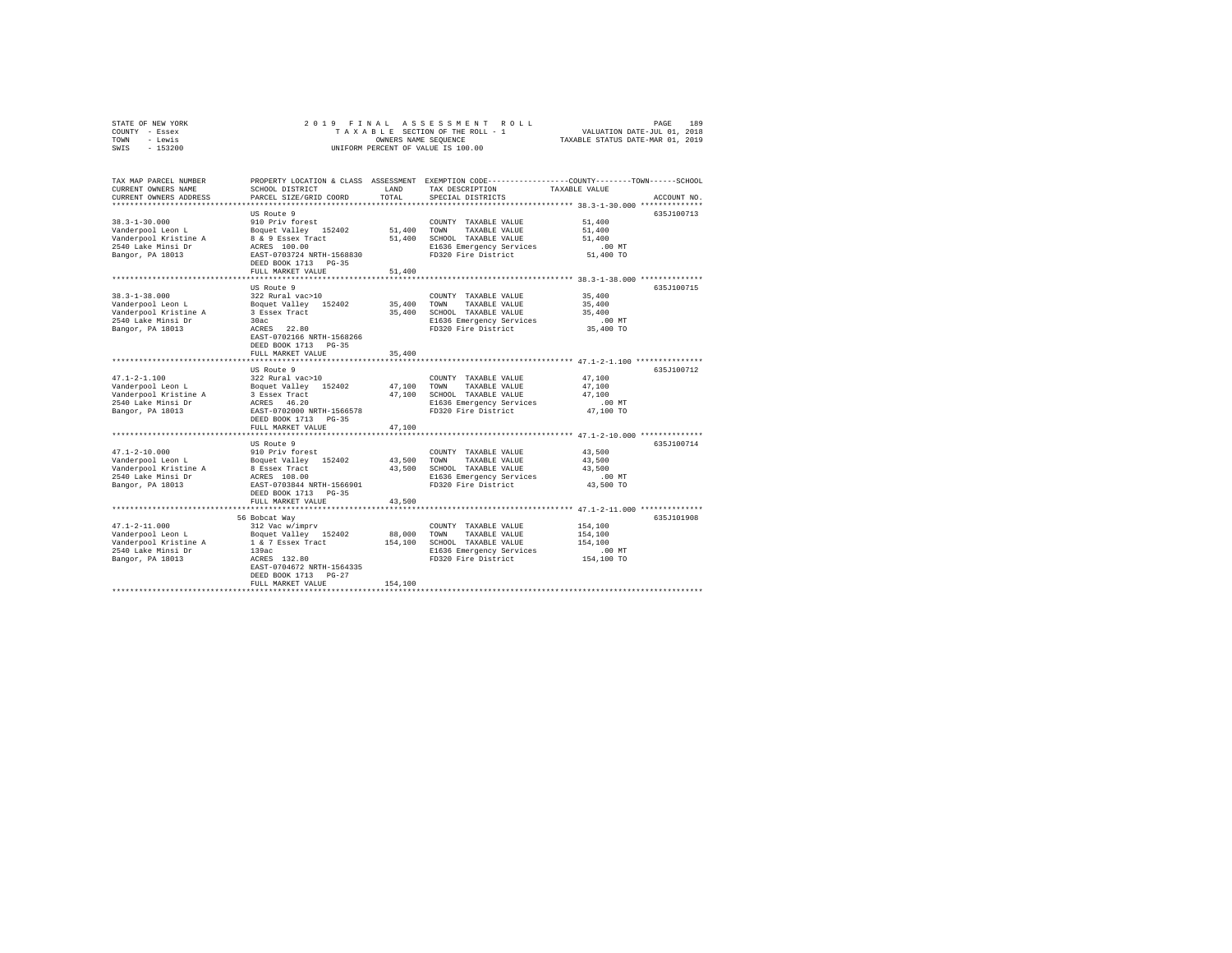| SWIS<br>$-153200$                           |                                                                   |         | OWNERS NAME SEQUENCE<br>UNIFORM PERCENT OF VALUE IS 100.00                                      | TAXABLE STATUS DATE-MAR 01, 2019                           |             |
|---------------------------------------------|-------------------------------------------------------------------|---------|-------------------------------------------------------------------------------------------------|------------------------------------------------------------|-------------|
| TAX MAP PARCEL NUMBER                       |                                                                   |         | PROPERTY LOCATION & CLASS ASSESSMENT EXEMPTION CODE---------------COUNTY-------TOWN------SCHOOL |                                                            |             |
| CURRENT OWNERS NAME                         | SCHOOL DISTRICT                                                   | LAND    | TAX DESCRIPTION                                                                                 | TAXABLE VALUE                                              |             |
| CURRENT OWNERS ADDRESS                      | PARCEL SIZE/GRID COORD                                            | TOTAL   | SPECIAL DISTRICTS                                                                               |                                                            | ACCOUNT NO. |
|                                             | US Route 9                                                        |         |                                                                                                 |                                                            | 635J100713  |
| $38.3 - 1 - 30.000$                         | 910 Priv forest                                                   |         | COUNTY TAXABLE VALUE                                                                            | 51,400                                                     |             |
| Vanderpool Leon L                           | Boquet Valley 152402                                              | 51,400  | TOWN<br>TAXABLE VALUE                                                                           | 51,400                                                     |             |
| Vanderpool Kristine A                       | 8 & 9 Essex Tract                                                 | 51,400  | SCHOOL TAXABLE VALUE                                                                            | 51,400                                                     |             |
| 2540 Lake Minsi Dr                          | ACRES 100.00                                                      |         | E1636 Emergency Services                                                                        | $.00$ MT                                                   |             |
| Bangor, PA 18013                            | EAST-0703724 NRTH-1568830<br>DEED BOOK 1713 PG-35                 |         | FD320 Fire District                                                                             | 51,400 TO                                                  |             |
|                                             | FULL MARKET VALUE                                                 | 51,400  |                                                                                                 |                                                            |             |
|                                             |                                                                   |         |                                                                                                 |                                                            |             |
|                                             | US Route 9                                                        |         |                                                                                                 |                                                            | 635J100715  |
| $38.3 - 1 - 38.000$                         | 322 Rural vac>10                                                  |         | COUNTY TAXABLE VALUE                                                                            | 35,400                                                     |             |
| Vanderpool Leon L                           | Boquet Valley 152402                                              | 35,400  | TOWN<br>TAXABLE VALUE                                                                           | 35,400                                                     |             |
| Vanderpool Kristine A<br>2540 Lake Minsi Dr | 3 Essex Tract<br>30ac                                             | 35,400  | SCHOOL TAXABLE VALUE<br>E1636 Emergency Services                                                | 35,400<br>$.00$ MT                                         |             |
| Bangor, PA 18013                            | ACRES 22.80                                                       |         | FD320 Fire District                                                                             | 35,400 TO                                                  |             |
|                                             | EAST-0702166 NRTH-1568266<br>DEED BOOK 1713 PG-35                 |         |                                                                                                 |                                                            |             |
|                                             | FULL MARKET VALUE                                                 | 35,400  |                                                                                                 |                                                            |             |
|                                             |                                                                   |         |                                                                                                 |                                                            |             |
|                                             | US Route 9                                                        |         |                                                                                                 |                                                            | 635J100712  |
| $47.1 - 2 - 1.100$                          | 322 Rural vac>10                                                  |         | COUNTY TAXABLE VALUE                                                                            | 47.100                                                     |             |
|                                             | Boquet Valley 152402                                              |         |                                                                                                 |                                                            |             |
| Vanderpool Leon L                           |                                                                   | 47,100  | TOWN<br>TAXABLE VALUE                                                                           | 47,100                                                     |             |
| Vanderpool Kristine A                       | 3 Essex Tract                                                     | 47,100  | SCHOOL TAXABLE VALUE                                                                            | 47,100                                                     |             |
| 2540 Lake Minsi Dr                          | ACRES 46.20                                                       |         | E1636 Emergency Services                                                                        | $.00$ MT                                                   |             |
| Bangor, PA 18013                            | EAST-0702000 NRTH-1566578                                         |         | FD320 Fire District                                                                             | 47,100 TO                                                  |             |
|                                             | DEED BOOK 1713 PG-35                                              |         |                                                                                                 |                                                            |             |
|                                             | FULL MARKET VALUE<br>*******************************              | 47,100  |                                                                                                 | ***************************** 47.1-2-10.000 ************** |             |
|                                             | US Route 9                                                        |         |                                                                                                 |                                                            | 635J100714  |
| $47.1 - 2 - 10.000$                         | 910 Priv forest                                                   |         | COUNTY TAXABLE VALUE                                                                            | 43,500                                                     |             |
| Vanderpool Leon L                           | Boquet Valley 152402                                              | 43,500  | TOWN<br>TAXABLE VALUE                                                                           | 43,500                                                     |             |
| Vanderpool Kristine A                       | 8 Essex Tract                                                     | 43.500  | SCHOOL TAXABLE VALUE                                                                            | 43,500                                                     |             |
| 2540 Lake Minsi Dr                          | ACRES 108.00                                                      |         | E1636 Emergency Services                                                                        | $.00$ MT                                                   |             |
| Bangor, PA 18013                            | EAST-0703844 NRTH-1566901<br>DEED BOOK 1713 PG-35                 |         | FD320 Fire District                                                                             | 43,500 TO                                                  |             |
|                                             | FULL MARKET VALUE<br>***********************                      | 43,500  |                                                                                                 |                                                            |             |
|                                             |                                                                   |         |                                                                                                 | **************************** 47.1-2-11.000 **************  | 635.T101908 |
| $47.1 - 2 - 11.000$                         | 56 Bobcat Way                                                     |         | COUNTY TAXABLE VALUE                                                                            | 154,100                                                    |             |
| Vanderpool Leon L                           | 312 Vac w/imprv<br>Boquet Valley 152402                           | 88,000  | TOWN<br>TAXABLE VALUE                                                                           | 154,100                                                    |             |
| Vanderpool Kristine A                       | 1 & 7 Essex Tract                                                 | 154,100 | SCHOOL TAXABLE VALUE                                                                            | 154,100                                                    |             |
| 2540 Lake Minsi Dr                          | 139ac                                                             |         | E1636 Emergency Services                                                                        | $.00$ MT                                                   |             |
| Bangor, PA 18013                            | ACRES 132.80<br>EAST-0704672 NRTH-1564335<br>DEED BOOK 1713 PG-27 |         | FD320 Fire District                                                                             | 154,100 TO                                                 |             |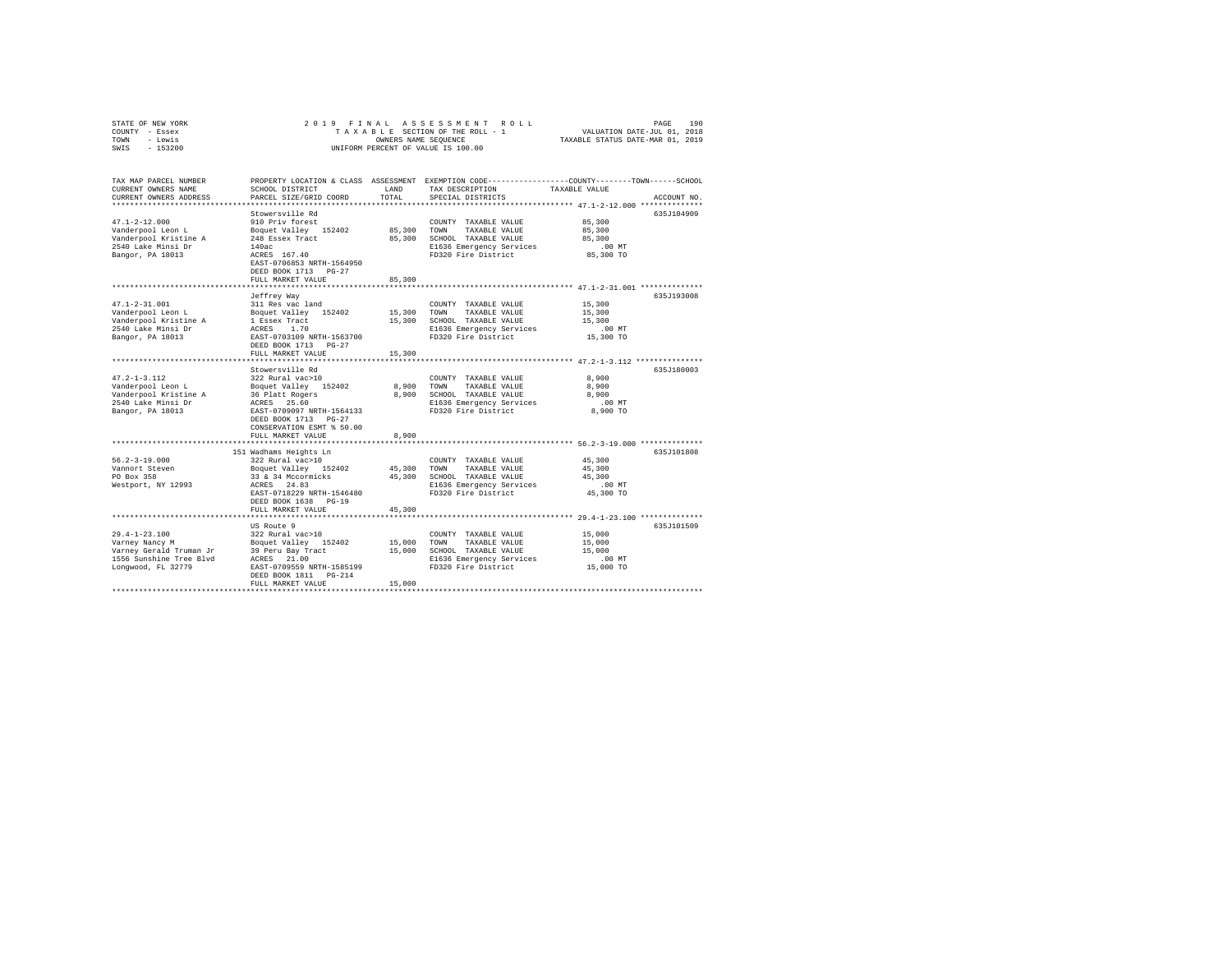| - Lewis<br>TOWN<br>SWIS<br>$-153200$          | OWNERS NAME SEQUENCE<br>UNIFORM PERCENT OF VALUE IS 100.00 |                           | TAXABLE STATUS DATE-MAR 01, 2019                                                                |                                                          |             |
|-----------------------------------------------|------------------------------------------------------------|---------------------------|-------------------------------------------------------------------------------------------------|----------------------------------------------------------|-------------|
|                                               |                                                            |                           |                                                                                                 |                                                          |             |
| TAX MAP PARCEL NUMBER                         |                                                            |                           | PROPERTY LOCATION & CLASS ASSESSMENT EXEMPTION CODE---------------COUNTY-------TOWN------SCHOOL |                                                          |             |
| CURRENT OWNERS NAME                           | SCHOOL DISTRICT                                            | LAND                      | TAX DESCRIPTION                                                                                 | TAXABLE VALUE                                            |             |
| CURRENT OWNERS ADDRESS                        | PARCEL SIZE/GRID COORD<br>*****************                | TOTAL<br>**************** | SPECIAL DISTRICTS                                                                               |                                                          | ACCOUNT NO. |
|                                               |                                                            |                           |                                                                                                 | ************************** 47.1-2-12.000 *************** |             |
|                                               | Stowersville Rd                                            |                           |                                                                                                 |                                                          | 635J104909  |
| $47.1 - 2 - 12.000$                           | 910 Priv forest                                            | 85,300                    | COUNTY TAXABLE VALUE                                                                            | 85,300<br>85,300                                         |             |
| Vanderpool Leon L<br>Vanderpool Kristine A    | Boquet Valley 152402<br>248 Essex Tract                    | 85,300                    | TOWN<br>TAXABLE VALUE<br>SCHOOL TAXABLE VALUE                                                   | 85,300                                                   |             |
| 2540 Lake Minsi Dr                            | 140ac                                                      |                           | E1636 Emergency Services                                                                        | .00MT                                                    |             |
| Bangor, PA 18013                              | ACRES 167.40                                               |                           | FD320 Fire District                                                                             | 85,300 TO                                                |             |
|                                               | EAST-0706853 NRTH-1564950                                  |                           |                                                                                                 |                                                          |             |
|                                               | DEED BOOK 1713 PG-27                                       |                           |                                                                                                 |                                                          |             |
|                                               | FULL MARKET VALUE                                          | 85,300                    |                                                                                                 |                                                          |             |
|                                               |                                                            |                           |                                                                                                 |                                                          |             |
|                                               | Jeffrey Way                                                |                           |                                                                                                 |                                                          | 635J193008  |
| $47.1 - 2 - 31.001$                           | 311 Res vac land                                           |                           | COUNTY TAXABLE VALUE                                                                            | 15,300                                                   |             |
| Vanderpool Leon L                             | Boquet Valley 152402                                       | 15,300                    | TOWN<br>TAXABLE VALUE                                                                           | 15,300                                                   |             |
| Vanderpool Kristine A                         | 1 Essex Tract                                              | 15,300                    | SCHOOL TAXABLE VALUE                                                                            | 15,300                                                   |             |
| 2540 Lake Minsi Dr                            | ACRES<br>1.70                                              |                           | E1636 Emergency Services                                                                        | .00 MT                                                   |             |
| Bangor, PA 18013                              | EAST-0703109 NRTH-1563700                                  |                           | FD320 Fire District                                                                             | 15,300 TO                                                |             |
|                                               | DEED BOOK 1713 PG-27                                       |                           |                                                                                                 |                                                          |             |
|                                               | FULL MARKET VALUE                                          | 15,300                    |                                                                                                 |                                                          |             |
|                                               |                                                            |                           |                                                                                                 | ******************** 47.2-1-3.112 ***************        |             |
|                                               | Stowersville Rd                                            |                           |                                                                                                 |                                                          | 635J180003  |
| $47.2 - 1 - 3.112$                            | 322 Rural vac>10                                           |                           | COUNTY TAXABLE VALUE                                                                            | 8,900                                                    |             |
| Vanderpool Leon L                             | Boquet Valley 152402                                       | 8,900<br>8,900            | TOWN<br>TAXABLE VALUE<br>SCHOOL TAXABLE VALUE                                                   | 8,900<br>8,900                                           |             |
| Vanderpool Kristine A<br>2540 Lake Minsi Dr   | 36 Platt Rogers<br>ACRES 25.60                             |                           | E1636 Emergency Services                                                                        | $.00$ MT                                                 |             |
| Bangor, PA 18013                              | EAST-0709097 NRTH-1564133                                  |                           | FD320 Fire District                                                                             | 8,900 TO                                                 |             |
|                                               | DEED BOOK 1713 PG-27                                       |                           |                                                                                                 |                                                          |             |
|                                               | CONSERVATION ESMT % 50.00                                  |                           |                                                                                                 |                                                          |             |
|                                               | FULL MARKET VALUE                                          | 8,900                     |                                                                                                 |                                                          |             |
|                                               |                                                            |                           | ******************************* 56.2-3-19.000 *************                                     |                                                          |             |
|                                               | 151 Wadhams Heights Ln                                     |                           |                                                                                                 |                                                          | 635J101808  |
| $56.2 - 3 - 19.000$                           | 322 Rural vac>10                                           |                           | COUNTY TAXABLE VALUE                                                                            | 45,300                                                   |             |
| Vannort Steven                                | Boquet Valley 152402                                       | 45,300                    | TOWN<br>TAXABLE VALUE                                                                           | 45,300                                                   |             |
| PO Box 358                                    | 33 & 34 Mccormicks                                         | 45,300                    | SCHOOL TAXABLE VALUE                                                                            | 45,300                                                   |             |
| Westport, NY 12993                            | ACRES 24.83                                                |                           | E1636 Emergency Services                                                                        | $.00$ MT                                                 |             |
|                                               | EAST-0718229 NRTH-1546480                                  |                           | FD320 Fire District                                                                             | 45,300 TO                                                |             |
|                                               | DEED BOOK 1638 PG-19                                       |                           |                                                                                                 |                                                          |             |
|                                               | FULL MARKET VALUE                                          | 45,300                    |                                                                                                 |                                                          |             |
|                                               | *******************                                        |                           |                                                                                                 | ************ 29.4-1-23.100 **************                |             |
|                                               | US Route 9                                                 |                           |                                                                                                 |                                                          | 635J101509  |
| $29.4 - 1 - 23.100$                           | 322 Rural vac>10                                           |                           | COUNTY TAXABLE VALUE                                                                            | 15,000                                                   |             |
| Varney Nancy M                                | Boquet Valley 152402                                       | 15,000                    | TOWN<br>TAXABLE VALUE                                                                           | 15,000                                                   |             |
| Varney Gerald Truman Jr                       | 39 Peru Bay Tract                                          | 15,000                    | SCHOOL TAXABLE VALUE                                                                            | 15,000                                                   |             |
| 1556 Sunshine Tree Blvd<br>Longwood, FL 32779 | ACRES 21.00<br>EAST-0709559 NRTH-1585199                   |                           | E1636 Emergency Services<br>FD320 Fire District                                                 | $.00$ MT<br>15,000 TO                                    |             |
|                                               | DEED BOOK 1811 PG-214                                      |                           |                                                                                                 |                                                          |             |
|                                               | FULL MARKET VALUE                                          | 15,000                    |                                                                                                 |                                                          |             |
|                                               |                                                            |                           |                                                                                                 |                                                          |             |

STATE OF NEW YORK 2 0 1 9 F I N A L A S S E S S M E N T R O L L PAGE 190 COUNTY - Essex T A X A B L E SECTION OF THE ROLL - 1 VALUATION DATE-JUL 01, 2018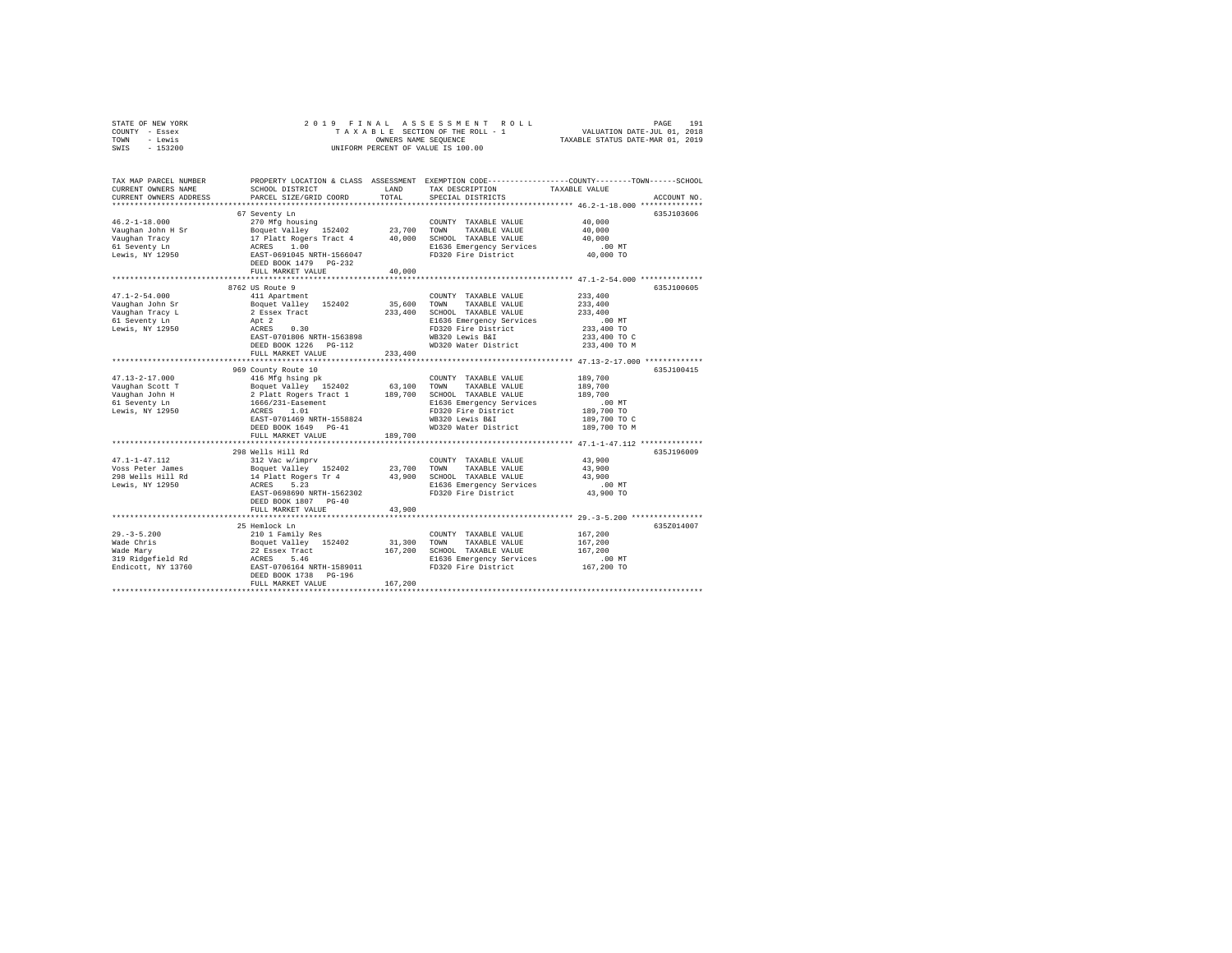| STATE OF NEW YORK | 2019 FINAL ASSESSMENT ROLL         | 191<br>PAGE                      |
|-------------------|------------------------------------|----------------------------------|
| COUNTY - Essex    | TAXABLE SECTION OF THE ROLL - 1    | VALUATION DATE-JUL 01, 2018      |
| TOWN<br>- Lewis   | OWNERS NAME SEOUENCE               | TAXABLE STATUS DATE-MAR 01, 2019 |
| SWIS - 153200     | UNIFORM PERCENT OF VALUE IS 100.00 |                                  |

| TAX MAP PARCEL NUMBER<br>CURRENT OWNERS NAME<br>CURRENT OWNERS ADDRESS | SCHOOL DISTRICT<br>PARCEL SIZE/GRID COORD                                                                                                                | LAND<br>TOTAL   | TAX DESCRIPTION<br>SPECIAL DISTRICTS | PROPERTY LOCATION & CLASS ASSESSMENT EXEMPTION CODE----------------COUNTY-------TOWN-----SCHOOL<br>TAXABLE VALUE<br>ACCOUNT NO. |
|------------------------------------------------------------------------|----------------------------------------------------------------------------------------------------------------------------------------------------------|-----------------|--------------------------------------|---------------------------------------------------------------------------------------------------------------------------------|
|                                                                        |                                                                                                                                                          |                 |                                      |                                                                                                                                 |
|                                                                        | 67 Seventy Ln                                                                                                                                            |                 |                                      | 635J103606                                                                                                                      |
| $46.2 - 1 - 18.000$                                                    | 270 Mfg housing                                                                                                                                          |                 | COUNTY TAXABLE VALUE                 | 40,000                                                                                                                          |
| Vaughan John H Sr                                                      | Boquet Valley 152402                                                                                                                                     | 23,700 TOWN     | TAXABLE VALUE                        | 40,000                                                                                                                          |
| Vaughan Tracy                                                          | 17 Platt Rogers Tract 4<br>ACRES 1.00                                                                                                                    |                 | 40,000 SCHOOL TAXABLE VALUE          | 40,000                                                                                                                          |
| 61 Seventy Ln                                                          |                                                                                                                                                          |                 | E1636 Emergency Services             | $.00$ MT                                                                                                                        |
| Lewis, NY 12950                                                        | EAST-0691045 NRTH-1566047                                                                                                                                |                 | FD320 Fire District                  | 40,000 TO                                                                                                                       |
|                                                                        | DEED BOOK 1479 PG-232                                                                                                                                    |                 |                                      |                                                                                                                                 |
|                                                                        | FULL MARKET VALUE                                                                                                                                        | 40,000          |                                      |                                                                                                                                 |
|                                                                        |                                                                                                                                                          | *************** |                                      | ********************************** 47.1-2-54.000 *************                                                                  |
|                                                                        | 8762 US Route 9                                                                                                                                          |                 |                                      | 635J100605                                                                                                                      |
| $47.1 - 2 - 54.000$                                                    | 411 Apartment                                                                                                                                            |                 | COUNTY TAXABLE VALUE                 | 233,400                                                                                                                         |
| Vaughan John Sr                                                        | Boquet Valley 152402                                                                                                                                     | 35,600          | TOWN<br>TAXABLE VALUE                | 233,400                                                                                                                         |
| Vaughan Tracy L                                                        | 2 Essex Tract                                                                                                                                            | 233,400         | SCHOOL TAXABLE VALUE                 | 233,400                                                                                                                         |
| 61 Seventy Ln                                                          | Apt 2                                                                                                                                                    |                 | E1636 Emergency Services             | .00 MT                                                                                                                          |
| Lewis, NY 12950                                                        | 0.30<br>ACRES                                                                                                                                            |                 | FD320 Fire District                  | 233,400 TO                                                                                                                      |
|                                                                        | EAST-0701806 NRTH-1563898                                                                                                                                |                 | WB320 Lewis B&I                      | 233,400 TO C                                                                                                                    |
|                                                                        | DEED BOOK 1226   PG-112                                                                                                                                  |                 | WD320 Water District                 | 233,400 TO M                                                                                                                    |
|                                                                        | FULL MARKET VALUE                                                                                                                                        | 233,400         |                                      |                                                                                                                                 |
|                                                                        |                                                                                                                                                          |                 |                                      |                                                                                                                                 |
|                                                                        | 969 County Route 10                                                                                                                                      |                 |                                      | 635J100415                                                                                                                      |
| $47.13 - 2 - 17.000$                                                   | 416 Mfg hsing pk                                                                                                                                         |                 | COUNTY TAXABLE VALUE                 | 189,700                                                                                                                         |
| Vaughan Scott T                                                        |                                                                                                                                                          |                 |                                      | 189,700                                                                                                                         |
| Vaughan John H                                                         | Boquet Valley 152402 63,100 TOWN TAXABLE VALUE<br>19. Platt Rogers Tract 1 189,700 SCHOOL TAXABLE VALUE<br>1666/231-Easement 1600 E1636 Emergency Servic |                 |                                      | 189,700                                                                                                                         |
|                                                                        |                                                                                                                                                          |                 |                                      |                                                                                                                                 |
| 61 Seventy Ln                                                          |                                                                                                                                                          |                 | E1636 Emergency Services             | .00 MT                                                                                                                          |
| Lewis, NY 12950                                                        | ACRES 1.01                                                                                                                                               |                 | FD320 Fire District                  | 189,700 TO                                                                                                                      |
|                                                                        | EAST-0701469 NRTH-1558824                                                                                                                                |                 | WB320 Lewis B&I                      | 189,700 TO C                                                                                                                    |
|                                                                        | DEED BOOK 1649 PG-41                                                                                                                                     |                 | WD320 Water District                 | 189,700 TO M                                                                                                                    |
|                                                                        | FULL MARKET VALUE                                                                                                                                        | 189,700         |                                      |                                                                                                                                 |
|                                                                        | ************************                                                                                                                                 |                 |                                      |                                                                                                                                 |
|                                                                        | 298 Wells Hill Rd                                                                                                                                        |                 |                                      | 635J196009                                                                                                                      |
| $47.1 - 1 - 47.112$                                                    | 312 Vac w/imprv                                                                                                                                          |                 | COUNTY TAXABLE VALUE                 | 43,900                                                                                                                          |
| Voss Peter James                                                       | Boquet Valley 152402                                                                                                                                     | 23,700 TOWN     | TAXABLE VALUE                        | 43,900                                                                                                                          |
| 298 Wells Hill Rd                                                      | 14 Platt Rogers Tr 4                                                                                                                                     |                 | 43,900 SCHOOL TAXABLE VALUE          | 43,900                                                                                                                          |
| Lewis, NY 12950                                                        | ACRES<br>5.23                                                                                                                                            |                 | E1636 Emergency Services             | $.00$ MT                                                                                                                        |
|                                                                        | EAST-0698690 NRTH-1562302                                                                                                                                |                 | FD320 Fire District                  | 43,900 TO                                                                                                                       |
|                                                                        | DEED BOOK 1807 PG-40                                                                                                                                     |                 |                                      |                                                                                                                                 |
|                                                                        | FULL MARKET VALUE                                                                                                                                        | 43,900          |                                      |                                                                                                                                 |
|                                                                        |                                                                                                                                                          |                 |                                      |                                                                                                                                 |
|                                                                        | 25 Hemlock Ln                                                                                                                                            |                 |                                      | 635Z014007                                                                                                                      |
| $29. -3 - 5.200$                                                       | 210 1 Family Res                                                                                                                                         |                 | COUNTY TAXABLE VALUE                 | 167.200                                                                                                                         |
| Wade Chris                                                             | Boquet Valley 152402                                                                                                                                     | 31,300 TOWN     | TAXABLE VALUE                        | 167,200                                                                                                                         |
|                                                                        |                                                                                                                                                          |                 | 167,200 SCHOOL TAXABLE VALUE         | 167,200                                                                                                                         |
|                                                                        |                                                                                                                                                          |                 | E1636 Emergency Services             | .00MT                                                                                                                           |
| Endicott, NY 13760                                                     | EAST-0706164 NRTH-1589011                                                                                                                                |                 | FD320 Fire District                  | 167,200 TO                                                                                                                      |
|                                                                        | DEED BOOK 1738 PG-196                                                                                                                                    |                 |                                      |                                                                                                                                 |
|                                                                        | FULL MARKET VALUE                                                                                                                                        | 167,200         |                                      |                                                                                                                                 |
|                                                                        |                                                                                                                                                          |                 |                                      |                                                                                                                                 |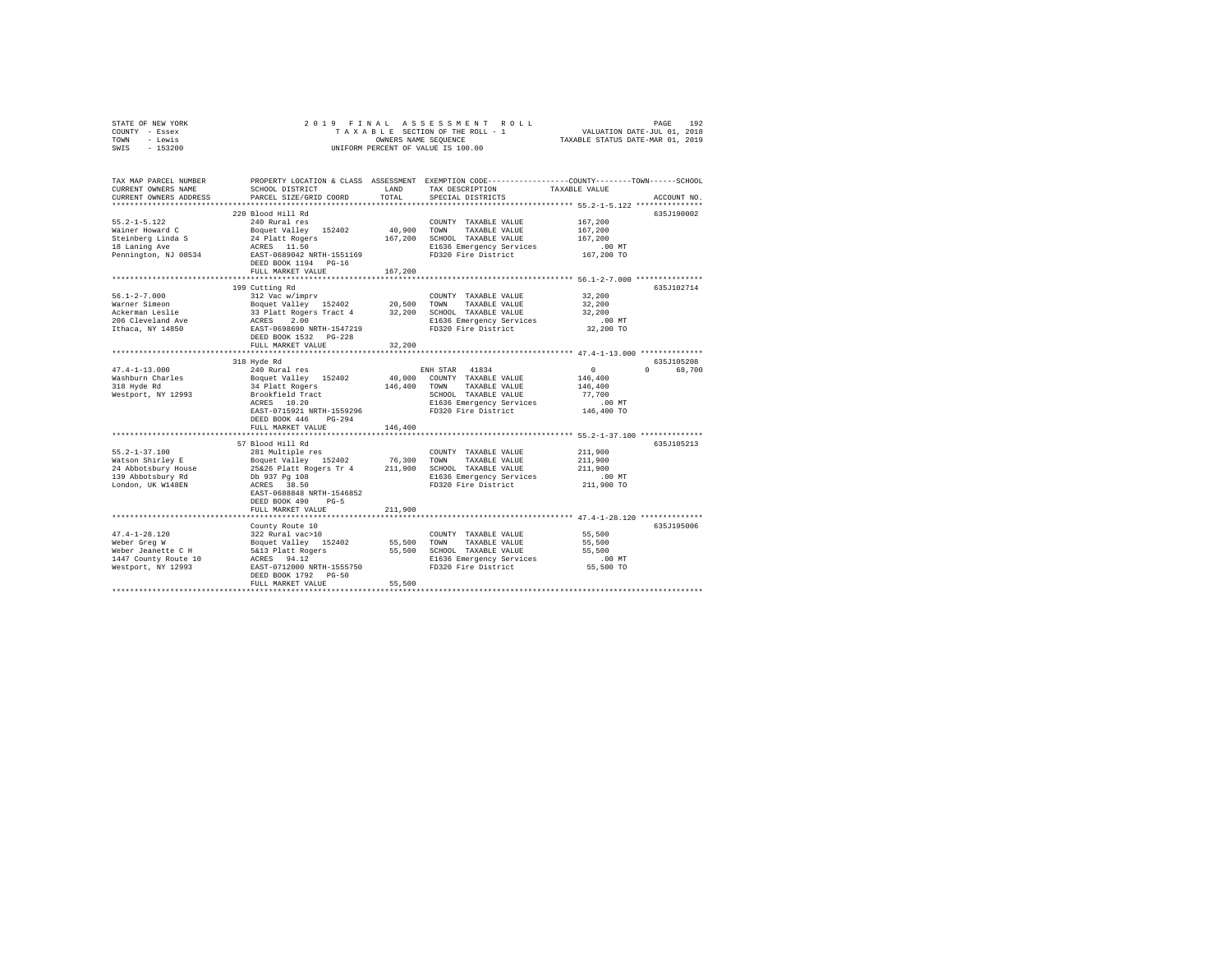| STATE OF NEW YORK<br>COUNTY - Essex<br>TOWN - Lewis<br>SWIS - 153200          |                                                                                              |         | UNIFORM PERCENT OF VALUE IS 100.00                                                                                                                                                                                                                             |                                                                                                                       |
|-------------------------------------------------------------------------------|----------------------------------------------------------------------------------------------|---------|----------------------------------------------------------------------------------------------------------------------------------------------------------------------------------------------------------------------------------------------------------------|-----------------------------------------------------------------------------------------------------------------------|
|                                                                               |                                                                                              |         |                                                                                                                                                                                                                                                                |                                                                                                                       |
|                                                                               |                                                                                              |         |                                                                                                                                                                                                                                                                | TAX MAP PARCEL NUMBER PROPERTY LOCATION & CLASS ASSESSMENT EXEMPTION CODE---------------COUNTY-------TOWN------SCHOOL |
| CURRENT OWNERS NAME                                                           | SCHOOL DISTRICT LAND                                                                         |         | TAX DESCRIPTION TAXABLE VALUE                                                                                                                                                                                                                                  |                                                                                                                       |
| CURRENT OWNERS ADDRESS                                                        | PARCEL SIZE/GRID COORD                                                                       | TOTAL   | SPECIAL DISTRICTS                                                                                                                                                                                                                                              | ACCOUNT NO.                                                                                                           |
|                                                                               | 220 Blood Hill Rd                                                                            |         |                                                                                                                                                                                                                                                                | 635J190002                                                                                                            |
| $55.2 - 1 - 5.122$                                                            | 240 Rural res                                                                                |         | COUNTY TAXABLE VALUE                                                                                                                                                                                                                                           | 167,200                                                                                                               |
|                                                                               |                                                                                              |         | TAXABLE VALUE                                                                                                                                                                                                                                                  | 167,200                                                                                                               |
|                                                                               |                                                                                              |         | 40,900 TOWN TAXABLE VALUE<br>167,200 SCHOOL TAXABLE VALUE                                                                                                                                                                                                      | 167.200                                                                                                               |
|                                                                               | Boquet Valley 152402<br>24 Platt Rogers<br>ACRES 11.50                                       |         |                                                                                                                                                                                                                                                                |                                                                                                                       |
| Wainer Howard C<br>Steinberg Linda S<br>18 Laning Ave<br>Pennington, NJ 08534 | EAST-0689042 NRTH-1551169                                                                    |         |                                                                                                                                                                                                                                                                |                                                                                                                       |
|                                                                               | DEED BOOK 1194 PG-16                                                                         |         |                                                                                                                                                                                                                                                                |                                                                                                                       |
|                                                                               | FULL MARKET VALUE                                                                            | 167,200 |                                                                                                                                                                                                                                                                |                                                                                                                       |
|                                                                               |                                                                                              |         |                                                                                                                                                                                                                                                                |                                                                                                                       |
|                                                                               | 199 Cutting Rd                                                                               |         |                                                                                                                                                                                                                                                                | 635J102714                                                                                                            |
| $56.1 - 2 - 7.000$                                                            | 312 Vac w/imprv                                                                              |         | COUNTY TAXABLE VALUE                                                                                                                                                                                                                                           | 32,200                                                                                                                |
| Warner Simeon                                                                 |                                                                                              |         |                                                                                                                                                                                                                                                                | 32,200                                                                                                                |
| Ackerman Leslie<br>206 Cleveland Ave                                          |                                                                                              |         |                                                                                                                                                                                                                                                                | 32,200                                                                                                                |
|                                                                               |                                                                                              |         | 20.500 CONN TAXABLE VALUE - 1991<br>20.500 CONN TAXABLE VALUE - 32.200 SCHOOL TAXABLE VALUE - 20.500 CONN TAXABLE VALUE<br>32.200 SCHOOL TAXABLE VALUE - 21.636 Emergency Services<br>25.57-0698690 NRTH-1547219 - 21.536 Emergency Ser<br>FD320 Fire District | 00 MT.<br>32,200 TO                                                                                                   |
| Ithaca, NY 14850                                                              | DEED BOOK 1532 PG-228                                                                        |         |                                                                                                                                                                                                                                                                |                                                                                                                       |
|                                                                               | FULL MARKET VALUE                                                                            | 32,200  |                                                                                                                                                                                                                                                                |                                                                                                                       |
|                                                                               |                                                                                              |         |                                                                                                                                                                                                                                                                | ********************************** 47.4-1-13.000 ***************                                                      |
|                                                                               | 318 Hyde Rd                                                                                  |         |                                                                                                                                                                                                                                                                | 635J105208                                                                                                            |
| $47.4 - 1 - 13.000$                                                           | 240 Rural res                                                                                |         | ENH STAR 41834                                                                                                                                                                                                                                                 | $0 \qquad \qquad$<br>0 68,700                                                                                         |
| Washburn Charles<br>318 Hyde Rd                                               |                                                                                              |         | 40,000 COUNTY TAXABLE VALUE                                                                                                                                                                                                                                    | 146.400                                                                                                               |
|                                                                               |                                                                                              |         | 146,400 TOWN TAXABLE VALUE                                                                                                                                                                                                                                     | 146,400                                                                                                               |
| Westport, NY 12993                                                            | 240 Autorities<br>Boquet Valley 152402<br>34 Platt Rogers<br>Brookfield Tract<br>ACRES 10.20 |         |                                                                                                                                                                                                                                                                | 77,700                                                                                                                |
|                                                                               |                                                                                              |         | SCHOOL TAXABLE VALUE<br>E1636 Emergency Services<br>FD320 Fire District                                                                                                                                                                                        | $.00$ MT                                                                                                              |
|                                                                               | EAST-0715921 NRTH-1559296<br>DEED BOOK 446 PG-294                                            |         |                                                                                                                                                                                                                                                                | 146,400 TO                                                                                                            |
|                                                                               | FULL MARKET VALUE                                                                            | 146,400 |                                                                                                                                                                                                                                                                |                                                                                                                       |
|                                                                               |                                                                                              |         |                                                                                                                                                                                                                                                                | ************************** 55.2-1-37.100 **************                                                               |
|                                                                               | 57 Blood Hill Rd                                                                             |         |                                                                                                                                                                                                                                                                | 635J105213                                                                                                            |
|                                                                               |                                                                                              |         |                                                                                                                                                                                                                                                                | 211,900                                                                                                               |
|                                                                               |                                                                                              |         |                                                                                                                                                                                                                                                                | 211,900                                                                                                               |
|                                                                               |                                                                                              |         |                                                                                                                                                                                                                                                                | 211,900                                                                                                               |
|                                                                               |                                                                                              |         |                                                                                                                                                                                                                                                                | .00 MT                                                                                                                |
|                                                                               |                                                                                              |         |                                                                                                                                                                                                                                                                | 211,900 TO                                                                                                            |
|                                                                               | EAST-0688848 NRTH-1546852<br>DEED BOOK 490 PG-5                                              |         |                                                                                                                                                                                                                                                                |                                                                                                                       |
|                                                                               | FULL MARKET VALUE                                                                            | 211,900 |                                                                                                                                                                                                                                                                |                                                                                                                       |
|                                                                               |                                                                                              |         |                                                                                                                                                                                                                                                                |                                                                                                                       |
|                                                                               | County Route 10                                                                              |         |                                                                                                                                                                                                                                                                | 635J195006                                                                                                            |
|                                                                               |                                                                                              |         |                                                                                                                                                                                                                                                                | 55,500                                                                                                                |
|                                                                               |                                                                                              |         |                                                                                                                                                                                                                                                                | 55,500                                                                                                                |
|                                                                               |                                                                                              |         |                                                                                                                                                                                                                                                                | 55,500                                                                                                                |
|                                                                               |                                                                                              |         |                                                                                                                                                                                                                                                                | $.00$ MT                                                                                                              |
|                                                                               |                                                                                              |         |                                                                                                                                                                                                                                                                | 55,500 TO                                                                                                             |
|                                                                               | DEED BOOK 1792 PG-50                                                                         |         |                                                                                                                                                                                                                                                                |                                                                                                                       |
|                                                                               | FULL MARKET VALUE                                                                            | 55,500  |                                                                                                                                                                                                                                                                |                                                                                                                       |
|                                                                               |                                                                                              |         |                                                                                                                                                                                                                                                                |                                                                                                                       |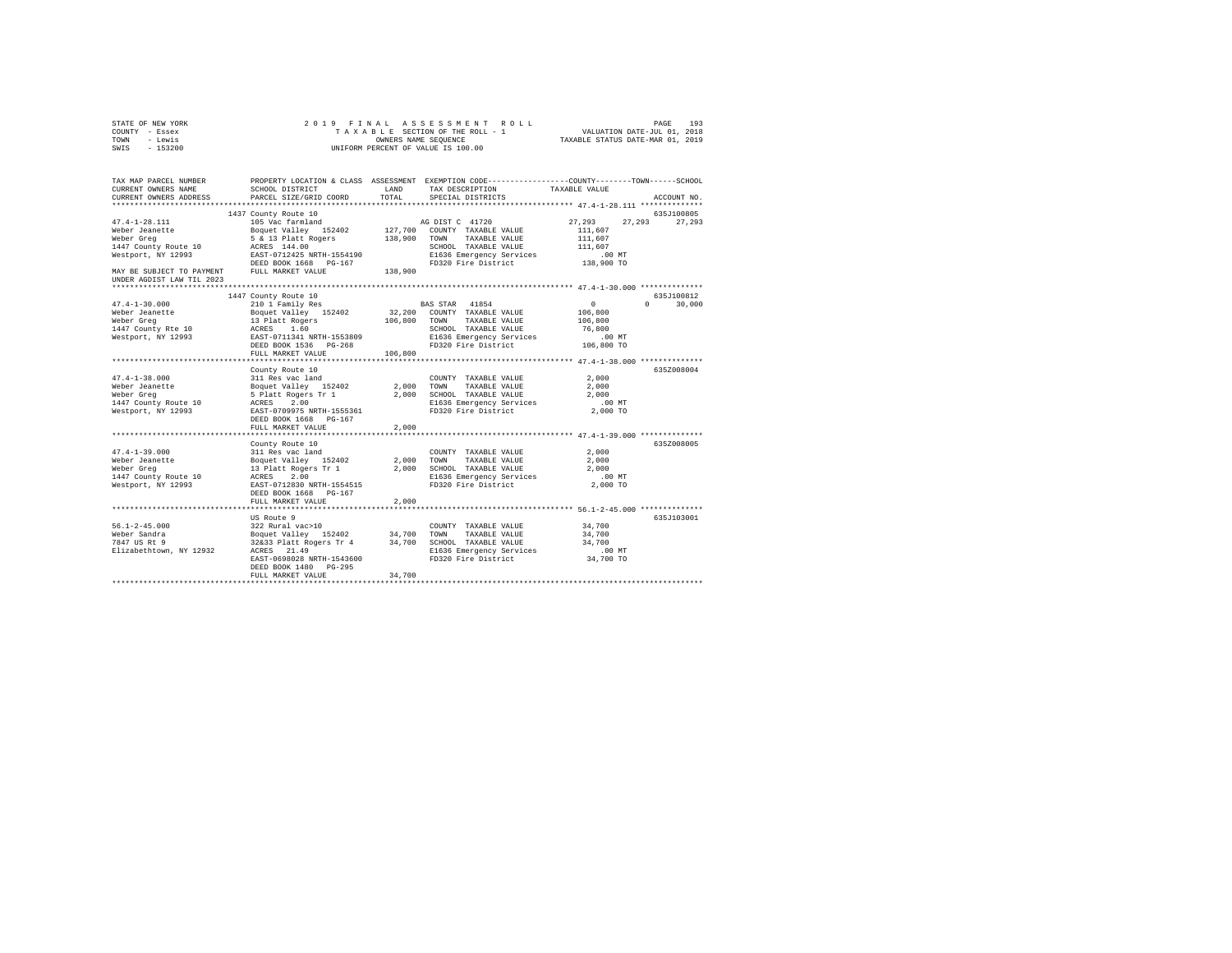| STATE OF NEW YORK<br>COUNTY - Essex<br>- Lewis<br>TOWN<br>SWIS<br>$-153200$ | 2019 FINAL                                          | OWNERS NAME SEQUENCE | ASSESSMENT ROLL<br>TAXABLE SECTION OF THE ROLL - 1<br>UNIFORM PERCENT OF VALUE IS 100.00 | PAGE<br>VALUATION DATE-JUL 01, 2018<br>TAXABLE STATUS DATE-MAR 01, 2019                                                        | 193    |
|-----------------------------------------------------------------------------|-----------------------------------------------------|----------------------|------------------------------------------------------------------------------------------|--------------------------------------------------------------------------------------------------------------------------------|--------|
| TAX MAP PARCEL NUMBER<br>CURRENT OWNERS NAME<br>CURRENT OWNERS ADDRESS      | SCHOOL DISTRICT<br>PARCEL SIZE/GRID COORD           | LAND<br>TOTAL        | TAX DESCRIPTION<br>SPECIAL DISTRICTS                                                     | PROPERTY LOCATION & CLASS ASSESSMENT EXEMPTION CODE---------------COUNTY-------TOWN-----SCHOOL<br>TAXABLE VALUE<br>ACCOUNT NO. |        |
|                                                                             | 1437 County Route 10                                |                      |                                                                                          | 635J100805                                                                                                                     |        |
| $47.4 - 1 - 28.111$                                                         | 105 Vac farmland                                    |                      | AG DIST C 41720                                                                          | 27,293<br>27,293                                                                                                               | 27,293 |
| Weber Jeanette                                                              | Boquet Valley 152402                                |                      | 127,700 COUNTY TAXABLE VALUE                                                             | 111,607                                                                                                                        |        |
| Weber Greg                                                                  |                                                     | 138,900 TOWN         | TAXABLE VALUE                                                                            | 111,607                                                                                                                        |        |
| 1447 County Route 10                                                        | 5 & 13 Platt Rogers<br>ACRES 144.00<br>ACRES 144.00 |                      | SCHOOL TAXABLE VALUE                                                                     | 111,607                                                                                                                        |        |
| Westport, NY 12993                                                          | EAST-0712425 NRTH-1554190                           |                      | E1636 Emergency Services                                                                 | $.00$ MT                                                                                                                       |        |
|                                                                             | DEED BOOK 1668 PG-167                               |                      | FD320 Fire District                                                                      | 138,900 TO                                                                                                                     |        |
| MAY BE SUBJECT TO PAYMENT<br>UNDER AGDIST LAW TIL 2023                      | FULL MARKET VALUE                                   | 138,900              |                                                                                          |                                                                                                                                |        |
|                                                                             |                                                     |                      |                                                                                          |                                                                                                                                |        |
|                                                                             | 1447 County Route 10                                |                      |                                                                                          | 635J100812                                                                                                                     |        |
| $47.4 - 1 - 30.000$                                                         | 210 1 Family Res                                    |                      | BAS STAR 41854                                                                           | $\mathbf{0}$<br>$\Omega$                                                                                                       | 30,000 |
| Weber Jeanette                                                              | Boquet Valley 152402                                | 106,800 TOWN         | 32,200 COUNTY TAXABLE VALUE                                                              | 106,800<br>106,800                                                                                                             |        |
| Weber Greg<br>1447 County Rte 10                                            | 13 Platt Rogers<br>ACRES 1.60                       |                      | TAXABLE VALUE<br>SCHOOL TAXABLE VALUE                                                    | 76,800                                                                                                                         |        |
| Westport, NY 12993                                                          | EAST-0711341 NRTH-1553809                           |                      | E1636 Emergency Services                                                                 | $.00$ MT                                                                                                                       |        |
|                                                                             | DEED BOOK 1536 PG-268                               |                      | FD320 Fire District                                                                      | 106,800 TO                                                                                                                     |        |
|                                                                             | FULL MARKET VALUE                                   | 106,800              |                                                                                          |                                                                                                                                |        |
|                                                                             |                                                     |                      |                                                                                          |                                                                                                                                |        |
|                                                                             | County Route 10                                     |                      |                                                                                          | 635Z008004                                                                                                                     |        |
| $47.4 - 1 - 38.000$                                                         | 311 Res vac land                                    |                      | COUNTY TAXABLE VALUE                                                                     | 2,000                                                                                                                          |        |
| Weber Jeanette                                                              | Boquet Valley 152402                                | 2,000                | TAXABLE VALUE<br>TOWN                                                                    | 2,000                                                                                                                          |        |
| Weber Greg                                                                  | 5 Platt Rogers Tr 1                                 |                      | 2,000 SCHOOL TAXABLE VALUE                                                               | 2.000                                                                                                                          |        |
| 1447 County Route 10                                                        | ACRES 2.00                                          |                      | E1636 Emergency Services                                                                 | $.00$ MT                                                                                                                       |        |
| Westport, NY 12993                                                          | EAST-0709975 NRTH-1555361                           |                      | FD320 Fire District                                                                      | 2,000 TO                                                                                                                       |        |
|                                                                             | DEED BOOK 1668 PG-167                               |                      |                                                                                          |                                                                                                                                |        |
|                                                                             | FULL MARKET VALUE                                   | 2,000                |                                                                                          |                                                                                                                                |        |
|                                                                             |                                                     |                      |                                                                                          |                                                                                                                                |        |
| $47.4 - 1 - 39.000$                                                         | County Route 10                                     |                      |                                                                                          | 635Z008005<br>2,000                                                                                                            |        |
| Weber Jeanette                                                              | 311 Res vac land<br>Boquet Valley 152402            | 2,000                | COUNTY TAXABLE VALUE<br>TOWN<br>TAXABLE VALUE                                            | 2,000                                                                                                                          |        |
| Weber Greg                                                                  | 13 Platt Rogers Tr 1                                |                      | 2,000 SCHOOL TAXABLE VALUE                                                               | 2,000                                                                                                                          |        |
| 1447 County Route 10                                                        | ACRES 2.00                                          |                      | E1636 Emergency Services                                                                 | $.00$ MT                                                                                                                       |        |
| Westport, NY 12993                                                          | EAST-0712830 NRTH-1554515                           |                      | FD320 Fire District                                                                      | 2,000 TO                                                                                                                       |        |
|                                                                             | DEED BOOK 1668 PG-167                               |                      |                                                                                          |                                                                                                                                |        |
|                                                                             | FULL MARKET VALUE                                   | 2,000                |                                                                                          |                                                                                                                                |        |
|                                                                             |                                                     |                      |                                                                                          |                                                                                                                                |        |
|                                                                             | US Route 9                                          |                      |                                                                                          | 635J103001                                                                                                                     |        |
| $56.1 - 2 - 45.000$                                                         | 322 Rural vac>10                                    |                      | COUNTY TAXABLE VALUE                                                                     | 34,700                                                                                                                         |        |
| Weber Sandra                                                                | Boquet Valley 152402 34,700                         |                      | TOWN<br>TAXABLE VALUE                                                                    | 34,700                                                                                                                         |        |
| 7847 US Rt 9                                                                | 32&33 Platt Rogers Tr 4                             |                      | 34,700 SCHOOL TAXABLE VALUE                                                              | 34,700                                                                                                                         |        |
| Elizabethtown, NY 12932                                                     | ACRES 21.49                                         |                      | E1636 Emergency Services                                                                 | $.00$ MT                                                                                                                       |        |
|                                                                             | EAST-0698028 NRTH-1543600                           |                      | FD320 Fire District                                                                      | 34,700 TO                                                                                                                      |        |
|                                                                             | DEED BOOK 1480 PG-295                               | 34,700               |                                                                                          |                                                                                                                                |        |
|                                                                             | FULL MARKET VALUE                                   |                      |                                                                                          |                                                                                                                                |        |
|                                                                             |                                                     |                      |                                                                                          |                                                                                                                                |        |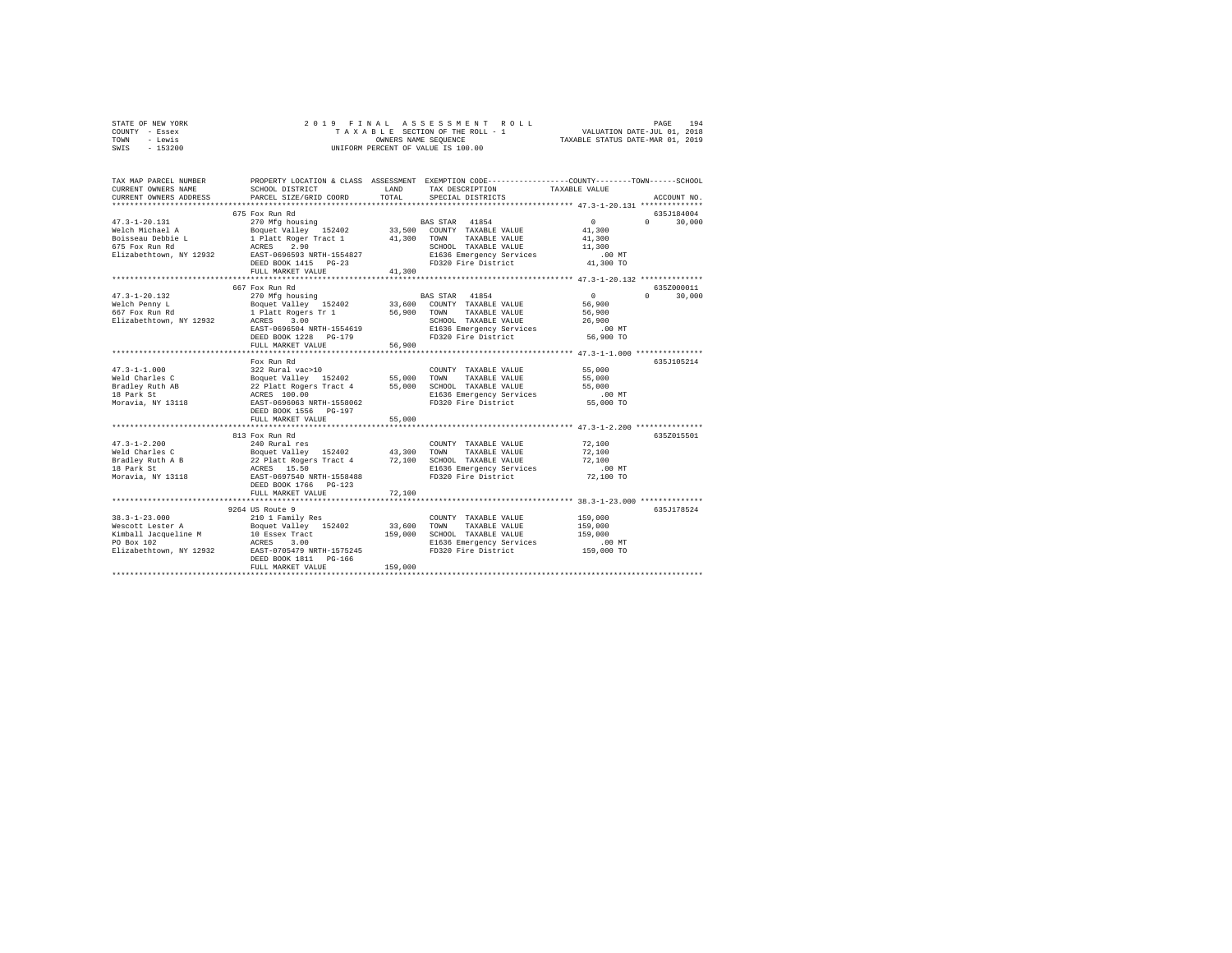| STATE OF NEW YORK | 2019 FINAL ASSESSMENT ROLL         | 194<br>PAGE                      |
|-------------------|------------------------------------|----------------------------------|
| COUNTY - Essex    | TAXABLE SECTION OF THE ROLL - 1    | VALUATION DATE-JUL 01, 2018      |
| TOWN<br>- Lewis   | OWNERS NAME SEOUENCE               | TAXABLE STATUS DATE-MAR 01, 2019 |
| $-153200$<br>SWIS | UNIFORM PERCENT OF VALUE IS 100.00 |                                  |

| TAX MAP PARCEL NUMBER<br>CURRENT OWNERS NAME<br>CURRENT OWNERS ADDRESS | SCHOOL DISTRICT<br>PARCEL SIZE/GRID COORD                                   | LAND<br>TOTAL | PROPERTY LOCATION & CLASS ASSESSMENT EXEMPTION CODE---------------COUNTY-------TOWN-----SCHOOL<br>TAX DESCRIPTION<br>SPECIAL DISTRICTS | TAXABLE VALUE         | ACCOUNT NO.                       |
|------------------------------------------------------------------------|-----------------------------------------------------------------------------|---------------|----------------------------------------------------------------------------------------------------------------------------------------|-----------------------|-----------------------------------|
|                                                                        | ************************                                                    |               |                                                                                                                                        |                       |                                   |
| $47.3 - 1 - 20.131$<br>Welch Michael A                                 | 675 Fox Run Rd<br>270 Mfg housing<br>Boquet Valley 152402                   | 33,500        | BAS STAR 41854<br>COUNTY TAXABLE VALUE                                                                                                 | $\Omega$<br>41,300    | 635.T184004<br>$\Omega$<br>30,000 |
| Boisseau Debbie L<br>675 Fox Run Rd                                    | 1 Platt Roger Tract 1<br>2.90<br>ACRES                                      | 41,300        | TOWN<br>TAXABLE VALUE<br>SCHOOL TAXABLE VALUE                                                                                          | 41,300<br>11,300      |                                   |
| Elizabethtown, NY 12932                                                | EAST-0696593 NRTH-1554827<br>DEED BOOK 1415<br>$PG-23$<br>FULL MARKET VALUE | 41,300        | E1636 Emergency Services<br>FD320 Fire District                                                                                        | $.00$ MT<br>41,300 TO |                                   |
|                                                                        |                                                                             |               |                                                                                                                                        |                       |                                   |
|                                                                        | 667 Fox Run Rd                                                              |               |                                                                                                                                        |                       | 635Z000011                        |
| $47.3 - 1 - 20.132$                                                    | 270 Mfg housing                                                             |               | BAS STAR 41854                                                                                                                         | $^{\circ}$            | $\cap$<br>30,000                  |
| Welch Penny L                                                          | Boquet Valley 152402                                                        |               | 33,600 COUNTY TAXABLE VALUE                                                                                                            | 56,900                |                                   |
| 667 Fox Run Rd                                                         | 1 Platt Rogers Tr 1                                                         | 56,900        | TOWN<br>TAXABLE VALUE                                                                                                                  | 56,900                |                                   |
| Elizabethtown, NY 12932                                                | ACRES 3.00                                                                  |               | SCHOOL TAXABLE VALUE                                                                                                                   | 26,900                |                                   |
|                                                                        | EAST-0696504 NRTH-1554619                                                   |               | E1636 Emergency Services                                                                                                               | $.00$ MT              |                                   |
|                                                                        | DEED BOOK 1228<br>PG-179                                                    |               | FD320 Fire District                                                                                                                    | 56,900 TO             |                                   |
|                                                                        | FULL MARKET VALUE<br>**********************                                 | 56,900        |                                                                                                                                        |                       |                                   |
|                                                                        |                                                                             |               |                                                                                                                                        |                       |                                   |
|                                                                        | Fox Run Rd                                                                  |               |                                                                                                                                        |                       | 635J105214                        |
| $47.3 - 1 - 1.000$                                                     | 322 Rural vac>10                                                            |               | COUNTY TAXABLE VALUE                                                                                                                   | 55,000                |                                   |
| Weld Charles C                                                         | Boquet Valley 152402                                                        | 55,000        | TOWN<br>TAXABLE VALUE                                                                                                                  | 55,000                |                                   |
| Bradlev Ruth AB                                                        | 22 Platt Rogers Tract 4                                                     | 55,000        | SCHOOL TAXABLE VALUE                                                                                                                   | 55,000                |                                   |
| 18 Park St                                                             | ACRES 100.00                                                                |               | E1636 Emergency Services                                                                                                               | $.00$ MT              |                                   |
| Moravia, NY 13118                                                      | EAST-0696063 NRTH-1558062<br>DEED BOOK 1556 PG-197                          |               | FD320 Fire District                                                                                                                    | 55,000 TO             |                                   |
|                                                                        | FULL MARKET VALUE                                                           | 55,000        |                                                                                                                                        |                       |                                   |
|                                                                        |                                                                             |               |                                                                                                                                        |                       |                                   |
|                                                                        | 813 Fox Run Rd                                                              |               |                                                                                                                                        |                       | 635Z015501                        |
| $47.3 - 1 - 2.200$                                                     | 240 Rural res                                                               |               | COUNTY TAXABLE VALUE                                                                                                                   | 72,100                |                                   |
| Weld Charles C                                                         | Boquet Valley 152402                                                        | 43,300        | TAXABLE VALUE<br>TOWN                                                                                                                  | 72,100                |                                   |
| Bradley Ruth A B                                                       | 22 Platt Rogers Tract 4                                                     | 72,100        | SCHOOL TAXABLE VALUE                                                                                                                   | 72,100                |                                   |
| 18 Park St                                                             | ACRES 15.50                                                                 |               | E1636 Emergency Services                                                                                                               | $.00$ MT              |                                   |
| Moravia, NY 13118                                                      | EAST-0697540 NRTH-1558488                                                   |               | FD320 Fire District                                                                                                                    | 72,100 TO             |                                   |
|                                                                        | DEED BOOK 1766 PG-123                                                       |               |                                                                                                                                        |                       |                                   |
|                                                                        | FULL MARKET VALUE                                                           | 72,100        |                                                                                                                                        |                       |                                   |
|                                                                        |                                                                             |               |                                                                                                                                        |                       |                                   |
|                                                                        | 9264 US Route 9                                                             |               |                                                                                                                                        |                       | 635J178524                        |
| $38.3 - 1 - 23.000$                                                    | 210 1 Family Res                                                            |               | COUNTY TAXABLE VALUE                                                                                                                   | 159,000               |                                   |
| Wescott Lester A                                                       | Boquet Valley 152402                                                        | 33,600        | TOWN<br>TAXABLE VALUE                                                                                                                  | 159,000               |                                   |
| Kimball Jacqueline M                                                   | 10 Essex Tract                                                              | 159,000       | SCHOOL TAXABLE VALUE                                                                                                                   | 159,000               |                                   |
| PO Box 102                                                             | 3.00<br>ACRES                                                               |               | E1636 Emergency Services                                                                                                               | .00MT                 |                                   |
| Elizabethtown, NY 12932                                                | EAST-0705479 NRTH-1575245<br>DEED BOOK 1811 PG-166<br>FULL MARKET VALUE     | 159,000       | FD320 Fire District                                                                                                                    | 159,000 TO            |                                   |
|                                                                        |                                                                             |               |                                                                                                                                        |                       |                                   |
|                                                                        |                                                                             |               |                                                                                                                                        |                       |                                   |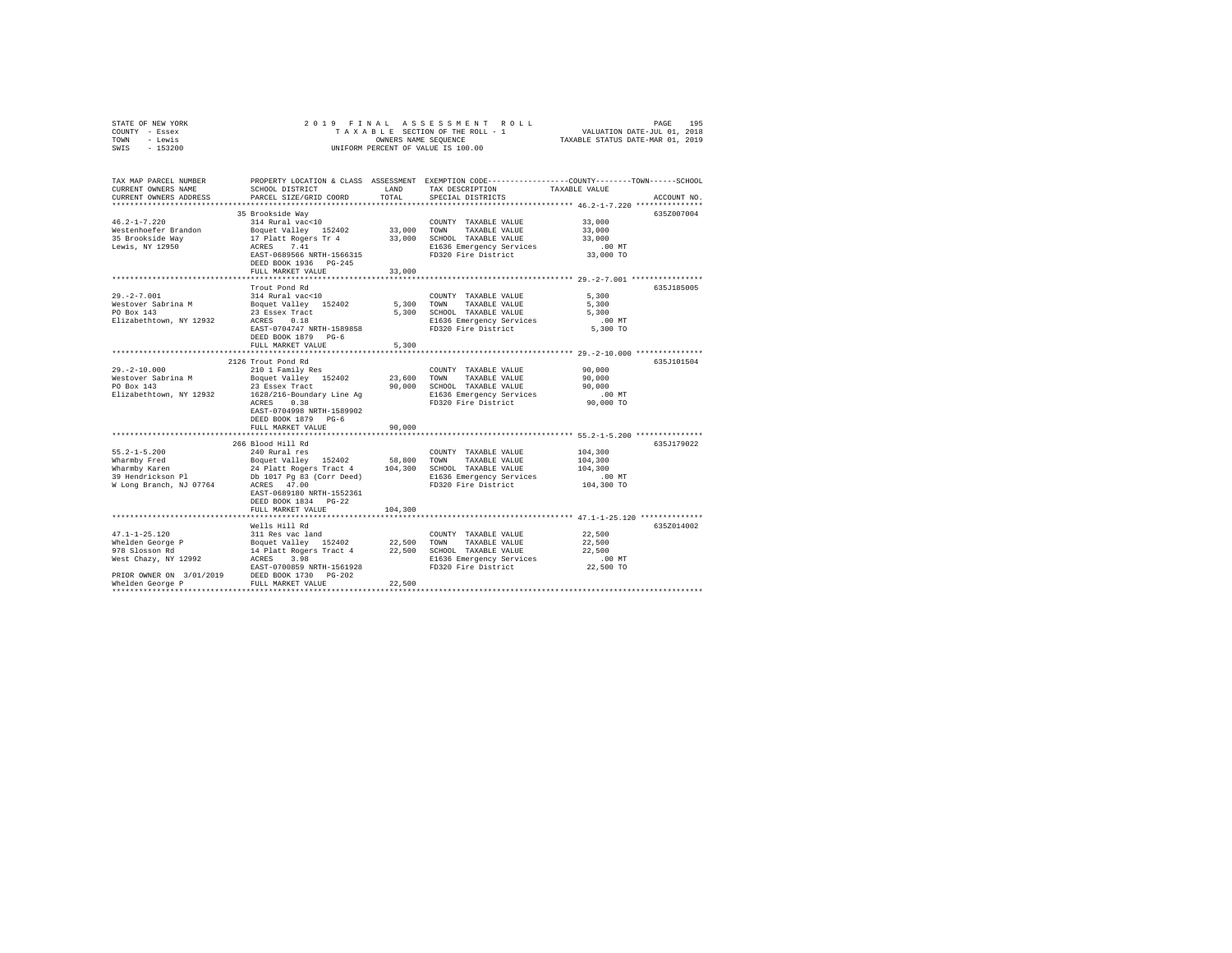| STATE OF NEW YORK<br>COUNTY - Essex<br>TOWN - Lewis<br>SWIS - 153200   |                                                                                                                                                                                                                                                    |         | 2019 FINAL ASSESSMENT ROLL<br>TAXABLE SECTION OF THE ROLL - 1 VALUATION DATE-JUL 01, 2018<br>OWNERS NAME SEQUENCE THE ROLL - 1 TAXABLE STATUS DATE-MAR 01, 2019<br>UNIFORM PERCENT OF VALUE IS 100.00 |                            | PAGE<br>195 |
|------------------------------------------------------------------------|----------------------------------------------------------------------------------------------------------------------------------------------------------------------------------------------------------------------------------------------------|---------|-------------------------------------------------------------------------------------------------------------------------------------------------------------------------------------------------------|----------------------------|-------------|
| TAX MAP PARCEL NUMBER<br>CURRENT OWNERS NAME<br>CURRENT OWNERS ADDRESS | PROPERTY LOCATION & CLASS ASSESSMENT EXEMPTION CODE---------------COUNTY-------TOWN------SCHOOL<br>SCHOOL DISTRICT TAND TAX DESCRIPTION<br>PARCEL SIZE/GRID COORD TOTAL                                                                            |         | SPECIAL DISTRICTS                                                                                                                                                                                     | TAXABLE VALUE              | ACCOUNT NO. |
|                                                                        | 35 Brookside Wav<br>35 Brookside Way $17$ Platt Rogers Tr 4 $33,000$ SCHOOL TAXABLE VALUE Lewis, NY 12950 $2000$ ACRES $7.41$ $21636$ Emergency Services<br>EAST-0689566 NRTH-1566315<br>DEED BOOK 1936 PG-245<br>FULL MARKET VALUE                | 33,000  | FD320 Fire District 33,000 TO                                                                                                                                                                         | 33,000<br>$.00$ MT         | 635Z007004  |
|                                                                        |                                                                                                                                                                                                                                                    |         |                                                                                                                                                                                                       |                            |             |
| $29. -2 - 7.001$<br>PO Box 143                                         | Trout Pond Rd<br>$314$ Rural $vac<10$<br>Westover Sabrina M M Boquet Valley 152402 5,300 TOWN TAXABLE VALUE 5,300<br>23 Essex Tract<br>Elizabethtown, NY 12932 ACRES 0.18<br>EAST-0704747 NRTH-1589858<br>DEED BOOK 1879 PG-6<br>FULL MARKET VALUE | 5,300   | COUNTY TAXABLE VALUE<br>5,300 SCHOOL TAXABLE VALUE<br>E1636 Emergency Services .00 MT<br>FD320 Fire District                                                                                          | 5,300<br>5,300<br>5,300 TO | 635J185005  |
| $29. -2 - 10.000$                                                      | 2126 Trout Pond Rd<br>210 1 Family Res<br>Elizabethtown, NY 12932 1628/216-Boundary Line Ag<br>ACRES 0.38<br>EAST-0704998 NRTH-1589902<br>DEED BOOK 1879 PG-6<br>FULL MARKET VALUE                                                                 | 90,000  | COUNTY TAXABLE VALUE 90,000<br>E1636 Emergency Services .00 MT<br>FD320 Fire District  90,000 TO                                                                                                      | 90,000<br>90,000           | 635J101504  |
| W Long Branch, NJ 07764                                                | 266 Blood Hill Rd<br>ACRES 47.00<br>EAST-0689180 NRTH-1552361<br>DEED BOOK 1834 PG-22<br>FULL MARKET VALUE                                                                                                                                         | 104,300 | FD320 Fire District                                                                                                                                                                                   | 104,300 TO                 | 635J179022  |

47.1-1-25.120 Wells Hill Rd COUNTY TAXABLE VALUE<br>Whelden George P Boquet Valley 152402 22,500 COUNTY TAXABLE VALUE 22,500 6352014002<br>P78 Slosson Rd 14 plat Rogers Tract 4 22,500 SCHOOL TAXABLE VALUE 22,500<br>West Chary, NY 1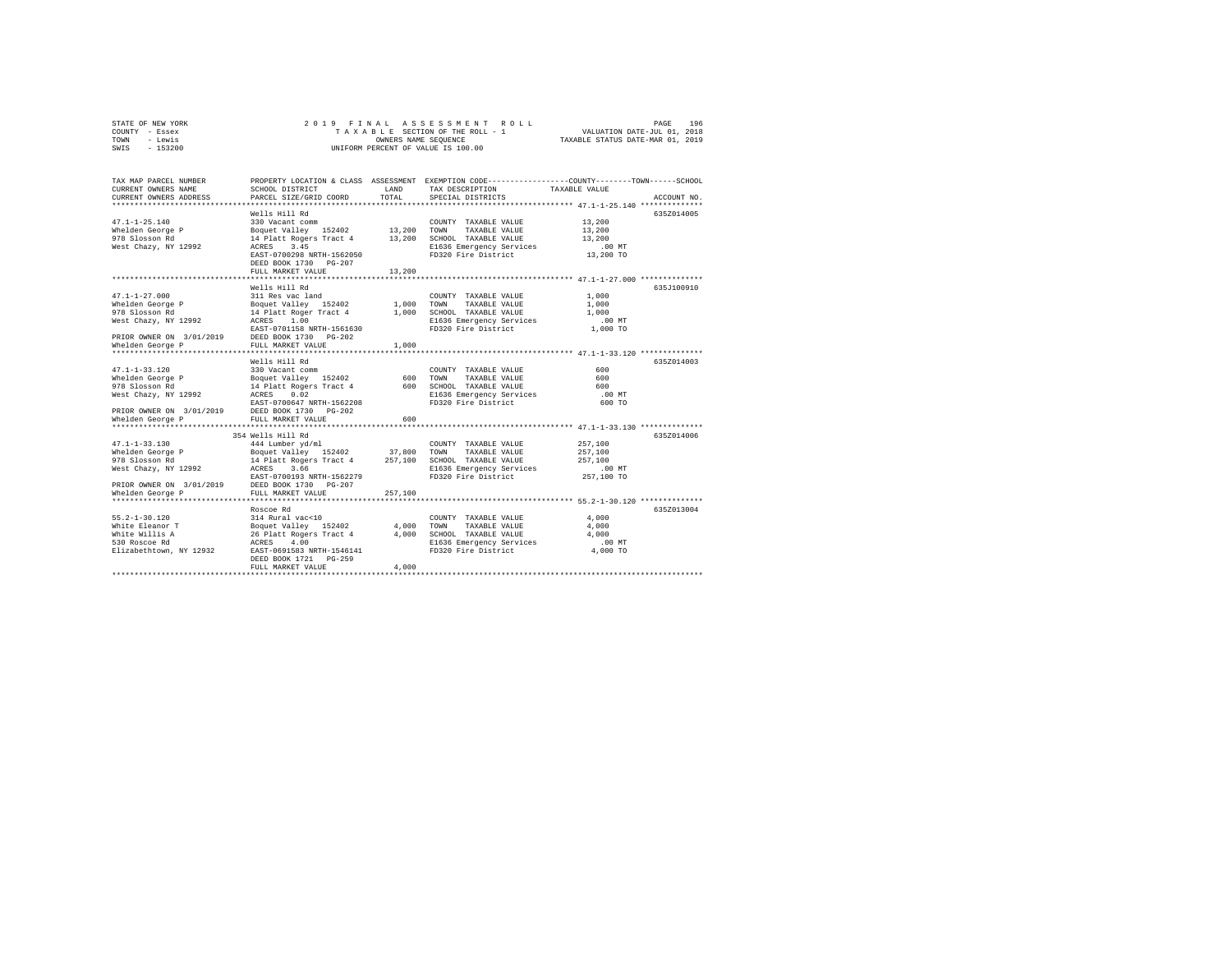| STATE OF NEW YORK | 2019 FINAL ASSESSMENT ROLL         | 196<br>PAGE                      |
|-------------------|------------------------------------|----------------------------------|
| COUNTY - Essex    | TAXABLE SECTION OF THE ROLL - 1    | VALUATION DATE-JUL 01, 2018      |
| TOWN<br>- Lewis   | OWNERS NAME SEOUENCE               | TAXABLE STATUS DATE-MAR 01, 2019 |
| $-153200$<br>SWIS | UNIFORM PERCENT OF VALUE IS 100.00 |                                  |

| TAX MAP PARCEL NUMBER<br>CURRENT OWNERS NAME<br>CURRENT OWNERS ADDRESS                                | SCHOOL DISTRICT<br>PARCEL SIZE/GRID COORD                                                                                                                                                                                                                                | LAND<br>TOTAL             | PROPERTY LOCATION & CLASS ASSESSMENT EXEMPTION CODE---------------COUNTY-------TOWN-----SCHOOL<br>TAX DESCRIPTION<br>SPECIAL DISTRICTS                                                              | TAXABLE VALUE                                                                                              | ACCOUNT NO. |
|-------------------------------------------------------------------------------------------------------|--------------------------------------------------------------------------------------------------------------------------------------------------------------------------------------------------------------------------------------------------------------------------|---------------------------|-----------------------------------------------------------------------------------------------------------------------------------------------------------------------------------------------------|------------------------------------------------------------------------------------------------------------|-------------|
| $47.1 - 1 - 25.140$<br>Whelden George P<br>978 Slosson Rd<br>West Chazy, NY 12992                     | Wells Hill Rd<br>330 Vacant comm<br>Boquet Valley 152402 13,200 TOWN<br>14 Platt Rogers Tract 4 13,200 SCHOOL TAXABLE VALUE<br>3.45<br>ACRES<br>EAST-0700298 NRTH-1562050<br>DEED BOOK 1730 PG-207<br>FULL MARKET VALUE<br>***************************                   | 13,200                    | COUNTY TAXABLE VALUE<br>TAXABLE VALUE<br>E1636 Emergency Services<br>FD320 Fire District                                                                                                            | 13,200<br>13,200<br>13,200<br>$.00$ MT<br>13,200 TO<br>*********************** 47.1-1-27.000 ************* | 635Z014005  |
| $47.1 - 1 - 27.000$<br>Whelden George P<br>978 Slosson Rd<br>West Chazy, NY 12992<br>Whelden George P | Wells Hill Rd<br>311 Res vac land<br>Boquet Valley 152402<br>14 Platt Roger Tract 4<br>ACRES<br>1.00<br>EAST-0701158 NRTH-1561630<br>PRIOR OWNER ON 3/01/2019 DEED BOOK 1730 PG-202<br>FULL MARKET VALUE                                                                 | 1,000                     | COUNTY TAXABLE VALUE<br>1,000 TOWN TAXABLE VALUE<br>1,000 SCHOOL TAXABLE VALUE<br>E1636 Emergency Services<br>FD320 Fire District<br>********************************* 47.1-1-33.120 ************** | 1,000<br>1,000<br>1,000<br>.00 MT<br>1,000 TO                                                              | 635J100910  |
| $47.1 - 1 - 33.120$<br>Whelden George P<br>978 Slosson Rd<br>West Chazv, NY 12992                     | Wells Hill Rd<br>330 Vacant comm<br>Boquet Valley 152402<br>14 Platt Rogers Tract 4 600 SCHOOL TAXABLE VALUE<br>ACRES 0.02 B1636 Emergency Services<br>EAST-0700647 NRTH-1562208<br>PRIOR OWNER ON 3/01/2019 DEED BOOK 1730 PG-202<br>Whelden George P FULL MARKET VALUE | 600                       | COUNTY TAXABLE VALUE<br>600 TOWN<br>TAXABLE VALUE<br>FD320 Fire District                                                                                                                            | 600<br>600<br>600<br>$.00$ MT<br>600 TO                                                                    | 635Z014003  |
| $47.1 - 1 - 33.130$<br>Whelden George P<br>978 Slosson Rd<br>West Chazy, NY 12992                     | 354 Wells Hill Rd<br>444 Lumber yd/ml<br>Boquet Valley 152402 37,800 TOWN<br>14 Platt Rogers Tract 4<br>ACRES<br>3.66<br>EAST-0700193 NRTH-1562279<br>PRIOR OWNER ON $3/01/2019$<br>FIED BOOK 1730 PG-207<br>FULL MARKET VALUE                                           | 257,100                   | COUNTY TAXABLE VALUE<br>TAXABLE VALUE<br>257,100 SCHOOL TAXABLE VALUE<br>E1636 Emergency Services<br>FD320 Fire District                                                                            | 257,100<br>257,100<br>257,100<br>$.00$ MT<br>257,100 TO                                                    | 635Z014006  |
| $55.2 - 1 - 30.120$<br>White Eleanor T<br>White Willis A<br>530 Roscoe Rd<br>Elizabethtown, NY 12932  | Roscoe Rd<br>314 Rural vac<10<br>Boquet Valley 152402<br>26 Platt Rogers Tract 4<br>ACRES 4.00<br>EAST-0691583 NRTH-1546141<br>DEED BOOK 1721 PG-259<br>FULL MARKET VALUE                                                                                                | $4,000$<br>4,000<br>4,000 | COUNTY TAXABLE VALUE<br>TAXABLE VALUE<br>TOWN<br>SCHOOL TAXABLE VALUE<br>E1636 Emergency Services<br>FD320 Fire District                                                                            | 4,000<br>4,000<br>4,000<br>.00MT<br>4,000 TO                                                               | 635Z013004  |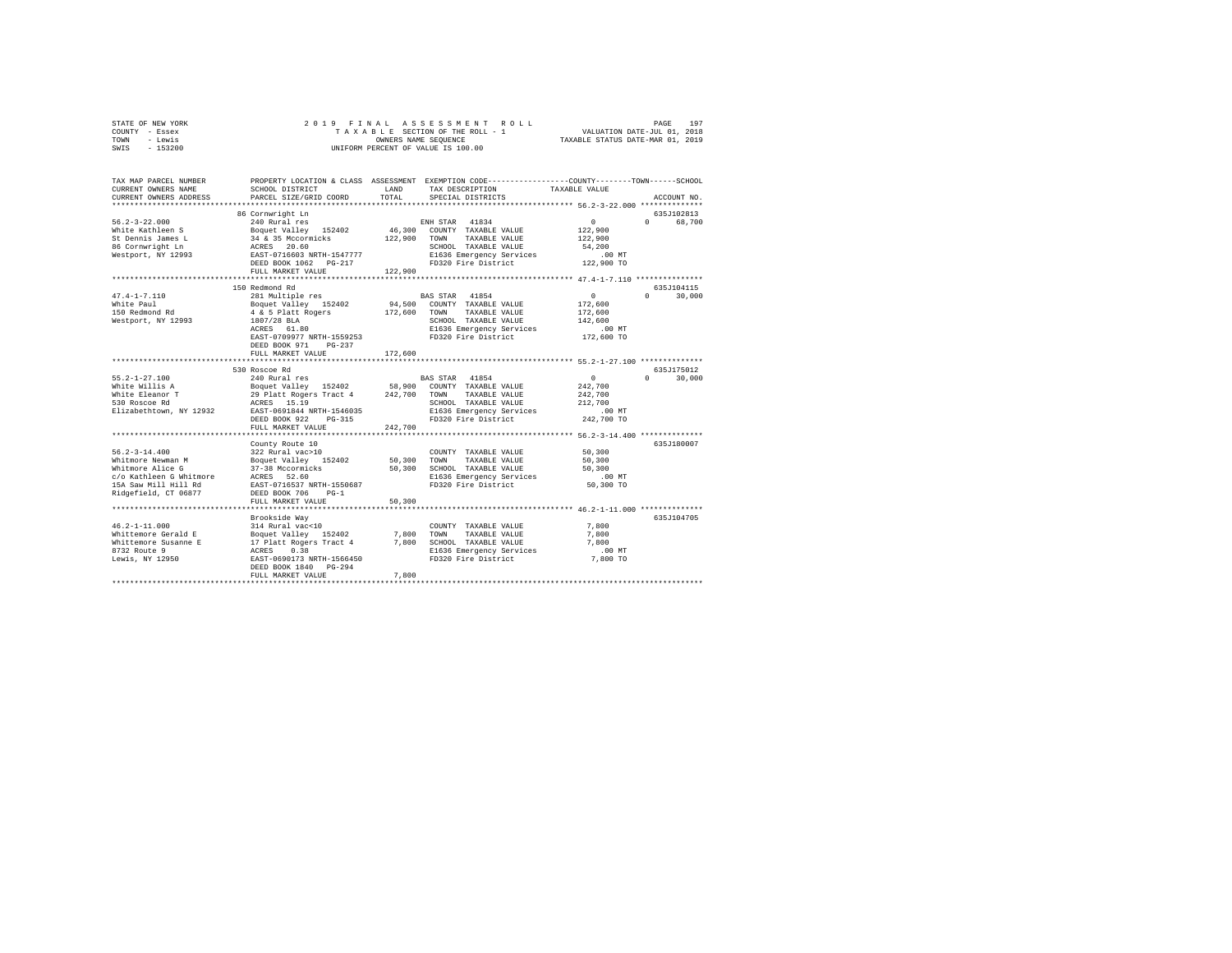| STATE OF NEW YORK | 2019 FINAL ASSESSMENT ROLL         | 197<br>PAGE                      |
|-------------------|------------------------------------|----------------------------------|
| COUNTY - Essex    | TAXABLE SECTION OF THE ROLL - 1    | VALUATION DATE-JUL 01, 2018      |
| TOWN<br>- Lewis   | OWNERS NAME SEOUENCE               | TAXABLE STATUS DATE-MAR 01, 2019 |
| $-153200$<br>SWIS | UNIFORM PERCENT OF VALUE IS 100.00 |                                  |

| TAX MAP PARCEL NUMBER<br>CURRENT OWNERS NAME<br>CURRENT OWNERS ADDRESS | SCHOOL DISTRICT<br>PARCEL SIZE/GRID COORD            | LAND<br>TOTAL. | TAX DESCRIPTION<br>SPECIAL DISTRICTS | PROPERTY LOCATION & CLASS ASSESSMENT EXEMPTION CODE---------------COUNTY-------TOWN-----SCHOOL<br>TAXABLE VALUE<br>ACCOUNT NO. |  |
|------------------------------------------------------------------------|------------------------------------------------------|----------------|--------------------------------------|--------------------------------------------------------------------------------------------------------------------------------|--|
|                                                                        |                                                      |                |                                      |                                                                                                                                |  |
|                                                                        | 86 Cornwright Ln                                     |                |                                      | 635J102813                                                                                                                     |  |
| $56.2 - 3 - 22.000$                                                    | 240 Rural res                                        |                | ENH STAR 41834                       | $\sim$ 0<br>$\Omega$ and $\Omega$<br>68,700                                                                                    |  |
| White Kathleen S                                                       | Boquet Valley 152402                                 | 46,300         | COUNTY TAXABLE VALUE                 | 122,900                                                                                                                        |  |
| St Dennis James L                                                      | 34 & 35 Mccormicks                                   | 122,900        | TAXABLE VALUE<br>TOWN                | 122,900                                                                                                                        |  |
| 86 Cornwright Ln                                                       | ACRES 20.60                                          |                | SCHOOL TAXABLE VALUE                 | 54,200                                                                                                                         |  |
| Westport, NY 12993                                                     | EAST-0716603 NRTH-1547777                            |                | E1636 Emergency Services             | $.00$ MT                                                                                                                       |  |
|                                                                        | DEED BOOK 1062 PG-217                                | 122,900        | FD320 Fire District                  | 122,900 TO                                                                                                                     |  |
|                                                                        | FULL MARKET VALUE                                    |                |                                      |                                                                                                                                |  |
|                                                                        | 150 Redmond Rd                                       |                |                                      | 635J104115                                                                                                                     |  |
| $47.4 - 1 - 7.110$                                                     | 281 Multiple res                                     |                | BAS STAR 41854                       | $\circ$<br>$\Omega$<br>30,000                                                                                                  |  |
| White Paul                                                             | Boquet Valley 152402                                 | 94,500         | COUNTY TAXABLE VALUE                 | 172,600                                                                                                                        |  |
| 150 Redmond Rd                                                         | 4 & 5 Platt Rogers                                   | 172,600        | TOWN<br>TAXABLE VALUE                | 172,600                                                                                                                        |  |
| Westport, NY 12993                                                     | 1807/28 BLA                                          |                | SCHOOL TAXABLE VALUE                 | 142,600                                                                                                                        |  |
|                                                                        | ACRES 61.80                                          |                | E1636 Emergency Services             | .00 MT                                                                                                                         |  |
|                                                                        | EAST-0709977 NRTH-1559253                            |                | FD320 Fire District                  | 172,600 TO                                                                                                                     |  |
|                                                                        | DEED BOOK 971<br>$PG-237$                            |                |                                      |                                                                                                                                |  |
|                                                                        | FULL MARKET VALUE                                    | 172,600        |                                      |                                                                                                                                |  |
|                                                                        |                                                      |                |                                      |                                                                                                                                |  |
| $55.2 - 1 - 27.100$                                                    | 530 Roscoe Rd<br>240 Rural res                       |                | BAS STAR 41854                       | 635J175012<br>$\Omega$<br>$\Omega$<br>30,000                                                                                   |  |
| White Willis A                                                         | Boquet Valley 152402 58,900                          |                | COUNTY TAXABLE VALUE                 | 242.700                                                                                                                        |  |
| White Eleanor T                                                        | 29 Platt Rogers Tract 4                              |                | 242,700 TOWN TAXABLE VALUE           | 242,700                                                                                                                        |  |
| 530 Roscoe Rd                                                          | ACRES 15.19                                          |                | SCHOOL TAXABLE VALUE                 | 212,700                                                                                                                        |  |
| Elizabethtown, NY 12932                                                | EAST-0691844 NRTH-1546035                            |                | E1636 Emergency Services             | $.00$ MT                                                                                                                       |  |
|                                                                        | DEED BOOK 922<br>$PG-315$                            |                | FD320 Fire District                  | 242,700 TO                                                                                                                     |  |
|                                                                        | FULL MARKET VALUE                                    | 242,700        |                                      |                                                                                                                                |  |
|                                                                        |                                                      |                |                                      |                                                                                                                                |  |
|                                                                        | County Route 10                                      |                |                                      | 635.T180007                                                                                                                    |  |
| $56.2 - 3 - 14.400$                                                    | 322 Rural vac>10                                     |                | COUNTY TAXABLE VALUE                 | 50,300                                                                                                                         |  |
| Whitmore Newman M                                                      | Boquet Valley 152402                                 | 50,300         | TOWN<br>TAXABLE VALUE                | 50,300                                                                                                                         |  |
| Whitmore Alice G                                                       | 37-38 Mccormicks                                     | 50,300         | SCHOOL TAXABLE VALUE                 | 50,300                                                                                                                         |  |
| c/o Kathleen G Whitmore                                                | ACRES 52.60                                          |                | E1636 Emergency Services             | $.00$ MT                                                                                                                       |  |
| 15A Saw Mill Hill Rd                                                   | EAST-0716537 NRTH-1550687<br>DEED BOOK 706<br>$PG-1$ |                | FD320 Fire District                  | 50,300 TO                                                                                                                      |  |
| Ridgefield, CT 06877                                                   | FULL MARKET VALUE                                    | 50,300         |                                      |                                                                                                                                |  |
|                                                                        |                                                      |                |                                      | ******************************** 46.2-1-11.000 ***************                                                                 |  |
|                                                                        | Brookside Wav                                        |                |                                      | 635J104705                                                                                                                     |  |
| $46.2 - 1 - 11.000$                                                    | 314 Rural vac<10                                     |                | COUNTY TAXABLE VALUE                 | 7,800                                                                                                                          |  |
| Whittemore Gerald E                                                    | Boquet Valley 152402                                 | 7.800          | TOWN<br>TAXABLE VALUE                | 7.800                                                                                                                          |  |
| Whittemore Susanne E                                                   | 17 Platt Rogers Tract 4                              | 7.800          | SCHOOL TAXABLE VALUE                 | 7,800                                                                                                                          |  |
| 8732 Route 9                                                           | 0.38<br>ACRES                                        |                | E1636 Emergency Services             | $.00$ MT                                                                                                                       |  |
| Lewis, NY 12950                                                        | EAST-0690173 NRTH-1566450                            |                | FD320 Fire District                  | 7,800 TO                                                                                                                       |  |
|                                                                        | DEED BOOK 1840 PG-294                                |                |                                      |                                                                                                                                |  |
|                                                                        | FULL MARKET VALUE                                    | 7,800          |                                      |                                                                                                                                |  |
|                                                                        |                                                      |                |                                      |                                                                                                                                |  |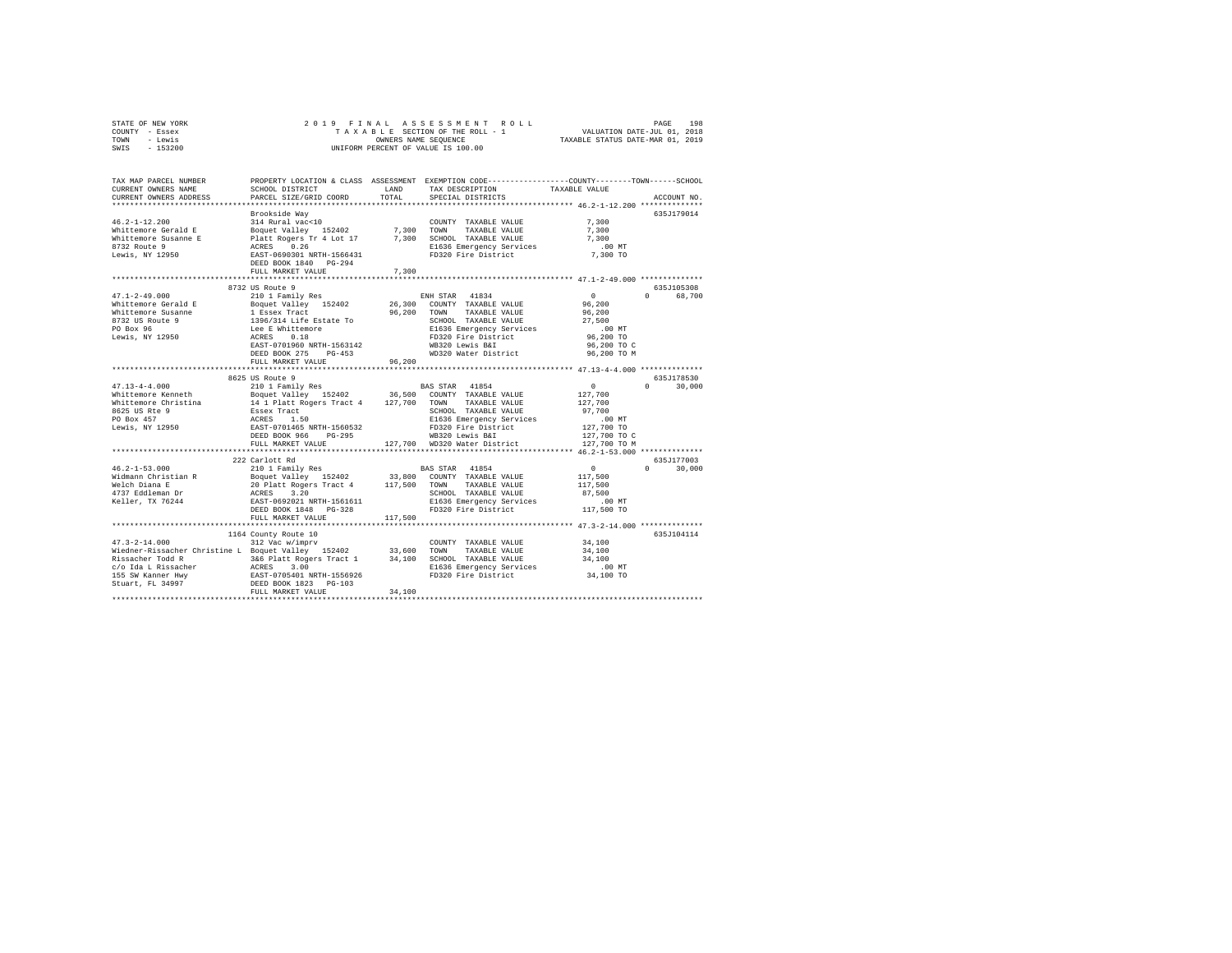| STATE OF NEW YORK | 2019 FINAL ASSESSMENT ROLL         | 198<br>PAGE                      |
|-------------------|------------------------------------|----------------------------------|
| COUNTY - Essex    | TAXABLE SECTION OF THE ROLL - 1    | VALUATION DATE-JUL 01, 2018      |
| TOWN<br>- Lewis   | OWNERS NAME SEOUENCE               | TAXABLE STATUS DATE-MAR 01, 2019 |
| $-153200$<br>SWIS | UNIFORM PERCENT OF VALUE IS 100.00 |                                  |

| TAX MAP PARCEL NUMBER<br>CURRENT OWNERS NAME<br>CURRENT OWNERS ADDRESS                                                                                                                                  | SCHOOL DISTRICT<br>PARCEL SIZE/GRID COORD                                             | LAND<br>TOTAL | PROPERTY LOCATION & CLASS ASSESSMENT EXEMPTION CODE----------------COUNTY-------TOWN------SCHOOL<br>TAX DESCRIPTION<br>SPECIAL DISTRICTS | TAXABLE VALUE                                    | ACCOUNT NO.        |
|---------------------------------------------------------------------------------------------------------------------------------------------------------------------------------------------------------|---------------------------------------------------------------------------------------|---------------|------------------------------------------------------------------------------------------------------------------------------------------|--------------------------------------------------|--------------------|
|                                                                                                                                                                                                         |                                                                                       |               |                                                                                                                                          |                                                  |                    |
|                                                                                                                                                                                                         | Brookside Way                                                                         |               |                                                                                                                                          |                                                  | 635J179014         |
| $46.2 - 1 - 12.200$                                                                                                                                                                                     | 314 Rural vac<10                                                                      |               | COUNTY TAXABLE VALUE                                                                                                                     | 7,300                                            |                    |
| Whittemore Gerald E                                                                                                                                                                                     | Boquet Valley 152402                                                                  |               | 7,300 TOWN TAXABLE VALUE                                                                                                                 | 7,300                                            |                    |
| Whittemore Susanne E                                                                                                                                                                                    | Platt Rogers Tr 4 Lot 17                                                              |               | 7,300 SCHOOL TAXABLE VALUE                                                                                                               | 7.300                                            |                    |
| 8732 Route 9                                                                                                                                                                                            | ACRES 0.26                                                                            |               | E1636 Emergency Services                                                                                                                 | $.00$ MT                                         |                    |
| Lewis, NY 12950                                                                                                                                                                                         | EAST-0690301 NRTH-1566431                                                             |               | FD320 Fire District                                                                                                                      | 7,300 TO                                         |                    |
|                                                                                                                                                                                                         | DEED BOOK 1840 PG-294                                                                 |               |                                                                                                                                          |                                                  |                    |
|                                                                                                                                                                                                         | FULL MARKET VALUE                                                                     | 7.300         |                                                                                                                                          |                                                  |                    |
|                                                                                                                                                                                                         |                                                                                       |               | ************************************ 47.1-2-49.000 **************                                                                        |                                                  |                    |
|                                                                                                                                                                                                         | 8732 US Route 9                                                                       |               |                                                                                                                                          |                                                  | 635J105308         |
| $47.1 - 2 - 49.000$                                                                                                                                                                                     | 210 1 Family Res                                                                      |               | ENH STAR 41834                                                                                                                           | $\Omega$                                         | 68,700<br>$\Omega$ |
| Whittemore Gerald E                                                                                                                                                                                     | Boquet Valley 152402                                                                  |               | 26,300 COUNTY TAXABLE VALUE                                                                                                              | 96,200                                           |                    |
| Whittemore Susanne                                                                                                                                                                                      | 1 Essex Tract<br>1396/314 Life Estate To<br>Lee E Whittemore<br>ACRES 0.18            |               | 96,200 TOWN TAXABLE VALUE                                                                                                                | 96,200                                           |                    |
| 8732 US Route 9                                                                                                                                                                                         |                                                                                       |               | SCHOOL TAXABLE VALUE                                                                                                                     | 27,500                                           |                    |
| PO Box 96                                                                                                                                                                                               |                                                                                       |               | E1636 Emergency Services                                                                                                                 | .00 MT                                           |                    |
| Lewis, NY 12950                                                                                                                                                                                         |                                                                                       |               | FD320 Fire District                                                                                                                      | 96,200 TO                                        |                    |
|                                                                                                                                                                                                         | EAST-0701960 NRTH-1563142                                                             |               | WB320 Lewis B&I                                                                                                                          | 96,200 TO C                                      |                    |
|                                                                                                                                                                                                         | DEED BOOK 275<br>PG-453                                                               |               | WD320 Water District                                                                                                                     | 96,200 TO M                                      |                    |
|                                                                                                                                                                                                         | FULL MARKET VALUE                                                                     | 96,200        |                                                                                                                                          |                                                  |                    |
|                                                                                                                                                                                                         | ***********************                                                               |               | ******************************* 47.13-4-4.000 **************                                                                             |                                                  |                    |
|                                                                                                                                                                                                         | 8625 US Route 9                                                                       |               |                                                                                                                                          |                                                  | 635.T178530        |
| $47.13 - 4 - 4.000$                                                                                                                                                                                     | 210 1 Family Res                                                                      |               | BAS STAR 41854                                                                                                                           | $\sim$ 0                                         | $0 \t 30,000$      |
| Whittemore Kenneth                                                                                                                                                                                      | Boquet Valley 152402 36,500 COUNTY TAXABLE VALUE                                      |               |                                                                                                                                          | 127,700                                          |                    |
| Whittemore Christina                                                                                                                                                                                    | 14 1 Platt Rogers Tract 4 127,700 TOWN TAXABLE VALUE                                  |               |                                                                                                                                          | 127,700                                          |                    |
| 8625 US Rte 9                                                                                                                                                                                           | Essex Tract<br>ACRES 1.50                                                             |               | SCHOOL TAXABLE VALUE                                                                                                                     | 97,700                                           |                    |
| PO Box 457                                                                                                                                                                                              |                                                                                       |               | E1636 Emergency Services                                                                                                                 | $.00$ MT                                         |                    |
| Lewis, NY 12950                                                                                                                                                                                         | EAST-0701465 NRTH-1560532                                                             |               | FD320 Fire District                                                                                                                      | 127,700 TO                                       |                    |
|                                                                                                                                                                                                         | DEED BOOK 966 PG-295                                                                  |               | WB320 Lewis B&I                                                                                                                          | 127,700 TO C                                     |                    |
|                                                                                                                                                                                                         | FULL MARKET VALUE                                                                     |               | 127,700 WD320 Water District                                                                                                             | 127,700 TO M                                     |                    |
|                                                                                                                                                                                                         | ***********************************                                                   |               |                                                                                                                                          | ******************* 46.2-1-53.000 ************** |                    |
|                                                                                                                                                                                                         | 222 Carlott Rd                                                                        |               |                                                                                                                                          |                                                  | 635J177003         |
| $46.2 - 1 - 53.000$                                                                                                                                                                                     | 210 1 Family Res                                                                      |               | BAS STAR 41854                                                                                                                           | 0                                                | $\Omega$<br>30,000 |
| Widmann Christian R                                                                                                                                                                                     | Boquet Valley 152402                                                                  |               | 33,800 COUNTY TAXABLE VALUE                                                                                                              | 117,500                                          |                    |
| Welch Diana E                                                                                                                                                                                           | 20 Platt Rogers Tract 4 117,500 TOWN TAXABLE VALUE<br>ACRES 3.20 SCHOOL TAXABLE VALUE |               |                                                                                                                                          | 117,500                                          |                    |
| 4737 Eddleman Dr                                                                                                                                                                                        |                                                                                       |               | SCHOOL TAXABLE VALUE                                                                                                                     | 87,500                                           |                    |
| Keller, TX 76244                                                                                                                                                                                        | EAST-0692021 NRTH-1561611                                                             |               | E1636 Emergency Services                                                                                                                 | .00 MT                                           |                    |
|                                                                                                                                                                                                         | DEED BOOK 1848 PG-328                                                                 |               | FD320 Fire District                                                                                                                      | 117,500 TO                                       |                    |
|                                                                                                                                                                                                         | FULL MARKET VALUE                                                                     | 117,500       |                                                                                                                                          |                                                  |                    |
|                                                                                                                                                                                                         | *******************************                                                       |               |                                                                                                                                          |                                                  |                    |
|                                                                                                                                                                                                         | 1164 County Route 10                                                                  |               |                                                                                                                                          |                                                  | 635J104114         |
| $47.3 - 2 - 14.000$                                                                                                                                                                                     | 312 Vac w/imprv                                                                       |               | COUNTY TAXABLE VALUE                                                                                                                     | 34,100                                           |                    |
| viedner-Rissacher Christine Let Boquet Valley 152402 33,600 TOWN                                                                                                                                        |                                                                                       |               | TAXABLE VALUE                                                                                                                            | 34,100                                           |                    |
| Rissacher Todd R                                                                                                                                                                                        | 3&6 Platt Rogers Tract 1 34,100 SCHOOL TAXABLE VALUE                                  |               |                                                                                                                                          | 34,100                                           |                    |
| Arassaucer Touring Terms and Terms and Constant Constant Constant Constant Constant Constant Constant Constant<br>155 SW Kanner Hwy BAST-0705401 NRTH-1556926<br>Stuart, FL 34997 DEED BOOK 1823 PG-103 |                                                                                       |               | E1636 Emergency Services                                                                                                                 | $.00$ MT                                         |                    |
|                                                                                                                                                                                                         |                                                                                       |               | FD320 Fire District                                                                                                                      | 34,100 TO                                        |                    |
|                                                                                                                                                                                                         |                                                                                       |               |                                                                                                                                          |                                                  |                    |
|                                                                                                                                                                                                         | FULL MARKET VALUE                                                                     | 34,100        |                                                                                                                                          |                                                  |                    |
|                                                                                                                                                                                                         |                                                                                       |               |                                                                                                                                          |                                                  |                    |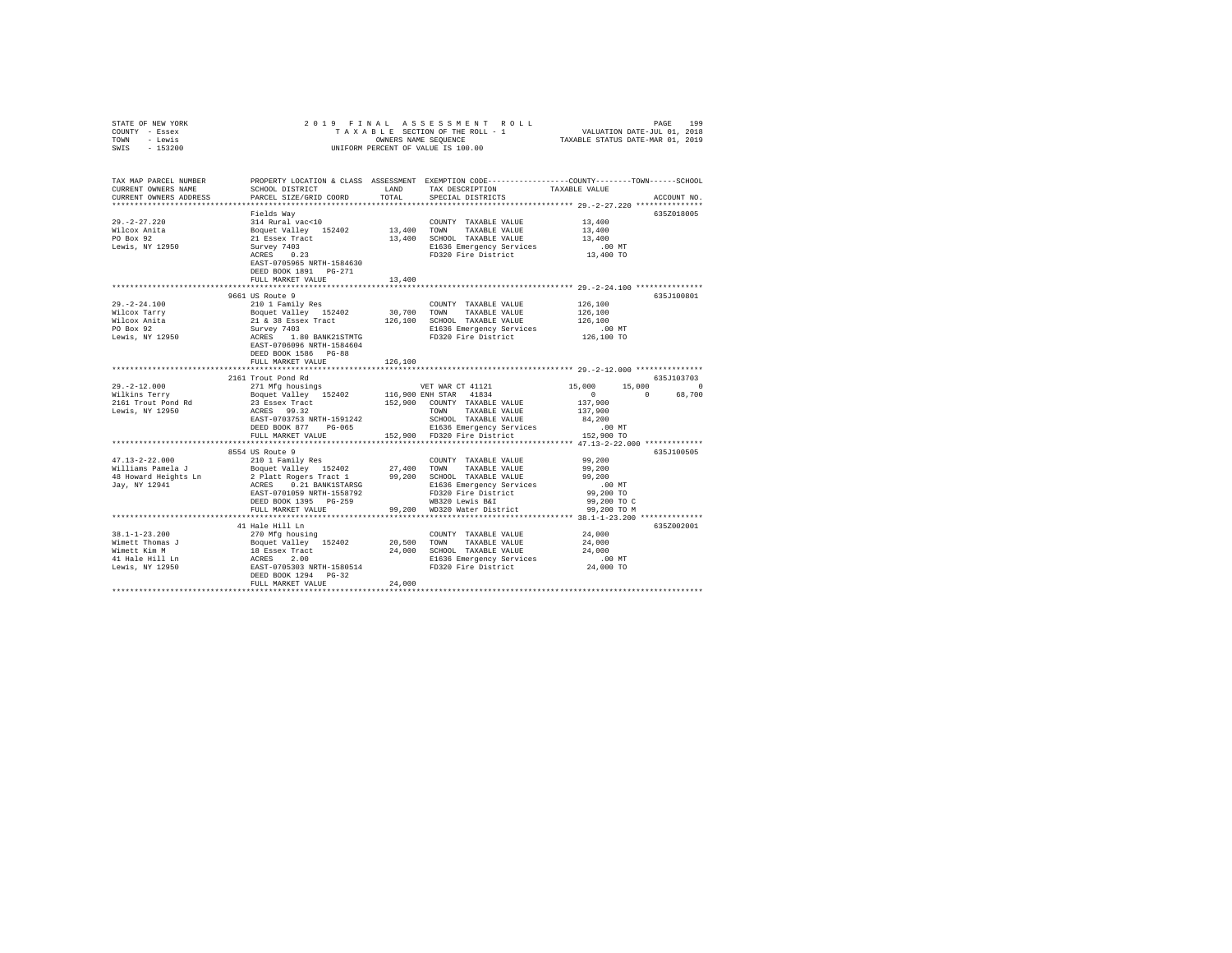| STATE OF NEW YORK<br>COUNTY - Essex<br>TOWN - Lewis<br>SWIS - 153200                                                                                                                                                                                                                                                                                                                                                                    |                                                                                  |         |                                                                                                                                                                                                                                                                                                                                                                                                                               |                                                        |             |
|-----------------------------------------------------------------------------------------------------------------------------------------------------------------------------------------------------------------------------------------------------------------------------------------------------------------------------------------------------------------------------------------------------------------------------------------|----------------------------------------------------------------------------------|---------|-------------------------------------------------------------------------------------------------------------------------------------------------------------------------------------------------------------------------------------------------------------------------------------------------------------------------------------------------------------------------------------------------------------------------------|--------------------------------------------------------|-------------|
| TAX MAP PARCEL NUMBER PROPERTY LOCATION & CLASS ASSESSMENT EXEMPTION CODE---------------COUNTY-------TOWN------SCHOOL<br>CURRENT OWNERS NAME<br>CURRENT OWNERS ADDRESS                                                                                                                                                                                                                                                                  | SCHOOL DISTRICT LAND<br>PARCEL SIZE/GRID COORD                                   | TOTAL   | TAX DESCRIPTION TAXABLE VALUE<br>SPECIAL DISTRICTS                                                                                                                                                                                                                                                                                                                                                                            |                                                        | ACCOUNT NO. |
|                                                                                                                                                                                                                                                                                                                                                                                                                                         |                                                                                  |         |                                                                                                                                                                                                                                                                                                                                                                                                                               |                                                        | 635Z018005  |
| $29. -2 - 27.220$<br>Wilcox Anita<br>PO Box 92<br>Lewis, NY 12950                                                                                                                                                                                                                                                                                                                                                                       | Fields Way<br>EAST-0705965 NRTH-1584630<br>DEED BOOK 1891 PG-271                 |         | 914 Rural Warshidter (COUNTY TAXABLE VALUE 13,400<br>21 Rural Vaccle 152402 13,400 TOWN TAXABLE VALUE 13,400<br>21 Essex Tract 13,400 SCHOOL TAXABLE VALUE 13,400<br>21 ESSEX TRACKES<br>21 ACRES 0.03<br>ACRES 0.03<br>ACRES 0.03<br>21 ACR                                                                                                                                                                                  |                                                        |             |
|                                                                                                                                                                                                                                                                                                                                                                                                                                         | FULL MARKET VALUE                                                                | 13,400  |                                                                                                                                                                                                                                                                                                                                                                                                                               |                                                        |             |
| $29. -2 - 24.100$<br>$\begin{tabular}{l c c c c c c c} \hline $\mathsf{r} \mathsf{1} \mathsf{1} \mathsf{1} \mathsf{1} \mathsf{2} \mathsf{2} \mathsf{2} \mathsf{3} \mathsf{3} \mathsf{4} \mathsf{4} \mathsf{4} \mathsf{5} \mathsf{5} \mathsf{5} \mathsf{6} \mathsf{6} \mathsf{6} \mathsf{6} \mathsf{6} \mathsf{6} \mathsf{6} \mathsf{6} \mathsf{6} \mathsf{6} \mathsf{6} \mathsf{6} \mathsf{6} \mathsf{6} \mathsf{6} \mathsf{6} \mathsf$ | 9661 US Route 9<br>210 1 Family Res<br>DEED BOOK 1586 PG-88<br>FULL MARKET VALUE | 126,100 | COUNTY TAXABLE VALUE                                                                                                                                                                                                                                                                                                                                                                                                          | 126,100                                                | 635J100801  |
|                                                                                                                                                                                                                                                                                                                                                                                                                                         | ****************************                                                     |         |                                                                                                                                                                                                                                                                                                                                                                                                                               |                                                        |             |
| $29. -2 - 12.000$<br>Wilkins Terry<br>2161 Trout Pond Rd<br>Lewis, NY 12950                                                                                                                                                                                                                                                                                                                                                             | 2161 Trout Pond Rd                                                               |         | $\begin{tabular}{c c c c} \multicolumn{1}{c}{211~\text{krq hom and}} & \multicolumn{1}{c}{\text{VET}} & \multicolumn{1}{c}{\text{VET}} & \multicolumn{1}{c}{\text{116,000~\text{N}}\end{tabular} \begin{tabular}{c}{\text{15.000~\text{ISE}}} & \multicolumn{1}{c}{\text{15.000~\text{ISE}}} & \multicolumn{1}{c}{\text{15.000~\text{ISE}}} & \multicolumn{1}{c}{\text{15.000~\text{ISE}}} & \multicolumn{1}{c}{\text{15.000$ | 15,000 0<br>0 0 68,700                                 | 635J103703  |
|                                                                                                                                                                                                                                                                                                                                                                                                                                         |                                                                                  |         |                                                                                                                                                                                                                                                                                                                                                                                                                               |                                                        |             |
|                                                                                                                                                                                                                                                                                                                                                                                                                                         | 8554 US Route 9                                                                  |         | COUNTY TAXABLE VALUE 99,200<br>FULL MARKET VALUE 99,200 WD320 Water District 99,200 TO M                                                                                                                                                                                                                                                                                                                                      | 99,200<br>99,200<br>00 MT.<br>99,200 TO<br>99,200 TO C | 635J100505  |
|                                                                                                                                                                                                                                                                                                                                                                                                                                         |                                                                                  |         |                                                                                                                                                                                                                                                                                                                                                                                                                               |                                                        |             |
|                                                                                                                                                                                                                                                                                                                                                                                                                                         | 41 Hale Hill Ln<br>FULL MARKET VALUE                                             | 24,000  |                                                                                                                                                                                                                                                                                                                                                                                                                               |                                                        | 635Z002001  |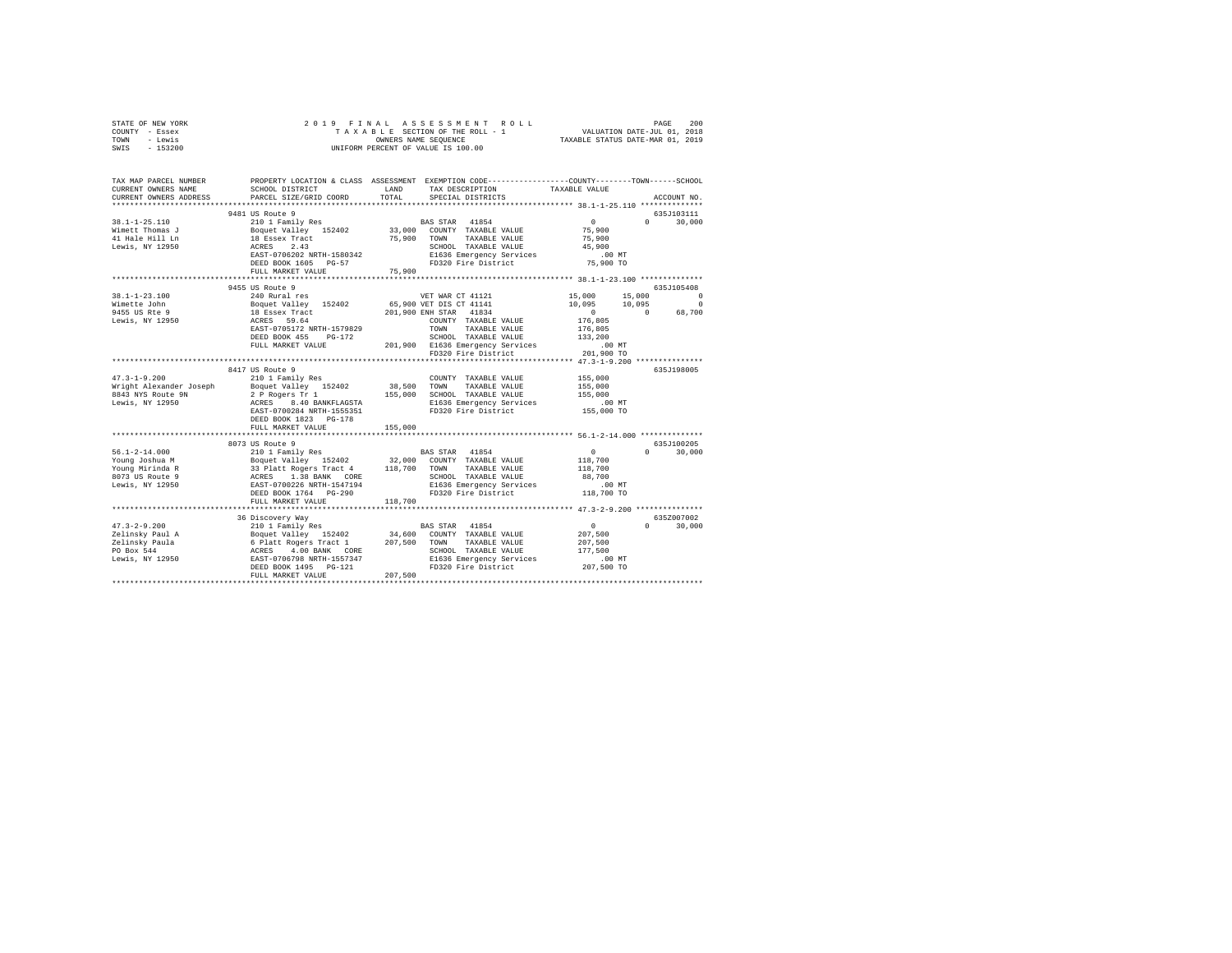|      | STATE OF NEW YORK |  | 2019 FINAL ASSESSMENT ROLL         |                                  | PAGE                        | 200 |
|------|-------------------|--|------------------------------------|----------------------------------|-----------------------------|-----|
|      | COUNTY - Essex    |  | TAXABLE SECTION OF THE ROLL - 1    |                                  | VALUATION DATE-JUL 01, 2018 |     |
| TOWN | - Lewis           |  | OWNERS NAME SEOUENCE               | TAXABLE STATUS DATE-MAR 01, 2019 |                             |     |
| SWIS | $-153200$         |  | UNIFORM PERCENT OF VALUE IS 100.00 |                                  |                             |     |

| TAX MAP PARCEL NUMBER<br>CURRENT OWNERS NAME<br>CURRENT OWNERS ADDRESS | SCHOOL DISTRICT<br>PARCEL SIZE/GRID COORD          | LAND<br>TOTAL | PROPERTY LOCATION & CLASS ASSESSMENT EXEMPTION CODE----------------COUNTY-------TOWN-----SCHOOL<br>TAX DESCRIPTION<br>SPECIAL DISTRICTS | TAXABLE VALUE                                    | ACCOUNT NO.            |
|------------------------------------------------------------------------|----------------------------------------------------|---------------|-----------------------------------------------------------------------------------------------------------------------------------------|--------------------------------------------------|------------------------|
|                                                                        |                                                    |               |                                                                                                                                         |                                                  |                        |
|                                                                        | 9481 US Route 9                                    |               |                                                                                                                                         |                                                  | 635J103111             |
| 38.1-1-25.110                                                          | 210 1 Family Res                                   |               | BAS STAR 41854                                                                                                                          | $\sim$ 0                                         | $0 \t 30,000$          |
| Wimett Thomas J                                                        | Boquet Valley 152402<br>18 Essex Tract             |               | 33,000 COUNTY TAXABLE VALUE                                                                                                             | 75,900                                           |                        |
| 41 Hale Hill Ln                                                        |                                                    |               | 75,900 TOWN TAXABLE VALUE                                                                                                               | 75,900                                           |                        |
| Lewis, NY 12950                                                        | ACRES 2.43                                         |               | SCHOOL TAXABLE VALUE                                                                                                                    | 45,900                                           |                        |
|                                                                        | EAST-0706202 NRTH-1580342                          |               | E1636 Emergency Services                                                                                                                | $.00$ MT                                         |                        |
|                                                                        | DEED BOOK 1605 PG-57                               |               | FD320 Fire District                                                                                                                     | 75,900 TO                                        |                        |
|                                                                        | FULL MARKET VALUE                                  | 75,900        |                                                                                                                                         |                                                  |                        |
|                                                                        |                                                    |               |                                                                                                                                         |                                                  |                        |
|                                                                        | 9455 US Route 9                                    |               |                                                                                                                                         |                                                  | 635J105408             |
| $38.1 - 1 - 23.100$                                                    | 240 Rural res                                      |               | VET WAR CT 41121                                                                                                                        | 15,000                                           | 15,000<br>$\Omega$     |
| Wimette John                                                           | Boquet Valley 152402                               |               | 65,900 VET DIS CT 41141                                                                                                                 | 10,095                                           | 10,095<br>$\circ$      |
| 9455 US Rte 9                                                          | 18 Essex Tract<br>ACRES 59.64                      |               | 201,900 ENH STAR 41834                                                                                                                  | $\sim$ 0                                         | 0 68,700               |
| Lewis, NY 12950                                                        |                                                    |               | COUNTY TAXABLE VALUE                                                                                                                    | 176,805                                          |                        |
|                                                                        | EAST-0705172 NRTH-1579829                          |               | TOWN<br>TAXABLE VALUE                                                                                                                   | 176,805                                          |                        |
|                                                                        | DEED BOOK 455<br>$PG-172$                          |               | SCHOOL TAXABLE VALUE                                                                                                                    | 133,200                                          |                        |
|                                                                        | FULL MARKET VALUE                                  |               | 201.900 E1636 Emergency Services                                                                                                        | .00MT                                            |                        |
|                                                                        |                                                    |               | FD320 Fire District                                                                                                                     | 201,900 TO                                       |                        |
|                                                                        |                                                    |               | ************************************** 47.3-1-9.200 ***************                                                                     |                                                  |                        |
|                                                                        | 8417 US Route 9                                    |               |                                                                                                                                         |                                                  | 635J198005             |
| $47.3 - 1 - 9.200$                                                     | 210 1 Family Res                                   |               | COUNTY TAXABLE VALUE                                                                                                                    | 155,000                                          |                        |
| Wright Alexander Joseph Boquet Valley 152402                           |                                                    | 38,500        | TOWN<br>TAXABLE VALUE                                                                                                                   | 155,000                                          |                        |
| 8843 NYS Route 9N                                                      | 2 P Rogers Tr 1<br>ACRES 8.40 BANKFLAGSTA          |               | 155,000 SCHOOL TAXABLE VALUE                                                                                                            | 155,000                                          |                        |
| Lewis, NY 12950                                                        |                                                    |               | E1636 Emergency Services                                                                                                                | $.00$ MT                                         |                        |
|                                                                        | EAST-0700284 NRTH-1555351                          |               | FD320 Fire District                                                                                                                     | 155,000 TO                                       |                        |
|                                                                        | DEED BOOK 1823 PG-178                              |               |                                                                                                                                         |                                                  |                        |
|                                                                        | FULL MARKET VALUE<br>***************************** | 155,000       |                                                                                                                                         |                                                  |                        |
|                                                                        |                                                    |               |                                                                                                                                         |                                                  |                        |
|                                                                        | 8073 US Route 9                                    |               |                                                                                                                                         |                                                  | 635J100205<br>$\Omega$ |
| $56.1 - 2 - 14.000$                                                    |                                                    |               |                                                                                                                                         | $\sim$ 0                                         | 30,000                 |
| Young Joshua M<br>Young Mirinda R                                      |                                                    |               |                                                                                                                                         | 118,700<br>118,700                               |                        |
| 8073 US Route 9                                                        |                                                    |               |                                                                                                                                         | 88,700                                           |                        |
| Lewis, NY 12950                                                        | EAST-0700226 NRTH-1547194                          |               | E1636 Emergency Services                                                                                                                | $.00$ MT                                         |                        |
|                                                                        | DEED BOOK 1764 PG-290                              |               | FD320 Fire District                                                                                                                     | 118,700 TO                                       |                        |
|                                                                        | FULL MARKET VALUE                                  | 118,700       |                                                                                                                                         |                                                  |                        |
|                                                                        | *******************                                |               |                                                                                                                                         | ******************* 47.3-2-9.200 *************** |                        |
|                                                                        | 36 Discovery Way                                   |               |                                                                                                                                         |                                                  | 635Z007002             |
|                                                                        |                                                    |               | BAS STAR 41854                                                                                                                          | $\sim$ 0                                         | $\mathbf{r}$<br>30,000 |
|                                                                        |                                                    |               | COUNTY TAXABLE VALUE                                                                                                                    | 207,500                                          |                        |
|                                                                        |                                                    |               | TAXABLE VALUE                                                                                                                           | 207,500                                          |                        |
|                                                                        |                                                    |               | SCHOOL TAXABLE VALUE                                                                                                                    | 177.500                                          |                        |
|                                                                        |                                                    |               |                                                                                                                                         | $.00$ MT                                         |                        |
|                                                                        | DEED BOOK 1495 PG-121                              |               | E1636 Emergency Services<br>FD320 Fire District                                                                                         | 207,500 TO                                       |                        |
|                                                                        | FULL MARKET VALUE                                  | 207,500       |                                                                                                                                         |                                                  |                        |
|                                                                        |                                                    |               |                                                                                                                                         |                                                  |                        |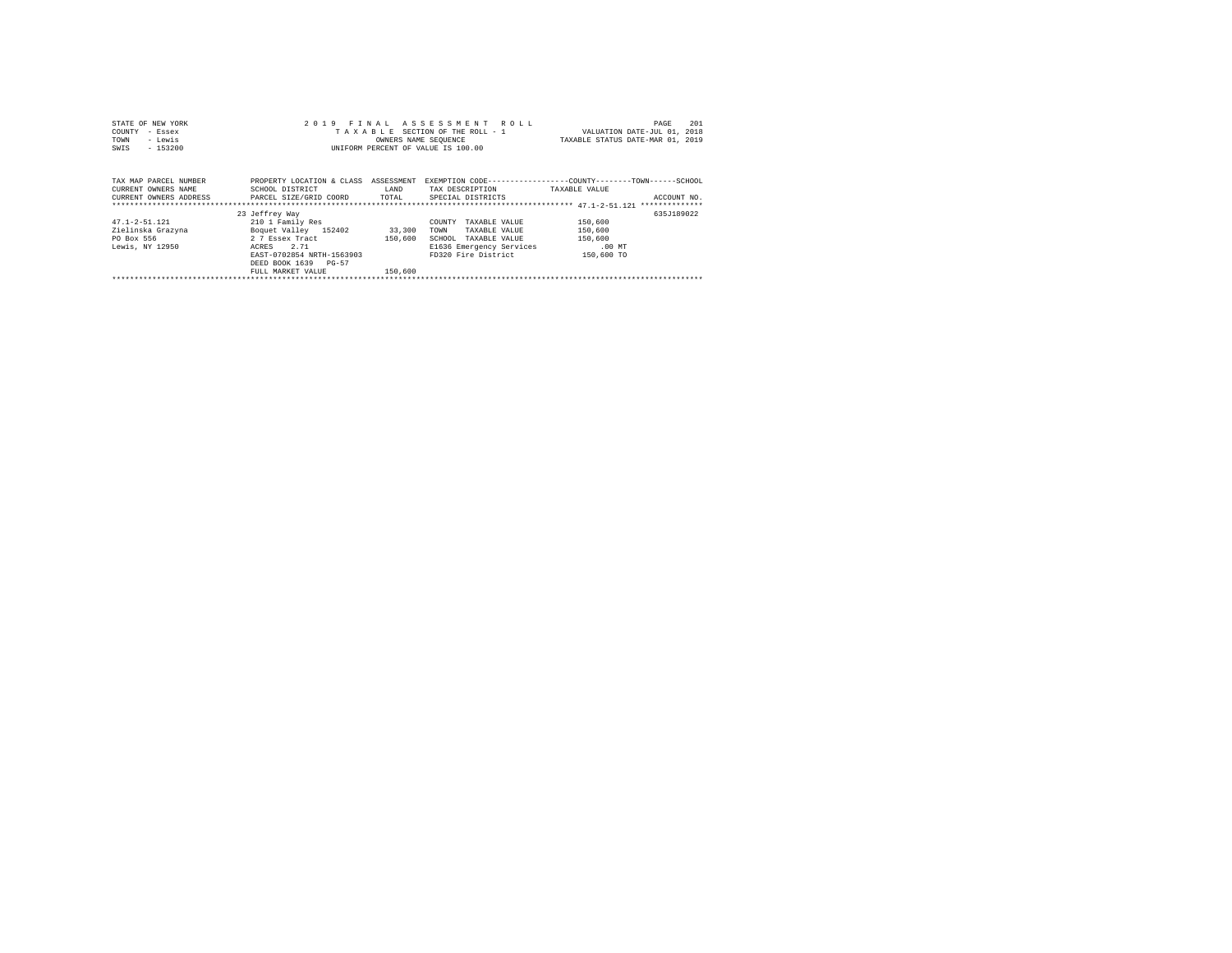| STATE OF NEW YORK<br>- Essex<br>COUNTY<br>- Lewis<br>TOWN<br>$-153200$<br>SWIS | TAXABLE                                                                | OWNERS NAME SEQUENCE        | 2019 FINAL ASSESSMENT ROLL<br>SECTION OF THE ROLL - 1<br>UNIFORM PERCENT OF VALUE IS 100.00 | PAGE<br>VALUATION DATE-JUL 01, 2018<br>TAXABLE STATUS DATE-MAR 01, 2019       | 201         |
|--------------------------------------------------------------------------------|------------------------------------------------------------------------|-----------------------------|---------------------------------------------------------------------------------------------|-------------------------------------------------------------------------------|-------------|
| TAX MAP PARCEL NUMBER<br>CURRENT OWNERS NAME<br>CURRENT OWNERS ADDRESS         | PROPERTY LOCATION & CLASS<br>SCHOOL DISTRICT<br>PARCEL SIZE/GRID COORD | ASSESSMENT<br>LAND<br>TOTAL | TAX DESCRIPTION<br>SPECIAL DISTRICTS                                                        | EXEMPTION CODE-----------------COUNTY-------TOWN------SCHOOL<br>TAXABLE VALUE | ACCOUNT NO. |
|                                                                                | 23 Jeffrey Way                                                         |                             |                                                                                             |                                                                               | 635J189022  |
| $47.1 - 2 - 51.121$                                                            | 210 1 Family Res                                                       |                             | TAXABLE VALUE<br>COUNTY                                                                     | 150,600                                                                       |             |
| Zielinska Grazyna                                                              | Boquet Valley 152402                                                   | 33,300                      | TOWN<br>TAXABLE VALUE                                                                       | 150,600                                                                       |             |
| PO Box 556                                                                     | 2 7 Essex Tract                                                        | 150,600                     | SCHOOL<br>TAXABLE VALUE                                                                     | 150,600                                                                       |             |
| Lewis, NY 12950                                                                | 2.71<br>ACRES                                                          |                             | E1636 Emergency Services                                                                    | .00MT                                                                         |             |
|                                                                                | EAST-0702854 NRTH-1563903<br>DEED BOOK 1639<br>$PG-57$                 |                             | FD320 Fire District                                                                         | 150,600 TO                                                                    |             |
|                                                                                | FULL MARKET VALUE                                                      | 150,600                     |                                                                                             |                                                                               |             |
|                                                                                |                                                                        |                             |                                                                                             |                                                                               |             |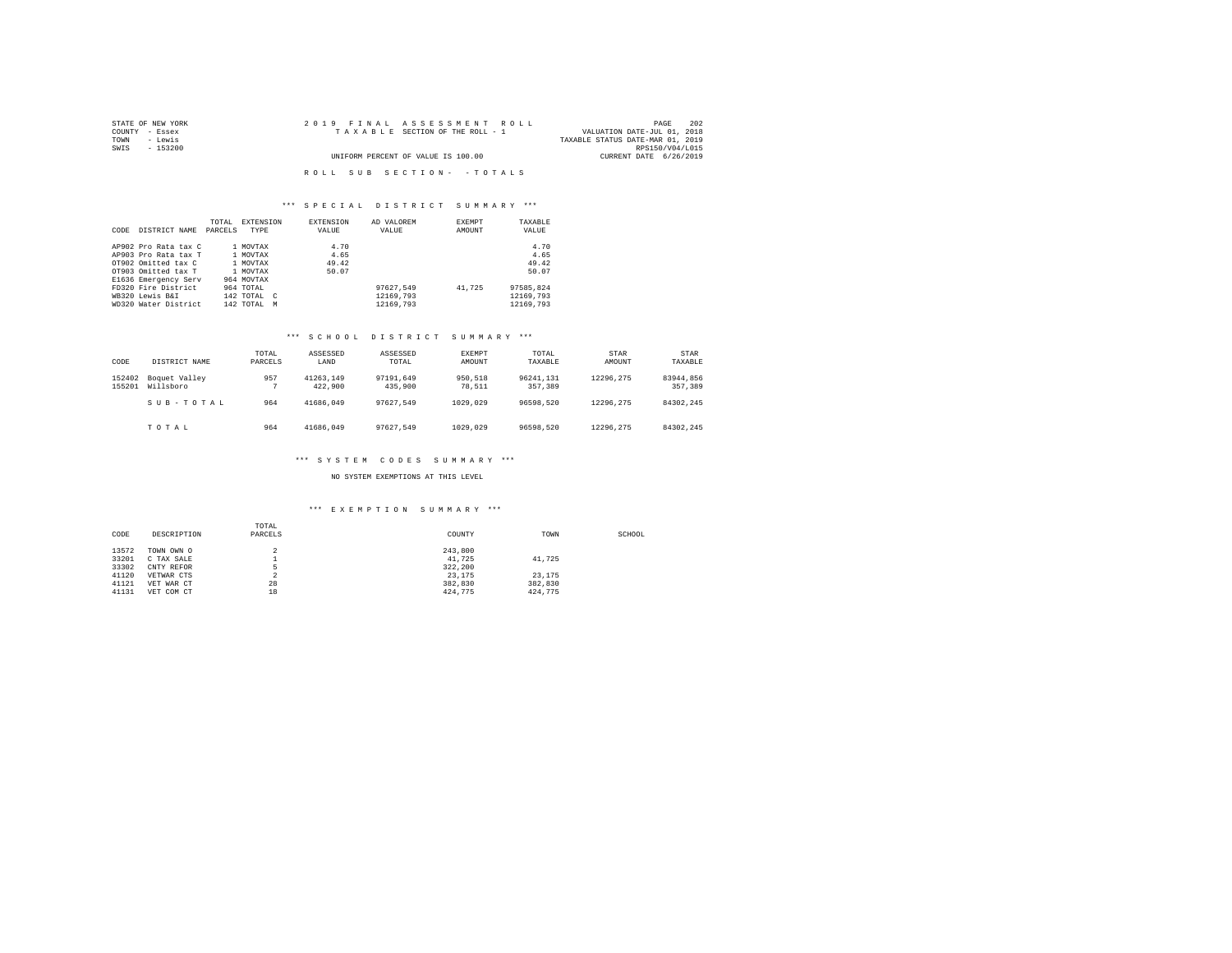| STATE OF NEW YORK | 2019 FINAL ASSESSMENT ROLL         | 202<br>PAGE                      |
|-------------------|------------------------------------|----------------------------------|
| COUNTY - Essex    | TAXABLE SECTION OF THE ROLL - 1    | VALUATION DATE-JUL 01, 2018      |
| TOWN<br>- Lewis   |                                    | TAXABLE STATUS DATE-MAR 01, 2019 |
| SWIS<br>$-153200$ |                                    | RPS150/V04/L015                  |
|                   | UNIFORM PERCENT OF VALUE IS 100.00 | CURRENT DATE 6/26/2019           |
|                   |                                    |                                  |
|                   | ROLL SUB SECTION- - TOTALS         |                                  |

## \*\*\* S P E C I A L D I S T R I C T S U M M A R Y \*\*\*

|      |                      | TOTAL   | <b>EXTENSION</b> | <b>EXTENSION</b> | AD VALOREM | EXEMPT | TAXABLE   |
|------|----------------------|---------|------------------|------------------|------------|--------|-----------|
| CODE | DISTRICT NAME        | PARCELS | TYPE             | VALUE            | VALUE      | AMOUNT | VALUE     |
|      |                      |         |                  |                  |            |        |           |
|      | AP902 Pro Rata tax C |         | 1 MOVTAX         | 4.70             |            |        | 4.70      |
|      | AP903 Pro Rata tax T |         | 1 MOVTAX         | 4.65             |            |        | 4.65      |
|      | OT902 Omitted tax C  |         | 1 MOVTAX         | 49.42            |            |        | 49.42     |
|      | OT903 Omitted tax T  |         | 1 MOVTAX         | 50.07            |            |        | 50.07     |
|      | E1636 Emergency Serv |         | 964 MOVTAX       |                  |            |        |           |
|      | FD320 Fire District  |         | 964 TOTAL        |                  | 97627.549  | 41.725 | 97585.824 |
|      | WB320 Lewis B&I      |         | 142 TOTAL C      |                  | 12169.793  |        | 12169.793 |
|      | WD320 Water District |         | 142 TOTAL M      |                  | 12169.793  |        | 12169.793 |

# \*\*\* S C H O O L D I S T R I C T S U M M A R Y \*\*\*

| CODE             | DISTRICT NAME              | TOTAL<br>PARCELS | ASSESSED<br>LAND     | ASSESSED<br>TOTAL    | <b>EXEMPT</b><br>AMOUNT | TOTAL<br>TAXABLE     | STAR<br>AMOUNT | <b>STAR</b><br>TAXABLE |
|------------------|----------------------------|------------------|----------------------|----------------------|-------------------------|----------------------|----------------|------------------------|
| 152402<br>155201 | Boquet Valley<br>Willsboro | 957              | 41263.149<br>422.900 | 97191.649<br>435,900 | 950.518<br>78,511       | 96241.131<br>357,389 | 12296.275      | 83944.856<br>357,389   |
|                  | SUB-TOTAL                  | 964              | 41686.049            | 97627.549            | 1029.029                | 96598.520            | 12296.275      | 84302.245              |
|                  | TOTAL                      | 964              | 41686.049            | 97627.549            | 1029.029                | 96598.520            | 12296.275      | 84302.245              |

## \*\*\* S Y S T E M C O D E S S U M M A R Y \*\*\*

### NO SYSTEM EXEMPTIONS AT THIS LEVEL

### \*\*\* E X E M P T I O N S U M M A R Y \*\*\*

|       |             | TOTAL   |         |         |        |
|-------|-------------|---------|---------|---------|--------|
| CODE  | DESCRIPTION | PARCELS | COUNTY  | TOWN    | SCHOOL |
|       |             |         |         |         |        |
| 13572 | TOWN OWN O  |         | 243,800 |         |        |
| 33201 | C TAX SALE  |         | 41.725  | 41.725  |        |
| 33302 | CNTY REFOR  |         | 322,200 |         |        |
| 41120 | VETWAR CTS  | $\sim$  | 23.175  | 23, 175 |        |
| 41121 | VET WAR CT  | 28      | 382,830 | 382,830 |        |
| 41131 | VET COM CT  | 18      | 424.775 | 424.775 |        |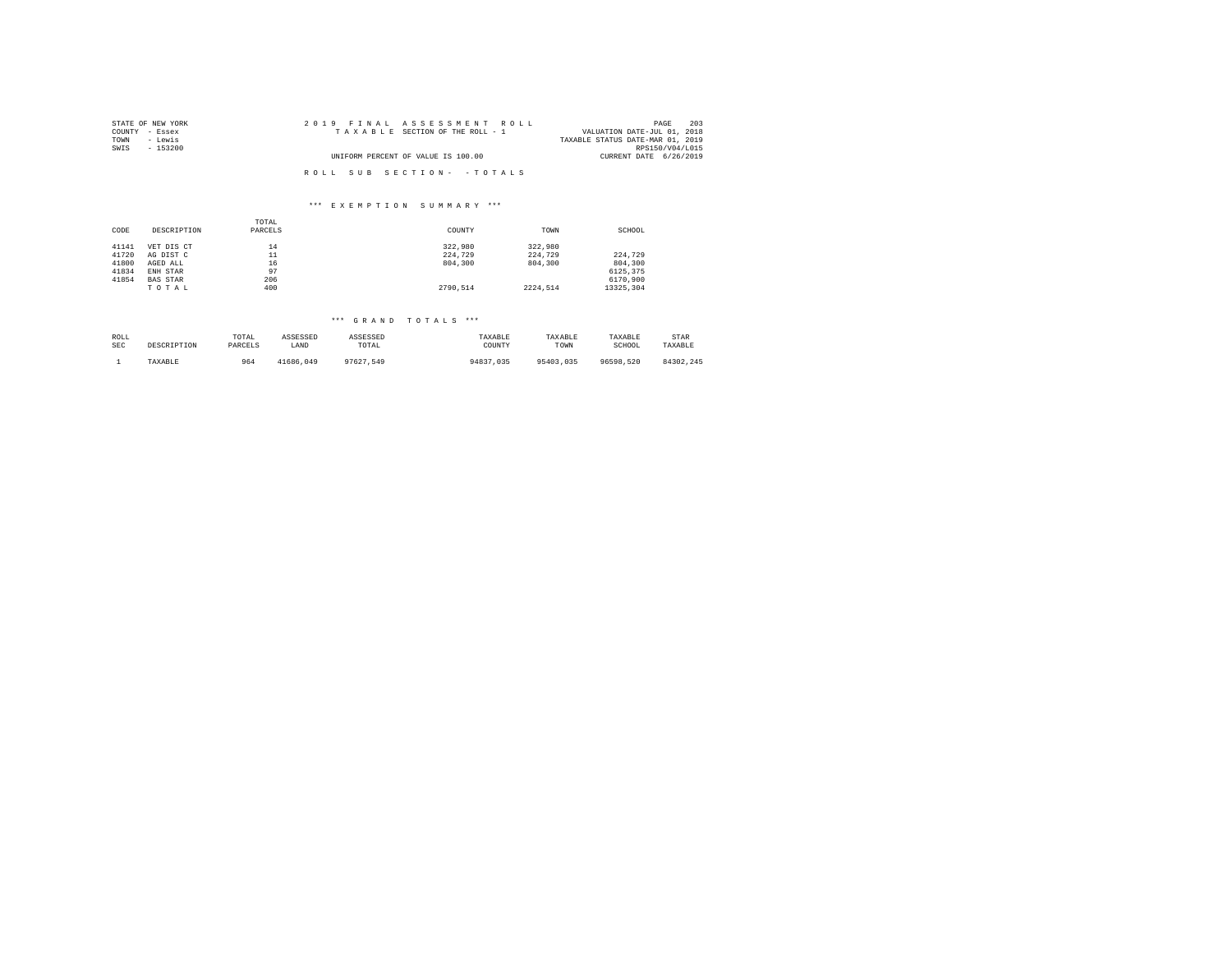| STATE OF NEW YORK | 2019 FINAL ASSESSMENT ROLL         | 203<br>PAGE                      |
|-------------------|------------------------------------|----------------------------------|
| COUNTY - Essex    | TAXABLE SECTION OF THE ROLL - 1    | VALUATION DATE-JUL 01, 2018      |
| TOWN<br>- Lewis   |                                    | TAXABLE STATUS DATE-MAR 01, 2019 |
| SWIS<br>$-153200$ |                                    | RPS150/V04/L015                  |
|                   | UNIFORM PERCENT OF VALUE IS 100.00 | CURRENT DATE 6/26/2019           |
|                   | ROLL SUB SECTION- - TOTALS         |                                  |

# \*\*\* E X E M P T I O N S U M M A R Y \*\*\*

|       |                 | TOTAL   |          |          |           |
|-------|-----------------|---------|----------|----------|-----------|
| CODE  | DESCRIPTION     | PARCELS | COUNTY   | TOWN     | SCHOOL    |
|       |                 |         |          |          |           |
| 41141 | VET DIS CT      | 14      | 322,980  | 322,980  |           |
| 41720 | AG DIST C       | 11      | 224,729  | 224,729  | 224,729   |
| 41800 | AGED ALL        | 16      | 804,300  | 804,300  | 804,300   |
| 41834 | ENH STAR        | 97      |          |          | 6125.375  |
| 41854 | <b>BAS STAR</b> | 206     |          |          | 6170.900  |
|       | TOTAL           | 400     | 2790.514 | 2224.514 | 13325.304 |

# \*\*\* G R A N D T O T A L S \*\*\*

| ROLL       | DESCRIPTION | TOTAL   | ASSESSED         | ASSESSED  | TAXABLE   | TAXABLE   | TAXABLE       | STAR      |
|------------|-------------|---------|------------------|-----------|-----------|-----------|---------------|-----------|
| <b>SEC</b> |             | PARCELS | LAND             | TOTAL     | COUNTY    | TOWN      | SCHOOL        | TAXABLE   |
|            | TAXABLE     | 964     | $+1686.$<br>.049 | 97627.549 | 94837.035 | 95403.035 | 96598<br>.520 | 84302.245 |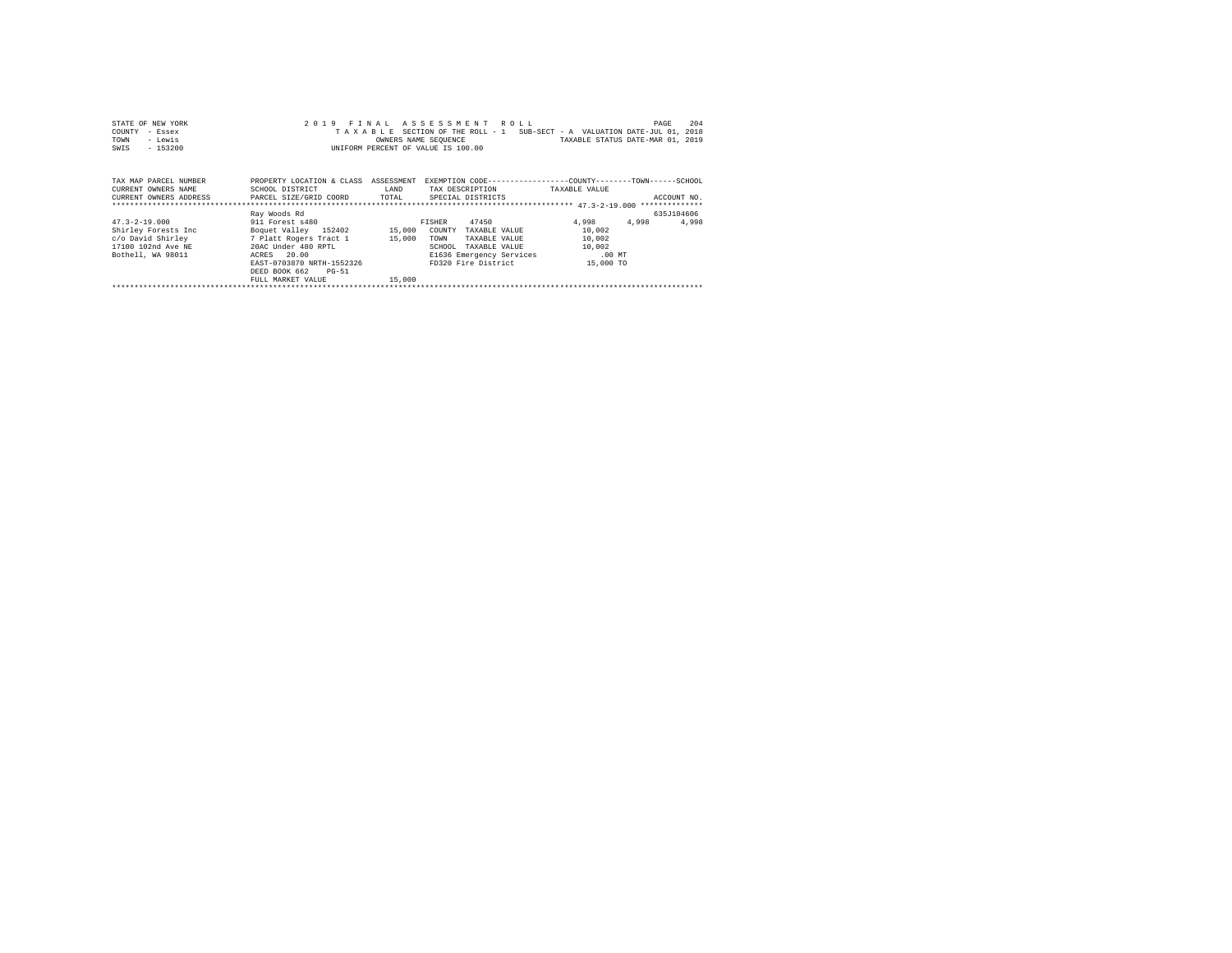| STATE OF NEW YORK<br>COUNTY<br>- Essex<br>- Lewis<br>TOWN<br>$-153200$<br>SWIS                                                           |                                                                                                                                                                      |                    | 2019 FINAL ASSESSMENT ROLL<br>TAXABLE SECTION OF THE ROLL - 1 SUB-SECT - A VALUATION DATE-JUL 01, 2018<br>OWNERS NAME SEQUENCE<br>INIFORM PERCENT OF VALUE IS 100.00 |                                                  | 204<br>PAGE<br>TAXABLE STATUS DATE-MAR 01, 2019 |
|------------------------------------------------------------------------------------------------------------------------------------------|----------------------------------------------------------------------------------------------------------------------------------------------------------------------|--------------------|----------------------------------------------------------------------------------------------------------------------------------------------------------------------|--------------------------------------------------|-------------------------------------------------|
| TAX MAP PARCEL NUMBER<br>CURRENT OWNERS NAME<br>CURRENT OWNERS ADDRESS PARCEL SIZE/GRID COORD TOTAL                                      | PROPERTY LOCATION & CLASS<br>SCHOOL DISTRICT                                                                                                                         | ASSESSMENT<br>LAND | EXEMPTION CODE-----------------COUNTY-------TOWN------SCHOOL<br>TAX DESCRIPTION<br>SPECIAL DISTRICTS                                                                 | TAXABLE VALUE                                    | ACCOUNT NO.                                     |
|                                                                                                                                          | Ray Woods Rd                                                                                                                                                         |                    |                                                                                                                                                                      |                                                  | 635J104606                                      |
| $47.3 - 2 - 19.000$<br>Shirley Forests Inc<br>c/o David Shirley 7 Platt Rogers Tract 1 15,000<br>17100 102nd Ave NE<br>Bothell, WA 98011 | 911 Forest s480<br>Boquet Valley 152402 15,000<br>20AC Under 480 RPTL<br>ACRES 20.00<br>EAST-0703870 NRTH-1552326<br>$PG - 51$<br>DEED BOOK 662<br>FULL MARKET VALUE | 15,000             | 47450<br>FISHER<br>COUNTY<br>TAXABLE VALUE<br>TOWN<br>TAXABLE VALUE<br>SCHOOL<br>TAXABLE VALUE<br>E1636 Emergency Services .00 MT<br>FD320 Fire District             | 4,998<br>10.002<br>10.002<br>10,002<br>15,000 TO | 4,998<br>4,998                                  |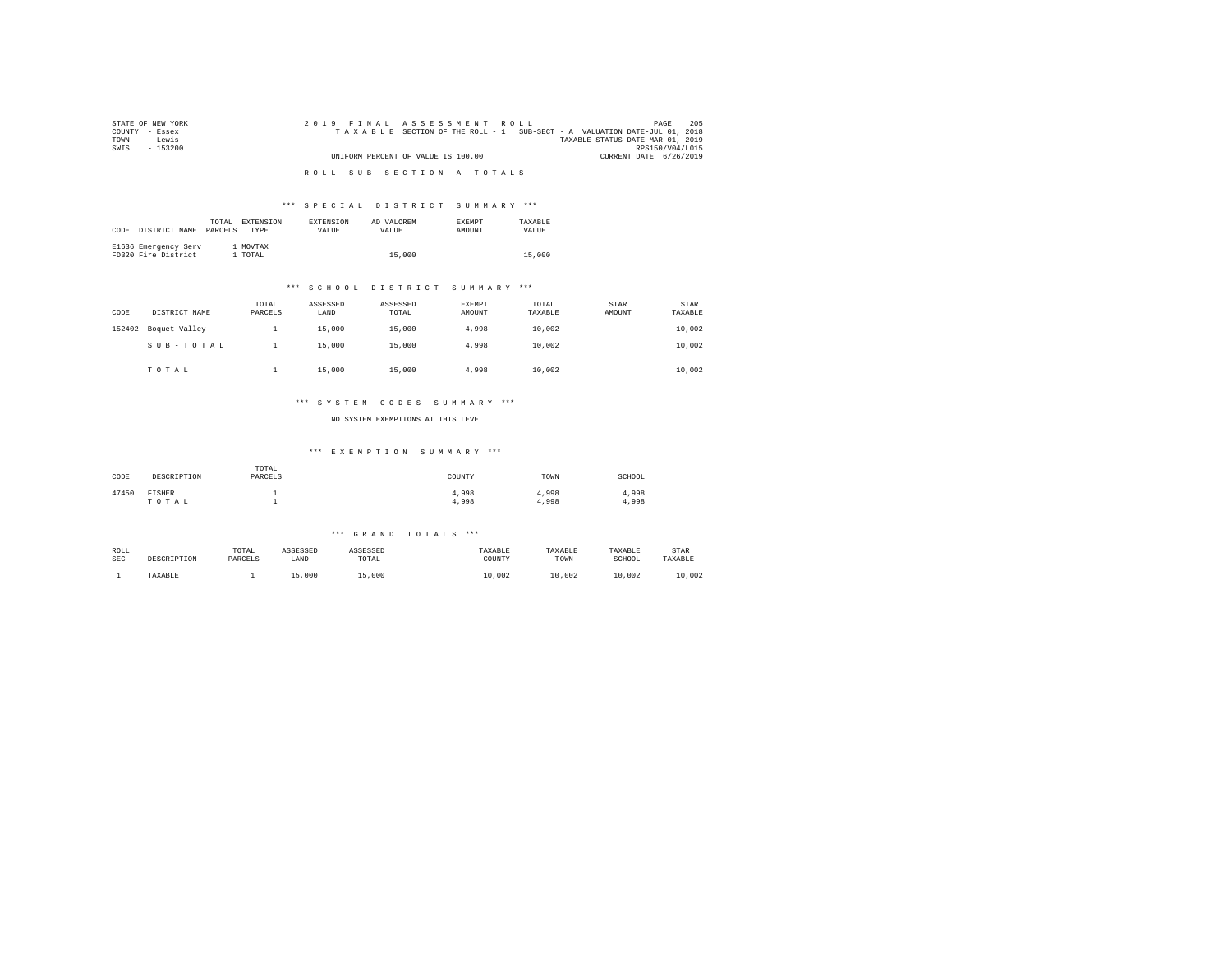| STATE OF NEW YORK | 2019 FINAL ASSESSMENT ROLL                                               | 205<br>PAGE     |
|-------------------|--------------------------------------------------------------------------|-----------------|
| COUNTY - Essex    | TAXABLE SECTION OF THE ROLL - 1 SUB-SECT - A VALUATION DATE-JUL 01, 2018 |                 |
| TOWN<br>- Lewis   | TAXABLE STATUS DATE-MAR 01, 2019                                         |                 |
| SWIS<br>$-153200$ |                                                                          | RPS150/V04/L015 |
|                   | UNIFORM PERCENT OF VALUE IS 100.00<br>CURRENT DATE 6/26/2019             |                 |
|                   |                                                                          |                 |
|                   | ROLL SUB SECTION-A-TOTALS                                                |                 |

# \*\*\* S P E C I A L D I S T R I C T S U M M A R Y \*\*\*

| CODE | DISTRICT NAME                               | TOTAL.<br>PARCELS | EXTENSION<br><b>TYPE</b> | <b>EXTENSION</b><br><b>VALUE</b> | AD VALOREM<br>VALUE | <b>EXEMPT</b><br>AMOUNT | TAXARLE<br>VALUE |
|------|---------------------------------------------|-------------------|--------------------------|----------------------------------|---------------------|-------------------------|------------------|
|      | E1636 Emergency Serv<br>FD320 Fire District |                   | MOVTAX<br>1 TOTAL        |                                  | 15,000              |                         | 15,000           |

## \*\*\* S C H O O L D I S T R I C T S U M M A R Y \*\*\*

| CODE   | DISTRICT NAME | TOTAL<br>PARCELS | ASSESSED<br>LAND | ASSESSED<br>TOTAL | EXEMPT<br>AMOUNT | TOTAL<br>TAXABLE | <b>STAR</b><br>AMOUNT | <b>STAR</b><br>TAXABLE |
|--------|---------------|------------------|------------------|-------------------|------------------|------------------|-----------------------|------------------------|
| 152402 | Boquet Valley |                  | 15,000           | 15,000            | 4.998            | 10,002           |                       | 10,002                 |
|        | SUB-TOTAL     |                  | 15,000           | 15,000            | 4.998            | 10,002           |                       | 10,002                 |
|        | TOTAL         |                  | 15,000           | 15,000            | 4.998            | 10,002           |                       | 10,002                 |

## \*\*\* S Y S T E M C O D E S S U M M A R Y \*\*\*

NO SYSTEM EXEMPTIONS AT THIS LEVEL

### \*\*\* E X E M P T I O N S U M M A R Y \*\*\*

| CODE  | DESCRIPTION   | TOTAL<br>PARCELS | COUNTY | TOWN  | SCHOOL |
|-------|---------------|------------------|--------|-------|--------|
| 47450 | <b>FISHER</b> | <b>.</b>         | 4.998  | 4.998 | 4,998  |
|       | TOTAL         | <b>.</b>         | 4.998  | 4.998 | 4.998  |

#### \*\*\* G R A N D T O T A L S \*\*\*

| ROLL       | DESCRIPTION | TOTAL   | ASSESSED | ASSESSED | TAXABLE | TAXABLE | TAXABLE | STAR    |
|------------|-------------|---------|----------|----------|---------|---------|---------|---------|
| <b>SEC</b> |             | PARCELS | LAND     | TOTAL    | COUNTY  | TOWN    | SCHOOL  | TAXABLE |
|            | TAXABLE     |         | 15,000   | 15.000   | 10,002  | 10.002  | 10.002  | 10.002  |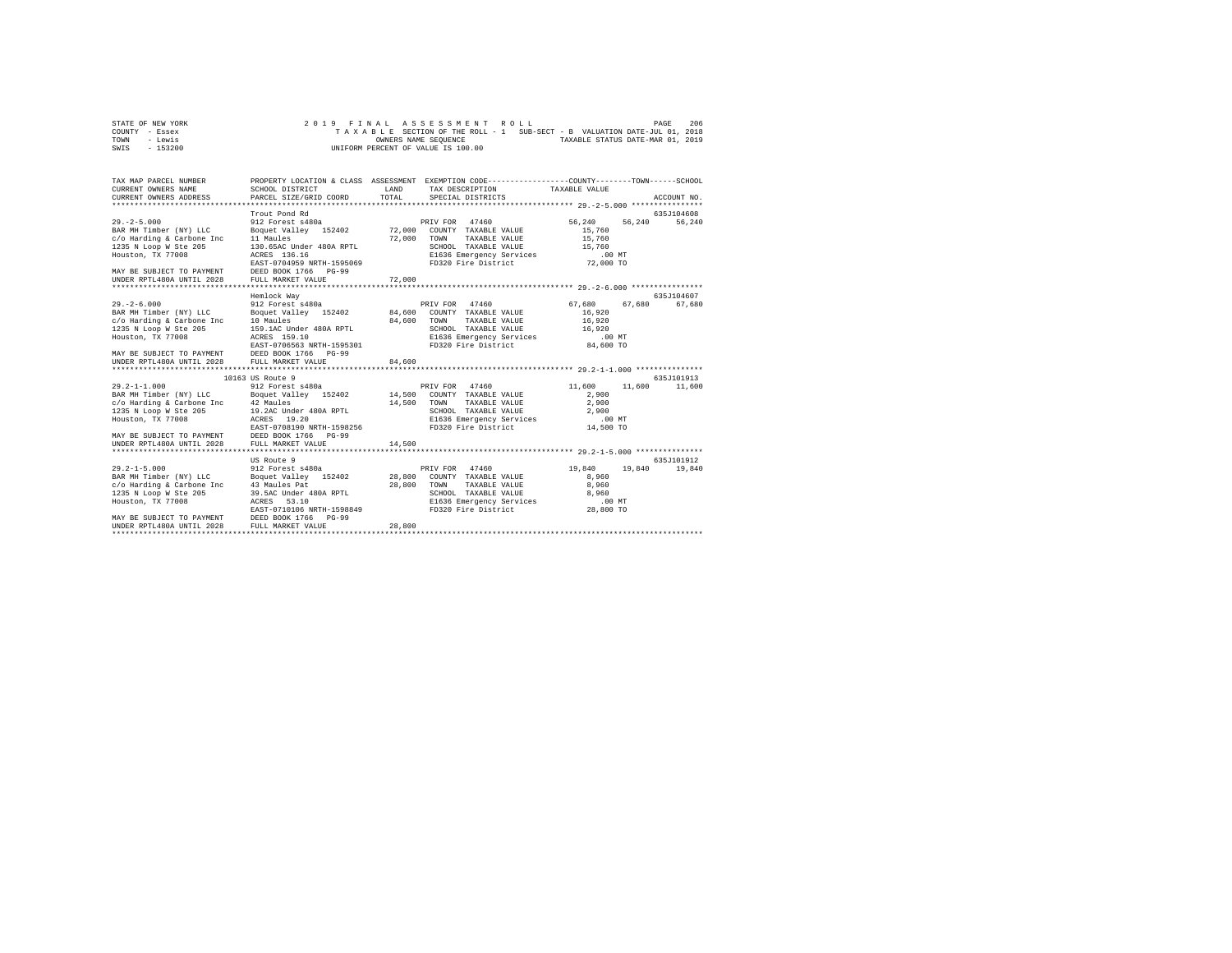| STATE OF NEW YORK | 2019 FINAL ASSESSMENT ROLL                                               | 206<br>PAGE                      |
|-------------------|--------------------------------------------------------------------------|----------------------------------|
| COUNTY - Essex    | TAXABLE SECTION OF THE ROLL - 1 SUB-SECT - B VALUATION DATE-JUL 01, 2018 |                                  |
| TOWN<br>- Lewis   | OWNERS NAME SEOUENCE                                                     | TAXABLE STATUS DATE-MAR 01, 2019 |
| $-153200$<br>SWIS | UNIFORM PERCENT OF VALUE IS 100.00                                       |                                  |

| TAX MAP PARCEL NUMBER<br>CURRENT OWNERS NAME<br>CURRENT OWNERS ADDRESS PARCEL SIZE/GRID COORD                                                                                                                                            | SCHOOL DISTRICT                                                    | LAND<br>TOTAL | PROPERTY LOCATION & CLASS ASSESSMENT EXEMPTION CODE---------------COUNTY-------TOWN------SCHOOL<br>TAX DESCRIPTION TAXABLE VALUE<br>SPECIAL DISTRICTS |                            |        | ACCOUNT NO.   |
|------------------------------------------------------------------------------------------------------------------------------------------------------------------------------------------------------------------------------------------|--------------------------------------------------------------------|---------------|-------------------------------------------------------------------------------------------------------------------------------------------------------|----------------------------|--------|---------------|
|                                                                                                                                                                                                                                          |                                                                    |               |                                                                                                                                                       |                            |        |               |
|                                                                                                                                                                                                                                          | Trout Pond Rd                                                      |               |                                                                                                                                                       |                            |        | 635.7104608   |
| $29. -2 - 5.000$<br>2017-20100 MB Mark (NI) Department of the Mark (NI) Mark (NI) Department of the Border Mark (NI) Department of<br>BAR MH Timber (NY) LLC Border Walley 152402 72,000 COUNTY TAXABLE VALUE<br>2010 TOWN TAXABLE VALUE | 912 Forest s480a                                                   |               | PRIV FOR 47460<br>TAXABLE VALUE                                                                                                                       | 56,240<br>15,760<br>15,760 | 56,240 | 56,240        |
| 1235 N Loop W Ste 205<br>Houston, TX 77008                                                                                                                                                                                               | 11 maures<br>130.65AC Under 480A RPTL<br>ACRES 136.16              |               | SCHOOL TAXABLE VALUE 15,760                                                                                                                           |                            |        |               |
| MAY BE SUBJECT TO PAYMENT DEED BOOK 1766 PG-99<br>UNDER RPTL480A UNTIL 2028                                                                                                                                                              | EAST-0704959 NRTH-1595069 PD320 Fire District<br>FULL MARKET VALUE | 72,000        |                                                                                                                                                       |                            |        |               |
|                                                                                                                                                                                                                                          |                                                                    |               |                                                                                                                                                       |                            |        |               |
|                                                                                                                                                                                                                                          | Hemlock Way                                                        |               |                                                                                                                                                       |                            |        | 635J104607    |
| $29. - 2 - 6.000$                                                                                                                                                                                                                        | 912 Forest s480a                                                   |               | PRIV FOR 47460                                                                                                                                        | 67.680                     |        | 67.680 67.680 |
| BAR MH Timber (NY) LLC                                                                                                                                                                                                                   | Boquet Valley 152402 84,600 COUNTY TAXABLE VALUE                   |               |                                                                                                                                                       | 16,920                     |        |               |
| c/o Harding & Carbone Inc 10 Maules                                                                                                                                                                                                      |                                                                    | 84,600        | TOWN<br>TAXABLE VALUE                                                                                                                                 | 16,920                     |        |               |
| 1235 N Loop W Ste 205                                                                                                                                                                                                                    | 159.1AC Under 480A RPTL                                            |               |                                                                                                                                                       |                            |        |               |
| Houston, TX 77008                                                                                                                                                                                                                        | ACRES 159.10                                                       |               | SCHOOL TAXABLE VALUE 16,920<br>E1636 Emergency Services .00 MT<br>FD320 Fire District 84,600 TO                                                       |                            |        |               |
|                                                                                                                                                                                                                                          | EAST-0706563 NRTH-1595301                                          |               |                                                                                                                                                       |                            |        |               |
|                                                                                                                                                                                                                                          |                                                                    |               |                                                                                                                                                       |                            |        |               |
| MAY BE SUBJECT TO PAYMENT DEED BOOK 1766 PG-99<br>UNDER RPTL480A UNTIL 2028 FULL MARKET VALUE                                                                                                                                            |                                                                    | 84,600        |                                                                                                                                                       |                            |        |               |
|                                                                                                                                                                                                                                          |                                                                    |               |                                                                                                                                                       |                            |        |               |
|                                                                                                                                                                                                                                          | $10163$ HS Route 9                                                 |               |                                                                                                                                                       |                            |        | 635.T101913   |
| $29.2 - 1 - 1.000$                                                                                                                                                                                                                       | 912 Forest s480a                                                   |               | PRIV FOR 47460                                                                                                                                        | 11,600                     | 11,600 | 11,600        |
| BAR MH Timber (NY) LLC Boquet Valley 152402 14,500 COUNTY TAXABLE VALUE                                                                                                                                                                  |                                                                    |               |                                                                                                                                                       | 2,900                      |        |               |
|                                                                                                                                                                                                                                          |                                                                    | 14,500        | TAXABLE VALUE<br>TOWN                                                                                                                                 | 2,900                      |        |               |
|                                                                                                                                                                                                                                          |                                                                    |               | SCHOOL TAXABLE VALUE                                                                                                                                  | 2,900                      |        |               |
|                                                                                                                                                                                                                                          |                                                                    |               | SCHOOL TAXABLE VALUE<br>E1636 Emergency Services                                                                                                      | $.00$ MT                   |        |               |
|                                                                                                                                                                                                                                          |                                                                    |               | FD320 Fire District 14,500 TO                                                                                                                         |                            |        |               |
| EAST-0708190 NRTH-1598256<br>MAY BE SUBJECT TO PAYMENT DEED BOOK 1766 PG-99<br>UNDER RPTL480A UNTIL 2028 FULL MARKET VALUE                                                                                                               |                                                                    | 14,500        |                                                                                                                                                       |                            |        |               |
|                                                                                                                                                                                                                                          |                                                                    |               |                                                                                                                                                       |                            |        |               |
|                                                                                                                                                                                                                                          | US Route 9                                                         |               |                                                                                                                                                       |                            |        | 635J101912    |
| $29.2 - 1 - 5.000$                                                                                                                                                                                                                       | 912 Forest s480a                                                   |               | PRIV FOR 47460                                                                                                                                        | 19,840                     | 19,840 | 19,840        |
|                                                                                                                                                                                                                                          |                                                                    |               |                                                                                                                                                       | 8,960                      |        |               |
|                                                                                                                                                                                                                                          |                                                                    |               |                                                                                                                                                       | 8,960                      |        |               |
|                                                                                                                                                                                                                                          |                                                                    |               | SCHOOL TAXABLE VALUE                                                                                                                                  | 8,960                      |        |               |
| Houston, TX 77008                                                                                                                                                                                                                        | 53.10<br>ACRES                                                     |               | E1636 Emergency Services                                                                                                                              | .00 MT                     |        |               |
| MAY BE SUBJECT TO PAYMENT DEED BOOK 1766 PG-99                                                                                                                                                                                           | EAST-0710106 NRTH-1598849                                          |               | FD320 Fire District                                                                                                                                   | 28,800 TO                  |        |               |
| UNDER RPTL480A UNTIL 2028                                                                                                                                                                                                                | FULL MARKET VALUE                                                  | 28,800        |                                                                                                                                                       |                            |        |               |
|                                                                                                                                                                                                                                          |                                                                    |               |                                                                                                                                                       |                            |        |               |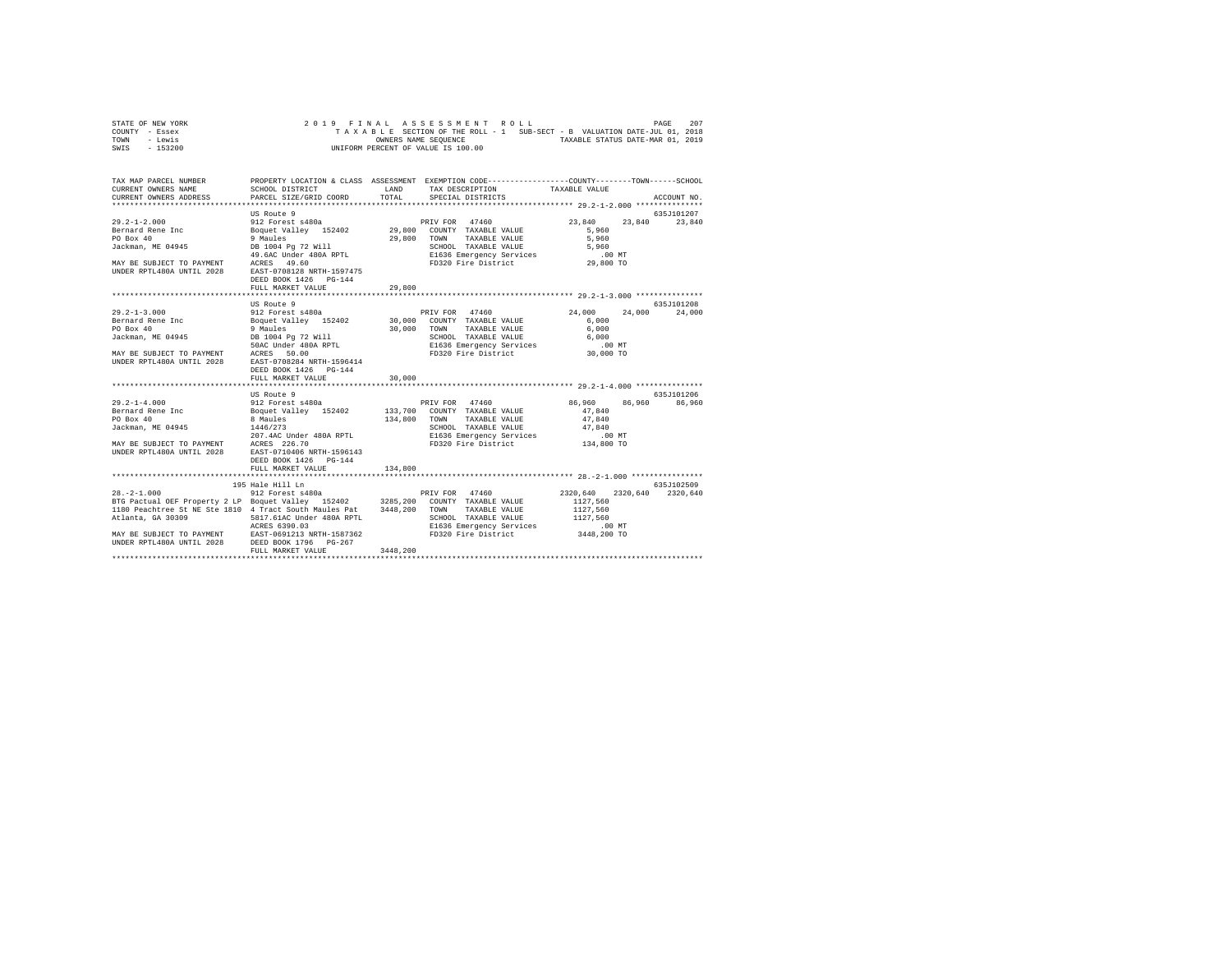| STATE OF NEW YORK | 2019 FINAL ASSESSMENT ROLL                                               | 207<br>PAGE                      |
|-------------------|--------------------------------------------------------------------------|----------------------------------|
| COUNTY - Essex    | TAXABLE SECTION OF THE ROLL - 1 SUB-SECT - B VALUATION DATE-JUL 01, 2018 |                                  |
| TOWN<br>- Lewis   | OWNERS NAME SEOUENCE                                                     | TAXABLE STATUS DATE-MAR 01, 2019 |
| - 153200<br>SWIS  | UNIFORM PERCENT OF VALUE IS 100.00                                       |                                  |

| TAX MAP PARCEL NUMBER<br>CURRENT OWNERS NAME                                                                                                                                                                                                 | SCHOOL DISTRICT       |         | PROPERTY LOCATION & CLASS ASSESSMENT EXEMPTION CODE----------------COUNTY-------TOWN------SCHOOL<br>LAND TAX DESCRIPTION | TAXABLE VALUE              |             |
|----------------------------------------------------------------------------------------------------------------------------------------------------------------------------------------------------------------------------------------------|-----------------------|---------|--------------------------------------------------------------------------------------------------------------------------|----------------------------|-------------|
| CURRENT OWNERS ADDRESS PARCEL SIZE/GRID COORD                                                                                                                                                                                                |                       |         | TOTAL SPECIAL DISTRICTS                                                                                                  |                            | ACCOUNT NO. |
|                                                                                                                                                                                                                                              | US Route 9            |         |                                                                                                                          |                            | 635J101207  |
| $29.2 - 1 - 2.000$<br>Bernard Rene Inc                                                                                                                                                                                                       |                       |         |                                                                                                                          | 23,840 23,840 23,840       |             |
| PO Box 40                                                                                                                                                                                                                                    |                       |         |                                                                                                                          |                            |             |
| Jackman, ME 04945                                                                                                                                                                                                                            |                       |         |                                                                                                                          |                            |             |
|                                                                                                                                                                                                                                              |                       |         |                                                                                                                          |                            |             |
|                                                                                                                                                                                                                                              |                       |         |                                                                                                                          |                            |             |
| MAY BE SUBJECT TO PAYMENT ACRES 49.60<br>UNDER RPTL480A UNTIL 2028 EAST-0708128 NRTH-1597475                                                                                                                                                 | DEED BOOK 1426 PG-144 |         |                                                                                                                          |                            |             |
|                                                                                                                                                                                                                                              | FULL MARKET VALUE     | 29,800  |                                                                                                                          |                            |             |
|                                                                                                                                                                                                                                              |                       |         |                                                                                                                          |                            |             |
|                                                                                                                                                                                                                                              | US Route 9            |         |                                                                                                                          |                            | 635J101208  |
|                                                                                                                                                                                                                                              |                       |         | PRIV FOR 47460 24,000 24,000                                                                                             |                            | 24,000      |
|                                                                                                                                                                                                                                              |                       |         |                                                                                                                          |                            |             |
|                                                                                                                                                                                                                                              |                       |         |                                                                                                                          |                            |             |
|                                                                                                                                                                                                                                              |                       |         |                                                                                                                          |                            |             |
|                                                                                                                                                                                                                                              |                       |         |                                                                                                                          |                            |             |
| MAY BE SUBJECT TO PAYMENT ACRES 50.00                                                                                                                                                                                                        |                       |         |                                                                                                                          |                            |             |
| UNDER RPTL480A UNTIL 2028 EAST-0708284 NRTH-1596414                                                                                                                                                                                          | DEED BOOK 1426 PG-144 |         |                                                                                                                          |                            |             |
|                                                                                                                                                                                                                                              | FULL MARKET VALUE     | 30,000  |                                                                                                                          |                            |             |
|                                                                                                                                                                                                                                              |                       |         |                                                                                                                          |                            |             |
|                                                                                                                                                                                                                                              | US Route 9            |         |                                                                                                                          |                            | 635J101206  |
| 29.2-1-4.000   912 Forest s480a   PRIV FOR 47460<br>Bernard Rene Inc   Boquet Valley 152402   133,700   COUNTY TAXABLE VALUE                                                                                                                 |                       |         |                                                                                                                          | 86,960 86,960 86,960       |             |
|                                                                                                                                                                                                                                              |                       |         |                                                                                                                          | 47,840                     |             |
|                                                                                                                                                                                                                                              |                       |         |                                                                                                                          |                            |             |
| PO Box 40<br>TO Box 40<br>Jackman, ME 04945<br>38 SCHOOL TAXABLE VALUE<br>134,800 TOWN TAXABLE VALUE<br>MAN BE SUBATE 134,800 TOWN ELGIS EMERGENCY SENUE 47,840<br>ME BUSIC EMERGENCY SENSE 205.70<br>TO BOX 2012 PIP 220 Pire District 134, |                       |         |                                                                                                                          |                            |             |
|                                                                                                                                                                                                                                              |                       |         |                                                                                                                          |                            |             |
|                                                                                                                                                                                                                                              |                       |         |                                                                                                                          |                            |             |
|                                                                                                                                                                                                                                              |                       |         |                                                                                                                          |                            |             |
|                                                                                                                                                                                                                                              | DEED BOOK 1426 PG-144 |         |                                                                                                                          |                            |             |
|                                                                                                                                                                                                                                              | FULL MARKET VALUE     | 134,800 |                                                                                                                          |                            |             |
|                                                                                                                                                                                                                                              |                       |         |                                                                                                                          |                            |             |
|                                                                                                                                                                                                                                              | 195 Hale Hill Ln      |         |                                                                                                                          |                            | 635J102509  |
|                                                                                                                                                                                                                                              |                       |         |                                                                                                                          | 2320,640 2320,640 2320,640 |             |
| 28.-2-1.000<br>BTG Packman DEF Property 212 Forest #480a 2285,200 DOUNTY TAXABLE VALUE<br>1180 Peachtree St NE Ste 1810 4 Tract South Maules Pat 3448,200 TOWN TAXABLE VALUE                                                                 |                       |         |                                                                                                                          | 1127.560                   |             |
|                                                                                                                                                                                                                                              |                       |         |                                                                                                                          |                            |             |
|                                                                                                                                                                                                                                              |                       |         |                                                                                                                          |                            |             |
|                                                                                                                                                                                                                                              |                       |         |                                                                                                                          |                            |             |
|                                                                                                                                                                                                                                              |                       |         |                                                                                                                          |                            |             |
|                                                                                                                                                                                                                                              |                       |         |                                                                                                                          |                            |             |
|                                                                                                                                                                                                                                              |                       |         |                                                                                                                          |                            |             |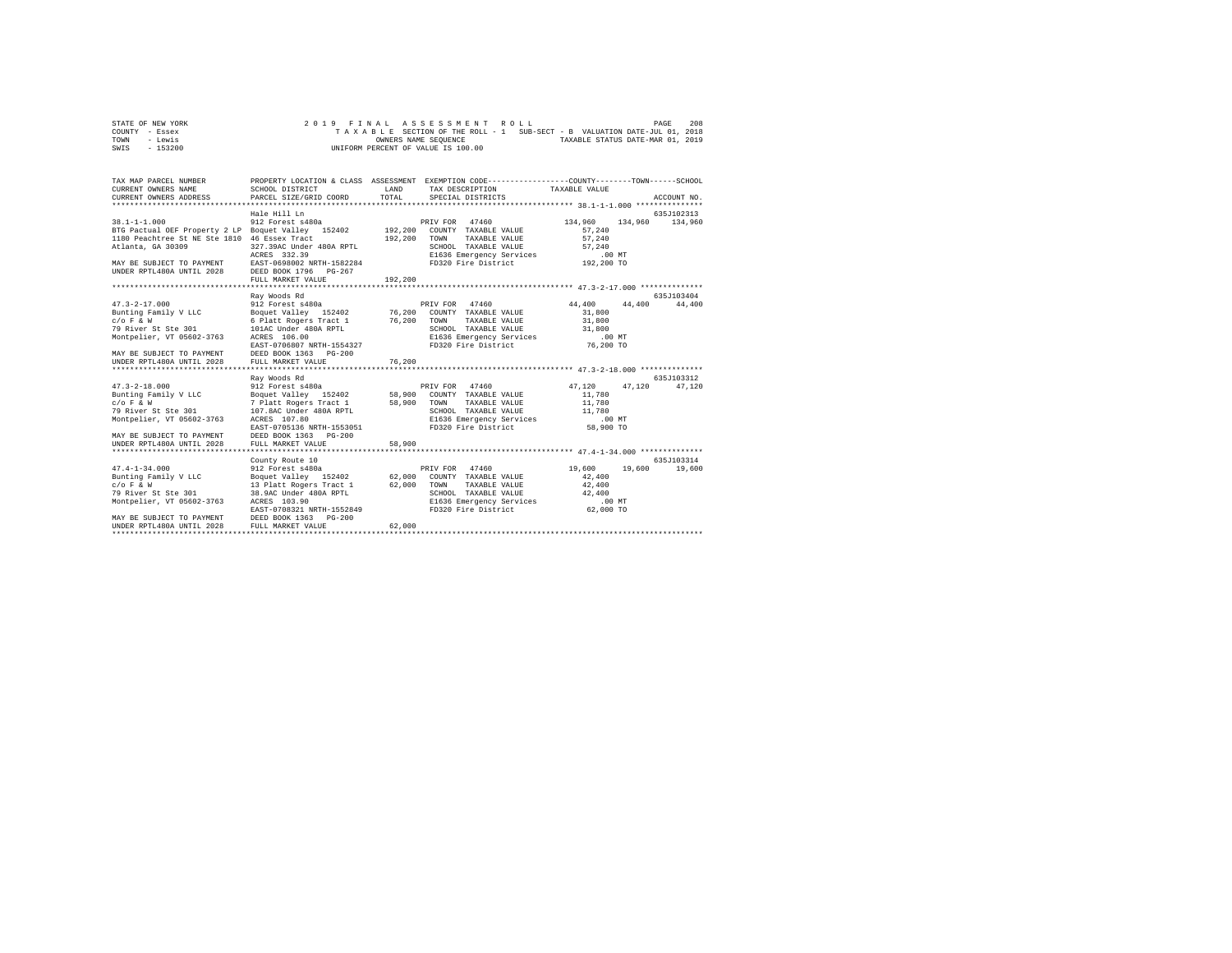| STATE OF NEW YORK |  |  |  |  |                                    |  |  |  | 2019 FINAL ASSESSMENT ROLL                                               |                                  | PAGE | 208 |
|-------------------|--|--|--|--|------------------------------------|--|--|--|--------------------------------------------------------------------------|----------------------------------|------|-----|
| COUNTY - Essex    |  |  |  |  |                                    |  |  |  | TAXABLE SECTION OF THE ROLL - 1 SUB-SECT - B VALUATION DATE-JUL 01, 2018 |                                  |      |     |
| TOWN<br>- Lewis   |  |  |  |  | OWNERS NAME SEOUENCE               |  |  |  |                                                                          | TAXABLE STATUS DATE-MAR 01, 2019 |      |     |
| $-153200$<br>SWIS |  |  |  |  | UNIFORM PERCENT OF VALUE IS 100.00 |  |  |  |                                                                          |                                  |      |     |

| TAX MAP PARCEL NUMBER<br>CURRENT OWNERS NAME<br>CURRENT OWNERS ADDRESS                                                                                                                                                                                                | SCHOOL DISTRICT<br>PARCEL SIZE/GRID COORD                                                                                                                                                                                                                                                                                           | LAND<br>TOTAL      | PROPERTY LOCATION & CLASS ASSESSMENT EXEMPTION CODE----------------COUNTY-------TOWN------SCHOOL<br>TAX DESCRIPTION TAXABLE VALUE<br>SPECIAL DISTRICTS                                                                                                                     |                                                                                        | ACCOUNT NO.                    |
|-----------------------------------------------------------------------------------------------------------------------------------------------------------------------------------------------------------------------------------------------------------------------|-------------------------------------------------------------------------------------------------------------------------------------------------------------------------------------------------------------------------------------------------------------------------------------------------------------------------------------|--------------------|----------------------------------------------------------------------------------------------------------------------------------------------------------------------------------------------------------------------------------------------------------------------------|----------------------------------------------------------------------------------------|--------------------------------|
| $38.1 - 1 - 1.000$<br>BTG Pactual OEF Property 2 LP Boquet Valley 152402<br>1180 Peachtree St NE Ste 1810 46 Essex Tract<br>Atlanta, GA 30309<br>MAY BE SUBJECT TO PAYMENT EAST-0698002 NRTH-1582284<br>UNDER RPTL480A UNTIL 2028                                     | Hale Hill Ln<br>912 Forest s480a<br>327.39AC Under 480A RPTL<br>ACRES 332.39<br>DEED BOOK 1796 PG-267                                                                                                                                                                                                                               | 192,200<br>192,200 | PRIV FOR 47460<br>192.200 COUNTY TAXABLE VALUE<br>TOWN<br>TAXABLE VALUE<br>SCHOOL TAXABLE VALUE<br>E1636 Emergency Services<br>FD320 Fire District                                                                                                                         | 134,960<br>134,960<br>57.240<br>57,240<br>57.240<br>$.00$ MT<br>192,200 TO             | 635J102313<br>134,960          |
|                                                                                                                                                                                                                                                                       | FULL MARKET VALUE                                                                                                                                                                                                                                                                                                                   |                    |                                                                                                                                                                                                                                                                            |                                                                                        |                                |
|                                                                                                                                                                                                                                                                       | Rav Woods Rd                                                                                                                                                                                                                                                                                                                        |                    |                                                                                                                                                                                                                                                                            |                                                                                        | 635.T103404                    |
| $47.3 - 2 - 17.000$<br>Bunting Family V LLC<br>$C/O$ $F$ & $W$<br>79 River St Ste 301<br>Montpelier, VT 05602-3763<br>MAY BE SUBJECT TO PAYMENT<br>UNDER RPTL480A UNTIL 2028<br>$47.3 - 2 - 18.000$<br>Bunting Family V LLC<br>$C/O$ $F$ & $W$<br>79 River St Ste 301 | 912 Forest s480a<br>Boquet Valley 152402 76,200<br>6 Platt Rogers Tract 1 76,200<br>101AC Under 480A RPTL<br>ACRES 106.00<br>EAST-0706807 NRTH-1554327<br>DEED BOOK 1363 PG-200<br>FULL MARKET VALUE<br>Ray Woods Rd<br>912 Forest s480a<br>Boquet Valley 152402 58,900<br>7 Platt Rogers Tract 1 58,900<br>107.8AC Under 480A RPTL | 76,200             | PRIV FOR 47460<br>COUNTY TAXABLE VALUE<br>TOWN<br>TAXABLE VALUE<br>TOWN INNINE VALUE<br>SCHOOL TAXABLE VALUE<br>E1636 Emergency Services 10 MT<br>--200 Fire District 76,200 TO<br>PRIV FOR 47460<br>COUNTY TAXABLE VALUE<br>TAXABLE VALUE<br>TOWN<br>SCHOOL TAXABLE VALUE | 44,400<br>44,400<br>31,800<br>31,800<br>47.120<br>47.120<br>11,780<br>11,780<br>11,780 | 44,400<br>635J103312<br>47.120 |
| Montpelier, VT 05602-3763<br>MAY BE SUBJECT TO PAYMENT<br>UNDER RPTL480A UNTIL 2028                                                                                                                                                                                   | ACRES 107.80<br>EAST-0705136 NRTH-1553051<br>DEED BOOK 1363 PG-200<br>FULL MARKET VALUE                                                                                                                                                                                                                                             | 58,900             | E1636 Emergency Services<br>FD320 Fire District                                                                                                                                                                                                                            | .00MT<br>58,900 TO                                                                     |                                |
| *************************                                                                                                                                                                                                                                             | ******************************                                                                                                                                                                                                                                                                                                      |                    |                                                                                                                                                                                                                                                                            |                                                                                        |                                |
| $47.4 - 1 - 34.000$<br>Bunting Family V LLC<br>$C/O$ $F$ & $W$<br>79 River St Ste 301<br>Montpelier, VT 05602-3763<br>MAY BE SUBJECT TO PAYMENT                                                                                                                       | County Route 10<br>912 Forest s480a<br>Boquet Valley 152402 62,000<br>13 Platt Rogers Tract 1<br>38.9AC Under 480A RPTL<br>ACRES 103.90<br>EAST-0708321 NRTH-1552849<br>DEED BOOK 1363 PG-200                                                                                                                                       | 62,000             | PRIV FOR 47460<br>COUNTY TAXABLE VALUE<br>TOWN<br>TAXABLE VALUE<br>SCHOOL TAXABLE VALUE<br>E1636 Emergency Services<br>FD320 Fire District                                                                                                                                 | 19,600<br>19,600<br>42,400<br>42,400<br>42,400<br>.00MT<br>62,000 TO                   | 635.7103314<br>19,600          |
| UNDER RPTL480A UNTIL 2028                                                                                                                                                                                                                                             | FULL MARKET VALUE                                                                                                                                                                                                                                                                                                                   | 62,000             |                                                                                                                                                                                                                                                                            |                                                                                        |                                |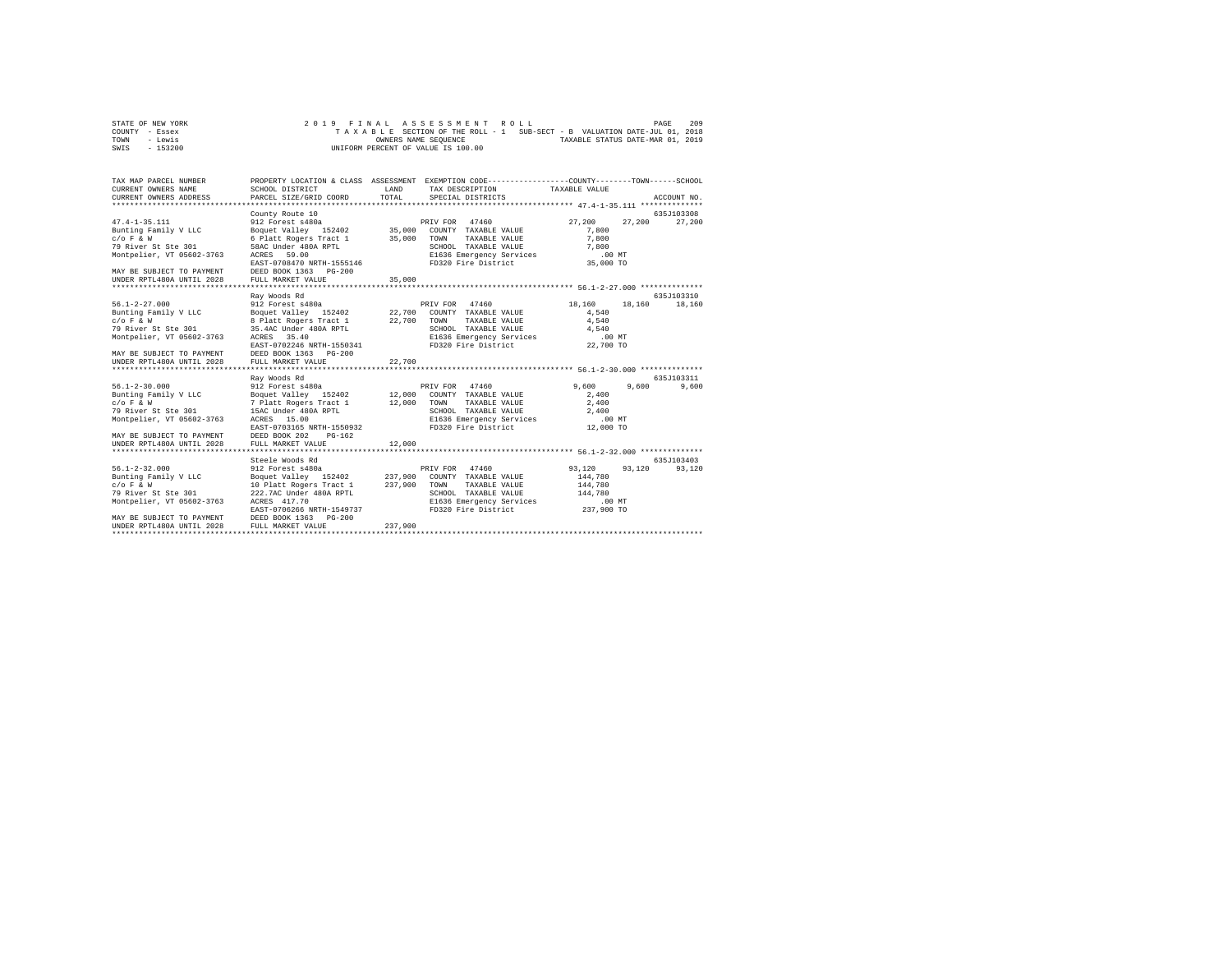| STATE OF NEW YORK | 2019 FINAL ASSESSMENT ROLL                                               | 209<br>PAGE                      |
|-------------------|--------------------------------------------------------------------------|----------------------------------|
| COUNTY - Essex    | TAXABLE SECTION OF THE ROLL - 1 SUB-SECT - B VALUATION DATE-JUL 01, 2018 |                                  |
| TOWN<br>- Lewis   | OWNERS NAME SEOUENCE                                                     | TAXABLE STATUS DATE-MAR 01, 2019 |
| - 153200<br>SWIS  | UNIFORM PERCENT OF VALUE IS 100.00                                       |                                  |

| TAX MAP PARCEL NUMBER<br>CURRENT OWNERS NAME<br>CURRENT OWNERS ADDRESS                                                                                                                                                  | SCHOOL DISTRICT<br>PARCEL SIZE/GRID COORD                                                                                                                                                                                                                               | LAND<br>TOTAL      | PROPERTY LOCATION & CLASS ASSESSMENT EXEMPTION CODE----------------COUNTY-------TOWN------SCHOOL<br>TAX DESCRIPTION<br>SPECIAL DISTRICTS                                                                    | TAXABLE VALUE<br>******************** 47.4-1-35.111 **************           |                 | ACCOUNT NO.                    |
|-------------------------------------------------------------------------------------------------------------------------------------------------------------------------------------------------------------------------|-------------------------------------------------------------------------------------------------------------------------------------------------------------------------------------------------------------------------------------------------------------------------|--------------------|-------------------------------------------------------------------------------------------------------------------------------------------------------------------------------------------------------------|------------------------------------------------------------------------------|-----------------|--------------------------------|
| $47.4 - 1 - 35.111$<br>Bunting Family V LLC<br>$C/O$ $F$ & $W$<br>79 River St Ste 301<br>Montpelier, VT 05602-3763<br>MAY BE SUBJECT TO PAYMENT<br>UNDER RPTL480A UNTIL 2028                                            | County Route 10<br>912 Forest s480a<br>Boquet Valley 152402<br>6 Platt Rogers Tract 1 35,000<br>58AC Under 480A RPTL<br>ACRES 59.00<br>EAST-0708470 NRTH-1555146<br>DEED BOOK 1363 PG-200<br>FULL MARKET VALUE                                                          | 35,000             | 47460<br>PRIV FOR<br>35,000 COUNTY TAXABLE VALUE<br>TAXABLE VALUE<br>TOWN<br>SCHOOL TAXABLE VALUE<br>E1636 Emergency Services<br>FD320 Fire District                                                        | 27,200<br>7,800<br>7,800<br>7,800<br>$.00$ MT<br>35,000 TO                   | 27,200          | 635J103308<br>27,200           |
|                                                                                                                                                                                                                         |                                                                                                                                                                                                                                                                         |                    |                                                                                                                                                                                                             |                                                                              |                 |                                |
|                                                                                                                                                                                                                         | Rav Woods Rd                                                                                                                                                                                                                                                            |                    |                                                                                                                                                                                                             |                                                                              |                 | 635J103310                     |
| $56.1 - 2 - 27.000$<br>Bunting Family V LLC<br>$C/O$ F & W<br>79 River St Ste 301<br>Montpelier, VT 05602-3763<br>MAY BE SUBJECT TO PAYMENT<br>UNDER RPTL480A UNTIL 2028<br>$56.1 - 2 - 30.000$<br>Bunting Family V LLC | 912 Forest s480a<br>Boquet Valley 152402 22.700<br>8 Platt Rogers Tract 1 22,700<br>35.4AC Under 480A RPTL<br>ACRES 35.40<br>EAST-0702246 NRTH-1550341<br>DEED BOOK 1363 PG-200<br>FULL MARKET VALUE<br>Rav Woods Rd<br>912 Forest s480a<br>Boquet Valley 152402 12,000 | 22,700             | PRIV FOR 47460<br>COUNTY TAXABLE VALUE<br>TOWN<br>TAXABLE VALUE<br>SCHOOL TAXABLE VALUE<br>E1636 Emergency Services<br>En320 Fire District<br>FD320 Fire District<br>PRIV FOR 47460<br>COUNTY TAXABLE VALUE | 18,160<br>4.540<br>4,540<br>4.540<br>$.00$ MT<br>22,700 TO<br>9.600<br>2,400 | 18,160<br>9.600 | 18,160<br>635.7103311<br>9,600 |
| $C/O$ $F$ & $W$<br>79 River St Ste 301<br>Montpelier, VT 05602-3763<br>MAY BE SUBJECT TO PAYMENT<br>UNDER RPTL480A UNTIL 2028                                                                                           | 7 Platt Rogers Tract 1 12,000<br>15AC Under 480A RPTL<br>ACRES<br>15.00<br>EAST-0703165 NRTH-1550932<br>DEED BOOK 202<br>$PG-162$<br>FULL MARKET VALUE<br>********************                                                                                          | 12,000             | TAXABLE VALUE<br>TOWN<br>SCHOOL TAXABLE VALUE<br>E1636 Emergency Services<br>FD320 Fire District<br>**************************** 56.1-2-32.000 ***************                                              | 2,400<br>2,400<br>.00 MT<br>12,000 TO                                        |                 |                                |
| $56.1 - 2 - 32.000$<br>Bunting Family V LLC<br>$C/O$ $F$ & $W$<br>79 River St Ste 301<br>Montpelier, VT 05602-3763<br>MAY BE SUBJECT TO PAYMENT<br>UNDER RPTL480A UNTIL 2028                                            | Steele Woods Rd<br>912 Forest s480a<br>Boquet Valley 152402 237,900<br>10 Platt Rogers Tract 1<br>222.7AC Under 480A RPTL<br>ACRES 417.70<br>EAST-0706266 NRTH-1549737<br>DEED BOOK 1363 PG-200<br>FULL MARKET VALUE                                                    | 237,900<br>237,900 | 47460<br>PRIV FOR<br>COUNTY TAXABLE VALUE<br>TOWN<br>TAXABLE VALUE<br>SCHOOL TAXABLE VALUE<br>E1636 Emergency Services<br>FD320 Fire District                                                               | 93.120<br>144,780<br>144,780<br>144,780<br>.00MT<br>237,900 TO               | 93,120          | 635J103403<br>93,120           |
|                                                                                                                                                                                                                         |                                                                                                                                                                                                                                                                         |                    |                                                                                                                                                                                                             |                                                                              |                 |                                |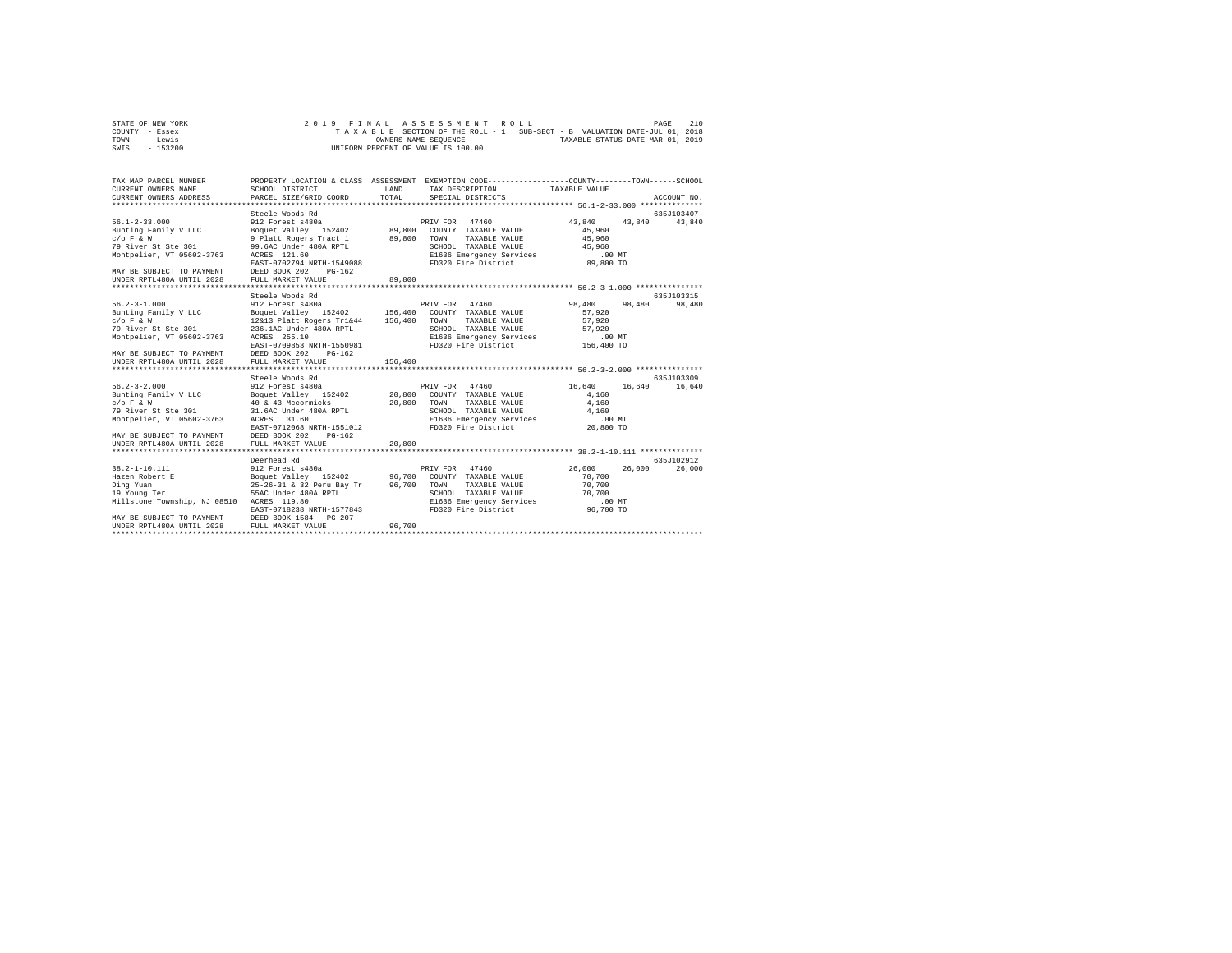| STATE OF NEW YORK |  | 2019 FINAL ASSESSMENT ROLL         | PAGE                                                                     | 210 |
|-------------------|--|------------------------------------|--------------------------------------------------------------------------|-----|
| COUNTY - Essex    |  |                                    | TAXABLE SECTION OF THE ROLL - 1 SUB-SECT - B VALUATION DATE-JUL 01, 2018 |     |
| TOWN<br>- Lewis   |  | OWNERS NAME SEOUENCE               | TAXABLE STATUS DATE-MAR 01, 2019                                         |     |
| $-153200$<br>SWIS |  | UNIFORM PERCENT OF VALUE IS 100.00 |                                                                          |     |

| TAX MAP PARCEL NUMBER<br>CURRENT OWNERS NAME<br>CURRENT OWNERS ADDRESS                                             | SCHOOL DISTRICT<br>PARCEL SIZE/GRID COORD                                                                                                 | LAND<br>TOTAL    | PROPERTY LOCATION & CLASS ASSESSMENT EXEMPTION CODE----------------COUNTY-------TOWN------SCHOOL<br>TAX DESCRIPTION<br>SPECIAL DISTRICTS   | TAXABLE VALUE                                                 |        | ACCOUNT NO. |
|--------------------------------------------------------------------------------------------------------------------|-------------------------------------------------------------------------------------------------------------------------------------------|------------------|--------------------------------------------------------------------------------------------------------------------------------------------|---------------------------------------------------------------|--------|-------------|
|                                                                                                                    | Steele Woods Rd                                                                                                                           |                  |                                                                                                                                            |                                                               |        | 635J103407  |
| $56.1 - 2 - 33.000$<br>Bunting Family V LLC<br>$C/O$ $F$ & $W$<br>79 River St Ste 301<br>Montpelier, VT 05602-3763 | 912 Forest s480a<br>Boquet Valley 152402<br>9 Platt Rogers Tract 1<br>99.6AC Under 480A RPTL<br>ACRES 121.60<br>EAST-0702794 NRTH-1549088 | 89,800<br>89,800 | PRIV FOR 47460<br>COUNTY TAXABLE VALUE<br>TOWN<br>TAXABLE VALUE<br>SCHOOL TAXABLE VALUE<br>E1636 Emergency Services<br>FD320 Fire District | 43,840<br>45,960<br>45,960<br>45,960<br>$.00$ MT<br>89,800 TO | 43.840 | 43.840      |
| MAY BE SUBJECT TO PAYMENT                                                                                          | DEED BOOK 202<br>$PG-162$                                                                                                                 |                  |                                                                                                                                            |                                                               |        |             |
| UNDER RPTL480A UNTIL 2028                                                                                          | FULL MARKET VALUE                                                                                                                         | 89,800           |                                                                                                                                            |                                                               |        |             |
|                                                                                                                    |                                                                                                                                           |                  |                                                                                                                                            |                                                               |        |             |
|                                                                                                                    | Steele Woods Rd                                                                                                                           |                  |                                                                                                                                            |                                                               |        | 635J103315  |
| $56.2 - 3 - 1.000$                                                                                                 | 912 Forest s480a                                                                                                                          |                  | PRIV FOR 47460                                                                                                                             | 98,480                                                        | 98,480 | 98,480      |
| Bunting Family V LLC                                                                                               | Boquet Valley 152402 156,400                                                                                                              |                  | COUNTY TAXABLE VALUE                                                                                                                       | 57.920                                                        |        |             |
| $C/O$ $F$ & $W$                                                                                                    | 12&13 Platt Rogers Tr1&44                                                                                                                 | 156,400          | TOWN<br>TAXABLE VALUE                                                                                                                      | 57,920                                                        |        |             |
| 79 River St Ste 301                                                                                                | 236.1AC Under 480A RPTL                                                                                                                   |                  | SCHOOL TAXABLE VALUE                                                                                                                       | 57.920                                                        |        |             |
| Montpelier, VT 05602-3763                                                                                          | ACRES 255.10                                                                                                                              |                  | E1636 Emergency Services                                                                                                                   | $.00$ MT                                                      |        |             |
|                                                                                                                    | EAST-0709853 NRTH-1550981                                                                                                                 |                  | FD320 Fire District                                                                                                                        | 156,400 TO                                                    |        |             |
| MAY BE SUBJECT TO PAYMENT                                                                                          | DEED BOOK 202<br>PG-162                                                                                                                   |                  |                                                                                                                                            |                                                               |        |             |
| UNDER RPTL480A UNTIL 2028                                                                                          | FULL MARKET VALUE                                                                                                                         | 156,400          |                                                                                                                                            |                                                               |        |             |
|                                                                                                                    | Steele Woods Rd                                                                                                                           |                  |                                                                                                                                            |                                                               |        | 635J103309  |
| $56.2 - 3 - 2.000$                                                                                                 | 912 Forest s480a                                                                                                                          |                  | PRIV FOR 47460                                                                                                                             | 16,640                                                        | 16,640 | 16,640      |
| Bunting Family V LLC                                                                                               | Boquet Valley 152402 20,800                                                                                                               |                  | COUNTY TAXABLE VALUE                                                                                                                       | 4,160                                                         |        |             |
| $C/O$ $F$ & $W$                                                                                                    | 40 & 43 Mccormicks                                                                                                                        | 20,800           | TAXABLE VALUE<br>TOWN                                                                                                                      | 4,160                                                         |        |             |
| 79 River St Ste 301                                                                                                | 31.6AC Under 480A RPTL                                                                                                                    |                  | SCHOOL TAXABLE VALUE                                                                                                                       | 4,160                                                         |        |             |
| Montpelier, VT 05602-3763                                                                                          | 31.60<br>ACRES                                                                                                                            |                  | E1636 Emergency Services                                                                                                                   | .00 MT                                                        |        |             |
|                                                                                                                    | EAST-0712068 NRTH-1551012                                                                                                                 |                  | FD320 Fire District                                                                                                                        | 20,800 TO                                                     |        |             |
| MAY BE SUBJECT TO PAYMENT                                                                                          | DEED BOOK 202<br>PG-162                                                                                                                   |                  |                                                                                                                                            |                                                               |        |             |
| UNDER RPTL480A UNTIL 2028                                                                                          | FULL MARKET VALUE                                                                                                                         | 20,800           |                                                                                                                                            |                                                               |        |             |
| **************************                                                                                         |                                                                                                                                           |                  |                                                                                                                                            |                                                               |        |             |
|                                                                                                                    | Deerhead Rd                                                                                                                               |                  |                                                                                                                                            |                                                               |        | 635.T102912 |
| $38.2 - 1 - 10.111$                                                                                                | 912 Forest s480a                                                                                                                          |                  | 47460<br>PRIV FOR                                                                                                                          | 26,000                                                        | 26,000 | 26,000      |
| Hazen Robert E                                                                                                     | Boquet Valley 152402 96,700                                                                                                               |                  | COUNTY TAXABLE VALUE                                                                                                                       | 70,700                                                        |        |             |
| Ding Yuan                                                                                                          | 25-26-31 & 32 Peru Bay Tr                                                                                                                 | 96,700           | TOWN<br>TAXABLE VALUE                                                                                                                      | 70,700                                                        |        |             |
| 19 Young Ter                                                                                                       | 55AC Under 480A RPTL                                                                                                                      |                  | SCHOOL TAXABLE VALUE                                                                                                                       | 70,700                                                        |        |             |
| Millstone Township, NJ 08510 ACRES 119.80                                                                          |                                                                                                                                           |                  | E1636 Emergency Services                                                                                                                   | $.00$ MT                                                      |        |             |
|                                                                                                                    | EAST-0718238 NRTH-1577843                                                                                                                 |                  | FD320 Fire District                                                                                                                        | 96,700 TO                                                     |        |             |
| MAY BE SUBJECT TO PAYMENT                                                                                          | DEED BOOK 1584 PG-207                                                                                                                     |                  |                                                                                                                                            |                                                               |        |             |
| UNDER RPTL480A UNTIL 2028                                                                                          | FULL MARKET VALUE                                                                                                                         | 96,700           |                                                                                                                                            |                                                               |        |             |
|                                                                                                                    |                                                                                                                                           |                  |                                                                                                                                            |                                                               |        |             |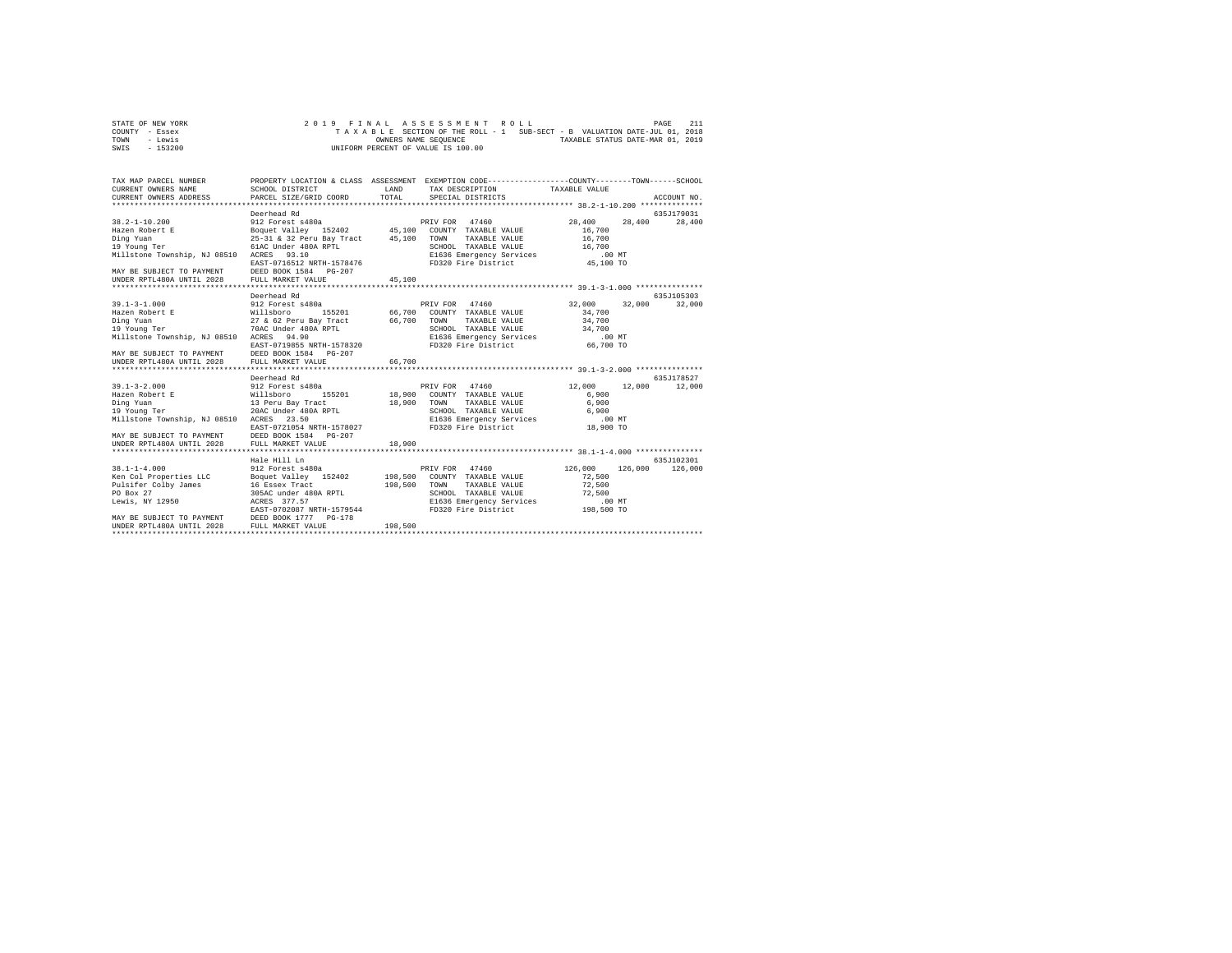| STATE OF NEW YORK | 2019 FINAL ASSESSMENT ROLL                                               | PAGE | 211 |
|-------------------|--------------------------------------------------------------------------|------|-----|
| COUNTY - Essex    | TAXABLE SECTION OF THE ROLL - 1 SUB-SECT - B VALUATION DATE-JUL 01, 2018 |      |     |
| TOWN<br>- Lewis   | TAXABLE STATUS DATE-MAR 01, 2019<br>OWNERS NAME SEOUENCE                 |      |     |
| - 153200<br>SWIS  | UNIFORM PERCENT OF VALUE IS 100.00                                       |      |     |

| TAX MAP PARCEL NUMBER<br>CURRENT OWNERS NAME<br>CURRENT OWNERS ADDRESS                                               | SCHOOL DISTRICT<br>PARCEL SIZE/GRID COORD                            | LAND<br>TOTAL | PROPERTY LOCATION & CLASS ASSESSMENT EXEMPTION CODE---------------COUNTY-------TOWN------SCHOOL<br>TAX DESCRIPTION TAXABLE VALUE<br>SPECIAL DISTRICTS |                    | ACCOUNT NO.      |
|----------------------------------------------------------------------------------------------------------------------|----------------------------------------------------------------------|---------------|-------------------------------------------------------------------------------------------------------------------------------------------------------|--------------------|------------------|
|                                                                                                                      | Deerhead Rd                                                          |               |                                                                                                                                                       |                    | 635J179031       |
| $38.2 - 1 - 10.200$                                                                                                  | 912 Forest s480a<br>Boquet Valley 152402 45,100 COUNTY TAXABLE VALUE |               | PRIV FOR 47460                                                                                                                                        | 28,400<br>16,700   | 28,400<br>28,400 |
| Hazen Robert E                                                                                                       |                                                                      |               |                                                                                                                                                       |                    |                  |
| Ding Yuan                                                                                                            | 25-31 & 32 Peru Bay Tract 45,100                                     |               | TOWN<br>TAXABLE VALUE                                                                                                                                 | 16,700             |                  |
| 19 Young Ter                                                                                                         | 61AC Under 480A RPTL                                                 |               | SCHOOL TAXABLE VALUE<br>E1636 Emergency Services                                                                                                      | 16,700             |                  |
| Millstone Township, NJ 08510 ACRES                                                                                   | 93.10                                                                |               |                                                                                                                                                       | $.00$ MT           |                  |
|                                                                                                                      | EAST-0716512 NRTH-1578476                                            |               | FD320 Fire District 45,100 TO                                                                                                                         |                    |                  |
| MAY BE SUBJECT TO PAYMENT                                                                                            | DEED BOOK 1584 PG-207                                                |               |                                                                                                                                                       |                    |                  |
| UNDER RPTL480A UNTIL 2028                                                                                            | FULL MARKET VALUE                                                    | 45,100        |                                                                                                                                                       |                    |                  |
|                                                                                                                      |                                                                      |               |                                                                                                                                                       |                    |                  |
|                                                                                                                      | Deerhead Rd                                                          |               |                                                                                                                                                       |                    | 635.7105303      |
| $39.1 - 3 - 1.000$                                                                                                   | 912 Forest s480a                                                     |               | PRIV FOR 47460                                                                                                                                        | 32,000             | 32,000<br>32,000 |
| Hazen Robert E                                                                                                       | Willsboro                                                            |               | 155201 66,700 COUNTY TAXABLE VALUE                                                                                                                    | 34,700             |                  |
| Ding Yuan                                                                                                            | 27 & 62 Peru Bay Tract 66,700                                        |               | TOWN<br>TAXABLE VALUE                                                                                                                                 | 34,700             |                  |
| 19 Young Ter                                                                                                         |                                                                      |               |                                                                                                                                                       |                    |                  |
| Millstone Township, NJ 08510 ACRES 94.90                                                                             | 70AC Under 480A RPTL<br>ACRES 94.90                                  |               | SCHOOL TAXABLE VALUE 34,700<br>E1636 Emergency Services .00 MT<br>FD320 Fire District 66,700 TO                                                       |                    |                  |
|                                                                                                                      |                                                                      |               |                                                                                                                                                       |                    |                  |
|                                                                                                                      | EAST-0719855 NRTH-1578320                                            |               |                                                                                                                                                       |                    |                  |
| MAY BE SUBJECT TO PAYMENT<br>MAY BE SUBJECT TO PAYMENT DEED BOOK 1584<br>UNDER RPTL480A UNTIL 2028 FULL MARKET VALUE | DEED BOOK 1584 PG-207                                                |               |                                                                                                                                                       |                    |                  |
|                                                                                                                      |                                                                      | 66,700        |                                                                                                                                                       |                    |                  |
|                                                                                                                      | *********************************                                    |               | ********************************* 39.1-3-2.000 ****************                                                                                       |                    |                  |
|                                                                                                                      | Deerhead Rd                                                          |               |                                                                                                                                                       |                    | 635J178527       |
| $39.1 - 3 - 2.000$                                                                                                   | 912 Forest s480a                                                     |               | PRIV FOR 47460                                                                                                                                        | 12,000             | 12,000<br>12,000 |
| Hazen Robert E                                                                                                       | 155201 18,900<br>Willsboro                                           |               | COUNTY TAXABLE VALUE                                                                                                                                  | 6,900              |                  |
| Ding Yuan                                                                                                            | 13 Peru Bay Tract                                                    | 18,900        | TOWN<br>TAXABLE VALUE                                                                                                                                 | 6,900              |                  |
| 19 Young Ter                                                                                                         | 20AC Under 480A RPTL                                                 |               | SCHOOL TAXABLE VALUE                                                                                                                                  | 6,900              |                  |
| Millstone Township, NJ 08510 ACRES                                                                                   |                                                                      |               | E1636 Emergency Services                                                                                                                              | $.00$ MT           |                  |
|                                                                                                                      | EAST-0721054 NRTH-1578027                                            |               | FD320 Fire District                                                                                                                                   | 18,900 TO          |                  |
| MAY BE SUBJECT TO PAYMENT                                                                                            | DEED BOOK 1584 PG-207                                                |               |                                                                                                                                                       |                    |                  |
| UNDER RPTL480A UNTIL 2028                                                                                            | FULL MARKET VALUE                                                    | 18,900        |                                                                                                                                                       |                    |                  |
|                                                                                                                      |                                                                      |               |                                                                                                                                                       |                    |                  |
|                                                                                                                      | Hale Hill Ln                                                         |               |                                                                                                                                                       |                    | 635J102301       |
| $38.1 - 1 - 4.000$                                                                                                   | 912 Forest s480a                                                     |               | PRIV FOR 47460                                                                                                                                        | 126,000<br>126,000 | 126,000          |
|                                                                                                                      |                                                                      |               |                                                                                                                                                       |                    |                  |
| Ken Col Properties LLC boquet Valley 152402 198,500 COUNTY TAXABLE VALUE                                             |                                                                      |               |                                                                                                                                                       | 72,500             |                  |
| Pulsifer Colby James                                                                                                 | 16 Essex Tract<br>305AC under 480A RPTL                              |               | 198,500 TOWN<br>TAXABLE VALUE                                                                                                                         | 72,500             |                  |
| PO Box 27                                                                                                            |                                                                      |               | SCHOOL TAXABLE VALUE                                                                                                                                  | 72,500             |                  |
| Lewis, NY 12950                                                                                                      | ACRES 377.57                                                         |               | E1636 Emergency Services                                                                                                                              | $.00$ MT           |                  |
|                                                                                                                      | EAST-0702087 NRTH-1579544                                            |               | FD320 Fire District                                                                                                                                   | 198,500 TO         |                  |
| MAY BE SUBJECT TO PAYMENT                                                                                            | DEED BOOK 1777 PG-178                                                |               |                                                                                                                                                       |                    |                  |
| UNDER RPTL480A UNTIL 2028                                                                                            | FULL MARKET VALUE                                                    | 198,500       |                                                                                                                                                       |                    |                  |
|                                                                                                                      |                                                                      |               |                                                                                                                                                       |                    |                  |
|                                                                                                                      |                                                                      |               |                                                                                                                                                       |                    |                  |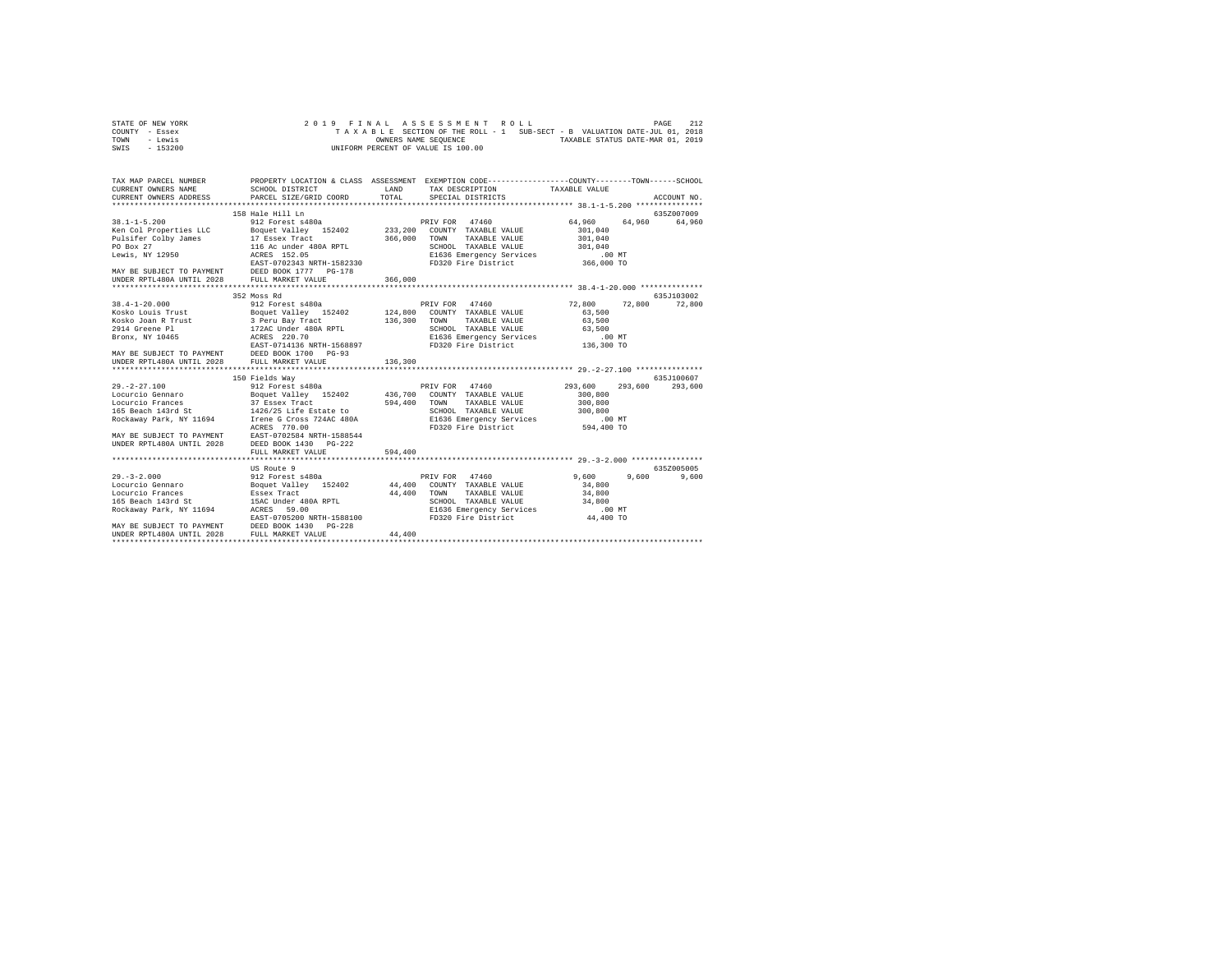| STATE OF NEW YORK<br>COUNTY - Essex<br>TOWN<br>- Lewis<br>SWIS - 153200                                                                                                                                                                                                                                  | 2019 FINAL                                                                                                                                                                                                                                                                                                                               | ASSESSMENT ROLL<br>TAXABLE SECTION OF THE ROLL - 1 SUB-SECT - B VALUATION DATE-JUL 01, 2018<br>OWNERS NAME SEQUENCE TAXABLE STATUS DATE-MAR 01, 2019<br>UNIFORM PERCENT OF VALUE IS 100.00                                                                                                                                       | 212<br>PAGE                                                                                                                                                                               |
|----------------------------------------------------------------------------------------------------------------------------------------------------------------------------------------------------------------------------------------------------------------------------------------------------------|------------------------------------------------------------------------------------------------------------------------------------------------------------------------------------------------------------------------------------------------------------------------------------------------------------------------------------------|----------------------------------------------------------------------------------------------------------------------------------------------------------------------------------------------------------------------------------------------------------------------------------------------------------------------------------|-------------------------------------------------------------------------------------------------------------------------------------------------------------------------------------------|
| CURRENT OWNERS NAME                                                                                                                                                                                                                                                                                      | SCHOOL DISTRICT                                                                                                                                                                                                                                                                                                                          | TAX MAP PARCEL NUMBER PROPERTY LOCATION & CLASS ASSESSMENT EXEMPTION CODE--------------COUNTY-------TOWN------SCHOOL<br>LAND<br>TAX DESCRIPTION                                                                                                                                                                                  | TAXABLE VALUE                                                                                                                                                                             |
| CURRENT OWNERS ADDRESS                                                                                                                                                                                                                                                                                   | PARCEL SIZE/GRID COORD                                                                                                                                                                                                                                                                                                                   | TOTAL<br>SPECIAL DISTRICTS                                                                                                                                                                                                                                                                                                       | ACCOUNT NO.                                                                                                                                                                               |
|                                                                                                                                                                                                                                                                                                          | 158 Hale Hill Ln                                                                                                                                                                                                                                                                                                                         |                                                                                                                                                                                                                                                                                                                                  | 635Z007009                                                                                                                                                                                |
| $38.1 - 1 - 5.200$                                                                                                                                                                                                                                                                                       | 912 Forest s480a<br>36.1-1-5.200<br>Ren Col Properties LLC 924 FORM 1189 152402<br>Pulsifer Colby James<br>PO Box 27 116 Ac under 480A RPTL<br>PO Box 27 116 Ac under 480A RPTL<br>RORES 152.05<br>MAY BE SUBJECT TO PAYMENT REST-0702343 NRTH-1582330<br>MAY BE                                                                         | PRIV FOR 47460<br>233,200 COUNTY TAXABLE VALUE<br>366,000 TOWN<br>TAXABLE VALUE<br>SCHOOL TAXABLE VALUE<br>E1636 Emergency Services<br>FD320 Fire District                                                                                                                                                                       | 64,960 64,960<br>64,960<br>301,040<br>301,040<br>301,040<br>$.00$ MT<br>366,000 TO                                                                                                        |
| UNDER RPTL480A UNTIL 2028                                                                                                                                                                                                                                                                                | FULL MARKET VALUE                                                                                                                                                                                                                                                                                                                        | 366,000                                                                                                                                                                                                                                                                                                                          |                                                                                                                                                                                           |
|                                                                                                                                                                                                                                                                                                          | 352 Moss Rd                                                                                                                                                                                                                                                                                                                              |                                                                                                                                                                                                                                                                                                                                  | 635J103002                                                                                                                                                                                |
| $38.4 - 1 - 20.000$<br>Kosko Louis Trust<br>Kosko Joan R Trust<br>2914 Greene Pl<br>Bronx, NY 10465<br>MAY BE SUBJECT TO PAYMENT<br>UNDER RPTL480A UNTIL 2028<br>$29. -2 - 27.100$<br>Locurcio Gennaro<br>Locurcio Frances<br>165 Beach 143rd St<br>Rockaway Park, NY 11694<br>UNDER RPTL480A UNTIL 2028 | DEED BOOK 1700 PG-93<br>FULL MARKET VALUE<br>150 Fields Way<br>912 Forest s480a<br>For Field Black<br>Boquet Valley 152402<br>37 Essex Tract<br>1426/25 Life Estate to<br>Irene G Cross 724AC 480A<br>ACRES 770.00<br>MAY BE SUBJECT TO PAYMENT EAST-0702584 NRTH-1588544<br>DEED BOOK 1430 PG-222                                       | PRIV FOR 47460<br>124,800 COUNTY TAXABLE VALUE<br>136,300<br>TOWN<br>TAXABLE VALUE<br>SCHOOL TAXABLE VALUE<br>E1636 Emergency Services<br>FD320 Fire District<br>136,300<br>PRIV FOR 47460<br>436,700 COUNTY TAXABLE VALUE<br>594,400 TOWN<br>TAXABLE VALUE<br>SCHOOD IRMANIA<br>E1636 Emergency Services<br>FD320 Fire District | 72,800 72,800<br>72,800<br>63,500<br>63,500<br>63,500<br>$.00$ MT<br>136,300 TO<br>635J100607<br>293,600<br>293,600<br>293,600<br>300,800<br>300,800<br>300,800<br>$.00$ MT<br>594,400 TO |
|                                                                                                                                                                                                                                                                                                          | FULL MARKET VALUE                                                                                                                                                                                                                                                                                                                        | 594,400                                                                                                                                                                                                                                                                                                                          |                                                                                                                                                                                           |
|                                                                                                                                                                                                                                                                                                          | US Route 9<br>29.-3-2.000<br>Locurcio Gennaro Boguet Valley 152402<br>Locurcio Gennaro Boguet Valley 152402<br>165 Beach 143rd St 15AC Under 480A RPTL<br>Rockaway Park, NY 11694 ACRES 59.00<br>Rockaway Park, NY 11694 ACRES 59.00<br>RAST-0705200 NRT<br>EAST-0705200 NRTH-1588100<br>MAY BE SUBJECT TO PAYMENT DEED BOOK 1430 PG-228 | PRIV FOR 47460<br>44,400 COUNTY TAXABLE VALUE<br>44.400 TOWN<br>TAXABLE VALUE<br>SCHOOL TAXABLE VALUE<br>E1636 Emergency Services<br>FD320 Fire District                                                                                                                                                                         | 635Z005005<br>9,600<br>9.600<br>9,600<br>34,800<br>34,800<br>34,800<br>$.00$ MT<br>44,400 TO                                                                                              |
| UNDER RPTL480A UNTIL 2028                                                                                                                                                                                                                                                                                | FULL MARKET VALUE                                                                                                                                                                                                                                                                                                                        | 44,400                                                                                                                                                                                                                                                                                                                           |                                                                                                                                                                                           |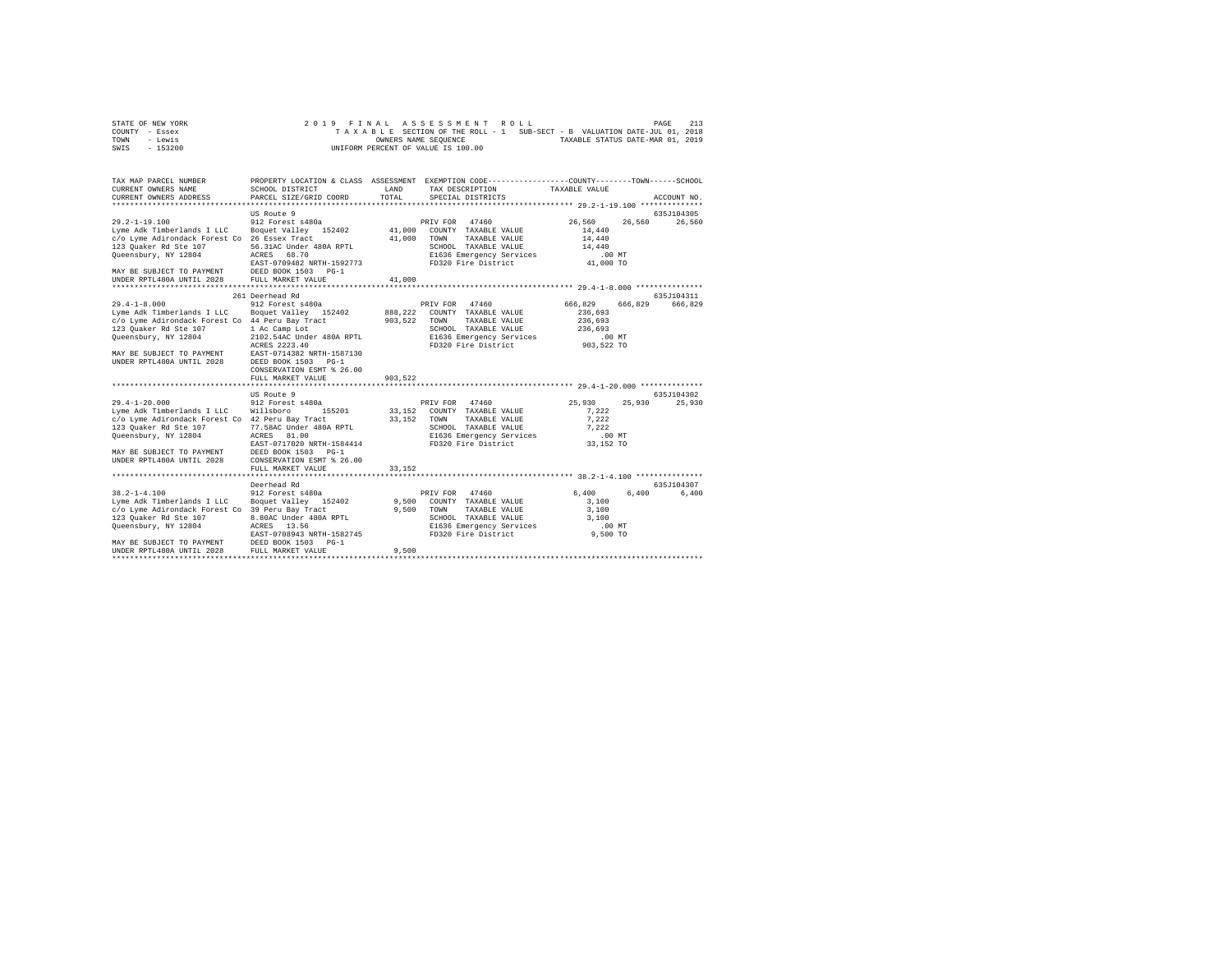| STATE OF NEW YORK | 2019 FINAL ASSESSMENT ROLL                                               | PAGE                             | 213 |
|-------------------|--------------------------------------------------------------------------|----------------------------------|-----|
| COUNTY - Essex    | TAXABLE SECTION OF THE ROLL - 1 SUB-SECT - B VALUATION DATE-JUL 01, 2018 |                                  |     |
| TOWN<br>- Lewis   | OWNERS NAME SEOUENCE                                                     | TAXABLE STATUS DATE-MAR 01, 2019 |     |
| - 153200<br>SWIS  | UNIFORM PERCENT OF VALUE IS 100.00                                       |                                  |     |

| TAX MAP PARCEL NUMBER<br>CURRENT OWNERS NAME                                                                      | SCHOOL DISTRICT                        | LAND    | PROPERTY LOCATION & CLASS ASSESSMENT EXEMPTION CODE---------------COUNTY-------TOWN------SCHOOL<br>TAX DESCRIPTION TAXABLE VALUE |                  |                |
|-------------------------------------------------------------------------------------------------------------------|----------------------------------------|---------|----------------------------------------------------------------------------------------------------------------------------------|------------------|----------------|
| CURRENT OWNERS ADDRESS                                                                                            | PARCEL SIZE/GRID COORD                 | TOTAL   | SPECIAL DISTRICTS                                                                                                                |                  | ACCOUNT NO.    |
|                                                                                                                   | US Route 9                             |         |                                                                                                                                  |                  | 635J104305     |
| $29.2 - 1 - 19.100$                                                                                               |                                        |         | PRIV FOR 47460                                                                                                                   | 26,560 26,560    | 26,560         |
| Lyme Adk Timberlands I LLC Boquet Valley 152402                                                                   |                                        |         |                                                                                                                                  | 14,440           |                |
| c/o Lyme Adirondack Forest Co 26 Essex Tract                                                                      |                                        |         | 41,000 TOWN<br>TAXABLE VALUE                                                                                                     | 14,440           |                |
| 123 Quaker Rd Ste 107 56.31AC Under 480A RPTL                                                                     |                                        |         | SCHOOL TAXABLE VALUE                                                                                                             | 14,440           |                |
| Oueensbury, NY 12804                                                                                              | ACRES 68.70                            |         | E1636 Emergency Services                                                                                                         | .00 MT           |                |
|                                                                                                                   |                                        |         | FD320 Fire District 41,000 TO                                                                                                    |                  |                |
| EAST-0709482 NRTH-1592773<br>MAY BE SUBJECT TO PAYMENT DEED BOOK 1503 PG-1                                        |                                        |         |                                                                                                                                  |                  |                |
| UNDER RPTL480A UNTIL 2028 FULL MARKET VALUE                                                                       |                                        | 41,000  |                                                                                                                                  |                  |                |
|                                                                                                                   |                                        |         |                                                                                                                                  |                  |                |
|                                                                                                                   | 261 Deerhead Rd                        |         |                                                                                                                                  |                  | 635J104311     |
| $29.4 - 1 - 8.000$                                                                                                | 912 Forest s480a                       |         | PRIV FOR 47460                                                                                                                   | 666,829 666,829  | 666,829        |
| Lyme Adk Timberlands I LLC Boquet Valley 152402 888,222 COUNTY TAXABLE VALUE                                      |                                        |         |                                                                                                                                  | 236,693          |                |
| c/o Lyme Adirondack Forest Co 44 Peru Bay Tract                                                                   |                                        |         | 903,522 TOWN TAXABLE VALUE                                                                                                       | 236,693          |                |
| 123 Quaker Rd Ste 107 1 Ac Camp Lot                                                                               |                                        |         | SCHOOL TAXABLE VALUE                                                                                                             | 236,693          |                |
| 123 Quaker Rd Ste 107               1 Ac Camp Lot<br>Queensbury, NY 12804               2102.54AC Under 480A RPTL |                                        |         | E1636 Emergency Services                                                                                                         | $.00$ MT         |                |
|                                                                                                                   | ACRES 2223.40                          |         | FD320 Fire District                                                                                                              | 903,522 TO       |                |
| MAY BE SUBJECT TO PAYMENT EAST-0714382 NRTH-1587130                                                               |                                        |         |                                                                                                                                  |                  |                |
| UNDER RPTL480A UNTIL 2028                                                                                         | DEED BOOK 1503 PG-1                    |         |                                                                                                                                  |                  |                |
|                                                                                                                   | CONSERVATION ESMT % 26.00              |         |                                                                                                                                  |                  |                |
|                                                                                                                   | FULL MARKET VALUE                      | 903,522 |                                                                                                                                  |                  |                |
|                                                                                                                   |                                        |         |                                                                                                                                  |                  |                |
|                                                                                                                   | US Route 9                             |         |                                                                                                                                  |                  | 635J104302     |
| $29.4 - 1 - 20.000$                                                                                               | 912 Forest s480a                       |         | PRIV FOR 47460                                                                                                                   | 25,930<br>25,930 | 25,930         |
| Lyme Adk Timberlands I LLC Willsboro 155201                                                                       |                                        |         | 33,152 COUNTY TAXABLE VALUE                                                                                                      | 7,222            |                |
| c/o Lyme Adirondack Forest Co 42 Peru Bay Tract 33,152 TOWN                                                       |                                        |         | TAXABLE VALUE                                                                                                                    | 7.222            |                |
| 123 Quaker Rd Ste 107                                                                                             |                                        |         | SCHOOL TAXABLE VALUE                                                                                                             | 7.222            |                |
| Queensbury, NY 12804                                                                                              | 77.58AC Under 480A RPTL<br>ACRES 81.00 |         |                                                                                                                                  |                  |                |
|                                                                                                                   | EAST-0717020 NRTH-1584414              |         | FD320 Fire District                                                                                                              | 33,152 TO        |                |
| MAY BE SUBJECT TO PAYMENT DEED BOOK 1503 PG-1                                                                     |                                        |         |                                                                                                                                  |                  |                |
| UNDER RPTL480A UNTIL 2028                                                                                         | CONSERVATION ESMT % 26.00              |         |                                                                                                                                  |                  |                |
|                                                                                                                   | FULL MARKET VALUE                      | 33,152  |                                                                                                                                  |                  |                |
|                                                                                                                   |                                        |         |                                                                                                                                  |                  |                |
|                                                                                                                   | Deerhead Rd                            |         |                                                                                                                                  |                  | 635.T104307    |
| $38.2 - 1 - 4.100$                                                                                                | 912 Forest s480a                       |         | PRIV FOR 47460                                                                                                                   | 6,400            | 6,400<br>6,400 |
| Lyme Adk Timberlands I LLC Boquet Valley 152402                                                                   |                                        |         | 9,500 COUNTY TAXABLE VALUE                                                                                                       | 3,100            |                |
| c/o Lyme Adirondack Forest Co 39 Peru Bay Tract                                                                   |                                        |         | 9,500 TOWN<br>TAXABLE VALUE                                                                                                      | 3,100            |                |
| 123 Ouaker Rd Ste 107                                                                                             | 8.80AC Under 480A RPTL                 |         |                                                                                                                                  | 3,100            |                |
| Queensbury, NY 12804                                                                                              | ACRES 13.56                            |         |                                                                                                                                  | $.00$ MT         |                |
|                                                                                                                   | EAST-0708943 NRTH-1582745              |         |                                                                                                                                  | 9,500 TO         |                |
|                                                                                                                   |                                        |         |                                                                                                                                  |                  |                |
| MAY BE SUBJECT TO PAYMENT DEED BOOK 1503 PG-1<br>UNDER RPTL480A UNTIL 2028 FULL MARKET VALUE                      |                                        | 9.500   |                                                                                                                                  |                  |                |
|                                                                                                                   |                                        |         |                                                                                                                                  |                  |                |
|                                                                                                                   |                                        |         |                                                                                                                                  |                  |                |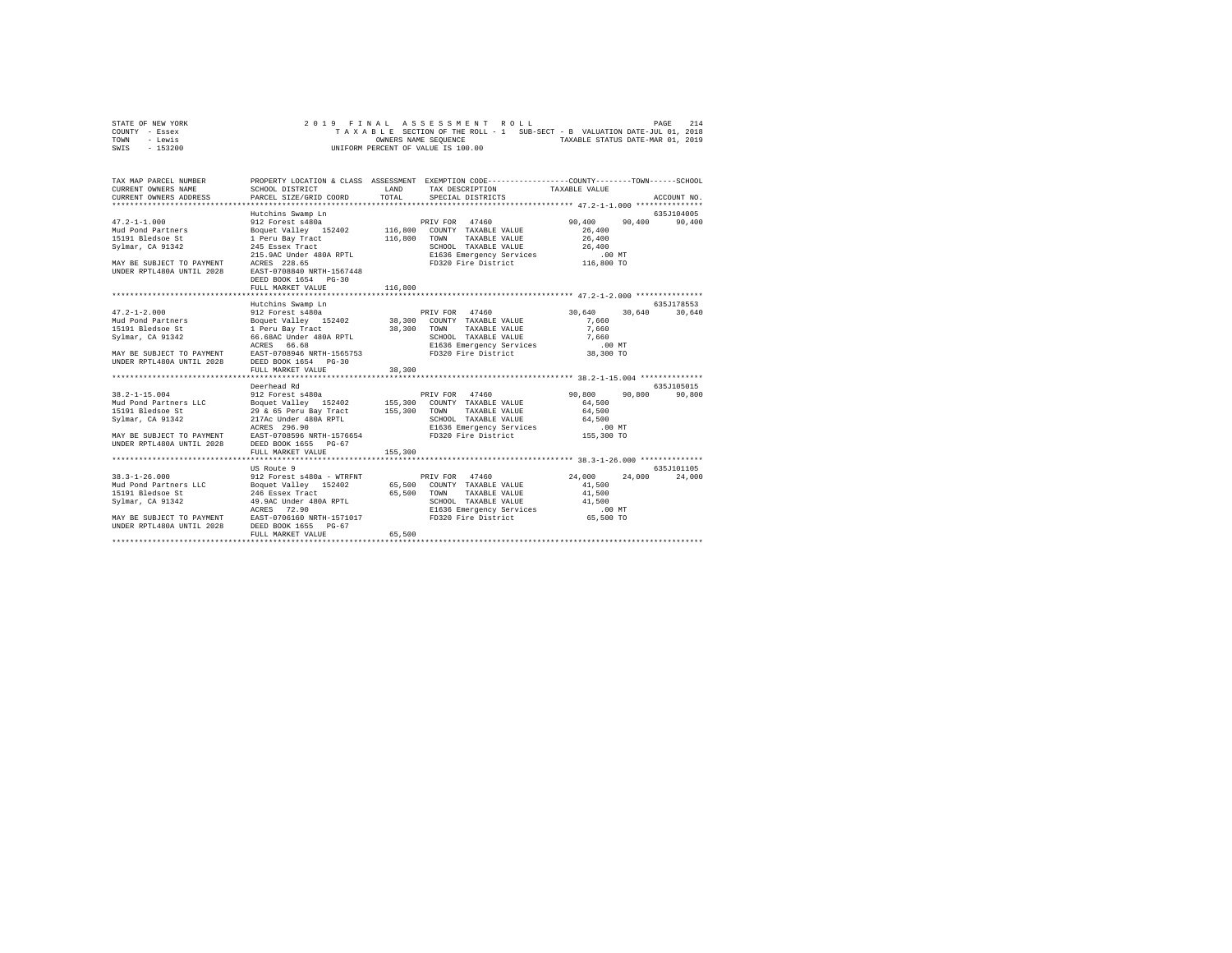| STATE OF NEW YORK | 2019 FINAL ASSESSMENT ROLL                                               | 2.14<br>PAGE                     |
|-------------------|--------------------------------------------------------------------------|----------------------------------|
| COUNTY - Essex    | TAXABLE SECTION OF THE ROLL - 1 SUB-SECT - B VALUATION DATE-JUL 01, 2018 |                                  |
| TOWN<br>- Lewis   | OWNERS NAME SEOUENCE                                                     | TAXABLE STATUS DATE-MAR 01, 2019 |
| - 153200<br>SWIS  | UNIFORM PERCENT OF VALUE IS 100.00                                       |                                  |

| TAX MAP PARCEL NUMBER<br>CURRENT OWNERS NAME<br>CURRENT OWNERS ADDRESS                                                                                                                                                                                                                                                                                                                                                                                                                                                                   | SCHOOL DISTRICT<br>PARCEL SIZE/GRID COORD                                                                                                                                                                         | LAND<br>TOTAL | PROPERTY LOCATION & CLASS ASSESSMENT EXEMPTION CODE---------------COUNTY-------TOWN------SCHOOL<br>TAX DESCRIPTION TAXABLE VALUE<br>SPECIAL DISTRICTS |                            | ACCOUNT NO.                 |
|------------------------------------------------------------------------------------------------------------------------------------------------------------------------------------------------------------------------------------------------------------------------------------------------------------------------------------------------------------------------------------------------------------------------------------------------------------------------------------------------------------------------------------------|-------------------------------------------------------------------------------------------------------------------------------------------------------------------------------------------------------------------|---------------|-------------------------------------------------------------------------------------------------------------------------------------------------------|----------------------------|-----------------------------|
|                                                                                                                                                                                                                                                                                                                                                                                                                                                                                                                                          |                                                                                                                                                                                                                   |               |                                                                                                                                                       |                            |                             |
| 912 Forest s480a<br>Mud Pond Partners (1918) 19402 116,800 COUNTY TAXABLE VALUE<br>15191 Bledsoe St 1 Peru Bay Tract 116,800 TOWN TAXABLE VALUE<br>1918 215 245 Essex Tract 116,800 TOWN TAXABLE VALUE<br>1918 215 AN 15 100 100 SCHOOL TA<br>MAY BE SUBJECT TO PAYMENT ACRES 228.65<br>UNDER RPTL480A UNTIL 2028 EAST-0708840 NRTH-1567448                                                                                                                                                                                              | Hutchins Swamp Ln<br>245 Essex Tract و SCHOOL المسلمين المسلمين و SCHOOL المسلمين و SCHOOL المسلمين<br>215.9AC Dider 480A RPTL و B1532 Emergency Services<br>116,800 TO PD320 Fire District 116,800 TO 116,800 TO |               |                                                                                                                                                       | 90.400<br>26,400<br>26,400 | 635J104005<br>90.400 90.400 |
|                                                                                                                                                                                                                                                                                                                                                                                                                                                                                                                                          | DEED BOOK 1654 PG-30<br>FULL MARKET VALUE                                                                                                                                                                         | 116,800       |                                                                                                                                                       |                            |                             |
|                                                                                                                                                                                                                                                                                                                                                                                                                                                                                                                                          |                                                                                                                                                                                                                   |               |                                                                                                                                                       |                            |                             |
|                                                                                                                                                                                                                                                                                                                                                                                                                                                                                                                                          | Hutchins Swamp Ln                                                                                                                                                                                                 |               |                                                                                                                                                       |                            | 635J178553<br>30.640 30.640 |
|                                                                                                                                                                                                                                                                                                                                                                                                                                                                                                                                          | FULL MARKET VALUE                                                                                                                                                                                                 | 38,300        |                                                                                                                                                       |                            |                             |
|                                                                                                                                                                                                                                                                                                                                                                                                                                                                                                                                          |                                                                                                                                                                                                                   |               |                                                                                                                                                       |                            |                             |
| 38.2-1-15.004          912 Forest s480a                                 90,800<br>Mud Pomd Partners LLC       Boquet Valley 152402     155,300  COUNTY  TAXABLE VALUE       64,500<br>15191 Bledsoe St         29 & 65 Peru Bay Tra<br>Sylmar, CA 91342<br>MAY BE SUBJECT TO PAYMENT EAST-0708596 NRTH-1576654<br>UNDER RPTL480A UNTIL 2028 DEED BOOK 1655 PG-67                                                                                                                                                                         | Deerhead Rd<br>217Ac Under 480A RPTL<br>ACRES 296.90<br>FULL MARKET VALUE                                                                                                                                         | 155,300       | PRIV FOR 47460 90,800 90,800<br>SCHOOL TAXABLE VALUE 64,500<br>E1636 Emergency Services 64,500 MT<br>FD320 Fire District 155,300 TO                   |                            | 635.7105015<br>90,800       |
|                                                                                                                                                                                                                                                                                                                                                                                                                                                                                                                                          |                                                                                                                                                                                                                   |               |                                                                                                                                                       |                            | 635J101105                  |
| $\begin{tabular}{lcccc} \text{38.3--1--26.000} & \text{US Route 9} & \text{39.3--1--26.000} & \text{US Route 9} \\ \text{38.3--1--26.000} & 912\text{ Forest} & 480a - \text{WTRFNT} & \text{PRIV FOR} & 47460 & 24,000 & 24 \\ \text{Mud Pond Partners LLC} & 15200 & 15191 \text{ Bledsoe St} & 45,500 & \text{COMNT XXABLE VALUE} & 41,500 \\ \text{15191 Bledsoe St} & 246 \text{ Ssex Tract$<br>MAY BE SUBJECT TO PAYMENT BAST-0706160 NRTH-1571017 FD320 Fire District 65,500 TO<br>UNDER RPTL480A UNTIL 2028 DEED BOOK 1655 PG-67 |                                                                                                                                                                                                                   |               |                                                                                                                                                       |                            | 24,000 24,000               |
|                                                                                                                                                                                                                                                                                                                                                                                                                                                                                                                                          | FULL MARKET VALUE                                                                                                                                                                                                 | 65,500        |                                                                                                                                                       |                            |                             |
|                                                                                                                                                                                                                                                                                                                                                                                                                                                                                                                                          |                                                                                                                                                                                                                   |               |                                                                                                                                                       |                            |                             |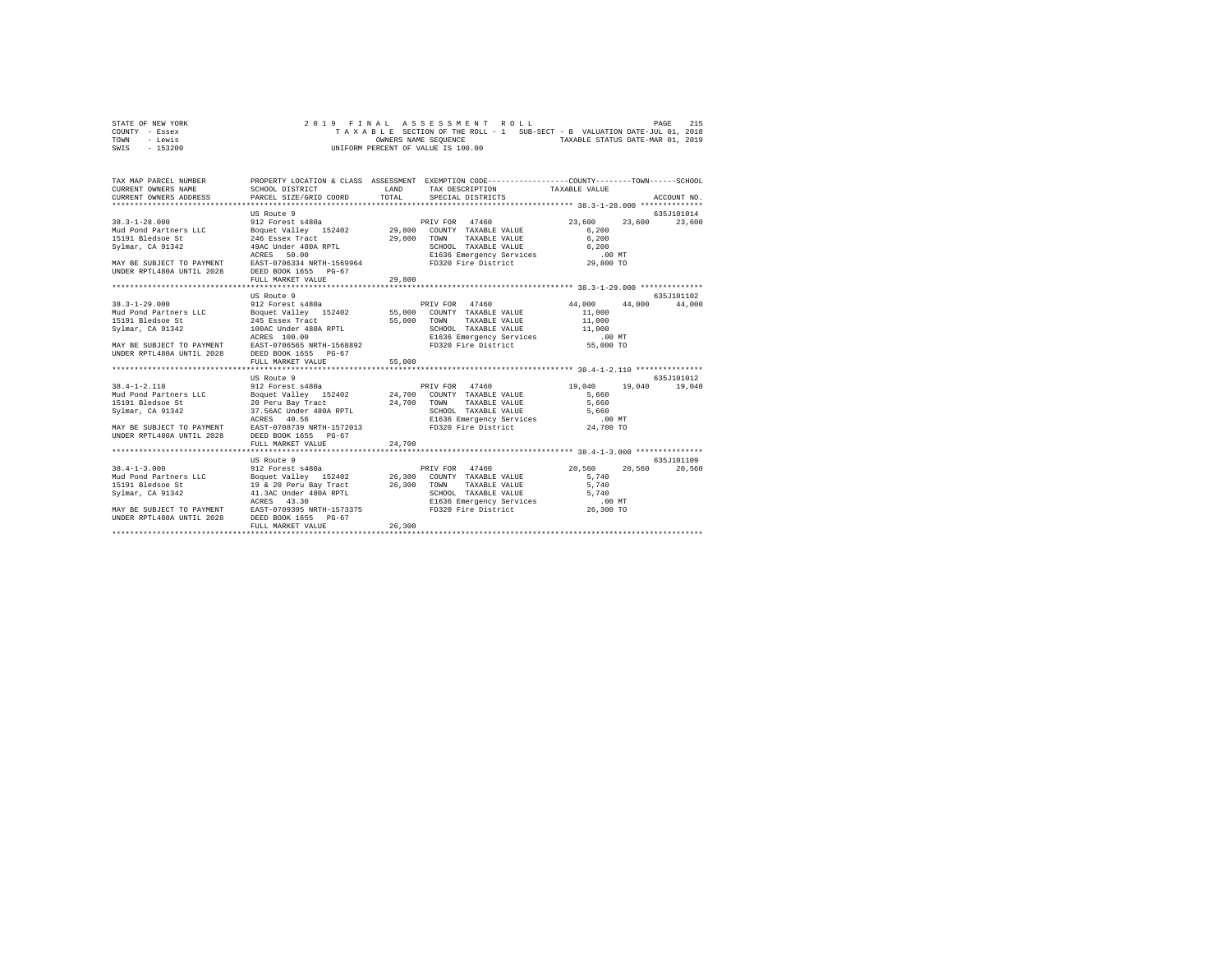| STATE OF NEW YORK |  |  |  | 2019 FINAL ASSESSMENT ROLL         |  |  |  |                                                                          | PAGE | 215 |
|-------------------|--|--|--|------------------------------------|--|--|--|--------------------------------------------------------------------------|------|-----|
| COUNTY - Essex    |  |  |  |                                    |  |  |  | TAXABLE SECTION OF THE ROLL - 1 SUB-SECT - B VALUATION DATE-JUL 01, 2018 |      |     |
| TOWN<br>- Lewis   |  |  |  | OWNERS NAME SEOUENCE               |  |  |  | TAXABLE STATUS DATE-MAR 01, 2019                                         |      |     |
| - 153200<br>SWIS  |  |  |  | UNIFORM PERCENT OF VALUE IS 100.00 |  |  |  |                                                                          |      |     |

| TAX MAP PARCEL NUMBER<br>CURRENT OWNERS NAME<br>CURRENT OWNERS ADDRESS PARCEL SIZE/GRID COORD                                                                                                                                                                                                                                                                            | SCHOOL DISTRICT                                                                                                                                                                                                                                                                                                                                                                                                                                                                  | LAND<br>TOTAL | PROPERTY LOCATION & CLASS ASSESSMENT EXEMPTION CODE----------------COUNTY-------TOWN------SCHOOL<br>TAX DESCRIPTION TAXABLE VALUE<br>SPECIAL DISTRICTS |                                                            | ACCOUNT NO.                    |
|--------------------------------------------------------------------------------------------------------------------------------------------------------------------------------------------------------------------------------------------------------------------------------------------------------------------------------------------------------------------------|----------------------------------------------------------------------------------------------------------------------------------------------------------------------------------------------------------------------------------------------------------------------------------------------------------------------------------------------------------------------------------------------------------------------------------------------------------------------------------|---------------|--------------------------------------------------------------------------------------------------------------------------------------------------------|------------------------------------------------------------|--------------------------------|
| $38.3 - 1 - 28.000$<br>Mud Pond Partners LLC<br>15191 Bledsoe St<br>UNDER RPTL480A UNTIL 2028 DEED BOOK 1655 PG-67                                                                                                                                                                                                                                                       | US Route 9<br>912 Forest s480a<br>1990 - Boquet Valley 152402 - 29,800 COUNTY TAXABLE VALUE<br>1990 - 246 Essex Tract - 29,800 TOWN TAXABLE VALUE<br>FULL MARKET VALUE                                                                                                                                                                                                                                                                                                           | 29,800        | TAXABLE VALUE 6,200                                                                                                                                    | 23,600<br>6.200                                            | 635J101014<br>23,600<br>23,600 |
|                                                                                                                                                                                                                                                                                                                                                                          |                                                                                                                                                                                                                                                                                                                                                                                                                                                                                  |               |                                                                                                                                                        |                                                            |                                |
|                                                                                                                                                                                                                                                                                                                                                                          | US Route 9                                                                                                                                                                                                                                                                                                                                                                                                                                                                       |               |                                                                                                                                                        |                                                            | 635J101102                     |
| $38.3 - 1 - 29.000$<br>Sylmar, CA 91342<br>ACRES 100.00<br>MAY BE SUBJECT TO PAYMENT EAST-0706565 NRTH-1568892<br>UNDER RPTL480A UNTIL 2028<br>$38.4 - 1 - 2.110$<br>Mud Pond Partners LLC Boquet Valley 152402 24,700 COUNTY TAXABLE VALUE<br>15191 Bledsoe St<br>Svlmar, CA 91342<br>MAY BE SUBJECT TO PAYMENT EAST-0708739 NRTH-1572013 FD320 Fire District 24,700 TO | 912 Forest s480a<br>100AC Under 480A RPTL 1000 1000 SCHOOL TAXABLE VALUE 100.00 11,000<br>ACRES 100.00 1000 11636 E1636 Energency Services 100.00 100 100<br>EAST-0706565 NRTH-1568892 10320 Fire District 155,000 TO<br>DEED BOOK 1655 PG-67<br>FULL MARKET VALUE<br>US Route 9<br>912 Forest s480a<br>20 November 2021 - 24,700 TOWN TAXABLE VALUE 5,660<br>37.56AC Under 480A RPTL 37.700 SCHOOL TAXABLE VALUE 5,660<br>ACRES 40.56 ACRES 200 RESIGN BL636 Emergency Services | 55,000        | PRIV FOR 47460<br>TAXABLE VALUE 11,000<br>PRIV FOR 47460                                                                                               | 44,000 44,000 44,000<br>11,000<br>19,040<br>5,660          | 635.7101012<br>19,040 19,040   |
| UNDER RPTL480A UNTIL 2028                                                                                                                                                                                                                                                                                                                                                | DEED BOOK 1655 PG-67<br>FULL MARKET VALUE<br>************************                                                                                                                                                                                                                                                                                                                                                                                                            | 24,700        |                                                                                                                                                        |                                                            |                                |
|                                                                                                                                                                                                                                                                                                                                                                          | US Route 9                                                                                                                                                                                                                                                                                                                                                                                                                                                                       |               |                                                                                                                                                        |                                                            | 635J101109                     |
| $38.4 - 1 - 3.000$<br>MAY BE SUBJECT TO PAYMENT EAST-0709395 NRTH-1573375<br>UNDER RPTL480A UNTIL 2028                                                                                                                                                                                                                                                                   | 912 Forest s480a<br>ACRES 43.30<br>DEED BOOK 1655 PG-67<br>FULL MARKET VALUE                                                                                                                                                                                                                                                                                                                                                                                                     | 26,300        | PRIV FOR 47460<br>SCHOOL TAXABLE VALUE<br>E1636 Emergency Services<br>FD320 Fire District                                                              | 20,560<br>5,740<br>5,740<br>5,740<br>$.00$ MT<br>26,300 TO | 20,560<br>20,560               |
|                                                                                                                                                                                                                                                                                                                                                                          | ***************************                                                                                                                                                                                                                                                                                                                                                                                                                                                      |               |                                                                                                                                                        |                                                            |                                |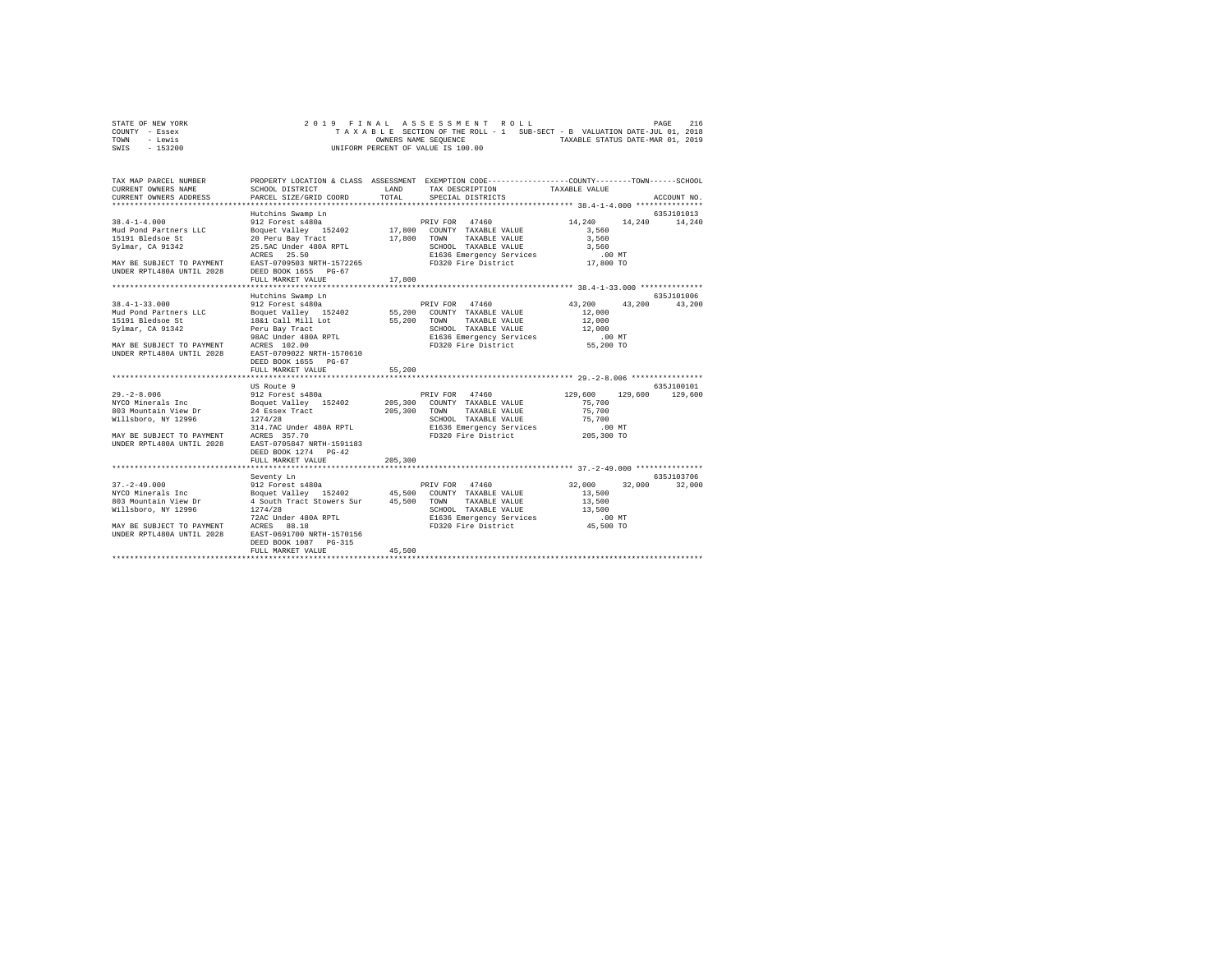| STATE OF NEW YORK |  |  |  | 2019 FINAL ASSESSMENT ROLL         |  |  |  |                                                                          | PAGE | 216 |
|-------------------|--|--|--|------------------------------------|--|--|--|--------------------------------------------------------------------------|------|-----|
| COUNTY - Essex    |  |  |  |                                    |  |  |  | TAXABLE SECTION OF THE ROLL - 1 SUB-SECT - B VALUATION DATE-JUL 01, 2018 |      |     |
| TOWN<br>- Lewis   |  |  |  | OWNERS NAME SEOUENCE               |  |  |  | TAXABLE STATUS DATE-MAR 01, 2019                                         |      |     |
| $-153200$<br>SWIS |  |  |  | UNIFORM PERCENT OF VALUE IS 100.00 |  |  |  |                                                                          |      |     |

| TAX MAP PARCEL NUMBER<br>CURRENT OWNERS NAME                                                                                                                                                                                            | SCHOOL DISTRICT                                                                                 | LAND    | PROPERTY LOCATION & CLASS ASSESSMENT EXEMPTION CODE---------------COUNTY-------TOWN-----SCHOOL<br>TAX DESCRIPTION TAXABLE VALUE |                      |             |  |  |  |  |  |  |  |  |
|-----------------------------------------------------------------------------------------------------------------------------------------------------------------------------------------------------------------------------------------|-------------------------------------------------------------------------------------------------|---------|---------------------------------------------------------------------------------------------------------------------------------|----------------------|-------------|--|--|--|--|--|--|--|--|
| CURRENT OWNERS ADDRESS                                                                                                                                                                                                                  | PARCEL SIZE/GRID COORD                                                                          | TOTAL   | SPECIAL DISTRICTS                                                                                                               |                      | ACCOUNT NO. |  |  |  |  |  |  |  |  |
|                                                                                                                                                                                                                                         |                                                                                                 |         |                                                                                                                                 |                      |             |  |  |  |  |  |  |  |  |
| 635J101013<br>Hutchins Swamp Ln                                                                                                                                                                                                         |                                                                                                 |         |                                                                                                                                 |                      |             |  |  |  |  |  |  |  |  |
| $38.4 - 1 - 4.000$                                                                                                                                                                                                                      | 912 Forest s480a                                                                                |         | PRIV FOR 47460                                                                                                                  | 14,240 14,240 14,240 |             |  |  |  |  |  |  |  |  |
| Mud Pond Partners LLC                                                                                                                                                                                                                   |                                                                                                 |         |                                                                                                                                 | 3,560                |             |  |  |  |  |  |  |  |  |
| 15191 Bledsoe St                                                                                                                                                                                                                        | Boquet Valley 152402 17,800 COUNTY TAXABLE VALUE<br>20 Peru Bay Tract 17,800 TOWN TAXABLE VALUE |         |                                                                                                                                 | 3,560                |             |  |  |  |  |  |  |  |  |
|                                                                                                                                                                                                                                         |                                                                                                 |         |                                                                                                                                 |                      |             |  |  |  |  |  |  |  |  |
|                                                                                                                                                                                                                                         |                                                                                                 |         |                                                                                                                                 |                      |             |  |  |  |  |  |  |  |  |
| 25.560 Under 480A RPTL SCHOOL TAXABLE VALUE 3,560<br>ANY BE SUBJECT TO PAYMENT ACRES 25.50<br>MAY BE SUBJECT TO PAYMENT EAST-0709503 NRTH-1572265<br>UNDER RPTL480A UNTIL 2028 DEED BOOK 1655 PG-67<br>UNDER RPTL480A UNTIL 2028 DHE UN |                                                                                                 |         |                                                                                                                                 |                      |             |  |  |  |  |  |  |  |  |
|                                                                                                                                                                                                                                         |                                                                                                 |         |                                                                                                                                 |                      |             |  |  |  |  |  |  |  |  |
|                                                                                                                                                                                                                                         | FULL MARKET VALUE                                                                               | 17,800  |                                                                                                                                 |                      |             |  |  |  |  |  |  |  |  |
|                                                                                                                                                                                                                                         |                                                                                                 |         |                                                                                                                                 |                      |             |  |  |  |  |  |  |  |  |
|                                                                                                                                                                                                                                         |                                                                                                 |         |                                                                                                                                 |                      |             |  |  |  |  |  |  |  |  |
|                                                                                                                                                                                                                                         | Hutchins Swamp Ln                                                                               |         |                                                                                                                                 |                      | 635J101006  |  |  |  |  |  |  |  |  |
| $38.4 - 1 - 33.000$                                                                                                                                                                                                                     | 912 Forest s480a                                                                                |         | PRIV FOR 47460                                                                                                                  | 43,200 43,200 43,200 |             |  |  |  |  |  |  |  |  |
| Mud Pond Partners LLC                                                                                                                                                                                                                   |                                                                                                 |         |                                                                                                                                 | 12,000               |             |  |  |  |  |  |  |  |  |
| 15191 Bledsoe St                                                                                                                                                                                                                        |                                                                                                 |         | TAXABLE VALUE 12,000                                                                                                            |                      |             |  |  |  |  |  |  |  |  |
| Sylmar, CA 91342                                                                                                                                                                                                                        | Peru Bay Tract                                                                                  |         |                                                                                                                                 |                      |             |  |  |  |  |  |  |  |  |
|                                                                                                                                                                                                                                         |                                                                                                 |         |                                                                                                                                 |                      |             |  |  |  |  |  |  |  |  |
| MAY BE SUBJECT TO PAYMENT ACRES 102.00<br>UNDER RPTL480A UNTIL 2028 EAST-0709022 NRTH-1570610                                                                                                                                           |                                                                                                 |         |                                                                                                                                 |                      |             |  |  |  |  |  |  |  |  |
|                                                                                                                                                                                                                                         |                                                                                                 |         |                                                                                                                                 |                      |             |  |  |  |  |  |  |  |  |
|                                                                                                                                                                                                                                         | DEED BOOK 1655 PG-67                                                                            |         |                                                                                                                                 |                      |             |  |  |  |  |  |  |  |  |
|                                                                                                                                                                                                                                         | FULL MARKET VALUE                                                                               | 55,200  |                                                                                                                                 |                      |             |  |  |  |  |  |  |  |  |
|                                                                                                                                                                                                                                         |                                                                                                 |         |                                                                                                                                 |                      |             |  |  |  |  |  |  |  |  |
|                                                                                                                                                                                                                                         | US Route 9                                                                                      |         |                                                                                                                                 |                      | 635J100101  |  |  |  |  |  |  |  |  |
| $29. - 2 - 8.006$                                                                                                                                                                                                                       | 912 Forest s480a                                                                                |         | PRIV FOR 47460 129,600 129,600                                                                                                  |                      | 129,600     |  |  |  |  |  |  |  |  |
|                                                                                                                                                                                                                                         |                                                                                                 |         |                                                                                                                                 | 75,700               |             |  |  |  |  |  |  |  |  |
|                                                                                                                                                                                                                                         |                                                                                                 |         |                                                                                                                                 | 75,700               |             |  |  |  |  |  |  |  |  |
|                                                                                                                                                                                                                                         |                                                                                                 |         | SCHOOL TAXABLE VALUE 75,700<br>E1636 Emergency Services .00 MT<br>FD320 Fire District 205,300 TO                                |                      |             |  |  |  |  |  |  |  |  |
|                                                                                                                                                                                                                                         |                                                                                                 |         |                                                                                                                                 |                      |             |  |  |  |  |  |  |  |  |
| MAY BE SUBJECT TO PAYMENT ACRES 357.70                                                                                                                                                                                                  |                                                                                                 |         |                                                                                                                                 |                      |             |  |  |  |  |  |  |  |  |
| UNDER RPTL480A UNTIL 2028                                                                                                                                                                                                               | EAST-0705847 NRTH-1591183                                                                       |         |                                                                                                                                 |                      |             |  |  |  |  |  |  |  |  |
|                                                                                                                                                                                                                                         | DEED BOOK 1274 PG-42                                                                            |         |                                                                                                                                 |                      |             |  |  |  |  |  |  |  |  |
|                                                                                                                                                                                                                                         | FULL MARKET VALUE                                                                               | 205,300 |                                                                                                                                 |                      |             |  |  |  |  |  |  |  |  |
|                                                                                                                                                                                                                                         |                                                                                                 |         |                                                                                                                                 |                      |             |  |  |  |  |  |  |  |  |
|                                                                                                                                                                                                                                         | Seventy Ln                                                                                      |         |                                                                                                                                 |                      | 635J103706  |  |  |  |  |  |  |  |  |
|                                                                                                                                                                                                                                         |                                                                                                 |         |                                                                                                                                 | 32,000<br>32,000     | 32,000      |  |  |  |  |  |  |  |  |
| 37.-2-49.000<br>NYCO Minerals Inc                   Boquet Valley   152402           45,500   COUNTY  TAXABLE VALUE                                                                                                                     |                                                                                                 |         |                                                                                                                                 | 13,500               |             |  |  |  |  |  |  |  |  |
| 803 Mountain View Dr                                                                                                                                                                                                                    |                                                                                                 |         | TAXABLE VALUE                                                                                                                   | 13,500               |             |  |  |  |  |  |  |  |  |
| Willsboro, NY 12996                                                                                                                                                                                                                     | 4 South Tract Stowers Sur 45,500 TOWN<br>1274/28 SCHOC                                          |         | SCHOOL TAXABLE VALUE                                                                                                            | 13,500               |             |  |  |  |  |  |  |  |  |
|                                                                                                                                                                                                                                         |                                                                                                 |         |                                                                                                                                 |                      |             |  |  |  |  |  |  |  |  |
| MAY BE SUBJECT TO PAYMENT ACRES 88.18                                                                                                                                                                                                   | 72AC Under 480A RPTL <b>EXECUTE:</b> EXECUTE BLACK BEIGAL BURGES ARRES 88.18 CONTRES 88.18      |         |                                                                                                                                 |                      |             |  |  |  |  |  |  |  |  |
| UNDER RPTL480A UNTIL 2028                                                                                                                                                                                                               | EAST-0691700 NRTH-1570156                                                                       |         |                                                                                                                                 |                      |             |  |  |  |  |  |  |  |  |
|                                                                                                                                                                                                                                         | DEED BOOK 1087 PG-315                                                                           |         |                                                                                                                                 |                      |             |  |  |  |  |  |  |  |  |
|                                                                                                                                                                                                                                         | FULL MARKET VALUE                                                                               | 45,500  |                                                                                                                                 |                      |             |  |  |  |  |  |  |  |  |
|                                                                                                                                                                                                                                         |                                                                                                 |         |                                                                                                                                 |                      |             |  |  |  |  |  |  |  |  |
|                                                                                                                                                                                                                                         |                                                                                                 |         |                                                                                                                                 |                      |             |  |  |  |  |  |  |  |  |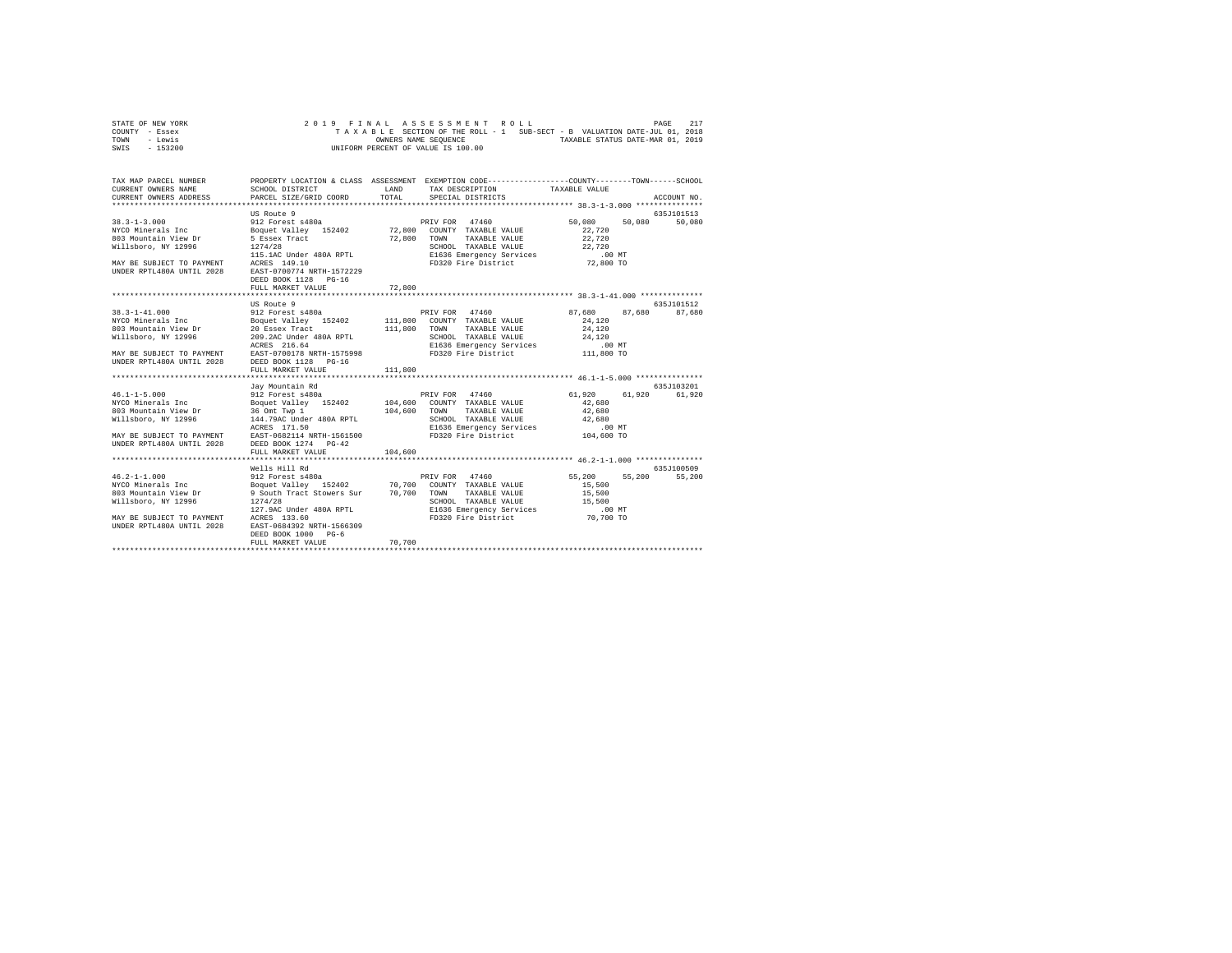| STATE OF NEW YORK | 2019 FINAL ASSESSMENT ROLL                                               | 217<br>PAGE                      |
|-------------------|--------------------------------------------------------------------------|----------------------------------|
| COUNTY - Essex    | TAXABLE SECTION OF THE ROLL - 1 SUB-SECT - B VALUATION DATE-JUL 01, 2018 |                                  |
| TOWN<br>- Lewis   | OWNERS NAME SEOUENCE                                                     | TAXABLE STATUS DATE-MAR 01, 2019 |
| - 153200<br>SWIS  | UNIFORM PERCENT OF VALUE IS 100.00                                       |                                  |

| TAX MAP PARCEL NUMBER                                                                                                                                                                                                                                                                                                                     | PROPERTY LOCATION & CLASS ASSESSMENT EXEMPTION CODE----------------COUNTY-------TOWN------SCHOOL                                                                                                        |        | LAND TAX DESCRIPTION TAXABLE VALUE                                                                             |        |               |
|-------------------------------------------------------------------------------------------------------------------------------------------------------------------------------------------------------------------------------------------------------------------------------------------------------------------------------------------|---------------------------------------------------------------------------------------------------------------------------------------------------------------------------------------------------------|--------|----------------------------------------------------------------------------------------------------------------|--------|---------------|
|                                                                                                                                                                                                                                                                                                                                           |                                                                                                                                                                                                         |        |                                                                                                                |        | ACCOUNT NO.   |
|                                                                                                                                                                                                                                                                                                                                           | US Route 9                                                                                                                                                                                              |        |                                                                                                                |        | 635J101513    |
| MAY BE SUBJECT TO PAYMENT ACRES 149.10<br>UNDER RPTL480A UNTIL 2028 EAST-0700774 NRTH-1572229                                                                                                                                                                                                                                             | 115.1AC Under 480A RPTL<br>ACRES 149.10<br>DEED BOOK 1128 PG-16<br>FULL MARKET VALUE                                                                                                                    | 72,800 | PRIV FOR 47460 50,080 50,080 50,080<br>E1636 Emergency Services .00 MT<br>FD320 Fire District .00 TO 72,800 TO |        |               |
|                                                                                                                                                                                                                                                                                                                                           | US Route 9                                                                                                                                                                                              |        |                                                                                                                |        | 635.T101512   |
| 38.3-1-41.000<br>29.3-1-41.000<br>29.3-21<br>29.402<br>29.402<br>29.402<br>29.402<br>29.402<br>24,120<br>24,120<br>24,120<br>24,120<br>24,120<br>24,120<br>24,120<br>24,120<br>24,120<br>24,120<br>24,120<br>24,120<br>24,120<br>24,120<br>24,120<br><br>UNDER RPTL480A UNTIL 2028 DEED BOOK 1128 $PG-16$                                 |                                                                                                                                                                                                         |        | PRIV FOR 47460 87,680 87,680 87,680                                                                            |        |               |
|                                                                                                                                                                                                                                                                                                                                           |                                                                                                                                                                                                         |        |                                                                                                                |        |               |
| 16.1-1-5.000 - 12 - 12 - 1480<br>NYCO Minerals Inc - Boquet Valley 152402 - 104,600 COUNTY TAXABLE VALUE - 142,680<br>B03 Mountain View Dr - 36 Ont Twp 1 - 104,600 TOWN TAXABLE VALUE - 142,680<br>B03 Mountain View Dr - 36 Ont Twp 1<br>Willsboro, NY 12996 144.79AC Under 480A RPTL<br>UNDER RPTL480A UNTIL 2028 DEED BOOK 1274 PG-42 | Jay Mountain Rd                                                                                                                                                                                         |        | PRIV FOR 47460 61,920 61,920 61,920                                                                            | 42,680 | 635.7103201   |
|                                                                                                                                                                                                                                                                                                                                           |                                                                                                                                                                                                         |        |                                                                                                                |        |               |
|                                                                                                                                                                                                                                                                                                                                           | Wells Hill Rd                                                                                                                                                                                           |        |                                                                                                                |        | 635J100509    |
| 46.2-1-1.000 = 121 HI AN PEIV FOR 47460 = 55,200<br>NYCO Minerals Inc = Boquet Valley 152402 = 70,700 COUNTY TAXABLE VALUE 15,500<br>BOG Mountain View Dr = 9 South Track Stowers Sur = 70,700 TOWN TAXABLE VALUE 15,500<br>Willsbor<br>MAY BE SUBJECT TO PAYMENT ACRES 133.60<br>UNDER RPTL480A UNTIL 2028 EAST-0684392 NRTH-1566309     | 1274/28 – ב-1274/28 – SCHOOL TAXABLE VALUE – 127.500<br>127.9AC Under 480A RPTL – E1536 Emergency Services – .00 MT<br>ACRES 133.60 – התוכנה ב-127.930 Pire District – .00 TO TO<br>DEED BOOK 1000 PG-6 |        |                                                                                                                |        | 55,200 55,200 |
|                                                                                                                                                                                                                                                                                                                                           |                                                                                                                                                                                                         |        |                                                                                                                |        |               |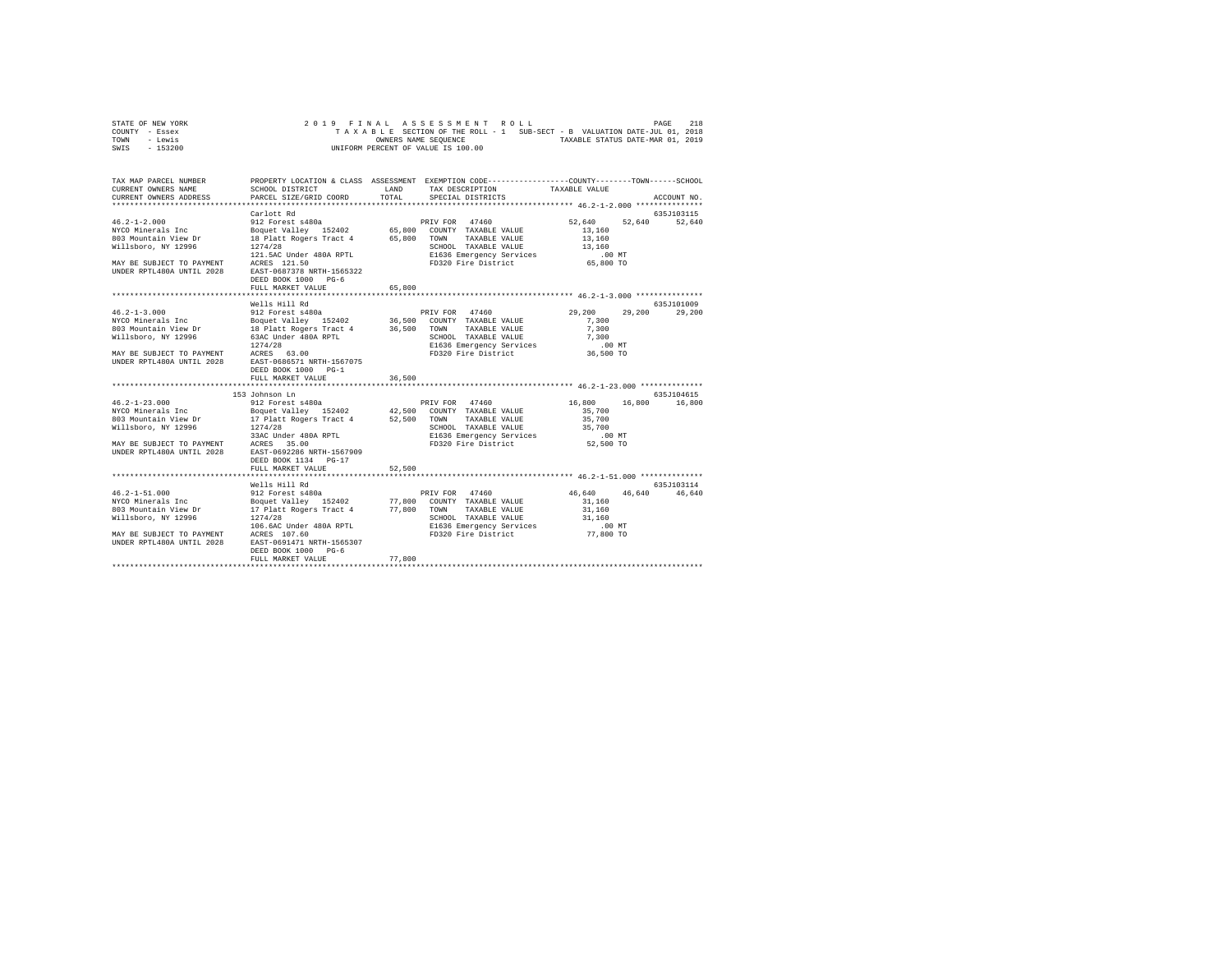| STATE OF NEW YORK | 2019 FINAL ASSESSMENT ROLL                                               | 2.18<br>PAGE                     |
|-------------------|--------------------------------------------------------------------------|----------------------------------|
| COUNTY - Essex    | TAXABLE SECTION OF THE ROLL - 1 SUB-SECT - B VALUATION DATE-JUL 01, 2018 |                                  |
| TOWN<br>- Lewis   | OWNERS NAME SEOUENCE                                                     | TAXABLE STATUS DATE-MAR 01, 2019 |
| - 153200<br>SWIS  | UNIFORM PERCENT OF VALUE IS 100.00                                       |                                  |

| TAX MAP PARCEL NUMBER<br>CURRENT OWNERS NAME<br>CURRENT OWNERS ADDRESS                                                                                                                                                                                                                                                                                                        | SCHOOL DISTRICT<br>PARCEL SIZE/GRID COORD                                         | <b>T.AND</b><br>TOTAL | PROPERTY LOCATION & CLASS ASSESSMENT EXEMPTION CODE----------------COUNTY-------TOWN------SCHOOL<br>TAX DESCRIPTION<br>SPECIAL DISTRICTS | TAXABLE VALUE                                                                          | ACCOUNT NO.                 |
|-------------------------------------------------------------------------------------------------------------------------------------------------------------------------------------------------------------------------------------------------------------------------------------------------------------------------------------------------------------------------------|-----------------------------------------------------------------------------------|-----------------------|------------------------------------------------------------------------------------------------------------------------------------------|----------------------------------------------------------------------------------------|-----------------------------|
| MAY BE SUBJECT TO PAYMENT ACRES 121.50<br>UNDER RPTL480A UNTIL 2028 EAST-0687378 NRTH-1565322                                                                                                                                                                                                                                                                                 | Carlott Rd<br>121.5AC Under 480A RPTL<br>DEED BOOK 1000 PG-6<br>FULL MARKET VALUE | 65,800                | SCHOOL TAXABLE VALUE<br>E1636 Emergency Services<br>FD320 Fire District                                                                  | 52,640 52,640 52,640<br>13,160<br>13,160<br>13,160<br>$.00$ MT<br>$00 m1$<br>65,800 TO | 635J103115                  |
|                                                                                                                                                                                                                                                                                                                                                                               | Wells Hill Rd<br>DEED BOOK 1000 PG-1<br>FULL MARKET VALUE                         | 36,500                |                                                                                                                                          | 29,200<br>7,300<br>7,300                                                               | 635J101009<br>29,200 29,200 |
| $46.2-1-23.000$ 912 Forest s480a PRIV FOR 47460<br>NYCO Minerals Inc               Boquet Valley 152402       42,500 COUNTY TAXABLE VALUE<br>ACCONSIDERING THE MANUSCRIP OF THE SERVICE IN THE SERVICE IN THE SERVICE IS A SAN TRANSLE VALUE OF THE SERVICE<br>NAMEL SERVICE THE SERVICE IS A SAN TRANSLE VALUE OF TAXABLE VALUE OF TAXABLE VALUE OF TAXABLE VALUE OF TAXABLE | 153 Johnson Ln<br>DEED BOOK 1134 PG-17<br>FULL MARKET VALUE                       | 52,500                | E1636 Emergency Services .00 MT<br>FD320 Fire District 52,500 TO                                                                         | 16,800 16,800 16,800<br>35,700                                                         | 635J104615                  |
| 46.2-1-51.000<br>NYCO Minerals Inc<br>NYCO Minerals Inc Boquet Valley 152402 77,800 COUNTY TAXABLE VALUE 3<br>803 Mountain View Dr 17 Platt Rogers Tract 4 77,800 COUNTY TAXABLE VALUE 3<br>803 Mountain View Dr 17 Platt Rogers Tra                                                                                                                                          | Wells Hill Rd<br>DEED BOOK 1000 PG-6                                              | 77,800                |                                                                                                                                          | 46,640 46,640 46,640<br>31,160<br>31,160<br>31,160<br>.00MT<br>77,800 TO               | 635J103114                  |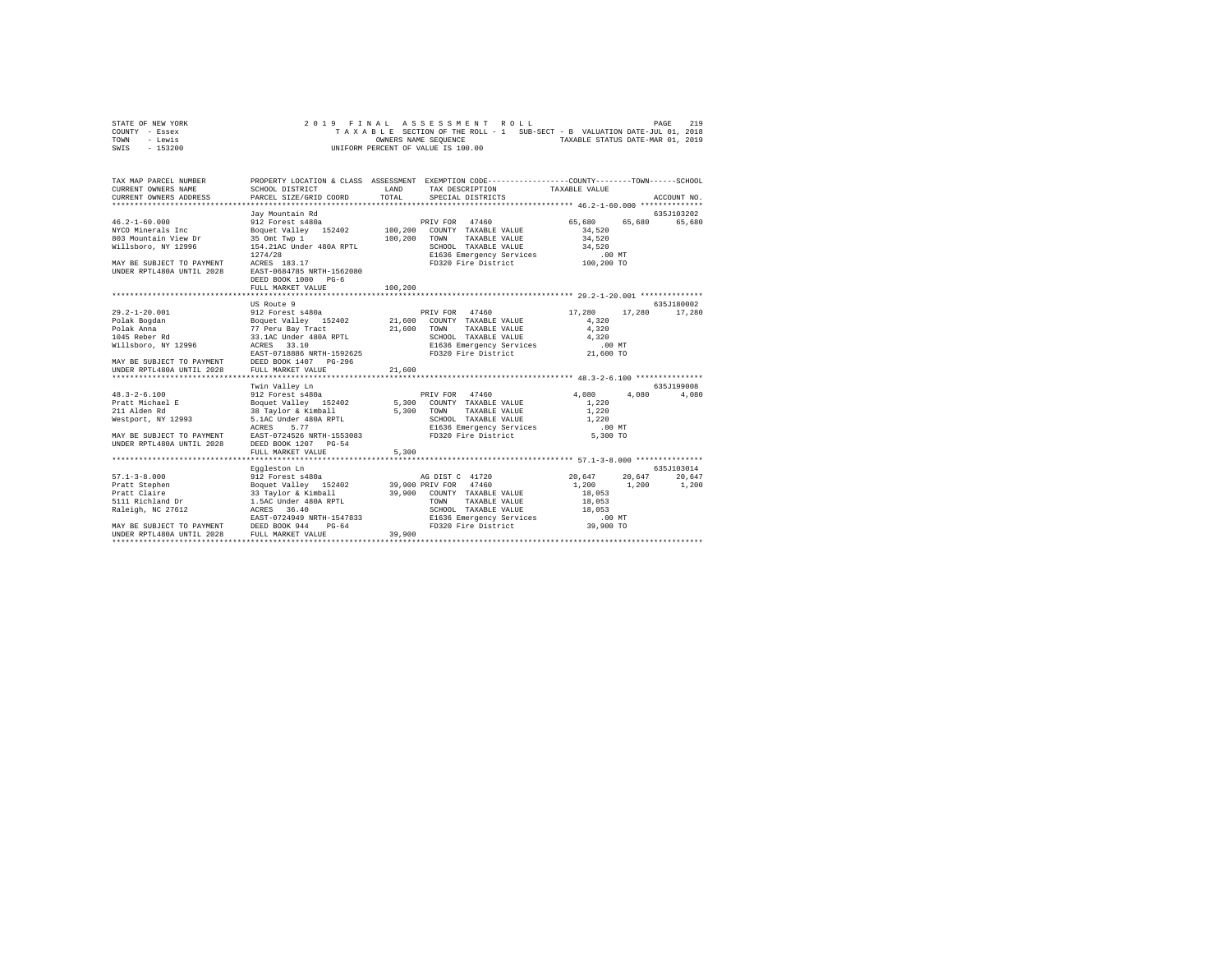| STATE OF NEW YORK |  |  |  |  | 2019 FINAL ASSESSMENT ROLL         |  |  |  |                                                                          | PAGE | 219 |
|-------------------|--|--|--|--|------------------------------------|--|--|--|--------------------------------------------------------------------------|------|-----|
| COUNTY - Essex    |  |  |  |  |                                    |  |  |  | TAXABLE SECTION OF THE ROLL - 1 SUB-SECT - B VALUATION DATE-JUL 01, 2018 |      |     |
| TOWN<br>- Lewis   |  |  |  |  | OWNERS NAME SEOUENCE               |  |  |  | TAXABLE STATUS DATE-MAR 01, 2019                                         |      |     |
| $-153200$<br>SWIS |  |  |  |  | UNIFORM PERCENT OF VALUE IS 100.00 |  |  |  |                                                                          |      |     |

| TAX MAP PARCEL NUMBER                                                                                                                                 |                                                                                                                                                                              | PROPERTY LOCATION & CLASS ASSESSMENT EXEMPTION CODE----------------COUNTY-------TOWN-----SCHOOL<br>TAX DESCRIPTION TAXABLE VALUE                                                                                                                                                                                 | ACCOUNT NO.                                                                      |
|-------------------------------------------------------------------------------------------------------------------------------------------------------|------------------------------------------------------------------------------------------------------------------------------------------------------------------------------|------------------------------------------------------------------------------------------------------------------------------------------------------------------------------------------------------------------------------------------------------------------------------------------------------------------|----------------------------------------------------------------------------------|
| $46.2 - 1 - 60.000$<br>803 Mountain View Dr<br>Willsboro, NY 12996<br>$1274/28$ MAY BE SUBJECT TO PAYMENT ACRES $183.17$<br>UNDER RPTL480A UNTIL 2028 | Jay Mountain Rd<br>912 Forest s480a<br>35 Omt Twp 1 100,200 TOWN<br>154.21AC Under 480A RPTL 5CHOOL<br>EAST-0684785 NRTH-1562080<br>DEED BOOK 1000 PG-6<br>FULL MARKET VALUE | PRIV FOR 47460<br>NYCO Minerals Inc 50 Boquet Valley 152402 100,200 COUNTY TAXABLE VALUE<br>100,200 TOWN TAXABLE VALUE<br>SCHOOL TAXABLE VALUE<br>E1636 Emergency Services<br>FD320 Fire District 100,200 TO<br>100,200                                                                                          | 635J103202<br>65,680 65,680 65,680<br>34,520<br>34,520<br>34,520                 |
| $29.2 - 1 - 20.001$<br>Polak Bogdan                                                                                                                   | US Route 9                                                                                                                                                                   |                                                                                                                                                                                                                                                                                                                  | 635J180002<br>17.280 17.280 17.280<br>4,320                                      |
| MAY BE SUBJECT TO PAYMENT DEED BOOK 1407 PG-296<br>UNDER RPTL480A UNTIL 2028                                                                          | EAST-0718886 NRTH-1592625<br>FULL MARKET VALUE                                                                                                                               | Polak Anna 1990<br>Polak Anna 1990 - 1991 - 1992 There are the contract of the May The CHOL TAXABLE VALUE 1045 Reber<br>1045 Reber Rd 1996 - 33.10 - 1046 RPTL 11165 Smergency Services 1,320<br>109 - 1118boro, NY 12996 - ACRES 33.10<br>FD320 Fire District 21,600 TO<br>21,600                               |                                                                                  |
| MAY BE SUBJECT TO PAYMENT EAST-0724526 NRTH-1553083<br>UNDER RPTL480A UNTIL 2028                                                                      | Twin Valley Ln<br>DEED BOOK 1207 PG-54<br>FULL MARKET VALUE                                                                                                                  | 19.3–2–6.100 12.1 - 11.1 - 11.1 - 11.200 12.1 - 11.200 12.1 - 11.200 12.1 - 11.200 12.1 - 11.200 12.200 12.20<br>19.201 11.200 12.200 12.200 12.200 12.200 12.200 12.200 12.200 12.200 12.200 12.200 12.200 12.200 12.200 12.20<br>1<br>E1636 Emergency Services .00 MT<br>FD320 Fire District 5,300 TO<br>5,300 | 635J199008<br>4,080 4,080<br>4,080<br>.00 MT                                     |
| $57.1 - 3 - 8.000$<br>MAY BE SUBJECT TO PAYMENT DEED BOOK 944 PG-64<br>UNDER RPTL480A UNTIL 2028                                                      | Eqgleston Ln<br>Eggleston Ln<br>912 Forest s480a<br>FULL MARKET VALUE                                                                                                        | AG DIST C 41720<br>SCHOOL TAXABLE VALUE 18,053<br>EAST-0724949 NRTH-1547833 E1636 Emergency Services (00 MT)<br>DEED BOOK 944 PG-64 FD320 Fire District (39,900 TO<br>FD320 Fire District<br>39,900                                                                                                              | 635J103014<br>20,647 20,647 20,647<br>1.200 1.200 1.200<br>$18\,, 053$<br>18,053 |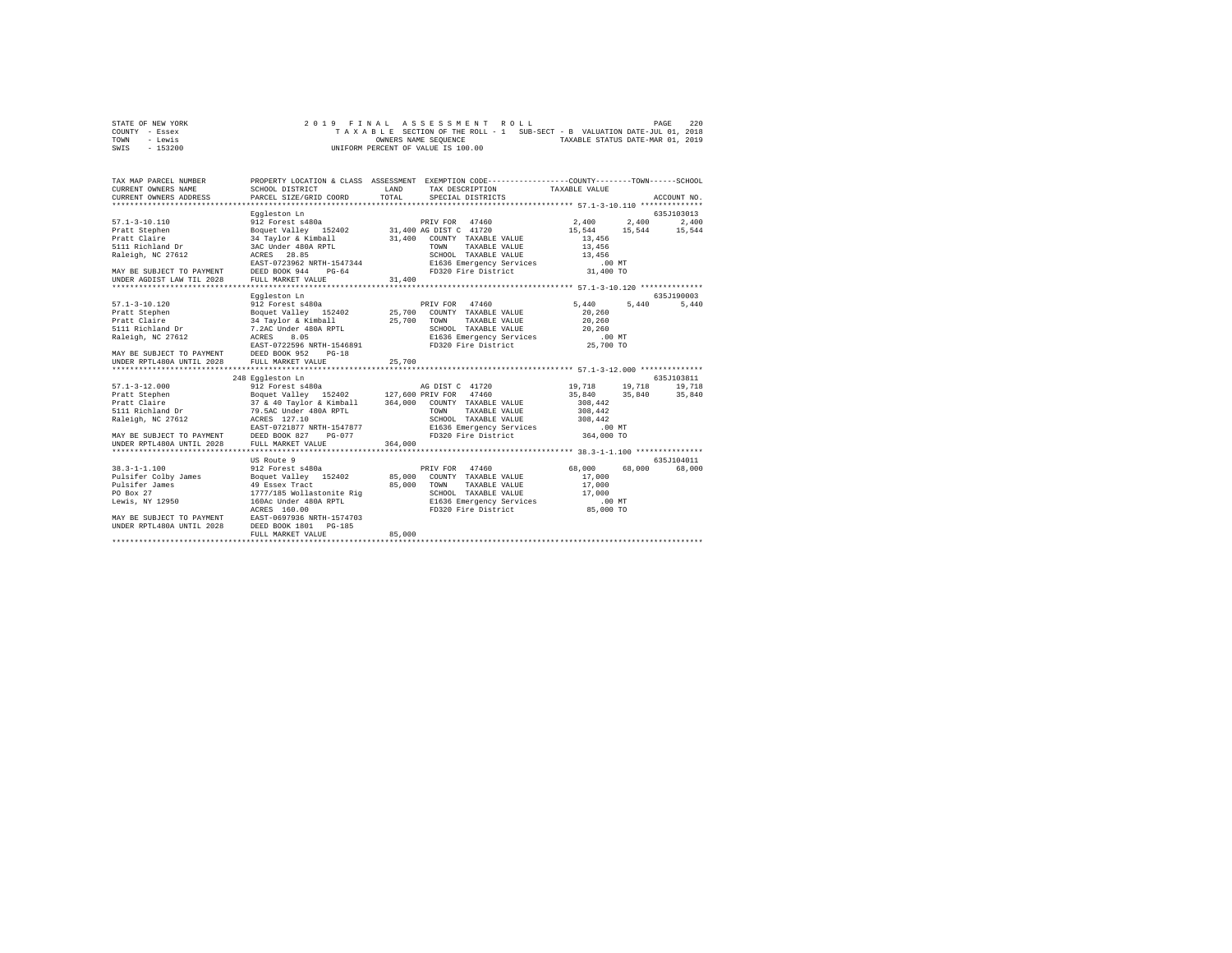| STATE OF NEW YORK | 2019 FINAL ASSESSMENT ROLL                                               | 220<br>PAGE |
|-------------------|--------------------------------------------------------------------------|-------------|
| COUNTY - Essex    | TAXABLE SECTION OF THE ROLL - 1 SUB-SECT - B VALUATION DATE-JUL 01, 2018 |             |
| TOWN<br>- Lewis   | TAXABLE STATUS DATE-MAR 01, 2019<br>OWNERS NAME SEOUENCE                 |             |
| $-153200$<br>SWIS | UNIFORM PERCENT OF VALUE IS 100.00                                       |             |

| TAX MAP PARCEL NUMBER<br>CURRENT OWNERS NAME<br>CURRENT OWNERS ADDRESS                                                                                                                                 | SCHOOL DISTRICT<br>PARCEL SIZE/GRID COORD                                                                   | PROPERTY LOCATION & CLASS ASSESSMENT EXEMPTION CODE---------------COUNTY-------TOWN------SCHOOL<br><b>T.AND</b><br>TAX DESCRIPTION TAXABLE VALUE<br>TOTAL<br>SPECIAL DISTRICTS                                                                                                                                                                                                                                               |                                                                                       | ACCOUNT NO.          |
|--------------------------------------------------------------------------------------------------------------------------------------------------------------------------------------------------------|-------------------------------------------------------------------------------------------------------------|------------------------------------------------------------------------------------------------------------------------------------------------------------------------------------------------------------------------------------------------------------------------------------------------------------------------------------------------------------------------------------------------------------------------------|---------------------------------------------------------------------------------------|----------------------|
| $57.1 - 3 - 10.110$<br>Pratt Stephen<br>Pratt Claire<br>5111 Richland Dr<br>Raleigh, NC 27612<br>MAY BE SUBJECT TO PAYMENT DEED BOOK 944 PG-64<br>UNDER AGDIST LAW TIL 2028                            | Eggleston Ln<br>912 Forest s480a<br>FULL MARKET VALUE                                                       | PRIV FOR 47460<br>Boquet Valley 152402 31,400 AG DIST C 41720<br>$\begin{tabular}{llllll} 34 Taylor & & Kimball & & & 31,400 & COUNTY & TAXABLE VALUE \\ 3AC Under 400A PTXABLE VALUE & & & & TOWN & TAXABLE VALUE \\ ACRES & 28.85 & & & SCHOOL TAXABLE VALUE \\ EAST-0723962 NRTH-1547344 & & & SCH30E DHCY Servez$<br>SCHOOL TAXABLE VALUE<br>E1636 Emergency Services 6.00 MT<br>FD320 Fire District 31,400 TO<br>31,400 | 2,400 2,400<br>15.544 15.544 15.544<br>13,456<br>13,456<br>13,456                     | 635J103013<br>2,400  |
| $57.1 - 3 - 10.120$<br>Pratt Stephen<br>Pratt Claire<br>5111 Richland Dr<br>Raleigh, NC 27612<br>MAY BE SUBJECT TO PAYMENT DEED BOOK 952<br>UNDER RPTL480A UNTIL 2028 FULL MARKET VE                   | Eggleston Ln<br>912 Forest s480a<br>$PG-18$<br>FULL MARKET VALUE                                            | PRIV FOR 47460<br>25,700                                                                                                                                                                                                                                                                                                                                                                                                     | 5,440<br>5,440<br>20,260<br>20,260                                                    | 635J190003<br>5,440  |
| $57.1 - 3 - 12.000$<br>Pratt Stephen<br>Pratt Claire<br>5111 Richland Dr<br>Raleigh, NC 27612<br>MAY BE SUBJECT TO PAYMENT DEED BOOK 827<br>UNDER RPTL480A UNTIL 2028                                  | 248 Eggleston Ln<br>912 Forest s480a<br>ACRES 127.10<br>EAST-0721877 NRTH-1547877<br>FULL MARKET VALUE      | AG DIST C 41720<br>Boquet Valley 152402 127,600 PRIV FOR 47460<br>37 & 40 Taylor & Kimball 364,000 COUNTY TAXABLE VALUE<br>79.5AC Under 480A RPTL 70WN TAXABLE VALUE<br>SCHOOL TAXABLE VALUE 308,442<br>RTH-1547877 E1636 Emergency Services<br>PG-077 PG-077 FD320 Fire District<br>364,000                                                                                                                                 | 19,718 19,718<br>35,840 35,840 35,840<br>308,442<br>308,442<br>$.00$ MT<br>364,000 TO | 635J103811<br>19,718 |
| $38.3 - 1 - 1.100$<br>Pulsifer Colby James<br>Pulsifer James<br>PO Box 27<br>Lewis, NY 12950<br>MAY BE SUBJECT TO PAYMENT EAST-0697936 NRTH-1574703<br>UNDER RPTL480A UNTIL 2028 DEED BOOK 1801 PG-185 | US Route 9<br>912 Forest s480a<br>Boquet Valley 152402 85,000<br>49 Essex Tract 85,000<br>FULL MARKET VALUE | 47460<br>PRIV FOR<br>COUNTY TAXABLE VALUE<br>TOWN<br>TAXABLE VALUE<br>1777/185 Wollastonite Rig (1999) SCHOOL TAXABLE VALUE (1990) 1777/185 Wollastonic Right (1990) SCHOOL TAXABLE VALUE (1990) 100 MM<br>160Ac Under 480A RPTL (1990) E1636 Emergency Services (1990) 100 MM<br>85,000                                                                                                                                     | 68,000<br>68,000 68,000<br>17,000<br>17,000<br>17,000                                 | 635J104011           |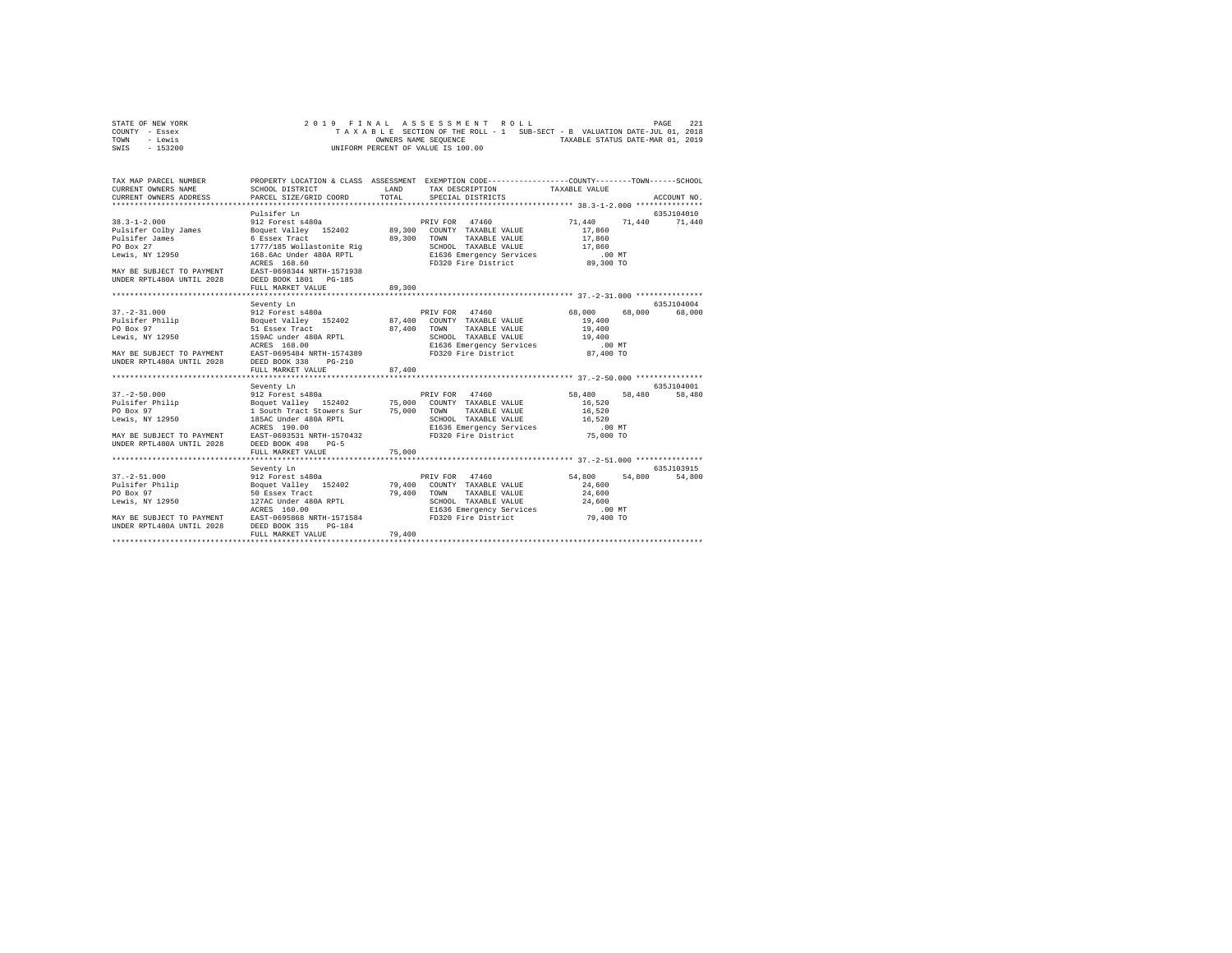| STATE OF NEW YORK | 2019 FINAL ASSESSMENT ROLL                                               | 221<br>PAGE                      |
|-------------------|--------------------------------------------------------------------------|----------------------------------|
| COUNTY - Essex    | TAXABLE SECTION OF THE ROLL - 1 SUB-SECT - B VALUATION DATE-JUL 01, 2018 |                                  |
| TOWN<br>- Lewis   | OWNERS NAME SEOUENCE                                                     | TAXABLE STATUS DATE-MAR 01, 2019 |
| $-153200$<br>SWIS | UNIFORM PERCENT OF VALUE IS 100.00                                       |                                  |

| TAX MAP PARCEL NUMBER                                                                                                                                                                                                                                                                                                                            | PROPERTY LOCATION & CLASS ASSESSMENT EXEMPTION CODE---------------COUNTY-------TOWN-----SCHOOL |        |  |               |
|--------------------------------------------------------------------------------------------------------------------------------------------------------------------------------------------------------------------------------------------------------------------------------------------------------------------------------------------------|------------------------------------------------------------------------------------------------|--------|--|---------------|
|                                                                                                                                                                                                                                                                                                                                                  |                                                                                                |        |  |               |
|                                                                                                                                                                                                                                                                                                                                                  | Pulsifer Ln                                                                                    |        |  | 635J104010    |
| $38.3 - 1 - 2.000$<br>MAY BE SUBJECT TO PAYMENT EAST-0698344 NRTH-1571938<br>UNDER RPTL480A UNTIL 2028 DEED BOOK 1801 PG-185                                                                                                                                                                                                                     | FULL MARKET VALUE                                                                              | 89,300 |  |               |
|                                                                                                                                                                                                                                                                                                                                                  |                                                                                                |        |  |               |
|                                                                                                                                                                                                                                                                                                                                                  | Seventy Ln                                                                                     |        |  | 635J104004    |
|                                                                                                                                                                                                                                                                                                                                                  |                                                                                                |        |  | 68,000 68,000 |
|                                                                                                                                                                                                                                                                                                                                                  | FULL MARKET VALUE                                                                              | 87,400 |  |               |
|                                                                                                                                                                                                                                                                                                                                                  |                                                                                                |        |  |               |
|                                                                                                                                                                                                                                                                                                                                                  | Seventy Ln                                                                                     |        |  | 635J104001    |
| 37. –2–50.000<br>Pulley Discrete Malley 152402 75,000 COUNTY TAXABLE VALUE 16,520<br>PO Box 97 1990 Valley 152402 75,000 COUNTY TAXABLE VALUE 16,520<br>PO Box 97 1 South Tract Stowers Sur 75,000 TOWN TAXABLE VALUE 16,520<br>Lewis, NY<br>MAY BE SUBJECT TO PAYMENT EAST-0693531 NRTH-1570432<br>UNDER RPTL480A UNTIL 2028 DEED BOOK 498 PG-5 |                                                                                                |        |  | 58,480        |
|                                                                                                                                                                                                                                                                                                                                                  | FULL MARKET VALUE                                                                              | 75,000 |  |               |
|                                                                                                                                                                                                                                                                                                                                                  |                                                                                                |        |  |               |
| MAY BE SUBJECT TO PAYMENT BAST-0695868 NRTH-1571584 PD320 Fire District 79,400 TO<br>UNDER RPTL480A UNTIL 2028 DEED BOOK 315 PG-184                                                                                                                                                                                                              |                                                                                                |        |  |               |
|                                                                                                                                                                                                                                                                                                                                                  | FULL MARKET VALUE                                                                              | 79,400 |  |               |
|                                                                                                                                                                                                                                                                                                                                                  |                                                                                                |        |  |               |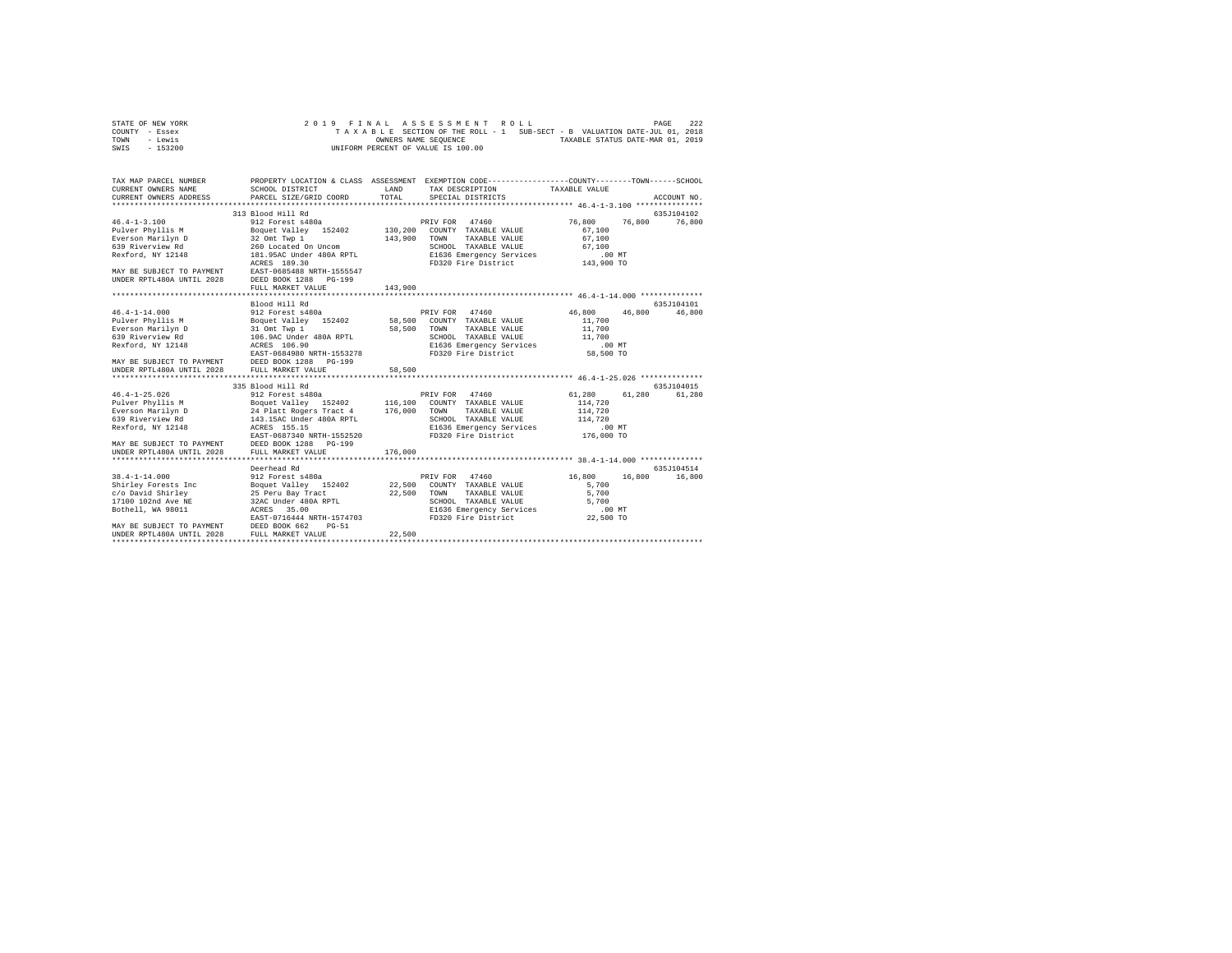| STATE OF NEW YORK |  |  | 2019 FINAL ASSESSMENT ROLL                                               |  |                                  | PAGE | 2.2.2 |
|-------------------|--|--|--------------------------------------------------------------------------|--|----------------------------------|------|-------|
| COUNTY - Essex    |  |  | TAXABLE SECTION OF THE ROLL - 1 SUB-SECT - B VALUATION DATE-JUL 01, 2018 |  |                                  |      |       |
| TOWN<br>- Lewis   |  |  | OWNERS NAME SEOUENCE                                                     |  | TAXABLE STATUS DATE-MAR 01, 2019 |      |       |
| $-153200$<br>SWIS |  |  | UNIFORM PERCENT OF VALUE IS 100.00                                       |  |                                  |      |       |

| TAX MAP PARCEL NUMBER<br>CURRENT OWNERS NAME                                                                                                                                                                                         | SCHOOL DISTRICT           | LAND        | PROPERTY LOCATION & CLASS ASSESSMENT EXEMPTION CODE---------------COUNTY-------TOWN------SCHOOL<br>TAX DESCRIPTION TAXABLE VALUE |                  |                  |
|--------------------------------------------------------------------------------------------------------------------------------------------------------------------------------------------------------------------------------------|---------------------------|-------------|----------------------------------------------------------------------------------------------------------------------------------|------------------|------------------|
| CURRENT OWNERS ADDRESS                                                                                                                                                                                                               | PARCEL SIZE/GRID COORD    | TOTAL       | SPECIAL DISTRICTS                                                                                                                |                  | ACCOUNT NO.      |
|                                                                                                                                                                                                                                      |                           |             |                                                                                                                                  |                  |                  |
|                                                                                                                                                                                                                                      | 313 Blood Hill Rd         |             |                                                                                                                                  |                  | 635J104102       |
| $46.4 - 1 - 3.100$                                                                                                                                                                                                                   | 912 Forest s480a          |             | PRIV FOR 47460                                                                                                                   | 76,800           | 76.800<br>76,800 |
|                                                                                                                                                                                                                                      |                           |             |                                                                                                                                  | 67,100           |                  |
|                                                                                                                                                                                                                                      |                           |             |                                                                                                                                  | 67,100           |                  |
|                                                                                                                                                                                                                                      |                           |             |                                                                                                                                  | 67,100           |                  |
| Rexford, NY 12148                                                                                                                                                                                                                    | 181.95AC Under 480A RPTL  |             | E1636 Emergency Services 1636 100 MT<br>FD320 Fire District 143,900 TO                                                           |                  |                  |
|                                                                                                                                                                                                                                      | ACRES 189.30              |             |                                                                                                                                  |                  |                  |
| MAY BE SUBJECT TO PAYMENT EAST-0685488 NRTH-1555547                                                                                                                                                                                  |                           |             |                                                                                                                                  |                  |                  |
| UNDER RPTL480A UNTIL 2028 DEED BOOK 1288 PG-199                                                                                                                                                                                      |                           |             |                                                                                                                                  |                  |                  |
|                                                                                                                                                                                                                                      | FULL MARKET VALUE         | 143,900     |                                                                                                                                  |                  |                  |
|                                                                                                                                                                                                                                      | Blood Hill Rd             |             |                                                                                                                                  |                  | 635J104101       |
|                                                                                                                                                                                                                                      |                           |             |                                                                                                                                  | 46,800           | 46,800<br>46,800 |
| 46.4-1-14.000          912 Forest s480a             PRIV FOR  47460<br>Pulver Phyllis M        Boquet Valley  152402     58,500  COUNTY TAXABLE VALUE                                                                                |                           |             |                                                                                                                                  |                  |                  |
|                                                                                                                                                                                                                                      |                           | 58,500 TOWN | TAXABLE VALUE                                                                                                                    | 11,700<br>11,700 |                  |
|                                                                                                                                                                                                                                      |                           |             | SCHOOL TAXABLE VALUE                                                                                                             | 11,700           |                  |
| Everson Marilyn D<br>Styre and Silom Twp 1<br>639 Riverview Rd<br>Rexford, NY 12148<br>2008 Rexford, NY 12148                                                                                                                        |                           |             | E1636 Emergency Services .00 MT                                                                                                  |                  |                  |
|                                                                                                                                                                                                                                      |                           |             |                                                                                                                                  |                  |                  |
|                                                                                                                                                                                                                                      |                           |             |                                                                                                                                  |                  |                  |
|                                                                                                                                                                                                                                      |                           |             |                                                                                                                                  |                  |                  |
|                                                                                                                                                                                                                                      |                           |             |                                                                                                                                  |                  |                  |
|                                                                                                                                                                                                                                      | 335 Blood Hill Rd         |             |                                                                                                                                  |                  | 635.7104015      |
|                                                                                                                                                                                                                                      |                           |             | PRIV FOR 47460                                                                                                                   | 61.280 61.280    | 61,280           |
|                                                                                                                                                                                                                                      |                           |             |                                                                                                                                  | 114,720          |                  |
|                                                                                                                                                                                                                                      |                           |             |                                                                                                                                  | 114,720          |                  |
|                                                                                                                                                                                                                                      |                           |             | SCHOOL TAXABLE VALUE 114,720                                                                                                     |                  |                  |
| Rexford, NY 12148                                                                                                                                                                                                                    | ACRES 155.15              |             |                                                                                                                                  | $.00$ MT         |                  |
|                                                                                                                                                                                                                                      | EAST-0687340 NRTH-1552520 |             | E1636 Emergency Services<br>FD320 Fire District                                                                                  | 176,000 TO       |                  |
| MAY BE SUBJECT TO PAYMENT DEED BOOK 1288 PG-199                                                                                                                                                                                      |                           |             |                                                                                                                                  |                  |                  |
| UNDER RPTL480A UNTIL 2028                                                                                                                                                                                                            | FULL MARKET VALUE         | 176,000     |                                                                                                                                  |                  |                  |
|                                                                                                                                                                                                                                      |                           |             |                                                                                                                                  |                  |                  |
|                                                                                                                                                                                                                                      | Deerhead Rd               |             |                                                                                                                                  |                  | 635J104514       |
| $38.4 - 1 - 14.000$                                                                                                                                                                                                                  | 912 Forest s480a          |             | PRIV FOR 47460                                                                                                                   | 16,800           | 16,800 16,800    |
|                                                                                                                                                                                                                                      |                           |             |                                                                                                                                  | 5,700            |                  |
|                                                                                                                                                                                                                                      |                           |             | TAXABLE VALUE                                                                                                                    | 5,700            |                  |
|                                                                                                                                                                                                                                      |                           |             |                                                                                                                                  |                  |                  |
| Solution and the second of the second of the second of the second of the second of the second of the second of<br>COUNTY TAXABLE VALUE 20 and 20 and 20 and 20 and 20 and 20 and 20 and 20 and 20 and 20 and 20 and 20 and 20 an<br> |                           |             | SCHOOL TAXABLE VALUE 5,700<br>E1636 Emergency Services .00 MT                                                                    |                  |                  |
| EAST-0716444 NRTH-1574703<br>MAY BE SUBJECT TO PAYMENT DEED BOOK 662 PG-51 PD320 Fire District 22,500 TO                                                                                                                             |                           |             |                                                                                                                                  |                  |                  |
|                                                                                                                                                                                                                                      |                           |             |                                                                                                                                  |                  |                  |
| UNDER RPTL480A UNTIL 2028 FULL MARKET VALUE                                                                                                                                                                                          |                           | 22,500      |                                                                                                                                  |                  |                  |
|                                                                                                                                                                                                                                      |                           |             |                                                                                                                                  |                  |                  |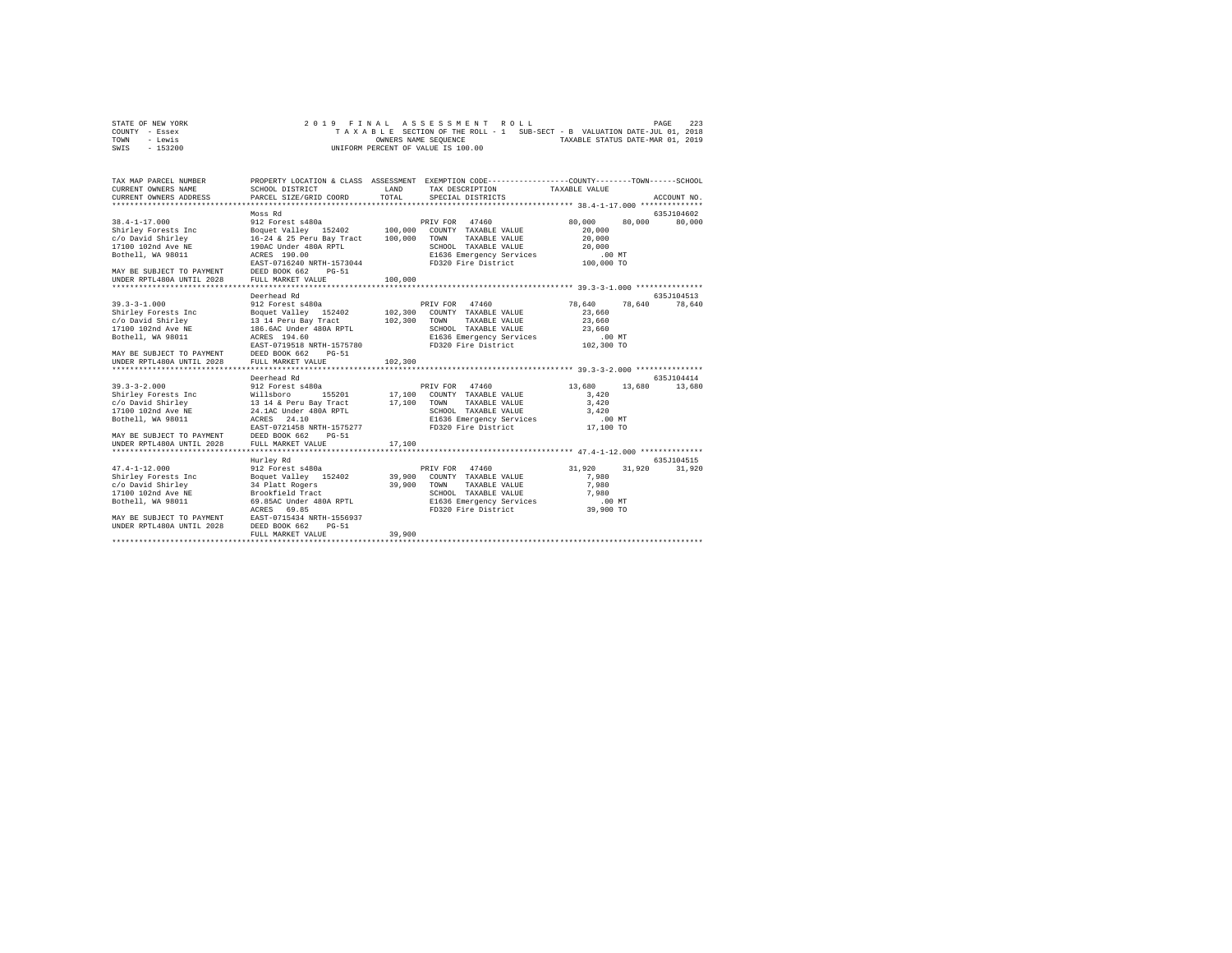| STATE OF NEW YORK | 2019 FINAL ASSESSMENT ROLL                                               | PAGE | 223 |
|-------------------|--------------------------------------------------------------------------|------|-----|
| COUNTY - Essex    | TAXABLE SECTION OF THE ROLL - 1 SUB-SECT - B VALUATION DATE-JUL 01, 2018 |      |     |
| TOWN<br>- Lewis   | TAXABLE STATUS DATE-MAR 01, 2019<br>OWNERS NAME SEOUENCE                 |      |     |
| - 153200<br>SWIS  | UNIFORM PERCENT OF VALUE IS 100.00                                       |      |     |

| TAX MAP PARCEL NUMBER<br>CURRENT OWNERS NAME<br>CURRENT OWNERS ADDRESS                                                                                                                                                                                                      | SCHOOL DISTRICT<br>PARCEL SIZE/GRID COORD                                                                                                                                                                            | LAND<br>TOTAL.     | PROPERTY LOCATION & CLASS ASSESSMENT EXEMPTION CODE---------------COUNTY-------TOWN-----SCHOOL<br>TAX DESCRIPTION TAXABLE VALUE<br>SPECIAL DISTRICTS |                                                                          | ACCOUNT NO.           |
|-----------------------------------------------------------------------------------------------------------------------------------------------------------------------------------------------------------------------------------------------------------------------------|----------------------------------------------------------------------------------------------------------------------------------------------------------------------------------------------------------------------|--------------------|------------------------------------------------------------------------------------------------------------------------------------------------------|--------------------------------------------------------------------------|-----------------------|
| $38.4 - 1 - 17.000$<br>Shirley Forests Inc Boquet Valley 152402 100,000<br>c/o David Shirley<br>17100 102nd Ave NE<br>Bothell, WA 98011<br>MAY BE SUBJECT TO PAYMENT DEED BOOK 662 PG-51<br>UNDER RPTL480A UNTIL 2028                                                       | Moss Rd<br>912 Forest s480a<br>16-24 & 25 Peru Bay Tract<br>190AC Under 480A RPTL<br>ACRES 190.00<br>EAST-0716240 NRTH-1573044<br>FULL MARKET VALUE                                                                  | 100,000<br>100,000 | PRIV FOR 47460<br>COUNTY TAXABLE VALUE<br>TOWN<br>TAXABLE VALUE<br>SCHOOL TAXABLE VALUE<br>E1636 Emergency Services<br>FD320 Fire District           | 80,000<br>80,000<br>20,000<br>20,000<br>20,000<br>$.00$ MT<br>100,000 TO | 635J104602<br>80,000  |
| $39.3 - 3 - 1.000$<br>Shirley Forests Inc<br>c/o David Shirley<br>17100 102nd Ave NE 186.6AC Under 480A RPTL<br>Bothell, WA 98011<br>MAY BE SUBJECT TO PAYMENT DEED BOOK 662<br>UNDER RPTL480A UNTIL 2028                                                                   | Deerhead Rd<br>912 Forest s480a<br>ACRES 194.60<br>EAST-0719518 NRTH-1575780<br>$PG-51$<br>FULL MARKET VALUE                                                                                                         | 102,300            | PRIV FOR 47460<br>TAXABLE VALUE<br>SCHOOL TAXABLE VALUE<br>E1636 Emergency Services<br>FD320 Fire District                                           | 78,640<br>78.640<br>23,660<br>23,660<br>23,660<br>$.00$ MT<br>102,300 TO | 635.7104513<br>78,640 |
| $39.3 - 3 - 2.000$<br>Shirley Forests Inc Willsboro<br>$\verb c/o\ David Shirley 21314 & Peru Bay Tract 17,100\quad{}$ TOWN 17100 102nd Ave NE 24.1AC Under 480A RPTL SCHOOL<br>Bothell, WA 98011<br>MAY BE SUBJECT TO PAYMENT DEED BOOK 662<br>IINDER RPTL480A IINTIL 2028 | Deerhead Rd<br>912 Forest s480a<br>24.10<br>ACRES<br>EAST-0721458 NRTH-1575277<br>$PG-51$<br>FULL MARKET VALUE                                                                                                       | 17,100             | PRIV FOR 47460<br>155201 17,100 COUNTY TAXABLE VALUE<br>TAXABLE VALUE<br>SCHOOL TAXABLE VALUE<br>E1636 Emergency Services<br>FD320 Fire District     | 13,680<br>13,680<br>3,420<br>3,420<br>3,420<br>$.00$ MT<br>17,100 TO     | 635.7104414<br>13,680 |
| $47.4 - 1 - 12.000$<br>Shirley Forests Inc<br>c/o David Shirley<br>17100 102nd Ave NE<br>Bothell, WA 98011<br>MAY BE SUBJECT TO PAYMENT<br>UNDER RPTL480A UNTIL 2028                                                                                                        | Hurley Rd<br>912 Forest s480a<br>Boquet Valley 152402<br>34 Platt Rogers<br>Brookfield Tract<br>69.85AC Under 480A RPTL<br>ACRES 69.85<br>EAST-0715434 NRTH-1556937<br>DEED BOOK 662<br>$PG-51$<br>FULL MARKET VALUE | 39,900<br>39,900   | PRIV FOR 47460<br>39,900 COUNTY TAXABLE VALUE<br>TOWN<br>TAXABLE VALUE<br>SCHOOL TAXABLE VALUE<br>E1636 Emergency Services<br>FD320 Fire District    | 31,920<br>31,920<br>7,980<br>7,980<br>7,980<br>$.00$ MT<br>39,900 TO     | 635.7104515<br>31,920 |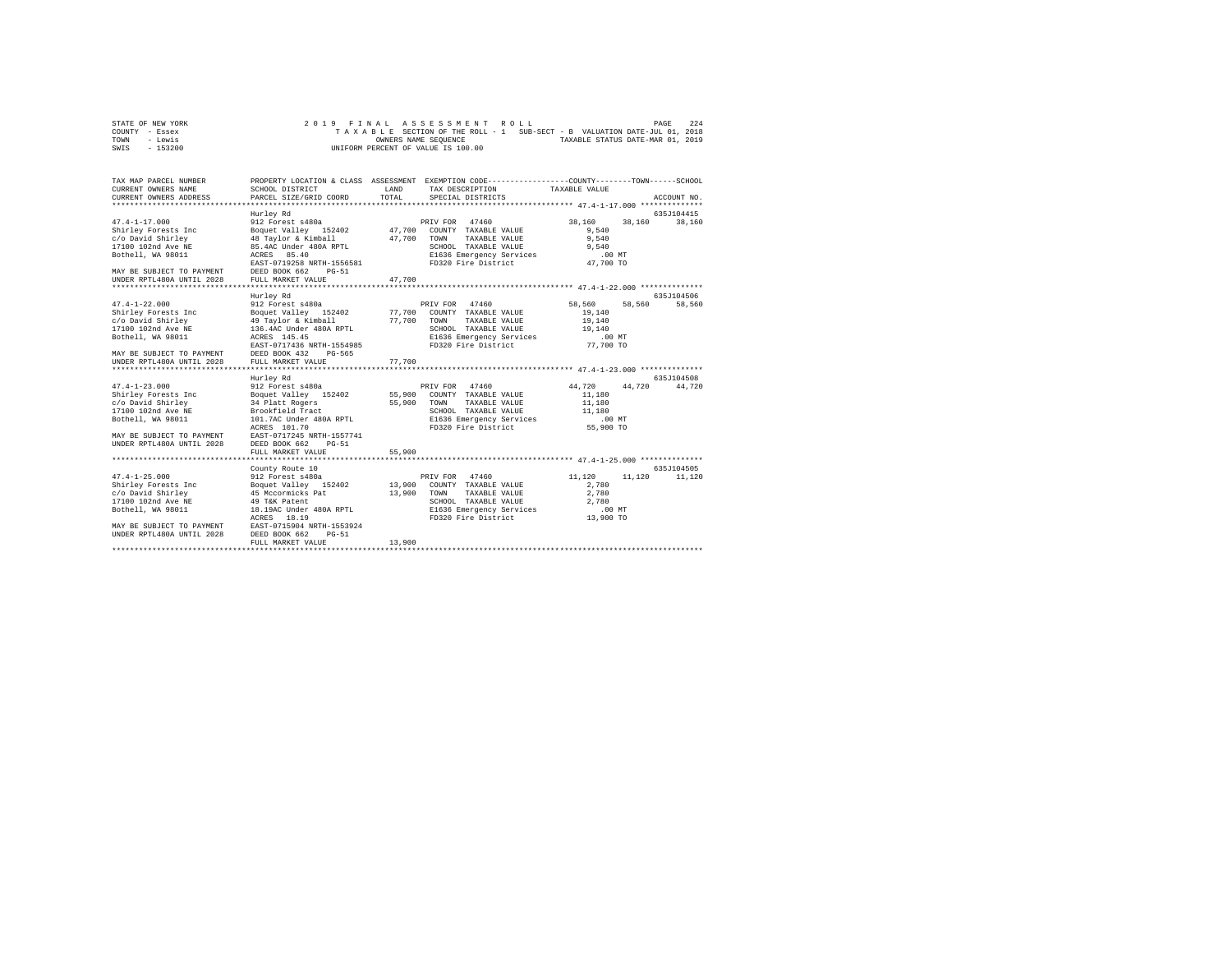| STATE OF NEW YORK | 2019 FINAL ASSESSMENT ROLL                                               | PAGE | 224 |
|-------------------|--------------------------------------------------------------------------|------|-----|
| COUNTY - Essex    | TAXABLE SECTION OF THE ROLL - 1 SUB-SECT - B VALUATION DATE-JUL 01, 2018 |      |     |
| TOWN<br>- Lewis   | TAXABLE STATUS DATE-MAR 01, 2019<br>OWNERS NAME SEOUENCE                 |      |     |
| - 153200<br>SWIS  | UNIFORM PERCENT OF VALUE IS 100.00                                       |      |     |

| TAX MAP PARCEL NUMBER<br>CURRENT OWNERS NAME                    | SCHOOL DISTRICT                                                            | LAND             | PROPERTY LOCATION & CLASS ASSESSMENT EXEMPTION CODE----------------COUNTY-------TOWN------SCHOOL<br>TAX DESCRIPTION | TAXABLE VALUE                      |             |
|-----------------------------------------------------------------|----------------------------------------------------------------------------|------------------|---------------------------------------------------------------------------------------------------------------------|------------------------------------|-------------|
| CURRENT OWNERS ADDRESS                                          | PARCEL SIZE/GRID COORD                                                     | TOTAL            | SPECIAL DISTRICTS                                                                                                   |                                    | ACCOUNT NO. |
|                                                                 | Hurley Rd                                                                  |                  |                                                                                                                     |                                    | 635J104415  |
| $47.4 - 1 - 17.000$<br>Shirley Forests Inc<br>c/o David Shirley | 912 Forest s480a<br>Boquet Valley 152402<br>48 Taylor & Kimball            | 47,700<br>47.700 | 47460<br>PRIV FOR<br>COUNTY TAXABLE VALUE<br>TOWN<br>TAXABLE VALUE                                                  | 38,160<br>38,160<br>9,540<br>9.540 | 38,160      |
| 17100 102nd Ave NE<br>Bothell, WA 98011                         | 85.4AC Under 480A RPTL<br>ACRES<br>85.40                                   |                  | SCHOOL TAXABLE VALUE<br>E1636 Emergency Services                                                                    | 9,540<br>.00 MT                    |             |
| MAY BE SUBJECT TO PAYMENT<br>UNDER RPTL480A UNTIL 2028          | EAST-0719258 NRTH-1556581<br>DEED BOOK 662<br>$PG-51$<br>FULL MARKET VALUE | 47.700           | FD320 Fire District                                                                                                 | 47,700 TO                          |             |
|                                                                 |                                                                            |                  |                                                                                                                     |                                    |             |
|                                                                 | Hurley Rd                                                                  |                  |                                                                                                                     |                                    | 635J104506  |
| $47.4 - 1 - 22.000$                                             | 912 Forest s480a                                                           |                  | PRIV FOR 47460                                                                                                      | 58,560<br>58,560                   | 58,560      |
| Shirley Forests Inc                                             | Boquet Valley 152402                                                       | 77,700           | COUNTY TAXABLE VALUE                                                                                                | 19,140                             |             |
| c/o David Shirley<br>17100 102nd Ave NE                         | 49 Tavlor & Kimball<br>136.4AC Under 480A RPTL                             | 77,700           | TOWN<br>TAXABLE VALUE<br>SCHOOL TAXABLE VALUE                                                                       | 19,140<br>19,140                   |             |
| Bothell, WA 98011                                               | ACRES 145.45                                                               |                  | E1636 Emergency Services                                                                                            | .00 MT                             |             |
|                                                                 | EAST-0717436 NRTH-1554985                                                  |                  | FD320 Fire District                                                                                                 | 77,700 TO                          |             |
| MAY BE SUBJECT TO PAYMENT                                       | DEED BOOK 432<br>PG-565                                                    |                  |                                                                                                                     |                                    |             |
| UNDER RPTL480A UNTIL 2028                                       | FULL MARKET VALUE                                                          | 77,700           |                                                                                                                     |                                    |             |
|                                                                 |                                                                            |                  |                                                                                                                     |                                    |             |
|                                                                 | Hurley Rd                                                                  |                  |                                                                                                                     |                                    | 635J104508  |
| $47.4 - 1 - 23.000$                                             | 912 Forest s480a                                                           |                  | PRIV FOR 47460                                                                                                      | 44.720<br>44,720                   | 44.720      |
| Shirley Forests Inc                                             | Boquet Valley 152402                                                       | 55,900           | COUNTY TAXABLE VALUE                                                                                                | 11,180                             |             |
| c/o David Shirley                                               | 34 Platt Rogers                                                            | 55,900           | TOWN<br>TAXABLE VALUE                                                                                               | 11,180                             |             |
| 17100 102nd Ave NE                                              | Brookfield Tract                                                           |                  | SCHOOL TAXABLE VALUE                                                                                                | 11,180                             |             |
| Bothell, WA 98011                                               | 101.7AC Under 480A RPTL                                                    |                  | E1636 Emergency Services                                                                                            | $.00$ MT                           |             |
|                                                                 | ACRES 101.70                                                               |                  | FD320 Fire District                                                                                                 | 55,900 TO                          |             |
| MAY BE SUBJECT TO PAYMENT                                       | EAST-0717245 NRTH-1557741                                                  |                  |                                                                                                                     |                                    |             |
| UNDER RPTL480A UNTIL 2028                                       | DEED BOOK 662<br>$PG-51$                                                   |                  |                                                                                                                     |                                    |             |
|                                                                 | FULL MARKET VALUE                                                          | 55,900           |                                                                                                                     |                                    |             |
|                                                                 | County Route 10                                                            |                  |                                                                                                                     |                                    | 635J104505  |
| $47.4 - 1 - 25.000$                                             | 912 Forest s480a                                                           |                  | PRIV FOR<br>47460                                                                                                   | 11,120<br>11,120                   | 11,120      |
| Shirley Forests Inc                                             |                                                                            | 13,900           | COUNTY TAXABLE VALUE                                                                                                | 2,780                              |             |
| c/o David Shirley                                               | Boquet Valley 152402<br>45 Mccormicks Pat                                  | 13,900           | TAXABLE VALUE<br>TOWN                                                                                               | 2,780                              |             |
| 17100 102nd Ave NE                                              | 49 T&K Patent                                                              |                  | SCHOOL TAXABLE VALUE                                                                                                | 2,780                              |             |
| Bothell, WA 98011                                               | 18.19AC Under 480A RPTL                                                    |                  | E1636 Emergency Services                                                                                            | .00 MT                             |             |
|                                                                 | 18.19<br>ACRES                                                             |                  | FD320 Fire District                                                                                                 | 13,900 TO                          |             |
| MAY BE SUBJECT TO PAYMENT                                       | EAST-0715904 NRTH-1553924                                                  |                  |                                                                                                                     |                                    |             |
| UNDER RPTL480A UNTIL 2028                                       | DEED BOOK 662<br>$PG-51$                                                   |                  |                                                                                                                     |                                    |             |
|                                                                 | FULL MARKET VALUE                                                          | 13,900           |                                                                                                                     |                                    |             |
|                                                                 |                                                                            |                  |                                                                                                                     |                                    |             |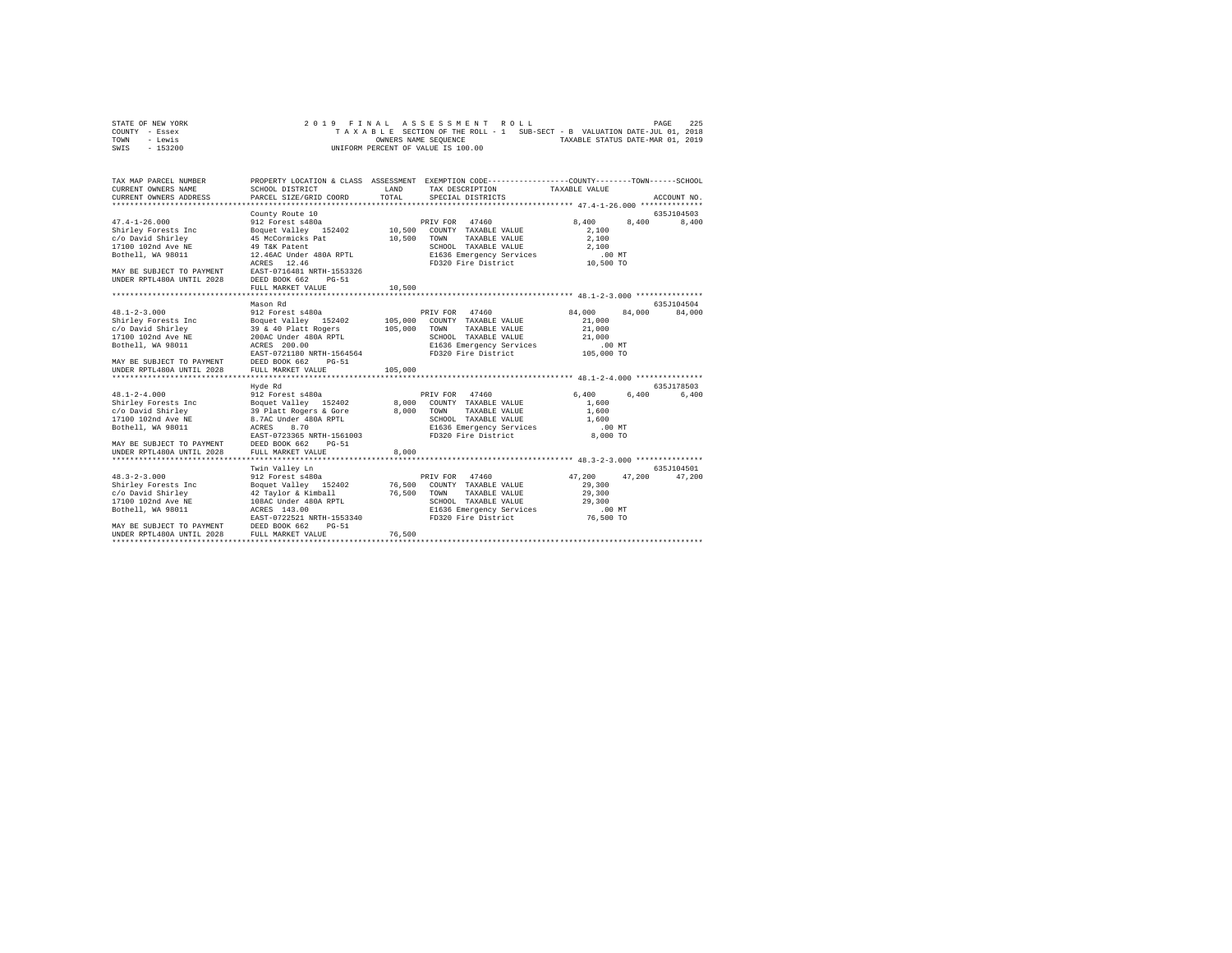| STATE OF NEW YORK |  |  | 2019 FINAL ASSESSMENT ROLL         |  |                                                                          |                                  | PAGE | 225 |
|-------------------|--|--|------------------------------------|--|--------------------------------------------------------------------------|----------------------------------|------|-----|
| COUNTY - Essex    |  |  |                                    |  | TAXABLE SECTION OF THE ROLL - 1 SUB-SECT - B VALUATION DATE-JUL 01, 2018 |                                  |      |     |
| TOWN<br>- Lewis   |  |  | OWNERS NAME SEOUENCE               |  |                                                                          | TAXABLE STATUS DATE-MAR 01, 2019 |      |     |
| $-153200$<br>SWIS |  |  | UNIFORM PERCENT OF VALUE IS 100.00 |  |                                                                          |                                  |      |     |

| TAX MAP PARCEL NUMBER<br>CURRENT OWNERS NAME<br>CURRENT OWNERS ADDRESS                                                                                              | SCHOOL DISTRICT<br>PARCEL SIZE/GRID COORD                                                                                                                                                                       | <b>T.AND</b><br>TOTAL | PROPERTY LOCATION & CLASS ASSESSMENT EXEMPTION CODE---------------COUNTY-------TOWN------SCHOOL<br>TAX DESCRIPTION TAXABLE VALUE<br>SPECIAL DISTRICTS |                                                                          | ACCOUNT NO.           |
|---------------------------------------------------------------------------------------------------------------------------------------------------------------------|-----------------------------------------------------------------------------------------------------------------------------------------------------------------------------------------------------------------|-----------------------|-------------------------------------------------------------------------------------------------------------------------------------------------------|--------------------------------------------------------------------------|-----------------------|
|                                                                                                                                                                     |                                                                                                                                                                                                                 |                       |                                                                                                                                                       |                                                                          |                       |
|                                                                                                                                                                     | County Route 10                                                                                                                                                                                                 |                       |                                                                                                                                                       |                                                                          | 635J104503            |
| $47.4 - 1 - 26.000$<br>Shirley Forests Inc<br>c/o David Shirley<br>17100 102nd Ave NE<br>Bothell, WA 98011                                                          | 912 Forest s480a<br>Boquet Valley 152402 10.500<br>45 McCormicks Pat<br>49 T&K Patent<br>12.46AC Under 480A RPTL<br>ACRES 12.46                                                                                 | 10,500                | PRIV FOR 47460<br>COUNTY TAXABLE VALUE<br>TAXABLE VALUE<br>TOWN<br>SCHOOL TAXABLE VALUE<br>E1636 Emergency Services<br>FD320 Fire District            | 8,400<br>2,100<br>2,100<br>2,100<br>$.00$ MT<br>10,500 TO                | 8,400<br>8.400        |
| MAY BE SUBJECT TO PAYMENT<br>UNDER RPTL480A UNTIL 2028                                                                                                              | EAST-0716481 NRTH-1553326<br>DEED BOOK 662<br>PG-51<br>FULL MARKET VALUE                                                                                                                                        | 10,500                |                                                                                                                                                       |                                                                          |                       |
|                                                                                                                                                                     |                                                                                                                                                                                                                 |                       |                                                                                                                                                       |                                                                          |                       |
| $48.1 - 2 - 3.000$<br>Shirley Forests Inc<br>c/o David Shirley<br>17100 102nd Ave NE<br>Bothell, WA 98011<br>MAY BE SUBJECT TO PAYMENT                              | Mason Rd<br>912 Forest s480a<br>Boquet Valley 152402 105,000<br>39 & 40 Platt Rogers<br>200AC Under 480A RPTL<br>ACRES 200.00<br>EAST-0721180 NRTH-1564564<br>DEED BOOK 662<br>$PG-51$                          | 105,000               | PRIV FOR 47460<br>COUNTY TAXABLE VALUE<br>TOWN<br>TAXABLE VALUE<br>SCHOOL TAXABLE VALUE<br>E1636 Emergency Services<br>FD320 Fire District            | 84,000<br>84,000<br>21,000<br>21,000<br>21,000<br>$.00$ MT<br>105,000 TO | 635.7104504<br>84,000 |
| UNDER RPTL480A UNTIL 2028                                                                                                                                           | FULL MARKET VALUE                                                                                                                                                                                               | 105,000               |                                                                                                                                                       |                                                                          |                       |
|                                                                                                                                                                     |                                                                                                                                                                                                                 |                       |                                                                                                                                                       |                                                                          |                       |
|                                                                                                                                                                     | Hyde Rd                                                                                                                                                                                                         |                       |                                                                                                                                                       |                                                                          | 635J178503            |
| $48.1 - 2 - 4.000$<br>Shirley Forests Inc<br>c/o David Shirley<br>17100 102nd Ave NE<br>Bothell, WA 98011<br>MAY BE SUBJECT TO PAYMENT<br>UNDER RPTL480A UNTIL 2028 | 912 Forest s480a<br>Boquet Valley 152402<br>39 Platt Rogers & Gore<br>8.7AC Under 480A RPTL<br>8.70<br>ACRES<br>EAST-0723365 NRTH-1561003<br>DEED BOOK 662<br>$PG-51$<br>FULL MARKET VALUE                      | 8,000                 | PRIV FOR 47460<br>8,000 COUNTY TAXABLE VALUE<br>8,000 TOWN TAXABLE VALUE<br>SCHOOL TAXABLE VALUE<br>E1636 Emergency Services<br>FD320 Fire District   | 6.400<br>1,600<br>1,600<br>1,600<br>.00 MT<br>8,000 TO                   | 6.400<br>6,400        |
|                                                                                                                                                                     |                                                                                                                                                                                                                 |                       |                                                                                                                                                       |                                                                          |                       |
| $48.3 - 2 - 3.000$<br>Shirley Forests Inc<br>c/o David Shirley<br>17100 102nd Ave NE<br>Bothell, WA 98011<br>MAY BE SUBJECT TO PAYMENT                              | Twin Valley Ln<br>912 Forest s480a<br>Boquet Valley 152402 76,500 COUNTY TAXABLE VALUE<br>42 Taylor & Kimball<br>108AC Under 480A RPTL<br>ACRES 143.00<br>EAST-0722521 NRTH-1553340<br>DEED BOOK 662<br>$PG-51$ | 76,500                | PRIV FOR 47460<br>TOWN<br>TAXABLE VALUE<br>SCHOOL TAXABLE VALUE<br>E1636 Emergency Services<br>FD320 Fire District                                    | 47.200<br>47.200<br>29,300<br>29,300<br>29,300<br>.00 MT<br>76,500 TO    | 635J104501<br>47,200  |
| UNDER RPTL480A UNTIL 2028                                                                                                                                           | FULL MARKET VALUE                                                                                                                                                                                               | 76,500                |                                                                                                                                                       |                                                                          |                       |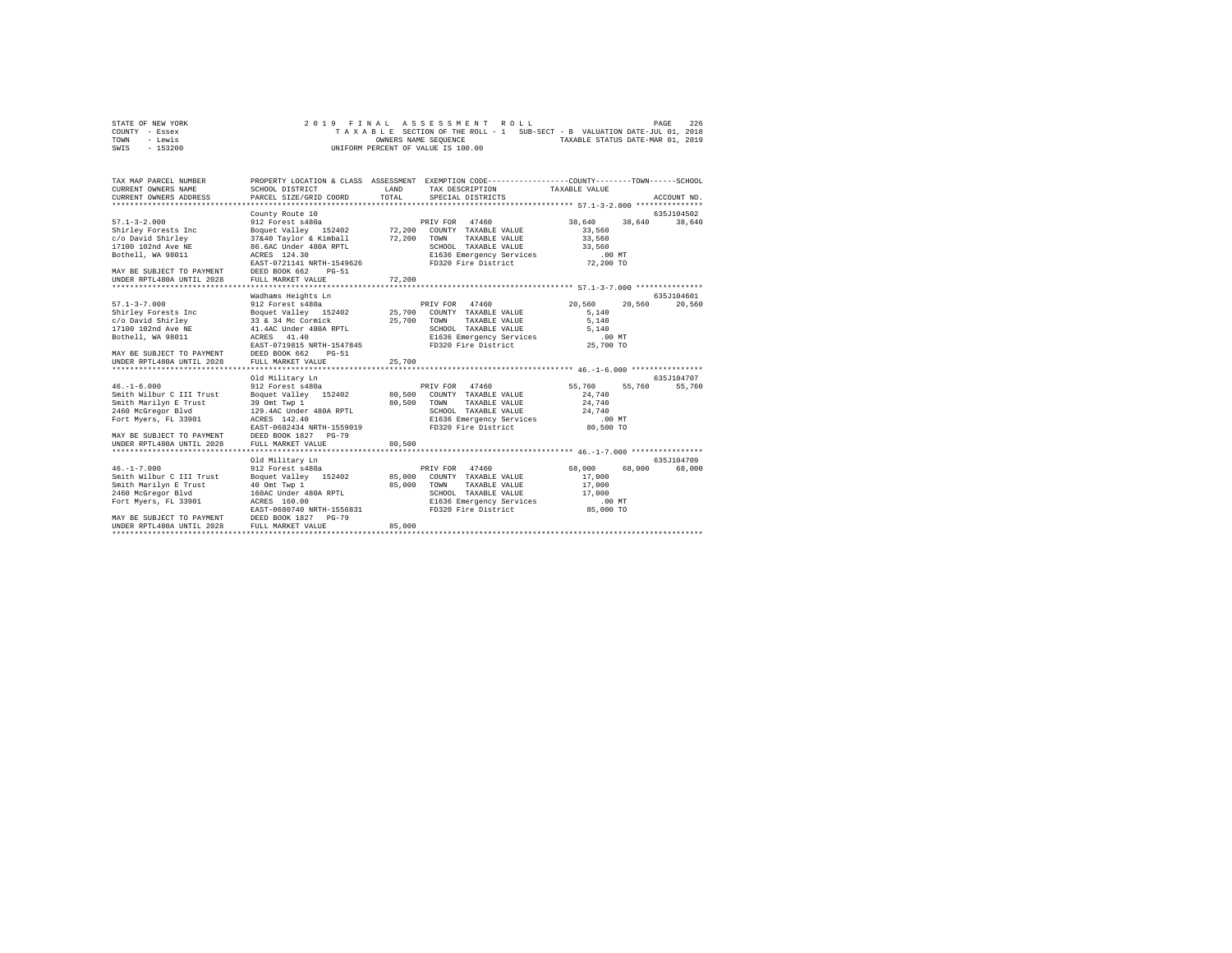| STATE OF NEW YORK | 2019 FINAL ASSESSMENT ROLL                                               | 226<br>PAGE                      |
|-------------------|--------------------------------------------------------------------------|----------------------------------|
| COUNTY - Essex    | TAXABLE SECTION OF THE ROLL - 1 SUB-SECT - B VALUATION DATE-JUL 01, 2018 |                                  |
| TOWN<br>- Lewis   | OWNERS NAME SEOUENCE                                                     | TAXABLE STATUS DATE-MAR 01, 2019 |
| - 153200<br>SWIS  | UNIFORM PERCENT OF VALUE IS 100.00                                       |                                  |

| TAX MAP PARCEL NUMBER<br>CURRENT OWNERS NAME<br>CURRENT OWNERS ADDRESS                                                                 | SCHOOL DISTRICT<br>PARCEL SIZE/GRID COORD                                                                                                                             | LAND<br>TOTAL    | PROPERTY LOCATION & CLASS ASSESSMENT EXEMPTION CODE----------------COUNTY-------TOWN------SCHOOL<br>TAX DESCRIPTION<br>SPECIAL DISTRICTS      | TAXABLE VALUE                                                 | ACCOUNT NO.      |
|----------------------------------------------------------------------------------------------------------------------------------------|-----------------------------------------------------------------------------------------------------------------------------------------------------------------------|------------------|-----------------------------------------------------------------------------------------------------------------------------------------------|---------------------------------------------------------------|------------------|
|                                                                                                                                        | County Route 10                                                                                                                                                       |                  |                                                                                                                                               |                                                               | 635J104502       |
| $57.1 - 3 - 2.000$<br>Shirley Forests Inc<br>c/o David Shirley<br>17100 102nd Ave NE<br>Bothell, WA 98011<br>MAY BE SUBJECT TO PAYMENT | 912 Forest s480a<br>Boquet Valley 152402<br>37&40 Taylor & Kimball<br>86.6AC Under 480A RPTL<br>ACRES 124.30<br>EAST-0721141 NRTH-1549626<br>DEED BOOK 662<br>$PG-51$ | 72,200<br>72,200 | PRIV FOR 47460<br>COUNTY TAXABLE VALUE<br>TOWN<br>TAXABLE VALUE<br>SCHOOL TAXABLE VALUE<br>E1636 Emergency Services<br>FD320 Fire District    | 38,640<br>33,560<br>33,560<br>33,560<br>$.00$ MT<br>72,200 TO | 38,640<br>38,640 |
| UNDER RPTL480A UNTIL 2028                                                                                                              | FULL MARKET VALUE                                                                                                                                                     | 72,200           |                                                                                                                                               |                                                               |                  |
|                                                                                                                                        |                                                                                                                                                                       |                  |                                                                                                                                               |                                                               |                  |
|                                                                                                                                        | Wadhams Heights Ln                                                                                                                                                    |                  |                                                                                                                                               |                                                               | 635J104601       |
| $57.1 - 3 - 7.000$                                                                                                                     | 912 Forest s480a                                                                                                                                                      |                  | PRIV FOR 47460                                                                                                                                | 20.560                                                        | 20,560<br>20,560 |
| Shirley Forests Inc                                                                                                                    | Boquet Valley 152402                                                                                                                                                  | 25,700           | COUNTY TAXABLE VALUE                                                                                                                          | 5,140                                                         |                  |
| c/o David Shirley                                                                                                                      | 33 & 34 Mc Cormick                                                                                                                                                    | 25,700           | TOWN<br>TAXABLE VALUE                                                                                                                         | 5,140                                                         |                  |
| 17100 102nd Ave NE                                                                                                                     | 41.4AC Under 480A RPTL                                                                                                                                                |                  | SCHOOL TAXABLE VALUE                                                                                                                          | 5,140                                                         |                  |
| Bothell, WA 98011                                                                                                                      | ACRES 41.40                                                                                                                                                           |                  | E1636 Emergency Services                                                                                                                      | $.00$ MT                                                      |                  |
|                                                                                                                                        | EAST-0719815 NRTH-1547845                                                                                                                                             |                  | FD320 Fire District                                                                                                                           | 25,700 TO                                                     |                  |
| MAY BE SUBJECT TO PAYMENT                                                                                                              | DEED BOOK 662<br>PG-51                                                                                                                                                |                  |                                                                                                                                               |                                                               |                  |
| UNDER RPTL480A UNTIL 2028                                                                                                              | FULL MARKET VALUE                                                                                                                                                     | 25,700           |                                                                                                                                               |                                                               |                  |
|                                                                                                                                        | Old Military Ln                                                                                                                                                       |                  |                                                                                                                                               |                                                               | 635J104707       |
| $46. -1 - 6.000$                                                                                                                       | 912 Forest s480a                                                                                                                                                      |                  | PRIV FOR 47460                                                                                                                                | 55,760                                                        | 55,760<br>55,760 |
| Smith Wilbur C III Trust                                                                                                               | Boquet Valley 152402                                                                                                                                                  | 80,500           | COUNTY TAXABLE VALUE                                                                                                                          | 24,740                                                        |                  |
| Smith Marilyn E Trust                                                                                                                  | 39 Omt Twp 1                                                                                                                                                          | 80,500           | TAXABLE VALUE<br>TOWN                                                                                                                         | 24,740                                                        |                  |
| 2460 McGregor Blvd                                                                                                                     | 129.4AC Under 480A RPTL                                                                                                                                               |                  | SCHOOL TAXABLE VALUE                                                                                                                          | 24,740                                                        |                  |
| Fort Myers, FL 33901                                                                                                                   | ACRES 142.40                                                                                                                                                          |                  | E1636 Emergency Services                                                                                                                      | $.00$ MT                                                      |                  |
|                                                                                                                                        | EAST-0682434 NRTH-1559019                                                                                                                                             |                  | FD320 Fire District                                                                                                                           | 80,500 TO                                                     |                  |
| MAY BE SUBJECT TO PAYMENT                                                                                                              | DEED BOOK 1827 PG-79                                                                                                                                                  |                  |                                                                                                                                               |                                                               |                  |
| UNDER RPTL480A UNTIL 2028                                                                                                              | FULL MARKET VALUE                                                                                                                                                     | 80,500           |                                                                                                                                               |                                                               |                  |
| *************************                                                                                                              | ***************************                                                                                                                                           |                  |                                                                                                                                               |                                                               |                  |
|                                                                                                                                        | Old Military Ln                                                                                                                                                       |                  |                                                                                                                                               |                                                               | 635.T104709      |
| $46. -1 - 7.000$<br>Smith Wilbur C III Trust<br>Smith Marilyn E Trust<br>2460 McGregor Blvd<br>Fort Myers, FL 33901                    | 912 Forest s480a<br>Boquet Valley 152402<br>40 Omt Twp 1<br>160AC Under 480A RPTL<br>ACRES 160.00<br>EAST-0680740 NRTH-1556831                                        | 85,000<br>85,000 | 47460<br>PRIV FOR<br>COUNTY TAXABLE VALUE<br>TOWN<br>TAXABLE VALUE<br>SCHOOL TAXABLE VALUE<br>E1636 Emergency Services<br>FD320 Fire District | 68,000<br>17,000<br>17,000<br>17,000<br>$.00$ MT<br>85,000 TO | 68,000<br>68,000 |
| MAY BE SUBJECT TO PAYMENT<br>UNDER RPTL480A UNTIL 2028                                                                                 | DEED BOOK 1827 PG-79<br>FULL MARKET VALUE                                                                                                                             | 85,000           |                                                                                                                                               |                                                               |                  |
|                                                                                                                                        |                                                                                                                                                                       |                  |                                                                                                                                               |                                                               |                  |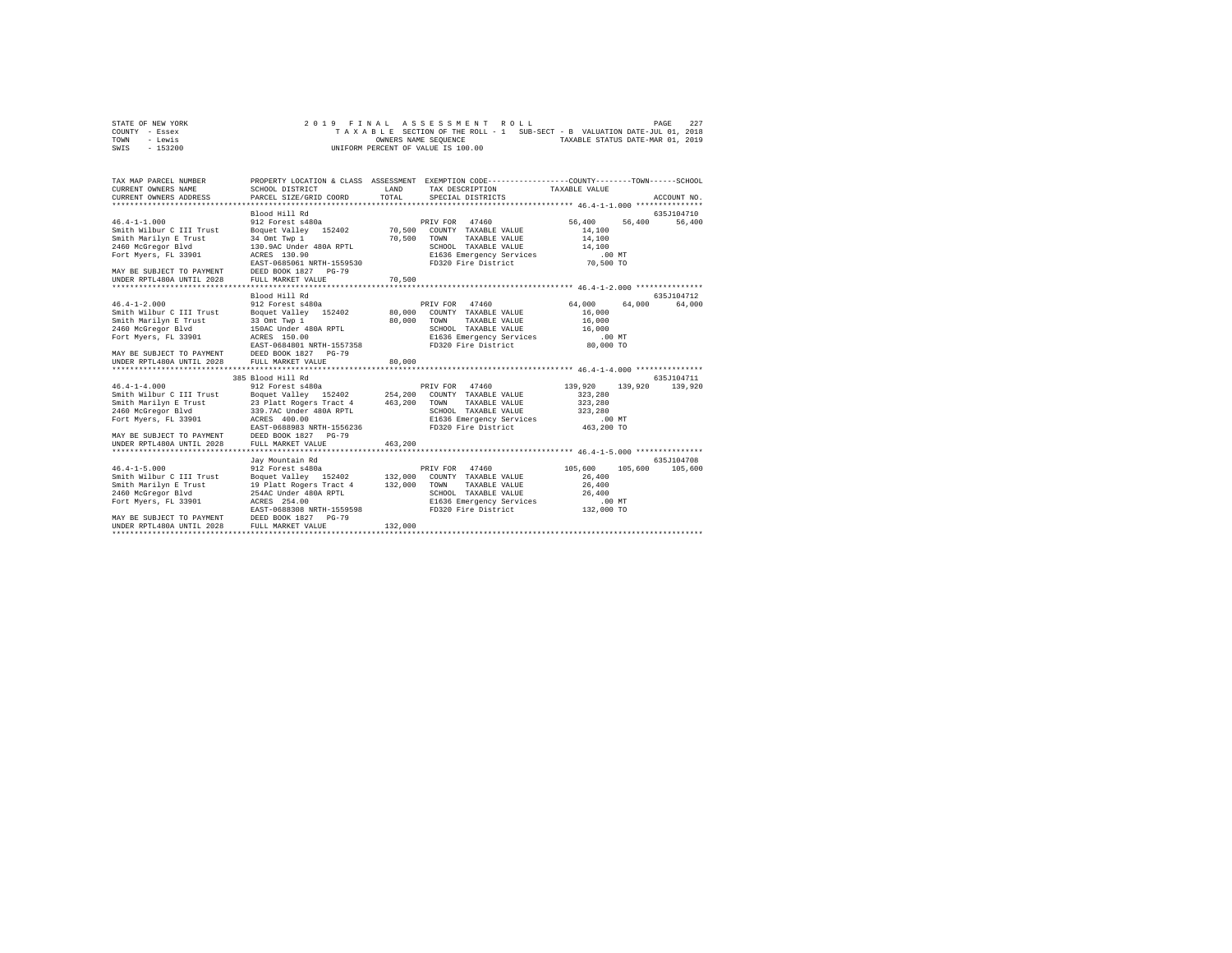| STATE OF NEW YORK | 2019 FINAL ASSESSMENT ROLL                                               | 227<br>PAGE                      |
|-------------------|--------------------------------------------------------------------------|----------------------------------|
| COUNTY - Essex    | TAXABLE SECTION OF THE ROLL - 1 SUB-SECT - B VALUATION DATE-JUL 01, 2018 |                                  |
| TOWN<br>- Lewis   | OWNERS NAME SEOUENCE                                                     | TAXABLE STATUS DATE-MAR 01, 2019 |
| - 153200<br>SWIS  | UNIFORM PERCENT OF VALUE IS 100.00                                       |                                  |

| TAX MAP PARCEL NUMBER<br>CURRENT OWNERS NAME<br>CURRENT OWNERS ADDRESS | SCHOOL DISTRICT<br>PARCEL SIZE/GRID COORD                  | LAND<br>TOTAL | PROPERTY LOCATION & CLASS ASSESSMENT EXEMPTION CODE----------------COUNTY-------TOWN------SCHOOL<br>TAX DESCRIPTION TAXABLE VALUE<br>SPECIAL DISTRICTS |                            | ACCOUNT NO. |
|------------------------------------------------------------------------|------------------------------------------------------------|---------------|--------------------------------------------------------------------------------------------------------------------------------------------------------|----------------------------|-------------|
|                                                                        | Blood Hill Rd                                              |               |                                                                                                                                                        |                            | 635J104710  |
| $46.4 - 1 - 1.000$<br>Smith Wilbur C III Trust                         | 912 Forest s480a<br>Boquet Valley 152402                   |               | PRIV FOR 47460<br>70.500 COUNTY TAXABLE VALUE                                                                                                          | 56,400<br>56,400<br>14,100 | 56,400      |
| Smith Marilyn E Trust                                                  | 34 Omt Twp 1                                               | 70,500        | TOWN<br>TAXABLE VALUE                                                                                                                                  | 14,100                     |             |
| 2460 McGregor Blvd                                                     | 130.9AC Under 480A RPTL                                    |               | SCHOOL TAXABLE VALUE                                                                                                                                   | 14,100                     |             |
| Fort Myers, FL 33901                                                   | ACRES 130.90                                               |               | E1636 Emergency Services                                                                                                                               | $.00$ MT                   |             |
|                                                                        | EAST-0685061 NRTH-1559530                                  |               | FD320 Fire District                                                                                                                                    | 70,500 TO                  |             |
| MAY BE SUBJECT TO PAYMENT<br>UNDER RPTL480A UNTIL 2028                 | DEED BOOK 1827 PG-79<br>FULL MARKET VALUE                  | 70,500        |                                                                                                                                                        |                            |             |
|                                                                        |                                                            |               |                                                                                                                                                        |                            |             |
|                                                                        | Blood Hill Rd                                              |               |                                                                                                                                                        |                            | 635.7104712 |
| $46.4 - 1 - 2.000$                                                     | 912 Forest s480a                                           |               | PRIV FOR 47460                                                                                                                                         | 64,000<br>64,000           | 64,000      |
| Smith Wilbur C III Trust                                               | Boquet Valley 152402 80,000                                |               | COUNTY TAXABLE VALUE                                                                                                                                   | 16,000                     |             |
| Smith Marilyn E Trust                                                  | 33 Omt Twp 1                                               | 80,000        | TOWN<br>TAXABLE VALUE                                                                                                                                  | 16,000                     |             |
| 2460 McGregor Blvd                                                     | 150AC Under 480A RPTL                                      |               | SCHOOL TAXABLE VALUE                                                                                                                                   | 16,000                     |             |
| Fort Myers, FL 33901                                                   | ACRES 150.00                                               |               | E1636 Emergency Services                                                                                                                               | .00 MT                     |             |
|                                                                        | EAST-0684801 NRTH-1557358                                  |               | FD320 Fire District                                                                                                                                    | 80,000 TO                  |             |
| MAY BE SUBJECT TO PAYMENT                                              |                                                            |               |                                                                                                                                                        |                            |             |
| UNDER RPTL480A UNTIL 2028                                              | DEED BOOK 1827 PG-79<br>FULL MARKET VALUE                  | 80,000        |                                                                                                                                                        |                            |             |
|                                                                        | ****************************                               |               | ********************************* 46.4-1-4.000 *****************                                                                                       |                            |             |
|                                                                        | 385 Blood Hill Rd                                          |               |                                                                                                                                                        |                            | 635J104711  |
| $46.4 - 1 - 4.000$                                                     | 912 Forest s480a                                           |               | PRIV FOR 47460                                                                                                                                         | 139,920<br>139,920         | 139,920     |
|                                                                        | Smith Wilbur C III Trust Boquet Valley 152402 254,200      |               | COUNTY TAXABLE VALUE                                                                                                                                   | 323,280                    |             |
| Smith Marilyn E Trust                                                  |                                                            |               | TOWN<br>TAXABLE VALUE                                                                                                                                  | 323,280                    |             |
| 2460 McGregor Blvd                                                     | 23 Platt Rogers Tract 4 463,200<br>339.7AC Under 480A RPTL |               | SCHOOL TAXABLE VALUE                                                                                                                                   | 323,280                    |             |
| Fort Myers, FL 33901                                                   | ACRES 400.00                                               |               | E1636 Emergency Services                                                                                                                               | $.00$ MT                   |             |
|                                                                        | EAST-0688983 NRTH-1556236                                  |               | FD320 Fire District                                                                                                                                    | 463,200 TO                 |             |
| MAY BE SUBJECT TO PAYMENT                                              | DEED BOOK 1827 PG-79                                       |               |                                                                                                                                                        |                            |             |
| UNDER RPTL480A UNTIL 2028                                              | FULL MARKET VALUE                                          | 463,200       |                                                                                                                                                        |                            |             |
| *************************                                              | ********************************                           |               |                                                                                                                                                        |                            |             |
|                                                                        | Jav Mountain Rd                                            |               |                                                                                                                                                        |                            | 635J104708  |
| $46.4 - 1 - 5.000$                                                     | 912 Forest s480a                                           |               | PRIV FOR 47460                                                                                                                                         | 105,600<br>105,600         | 105,600     |
| Smith Wilbur C III Trust                                               | Boquet Valley 152402 132,000 COUNTY TAXABLE VALUE          |               |                                                                                                                                                        | 26,400                     |             |
| Smith Marilyn E Trust                                                  | 19 Platt Rogers Tract 4 132,000 TOWN                       |               | TAXABLE VALUE                                                                                                                                          | 26,400                     |             |
| 2460 McGregor Blvd                                                     | 254AC Under 480A RPTL                                      |               | SCHOOL TAXABLE VALUE                                                                                                                                   | 26,400                     |             |
| Fort Myers, FL 33901                                                   | ACRES 254.00                                               |               | E1636 Emergency Services                                                                                                                               | .00MT                      |             |
|                                                                        | EAST-0688308 NRTH-1559598                                  |               | FD320 Fire District                                                                                                                                    | 132,000 TO                 |             |
| MAY BE SUBJECT TO PAYMENT                                              | DEED BOOK 1827 PG-79                                       |               |                                                                                                                                                        |                            |             |
| UNDER RPTL480A UNTIL 2028                                              | FULL MARKET VALUE                                          | 132,000       |                                                                                                                                                        |                            |             |
|                                                                        |                                                            |               |                                                                                                                                                        |                            |             |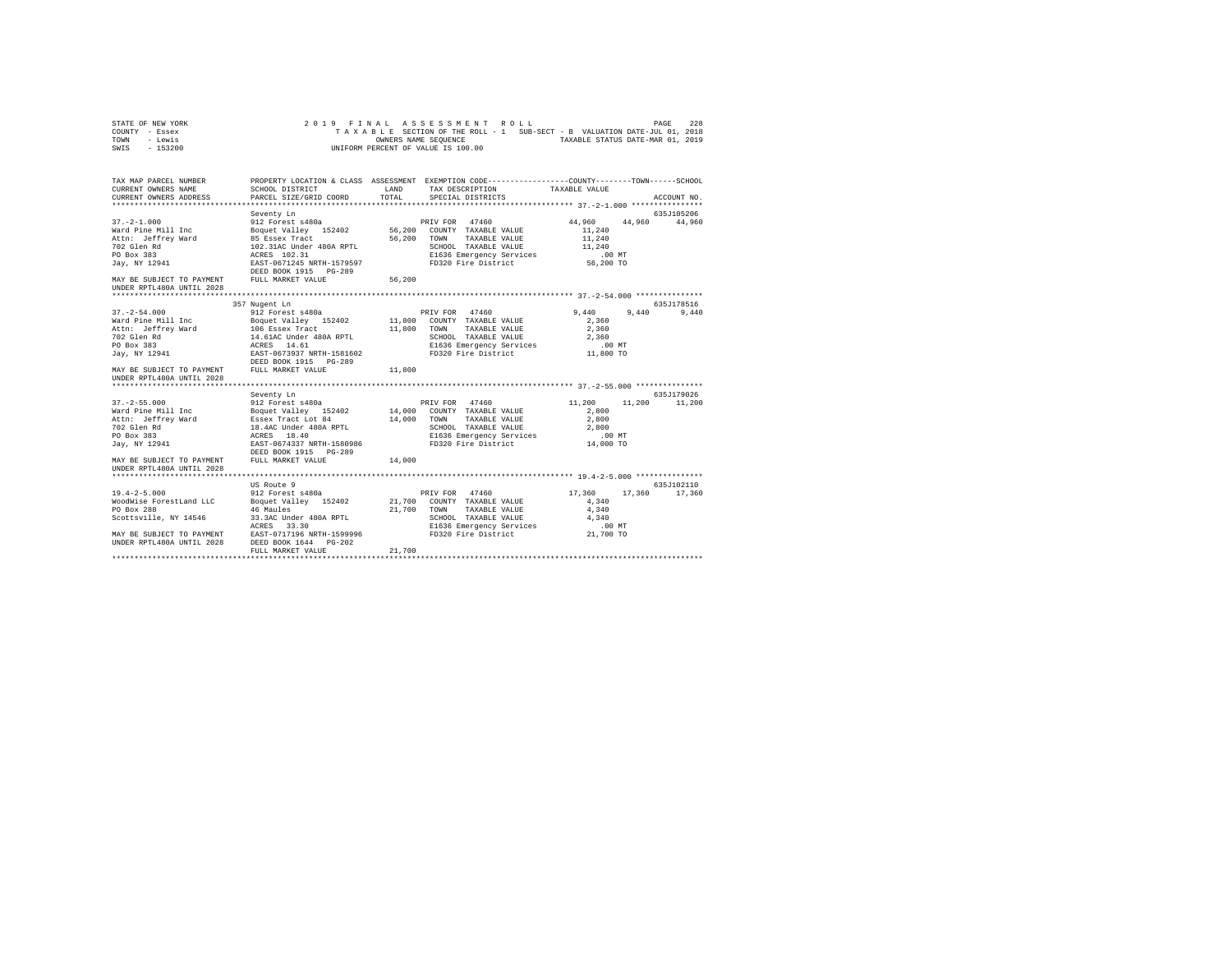| STATE OF NEW YORK | 2019 FINAL ASSESSMENT ROLL         | 228<br>PAGE                                                              |
|-------------------|------------------------------------|--------------------------------------------------------------------------|
| COUNTY - Essex    |                                    | TAXABLE SECTION OF THE ROLL - 1 SUB-SECT - B VALUATION DATE-JUL 01, 2018 |
| TOWN<br>- Lewis   | OWNERS NAME SEOUENCE               | TAXABLE STATUS DATE-MAR 01, 2019                                         |
| - 153200<br>SWIS  | UNIFORM PERCENT OF VALUE IS 100.00 |                                                                          |

| UNDER RPTL480A UNTIL 2028                                                                                                                                                                                                                |                                                             |  |                            |            |
|------------------------------------------------------------------------------------------------------------------------------------------------------------------------------------------------------------------------------------------|-------------------------------------------------------------|--|----------------------------|------------|
|                                                                                                                                                                                                                                          |                                                             |  |                            |            |
|                                                                                                                                                                                                                                          | 357 Nugent Ln                                               |  |                            | 635J178516 |
|                                                                                                                                                                                                                                          |                                                             |  |                            |            |
|                                                                                                                                                                                                                                          |                                                             |  |                            | 9,440      |
|                                                                                                                                                                                                                                          |                                                             |  |                            |            |
|                                                                                                                                                                                                                                          |                                                             |  |                            |            |
|                                                                                                                                                                                                                                          |                                                             |  |                            |            |
|                                                                                                                                                                                                                                          |                                                             |  |                            |            |
|                                                                                                                                                                                                                                          |                                                             |  |                            |            |
|                                                                                                                                                                                                                                          |                                                             |  |                            |            |
|                                                                                                                                                                                                                                          |                                                             |  |                            |            |
| UNDER RPTL480A UNTIL 2028                                                                                                                                                                                                                |                                                             |  |                            |            |
|                                                                                                                                                                                                                                          |                                                             |  |                            |            |
|                                                                                                                                                                                                                                          |                                                             |  |                            |            |
|                                                                                                                                                                                                                                          | Seventy Ln                                                  |  |                            | 635J179026 |
|                                                                                                                                                                                                                                          |                                                             |  | $11,200$ $11,200$ $11,200$ |            |
| 37.-2-55.000 11,200<br>Ward Pine Mill Inc     Boquet Valley 152402 14,000 COUNTY TAXABLE VALUE                                     2,800                                                                                                 |                                                             |  |                            |            |
|                                                                                                                                                                                                                                          |                                                             |  |                            |            |
|                                                                                                                                                                                                                                          |                                                             |  |                            |            |
|                                                                                                                                                                                                                                          |                                                             |  |                            |            |
|                                                                                                                                                                                                                                          |                                                             |  |                            |            |
| Alth: Jeffrey Ward Basex Tract Lot 84<br>Math: Jeffrey Ward Basex Tract Lot 84<br>14,000 TOWN TAXABLE VALUE 2,800<br>702 GIen Rd 14,000 APTL 2600 SOCHOLD TAXABLE VALUE 2,800<br>70 Box 38<br>2,800 Math: Jeffrey Ward Basex Tract Lot 8 |                                                             |  |                            |            |
|                                                                                                                                                                                                                                          |                                                             |  |                            |            |
| MAY BE SUBJECT TO PAYMENT FULL MARKET VALUE $14,000$                                                                                                                                                                                     |                                                             |  |                            |            |
| UNDER RPTL480A UNTIL 2028                                                                                                                                                                                                                |                                                             |  |                            |            |
|                                                                                                                                                                                                                                          |                                                             |  |                            |            |
|                                                                                                                                                                                                                                          | US Route 9                                                  |  |                            | 635J102110 |
| $19.4 - 2 - 5.000$                                                                                                                                                                                                                       | 912 Forest s480a <b>PRIV FOR</b> 47460 17,360 17,360 17,360 |  |                            |            |
|                                                                                                                                                                                                                                          |                                                             |  | 4,340                      |            |
|                                                                                                                                                                                                                                          |                                                             |  | 4,340                      |            |
|                                                                                                                                                                                                                                          |                                                             |  |                            |            |
|                                                                                                                                                                                                                                          |                                                             |  |                            |            |
|                                                                                                                                                                                                                                          |                                                             |  |                            |            |
| COLLECTIVE CONTRAINING AND MANUSCRIPT AND MANUSCRIPT AND MANUSCRIPT AND MANUSCRIPT AND MANUSCRIPT AND MANUSCRIPT AND MANUSCRIPT AND MANUSCRIPT AND MANUSCRIPT AND MANUSCRIPT OF PAYMENT AND MANUSCRIPT AND MANUSCRIPT AND MANU           |                                                             |  |                            |            |
|                                                                                                                                                                                                                                          |                                                             |  |                            |            |
|                                                                                                                                                                                                                                          |                                                             |  |                            |            |
|                                                                                                                                                                                                                                          |                                                             |  |                            |            |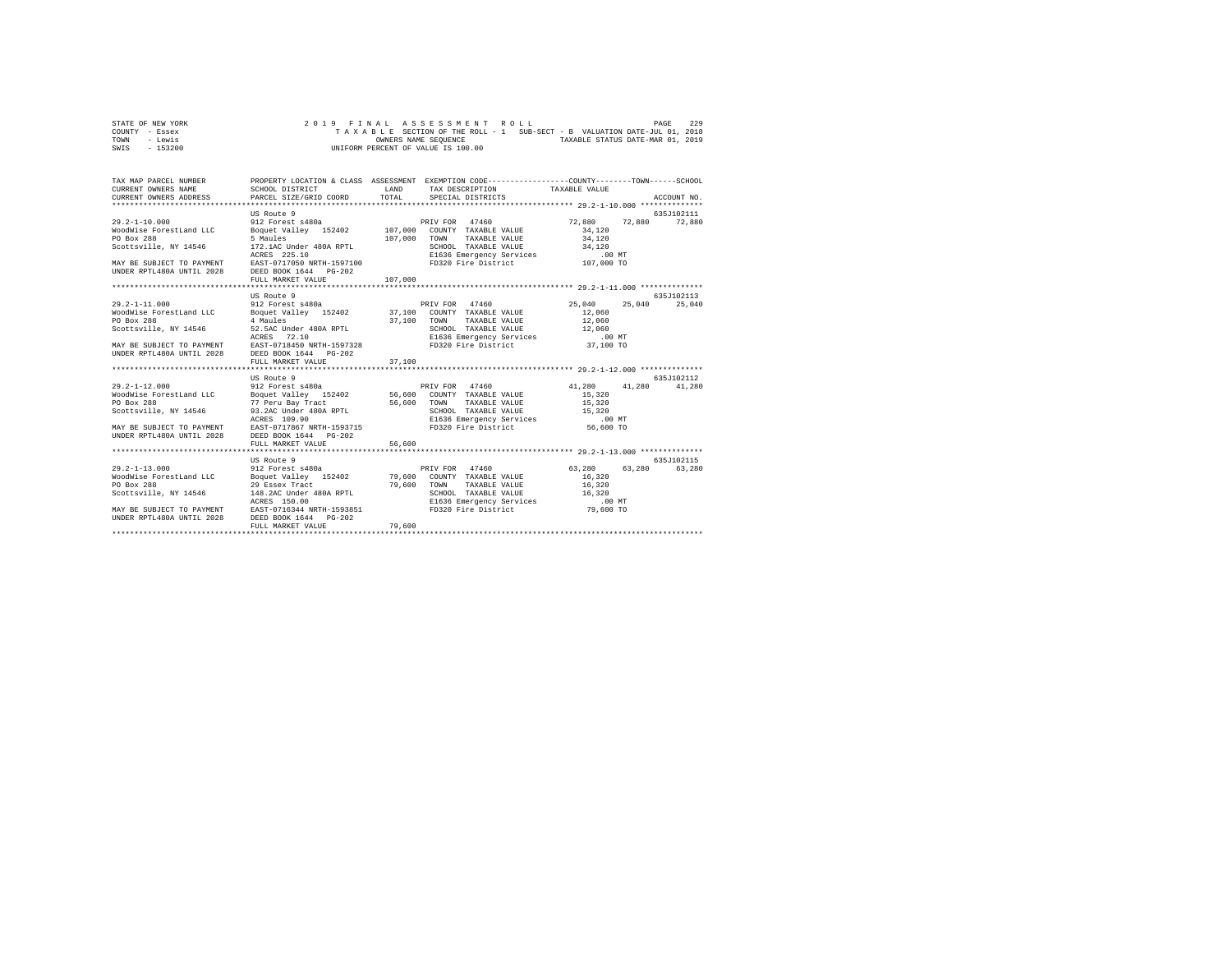| STATE OF NEW YORK |  |  | 2019 FINAL ASSESSMENT ROLL         |  |  |  |                                                                          | PAGE | 229 |
|-------------------|--|--|------------------------------------|--|--|--|--------------------------------------------------------------------------|------|-----|
| COUNTY - Essex    |  |  |                                    |  |  |  | TAXABLE SECTION OF THE ROLL - 1 SUB-SECT - B VALUATION DATE-JUL 01, 2018 |      |     |
| TOWN<br>- Lewis   |  |  | OWNERS NAME SEOUENCE               |  |  |  | TAXABLE STATUS DATE-MAR 01, 2019                                         |      |     |
| $-153200$<br>SWIS |  |  | UNIFORM PERCENT OF VALUE IS 100.00 |  |  |  |                                                                          |      |     |

| TAX MAP PARCEL NUMBER<br>CURRENT OWNERS NAME<br>CURRENT OWNERS ADDRESS PARCEL SIZE/GRID COORD                                                | SCHOOL DISTRICT                                                                                 | LAND<br>TOTAL | PROPERTY LOCATION & CLASS ASSESSMENT EXEMPTION CODE----------------COUNTY-------TOWN------SCHOOL<br>TAX DESCRIPTION TAXABLE VALUE<br>SPECIAL DISTRICTS |                                                                | ACCOUNT NO.   |
|----------------------------------------------------------------------------------------------------------------------------------------------|-------------------------------------------------------------------------------------------------|---------------|--------------------------------------------------------------------------------------------------------------------------------------------------------|----------------------------------------------------------------|---------------|
|                                                                                                                                              | US Route 9                                                                                      |               |                                                                                                                                                        |                                                                | 635J102111    |
| $29.2 - 1 - 10.000$<br>WoodWise ForestLand LLC<br>PO Box 288<br>Scottsville, NY 14546<br>MAY BE SUBJECT TO PAYMENT EAST-0717050 NRTH-1597100 | 912 Forest s480a<br>Boquet Valley 152402<br>5 Maules<br>172.1AC Under 480A RPTL<br>ACRES 225.10 | 107,000       | PRIV FOR 47460<br>107,000 COUNTY TAXABLE VALUE<br>TOWN<br>TAXABLE VALUE<br>SCHOOL TAXABLE VALUE<br>E1636 Emergency Services<br>FD320 Fire District     | 72.880<br>34,120<br>34,120<br>34,120<br>$.00$ MT<br>107,000 TO | 72.880 72.880 |
| UNDER RPTL480A UNTIL 2028                                                                                                                    | DEED BOOK 1644 PG-202                                                                           |               |                                                                                                                                                        |                                                                |               |
|                                                                                                                                              | FULL MARKET VALUE                                                                               | 107,000       |                                                                                                                                                        |                                                                |               |
|                                                                                                                                              |                                                                                                 |               |                                                                                                                                                        |                                                                |               |
|                                                                                                                                              | US Route 9                                                                                      |               |                                                                                                                                                        |                                                                | 635.7102113   |
| $29.2 - 1 - 11.000$                                                                                                                          | 912 Forest s480a                                                                                |               | PRIV FOR 47460                                                                                                                                         | 25,040<br>25,040                                               | 25,040        |
| WoodWise ForestLand LLC                                                                                                                      | Boquet Valley 152402 37,100 COUNTY TAXABLE VALUE                                                |               |                                                                                                                                                        | 12,060                                                         |               |
| PO Box 288                                                                                                                                   | 4 Maules                                                                                        | 37,100        | TOWN<br>TAXABLE VALUE                                                                                                                                  | 12,060                                                         |               |
| Scottsville, NY 14546                                                                                                                        | 52.5AC Under 480A RPTL                                                                          |               | SCHOOL TAXABLE VALUE 12,060<br>E1636 Emergency Services .00 MT<br>FD320 Fire District 37,100 TO                                                        |                                                                |               |
|                                                                                                                                              | ACRES 72.10                                                                                     |               |                                                                                                                                                        |                                                                |               |
| MAY BE SUBJECT TO PAYMENT<br>UNDER RPTL480A UNTIL 2028                                                                                       | EAST-0718450 NRTH-1597328<br>DEED BOOK 1644 PG-202<br>FULL MARKET VALUE                         | 37,100        |                                                                                                                                                        |                                                                |               |
|                                                                                                                                              |                                                                                                 |               |                                                                                                                                                        |                                                                |               |
|                                                                                                                                              | US Route 9                                                                                      |               |                                                                                                                                                        |                                                                | 635J102112    |
| $29.2 - 1 - 12.000$                                                                                                                          | 912 Forest s480a                                                                                |               | PRIV FOR 47460                                                                                                                                         | 41,280<br>41,280                                               | 41,280        |
| WoodWise ForestLand LLC                                                                                                                      | Boquet Valley 152402 56,600 COUNTY TAXABLE VALUE                                                |               |                                                                                                                                                        | 15,320                                                         |               |
| PO Box 288                                                                                                                                   | 77 Peru Bay Tract                                                                               | $56\,,\,600$  | TAXABLE VALUE<br>TOWN                                                                                                                                  | 15,320                                                         |               |
| Scottsville, NY 14546                                                                                                                        | 93.2AC Under 480A RPTL                                                                          |               | SCHOOL TAXABLE VALUE                                                                                                                                   | 15,320                                                         |               |
|                                                                                                                                              |                                                                                                 |               | E1636 Emergency Services .00 MT                                                                                                                        |                                                                |               |
| MAY BE SUBJECT TO PAYMENT EAST-0717867 NRTH-1593715                                                                                          |                                                                                                 |               | FD320 Fire District                                                                                                                                    | 56,600 TO                                                      |               |
| UNDER RPTL480A UNTIL 2028                                                                                                                    | DEED BOOK 1644 PG-202                                                                           |               |                                                                                                                                                        |                                                                |               |
|                                                                                                                                              | FULL MARKET VALUE                                                                               | 56,600        |                                                                                                                                                        |                                                                |               |
|                                                                                                                                              | ************************                                                                        |               |                                                                                                                                                        |                                                                |               |
| $29.2 - 1 - 13.000$                                                                                                                          | US Route 9<br>912 Forest s480a                                                                  |               | PRIV FOR 47460                                                                                                                                         | 63,280<br>63,280                                               | 635.7102115   |
| WoodWise ForestLand LLC Boquet Valley 152402 79,600 COUNTY TAXABLE VALUE                                                                     |                                                                                                 |               |                                                                                                                                                        | 16,320                                                         | 63,280        |
| PO Box 288                                                                                                                                   | 29 Essex Tract                                                                                  |               | 79.600 TOWN<br>TAXABLE VALUE                                                                                                                           | 16,320                                                         |               |
| Scottsville, NY 14546                                                                                                                        | 148.2AC Under 480A RPTL                                                                         |               | SCHOOL TAXABLE VALUE                                                                                                                                   | 16,320                                                         |               |
|                                                                                                                                              | ACRES 150.00                                                                                    |               |                                                                                                                                                        | .00 MT                                                         |               |
| MAY BE SUBJECT TO PAYMENT EAST-0716344 NRTH-1593851                                                                                          |                                                                                                 |               | E1636 Emergency Services<br>FD320 Fire District                                                                                                        | 79,600 TO                                                      |               |
| UNDER RPTL480A UNTIL 2028                                                                                                                    | DEED BOOK 1644 PG-202<br>FULL MARKET VALUE                                                      | 79,600        |                                                                                                                                                        |                                                                |               |
|                                                                                                                                              |                                                                                                 |               |                                                                                                                                                        |                                                                |               |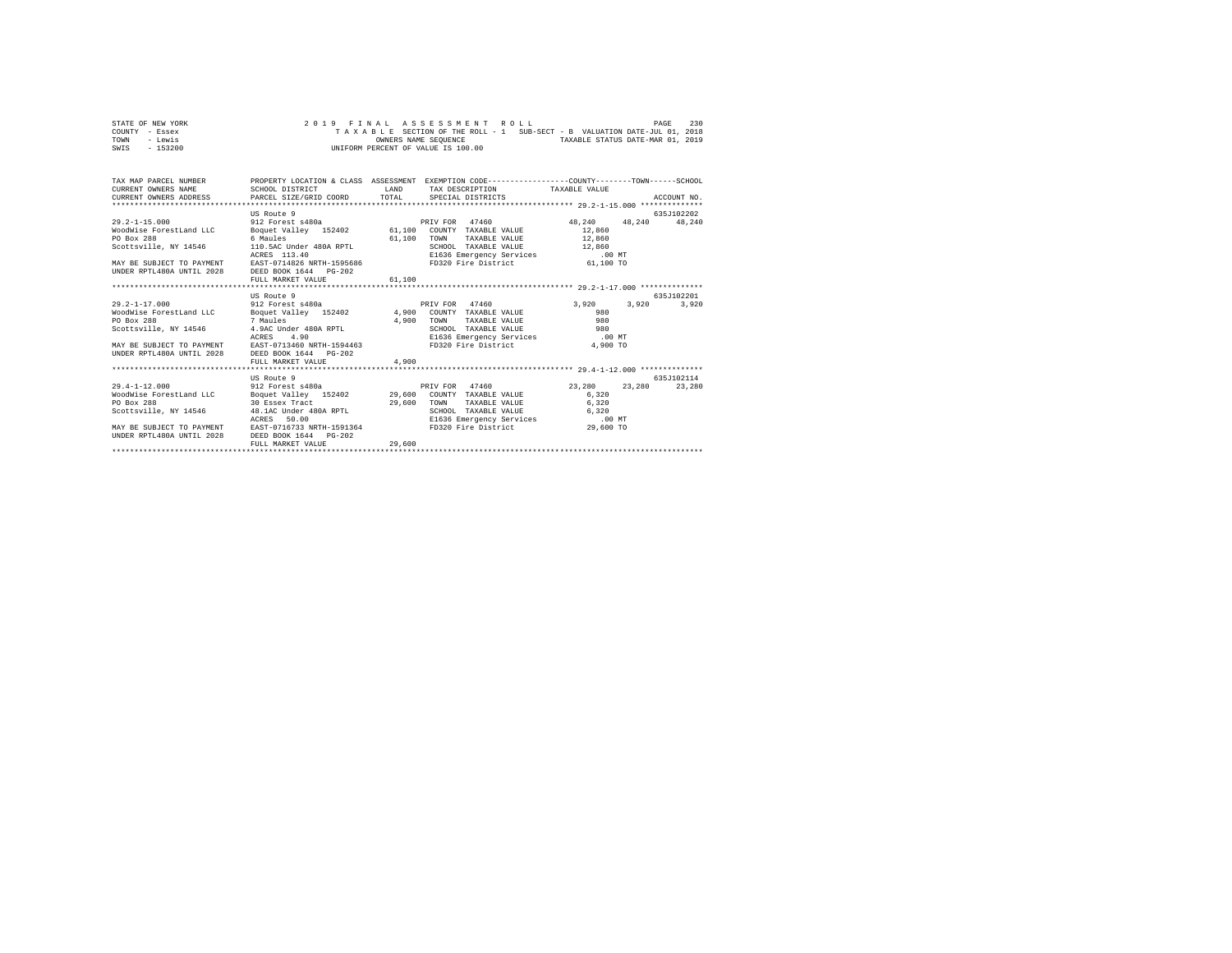| STATE OF NEW YORK | 2019 FINAL ASSESSMENT ROLL                                               | PAGE | 230 |
|-------------------|--------------------------------------------------------------------------|------|-----|
| COUNTY - Essex    | TAXABLE SECTION OF THE ROLL - 1 SUB-SECT - B VALUATION DATE-JUL 01, 2018 |      |     |
| TOWN<br>- Lewis   | TAXABLE STATUS DATE-MAR 01, 2019<br>OWNERS NAME SEOUENCE                 |      |     |
| - 153200<br>SWIS  | UNIFORM PERCENT OF VALUE IS 100.00                                       |      |     |

| TAX MAP PARCEL NUMBER PROPERTY LOCATION & CLASS ASSESSMENT EXEMPTION CODE--------------COUNTY-------TOWN------SCHOOL                                                                                                                                                                                                                                                                                        |                                             |                |                                                                                                                          |                    |                      |
|-------------------------------------------------------------------------------------------------------------------------------------------------------------------------------------------------------------------------------------------------------------------------------------------------------------------------------------------------------------------------------------------------------------|---------------------------------------------|----------------|--------------------------------------------------------------------------------------------------------------------------|--------------------|----------------------|
| 29.2-1-15.000 912 Forest s480a PRIV FOR 47460 48,240 48,240 48,240<br>WoodWise ForestLand LLC Boquet Valley 152402 61,100 COUNTY TAXABLE VALUE 12,860<br>PO Box 288<br>Scottsville, NY 14546 110.5AC Under 480A RPTL SCHOOL TAXABLE VALUE 12,860<br>MAY BE SUBJECT TO PAYMENT ACRES 113.40<br>MAY BE SUBJECT TO PAYMENT EAST-0714826 NRTH-1595686 E1636 Emergency Services .00 MT<br>UNDER RPTL480A UNTIL 2 | US Route 9<br>6 Maules                      | 61,100 TOWN    | TAXABLE VALUE 12,860                                                                                                     |                    | 635J102202           |
| 29.2-1-17.000 912 Forest s480a PRIV FOR 47460<br>WoodWise ForestLand LLC Boquet Valley 152402 4,900 COUNTY TAXABLE VALUE<br>PO Box 288<br>UNDER RPTL480A UNTIL 2028 DEED BOOK 1644 PG-202                                                                                                                                                                                                                   | US Route 9<br>7 Maules<br>FULL MARKET VALUE | 4,900<br>4,900 | TAXABLE VALUE 980<br>TOWN<br>SCHOOL TAXABLE VALUE 980<br>E1636 Emergency Services .00 MT<br>FD320 Fire District 4,900 TO | 3,920 3,920<br>980 | 635.7102201<br>3,920 |
| 29.4-1-12.000 312 Forest s480a PRIV FOR 47460 23.280 23.280 23.280 23.280<br>D.00 MT ACRES 50.00 E1636 Emergency Services .<br>MAY BE SUBJECT TO PAYMENT BAST-0716733 NRTH-1591364 FD320 Fire District 29,600 TO<br>UNDER RPTL480A UNTIL 2028 DEED BOOK 1644 PG-202                                                                                                                                         | US Route 9<br>FULL MARKET VALUE             | 29,600         | TAXABLE VALUE<br>SCHOOL TAXABLE VALUE 6,320<br>E1636 Emergency Services .00 MT                                           | 6.320<br>6,320     | 635.T102114          |
|                                                                                                                                                                                                                                                                                                                                                                                                             |                                             |                |                                                                                                                          |                    |                      |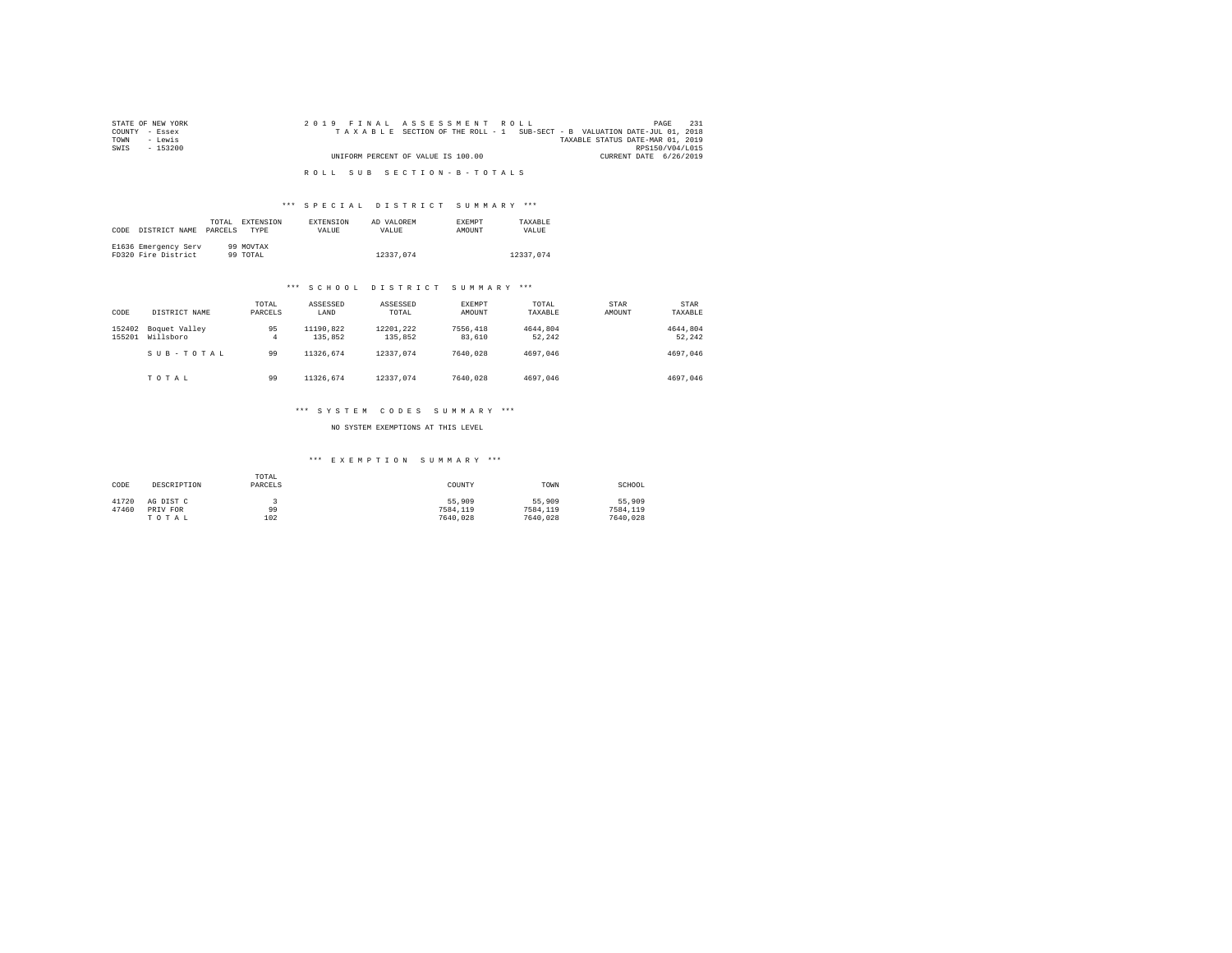| STATE OF NEW YORK | 2019 FINAL ASSESSMENT ROLL                                               | 231<br>PAGE     |
|-------------------|--------------------------------------------------------------------------|-----------------|
| COUNTY - Essex    | TAXABLE SECTION OF THE ROLL - 1 SUB-SECT - B VALUATION DATE-JUL 01, 2018 |                 |
| TOWN<br>siwe.T    | TAXABLE STATUS DATE-MAR 01, 2019                                         |                 |
| SWIS<br>$-153200$ |                                                                          | RPS150/V04/L015 |
|                   | UNIFORM PERCENT OF VALUE IS 100.00<br>CURRENT DATE 6/26/2019             |                 |
|                   |                                                                          |                 |
|                   | ROLL SUB SECTION-B-TOTALS                                                |                 |

| CODE | DISTRICT NAME                               | TOTAL.<br>PARCELS | EXTENSION<br><b>TYPE</b> | <b>EXTENSION</b><br><b>VALUE</b> | AD VALOREM<br>VALUE. | <b>EXEMPT</b><br>AMOUNT | TAXARLE<br>VALUE |
|------|---------------------------------------------|-------------------|--------------------------|----------------------------------|----------------------|-------------------------|------------------|
|      | E1636 Emergency Serv<br>FD320 Fire District |                   | 99 MOVTAX<br>99 TOTAL    |                                  | 12337.074            |                         | 12337.074        |

## \*\*\* S C H O O L D I S T R I C T S U M M A R Y \*\*\*

| CODE             | DISTRICT NAME              | TOTAL<br>PARCELS | ASSESSED<br>LAND     | ASSESSED<br>TOTAL    | <b>EXEMPT</b><br>AMOUNT | TOTAL<br>TAXABLE   | STAR<br>AMOUNT | STAR<br>TAXABLE    |
|------------------|----------------------------|------------------|----------------------|----------------------|-------------------------|--------------------|----------------|--------------------|
| 152402<br>155201 | Boquet Valley<br>Willsboro | 95<br>4          | 11190.822<br>135,852 | 12201.222<br>135,852 | 7556.418<br>83,610      | 4644.804<br>52.242 |                | 4644,804<br>52.242 |
|                  | SUB-TOTAL                  | 99               | 11326.674            | 12337.074            | 7640.028                | 4697.046           |                | 4697.046           |
|                  | TOTAL                      | 99               | 11326.674            | 12337.074            | 7640.028                | 4697.046           |                | 4697.046           |

#### \*\*\* S Y S T E M C O D E S S U M M A R Y \*\*\*

NO SYSTEM EXEMPTIONS AT THIS LEVEL

## \*\*\* E X E M P T I O N S U M M A R Y \*\*\*

| CODE  | DESCRIPTION | TOTAL<br>PARCELS | COUNTY   | TOWN     | SCHOOL   |
|-------|-------------|------------------|----------|----------|----------|
| 41720 | AG DIST C   |                  | 55,909   | 55,909   | 55,909   |
| 47460 | PRIV FOR    | 99               | 7584.119 | 7584.119 | 7584,119 |
|       | TOTAL       | 102              | 7640.028 | 7640.028 | 7640.028 |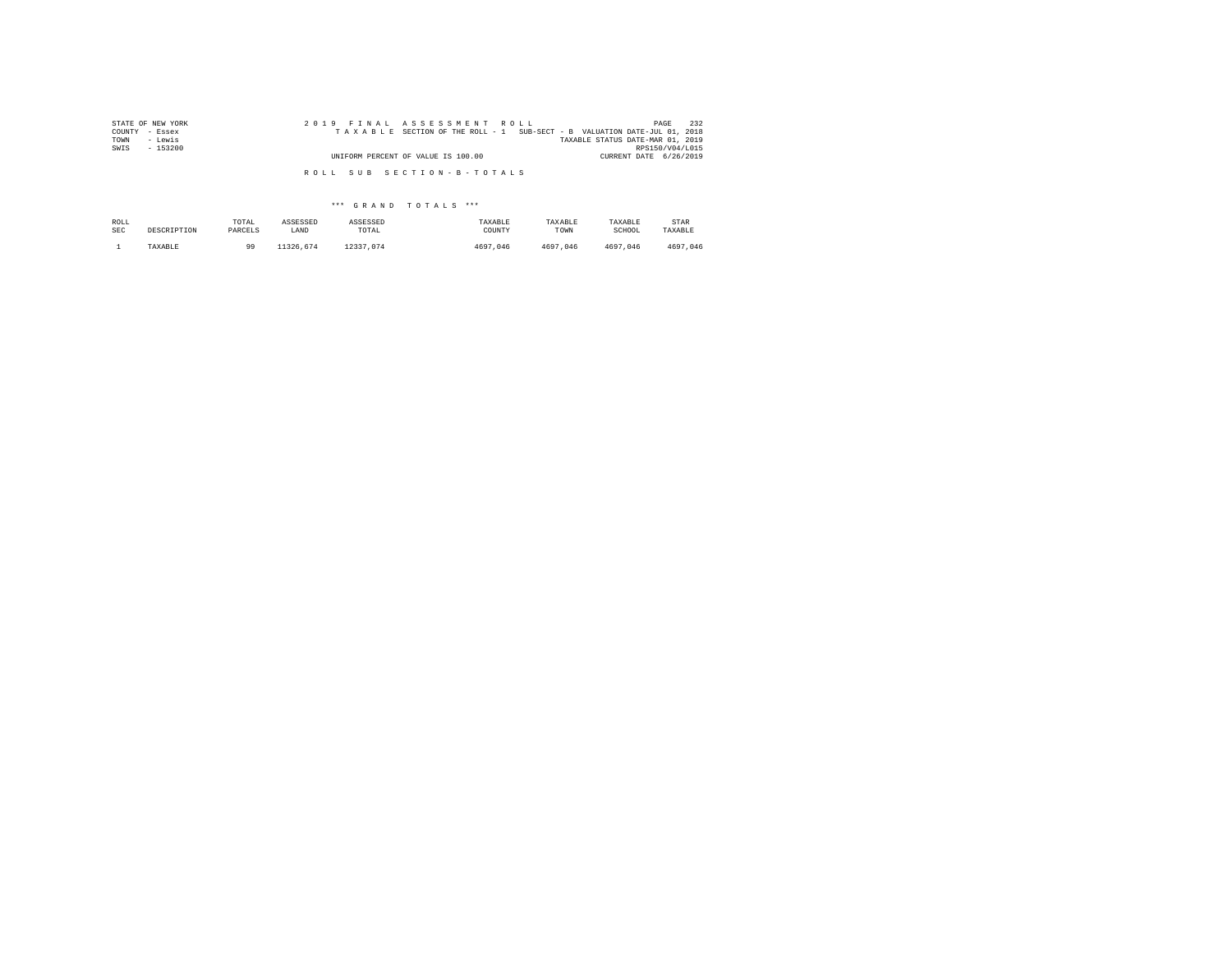| STATE OF NEW YORK | 2019 FINAL ASSESSMENT ROLL         | 232<br>PAGE                                                              |
|-------------------|------------------------------------|--------------------------------------------------------------------------|
| COUNTY - Essex    |                                    | TAXABLE SECTION OF THE ROLL - 1 SUB-SECT - B VALUATION DATE-JUL 01, 2018 |
| - Lewis<br>TOWN   |                                    | TAXABLE STATUS DATE-MAR 01, 2019                                         |
| SWIS<br>$-153200$ |                                    | RPS150/V04/L015                                                          |
|                   | UNIFORM PERCENT OF VALUE IS 100.00 | CURRENT DATE 6/26/2019                                                   |
|                   | ROLL SUB SECTION-B-TOTALS          |                                                                          |

| ROLL       | DESCRIPTION | TOTAL      | ASSESSED  | ASSESSED  | TAXABLE  | TAXABLE      | TAXABLE      | STAR         |
|------------|-------------|------------|-----------|-----------|----------|--------------|--------------|--------------|
| <b>SEC</b> |             | PARCELS    | LAND      | TOTAL     | COUNTY   | TOWN         | SCHOOL       | TAXABLE      |
|            | TAXABLE     | $^{\circ}$ | 11326.674 | 12337.074 | 4697.046 | 4697<br>.046 | 4697<br>.046 | 4697<br>.046 |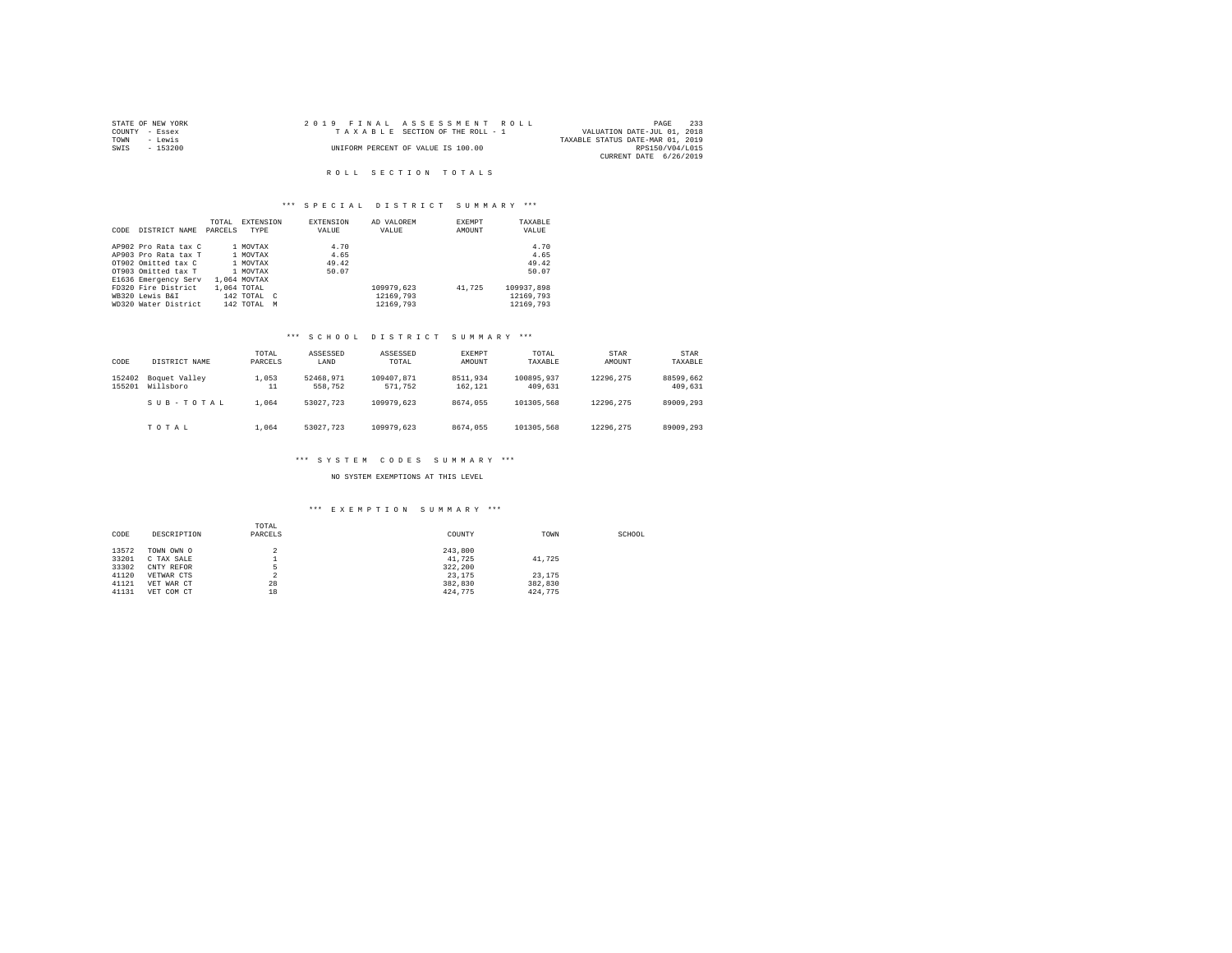|      | STATE OF NEW YORK | 2019 FINAL ASSESSMENT ROLL         |                                  | PAGE            | 233 |
|------|-------------------|------------------------------------|----------------------------------|-----------------|-----|
|      | COUNTY - Essex    | TAXABLE SECTION OF THE ROLL - 1    | VALUATION DATE-JUL 01, 2018      |                 |     |
| TOWN | - Lewis           |                                    | TAXABLE STATUS DATE-MAR 01, 2019 |                 |     |
| SWIS | - 153200          | UNIFORM PERCENT OF VALUE IS 100.00 |                                  | RPS150/V04/L015 |     |
|      |                   |                                    | CURRENT DATE 6/26/2019           |                 |     |

## R O L L S E C T I O N T O T A L S

## \*\*\* S P E C I A L D I S T R I C T S U M M A R Y \*\*\*

|      |                      | TOTAL   | <b>EXTENSION</b> | <b>EXTENSION</b> | AD VALOREM | EXEMPT | TAXABLE    |
|------|----------------------|---------|------------------|------------------|------------|--------|------------|
| CODE | DISTRICT NAME        | PARCELS | TYPE             | VALUE            | VALUE      | AMOUNT | VALUE      |
|      |                      |         |                  |                  |            |        |            |
|      | AP902 Pro Rata tax C |         | 1 MOVTAX         | 4.70             |            |        | 4.70       |
|      | AP903 Pro Rata tax T |         | 1 MOVTAX         | 4.65             |            |        | 4.65       |
|      | OT902 Omitted tax C  |         | 1 MOVTAX         | 49.42            |            |        | 49.42      |
|      | OT903 Omitted tax T  |         | 1 MOVTAX         | 50.07            |            |        | 50.07      |
|      | E1636 Emergency Serv |         | 1,064 MOVTAX     |                  |            |        |            |
|      | FD320 Fire District  |         | 1,064 TOTAL      |                  | 109979.623 | 41.725 | 109937.898 |
|      | WB320 Lewis B&I      |         | 142 TOTAL C      |                  | 12169.793  |        | 12169.793  |
|      | WD320 Water District |         | 142 TOTAL M      |                  | 12169.793  |        | 12169.793  |

## \*\*\* S C H O O L D I S T R I C T S U M M A R Y \*\*\*

| CODE             | DISTRICT NAME              | TOTAL<br>PARCELS | ASSESSED<br>LAND     | ASSESSED<br>TOTAL     | EXEMPT<br>AMOUNT    | TOTAL<br>TAXABLE      | STAR<br>AMOUNT | <b>STAR</b><br>TAXABLE |
|------------------|----------------------------|------------------|----------------------|-----------------------|---------------------|-----------------------|----------------|------------------------|
| 152402<br>155201 | Boquet Valley<br>Willsboro | 1,053<br>11      | 52468.971<br>558,752 | 109407.871<br>571.752 | 8511,934<br>162.121 | 100895.937<br>409,631 | 12296.275      | 88599.662<br>409,631   |
|                  | SUB-TOTAL                  | 1,064            | 53027.723            | 109979.623            | 8674.055            | 101305.568            | 12296.275      | 89009.293              |
|                  | TOTAL                      | 1,064            | 53027.723            | 109979.623            | 8674.055            | 101305.568            | 12296.275      | 89009,293              |

## \*\*\* S Y S T E M C O D E S S U M M A R Y \*\*\*

### NO SYSTEM EXEMPTIONS AT THIS LEVEL

#### \*\*\* E X E M P T I O N S U M M A R Y \*\*\*

|       |             | TOTAL   |         |         |        |
|-------|-------------|---------|---------|---------|--------|
| CODE  | DESCRIPTION | PARCELS | COUNTY  | TOWN    | SCHOOL |
|       |             |         |         |         |        |
| 13572 | TOWN OWN O  |         | 243,800 |         |        |
| 33201 | C TAX SALE  |         | 41.725  | 41.725  |        |
| 33302 | CNTY REFOR  |         | 322,200 |         |        |
| 41120 | VETWAR CTS  |         | 23, 175 | 23.175  |        |
| 41121 | VET WAR CT  | 28      | 382.830 | 382,830 |        |
| 41131 | VET COM CT  | 18      | 424.775 | 424.775 |        |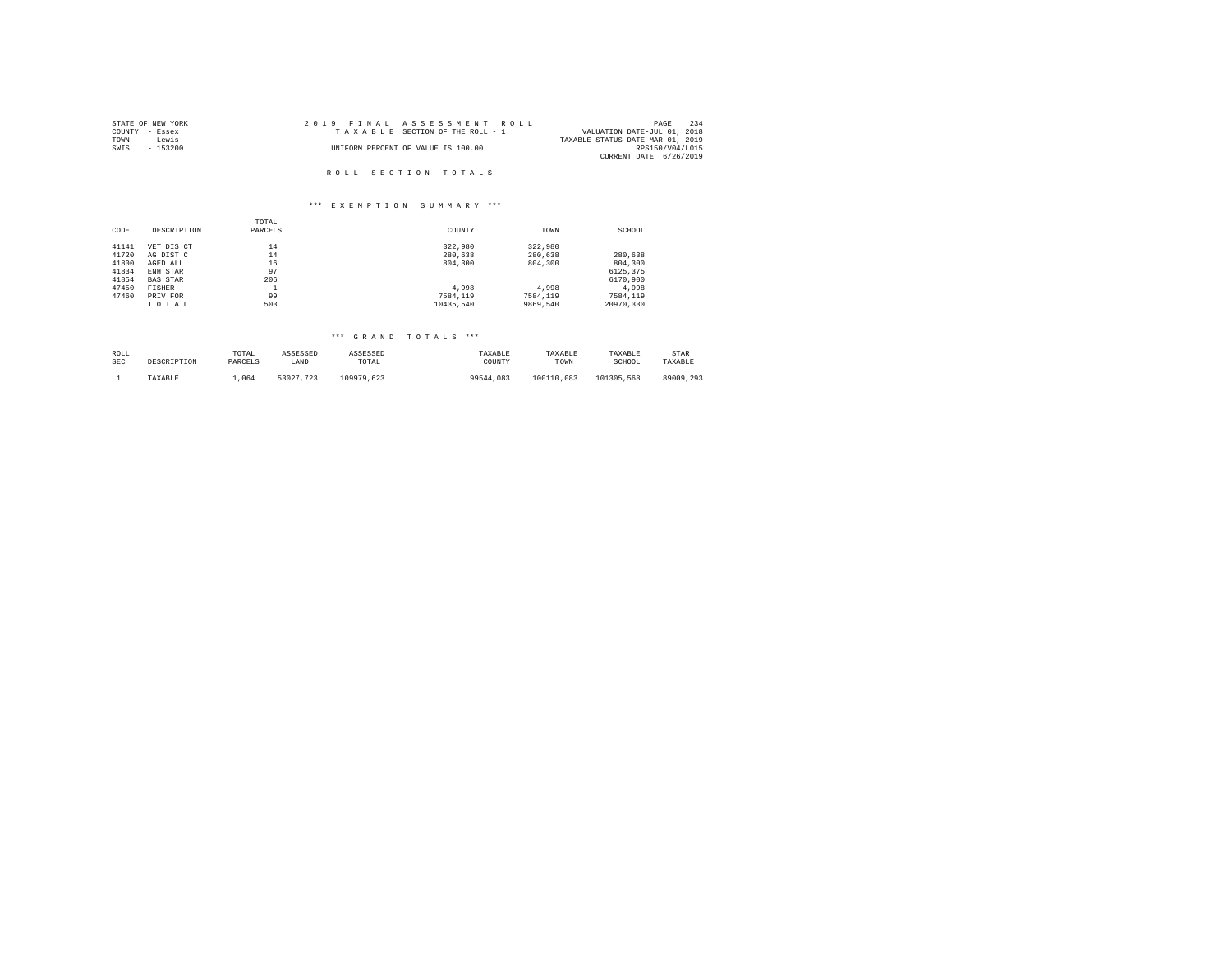| STATE OF NEW YORK | 2019 FINAL ASSESSMENT ROLL         | 234<br>PAGE                      |
|-------------------|------------------------------------|----------------------------------|
| COUNTY - Essex    | TAXABLE SECTION OF THE ROLL - 1    | VALUATION DATE-JUL 01, 2018      |
| TOWN<br>- Lewis   |                                    | TAXABLE STATUS DATE-MAR 01, 2019 |
| SWIS<br>$-153200$ | UNIFORM PERCENT OF VALUE IS 100.00 | RPS150/V04/L015                  |
|                   |                                    | CURRENT DATE 6/26/2019           |
|                   |                                    |                                  |
|                   | ROLL SECTION TOTALS                |                                  |

#### \*\*\* E X E M P T I O N S U M M A R Y \*\*\*

|       |                 | TOTAL   |           |          |           |  |
|-------|-----------------|---------|-----------|----------|-----------|--|
| CODE  | DESCRIPTION     | PARCELS | COUNTY    | TOWN     | SCHOOL    |  |
| 41141 | VET DIS CT      | 14      | 322,980   | 322,980  |           |  |
| 41720 | AG DIST C       | 14      | 280.638   | 280,638  | 280,638   |  |
| 41800 | AGED ALL        | 16      | 804,300   | 804,300  | 804,300   |  |
| 41834 | ENH STAR        | 97      |           |          | 6125.375  |  |
| 41854 | <b>BAS STAR</b> | 206     |           |          | 6170.900  |  |
| 47450 | FISHER          |         | 4.998     | 4,998    | 4.998     |  |
| 47460 | PRIV FOR        | 99      | 7584,119  | 7584.119 | 7584,119  |  |
|       | TOTAL           | 503     | 10435.540 | 9869,540 | 20970.330 |  |
|       |                 |         |           |          |           |  |

| ROLL | DESCRIPTION | TOTAL   | ASSESSED  | `SSESSED   | TAXABLE   | TAXABLE    | TAXABLE    | STAR      |
|------|-------------|---------|-----------|------------|-----------|------------|------------|-----------|
| SEC  |             | PARCELS | LAND      | TOTAL      | COUNTY    | TOWN       | SCHOOL     | TAXABLE   |
|      | TAXABLE     | .064    | 53027.723 | 109979.623 | 99544.083 | 100110.083 | 101305.568 | 89009.293 |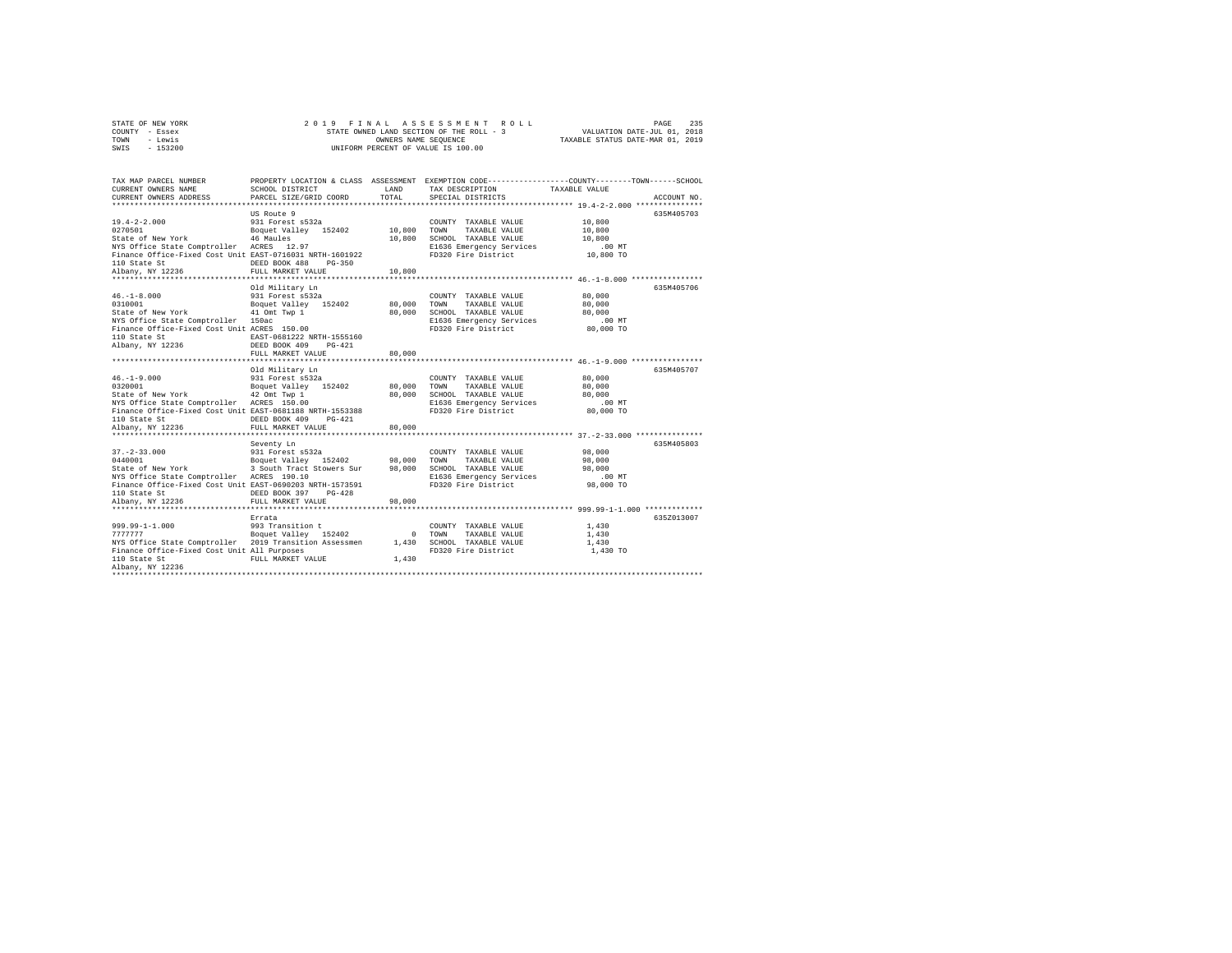| STATE OF NEW YORK | 2019 FINAL ASSESSMENT ROLL               | 235<br>PAGE                      |
|-------------------|------------------------------------------|----------------------------------|
| COUNTY - Essex    | STATE OWNED LAND SECTION OF THE ROLL - 3 | VALUATION DATE-JUL 01, 2018      |
| TOWN<br>- Lewis   | OWNERS NAME SEOUENCE                     | TAXABLE STATUS DATE-MAR 01, 2019 |
| $-153200$<br>SWIS | UNIFORM PERCENT OF VALUE IS 100.00       |                                  |

| TAX MAP PARCEL NUMBER<br>CURRENT OWNERS NAME<br>CURRENT OWNERS ADDRESS                                                                                                                                                     | SCHOOL DISTRICT<br>PARCEL SIZE/GRID COORD                                                                                                                  | LAND<br>TOTAL                              | TAX DESCRIPTION<br>SPECIAL DISTRICTS                                                                                     | PROPERTY LOCATION & CLASS ASSESSMENT EXEMPTION CODE----------------COUNTY-------TOWN------SCHOOL<br>TAXABLE VALUE<br>ACCOUNT NO. |
|----------------------------------------------------------------------------------------------------------------------------------------------------------------------------------------------------------------------------|------------------------------------------------------------------------------------------------------------------------------------------------------------|--------------------------------------------|--------------------------------------------------------------------------------------------------------------------------|----------------------------------------------------------------------------------------------------------------------------------|
| $19.4 - 2 - 2.000$<br>0270501<br>State of New York<br>NYS Office State Comptroller ACRES 12.97<br>Finance Office-Fixed Cost Unit EAST-0716031 NRTH-1601922<br>110 State St<br>Albany, NY 12236<br>************************ | US Route 9<br>931 Forest s532a<br>Boquet Valley 152402<br>46 Maules<br>DEED BOOK 488<br>$PG-350$<br>FULL MARKET VALUE<br>**************************        | 10,800<br>10,800<br>10,800<br>************ | COUNTY TAXABLE VALUE<br>TOWN<br>TAXABLE VALUE<br>SCHOOL TAXABLE VALUE<br>E1636 Emergency Services<br>FD320 Fire District | 635M405703<br>10,800<br>10,800<br>10,800<br>.00MT<br>10,800 TO<br>********************** 46. -1-8.000 ****************           |
| $46. - 1 - 8.000$<br>0310001<br>State of New York<br>NYS Office State Comptroller 150ac<br>Finance Office-Fixed Cost Unit ACRES 150.00<br>110 State St<br>Albany, NY 12236                                                 | Old Military Ln<br>931 Forest s532a<br>Boquet Valley 152402<br>41 Omt Twp 1<br>EAST-0681222 NRTH-1555160<br>DEED BOOK 409<br>$PG-421$<br>FULL MARKET VALUE | 80,000<br>80,000<br>80,000                 | COUNTY TAXABLE VALUE<br>TOWN<br>TAXABLE VALUE<br>SCHOOL TAXABLE VALUE<br>E1636 Emergency Services<br>FD320 Fire District | 635M405706<br>80,000<br>80,000<br>80,000<br>$.00$ MT<br>80,000 TO                                                                |
| $46. -1 - 9.000$<br>0320001<br>State of New York<br>NYS Office State Comptroller ACRES 150.00<br>Finance Office-Fixed Cost Unit EAST-0681188 NRTH-1553388<br>110 State St<br>Albany, NY 12236                              | Old Military Ln<br>931 Forest s532a<br>Boquet Valley 152402<br>42 Omt Twp 1<br>DEED BOOK 409<br>$PG-421$<br>FULL MARKET VALUE                              | 80,000<br>80,000<br>80,000                 | COUNTY TAXABLE VALUE<br>TAXABLE VALUE<br>TOWN<br>SCHOOL TAXABLE VALUE<br>E1636 Emergency Services<br>FD320 Fire District | 635M405707<br>80,000<br>80,000<br>80,000<br>.00 MT<br>80,000 TO                                                                  |
| $37. - 2 - 33.000$<br>0440001<br>State of New York 3 South Tract Stowers Sur<br>NYS Office State Comptroller ACRES 190.10<br>Finance Office-Fixed Cost Unit EAST-0690203 NRTH-1573591<br>110 State St<br>Albany, NY 12236  | Seventy Ln<br>931 Forest s532a<br>Boquet Valley - 152402<br>DEED BOOK 397<br>$PG-428$<br>FULL MARKET VALUE<br>***********************                      | 98,000<br>98,000<br>98,000                 | COUNTY TAXABLE VALUE<br>TOWN<br>TAXABLE VALUE<br>SCHOOL TAXABLE VALUE<br>E1636 Emergency Services<br>FD320 Fire District | 635M405803<br>98,000<br>98,000<br>98,000<br>.00 MT<br>98,000 TO                                                                  |
| $999.99 - 1 - 1.000$<br>7777777<br>NYS Office State Comptroller 2019 Transition Assessmen 1,430<br>Finance Office-Fixed Cost Unit All Purposes<br>110 State St<br>Albany, NY 12236                                         | Errata<br>993 Transition t<br>Boquet Valley 152402<br>FULL MARKET VALUE 1,430                                                                              | $\Omega$                                   | COUNTY TAXABLE VALUE<br>TOWN<br>TAXABLE VALUE<br>SCHOOL TAXABLE VALUE<br>FD320 Fire District                             | 635Z013007<br>1,430<br>1,430<br>1,430<br>1,430 TO                                                                                |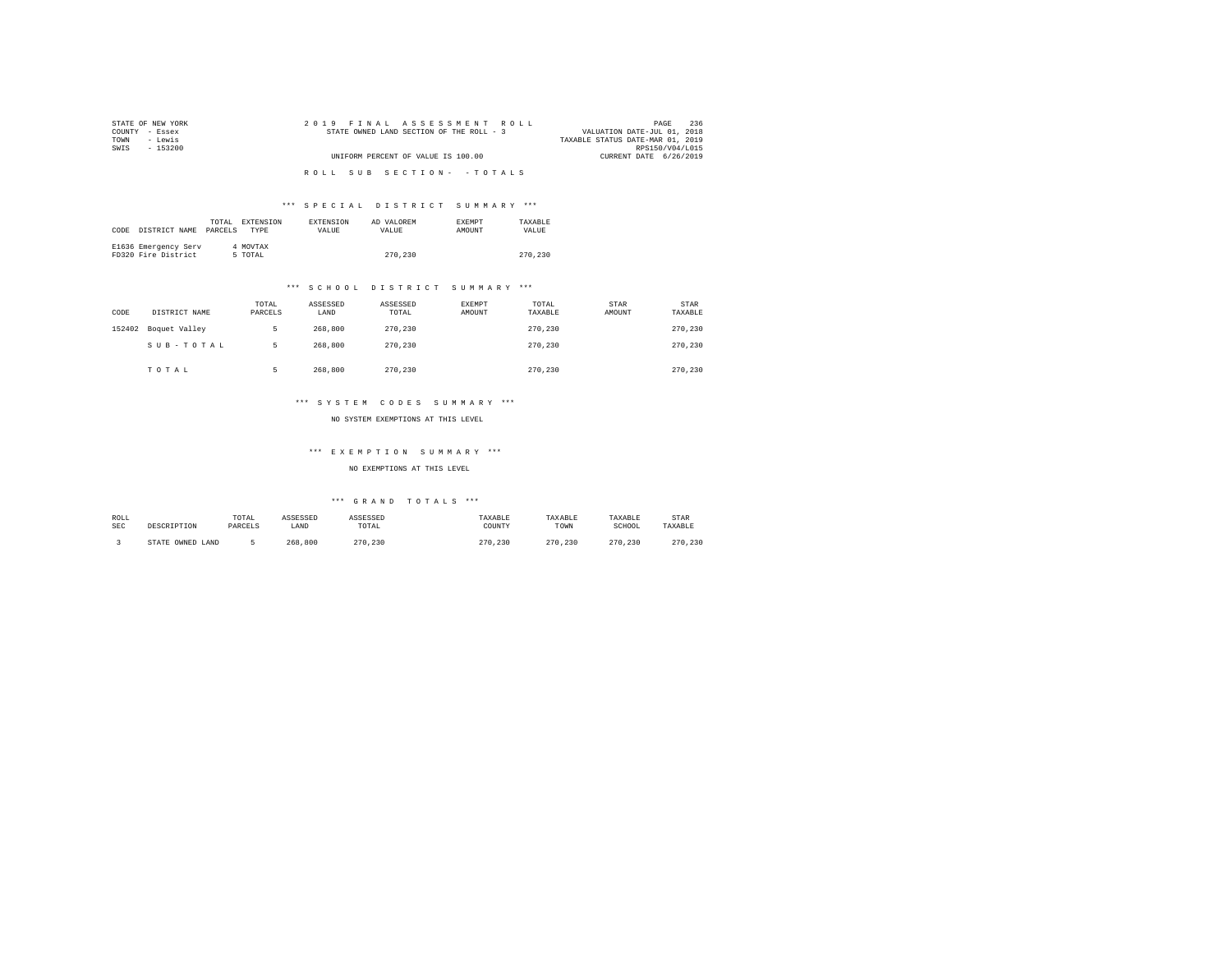| 2019 FINAL ASSESSMENT ROLL               | 236<br>PAGE                      |
|------------------------------------------|----------------------------------|
| STATE OWNED LAND SECTION OF THE ROLL - 3 | VALUATION DATE-JUL 01, 2018      |
|                                          | TAXABLE STATUS DATE-MAR 01, 2019 |
|                                          | RPS150/V04/L015                  |
| UNIFORM PERCENT OF VALUE IS 100.00       | CURRENT DATE 6/26/2019           |
|                                          |                                  |
| ROLL SUB SECTION- - TOTALS               |                                  |
|                                          |                                  |

| CODE | DISTRICT NAME                               | TOTAL.<br>PARCELS | EXTENSION<br><b>TYPE</b> | <b>EXTENSION</b><br>VALUE | AD VALOREM<br>VALUE | <b>EXEMPT</b><br>AMOUNT | TAXARLE<br>VALUE |
|------|---------------------------------------------|-------------------|--------------------------|---------------------------|---------------------|-------------------------|------------------|
|      | E1636 Emergency Serv<br>FD320 Fire District |                   | 4 MOVTAX<br>5 TOTAL      |                           | 270.230             |                         | 270.230          |

## \*\*\* S C H O O L D I S T R I C T S U M M A R Y \*\*\*

| CODE   | DISTRICT NAME | TOTAL<br>PARCELS | ASSESSED<br>LAND | ASSESSED<br>TOTAL | EXEMPT<br>AMOUNT | TOTAL<br>TAXABLE | <b>STAR</b><br>AMOUNT | STAR<br>TAXABLE |
|--------|---------------|------------------|------------------|-------------------|------------------|------------------|-----------------------|-----------------|
| 152402 | Boquet Valley | 5                | 268,800          | 270.230           |                  | 270.230          |                       | 270,230         |
|        | SUB-TOTAL     | 5                | 268,800          | 270.230           |                  | 270.230          |                       | 270,230         |
|        | TOTAL         |                  | 268,800          | 270.230           |                  | 270.230          |                       | 270.230         |

## \*\*\* S Y S T E M C O D E S S U M M A R Y \*\*\*

NO SYSTEM EXEMPTIONS AT THIS LEVEL

#### \*\*\* E X E M P T I O N S U M M A R Y \*\*\*

NO EXEMPTIONS AT THIS LEVEL

| ROLL       | DESCRIPTION      | TOTAL   | ASSESSED | ASSESSED | TAXABLE | TAXABLE | TAXABLE | STAR    |
|------------|------------------|---------|----------|----------|---------|---------|---------|---------|
| <b>SEC</b> |                  | PARCELS | LAND     | TOTAL    | COUNTY  | TOWN    | SCHOOL  | TAXABLE |
|            | STATE OWNED LAND |         | 268,800  | 270.230  | 270.230 | 270.230 | 270.230 | 270.230 |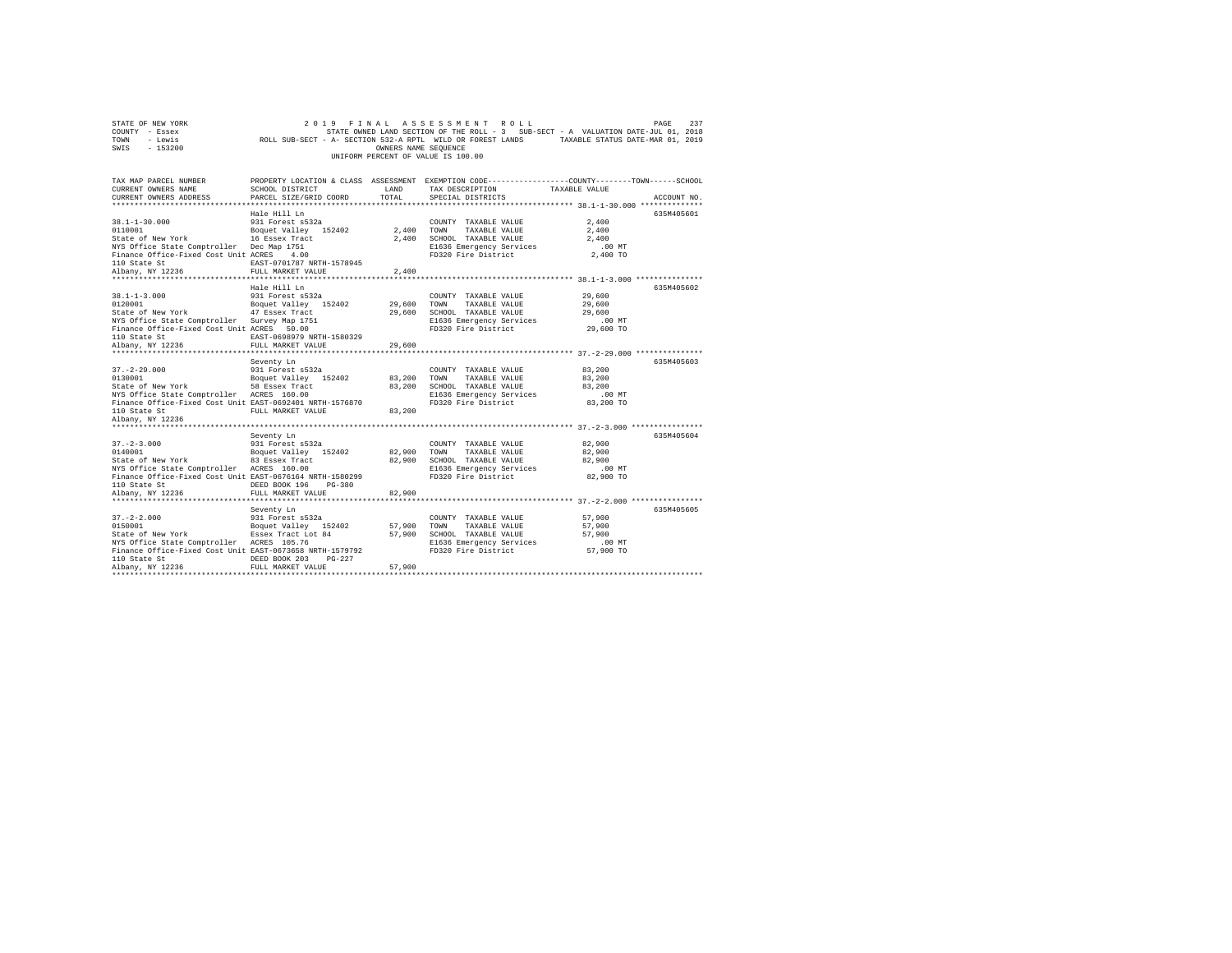| STATE OF NEW YORK<br>COUNTY - Essex<br>TOWN - Lewis<br>SWIS - 153200                                                                                                                                                                                                                                      |                                                                                                  |        | 2019 FINAL ASSESSMENT ROLL<br>UNIFORM PERCENT OF VALUE IS 100.00                                                                                                                                                        |                                                     | 237<br>PAGE |
|-----------------------------------------------------------------------------------------------------------------------------------------------------------------------------------------------------------------------------------------------------------------------------------------------------------|--------------------------------------------------------------------------------------------------|--------|-------------------------------------------------------------------------------------------------------------------------------------------------------------------------------------------------------------------------|-----------------------------------------------------|-------------|
| TAX MAP PARCEL NUMBER<br>CURRENT OWNERS NAME<br>CURRENT OWNERS ADDRESS                                                                                                                                                                                                                                    | PARCEL SIZE/GRID COORD TOTAL                                                                     |        | PROPERTY LOCATION & CLASS ASSESSMENT EXEMPTION CODE---------------COUNTY-------TOWN------SCHOOL<br>SCHOOL DISTRICT                      LAND         TAX DESCRIPTION                 TAXABLE VALUE<br>SPECIAL DISTRICTS |                                                     | ACCOUNT NO. |
| $38.1 - 1 - 30.000$<br>0110001<br>31.0001 12.1001 12.1001 12.1001 12.1001 12.1001 12.1001 12.1001 12.1001 12.1001 12.1001 12.100 12.100 13.100 1<br>TAXABLE VALUE NTS Office State Comptroller Dec Map 1751 1751 1761 1762 1763 2.400 12.100 1763<br>Finance Office-F<br>110 State St<br>Albany, NY 12236 | Hale Hill Ln<br>931 Forest s532a<br>Boquet Valley 152402 2,400 TOWN<br>EAST-0701787 NRTH-1578945 |        | COUNTY TAXABLE VALUE<br>TAXABLE VALUE                                                                                                                                                                                   | 2,400<br>2,400<br>2,400<br>$.00$ MT<br>2,400 TO     | 635M405601  |
| $38.1 - 1 - 3.000$                                                                                                                                                                                                                                                                                        | FULL MARKET VALUE<br>Hale Hill Ln<br>931 Forest s532a                                            | 2,400  | COUNTY TAXABLE VALUE                                                                                                                                                                                                    | 29,600                                              | 635M405602  |
| 0120001<br>State of New York 47 Essex Tract<br>NYS Office State Comptroller Survey Map 1751<br>Finance Office-Fixed Cost Unit ACRES 50.00                                                                                                                                                                 | Boquet Valley 152402<br>EAST-0698979 NRTH-1580329                                                |        | 29,600 TOWN TAXABLE VALUE<br>29,600 SCHOOL TAXABLE VALUE<br>E1636 Emergency Services<br>FD320 Fire District                                                                                                             | 29,600<br>29,600<br>$.00$ MT<br>29,600 TO           |             |
| 110 State St<br>Albany, NY 12236                                                                                                                                                                                                                                                                          | FULL MARKET VALUE                                                                                | 29,600 |                                                                                                                                                                                                                         |                                                     | 635M405603  |
| $37. - 2 - 29.000$<br>0130001<br>Boquet Valley 152402<br>State of New York<br>NYS Office State Comptroller ACRES 160.00<br>Finance Office-Fixed Cost Unit EAST-0692401 NRTH-1576870<br>110 State St<br>Albany, NY 12236                                                                                   | Seventy Ln<br>931 Forest s532a<br>Boquet Valley 152402 83,200 TOWN<br>FULL MARKET VALUE 83,200   |        | COUNTY TAXABLE VALUE<br>TAXABLE VALUE<br>83,200 SCHOOL TAXABLE VALUE<br>E1636 Emergency Services<br>FD320 Fire District                                                                                                 | 83,200<br>83,200<br>83,200<br>$.00$ MT<br>83,200 TO |             |
|                                                                                                                                                                                                                                                                                                           | Seventy Ln                                                                                       |        |                                                                                                                                                                                                                         |                                                     | 635M405604  |
| $37. - 2 - 3.000$<br>NYS Office State Comptroller ACRES 160.00 B1636 Emergency Services<br>Finance Office-Fixed Cost Unit EAST-0676164 NRTH-1580299 FD320 Fire District<br>110 State St<br>Albany, NY 12236                                                                                               | 931 Forest s532a<br>DEED BOOK 196 PG-380<br>FULL MARKET VALUE                                    | 82,900 | COUNTY TAXABLE VALUE                                                                                                                                                                                                    | 82,900<br>82,900<br>82,900<br>$.00$ MT<br>82,900 TO |             |
|                                                                                                                                                                                                                                                                                                           | Seventy Ln                                                                                       |        |                                                                                                                                                                                                                         |                                                     | 635M405605  |
| NYS Office State Comptroller ACRES 105.76<br>Finance Office-Fixed Cost Unit EAST-0673658 NRTH-1579792<br>110 State St<br>Albany, NY 12236                                                                                                                                                                 | 931 Forest s532a<br>DEED BOOK 203 PG-227<br>FULL MARKET VALUE                                    | 57,900 | TAXABLE VALUE<br>E1636 Emergency Services<br>E1636 Emergency Services<br>FD320 Fire District                                                                                                                            | 57,900<br>57,900<br>57,900<br>$.00$ MT<br>57,900 TO |             |
|                                                                                                                                                                                                                                                                                                           |                                                                                                  |        |                                                                                                                                                                                                                         |                                                     |             |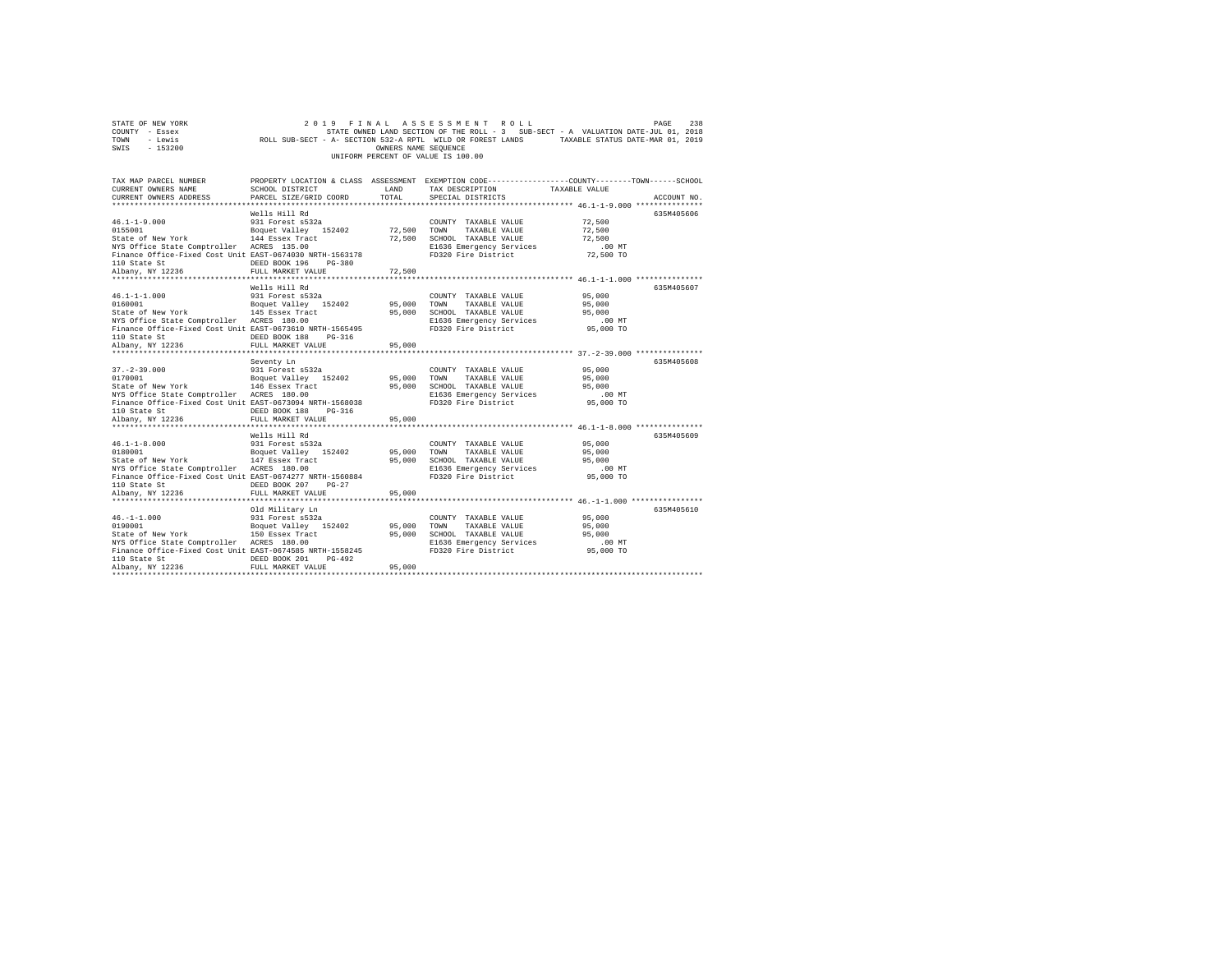|      | STATE OF NEW YORK |                                                            | 2019 FINAL ASSESSMENT ROLL |                                    |  |                                                                                   | PAGE | - 238 |
|------|-------------------|------------------------------------------------------------|----------------------------|------------------------------------|--|-----------------------------------------------------------------------------------|------|-------|
|      | COUNTY - Essex    |                                                            |                            |                                    |  | STATE OWNED LAND SECTION OF THE ROLL - 3 SUB-SECT - A VALUATION DATE-JUL 01, 2018 |      |       |
| TOWN | - Lewis           | ROLL SUB-SECT - A- SECTION 532-A RPTL WILD OR FOREST LANDS |                            |                                    |  | TAXABLE STATUS DATE-MAR 01, 2019                                                  |      |       |
| SWIS | $-153200$         |                                                            |                            | OWNERS NAME SEOUENCE               |  |                                                                                   |      |       |
|      |                   |                                                            |                            | UNIFORM PERCENT OF VALUE IS 100.00 |  |                                                                                   |      |       |

| TAX MAP PARCEL NUMBER                                                                                                                                                                                                                                                                                                                                                                                                                                                                              |                                                                                     |        | PROPERTY LOCATION & CLASS ASSESSMENT EXEMPTION CODE----------------COUNTY-------TOWN------SCHOOL                                                                       |                            | ACCOUNT NO. |
|----------------------------------------------------------------------------------------------------------------------------------------------------------------------------------------------------------------------------------------------------------------------------------------------------------------------------------------------------------------------------------------------------------------------------------------------------------------------------------------------------|-------------------------------------------------------------------------------------|--------|------------------------------------------------------------------------------------------------------------------------------------------------------------------------|----------------------------|-------------|
| $46.1 - 1 - 9.000$<br>Finance Office-Fixed Cost Unit EAST-0674030 NRTH-1563178                                                                                                                                                                                                                                                                                                                                                                                                                     | Wells Hill Rd<br>931 Forest s532a                                                   |        | COUNTY TAXABLE VALUE 72,500<br>FD320 Fire District                                                                                                                     | 72,500 TO                  | 635M405606  |
|                                                                                                                                                                                                                                                                                                                                                                                                                                                                                                    |                                                                                     | 72,500 |                                                                                                                                                                        |                            |             |
| $46.1 - 1 - 1.000$<br>0160001 Boquet Valley 152402<br>State of New York 145 Essex Tract<br>NYS Office State Comptroller ACRES 180.00<br>Finance Office-Fixed Cost Unit EAST-0673610 NRTH-1565495<br>110 State St<br>Albany, NY 12236 PORT 188 PG-316 95,000<br>HTML STATE STATE STATE STATE STATE STATE STATE STATE STATE STATE STATE STATE STATE STATE STATE STATE STATE ST                                                                                                                       | Wells Hill Rd<br>931 Forest s532a<br>Boquet Valley 152402 95,000 TOWN TAXABLE VALUE |        | COUNTY TAXABLE VALUE 95,000<br>95,000 CHOOL TAXABLE VALUE<br>95,000 CHOOL TAXABLE VALUE<br>E1636 Emergency Services 00 MT<br>FD320 Fire District 95,000 TO             | 95,000                     | 635M405607  |
| $\begin{array}{cccccc} 37. -2-39.000 & 931\; {\rm Forest}\; 5532a & {\rm COUNTY}\; {\rm TAXABLE}\; {\rm VALUE} & 95,000\\ 0170001 & 931\; {\rm Forest}\; 5532a & 95,000 & {\rm TOWN}\; {\rm TAXABLE}\; {\rm VALUE} & 95,000\\ {\rm State}\; {\rm of}\; {\rm New}\; {\rm York} & 146\; {\rm Ssec}\; {\rm Tract} & 95,000 & {\rm SCHO0}\; {\rm TAXABLE}\; {\rm VALUE} & 95,000\\ {\rm NTS}\; {\rm Office}\; {\rm State}\; {\rm Computer$<br>Finance Office-Fixed Cost Unit EAST-0673094 NRTH-1568038 | Seventy Ln                                                                          |        | FD320 Fire District                                                                                                                                                    | 95,000 TO                  | 635M405608  |
|                                                                                                                                                                                                                                                                                                                                                                                                                                                                                                    |                                                                                     |        |                                                                                                                                                                        |                            |             |
| 46.1-1-8.000<br>2931 Forest S32a<br>29402 152402 95,000 D180001 12NABLE VALUE<br>295,000 SCHOOL TAXABLE VALUE 95,000<br>295,000 SCHOOL TAXABLE VALUE 95,000<br>295,000 SCHOOL TAXABLE VALUE 95,000<br>295,000 SCHOOL TAXABLE VALUE 95,000<br><br>Finance Office-Fixed Cost Unit EAST-0674277 NRTH-1560884                                                                                                                                                                                          | Wells Hill Rd                                                                       |        | FD320 Fire District                                                                                                                                                    | 95,000 TO                  | 635M405609  |
|                                                                                                                                                                                                                                                                                                                                                                                                                                                                                                    |                                                                                     |        |                                                                                                                                                                        |                            |             |
| 46.-1-1.000 931 Forest s532a<br>0190001<br>25,000 TOWN TAXABLE VALUE<br>State of New York 150 Essex Tract 45,000 SCMP TAXABLE VALUE<br>NYS Office State Comptroller ACRES 180.00 STASS RESS DESSEX RESSERING RESSERING<br>Finance Office-Fixed Cost Unit EAST-0674585 NRTH-1558245<br>$\begin{tabular}{lllllllllllll} \textbf{110 State St} & \textbf{DEED B00K 201} & \textbf{PG-492} \\ \textbf{Albany, NY 12236} & \textbf{FULL MARKET VALUE} & \end{tabular}$                                  | Old Military Ln                                                                     | 95,000 | COUNTY TAXABLE VALUE<br>SCHOOL TRAMBLE VOLUTE<br>E1636 Emergency Services .00 MT<br>PROGRESS .000 TO POSSED .000 TO<br>El636 Emergency Services<br>FD320 Fire District | 95,000<br>95,000<br>95,000 | 635M405610  |
|                                                                                                                                                                                                                                                                                                                                                                                                                                                                                                    |                                                                                     |        |                                                                                                                                                                        |                            |             |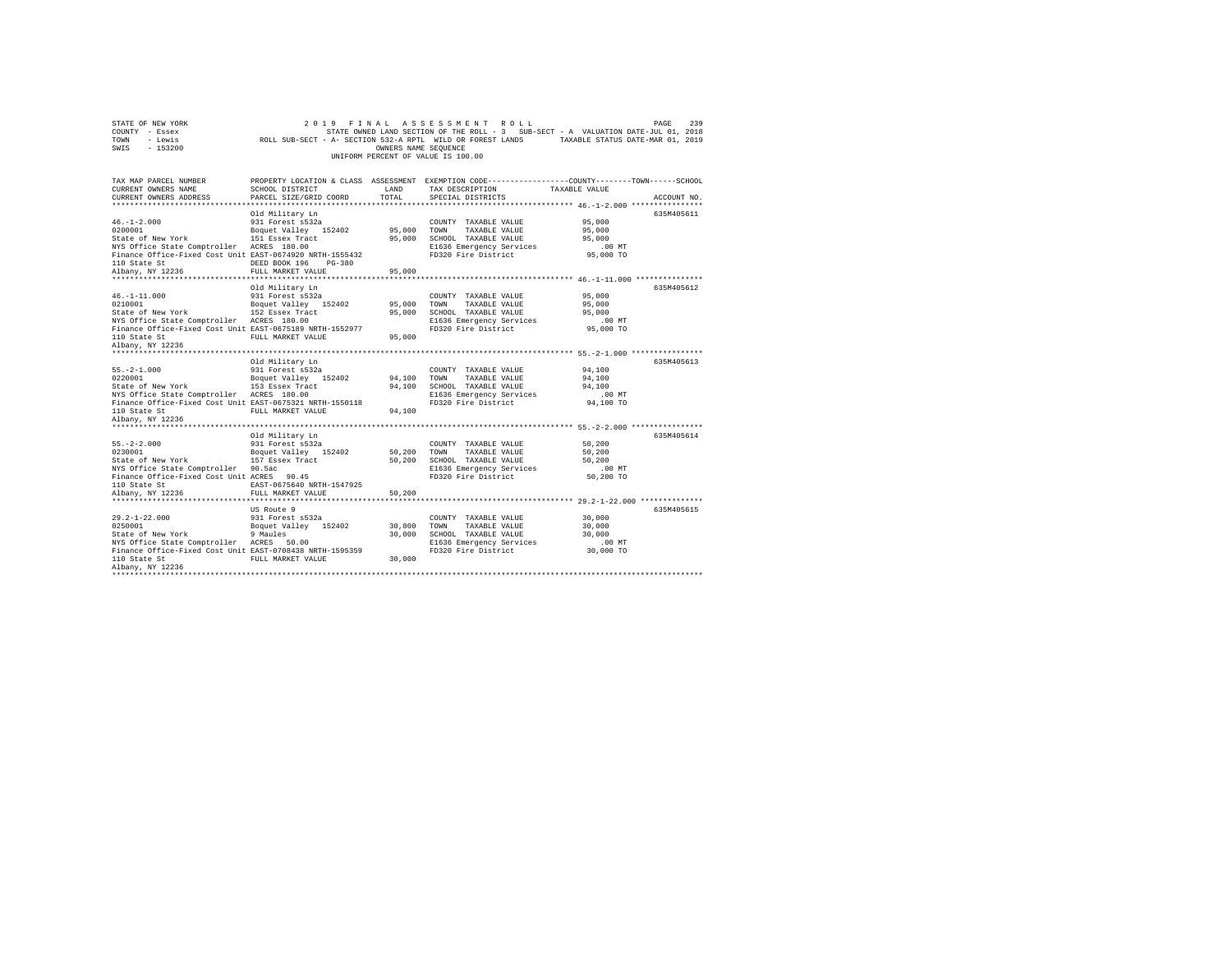| STATE OF NEW YORK                                                                                                                                                                                                                      | 2019                                |                      | FINAL ASSESSMENT ROLL                           | PAGE                                                                                            | 239         |
|----------------------------------------------------------------------------------------------------------------------------------------------------------------------------------------------------------------------------------------|-------------------------------------|----------------------|-------------------------------------------------|-------------------------------------------------------------------------------------------------|-------------|
| COUNTY - Essex                                                                                                                                                                                                                         |                                     |                      |                                                 | STATE OWNED LAND SECTION OF THE ROLL - 3 SUB-SECT - A VALUATION DATE-JUL 01, 2018               |             |
| TOWN<br>- Lewis                                                                                                                                                                                                                        |                                     |                      |                                                 | ROLL SUB-SECT - A- SECTION 532-A RPTL WILD OR FOREST LANDS TAXABLE STATUS DATE-MAR 01, 2019     |             |
| $-153200$<br>SWIS                                                                                                                                                                                                                      |                                     | OWNERS NAME SEQUENCE |                                                 |                                                                                                 |             |
|                                                                                                                                                                                                                                        |                                     |                      | UNIFORM PERCENT OF VALUE IS 100.00              |                                                                                                 |             |
|                                                                                                                                                                                                                                        |                                     |                      |                                                 |                                                                                                 |             |
|                                                                                                                                                                                                                                        |                                     |                      |                                                 |                                                                                                 |             |
| TAX MAP PARCEL NUMBER                                                                                                                                                                                                                  |                                     |                      |                                                 | PROPERTY LOCATION & CLASS ASSESSMENT EXEMPTION CODE----------------COUNTY-------TOWN-----SCHOOL |             |
| CURRENT OWNERS NAME                                                                                                                                                                                                                    | SCHOOL DISTRICT                     | LAND                 | TAX DESCRIPTION                                 | TAXABLE VALUE                                                                                   |             |
| CURRENT OWNERS ADDRESS                                                                                                                                                                                                                 | PARCEL SIZE/GRID COORD              | TOTAL                | SPECIAL DISTRICTS                               |                                                                                                 | ACCOUNT NO. |
|                                                                                                                                                                                                                                        |                                     |                      |                                                 |                                                                                                 |             |
|                                                                                                                                                                                                                                        | Old Military Ln                     |                      |                                                 |                                                                                                 | 635M405611  |
| $46. -1 - 2.000$                                                                                                                                                                                                                       | 931 Forest s532a                    |                      | COUNTY TAXABLE VALUE                            | 95,000                                                                                          |             |
| 0200001                                                                                                                                                                                                                                | Boquet Valley 152402                | 95,000               | TOWN<br>TAXABLE VALUE                           | 95,000                                                                                          |             |
|                                                                                                                                                                                                                                        |                                     |                      | 95,000 SCHOOL TAXABLE VALUE                     | 95,000                                                                                          |             |
| State of New York<br>151 Essex Tract<br>NYS Office State Comptroller ACRES 180.00                                                                                                                                                      |                                     |                      | E1636 Emergency Services                        | .00 MT                                                                                          |             |
| Finance Office-Fixed Cost Unit EAST-0674920 NRTH-1555432                                                                                                                                                                               |                                     |                      | FD320 Fire District                             | 95,000 TO                                                                                       |             |
|                                                                                                                                                                                                                                        | DEED BOOK 196 PG-380                |                      |                                                 |                                                                                                 |             |
| 110 State St<br>Albany, NY 12236                                                                                                                                                                                                       | FULL MARKET VALUE                   | 95,000               |                                                 |                                                                                                 |             |
|                                                                                                                                                                                                                                        |                                     |                      |                                                 |                                                                                                 |             |
|                                                                                                                                                                                                                                        | Old Military Ln                     |                      |                                                 |                                                                                                 | 635M405612  |
| $46. -1 - 11.000$                                                                                                                                                                                                                      | 931 Forest s532a                    |                      | COUNTY TAXABLE VALUE                            | 95,000                                                                                          |             |
| 0210001                                                                                                                                                                                                                                | Boquet Valley 152402                | 95,000               | TOWN<br>TAXABLE VALUE                           | 95,000                                                                                          |             |
| UZIUUUI<br>State of New York<br>**** Office State Comptroller ACRES 180.00                                                                                                                                                             |                                     | 95,000               | SCHOOL TAXABLE VALUE                            | 95,000                                                                                          |             |
|                                                                                                                                                                                                                                        |                                     |                      | E1636 Emergency Services                        | $.00$ MT                                                                                        |             |
| Finance Office-Fixed Cost Unit EAST-0675189 NRTH-1552977                                                                                                                                                                               |                                     |                      | FD320 Fire District                             | 95,000 TO                                                                                       |             |
| 110 State St                                                                                                                                                                                                                           | FULL MARKET VALUE                   | 95,000               |                                                 |                                                                                                 |             |
| Albany, NY 12236                                                                                                                                                                                                                       |                                     |                      |                                                 |                                                                                                 |             |
|                                                                                                                                                                                                                                        |                                     |                      |                                                 |                                                                                                 |             |
|                                                                                                                                                                                                                                        | Old Military Ln                     |                      |                                                 |                                                                                                 | 635M405613  |
| $55. -2 - 1.000$                                                                                                                                                                                                                       | old military En<br>931 Forest s532a |                      | COUNTY TAXABLE VALUE                            | 94,100                                                                                          |             |
|                                                                                                                                                                                                                                        |                                     |                      |                                                 |                                                                                                 |             |
| 0220001                                                                                                                                                                                                                                |                                     |                      |                                                 | 94,100                                                                                          |             |
|                                                                                                                                                                                                                                        | Boquet Valley 152402                | 94,100 TOWN          | TAXABLE VALUE                                   | 94,100                                                                                          |             |
| State of New York                                                                                                                                                                                                                      |                                     |                      | 94,100 SCHOOL TAXABLE VALUE                     |                                                                                                 |             |
| State of New York 153 Essex Tract<br>NYS Office State Comptroller ACRES 180.00                                                                                                                                                         |                                     |                      | E1636 Emergency Services<br>FD320 Fire District | $.00$ MT                                                                                        |             |
| Finance Office-Fixed Cost Unit EAST-0675321 NRTH-1550118                                                                                                                                                                               |                                     |                      |                                                 | 94,100 TO                                                                                       |             |
| 110 State St                                                                                                                                                                                                                           | FULL MARKET VALUE                   | 94,100               |                                                 |                                                                                                 |             |
| Albany, NY 12236                                                                                                                                                                                                                       |                                     |                      |                                                 |                                                                                                 |             |
|                                                                                                                                                                                                                                        | Old Military Ln                     |                      |                                                 |                                                                                                 | 635M405614  |
|                                                                                                                                                                                                                                        |                                     |                      |                                                 |                                                                                                 |             |
| $55. -2 - 2.000$                                                                                                                                                                                                                       | 931 Forest s532a                    | 50,200               | COUNTY TAXABLE VALUE<br>TOWN<br>TAXABLE VALUE   | 50,200<br>50,200                                                                                |             |
|                                                                                                                                                                                                                                        |                                     | 50.200               |                                                 | 50,200                                                                                          |             |
| State of New York<br>State of New York<br>NYS Office Critics Contract The Law State of New York<br>NYS Office Critics Contract Theory Contract Theory Contract Theory Contract Theory Contract Theory Contract T<br>State Contract The |                                     |                      | SCHOOL TAXABLE VALUE                            |                                                                                                 |             |
| NYS Office State Comptroller 90.5ac                                                                                                                                                                                                    |                                     |                      | E1636 Emergency Services<br>FD320 Fire District | $.00$ MT<br>50,200 TO                                                                           |             |
| Finance Office-Fixed Cost Unit ACRES 90.45                                                                                                                                                                                             |                                     |                      |                                                 |                                                                                                 |             |
|                                                                                                                                                                                                                                        | EAST-0675640 NRTH-1547925           |                      |                                                 |                                                                                                 |             |
| 110 State St<br>Albany, NY 12236                                                                                                                                                                                                       | FULL MARKET VALUE                   | 50,200               |                                                 |                                                                                                 |             |
|                                                                                                                                                                                                                                        | US Route 9                          |                      |                                                 |                                                                                                 | 635M405615  |
| $29.2 - 1 - 22.000$                                                                                                                                                                                                                    | 931 Forest s532a                    |                      | COUNTY TAXABLE VALUE                            | 30,000                                                                                          |             |
|                                                                                                                                                                                                                                        | Boquet Valley 152402                | 30,000               | TOWN<br>TAXABLE VALUE                           | 30,000                                                                                          |             |
|                                                                                                                                                                                                                                        |                                     | 30,000               | SCHOOL TAXABLE VALUE                            | 30,000                                                                                          |             |
|                                                                                                                                                                                                                                        |                                     |                      | E1636 Emergency Services                        | .00 MT                                                                                          |             |
| NYS Office State Comptroller ACRES 50.00<br>Finance Office-Fixed Cost Unit EAST-0708438 NRTH-1595359                                                                                                                                   |                                     |                      | FD320 Fire District                             |                                                                                                 |             |
| 110 State St                                                                                                                                                                                                                           | FULL MARKET VALUE                   | 30,000               |                                                 | 30,000 TO                                                                                       |             |
| Albany, NY 12236                                                                                                                                                                                                                       |                                     |                      |                                                 |                                                                                                 |             |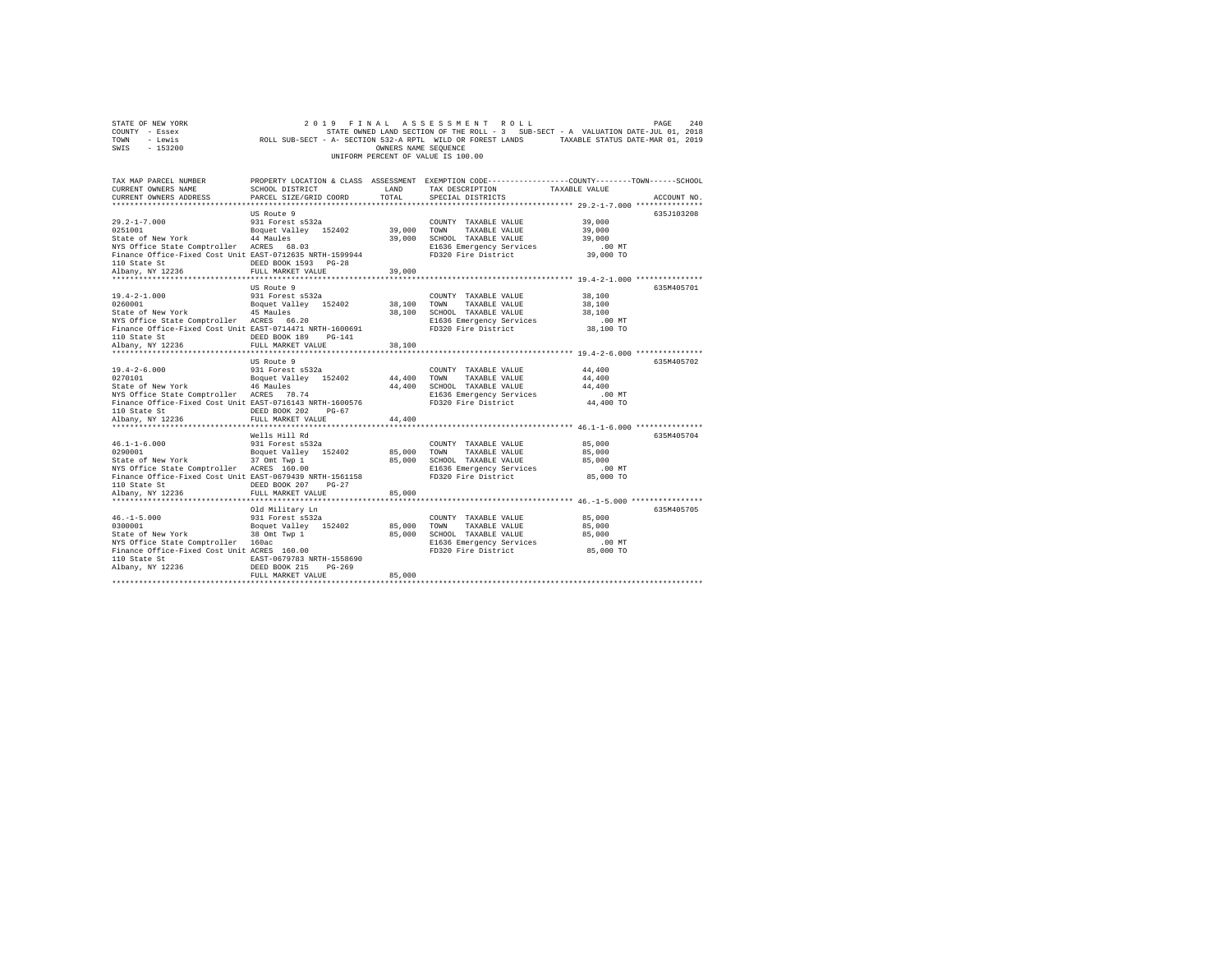|                | STATE OF NEW YORK |                                                            |  | 2019 FINAL ASSESSMENT ROLL         |                      |  |  |                                                                                   |  | PAGE                             | 2.40 |
|----------------|-------------------|------------------------------------------------------------|--|------------------------------------|----------------------|--|--|-----------------------------------------------------------------------------------|--|----------------------------------|------|
| COUNTY - Essex |                   |                                                            |  |                                    |                      |  |  | STATE OWNED LAND SECTION OF THE ROLL - 3 SUB-SECT - A VALUATION DATE-JUL 01, 2018 |  |                                  |      |
| TOWN           | - Lewis           | ROLL SUB-SECT - A- SECTION 532-A RPTL WILD OR FOREST LANDS |  |                                    |                      |  |  |                                                                                   |  | TAXABLE STATUS DATE-MAR 01, 2019 |      |
| SWIS           | - 153200          |                                                            |  |                                    | OWNERS NAME SEOUENCE |  |  |                                                                                   |  |                                  |      |
|                |                   |                                                            |  | UNIFORM PERCENT OF VALUE IS 100.00 |                      |  |  |                                                                                   |  |                                  |      |

| TAX MAP PARCEL NUMBER<br>CURRENT OWNERS NAME                             | SCHOOL DISTRICT                                 |                        | LAND TAX DESCRIPTION                                                                                                                  | PROPERTY LOCATION & CLASS ASSESSMENT EXEMPTION CODE----------------COUNTY-------TOWN------SCHOOL<br>TAXABLE VALUE |
|--------------------------------------------------------------------------|-------------------------------------------------|------------------------|---------------------------------------------------------------------------------------------------------------------------------------|-------------------------------------------------------------------------------------------------------------------|
| CURRENT OWNERS ADDRESS                                                   | PARCEL SIZE/GRID COORD                          | TOTAL                  | SPECIAL DISTRICTS                                                                                                                     | ACCOUNT NO.                                                                                                       |
|                                                                          | US Route 9                                      |                        |                                                                                                                                       | 635J103208                                                                                                        |
| 29.2-1-7.000                                                             | 931 Forest s532a                                |                        | COUNTY TAXABLE VALUE 39,000                                                                                                           |                                                                                                                   |
|                                                                          |                                                 |                        |                                                                                                                                       | 39,000                                                                                                            |
|                                                                          |                                                 |                        |                                                                                                                                       | 39,000                                                                                                            |
| State of New York 144 Maules<br>NYS Office State Comptroller ACRES 68.03 |                                                 |                        | E1636 Emergency Services<br>FD320 Fire District                                                                                       |                                                                                                                   |
| Finance Office-Fixed Cost Unit EAST-0712635 NRTH-1599944                 |                                                 |                        |                                                                                                                                       | $39,000$ TO                                                                                                       |
|                                                                          |                                                 |                        |                                                                                                                                       |                                                                                                                   |
|                                                                          |                                                 | 39,000                 |                                                                                                                                       |                                                                                                                   |
|                                                                          |                                                 |                        |                                                                                                                                       |                                                                                                                   |
| 19.4-2-1.000                                                             | US Route 9                                      |                        |                                                                                                                                       | 635M405701<br>38,100                                                                                              |
| 0260001                                                                  |                                                 |                        |                                                                                                                                       | 38,100                                                                                                            |
|                                                                          |                                                 |                        | 38,100 SCHOOL TAXABLE VALUE                                                                                                           | 38,100                                                                                                            |
| State of New York 15 Maules<br>NYS Office State Comptroller ACRES 66.20  |                                                 |                        | E1636 Emergency Services                                                                                                              | $.00$ MT                                                                                                          |
| Finance Office-Fixed Cost Unit EAST-0714471 NRTH-1600691                 |                                                 |                        | FD320 Fire District                                                                                                                   | 38,100 TO                                                                                                         |
| 110 State St                                                             | DEED BOOK 189 PG-141                            |                        |                                                                                                                                       |                                                                                                                   |
| Albany, NY 12236                                                         | FULL MARKET VALUE                               | 38,100                 |                                                                                                                                       |                                                                                                                   |
|                                                                          |                                                 |                        |                                                                                                                                       |                                                                                                                   |
|                                                                          | US Route 9                                      |                        |                                                                                                                                       | 635M405702                                                                                                        |
|                                                                          |                                                 |                        | COUNTY TAXABLE VALUE                                                                                                                  | 44,400                                                                                                            |
|                                                                          |                                                 |                        | TAXABLE VALUE                                                                                                                         | 44,400                                                                                                            |
| State of New York 46 Maules<br>NYS Office State Comptroller ACRES 78.74  |                                                 |                        | SCHOOL TAXABLE VALUE                                                                                                                  | 44,400                                                                                                            |
|                                                                          |                                                 |                        | E1636 Emergency Services<br>FD320 Fire District                                                                                       | $.00$ MT                                                                                                          |
| Finance Office-Fixed Cost Unit EAST-0716143 NRTH-1600576<br>110 State St | DEED BOOK 202 PG-67                             |                        |                                                                                                                                       | 44,400 TO                                                                                                         |
| Albany, NY 12236                                                         | FULL MARKET VALUE                               | 44,400                 |                                                                                                                                       |                                                                                                                   |
|                                                                          |                                                 |                        |                                                                                                                                       |                                                                                                                   |
|                                                                          | Wells Hill Rd                                   |                        |                                                                                                                                       | 635M405704                                                                                                        |
| $46.1 - 1 - 6.000$                                                       | 931 Forest s532a                                |                        | COUNTY TAXABLE VALUE                                                                                                                  | 85,000                                                                                                            |
| 0290001                                                                  |                                                 |                        | Boquet Valley 152402 85,000 TOWN TAXABLE VALUE<br>37 Omt Twp 1 85,000 SCHOOL TAXABLE VALUE<br>2 ACRES 160.00 SI636 Emergency Services | 85,000                                                                                                            |
| State of New York                                                        |                                                 |                        |                                                                                                                                       | 85,000                                                                                                            |
| NYS Office State Comptroller ACRES 160.00                                |                                                 |                        | E1636 Emergency Services<br>FD320 Fire District                                                                                       | $.00$ MT                                                                                                          |
| Finance Office-Fixed Cost Unit EAST-0679439 NRTH-1561158                 |                                                 |                        |                                                                                                                                       | 85,000 TO                                                                                                         |
| DEED BOOK 207<br>110 State St                                            | $PG-27$                                         |                        |                                                                                                                                       |                                                                                                                   |
| Albany, NY 12236                                                         | FULL MARKET VALUE<br>************************** | 85,000<br>************ |                                                                                                                                       | ******************* 46.-1-5.000 ***************                                                                   |
|                                                                          | Old Military Ln                                 |                        |                                                                                                                                       | 635M405705                                                                                                        |
| $46. -1 - 5.000$                                                         | 931 Forest s532a                                |                        | COUNTY TAXABLE VALUE 85,000                                                                                                           |                                                                                                                   |
| 0300001                                                                  | Boquet Valley 152402                            |                        | 85,000 TOWN TAXABLE VALUE                                                                                                             | 85,000                                                                                                            |
| State of New York                                                        |                                                 |                        | 85,000 SCHOOL TAXABLE VALUE 85,000                                                                                                    |                                                                                                                   |
| NYS Office State Comptroller 160ac                                       | $38$ Omt Twp 1<br>omptroller 160ac              |                        | E1636 Emergency Services                                                                                                              | .00 MT                                                                                                            |
| Finance Office-Fixed Cost Unit ACRES 160.00                              |                                                 |                        | FD320 Fire District 85,000 TO                                                                                                         |                                                                                                                   |
| 110 State St                                                             | EAST-0679783 NRTH-1558690                       |                        |                                                                                                                                       |                                                                                                                   |
| Albany, NY 12236 DEED BOOK 215                                           | $PG-269$                                        |                        |                                                                                                                                       |                                                                                                                   |
|                                                                          | FULL MARKET VALUE                               | 85,000                 |                                                                                                                                       |                                                                                                                   |
|                                                                          |                                                 |                        |                                                                                                                                       |                                                                                                                   |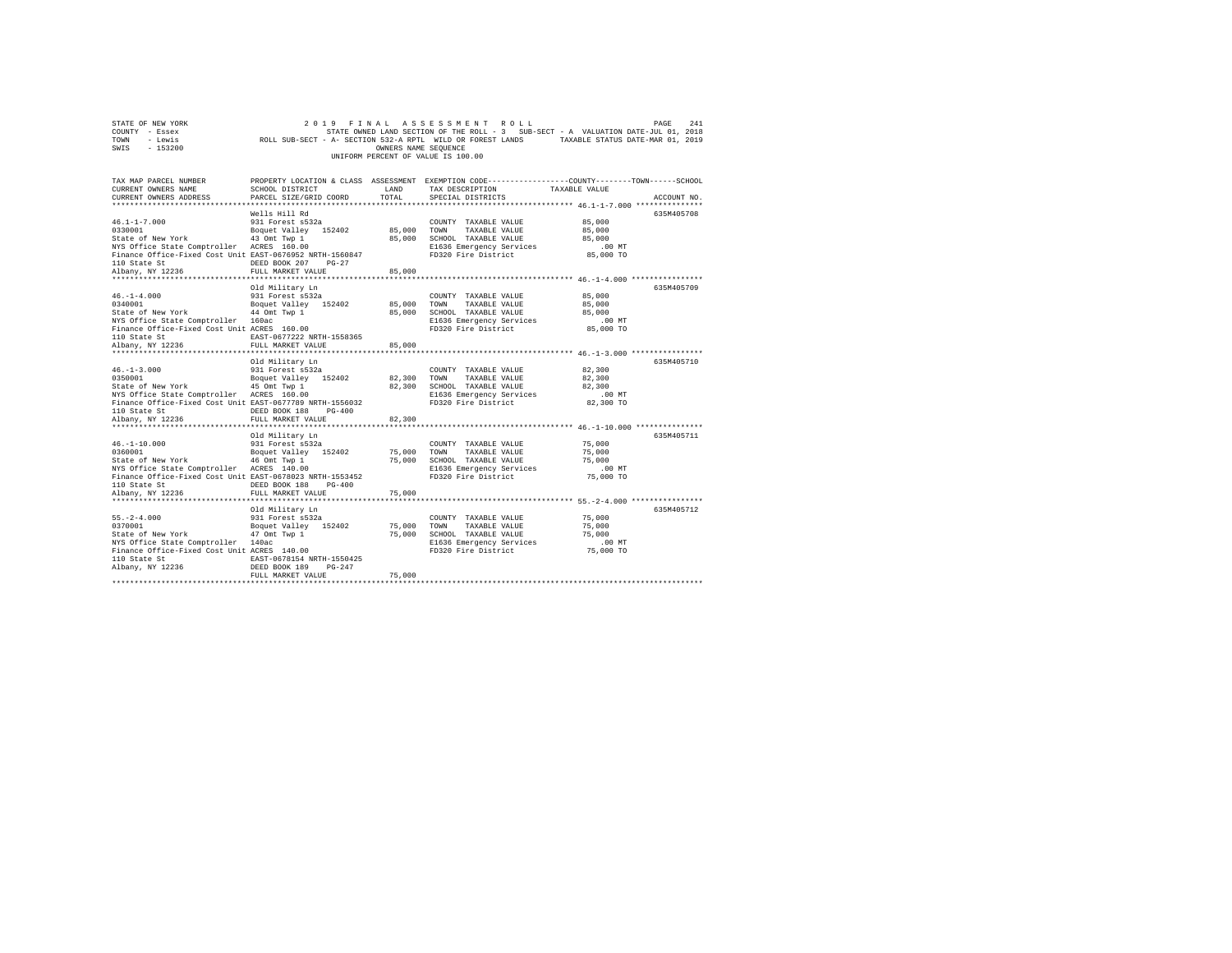|                | STATE OF NEW YORK |                                                            |  |  | 2019 FINAL ASSESSMENT ROLL         |  |  |                                                                                   |  |                                  | PAGE | 2.41 |
|----------------|-------------------|------------------------------------------------------------|--|--|------------------------------------|--|--|-----------------------------------------------------------------------------------|--|----------------------------------|------|------|
| COUNTY - Essex |                   |                                                            |  |  |                                    |  |  | STATE OWNED LAND SECTION OF THE ROLL - 3 SUB-SECT - A VALUATION DATE-JUL 01, 2018 |  |                                  |      |      |
| TOWN           | - Lewis           | ROLL SUB-SECT - A- SECTION 532-A RPTL WILD OR FOREST LANDS |  |  |                                    |  |  |                                                                                   |  | TAXABLE STATUS DATE-MAR 01, 2019 |      |      |
| SWIS           | - 153200          |                                                            |  |  | OWNERS NAME SEOUENCE               |  |  |                                                                                   |  |                                  |      |      |
|                |                   |                                                            |  |  | UNIFORM PERCENT OF VALUE IS 100.00 |  |  |                                                                                   |  |                                  |      |      |

| TAX MAP PARCEL NUMBER<br>CURRENT OWNERS NAME<br>CURRENT OWNERS ADDRESS                                                                                                                      | SCHOOL DISTRICT<br>PARCEL SIZE/GRID COORD      | LAND<br>TOTAL | PROPERTY LOCATION & CLASS ASSESSMENT EXEMPTION CODE---------------COUNTY-------TOWN------SCHOOL<br>TAX DESCRIPTION<br>SPECIAL DISTRICTS | TAXABLE VALUE                               | ACCOUNT NO. |
|---------------------------------------------------------------------------------------------------------------------------------------------------------------------------------------------|------------------------------------------------|---------------|-----------------------------------------------------------------------------------------------------------------------------------------|---------------------------------------------|-------------|
|                                                                                                                                                                                             |                                                |               |                                                                                                                                         |                                             |             |
|                                                                                                                                                                                             | Wells Hill Rd                                  |               |                                                                                                                                         |                                             | 635M405708  |
| 46.1-1-7.000                                                                                                                                                                                | 931 Forest s532a                               |               | COUNTY TAXABLE VALUE                                                                                                                    | 85,000                                      |             |
| 0330001 Boquet Valley 152402 85,000 TOWN TAXABLE VALUE<br>State of New York Comt Tom 13 000 SCROOL TAXABLE VALUE<br>NYS Office State Comptroller ACRES 160.00 STAGE RESS Emergency Services |                                                |               |                                                                                                                                         | 85,000                                      |             |
|                                                                                                                                                                                             |                                                |               |                                                                                                                                         | 85,000                                      |             |
|                                                                                                                                                                                             |                                                |               | E1636 Emergency Services                                                                                                                | .00 MT                                      |             |
| Finance Office-Fixed Cost Unit EAST-0676952 NRTH-1560847                                                                                                                                    |                                                |               | FD320 Fire District                                                                                                                     | 85,000 TO                                   |             |
|                                                                                                                                                                                             |                                                | 85,000        |                                                                                                                                         |                                             |             |
|                                                                                                                                                                                             |                                                |               |                                                                                                                                         |                                             |             |
|                                                                                                                                                                                             | Old Military Ln                                |               |                                                                                                                                         |                                             | 635M405709  |
| $46. - 1 - 4.000$                                                                                                                                                                           | 931 Forest s532a                               |               | COUNTY TAXABLE VALUE                                                                                                                    | 85,000                                      |             |
| 0340001                                                                                                                                                                                     | Boquet Valley 152402 85,000 TOWN TAXABLE VALUE |               |                                                                                                                                         | 85,000                                      |             |
| State of New York 44 Omt Twp 1                                                                                                                                                              |                                                | 85,000        | SCHOOL TAXABLE VALUE                                                                                                                    | 85,000                                      |             |
| NYS Office State Comptroller 160ac                                                                                                                                                          |                                                |               | E1636 Emergency Services                                                                                                                | $.00$ MT                                    |             |
| Finance Office-Fixed Cost Unit ACRES 160.00                                                                                                                                                 |                                                |               | FD320 Fire District                                                                                                                     | 85,000 TO                                   |             |
| 110 State St                                                                                                                                                                                | EAST-0677222 NRTH-1558365                      |               |                                                                                                                                         |                                             |             |
| Albany, NY 12236                                                                                                                                                                            | FULL MARKET VALUE                              | 85,000        |                                                                                                                                         |                                             |             |
|                                                                                                                                                                                             |                                                |               |                                                                                                                                         |                                             |             |
|                                                                                                                                                                                             | Old Military Ln                                |               |                                                                                                                                         |                                             | 635M405710  |
|                                                                                                                                                                                             |                                                |               | COUNTY TAXABLE VALUE                                                                                                                    | 82,300                                      |             |
|                                                                                                                                                                                             |                                                | 82,300 TOWN   | TAXABLE VALUE                                                                                                                           | 82,300                                      |             |
|                                                                                                                                                                                             |                                                | 82,300        | SCHOOL TAXABLE VALUE                                                                                                                    | 82,300                                      |             |
|                                                                                                                                                                                             |                                                |               | E1636 Emergency Services<br>FD320 Fire District                                                                                         | $.00$ MT                                    |             |
| Finance Office-Fixed Cost Unit EAST-0677789 NRTH-1556032                                                                                                                                    |                                                |               |                                                                                                                                         | 82,300 TO                                   |             |
| 110 State St                                                                                                                                                                                | DEED BOOK 188 PG-400                           |               |                                                                                                                                         |                                             |             |
| Albany, NY 12236                                                                                                                                                                            | FULL MARKET VALUE                              | 82,300        |                                                                                                                                         |                                             |             |
|                                                                                                                                                                                             | Old Military Ln                                |               |                                                                                                                                         |                                             | 635M405711  |
| $46. - 1 - 10.000$                                                                                                                                                                          | 931 Forest s532a                               |               | COUNTY TAXABLE VALUE                                                                                                                    | 75,000                                      |             |
| 0360001                                                                                                                                                                                     | Boquet Valley 152402 75,000 TOWN               |               | TAXABLE VALUE                                                                                                                           | 75,000                                      |             |
| State of New York                                                                                                                                                                           | 46 Omt Twp 1                                   |               | 75,000 SCHOOL TAXABLE VALUE                                                                                                             | 75,000                                      |             |
| NYS Office State Comptroller ACRES 140.00                                                                                                                                                   |                                                |               | E1636 Emergency Services                                                                                                                | $.00$ MT                                    |             |
| Finance Office-Fixed Cost Unit EAST-0678023 NRTH-1553452                                                                                                                                    |                                                |               | FD320 Fire District                                                                                                                     | 75,000 TO                                   |             |
| 110 State St                                                                                                                                                                                | DEED BOOK 188<br>$PG-400$                      |               |                                                                                                                                         |                                             |             |
| Albany, NY 12236                                                                                                                                                                            | FULL MARKET VALUE                              | 75,000        |                                                                                                                                         |                                             |             |
|                                                                                                                                                                                             | *************************                      | *********     |                                                                                                                                         | *************** 55. -2-4.000 ************** |             |
|                                                                                                                                                                                             | Old Military Ln                                |               |                                                                                                                                         |                                             | 635M405712  |
| $55. - 2 - 4.000$                                                                                                                                                                           | 931 Forest s532a                               |               | COUNTY TAXABLE VALUE                                                                                                                    | 75,000                                      |             |
| 0370001                                                                                                                                                                                     | Boquet Valley 152402                           | 75,000 TOWN   | TAXABLE VALUE                                                                                                                           | 75,000                                      |             |
| State of New York                                                                                                                                                                           | 47 Omt Twp 1                                   |               | 75,000 SCHOOL TAXABLE VALUE                                                                                                             | 75,000                                      |             |
| NYS Office State Comptroller 140ac                                                                                                                                                          |                                                |               | E1636 Emergency Services                                                                                                                | $.00$ MT                                    |             |
| Finance Office-Fixed Cost Unit ACRES 140.00                                                                                                                                                 |                                                |               | FD320 Fire District 75,000 TO                                                                                                           |                                             |             |
| 110 State St                                                                                                                                                                                | EAST-0678154 NRTH-1550425                      |               |                                                                                                                                         |                                             |             |
| Albany, NY 12236                                                                                                                                                                            | DEED BOOK 189<br>$PG-247$<br>FULL MARKET VALUE | 75,000        |                                                                                                                                         |                                             |             |
|                                                                                                                                                                                             |                                                |               |                                                                                                                                         |                                             |             |
|                                                                                                                                                                                             |                                                |               |                                                                                                                                         |                                             |             |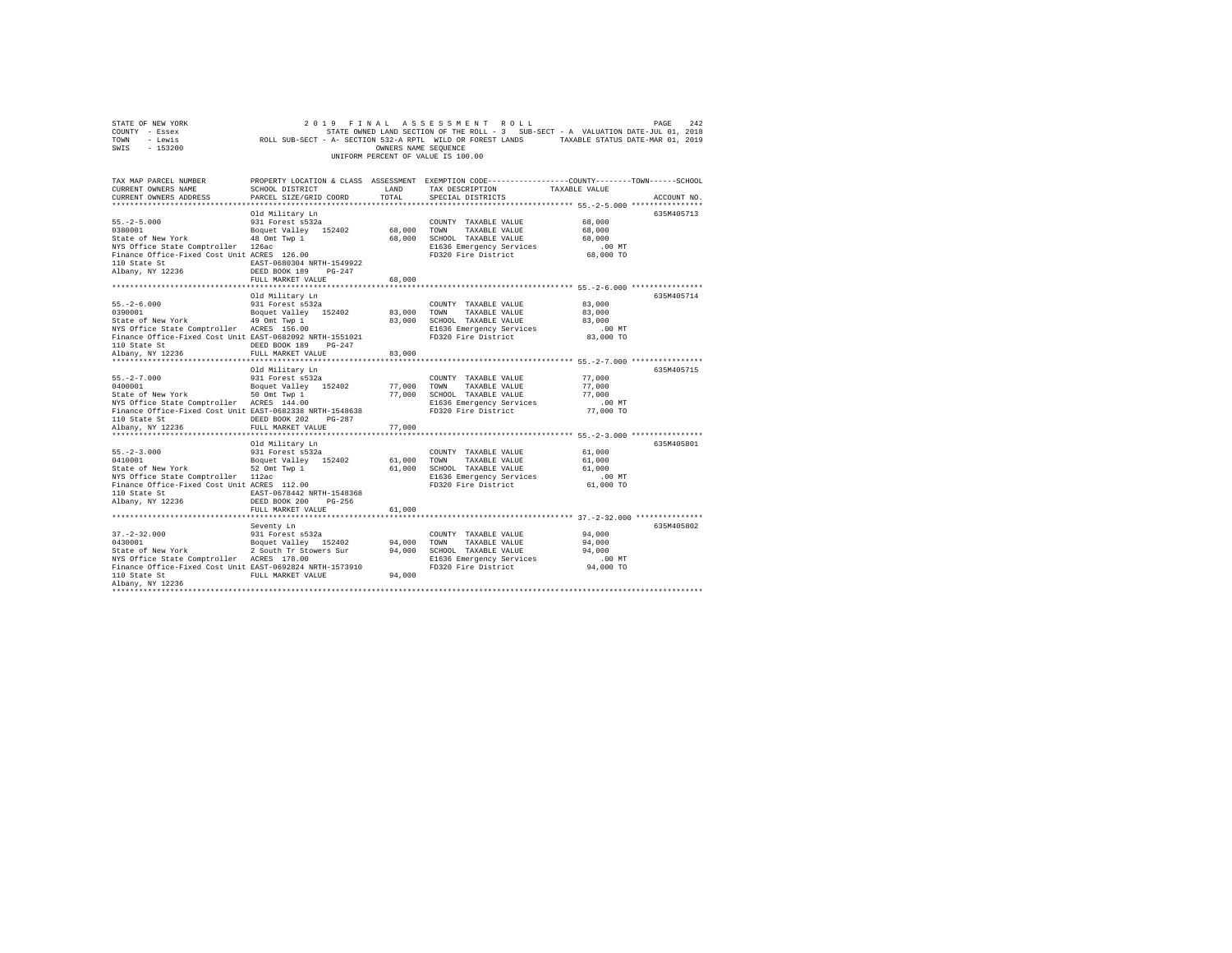| STATE OF NEW YORK<br>COUNTY - Essex<br>TOWN<br>- Lewis<br>$-153200$<br>SWIS                                                                                                                                                                                                                                                                                                                                                   | 2 0 1 9                             | OWNERS NAME SEQUENCE | FINAL ASSESSMENT ROLL<br>STATE OWNED LAND SECTION OF THE ROLL - 3 SUB-SECT - A VALUATION DATE-JUL 01, 2018<br>ROLL SUB-SECT - A- SECTION 532-A RPTL WILD OR FOREST LANDS TAXABLE STATUS DATE-MAR 01, 2019<br>UNIFORM PERCENT OF VALUE IS 100.00 |                    | PAGE<br>242 |
|-------------------------------------------------------------------------------------------------------------------------------------------------------------------------------------------------------------------------------------------------------------------------------------------------------------------------------------------------------------------------------------------------------------------------------|-------------------------------------|----------------------|-------------------------------------------------------------------------------------------------------------------------------------------------------------------------------------------------------------------------------------------------|--------------------|-------------|
| TAX MAP PARCEL NUMBER<br>CURRENT OWNERS NAME                                                                                                                                                                                                                                                                                                                                                                                  | LAND<br>SCHOOL DISTRICT             |                      | PROPERTY LOCATION & CLASS ASSESSMENT EXEMPTION CODE---------------COUNTY-------TOWN------SCHOOL<br>TAX DESCRIPTION TAXABLE VALUE                                                                                                                |                    |             |
| CURRENT OWNERS ADDRESS                                                                                                                                                                                                                                                                                                                                                                                                        | PARCEL SIZE/GRID COORD              | TOTAL                | SPECIAL DISTRICTS                                                                                                                                                                                                                               |                    | ACCOUNT NO. |
|                                                                                                                                                                                                                                                                                                                                                                                                                               |                                     |                      |                                                                                                                                                                                                                                                 |                    |             |
|                                                                                                                                                                                                                                                                                                                                                                                                                               | Old Military Ln                     |                      |                                                                                                                                                                                                                                                 |                    | 635M405713  |
| $55. - 2 - 5.000$                                                                                                                                                                                                                                                                                                                                                                                                             | 931 Forest s532a                    |                      | COUNTY TAXABLE VALUE                                                                                                                                                                                                                            | 68,000             |             |
|                                                                                                                                                                                                                                                                                                                                                                                                                               |                                     |                      | TAXABLE VALUE                                                                                                                                                                                                                                   | 68,000             |             |
|                                                                                                                                                                                                                                                                                                                                                                                                                               |                                     |                      |                                                                                                                                                                                                                                                 | 68,000<br>$.00$ MT |             |
|                                                                                                                                                                                                                                                                                                                                                                                                                               |                                     |                      | E1636 Emergency Services<br>FD320 Fire District                                                                                                                                                                                                 | 68,000 TO          |             |
| 9380001<br>2017-20101<br>2018001<br>201801<br>201802<br>201802<br>201802<br>201802<br>201802<br>201802<br>201802<br>201802<br>20180<br>20180<br>20180<br>20180<br>20180<br>20180<br>20180<br>20180<br>20180<br>20180<br>20180<br>20180<br>20180<br>2018<br>110 State St<br>Albany, NY 12236                                                                                                                                   | DEED BOOK 189 PG-247                |                      |                                                                                                                                                                                                                                                 |                    |             |
|                                                                                                                                                                                                                                                                                                                                                                                                                               | FULL MARKET VALUE                   | 68,000               |                                                                                                                                                                                                                                                 |                    |             |
|                                                                                                                                                                                                                                                                                                                                                                                                                               | Old Military Ln                     |                      |                                                                                                                                                                                                                                                 |                    | 635M405714  |
|                                                                                                                                                                                                                                                                                                                                                                                                                               |                                     |                      |                                                                                                                                                                                                                                                 | 83,000             |             |
|                                                                                                                                                                                                                                                                                                                                                                                                                               |                                     |                      |                                                                                                                                                                                                                                                 | 83,000             |             |
|                                                                                                                                                                                                                                                                                                                                                                                                                               |                                     |                      |                                                                                                                                                                                                                                                 | 83,000             |             |
|                                                                                                                                                                                                                                                                                                                                                                                                                               |                                     |                      |                                                                                                                                                                                                                                                 | $.00$ MT           |             |
|                                                                                                                                                                                                                                                                                                                                                                                                                               |                                     |                      |                                                                                                                                                                                                                                                 | 83,000 TO          |             |
|                                                                                                                                                                                                                                                                                                                                                                                                                               |                                     | 83,000               |                                                                                                                                                                                                                                                 |                    |             |
|                                                                                                                                                                                                                                                                                                                                                                                                                               |                                     |                      |                                                                                                                                                                                                                                                 |                    |             |
|                                                                                                                                                                                                                                                                                                                                                                                                                               | Old Military Ln                     |                      |                                                                                                                                                                                                                                                 |                    | 635M405715  |
|                                                                                                                                                                                                                                                                                                                                                                                                                               | ота мітісату ып<br>931 Forest s532a |                      | COUNTY TAXABLE VALUE                                                                                                                                                                                                                            | 77,000             |             |
| $55. -2 - 7.000$<br>0400001                                                                                                                                                                                                                                                                                                                                                                                                   |                                     |                      |                                                                                                                                                                                                                                                 | 77,000             |             |
|                                                                                                                                                                                                                                                                                                                                                                                                                               |                                     |                      |                                                                                                                                                                                                                                                 | 77,000             |             |
| 0400001<br>20001 Boquet Valley 152402<br>20001 TOWN TAXABLE VALUE<br>State of New York 50 Omt Twp 1<br>20001 TOWN TAXABLE VALUE<br>20001 TOWN TAXABLE VALUE<br>20001 TOWN TAXABLE VALUE<br>20130 RITH-1548638<br>201320 PIP320 Pire District<br>                                                                                                                                                                              |                                     |                      |                                                                                                                                                                                                                                                 | $.00$ MT           |             |
| 110 State St                                                                                                                                                                                                                                                                                                                                                                                                                  | DEED BOOK 202 PG-287                |                      |                                                                                                                                                                                                                                                 | 77,000 TO          |             |
| $\frac{1}{2}$ albany, NY 12236                                                                                                                                                                                                                                                                                                                                                                                                | FULL MARKET VALUE                   | 77.000               |                                                                                                                                                                                                                                                 |                    |             |
|                                                                                                                                                                                                                                                                                                                                                                                                                               |                                     |                      | **************************** 55.-2-3.000 ****************                                                                                                                                                                                       |                    |             |
|                                                                                                                                                                                                                                                                                                                                                                                                                               | Old Military Ln                     |                      |                                                                                                                                                                                                                                                 |                    | 635M405801  |
| $55. -2 - 3.000$<br>0410001                                                                                                                                                                                                                                                                                                                                                                                                   | 931 Forest s532a                    |                      | COUNTY TAXABLE VALUE                                                                                                                                                                                                                            | 61,000             |             |
|                                                                                                                                                                                                                                                                                                                                                                                                                               | Boquet Valley 152402 61,000 TOWN    |                      | TAXABLE VALUE                                                                                                                                                                                                                                   | 61,000             |             |
|                                                                                                                                                                                                                                                                                                                                                                                                                               |                                     |                      |                                                                                                                                                                                                                                                 | 61,000             |             |
| CONFIDENCE STATE OF THE SECTION OF THE SECTION OF THE SECTION OF THE SECTION OF THE SECTION OF THE SECTION OF THE SECTION OF THE SECTION OF THE SECTION OF THE SECTION OF THE SECTION OF THE SECTION OF THE SECTION OF THE SEC                                                                                                                                                                                                |                                     |                      |                                                                                                                                                                                                                                                 | $.00$ MT           |             |
|                                                                                                                                                                                                                                                                                                                                                                                                                               |                                     |                      |                                                                                                                                                                                                                                                 | 61,000 TO          |             |
| 110 State St<br>$\texttt{EAST-0678442 NRTH-1548368}$<br>$\texttt{DEED BOSK 200} \underbrace{\texttt{DSED B0X 200} \underbrace{\texttt{DSED B42} \texttt{NRTH-1548368}}_{\text{num} \texttt{num} \texttt{num} \texttt{num} \texttt{num} \texttt{num} \texttt{num} \texttt{num} \texttt{num} \texttt{num} \texttt{num} \texttt{num} \texttt{num} \texttt{num} \texttt{num} \texttt{num} \texttt{num} \texttt{num} \texttt{num}$ |                                     |                      |                                                                                                                                                                                                                                                 |                    |             |
|                                                                                                                                                                                                                                                                                                                                                                                                                               | FULL MARKET VALUE                   | 61,000               |                                                                                                                                                                                                                                                 |                    |             |
|                                                                                                                                                                                                                                                                                                                                                                                                                               |                                     |                      |                                                                                                                                                                                                                                                 |                    |             |
|                                                                                                                                                                                                                                                                                                                                                                                                                               | Seventy Ln                          |                      |                                                                                                                                                                                                                                                 |                    | 635M405802  |
|                                                                                                                                                                                                                                                                                                                                                                                                                               |                                     |                      | COUNTY TAXABLE VALUE                                                                                                                                                                                                                            | 94,000             |             |
|                                                                                                                                                                                                                                                                                                                                                                                                                               |                                     |                      | TAXABLE VALUE                                                                                                                                                                                                                                   | 94,000             |             |
| NYS Office State Comptroller ACRES 178.00                                                                                                                                                                                                                                                                                                                                                                                     |                                     |                      | 94,000 SCHOOL TAXABLE VALUE                                                                                                                                                                                                                     | 94,000<br>$.00$ MT |             |
| Finance Office-Fixed Cost Unit EAST-0692824 NRTH-1573910                                                                                                                                                                                                                                                                                                                                                                      |                                     |                      | E1636 Emergency Services<br>FD320 Fire District                                                                                                                                                                                                 | 94,000 TO          |             |
| 110 State St                                                                                                                                                                                                                                                                                                                                                                                                                  | FULL MARKET VALUE                   | 94,000               |                                                                                                                                                                                                                                                 |                    |             |
| Albany, NY 12236                                                                                                                                                                                                                                                                                                                                                                                                              |                                     |                      |                                                                                                                                                                                                                                                 |                    |             |
|                                                                                                                                                                                                                                                                                                                                                                                                                               |                                     |                      |                                                                                                                                                                                                                                                 |                    |             |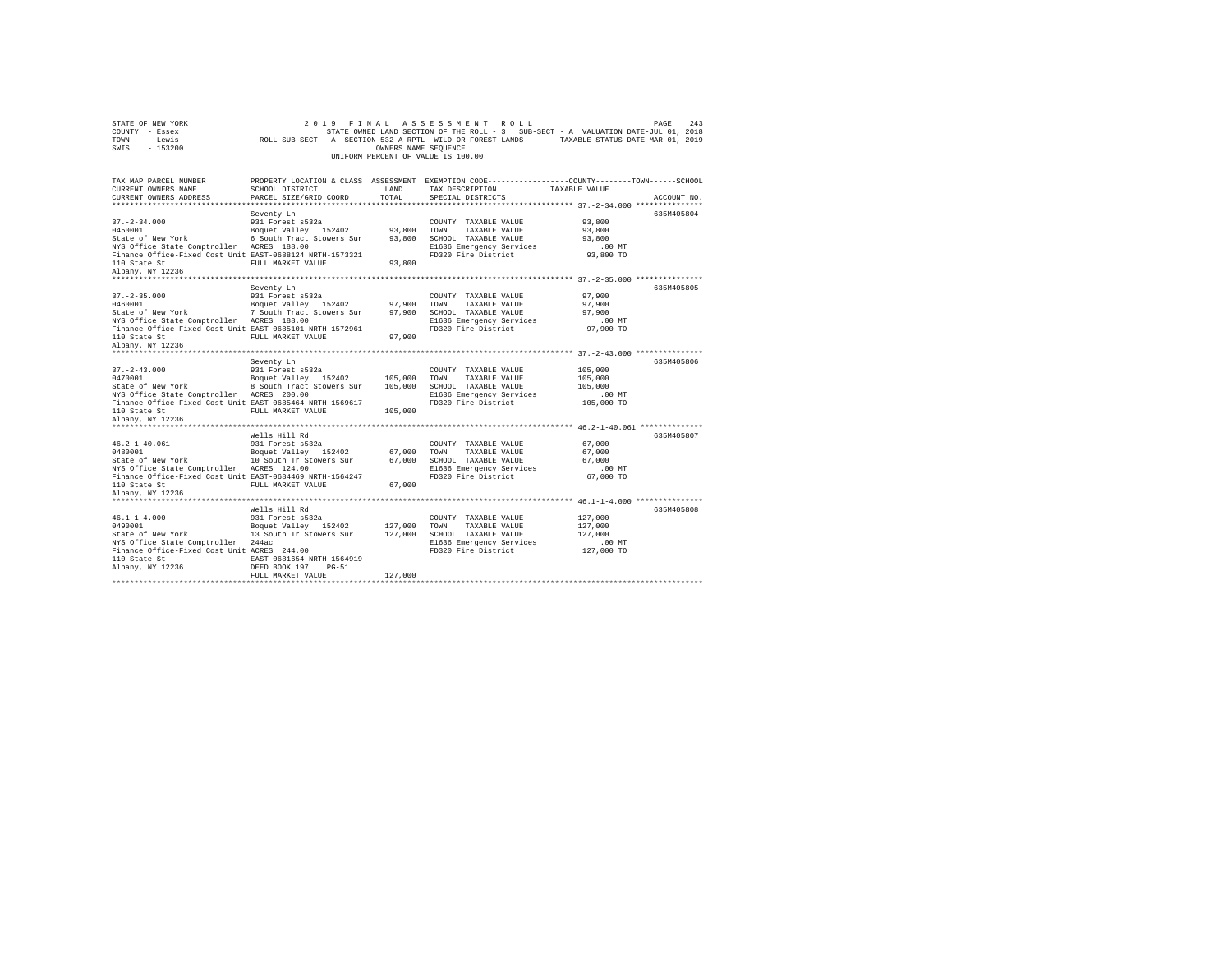| STATE OF NEW YORK<br>COUNTY - Essex<br>TOWN - Lewis<br>SWIS - 153200                                                                                                                                    |                                                                                                                                                               | OWNERS NAME SEQUENCE          | 2019 FINAL ASSESSMENT ROLL<br>STATE OWNED LAND SECTION OF THE ROLL - 3 SUB-SECT - A VALUATION DATE-JUL 01, 2018<br>ROLL SUB-SECT - A- SECTION 532-A RPTL WILD OR FOREST LANDS TAXABLE STATUS DATE-MAR 01, 2019<br>UNIFORM PERCENT OF VALUE IS 100.00 |                                                                                                              | 243<br>PAGE |
|---------------------------------------------------------------------------------------------------------------------------------------------------------------------------------------------------------|---------------------------------------------------------------------------------------------------------------------------------------------------------------|-------------------------------|------------------------------------------------------------------------------------------------------------------------------------------------------------------------------------------------------------------------------------------------------|--------------------------------------------------------------------------------------------------------------|-------------|
| TAX MAP PARCEL NUMBER<br>CURRENT OWNERS NAME<br>CURRENT OWNERS ADDRESS<br>************************                                                                                                      | SCHOOL DISTRICT<br>PARCEL SIZE/GRID COORD                                                                                                                     | LAND<br>TOTAL                 | PROPERTY LOCATION & CLASS ASSESSMENT EXEMPTION CODE----------------COUNTY-------TOWN------SCHOOL<br>TAX DESCRIPTION<br>SPECIAL DISTRICTS                                                                                                             | TAXABLE VALUE                                                                                                | ACCOUNT NO. |
| $37. - 2 - 34.000$<br>0450001<br>State of New York<br>NYS Office State Comptroller ACRES 188.00<br>Finance Office-Fixed Cost Unit EAST-0688124 NRTH-1573321<br>110 State St<br>Albany, NY 12236         | Seventy Ln<br>931 Forest s532a<br>Boquet Valley 152402<br>6 South Tract Stowers Sur<br>FULL MARKET VALUE                                                      | 93,800                        | COUNTY TAXABLE VALUE<br>93,800 TOWN TAXABLE VALUE<br>93,800 SCHOOL TAXABLE VALUE<br>E1636 Emergency Services<br>FD320 Fire District                                                                                                                  | 93,800<br>93,800<br>93,800<br>$.00$ MT<br>93,800 TO                                                          | 635M405804  |
| $37. - 2 - 35.000$<br>0460001<br>State of New York<br>NYS Office State Comptroller ACRES 188.00<br>Finance Office-Fixed Cost Unit EAST-0685101 NRTH-1572961<br>110 State St<br>Albany, NY 12236         | Seventy Ln<br>931 Forest s532a<br>Boquet Valley 152402<br>7 South Tract Stowers Sur<br>FULL MARKET VALUE                                                      | 97.900 TOWN<br>97,900         | COUNTY TAXABLE VALUE<br>TAXABLE VALUE<br>97,900 SCHOOL TAXABLE VALUE<br>E1636 Emergency Services<br>FD320 Fire District                                                                                                                              | 97,900<br>97.900<br>97,900<br>$.00$ MT<br>97,900 TO                                                          | 635M405805  |
| $37. - 2 - 43.000$<br>0470001<br>State of New York<br>NYS Office State Comptroller ACRES 200.00<br>Finance Office-Fixed Cost Unit EAST-0685464 NRTH-1569617<br>110 State St<br>Albany, NY 12236         | Seventy Ln<br>931 Forest s532a<br>Boquet Valley 152402 105,000 TOWN<br>8 South Tract Stowers Sur 105,000 SCHOOL TAXABLE VALUE<br>FULL MARKET VALUE            | 105,000                       | COUNTY TAXABLE VALUE<br>TAXABLE VALUE<br>E1636 Emergency Services<br>FD320 Fire District                                                                                                                                                             | 105,000<br>105,000<br>105,000<br>.00 MT<br>105,000 TO                                                        | 635M405806  |
| $46.2 - 1 - 40.061$<br>0480001<br>State of New York<br>NYS Office State Comptroller ACRES 124.00<br>Finance Office-Fixed Cost Unit EAST-0684469 NRTH-1564247<br>110 State St<br>Albany, NY 12236        | Wells Hill Rd<br>931 Forest s532a<br>Boquet Valley 152402<br>10 South Tr Stowers Sur<br>FULL MARKET VALUE                                                     | 67,000                        | COUNTY TAXABLE VALUE<br>67,000 TOWN TAXABLE VALUE<br>67,000 SCHOOL TAXABLE VALUE<br>E1636 Emergency Services<br>FD320 Fire District                                                                                                                  | 67,000<br>67,000<br>67,000<br>$.00$ MT<br>67,000 TO                                                          | 635M405807  |
| ************************<br>$46.1 - 1 - 4.000$<br>0490001<br>State of New York<br>NYS Office State Comptroller 244ac<br>Finance Office-Fixed Cost Unit ACRES 244.00<br>110 State St<br>Albany, NY 12236 | Wells Hill Rd<br>931 Forest s532a<br>Boquet Valley 152402<br>13 South Tr Stowers Sur<br>EAST-0681654 NRTH-1564919<br>DEED BOOK 197 PG-51<br>FULL MARKET VALUE | $127,000$ $-$ TOWN<br>127,000 | COUNTY TAXABLE VALUE<br>TAXABLE VALUE<br>127,000 SCHOOL TAXABLE VALUE<br>E1636 Emergency Services<br>FD320 Fire District                                                                                                                             | ******************** 46.1-1-4.000 ***************<br>127,000<br>127,000<br>127,000<br>$.00$ MT<br>127,000 TO | 635M405808  |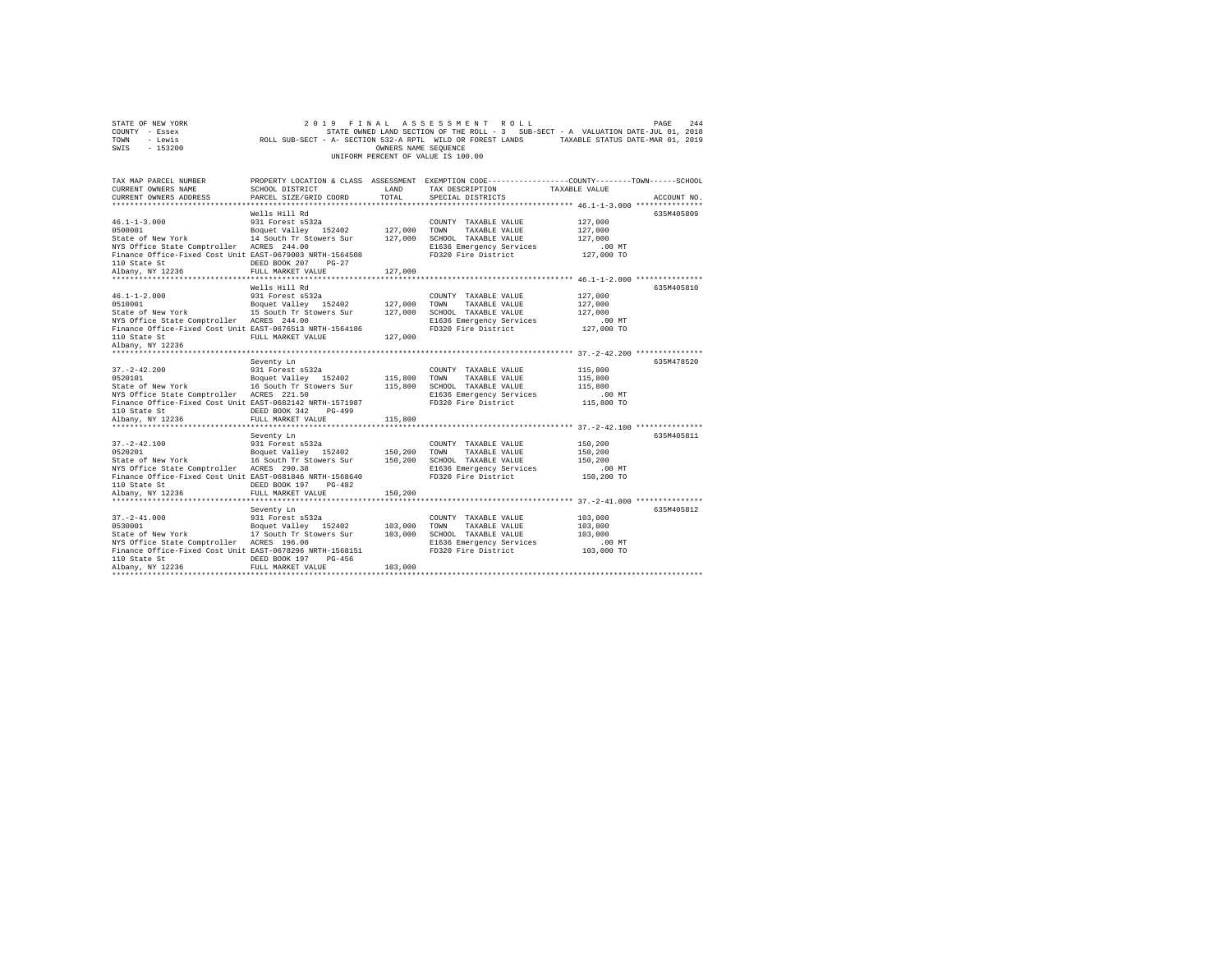| STATE OF NEW YORK<br>COUNTY - Essex<br>TOWN<br>- Lewis<br>SWIS<br>$-153200$                                                                                                                                                                                                                                                                                 | 2019 FINAL ASSESSMENT ROLL<br>STATE ONNED LAND SECTION OF THE ROLL -3 SUB-SECT - A VALUATION DATE-JUL 01, 2018<br>ROLL SUB-SECT - A - SECTION 532-A RPTL WILD OR FOREST LANDS TAXABLE STATUS DATE-MAR 01, 2019 | OWNERS NAME SEQUENCE | UNIFORM PERCENT OF VALUE IS 100.00                                                       |                                                       |             |
|-------------------------------------------------------------------------------------------------------------------------------------------------------------------------------------------------------------------------------------------------------------------------------------------------------------------------------------------------------------|----------------------------------------------------------------------------------------------------------------------------------------------------------------------------------------------------------------|----------------------|------------------------------------------------------------------------------------------|-------------------------------------------------------|-------------|
| TAX MAP PARCEL NUMBER<br>CURRENT OWNERS NAME<br>CURRENT OWNERS ADDRESS                                                                                                                                                                                                                                                                                      | PROPERTY LOCATION & CLASS ASSESSMENT EXEMPTION CODE---------------COUNTY-------TOWN------SCHOOL<br>SCHOOL DISTRICT<br>PARCEL SIZE/GRID COORD                                                                   | TOTAL                | LAND TAX DESCRIPTION TAXABLE VALUE<br>SPECIAL DISTRICTS                                  |                                                       | ACCOUNT NO. |
| $46.1 - 1 - 3.000$<br>0500001<br>State of New York 14 South Tr Stowers Sur 127,000 SCHOOL TAXABLE VALUE<br>NYS Office State Comptroller ACRES 244.00<br>Finance Office-Fixed Cost Unit EAST-0679003 NRTH-1564508<br>110 State St<br>Albany, NY 12236                                                                                                        | Wells Hill Rd<br>931 Forest s532a<br>Boquet Valley 152402 127,000 TOWN<br>DEED BOOK 207 PG-27<br>FULL MARKET VALUE                                                                                             | 127,000              | COUNTY TAXABLE VALUE<br>TAXABLE VALUE<br>E1636 Emergency Services<br>FD320 Fire District | 127,000<br>127,000<br>127,000<br>.00 MT<br>127,000 TO | 635M405809  |
| $46.1 - 1 - 2.000$<br>0510001<br>State of New York 15 South Tr Stowers Sur 127,000 SCHOOL TAXABLE VALUE<br>NYS Office State Comptroller ACRES 244.00<br>Finance Office-Fixed Cost Unit EAST-0676513 NRTH-1564186                                                                                                                                            | Wells Hill Rd<br>931 Forest s532a<br>Boquet Valley 152402 127,000 TOWN<br>FULL MARKET VALUE                                                                                                                    | 127,000              | COUNTY TAXABLE VALUE<br>TAXABLE VALUE<br>E1636 Emergency Services<br>FD320 Fire District | 127,000<br>127,000<br>127,000<br>.00 MT<br>127,000 TO | 635M405810  |
| $37. - 2 - 42.200$<br>91-12-422 115,800 TOWN TAXABLE VALUE<br>State of New York 16 South Tr Stowers Sur 115,800 SCHOOL TAXABLE VALUE<br>State of New York 16 South Tr Stowers Sur 115,800 SCHOOL TAXABLE VALUE<br>NYS Office State Comptroller ACRES 221.50<br>Finance Office-Fixed Cost Unit EAST-0682142 NRTH-1571987<br>110 State St<br>Albany, NY 12236 | Seventy Ln<br>931 Forest s532a<br>DEED BOOK 342 PG-499<br>FULL MARKET VALUE                                                                                                                                    | 115,800              | COUNTY TAXABLE VALUE<br>E1636 Emergency Services<br>FD320 Fire District                  | 115,800<br>115,800<br>115,800<br>.00 MT<br>115,800 TO | 635M478520  |
| 17.-2-42.100<br>931 Forest Boquet Valley 152402 150,200 TOWN TAXABLE VALUE<br>916 State of New York 16 South Tr Stowers Sur 150,200 SCHOOL TAXABLE VALUE<br>NYS Office State Comptroller ACRES 290.38<br>Finance Office-Fixed Cost Unit EAST-0681846 NRTH-1568640<br>110 State St<br>Albany, NY 12236                                                       | Seventy Ln<br>931 Forest s532a<br>DEED BOOK 197 PG-482<br>FULL MARKET VALUE                                                                                                                                    | 150,200              | E1636 Emergency Services<br>FD320 Fire District                                          | 150,200<br>150,200<br>150,200<br>.00MT<br>150,200 TO  | 635M405811  |
| $57.2-41.000$ 931 Forest s532a<br>0530001 Boquet Valley 152402 103,000 TOMN TAXABLE VALUE<br>91000 STADOL TAXABLE VALUE 17 South Tr Stowers Sur 103,000 SCHOOL TAXABLE VALUE<br>NYS Office State Comptroller ACRES 196.00<br>Finance Office-Fixed Cost Unit EAST-0678296 NRTH-1568151<br>110 State St<br>Albany, NY 12236                                   | Seventy Ln<br>DEED BOOK 197 PG-456<br>FULL MARKET VALUE                                                                                                                                                        | 103,000              | COUNTY TAXABLE VALUE<br>E1636 Emergency Services<br>FD320 Fire District                  | 103,000<br>103,000<br>103,000<br>.00 MT<br>103,000 TO | 635M405812  |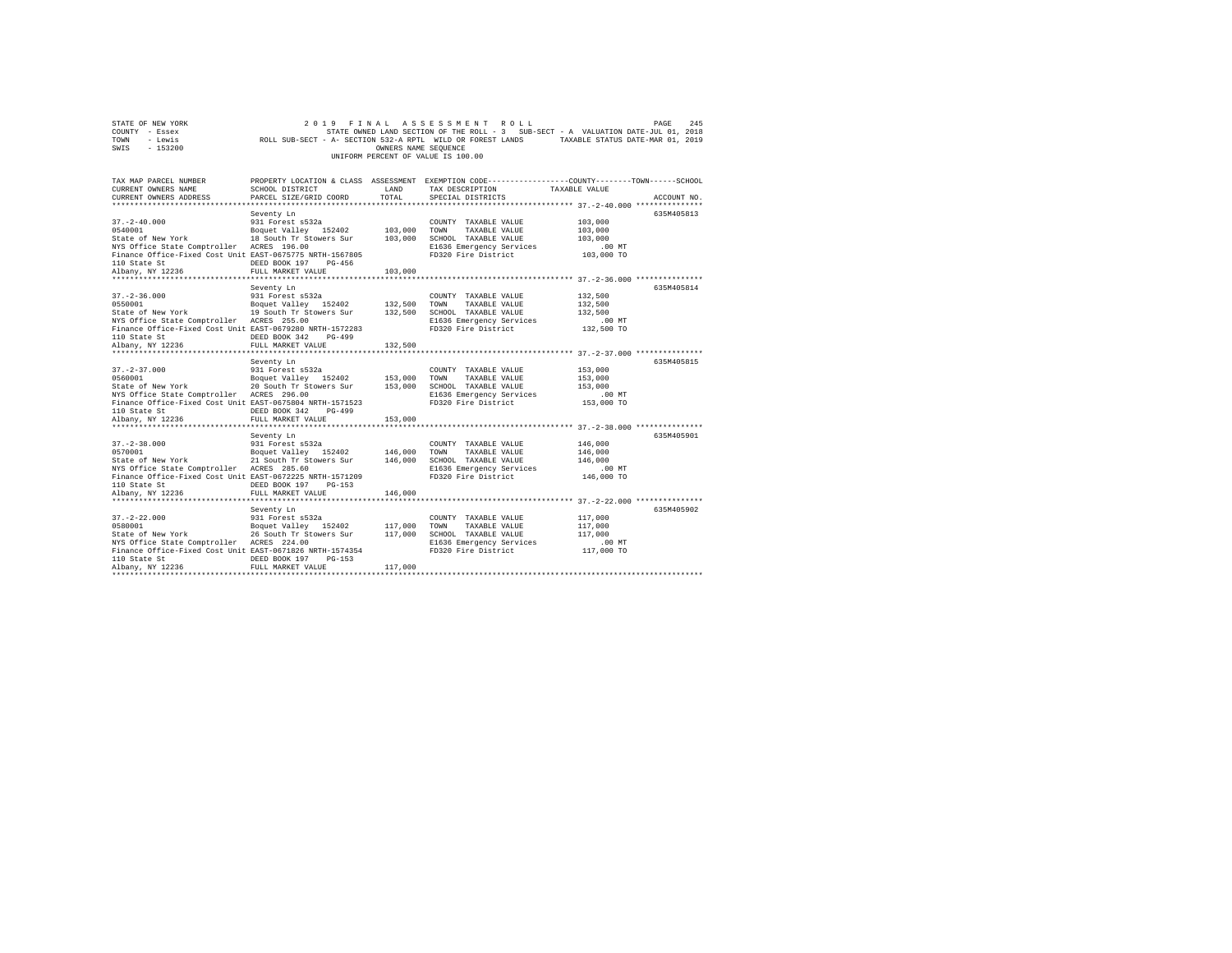|      | STATE OF NEW YORK |                                                            |  | 2019 FINAL ASSESSMENT ROLL         |  |                                                                                   | PAGE | 245 |
|------|-------------------|------------------------------------------------------------|--|------------------------------------|--|-----------------------------------------------------------------------------------|------|-----|
|      | COUNTY - Essex    |                                                            |  |                                    |  | STATE OWNED LAND SECTION OF THE ROLL - 3 SUB-SECT - A VALUATION DATE-JUL 01, 2018 |      |     |
| TOWN | - Lewis           | ROLL SUB-SECT - A- SECTION 532-A RPTL WILD OR FOREST LANDS |  |                                    |  | TAXABLE STATUS DATE-MAR 01, 2019                                                  |      |     |
| SWIS | - 153200          |                                                            |  | OWNERS NAME SEOUENCE               |  |                                                                                   |      |     |
|      |                   |                                                            |  | UNIFORM PERCENT OF VALUE IS 100.00 |  |                                                                                   |      |     |

| TAX MAP PARCEL NUMBER<br>CURRENT OWNERS NAME<br>CURRENT OWNERS ADDRESS   | SCHOOL DISTRICT<br>PARCEL SIZE/GRID COORD         | LAND<br>TOTAL | PROPERTY LOCATION & CLASS ASSESSMENT EXEMPTION CODE----------------COUNTY-------TOWN-----SCHOOL<br>TAX DESCRIPTION<br>SPECIAL DISTRICTS | TAXABLE VALUE                            | ACCOUNT NO |
|--------------------------------------------------------------------------|---------------------------------------------------|---------------|-----------------------------------------------------------------------------------------------------------------------------------------|------------------------------------------|------------|
|                                                                          |                                                   |               |                                                                                                                                         |                                          |            |
|                                                                          | Seventy Ln                                        |               |                                                                                                                                         |                                          | 635M405813 |
| $37. - 2 - 40.000$                                                       | 931 Forest s532a                                  |               | COUNTY TAXABLE VALUE                                                                                                                    | 103,000                                  |            |
|                                                                          |                                                   |               | TOWN<br>TAXABLE VALUE                                                                                                                   | 103,000                                  |            |
|                                                                          |                                                   |               | SCHOOL TAXABLE VALUE                                                                                                                    | 103,000                                  |            |
| NYS Office State Comptroller ACRES 196.00                                |                                                   |               | E1636 Emergency Services<br>FD320 Fire District                                                                                         | .00MT<br>$103,000$ TO                    |            |
| Finance Office-Fixed Cost Unit EAST-0675775 NRTH-1567805<br>110 State St | DEED BOOK 197<br>PG-456                           |               |                                                                                                                                         |                                          |            |
| Albany, NY 12236                                                         | FULL MARKET VALUE                                 | 103,000       |                                                                                                                                         |                                          |            |
|                                                                          | *********************                             | *********     |                                                                                                                                         | *********** 37. -2-36.000 ************** |            |
|                                                                          | Seventy Ln                                        |               |                                                                                                                                         |                                          | 635M405814 |
| $37. - 2 - 36.000$                                                       | 931 Forest s532a                                  |               | COUNTY TAXABLE VALUE                                                                                                                    | 132,500                                  |            |
| 0550001                                                                  | Boquet Valley 152402                              | 132,500 TOWN  | TAXABLE VALUE                                                                                                                           | 132,500                                  |            |
| State of New York 19 South Tr Stowers Sur                                |                                                   |               | 132,500 SCHOOL TAXABLE VALUE                                                                                                            | 132,500                                  |            |
| NYS Office State Comptroller ACRES 255.00                                |                                                   |               | E1636 Emergency Services                                                                                                                | .00 MT                                   |            |
| Finance Office-Fixed Cost Unit EAST-0679280 NRTH-1572283                 |                                                   |               | FD320 Fire District                                                                                                                     | 132,500 TO                               |            |
| 110 State St                                                             | DEED BOOK 342<br>PG-499                           |               |                                                                                                                                         |                                          |            |
| Albany, NY 12236                                                         | FULL MARKET VALUE                                 | 132,500       |                                                                                                                                         |                                          |            |
|                                                                          |                                                   |               |                                                                                                                                         |                                          | 635M405815 |
| $37. - 2 - 37.000$                                                       | Seventy Ln<br>931 Forest s532a                    |               | COUNTY TAXABLE VALUE                                                                                                                    | 153,000                                  |            |
| 0560001                                                                  | Portugales Source<br>Boquet Valley 152402 153,000 |               | TOWN<br>TAXABLE VALUE                                                                                                                   | 153,000                                  |            |
| State of New York 20 South Tr Stowers Sur 153,000                        |                                                   |               | SCHOOL TAXABLE VALUE                                                                                                                    | 153,000                                  |            |
| NYS Office State Comptroller ACRES 296.00                                |                                                   |               | E1636 Emergency Services                                                                                                                | $.00$ MT                                 |            |
| Finance Office-Fixed Cost Unit EAST-0675804 NRTH-1571523                 |                                                   |               | FD320 Fire District                                                                                                                     | 153,000 TO                               |            |
| 110 State St                                                             | DEED BOOK 342 PG-499                              |               |                                                                                                                                         |                                          |            |
| Albany, NY 12236                                                         | FULL MARKET VALUE                                 | 153,000       |                                                                                                                                         |                                          |            |
|                                                                          |                                                   |               |                                                                                                                                         |                                          |            |
|                                                                          | Seventy Ln                                        |               |                                                                                                                                         |                                          | 635M405901 |
|                                                                          |                                                   |               | COUNTY TAXABLE VALUE<br>TOWN                                                                                                            | 146,000<br>146,000                       |            |
|                                                                          |                                                   |               | TAXABLE VALUE<br>SCHOOL TAXABLE VALUE                                                                                                   | 146,000                                  |            |
| NYS Office State Comptroller ACRES 285.60                                |                                                   |               | E1636 Emergency Services                                                                                                                | $.00$ MT                                 |            |
| Finance Office-Fixed Cost Unit EAST-0672225 NRTH-1571209                 |                                                   |               | FD320 Fire District                                                                                                                     | 146,000 TO                               |            |
| 110 State St                                                             | DEED BOOK 197<br>PG-153                           |               |                                                                                                                                         |                                          |            |
| Albany, NY 12236                                                         | FULL MARKET VALUE                                 | 146,000       |                                                                                                                                         |                                          |            |
|                                                                          |                                                   |               |                                                                                                                                         |                                          |            |
|                                                                          | Seventy Ln                                        |               |                                                                                                                                         |                                          | 635M405902 |
|                                                                          |                                                   |               | COUNTY TAXABLE VALUE                                                                                                                    | 117,000                                  |            |
|                                                                          |                                                   | 117,000       | TOWN<br>TAXABLE VALUE                                                                                                                   | 117,000                                  |            |
| NYS Office State Comptroller ACRES 224.00                                |                                                   | 117,000       | SCHOOL TAXABLE VALUE                                                                                                                    | 117,000                                  |            |
| Finance Office-Fixed Cost Unit EAST-0671826 NRTH-1574354                 |                                                   |               | E1636 Emergency Services<br>FD320 Fire District                                                                                         | $.00$ MT<br>117,000 TO                   |            |
| 110 State St                                                             | DEED BOOK 197<br>$PG-153$                         |               |                                                                                                                                         |                                          |            |
| Albany, NY 12236                                                         | FULL MARKET VALUE                                 | 117,000       |                                                                                                                                         |                                          |            |
|                                                                          |                                                   |               |                                                                                                                                         |                                          |            |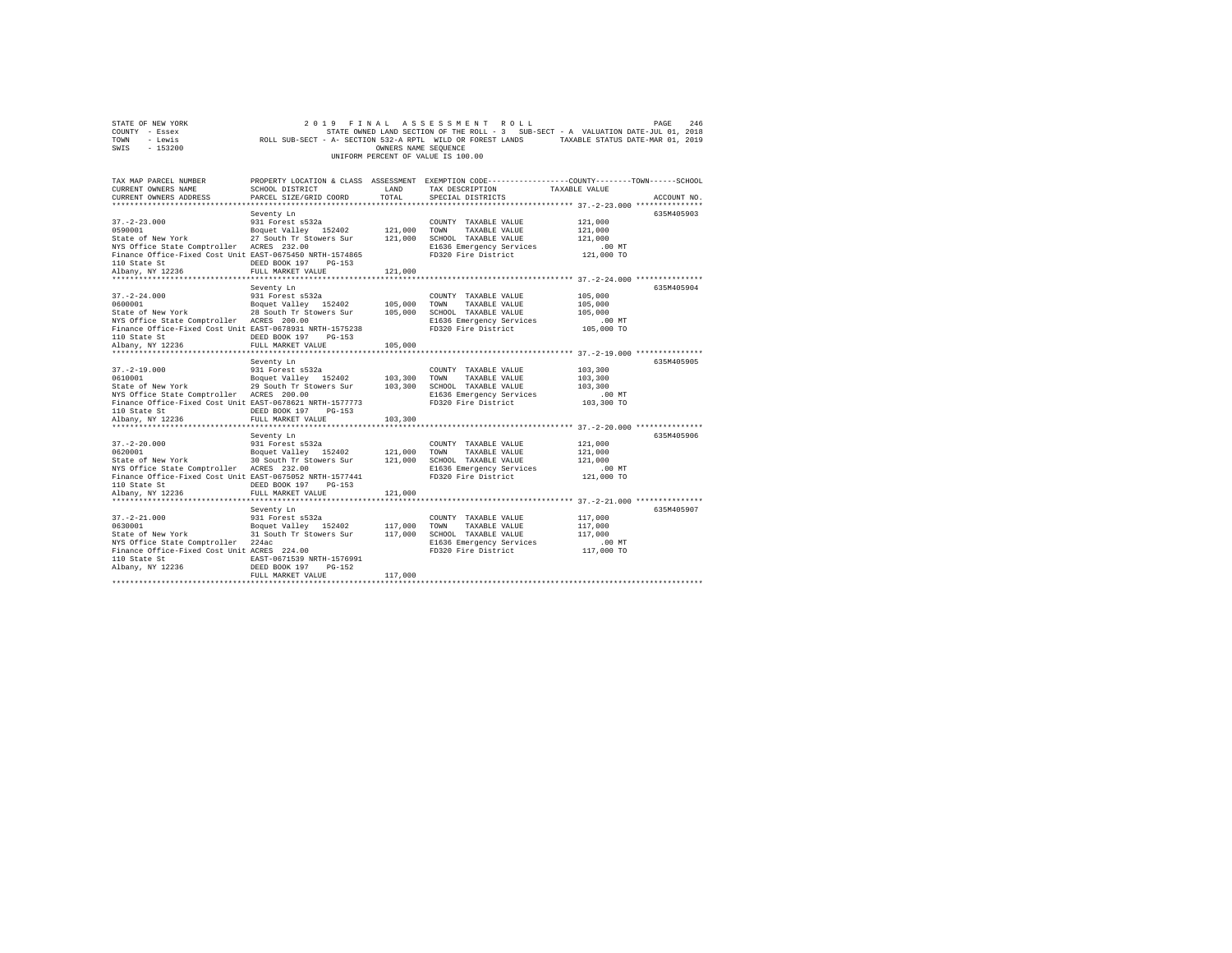|      | STATE OF NEW YORK |                                                            |  | 2019 FINAL ASSESSMENT ROLL         |  |                                                                                   | PAGE | 246 |
|------|-------------------|------------------------------------------------------------|--|------------------------------------|--|-----------------------------------------------------------------------------------|------|-----|
|      | COUNTY - Essex    |                                                            |  |                                    |  | STATE OWNED LAND SECTION OF THE ROLL - 3 SUB-SECT - A VALUATION DATE-JUL 01, 2018 |      |     |
| TOWN | - Lewis           | ROLL SUB-SECT - A- SECTION 532-A RPTL WILD OR FOREST LANDS |  |                                    |  | TAXABLE STATUS DATE-MAR 01, 2019                                                  |      |     |
| SWIS | - 153200          |                                                            |  | OWNERS NAME SEOUENCE               |  |                                                                                   |      |     |
|      |                   |                                                            |  | UNIFORM PERCENT OF VALUE IS 100.00 |  |                                                                                   |      |     |

| TAX MAP PARCEL NUMBER<br>CURRENT OWNERS NAME                                                                                       | SCHOOL DISTRICT                                 | LAND         | TAX DESCRIPTION                                 | PROPERTY LOCATION & CLASS ASSESSMENT EXEMPTION CODE---------------COUNTY-------TOWN-----SCHOOL<br>TAXABLE VALUE |  |
|------------------------------------------------------------------------------------------------------------------------------------|-------------------------------------------------|--------------|-------------------------------------------------|-----------------------------------------------------------------------------------------------------------------|--|
| CURRENT OWNERS ADDRESS                                                                                                             | PARCEL SIZE/GRID COORD                          | TOTAL        | SPECIAL DISTRICTS                               | ACCOUNT NO.                                                                                                     |  |
|                                                                                                                                    | Seventy Ln                                      |              |                                                 | 635M405903                                                                                                      |  |
| $37. - 2 - 23.000$                                                                                                                 | 931 Forest s532a                                |              | COUNTY TAXABLE VALUE                            | 121,000                                                                                                         |  |
| 0590001                                                                                                                            | Boquet Valley 152402                            | 121,000 TOWN | TAXABLE VALUE                                   | 121,000                                                                                                         |  |
| State of New York                                                                                                                  | 27 South Tr Stowers Sur 121,000                 |              | SCHOOL TAXABLE VALUE                            | 121,000                                                                                                         |  |
| NYS Office State Comptroller ACRES 232.00                                                                                          |                                                 |              | E1636 Emergency Services                        | $.00$ MT                                                                                                        |  |
| Finance Office-Fixed Cost Unit EAST-0675450 NRTH-1574865                                                                           |                                                 |              | FD320 Fire District                             | 121,000 TO                                                                                                      |  |
| 110 State St<br>Albany, NY 12236                                                                                                   | DEED BOOK 197 PG-153                            |              |                                                 |                                                                                                                 |  |
|                                                                                                                                    | FULL MARKET VALUE                               | 121,000      |                                                 |                                                                                                                 |  |
|                                                                                                                                    | Seventy Ln                                      |              |                                                 | 635M405904                                                                                                      |  |
| $37. - 2 - 24.000$                                                                                                                 | 931 Forest s532a                                |              | COUNTY TAXABLE VALUE                            | 105,000                                                                                                         |  |
| 0600001                                                                                                                            |                                                 | 105,000      | TOWN<br>TAXABLE VALUE                           | 105,000                                                                                                         |  |
| State of New York                                                                                                                  | Boquet Valley 152402<br>28 South Tr Stowers Sur | 105,000      | SCHOOL TAXABLE VALUE                            | 105,000                                                                                                         |  |
| NYS Office State Comptroller ACRES 200.00                                                                                          |                                                 |              | E1636 Emergency Services                        | $.00$ MT                                                                                                        |  |
| Finance Office-Fixed Cost Unit EAST-0678931 NRTH-1575238                                                                           |                                                 |              | FD320 Fire District                             | 105,000 TO                                                                                                      |  |
| 110 State St                                                                                                                       | DEED BOOK 197<br>$PG-153$                       |              |                                                 |                                                                                                                 |  |
| Albany, NY 12236                                                                                                                   | FULL MARKET VALUE                               | 105,000      |                                                 |                                                                                                                 |  |
|                                                                                                                                    |                                                 |              |                                                 |                                                                                                                 |  |
|                                                                                                                                    | Seventy Ln                                      |              |                                                 | 635M405905                                                                                                      |  |
|                                                                                                                                    |                                                 | 103,300 TOWN | COUNTY TAXABLE VALUE                            | 103,300                                                                                                         |  |
| 37.-2-19.000 931 Forest s532a<br>0610001 013/300 Boquet Valley 152402 103,300<br>State of New York 29 South Tr Stowers Sur 103,300 |                                                 |              | TAXABLE VALUE<br>SCHOOL TAXABLE VALUE           | 103,300<br>103,300                                                                                              |  |
| NYS Office State Comptroller ACRES 200.00                                                                                          |                                                 |              |                                                 | $.00$ MT                                                                                                        |  |
| Finance Office-Fixed Cost Unit EAST-0678621 NRTH-1577773                                                                           |                                                 |              | E1636 Emergency Services<br>FD320 Fire District | 103,300 TO                                                                                                      |  |
| 110 State St                                                                                                                       | DEED BOOK 197<br>$PG-153$                       |              |                                                 |                                                                                                                 |  |
| Albany, NY 12236                                                                                                                   | FULL MARKET VALUE                               | 103,300      |                                                 |                                                                                                                 |  |
|                                                                                                                                    |                                                 |              |                                                 |                                                                                                                 |  |
|                                                                                                                                    | Seventy Ln                                      |              |                                                 | 635M405906                                                                                                      |  |
| $37. - 2 - 20.000$                                                                                                                 | 931 Forest s532a                                |              | COUNTY TAXABLE VALUE                            | 121,000                                                                                                         |  |
| 0620001<br>Boquet Valley 152402 121,000 TOWN<br>State of New York 30 South Tr Stowers Sur 121,000 SCHOO                            |                                                 |              | TAXABLE VALUE                                   | 121,000                                                                                                         |  |
|                                                                                                                                    |                                                 |              | SCHOOL TAXABLE VALUE                            | 121,000                                                                                                         |  |
| NYS Office State Comptroller ACRES 232.00                                                                                          |                                                 |              | E1636 Emergency Services                        | $.00$ MT                                                                                                        |  |
| Finance Office-Fixed Cost Unit EAST-0675052 NRTH-1577441<br>110 State St                                                           | DEED BOOK 197                                   |              | FD320 Fire District                             | 121,000 TO                                                                                                      |  |
| Albany, NY 12236                                                                                                                   | $PG-153$<br>FULL MARKET VALUE                   | 121,000      |                                                 |                                                                                                                 |  |
| *************************                                                                                                          | ****************************                    | ************ |                                                 | ********************************** 37.-2-21.000 ***************                                                 |  |
|                                                                                                                                    | Seventy Ln                                      |              |                                                 | 635M405907                                                                                                      |  |
| $37. - 2 - 21.000$                                                                                                                 | 931 Forest s532a                                |              | COUNTY TAXABLE VALUE                            | 117,000                                                                                                         |  |
| 0630001                                                                                                                            | Boquet Valley 152402                            | 117,000      | TOWN<br>TAXABLE VALUE                           | 117,000                                                                                                         |  |
| State of New York                                                                                                                  | 31 South Tr Stowers Sur 117,000                 |              | SCHOOL TAXABLE VALUE                            | 117,000                                                                                                         |  |
| NYS Office State Comptroller 224ac                                                                                                 |                                                 |              | E1636 Emergency Services                        | $.00$ MT                                                                                                        |  |
| Finance Office-Fixed Cost Unit ACRES 224.00                                                                                        |                                                 |              | FD320 Fire District                             | 117,000 TO                                                                                                      |  |
| 110 State St                                                                                                                       | EAST-0671539 NRTH-1576991                       |              |                                                 |                                                                                                                 |  |
| Albany, NY 12236                                                                                                                   | DEED BOOK 197<br>$PG-152$                       |              |                                                 |                                                                                                                 |  |
|                                                                                                                                    | FULL MARKET VALUE                               | 117,000      |                                                 |                                                                                                                 |  |
|                                                                                                                                    |                                                 |              |                                                 |                                                                                                                 |  |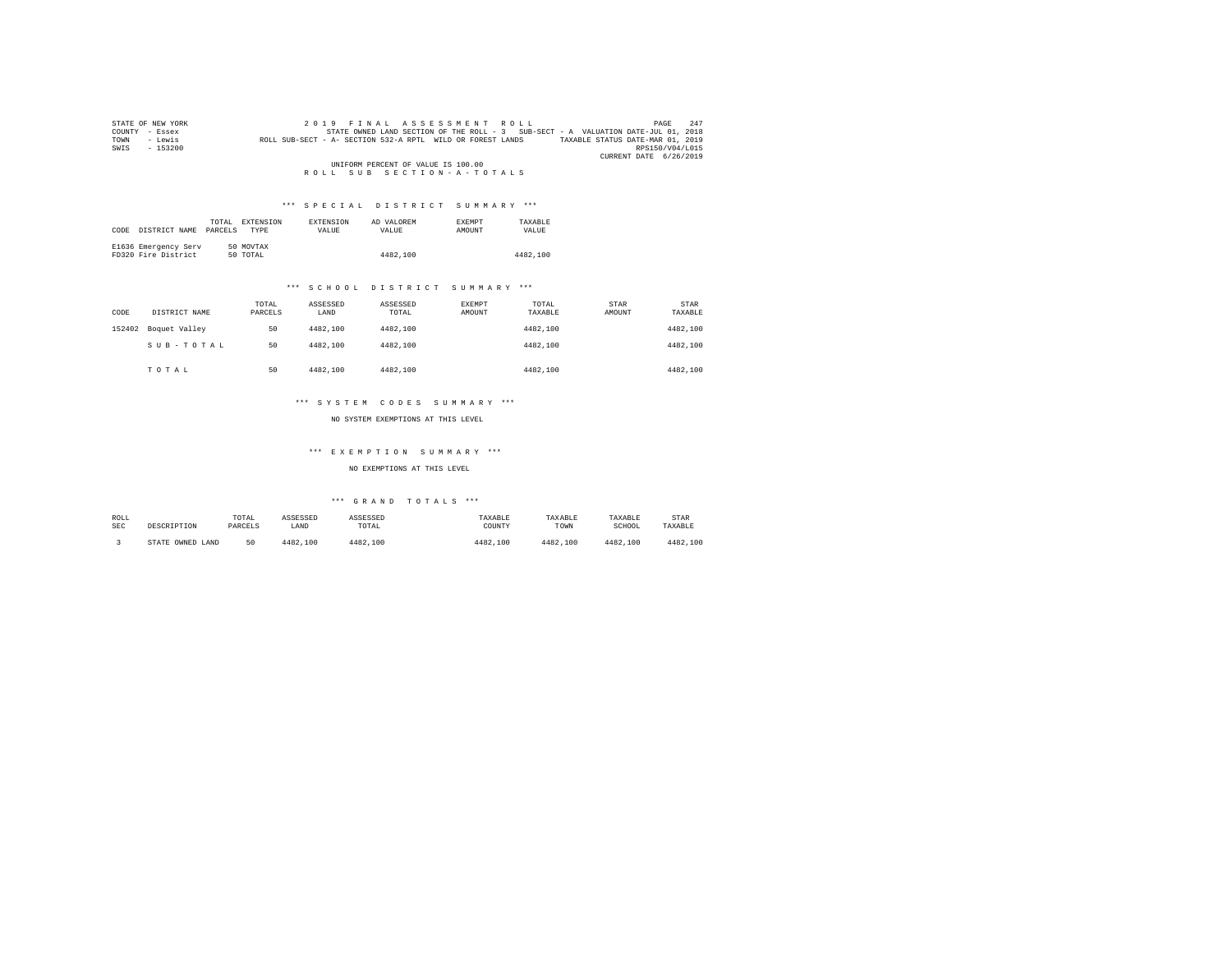|                | STATE OF NEW YORK | 2019 FINAL ASSESSMENT ROLL                                                                     | 247<br>PAGE            |
|----------------|-------------------|------------------------------------------------------------------------------------------------|------------------------|
| COUNTY - Essex |                   | STATE OWNED LAND SECTION OF THE ROLL - 3 SUB-SECT - A VALUATION DATE-JUL 01, 2018              |                        |
| TOWN           | - Lewis           | ROLL SUB-SECT - A- SECTION 532-A RPTL WILD OR FOREST LANDS<br>TAXABLE STATUS DATE-MAR 01, 2019 |                        |
| SWIS           | $-153200$         |                                                                                                | RPS150/V04/L015        |
|                |                   |                                                                                                | CURRENT DATE 6/26/2019 |
|                |                   | UNIFORM PERCENT OF VALUE IS 100.00                                                             |                        |
|                |                   | ROLL SUB SECTION-A-TOTALS                                                                      |                        |

| CODE | DISTRICT NAME                               | TOTAL.<br>PARCELS | EXTENSION<br><b>TYPE</b> | <b>EXTENSION</b><br>VALUE | AD VALOREM<br>VALUE | <b>EXEMPT</b><br>AMOUNT | TAXARLE<br>VALUE |
|------|---------------------------------------------|-------------------|--------------------------|---------------------------|---------------------|-------------------------|------------------|
|      | E1636 Emergency Serv<br>FD320 Fire District |                   | 50 MOVTAX<br>50 TOTAL    |                           | 4482,100            |                         | 4482.100         |

## \*\*\* S C H O O L D I S T R I C T S U M M A R Y \*\*\*

| CODE   | DISTRICT NAME | TOTAL<br>PARCELS | ASSESSED<br>LAND | ASSESSED<br>TOTAL | EXEMPT<br>AMOUNT | TOTAL<br>TAXABLE | STAR<br>AMOUNT | STAR<br>TAXABLE |
|--------|---------------|------------------|------------------|-------------------|------------------|------------------|----------------|-----------------|
| 152402 | Boquet Valley | 50               | 4482.100         | 4482,100          |                  | 4482.100         |                | 4482,100        |
|        | SUB-TOTAL     | 50               | 4482.100         | 4482.100          |                  | 4482.100         |                | 4482,100        |
|        | TOTAL         | 50               | 4482.100         | 4482.100          |                  | 4482.100         |                | 4482,100        |

## \*\*\* S Y S T E M C O D E S S U M M A R Y \*\*\*

NO SYSTEM EXEMPTIONS AT THIS LEVEL

## \*\*\* E X E M P T I O N S U M M A R Y \*\*\*

NO EXEMPTIONS AT THIS LEVEL

| ROLL       | DESCRIPTION         | TOTAL   | ASSESSED | ASSESSED | TAXABLE  | TAXABLE  | TAXABLE  | STAR     |
|------------|---------------------|---------|----------|----------|----------|----------|----------|----------|
| <b>SEC</b> |                     | PARCELS | LAND     | TOTAL    | COUNTY   | TOWN     | SCHOOL   | TAXABLE  |
|            | OWNED LAND<br>STATE | 50      | 4482.100 | 4482.100 | 4482.100 | 4482.100 | 4482,100 | 4482.100 |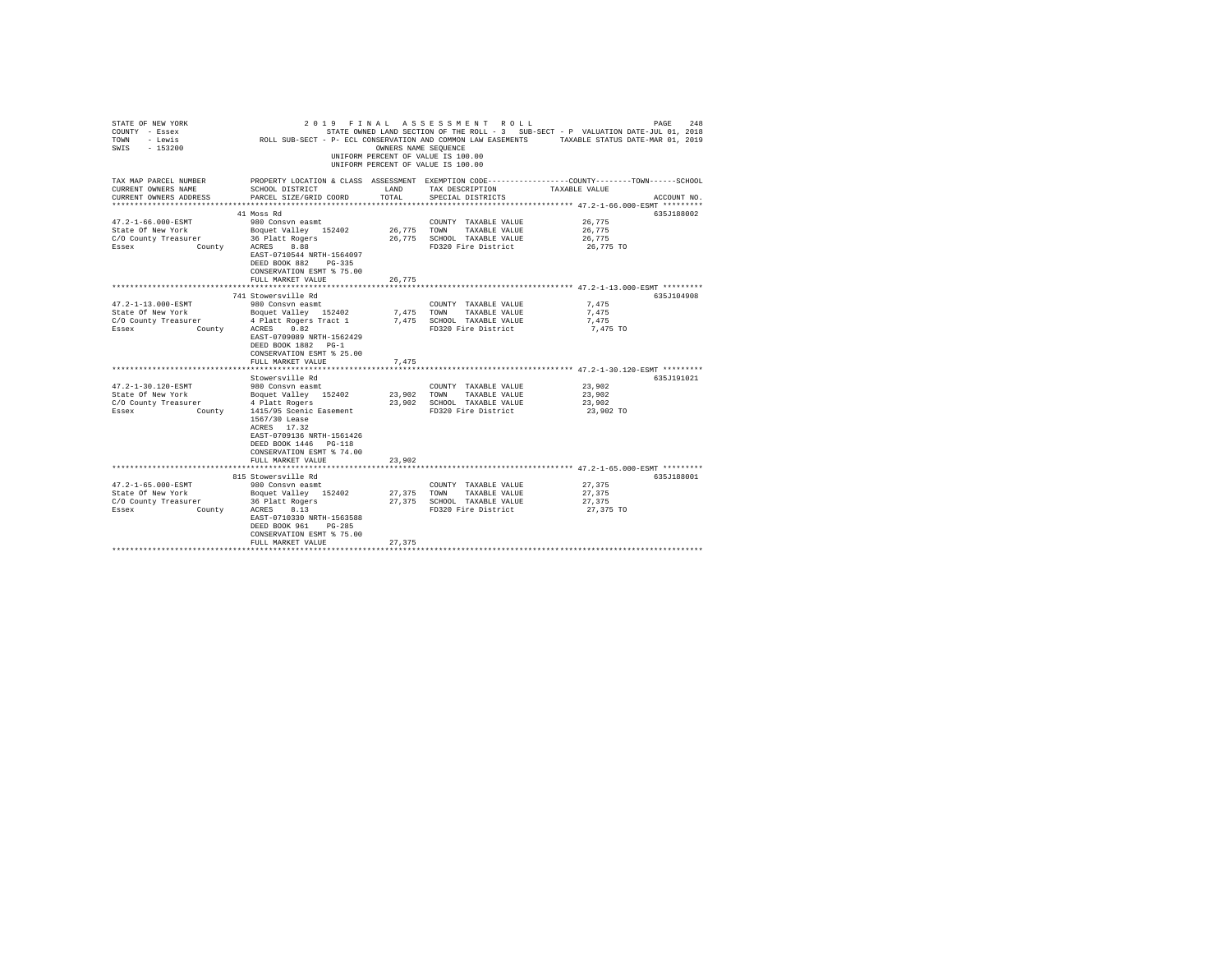| STATE OF NEW YORK<br>COUNTY - Essex<br>- Lewis<br>TOWN<br>SWIS<br>$-153200$ |                                                                                                                                              | OWNERS NAME SEQUENCE | 2019 FINAL ASSESSMENT ROLL<br>UNIFORM PERCENT OF VALUE IS 100.00<br>UNIFORM PERCENT OF VALUE IS 100.00 | PAGE<br>248<br>STATE OWNED LAND SECTION OF THE ROLL - 3 SUB-SECT - P VALUATION DATE-JUL 01, 2018<br>ROLL SUB-SECT - P- ECL CONSERVATION AND COMMON LAW EASEMENTS TAXABLE STATUS DATE-MAR 01, 2019 |
|-----------------------------------------------------------------------------|----------------------------------------------------------------------------------------------------------------------------------------------|----------------------|--------------------------------------------------------------------------------------------------------|---------------------------------------------------------------------------------------------------------------------------------------------------------------------------------------------------|
| TAX MAP PARCEL NUMBER<br>CURRENT OWNERS NAME                                | SCHOOL DISTRICT                                                                                                                              | LAND                 | TAX DESCRIPTION                                                                                        | PROPERTY LOCATION & CLASS ASSESSMENT EXEMPTION CODE---------------COUNTY-------TOWN-----SCHOOL<br>TAXABLE VALUE                                                                                   |
| CURRENT OWNERS ADDRESS                                                      | PARCEL SIZE/GRID COORD                                                                                                                       | TOTAL                | SPECIAL DISTRICTS                                                                                      | ACCOUNT NO.                                                                                                                                                                                       |
|                                                                             | 41 Moss Rd                                                                                                                                   |                      |                                                                                                        | 635J188002                                                                                                                                                                                        |
| 47.2-1-66.000-ESMT                                                          | 980 Consyn easmt                                                                                                                             |                      | COUNTY TAXABLE VALUE                                                                                   | 26.775                                                                                                                                                                                            |
| State Of New York                                                           | Boquet Valley 152402                                                                                                                         | 26.775               | TAXABLE VALUE<br>TOWN                                                                                  | 26.775                                                                                                                                                                                            |
| C/O County Treasurer                                                        | 36 Platt Rogers<br>8.88                                                                                                                      |                      | 26.775 SCHOOL TAXABLE VALUE<br>FD320 Fire District                                                     | 26,775<br>26,775 TO                                                                                                                                                                               |
| Essex<br>County                                                             | ACRES<br>EAST-0710544 NRTH-1564097<br>DEED BOOK 882 PG-335<br>CONSERVATION ESMT % 75.00                                                      |                      |                                                                                                        |                                                                                                                                                                                                   |
|                                                                             | FULL MARKET VALUE                                                                                                                            | 26.775               |                                                                                                        |                                                                                                                                                                                                   |
|                                                                             | 741 Stowersville Rd                                                                                                                          |                      |                                                                                                        | 635.T104908                                                                                                                                                                                       |
| 47.2-1-13.000-ESMT                                                          | 980 Consvn easmt                                                                                                                             |                      | COUNTY TAXABLE VALUE                                                                                   | 7.475                                                                                                                                                                                             |
| State Of New York                                                           | Boquet Valley 152402                                                                                                                         | 7.475                | TOWN<br>TAXABLE VALUE                                                                                  | 7.475                                                                                                                                                                                             |
| C/O County Treasurer                                                        | 4 Platt Rogers Tract 1                                                                                                                       |                      | 7,475 SCHOOL TAXABLE VALUE                                                                             | 7.475                                                                                                                                                                                             |
| County<br>Essex                                                             | 0.82<br>ACRES                                                                                                                                |                      | FD320 Fire District                                                                                    | 7,475 TO                                                                                                                                                                                          |
|                                                                             | EAST-0709089 NRTH-1562429<br>DEED BOOK 1882 PG-1<br>CONSERVATION ESMT % 25.00<br>FULL MARKET VALUE                                           | 7,475                |                                                                                                        |                                                                                                                                                                                                   |
|                                                                             |                                                                                                                                              |                      |                                                                                                        |                                                                                                                                                                                                   |
|                                                                             | Stowersville Rd                                                                                                                              |                      |                                                                                                        | 635J191021                                                                                                                                                                                        |
| 47.2-1-30.120-ESMT                                                          | 980 Consvn easmt                                                                                                                             |                      | COUNTY TAXABLE VALUE                                                                                   | 23,902                                                                                                                                                                                            |
| State Of New York                                                           | Boquet Valley 152402                                                                                                                         | 23,902               | TOWN<br>TAXABLE VALUE                                                                                  | 23,902                                                                                                                                                                                            |
| C/O County Treasurer                                                        | 4 Platt Rogers                                                                                                                               |                      | 23,902 SCHOOL TAXABLE VALUE                                                                            | 23,902                                                                                                                                                                                            |
| County<br>Essex                                                             | 1415/95 Scenic Easement<br>1567/30 Lease<br>ACRES 17.32<br>EAST-0709136 NRTH-1561426<br>DEED BOOK 1446   PG-118<br>CONSERVATION ESMT % 74.00 |                      | FD320 Fire District                                                                                    | 23,902 TO                                                                                                                                                                                         |
|                                                                             | FULL MARKET VALUE                                                                                                                            | 23,902               |                                                                                                        |                                                                                                                                                                                                   |
|                                                                             | 815 Stowersville Rd                                                                                                                          |                      |                                                                                                        | 635J188001                                                                                                                                                                                        |
| 47.2-1-65.000-ESMT                                                          | 980 Consyn easmt                                                                                                                             |                      | COUNTY TAXABLE VALUE                                                                                   | 27.375                                                                                                                                                                                            |
| State Of New York                                                           | Boquet Valley 152402                                                                                                                         | 27.375               | TOWN<br>TAXABLE VALUE                                                                                  | 27.375                                                                                                                                                                                            |
| C/O County Treasurer                                                        | 36 Platt Rogers                                                                                                                              | 27,375               | SCHOOL TAXABLE VALUE                                                                                   | 27,375                                                                                                                                                                                            |
| Essex<br>County                                                             | ACRES 8.13<br>EAST-0710330 NRTH-1563588<br>DEED BOOK 961 PG-285<br>CONSERVATION ESMT % 75.00                                                 |                      | FD320 Fire District                                                                                    | 27,375 TO                                                                                                                                                                                         |
|                                                                             | FULL MARKET VALUE                                                                                                                            | 27.375               |                                                                                                        |                                                                                                                                                                                                   |
|                                                                             |                                                                                                                                              |                      |                                                                                                        |                                                                                                                                                                                                   |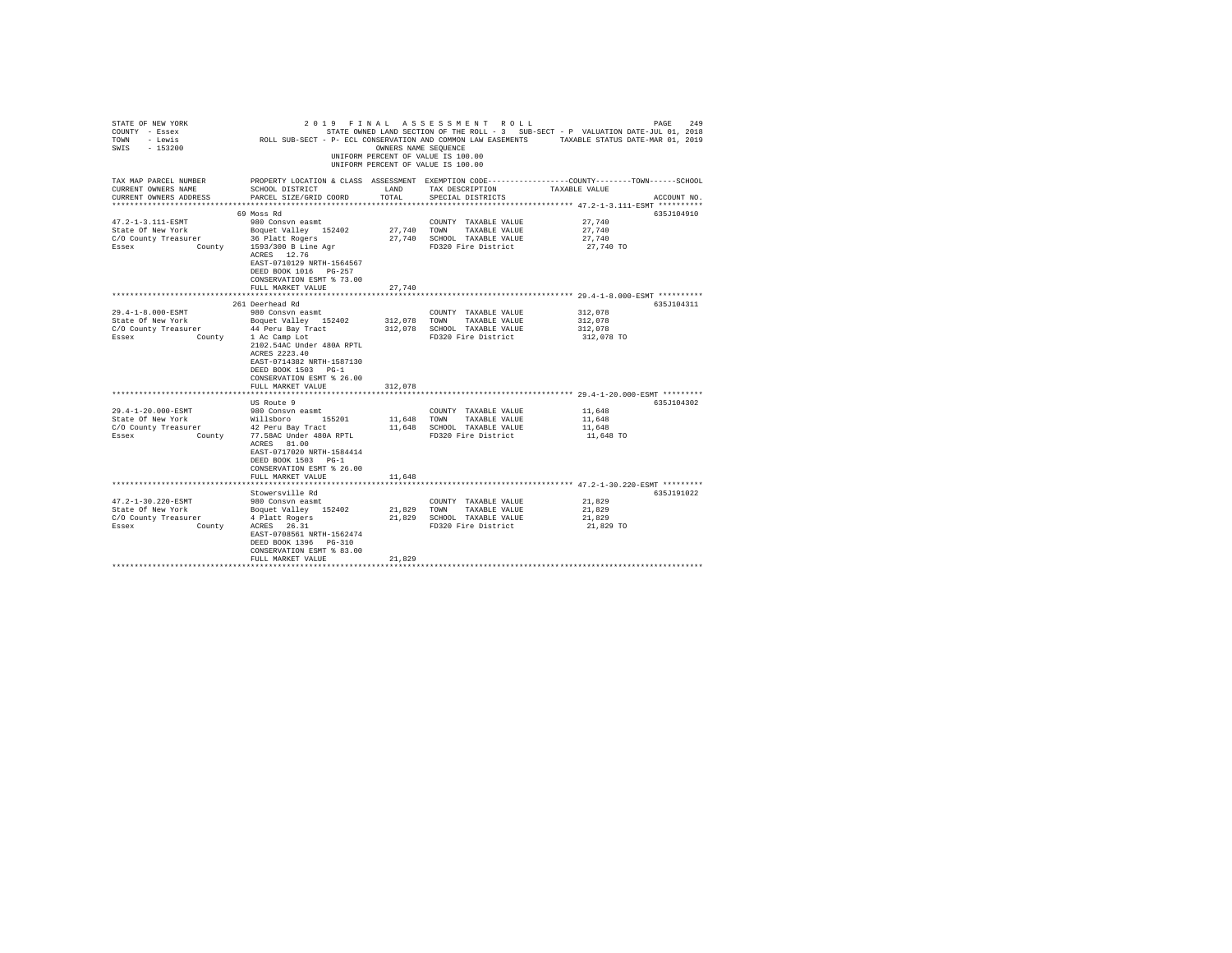| STATE OF NEW YORK<br>COUNTY - Essex<br>TOWN - Lewis<br>SWIS<br>$-153200$                                                                                                |                                                                                                                                                                                                                                                                                                                                                                                                                                                                                  | OWNERS NAME SEQUENCE                                        | 2019 FINAL ASSESSMENT ROLL<br>UNIFORM PERCENT OF VALUE IS 100.00<br>UNIFORM PERCENT OF VALUE IS 100.00                                                                                    | PAGE<br>249<br>STATE OWNED LAND SECTION OF THE ROLL - 3 SUB-SECT - P VALUATION DATE-JUL 01, 2018<br>ROLL SUB-SECT - P- ECL CONSERVATION AND COMMON LAW EASEMENTS TAXABLE STATUS DATE-MAR 01, 2019 |
|-------------------------------------------------------------------------------------------------------------------------------------------------------------------------|----------------------------------------------------------------------------------------------------------------------------------------------------------------------------------------------------------------------------------------------------------------------------------------------------------------------------------------------------------------------------------------------------------------------------------------------------------------------------------|-------------------------------------------------------------|-------------------------------------------------------------------------------------------------------------------------------------------------------------------------------------------|---------------------------------------------------------------------------------------------------------------------------------------------------------------------------------------------------|
| TAX MAP PARCEL NUMBER<br>CURRENT OWNERS NAME<br>CURRENT OWNERS ADDRESS<br>**********************                                                                        | SCHOOL DISTRICT<br>PARCEL SIZE/GRID COORD                                                                                                                                                                                                                                                                                                                                                                                                                                        | LAND<br>TOTAL                                               | TAX DESCRIPTION<br>SPECIAL DISTRICTS                                                                                                                                                      | PROPERTY LOCATION & CLASS ASSESSMENT EXEMPTION CODE---------------COUNTY-------TOWN------SCHOOL<br>TAXABLE VALUE<br>ACCOUNT NO.<br>************************** 47.2-1-3.111-ESMT **********        |
| $47.2 - 1 - 3.111 - ESMT$<br>State Of New York<br>C/O County Treasurer<br>Essex<br>County                                                                               | 69 Moss Rd<br>980 Consyn easmt<br>Boquet Valley 152402<br>36 Platt Rogers<br>1593/300 B Line Agr<br>ACRES 12.76<br>EAST-0710129 NRTH-1564567<br>DEED BOOK 1016 PG-257<br>CONSERVATION ESMT % 73.00<br>FULL MARKET VALUE                                                                                                                                                                                                                                                          | 27,740<br>27.740<br>27.740                                  | COUNTY TAXABLE VALUE<br>TAXABLE VALUE<br>TOWN<br>SCHOOL TAXABLE VALUE<br>FD320 Fire District                                                                                              | 635J104910<br>27.740<br>27,740<br>27.740<br>27,740 TO                                                                                                                                             |
|                                                                                                                                                                         |                                                                                                                                                                                                                                                                                                                                                                                                                                                                                  |                                                             |                                                                                                                                                                                           |                                                                                                                                                                                                   |
| 29.4-1-8.000-ESMT<br>State Of New York<br>C/O County Treasurer<br>Essex<br>County<br>29.4-1-20.000-ESMT<br>State Of New York<br>C/O County Treasurer<br>Essex<br>County | 261 Deerhead Rd<br>980 Consyn easmt<br>Boquet Valley 152402<br>44 Peru Bay Tract<br>1 Ac Camp Lot<br>2102.54AC Under 480A RPTL<br>ACRES 2223.40<br>EAST-0714382 NRTH-1587130<br>DEED BOOK 1503 PG-1<br>CONSERVATION ESMT % 26.00<br>FULL MARKET VALUE<br>US Route 9<br>980 Consyn easmt<br>Willsboro 155201<br>42 Peru Bay Tract<br>77.58AC Under 480A RPTL<br>ACRES 81.00<br>EAST-0717020 NRTH-1584414<br>DEED BOOK 1503 PG-1<br>CONSERVATION ESMT % 26.00<br>FULL MARKET VALUE | 312,078<br>312,078<br>312,078<br>11,648<br>11,648<br>11,648 | COUNTY TAXABLE VALUE<br>TOWN<br>TAXABLE VALUE<br>SCHOOL TAXABLE VALUE<br>FD320 Fire District<br>COUNTY TAXABLE VALUE<br>TOWN TAXABLE VALUE<br>SCHOOL TAXABLE VALUE<br>FD320 Fire District | 635J104311<br>312,078<br>312,078<br>312,078<br>312,078 TO<br>635J104302<br>11,648<br>11,648<br>11,648<br>11,648 TO                                                                                |
|                                                                                                                                                                         |                                                                                                                                                                                                                                                                                                                                                                                                                                                                                  |                                                             |                                                                                                                                                                                           |                                                                                                                                                                                                   |
| 47.2-1-30.220-ESMT<br>State Of New York<br>C/O County Treasurer<br>Essex<br>County                                                                                      | Stowersville Rd<br>980 Consyn easmt<br>Boquet Valley 152402<br>4 Platt Rogers<br>ACRES 26.31<br>EAST-0708561 NRTH-1562474<br>DEED BOOK 1396 PG-310<br>CONSERVATION ESMT % 83.00<br>FULL MARKET VALUE                                                                                                                                                                                                                                                                             | 21,829<br>21,829<br>21,829                                  | COUNTY TAXABLE VALUE<br>TAXABLE VALUE<br>TOWN<br>SCHOOL TAXABLE VALUE<br>FD320 Fire District                                                                                              | 635J191022<br>21,829<br>21,829<br>21,829<br>21,829 TO                                                                                                                                             |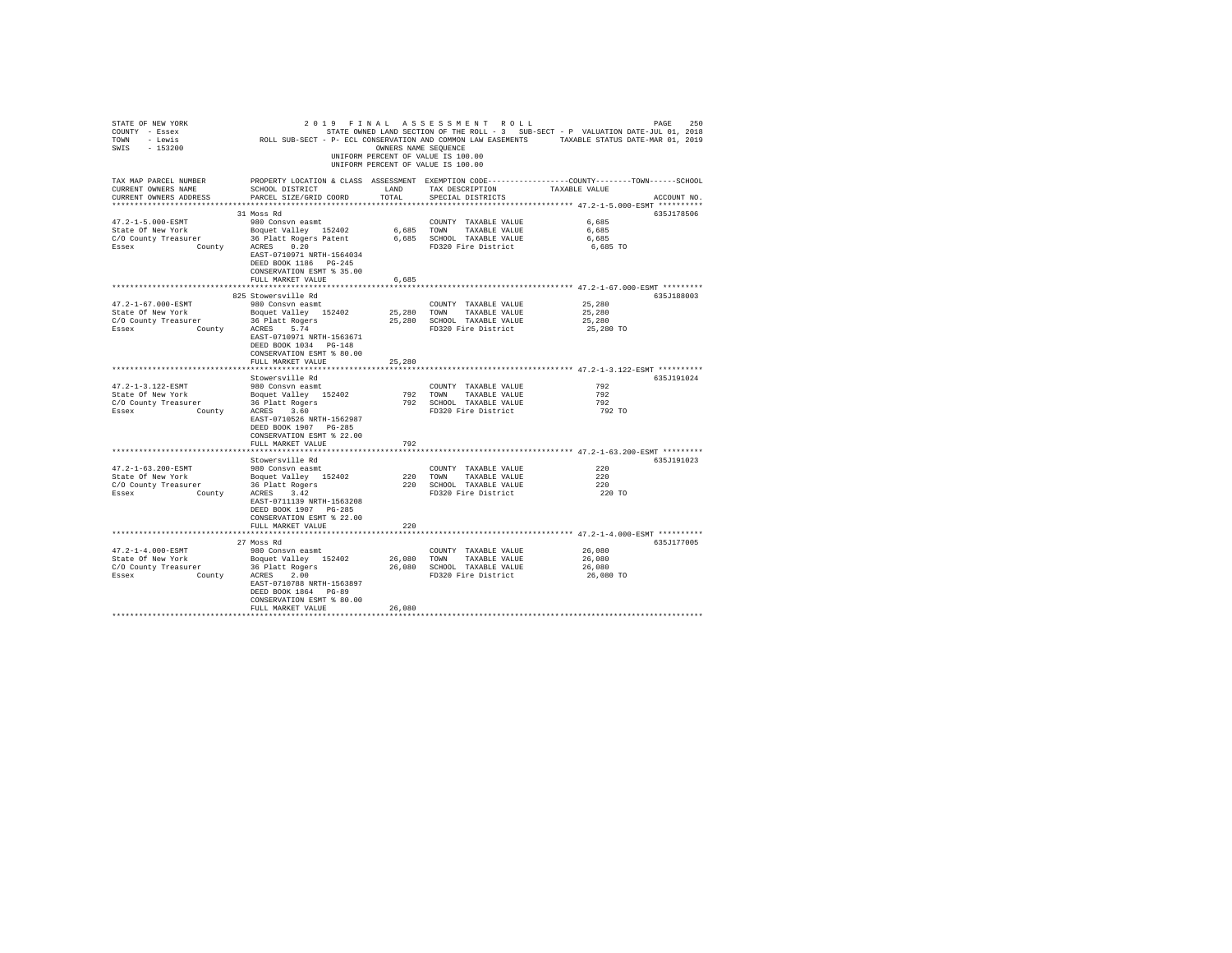| STATE OF NEW YORK<br>COUNTY - Essex<br>- Lewis<br>TOWN<br>SWIS<br>$-153200$ | ROLL SUB-SECT - P- ECL CONSERVATION AND COMMON LAW EASEMENTS TAXABLE STATUS DATE-MAR 01, 2019                                                | OWNERS NAME SEQUENCE | 2019 FINAL ASSESSMENT ROLL<br>UNIFORM PERCENT OF VALUE IS 100.00<br>UNIFORM PERCENT OF VALUE IS 100.00 | STATE OWNED LAND SECTION OF THE ROLL - 3 SUB-SECT - P VALUATION DATE-JUL 01, 2018 | 250<br>PAGE |
|-----------------------------------------------------------------------------|----------------------------------------------------------------------------------------------------------------------------------------------|----------------------|--------------------------------------------------------------------------------------------------------|-----------------------------------------------------------------------------------|-------------|
| TAX MAP PARCEL NUMBER<br>CURRENT OWNERS NAME<br>CURRENT OWNERS ADDRESS      | PROPERTY LOCATION & CLASS ASSESSMENT EXEMPTION CODE----------------COUNTY-------TOWN-----SCHOOL<br>SCHOOL DISTRICT<br>PARCEL SIZE/GRID COORD | LAND<br>TOTAL        | TAX DESCRIPTION<br>SPECIAL DISTRICTS                                                                   | TAXABLE VALUE                                                                     | ACCOUNT NO. |
|                                                                             | 31 Moss Rd                                                                                                                                   |                      |                                                                                                        |                                                                                   | 635J178506  |
| 47.2-1-5.000-ESMT                                                           | 980 Consvn easmt                                                                                                                             |                      | COUNTY TAXABLE VALUE                                                                                   | 6.685                                                                             |             |
| State Of New York                                                           | Boquet Valley 152402                                                                                                                         | 6,685                | TOWN<br>TAXABLE VALUE                                                                                  | 6,685                                                                             |             |
| C/O County Treasurer                                                        | 36 Platt Rogers Patent                                                                                                                       | 6,685                | SCHOOL TAXABLE VALUE                                                                                   | 6.685                                                                             |             |
| Essex<br><b>County</b>                                                      | ACRES<br>0.20<br>EAST-0710971 NRTH-1564034<br>DEED BOOK 1186 PG-245<br>CONSERVATION ESMT % 35.00                                             |                      | FD320 Fire District                                                                                    | 6,685 TO                                                                          |             |
|                                                                             | FULL MARKET VALUE                                                                                                                            | 6,685                |                                                                                                        |                                                                                   |             |
|                                                                             |                                                                                                                                              | ********             |                                                                                                        | ************ 47.2-1-67.000-ESMT *********                                         |             |
| 47.2-1-67.000-ESMT                                                          | 825 Stowersville Rd<br>980 Consvn easmt                                                                                                      |                      | COUNTY TAXABLE VALUE                                                                                   | 25,280                                                                            | 635J188003  |
|                                                                             | Boquet Valley 152402                                                                                                                         | 25,280               | TOWN                                                                                                   | 25,280                                                                            |             |
| State Of New York<br>C/O County Treasurer                                   | 36 Platt Rogers                                                                                                                              | 25,280               | TAXABLE VALUE<br>SCHOOL TAXABLE VALUE                                                                  | 25,280                                                                            |             |
| Essex<br>County                                                             | 5.74<br>ACRES                                                                                                                                |                      | FD320 Fire District                                                                                    | 25,280 TO                                                                         |             |
|                                                                             | EAST-0710971 NRTH-1563671<br>DEED BOOK 1034 PG-148<br>CONSERVATION ESMT % 80.00                                                              |                      |                                                                                                        |                                                                                   |             |
|                                                                             | FULL MARKET VALUE                                                                                                                            | 25,280               |                                                                                                        |                                                                                   |             |
|                                                                             |                                                                                                                                              |                      |                                                                                                        |                                                                                   |             |
| $47.2 - 1 - 3.122 - ESMT$                                                   | Stowersville Rd<br>980 Consvn easmt                                                                                                          |                      | COUNTY TAXABLE VALUE                                                                                   | 792                                                                               | 635J191024  |
| State Of New York                                                           |                                                                                                                                              | 792 TOWN             | TAXABLE VALUE                                                                                          | 792                                                                               |             |
|                                                                             | Boquet Valley 152402                                                                                                                         |                      | 792 SCHOOL TAXABLE VALUE                                                                               | 792                                                                               |             |
| C/O County Treasurer                                                        | 36 Platt Rogers<br>ACRES 3.60                                                                                                                |                      | FD320 Fire District                                                                                    | 792 TO                                                                            |             |
| Essex<br>County                                                             | EAST-0710526 NRTH-1562987<br>DEED BOOK 1907 PG-285<br>CONSERVATION ESMT % 22.00                                                              |                      |                                                                                                        |                                                                                   |             |
|                                                                             | FULL MARKET VALUE                                                                                                                            | 792                  |                                                                                                        |                                                                                   |             |
|                                                                             | Stowersville Rd                                                                                                                              |                      |                                                                                                        |                                                                                   | 635J191023  |
| 47.2-1-63.200-ESMT                                                          | 980 Consvn easmt                                                                                                                             |                      |                                                                                                        | 220                                                                               |             |
| State Of New York                                                           | Boquet Valley 152402                                                                                                                         | 220                  | COUNTY TAXABLE VALUE<br>TOWN<br>TAXABLE VALUE                                                          | 220                                                                               |             |
| C/O County Treasurer                                                        | 36 Platt Rogers                                                                                                                              |                      | 220 SCHOOL TAXABLE VALUE                                                                               | 220                                                                               |             |
| Essex<br>County                                                             | 3.42<br>ACRES<br>EAST-0711139 NRTH-1563208<br>DEED BOOK 1907 PG-285                                                                          |                      | FD320 Fire District                                                                                    | 220 TO                                                                            |             |
|                                                                             | CONSERVATION ESMT % 22.00<br>FULL MARKET VALUE                                                                                               | 220                  |                                                                                                        |                                                                                   |             |
|                                                                             |                                                                                                                                              |                      |                                                                                                        |                                                                                   |             |
|                                                                             | 27 Moss Rd                                                                                                                                   |                      |                                                                                                        |                                                                                   | 635J177005  |
| $47.2 - 1 - 4.000 - ESMT$                                                   | 980 Consvn easmt                                                                                                                             |                      | COUNTY TAXABLE VALUE                                                                                   | 26,080                                                                            |             |
| State Of New York                                                           | Boquet Valley 152402                                                                                                                         | 26,080               | TOWN<br>TAXABLE VALUE                                                                                  | 26,080                                                                            |             |
| C/O County Treasurer                                                        | 36 Platt Rogers<br>ACRES 2.00                                                                                                                | 26,080               | SCHOOL TAXABLE VALUE                                                                                   | 26,080                                                                            |             |
| County<br>Essex                                                             | ACRES<br>2.00                                                                                                                                |                      | FD320 Fire District                                                                                    | 26,080 TO                                                                         |             |
|                                                                             | EAST-0710788 NRTH-1563897                                                                                                                    |                      |                                                                                                        |                                                                                   |             |
|                                                                             | DEED BOOK 1864 PG-89                                                                                                                         |                      |                                                                                                        |                                                                                   |             |
|                                                                             | CONSERVATION ESMT % 80.00                                                                                                                    |                      |                                                                                                        |                                                                                   |             |
|                                                                             | FULL MARKET VALUE                                                                                                                            | 26,080               |                                                                                                        |                                                                                   |             |
|                                                                             |                                                                                                                                              |                      |                                                                                                        |                                                                                   |             |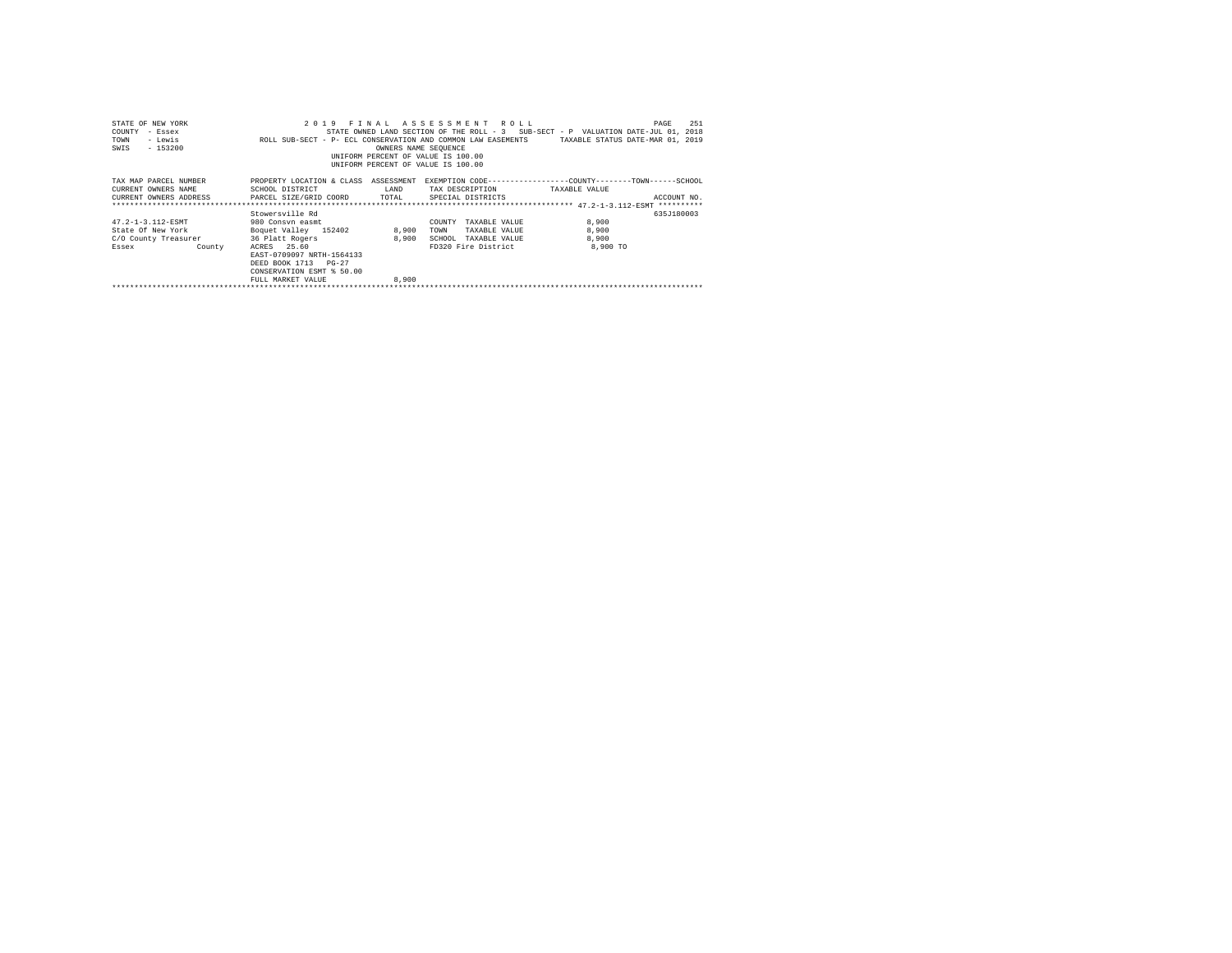| STATE OF NEW YORK<br>COUNTY<br>- Essex<br>- Lewis<br>TOWN<br>$-153200$<br>SWIS    | 2019<br>ROLL SUB-SECT - P- ECL CONSERVATION AND COMMON LAW EASEMENTS                                                                                                                                 | FINAL<br>OWNERS NAME SEOUENCE | ASSESSMENT ROLL<br>UNIFORM PERCENT OF VALUE IS 100.00<br>UNIFORM PERCENT OF VALUE IS 100.00        | 251<br>PAGE<br>STATE OWNED LAND SECTION OF THE ROLL - 3 SUB-SECT - P VALUATION DATE-JUL 01, 2018<br>TAXABLE STATUS DATE-MAR 01, 2019 |
|-----------------------------------------------------------------------------------|------------------------------------------------------------------------------------------------------------------------------------------------------------------------------------------------------|-------------------------------|----------------------------------------------------------------------------------------------------|--------------------------------------------------------------------------------------------------------------------------------------|
| TAX MAP PARCEL NUMBER<br>CURRENT OWNERS NAME<br>CURRENT OWNERS ADDRESS            | PROPERTY LOCATION & CLASS<br>SCHOOL DISTRICT<br>PARCEL SIZE/GRID COORD                                                                                                                               | ASSESSMENT<br>LAND<br>TOTAL   | TAX DESCRIPTION<br>SPECIAL DISTRICTS                                                               | EXEMPTION CODE-----------------COUNTY-------TOWN------SCHOOL<br>TAXABLE VALUE<br>ACCOUNT NO.                                         |
| 47.2-1-3.112-ESMT<br>State Of New York<br>C/O County Treasurer<br>County<br>Essex | Stowersville Rd<br>980 Consyn easmt<br>Boquet Valley 152402<br>36 Platt Rogers<br>ACRES 25.60<br>EAST-0709097 NRTH-1564133<br>DEED BOOK 1713 PG-27<br>CONSERVATION ESMT % 50.00<br>FULL MARKET VALUE | 8,900<br>8,900<br>8,900       | TAXABLE VALUE<br>COUNTY<br>TAXABLE VALUE<br>TOWN<br>SCHOOL<br>TAXABLE VALUE<br>FD320 Fire District | 635J180003<br>8,900<br>8,900<br>8,900<br>8,900 TO                                                                                    |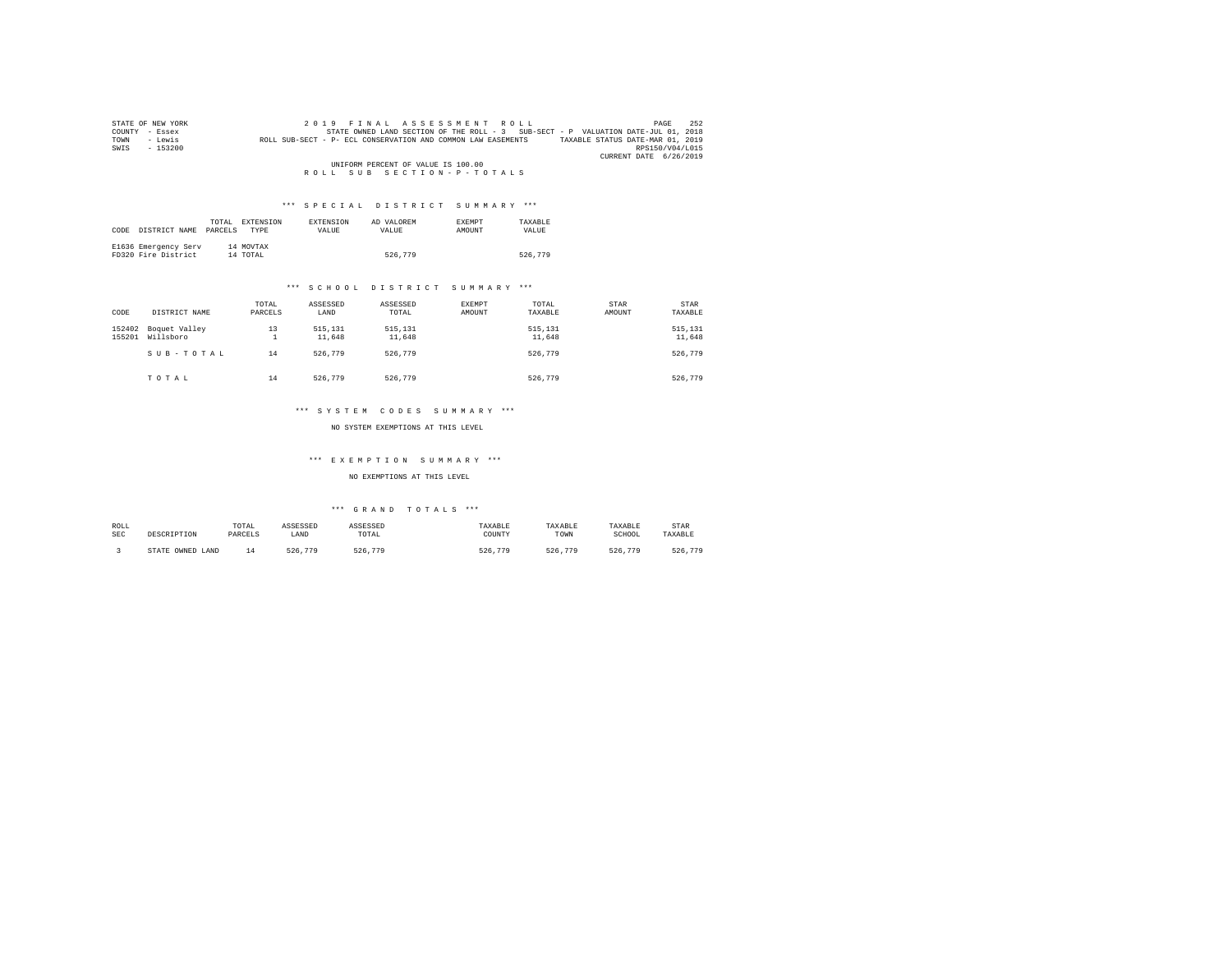| STATE OF NEW YORK | 2019 FINAL ASSESSMENT ROLL                                                                       | PAGE            | 252 |
|-------------------|--------------------------------------------------------------------------------------------------|-----------------|-----|
| COUNTY - Essex    | STATE OWNED LAND SECTION OF THE ROLL - 3 SUB-SECT - P VALUATION DATE-JUL 01, 2018                |                 |     |
| - Lewis<br>TOWN   | TAXABLE STATUS DATE-MAR 01, 2019<br>ROLL SUB-SECT - P- ECL CONSERVATION AND COMMON LAW EASEMENTS |                 |     |
| SWIS<br>$-153200$ |                                                                                                  | RPS150/V04/L015 |     |
|                   | CURRENT DATE 6/26/2019                                                                           |                 |     |
|                   | UNIFORM PERCENT OF VALUE IS 100.00                                                               |                 |     |
|                   | ROLL SUB SECTION-P-TOTALS                                                                        |                 |     |

| CODE | DISTRICT NAME                               | TOTAL.<br>PARCELS | EXTENSION<br><b>TYPE</b> | <b>EXTENSION</b><br>VALUE | AD VALOREM<br>VALUE | <b>EXEMPT</b><br>AMOUNT | TAXARLE<br>VALUE |
|------|---------------------------------------------|-------------------|--------------------------|---------------------------|---------------------|-------------------------|------------------|
|      | E1636 Emergency Serv<br>FD320 Fire District |                   | 14 MOVTAX<br>14 TOTAL    |                           | 526.779             |                         | 526,779          |

## \*\*\* S C H O O L D I S T R I C T S U M M A R Y \*\*\*

| CODE             | DISTRICT NAME              | TOTAL<br>PARCELS | ASSESSED<br>LAND   | ASSESSED<br>TOTAL | EXEMPT<br>AMOUNT | TOTAL<br>TAXABLE  | STAR<br>AMOUNT | STAR<br>TAXABLE   |
|------------------|----------------------------|------------------|--------------------|-------------------|------------------|-------------------|----------------|-------------------|
| 152402<br>155201 | Boquet Valley<br>Willsboro | 13<br>۰          | 515, 131<br>11,648 | 515,131<br>11,648 |                  | 515,131<br>11,648 |                | 515,131<br>11,648 |
|                  | SUB-TOTAL                  | 14               | 526,779            | 526,779           |                  | 526.779           |                | 526.779           |
|                  | TOTAL                      | 14               | 526,779            | 526,779           |                  | 526.779           |                | 526.779           |

#### \*\*\* S Y S T E M C O D E S S U M M A R Y \*\*\*

NO SYSTEM EXEMPTIONS AT THIS LEVEL

## \*\*\* E X E M P T I O N S U M M A R Y \*\*\*

### NO EXEMPTIONS AT THIS LEVEL

| ROLL<br><b>SEC</b> | DESCRIPTION      | TOTAL<br>PARCELS | ASSESSED<br>LAND | ASSESSED<br>TOTAL | TAXABLE<br>COUNTY | TAXABLE<br>TOWN | TAXABLE<br>SCHOOL | STAR<br>TAXABLE |
|--------------------|------------------|------------------|------------------|-------------------|-------------------|-----------------|-------------------|-----------------|
|                    | STATE OWNED LAND | $\Delta$         | 779<br>526.      | 526.779           | 526.779           | 526.779         | 526.7<br>779      | 779<br>526.779  |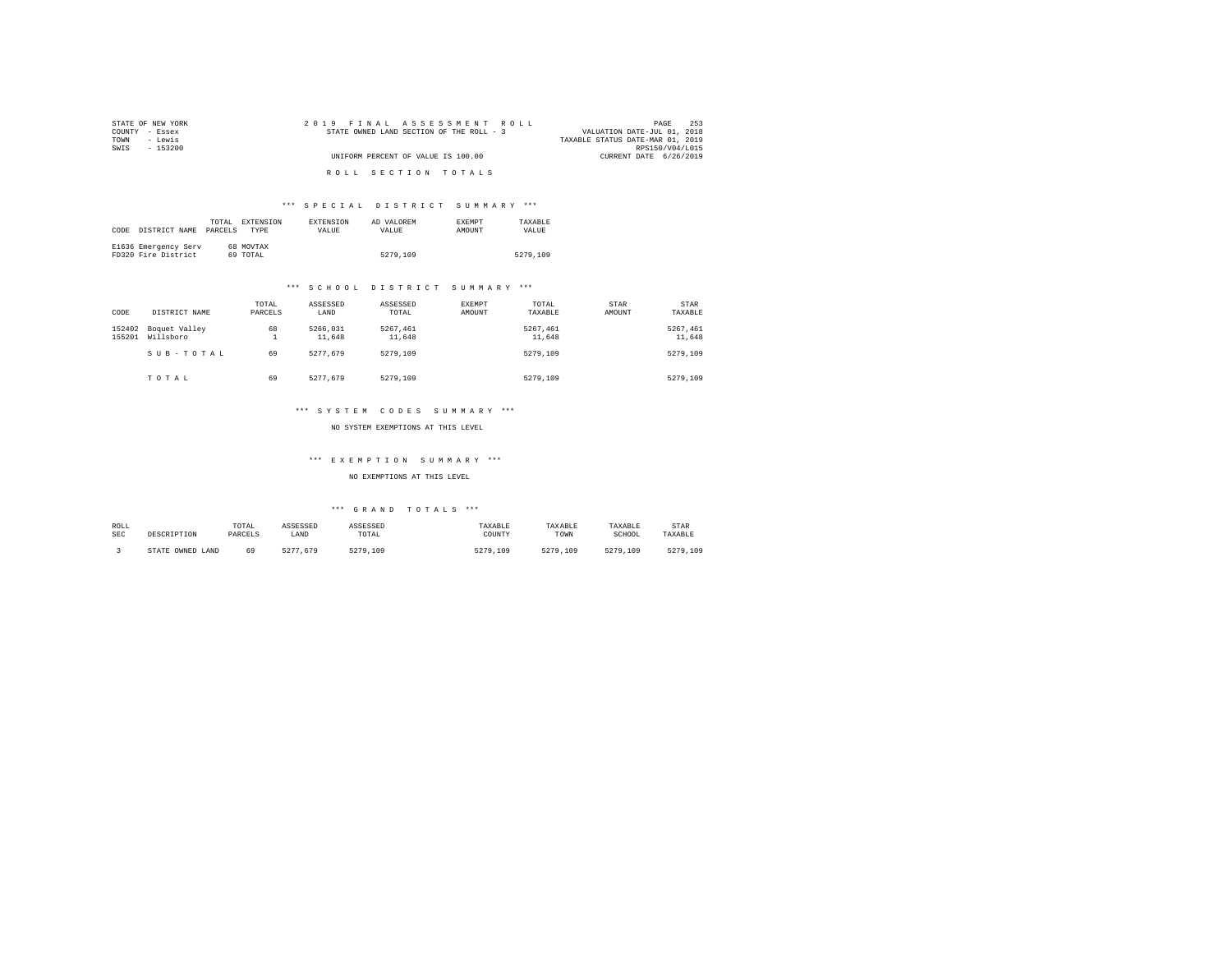| STATE OF NEW YORK | 2019 FINAL ASSESSMENT ROLL               | 253<br>PAGE                      |
|-------------------|------------------------------------------|----------------------------------|
| COUNTY - Essex    | STATE OWNED LAND SECTION OF THE ROLL - 3 | VALUATION DATE-JUL 01, 2018      |
| TOWN<br>- Lewis   |                                          | TAXABLE STATUS DATE-MAR 01, 2019 |
| SWIS<br>- 153200  |                                          | RPS150/V04/L015                  |
|                   | CURRENT DATE 6/26/2019                   |                                  |
|                   | ROLL SECTION TOTALS                      |                                  |

| CODE | DISTRICT NAME                               | TOTAL.<br>PARCELS | EXTENSION<br><b>TYPE</b> | <b>EXTENSION</b><br>VALUE | AD VALOREM<br>VALUE | <b>EXEMPT</b><br>AMOUNT | TAXARLE<br>VALUE |
|------|---------------------------------------------|-------------------|--------------------------|---------------------------|---------------------|-------------------------|------------------|
|      | E1636 Emergency Serv<br>FD320 Fire District |                   | 68 MOVTAX<br>69 TOTAL    |                           | 5279.109            |                         | 5279,109         |

#### \*\*\* S C H O O L D I S T R I C T S U M M A R Y \*\*\*

| CODE             | DISTRICT NAME              | TOTAL<br>PARCELS | ASSESSED<br>LAND   | ASSESSED<br>TOTAL  | EXEMPT<br>AMOUNT | TOTAL<br>TAXABLE   | STAR<br>AMOUNT | STAR<br>TAXABLE    |
|------------------|----------------------------|------------------|--------------------|--------------------|------------------|--------------------|----------------|--------------------|
| 152402<br>155201 | Boquet Valley<br>Willsboro | 68<br>۰          | 5266.031<br>11,648 | 5267.461<br>11,648 |                  | 5267.461<br>11,648 |                | 5267,461<br>11,648 |
|                  | SUB-TOTAL                  | 69               | 5277.679           | 5279.109           |                  | 5279.109           |                | 5279.109           |
|                  | TOTAL                      | 69               | 5277.679           | 5279.109           |                  | 5279.109           |                | 5279.109           |

#### \*\*\* S Y S T E M C O D E S S U M M A R Y \*\*\*

NO SYSTEM EXEMPTIONS AT THIS LEVEL

#### \*\*\* E X E M P T I O N S U M M A R Y \*\*\*

#### NO EXEMPTIONS AT THIS LEVEL

| ROLL       | DESCRIPTION      | TOTAL   | ASSESSED      | ASSESSED | TAXABLE  | TAXABLE  | TAXABLE  | STAR           |
|------------|------------------|---------|---------------|----------|----------|----------|----------|----------------|
| <b>SEC</b> |                  | PARCELS | LAND          | TOTAL    | COUNTY   | TOWN     | SCHOOL   | TAXABLE        |
|            | STATE OWNED LAND | 69      | 5277<br>. 679 | 5279.109 | 5279.109 | 5279.109 | 5279.109 | 5279.<br>9.109 |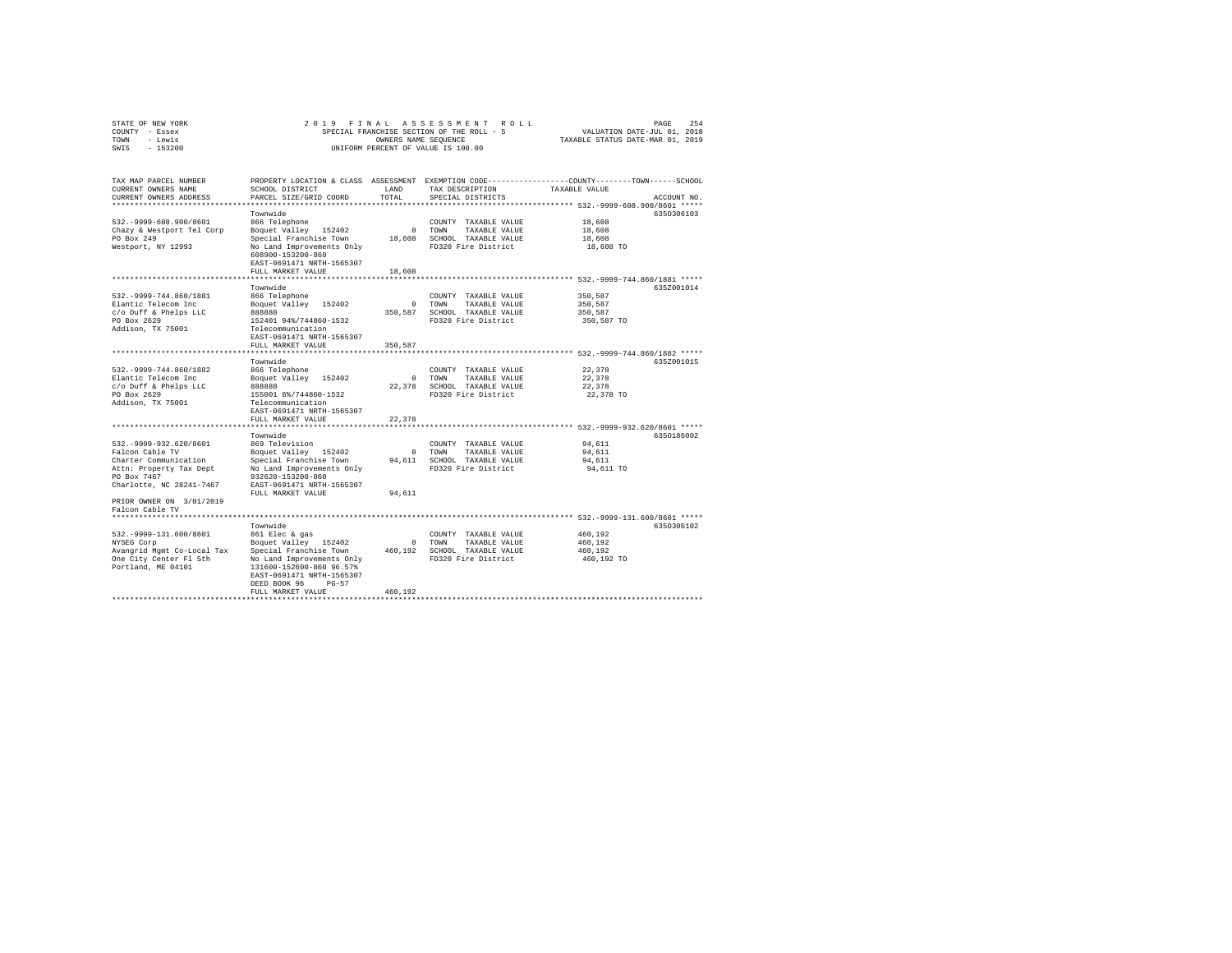| STATE OF NEW YORK<br>COUNTY - Essex<br>TOWN - Lewis                                       |                                                                                                                                             |         | 2019 FINAL ASSESSMENT ROLL<br>SPECIAL FRANCHISE SECTION OF THE ROLL - 5<br>OWNERS NAME SEQUENCE | VALUATION DATE-JUL 01, 2018<br>TAXABLE STATUS DATE-MAR 01, 2019 | 254<br>PAGE |
|-------------------------------------------------------------------------------------------|---------------------------------------------------------------------------------------------------------------------------------------------|---------|-------------------------------------------------------------------------------------------------|-----------------------------------------------------------------|-------------|
| SWIS - 153200                                                                             |                                                                                                                                             |         | UNIFORM PERCENT OF VALUE IS 100.00                                                              |                                                                 |             |
| TAX MAP PARCEL NUMBER<br>CURRENT OWNERS NAME                                              | PROPERTY LOCATION & CLASS ASSESSMENT EXEMPTION CODE---------------COUNTY-------TOWN------SCHOOL<br>SCHOOL DISTRICT                          | T.AND   | TAX DESCRIPTION TAXABLE VALUE                                                                   |                                                                 |             |
| CURRENT OWNERS ADDRESS                                                                    | PARCEL SIZE/GRID COORD                                                                                                                      | TOTAL   | SPECIAL DISTRICTS                                                                               |                                                                 | ACCOUNT NO. |
|                                                                                           |                                                                                                                                             |         |                                                                                                 |                                                                 |             |
| 532. - 9999-608.900/8601<br>Chazy & Westport Tel Corp<br>PO Box 249<br>Westport, NY 12993 | Townwide<br>866 Telephone<br>Boquet Valley 152402 0 TOWN<br>Special Franchise Town 18,608<br>No Land Improvements Only<br>608900-153200-860 |         | COUNTY TAXABLE VALUE 18,608<br>TAXABLE VALUE<br>SCHOOL TAXABLE VALUE<br>FD320 Fire District     | 18,608<br>18,608<br>18,608 TO                                   | 6350306103  |
|                                                                                           | EAST-0691471 NRTH-1565307                                                                                                                   |         |                                                                                                 |                                                                 |             |
|                                                                                           | FULL MARKET VALUE                                                                                                                           | 18,608  |                                                                                                 |                                                                 |             |
|                                                                                           | Townwide                                                                                                                                    |         |                                                                                                 |                                                                 | 635Z001014  |
| 532. - 9999 - 744.860/1881                                                                | 866 Telephone                                                                                                                               |         | COUNTY TAXABLE VALUE                                                                            | 350,587                                                         |             |
| Elantic Telecom Inc                                                                       | Boquet Valley 152402                                                                                                                        | 0 TOWN  | TAXABLE VALUE                                                                                   | 350.587                                                         |             |
| c/o Duff & Phelps LLC                                                                     | 888888                                                                                                                                      | 350,587 | SCHOOL TAXABLE VALUE                                                                            | 350.587                                                         |             |
| PO Box 2629<br>Addison, TX 75001                                                          | 152401 94%/744860-1532<br>Telecommunication<br>EAST-0691471 NRTH-1565307<br>FULL MARKET VALUE                                               | 350,587 | FD320 Fire District                                                                             | 350,587 TO                                                      |             |
|                                                                                           |                                                                                                                                             |         |                                                                                                 |                                                                 |             |
|                                                                                           | Townwide                                                                                                                                    |         |                                                                                                 |                                                                 | 635Z001015  |
| 532. - 9999 - 744.860/1882                                                                | 866 Telephone                                                                                                                               |         | COUNTY TAXABLE VALUE                                                                            | 22,378                                                          |             |
| Elantic Telecom Inc                                                                       | Boquet Valley 152402                                                                                                                        |         | 0 TOWN<br>TAXABLE VALUE                                                                         | 22,378                                                          |             |
| c/o Duff & Phelps LLC<br>PO Box 2629                                                      | 888888<br>155001 6%/744860-1532                                                                                                             |         | 22,378 SCHOOL TAXABLE VALUE<br>FD320 Fire District                                              | 22,378<br>22,378 TO                                             |             |
| Addison, TX 75001                                                                         | Telecommunication<br>EAST-0691471 NRTH-1565307                                                                                              |         |                                                                                                 |                                                                 |             |
|                                                                                           | FULL MARKET VALUE                                                                                                                           | 22,378  |                                                                                                 |                                                                 |             |
|                                                                                           |                                                                                                                                             |         |                                                                                                 |                                                                 |             |

|                                             | Townwide                                                                                                                        |            |                         | 6350186002 |
|---------------------------------------------|---------------------------------------------------------------------------------------------------------------------------------|------------|-------------------------|------------|
| 532. - 9999-932.620/8601                    | 869 Television                                                                                                                  |            | COUNTY<br>TAXABLE VALUE | 94,611     |
| Falcon Cable TV                             | Boquet Valley 152402                                                                                                            | $^{\circ}$ | TAXABLE VALUE<br>TOWN   | 94.611     |
| Charter Communication                       | Special Franchise Town 94.611                                                                                                   |            | SCHOOL TAXABLE VALUE    | 94,611     |
| PO Box 7467<br>Charlotte, NC 28241-7467     | Attn: Property Tax Dept Mo Land Improvements Only<br>932620-153200-860<br>EAST-0691471 NRTH-1565307                             |            | FD320 Fire District     | 94,611 TO  |
|                                             | FULL MARKET VALUE                                                                                                               | 94,611     |                         |            |
| PRIOR OWNER ON 3/01/2019<br>Falcon Cable TV |                                                                                                                                 |            |                         |            |
|                                             |                                                                                                                                 |            |                         |            |
|                                             | Townwide                                                                                                                        |            |                         | 6350306102 |
| 532.-9999-131.600/8601                      | 861 Elec & gas                                                                                                                  |            | TAXABLE VALUE<br>COUNTY | 460.192    |
| NYSEG Corp                                  | Boquet Valley 152402                                                                                                            | $\circ$    | TAXABLE VALUE<br>TOWN   | 460.192    |
|                                             | Avangrid Mgmt Co-Local Tax Special Franchise Town 460.192                                                                       |            | SCHOOL TAXABLE VALUE    | 460,192    |
| Portland, ME 04101                          | One City Center Fl 5th No Land Improvements Only<br>131600-152600-860 96.57%<br>EAST-0691471 NRTH-1565307<br>DEED BOOK 96 PG-57 |            | FD320 Fire District     | 460,192 TO |
|                                             | FULL MARKET VALUE                                                                                                               | 460.192    |                         |            |
|                                             |                                                                                                                                 |            |                         |            |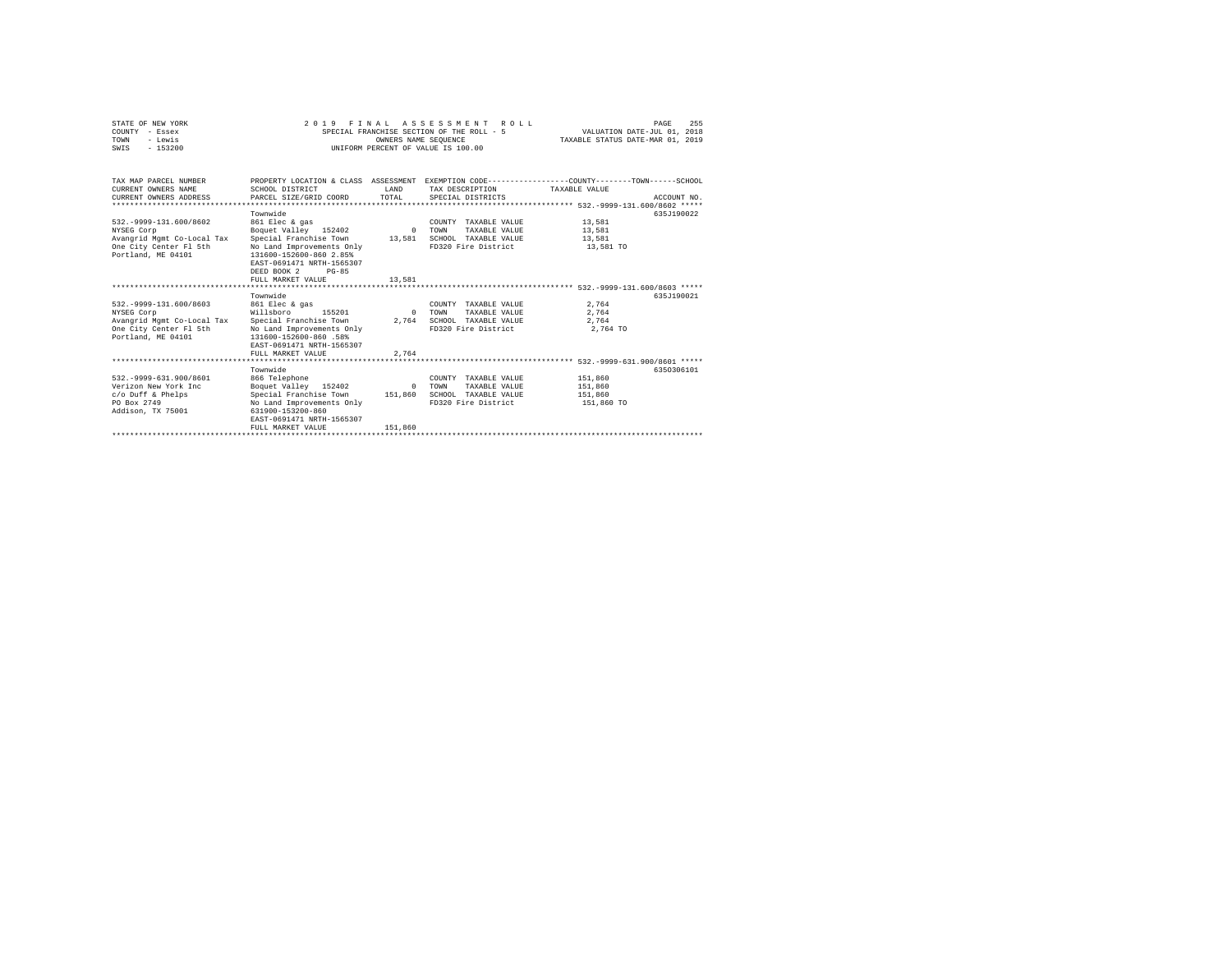| STATE OF NEW YORK<br>COUNTY - Essex<br>$-$ Lewis<br><b>TOWN</b><br>$-153200$<br>SWIS                                 | 2019 FINAL ASSESSMENT ROLL<br>SPECIAL FRANCHISE SECTION OF THE ROLL - 5<br>INIFORM PERCENT OF VALUE IS 100.00                                                                                                    | 255<br>PAGE<br>VALUATION DATE-JUL 01, 2018<br>TAXABLE STATUS DATE-MAR 01, 2019 |                                                                                                     |                                                                                                                                 |
|----------------------------------------------------------------------------------------------------------------------|------------------------------------------------------------------------------------------------------------------------------------------------------------------------------------------------------------------|--------------------------------------------------------------------------------|-----------------------------------------------------------------------------------------------------|---------------------------------------------------------------------------------------------------------------------------------|
| TAX MAP PARCEL NUMBER<br>CURRENT OWNERS NAME<br>CURRENT OWNERS ADDRESS<br>*************************                  | SCHOOL DISTRICT<br>PARCEL SIZE/GRID COORD                                                                                                                                                                        | <b>T.AND</b><br>TOTAL                                                          | TAX DESCRIPTION<br>SPECIAL DISTRICTS                                                                | PROPERTY LOCATION & CLASS ASSESSMENT EXEMPTION CODE---------------COUNTY-------TOWN------SCHOOL<br>TAXARLE VALUE<br>ACCOUNT NO. |
| 532. - 9999-131.600/8602<br>NYSEG Corp<br>Avangrid Mgmt Co-Local Tax<br>One City Center Fl 5th<br>Portland, ME 04101 | Townwide<br>861 Elec & gas<br>Boquet Valley 152402<br>Special Franchise Town<br>No Land Improvements Only<br>131600-152600-860 2.85%<br>EAST-0691471 NRTH-1565307<br>DEED BOOK 2<br>$PG-85$<br>FULL MARKET VALUE | $\sim$ 0<br>13,581<br>13,581                                                   | COUNTY TAXABLE VALUE<br><b>TOWN</b><br>TAXABLE VALUE<br>SCHOOL TAXABLE VALUE<br>FD320 Fire District | 635J190022<br>13,581<br>13,581<br>13,581<br>13,581 TO                                                                           |
| 532. - 9999-131.600/8603<br>NYSEG Corp<br>Avangrid Mgmt Co-Local Tax<br>One City Center Fl 5th<br>Portland, ME 04101 | Townwide<br>861 Elec & gas<br>Willsboro<br>155201<br>Special Franchise Town<br>No Land Improvements Only<br>131600-152600-860 .58%<br>EAST-0691471 NRTH-1565307<br>FULL MARKET VALUE                             | $\Omega$<br>2,764<br>2.764                                                     | COUNTY TAXABLE VALUE<br>TAXABLE VALUE<br>TOWN<br>SCHOOL TAXABLE VALUE<br>FD320 Fire District        | 635.7190021<br>2.764<br>2.764<br>2.764<br>2,764 TO                                                                              |
| 532. - 9999-631.900/8601<br>Verizon New York Inc<br>c/o Duff & Phelps<br>PO Box 2749<br>Addison, TX 75001            | Townwide<br>866 Telephone<br>Boquet Valley 152402<br>Special Franchise Town 151,860<br>No Land Improvements Only<br>631900-153200-860<br>EAST-0691471 NRTH-1565307<br>FULL MARKET VALUE                          | $\sim$ 0<br>151,860                                                            | COUNTY TAXABLE VALUE<br>TAXABLE VALUE<br>TOWN<br>SCHOOL TAXABLE VALUE<br>FD320 Fire District        | 6350306101<br>151,860<br>151,860<br>151,860<br>151,860 TO                                                                       |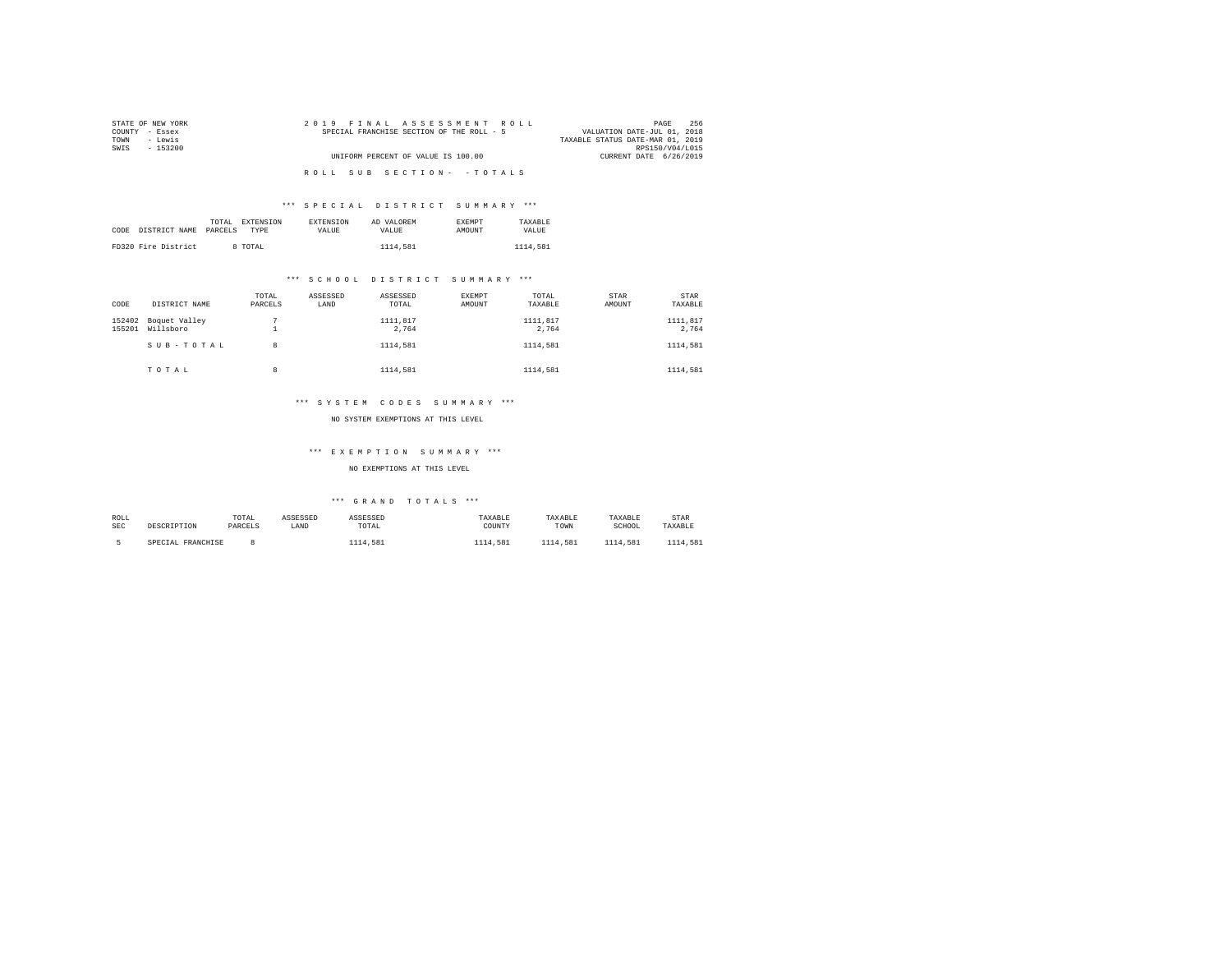| STATE OF NEW YORK | 2019 FINAL ASSESSMENT ROLL                | 256<br>PAGE                      |
|-------------------|-------------------------------------------|----------------------------------|
| COUNTY - Essex    | SPECIAL FRANCHISE SECTION OF THE ROLL - 5 | VALUATION DATE-JUL 01, 2018      |
| TOWN<br>- Lewis   |                                           | TAXABLE STATUS DATE-MAR 01, 2019 |
| SWTS<br>- 153200  |                                           | RPS150/V04/L015                  |
|                   | UNIFORM PERCENT OF VALUE IS 100.00        | CURRENT DATE 6/26/2019           |
|                   |                                           |                                  |
|                   | ROLL SUB SECTION- - TOTALS                |                                  |
|                   |                                           |                                  |

|      |                     | TOTAL<br>EXTENSION | <b>EXTENSION</b> | AD VALOREM | <b>EXEMPT</b> | TAXARLE  |
|------|---------------------|--------------------|------------------|------------|---------------|----------|
| CODE | DISTRICT NAME       | PARCELS<br>TYPE    | VALUE            | VALUE.     | AMOUNT        | VALUE    |
|      |                     |                    |                  |            |               |          |
|      | FD320 Fire District | 8 TOTAL            |                  | 1114,581   |               | 1114,581 |

#### \*\*\* S C H O O L D I S T R I C T S U M M A R Y \*\*\*

| CODE             | DISTRICT NAME              | TOTAL<br>PARCELS | ASSESSED<br>LAND | ASSESSED<br>TOTAL | EXEMPT<br>AMOUNT | TOTAL<br>TAXABLE  | <b>STAR</b><br>AMOUNT | <b>STAR</b><br>TAXABLE |
|------------------|----------------------------|------------------|------------------|-------------------|------------------|-------------------|-----------------------|------------------------|
| 152402<br>155201 | Boquet Valley<br>Willsboro | ÷                |                  | 1111.817<br>2.764 |                  | 1111.817<br>2.764 |                       | 1111.817<br>2.764      |
|                  | SUB-TOTAL                  | 8                |                  | 1114,581          |                  | 1114.581          |                       | 1114,581               |
|                  | TOTAL                      | 8                |                  | 1114.581          |                  | 1114.581          |                       | 1114,581               |

#### \*\*\* S Y S T E M C O D E S S U M M A R Y \*\*\*

NO SYSTEM EXEMPTIONS AT THIS LEVEL

#### \*\*\* E X E M P T I O N S U M M A R Y \*\*\*

NO EXEMPTIONS AT THIS LEVEL

| ROLL       | DESCRIPTION       | TOTAL   | ASSESSED | ASSESSED | TAXABLE  | TAXABLE  | TAXABLE  | STAR     |
|------------|-------------------|---------|----------|----------|----------|----------|----------|----------|
| <b>SEC</b> |                   | PARCELS | LAND     | TOTAL    | COUNTY   | TOWN     | SCHOOL   | TAXABLE  |
|            | SPECIAL FRANCHISE |         |          | 1114.581 | 1114.581 | 1114.581 | 1114.581 | 1114,581 |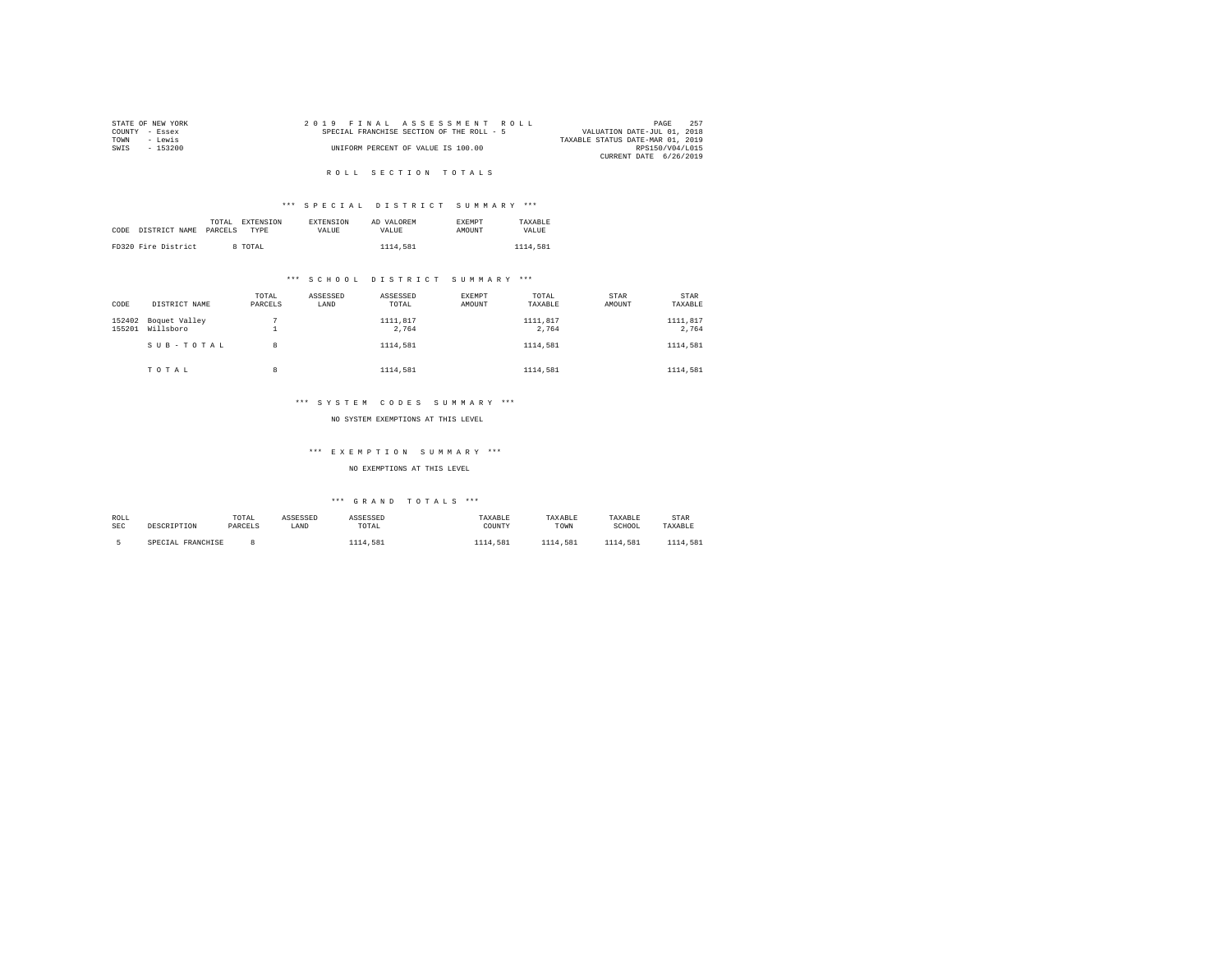|                | STATE OF NEW YORK |  | 2019 FINAL ASSESSMENT ROLL                |  |  |  |                                  | PAGE            | 257 |
|----------------|-------------------|--|-------------------------------------------|--|--|--|----------------------------------|-----------------|-----|
| COUNTY - Essex |                   |  | SPECIAL FRANCHISE SECTION OF THE ROLL - 5 |  |  |  | VALUATION DATE-JUL 01, 2018      |                 |     |
| TOWN           | siwe.T            |  |                                           |  |  |  | TAXABLE STATUS DATE-MAR 01, 2019 |                 |     |
| SWTS           | - 153200          |  | UNIFORM PERCENT OF VALUE IS 100.00        |  |  |  |                                  | RPS150/V04/L015 |     |
|                |                   |  |                                           |  |  |  | CURRENT DATE 6/26/2019           |                 |     |

#### R O L L S E C T I O N T O T A L S

#### \*\*\* S P E C I A L D I S T R I C T S U M M A R Y \*\*\*

|      |                     | TOTAL<br><b>EXTENSION</b> | <b>EXTENSION</b> | AD VALOREM | <b>EXEMPT</b> | TAXARLE  |
|------|---------------------|---------------------------|------------------|------------|---------------|----------|
| CODE | DISTRICT NAME       | PARCELS<br>TYPE           | VALUE            | VALUE.     | AMOUNT        | VALUE    |
|      |                     |                           |                  |            |               |          |
|      | FD320 Fire District | 8 TOTAL                   |                  | 1114,581   |               | 1114,581 |

#### \*\*\* S C H O O L D I S T R I C T S U M M A R Y \*\*\*

| CODE             | DISTRICT NAME              | TOTAL<br>PARCELS           | ASSESSED<br>LAND | ASSESSED<br>TOTAL | EXEMPT<br>AMOUNT | TOTAL<br>TAXABLE  | <b>STAR</b><br>AMOUNT | <b>STAR</b><br>TAXABLE |
|------------------|----------------------------|----------------------------|------------------|-------------------|------------------|-------------------|-----------------------|------------------------|
| 152402<br>155201 | Boquet Valley<br>Willsboro | $\overline{ }$<br><b>.</b> |                  | 1111.817<br>2.764 |                  | 1111.817<br>2.764 |                       | 1111.817<br>2.764      |
|                  | SUB-TOTAL                  | 8                          |                  | 1114,581          |                  | 1114,581          |                       | 1114,581               |
|                  | TOTAL                      | 8                          |                  | 1114.581          |                  | 1114.581          |                       | 1114,581               |

#### \*\*\* S Y S T E M C O D E S S U M M A R Y \*\*\*

#### NO SYSTEM EXEMPTIONS AT THIS LEVEL

#### \*\*\* E X E M P T I O N S U M M A R Y \*\*\*

NO EXEMPTIONS AT THIS LEVEL

| ROLL       | DESCRIPTION       | TOTAL   | ASSESSED | ASSESSED | TAXABLE  | TAXABLE  | TAXABLE  | STAR     |
|------------|-------------------|---------|----------|----------|----------|----------|----------|----------|
| <b>SEC</b> |                   | PARCELS | LAND     | TOTAL    | COUNTY   | TOWN     | SCHOOL   | TAXABLE  |
|            | SPECIAL FRANCHISE |         |          | 1114.581 | 1114.581 | 1114.581 | 1114.581 | 1114,581 |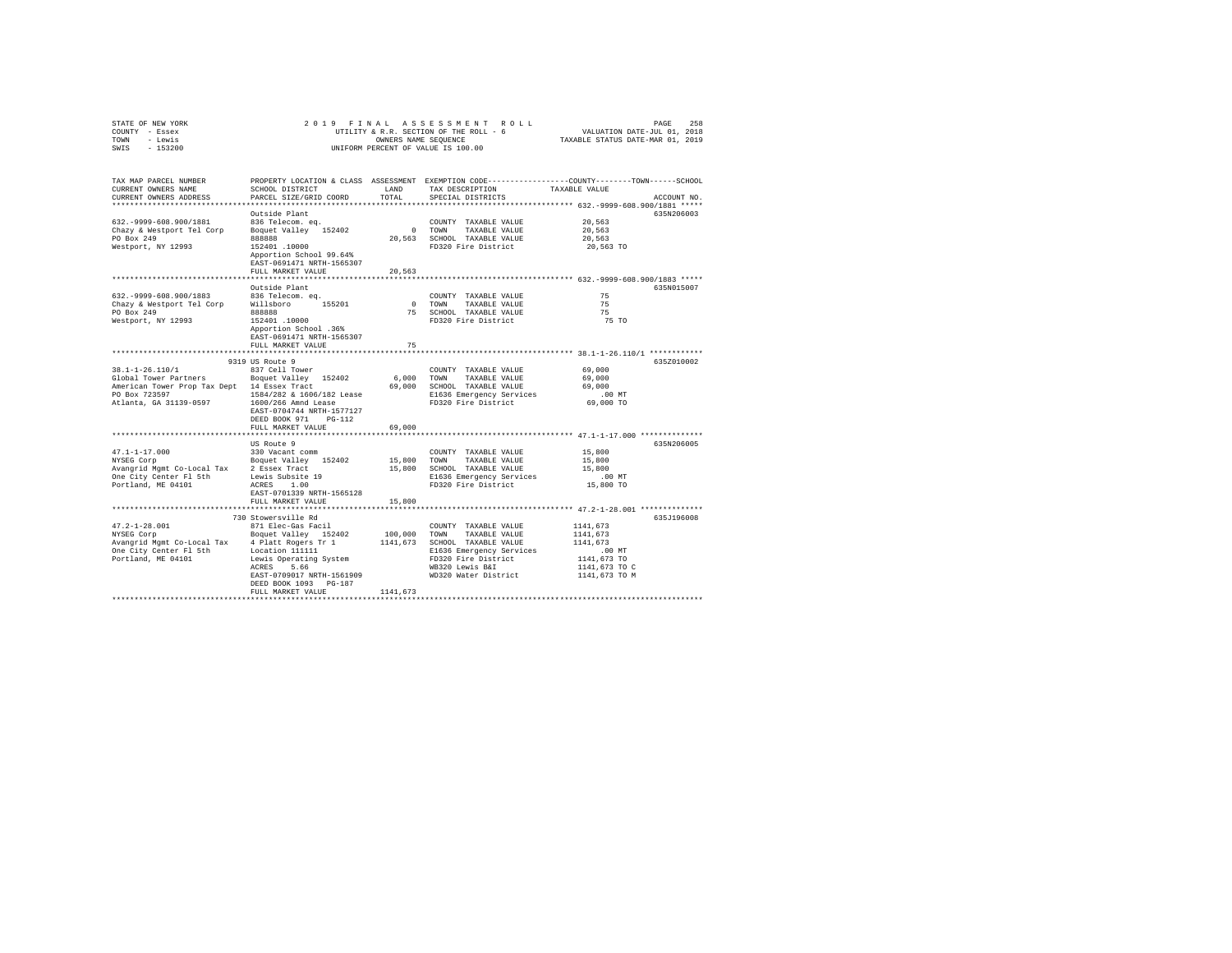|                                                                                                                                                                                                                                                                                                                                                                                                                 |                                                                                                                                                                                                                                                                                                                                                                                                                                                                                                                                                                                                                      |                                                                                                               |                                                                                                                                                                                                                                                                                                                                                                                                                                                                                                                                                                                                                                                                                                                                                                                                         | COUNTY - Essex                                                                                                                                                                                                                                                                                                                                                                                                                                                                                                                                                                                                       |  |  |  |
|-----------------------------------------------------------------------------------------------------------------------------------------------------------------------------------------------------------------------------------------------------------------------------------------------------------------------------------------------------------------------------------------------------------------|----------------------------------------------------------------------------------------------------------------------------------------------------------------------------------------------------------------------------------------------------------------------------------------------------------------------------------------------------------------------------------------------------------------------------------------------------------------------------------------------------------------------------------------------------------------------------------------------------------------------|---------------------------------------------------------------------------------------------------------------|---------------------------------------------------------------------------------------------------------------------------------------------------------------------------------------------------------------------------------------------------------------------------------------------------------------------------------------------------------------------------------------------------------------------------------------------------------------------------------------------------------------------------------------------------------------------------------------------------------------------------------------------------------------------------------------------------------------------------------------------------------------------------------------------------------|----------------------------------------------------------------------------------------------------------------------------------------------------------------------------------------------------------------------------------------------------------------------------------------------------------------------------------------------------------------------------------------------------------------------------------------------------------------------------------------------------------------------------------------------------------------------------------------------------------------------|--|--|--|
| TAXABLE STATUS DATE-MAR 01, 2019                                                                                                                                                                                                                                                                                                                                                                                | OWNERS NAME SEQUENCE                                                                                                                                                                                                                                                                                                                                                                                                                                                                                                                                                                                                 |                                                                                                               |                                                                                                                                                                                                                                                                                                                                                                                                                                                                                                                                                                                                                                                                                                                                                                                                         | TOWN - Lewis                                                                                                                                                                                                                                                                                                                                                                                                                                                                                                                                                                                                         |  |  |  |
|                                                                                                                                                                                                                                                                                                                                                                                                                 |                                                                                                                                                                                                                                                                                                                                                                                                                                                                                                                                                                                                                      | UNIFORM PERCENT OF VALUE IS 100.00                                                                            |                                                                                                                                                                                                                                                                                                                                                                                                                                                                                                                                                                                                                                                                                                                                                                                                         | SWIS - 153200                                                                                                                                                                                                                                                                                                                                                                                                                                                                                                                                                                                                        |  |  |  |
|                                                                                                                                                                                                                                                                                                                                                                                                                 |                                                                                                                                                                                                                                                                                                                                                                                                                                                                                                                                                                                                                      |                                                                                                               |                                                                                                                                                                                                                                                                                                                                                                                                                                                                                                                                                                                                                                                                                                                                                                                                         |                                                                                                                                                                                                                                                                                                                                                                                                                                                                                                                                                                                                                      |  |  |  |
| PROPERTY LOCATION & CLASS ASSESSMENT EXEMPTION CODE----------------COUNTY-------TOWN-----SCHOOL                                                                                                                                                                                                                                                                                                                 |                                                                                                                                                                                                                                                                                                                                                                                                                                                                                                                                                                                                                      |                                                                                                               |                                                                                                                                                                                                                                                                                                                                                                                                                                                                                                                                                                                                                                                                                                                                                                                                         | TAX MAP PARCEL NUMBER                                                                                                                                                                                                                                                                                                                                                                                                                                                                                                                                                                                                |  |  |  |
| TAXABLE VALUE                                                                                                                                                                                                                                                                                                                                                                                                   | TAX DESCRIPTION                                                                                                                                                                                                                                                                                                                                                                                                                                                                                                                                                                                                      | LAND                                                                                                          | SCHOOL DISTRICT                                                                                                                                                                                                                                                                                                                                                                                                                                                                                                                                                                                                                                                                                                                                                                                         | CURRENT OWNERS NAME                                                                                                                                                                                                                                                                                                                                                                                                                                                                                                                                                                                                  |  |  |  |
| ACCOUNT NO.                                                                                                                                                                                                                                                                                                                                                                                                     | SPECIAL DISTRICTS                                                                                                                                                                                                                                                                                                                                                                                                                                                                                                                                                                                                    | TOTAL                                                                                                         | PARCEL SIZE/GRID COORD                                                                                                                                                                                                                                                                                                                                                                                                                                                                                                                                                                                                                                                                                                                                                                                  | CURRENT OWNERS ADDRESS                                                                                                                                                                                                                                                                                                                                                                                                                                                                                                                                                                                               |  |  |  |
|                                                                                                                                                                                                                                                                                                                                                                                                                 |                                                                                                                                                                                                                                                                                                                                                                                                                                                                                                                                                                                                                      |                                                                                                               |                                                                                                                                                                                                                                                                                                                                                                                                                                                                                                                                                                                                                                                                                                                                                                                                         |                                                                                                                                                                                                                                                                                                                                                                                                                                                                                                                                                                                                                      |  |  |  |
|                                                                                                                                                                                                                                                                                                                                                                                                                 |                                                                                                                                                                                                                                                                                                                                                                                                                                                                                                                                                                                                                      |                                                                                                               |                                                                                                                                                                                                                                                                                                                                                                                                                                                                                                                                                                                                                                                                                                                                                                                                         |                                                                                                                                                                                                                                                                                                                                                                                                                                                                                                                                                                                                                      |  |  |  |
|                                                                                                                                                                                                                                                                                                                                                                                                                 |                                                                                                                                                                                                                                                                                                                                                                                                                                                                                                                                                                                                                      |                                                                                                               |                                                                                                                                                                                                                                                                                                                                                                                                                                                                                                                                                                                                                                                                                                                                                                                                         |                                                                                                                                                                                                                                                                                                                                                                                                                                                                                                                                                                                                                      |  |  |  |
|                                                                                                                                                                                                                                                                                                                                                                                                                 |                                                                                                                                                                                                                                                                                                                                                                                                                                                                                                                                                                                                                      |                                                                                                               |                                                                                                                                                                                                                                                                                                                                                                                                                                                                                                                                                                                                                                                                                                                                                                                                         |                                                                                                                                                                                                                                                                                                                                                                                                                                                                                                                                                                                                                      |  |  |  |
|                                                                                                                                                                                                                                                                                                                                                                                                                 |                                                                                                                                                                                                                                                                                                                                                                                                                                                                                                                                                                                                                      |                                                                                                               |                                                                                                                                                                                                                                                                                                                                                                                                                                                                                                                                                                                                                                                                                                                                                                                                         |                                                                                                                                                                                                                                                                                                                                                                                                                                                                                                                                                                                                                      |  |  |  |
|                                                                                                                                                                                                                                                                                                                                                                                                                 |                                                                                                                                                                                                                                                                                                                                                                                                                                                                                                                                                                                                                      |                                                                                                               |                                                                                                                                                                                                                                                                                                                                                                                                                                                                                                                                                                                                                                                                                                                                                                                                         |                                                                                                                                                                                                                                                                                                                                                                                                                                                                                                                                                                                                                      |  |  |  |
|                                                                                                                                                                                                                                                                                                                                                                                                                 |                                                                                                                                                                                                                                                                                                                                                                                                                                                                                                                                                                                                                      |                                                                                                               |                                                                                                                                                                                                                                                                                                                                                                                                                                                                                                                                                                                                                                                                                                                                                                                                         |                                                                                                                                                                                                                                                                                                                                                                                                                                                                                                                                                                                                                      |  |  |  |
|                                                                                                                                                                                                                                                                                                                                                                                                                 |                                                                                                                                                                                                                                                                                                                                                                                                                                                                                                                                                                                                                      |                                                                                                               |                                                                                                                                                                                                                                                                                                                                                                                                                                                                                                                                                                                                                                                                                                                                                                                                         |                                                                                                                                                                                                                                                                                                                                                                                                                                                                                                                                                                                                                      |  |  |  |
|                                                                                                                                                                                                                                                                                                                                                                                                                 |                                                                                                                                                                                                                                                                                                                                                                                                                                                                                                                                                                                                                      |                                                                                                               |                                                                                                                                                                                                                                                                                                                                                                                                                                                                                                                                                                                                                                                                                                                                                                                                         |                                                                                                                                                                                                                                                                                                                                                                                                                                                                                                                                                                                                                      |  |  |  |
|                                                                                                                                                                                                                                                                                                                                                                                                                 |                                                                                                                                                                                                                                                                                                                                                                                                                                                                                                                                                                                                                      |                                                                                                               |                                                                                                                                                                                                                                                                                                                                                                                                                                                                                                                                                                                                                                                                                                                                                                                                         |                                                                                                                                                                                                                                                                                                                                                                                                                                                                                                                                                                                                                      |  |  |  |
|                                                                                                                                                                                                                                                                                                                                                                                                                 |                                                                                                                                                                                                                                                                                                                                                                                                                                                                                                                                                                                                                      |                                                                                                               |                                                                                                                                                                                                                                                                                                                                                                                                                                                                                                                                                                                                                                                                                                                                                                                                         |                                                                                                                                                                                                                                                                                                                                                                                                                                                                                                                                                                                                                      |  |  |  |
|                                                                                                                                                                                                                                                                                                                                                                                                                 |                                                                                                                                                                                                                                                                                                                                                                                                                                                                                                                                                                                                                      |                                                                                                               |                                                                                                                                                                                                                                                                                                                                                                                                                                                                                                                                                                                                                                                                                                                                                                                                         |                                                                                                                                                                                                                                                                                                                                                                                                                                                                                                                                                                                                                      |  |  |  |
|                                                                                                                                                                                                                                                                                                                                                                                                                 |                                                                                                                                                                                                                                                                                                                                                                                                                                                                                                                                                                                                                      |                                                                                                               |                                                                                                                                                                                                                                                                                                                                                                                                                                                                                                                                                                                                                                                                                                                                                                                                         |                                                                                                                                                                                                                                                                                                                                                                                                                                                                                                                                                                                                                      |  |  |  |
|                                                                                                                                                                                                                                                                                                                                                                                                                 |                                                                                                                                                                                                                                                                                                                                                                                                                                                                                                                                                                                                                      |                                                                                                               |                                                                                                                                                                                                                                                                                                                                                                                                                                                                                                                                                                                                                                                                                                                                                                                                         |                                                                                                                                                                                                                                                                                                                                                                                                                                                                                                                                                                                                                      |  |  |  |
|                                                                                                                                                                                                                                                                                                                                                                                                                 |                                                                                                                                                                                                                                                                                                                                                                                                                                                                                                                                                                                                                      |                                                                                                               |                                                                                                                                                                                                                                                                                                                                                                                                                                                                                                                                                                                                                                                                                                                                                                                                         |                                                                                                                                                                                                                                                                                                                                                                                                                                                                                                                                                                                                                      |  |  |  |
|                                                                                                                                                                                                                                                                                                                                                                                                                 |                                                                                                                                                                                                                                                                                                                                                                                                                                                                                                                                                                                                                      |                                                                                                               |                                                                                                                                                                                                                                                                                                                                                                                                                                                                                                                                                                                                                                                                                                                                                                                                         |                                                                                                                                                                                                                                                                                                                                                                                                                                                                                                                                                                                                                      |  |  |  |
|                                                                                                                                                                                                                                                                                                                                                                                                                 |                                                                                                                                                                                                                                                                                                                                                                                                                                                                                                                                                                                                                      |                                                                                                               |                                                                                                                                                                                                                                                                                                                                                                                                                                                                                                                                                                                                                                                                                                                                                                                                         |                                                                                                                                                                                                                                                                                                                                                                                                                                                                                                                                                                                                                      |  |  |  |
|                                                                                                                                                                                                                                                                                                                                                                                                                 |                                                                                                                                                                                                                                                                                                                                                                                                                                                                                                                                                                                                                      |                                                                                                               |                                                                                                                                                                                                                                                                                                                                                                                                                                                                                                                                                                                                                                                                                                                                                                                                         |                                                                                                                                                                                                                                                                                                                                                                                                                                                                                                                                                                                                                      |  |  |  |
|                                                                                                                                                                                                                                                                                                                                                                                                                 |                                                                                                                                                                                                                                                                                                                                                                                                                                                                                                                                                                                                                      |                                                                                                               |                                                                                                                                                                                                                                                                                                                                                                                                                                                                                                                                                                                                                                                                                                                                                                                                         |                                                                                                                                                                                                                                                                                                                                                                                                                                                                                                                                                                                                                      |  |  |  |
|                                                                                                                                                                                                                                                                                                                                                                                                                 |                                                                                                                                                                                                                                                                                                                                                                                                                                                                                                                                                                                                                      |                                                                                                               |                                                                                                                                                                                                                                                                                                                                                                                                                                                                                                                                                                                                                                                                                                                                                                                                         |                                                                                                                                                                                                                                                                                                                                                                                                                                                                                                                                                                                                                      |  |  |  |
|                                                                                                                                                                                                                                                                                                                                                                                                                 |                                                                                                                                                                                                                                                                                                                                                                                                                                                                                                                                                                                                                      |                                                                                                               |                                                                                                                                                                                                                                                                                                                                                                                                                                                                                                                                                                                                                                                                                                                                                                                                         |                                                                                                                                                                                                                                                                                                                                                                                                                                                                                                                                                                                                                      |  |  |  |
|                                                                                                                                                                                                                                                                                                                                                                                                                 |                                                                                                                                                                                                                                                                                                                                                                                                                                                                                                                                                                                                                      |                                                                                                               |                                                                                                                                                                                                                                                                                                                                                                                                                                                                                                                                                                                                                                                                                                                                                                                                         |                                                                                                                                                                                                                                                                                                                                                                                                                                                                                                                                                                                                                      |  |  |  |
|                                                                                                                                                                                                                                                                                                                                                                                                                 |                                                                                                                                                                                                                                                                                                                                                                                                                                                                                                                                                                                                                      |                                                                                                               |                                                                                                                                                                                                                                                                                                                                                                                                                                                                                                                                                                                                                                                                                                                                                                                                         |                                                                                                                                                                                                                                                                                                                                                                                                                                                                                                                                                                                                                      |  |  |  |
|                                                                                                                                                                                                                                                                                                                                                                                                                 |                                                                                                                                                                                                                                                                                                                                                                                                                                                                                                                                                                                                                      |                                                                                                               |                                                                                                                                                                                                                                                                                                                                                                                                                                                                                                                                                                                                                                                                                                                                                                                                         |                                                                                                                                                                                                                                                                                                                                                                                                                                                                                                                                                                                                                      |  |  |  |
|                                                                                                                                                                                                                                                                                                                                                                                                                 |                                                                                                                                                                                                                                                                                                                                                                                                                                                                                                                                                                                                                      |                                                                                                               |                                                                                                                                                                                                                                                                                                                                                                                                                                                                                                                                                                                                                                                                                                                                                                                                         |                                                                                                                                                                                                                                                                                                                                                                                                                                                                                                                                                                                                                      |  |  |  |
|                                                                                                                                                                                                                                                                                                                                                                                                                 |                                                                                                                                                                                                                                                                                                                                                                                                                                                                                                                                                                                                                      |                                                                                                               |                                                                                                                                                                                                                                                                                                                                                                                                                                                                                                                                                                                                                                                                                                                                                                                                         |                                                                                                                                                                                                                                                                                                                                                                                                                                                                                                                                                                                                                      |  |  |  |
|                                                                                                                                                                                                                                                                                                                                                                                                                 |                                                                                                                                                                                                                                                                                                                                                                                                                                                                                                                                                                                                                      |                                                                                                               |                                                                                                                                                                                                                                                                                                                                                                                                                                                                                                                                                                                                                                                                                                                                                                                                         |                                                                                                                                                                                                                                                                                                                                                                                                                                                                                                                                                                                                                      |  |  |  |
|                                                                                                                                                                                                                                                                                                                                                                                                                 |                                                                                                                                                                                                                                                                                                                                                                                                                                                                                                                                                                                                                      |                                                                                                               |                                                                                                                                                                                                                                                                                                                                                                                                                                                                                                                                                                                                                                                                                                                                                                                                         |                                                                                                                                                                                                                                                                                                                                                                                                                                                                                                                                                                                                                      |  |  |  |
|                                                                                                                                                                                                                                                                                                                                                                                                                 |                                                                                                                                                                                                                                                                                                                                                                                                                                                                                                                                                                                                                      |                                                                                                               |                                                                                                                                                                                                                                                                                                                                                                                                                                                                                                                                                                                                                                                                                                                                                                                                         |                                                                                                                                                                                                                                                                                                                                                                                                                                                                                                                                                                                                                      |  |  |  |
|                                                                                                                                                                                                                                                                                                                                                                                                                 |                                                                                                                                                                                                                                                                                                                                                                                                                                                                                                                                                                                                                      |                                                                                                               |                                                                                                                                                                                                                                                                                                                                                                                                                                                                                                                                                                                                                                                                                                                                                                                                         |                                                                                                                                                                                                                                                                                                                                                                                                                                                                                                                                                                                                                      |  |  |  |
|                                                                                                                                                                                                                                                                                                                                                                                                                 |                                                                                                                                                                                                                                                                                                                                                                                                                                                                                                                                                                                                                      |                                                                                                               |                                                                                                                                                                                                                                                                                                                                                                                                                                                                                                                                                                                                                                                                                                                                                                                                         |                                                                                                                                                                                                                                                                                                                                                                                                                                                                                                                                                                                                                      |  |  |  |
|                                                                                                                                                                                                                                                                                                                                                                                                                 |                                                                                                                                                                                                                                                                                                                                                                                                                                                                                                                                                                                                                      |                                                                                                               |                                                                                                                                                                                                                                                                                                                                                                                                                                                                                                                                                                                                                                                                                                                                                                                                         |                                                                                                                                                                                                                                                                                                                                                                                                                                                                                                                                                                                                                      |  |  |  |
|                                                                                                                                                                                                                                                                                                                                                                                                                 |                                                                                                                                                                                                                                                                                                                                                                                                                                                                                                                                                                                                                      |                                                                                                               |                                                                                                                                                                                                                                                                                                                                                                                                                                                                                                                                                                                                                                                                                                                                                                                                         |                                                                                                                                                                                                                                                                                                                                                                                                                                                                                                                                                                                                                      |  |  |  |
|                                                                                                                                                                                                                                                                                                                                                                                                                 |                                                                                                                                                                                                                                                                                                                                                                                                                                                                                                                                                                                                                      |                                                                                                               |                                                                                                                                                                                                                                                                                                                                                                                                                                                                                                                                                                                                                                                                                                                                                                                                         |                                                                                                                                                                                                                                                                                                                                                                                                                                                                                                                                                                                                                      |  |  |  |
|                                                                                                                                                                                                                                                                                                                                                                                                                 |                                                                                                                                                                                                                                                                                                                                                                                                                                                                                                                                                                                                                      |                                                                                                               |                                                                                                                                                                                                                                                                                                                                                                                                                                                                                                                                                                                                                                                                                                                                                                                                         |                                                                                                                                                                                                                                                                                                                                                                                                                                                                                                                                                                                                                      |  |  |  |
|                                                                                                                                                                                                                                                                                                                                                                                                                 |                                                                                                                                                                                                                                                                                                                                                                                                                                                                                                                                                                                                                      |                                                                                                               |                                                                                                                                                                                                                                                                                                                                                                                                                                                                                                                                                                                                                                                                                                                                                                                                         |                                                                                                                                                                                                                                                                                                                                                                                                                                                                                                                                                                                                                      |  |  |  |
|                                                                                                                                                                                                                                                                                                                                                                                                                 |                                                                                                                                                                                                                                                                                                                                                                                                                                                                                                                                                                                                                      |                                                                                                               |                                                                                                                                                                                                                                                                                                                                                                                                                                                                                                                                                                                                                                                                                                                                                                                                         |                                                                                                                                                                                                                                                                                                                                                                                                                                                                                                                                                                                                                      |  |  |  |
|                                                                                                                                                                                                                                                                                                                                                                                                                 |                                                                                                                                                                                                                                                                                                                                                                                                                                                                                                                                                                                                                      |                                                                                                               |                                                                                                                                                                                                                                                                                                                                                                                                                                                                                                                                                                                                                                                                                                                                                                                                         |                                                                                                                                                                                                                                                                                                                                                                                                                                                                                                                                                                                                                      |  |  |  |
|                                                                                                                                                                                                                                                                                                                                                                                                                 |                                                                                                                                                                                                                                                                                                                                                                                                                                                                                                                                                                                                                      |                                                                                                               |                                                                                                                                                                                                                                                                                                                                                                                                                                                                                                                                                                                                                                                                                                                                                                                                         |                                                                                                                                                                                                                                                                                                                                                                                                                                                                                                                                                                                                                      |  |  |  |
|                                                                                                                                                                                                                                                                                                                                                                                                                 |                                                                                                                                                                                                                                                                                                                                                                                                                                                                                                                                                                                                                      |                                                                                                               |                                                                                                                                                                                                                                                                                                                                                                                                                                                                                                                                                                                                                                                                                                                                                                                                         |                                                                                                                                                                                                                                                                                                                                                                                                                                                                                                                                                                                                                      |  |  |  |
|                                                                                                                                                                                                                                                                                                                                                                                                                 |                                                                                                                                                                                                                                                                                                                                                                                                                                                                                                                                                                                                                      |                                                                                                               |                                                                                                                                                                                                                                                                                                                                                                                                                                                                                                                                                                                                                                                                                                                                                                                                         |                                                                                                                                                                                                                                                                                                                                                                                                                                                                                                                                                                                                                      |  |  |  |
|                                                                                                                                                                                                                                                                                                                                                                                                                 |                                                                                                                                                                                                                                                                                                                                                                                                                                                                                                                                                                                                                      |                                                                                                               |                                                                                                                                                                                                                                                                                                                                                                                                                                                                                                                                                                                                                                                                                                                                                                                                         |                                                                                                                                                                                                                                                                                                                                                                                                                                                                                                                                                                                                                      |  |  |  |
|                                                                                                                                                                                                                                                                                                                                                                                                                 |                                                                                                                                                                                                                                                                                                                                                                                                                                                                                                                                                                                                                      |                                                                                                               |                                                                                                                                                                                                                                                                                                                                                                                                                                                                                                                                                                                                                                                                                                                                                                                                         |                                                                                                                                                                                                                                                                                                                                                                                                                                                                                                                                                                                                                      |  |  |  |
|                                                                                                                                                                                                                                                                                                                                                                                                                 |                                                                                                                                                                                                                                                                                                                                                                                                                                                                                                                                                                                                                      |                                                                                                               |                                                                                                                                                                                                                                                                                                                                                                                                                                                                                                                                                                                                                                                                                                                                                                                                         |                                                                                                                                                                                                                                                                                                                                                                                                                                                                                                                                                                                                                      |  |  |  |
|                                                                                                                                                                                                                                                                                                                                                                                                                 |                                                                                                                                                                                                                                                                                                                                                                                                                                                                                                                                                                                                                      |                                                                                                               |                                                                                                                                                                                                                                                                                                                                                                                                                                                                                                                                                                                                                                                                                                                                                                                                         |                                                                                                                                                                                                                                                                                                                                                                                                                                                                                                                                                                                                                      |  |  |  |
|                                                                                                                                                                                                                                                                                                                                                                                                                 |                                                                                                                                                                                                                                                                                                                                                                                                                                                                                                                                                                                                                      |                                                                                                               |                                                                                                                                                                                                                                                                                                                                                                                                                                                                                                                                                                                                                                                                                                                                                                                                         |                                                                                                                                                                                                                                                                                                                                                                                                                                                                                                                                                                                                                      |  |  |  |
|                                                                                                                                                                                                                                                                                                                                                                                                                 |                                                                                                                                                                                                                                                                                                                                                                                                                                                                                                                                                                                                                      |                                                                                                               |                                                                                                                                                                                                                                                                                                                                                                                                                                                                                                                                                                                                                                                                                                                                                                                                         |                                                                                                                                                                                                                                                                                                                                                                                                                                                                                                                                                                                                                      |  |  |  |
|                                                                                                                                                                                                                                                                                                                                                                                                                 |                                                                                                                                                                                                                                                                                                                                                                                                                                                                                                                                                                                                                      |                                                                                                               |                                                                                                                                                                                                                                                                                                                                                                                                                                                                                                                                                                                                                                                                                                                                                                                                         |                                                                                                                                                                                                                                                                                                                                                                                                                                                                                                                                                                                                                      |  |  |  |
| 635N206003<br>20,563<br>20,563<br>20.563<br>20,563 TO<br>635N015007<br>75<br>75<br>75<br>75 TO<br>635Z010002<br>69,000<br>69,000<br>69,000<br>$.00$ MT<br>69,000 TO<br>635N206005<br>15,800<br>15,800<br>15,800<br>$.00$ MT<br>15,800 TO<br>************************* 47.2-1-28.001 **************<br>635J196008<br>1141.673<br>1141,673<br>1141,673<br>.00 MT<br>1141,673 TO<br>1141,673 TO C<br>1141,673 TO M | COUNTY TAXABLE VALUE<br>TAXABLE VALUE<br>20,563 SCHOOL TAXABLE VALUE<br>FD320 Fire District<br>COUNTY TAXABLE VALUE<br>TAXABLE VALUE<br>75 SCHOOL TAXABLE VALUE<br>FD320 Fire District<br>COUNTY TAXABLE VALUE<br>TAXABLE VALUE<br>69,000 SCHOOL TAXABLE VALUE<br>E1636 Emergency Services<br>FD320 Fire District<br>COUNTY TAXABLE VALUE<br>TAXABLE VALUE<br>15,800 SCHOOL TAXABLE VALUE<br>E1636 Emergency Services<br>FD320 Fire District<br>COUNTY TAXABLE VALUE<br>TAXABLE VALUE<br>1141,673 SCHOOL TAXABLE VALUE<br>E1636 Emergency Services<br>FD320 Fire District<br>WB320 Lewis B&I<br>WD320 Water District | 0 TOWN<br>20.563<br>0 TOWN<br>75<br>6,000 TOWN<br>69,000<br>15,800 TOWN<br>15,800<br>100,000 TOWN<br>1141,673 | Outside Plant<br>836 Telecom. eq.<br>888888<br>152401 .10000<br>Apportion School 99.64%<br>EAST-0691471 NRTH-1565307<br>FULL MARKET VALUE<br>Outside Plant<br>836 Telecom. eq.<br>888888<br>152401.10000<br>Apportion School .36%<br>EAST-0691471 NRTH-1565307<br>FULL MARKET VALUE<br>9319 US Route 9<br>837 Cell Tower<br>Boquet Valley 152402<br>1584/282 & 1606/182 Lease<br>1600/266 Amnd Lease<br>EAST-0704744 NRTH-1577127<br>DEED BOOK 971 PG-112<br>FULL MARKET VALUE<br>US Route 9<br>330 Vacant comm<br>Boquet Valley 152402<br>EAST-0701339 NRTH-1565128<br>FULL MARKET VALUE<br>******************************<br>730 Stowersville Rd<br>871 Elec-Gas Facil<br>Location<br>Lewis Operating System<br>ACRES 5.66<br>EAST-0709017 NRTH-1561909<br>DEED BOOK 1093 PG-187<br>FULL MARKET VALUE | 632. - 9999-608.900/1881<br>Chazy & Westport Tel Corp Boquet Valley 152402<br>PO Box 249<br>Westport, NY 12993<br>632. - 9999 - 608. 900/1883<br>Chazy & Westport Tel Corp Willsboro 155201<br>PO Box 249<br>Westport, NY 12993<br>38.1-1-26.110/1<br>Global Tower Partners<br>American Tower Prop Tax Dept 14 Essex Tract<br>PO Box 723597<br>Atlanta, GA 31139-0597<br>$47.1 - 1 - 17.000$<br>Avangrid Mgmt Co-Local Tax 2 Essex Tract<br>$47.2 - 1 - 28.001$<br>NYSEG Corp Boquet Valley 152402<br>Avangrid Mgmt Co-Local Tax 4 Platt Rogers Tr 1<br>One City Center Fl 5th Location 111111<br>Portland, ME 04101 |  |  |  |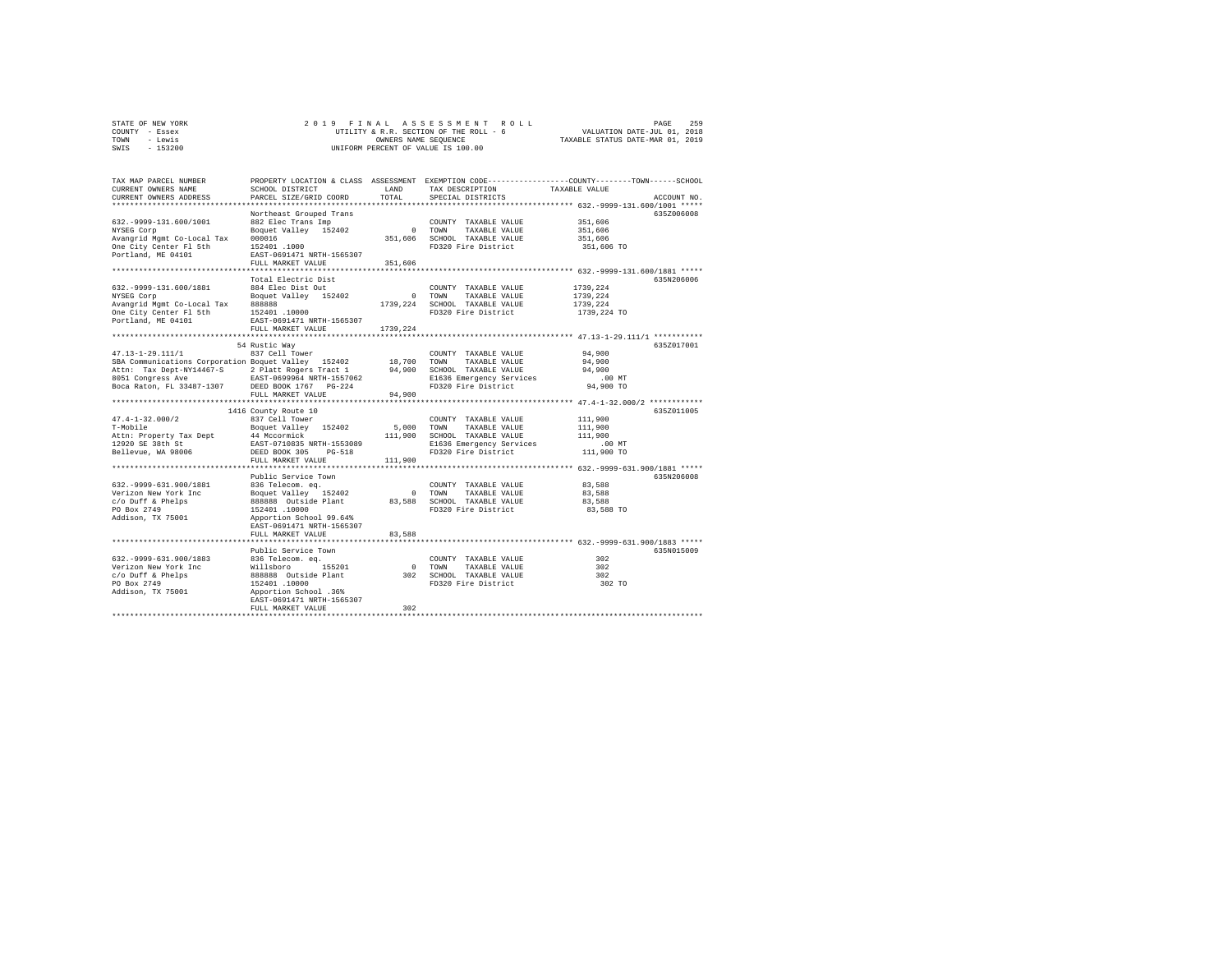|      | STATE OF NEW YORK |  | 2019 FINAL ASSESSMENT ROLL             |                                  | PAGE | 259 |
|------|-------------------|--|----------------------------------------|----------------------------------|------|-----|
|      | COUNTY - Essex    |  | UTILITY & R.R. SECTION OF THE ROLL - 6 | VALUATION DATE-JUL 01, 2018      |      |     |
| TOWN | - Lewis           |  | OWNERS NAME SEOUENCE                   | TAXABLE STATUS DATE-MAR 01, 2019 |      |     |
| SWIS | $-153200$         |  | UNIFORM PERCENT OF VALUE IS 100.00     |                                  |      |     |

| TAX MAP PARCEL NUMBER<br>CURRENT OWNERS NAME                                                                                                             | SCHOOL DISTRICT                                                                                                                                                                      | LAND                                 | TAX DESCRIPTION                                                                                                          | PROPERTY LOCATION & CLASS ASSESSMENT EXEMPTION CODE----------------COUNTY-------TOWN------SCHOOL<br>TAXABLE VALUE |
|----------------------------------------------------------------------------------------------------------------------------------------------------------|--------------------------------------------------------------------------------------------------------------------------------------------------------------------------------------|--------------------------------------|--------------------------------------------------------------------------------------------------------------------------|-------------------------------------------------------------------------------------------------------------------|
| CURRENT OWNERS ADDRESS<br>*********************                                                                                                          | PARCEL SIZE/GRID COORD<br>*******************                                                                                                                                        | TOTAL                                | SPECIAL DISTRICTS                                                                                                        | ACCOUNT NO.                                                                                                       |
| 632. - 9999 - 131. 600/1001<br>NYSEG Corp<br>Avangrid Mgmt Co-Local Tax<br>One City Center Fl 5th<br>Portland, ME 04101<br>***************************** | Northeast Grouped Trans<br>882 Elec Trans Imp<br>Boquet Valley 152402<br>000016<br>152401.1000<br>EAST-0691471 NRTH-1565307<br>FULL MARKET VALUE                                     | 351,606                              | COUNTY TAXABLE VALUE<br>0 TOWN<br>TAXABLE VALUE<br>351,606 SCHOOL TAXABLE VALUE<br>FD320 Fire District                   | 635Z006008<br>351,606<br>351,606<br>351,606<br>351,606 TO                                                         |
|                                                                                                                                                          | Total Electric Dist                                                                                                                                                                  |                                      |                                                                                                                          | 635N206006                                                                                                        |
| 632. - 9999-131. 600/1881<br>NYSEG Corp<br>Avangrid Mgmt Co-Local Tax<br>One City Center Fl 5th<br>Portland, ME 04101                                    | 884 Elec Dist Out<br>Boquet Valley 152402<br>888888<br>152401.10000<br>EAST-0691471 NRTH-1565307<br>FULL MARKET VALUE                                                                | $\mathbf{r}$<br>1739,224<br>1739.224 | COUNTY TAXABLE VALUE<br>TOWN<br>TAXABLE VALUE<br>SCHOOL TAXABLE VALUE<br>FD320 Fire District                             | 1739,224<br>1739,224<br>1739,224<br>1739,224 TO                                                                   |
| ***************************                                                                                                                              | *************************                                                                                                                                                            |                                      |                                                                                                                          |                                                                                                                   |
| 47.13-1-29.111/1<br>SBA Communications Corporation Boquet Valley 152402<br>Attn: Tax Dept-NY14467-S 2 Platt Rogers Tract 1                               | 54 Rustic Way<br>837 Cell Tower                                                                                                                                                      | 18,700 TOWN<br>94,900                | COUNTY TAXABLE VALUE<br>TAXABLE VALUE<br>SCHOOL TAXABLE VALUE<br>E1636 Emergency Services<br>FD320 Fire District         | 635Z017001<br>94,900<br>94,900<br>94,900<br>.00MT<br>94,900 TO                                                    |
|                                                                                                                                                          | FULL MARKET VALUE                                                                                                                                                                    | 94,900                               |                                                                                                                          |                                                                                                                   |
|                                                                                                                                                          | 1416 County Route 10                                                                                                                                                                 |                                      |                                                                                                                          | 635Z011005                                                                                                        |
| $47.4 - 1 - 32.000/2$<br>T-Mobile<br>Attn: Property Tax Dept<br>12920 SE 38th St<br>Bellevue, WA 98006                                                   | 837 Cell Tower<br>Boquet Valley 152402<br>44 Mccormick<br>EAST-0710835 NRTH-1553089<br>DEED BOOK 305<br>$PG-518$<br>FULL MARKET VALUE                                                | 5,000<br>111,900<br>111,900          | COUNTY TAXABLE VALUE<br>TOWN<br>TAXABLE VALUE<br>SCHOOL TAXABLE VALUE<br>E1636 Emergency Services<br>FD320 Fire District | 111,900<br>111,900<br>111,900<br>.00 MT<br>111,900 TO                                                             |
|                                                                                                                                                          | *************************                                                                                                                                                            |                                      |                                                                                                                          |                                                                                                                   |
| 632. - 9999-631.900/1881<br>Verizon New York Inc<br>c/o Duff & Phelps<br>PO Box 2749<br>Addison, TX 75001                                                | Public Service Town<br>836 Telecom. eq.<br>Boquet Valley 152402<br>888888 Outside Plant<br>152401.10000<br>Apportion School 99.64%<br>EAST-0691471 NRTH-1565307<br>FULL MARKET VALUE | $\circ$<br>83,588<br>83,588          | COUNTY TAXABLE VALUE<br>TOWN<br>TAXABLE VALUE<br>SCHOOL TAXABLE VALUE<br>FD320 Fire District                             | 635N206008<br>83,588<br>83,588<br>83,588<br>83,588 TO                                                             |
|                                                                                                                                                          | Public Service Town                                                                                                                                                                  |                                      |                                                                                                                          | 635N015009                                                                                                        |
| 632. - 9999-631.900/1883<br>Verizon New York Inc<br>c/o Duff & Phelps<br>PO Box 2749<br>Addison, TX 75001                                                | 836 Telecom, ea.<br>Willsboro<br>155201<br>888888 Outside Plant<br>152401.10000<br>Apportion School .36%<br>EAST-0691471 NRTH-1565307                                                |                                      | COUNTY TAXABLE VALUE<br>0 TOWN<br>TAXABLE VALUE<br>302 SCHOOL TAXABLE VALUE<br>FD320 Fire District                       | 302<br>302<br>302<br>302 TO                                                                                       |
|                                                                                                                                                          | FULL MARKET VALUE                                                                                                                                                                    | 302                                  |                                                                                                                          |                                                                                                                   |
|                                                                                                                                                          |                                                                                                                                                                                      |                                      |                                                                                                                          |                                                                                                                   |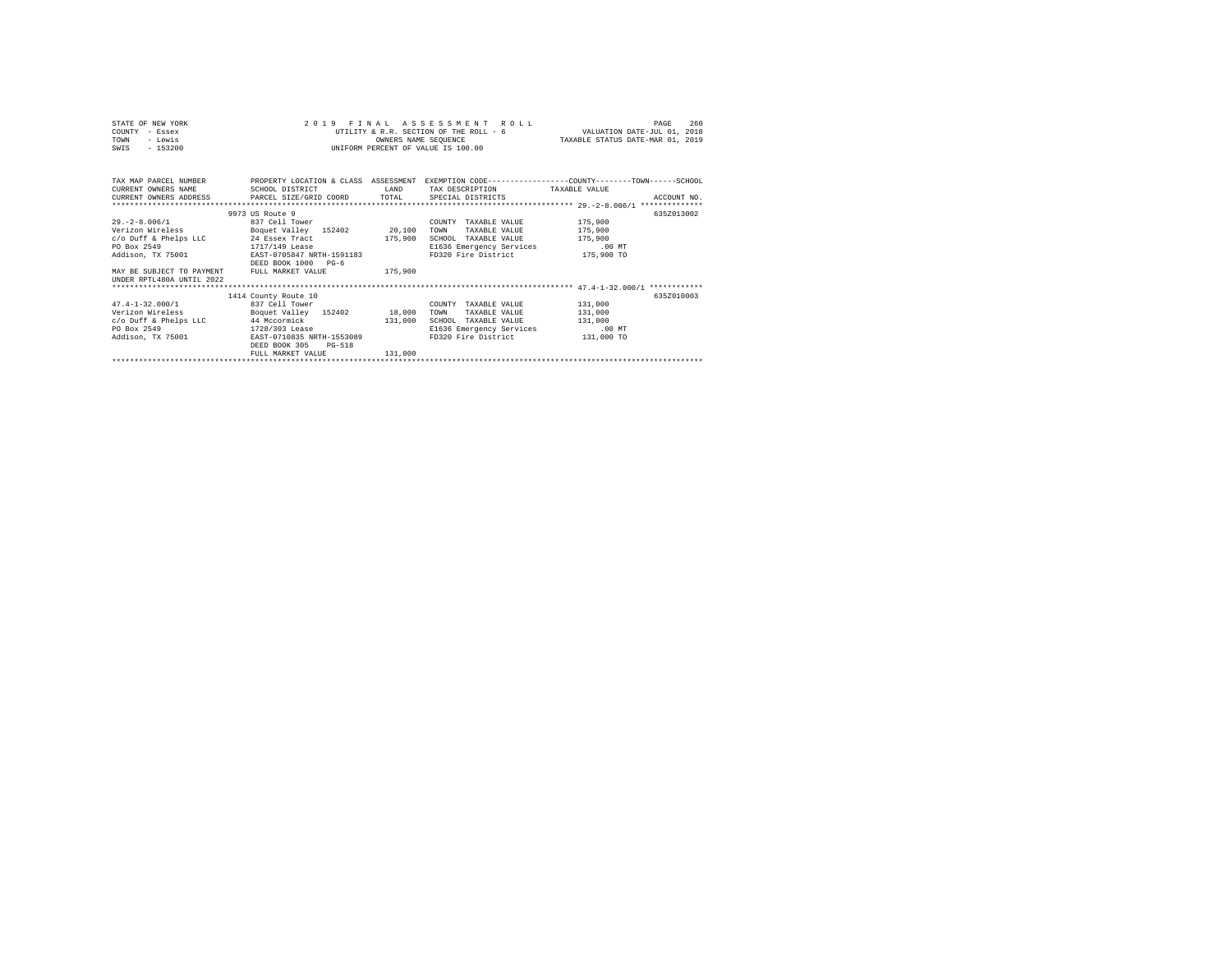| STATE OF NEW YORK<br>COUNTY - Essex<br>- Lewis<br>TOWN<br>SWIS<br>$-153200$                |                                                   | 2019 FINAL ASSESSMENT ROLL<br>UNIFORM PERCENT OF VALUE IS 100.00 | 260<br>PAGE<br>UTILITY & R.R. SECTION OF THE ROLL - $6$ $$\tt VALUATION\ DATE-JUL\ 01,\ 2018$$ OWNERS NAME SEQUENCE $$\tt TAXABLE\ STATUS\ DATE-MAR\ 01,\ 2019$$ |            |             |
|--------------------------------------------------------------------------------------------|---------------------------------------------------|------------------------------------------------------------------|------------------------------------------------------------------------------------------------------------------------------------------------------------------|------------|-------------|
|                                                                                            |                                                   |                                                                  | TAX MAP PARCEL NUMBER THE PROPERTY LOCATION & CLASS ASSESSMENT EXEMPTION CODE-------------COUNTY-------TOWN------SCHOOL                                          |            |             |
| CURRENT OWNERS NAME SCHOOL DISTRICT<br>CURRENT OWNERS ADDRESS PARCEL SIZE/GRID COORD TOTAL |                                                   |                                                                  | LAND TAX DESCRIPTION TAXABLE VALUE<br>SPECIAL DISTRICTS                                                                                                          |            | ACCOUNT NO. |
|                                                                                            |                                                   |                                                                  |                                                                                                                                                                  |            |             |
|                                                                                            | 9973 US Route 9                                   |                                                                  |                                                                                                                                                                  |            | 635Z013002  |
| 29. - 2-8.006/1 837 Cell Tower                                                             |                                                   |                                                                  | COUNTY TAXABLE VALUE 175.900                                                                                                                                     |            |             |
| Verizon Wireless Boquet Valley 152402 20,100 TOWN                                          |                                                   |                                                                  | TAXABLE VALUE 175,900                                                                                                                                            |            |             |
| $c/o$ Duff & Phelps LLC $24$ Essex Tract $175,900$                                         |                                                   |                                                                  | SCHOOL TAXABLE VALUE 175,900                                                                                                                                     |            |             |
| PO Box 2549                                                                                | 1717/149 Lease                                    |                                                                  | E1636 Emergency Services                                                                                                                                         | .00 MT     |             |
| Addison, TX 75001 EAST-0705847 NRTH-1591183                                                | DEED BOOK 1000 PG-6                               |                                                                  | FD320 Fire District 175,900 TO                                                                                                                                   |            |             |
| MAY BE SUBJECT TO PAYMENT FULL MARKET VALUE $175,900$                                      |                                                   |                                                                  |                                                                                                                                                                  |            |             |
| UNDER RPTL480A UNTIL 2022                                                                  |                                                   |                                                                  |                                                                                                                                                                  |            |             |
|                                                                                            |                                                   |                                                                  |                                                                                                                                                                  |            |             |
|                                                                                            | 1414 County Route 10                              |                                                                  |                                                                                                                                                                  |            | 635Z010003  |
| $47.4 - 1 - 32.000/1$                                                                      | 837 Cell Tower                                    |                                                                  | COUNTY TAXABLE VALUE                                                                                                                                             | 131,000    |             |
| Verizon Wireless                                                                           | Boquet Valley 152402 18,000                       |                                                                  | TOWN<br>TAXABLE VALUE                                                                                                                                            | 131,000    |             |
| c/o Duff & Phelps LLC 44 Mccormick 131,000                                                 |                                                   |                                                                  | SCHOOL TAXABLE VALUE                                                                                                                                             | 131,000    |             |
| PO Box 2549 1728/303 Lease                                                                 |                                                   |                                                                  | E1636 Emergency Services                                                                                                                                         | $.00$ MT   |             |
| Addison, TX 75001                                                                          | EAST-0710835 NRTH-1553089<br>DEED BOOK 305 PG-518 |                                                                  | FD320 Fire District                                                                                                                                              | 131,000 TO |             |
|                                                                                            | FULL MARKET VALUE                                 | 131,000                                                          |                                                                                                                                                                  |            |             |
|                                                                                            |                                                   |                                                                  |                                                                                                                                                                  |            |             |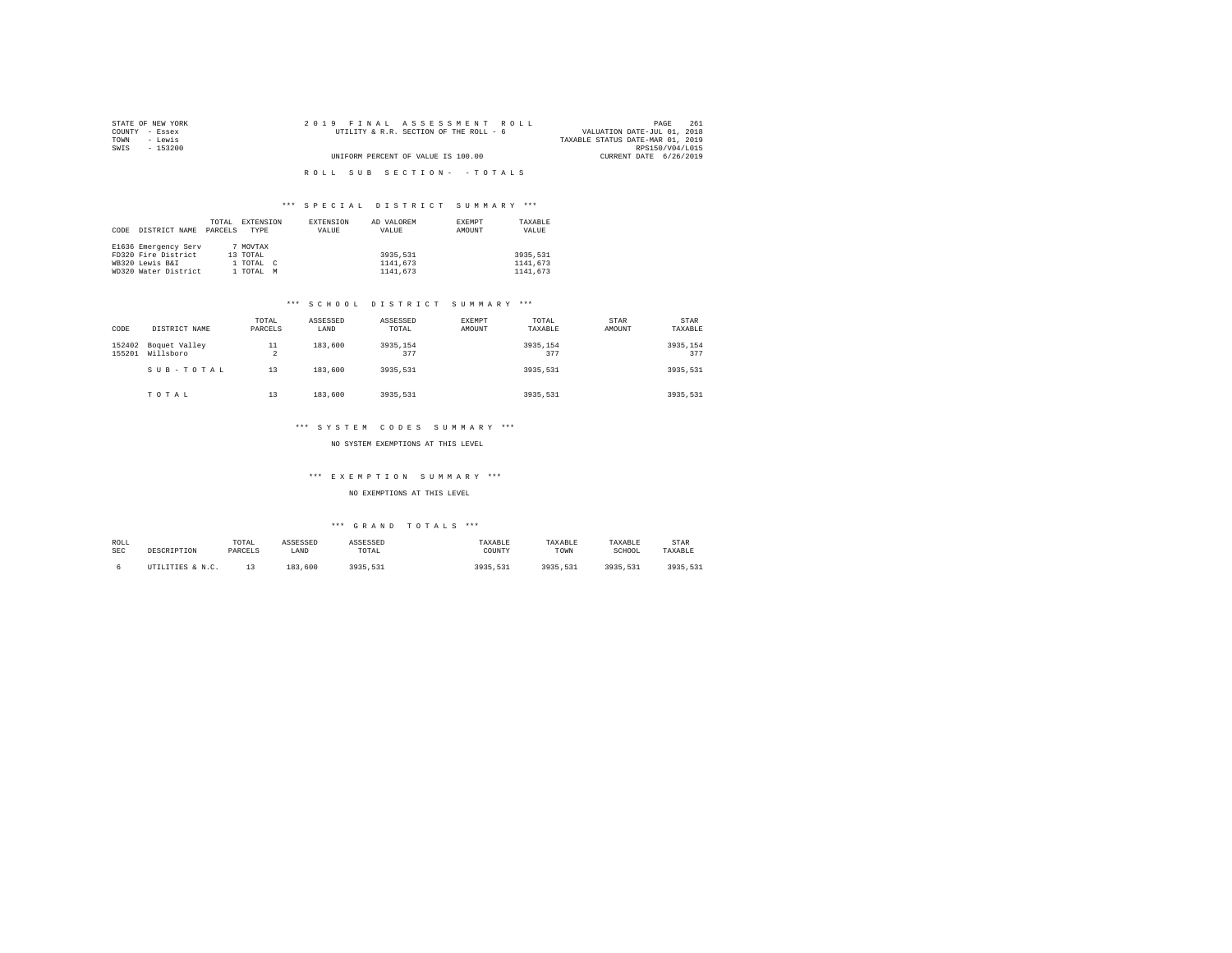| STATE OF NEW YORK | 2019 FINAL ASSESSMENT ROLL             | 261<br>PAGE                      |
|-------------------|----------------------------------------|----------------------------------|
| COUNTY - Essex    | UTILITY & R.R. SECTION OF THE ROLL - 6 | VALUATION DATE-JUL 01, 2018      |
| TOWN<br>- Lewis   |                                        | TAXABLE STATUS DATE-MAR 01, 2019 |
| SWIS<br>- 153200  |                                        | RPS150/V04/L015                  |
|                   | UNIFORM PERCENT OF VALUE IS 100.00     | CURRENT DATE 6/26/2019           |
|                   |                                        |                                  |
|                   | ROLL SUB SECTION- - TOTALS             |                                  |

|      |                      | TOTAL   | EXTENSION   | EXTENSION | AD VALOREM | EXEMPT | TAXARLE  |
|------|----------------------|---------|-------------|-----------|------------|--------|----------|
| CODE | DISTRICT NAME        | PARCELS | <b>TYPE</b> | VALUE     | VALUE      | AMOUNT | VALUE    |
|      |                      |         |             |           |            |        |          |
|      | E1636 Emergency Serv |         | 7 MOVTAX    |           |            |        |          |
|      | FD320 Fire District  |         | 13 TOTAL    |           | 3935.531   |        | 3935.531 |
|      | WB320 Lewis B&I      |         | 1 TOTAL C   |           | 1141,673   |        | 1141.673 |
|      | WD320 Water District |         | 1 TOTAL     | M         | 1141,673   |        | 1141.673 |

#### \*\*\* S C H O O L D I S T R I C T S U M M A R Y \*\*\*

| CODE             | DISTRICT NAME              | TOTAL<br>PARCELS     | ASSESSED<br>LAND | ASSESSED<br>TOTAL | EXEMPT<br>AMOUNT | TOTAL<br>TAXABLE | STAR<br>AMOUNT | STAR<br>TAXABLE |
|------------------|----------------------------|----------------------|------------------|-------------------|------------------|------------------|----------------|-----------------|
| 152402<br>155201 | Boquet Valley<br>Willsboro | 11<br>$\overline{2}$ | 183,600          | 3935.154<br>377   |                  | 3935,154<br>377  |                | 3935,154<br>377 |
|                  | SUB-TOTAL                  | 13                   | 183,600          | 3935,531          |                  | 3935.531         |                | 3935.531        |
|                  | TOTAL                      | 13                   | 183,600          | 3935.531          |                  | 3935,531         |                | 3935,531        |

#### \*\*\* S Y S T E M C O D E S S U M M A R Y \*\*\*

#### NO SYSTEM EXEMPTIONS AT THIS LEVEL

#### \*\*\* E X E M P T I O N S U M M A R Y \*\*\*

#### NO EXEMPTIONS AT THIS LEVEL

| ROLL       | DESCRIPTION      | TOTAL   | ASSESSED | <b><i>ASSESSED</i></b> | TAXABLE  | TAXABLE  | TAXABLE  | STAR     |
|------------|------------------|---------|----------|------------------------|----------|----------|----------|----------|
| <b>SEC</b> |                  | PARCELS | LAND     | TOTAL                  | COUNTY   | TOWN     | SCHOOL   | TAXABLE  |
|            | UTILITIES & N.C. |         | 183,600  | 3935.531               | 3935.531 | 3935.531 | 3935.531 | 3935 537 |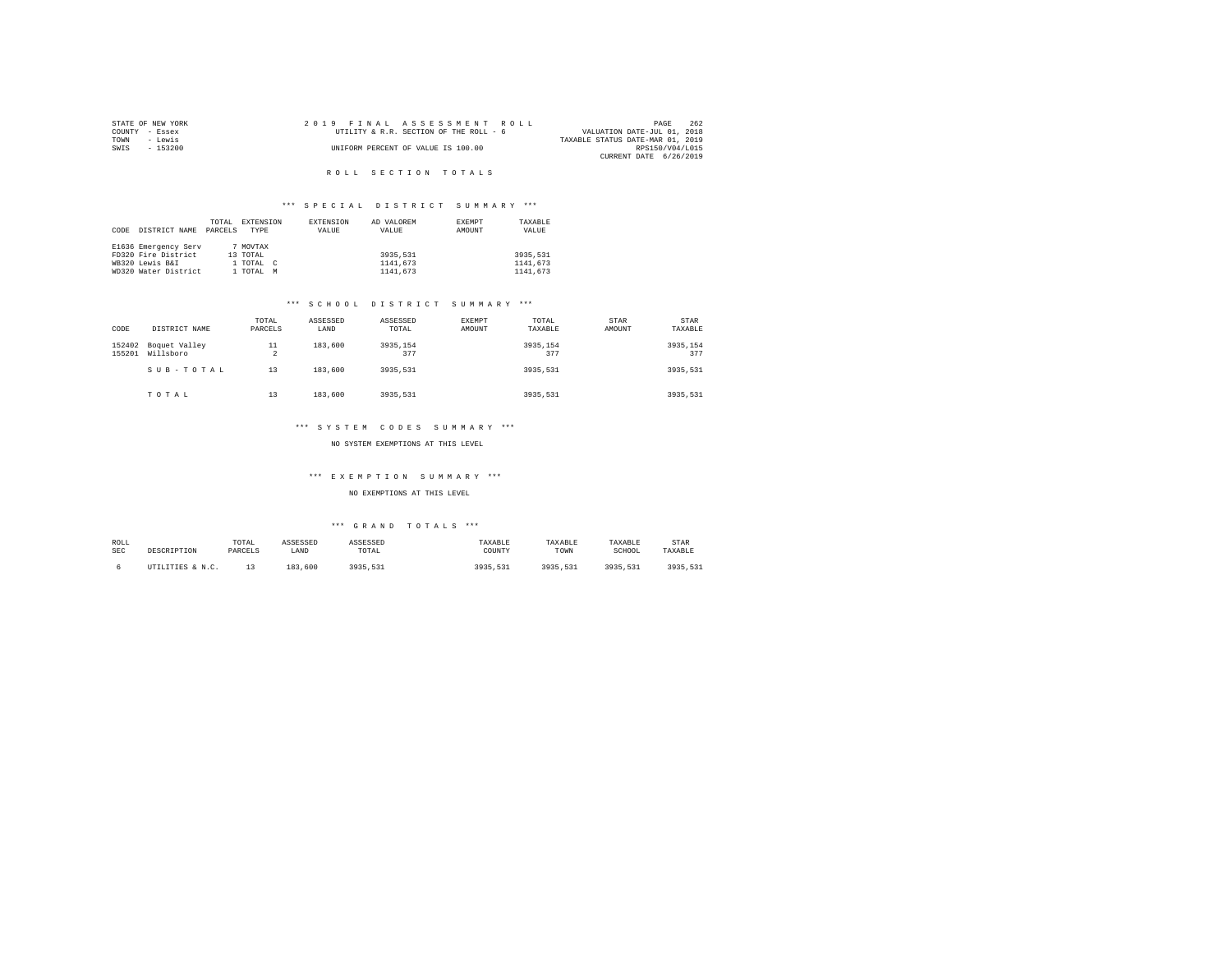|      | STATE OF NEW YORK |  | 2019 FINAL ASSESSMENT ROLL             |                                  | PAGE            | 262 |
|------|-------------------|--|----------------------------------------|----------------------------------|-----------------|-----|
|      | COUNTY - Essex    |  | UTILITY & R.R. SECTION OF THE ROLL - 6 | VALUATION DATE-JUL 01, 2018      |                 |     |
| TOWN | - Lewis           |  |                                        | TAXABLE STATUS DATE-MAR 01, 2019 |                 |     |
| SWIS | - 153200          |  | UNIFORM PERCENT OF VALUE IS 100.00     |                                  | RPS150/V04/L015 |     |
|      |                   |  |                                        | CURRENT DATE 6/26/2019           |                 |     |

#### R O L L S E C T I O N T O T A L S

#### \*\*\* S P E C I A L D I S T R I C T S U M M A R Y \*\*\*

|      |                      | TOTAL   | EXTENSION             |   | EXTENSION | AD VALOREM | <b>EXEMPT</b> | TAXABLE  |
|------|----------------------|---------|-----------------------|---|-----------|------------|---------------|----------|
| CODE | DISTRICT NAME        | PARCELS | TYPE                  |   | VALUE     | VALUE      | AMOUNT        | VALUE    |
|      |                      |         |                       |   |           |            |               |          |
|      | E1636 Emergency Serv |         | 7 MOVTAX              |   |           |            |               |          |
|      | FD320 Fire District  |         | 13 TOTAL              |   |           | 3935,531   |               | 3935.531 |
|      | WB320 Lewis B&I      |         | 1 TOTAL<br>$\sqrt{2}$ |   |           | 1141,673   |               | 1141.673 |
|      | WD320 Water District |         | 1 TOTAL               | M |           | 1141,673   |               | 1141.673 |

#### \*\*\* S C H O O L D I S T R I C T S U M M A R Y \*\*\*

| CODE             | DISTRICT NAME              | TOTAL<br>PARCELS     | ASSESSED<br>LAND | ASSESSED<br>TOTAL | <b>EXEMPT</b><br>AMOUNT | TOTAL<br>TAXABLE | STAR<br>AMOUNT | <b>STAR</b><br>TAXABLE |
|------------------|----------------------------|----------------------|------------------|-------------------|-------------------------|------------------|----------------|------------------------|
| 152402<br>155201 | Boquet Valley<br>Willsboro | 11<br>$\overline{a}$ | 183,600          | 3935.154<br>377   |                         | 3935,154<br>377  |                | 3935.154<br>377        |
|                  | SUB-TOTAL                  | 13                   | 183,600          | 3935.531          |                         | 3935.531         |                | 3935.531               |
|                  | TOTAL                      | 13                   | 183,600          | 3935.531          |                         | 3935.531         |                | 3935.531               |

#### \*\*\* S Y S T E M C O D E S S U M M A R Y \*\*\*

#### NO SYSTEM EXEMPTIONS AT THIS LEVEL

#### \*\*\* E X E M P T I O N S U M M A R Y \*\*\*

#### NO EXEMPTIONS AT THIS LEVEL

| ROLL       | DESCRIPTION      | TOTAL   | ASSESSED | ASSESSED | TAXABLE  | TAXABLE  | TAXABLE  | STAR     |
|------------|------------------|---------|----------|----------|----------|----------|----------|----------|
| <b>SEC</b> |                  | PARCELS | LAND     | TOTAL    | COUNTY   | TOWN     | SCHOOL   | TAXABLE  |
|            | UTILITIES & N.C. |         | 183,600  | 3935.531 | 3935.531 | 3935.531 | 3935.531 | 3935 537 |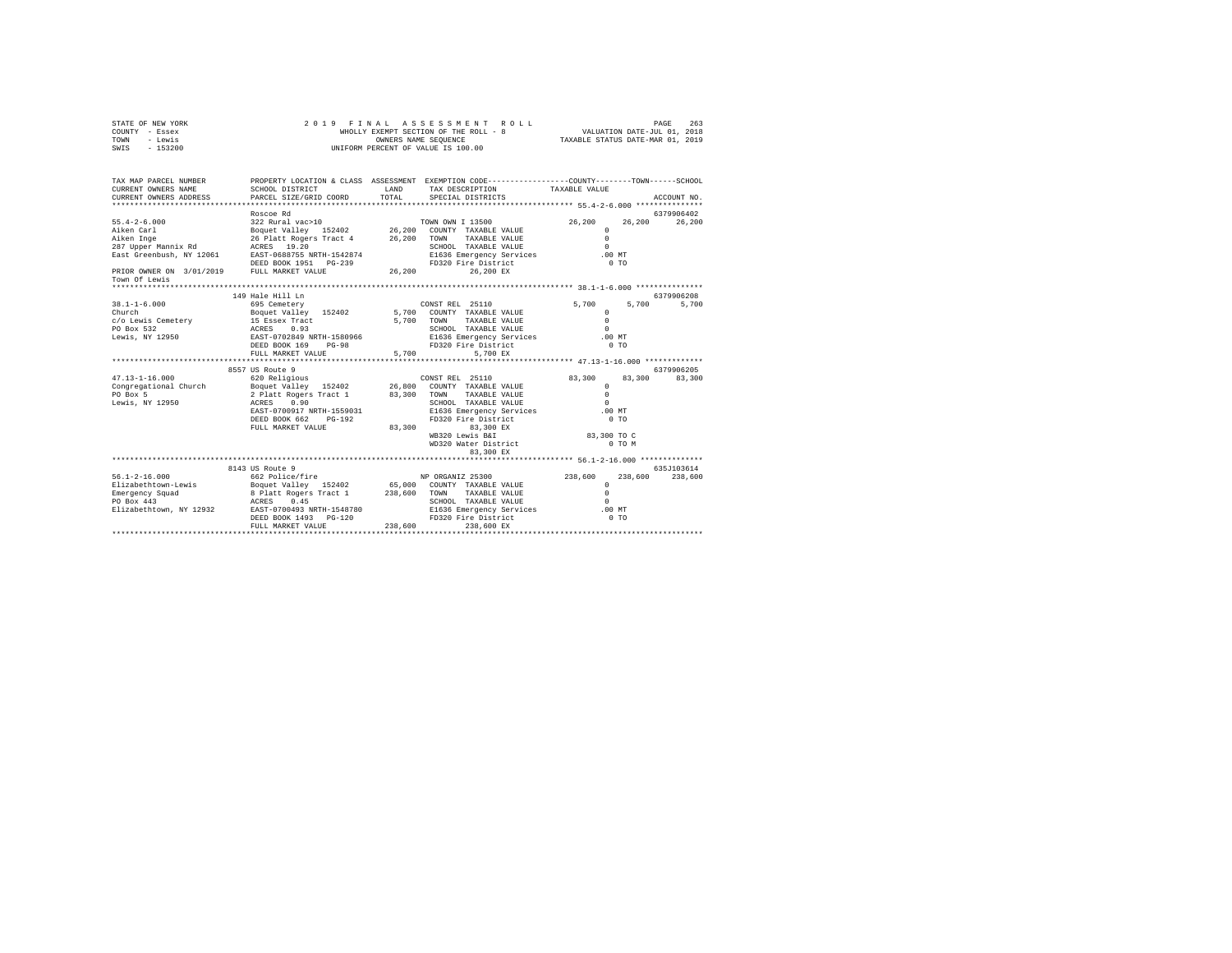| STATE OF NEW YORK<br>COUNTY - Essex<br>TOWN<br>- Lewis<br>$-153200$<br>SWIS                                                                                      | 2019<br>FINAL                                                                                                                                                                              | OWNERS NAME SEQUENCE          | ASSESSMENT<br>ROLL<br>WHOLLY EXEMPT SECTION OF THE ROLL - 8<br>UNIFORM PERCENT OF VALUE IS 100.00                                                                                                                                            |                                                                               | PAGE<br>263<br>VALUATION DATE-JUL 01, 2018<br>TAXABLE STATUS DATE-MAR 01, 2019 |
|------------------------------------------------------------------------------------------------------------------------------------------------------------------|--------------------------------------------------------------------------------------------------------------------------------------------------------------------------------------------|-------------------------------|----------------------------------------------------------------------------------------------------------------------------------------------------------------------------------------------------------------------------------------------|-------------------------------------------------------------------------------|--------------------------------------------------------------------------------|
| TAX MAP PARCEL NUMBER<br>CURRENT OWNERS NAME<br>CURRENT OWNERS ADDRESS<br>**************************                                                             | SCHOOL DISTRICT<br>PARCEL SIZE/GRID COORD                                                                                                                                                  | LAND<br>TOTAL                 | PROPERTY LOCATION & CLASS ASSESSMENT EXEMPTION CODE---------------COUNTY-------TOWN------SCHOOL<br>TAX DESCRIPTION<br>SPECIAL DISTRICTS                                                                                                      | TAXABLE VALUE                                                                 | ACCOUNT NO.                                                                    |
| $55.4 - 2 - 6.000$<br>Aiken Carl<br>Aiken Inge<br>287 Upper Mannix Rd<br>East Greenbush, NY 12061<br>PRIOR OWNER ON 3/01/2019 FULL MARKET VALUE<br>Town Of Lewis | Roscoe Rd<br>322 Rural vac>10<br>Boquet Valley 152402<br>26 Platt Roger<br>ACRES 19.20<br>26 Platt Rogers Tract 4 26,200<br>EAST-0688755 NRTH-1542874<br>DEED BOOK 1951 PG-239             | 26,200                        | TOWN OWN I 13500<br>26,200 COUNTY TAXABLE VALUE<br>TOWN<br>TAXABLE VALUE<br>SCHOOL TAXABLE VALUE<br>E1636 Emergency Services<br>FD320 Fire District<br>26,200 EX                                                                             | 26,200<br>$\Omega$<br>$\Omega$<br>$\Omega$<br>.00MT<br>$0$ TO                 | 6379906402<br>26,200<br>26,200                                                 |
|                                                                                                                                                                  | 149 Hale Hill Ln                                                                                                                                                                           |                               |                                                                                                                                                                                                                                              |                                                                               | 6379906208                                                                     |
| $38.1 - 1 - 6.000$<br>Church<br>c/o Lewis Cemetery<br>PO Box 532<br>Lewis, NY 12950<br>$47.13 - 1 - 16.000$                                                      | 695 Cemetery<br>Boquet Valley 152402<br>15 Essex Tract<br>ACRES 0.93<br>EAST-0702849 NRTH-1580966<br>DEED BOOK 169<br>$PG-98$<br>FULL MARKET VALUE<br><br>8557 US Route 9<br>620 Religious | 5,700<br>5,700<br>*********** | CONST REL 25110<br>5,700 COUNTY TAXABLE VALUE<br>TAXABLE VALUE<br>TOWN<br>SCHOOL TAXABLE VALUE<br>E1636 Emergency Services<br>FD320 Fire District<br>5,700 EX<br>*************************** 47.13-1-16.000 *************<br>CONST REL 25110 | 5,700<br>$\circ$<br>$\Omega$<br>$\Omega$<br>$.00$ MT<br>$0$ TO<br>83,300      | 5,700<br>5,700<br>6379906205<br>83,300<br>83,300                               |
| Congregational Church<br>PO Box 5<br>Lewis, NY 12950                                                                                                             | Boquet Valley 152402 26,800<br>2 Platt Rogers Tract 1 83,300<br>ACRES<br>0.90<br>EAST-0700917 NRTH-1559031<br>DEED BOOK 662<br>$PG-192$<br>FULL MARKET VALUE                               | 26,800<br>83,300              | COUNTY TAXABLE VALUE<br>TAXABLE VALUE<br>TOWN<br>SCHOOL TAXABLE VALUE<br>E1636 Emergency Services<br>FD320 Fire District<br>83,300 EX<br>WB320 Lewis B&I<br>WD320 Water District<br>83,300 EX                                                | $\Omega$<br>$\Omega$<br>$\Omega$<br>.00 MT<br>$0$ TO<br>83,300 TO C<br>0 TO M |                                                                                |
|                                                                                                                                                                  | 8143 US Route 9                                                                                                                                                                            |                               |                                                                                                                                                                                                                                              |                                                                               | 635J103614                                                                     |
| $56.1 - 2 - 16.000$<br>Elizabethtown-Lewis<br>Emergency Squad<br>PO Box 443<br>Elizabethtown, NY 12932                                                           | 662 Police/fire<br>Boquet Valley 152402<br>8 Platt Rogers Tract 1<br>ACRES<br>0.45<br>EAST-0700493 NRTH-1548780<br>DEED BOOK 1493 PG-120<br>FULL MARKET VALUE                              | 238,600<br>238,600            | NP ORGANIZ 25300<br>65,000 COUNTY TAXABLE VALUE<br>TOWN<br>TAXABLE VALUE<br>SCHOOL TAXABLE VALUE<br>E1636 Emergency Services<br>FD320 Fire District<br>238,600 EX                                                                            | 238,600<br>$\Omega$<br>$\Omega$<br>$\Omega$<br>$.00$ MT<br>$0$ TO             | 238,600<br>238,600                                                             |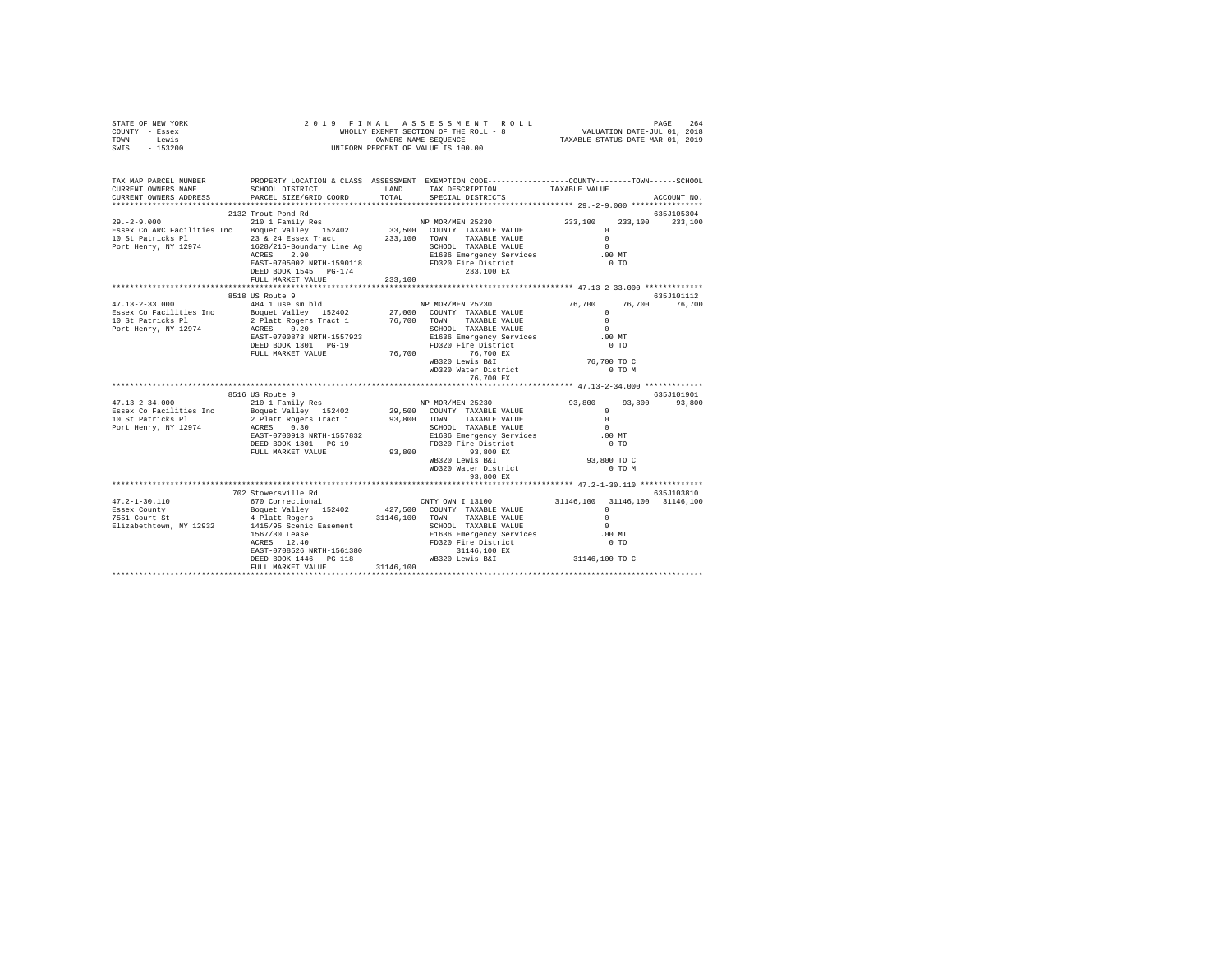| STATE OF NEW YORK<br>COUNTY - Essex<br>TOWN - Lewis<br>SWIS - 153200                                                                                                                                                                       |                             |  |                                                                                                  |        |                 |
|--------------------------------------------------------------------------------------------------------------------------------------------------------------------------------------------------------------------------------------------|-----------------------------|--|--------------------------------------------------------------------------------------------------|--------|-----------------|
| TAX MAP PARCEL NUMBER<br>CURRENT OWNERS NAME<br>CURRENT OWNERS ADDRESS                                                                                                                                                                     |                             |  | PROPERTY LOCATION & CLASS ASSESSMENT EXEMPTION CODE----------------COUNTY-------TOWN------SCHOOL |        | ACCOUNT NO.     |
|                                                                                                                                                                                                                                            | 2132 Trout Pond Rd          |  |                                                                                                  |        | 635J105304      |
|                                                                                                                                                                                                                                            |                             |  |                                                                                                  |        | 233,100 233,100 |
|                                                                                                                                                                                                                                            |                             |  |                                                                                                  |        |                 |
|                                                                                                                                                                                                                                            |                             |  |                                                                                                  |        |                 |
|                                                                                                                                                                                                                                            |                             |  |                                                                                                  |        |                 |
|                                                                                                                                                                                                                                            |                             |  |                                                                                                  |        |                 |
|                                                                                                                                                                                                                                            |                             |  |                                                                                                  |        |                 |
|                                                                                                                                                                                                                                            |                             |  |                                                                                                  |        |                 |
|                                                                                                                                                                                                                                            |                             |  |                                                                                                  |        |                 |
|                                                                                                                                                                                                                                            | 8518 US Route 9             |  |                                                                                                  |        | 635J101112      |
|                                                                                                                                                                                                                                            |                             |  |                                                                                                  |        |                 |
|                                                                                                                                                                                                                                            |                             |  |                                                                                                  |        |                 |
|                                                                                                                                                                                                                                            |                             |  |                                                                                                  |        |                 |
|                                                                                                                                                                                                                                            |                             |  |                                                                                                  |        |                 |
|                                                                                                                                                                                                                                            |                             |  |                                                                                                  |        |                 |
|                                                                                                                                                                                                                                            |                             |  |                                                                                                  |        |                 |
|                                                                                                                                                                                                                                            |                             |  |                                                                                                  |        |                 |
|                                                                                                                                                                                                                                            |                             |  |                                                                                                  |        |                 |
|                                                                                                                                                                                                                                            |                             |  |                                                                                                  |        |                 |
| 76,700 EX. 1999 - 76,700 EX. 1999 - 76,800 EX. 1999 - 76,900 EX. 1999 - 76,900 EX. 1999 - 1999 - 1999 - 1999 - 1999 - 1999 - 1999 - 1999 - 1999 - 1999 - 1999 - 1999 - 1999 - 1999 - 1999 - 1999 - 1999 - 1999 - 1999 - 1999 -             |                             |  |                                                                                                  |        |                 |
|                                                                                                                                                                                                                                            | 8516 US Route 9             |  |                                                                                                  |        | 635J101901      |
|                                                                                                                                                                                                                                            |                             |  |                                                                                                  |        |                 |
|                                                                                                                                                                                                                                            |                             |  |                                                                                                  |        |                 |
|                                                                                                                                                                                                                                            |                             |  |                                                                                                  |        |                 |
|                                                                                                                                                                                                                                            |                             |  |                                                                                                  |        |                 |
|                                                                                                                                                                                                                                            |                             |  |                                                                                                  |        |                 |
|                                                                                                                                                                                                                                            |                             |  |                                                                                                  |        |                 |
|                                                                                                                                                                                                                                            |                             |  |                                                                                                  |        |                 |
|                                                                                                                                                                                                                                            |                             |  | WB320 Lewis Dul<br>WD320 Water District                                                          | 0 TO M |                 |
|                                                                                                                                                                                                                                            |                             |  |                                                                                                  |        |                 |
|                                                                                                                                                                                                                                            |                             |  |                                                                                                  |        |                 |
|                                                                                                                                                                                                                                            |                             |  |                                                                                                  |        |                 |
|                                                                                                                                                                                                                                            |                             |  |                                                                                                  |        |                 |
|                                                                                                                                                                                                                                            |                             |  |                                                                                                  |        |                 |
|                                                                                                                                                                                                                                            |                             |  |                                                                                                  |        |                 |
|                                                                                                                                                                                                                                            |                             |  |                                                                                                  |        |                 |
|                                                                                                                                                                                                                                            |                             |  |                                                                                                  |        |                 |
|                                                                                                                                                                                                                                            |                             |  |                                                                                                  |        |                 |
| 1970 1971 1972<br>The Sample Ray (1972) 2160<br>Essex County (1972) 2160<br>Exsex County (1972) 2160<br>Exsex County (1972) 22402<br>The Bourd Mark Hotel County TAXABLE VALUE<br>The Sample Count Street (1972) 2247,500 COUNTY TAXABLE V |                             |  |                                                                                                  |        |                 |
|                                                                                                                                                                                                                                            | FULL MARKET VALUE 31146,100 |  |                                                                                                  |        |                 |
|                                                                                                                                                                                                                                            |                             |  |                                                                                                  |        |                 |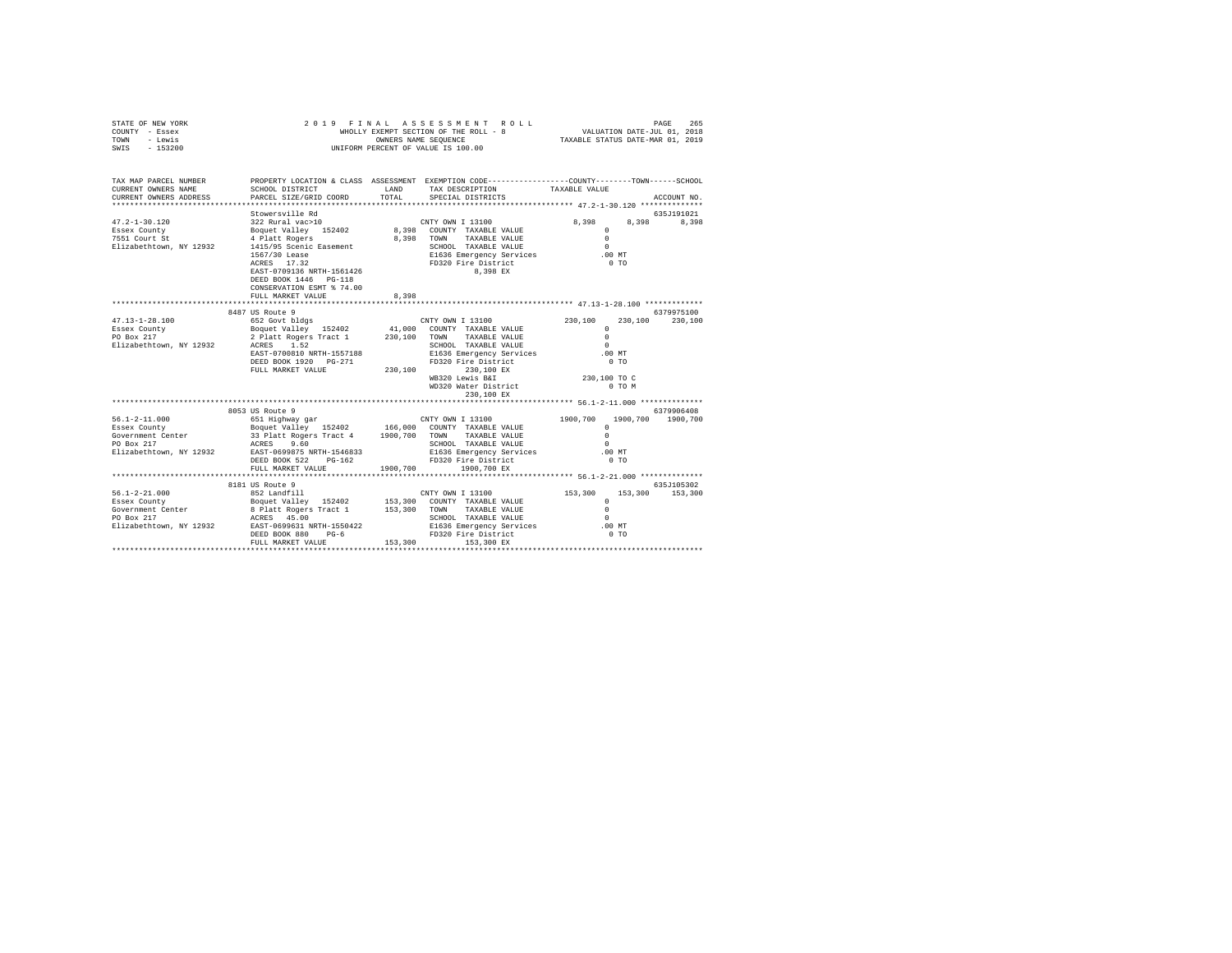| STATE OF NEW YORK<br>COUNTY - Essex<br>- Lewis<br>TOWN<br>SWIS - 153200         | 2019 FINAL                                                                                                                                                                                                                                                     |               | ASSESSMENT ROLL<br>WHOLLY EXEMPT SECTION OF THE ROLL - 8<br>OWNERS NAME SEQUENCE<br>UNIFORM PERCENT OF VALUE IS 100.00                                                                           | VALUATION DATE-JUL 01, 2018<br>TAXABLE STATUS DATE-MAR 01, 2019                      | PAGE<br>265                     |
|---------------------------------------------------------------------------------|----------------------------------------------------------------------------------------------------------------------------------------------------------------------------------------------------------------------------------------------------------------|---------------|--------------------------------------------------------------------------------------------------------------------------------------------------------------------------------------------------|--------------------------------------------------------------------------------------|---------------------------------|
| TAX MAP PARCEL NUMBER<br>CURRENT OWNERS NAME                                    | SCHOOL DISTRICT<br>PARCEL SIZE/GRID COORD                                                                                                                                                                                                                      | LAND<br>TOTAL | PROPERTY LOCATION & CLASS ASSESSMENT EXEMPTION CODE---------------COUNTY-------TOWN------SCHOOL<br>TAX DESCRIPTION                                                                               | TAXABLE VALUE                                                                        | ACCOUNT NO.                     |
| CURRENT OWNERS ADDRESS                                                          |                                                                                                                                                                                                                                                                |               | SPECIAL DISTRICTS                                                                                                                                                                                |                                                                                      |                                 |
|                                                                                 | Stowersville Rd                                                                                                                                                                                                                                                |               |                                                                                                                                                                                                  |                                                                                      | 635J191021                      |
| $47.2 - 1 - 30.120$<br>Essex County<br>7551 Court St<br>Elizabethtown, NY 12932 | 322 Rural vac>10<br>Boquet Valley 152402<br>4 Platt Rogers<br>1415/95 Scenic Easement<br>1567/30 Lease<br>ACRES 17.32<br>EAST-0709136 NRTH-1561426<br>DEED BOOK 1446 PG-118<br>CONSERVATION ESMT % 74.00                                                       |               | CNTY OWN I 13100<br>8,398 COUNTY TAXABLE VALUE<br>8,398 TOWN<br>TAXABLE VALUE<br>SCHOOL TAXABLE VALUE<br>SCHOOL TAAADDE<br>E1636 Emergency Services<br>FD320 Fire District<br>200 Ex<br>8,398 EX | 8,398<br>8,398<br>$\Omega$<br>$\Omega$<br>$\Omega$<br>.00MT<br>0.70                  | 8,398                           |
|                                                                                 | FULL MARKET VALUE                                                                                                                                                                                                                                              | 8,398         |                                                                                                                                                                                                  |                                                                                      |                                 |
|                                                                                 | 8487 US Route 9                                                                                                                                                                                                                                                |               |                                                                                                                                                                                                  |                                                                                      | 6379975100                      |
| $47.13 - 1 - 28.100$<br>Essex County<br>PO Box 217<br>Elizabethtown, NY 12932   | 652 Govt bldgs<br>Boguet Valley 152402 41,0<br>2 Platt Rogers Tract 1 230.1<br>ACRES 1.52<br>EAST-0700810 NRTH-1557188<br>DEED BOOK 1920 PG-271                                                                                                                | 230,100       | CNTY OWN I 13100<br>41,000 COUNTY TAXABLE VALUE<br>TOWN TAXABLE VALUE<br>SCHOOL TAXABLE VALUE<br>E1636 Emergency Services<br>FD320 Fire District                                                 | 230,100<br>230,100<br>$\Omega$<br>$\Omega$<br>$\Omega$<br>$.00$ MT<br>0 <sub>T</sub> | 230,100                         |
|                                                                                 | FULL MARKET VALUE                                                                                                                                                                                                                                              |               | 230,100 230,100 EX<br>WB320 Lewis B&I<br>WD320 Water District<br>230,100 EX                                                                                                                      | 230,100 TO C<br>$0$ TO $M$                                                           |                                 |
|                                                                                 |                                                                                                                                                                                                                                                                |               |                                                                                                                                                                                                  |                                                                                      |                                 |
| $56.1 - 2 - 11.000$<br>Essex County<br>Government Center<br>PO Box 217          | 8053 US Route 9<br>651 Highway gar<br>Boquet Valley 152402 166,000 COUNTY TAXABLE VALUE<br>33 Platt Rogers Tract 4 1900,700 TOWN TAXABLE VALUE<br>ACRES 9.60<br>Elizabethtown, NY 12932 EAST-0699875 NRTH-1546833<br>DEED BOOK 522 PG-162<br>FULL MARKET VALUE | 1900,700      | TAXABLE VALUE<br>SCHOOL TAXABLE VALUE<br>E1636 Emergency Services<br>FD320 Fire District<br>FD320 Fire District<br>1900,700 EX                                                                   | 1900,700<br>$\Omega$<br>$\Omega$<br>$\Omega$<br>$.00$ MT<br>0 <sub>T</sub>           | 6379906408<br>1900.700 1900.700 |
|                                                                                 |                                                                                                                                                                                                                                                                |               |                                                                                                                                                                                                  |                                                                                      |                                 |
|                                                                                 | 8181 US Route 9<br>DEED BOOK 880 PG-6<br>FULL MARKET VALUE                                                                                                                                                                                                     | 153,300       | CNTY OWN I 13100<br>E1636 Emergency Services<br>FD320 Fire District<br>153,300 EX                                                                                                                | 153,300 153,300<br>$\Omega$<br>$\Omega$<br>$\Omega$<br>$.00$ MT<br>0.70              | 635.7105302<br>153,300          |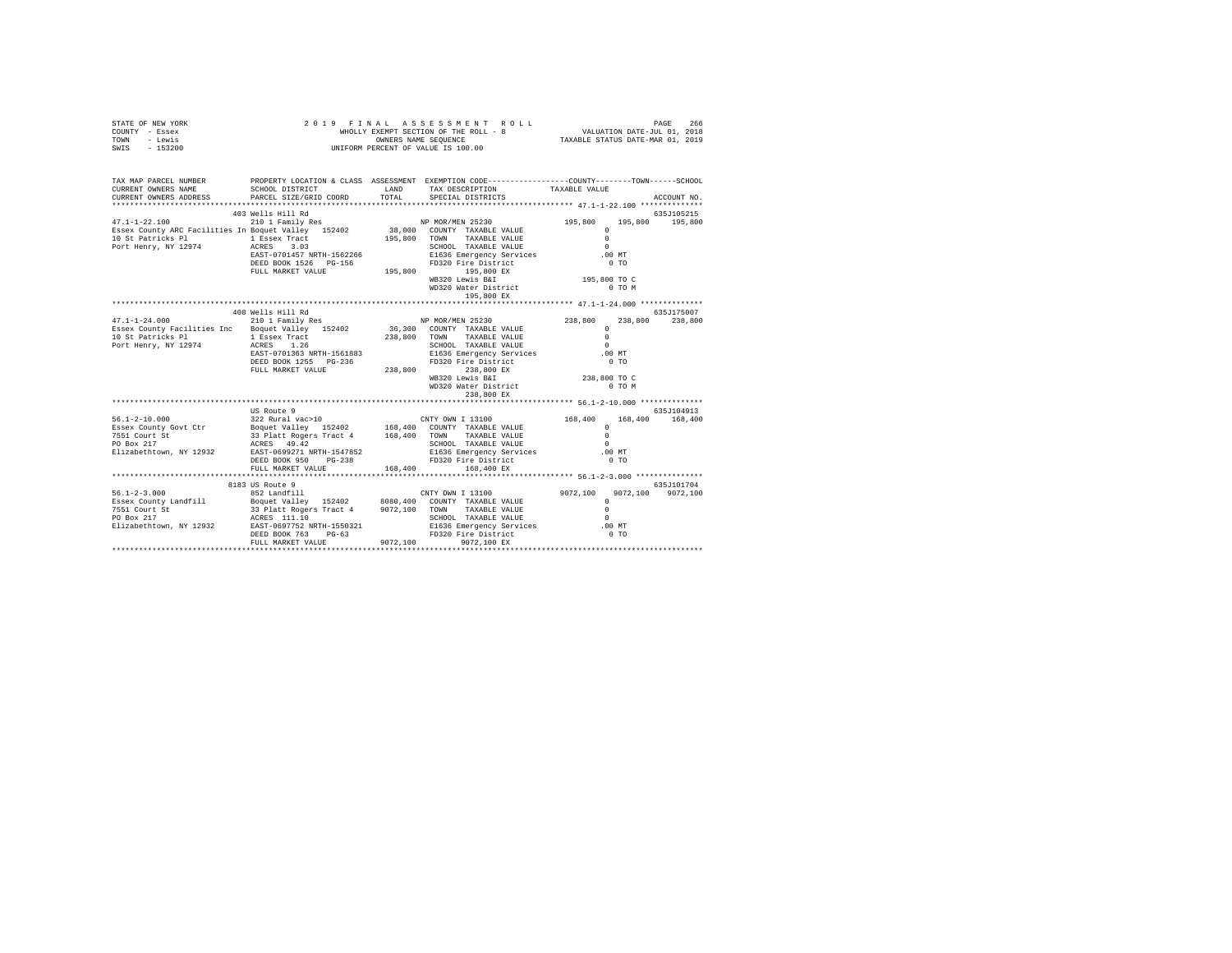| STATE OF NEW YORK<br>COUNTY - Essex<br>TOWN - Lewis<br>SWIS - 153200                                                                                                                                                                                                                                                                                                                                      |                   |                                                                      |              |             |
|-----------------------------------------------------------------------------------------------------------------------------------------------------------------------------------------------------------------------------------------------------------------------------------------------------------------------------------------------------------------------------------------------------------|-------------------|----------------------------------------------------------------------|--------------|-------------|
| TAX MAP PARCEL NUMBER PROPERTY LOCATION & CLASS ASSESSMENT EXEMPTION CODE---------------COUNTY-------TOWN------SCHOOL<br>CURRENT OWNERS NAME                                                                                                                                                                                                                                                              |                   | SCHOOL DISTRICT         LAND     TAX DESCRIPTION       TAXABLE VALUE |              |             |
| CURRENT OWNERS ADDRESS PARCEL SIZE/GRID COORD TOTAL                                                                                                                                                                                                                                                                                                                                                       |                   | SPECIAL DISTRICTS                                                    |              | ACCOUNT NO. |
|                                                                                                                                                                                                                                                                                                                                                                                                           |                   |                                                                      |              |             |
|                                                                                                                                                                                                                                                                                                                                                                                                           |                   |                                                                      |              |             |
| 47.1-1-22.100<br>Essex County ARC Facilities In Boquet Valley 152402<br>The MD MOR/MEN 25230<br>Essex County ARC Facilities In Boquet Valley 152402<br>195,800 COUNTY TAXABLE VALUE<br>20 195,800 195,800<br>Port Henry, NY 12974 ACRES 3.                                                                                                                                                                |                   |                                                                      |              |             |
|                                                                                                                                                                                                                                                                                                                                                                                                           |                   |                                                                      |              |             |
|                                                                                                                                                                                                                                                                                                                                                                                                           |                   |                                                                      | 195,800 TO C |             |
|                                                                                                                                                                                                                                                                                                                                                                                                           |                   | WD320 Water District                                                 | 0 TO M       |             |
|                                                                                                                                                                                                                                                                                                                                                                                                           |                   |                                                                      |              |             |
|                                                                                                                                                                                                                                                                                                                                                                                                           |                   |                                                                      |              | 635J175007  |
|                                                                                                                                                                                                                                                                                                                                                                                                           |                   |                                                                      |              | 238,800     |
|                                                                                                                                                                                                                                                                                                                                                                                                           |                   |                                                                      |              |             |
|                                                                                                                                                                                                                                                                                                                                                                                                           |                   |                                                                      |              |             |
| $\begin{tabular}{l c c c c c} \multicolumn{3}{c}{\textbf{47.1--1--24.000}} & \multicolumn{3}{c}{\textbf{49.8--01}} & \multicolumn{3}{c}{\textbf{49.8--01}} & \multicolumn{3}{c}{\textbf{49.8--01}} & \multicolumn{3}{c}{\textbf{49.8--01}} & \multicolumn{3}{c}{\textbf{49.8--01}} & \multicolumn{3}{c}{\textbf{49.8--01}} & \multicolumn{3}{c}{\textbf{49.8--01}} & \multicolumn{3}{c}{\textbf{49.8--01$ |                   |                                                                      |              |             |
|                                                                                                                                                                                                                                                                                                                                                                                                           |                   |                                                                      |              |             |
|                                                                                                                                                                                                                                                                                                                                                                                                           |                   |                                                                      |              |             |
|                                                                                                                                                                                                                                                                                                                                                                                                           |                   |                                                                      |              |             |
|                                                                                                                                                                                                                                                                                                                                                                                                           |                   | WD320 Water District<br>238,800 EX                                   | O TO M       |             |
|                                                                                                                                                                                                                                                                                                                                                                                                           |                   |                                                                      |              |             |
|                                                                                                                                                                                                                                                                                                                                                                                                           | US Route 9        |                                                                      |              | 635J104913  |
|                                                                                                                                                                                                                                                                                                                                                                                                           |                   |                                                                      |              |             |
|                                                                                                                                                                                                                                                                                                                                                                                                           |                   |                                                                      |              |             |
|                                                                                                                                                                                                                                                                                                                                                                                                           |                   |                                                                      |              |             |
|                                                                                                                                                                                                                                                                                                                                                                                                           |                   |                                                                      |              |             |
|                                                                                                                                                                                                                                                                                                                                                                                                           |                   |                                                                      |              |             |
|                                                                                                                                                                                                                                                                                                                                                                                                           | FULL MARKET VALUE | 168,400 168,400 EX                                                   |              |             |
|                                                                                                                                                                                                                                                                                                                                                                                                           |                   |                                                                      |              |             |
|                                                                                                                                                                                                                                                                                                                                                                                                           |                   |                                                                      |              |             |
|                                                                                                                                                                                                                                                                                                                                                                                                           |                   |                                                                      |              |             |
|                                                                                                                                                                                                                                                                                                                                                                                                           |                   |                                                                      |              |             |
|                                                                                                                                                                                                                                                                                                                                                                                                           |                   |                                                                      |              |             |
|                                                                                                                                                                                                                                                                                                                                                                                                           |                   |                                                                      |              |             |
|                                                                                                                                                                                                                                                                                                                                                                                                           |                   |                                                                      |              |             |
| $\begin{tabular}{lllllllllll} \textbf{56.1-2-3.000} & \textbf{8183 US Route 9} & \textbf{55.1-12-3.000} & \textbf{8183 US Route 9} & \textbf{55.1-12-3.000} & \textbf{8183 US Route 9} & \textbf{55.1-12-3.000} & \textbf{8183 US Route 9} & \textbf{55.1-12-3.000} & \textbf{8183 US Route 9} & \textbf{55.1-12-3.000} & \textbf{5072,100} & \textbf{5072,10$                                            |                   |                                                                      |              |             |
|                                                                                                                                                                                                                                                                                                                                                                                                           |                   |                                                                      |              |             |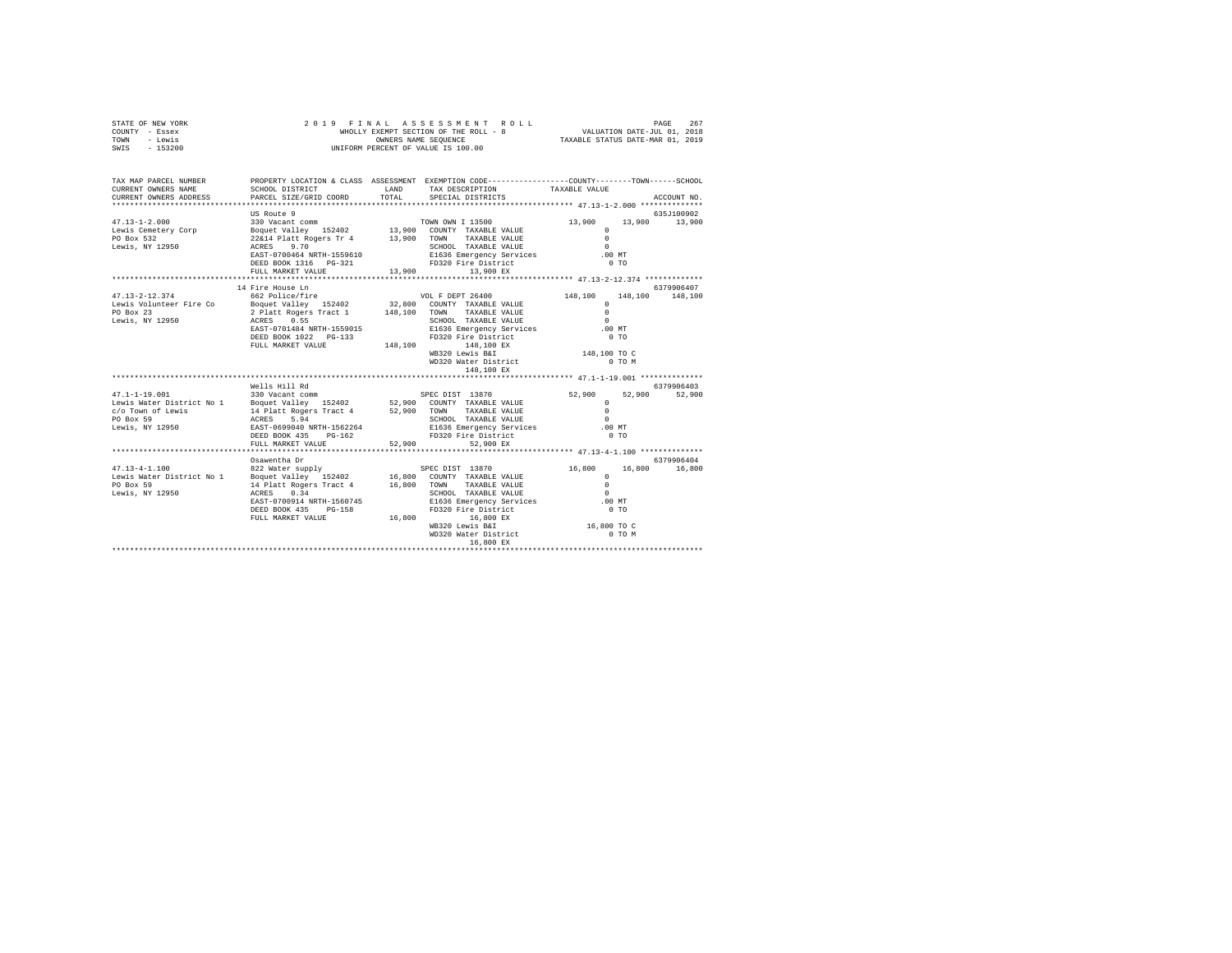| STATE OF NEW YORK | 2019 FINAL ASSESSMENT ROLL            | 267<br>PAGE                      |
|-------------------|---------------------------------------|----------------------------------|
| COUNTY - Essex    | WHOLLY EXEMPT SECTION OF THE ROLL - 8 | VALUATION DATE-JUL 01, 2018      |
| TOWN<br>- Lewis   | OWNERS NAME SEOUENCE                  | TAXABLE STATUS DATE-MAR 01, 2019 |
| $-153200$<br>SWIS | UNIFORM PERCENT OF VALUE IS 100.00    |                                  |

| $\begin{tabular}{lllllllll} \texttt{CURERENT} & & & & & & \texttt{TAXABLE} & \texttt{WALUE} & \\ \texttt{CURERENT} & & & & & \texttt{SCEOCEID} & & \texttt{PACECID} & \texttt{TAY} & \texttt{TAXABLE} & \texttt{WALUE} & & \\ \texttt{CURERENT} & & & & & \texttt{PACECID} & \texttt{COCDBT} & \texttt{SPECID} & \texttt{SPECID} & \texttt{ACEOUPIT} & \texttt{NOL} & \texttt{ACEOUPIT} & \texttt{ACEOUPIT} & \texttt{ACEOUPIT} & \text$<br>US Route 9<br>635J100902<br>13,900 13,900<br>FULL MARKET VALUE 13,900<br>13,900 EX<br>6379906407<br>14 Fire House Ln<br>EAST-0701484 NRTH-1559015<br>DEED BOOK 1022 PG-133 FD320 Fire District<br>$0$ TO<br>PEND BOOK 1922 FOR 148,100 148,100 EX<br>FULL MARKET VALUE 148,100 MB320 Lewis B&I<br>148,100 TO C<br>WD320 Water District<br>O TO M<br>148,100 EX<br>Wells Hill Rd<br>6379906403<br>47.1-1-19.001 Melli Hill Kd<br>162.900 Maximus 2010 Maximus 2010 S2,900 Maximus 2010 Maximus 2010 Maximus 2010<br>Eevis 30 Wacamut 2011 S2402 52,900 TOWNY TAXABLE VALUE 20<br>2010 TOWN TAXABLE VALUE 2010 MAXIMUS 2010 MAXIMUS<br>20<br>52,900<br>52,900 52,900<br>c/o Town of Lewis (14 Platt Rogers Tract 4 52,900 TOWN TAXABLE VALUE (20 ACRES) 0<br>PO Box 59 9 ACRES 5.94 52,900 TOWN TAXABLE VALUE (20 ACRES) 0<br>Lewis, NY 12950 1285T-0699040 NRTH-1562264 E1636 Emergency Services (00 NT<br>FD320 Fire District<br>EASi-00 <i>530</i> W.W. 2--162<br>DEED BOOK 435 PG-162<br>PUTT MARKET VALUE 52,900 (1000)<br>0.70<br>52,900 EX<br>6379906404<br>Osawentha Dr<br>FULL MARKET VALUE $16,800$ 16,800 EX<br>WB320 Lewis B&I 16,800 TO C<br>WD320 Water District 0 TO M<br>16,800 EX | TAX MAP PARCEL NUMBER |  | PROPERTY LOCATION & CLASS ASSESSMENT EXEMPTION CODE----------------COUNTY-------TOWN-----SCHOOL |  |
|----------------------------------------------------------------------------------------------------------------------------------------------------------------------------------------------------------------------------------------------------------------------------------------------------------------------------------------------------------------------------------------------------------------------------------------------------------------------------------------------------------------------------------------------------------------------------------------------------------------------------------------------------------------------------------------------------------------------------------------------------------------------------------------------------------------------------------------------------------------------------------------------------------------------------------------------------------------------------------------------------------------------------------------------------------------------------------------------------------------------------------------------------------------------------------------------------------------------------------------------------------------------------------------------------------------------------------------------------------------------------------------------------------------------------------------------------------------------------------------------------------------------------------------------------------------------------------------------------------------------------------------------|-----------------------|--|-------------------------------------------------------------------------------------------------|--|
|                                                                                                                                                                                                                                                                                                                                                                                                                                                                                                                                                                                                                                                                                                                                                                                                                                                                                                                                                                                                                                                                                                                                                                                                                                                                                                                                                                                                                                                                                                                                                                                                                                              |                       |  |                                                                                                 |  |
|                                                                                                                                                                                                                                                                                                                                                                                                                                                                                                                                                                                                                                                                                                                                                                                                                                                                                                                                                                                                                                                                                                                                                                                                                                                                                                                                                                                                                                                                                                                                                                                                                                              |                       |  |                                                                                                 |  |
|                                                                                                                                                                                                                                                                                                                                                                                                                                                                                                                                                                                                                                                                                                                                                                                                                                                                                                                                                                                                                                                                                                                                                                                                                                                                                                                                                                                                                                                                                                                                                                                                                                              |                       |  |                                                                                                 |  |
|                                                                                                                                                                                                                                                                                                                                                                                                                                                                                                                                                                                                                                                                                                                                                                                                                                                                                                                                                                                                                                                                                                                                                                                                                                                                                                                                                                                                                                                                                                                                                                                                                                              |                       |  |                                                                                                 |  |
|                                                                                                                                                                                                                                                                                                                                                                                                                                                                                                                                                                                                                                                                                                                                                                                                                                                                                                                                                                                                                                                                                                                                                                                                                                                                                                                                                                                                                                                                                                                                                                                                                                              |                       |  |                                                                                                 |  |
|                                                                                                                                                                                                                                                                                                                                                                                                                                                                                                                                                                                                                                                                                                                                                                                                                                                                                                                                                                                                                                                                                                                                                                                                                                                                                                                                                                                                                                                                                                                                                                                                                                              |                       |  |                                                                                                 |  |
|                                                                                                                                                                                                                                                                                                                                                                                                                                                                                                                                                                                                                                                                                                                                                                                                                                                                                                                                                                                                                                                                                                                                                                                                                                                                                                                                                                                                                                                                                                                                                                                                                                              |                       |  |                                                                                                 |  |
|                                                                                                                                                                                                                                                                                                                                                                                                                                                                                                                                                                                                                                                                                                                                                                                                                                                                                                                                                                                                                                                                                                                                                                                                                                                                                                                                                                                                                                                                                                                                                                                                                                              |                       |  |                                                                                                 |  |
|                                                                                                                                                                                                                                                                                                                                                                                                                                                                                                                                                                                                                                                                                                                                                                                                                                                                                                                                                                                                                                                                                                                                                                                                                                                                                                                                                                                                                                                                                                                                                                                                                                              |                       |  |                                                                                                 |  |
|                                                                                                                                                                                                                                                                                                                                                                                                                                                                                                                                                                                                                                                                                                                                                                                                                                                                                                                                                                                                                                                                                                                                                                                                                                                                                                                                                                                                                                                                                                                                                                                                                                              |                       |  |                                                                                                 |  |
|                                                                                                                                                                                                                                                                                                                                                                                                                                                                                                                                                                                                                                                                                                                                                                                                                                                                                                                                                                                                                                                                                                                                                                                                                                                                                                                                                                                                                                                                                                                                                                                                                                              |                       |  |                                                                                                 |  |
|                                                                                                                                                                                                                                                                                                                                                                                                                                                                                                                                                                                                                                                                                                                                                                                                                                                                                                                                                                                                                                                                                                                                                                                                                                                                                                                                                                                                                                                                                                                                                                                                                                              |                       |  |                                                                                                 |  |
|                                                                                                                                                                                                                                                                                                                                                                                                                                                                                                                                                                                                                                                                                                                                                                                                                                                                                                                                                                                                                                                                                                                                                                                                                                                                                                                                                                                                                                                                                                                                                                                                                                              |                       |  |                                                                                                 |  |
|                                                                                                                                                                                                                                                                                                                                                                                                                                                                                                                                                                                                                                                                                                                                                                                                                                                                                                                                                                                                                                                                                                                                                                                                                                                                                                                                                                                                                                                                                                                                                                                                                                              |                       |  |                                                                                                 |  |
|                                                                                                                                                                                                                                                                                                                                                                                                                                                                                                                                                                                                                                                                                                                                                                                                                                                                                                                                                                                                                                                                                                                                                                                                                                                                                                                                                                                                                                                                                                                                                                                                                                              |                       |  |                                                                                                 |  |
|                                                                                                                                                                                                                                                                                                                                                                                                                                                                                                                                                                                                                                                                                                                                                                                                                                                                                                                                                                                                                                                                                                                                                                                                                                                                                                                                                                                                                                                                                                                                                                                                                                              |                       |  |                                                                                                 |  |
|                                                                                                                                                                                                                                                                                                                                                                                                                                                                                                                                                                                                                                                                                                                                                                                                                                                                                                                                                                                                                                                                                                                                                                                                                                                                                                                                                                                                                                                                                                                                                                                                                                              |                       |  |                                                                                                 |  |
|                                                                                                                                                                                                                                                                                                                                                                                                                                                                                                                                                                                                                                                                                                                                                                                                                                                                                                                                                                                                                                                                                                                                                                                                                                                                                                                                                                                                                                                                                                                                                                                                                                              |                       |  |                                                                                                 |  |
|                                                                                                                                                                                                                                                                                                                                                                                                                                                                                                                                                                                                                                                                                                                                                                                                                                                                                                                                                                                                                                                                                                                                                                                                                                                                                                                                                                                                                                                                                                                                                                                                                                              |                       |  |                                                                                                 |  |
|                                                                                                                                                                                                                                                                                                                                                                                                                                                                                                                                                                                                                                                                                                                                                                                                                                                                                                                                                                                                                                                                                                                                                                                                                                                                                                                                                                                                                                                                                                                                                                                                                                              |                       |  |                                                                                                 |  |
|                                                                                                                                                                                                                                                                                                                                                                                                                                                                                                                                                                                                                                                                                                                                                                                                                                                                                                                                                                                                                                                                                                                                                                                                                                                                                                                                                                                                                                                                                                                                                                                                                                              |                       |  |                                                                                                 |  |
|                                                                                                                                                                                                                                                                                                                                                                                                                                                                                                                                                                                                                                                                                                                                                                                                                                                                                                                                                                                                                                                                                                                                                                                                                                                                                                                                                                                                                                                                                                                                                                                                                                              |                       |  |                                                                                                 |  |
|                                                                                                                                                                                                                                                                                                                                                                                                                                                                                                                                                                                                                                                                                                                                                                                                                                                                                                                                                                                                                                                                                                                                                                                                                                                                                                                                                                                                                                                                                                                                                                                                                                              |                       |  |                                                                                                 |  |
|                                                                                                                                                                                                                                                                                                                                                                                                                                                                                                                                                                                                                                                                                                                                                                                                                                                                                                                                                                                                                                                                                                                                                                                                                                                                                                                                                                                                                                                                                                                                                                                                                                              |                       |  |                                                                                                 |  |
|                                                                                                                                                                                                                                                                                                                                                                                                                                                                                                                                                                                                                                                                                                                                                                                                                                                                                                                                                                                                                                                                                                                                                                                                                                                                                                                                                                                                                                                                                                                                                                                                                                              |                       |  |                                                                                                 |  |
|                                                                                                                                                                                                                                                                                                                                                                                                                                                                                                                                                                                                                                                                                                                                                                                                                                                                                                                                                                                                                                                                                                                                                                                                                                                                                                                                                                                                                                                                                                                                                                                                                                              |                       |  |                                                                                                 |  |
|                                                                                                                                                                                                                                                                                                                                                                                                                                                                                                                                                                                                                                                                                                                                                                                                                                                                                                                                                                                                                                                                                                                                                                                                                                                                                                                                                                                                                                                                                                                                                                                                                                              |                       |  |                                                                                                 |  |
|                                                                                                                                                                                                                                                                                                                                                                                                                                                                                                                                                                                                                                                                                                                                                                                                                                                                                                                                                                                                                                                                                                                                                                                                                                                                                                                                                                                                                                                                                                                                                                                                                                              |                       |  |                                                                                                 |  |
|                                                                                                                                                                                                                                                                                                                                                                                                                                                                                                                                                                                                                                                                                                                                                                                                                                                                                                                                                                                                                                                                                                                                                                                                                                                                                                                                                                                                                                                                                                                                                                                                                                              |                       |  |                                                                                                 |  |
|                                                                                                                                                                                                                                                                                                                                                                                                                                                                                                                                                                                                                                                                                                                                                                                                                                                                                                                                                                                                                                                                                                                                                                                                                                                                                                                                                                                                                                                                                                                                                                                                                                              |                       |  |                                                                                                 |  |
|                                                                                                                                                                                                                                                                                                                                                                                                                                                                                                                                                                                                                                                                                                                                                                                                                                                                                                                                                                                                                                                                                                                                                                                                                                                                                                                                                                                                                                                                                                                                                                                                                                              |                       |  |                                                                                                 |  |
|                                                                                                                                                                                                                                                                                                                                                                                                                                                                                                                                                                                                                                                                                                                                                                                                                                                                                                                                                                                                                                                                                                                                                                                                                                                                                                                                                                                                                                                                                                                                                                                                                                              |                       |  |                                                                                                 |  |
|                                                                                                                                                                                                                                                                                                                                                                                                                                                                                                                                                                                                                                                                                                                                                                                                                                                                                                                                                                                                                                                                                                                                                                                                                                                                                                                                                                                                                                                                                                                                                                                                                                              |                       |  |                                                                                                 |  |
|                                                                                                                                                                                                                                                                                                                                                                                                                                                                                                                                                                                                                                                                                                                                                                                                                                                                                                                                                                                                                                                                                                                                                                                                                                                                                                                                                                                                                                                                                                                                                                                                                                              |                       |  |                                                                                                 |  |
|                                                                                                                                                                                                                                                                                                                                                                                                                                                                                                                                                                                                                                                                                                                                                                                                                                                                                                                                                                                                                                                                                                                                                                                                                                                                                                                                                                                                                                                                                                                                                                                                                                              |                       |  |                                                                                                 |  |
|                                                                                                                                                                                                                                                                                                                                                                                                                                                                                                                                                                                                                                                                                                                                                                                                                                                                                                                                                                                                                                                                                                                                                                                                                                                                                                                                                                                                                                                                                                                                                                                                                                              |                       |  |                                                                                                 |  |
|                                                                                                                                                                                                                                                                                                                                                                                                                                                                                                                                                                                                                                                                                                                                                                                                                                                                                                                                                                                                                                                                                                                                                                                                                                                                                                                                                                                                                                                                                                                                                                                                                                              |                       |  |                                                                                                 |  |
|                                                                                                                                                                                                                                                                                                                                                                                                                                                                                                                                                                                                                                                                                                                                                                                                                                                                                                                                                                                                                                                                                                                                                                                                                                                                                                                                                                                                                                                                                                                                                                                                                                              |                       |  |                                                                                                 |  |
|                                                                                                                                                                                                                                                                                                                                                                                                                                                                                                                                                                                                                                                                                                                                                                                                                                                                                                                                                                                                                                                                                                                                                                                                                                                                                                                                                                                                                                                                                                                                                                                                                                              |                       |  |                                                                                                 |  |
|                                                                                                                                                                                                                                                                                                                                                                                                                                                                                                                                                                                                                                                                                                                                                                                                                                                                                                                                                                                                                                                                                                                                                                                                                                                                                                                                                                                                                                                                                                                                                                                                                                              |                       |  |                                                                                                 |  |
|                                                                                                                                                                                                                                                                                                                                                                                                                                                                                                                                                                                                                                                                                                                                                                                                                                                                                                                                                                                                                                                                                                                                                                                                                                                                                                                                                                                                                                                                                                                                                                                                                                              |                       |  |                                                                                                 |  |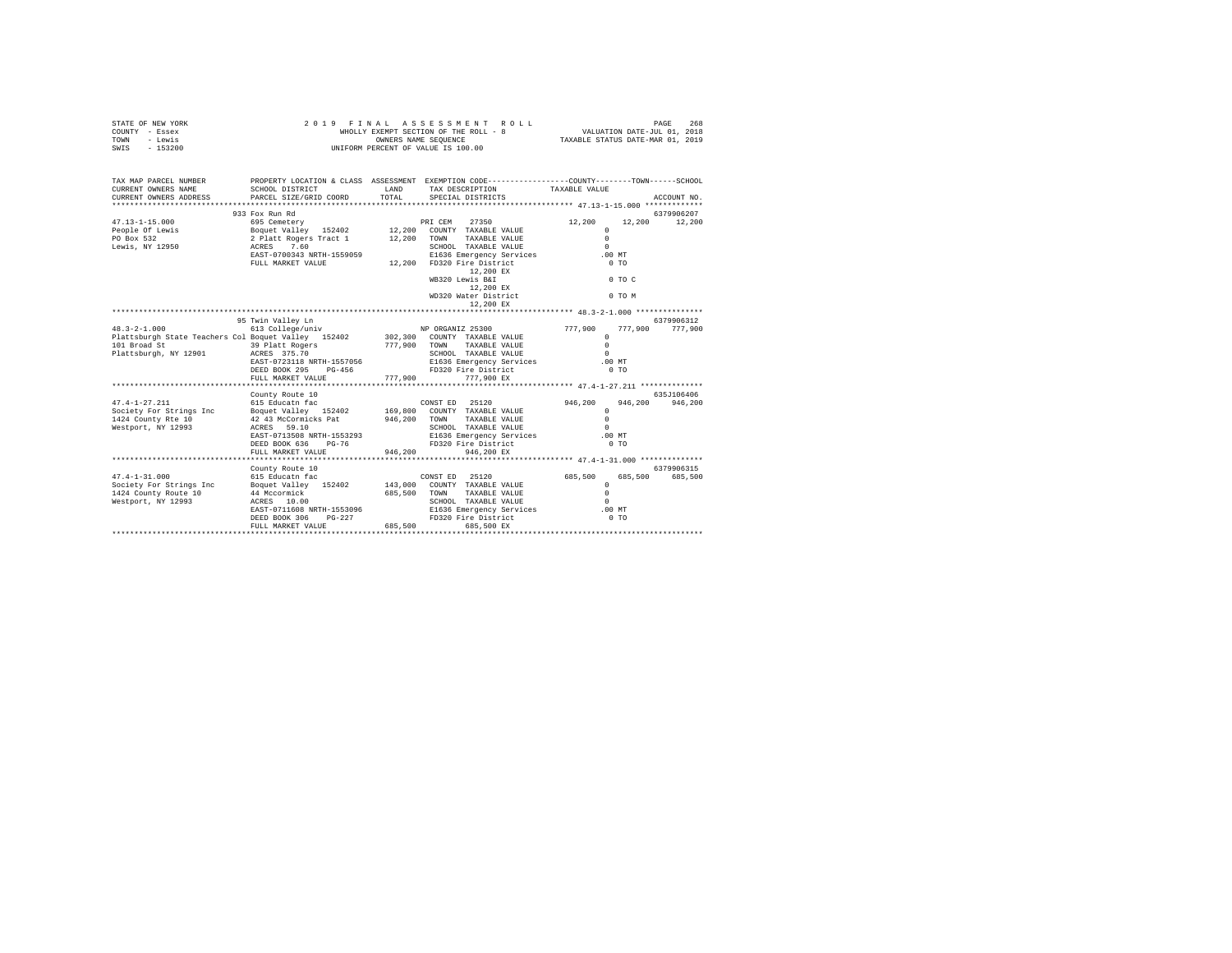| STATE OF NEW YORK<br>COUNTY - Essex<br>- Lewis<br>TOWN<br>$-153200$<br>SWIS                        | 2019<br>FINAL                             | OWNERS NAME SEQUENCE | ASSESSMENT ROLL<br>WHOLLY EXEMPT SECTION OF THE ROLL - 8<br>UNIFORM PERCENT OF VALUE IS 100.00                                          |                | PAGE<br>268<br>VALUATION DATE-JUL 01, 2018<br>TAXABLE STATUS DATE-MAR 01, 2019 |  |
|----------------------------------------------------------------------------------------------------|-------------------------------------------|----------------------|-----------------------------------------------------------------------------------------------------------------------------------------|----------------|--------------------------------------------------------------------------------|--|
| TAX MAP PARCEL NUMBER<br>CURRENT OWNERS NAME<br>CURRENT OWNERS ADDRESS<br>************************ | SCHOOL DISTRICT<br>PARCEL SIZE/GRID COORD | LAND<br>TOTAL        | PROPERTY LOCATION & CLASS ASSESSMENT EXEMPTION CODE---------------COUNTY-------TOWN------SCHOOL<br>TAX DESCRIPTION<br>SPECIAL DISTRICTS | TAXABLE VALUE  | ACCOUNT NO.                                                                    |  |
|                                                                                                    | 933 Fox Run Rd                            |                      |                                                                                                                                         |                | 6379906207                                                                     |  |
| $47.13 - 1 - 15.000$                                                                               |                                           |                      | 27350<br>PRI CEM                                                                                                                        | 12,200         | 12,200<br>12,200                                                               |  |
| People Of Lewis                                                                                    |                                           | 12,200               | COUNTY TAXABLE VALUE                                                                                                                    | $\Omega$       |                                                                                |  |
| PO Box 532                                                                                         |                                           | 12,200               | TOWN<br>TAXABLE VALUE                                                                                                                   | $\Omega$       |                                                                                |  |
| Lewis, NY 12950                                                                                    |                                           |                      | SCHOOL TAXABLE VALUE                                                                                                                    | $\Omega$       |                                                                                |  |
|                                                                                                    | EAST-0700343 NRTH-1559059                 |                      | E1636 Emergency Services                                                                                                                | .00 MT         |                                                                                |  |
|                                                                                                    | FULL MARKET VALUE                         |                      | 12,200 FD320 Fire District                                                                                                              | 0 <sub>T</sub> |                                                                                |  |
|                                                                                                    |                                           |                      | 12,200 EX                                                                                                                               |                |                                                                                |  |
|                                                                                                    |                                           |                      | WB320 Lewis B&I                                                                                                                         | $0$ TO C       |                                                                                |  |
|                                                                                                    |                                           |                      | 12,200 EX<br>WD320 Water District                                                                                                       |                |                                                                                |  |
|                                                                                                    |                                           |                      | 12,200 EX                                                                                                                               |                | 0 TO M                                                                         |  |
|                                                                                                    |                                           |                      |                                                                                                                                         |                |                                                                                |  |
|                                                                                                    | 95 Twin Valley Ln                         |                      |                                                                                                                                         |                | 6379906312                                                                     |  |
| $48.3 - 2 - 1.000$                                                                                 | 613 College/univ                          |                      | NP ORGANIZ 25300                                                                                                                        | 777,900        | 777,900<br>777,900                                                             |  |
| Plattsburgh State Teachers Col Boquet Valley 152402                                                |                                           |                      | 302,300 COUNTY TAXABLE VALUE                                                                                                            | $\Omega$       |                                                                                |  |
| 101 Broad St                                                                                       | 39 Platt Rogers                           | 777,900              | TOWN<br>TAXABLE VALUE                                                                                                                   | $\Omega$       |                                                                                |  |
| Plattsburgh, NY 12901                                                                              | ACRES 375.70                              |                      | SCHOOL TAXABLE VALUE                                                                                                                    | $\Omega$       |                                                                                |  |
|                                                                                                    | EAST-0723118 NRTH-1557056                 |                      | E1636 Emergency Services                                                                                                                | .00MT          |                                                                                |  |
|                                                                                                    | DEED BOOK 295<br>$PG-456$                 |                      | FD320 Fire District                                                                                                                     | 0.70           |                                                                                |  |
|                                                                                                    | FULL MARKET VALUE                         | 777.900              | 777,900 EX                                                                                                                              |                |                                                                                |  |
|                                                                                                    |                                           |                      |                                                                                                                                         |                |                                                                                |  |
|                                                                                                    | County Route 10                           |                      |                                                                                                                                         |                | 635J106406                                                                     |  |
| $47.4 - 1 - 27.211$                                                                                | 615 Educatn fac                           |                      | CONST ED 25120                                                                                                                          | 946,200        | 946.200<br>946,200                                                             |  |
| Society For Strings Inc Boquet Valley 152402                                                       |                                           |                      | 169,800 COUNTY TAXABLE VALUE                                                                                                            | $\Omega$       |                                                                                |  |
| 1424 County Rte 10                                                                                 | 42 43 McCormicks Pat                      | 946,200              | TAXABLE VALUE<br>TOWN                                                                                                                   | $\Omega$       |                                                                                |  |
| Westport, NY 12993                                                                                 | ACRES 59.10                               |                      | SCHOOL TAXABLE VALUE                                                                                                                    | $\cap$         |                                                                                |  |
|                                                                                                    | EAST-0713508 NRTH-1553293                 |                      | E1636 Emergency Services                                                                                                                | $.00$ MT       |                                                                                |  |
|                                                                                                    | DEED BOOK 636<br>$PG-76$                  |                      | FD320 Fire District                                                                                                                     | $0$ TO         |                                                                                |  |
|                                                                                                    | FULL MARKET VALUE                         | 946,200              | 946,200 EX                                                                                                                              |                |                                                                                |  |
|                                                                                                    | County Route 10                           |                      |                                                                                                                                         |                | 6379906315                                                                     |  |
| $47.4 - 1 - 31.000$                                                                                | 615 Educatn fac                           |                      | CONST ED 25120                                                                                                                          | 685,500        | 685,500<br>685,500                                                             |  |
| Society For Strings Inc                                                                            | Boquet Valley 152402                      | 143,000              | COUNTY TAXABLE VALUE                                                                                                                    | $\Omega$       |                                                                                |  |
| 1424 County Route 10                                                                               | 44 Mccormick                              | 685,500              | TAXABLE VALUE<br>TOWN                                                                                                                   | $\Omega$       |                                                                                |  |
| Westport, NY 12993                                                                                 | ACRES 10.00                               |                      | SCHOOL TAXABLE VALUE                                                                                                                    | $\Omega$       |                                                                                |  |
|                                                                                                    | EAST-0711608 NRTH-1553096                 |                      | E1636 Emergency Services                                                                                                                | .00MT          |                                                                                |  |
|                                                                                                    | DEED BOOK 306<br>$PG-227$                 |                      | FD320 Fire District                                                                                                                     | 0 <sub>T</sub> |                                                                                |  |
|                                                                                                    | FULL MARKET VALUE                         | 685,500              | 685,500 EX                                                                                                                              |                |                                                                                |  |
|                                                                                                    |                                           |                      |                                                                                                                                         |                |                                                                                |  |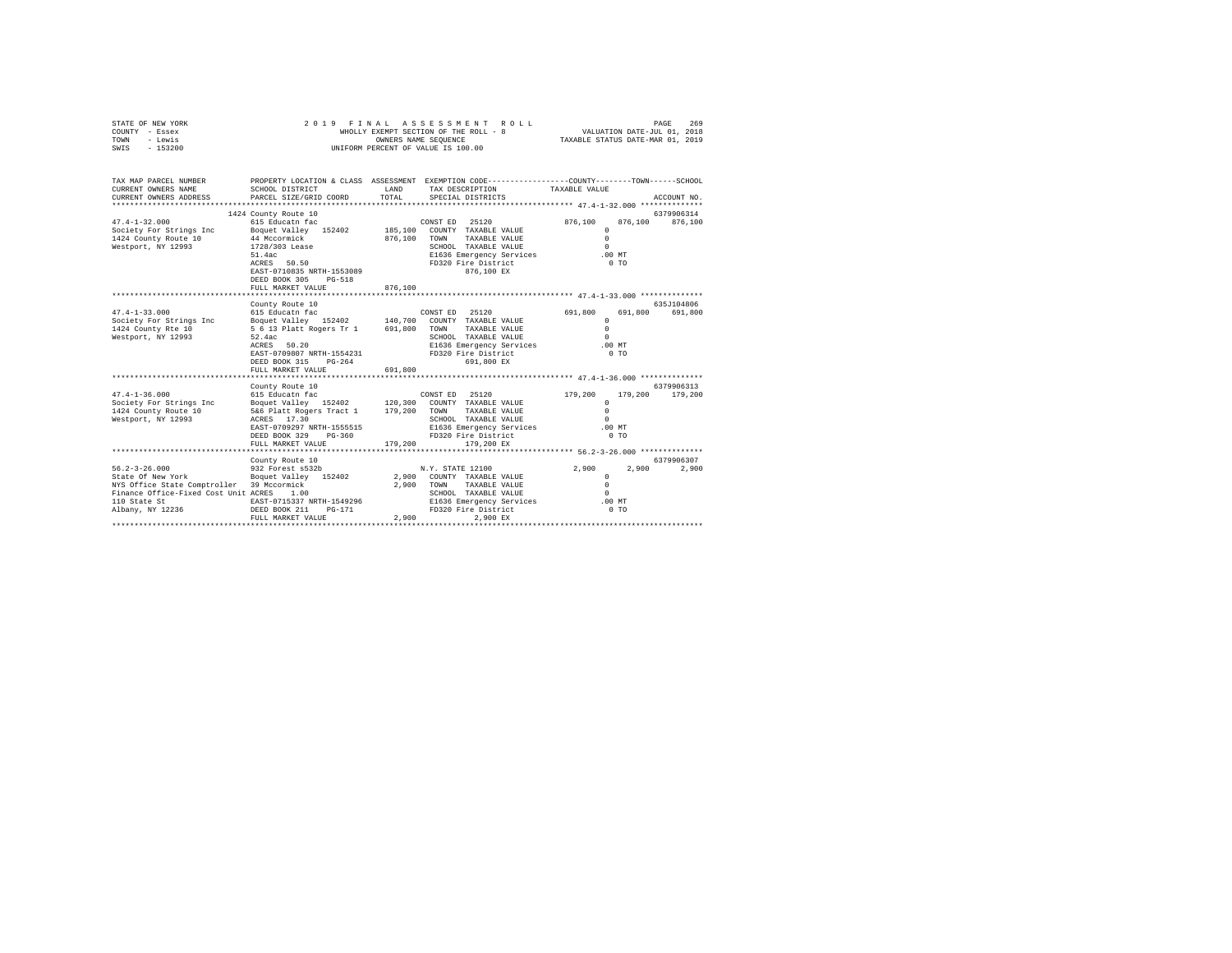| STATE OF NEW YORK<br>COUNTY - Essex<br>TOWN<br>- Lewis<br>SWIS<br>$-153200$                                                                                                                 | 2019<br>FINAL                                                                                                                                                                                             |                         | ASSESSMENT<br>WHOLLY EXEMPT SECTION OF THE ROLL - 8<br>OWNERS NAME SEQUENCE<br>UNIFORM PERCENT OF VALUE IS 100.00 | ROLL                                                                                                                                                     | VALUATION DATE-JUL 01, 2018<br>TAXABLE STATUS DATE-MAR 01, 2019 |                                    | PAGE<br>269           |
|---------------------------------------------------------------------------------------------------------------------------------------------------------------------------------------------|-----------------------------------------------------------------------------------------------------------------------------------------------------------------------------------------------------------|-------------------------|-------------------------------------------------------------------------------------------------------------------|----------------------------------------------------------------------------------------------------------------------------------------------------------|-----------------------------------------------------------------|------------------------------------|-----------------------|
| TAX MAP PARCEL NUMBER<br>CURRENT OWNERS NAME<br>CURRENT OWNERS ADDRESS<br>*************************                                                                                         | PROPERTY LOCATION & CLASS ASSESSMENT EXEMPTION CODE---------------COUNTY-------TOWN------SCHOOL<br>SCHOOL DISTRICT<br>PARCEL SIZE/GRID COORD                                                              | LAND<br>TOTAL           | TAX DESCRIPTION<br>SPECIAL DISTRICTS                                                                              |                                                                                                                                                          | TAXABLE VALUE                                                   |                                    | ACCOUNT NO.           |
| $47.4 - 1 - 32.000$<br>Society For Strings Inc<br>1424 County Route 10<br>Westport, NY 12993                                                                                                | 1424 County Route 10<br>615 Educatn fac<br>Boquet Valley 152402<br>44 Mccormick<br>1728/303 Lease<br>51.4ac<br>ACRES 50.50<br>EAST-0710835 NRTH-1553089<br>DEED BOOK 305<br>$PG-518$<br>FULL MARKET VALUE | 876,100<br>876,100      | TOWN                                                                                                              | CONST ED 25120<br>185,100 COUNTY TAXABLE VALUE<br>TAXABLE VALUE<br>SCHOOL TAXABLE VALUE<br>E1636 Emergency Services<br>FD320 Fire District<br>876,100 EX | 876,100<br>$\mathbf{r}$<br>$\Omega$<br>$\Omega$<br>$.00$ MT     | 876,100<br>$0$ TO                  | 6379906314<br>876,100 |
|                                                                                                                                                                                             | County Route 10                                                                                                                                                                                           |                         |                                                                                                                   |                                                                                                                                                          |                                                                 |                                    | 635J104806            |
| $47.4 - 1 - 33.000$<br>Society For Strings Inc<br>1424 County Rte 10<br>Westport, NY 12993                                                                                                  | 615 Educatn fac<br>Boquet Valley 152402 140,700<br>5 6 13 Platt Rogers Tr 1 691,800<br>52.4ac<br>ACRES 50.20<br>EAST-0709807 NRTH-1554231<br>DEED BOOK 315<br>PG-264                                      |                         | CONST ED 25120<br>TOWN<br>FD320 Fire District                                                                     | COUNTY TAXABLE VALUE<br>TAXABLE VALUE<br>SCHOOL TAXABLE VALUE<br>E1636 Emergency Services<br>691,800 EX                                                  | 691,800<br>$\Omega$<br>$\Omega$<br>$\Omega$                     | 691,800<br>.00MT<br>0 <sub>T</sub> | 691,800               |
|                                                                                                                                                                                             | FULL MARKET VALUE                                                                                                                                                                                         | 691,800                 |                                                                                                                   |                                                                                                                                                          |                                                                 |                                    |                       |
| $47.4 - 1 - 36.000$<br>Society For Strings Inc<br>1424 County Route 10<br>Westport, NY 12993                                                                                                | County Route 10<br>615 Educatn fac<br>Boquet Valley 152402 120,300<br>5&6 Platt Rogers Tract 1 179,200<br>ACRES 17.30<br>EAST-0709297 NRTH-1555515<br>DEED BOOK 329<br>$PG-360$<br>FULL MARKET VALUE      | 179,200                 | CONST ED 25120<br>TOWN                                                                                            | COUNTY TAXABLE VALUE<br>TAXABLE VALUE<br>SCHOOL TAXABLE VALUE<br>E1636 Emergency Services<br>FD320 Fire District<br>179,200 EX                           | 179,200<br>$\Omega$<br>$\Omega$<br>$\Omega$                     | 179,200<br>.00MT<br>0 <sub>T</sub> | 6379906313<br>179,200 |
|                                                                                                                                                                                             |                                                                                                                                                                                                           |                         |                                                                                                                   |                                                                                                                                                          |                                                                 |                                    |                       |
| $56.2 - 3 - 26.000$<br>State Of New York Boquet Valley 152402<br>NYS Office State Comptroller 39 Mccormick<br>Finance Office-Fixed Cost Unit ACRES 1.00<br>110 State St<br>Albany, NY 12236 | County Route 10<br>932 Forest s532b<br>EAST-0715337 NRTH-1549296<br>DEED BOOK 211<br>PG-171<br>FULL MARKET VALUE                                                                                          | 2,900<br>2,900<br>2,900 | N.Y. STATE 12100<br>TOWN                                                                                          | COUNTY TAXABLE VALUE<br>TAXABLE VALUE<br>SCHOOL TAXABLE VALUE<br>E1636 Emergency Services<br>FD320 Fire District<br>2.900 EX                             | 2,900<br>$\circ$<br>$\Omega$<br>$\Omega$                        | 2,900<br>$.00$ MT<br>$0$ TO        | 6379906307<br>2,900   |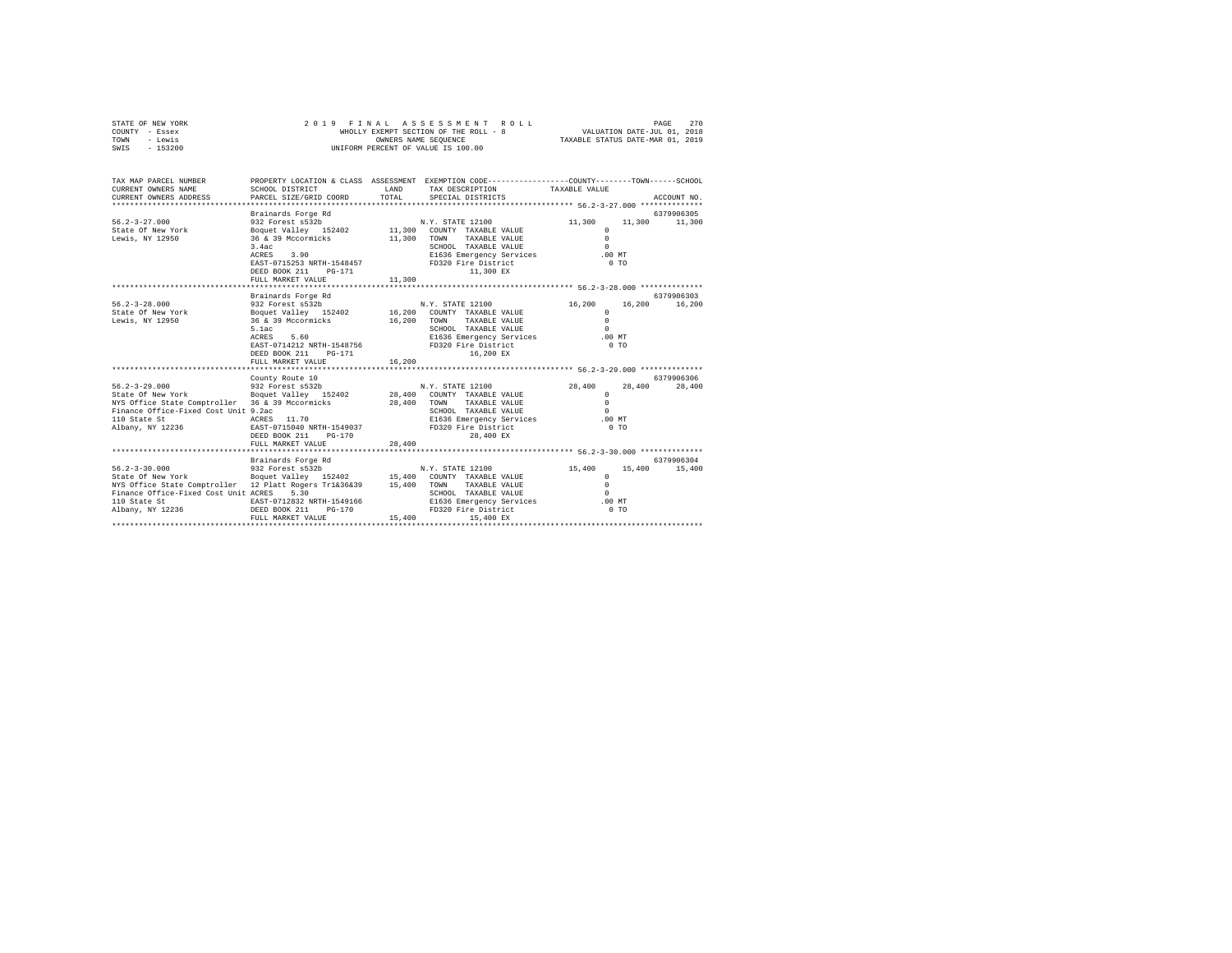| STATE OF NEW YORK<br>COUNTY - Essex<br>TOWN<br>- Lewis<br>$-153200$<br>SWIS                                                                      | 2019<br>FINAL                                                                                                                                                                                                                      | OWNERS NAME SEQUENCE       | ASSESSMENT<br>ROLL<br>WHOLLY EXEMPT SECTION OF THE ROLL - 8<br>UNIFORM PERCENT OF VALUE IS 100.00                                                                                    | VALUATION DATE-JUL 01, 2018<br>TAXABLE STATUS DATE-MAR 01, 2019                    | PAGE             | 270                                          |
|--------------------------------------------------------------------------------------------------------------------------------------------------|------------------------------------------------------------------------------------------------------------------------------------------------------------------------------------------------------------------------------------|----------------------------|--------------------------------------------------------------------------------------------------------------------------------------------------------------------------------------|------------------------------------------------------------------------------------|------------------|----------------------------------------------|
| TAX MAP PARCEL NUMBER<br>CURRENT OWNERS NAME<br>CURRENT OWNERS ADDRESS<br>*************************                                              | PROPERTY LOCATION & CLASS ASSESSMENT EXEMPTION CODE---------------COUNTY-------TOWN------SCHOOL<br>SCHOOL DISTRICT<br>PARCEL SIZE/GRID COORD                                                                                       | LAND<br>TOTAL              | TAX DESCRIPTION<br>SPECIAL DISTRICTS                                                                                                                                                 | TAXABLE VALUE                                                                      |                  | ACCOUNT NO.                                  |
| $56.2 - 3 - 27.000$<br>State Of New York<br>Lewis, NY 12950                                                                                      | Brainards Forge Rd<br>932 Forest s532b<br>Boquet Valley 152402<br>36 & 39 Mccormicks<br>3.4ac<br>ACRES 3.90<br>EAST-0715253 NRTH-1548457<br>DEED BOOK 211 PG-171<br>FULL MARKET VALUE                                              | 11,300 TOWN<br>11,300      | N.Y. STATE 12100<br>11,300 COUNTY TAXABLE VALUE<br>TAXABLE VALUE<br>SCHOOL TAXABLE VALUE<br>E1636 Emergency Services<br>FD320 Fire District<br>11,300 EX                             | 11,300<br>$\mathbf{r}$<br>$\Omega$<br>$\Omega$<br>$.00$ MT<br>0 <sub>T</sub>       | 11,300           | 6379906305<br>11,300                         |
|                                                                                                                                                  |                                                                                                                                                                                                                                    |                            |                                                                                                                                                                                      |                                                                                    |                  |                                              |
| $56.2 - 3 - 28.000$<br>State Of New York<br>Lewis, NY 12950<br>$56.2 - 3 - 29.000$                                                               | Brainards Forge Rd<br>932 Forest s532b<br>Boquet Valley 152402<br>36 & 39 Mccormicks<br>5.1ac<br>5.60<br>ACRES<br>EAST-0714212 NRTH-1548756<br>DEED BOOK 211<br>PG-171<br>FULL MARKET VALUE<br>County Route 10<br>932 Forest s532b | 16,200<br>16,200           | N.Y. STATE 12100<br>16,200 COUNTY TAXABLE VALUE<br>TOWN<br>TAXABLE VALUE<br>SCHOOL TAXABLE VALUE<br>E1636 Emergency Services<br>FD320 Fire District<br>16,200 EX<br>N.Y. STATE 12100 | 16,200<br>$\Omega$<br>$\Omega$<br>$\Omega$<br>$.00$ MT<br>0 <sub>T</sub><br>28,400 | 16,200<br>28,400 | 6379906303<br>16,200<br>6379906306<br>28,400 |
| State Of New York<br>NYS Office State Comptroller 36 & 39 Mccormicks<br>Finance Office-Fixed Cost Unit 9.2ac<br>110 State St<br>Albany, NY 12236 | Boquet Valley 152402<br>ACRES 11.70<br>EAST-0715040 NRTH-1549037<br>DEED BOOK 211 PG-170<br>FULL MARKET VALUE                                                                                                                      | 28,400 TOWN<br>28,400      | 28,400 COUNTY TAXABLE VALUE<br>TAXABLE VALUE<br>SCHOOL TAXABLE VALUE<br>E1636 Emergency Services<br>FD320 Fire District<br>28,400 EX                                                 | $\Omega$<br>$\Omega$<br>$\Omega$<br>$.00$ MT<br>0 <sub>T</sub>                     |                  |                                              |
|                                                                                                                                                  | Brainards Forge Rd                                                                                                                                                                                                                 |                            |                                                                                                                                                                                      |                                                                                    |                  | 6379906304                                   |
| $56.2 - 3 - 30.000$<br>Finance Office-Fixed Cost Unit ACRES<br>110 State St<br>Albany, NY 12236                                                  | 932 Forest s532b<br>5.30<br>EAST-0712832 NRTH-1549166<br>DEED BOOK 211<br>PG-170<br>FULL MARKET VALUE                                                                                                                              | 15,400<br>**************** | N.Y. STATE 12100<br>SCHOOL TAXABLE VALUE<br>E1636 Emergency Services<br>FD320 Fire District<br>15,400 EX                                                                             | 15,400<br>$\circ$<br>$\Omega$<br>$\Omega$<br>.00 MT<br>0 <sub>T</sub>              | 15,400           | 15,400                                       |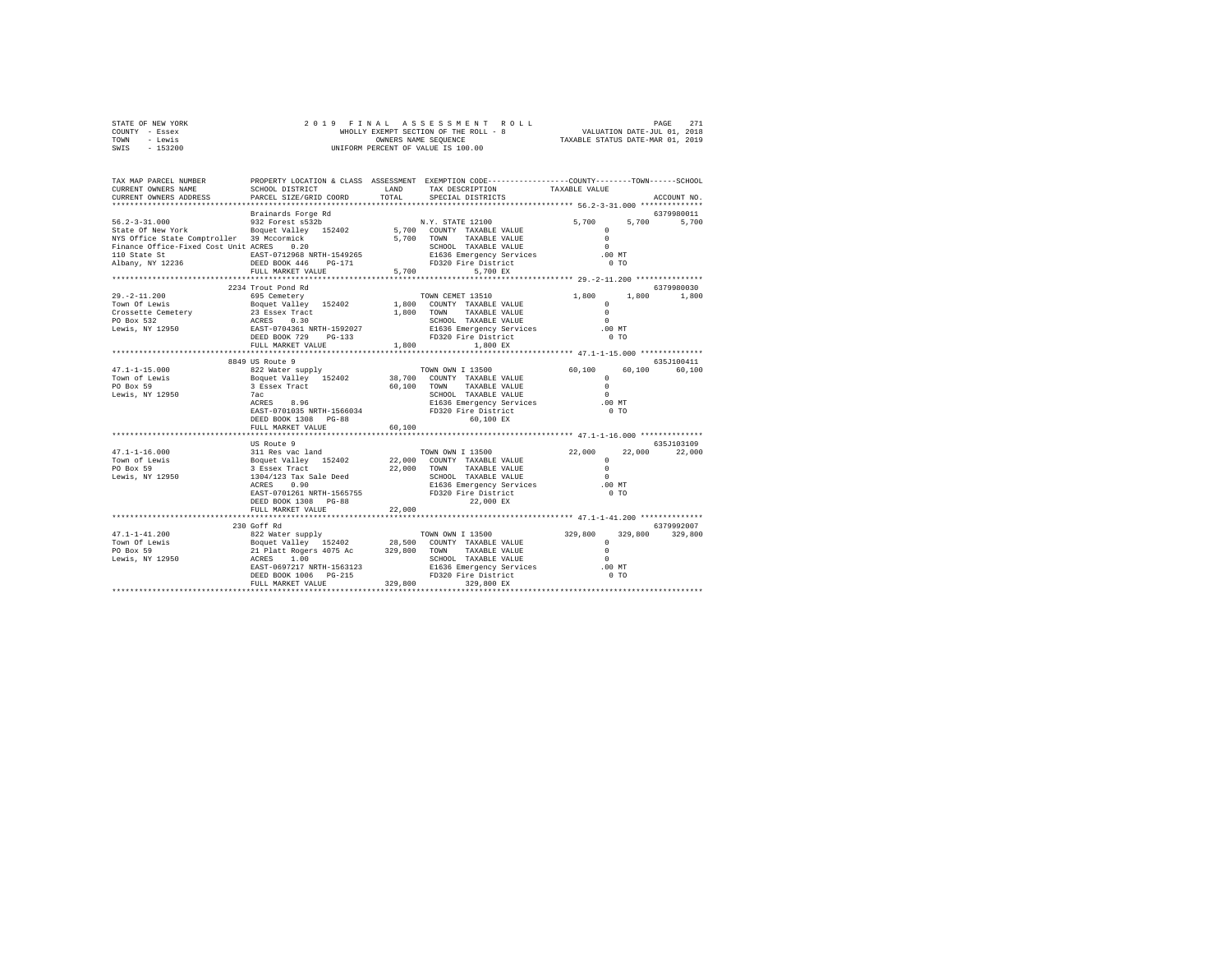|      | STATE OF NEW YORK | 2019 FINAL ASSESSMENT ROLL            | PAGE                             |
|------|-------------------|---------------------------------------|----------------------------------|
|      | COUNTY - Essex    | WHOLLY EXEMPT SECTION OF THE ROLL - 8 | VALUATION DATE-JUL 01, 2018      |
| TOWN | - Lewis           | OWNERS NAME SEOUENCE                  | TAXABLE STATUS DATE-MAR 01, 2019 |
| SWIS | $-153200$         | UNIFORM PERCENT OF VALUE IS 100.00    |                                  |

| TAX MAP PARCEL NUMBER<br>CURRENT OWNERS NAME<br>CURRENT OWNERS ADDRESS                                                                                                                                                                                               | SCHOOL DISTRICT<br>PARCEL SIZE/GRID COORD                                                                                                                                                                                                   | LAND<br>TOTAL | PROPERTY LOCATION & CLASS ASSESSMENT EXEMPTION CODE----------------COUNTY-------TOWN------SCHOOL<br>TAX DESCRIPTION<br>SPECIAL DISTRICTS                                                         | TAXABLE VALUE                                                                        | ACCOUNT NO.                 |
|----------------------------------------------------------------------------------------------------------------------------------------------------------------------------------------------------------------------------------------------------------------------|---------------------------------------------------------------------------------------------------------------------------------------------------------------------------------------------------------------------------------------------|---------------|--------------------------------------------------------------------------------------------------------------------------------------------------------------------------------------------------|--------------------------------------------------------------------------------------|-----------------------------|
|                                                                                                                                                                                                                                                                      |                                                                                                                                                                                                                                             |               |                                                                                                                                                                                                  |                                                                                      |                             |
| 56.2-3-31.000 1332 Forest as 1932<br>State Of New York Boquet Valley 152402 5,700 COUNTY TAXABLE VALUE<br>N.Y. STATE 12100 5,700 FOR TAXABLE VALUE<br>N.Y. STATE 12100 5,700 TONNY TAXABLE VALUE<br>Finance Office-Fixed Cost Unit ACR                               | Brainards Forge Rd<br>FULL MARKET VALUE                                                                                                                                                                                                     | 5,700         | 5,700 EX                                                                                                                                                                                         | 5,700<br>5,700<br>$\Omega$<br>$\Omega$<br>$\Omega$                                   | 6379980011<br>5,700         |
|                                                                                                                                                                                                                                                                      |                                                                                                                                                                                                                                             |               | *********************************                                                                                                                                                                | ****************** 29. - 2-11.200 ***************                                    |                             |
| $29. -2 - 11.200$                                                                                                                                                                                                                                                    | 2234 Trout Pond Rd<br>695 Cemetery<br>FULL MARKET VALUE                                                                                                                                                                                     | 1,800         | TOWN CEMET 13510<br>1,800 EX                                                                                                                                                                     | 1,800<br>1,800<br>$\Omega$<br>$\Omega$                                               | 6379980030<br>1,800         |
|                                                                                                                                                                                                                                                                      | 8849 US Route 9                                                                                                                                                                                                                             |               |                                                                                                                                                                                                  |                                                                                      | 635.7100411                 |
| $\begin{array}{cccccc} 47.1-1-15.000 & 0833.0 \& 083.0 \& 083.0 \& 083.0 \& 083.0 \& 083.0 \& 083.0 \& 083.0 \& 083.0 \& 083.0 \& 083.0 \& 083.0 \& 083.0 \& 083.0 \& 083.0 \& 083.0 \& 083.0 \& 083.0 \& 083.0 \& 083.0 \& 083.0 \& 083.0 \& 083.0 \& 083.0 \& 083$ | EAST-0701035 NRTH-1566034<br>DEED BOOK 1308 PG-88<br>FULL MARKET VALUE                                                                                                                                                                      | 60,100        | SCHOOL TAXABLE VALUE 0<br>E1636 Emergency Services 0.00 MT<br>FD320 Fire District<br>60.100 EX                                                                                                   | 60,100 60,100 60,100<br>$0$ TO                                                       |                             |
|                                                                                                                                                                                                                                                                      |                                                                                                                                                                                                                                             |               |                                                                                                                                                                                                  |                                                                                      |                             |
| $47.1 - 1 - 16.000$<br>Town of Lewis<br>PO Box 59<br>Lewis, NY 12950                                                                                                                                                                                                 | US Route 9<br>311 Res vac land<br>Boquet Valley 152402<br>3 Essex Tract<br>1304/123 Tax Sale Deed<br>ACRES 0.90<br>EAST-0701261 NRTH-1565755 FD320 Fire District<br>DEED BOOK 1308 PG-88<br>FULL MARKET VALUE                               | 22,000        | TOWN OWN I 13500<br>22,000 COUNTY TAXABLE VALUE<br>22,000 TOWN TAXABLE VALUE<br>SCHOOL TAXABLE VALUE<br>E1636 Emergency Services<br>E1636 Emergency Services<br>FD320 Fire District<br>22,000 EX | $22,000$ LUE<br>$\Omega$<br>$\Omega$<br>$\sim$<br>.00 MT<br>0 <sub>T</sub>           | 635J103109<br>22,000 22,000 |
|                                                                                                                                                                                                                                                                      |                                                                                                                                                                                                                                             |               |                                                                                                                                                                                                  |                                                                                      |                             |
| $47.1 - 1 - 41.200$<br>Town Of Lewis<br>PO Box 59<br>Lewis, NY 12950                                                                                                                                                                                                 | ---- Window May 1980<br>Boquet Valley 152402 28,500 COUNTY TAXABLE VALUE<br>21 Platt Rogers 4075 Ac 329,800 TOWN TAXABLE VALUE<br>21 Platt Rogers 4075 Ac 329,800 TOWN TAYABLE VALUE<br>EAST-0697217 NRTH-1563123<br>DEED BOOK 1006 - 23.23 |               |                                                                                                                                                                                                  | 329,800<br>329,800<br>$\Omega$<br>$\Omega$<br>$\Omega$<br>$.00$ MT<br>0 <sub>T</sub> | 6379992007<br>329,800       |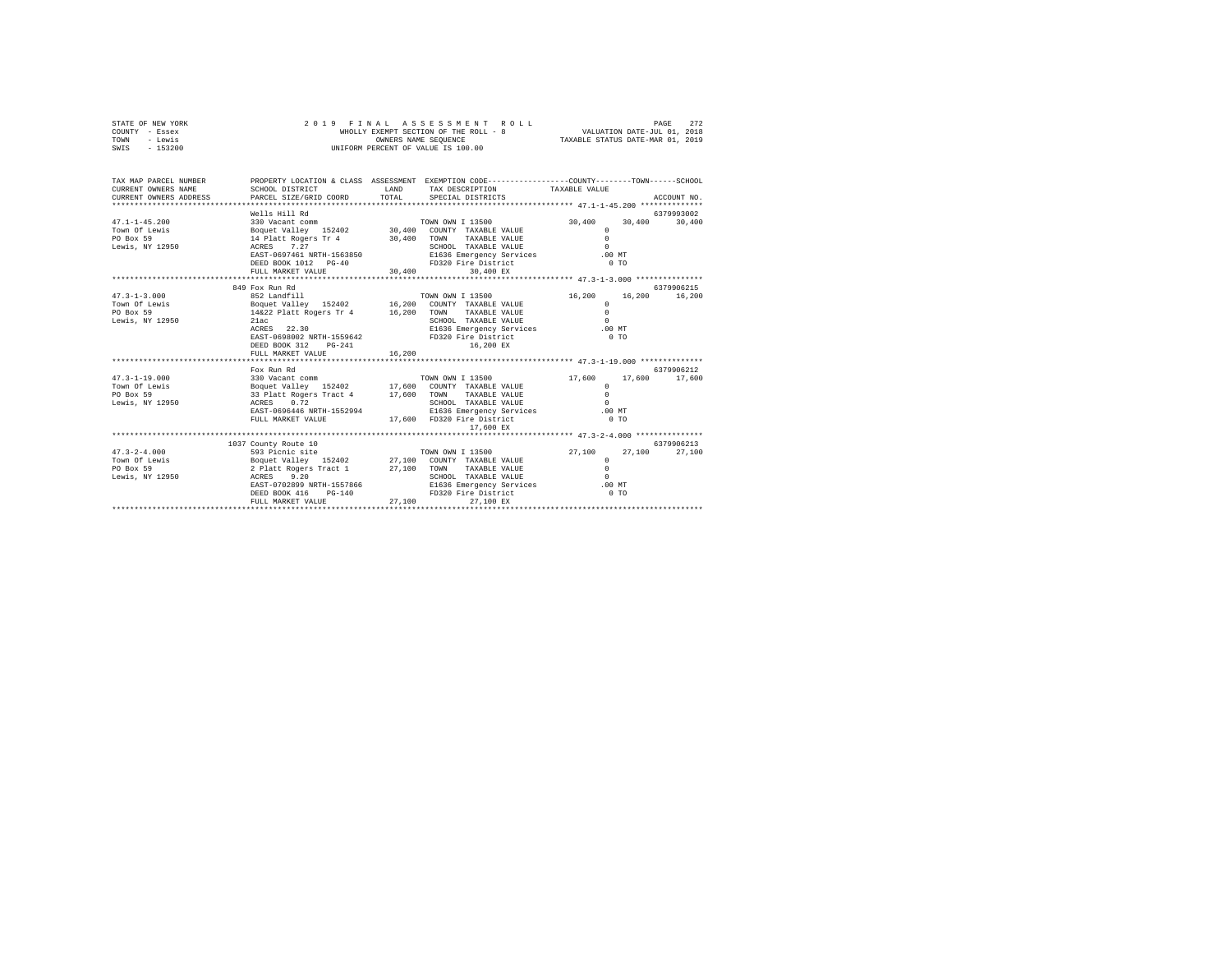|                | STATE OF NEW YORK |  | 2019 FINAL ASSESSMENT ROLL            |                                  | PAGE                        | 272 |
|----------------|-------------------|--|---------------------------------------|----------------------------------|-----------------------------|-----|
| COUNTY - Essex |                   |  | WHOLLY EXEMPT SECTION OF THE ROLL - 8 |                                  | VALUATION DATE-JUL 01, 2018 |     |
| TOWN           | - Lewis           |  | OWNERS NAME SEOUENCE                  | TAXABLE STATUS DATE-MAR 01, 2019 |                             |     |
| SWIS           | $-153200$         |  | UNIFORM PERCENT OF VALUE IS 100.00    |                                  |                             |     |
|                |                   |  |                                       |                                  |                             |     |

| TAX MAP PARCEL NUMBER                         |                                                                                                                                              |             | PROPERTY LOCATION & CLASS ASSESSMENT EXEMPTION CODE---------------COUNTY-------TOWN-----SCHOOL |                      |               |
|-----------------------------------------------|----------------------------------------------------------------------------------------------------------------------------------------------|-------------|------------------------------------------------------------------------------------------------|----------------------|---------------|
| CURRENT OWNERS NAME                           | SCHOOL DISTRICT                                                                                                                              | <b>LAND</b> | TAX DESCRIPTION TAXABLE VALUE                                                                  |                      |               |
|                                               |                                                                                                                                              |             |                                                                                                |                      |               |
|                                               |                                                                                                                                              |             |                                                                                                |                      |               |
|                                               | Wells Hill Rd                                                                                                                                |             |                                                                                                |                      | 6379993002    |
| $47.1 - 1 - 45.200$                           | TOWN OWN I 13500<br>Boquet Valley 152402 - 30,400 COUNTY TAXABLE VALUE<br>14 Platt Rogers Tr 4 - 30,400 TOWN TAXABLE VALUE                   |             |                                                                                                | 30,400 30,400 30,400 |               |
| Town Of Lewis                                 |                                                                                                                                              |             |                                                                                                | $^{\circ}$           |               |
| PO Box 59                                     |                                                                                                                                              |             | 30,400 TOWN TAXABLE VALUE                                                                      | $\Omega$             |               |
| Lewis, NY 12950 <b>Example 120 ACRES</b> 7.27 |                                                                                                                                              |             | SCHOOL TAXABLE VALUE                                                                           | $\Omega$             |               |
|                                               | EAST-0697461 NRTH-1563850                                                                                                                    |             | E1636 Emergency Services .00 MT                                                                |                      |               |
|                                               |                                                                                                                                              |             | DEED BOOK 1012 PG-40 FD320 Fire District                                                       | $0$ TO               |               |
|                                               |                                                                                                                                              |             |                                                                                                |                      |               |
|                                               |                                                                                                                                              |             |                                                                                                |                      |               |
|                                               | 849 Fox Run Rd                                                                                                                               |             |                                                                                                |                      | 6379906215    |
| $47.3 - 1 - 3.000$                            | 852 Landfill                                                                                                                                 |             | TOWN OWN I 13500 16,200 16,200 16,200                                                          |                      |               |
| Town Of Lewis                                 | Boquet Valley 152402 16,200 COUNTY TAXABLE VALUE                                                                                             |             |                                                                                                | $^{\circ}$           |               |
| PO Box 59                                     |                                                                                                                                              |             | 14&22 Platt Rogers Tr 4 16,200 TOWN TAXABLE VALUE                                              | $\Omega$             |               |
| Lewis, NY 12950                               | 21ac<br>21ac<br>ACRES 22.30                                                                                                                  |             | SCHOOL TAXABLE VALUE                                                                           | $\sim$<br>.00MT      |               |
|                                               |                                                                                                                                              |             | E1636 Emergency Services                                                                       |                      |               |
|                                               | EAST-0698002 NRTH-1559642                                                                                                                    |             | FD320 Fire District                                                                            | 0 <sub>T</sub>       |               |
|                                               | DEED BOOK 312 PG-241                                                                                                                         |             | 16,200 EX                                                                                      |                      |               |
|                                               | FULL MARKET VALUE                                                                                                                            | 16,200      |                                                                                                |                      |               |
|                                               |                                                                                                                                              |             |                                                                                                |                      |               |
|                                               | Fox Run Rd                                                                                                                                   |             |                                                                                                |                      | 6379906212    |
| $47.3 - 1 - 19.000$                           |                                                                                                                                              |             |                                                                                                |                      |               |
| Town Of Lewis<br>PO Box 59                    |                                                                                                                                              |             |                                                                                                | $\Omega$<br>$\Omega$ |               |
|                                               |                                                                                                                                              |             | SCHOOL TAXABLE VALUE                                                                           | $\Omega$             |               |
| Lewis, NY 12950                               | ACRES 0.72<br>EAST-0696446 NRTH-1552994                                                                                                      |             |                                                                                                |                      |               |
|                                               |                                                                                                                                              |             | E1636 Emergency Services                                                                       | .00 MT               |               |
|                                               | FULL MARKET VALUE                                                                                                                            |             | 17,600 FD320 Fire District                                                                     | 0.70                 |               |
|                                               |                                                                                                                                              |             | 17,600 EX                                                                                      |                      |               |
|                                               | 1037 County Route 10                                                                                                                         |             |                                                                                                |                      | 6379906213    |
| $47.3 - 2 - 4.000$                            | 593 Picnic site                                                                                                                              |             | TOWN OWN I 13500                                                                               | 27,100               |               |
| Town Of Lewis                                 |                                                                                                                                              |             |                                                                                                | $^{\circ}$           | 27,100 27,100 |
| PO Box 59                                     | Boquet Valley 152402 27,100 COUNTY TAXABLE VALUE<br>2 Platt Rogers Tract 1 27,100 TOWN TAXABLE VALUE<br>ACRES 9.20 2010 SCHOOL TAXABLE VALUE |             |                                                                                                | $^{\circ}$           |               |
| Lewis, NY 12950                               |                                                                                                                                              |             |                                                                                                | $\cap$               |               |
|                                               | EAST-0702899 NRTH-1557866                                                                                                                    |             | E1636 Emergency Services .00 MT                                                                |                      |               |
|                                               | DEED BOOK 416<br>$PG-140$                                                                                                                    |             | FD320 Fire District                                                                            | $0$ TO               |               |
|                                               | FULL MARKET VALUE                                                                                                                            | 27,100      | 27,100 EX                                                                                      |                      |               |
|                                               |                                                                                                                                              |             |                                                                                                |                      |               |
|                                               |                                                                                                                                              |             |                                                                                                |                      |               |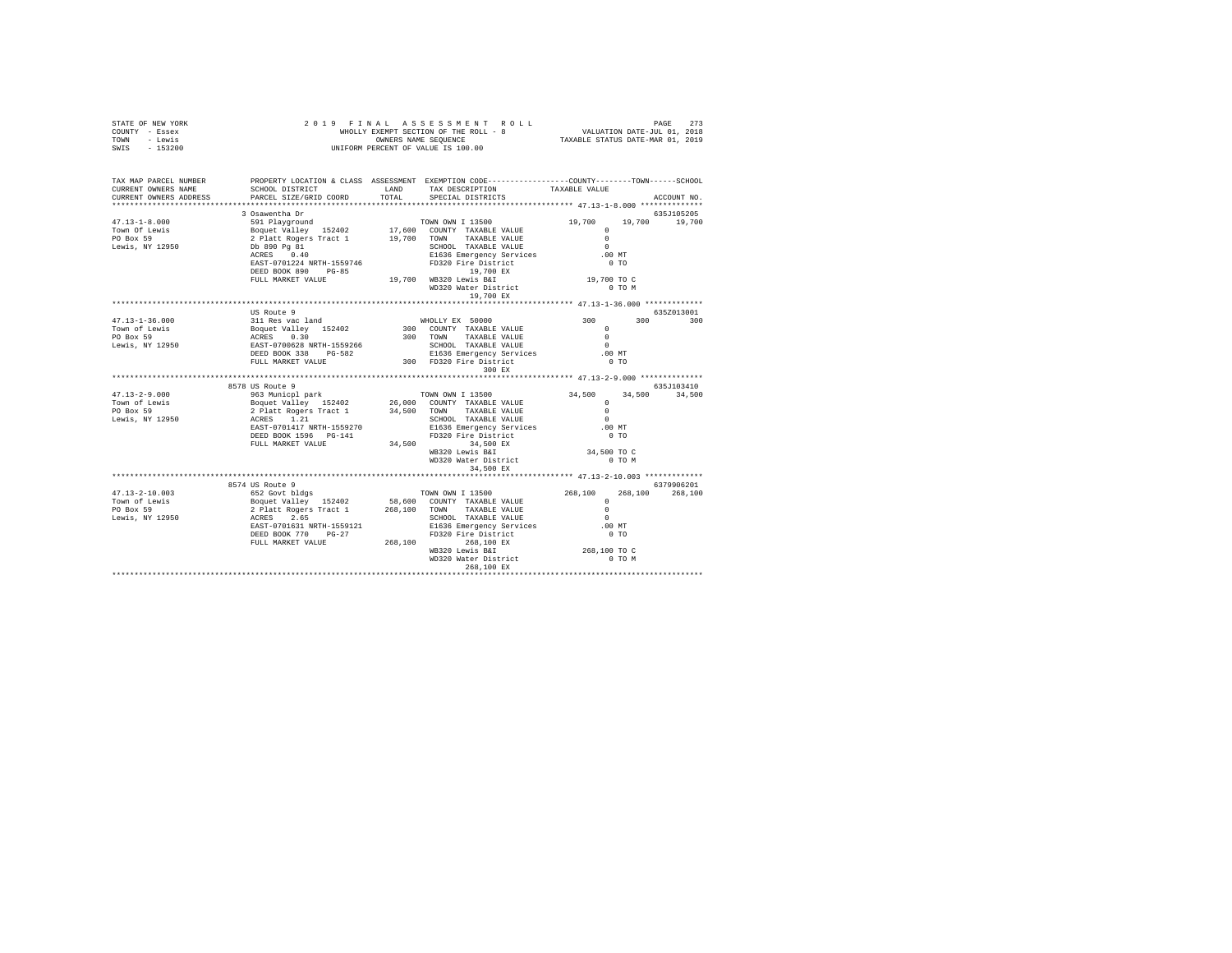| STATE OF NEW YORK<br>COUNTY - Essex<br>TOWN - Lewis<br>$-153200$<br>SWIS                                                                                                                                                                                                                                                                                                                       |                |                                                                                                                                                                                                                                                                                                                                 |               |
|------------------------------------------------------------------------------------------------------------------------------------------------------------------------------------------------------------------------------------------------------------------------------------------------------------------------------------------------------------------------------------------------|----------------|---------------------------------------------------------------------------------------------------------------------------------------------------------------------------------------------------------------------------------------------------------------------------------------------------------------------------------|---------------|
| TAX MAP PARCEL NUMBER<br>CURRENT OWNERS NAME<br>CURRENT OWNERS ADDRESS                                                                                                                                                                                                                                                                                                                         |                | PROPERTY LOCATION & CLASS ASSESSMENT EXEMPTION CODE----------------COUNTY-------TOWN------SCHOOL<br>${\tt SCHOOL\ DISTRICT}\qquad\qquad {\tt LAND}\qquad\qquad {\tt TAX\ DESCRIPITION}\qquad\qquad {\tt TAXABLE\ VALUE}\qquad\qquad {\tt PARCEL\ SIZE/GRID\ CORD}\qquad\qquad {\tt TOTAL}\qquad\qquad {\tt SPECIAL\ DISTRICTS}$ | ACCOUNT NO.   |
|                                                                                                                                                                                                                                                                                                                                                                                                | 3 Osawentha Dr |                                                                                                                                                                                                                                                                                                                                 | 635J105205    |
| $\begin{array}{cccccccc} 47.13\text{--}1-8.000 & 3\text{ Osawentha Dr} & 535\text{J}103205 \\ 591 \text{ Playround} & 52402 & 17,600 & \text{COMNTY TAXABLE VALUE} & 19,700 & 19,700 & 19,700 \\ 70 \text{Box } 59 & 2 \text{ Plat } \text{Rogert } 7 \text{arcat } 1 & 19,700 & \text{COMNTY TAXABLE VALUE} & 0 \\ 2 \text{ Plat } \text{Rogert } 7 \text{arcat } 1 & 19,700 & \text{TANABLE$ |                |                                                                                                                                                                                                                                                                                                                                 |               |
|                                                                                                                                                                                                                                                                                                                                                                                                |                |                                                                                                                                                                                                                                                                                                                                 |               |
|                                                                                                                                                                                                                                                                                                                                                                                                |                |                                                                                                                                                                                                                                                                                                                                 |               |
|                                                                                                                                                                                                                                                                                                                                                                                                |                |                                                                                                                                                                                                                                                                                                                                 |               |
|                                                                                                                                                                                                                                                                                                                                                                                                |                |                                                                                                                                                                                                                                                                                                                                 |               |
|                                                                                                                                                                                                                                                                                                                                                                                                |                |                                                                                                                                                                                                                                                                                                                                 |               |
|                                                                                                                                                                                                                                                                                                                                                                                                |                |                                                                                                                                                                                                                                                                                                                                 |               |
|                                                                                                                                                                                                                                                                                                                                                                                                |                |                                                                                                                                                                                                                                                                                                                                 |               |
|                                                                                                                                                                                                                                                                                                                                                                                                |                |                                                                                                                                                                                                                                                                                                                                 |               |
|                                                                                                                                                                                                                                                                                                                                                                                                |                |                                                                                                                                                                                                                                                                                                                                 |               |
|                                                                                                                                                                                                                                                                                                                                                                                                | US Route 9     |                                                                                                                                                                                                                                                                                                                                 | 635Z013001    |
|                                                                                                                                                                                                                                                                                                                                                                                                |                |                                                                                                                                                                                                                                                                                                                                 | 300 300       |
|                                                                                                                                                                                                                                                                                                                                                                                                |                |                                                                                                                                                                                                                                                                                                                                 |               |
|                                                                                                                                                                                                                                                                                                                                                                                                |                |                                                                                                                                                                                                                                                                                                                                 |               |
|                                                                                                                                                                                                                                                                                                                                                                                                |                |                                                                                                                                                                                                                                                                                                                                 |               |
|                                                                                                                                                                                                                                                                                                                                                                                                |                |                                                                                                                                                                                                                                                                                                                                 |               |
|                                                                                                                                                                                                                                                                                                                                                                                                |                |                                                                                                                                                                                                                                                                                                                                 |               |
|                                                                                                                                                                                                                                                                                                                                                                                                |                |                                                                                                                                                                                                                                                                                                                                 |               |
|                                                                                                                                                                                                                                                                                                                                                                                                |                |                                                                                                                                                                                                                                                                                                                                 | 635J103410    |
|                                                                                                                                                                                                                                                                                                                                                                                                |                |                                                                                                                                                                                                                                                                                                                                 | 34,500 34,500 |
|                                                                                                                                                                                                                                                                                                                                                                                                |                |                                                                                                                                                                                                                                                                                                                                 |               |
|                                                                                                                                                                                                                                                                                                                                                                                                |                |                                                                                                                                                                                                                                                                                                                                 |               |
|                                                                                                                                                                                                                                                                                                                                                                                                |                |                                                                                                                                                                                                                                                                                                                                 |               |
|                                                                                                                                                                                                                                                                                                                                                                                                |                |                                                                                                                                                                                                                                                                                                                                 |               |
|                                                                                                                                                                                                                                                                                                                                                                                                |                |                                                                                                                                                                                                                                                                                                                                 |               |
|                                                                                                                                                                                                                                                                                                                                                                                                |                |                                                                                                                                                                                                                                                                                                                                 |               |
| 34,500 34,500 34,500 34,500 34,500 34,500 34,500 34,500 34,500 34,500 34,500 34,500 34,500 34,500 34,500 34,500 34,500 34,500 3579 10 2 Platt Rogers Tract 1 34,500 COUNTY TAXABLE VALUE 10<br>FO Box 59 2 Platt Rogers Tract 1                                                                                                                                                                |                |                                                                                                                                                                                                                                                                                                                                 |               |
|                                                                                                                                                                                                                                                                                                                                                                                                |                |                                                                                                                                                                                                                                                                                                                                 |               |
|                                                                                                                                                                                                                                                                                                                                                                                                |                |                                                                                                                                                                                                                                                                                                                                 |               |
|                                                                                                                                                                                                                                                                                                                                                                                                |                |                                                                                                                                                                                                                                                                                                                                 |               |
|                                                                                                                                                                                                                                                                                                                                                                                                |                |                                                                                                                                                                                                                                                                                                                                 |               |
|                                                                                                                                                                                                                                                                                                                                                                                                |                |                                                                                                                                                                                                                                                                                                                                 |               |
|                                                                                                                                                                                                                                                                                                                                                                                                |                |                                                                                                                                                                                                                                                                                                                                 |               |
|                                                                                                                                                                                                                                                                                                                                                                                                |                |                                                                                                                                                                                                                                                                                                                                 |               |
|                                                                                                                                                                                                                                                                                                                                                                                                |                |                                                                                                                                                                                                                                                                                                                                 |               |
|                                                                                                                                                                                                                                                                                                                                                                                                |                |                                                                                                                                                                                                                                                                                                                                 |               |
|                                                                                                                                                                                                                                                                                                                                                                                                |                |                                                                                                                                                                                                                                                                                                                                 |               |
|                                                                                                                                                                                                                                                                                                                                                                                                |                |                                                                                                                                                                                                                                                                                                                                 |               |
|                                                                                                                                                                                                                                                                                                                                                                                                |                |                                                                                                                                                                                                                                                                                                                                 |               |
|                                                                                                                                                                                                                                                                                                                                                                                                |                |                                                                                                                                                                                                                                                                                                                                 |               |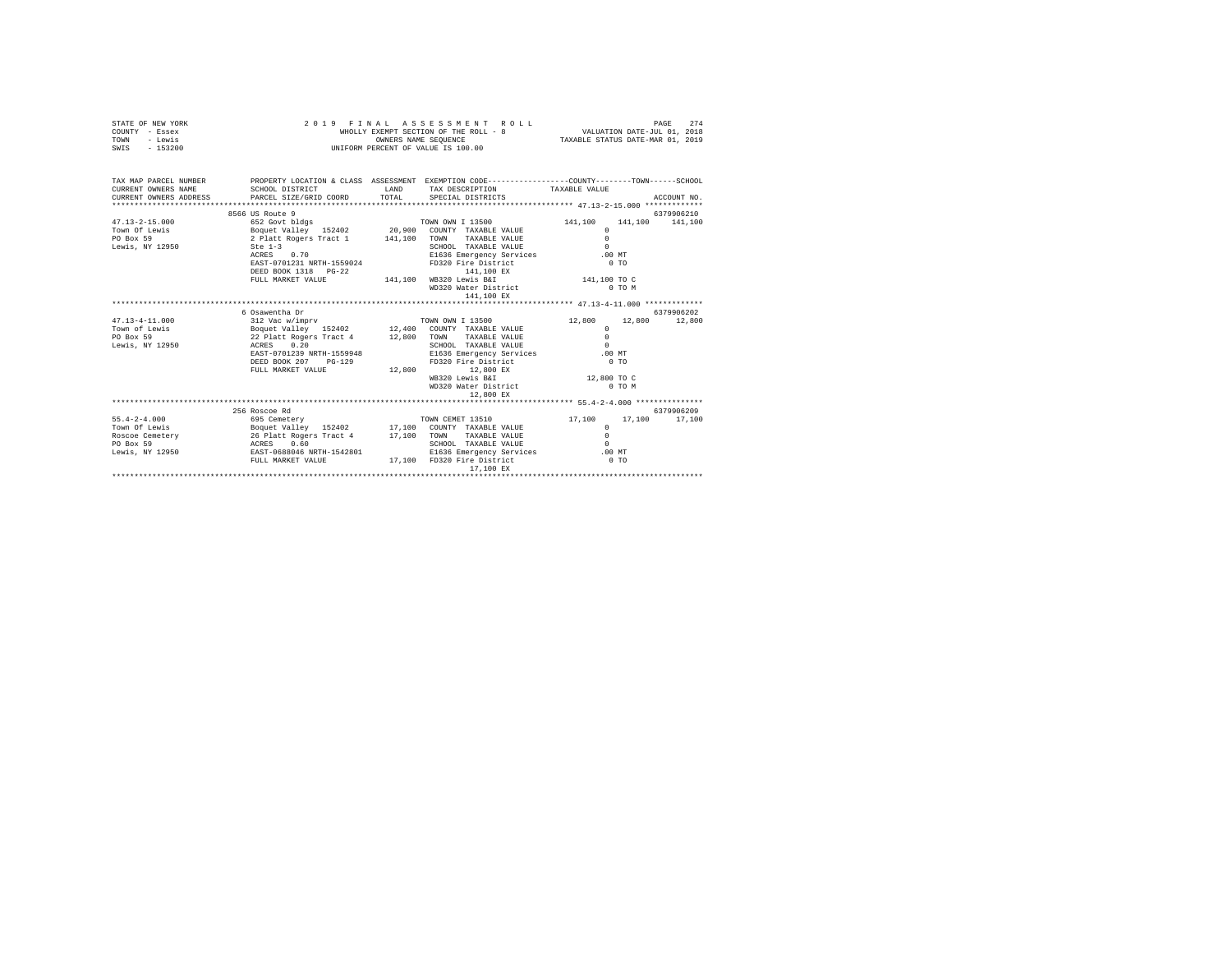| STATE OF NEW YORK<br>COUNTY - Essex<br>- Lewis<br>TOWN<br>SWIS<br>$-153200$            |                                                                                                                                                                                                                                                                                         |       | 2019 FINAL ASSESSMENT ROLL<br>WHOLLY EXEMPT SECTION OF THE ROLL - 8 VALUATION DATE-JUL 01, 2018<br>OWNERS NAME SEQUENCE<br>UNIFORM PERCENT OF VALUE IS 100.00           | TAXABLE STATUS DATE-MAR 01, 2019                                                                          | 274<br>PAGE   |
|----------------------------------------------------------------------------------------|-----------------------------------------------------------------------------------------------------------------------------------------------------------------------------------------------------------------------------------------------------------------------------------------|-------|-------------------------------------------------------------------------------------------------------------------------------------------------------------------------|-----------------------------------------------------------------------------------------------------------|---------------|
| TAX MAP PARCEL NUMBER<br>CURRENT OWNERS NAME<br>CURRENT OWNERS ADDRESS                 | PROPERTY LOCATION & CLASS ASSESSMENT EXEMPTION CODE---------------COUNTY-------TOWN------SCHOOL<br>SCHOOL DISTRICT<br>PARCEL SIZE/GRID COORD                                                                                                                                            | TOTAL | LAND TAX DESCRIPTION<br>SPECIAL DISTRICTS                                                                                                                               | TAXABLE VALUE                                                                                             | ACCOUNT NO.   |
|                                                                                        | 8566 US Route 9                                                                                                                                                                                                                                                                         |       |                                                                                                                                                                         |                                                                                                           | 6379906210    |
| $47.13 - 2 - 15.000$<br>Town Of Lewis<br>PO Box 59<br>Lewis. NY 12950 Ste 1-3          | --- 652. Govt bldgs<br>Boquet Valley 152402 120,900 COUNTY TAXABLE VALUE<br>2 Platt Rogers Tract 1 141,100 TOWN TAXABLE VALUE<br>ACRES 0.70<br>EAST-0701231 NRTH-1559024<br>DEED BOOK 1318 PG-22<br>FULL MARKET VALUE                                                                   |       | SCHOOL TAXABLE VALUE<br>E1636 Emergency Services<br>FD320 Fire District<br>141,100 EX<br>141,100 EX<br>141,100 WB320 Lewis B&I                                          | 141,100 141,100 141,100<br>$\Omega$<br>$\Omega$<br>$\Omega$<br>$.00$ MT<br>0 <sub>T</sub><br>141,100 TO C |               |
|                                                                                        |                                                                                                                                                                                                                                                                                         |       | WD320 Water District<br>141,100 EX                                                                                                                                      | 0 TO M                                                                                                    |               |
|                                                                                        |                                                                                                                                                                                                                                                                                         |       |                                                                                                                                                                         |                                                                                                           |               |
|                                                                                        | 6 Osawentha Dr                                                                                                                                                                                                                                                                          |       |                                                                                                                                                                         |                                                                                                           | 6379906202    |
| $47.13 - 4 - 11.000$<br>Town of Lewis<br>PO Box 59<br>Lewis, NY 12950                  | 312 Vac w/imprv<br>Boquet Valley 152402 12,400 COUNTY TAXABLE VALUE<br>22 Platt Rogers Tract 4 12,800 TOWN TAXABLE VALUE<br>22 ACRES 0.20<br>EAST-0701239 NRTH-1559948<br>DEED BOOK 207 PG-129<br>FULL MARKET VALUE                                                                     |       | TOWN OWN I 13500<br>TAXABLE VALUE<br>E1636 Emergency Services .00 MT<br>FD320 Fire District<br>12,800 12,800 EX<br>WB320 Lewis B&I<br>WD320 Water District<br>12,800 EX | 12,800<br>12,800<br>$\Omega$<br>$\Omega$<br>$\Omega$<br>$0$ TO<br>12,800 TO C<br>$0$ TO $M$               | 12,800        |
|                                                                                        | 256 Roscoe Rd                                                                                                                                                                                                                                                                           |       |                                                                                                                                                                         |                                                                                                           | 6379906209    |
| $55.4 - 2 - 4.000$<br>Town Of Lewis<br>Roscoe Cemetery<br>PO Box 59<br>Lewis, NY 12950 | 695 Cemetery<br>Boquet Valley 152402 17.100 COUNTY TAXABLE VALUE<br>EOQUET VALLEY 1924UZ<br>26 Platt Rogers Tract 4 17,100 TOWN TAXABLE VALUE<br>ACRES 0.60 SCHOOL TAXABLE VALUE<br>EAST-068046 NRTH-1542801 17,100 FOS20 Fire District<br>FULL MARKET VALUE 17,100 FD320 Fire District |       | TOWN CEMET 13510<br>E1636 Emergency Services<br>17,100 EX                                                                                                               | 17,100<br>$\Omega$<br>$\Omega$<br>$\Omega$<br>$.00$ MT<br>0 <sub>T</sub>                                  | 17,100 17,100 |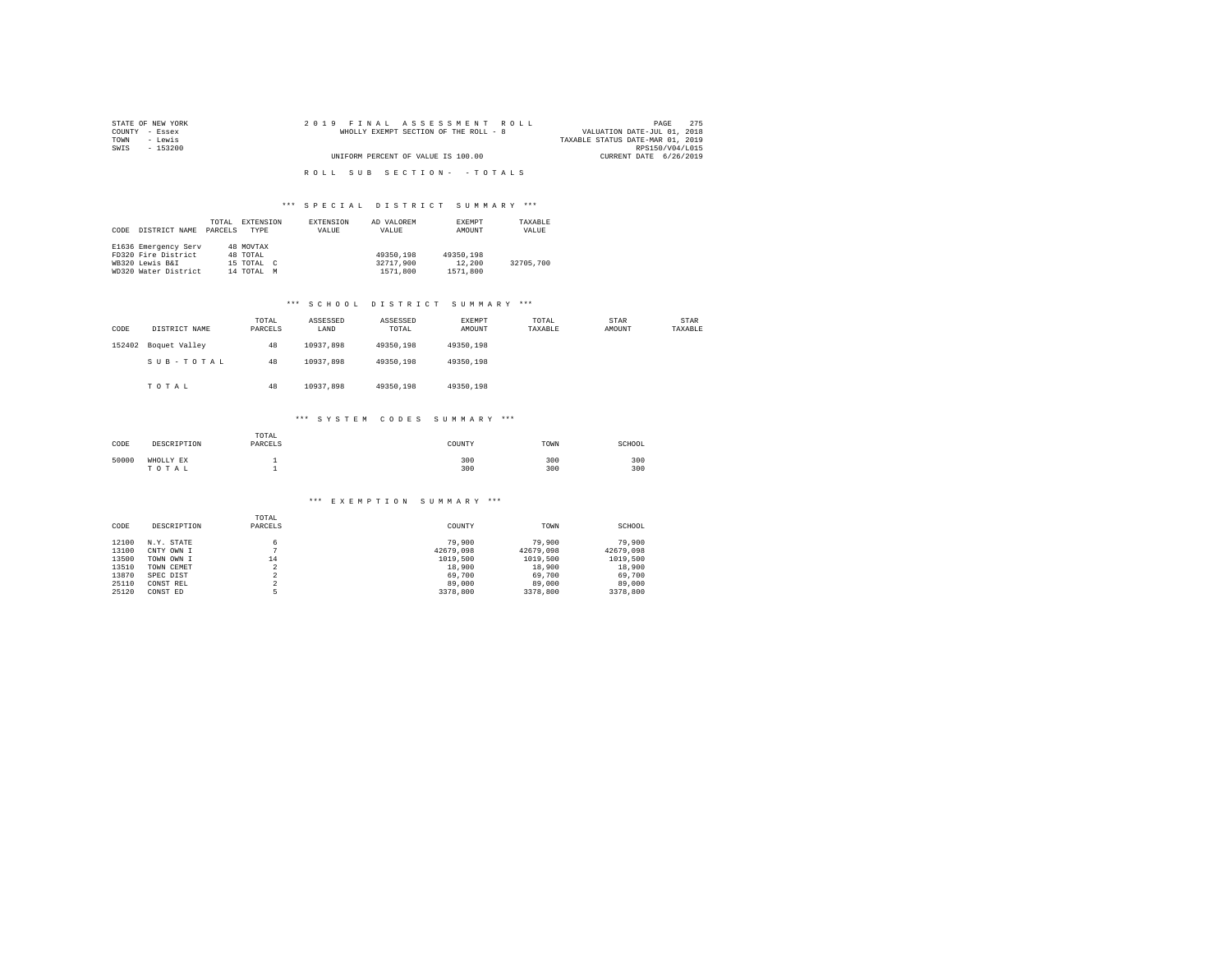| STATE OF NEW YORK | 2019 FINAL ASSESSMENT ROLL            | 275<br>PAGE                      |
|-------------------|---------------------------------------|----------------------------------|
| COUNTY - Essex    | WHOLLY EXEMPT SECTION OF THE ROLL - 8 | VALUATION DATE-JUL 01, 2018      |
| TOWN<br>- Lewis   |                                       | TAXABLE STATUS DATE-MAR 01, 2019 |
| SWIS<br>- 153200  |                                       | RPS150/V04/L015                  |
|                   | UNIFORM PERCENT OF VALUE IS 100.00    | CURRENT DATE 6/26/2019           |
|                   |                                       |                                  |
|                   | ROLL SUB SECTION- - TOTALS            |                                  |

|      |                      | TOTAL   | EXTENSION  | EXTENSION | AD VALOREM | EXEMPT    | TAXABLE   |
|------|----------------------|---------|------------|-----------|------------|-----------|-----------|
| CODE | DISTRICT NAME        | PARCELS | TYPE       | VALUE     | VALUE      | AMOUNT    | VALUE     |
|      |                      |         |            |           |            |           |           |
|      | E1636 Emergency Serv |         | 48 MOVTAX  |           |            |           |           |
|      | FD320 Fire District  |         | 48 TOTAL   |           | 49350.198  | 49350.198 |           |
|      | WB320 Lewis B&I      |         | 15 TOTAL C |           | 32717.900  | 12,200    | 32705,700 |
|      | WD320 Water District |         | 14 TOTAL M |           | 1571,800   | 1571,800  |           |

## \*\*\* S C H O O L D I S T R I C T S U M M A R Y \*\*\*

| CODE   | DISTRICT NAME | TOTAL<br>PARCELS | ASSESSED<br>LAND | ASSESSED<br>TOTAL | EXEMPT<br>AMOUNT | TOTAL<br>TAXABLE | STAR<br>AMOUNT | STAR<br>TAXABLE |
|--------|---------------|------------------|------------------|-------------------|------------------|------------------|----------------|-----------------|
| 152402 | Boquet Valley | 48               | 10937.898        | 49350.198         | 49350.198        |                  |                |                 |
|        | SUB-TOTAL     | 48               | 10937.898        | 49350.198         | 49350.198        |                  |                |                 |
|        | TOTAL         | 48               | 10937.898        | 49350.198         | 49350.198        |                  |                |                 |

#### \*\*\* S Y S T E M C O D E S S U M M A R Y \*\*\*

| CODE  | DESCRIPTION | TOTAL<br>PARCELS | COUNTY | TOWN | SCHOOL |
|-------|-------------|------------------|--------|------|--------|
| 50000 | WHOLLY EX   | <b>.</b>         | 300    | 300  | 300    |
|       | TOTAL       | ۰                | 300    | 300  | 300    |

#### \*\*\* E X E M P T I O N S U M M A R Y \*\*\*

|       |             | TOTAL   |           |           |           |
|-------|-------------|---------|-----------|-----------|-----------|
| CODE  | DESCRIPTION | PARCELS | COUNTY    | TOWN      | SCHOOL    |
| 12100 | N.Y. STATE  | б.      | 79,900    | 79,900    | 79,900    |
| 13100 | CNTY OWN I  |         | 42679.098 | 42679.098 | 42679.098 |
| 13500 | TOWN OWN I  | 14      | 1019,500  | 1019,500  | 1019,500  |
| 13510 | TOWN CEMET  | 2       | 18,900    | 18,900    | 18,900    |
| 13870 | SPEC DIST   |         | 69,700    | 69,700    | 69,700    |
| 25110 | CONST REL   |         | 89,000    | 89,000    | 89,000    |
| 25120 | CONST ED    |         | 3378,800  | 3378,800  | 3378,800  |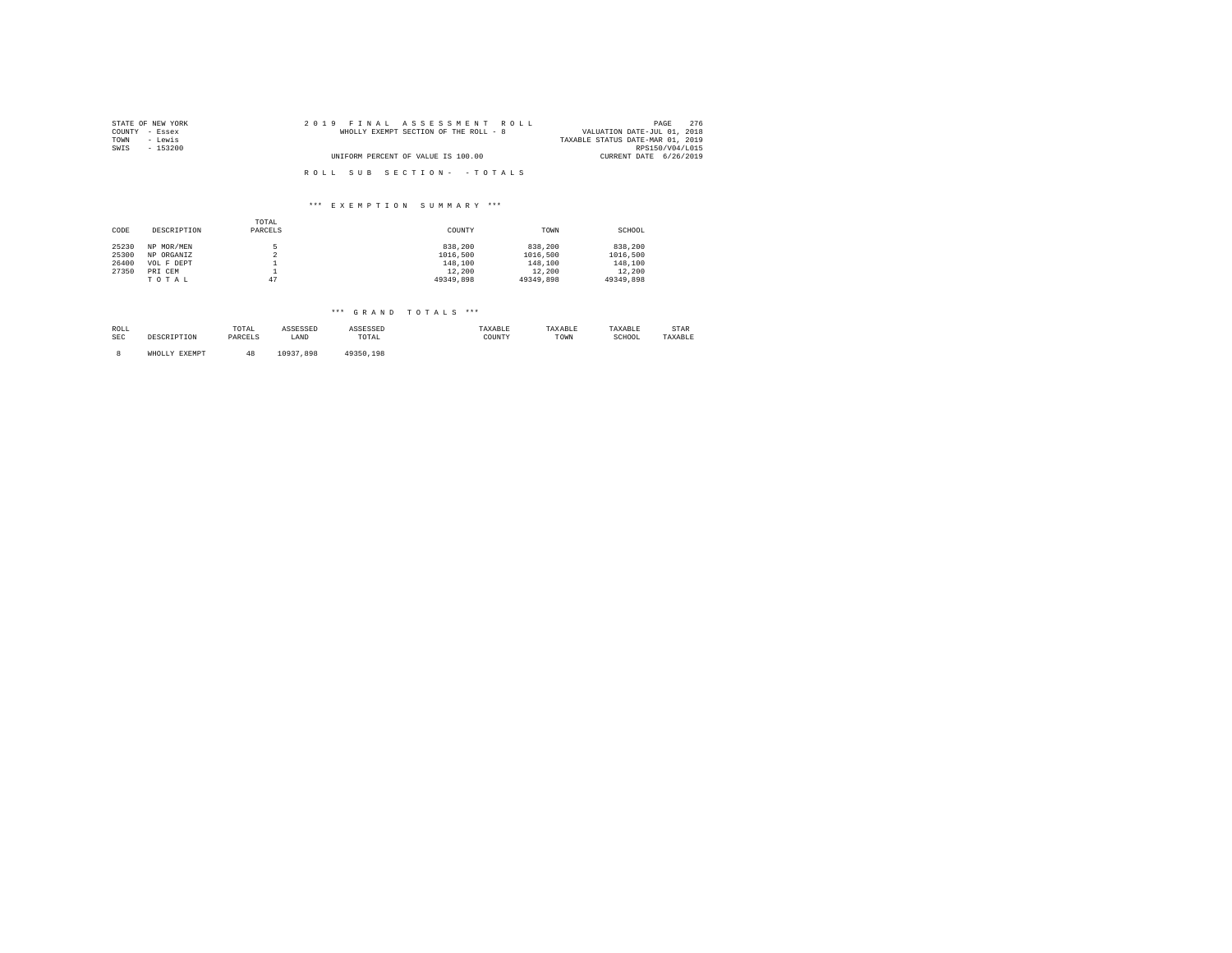| STATE OF NEW YORK | 2019 FINAL ASSESSMENT ROLL            | 276<br>PAGE                      |
|-------------------|---------------------------------------|----------------------------------|
| COUNTY - Essex    | WHOLLY EXEMPT SECTION OF THE ROLL - 8 | VALUATION DATE-JUL 01, 2018      |
| TOWN<br>- Lewis   |                                       | TAXABLE STATUS DATE-MAR 01, 2019 |
| SWIS<br>- 153200  |                                       | RPS150/V04/L015                  |
|                   | UNIFORM PERCENT OF VALUE IS 100.00    | CURRENT DATE 6/26/2019           |
|                   |                                       |                                  |
|                   | ROLL SUB SECTION- - TOTALS            |                                  |

|       |             | TOTAL    |           |           |           |
|-------|-------------|----------|-----------|-----------|-----------|
| CODE  | DESCRIPTION | PARCELS  | COUNTY    | TOWN      | SCHOOL    |
| 25230 | NP MOR/MEN  |          | 838,200   | 838,200   | 838,200   |
|       |             |          |           |           |           |
| 25300 | NP ORGANIZ  | ۷        | 1016,500  | 1016,500  | 1016,500  |
| 26400 | VOL F DEPT  |          | 148,100   | 148,100   | 148,100   |
| 27350 | PRI CEM     | <b>.</b> | 12,200    | 12,200    | 12,200    |
|       | TOTAL       | 47       | 49349.898 | 49349.898 | 49349.898 |

| ROLL<br>SEC | DESCRIPTION   | TOTAL<br>PARCELS | ASSESSED<br>LAND | <b><i>ASSESSED</i></b><br>TOTAL | TAXABLE<br>COUNTY | TAXABLE<br>TOWN | TAXABLE<br>SCHOOL | STAR<br>TAXABLE |
|-------------|---------------|------------------|------------------|---------------------------------|-------------------|-----------------|-------------------|-----------------|
|             | WHOLLY EXEMPT |                  | 10937<br>.898    | 49350.198                       |                   |                 |                   |                 |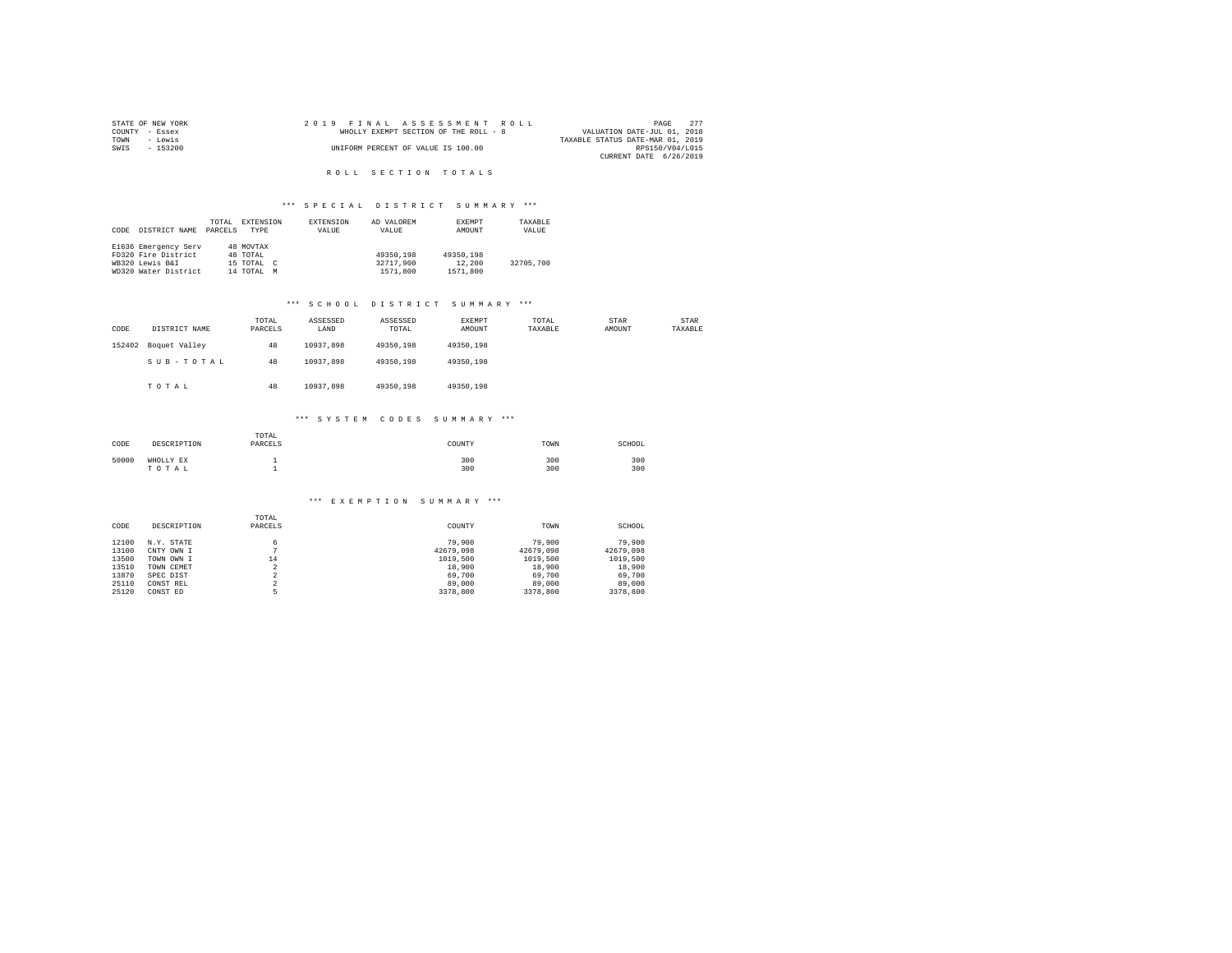|      | STATE OF NEW YORK | 2019 FINAL ASSESSMENT ROLL            |                                  | PAGE                        |  |
|------|-------------------|---------------------------------------|----------------------------------|-----------------------------|--|
|      | COUNTY - Essex    | WHOLLY EXEMPT SECTION OF THE ROLL - 8 |                                  | VALUATION DATE-JUL 01, 2018 |  |
| TOWN | - Lewis           |                                       | TAXABLE STATUS DATE-MAR 01, 2019 |                             |  |
| SWIS | $-153200$         | UNIFORM PERCENT OF VALUE IS 100.00    |                                  | RPS150/V04/L015             |  |
|      |                   |                                       |                                  | CURRENT DATE 6/26/2019      |  |

#### ROLL SECTION TOTALS

## \*\*\* S P E C I A L D I S T R I C T S U M M A R Y \*\*\*

| CODE | DISTRICT NAME        | TOTAL<br>PARCELS | EXTENSION<br><b>TYPE</b>  | EXTENSION<br>VALUE | AD VALOREM<br>VALUE | <b>EXEMPT</b><br>AMOUNT | TAXABLE<br>VALUE |
|------|----------------------|------------------|---------------------------|--------------------|---------------------|-------------------------|------------------|
|      | E1636 Emergency Serv |                  | 48 MOVTAX                 |                    |                     |                         |                  |
|      | FD320 Fire District  |                  | 48 TOTAL                  |                    | 49350.198           | 49350.198               |                  |
|      | WR320 Lewis B&T      |                  | 15 TOTAL<br>$\mathcal{C}$ |                    | 32717.900           | 12,200                  | 32705.700        |
|      | WD320 Water District |                  | 14 TOTAL<br>M             |                    | 1571,800            | 1571,800                |                  |

## \*\*\* S C H O O L D I S T R I C T S U M M A R Y \*\*\*

| CODE   | DISTRICT NAME | TOTAL<br>PARCELS | ASSESSED<br>LAND | ASSESSED<br>TOTAL | EXEMPT<br>AMOUNT | TOTAL<br>TAXABLE | STAR<br>AMOUNT | <b>STAR</b><br>TAXABLE |
|--------|---------------|------------------|------------------|-------------------|------------------|------------------|----------------|------------------------|
| 152402 | Boquet Valley | 48               | 10937.898        | 49350.198         | 49350.198        |                  |                |                        |
|        | SUB-TOTAL     | 48               | 10937.898        | 49350.198         | 49350.198        |                  |                |                        |
|        | TOTAL         | 48               | 10937.898        | 49350.198         | 49350.198        |                  |                |                        |

#### \*\*\* S Y S T E M C O D E S S U M M A R Y \*\*\*

| CODE  | DESCRIPTION | TOTAL<br>PARCELS | COUNTY | TOWN | SCHOOL |
|-------|-------------|------------------|--------|------|--------|
| 50000 | WHOLLY EX   | <b>.</b>         | 300    | 300  | 300    |
|       | TOTAL       | ۰                | 300    | 300  | 300    |

## \*\*\* E X E M P T I O N S U M M A R Y \*\*\*

|       |             | TOTAL   |           |           |           |
|-------|-------------|---------|-----------|-----------|-----------|
| CODE  | DESCRIPTION | PARCELS | COUNTY    | TOWN      | SCHOOL    |
| 12100 | N.Y. STATE  | б.      | 79,900    | 79,900    | 79,900    |
| 13100 | CNTY OWN I  |         | 42679.098 | 42679.098 | 42679.098 |
| 13500 | TOWN OWN I  | 14      | 1019,500  | 1019,500  | 1019,500  |
| 13510 | TOWN CEMET  | 2       | 18,900    | 18,900    | 18,900    |
| 13870 | SPEC DIST   |         | 69,700    | 69,700    | 69,700    |
| 25110 | CONST REL   |         | 89,000    | 89,000    | 89,000    |
| 25120 | CONST ED    |         | 3378,800  | 3378,800  | 3378,800  |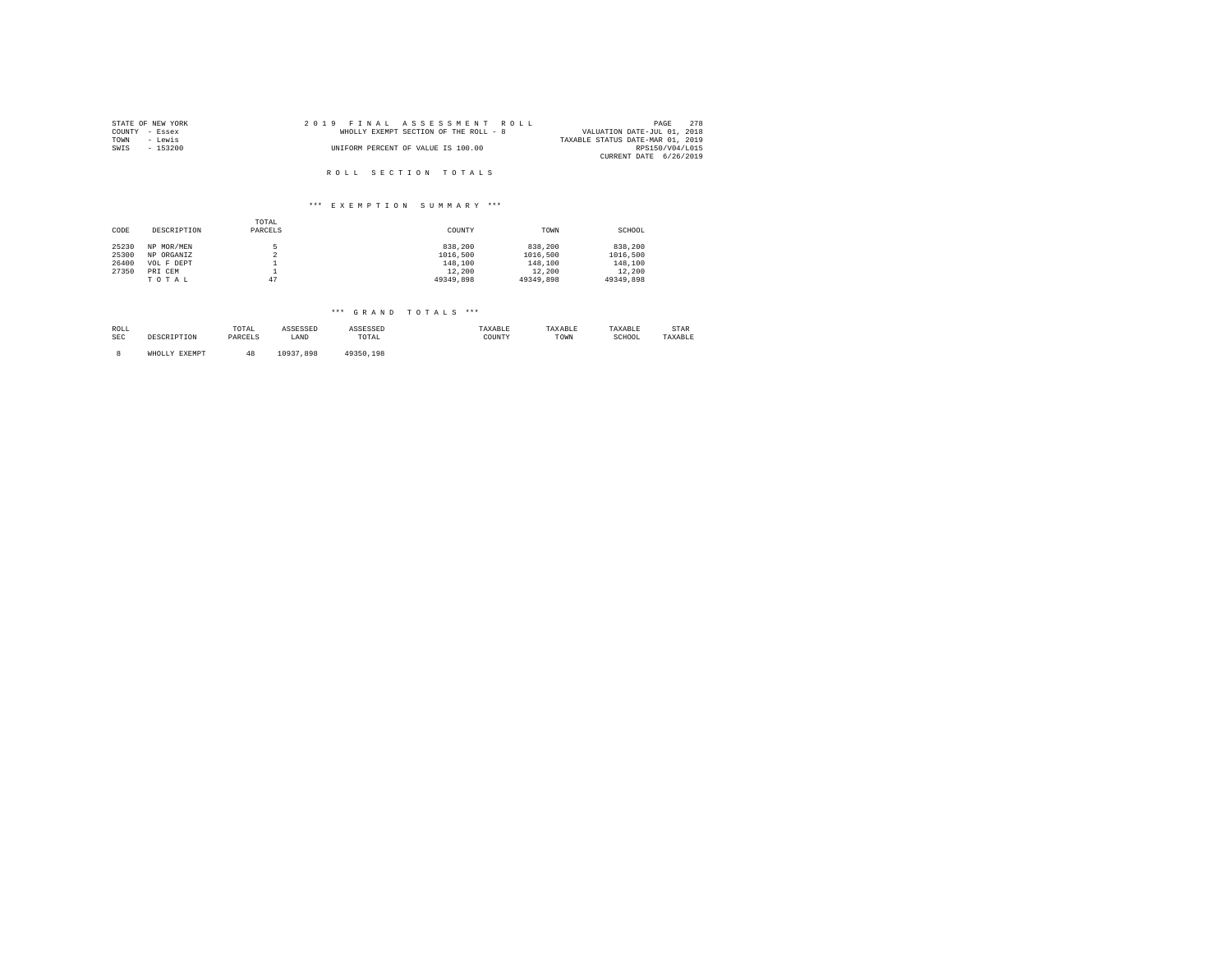| STATE OF NEW YORK | 2019 FINAL ASSESSMENT ROLL            | 2.78<br>PAGE                     |
|-------------------|---------------------------------------|----------------------------------|
| COUNTY - Essex    | WHOLLY EXEMPT SECTION OF THE ROLL - 8 | VALUATION DATE-JUL 01, 2018      |
| TOWN<br>- Lewis   |                                       | TAXABLE STATUS DATE-MAR 01, 2019 |
| SWIS<br>$-153200$ | UNIFORM PERCENT OF VALUE IS 100.00    | RPS150/V04/L015                  |
|                   |                                       | CURRENT DATE 6/26/2019           |
|                   |                                       |                                  |
|                   | ROLL SECTION TOTALS                   |                                  |

|       |             | TOTAL    |           |           |           |
|-------|-------------|----------|-----------|-----------|-----------|
| CODE  | DESCRIPTION | PARCELS  | COUNTY    | TOWN      | SCHOOL    |
| 25230 | NP MOR/MEN  | к        | 838,200   | 838,200   | 838,200   |
| 25300 | NP ORGANIZ  |          | 1016,500  | 1016,500  | 1016,500  |
| 26400 | VOL F DEPT  | <b>.</b> | 148,100   | 148,100   | 148,100   |
| 27350 | PRI CEM     | <b>.</b> | 12,200    | 12,200    | 12,200    |
|       | TOTAL       | 47       | 49349.898 | 49349,898 | 49349.898 |

| ROLL<br>SEC | DESCRIPTION   | TOTAL<br>PARCELS | ASSESSED<br>LAND | ASSESSED<br>TOTAL | TAXABLE<br>COUNTY | TAXABLE<br>TOWN | TAXABLE<br>SCHOOL | STAR<br>TAXABLE |
|-------------|---------------|------------------|------------------|-------------------|-------------------|-----------------|-------------------|-----------------|
|             | WHOLLY EXEMPT |                  | 10937<br>.898    | 49350.198         |                   |                 |                   |                 |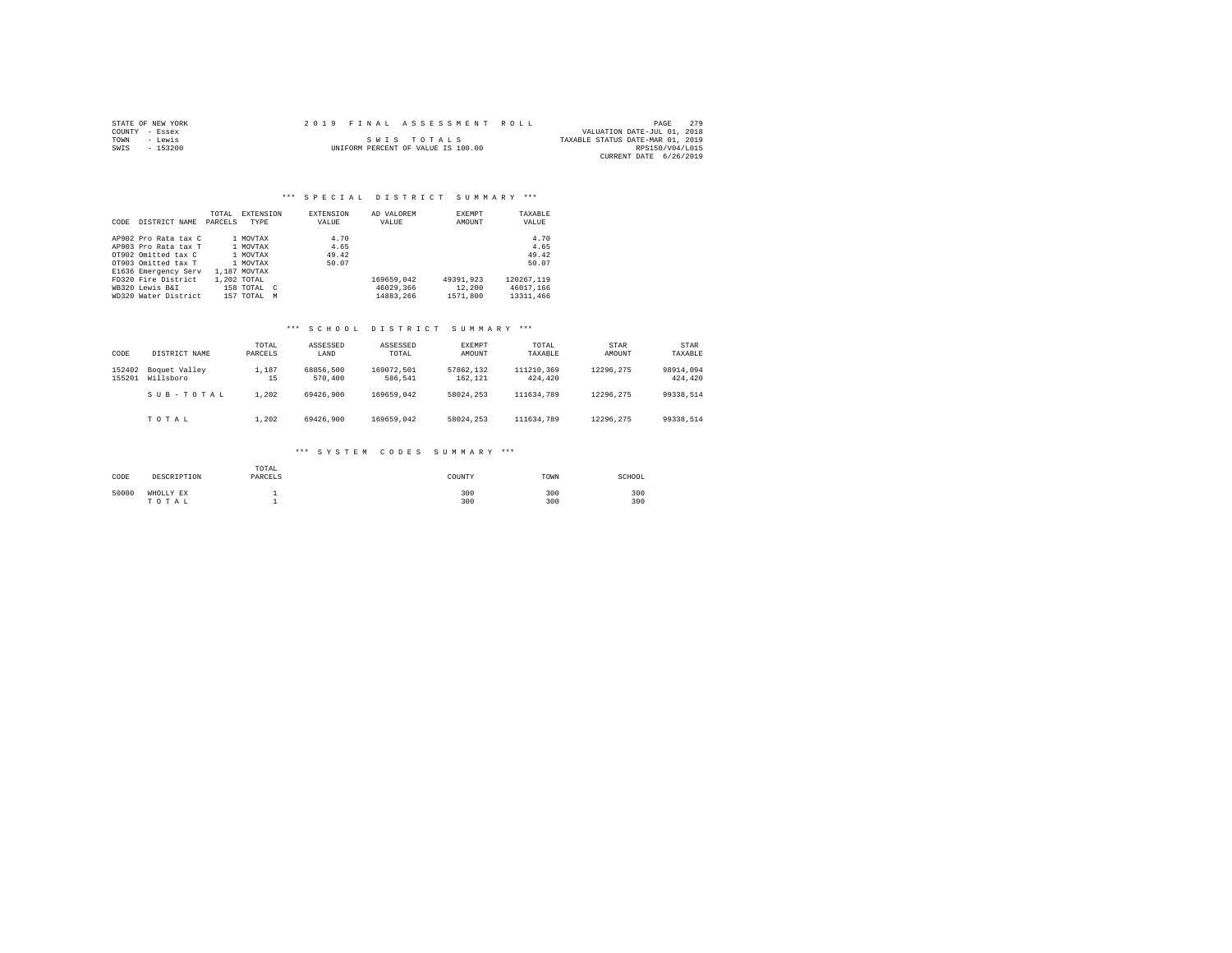|      | STATE OF NEW YORK | 2019 FINAL ASSESSMENT ROLL |                                    |                                  | PAGE            | 2.79 |
|------|-------------------|----------------------------|------------------------------------|----------------------------------|-----------------|------|
|      | COUNTY - Essex    |                            |                                    | VALUATION DATE-JUL 01, 2018      |                 |      |
| TOWN | - Lewis           |                            | SWIS TOTALS                        | TAXABLE STATUS DATE-MAR 01, 2019 |                 |      |
| SWIS | $-153200$         |                            | UNIFORM PERCENT OF VALUE IS 100.00 |                                  | RPS150/V04/L015 |      |
|      |                   |                            |                                    | CURRENT DATE 6/26/2019           |                 |      |

| CODE | DISTRICT NAME        | TOTAL<br>PARCELS | <b>EXTENSION</b><br>TYPE | EXTENSION<br>VALUE | AD VALOREM<br>VALUE | EXEMPT<br>AMOUNT | TAXABLE<br>VALUE |
|------|----------------------|------------------|--------------------------|--------------------|---------------------|------------------|------------------|
|      | AP902 Pro Rata tax C |                  | 1 MOVTAX                 | 4.70               |                     |                  | 4.70             |
|      | AP903 Pro Rata tax T |                  | 1 MOVTAX                 | 4.65               |                     |                  | 4.65             |
|      | OT902 Omitted tax C  |                  | 1 MOVTAX                 | 49.42              |                     |                  | 49.42            |
|      | OT903 Omitted tax T  |                  | 1 MOVTAX                 | 50.07              |                     |                  | 50.07            |
|      | E1636 Emergency Serv |                  | 1,187 MOVTAX             |                    |                     |                  |                  |
|      | FD320 Fire District  |                  | 1,202 TOTAL              |                    | 169659.042          | 49391.923        | 120267.119       |
|      | WB320 Lewis B&I      |                  | 158 TOTAL C              |                    | 46029.366           | 12,200           | 46017.166        |
|      | WD320 Water District |                  | 157 TOTAL<br>M           |                    | 14883.266           | 1571,800         | 13311.466        |

#### \*\*\* S C H O O L D I S T R I C T S U M M A R Y \*\*\*

| CODE             | DISTRICT NAME              | TOTAL<br>PARCELS | ASSESSED<br>LAND     | ASSESSED<br>TOTAL     | EXEMPT<br>AMOUNT     | TOTAL<br>TAXABLE      | STAR<br>AMOUNT | STAR<br>TAXABLE      |  |
|------------------|----------------------------|------------------|----------------------|-----------------------|----------------------|-----------------------|----------------|----------------------|--|
| 152402<br>155201 | Boquet Valley<br>Willsboro | 1,187<br>15      | 68856.500<br>570,400 | 169072.501<br>586,541 | 57862.132<br>162.121 | 111210.369<br>424,420 | 12296.275      | 98914.094<br>424,420 |  |
|                  | SUB-TOTAL                  | 1,202            | 69426.900            | 169659.042            | 58024.253            | 111634.789            | 12296.275      | 99338.514            |  |
|                  | TOTAL                      | 1.202            | 69426.900            | 169659.042            | 58024.253            | 111634.789            | 12296.275      | 99338.514            |  |

#### \*\*\* S Y S T E M C O D E S S U M M A R Y \*\*\*

| CODE  | DESCRIPTION        | TOTAL<br>PARCELS | COUNTY     | TOWN       | SCHOOL     |
|-------|--------------------|------------------|------------|------------|------------|
| 50000 | WHOLLY EX<br>TOTAL |                  | 300<br>300 | 300<br>300 | 300<br>300 |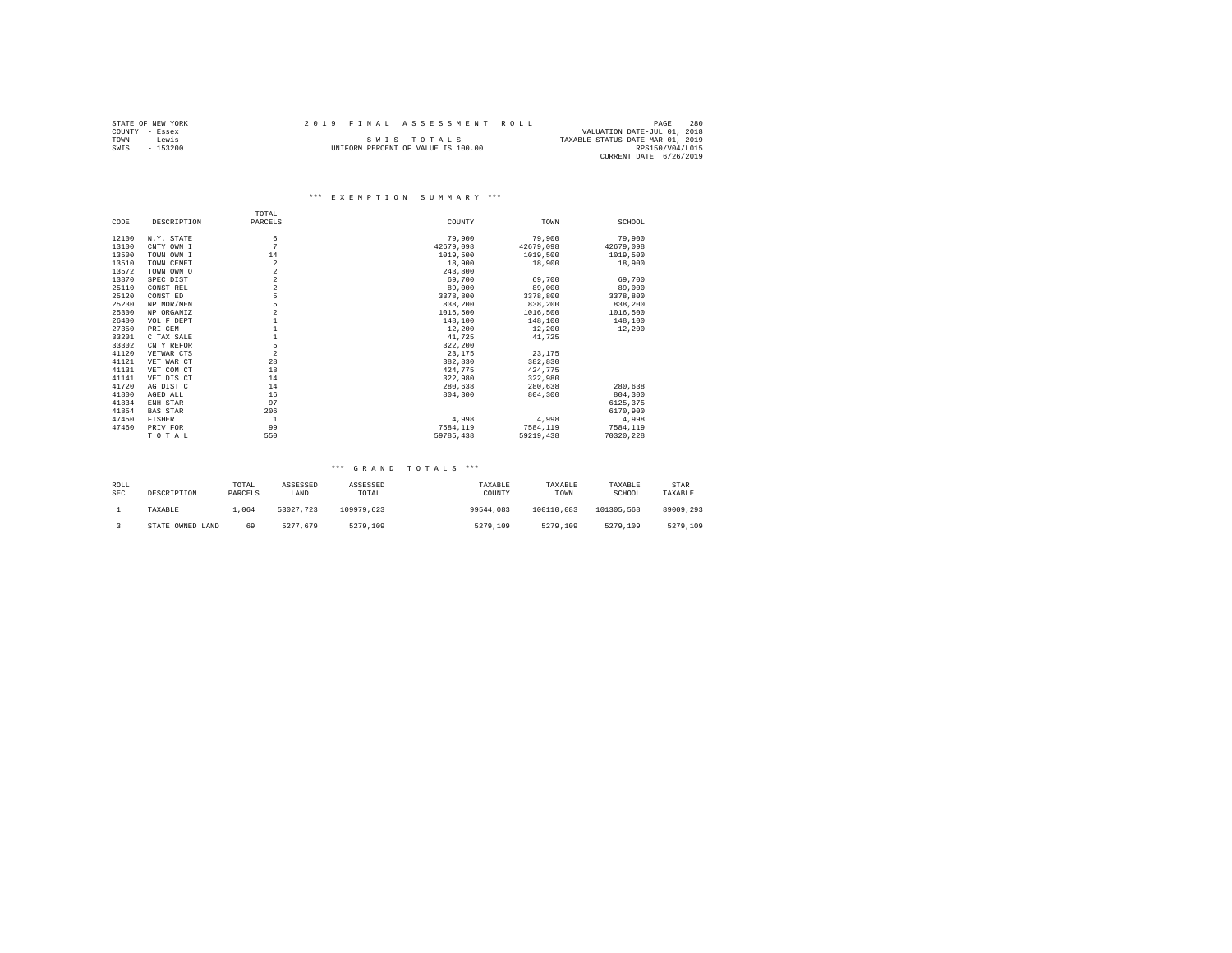|      | STATE OF NEW YORK | 2019 FINAL ASSESSMENT ROLL |                                    |                                  | PAGE            | 280 |
|------|-------------------|----------------------------|------------------------------------|----------------------------------|-----------------|-----|
|      | COUNTY - Essex    |                            |                                    | VALUATION DATE-JUL 01, 2018      |                 |     |
| TOWN | - Lewis           |                            | SWIS TOTALS                        | TAXABLE STATUS DATE-MAR 01, 2019 |                 |     |
| SWIS | $-153200$         |                            | UNIFORM PERCENT OF VALUE IS 100.00 |                                  | RPS150/V04/L015 |     |
|      |                   |                            |                                    | CURRENT DATE 6/26/2019           |                 |     |

|       |                 | TOTAL          |           |           |           |
|-------|-----------------|----------------|-----------|-----------|-----------|
| CODE  | DESCRIPTION     | PARCELS        | COUNTY    | TOWN      | SCHOOL    |
| 12100 | N.Y. STATE      | 6              | 79,900    | 79,900    | 79,900    |
| 13100 | CNTY OWN I      | 7              | 42679.098 | 42679.098 | 42679,098 |
| 13500 | TOWN OWN I      | 14             | 1019,500  | 1019,500  | 1019,500  |
| 13510 | TOWN CEMET      | $\overline{2}$ | 18,900    | 18,900    | 18,900    |
| 13572 | TOWN OWN O      | $\overline{a}$ | 243,800   |           |           |
| 13870 | SPEC DIST       | $\overline{a}$ | 69,700    | 69,700    | 69,700    |
| 25110 | CONST REL       | $\overline{a}$ | 89,000    | 89,000    | 89,000    |
| 25120 | CONST ED        | 5              | 3378,800  | 3378,800  | 3378,800  |
| 25230 | NP MOR/MEN      | 5              | 838,200   | 838,200   | 838,200   |
| 25300 | NP ORGANIZ      | $\overline{2}$ | 1016,500  | 1016,500  | 1016,500  |
| 26400 | VOL F DEPT      | $\mathbf{1}$   | 148,100   | 148,100   | 148,100   |
| 27350 | PRI CEM         |                | 12,200    | 12,200    | 12,200    |
| 33201 | C TAX SALE      |                | 41.725    | 41,725    |           |
| 33302 | CNTY REFOR      | 5              | 322,200   |           |           |
| 41120 | VETWAR CTS      | $\overline{a}$ | 23,175    | 23,175    |           |
| 41121 | VET WAR CT      | 28             | 382.830   | 382,830   |           |
| 41131 | VET COM CT      | 18             | 424,775   | 424,775   |           |
| 41141 | VET DIS CT      | 14             | 322,980   | 322.980   |           |
| 41720 | AG DIST C       | 14             | 280.638   | 280,638   | 280.638   |
| 41800 | AGED ALL        | 16             | 804,300   | 804,300   | 804,300   |
| 41834 | ENH STAR        | 97             |           |           | 6125,375  |
| 41854 | <b>BAS STAR</b> | 206            |           |           | 6170,900  |
| 47450 | FISHER          | $\mathbf{1}$   | 4,998     | 4,998     | 4,998     |
| 47460 | PRIV FOR        | 99             | 7584,119  | 7584.119  | 7584.119  |
|       | TOTAL           | 550            | 59785.438 | 59219,438 | 70320.228 |

| ROLL<br><b>SEC</b> | DESCRIPTION      | TOTAL<br>PARCELS | ASSESSED<br>LAND | ASSESSED<br>TOTAL | TAXABLE<br>COUNTY | TAXABLE<br>TOWN | TAXABLE<br>SCHOOL | STAR<br>TAXABLE |
|--------------------|------------------|------------------|------------------|-------------------|-------------------|-----------------|-------------------|-----------------|
|                    | TAXABLE          | . . 064          | 53027.723        | 109979.623        | 99544,083         | 100110.083      | 101305.568        | 89009.293       |
|                    | STATE OWNED LAND | 69               | 5277.679         | 5279.109          | 5279.109          | 5279.109        | 5279.109          | 5279,109        |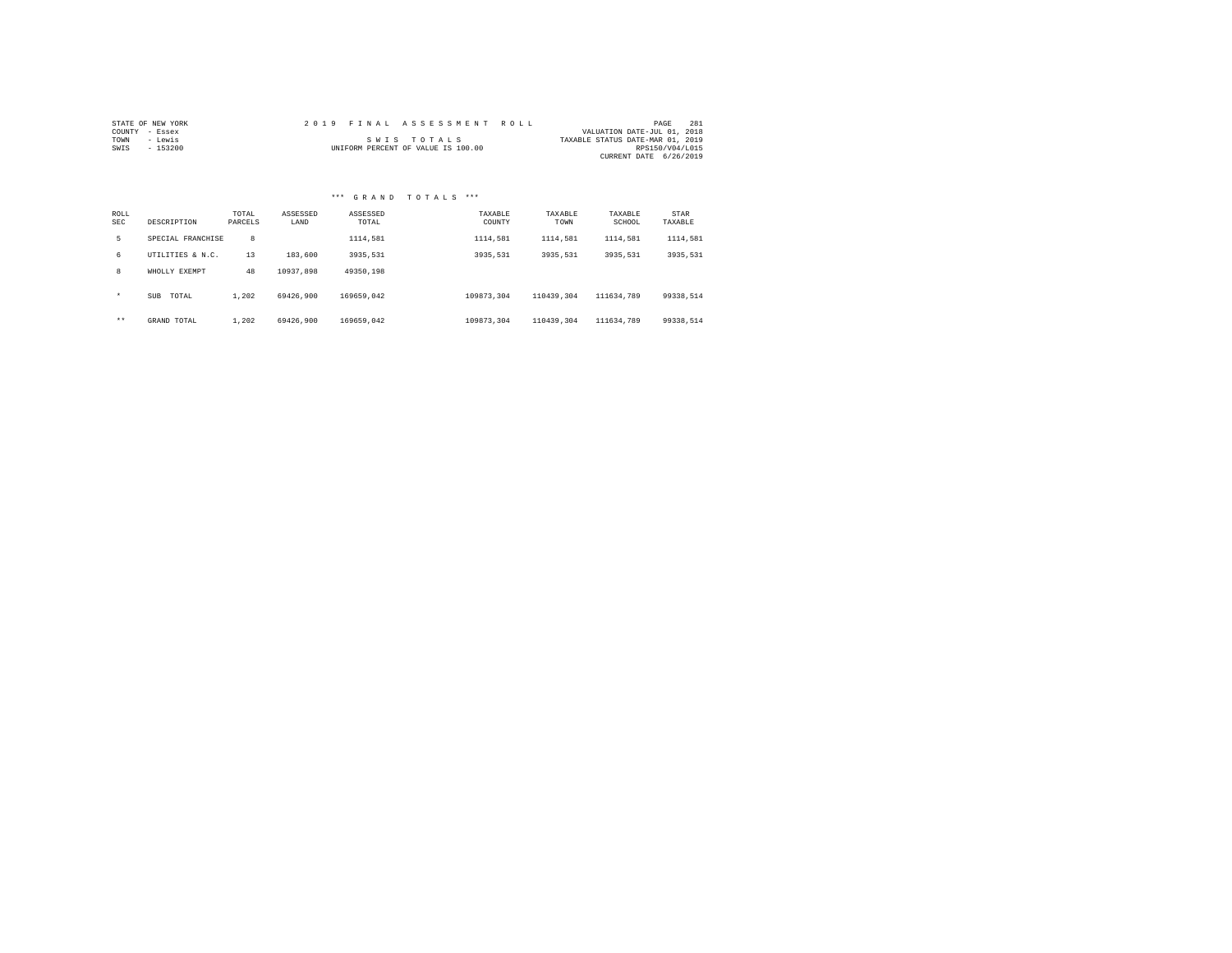|                | STATE OF NEW YORK | 2019 FINAL ASSESSMENT ROLL         |                                  | PAGE            | 2.81 |
|----------------|-------------------|------------------------------------|----------------------------------|-----------------|------|
| COUNTY - Essex |                   |                                    | VALUATION DATE-JUL 01, 2018      |                 |      |
| TOWN           | - Lewis           | SWIS TOTALS                        | TAXABLE STATUS DATE-MAR 01, 2019 |                 |      |
| SWIS           | - 153200          | UNIFORM PERCENT OF VALUE IS 100.00 |                                  | RPS150/V04/L015 |      |
|                |                   |                                    | CURRENT DATE 6/26/2019           |                 |      |

|                    |                     |                  |                  | ***<br>GRAND      | $***$<br>TOTALS   |                 |                   |                 |
|--------------------|---------------------|------------------|------------------|-------------------|-------------------|-----------------|-------------------|-----------------|
| ROLL<br><b>SEC</b> | DESCRIPTION         | TOTAL<br>PARCELS | ASSESSED<br>LAND | ASSESSED<br>TOTAL | TAXABLE<br>COUNTY | TAXABLE<br>TOWN | TAXABLE<br>SCHOOL | STAR<br>TAXABLE |
| 5                  | SPECIAL FRANCHISE   | 8                |                  | 1114,581          | 1114,581          | 1114.581        | 1114,581          | 1114,581        |
| 6                  | UTILITIES & N.C.    | 13               | 183,600          | 3935.531          | 3935.531          | 3935.531        | 3935.531          | 3935,531        |
| 8                  | WHOLLY EXEMPT       | 48               | 10937.898        | 49350.198         |                   |                 |                   |                 |
| $\star$            | TOTAL<br><b>SUB</b> | 1,202            | 69426.900        | 169659.042        | 109873.304        | 110439.304      | 111634.789        | 99338.514       |
| $***$              | GRAND TOTAL         | 1.202            | 69426.900        | 169659.042        | 109873.304        | 110439.304      | 111634.789        | 99338.514       |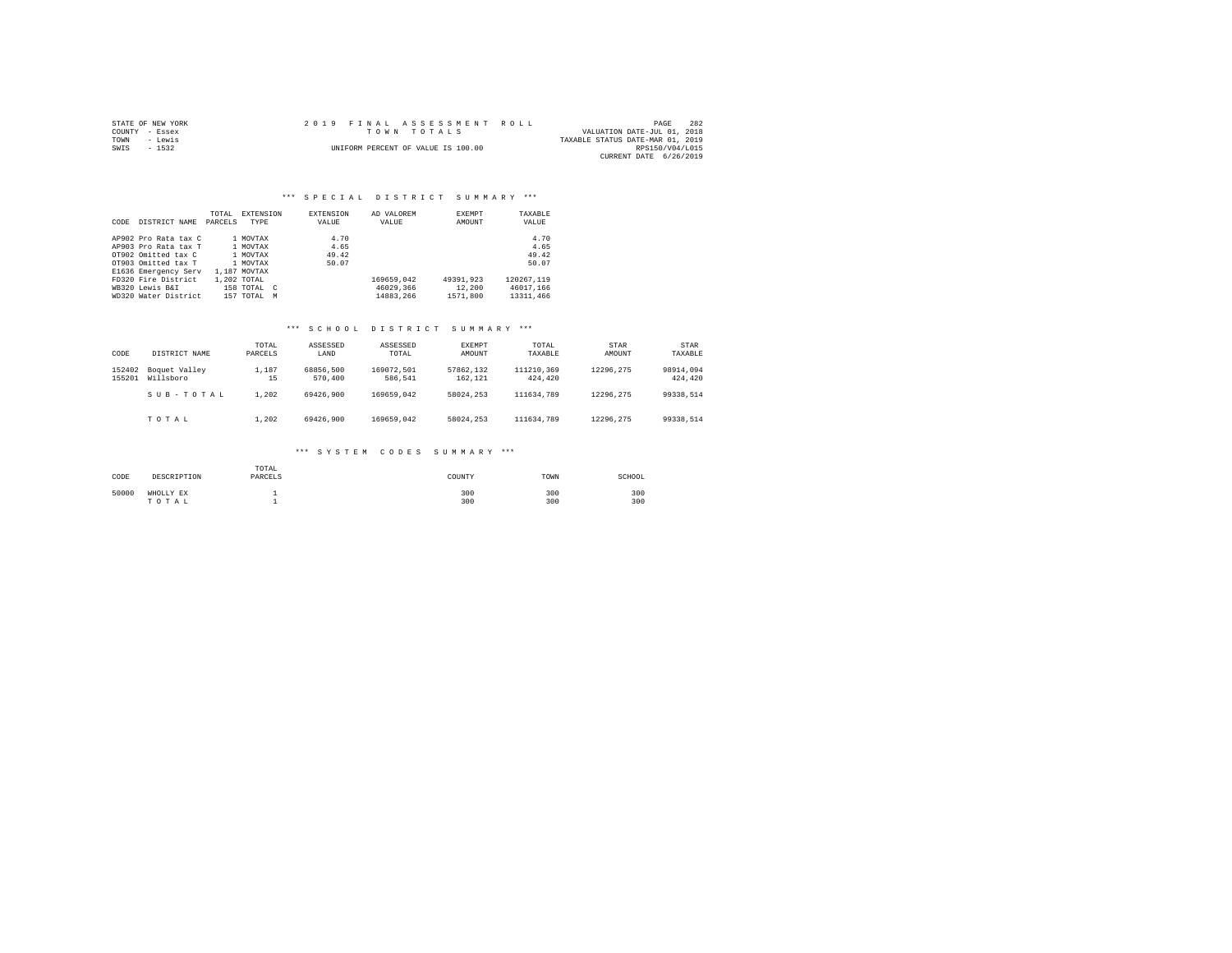| STATE OF NEW YORK | 2019 FINAL ASSESSMENT ROLL         | -282<br>PAGE                     |
|-------------------|------------------------------------|----------------------------------|
| COUNTY - Essex    | TOWN TOTALS                        | VALUATION DATE-JUL 01, 2018      |
| TOWN<br>- Lewis   |                                    | TAXABLE STATUS DATE-MAR 01, 2019 |
| SWIS<br>$-1532$   | UNIFORM PERCENT OF VALUE IS 100.00 | RPS150/V04/L015                  |
|                   |                                    | CURRENT DATE 6/26/2019           |

#### \*\*\* SPECIAL DISTRICT SUMMARY \*\*\*

| CODE | DISTRICT NAME        | TOTAL<br>PARCELS | EXTENSION<br>TYPE | EXTENSION<br>VALUE | AD VALOREM<br>VALUE | EXEMPT<br>AMOUNT | TAXABLE<br>VALUE |
|------|----------------------|------------------|-------------------|--------------------|---------------------|------------------|------------------|
|      | AP902 Pro Rata tax C |                  | 1 MOVTAX          | 4.70               |                     |                  | 4.70             |
|      | AP903 Pro Rata tax T |                  | 1 MOVTAX          | 4.65               |                     |                  | 4.65             |
|      | OT902 Omitted tax C  |                  | 1 MOVTAX          | 49.42              |                     |                  | 49.42            |
|      | OT903 Omitted tax T  |                  | 1 MOVTAX          | 50.07              |                     |                  | 50.07            |
|      | E1636 Emergency Serv |                  | 1,187 MOVTAX      |                    |                     |                  |                  |
|      | FD320 Fire District  |                  | 1,202 TOTAL       |                    | 169659.042          | 49391.923        | 120267.119       |
|      | WB320 Lewis B&I      |                  | 158 TOTAL C       |                    | 46029.366           | 12,200           | 46017.166        |
|      | WD320 Water District |                  | 157 TOTAL<br>M    |                    | 14883.266           | 1571,800         | 13311,466        |

#### \*\*\* S C H O O L D I S T R I C T S U M M A R Y \*\*\*

| CODE             | DISTRICT NAME              | TOTAL<br>PARCELS | ASSESSED<br>LAND     | ASSESSED<br>TOTAL     | EXEMPT<br>AMOUNT     | TOTAL<br>TAXABLE      | STAR<br>AMOUNT | STAR<br>TAXABLE      |  |
|------------------|----------------------------|------------------|----------------------|-----------------------|----------------------|-----------------------|----------------|----------------------|--|
| 152402<br>155201 | Boquet Valley<br>Willsboro | 1,187<br>15      | 68856.500<br>570,400 | 169072.501<br>586,541 | 57862.132<br>162.121 | 111210.369<br>424,420 | 12296.275      | 98914.094<br>424,420 |  |
|                  | SUB-TOTAL                  | 1,202            | 69426.900            | 169659.042            | 58024.253            | 111634.789            | 12296.275      | 99338.514            |  |
|                  | TOTAL                      | 1.202            | 69426.900            | 169659.042            | 58024.253            | 111634.789            | 12296.275      | 99338.514            |  |

#### \*\*\* S Y S T E M C O D E S S U M M A R Y \*\*\*

| CODE  | DESCRIPTION        | TOTAL<br>PARCELS | COUNTY     | TOWN       | SCHOOL     |
|-------|--------------------|------------------|------------|------------|------------|
| 50000 | WHOLLY EX<br>TOTAL |                  | 300<br>300 | 300<br>300 | 300<br>300 |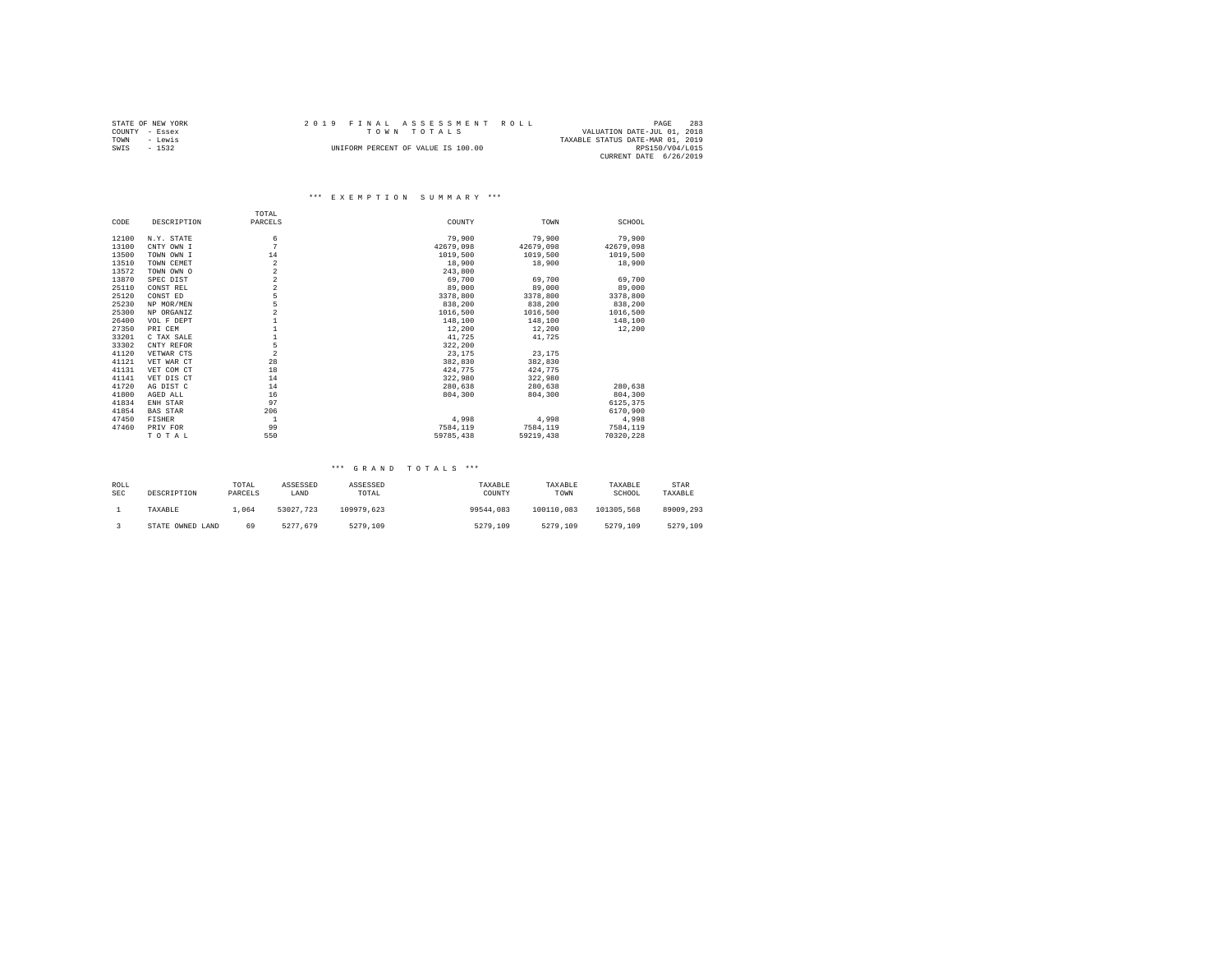|                | STATE OF NEW YORK |             | 2019 FINAL ASSESSMENT ROLL         |                                  | PAGE            | 283 |
|----------------|-------------------|-------------|------------------------------------|----------------------------------|-----------------|-----|
| COUNTY - Essex |                   | TOWN TOTALS |                                    | VALUATION DATE-JUL 01, 2018      |                 |     |
| TOWN           | - Lewis           |             |                                    | TAXABLE STATUS DATE-MAR 01, 2019 |                 |     |
| SWIS           | $-1532$           |             | UNIFORM PERCENT OF VALUE IS 100.00 |                                  | RPS150/V04/L015 |     |
|                |                   |             |                                    | CURRENT DATE 6/26/2019           |                 |     |

|       |                 | TOTAL          |           |           |           |
|-------|-----------------|----------------|-----------|-----------|-----------|
| CODE  | DESCRIPTION     | PARCELS        | COUNTY    | TOWN      | SCHOOL    |
| 12100 | N.Y. STATE      | 6              | 79,900    | 79,900    | 79,900    |
| 13100 | CNTY OWN I      | 7              | 42679.098 | 42679.098 | 42679,098 |
| 13500 | TOWN OWN I      | 14             | 1019,500  | 1019,500  | 1019,500  |
| 13510 | TOWN CEMET      | $\overline{2}$ | 18,900    | 18,900    | 18,900    |
| 13572 | TOWN OWN O      | $\overline{a}$ | 243,800   |           |           |
| 13870 | SPEC DIST       | $\overline{a}$ | 69,700    | 69,700    | 69,700    |
| 25110 | CONST REL       | $\overline{a}$ | 89,000    | 89,000    | 89,000    |
| 25120 | CONST ED        | 5              | 3378,800  | 3378,800  | 3378,800  |
| 25230 | NP MOR/MEN      | 5              | 838,200   | 838,200   | 838,200   |
| 25300 | NP ORGANIZ      | $\overline{2}$ | 1016,500  | 1016,500  | 1016,500  |
| 26400 | VOL F DEPT      | $\mathbf{1}$   | 148,100   | 148,100   | 148,100   |
| 27350 | PRI CEM         |                | 12,200    | 12,200    | 12,200    |
| 33201 | C TAX SALE      |                | 41.725    | 41,725    |           |
| 33302 | CNTY REFOR      | 5              | 322,200   |           |           |
| 41120 | VETWAR CTS      | $\overline{a}$ | 23,175    | 23,175    |           |
| 41121 | VET WAR CT      | 28             | 382.830   | 382,830   |           |
| 41131 | VET COM CT      | 18             | 424,775   | 424,775   |           |
| 41141 | VET DIS CT      | 14             | 322,980   | 322.980   |           |
| 41720 | AG DIST C       | 14             | 280.638   | 280,638   | 280.638   |
| 41800 | AGED ALL        | 16             | 804,300   | 804,300   | 804,300   |
| 41834 | ENH STAR        | 97             |           |           | 6125,375  |
| 41854 | <b>BAS STAR</b> | 206            |           |           | 6170,900  |
| 47450 | FISHER          | $\mathbf{1}$   | 4,998     | 4,998     | 4,998     |
| 47460 | PRIV FOR        | 99             | 7584,119  | 7584.119  | 7584.119  |
|       | TOTAL           | 550            | 59785.438 | 59219,438 | 70320.228 |

| ROLL<br><b>SEC</b> | DESCRIPTION      | TOTAL<br>PARCELS | ASSESSED<br>LAND | ASSESSED<br>TOTAL | TAXABLE<br>COUNTY | TAXABLE<br>TOWN | TAXABLE<br>SCHOOL | STAR<br>TAXABLE |
|--------------------|------------------|------------------|------------------|-------------------|-------------------|-----------------|-------------------|-----------------|
|                    | TAXABLE          | . . 064          | 53027.723        | 109979.623        | 99544.083         | 100110.083      | 101305.568        | 89009.293       |
|                    | STATE OWNED LAND | 69               | 5277.679         | 5279.109          | 5279.109          | 5279.109        | 5279.109          | 5279.109        |